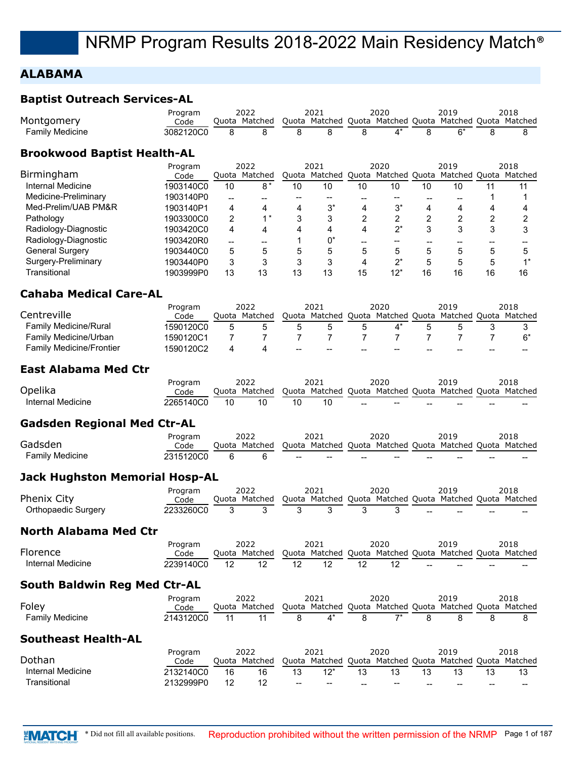## **ALABAMA**

#### **Baptist Outreach Services-AL**

|                 | Program   | 2022          | 2021                                                    | 2020 | 2019 | 2018 |
|-----------------|-----------|---------------|---------------------------------------------------------|------|------|------|
| Montgomery      | Code      | Ouota Matched | Quota Matched Quota Matched Quota Matched Quota Matched |      |      |      |
| Family Medicine | 3082120C0 |               |                                                         |      |      |      |

#### **Brookwood Baptist Health-AL**

|                        | Program   |    | 2022          |    | 2021                                                    |    | 2020  |    | 2019 |    | 2018 |
|------------------------|-----------|----|---------------|----|---------------------------------------------------------|----|-------|----|------|----|------|
| Birmingham             | Code      |    | Ouota Matched |    | Quota Matched Quota Matched Quota Matched Quota Matched |    |       |    |      |    |      |
| Internal Medicine      | 1903140C0 | 10 | റ∗            | 10 | 10                                                      | 10 | 10    | 10 | 10   |    |      |
| Medicine-Preliminary   | 1903140P0 | -- |               |    |                                                         |    |       |    |      |    |      |
| Med-Prelim/UAB PM&R    | 1903140P1 | 4  |               | 4  | $3^*$                                                   |    | $3^*$ |    | 4    |    |      |
| Pathology              | 1903300C0 | 2  |               | 3  |                                                         |    |       |    |      |    |      |
| Radiology-Diagnostic   | 1903420C0 | 4  |               | Λ  |                                                         | 4  | י^    |    |      |    |      |
| Radiology-Diagnostic   | 1903420R0 | -- |               |    |                                                         |    |       |    |      |    |      |
| <b>General Surgery</b> | 1903440C0 | 5  |               | 5  | $\mathbf{b}$                                            | 5  | 5     | h  | 5    |    |      |
| Surgery-Preliminary    | 1903440P0 | 3  |               | 3  |                                                         |    | י∩∗   |    | 5    |    | 4 *  |
| Transitional           | 1903999P0 | 13 | 13            | 13 | 13                                                      | 15 | $12*$ | 16 | 16   | 16 | 16   |

#### **Cahaba Medical Care-AL**

|                                 | Program   |       | 2022    |                                                | 2021          |       | 2020          |    | 2019          |    | 2018    |
|---------------------------------|-----------|-------|---------|------------------------------------------------|---------------|-------|---------------|----|---------------|----|---------|
| Centreville                     | Code      | Ouota | Matched |                                                | Quota Matched | Quota | Matched Quota |    | Matched Quota |    | Matched |
| <b>Family Medicine/Rural</b>    | 1590120C0 |       |         |                                                |               |       |               |    |               |    |         |
| Family Medicine/Urban           | 1590120C1 |       |         |                                                |               |       |               |    |               |    |         |
| <b>Family Medicine/Frontier</b> | 1590120C2 |       |         | $\hspace{0.1mm}-\hspace{0.1mm}-\hspace{0.1mm}$ | $- -$         | $- -$ | $- -$         | -- | --            | -- | $- -$   |

#### **East Alabama Med Ctr**

| Opelika           | Program           |    | 2022<br>Ouota Matched |    | 2021<br>Ouota Matched Ouota Matched Ouota Matched Ouota Matched |       | 2020                                           |    | 2019  |       | 2018  |
|-------------------|-------------------|----|-----------------------|----|-----------------------------------------------------------------|-------|------------------------------------------------|----|-------|-------|-------|
| Internal Medicine | Code<br>2265140C0 | 10 |                       | 10 | 10                                                              |       | $\hspace{0.1mm}-\hspace{0.1mm}-\hspace{0.1mm}$ |    |       |       |       |
|                   |                   |    |                       |    |                                                                 | $- -$ |                                                | -- | $- -$ | $- -$ | $- -$ |

#### **Gadsden Regional Med Ctr-AL**

|                 | Program   |       |         |     | 2021                                                    |     | 2020  |    | 2019  |       | 2018  |
|-----------------|-----------|-------|---------|-----|---------------------------------------------------------|-----|-------|----|-------|-------|-------|
| Gadsden         | Code      | Ouota | Matched |     | Ouota Matched Ouota Matched Ouota Matched Ouota Matched |     |       |    |       |       |       |
| Family Medicine | 2315120C0 |       |         | $-$ | $-$                                                     | $-$ | $- -$ | -- | $- -$ | $- -$ | $- -$ |

#### **Jack Hughston Memorial Hosp-AL**

|                     | Program       | 2022                                                                  | 2021 | 2020 | 2019 | 2018 |
|---------------------|---------------|-----------------------------------------------------------------------|------|------|------|------|
| Phenix City         | Code          | Quota Matched Quota Matched Quota Matched Quota Matched Quota Matched |      |      |      |      |
| Orthopaedic Surgery | 2233260C0 3 3 |                                                                       | 3 3  |      |      |      |

#### **North Alabama Med Ctr**

|                   | Program   |       | ⇒ຕລາ    |       |                                                   | 2020 |    | 2019  |       | 2018  |
|-------------------|-----------|-------|---------|-------|---------------------------------------------------|------|----|-------|-------|-------|
| Florence          | Code      | Juota | Matched | Ouota | Matched Ouota Matched Ouota Matched Ouota Matched |      |    |       |       |       |
| Internal Medicine | 2239140C0 |       |         |       |                                                   |      | -- | $- -$ | $- -$ | $- -$ |

#### **South Baldwin Reg Med Ctr-AL**

|                 | Program   |       | 2022    | 2021                                                    | 2020 | 2019 | 2018 |
|-----------------|-----------|-------|---------|---------------------------------------------------------|------|------|------|
| Foley           | Code      | Ouota | Matched | Quota Matched Quota Matched Quota Matched Quota Matched |      |      |      |
| Family Medicine | 2143120C0 |       |         |                                                         |      |      |      |

#### **Southeast Health-AL**

|                   | Program   |       | 2022    |       | 2021                        |       | 2020                                              |    | 2019          |       | 2018    |
|-------------------|-----------|-------|---------|-------|-----------------------------|-------|---------------------------------------------------|----|---------------|-------|---------|
| Dothan            | Code      | Ouota | Matched | Quota | Matched Quota Matched Quota |       |                                                   |    | Matched Quota |       | Matched |
| Internal Medicine | 2132140C0 | 16    | 16      |       | 1つ*                         |       |                                                   |    |               |       |         |
| Transitional      | 2132999P0 |       |         | $- -$ | $- -$                       | $- -$ | $\hspace{0.05cm}-\hspace{0.05cm}-\hspace{0.05cm}$ | -- | --            | $- -$ | $- -$   |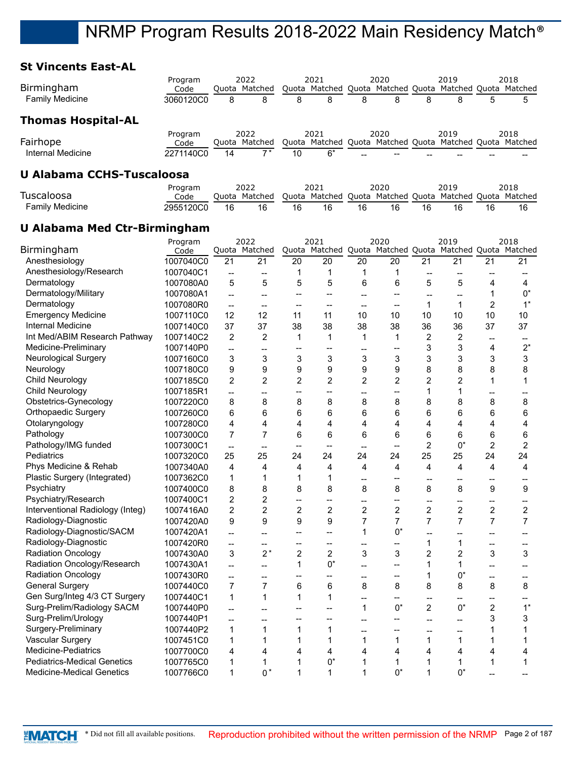## **St Vincents East-AL**

|                                         | Program                |                               | 2022                          |                                          | 2021                           |                                | 2020                                                            |                               | 2019                          |                               | 2018                                                          |
|-----------------------------------------|------------------------|-------------------------------|-------------------------------|------------------------------------------|--------------------------------|--------------------------------|-----------------------------------------------------------------|-------------------------------|-------------------------------|-------------------------------|---------------------------------------------------------------|
| Birmingham                              | Code                   |                               | Quota Matched                 |                                          |                                |                                |                                                                 |                               |                               |                               | Quota Matched Quota Matched Quota Matched Quota Matched       |
| <b>Family Medicine</b>                  | 3060120C0              | 8                             | 8                             | 8                                        | 8                              | 8                              | 8                                                               | 8                             | 8                             | 5                             | 5                                                             |
| <b>Thomas Hospital-AL</b>               |                        |                               |                               |                                          |                                |                                |                                                                 |                               |                               |                               |                                                               |
|                                         | Program                |                               | 2022                          |                                          | 2021                           |                                | 2020                                                            |                               | 2019                          |                               | 2018                                                          |
| Fairhope                                | Code                   |                               | Quota Matched                 |                                          | Quota Matched                  |                                | Quota Matched Quota Matched Quota Matched                       |                               |                               |                               |                                                               |
| Internal Medicine                       | 2271140C0              | 14                            | $7^*$                         | 10                                       | $6*$                           |                                |                                                                 |                               |                               |                               |                                                               |
| <b>U Alabama CCHS-Tuscaloosa</b>        |                        |                               |                               |                                          |                                |                                |                                                                 |                               |                               |                               |                                                               |
| Tuscaloosa                              | Program                |                               | 2022<br>Quota Matched         |                                          | 2021                           |                                | 2020                                                            |                               | 2019                          |                               | 2018                                                          |
| <b>Family Medicine</b>                  | Code<br>2955120C0      | 16                            | 16                            | 16                                       | 16                             | 16                             | 16                                                              | 16                            | 16                            | 16                            | Quota Matched Quota Matched Quota Matched Quota Matched<br>16 |
|                                         |                        |                               |                               |                                          |                                |                                |                                                                 |                               |                               |                               |                                                               |
| <b>U Alabama Med Ctr-Birmingham</b>     |                        |                               |                               |                                          |                                |                                |                                                                 |                               |                               |                               |                                                               |
| Birmingham                              | Program<br>Code        |                               | 2022<br>Quota Matched         |                                          | 2021                           |                                | 2020<br>Quota Matched Quota Matched Quota Matched Quota Matched |                               | 2019                          |                               | 2018                                                          |
| Anesthesiology                          | 1007040C0              | 21                            | 21                            | 20                                       | 20                             | 20                             | 20                                                              | 21                            | 21                            | 21                            | 21                                                            |
| Anesthesiology/Research                 | 1007040C1              |                               |                               | 1                                        | 1                              | 1                              | 1                                                               |                               |                               |                               |                                                               |
| Dermatology                             | 1007080A0              | $\overline{\phantom{a}}$<br>5 | $\overline{\phantom{a}}$<br>5 | 5                                        | 5                              | 6                              | 6                                                               | $\overline{\phantom{a}}$<br>5 | --<br>5                       | --<br>4                       | --<br>4                                                       |
| Dermatology/Military                    | 1007080A1              |                               |                               |                                          |                                |                                |                                                                 |                               |                               | 1                             | $0^*$                                                         |
| Dermatology                             | 1007080R0              | $\overline{\phantom{a}}$      | $\overline{\phantom{a}}$      | $-$                                      | $\overline{\phantom{a}}$       | $-$                            | --                                                              | --<br>1                       | --<br>1                       | $\overline{2}$                | $1^*$                                                         |
| <b>Emergency Medicine</b>               |                        | $\overline{\phantom{a}}$      | $\overline{\phantom{a}}$      | $-$                                      | $\overline{\phantom{a}}$<br>11 | $\overline{\phantom{a}}$<br>10 | --                                                              | 10                            | 10                            | 10                            |                                                               |
| Internal Medicine                       | 1007110C0              | 12<br>37                      | 12<br>37                      | 11<br>38                                 | 38                             | 38                             | 10<br>38                                                        | 36                            | 36                            | 37                            | 10<br>37                                                      |
| Int Med/ABIM Research Pathway           | 1007140C0<br>1007140C2 | $\overline{c}$                | 2                             |                                          | 1                              | 1                              | 1                                                               | $\overline{c}$                | $\overline{\mathbf{c}}$       |                               |                                                               |
| Medicine-Preliminary                    | 1007140P0              |                               |                               | 1                                        |                                |                                |                                                                 | 3                             | 3                             | --<br>4                       | --<br>$2^*$                                                   |
| <b>Neurological Surgery</b>             | 1007160C0              | --<br>3                       | --<br>3                       | $\hspace{0.05cm}$ $\hspace{0.05cm}$<br>3 | $\overline{\phantom{a}}$<br>3  | $\overline{\phantom{a}}$<br>3  | --<br>3                                                         | 3                             | 3                             | 3                             | 3                                                             |
| Neurology                               | 1007180C0              | 9                             | 9                             | 9                                        | 9                              | 9                              | 9                                                               | 8                             | 8                             | 8                             | 8                                                             |
| Child Neurology                         | 1007185C0              | 2                             | $\overline{2}$                | 2                                        | $\overline{c}$                 | $\overline{c}$                 | $\overline{c}$                                                  | $\overline{c}$                | $\overline{c}$                | 1                             | 1                                                             |
| Child Neurology                         | 1007185R1              |                               |                               |                                          |                                |                                |                                                                 | 1                             | 1                             |                               |                                                               |
| Obstetrics-Gynecology                   | 1007220C0              | $-$<br>8                      | --<br>8                       | --<br>8                                  | --<br>8                        | $-$<br>8                       | --<br>8                                                         | 8                             | 8                             | $\overline{\phantom{a}}$<br>8 | --<br>8                                                       |
| Orthopaedic Surgery                     | 1007260C0              | 6                             | 6                             | 6                                        | 6                              | 6                              | 6                                                               | 6                             | 6                             | 6                             | 6                                                             |
| Otolaryngology                          | 1007280C0              | 4                             | 4                             | 4                                        | 4                              | 4                              | 4                                                               | 4                             | 4                             | 4                             | 4                                                             |
| Pathology                               | 1007300C0              | 7                             | 7                             | 6                                        | 6                              | 6                              | 6                                                               | 6                             | 6                             | 6                             | 6                                                             |
| Pathology/IMG funded                    | 1007300C1              |                               |                               |                                          | $-$                            |                                | --                                                              | $\overline{c}$                | $0^*$                         | $\overline{2}$                | $\overline{c}$                                                |
| Pediatrics                              | 1007320C0              | $\overline{a}$<br>25          | 25                            | $\overline{\phantom{a}}$<br>24           | 24                             | $-$<br>24                      | 24                                                              | 25                            | 25                            | 24                            | 24                                                            |
| Phys Medicine & Rehab                   | 1007340A0              | 4                             | 4                             | 4                                        | 4                              | 4                              | 4                                                               | 4                             | 4                             | 4                             | 4                                                             |
| Plastic Surgery (Integrated)            | 1007362C0              | 1                             | 1                             | 1                                        | 1                              |                                |                                                                 |                               |                               |                               |                                                               |
| Psychiatry                              | 1007400C0              | 8                             | 8                             | 8                                        | 8                              | $-$<br>8                       | --<br>8                                                         | --<br>8                       | --<br>8                       | --<br>9                       | --<br>9                                                       |
| Psychiatry/Research                     | 1007400C1              | $\overline{2}$                | $\overline{2}$                | $-$                                      |                                |                                | --                                                              |                               |                               |                               |                                                               |
| Interventional Radiology (Integ)        | 1007416A0              | 2                             | 2                             | $\overline{\mathbf{c}}$                  | $\boldsymbol{2}$               | $\overline{\mathbf{c}}$        | $\overline{\mathbf{c}}$                                         | --<br>2                       | --<br>$\overline{\mathbf{c}}$ | --<br>$\overline{c}$          | 2                                                             |
| Radiology-Diagnostic                    | 1007420A0              | 9                             | 9                             | 9                                        | 9                              | $\overline{7}$                 | $\overline{7}$                                                  | $\overline{7}$                | $\overline{7}$                | 7                             | 7                                                             |
| Radiology-Diagnostic/SACM               | 1007420A1              |                               |                               |                                          | --                             | $\mathbf{1}$                   | $0^*$                                                           |                               |                               |                               |                                                               |
| Radiology-Diagnostic                    | 1007420R0              | --                            | --                            | --                                       |                                |                                | --                                                              | $\overline{\phantom{a}}$<br>1 | --<br>1                       | --                            |                                                               |
| Radiation Oncology                      | 1007430A0              | --<br>3                       | --<br>$2^*$                   | --<br>$\overline{c}$                     | --<br>$\overline{2}$           | --<br>3                        | 3                                                               | $\overline{2}$                | 2                             | --<br>3                       | 3                                                             |
| Radiation Oncology/Research             | 1007430A1              |                               |                               | 1                                        | $0^*$                          |                                |                                                                 | 1                             | 1                             |                               |                                                               |
| <b>Radiation Oncology</b>               | 1007430R0              |                               | --                            |                                          |                                | --                             | --                                                              | 1                             | $0^*$                         | --                            |                                                               |
| <b>General Surgery</b>                  | 1007440C0              | --<br>7                       | $\overline{\phantom{a}}$<br>7 | --<br>6                                  | --<br>6                        | $\overline{\phantom{a}}$<br>8  | --<br>8                                                         | 8                             | 8                             | $\overline{\phantom{a}}$<br>8 | --<br>8                                                       |
| Gen Surg/Integ 4/3 CT Surgery           | 1007440C1              | $\mathbf{1}$                  | $\mathbf{1}$                  | 1                                        | $\mathbf{1}$                   |                                |                                                                 |                               |                               |                               |                                                               |
| Surg-Prelim/Radiology SACM              | 1007440P0              |                               |                               |                                          |                                | --<br>$\mathbf 1$              | --<br>$0^*$                                                     | --<br>$\overline{2}$          | --<br>$0^*$                   | --<br>$\overline{c}$          | $1^*$                                                         |
| Surg-Prelim/Urology                     | 1007440P1              |                               | --                            | --                                       | --                             |                                |                                                                 |                               |                               | 3                             | 3                                                             |
| Surgery-Preliminary                     |                        | --                            | --<br>1                       | --                                       | --                             | --                             | --                                                              | --                            | --                            |                               |                                                               |
|                                         | 1007440P2              | 1                             |                               | 1                                        | 1                              | $\overline{\phantom{a}}$       | --                                                              | --                            | $-$                           | 1                             | 1                                                             |
| Vascular Surgery<br>Medicine-Pediatrics | 1007451C0              | 1                             | 1                             | 1                                        | 1                              | 1                              | 1                                                               | $\mathbf{1}$                  | 1                             | 1                             | 1                                                             |
| <b>Pediatrics-Medical Genetics</b>      | 1007700C0              | 4                             | 4                             | 4                                        | 4<br>$0^*$                     | 4                              | 4                                                               | 4                             | 4                             | 4                             | 4                                                             |
| Medicine-Medical Genetics               | 1007765C0<br>1007766C0 | 1<br>$\mathbf 1$              | 1<br>$0*$                     | 1<br>1                                   | $\mathbf{1}$                   | 1<br>$\mathbf 1$               | 1<br>$0^*$                                                      | 1<br>$\mathbf{1}$             | 1<br>$0^*$                    | 1                             | 1                                                             |
|                                         |                        |                               |                               |                                          |                                |                                |                                                                 |                               |                               | --                            | --                                                            |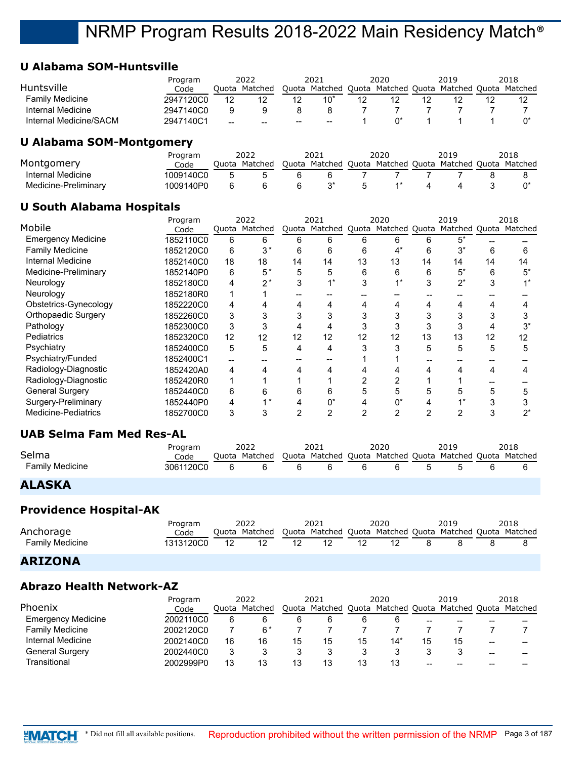## **U Alabama SOM-Huntsville**

|                        | Program   |       | 2022    |       | 2021          |       | 2020          | 2019          | 2018    |
|------------------------|-----------|-------|---------|-------|---------------|-------|---------------|---------------|---------|
| Huntsville             | Code      | Ouota | Matched | Quota | Matched       | Quota | Matched Quota | Matched Quota | Matched |
| <b>Family Medicine</b> | 2947120C0 | 12    |         |       | $10^{\prime}$ |       |               |               |         |
| Internal Medicine      | 2947140C0 |       |         |       |               |       |               |               |         |
| Internal Medicine/SACM | 2947140C1 | $- -$ | $- -$   | $- -$ | --            |       |               |               |         |

## **U Alabama SOM-Montgomery**

|                      | Program   | 2022          |   | 2021                                                    |   | 2020 | 2019 | 2018 |
|----------------------|-----------|---------------|---|---------------------------------------------------------|---|------|------|------|
| Montgomery           | Code      | Ouota Matched |   | Quota Matched Quota Matched Quota Matched Quota Matched |   |      |      |      |
| Internal Medicine    | 1009140C0 |               | ĥ |                                                         |   |      |      |      |
| Medicine-Preliminary | 1009140P0 |               |   |                                                         | 5 |      |      |      |

## **U South Alabama Hospitals**

|                            | Program   | 2022 |               | 2021 |                                                         | 2020 |       |    | 2019  |    | 2018  |
|----------------------------|-----------|------|---------------|------|---------------------------------------------------------|------|-------|----|-------|----|-------|
| Mobile                     | Code      |      | Quota Matched |      | Quota Matched Quota Matched Quota Matched Quota Matched |      |       |    |       |    |       |
| <b>Emergency Medicine</b>  | 1852110C0 | 6    | 6             | 6    | 6                                                       | 6    | հ     |    |       |    |       |
| <b>Family Medicine</b>     | 1852120C0 | 6    | $3^*$         | 6    | 6                                                       | 6    | $4^*$ | 6  | $3^*$ | 6  | 6     |
| Internal Medicine          | 1852140C0 | 18   | 18            | 14   | 14                                                      | 13   | 13    | 14 | 14    | 14 | 14    |
| Medicine-Preliminary       | 1852140P0 | 6    | 5*            | 5    | 5                                                       | 6    | 6     | 6  | $5^*$ | 6  | $5^*$ |
| Neurology                  | 1852180C0 | 4    | $2^*$         |      |                                                         |      | 1*    | 3  | $2^*$ | 3  |       |
| Neurology                  | 1852180R0 |      |               |      |                                                         |      |       |    |       |    |       |
| Obstetrics-Gynecology      | 1852220C0 | 4    |               |      | 4                                                       |      | 4     | 4  |       |    |       |
| <b>Orthopaedic Surgery</b> | 1852260C0 | 3    |               |      | 3                                                       |      | 3     | 3  |       |    |       |
| Pathology                  | 1852300C0 | 3    |               |      | 4                                                       |      | 3     | 3  |       |    | 3*    |
| Pediatrics                 | 1852320C0 | 12   | 12            | 12   | 12                                                      | 12   | 12    | 13 | 13    | 12 | 12    |
| Psychiatry                 | 1852400C0 | 5    | 5             | 4    | 4                                                       |      | 3     | 5  | 5     | 5  | 5     |
| Psychiatry/Funded          | 1852400C1 |      |               |      |                                                         |      |       |    |       |    |       |
| Radiology-Diagnostic       | 1852420A0 | 4    |               |      |                                                         |      |       |    |       |    |       |
| Radiology-Diagnostic       | 1852420R0 |      |               |      |                                                         |      | ⌒     |    |       |    |       |
| <b>General Surgery</b>     | 1852440C0 | 6    | 6             | 6    | 6                                                       |      | 5     | 5  |       |    | 5     |
| Surgery-Preliminary        | 1852440P0 | 4    |               |      |                                                         |      |       |    |       |    |       |
| Medicine-Pediatrics        | 1852700C0 | 3    |               |      |                                                         |      |       | ⌒  |       |    |       |

## **UAB Selma Fam Med Res-AL**

| Selma           | Program<br>Code | 2022<br>Ouota Matched | 2021<br>Quota Matched Quota Matched Quota Matched Quota Matched | 2020 | 2019 | 2018 |
|-----------------|-----------------|-----------------------|-----------------------------------------------------------------|------|------|------|
| Family Medicine | 3061120C0       |                       |                                                                 | -6   |      |      |

## **ALASKA**

## **Providence Hospital-AK**

|                 | Program   | 2022                                                                  | 2021 |    | 2020 | 2019 | 2018 |
|-----------------|-----------|-----------------------------------------------------------------------|------|----|------|------|------|
| Anchorage       | Code      | Quota Matched Quota Matched Quota Matched Quota Matched Quota Matched |      |    |      |      |      |
| Family Medicine | 1313120C0 |                                                                       |      | 12 |      |      |      |

## **ARIZONA**

## **Abrazo Health Network-AZ**

| Phoenix                   | Program   |    | 2022<br>Ouota Matched |    | 2021 |    | 2020  |    | 2019<br>Quota Matched Quota Matched Quota Matched Quota Matched |    | 2018 |
|---------------------------|-----------|----|-----------------------|----|------|----|-------|----|-----------------------------------------------------------------|----|------|
|                           | Code      |    |                       |    |      |    |       |    |                                                                 |    |      |
| <b>Emergency Medicine</b> | 2002110C0 | 6  |                       | h  |      | 6  | 6     | -- | --                                                              | -- |      |
| <b>Family Medicine</b>    | 2002120C0 |    | f*                    |    |      |    |       |    |                                                                 |    |      |
| Internal Medicine         | 2002140C0 | 16 | 16                    | 15 | 15   | 15 | $14*$ |    | 15                                                              | -- |      |
| <b>General Surgery</b>    | 2002440C0 | 2  |                       |    |      |    |       |    |                                                                 | -- |      |
| Transitional              | 2002999P0 | 13 |                       | 13 | 13   | 13 | 13    | -- | --                                                              | -- |      |

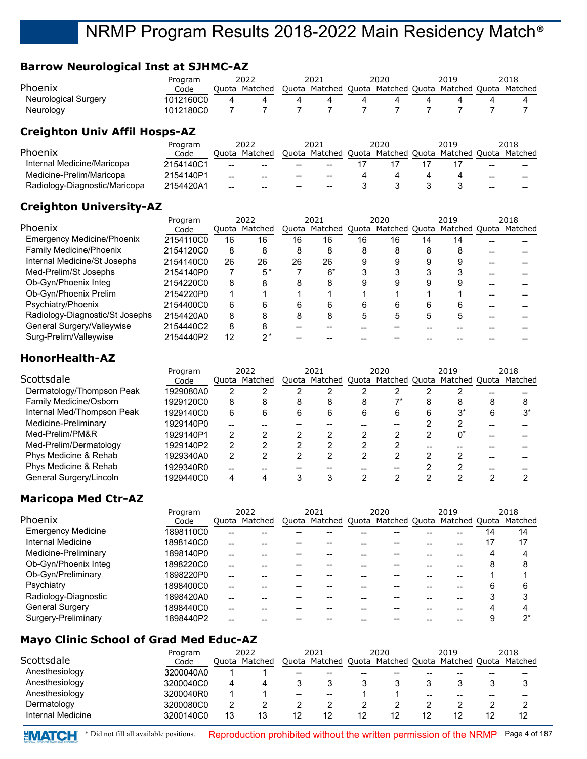## **Barrow Neurological Inst at SJHMC-AZ**

|                             | Program   | 2022  |         | 2021 |                                                         | 2020 |  | 2019 |  | 2018 |
|-----------------------------|-----------|-------|---------|------|---------------------------------------------------------|------|--|------|--|------|
| Phoenix                     | Code      | Ouota | Matched |      | Quota Matched Quota Matched Quota Matched Quota Matched |      |  |      |  |      |
| <b>Neurological Surgery</b> | 1012160C0 |       |         |      |                                                         |      |  |      |  |      |
| Neurology                   | 1012180C0 |       |         |      |                                                         |      |  |      |  |      |

## **Creighton Univ Affil Hosps-AZ**

|                               | Program   |       | 2022          |                                                | 2021                | 2020          | 2019                  |     | 2018  |
|-------------------------------|-----------|-------|---------------|------------------------------------------------|---------------------|---------------|-----------------------|-----|-------|
| Phoenix                       | Code      |       | Ouota Matched |                                                | Quota Matched Quota | Matched Quota | Matched Quota Matched |     |       |
| Internal Medicine/Maricopa    | 2154140C1 | $-$   | --            | $- -$                                          | $- -$               |               |                       | $-$ | $- -$ |
| Medicine-Prelim/Maricopa      | 2154140P1 | $- -$ | --            | $\hspace{0.1mm}-\hspace{0.1mm}-\hspace{0.1mm}$ | $- -$               |               |                       | --  | $- -$ |
| Radiology-Diagnostic/Maricopa | 2154420A1 | $- -$ | --            | $- -$                                          | $- -$               |               |                       | --  | $- -$ |

## **Creighton University-AZ**

|                                   | Program   |    | 2022          |    | 2021                              |    | 2020 |    | 2019                  | 2018 |
|-----------------------------------|-----------|----|---------------|----|-----------------------------------|----|------|----|-----------------------|------|
| <b>Phoenix</b>                    | Code      |    | Quota Matched |    | Quota Matched Quota Matched Quota |    |      |    | Matched Quota Matched |      |
| <b>Emergency Medicine/Phoenix</b> | 2154110C0 | 16 | 16            | 16 | 16                                | 16 | 16   | 14 | 14                    |      |
| <b>Family Medicine/Phoenix</b>    | 2154120C0 | 8  | 8             | 8  | 8                                 | 8  | 8    |    |                       |      |
| Internal Medicine/St Josephs      | 2154140C0 | 26 | 26            | 26 | 26                                | 9  | 9    |    |                       |      |
| Med-Prelim/St Josephs             | 2154140P0 |    | 5*            |    | 6*                                |    |      |    |                       |      |
| Ob-Gyn/Phoenix Integ              | 2154220C0 | 8  |               |    |                                   |    |      |    |                       |      |
| Ob-Gyn/Phoenix Prelim             | 2154220P0 |    |               |    |                                   |    |      |    |                       |      |
| Psychiatry/Phoenix                | 2154400C0 | 6  |               | 6  | 6                                 | 6  | 6    |    | h                     |      |
| Radiology-Diagnostic/St Josephs   | 2154420A0 | 8  | 8             | 8  | 8                                 | 5  | 5    |    |                       |      |
| General Surgery/Valleywise        | 2154440C2 | 8  |               |    |                                   |    |      |    |                       |      |
| Surg-Prelim/Valleywise            | 2154440P2 | 12 |               |    |                                   |    |      |    |                       |      |

## **HonorHealth-AZ**

|                            | Program   |   | 2022          |   | 2021                                            |   | 2020 | 2019  | 2018    |
|----------------------------|-----------|---|---------------|---|-------------------------------------------------|---|------|-------|---------|
| Scottsdale                 | Code      |   | Ouota Matched |   | Quota Matched Quota Matched Quota Matched Quota |   |      |       | Matched |
| Dermatology/Thompson Peak  | 1929080A0 |   |               |   |                                                 |   |      |       |         |
| Family Medicine/Osborn     | 1929120C0 | 8 |               | 8 |                                                 | 8 |      | 8     |         |
| Internal Med/Thompson Peak | 1929140C0 | 6 |               | 6 |                                                 | 6 | 6    | $3^*$ | ົດ*     |
| Medicine-Preliminary       | 1929140P0 |   |               |   |                                                 |   |      |       |         |
| Med-Prelim/PM&R            | 1929140P1 | 2 |               |   |                                                 |   |      | U,    |         |
| Med-Prelim/Dermatology     | 1929140P2 | 2 |               |   |                                                 |   |      |       |         |
| Phys Medicine & Rehab      | 1929340A0 | 2 |               |   |                                                 |   |      |       |         |
| Phys Medicine & Rehab      | 1929340R0 |   |               |   |                                                 |   |      |       |         |
| General Surgery/Lincoln    | 1929440C0 |   |               |   |                                                 |   |      |       |         |

## **Maricopa Med Ctr-AZ**

|                           | Program   | 2022 |               | 2021 |                                                         | 2020 |  | 2019 |  |    | 2018 |
|---------------------------|-----------|------|---------------|------|---------------------------------------------------------|------|--|------|--|----|------|
| Phoenix                   | Code      |      | Quota Matched |      | Quota Matched Quota Matched Quota Matched Quota Matched |      |  |      |  |    |      |
| <b>Emergency Medicine</b> | 1898110C0 |      |               |      |                                                         |      |  |      |  | 14 | 14   |
| Internal Medicine         | 1898140C0 | --   |               |      |                                                         |      |  |      |  | 17 | 17   |
| Medicine-Preliminary      | 1898140P0 |      |               |      |                                                         |      |  |      |  |    |      |
| Ob-Gyn/Phoenix Integ      | 1898220C0 | --   |               |      |                                                         |      |  |      |  |    |      |
| Ob-Gyn/Preliminary        | 1898220P0 |      |               |      |                                                         |      |  |      |  |    |      |
| Psychiatry                | 1898400C0 | --   |               |      |                                                         |      |  |      |  |    |      |
| Radiology-Diagnostic      | 1898420A0 | --   |               |      |                                                         |      |  |      |  |    |      |
| <b>General Surgery</b>    | 1898440C0 |      |               |      |                                                         |      |  |      |  |    |      |
| Surgery-Preliminary       | 1898440P2 |      |               |      |                                                         |      |  |      |  |    | י∩∗  |

## **Mayo Clinic School of Grad Med Educ-AZ**

|                   | Program   | 2022  |         | 2021                                              |                                   | 2020 |       | 2019                  |    | 2018            |
|-------------------|-----------|-------|---------|---------------------------------------------------|-----------------------------------|------|-------|-----------------------|----|-----------------|
| Scottsdale        | Code      | Ouota | Matched |                                                   | Quota Matched Quota Matched Quota |      |       | Matched Quota Matched |    |                 |
| Anesthesiology    | 3200040A0 |       |         | --                                                | $- -$                             |      |       |                       |    | $\qquad \qquad$ |
| Anesthesiology    | 3200040C0 | 4     |         |                                                   |                                   |      |       |                       |    |                 |
| Anesthesiology    | 3200040R0 |       |         | $\hspace{0.05cm}-\hspace{0.05cm}-\hspace{0.05cm}$ | $- -$                             |      | $- -$ |                       | -- | $\qquad \qquad$ |
| Dermatology       | 3200080C0 | っ     |         |                                                   |                                   |      |       |                       |    |                 |
| Internal Medicine | 3200140C0 | 13    | 13      |                                                   | 12                                | 12   | 12    |                       |    | 12              |

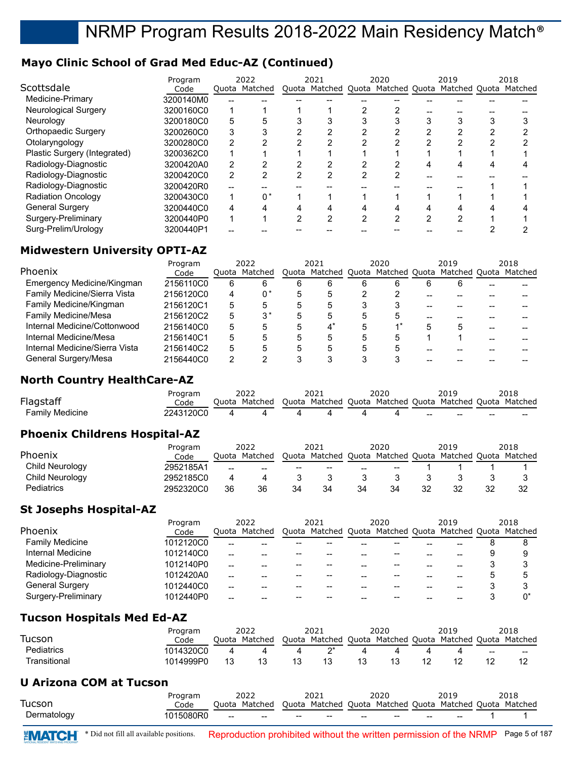## **Mayo Clinic School of Grad Med Educ-AZ (Continued)**

|                              | Program   |   | 2022          |   | 2021 |   | 2020 |   | 2019                                                    | 2018 |
|------------------------------|-----------|---|---------------|---|------|---|------|---|---------------------------------------------------------|------|
| Scottsdale                   | Code      |   | Ouota Matched |   |      |   |      |   | Quota Matched Quota Matched Quota Matched Quota Matched |      |
| Medicine-Primary             | 3200140M0 |   |               |   |      |   |      |   |                                                         |      |
| <b>Neurological Surgery</b>  | 3200160C0 |   |               |   |      |   |      |   |                                                         |      |
| Neuroloav                    | 3200180C0 | 5 | 5             |   |      |   |      |   |                                                         |      |
| <b>Orthopaedic Surgery</b>   | 3200260C0 | 3 |               |   |      |   |      |   |                                                         |      |
| Otolaryngology               | 3200280C0 | 2 |               |   |      |   | ◠    | ◠ |                                                         |      |
| Plastic Surgery (Integrated) | 3200362C0 |   |               |   |      |   |      |   |                                                         |      |
| Radiology-Diagnostic         | 3200420A0 | 2 |               |   | ົ    |   |      |   |                                                         |      |
| Radiology-Diagnostic         | 3200420C0 | 2 | 2             | າ | ົ    |   | 2    |   |                                                         |      |
| Radiology-Diagnostic         | 3200420R0 |   |               |   |      |   |      |   |                                                         |      |
| <b>Radiation Oncology</b>    | 3200430C0 | 1 | 0*            |   |      |   |      |   |                                                         |      |
| <b>General Surgery</b>       | 3200440C0 | 4 |               |   |      |   |      |   |                                                         |      |
| Surgery-Preliminary          | 3200440P0 | и |               |   | ົ    | ົ | ⌒    | ◠ | 2                                                       |      |
| Surg-Prelim/Urology          | 3200440P1 |   |               |   |      |   |      |   |                                                         |      |

## **Midwestern University OPTI-AZ**

|                                | Program   | 2022 |               | 2021 |                                                         |   | 2020 | 2019 | 2018 |
|--------------------------------|-----------|------|---------------|------|---------------------------------------------------------|---|------|------|------|
| Phoenix                        | Code      |      | Quota Matched |      | Quota Matched Quota Matched Quota Matched Quota Matched |   |      |      |      |
| Emergency Medicine/Kingman     | 2156110C0 | 6    |               | 6    |                                                         | 6 | 6    | 6    |      |
| Family Medicine/Sierra Vista   | 2156120C0 | 4    |               |      |                                                         |   |      |      |      |
| Family Medicine/Kingman        | 2156120C1 | 5    |               | 5    |                                                         |   |      |      |      |
| <b>Family Medicine/Mesa</b>    | 2156120C2 | 5    | 3*            |      |                                                         | 5 |      |      |      |
| Internal Medicine/Cottonwood   | 2156140C0 | 5    |               | 5    | $\mathbf{A}^{\circ}$                                    | 5 |      | 5    |      |
| Internal Medicine/Mesa         | 2156140C1 | 5    |               | 5    | $\mathbf{b}$                                            | 5 | 5    |      |      |
| Internal Medicine/Sierra Vista | 2156140C2 | 5    |               |      |                                                         | 5 |      |      |      |
| General Surgery/Mesa           | 2156440C0 | 2    |               |      |                                                         |   |      |      |      |

## **North Country HealthCare-AZ**

|                 | Program   | 2022          | 2021 | 2020 | 2019                                                    |       | 2018 |
|-----------------|-----------|---------------|------|------|---------------------------------------------------------|-------|------|
| Flagstaff       | Code      | Ouota Matched |      |      | Ouota Matched Ouota Matched Ouota Matched Ouota Matched |       |      |
| Family Medicine | 2243120C0 |               |      |      | --                                                      | $- -$ | --   |

## **Phoenix Childrens Hospital-AZ**

|                 | Program   |       | 2022          |       | 2021                                                    |       | 2020  |    | 2019 |    | 2018 |
|-----------------|-----------|-------|---------------|-------|---------------------------------------------------------|-------|-------|----|------|----|------|
| Phoenix         | Code      |       | Ouota Matched |       | Quota Matched Quota Matched Quota Matched Quota Matched |       |       |    |      |    |      |
| Child Neurology | 2952185A1 | $- -$ | --            | $- -$ | $- -$                                                   | $- -$ | $- -$ |    |      |    |      |
| Child Neurology | 2952185C0 |       |               |       |                                                         |       |       |    |      |    |      |
| Pediatrics      | 2952320C0 | 36    | 36            | 34    | 34                                                      | 34    | 34    | 32 |      | 32 | 32   |

## **St Josephs Hospital-AZ**

|                        | Program   | 2022  |         | 2021 |  | 2020 |       | 2019                                            | 2018    |
|------------------------|-----------|-------|---------|------|--|------|-------|-------------------------------------------------|---------|
| Phoenix                | Code      | Ouota | Matched |      |  |      |       | Quota Matched Quota Matched Quota Matched Quota | Matched |
| <b>Family Medicine</b> | 1012120C0 |       |         |      |  |      | --    |                                                 |         |
| Internal Medicine      | 1012140C0 |       |         |      |  |      |       |                                                 |         |
| Medicine-Preliminary   | 1012140P0 |       |         |      |  |      | --    |                                                 |         |
| Radiology-Diagnostic   | 1012420A0 |       |         |      |  |      | $- -$ |                                                 |         |
| General Surgery        | 1012440C0 |       |         |      |  |      | --    |                                                 |         |
| Surgery-Preliminary    | 1012440P0 |       |         |      |  |      |       |                                                 | n*      |

## **Tucson Hospitals Med Ed-AZ**

|                   | Proaram   |       | 2022    |       | 2021                        | 2020 | 2019          |        | 2018                                           |
|-------------------|-----------|-------|---------|-------|-----------------------------|------|---------------|--------|------------------------------------------------|
| Tucson            | Code      | Ouota | Matched | Quota | Matched Quota Matched Quota |      | Matched Quota |        | Matched                                        |
| <b>Pediatrics</b> | 1014320C0 |       |         |       |                             |      |               | $\sim$ | $\hspace{0.1mm}-\hspace{0.1mm}-\hspace{0.1mm}$ |
| Transitional      | 1014999P0 |       |         |       |                             |      |               |        |                                                |

## **U Arizona COM at Tucson**

|             | Program   |     | 2022                                                                  |                          | 2021            |     | 2020 |                                   | 2019 | 2018 |
|-------------|-----------|-----|-----------------------------------------------------------------------|--------------------------|-----------------|-----|------|-----------------------------------|------|------|
| Tucson      | Code      |     | Quota Matched Quota Matched Quota Matched Quota Matched Quota Matched |                          |                 |     |      |                                   |      |      |
| Dermatology | 1015080R0 | $-$ | $-$                                                                   | $\overline{\phantom{m}}$ | $\qquad \qquad$ | $-$ | $-$  | <b>Contract Contract Contract</b> | $-$  |      |

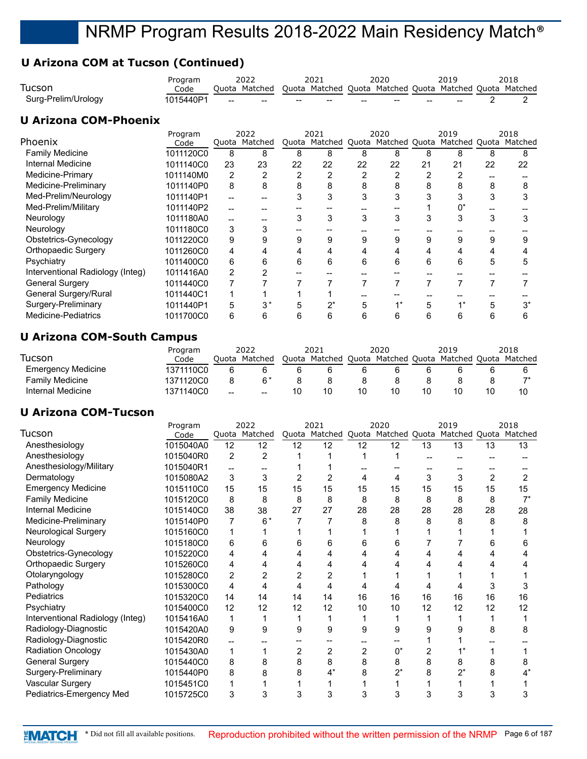## **U Arizona COM at Tucson (Continued)**

| Tucson                       | Program           |       | 2022                   |       | 2021                                                             |    | 2020    | 2019 | 2018 |
|------------------------------|-------------------|-------|------------------------|-------|------------------------------------------------------------------|----|---------|------|------|
| Surg-Prelim/Urology          | Code<br>1015440P1 | $- -$ | Quota Matched<br>$- -$ | $- -$ | Quota Matched Quota Matched Quota Matched Quota Matched<br>$- -$ | -- | $- -$   | --   |      |
| <b>U Arizona COM-Phoenix</b> |                   |       |                        |       | - - - -                                                          |    | - - - - |      |      |

|                                  | Program   |                | 2022          |    | 2021                              |    | 2020 |    | 2019                  |    | 2018 |
|----------------------------------|-----------|----------------|---------------|----|-----------------------------------|----|------|----|-----------------------|----|------|
| Phoenix                          | Code      |                | Quota Matched |    | Quota Matched Quota Matched Quota |    |      |    | Matched Quota Matched |    |      |
| <b>Family Medicine</b>           | 1011120C0 | 8              | 8             | 8  | 8                                 | 8  | 8    | 8  | 8                     | 8  |      |
| Internal Medicine                | 1011140C0 | 23             | 23            | 22 | 22                                | 22 | 22   | 21 | 21                    | 22 | 22   |
| Medicine-Primary                 | 1011140M0 | 2              | ◠             | 2  | $\overline{2}$                    |    | 2    | 2  |                       |    |      |
| Medicine-Preliminary             | 1011140P0 | 8              | 8             | 8  | 8                                 |    | 8    |    | 8                     |    |      |
| Med-Prelim/Neurology             | 1011140P1 |                |               |    | 3                                 |    | 3    |    |                       |    |      |
| Med-Prelim/Military              | 1011140P2 |                |               |    |                                   |    |      |    | 0*                    |    |      |
| Neurology                        | 1011180A0 |                |               |    | 3                                 | 3  | 3    | 3  | 3                     | 3  | 3    |
| Neurology                        | 1011180C0 | 3              |               |    |                                   |    |      |    |                       |    |      |
| Obstetrics-Gynecology            | 1011220C0 | 9              | 9             | 9  | 9                                 | 9  | 9    | 9  | 9                     | 9  | 9    |
| <b>Orthopaedic Surgery</b>       | 1011260C0 | 4              |               |    | 4                                 |    | 4    |    |                       |    |      |
| Psychiatry                       | 1011400C0 | 6              | 6             | 6  | 6                                 | 6  | 6    | 6  | 6                     | 5  | 5    |
| Interventional Radiology (Integ) | 1011416A0 | $\overline{2}$ |               |    |                                   |    |      |    |                       |    |      |
| <b>General Surgery</b>           | 1011440C0 |                |               |    |                                   |    |      |    |                       |    |      |
| General Surgery/Rural            | 1011440C1 |                |               |    |                                   |    |      |    |                       |    |      |
| Surgery-Preliminary              | 1011440P1 | 5              | $3^*$         |    | $2^*$                             | 5  |      | 5  |                       |    | 3*   |
| <b>Medicine-Pediatrics</b>       | 1011700C0 | 6              | 6             | 6  | 6                                 | 6  | 6    | 6  | 6                     | 6  | 6    |
|                                  |           |                |               |    |                                   |    |      |    |                       |    |      |

#### **U Arizona COM-South Campus**

|                           | Program   |        | 2022    |    | 2021                              |    | 2020 | 2019                  |    | 2018 |
|---------------------------|-----------|--------|---------|----|-----------------------------------|----|------|-----------------------|----|------|
| Tucson                    | Code      | Ouota  | Matched |    | Quota Matched Quota Matched Quota |    |      | Matched Quota Matched |    |      |
| <b>Emergency Medicine</b> | 1371110C0 |        |         |    |                                   |    |      |                       |    |      |
| <b>Family Medicine</b>    | 1371120C0 |        |         |    |                                   |    |      |                       |    |      |
| Internal Medicine         | 1371140C0 | $\sim$ | $- -$   | 10 | 10                                | 10 | 10   |                       | 10 |      |

## **U Arizona COM-Tucson**

|                                  | Program   |    | 2022           |    | 2021 |                | 2020  |                | 2019                                            |                | 2018    |
|----------------------------------|-----------|----|----------------|----|------|----------------|-------|----------------|-------------------------------------------------|----------------|---------|
| Tucson                           | Code      |    | Quota Matched  |    |      |                |       |                | Quota Matched Quota Matched Quota Matched Quota |                | Matched |
| Anesthesiology                   | 1015040A0 | 12 | 12             | 12 | 12   | 12             | 12    | 13             | 13                                              | 13             | 13      |
| Anesthesiology                   | 1015040R0 | 2  | 2              |    |      |                |       |                |                                                 |                |         |
| Anesthesiology/Military          | 1015040R1 | -- |                |    |      |                |       |                |                                                 |                |         |
| Dermatology                      | 1015080A2 | 3  | 3              |    |      | 4              | 4     | 3              | 3                                               | $\overline{2}$ |         |
| <b>Emergency Medicine</b>        | 1015110C0 | 15 | 15             | 15 | 15   | 15             | 15    | 15             | 15                                              | 15             | 15      |
| <b>Family Medicine</b>           | 1015120C0 | 8  | 8              | 8  | 8    | 8              | 8     | 8              | 8                                               | 8              | $7^*$   |
| <b>Internal Medicine</b>         | 1015140C0 | 38 | 38             | 27 | 27   | 28             | 28    | 28             | 28                                              | 28             | 28      |
| Medicine-Preliminary             | 1015140P0 | 7  | $6*$           |    |      | 8              | 8     | 8              | 8                                               | 8              | 8       |
| Neurological Surgery             | 1015160C0 |    |                |    |      |                |       |                |                                                 |                |         |
| Neurology                        | 1015180C0 | 6  | 6              | 6  | 6    | 6              | h     |                |                                                 | 6              | 6       |
| Obstetrics-Gynecology            | 1015220C0 | 4  | 4              | 4  | 4    |                |       | 4              |                                                 |                |         |
| Orthopaedic Surgery              | 1015260C0 | 4  | 4              | 4  | 4    |                |       | 4              |                                                 |                |         |
| Otolaryngology                   | 1015280C0 | 2  | $\overline{2}$ | 2  | 2    |                |       |                |                                                 |                |         |
| Pathology                        | 1015300C0 | 4  | 4              | 4  | 4    |                |       | 4              |                                                 | 3              | 3       |
| Pediatrics                       | 1015320C0 | 14 | 14             | 14 | 14   | 16             | 16    | 16             | 16                                              | 16             | 16      |
| Psychiatry                       | 1015400C0 | 12 | 12             | 12 | 12   | 10             | 10    | 12             | 12                                              | 12             | 12      |
| Interventional Radiology (Integ) | 1015416A0 | 1  |                |    |      |                |       |                |                                                 |                |         |
| Radiology-Diagnostic             | 1015420A0 | 9  | 9              | 9  | 9    | 9              | 9     | 9              | 9                                               | 8              | 8       |
| Radiology-Diagnostic             | 1015420R0 |    |                |    |      |                |       |                |                                                 |                |         |
| <b>Radiation Oncology</b>        | 1015430A0 |    |                | 2  | 2    | $\overline{2}$ | $0^*$ | $\overline{2}$ |                                                 |                |         |
| <b>General Surgery</b>           | 1015440C0 | 8  | 8              | 8  | 8    | 8              | 8     | 8              | 8                                               | 8              | 8       |
| Surgery-Preliminary              | 1015440P0 | 8  | 8              | 8  | 4*   | 8              | $2^*$ | 8              | 2*                                              | 8              |         |
| Vascular Surgery                 | 1015451C0 |    |                |    |      |                |       |                |                                                 |                |         |
| Pediatrics-Emergency Med         | 1015725C0 | 3  | 3              | 3  | 3    | 3              | 3     | 3              | 3                                               | 3              | 3       |
|                                  |           |    |                |    |      |                |       |                |                                                 |                |         |

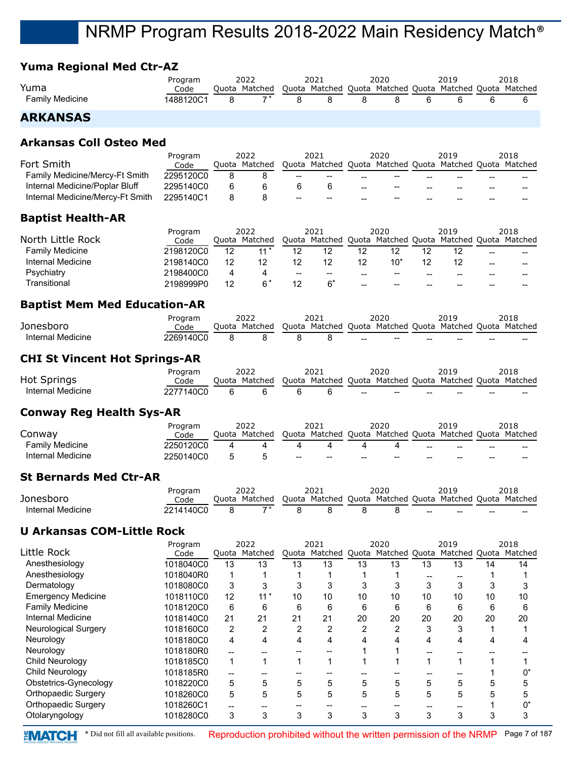## **Yuma Regional Med Ctr-AZ**

|                        | Program   | 2022          | 2021 | 2020 | 2019 | 2018                                                    |
|------------------------|-----------|---------------|------|------|------|---------------------------------------------------------|
| Yuma                   | Code      | Ouota Matched |      |      |      | Quota Matched Quota Matched Quota Matched Quota Matched |
| <b>Family Medicine</b> | 1488120C1 |               |      |      |      |                                                         |

## **ARKANSAS**

#### **Arkansas Coll Osteo Med**

|                                  | Program   | 2022          |                          | 2021                                                    |     | 2020              |    | 2019  |    | 2018  |
|----------------------------------|-----------|---------------|--------------------------|---------------------------------------------------------|-----|-------------------|----|-------|----|-------|
| Fort Smith                       | Code      | Ouota Matched |                          | Quota Matched Quota Matched Quota Matched Quota Matched |     |                   |    |       |    |       |
| Family Medicine/Mercy-Ft Smith   | 2295120C0 |               | $\overline{\phantom{a}}$ | $- -$                                                   | --  | $- -$             |    | --    | -- |       |
| Internal Medicine/Poplar Bluff   | 2295140C0 |               |                          |                                                         | $-$ | $\hspace{0.05cm}$ | -- | $- -$ | -- | $- -$ |
| Internal Medicine/Mercy-Ft Smith | 2295140C1 |               | $\overline{\phantom{a}}$ | $- -$                                                   | --  | $- -$             | -- | --    | -- | --    |

#### **Baptist Health-AR**

|                        | Program   | 2022  |         | 2021  |                     | 2020            |                                                   |    | 2019                  |    | 2018  |
|------------------------|-----------|-------|---------|-------|---------------------|-----------------|---------------------------------------------------|----|-----------------------|----|-------|
| North Little Rock      | Code      | Ouota | Matched |       | Quota Matched Quota |                 | Matched Quota                                     |    | Matched Quota Matched |    |       |
| <b>Family Medicine</b> | 2198120C0 | 12    | $11*$   | 12    | 12                  | 12              | 12                                                |    |                       | -- | $- -$ |
| Internal Medicine      | 2198140C0 | 12    |         | 12    | 12                  |                 | $10^{\circ}$                                      |    |                       | -- | $- -$ |
| Psychiatry             | 2198400C0 | Δ     |         | $- -$ | $- -$               | $\qquad \qquad$ | $- -$                                             | -- | --                    | -- |       |
| Transitional           | 2198999P0 | 12    |         | 12    |                     | $- -$           | $\hspace{0.05cm}-\hspace{0.05cm}-\hspace{0.05cm}$ | -- | --                    | -- | $- -$ |

#### **Baptist Mem Med Education-AR**

|                   |           |       | ררחר    |       |         |       | 2020    |       | 2019    |       | 2018    |
|-------------------|-----------|-------|---------|-------|---------|-------|---------|-------|---------|-------|---------|
| Jonesboro         | Code      | วuota | Matched | Duota | Matched | Ouota | Matched | Ouota | Matched | Ouota | Matched |
| Internal Medicine | 2269140CC |       |         |       |         | $- -$ | $- -$   | $- -$ | $- -$   | $- -$ | $- -$   |

## **CHI St Vincent Hot Springs-AR**

|                    | Program   | 2022          | 2021                                                    |        | 2020                                           |    | 2019  |       | 2018 |
|--------------------|-----------|---------------|---------------------------------------------------------|--------|------------------------------------------------|----|-------|-------|------|
| <b>Hot Springs</b> | Code      | Ouota Matched | Ouota Matched Ouota Matched Ouota Matched Ouota Matched |        |                                                |    |       |       |      |
| Internal Medicine  | 2277140C0 |               |                                                         | $\sim$ | $\hspace{0.1mm}-\hspace{0.1mm}-\hspace{0.1mm}$ | -- | $- -$ | $- -$ | ---  |

## **Conway Reg Health Sys-AR**

|                   | Program   | 2022          |                                                | 2021                                                    |       | 2020 |     | 2019 |     | 2018  |
|-------------------|-----------|---------------|------------------------------------------------|---------------------------------------------------------|-------|------|-----|------|-----|-------|
| Conway            | Code      | Ouota Matched |                                                | Quota Matched Quota Matched Quota Matched Quota Matched |       |      |     |      |     |       |
| Family Medicine   | 2250120C0 |               |                                                |                                                         |       |      | $-$ | $-$  | $-$ | $- -$ |
| Internal Medicine | 2250140C0 |               | $\hspace{0.1mm}-\hspace{0.1mm}-\hspace{0.1mm}$ | $- -$                                                   | $- -$ | $-$  | --  | --   | --  | $- -$ |

#### **St Bernards Med Ctr-AR**

|                   | Program   | 2022            | 2021 | 2020 |     | 2019                                                    |     | 2018  |
|-------------------|-----------|-----------------|------|------|-----|---------------------------------------------------------|-----|-------|
| Jonesboro         | Code      | Ouota Matched   |      |      |     | Quota Matched Quota Matched Quota Matched Quota Matched |     |       |
| Internal Medicine | 2214140C0 | $\rightarrow$ * |      |      | $-$ | $-$                                                     | $-$ | $- -$ |

## **U Arkansas COM-Little Rock**

|                           | Program   |    | 2022          |    | 2021          |    | 2020                |    | 2019                  |    | 2018 |
|---------------------------|-----------|----|---------------|----|---------------|----|---------------------|----|-----------------------|----|------|
| Little Rock               | Code      |    | Quota Matched |    | Quota Matched |    | Quota Matched Quota |    | Matched Quota Matched |    |      |
| Anesthesiology            | 1018040C0 | 13 | 13            | 13 | 13            | 13 | 13                  | 13 | 13                    | 14 | 14   |
| Anesthesiology            | 1018040R0 |    |               |    |               |    |                     |    |                       |    |      |
| Dermatology               | 1018080C0 | 3  | 3             |    | 3             |    |                     | 3  | 3                     |    |      |
| <b>Emergency Medicine</b> | 1018110C0 | 12 | $11*$         | 10 | 10            | 10 | 10                  | 10 | 10 <sup>°</sup>       | 10 | 10   |
| <b>Family Medicine</b>    | 1018120C0 | 6  | 6             | 6  | 6             | 6  | 6                   | 6  | 6                     | 6  | 6    |
| Internal Medicine         | 1018140C0 | 21 | 21            | 21 | 21            | 20 | 20                  | 20 | 20                    | 20 | 20   |
| Neurological Surgery      | 1018160C0 | 2  | 2             | 2  | 2             | 2  | 2                   | 3  | 3                     |    |      |
| Neurology                 | 1018180C0 | 4  | 4             | 4  | 4             |    |                     | 4  | 4                     | 4  |      |
| Neurology                 | 1018180R0 |    |               |    |               |    |                     |    |                       |    |      |
| Child Neurology           | 1018185C0 |    |               |    |               |    |                     |    |                       |    |      |
| Child Neurology           | 1018185R0 |    |               |    |               |    |                     |    |                       |    |      |
| Obstetrics-Gynecology     | 1018220C0 | 5  | 5             | 5  | 5             | 5  | 5                   | 5  | 5                     |    |      |
| Orthopaedic Surgery       | 1018260C0 | 5  | 5             | 5  | 5             | 5  | 5                   | 5  | 5                     |    |      |
| Orthopaedic Surgery       | 1018260C1 |    |               |    |               |    |                     |    |                       |    |      |
| Otolaryngology            | 1018280C0 | 3  |               | ⌒  | 3             | 3  | 3                   | ົ  | 3                     |    |      |

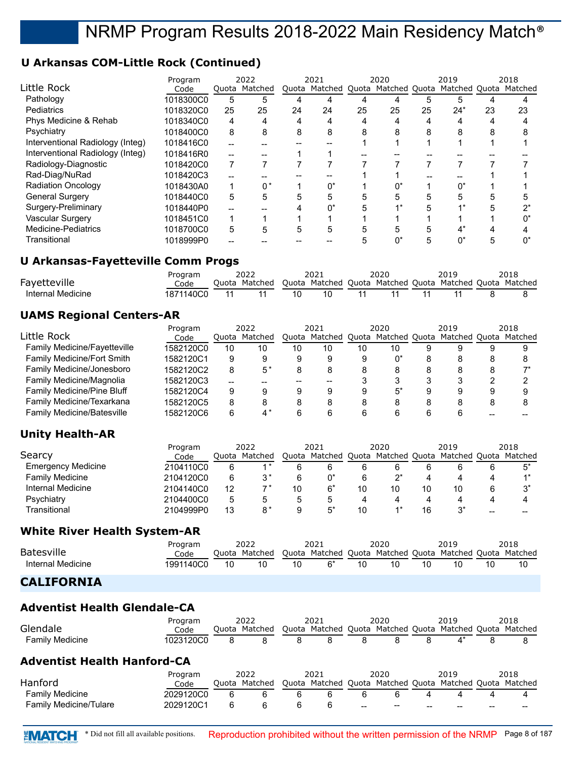## **U Arkansas COM-Little Rock (Continued)**

|                                  | Program   |    | 2022          |    | 2021                                                    |    | 2020 |    | 2019           |    | 2018 |
|----------------------------------|-----------|----|---------------|----|---------------------------------------------------------|----|------|----|----------------|----|------|
| Little Rock                      | Code      |    | Quota Matched |    | Quota Matched Quota Matched Quota Matched Quota Matched |    |      |    |                |    |      |
| Pathology                        | 1018300C0 | 5  |               |    |                                                         |    |      |    |                |    |      |
| <b>Pediatrics</b>                | 1018320C0 | 25 | 25            | 24 | 24                                                      | 25 | 25   | 25 | 24*            | 23 | 23   |
| Phys Medicine & Rehab            | 1018340C0 | 4  |               | 4  | 4                                                       |    | 4    | 4  | 4              |    |      |
| Psychiatry                       | 1018400C0 | 8  | 8             | 8  | 8                                                       |    | 8    | 8  | 8              | 8  |      |
| Interventional Radiology (Integ) | 1018416C0 |    |               |    |                                                         |    |      |    |                |    |      |
| Interventional Radiology (Integ) | 1018416R0 |    |               |    |                                                         |    |      |    |                |    |      |
| Radiology-Diagnostic             | 1018420C0 |    |               |    |                                                         |    |      |    |                |    |      |
| Rad-Diag/NuRad                   | 1018420C3 |    |               |    |                                                         |    |      |    |                |    |      |
| <b>Radiation Oncology</b>        | 1018430A0 | 1  | 0*            |    | 0*                                                      |    | n*   |    | U <sub>*</sub> |    |      |
| <b>General Surgery</b>           | 1018440C0 | 5  | 5             |    | 5                                                       |    |      | 5  |                |    |      |
| Surgery-Preliminary              | 1018440P0 |    |               |    | U,                                                      |    |      |    |                |    |      |
| Vascular Surgery                 | 1018451C0 | 1  |               |    |                                                         |    |      |    |                |    |      |
| <b>Medicine-Pediatrics</b>       | 1018700C0 | 5  | 5             | 5  | 5                                                       |    | 5    | 5  |                |    |      |
| Transitional                     | 1018999P0 |    |               |    |                                                         |    |      | 5  | U <sub>*</sub> |    |      |

## **U Arkansas-Fayetteville Comm Progs**

|                   |           |       |         |       |         | 2020 |                                           | 2018 |
|-------------------|-----------|-------|---------|-------|---------|------|-------------------------------------------|------|
| Fayetteville      | Code      | Ouota | Matched | Ouota | Matched |      | Ouota Matched Ouota Matched Ouota Matched |      |
| Internal Medicine | 1871140C0 |       |         |       |         |      |                                           |      |

## **UAMS Regional Centers-AR**

|                                     | Program   | 2022 |               | 2021 |                                                         | 2020 |    | 2019 |  |   | 2018 |
|-------------------------------------|-----------|------|---------------|------|---------------------------------------------------------|------|----|------|--|---|------|
| Little Rock                         | Code      |      | Ouota Matched |      | Quota Matched Quota Matched Quota Matched Quota Matched |      |    |      |  |   |      |
| <b>Family Medicine/Fayetteville</b> | 1582120C0 | 10   | 10            | 10   | 10                                                      | 10   | 10 |      |  |   |      |
| Family Medicine/Fort Smith          | 1582120C1 | 9    |               | 9    |                                                         | 9    |    |      |  | 8 |      |
| Family Medicine/Jonesboro           | 1582120C2 | 8    | 5*            | 8    |                                                         | 8    |    |      |  | 8 |      |
| Family Medicine/Magnolia            | 1582120C3 |      |               |      |                                                         |      |    |      |  |   |      |
| Family Medicine/Pine Bluff          | 1582120C4 | 9    |               | 9    | 9                                                       | 9    |    |      |  |   |      |
| Family Medicine/Texarkana           | 1582120C5 | 8    |               | 8    |                                                         | 8    |    |      |  | 8 |      |
| <b>Family Medicine/Batesville</b>   | 1582120C6 | 6    |               |      |                                                         |      |    |      |  |   |      |

## **Unity Health-AR**

|                           | Program   |       | 2022    |       | 2021                        |    | 2020 |    | 2019          |    | 2018    |
|---------------------------|-----------|-------|---------|-------|-----------------------------|----|------|----|---------------|----|---------|
| Searcy                    | Code      | Ouota | Matched | Ouota | Matched Quota Matched Quota |    |      |    | Matched Quota |    | Matched |
| <b>Emergency Medicine</b> | 2104110C0 | 6     |         | 6     |                             | 6  |      |    |               | 6  |         |
| <b>Family Medicine</b>    | 2104120C0 | 6     |         | 6     |                             | 6  | ∩∗   |    |               | 4  |         |
| Internal Medicine         | 2104140C0 | 12    |         | 10    |                             | 10 | 10   |    | 10            | h  |         |
| Psychiatry                | 2104400C0 | 5     |         |       |                             | 4  |      |    |               |    |         |
| Transitional              | 2104999P0 | 13    |         | a     |                             | 10 |      | 16 |               | -- |         |

## **White River Health System-AR**

| Batesville        | Program<br>Code |    | 2022<br>Quota Matched |    | 2021 |    | 2020 | 2019<br>Quota Matched Quota Matched Quota Matched Quota Matched |    | 2018 |
|-------------------|-----------------|----|-----------------------|----|------|----|------|-----------------------------------------------------------------|----|------|
| Internal Medicine | 1991140C0       | 10 | 10                    | 10 |      | 10 | 10   |                                                                 | 10 |      |
| ----------        |                 |    |                       |    |      |    |      |                                                                 |    |      |

## **CALIFORNIA**

## **Adventist Health Glendale-CA**

| Glendale                           | Program<br>Code |   | 2022<br>Ouota Matched |   | 2021<br>Quota Matched Quota Matched Quota Matched Quota Matched |   | 2020 |   | 2019 |   | 2018 |
|------------------------------------|-----------------|---|-----------------------|---|-----------------------------------------------------------------|---|------|---|------|---|------|
| <b>Family Medicine</b>             | 1023120C0       | 8 | 8                     | 8 | 8                                                               |   | 8    | 8 | Δ*   |   | 8    |
| <b>Adventist Health Hanford-CA</b> |                 |   |                       |   |                                                                 |   |      |   |      |   |      |
|                                    | Program         |   | 2022                  |   | 2021                                                            |   | 2020 |   | 2019 |   | 2018 |
| Hanford                            | Code            |   | Ouota Matched         |   | Quota Matched Quota Matched Quota Matched Quota Matched         |   |      |   |      |   |      |
| <b>Family Medicine</b>             | 2029120C0       | 6 | 6                     | 6 | 6                                                               | 6 | 6    |   |      | 4 | 4    |
| <b>Family Medicine/Tulare</b>      | 2029120C1       | 6 | 6                     | 6 | 6                                                               |   |      |   |      |   |      |

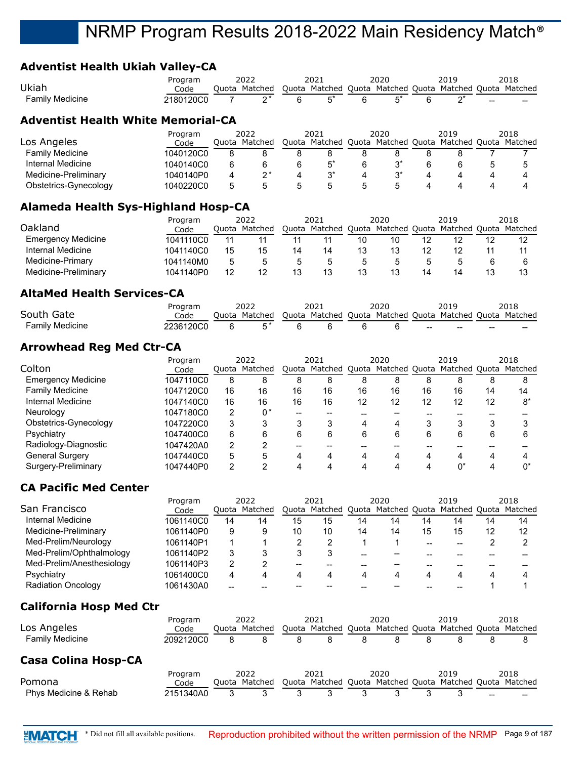## **Adventist Health Ukiah Valley-CA**

| Ukiah           | Program<br>Code | 2022<br>Quota Matched Quota Matched Quota Matched Quota Matched Quota Matched |          | 2021  |     | 2020 | 2019 |                          | 2018  |
|-----------------|-----------------|-------------------------------------------------------------------------------|----------|-------|-----|------|------|--------------------------|-------|
| Family Medicine | 2180120C0       | っ*                                                                            | <b>6</b> | $5^*$ | - 6 |      |      | $\overline{\phantom{a}}$ | $- -$ |

## **Adventist Health White Memorial-CA**

|                        | Program   |       | 2022    | 2021          |       | 2020          | 2019          | 2018    |
|------------------------|-----------|-------|---------|---------------|-------|---------------|---------------|---------|
| Los Angeles            | Code      | Ouota | Matched | Quota Matched | Quota | Matched Quota | Matched Quota | Matched |
| <b>Family Medicine</b> | 1040120C0 |       |         |               |       |               |               |         |
| Internal Medicine      | 1040140C0 |       |         |               |       |               |               |         |
| Medicine-Preliminary   | 1040140P0 |       |         |               | 4     |               |               |         |
| Obstetrics-Gynecology  | 1040220C0 | 5     |         |               |       |               |               |         |

## **Alameda Health Sys-Highland Hosp-CA**

|                           | Program   |       | 2022    |       | 2021                        |    | 2020 |    | 2019          |    | 2018    |
|---------------------------|-----------|-------|---------|-------|-----------------------------|----|------|----|---------------|----|---------|
| <b>Oakland</b>            | Code      | Ouota | Matched | Quota | Matched Quota Matched Quota |    |      |    | Matched Quota |    | Matched |
| <b>Emergency Medicine</b> | 1041110C0 | 11    |         |       |                             | 10 | 10   |    |               | 12 | 12      |
| Internal Medicine         | 1041140C0 | 15    | 15      | 14    | 14                          | 13 | 13   |    |               |    |         |
| Medicine-Primary          | 1041140M0 | 5     |         |       |                             | 5. |      |    |               |    |         |
| Medicine-Preliminary      | 1041140P0 | 12    |         | 13    | 13                          | 13 | 13   | 14 |               | 13 | 13      |

## **AltaMed Health Services-CA**

|                 | Program   | 2022          |  | 2020 |     | 2019                                                    |       | 2018 |
|-----------------|-----------|---------------|--|------|-----|---------------------------------------------------------|-------|------|
| South Gate      | Code      | Ouota Matched |  |      |     | Quota Matched Quota Matched Quota Matched Quota Matched |       |      |
| Family Medicine | 2236120C0 |               |  |      | $-$ | --                                                      | $- -$ | ---  |

## **Arrowhead Reg Med Ctr-CA**

| Colton                    | Program<br>Code |    | 2022<br>Quota Matched |    | 2021<br>Quota Matched Quota Matched Quota |    | 2020 |    | 2019<br>Matched Quota Matched |    | 2018 |
|---------------------------|-----------------|----|-----------------------|----|-------------------------------------------|----|------|----|-------------------------------|----|------|
| <b>Emergency Medicine</b> | 1047110C0       | 8  | 8                     | 8  | 8                                         | 8  | 8    | 8  | 8                             | 8  | 8    |
| <b>Family Medicine</b>    | 1047120C0       | 16 | 16                    | 16 | 16                                        | 16 | 16   | 16 | 16                            | 14 | 14   |
| Internal Medicine         | 1047140C0       | 16 | 16                    | 16 | 16                                        | 12 | 12   | 12 | 12                            | 12 | $8*$ |
| Neurology                 | 1047180C0       | 2  | $0^*$                 | -- |                                           |    |      |    |                               |    |      |
| Obstetrics-Gynecology     | 1047220C0       | 3  |                       | 3  | 3                                         | 4  | 4    |    | 3                             | 3  |      |
| Psychiatry                | 1047400C0       | 6  | 6                     | 6  | 6                                         | 6  | 6    | 6  | 6                             | 6  | 6    |
| Radiology-Diagnostic      | 1047420A0       | 2  |                       | -- |                                           |    |      |    |                               |    |      |
| <b>General Surgery</b>    | 1047440C0       | 5  |                       | 4  | 4                                         | 4  | 4    | Δ  | 4                             | 4  |      |
| Surgery-Preliminary       | 1047440P0       | 2  |                       |    |                                           | Δ  | Δ    |    | $0^*$                         | 4  |      |

## **CA Pacific Med Center**

|                           | Program   |    | 2022          |    | 2021                                            |    | 2020 |    | 2019 |    | 2018    |
|---------------------------|-----------|----|---------------|----|-------------------------------------------------|----|------|----|------|----|---------|
| San Francisco             | Code      |    | Ouota Matched |    | Quota Matched Quota Matched Quota Matched Quota |    |      |    |      |    | Matched |
| Internal Medicine         | 1061140C0 | 14 | 14            | 15 | 15                                              | 14 | 14   | 14 | 14   | 14 | 14      |
| Medicine-Preliminary      | 1061140P0 | 9  |               | 10 | 10                                              | 14 | 14   | 15 | 15   | 12 | 12      |
| Med-Prelim/Neurology      | 1061140P1 |    |               |    |                                                 |    |      |    |      |    |         |
| Med-Prelim/Ophthalmology  | 1061140P2 | 3  |               | 3  |                                                 |    |      |    |      |    |         |
| Med-Prelim/Anesthesiology | 1061140P3 | 2  |               | -- |                                                 |    | --   |    |      |    |         |
| Psychiatry                | 1061400C0 | 4  |               | 4  |                                                 | Δ  | 4    |    |      | Δ  |         |
| <b>Radiation Oncology</b> | 1061430A0 |    |               |    |                                                 |    |      |    |      |    |         |

## **California Hosp Med Ctr**

| Los Angeles                | Program<br>Code |   | 2022<br>Ouota Matched |   | 2021<br>Quota Matched Quota Matched Quota Matched Quota Matched | 2020 | 2019 |    | 2018                                                    |
|----------------------------|-----------------|---|-----------------------|---|-----------------------------------------------------------------|------|------|----|---------------------------------------------------------|
| <b>Family Medicine</b>     | 2092120C0       | 8 |                       | 8 | 8                                                               |      |      |    |                                                         |
| <b>Casa Colina Hosp-CA</b> |                 |   |                       |   |                                                                 |      |      |    |                                                         |
|                            | Program         |   | 2022                  |   | 2021                                                            | 2020 | 2019 |    | 2018                                                    |
| Pomona                     | Code            |   | Ouota Matched         |   |                                                                 |      |      |    | Quota Matched Quota Matched Quota Matched Quota Matched |
| Phys Medicine & Rehab      | 2151340A0       | 2 |                       |   |                                                                 |      |      | -- | $- -$                                                   |

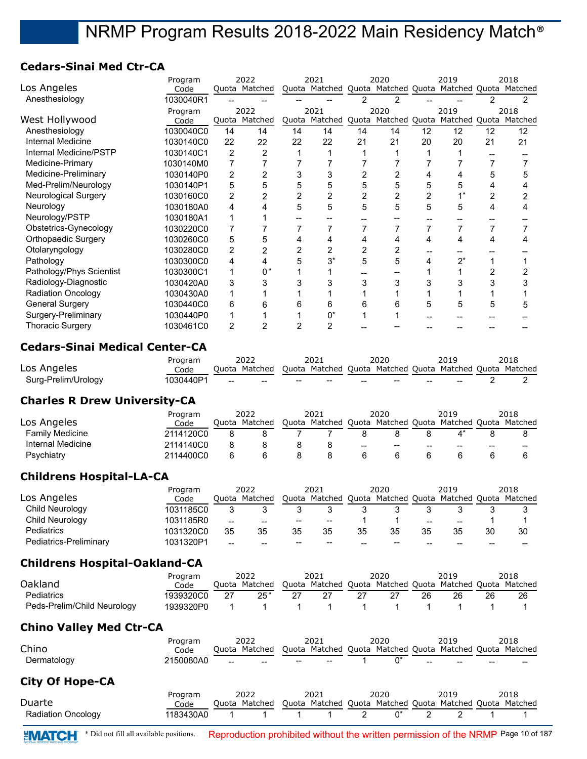## **Cedars-Sinai Med Ctr-CA**

|                             | Program   |    | 2022          |    | 2021                                                    |    | 2020                |                | 2019                  |    | 2018 |
|-----------------------------|-----------|----|---------------|----|---------------------------------------------------------|----|---------------------|----------------|-----------------------|----|------|
| Los Angeles                 | Code      |    | Quota Matched |    | Quota Matched Quota Matched Quota Matched Quota Matched |    |                     |                |                       |    |      |
| Anesthesiology              | 1030040R1 |    |               |    |                                                         |    | 2                   |                |                       |    | 2    |
|                             | Program   |    | 2022          |    | 2021                                                    |    | 2020                |                | 2019                  |    | 2018 |
| West Hollywood              | Code      |    | Quota Matched |    | Quota Matched                                           |    | Quota Matched Quota |                | Matched Quota Matched |    |      |
| Anesthesiology              | 1030040C0 | 14 | 14            | 14 | 14                                                      | 14 | 14                  | 12             | 12                    | 12 | 12   |
| Internal Medicine           | 1030140C0 | 22 | 22            | 22 | 22                                                      | 21 | 21                  | 20             | 20                    | 21 | 21   |
| Internal Medicine/PSTP      | 1030140C1 | 2  | 2             |    |                                                         |    |                     |                |                       |    |      |
| Medicine-Primary            | 1030140M0 |    |               |    |                                                         |    |                     |                |                       |    |      |
| Medicine-Preliminary        | 1030140P0 | 2  | 2             |    | 3                                                       |    |                     |                |                       |    |      |
| Med-Prelim/Neurology        | 1030140P1 | 5  | 5             | 5  | 5                                                       | 5  | 5                   | 5              | 5                     |    |      |
| <b>Neurological Surgery</b> | 1030160C0 | 2  |               |    | 2                                                       |    | 2                   | $\overline{2}$ |                       | 2  |      |
| Neurology                   | 1030180A0 | 4  |               | 5  | 5                                                       | 5  | 5                   | 5              | 5                     |    |      |
| Neurology/PSTP              | 1030180A1 |    |               |    |                                                         |    |                     |                |                       |    |      |
| Obstetrics-Gynecology       | 1030220C0 |    |               |    |                                                         |    |                     |                |                       |    |      |
| Orthopaedic Surgery         | 1030260C0 | 5  | 5             |    | 4                                                       | 4  | 4                   | 4              | 4                     | 4  |      |
| Otolaryngology              | 1030280C0 | 2  |               |    |                                                         |    | 2                   |                |                       |    |      |
| Pathology                   | 1030300C0 | 4  |               |    | $3^*$                                                   | 5  | 5                   |                | $2^*$                 |    |      |
| Pathology/Phys Scientist    | 1030300C1 |    | 0*            |    |                                                         |    |                     |                |                       |    |      |
| Radiology-Diagnostic        | 1030420A0 | 3  | 3             |    |                                                         |    | 3                   | 3              |                       |    |      |
| <b>Radiation Oncology</b>   | 1030430A0 |    |               |    |                                                         |    |                     |                |                       |    |      |
| <b>General Surgery</b>      | 1030440C0 | 6  | 6             | ĥ  | 6                                                       | 6  | 6                   | 5              | 5                     | 5  | 5    |
| Surgery-Preliminary         | 1030440P0 |    |               |    | n*                                                      |    |                     |                |                       |    |      |
| <b>Thoracic Surgery</b>     | 1030461C0 | 2  |               |    |                                                         |    |                     |                |                       |    |      |

#### **Cedars-Sinai Medical Center-CA**

|                     | Program   |     | 2022                                                                  |                          | 2021   |     | 2020                                           |     | 2019 | 2018 |
|---------------------|-----------|-----|-----------------------------------------------------------------------|--------------------------|--------|-----|------------------------------------------------|-----|------|------|
| Los Angeles         | Code      |     | Quota Matched Quota Matched Quota Matched Quota Matched Quota Matched |                          |        |     |                                                |     |      |      |
| Surg-Prelim/Urology | 1030440P1 | $-$ | $-$                                                                   | $\overline{\phantom{a}}$ | $\sim$ | $-$ | $\hspace{0.1mm}-\hspace{0.1mm}-\hspace{0.1mm}$ | $-$ |      |      |

## **Charles R Drew University-CA**

|                        | Program   |       | 2022    | 2021                              |     | 2020             |    | 2019          |    | 2018    |
|------------------------|-----------|-------|---------|-----------------------------------|-----|------------------|----|---------------|----|---------|
| Los Angeles            | Code      | Ouota | Matched | Quota Matched Quota Matched Quota |     |                  |    | Matched Quota |    | Matched |
| <b>Family Medicine</b> | 2114120C0 |       |         |                                   |     |                  |    |               |    |         |
| Internal Medicine      | 2114140C0 |       |         |                                   | $-$ | $\hspace{0.5cm}$ | -- | --            | -- | --      |
| Psychiatry             | 2114400C0 |       |         |                                   |     |                  |    |               |    |         |

## **Childrens Hospital-LA-CA**

|                        | Program   |       | 2022          |                                                   | 2021                                            |       | 2020  |    | 2019  |    | 2018    |
|------------------------|-----------|-------|---------------|---------------------------------------------------|-------------------------------------------------|-------|-------|----|-------|----|---------|
| Los Angeles            | Code      |       | Ouota Matched |                                                   | Quota Matched Quota Matched Quota Matched Quota |       |       |    |       |    | Matched |
| Child Neurology        | 1031185C0 |       |               |                                                   |                                                 |       |       |    |       |    |         |
| Child Neurology        | 1031185R0 | $-$   | $-$           | $\hspace{0.05cm}-\hspace{0.05cm}$                 | $- -$                                           |       |       | -- | $- -$ |    |         |
| Pediatrics             | 1031320C0 | 35    | 35            | 35                                                | 35                                              | 35    | 35    | 35 | 35    | 30 | 30      |
| Pediatrics-Preliminary | 1031320P1 | $- -$ | $- -$         | $\hspace{0.05cm}-\hspace{0.05cm}-\hspace{0.05cm}$ | $- -$                                           | $- -$ | $- -$ | -- | --    | -- | --      |

## **Childrens Hospital-Oakland-CA**

|                             | Program   | 2022          | 2021                                                    | 2020 | 2019 |    | 2018 |
|-----------------------------|-----------|---------------|---------------------------------------------------------|------|------|----|------|
| Oakland                     | Code      | Quota Matched | Ouota Matched Quota Matched Quota Matched Quota Matched |      |      |    |      |
| Pediatrics                  | 1939320C0 | $25*$         |                                                         |      | 26   | 26 |      |
| Peds-Prelim/Child Neurology | 1939320P0 |               |                                                         |      |      |    |      |

## **Chino Valley Med Ctr-CA**

| Chino                  | Program<br>Code | 2022<br>Ouota Matched | 2021                     | 2020<br>Quota Matched Quota Matched Quota Matched Quota Matched | 2019 | 2018        |
|------------------------|-----------------|-----------------------|--------------------------|-----------------------------------------------------------------|------|-------------|
| Dermatology            | 2150080A0       | $- -$<br>--           | $\qquad \qquad$<br>$- -$ | n*                                                              |      | $- -$<br>-- |
| <b>City Of Hope-CA</b> |                 |                       |                          |                                                                 |      |             |
| Duarte                 | Program<br>Code | 2022<br>Quota Matched | 2021                     | 2020<br>Quota Matched Quota Matched Quota Matched Quota Matched | 2019 | 2018        |

| uarte                     | Code      | Ouota | Matched | Duota | Matched | Duotal | Matched | Ouota | Matched | Ouota | Matched |  |
|---------------------------|-----------|-------|---------|-------|---------|--------|---------|-------|---------|-------|---------|--|
| <b>Radiation Oncology</b> | 1183430A0 |       |         |       |         |        |         |       |         |       |         |  |
|                           |           |       |         |       |         |        |         |       |         |       |         |  |

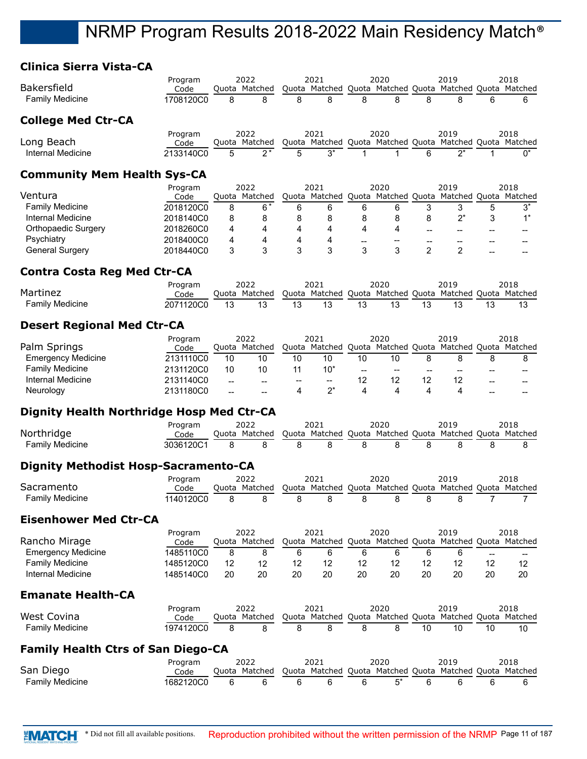## **Clinica Sierra Vista-CA**

| CIIIILA JIEHA VISLA-LA                 |                              |    |                                |    |               |    |                     |                |                                                                          |    |               |
|----------------------------------------|------------------------------|----|--------------------------------|----|---------------|----|---------------------|----------------|--------------------------------------------------------------------------|----|---------------|
| Bakersfield                            | Program<br>Code              |    | 2022<br>Quota Matched          |    | 2021          |    | 2020                |                | 2019<br>Quota Matched Quota Matched Quota Matched Quota Matched          |    | 2018          |
| <b>Family Medicine</b>                 | 1708120C0                    | 8  | 8                              | 8  | 8             | 8  | 8                   | 8              | 8                                                                        | 6  | 6             |
|                                        |                              |    |                                |    |               |    |                     |                |                                                                          |    |               |
| <b>College Med Ctr-CA</b>              |                              |    |                                |    |               |    |                     |                |                                                                          |    |               |
| Long Beach<br><b>Internal Medicine</b> | Program<br>Code<br>2133140C0 | 5  | 2022<br>Quota Matched<br>$2^*$ | 5  | 2021<br>$3^*$ |    | 2020                | 6              | 2019<br>Quota Matched Quota Matched Quota Matched Quota Matched<br>$2^*$ |    | 2018<br>$0^*$ |
|                                        |                              |    |                                |    |               |    |                     |                |                                                                          |    |               |
| <b>Community Mem Health Sys-CA</b>     |                              |    |                                |    |               |    |                     |                |                                                                          |    |               |
|                                        | Program                      |    | 2022                           |    | 2021          |    | 2020                |                | 2019                                                                     |    | 2018          |
| Ventura                                | Code                         |    | Quota Matched                  |    | Quota Matched |    | Quota Matched Quota |                | Matched Quota                                                            |    | Matched       |
| <b>Family Medicine</b>                 | 2018120C0                    | 8  | 6*                             | 6  | 6             | 6  | 6                   | 3              | 3                                                                        | 5  | $3^*$         |
| Internal Medicine                      | 2018140C0                    | 8  | 8                              | 8  | 8             | 8  | 8                   | 8              | $2^*$                                                                    | 3  | $1^*$         |
| <b>Orthopaedic Surgery</b>             | 2018260C0                    | 4  | 4                              | 4  | 4             | 4  | 4                   |                |                                                                          |    |               |
| Psychiatry                             | 2018400C0                    | 4  | 4                              | 4  | 4             | -- |                     |                | $\overline{\phantom{a}}$                                                 |    |               |
| <b>General Surgery</b>                 | 2018440C0                    | 3  | 3                              | 3  | 3             | 3  | 3                   | $\mathfrak{p}$ | $\overline{2}$                                                           |    |               |
| <b>Contra Costa Reg Med Ctr-CA</b>     |                              |    |                                |    |               |    |                     |                |                                                                          |    |               |
|                                        | Program                      |    | 2022                           |    | 2021          |    | 2020                |                | 2019                                                                     |    | 2018          |
| Martinez                               | Code                         |    | Quota Matched                  |    |               |    |                     |                | Quota Matched Quota Matched Quota Matched Quota Matched                  |    |               |
| <b>Family Medicine</b>                 | 2071120C0                    | 13 | 13                             | 13 | 13            | 13 | 13                  | 13             | 13                                                                       | 13 | 13            |
| <b>Desert Regional Med Ctr-CA</b>      |                              |    |                                |    |               |    |                     |                |                                                                          |    |               |
|                                        |                              |    |                                |    | $- - -$       |    | $- - - -$           |                |                                                                          |    |               |

|                           | Program   |                                                | 2022          |       | 2021                |       | 2020                     |    | 2019                  |                 | 2018  |
|---------------------------|-----------|------------------------------------------------|---------------|-------|---------------------|-------|--------------------------|----|-----------------------|-----------------|-------|
| Palm Springs              | Code      |                                                | Ouota Matched |       | Quota Matched Quota |       | Matched Quota            |    | Matched Quota Matched |                 |       |
| <b>Emergency Medicine</b> | 2131110C0 | 10                                             |               | 10    | 10                  | 10    |                          |    |                       |                 |       |
| <b>Family Medicine</b>    | 2131120C0 | 10                                             |               |       | 10*                 | $- -$ | $\overline{\phantom{m}}$ | -- | $- -$                 | --              |       |
| Internal Medicine         | 2131140C0 | $- -$                                          | --            | $- -$ | $- -$               |       |                          |    |                       | $\qquad \qquad$ | $- -$ |
| Neurology                 | 2131180C0 | $\hspace{0.1mm}-\hspace{0.1mm}-\hspace{0.1mm}$ | --            |       |                     |       |                          |    |                       | $\qquad \qquad$ | $- -$ |

## **Dignity Health Northridge Hosp Med Ctr-CA**

|                 | Program   | 2022          | 2021                                                    | 2020 | 2019 | 2018 |
|-----------------|-----------|---------------|---------------------------------------------------------|------|------|------|
| Northridge      | Code      | Ouota Matched | Ouota Matched Ouota Matched Ouota Matched Ouota Matched |      |      |      |
| Family Medicine | 3036120C1 |               |                                                         |      |      |      |

## **Dignity Methodist Hosp-Sacramento-CA**

| Sacramento                                | Program<br>Code |    | 2022<br>Quota Matched |    | 2021<br>Quota Matched Quota Matched Quota |    | 2020  |    | 2019 |    | 2018<br>Matched Quota Matched |
|-------------------------------------------|-----------------|----|-----------------------|----|-------------------------------------------|----|-------|----|------|----|-------------------------------|
| <b>Family Medicine</b>                    | 1140120C0       | 8  | 8                     | 8  | 8                                         | 8  | 8     | 8  | 8    |    |                               |
| <b>Eisenhower Med Ctr-CA</b>              |                 |    |                       |    |                                           |    |       |    |      |    |                               |
|                                           | Program         |    | 2022                  |    | 2021                                      |    | 2020  |    | 2019 |    | 2018                          |
| Rancho Mirage                             | Code            |    | Quota Matched         |    | Quota Matched Quota Matched Quota         |    |       |    |      |    | Matched Quota Matched         |
| <b>Emergency Medicine</b>                 | 1485110C0       | 8  | 8                     | 6  | 6                                         | 6  | 6     | 6  | 6    |    |                               |
| <b>Family Medicine</b>                    | 1485120C0       | 12 | 12                    | 12 | 12                                        | 12 | 12    | 12 | 12   | 12 | 12                            |
| Internal Medicine                         | 1485140C0       | 20 | 20                    | 20 | 20                                        | 20 | 20    | 20 | 20   | 20 | 20                            |
| <b>Emanate Health-CA</b>                  |                 |    |                       |    |                                           |    |       |    |      |    |                               |
|                                           | Program         |    | 2022                  |    | 2021                                      |    | 2020  |    | 2019 |    | 2018                          |
| <b>West Covina</b>                        | Code            |    | Quota Matched         |    | Quota Matched Quota Matched Quota         |    |       |    |      |    | Matched Quota Matched         |
| <b>Family Medicine</b>                    | 1974120C0       | 8  | 8                     | 8  | 8                                         | 8  | 8     | 10 | 10   | 10 | 10                            |
| <b>Family Health Ctrs of San Diego-CA</b> |                 |    |                       |    |                                           |    |       |    |      |    |                               |
|                                           | Program         |    | 2022                  |    | 2021                                      |    | 2020  |    | 2019 |    | 2018                          |
| San Diego                                 | Code            |    | Quota Matched         |    | Quota Matched Quota Matched Quota         |    |       |    |      |    | Matched Quota Matched         |
| <b>Family Medicine</b>                    | 1682120C0       | 6  | 6                     | 6  | 6                                         | 6  | $5^*$ | 6  | 6    | 6  | 6                             |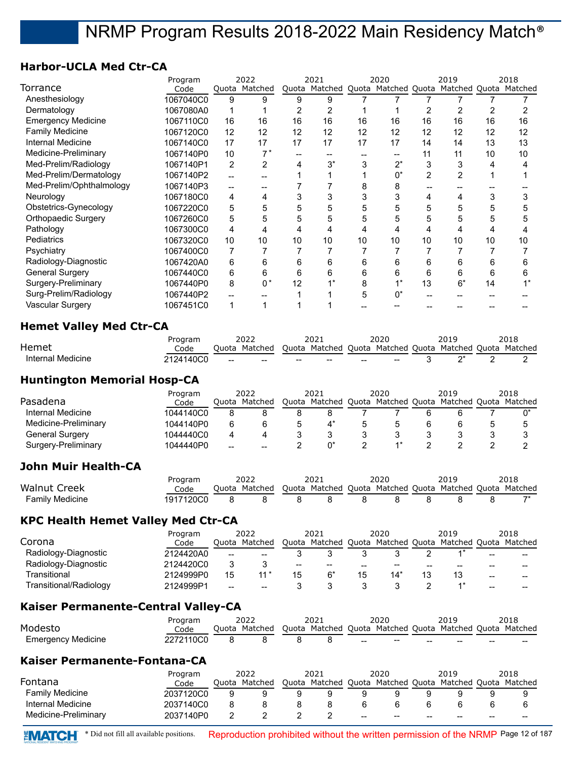## **Harbor-UCLA Med Ctr-CA**

|                           | Program   |     | 2022          |    | 2021  |    | 2020  |    | 2019                                                    |    | 2018 |
|---------------------------|-----------|-----|---------------|----|-------|----|-------|----|---------------------------------------------------------|----|------|
| Torrance                  | Code      |     | Quota Matched |    |       |    |       |    | Quota Matched Quota Matched Quota Matched Quota Matched |    |      |
| Anesthesiology            | 1067040C0 | 9   | 9             | 9  | 9     |    |       |    |                                                         |    |      |
| Dermatology               | 1067080A0 |     |               |    |       |    |       |    |                                                         |    |      |
| <b>Emergency Medicine</b> | 1067110C0 | 16  | 16            | 16 | 16    | 16 | 16    | 16 | 16                                                      | 16 | 16   |
| <b>Family Medicine</b>    | 1067120C0 | 12  | 12            | 12 | 12    | 12 | 12    | 12 | 12                                                      | 12 | 12   |
| Internal Medicine         | 1067140C0 | 17  | 17            | 17 | 17    | 17 | 17    | 14 | 14                                                      | 13 | 13   |
| Medicine-Preliminary      | 1067140P0 | 10  | ¬ *           |    |       |    |       | 11 | 11                                                      | 10 | 10   |
| Med-Prelim/Radiology      | 1067140P1 | 2   | 2             |    | $3^*$ |    | $2^*$ | 3  | 3                                                       |    |      |
| Med-Prelim/Dermatology    | 1067140P2 | $-$ |               |    |       |    | $0^*$ | 2  | 2                                                       |    |      |
| Med-Prelim/Ophthalmology  | 1067140P3 |     |               |    |       |    | 8     |    |                                                         |    |      |
| Neurology                 | 1067180C0 | 4   |               |    | 3     |    | 3     |    |                                                         |    |      |
| Obstetrics-Gynecology     | 1067220C0 | 5   | 5             |    | 5     |    | 5     | 5  | 5                                                       |    |      |
| Orthopaedic Surgery       | 1067260C0 | 5   |               |    | 5     |    | 5     |    |                                                         |    |      |
| Pathology                 | 1067300C0 | 4   | 4             | 4  | 4     |    | 4     | 4  |                                                         |    |      |
| <b>Pediatrics</b>         | 1067320C0 | 10  | 10            | 10 | 10    | 10 | 10    | 10 | 10                                                      | 10 | 10   |
| Psychiatry                | 1067400C0 | 7   |               |    |       |    |       |    |                                                         |    |      |
| Radiology-Diagnostic      | 1067420A0 | 6   | 6             | 6  | 6     | 6  | 6     | 6  |                                                         | 6  | h    |
| <b>General Surgery</b>    | 1067440C0 | 6   | 6             | 6  | 6     | 6  | 6     | 6  | 6                                                       | 6  | 6    |
| Surgery-Preliminary       | 1067440P0 | 8   | $0^*$         | 12 |       | 8  | $1^*$ | 13 | $6*$                                                    | 14 |      |
| Surg-Prelim/Radiology     | 1067440P2 |     |               |    |       | 5  | $0^*$ |    |                                                         |    |      |
| Vascular Surgery          | 1067451C0 | 1   |               |    |       |    |       |    |                                                         |    |      |

## **Hemet Valley Med Ctr-CA**

|                   |           |       | 2022    |       | 2021    |       | 2020    |       | 2019    |       | 2018    |
|-------------------|-----------|-------|---------|-------|---------|-------|---------|-------|---------|-------|---------|
| Hemet             | Code      | Juota | Matched | Juota | Matched | :Uota | Matched | Ouota | Matched | Quota | Matched |
| Internal Medicine | 2124140C0 | $- -$ | $- -$   | $- -$ | $- -$   | $- -$ | $- -$   |       | n*      |       |         |

#### **Huntington Memorial Hosp-CA**

|                      | Program   |       | 2022    |       | 2021    | 2020          |       | 2019          | 2018    |
|----------------------|-----------|-------|---------|-------|---------|---------------|-------|---------------|---------|
| Pasadena             | Code      | Ouota | Matched | Ouota | Matched | Quota Matched | Quota | Matched Quota | Matched |
| Internal Medicine    | 1044140C0 |       |         |       |         |               |       |               |         |
| Medicine-Preliminary | 1044140P0 |       |         |       |         |               |       |               |         |
| General Surgery      | 1044440C0 |       |         |       |         |               |       |               |         |
| Surgery-Preliminary  | 1044440P0 | $- -$ | $- -$   |       |         |               |       |               |         |

## **John Muir Health-CA**

|                        | Program        |       | 2022    |         | 2021                          | 2020 | 2019                  | 2018 |
|------------------------|----------------|-------|---------|---------|-------------------------------|------|-----------------------|------|
| <b>Walnut Creek</b>    | Code           | Duota | Matched | . Ouota | . Matched Ouota Matched Ouota |      | Matched Ouota Matched |      |
| <b>Family Medicine</b> | '7120C0<br>101 |       |         |         |                               |      |                       |      |

#### **KPC Health Hemet Valley Med Ctr-CA**

|                        | Program   |       | 2022    |                                                   | 2021    |       | 2020                                              |       | 2019          |       | 2018    |
|------------------------|-----------|-------|---------|---------------------------------------------------|---------|-------|---------------------------------------------------|-------|---------------|-------|---------|
| Corona                 | Code      | Ouota | Matched | Ouota                                             | Matched |       | Quota Matched                                     | Quota | Matched Quota |       | Matched |
| Radiology-Diagnostic   | 2124420A0 | $-$   | $- -$   |                                                   |         |       |                                                   |       |               | $- -$ | $- -$   |
| Radiology-Diagnostic   | 2124420C0 |       |         | $\hspace{0.05cm}-\hspace{0.05cm}-\hspace{0.05cm}$ | $- -$   | $- -$ | $\hspace{0.05cm}-\hspace{0.05cm}-\hspace{0.05cm}$ | --    |               | --    | --      |
| Transitional           | 2124999P0 | 15    | $11*$   | 15                                                |         | 15    | $14*$                                             |       | 13            | $- -$ | $- -$   |
| Transitional/Radiology | 2124999P1 | $- -$ | --      |                                                   |         |       |                                                   |       |               | $- -$ | $- -$   |

#### **Kaiser Permanente-Central Valley-CA**

|                    | Program   | 2022                                                                  | 2021 | 2020                                           |     | 2019 |       | 2018  |
|--------------------|-----------|-----------------------------------------------------------------------|------|------------------------------------------------|-----|------|-------|-------|
| Modesto            | Code      | Quota Matched Quota Matched Quota Matched Quota Matched Quota Matched |      |                                                |     |      |       |       |
| Emergency Medicine | 2272110C0 |                                                                       |      | $\hspace{0.1mm}-\hspace{0.1mm}-\hspace{0.1mm}$ | $-$ | $-$  | $- -$ | $- -$ |

#### **Kaiser Permanente-Fontana-CA**

|                        | Program   |       | 2022    |       | 2021    |       | 2020              |       | 2019                                      |    | 2018  |
|------------------------|-----------|-------|---------|-------|---------|-------|-------------------|-------|-------------------------------------------|----|-------|
| Fontana                | Code      | Ouota | Matched | Quota | Matched |       |                   |       | Quota Matched Quota Matched Quota Matched |    |       |
| <b>Family Medicine</b> | 2037120C0 | a     |         |       |         |       |                   |       |                                           |    |       |
| Internal Medicine      | 2037140C0 |       |         |       |         |       |                   |       |                                           |    |       |
| Medicine-Preliminary   | 2037140P0 |       |         |       |         | $- -$ | $\hspace{0.05cm}$ | $- -$ | --                                        | -- | $- -$ |

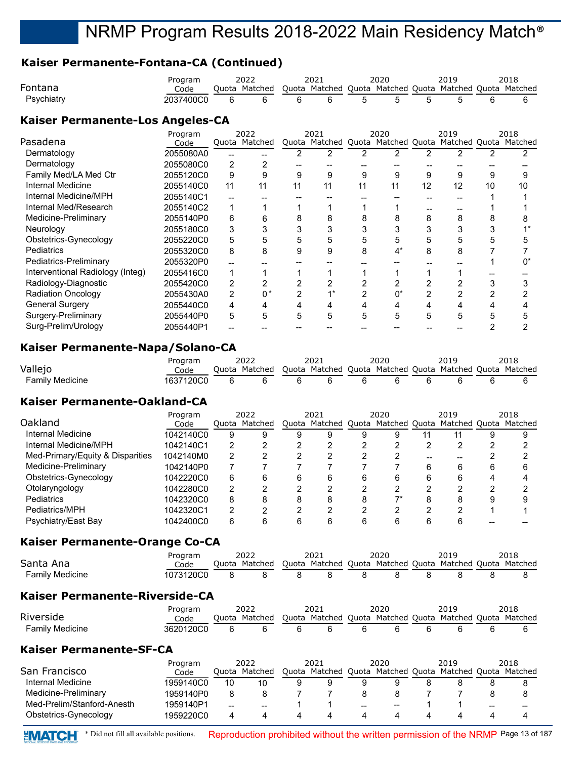## **Kaiser Permanente-Fontana-CA (Continued)**

| Raiser Fermanente-Fontana-CA (Continueu) |           |    |               |    |               |    |                     |                |      |                |                                           |
|------------------------------------------|-----------|----|---------------|----|---------------|----|---------------------|----------------|------|----------------|-------------------------------------------|
|                                          | Program   |    | 2022          |    | 2021          |    | 2020                |                | 2019 |                | 2018                                      |
| Fontana                                  | Code      |    | Quota Matched |    | Quota Matched |    |                     |                |      |                | Quota Matched Quota Matched Quota Matched |
| Psychiatry                               | 2037400C0 | 6  | 6             | 6  | 6             | 5  | 5                   | 5              | 5    | 6              | 6                                         |
| Kaiser Permanente-Los Angeles-CA         |           |    |               |    |               |    |                     |                |      |                |                                           |
|                                          | Program   |    | 2022          |    | 2021          |    | 2020                |                | 2019 |                | 2018                                      |
| Pasadena                                 | Code      |    | Quota Matched |    | Quota Matched |    | Quota Matched Quota |                |      |                | Matched Quota Matched                     |
| Dermatology                              | 2055080A0 |    |               | 2  | 2             | 2  | 2                   | 2              | 2    | 2              |                                           |
| Dermatology                              | 2055080C0 | 2  | 2             |    |               |    |                     |                |      |                |                                           |
| Family Med/LA Med Ctr                    | 2055120C0 | 9  | 9             | 9  | 9             | 9  | 9                   | 9              | 9    | 9              | 9                                         |
| Internal Medicine                        | 2055140C0 | 11 | 11            | 11 | 11            | 11 | 11                  | 12             | 12   | 10             | 10                                        |
| Internal Medicine/MPH                    | 2055140C1 | -- |               |    |               |    |                     |                |      |                |                                           |
| Internal Med/Research                    | 2055140C2 | 1  |               |    |               |    |                     |                |      |                |                                           |
| Medicine-Preliminary                     | 2055140P0 | 6  | 6             | 8  | 8             | 8  | 8                   | 8              | 8    | 8              | 8                                         |
| Neurology                                | 2055180C0 | 3  | 3             | 3  | 3             |    | 3                   | 3              | 3    | 3              |                                           |
| Obstetrics-Gynecology                    | 2055220C0 | 5  | 5             | 5  | 5             | 5  | 5                   | 5              | 5    | 5              | 5                                         |
| <b>Pediatrics</b>                        | 2055320C0 | 8  | 8             | 9  | 9             | 8  | $4^*$               | 8              | 8    |                |                                           |
| Pediatrics-Preliminary                   | 2055320P0 |    |               |    |               |    |                     |                |      |                | 0*                                        |
| Interventional Radiology (Integ)         | 2055416C0 | 1  |               |    |               |    |                     |                |      |                |                                           |
| Radiology-Diagnostic                     | 2055420C0 | 2  | 2             | 2  | 2             | 2  | 2                   | 2              | 2    | 3              | 3                                         |
| <b>Radiation Oncology</b>                | 2055430A0 | 2  | 0*            | 2  | $1*$          | 2  | $0^*$               | $\overline{2}$ | 2    | $\overline{2}$ | 2                                         |
| General Surgery                          | 2055440C0 | 4  | 4             | 4  | 4             | 4  | 4                   | 4              | 4    |                |                                           |
| Surgery-Preliminary                      | 2055440P0 | 5  | 5             | 5  | 5             | 5  | 5                   | 5              | 5    | 5              | 5                                         |
| Surg-Prelim/Urology                      | 2055440P1 | -- |               |    |               |    |                     |                |      |                |                                           |

#### **Kaiser Permanente-Napa/Solano-CA**

|                 | Program     | 2022                                                                  |                | 2021           |       | 2020 | 2019 | 2018 |
|-----------------|-------------|-----------------------------------------------------------------------|----------------|----------------|-------|------|------|------|
| Vallejo         | Code        | Quota Matched Quota Matched Quota Matched Quota Matched Quota Matched |                |                |       |      |      |      |
| Family Medicine | 1637120C0 6 |                                                                       | 6 <sup>6</sup> | $\overline{a}$ | - 6 - | 6    |      |      |

Surg-Prelim/Urology 2055440P1 -- - - -- -- -- -- -- -- 2 2

## **Kaiser Permanente-Oakland-CA**

| Oakland                          | Program<br>Code |   | 2022<br>Quota Matched |   | 2021<br>Quota Matched Quota Matched Quota Matched Quota |    | 2020 | 2019 |   | 2018<br>Matched |
|----------------------------------|-----------------|---|-----------------------|---|---------------------------------------------------------|----|------|------|---|-----------------|
| Internal Medicine                | 1042140C0       | 9 |                       | 9 |                                                         | 9  | 9    |      |   |                 |
| Internal Medicine/MPH            | 1042140C1       | 2 |                       |   |                                                         |    |      | ≘    |   |                 |
| Med-Primary/Equity & Disparities | 1042140M0       | 2 |                       |   |                                                         |    |      |      |   |                 |
| Medicine-Preliminary             | 1042140P0       |   |                       |   |                                                         |    |      | 6    | 6 |                 |
| Obstetrics-Gynecology            | 1042220C0       | 6 | 6                     | 6 | 6                                                       | 6  | 6    | 6    |   |                 |
| Otolaryngology                   | 1042280C0       | 2 |                       |   |                                                         |    |      |      |   |                 |
| <b>Pediatrics</b>                | 1042320C0       | 8 |                       | 8 | 8                                                       | 8  |      | 8    |   |                 |
| Pediatrics/MPH                   | 1042320C1       | 2 |                       |   |                                                         |    |      | ◠    |   |                 |
| Psychiatry/East Bay              | 1042400C0       | 6 |                       |   | ĥ                                                       | ิค | 6    | ี    |   |                 |

## **Kaiser Permanente-Orange Co-CA**

|                 | Program   | 2022          | 2021 | 2020 |                                                         | 2018 |
|-----------------|-----------|---------------|------|------|---------------------------------------------------------|------|
| Santa Ana       | Code      | Ouota Matched |      |      | Quota Matched Quota Matched Quota Matched Quota Matched |      |
| Family Medicine | 1073120C0 |               |      |      |                                                         |      |

## **Kaiser Permanente-Riverside-CA**

|                 | Program   |       | 2022    | 2021                                                    | 2020 | 2019 | 2018 |
|-----------------|-----------|-------|---------|---------------------------------------------------------|------|------|------|
| Riverside       | Code      | Ouota | Matched | Ouota Matched Ouota Matched Ouota Matched Ouota Matched |      |      |      |
| Family Medicine | 3620120C0 |       |         |                                                         |      |      |      |

## **Kaiser Permanente-SF-CA**

|                            | Program   |       | 2022    |       | 2021    |       | 2020          | 2019                  |       | 2018  |
|----------------------------|-----------|-------|---------|-------|---------|-------|---------------|-----------------------|-------|-------|
| San Francisco              | Code      | Ouota | Matched | Ouota | Matched | Quota | Matched Quota | Matched Quota Matched |       |       |
| Internal Medicine          | 1959140C0 | 10    |         |       |         |       |               |                       |       |       |
| Medicine-Preliminary       | 1959140P0 |       |         |       |         |       |               |                       |       |       |
| Med-Prelim/Stanford-Anesth | 1959140P1 | $- -$ | --      |       |         | $- -$ | $- -$         |                       | $- -$ | $- -$ |
| Obstetrics-Gynecology      | 1959220C0 | 4     |         |       | д       |       |               |                       |       | 4     |

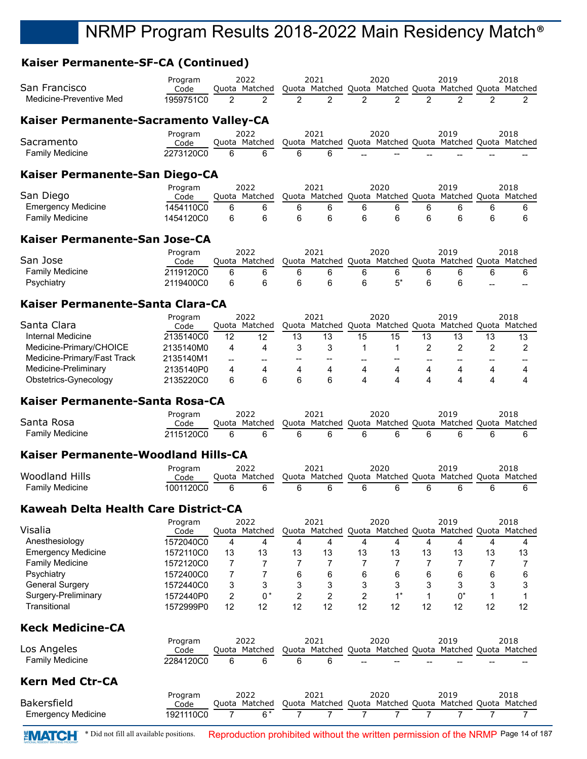## **Kaiser Permanente-SF-CA (Continued)**

|                                        | Program   |   | 2022          |   | 2021 |   | 2020                                                    |   | 2019 |   | 2018           |
|----------------------------------------|-----------|---|---------------|---|------|---|---------------------------------------------------------|---|------|---|----------------|
| San Francisco                          | Code      |   | Quota Matched |   |      |   | Quota Matched Quota Matched Quota Matched Quota         |   |      |   | Matched        |
| Medicine-Preventive Med                | 1959751C0 | 2 | 2             | 2 | 2    | 2 | 2                                                       | 2 | 2    | 2 | $\overline{2}$ |
| Kaiser Permanente-Sacramento Valley-CA |           |   |               |   |      |   |                                                         |   |      |   |                |
|                                        | Program   |   | 2022          |   | 2021 |   | 2020                                                    |   | 2019 |   | 2018           |
| Sacramento                             | Code      |   | Quota Matched |   |      |   | Quota Matched Quota Matched Quota Matched Quota Matched |   |      |   |                |
| <b>Family Medicine</b>                 | 2273120C0 | 6 | 6             | 6 | 6    |   |                                                         |   |      |   |                |
| Kaiser Permanente-San Diego-CA         |           |   |               |   |      |   |                                                         |   |      |   |                |
|                                        | Program   |   | 2022          |   | 2021 |   | 2020                                                    |   | 2019 |   | 2018           |
| San Diego                              | Code      |   | Quota Matched |   |      |   | Quota Matched Quota Matched Quota Matched Quota Matched |   |      |   |                |
| <b>Emergency Medicine</b>              | 1454110C0 | 6 | 6             | 6 | 6    | 6 | 6                                                       | 6 | 6    | 6 | 6              |
| <b>Family Medicine</b>                 | 1454120C0 | 6 | 6             | 6 | 6    | 6 | 6                                                       | 6 | 6    | 6 | 6              |
| Kaiser Permanente-San Jose-CA          |           |   |               |   |      |   |                                                         |   |      |   |                |
|                                        | Program   |   | 2022          |   | 2021 |   | 2020                                                    |   | 2019 |   | 2018           |
| San Jose                               | Code      |   | Quota Matched |   |      |   | Quota Matched Quota Matched Quota Matched Quota         |   |      |   | Matched        |
| <b>Family Medicine</b>                 | 2119120C0 | 6 | 6             | 6 | 6    | 6 | 6                                                       | 6 | 6    | 6 | 6              |
| Psychiatry                             | 2119400C0 | 6 | 6             | 6 | 6    | 6 | $5^*$                                                   | 6 | 6    |   |                |
|                                        |           |   |               |   |      |   |                                                         |   |      |   |                |

#### **Kaiser Permanente-Santa Clara-CA**

|                             | Program   |       | 2022          |       | 2021                        |    | 2020 | 2019          |    | 2018    |
|-----------------------------|-----------|-------|---------------|-------|-----------------------------|----|------|---------------|----|---------|
| Santa Clara                 | Code      |       | Ouota Matched | Ouota | Matched Quota Matched Quota |    |      | Matched Quota |    | Matched |
| Internal Medicine           | 2135140C0 | 12    | 12            | 13    | 13                          | 15 | 15   | 13            | 13 |         |
| Medicine-Primary/CHOICE     | 2135140M0 | 4     |               |       |                             |    |      |               |    |         |
| Medicine-Primary/Fast Track | 2135140M1 | $- -$ | --            |       |                             |    | --   |               |    |         |
| Medicine-Preliminary        | 2135140P0 | 4     |               | 4     |                             | 4  | 4    |               |    |         |
| Obstetrics-Gynecology       | 2135220C0 | 6     |               | 6     |                             | 4  | 4    | 4             |    |         |

#### **Kaiser Permanente-Santa Rosa-CA**

|                 | Program   | 2022                                                                  | 2021 | 2020 | 2019 | 2018 |
|-----------------|-----------|-----------------------------------------------------------------------|------|------|------|------|
| Santa Rosa      | Code      | Quota Matched Quota Matched Quota Matched Quota Matched Quota Matched |      |      |      |      |
| Family Medicine | 2115120C0 |                                                                       |      |      |      |      |

#### **Kaiser Permanente-Woodland Hills-CA**

|                        |           |       |         |       | ິດຕາ    |       | 2020          |               | 2018    |
|------------------------|-----------|-------|---------|-------|---------|-------|---------------|---------------|---------|
| <b>Woodland Hills</b>  | Code      | วนota | Matched | Duota | Matched | Ouota | Matched Ouota | Matched Ouota | Matched |
| <b>Family Medicine</b> | 1001120CC |       |         |       |         |       |               |               |         |

## **Kaweah Delta Health Care District-CA**

|                           | Program         | 2022 |                       | 2021 |                                                                 | 2020 |       | 2019 |                       |    | 2018    |
|---------------------------|-----------------|------|-----------------------|------|-----------------------------------------------------------------|------|-------|------|-----------------------|----|---------|
| Visalia                   | Code            |      | Quota Matched         |      | Quota Matched Quota Matched Quota                               |      |       |      | Matched Quota Matched |    |         |
| Anesthesiology            | 1572040C0       | 4    | 4                     | 4    | 4                                                               | 4    | 4     | 4    | 4                     | 4  | 4       |
| <b>Emergency Medicine</b> | 1572110C0       | 13   | 13                    | 13   | 13                                                              | 13   | 13    | 13   | 13                    | 13 | 13      |
| <b>Family Medicine</b>    | 1572120C0       | 7    |                       | 7    | 7                                                               |      | 7     | 7    |                       |    |         |
| Psychiatry                | 1572400C0       | 7    |                       | 6    | 6                                                               | 6    | 6     | 6    | 6                     | 6  | 6       |
| <b>General Surgery</b>    | 1572440C0       | 3    | 3                     | 3    | 3                                                               | 3    | 3     | 3    | 3                     | 3  | 3       |
| Surgery-Preliminary       | 1572440P0       | 2    | $0*$                  | 2    | 2                                                               | 2    | $1^*$ | 1    | $0^*$                 |    |         |
| Transitional              | 1572999P0       | 12   | 12                    | 12   | 12                                                              | 12   | 12    | 12   | 12                    | 12 | 12      |
| <b>Keck Medicine-CA</b>   |                 |      |                       |      |                                                                 |      |       |      |                       |    |         |
| Los Angeles               | Program<br>Code |      | 2022<br>Quota Matched |      | 2021<br>Quota Matched Quota Matched Quota Matched Quota Matched |      | 2020  |      | 2019                  |    | 2018    |
| <b>Family Medicine</b>    | 2284120C0       | 6    | 6                     | 6    | 6                                                               |      |       |      |                       |    |         |
| <b>Kern Med Ctr-CA</b>    |                 |      |                       |      |                                                                 |      |       |      |                       |    |         |
| <b>Bakersfield</b>        | Program         |      | 2022                  |      | 2021                                                            |      | 2020  |      | 2019                  |    | 2018    |
|                           | Code            |      | Quota Matched         |      | Quota Matched Quota Matched Quota                               |      |       |      | Matched Quota         |    | Matched |
| <b>Emergency Medicine</b> | 1921110C0       |      | $6*$                  |      |                                                                 |      |       |      |                       |    |         |

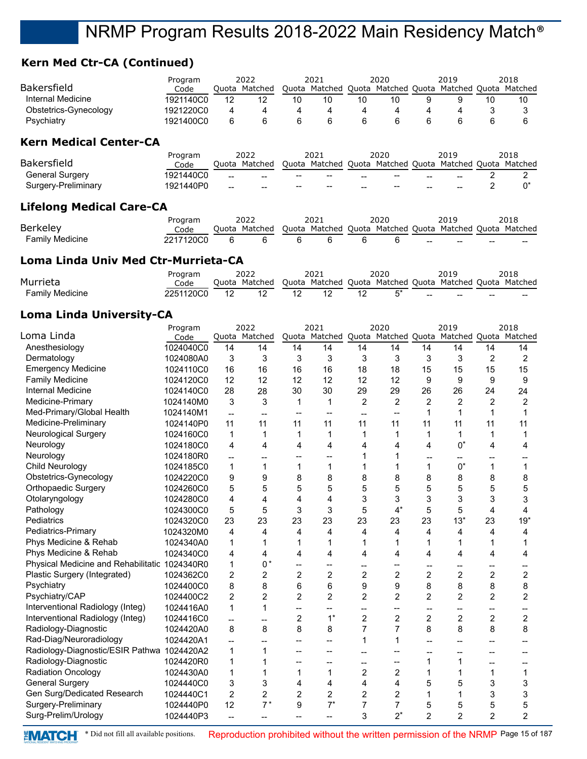## **Kern Med Ctr-CA (Continued)**

| Bakersfield                   | Program<br>Code |     | 2022<br>Quota Matched |    | 2021<br>Quota Matched Quota Matched Quota               |    | 2020 |   | 2019<br>Matched Quota Matched |    | 2018  |
|-------------------------------|-----------------|-----|-----------------------|----|---------------------------------------------------------|----|------|---|-------------------------------|----|-------|
| Internal Medicine             | 1921140C0       | 12  | 12                    | 10 | 10                                                      | 10 | 10   | 9 | 9                             | 10 | 10    |
| Obstetrics-Gynecology         | 1921220C0       | 4   | 4                     | 4  | 4                                                       | 4  | 4    | 4 | 4                             | 3  | 3     |
| Psychiatry                    | 1921400C0       | 6   | 6                     | 6  | 6                                                       | 6  | 6    | 6 | 6                             | 6  | 6     |
| <b>Kern Medical Center-CA</b> |                 |     |                       |    |                                                         |    |      |   |                               |    |       |
|                               | Program         |     | 2022                  |    | 2021                                                    |    | 2020 |   | 2019                          |    | 2018  |
| Bakersfield                   | Code            |     | Ouota Matched         |    | Quota Matched Quota Matched Quota Matched Quota Matched |    |      |   |                               |    |       |
| <b>General Surgery</b>        | 1921440C0       | --  |                       |    |                                                         |    |      |   | --                            | っ  | າ     |
| Surgery-Preliminary           | 1921440P0       | $-$ |                       |    |                                                         |    |      |   |                               | 2  | $0^*$ |

## **Lifelong Medical Care-CA**

|                 | Program   | 2022                                                                  | 2021 | 2020 | 2019   |     | 2018  |
|-----------------|-----------|-----------------------------------------------------------------------|------|------|--------|-----|-------|
| Berkeley        | Code      | Quota Matched Quota Matched Quota Matched Quota Matched Quota Matched |      |      |        |     |       |
| Family Medicine | 2217120C0 |                                                                       |      |      | $\sim$ | $-$ | $- -$ |

## **Loma Linda Univ Med Ctr-Murrieta-CA**

|                        |           |       |         |        | ≏∩ר     | 2020                  |       | ∠∪⊥∶          |       | 2018    |
|------------------------|-----------|-------|---------|--------|---------|-----------------------|-------|---------------|-------|---------|
| Murrieta               | Code      | วนota | Matched | Duotal | Matched | l Ouota Matched Ouota |       | Matched Ouota |       | Matched |
| <b>Family Medicine</b> | 2251120C0 |       |         |        |         |                       | $- -$ | $- -$         | $- -$ | $- -$   |

## **Loma Linda University-CA**

|                                               | Program   |                          | 2022           |                                     | 2021           |                | 2020           |                | 2019                                                    |                | 2018           |
|-----------------------------------------------|-----------|--------------------------|----------------|-------------------------------------|----------------|----------------|----------------|----------------|---------------------------------------------------------|----------------|----------------|
| Loma Linda                                    | Code      |                          | Quota Matched  |                                     |                |                |                |                | Quota Matched Quota Matched Quota Matched Quota Matched |                |                |
| Anesthesiology                                | 1024040C0 | $\overline{14}$          | 14             | 14                                  | 14             | 14             | 14             | 14             | 14                                                      | 14             | 14             |
| Dermatology                                   | 1024080A0 | 3                        | 3              | 3                                   | 3              | 3              | 3              | 3              | 3                                                       | 2              | 2              |
| <b>Emergency Medicine</b>                     | 1024110C0 | 16                       | 16             | 16                                  | 16             | 18             | 18             | 15             | 15                                                      | 15             | 15             |
| <b>Family Medicine</b>                        | 1024120C0 | 12                       | 12             | 12                                  | 12             | 12             | 12             | 9              | 9                                                       | 9              | 9              |
| Internal Medicine                             | 1024140C0 | 28                       | 28             | 30                                  | 30             | 29             | 29             | 26             | 26                                                      | 24             | 24             |
| Medicine-Primary                              | 1024140M0 | 3                        | 3              | 1                                   | 1              | 2              | $\overline{2}$ | 2              | 2                                                       | $\overline{2}$ | $\overline{2}$ |
| Med-Primary/Global Health                     | 1024140M1 | $-$                      | --             |                                     | --             | --             | --             | 1              | 1                                                       | 1              |                |
| Medicine-Preliminary                          | 1024140P0 | 11                       | 11             | 11                                  | 11             | 11             | 11             | 11             | 11                                                      | 11             | 11             |
| Neurological Surgery                          | 1024160C0 | 1                        | 1              | 1                                   | 1              | 1              | 1              | 1              | 1                                                       | 1              | 1              |
| Neurology                                     | 1024180C0 | 4                        | 4              | 4                                   | 4              | 4              | 4              | 4              | $0^*$                                                   | 4              | 4              |
| Neurology                                     | 1024180R0 | $\overline{\phantom{0}}$ |                |                                     |                | 1              |                |                |                                                         |                |                |
| Child Neurology                               | 1024185C0 | 1                        | 1              | 1                                   | 1              | 1              |                | 1              | $0^*$                                                   | 1              |                |
| Obstetrics-Gynecology                         | 1024220C0 | 9                        | 9              | 8                                   | 8              | 8              | 8              | 8              | 8                                                       | 8              | 8              |
| <b>Orthopaedic Surgery</b>                    | 1024260C0 | 5                        | 5              | 5                                   | 5              | 5              | 5              | 5              | 5                                                       | 5              | 5              |
| Otolaryngology                                | 1024280C0 | 4                        | 4              | 4                                   | 4              | 3              | 3              | 3              | 3                                                       | 3              | 3              |
| Pathology                                     | 1024300C0 | 5                        | 5              | 3                                   | 3              | 5              | $4^*$          | 5              | 5                                                       | 4              | 4              |
| Pediatrics                                    | 1024320C0 | 23                       | 23             | 23                                  | 23             | 23             | 23             | 23             | $13*$                                                   | 23             | $19*$          |
| Pediatrics-Primary                            | 1024320M0 | 4                        | 4              | 4                                   | 4              | 4              | 4              | 4              | 4                                                       | 4              | 4              |
| Phys Medicine & Rehab                         | 1024340A0 | 1                        | 1              | 1                                   | 1              | 1              | 1              |                | 1                                                       | 1              |                |
| Phys Medicine & Rehab                         | 1024340C0 | 4                        | 4              | 4                                   | 4              | 4              | 4              | 4              | 4                                                       | 4              | 4              |
| Physical Medicine and Rehabilitatic 1024340R0 |           | 1                        | $0*$           | --                                  |                | --             |                |                |                                                         |                |                |
| Plastic Surgery (Integrated)                  | 1024362C0 | 2                        | 2              | $\overline{c}$                      | $\overline{2}$ | $\overline{c}$ | $\overline{c}$ | $\overline{c}$ | $\overline{2}$                                          | $\overline{c}$ | $\overline{c}$ |
| Psychiatry                                    | 1024400C0 | 8                        | 8              | 6                                   | 6              | 9              | 9              | 8              | 8                                                       | 8              | 8              |
| Psychiatry/CAP                                | 1024400C2 | 2                        | $\overline{2}$ | $\overline{2}$                      | $\overline{2}$ | $\overline{2}$ | $\overline{2}$ | $\overline{2}$ | 2                                                       | $\overline{2}$ | $\overline{2}$ |
| Interventional Radiology (Integ)              | 1024416A0 | $\mathbf{1}$             | 1              | $\hspace{0.05cm}$ $\hspace{0.05cm}$ |                | --             |                |                | $\overline{\phantom{a}}$                                | --             |                |
| Interventional Radiology (Integ)              | 1024416C0 | $\overline{\phantom{a}}$ | $\overline{a}$ | 2                                   | $1^*$          | $\overline{2}$ | $\overline{2}$ | $\overline{c}$ | $\overline{2}$                                          | $\overline{c}$ | $\overline{2}$ |
| Radiology-Diagnostic                          | 1024420A0 | 8                        | 8              | 8                                   | 8              | 7              | 7              | 8              | 8                                                       | 8              | 8              |
| Rad-Diag/Neuroradiology                       | 1024420A1 | $-$                      | --             |                                     |                | 1              | 1              |                |                                                         |                |                |
| Radiology-Diagnostic/ESIR Pathwa              | 1024420A2 | 1                        | 1              | --                                  |                |                |                |                |                                                         | --             |                |
| Radiology-Diagnostic                          | 1024420R0 | 1                        | 1              | $\overline{\phantom{a}}$            | --             | --             | --             | 1              | 1                                                       | --             |                |
| <b>Radiation Oncology</b>                     | 1024430A0 | 1                        | 1              | 1                                   | 1              | 2              | $\overline{c}$ |                | 1                                                       | 1              | 1              |
| <b>General Surgery</b>                        | 1024440C0 | 3                        | 3              | 4                                   | 4              | 4              | 4              | 5              | 5                                                       | 3              | 3              |
| Gen Surg/Dedicated Research                   | 1024440C1 | 2                        | $\overline{2}$ | $\overline{2}$                      | 2              | 2              | $\overline{2}$ |                | 1                                                       | 3              | $\mathsf 3$    |
| Surgery-Preliminary                           | 1024440P0 | 12                       | $7*$           | 9                                   | $7^*$          | 7              | 7              | 5              | 5                                                       | 5              | 5              |
| Surg-Prelim/Urology                           | 1024440P3 | $\overline{a}$           | $-$            | --                                  | --             | 3              | $2^*$          | $\overline{2}$ | $\overline{2}$                                          | $\overline{2}$ | $\overline{2}$ |
|                                               |           |                          |                |                                     |                |                |                |                |                                                         |                |                |

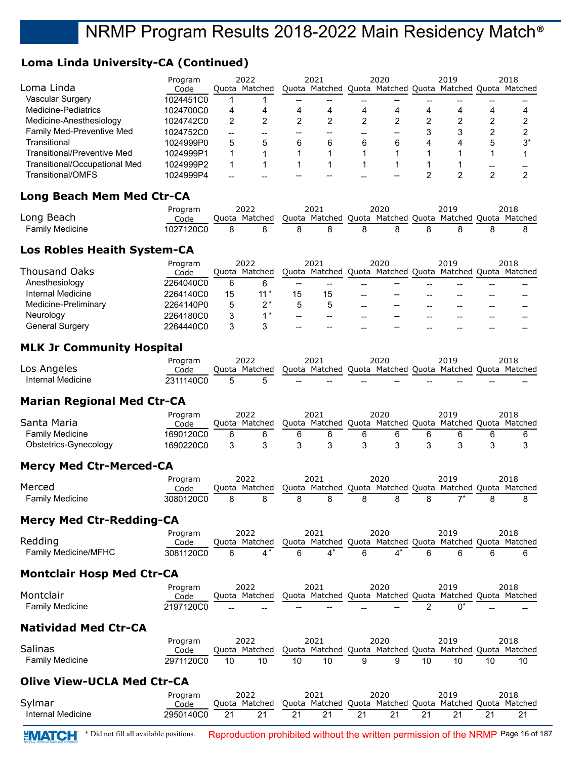## **Loma Linda University-CA (Continued)**

|                               | Program   | 2022 |               | 2021 |                                                         | 2020 |   | 2019 |              | 2018  |
|-------------------------------|-----------|------|---------------|------|---------------------------------------------------------|------|---|------|--------------|-------|
| Loma Linda                    | Code      |      | Quota Matched |      | Quota Matched Quota Matched Quota Matched Quota Matched |      |   |      |              |       |
| Vascular Surgery              | 1024451C0 |      |               |      |                                                         |      |   |      |              |       |
| Medicine-Pediatrics           | 1024700C0 | 4    |               | 4    |                                                         | 4    | 4 | 4    |              |       |
| Medicine-Anesthesiology       | 1024742C0 | 2    |               |      |                                                         |      |   |      |              |       |
| Family Med-Preventive Med     | 1024752C0 |      |               |      |                                                         |      |   |      |              |       |
| Transitional                  | 1024999P0 | 5    | 5             | 6    | 6                                                       | 6    | 6 | 4    | $\mathbf{b}$ | $3^*$ |
| Transitional/Preventive Med   | 1024999P1 |      |               |      |                                                         |      |   |      |              |       |
| Transitional/Occupational Med | 1024999P2 |      |               |      |                                                         |      |   |      |              |       |
| Transitional/OMFS             | 1024999P4 |      |               |      |                                                         |      |   |      |              |       |

## **Long Beach Mem Med Ctr-CA**

|                        | Program   |       | 2022    |         | 2021              | 2020          |               | 2018    |
|------------------------|-----------|-------|---------|---------|-------------------|---------------|---------------|---------|
| Long Beach             | Code      | Duota | Matched | . Ouota | . Matched Ouota ' | Matched Ouota | Matched Ouota | Matched |
| <b>Family Medicine</b> | 1027120C0 |       |         |         |                   |               |               |         |

## **Los Robles Heaith System-CA**

| <b>Thousand Oaks</b>   | Program<br>Code |    | 2022<br>Ouota Matched |                                                   | 2021<br>Quota Matched Quota Matched Quota Matched Quota Matched |       | 2020  | 2019 | 2018 |
|------------------------|-----------------|----|-----------------------|---------------------------------------------------|-----------------------------------------------------------------|-------|-------|------|------|
| Anesthesiology         | 2264040C0       | 6  |                       | --                                                | $- -$                                                           | --    | --    |      |      |
| Internal Medicine      | 2264140C0       | 15 | $11*$                 | 15                                                | 15                                                              | $- -$ | $- -$ |      |      |
| Medicine-Preliminary   | 2264140P0       | 5  | າ*                    |                                                   |                                                                 | $- -$ | $- -$ |      |      |
| Neurology              | 2264180C0       | 3  | $\star$               | $- -$                                             | $- -$                                                           | $- -$ | $- -$ |      |      |
| <b>General Surgery</b> | 2264440C0       |    |                       | $\hspace{0.05cm}-\hspace{0.05cm}-\hspace{0.05cm}$ | $- -$                                                           |       | --    |      |      |

## **MLK Jr Community Hospital**

|                   | Program   |       | 2022    |                                                |                                                         |                 | 2020              |    | 2019  |       | 2018  |
|-------------------|-----------|-------|---------|------------------------------------------------|---------------------------------------------------------|-----------------|-------------------|----|-------|-------|-------|
| Los Angeles       | Code      | Ouota | Matched |                                                | Ouota Matched Ouota Matched Ouota Matched Ouota Matched |                 |                   |    |       |       |       |
| Internal Medicine | 2311140C0 |       |         | $\hspace{0.1mm}-\hspace{0.1mm}-\hspace{0.1mm}$ | $\hspace{0.1mm}-\hspace{0.1mm}-\hspace{0.1mm}$          | $\qquad \qquad$ | $\hspace{0.05cm}$ | -- | $- -$ | $- -$ | $- -$ |

## **Marian Regional Med Ctr-CA**

|                       | Program   | 2022          | 2021                                                    | 2020 | 2019 | 2018 |
|-----------------------|-----------|---------------|---------------------------------------------------------|------|------|------|
| Santa Maria           | Code      | Ouota Matched | Quota Matched Quota Matched Quota Matched Quota Matched |      |      |      |
| Family Medicine       | 1690120C0 |               |                                                         |      |      |      |
| Obstetrics-Gynecology | 1690220C0 |               |                                                         |      |      |      |

## **Mercy Med Ctr-Merced-CA**

|                 | Program   | 2022          | 2021                                                    | 2020 | 2019 | 2018 |
|-----------------|-----------|---------------|---------------------------------------------------------|------|------|------|
| Merced          | Code      | Ouota Matched | Quota Matched Quota Matched Quota Matched Quota Matched |      |      |      |
| Family Medicine | 3080120C0 |               |                                                         |      |      |      |

#### **Mercy Med Ctr-Redding-CA**

|                             | Program   | 2022                                                                  | 2021 | 2020 | 2019 | 2018 |
|-----------------------------|-----------|-----------------------------------------------------------------------|------|------|------|------|
| Redding                     | Code      | Quota Matched Quota Matched Quota Matched Quota Matched Quota Matched |      |      |      |      |
| <b>Family Medicine/MFHC</b> | 3081120C0 |                                                                       |      |      |      |      |

## **Montclair Hosp Med Ctr-CA**

|                 | Program   |        | 2022          |                          | 2021                                                    |     | 2020 | 2019 | 2018 |
|-----------------|-----------|--------|---------------|--------------------------|---------------------------------------------------------|-----|------|------|------|
| Montclair       | Code      |        | Ouota Matched |                          | Quota Matched Quota Matched Quota Matched Quota Matched |     |      |      |      |
| Family Medicine | 2197120C0 | $\sim$ | $\sim$        | $\overline{\phantom{a}}$ | $\overline{\phantom{a}}$                                | $-$ | $--$ |      | $-$  |

## **Natividad Med Ctr-CA**

|                 | Program   |       |         |       | 2021                        | 2020 |    | 2019          | 2018    |
|-----------------|-----------|-------|---------|-------|-----------------------------|------|----|---------------|---------|
| Salinas         | Code      | Ouota | Matched | Ouota | Matched Ouota Matched Ouota |      |    | Matched Ouota | Matched |
| Family Medicine | 2971120C0 |       |         |       | 10                          |      | 10 |               |         |

## **Olive View-UCLA Med Ctr-CA**

| Sylmar            | Program<br>Code | 2022<br>Quota Matched Quota Matched Quota Matched Quota Matched Quota Matched | 2021  |        | 2020  | 2019 | 2018 |
|-------------------|-----------------|-------------------------------------------------------------------------------|-------|--------|-------|------|------|
| Internal Medicine | 2950140C0 21    | - 21                                                                          | 21 21 | - 21 - | 21 21 | - 21 |      |

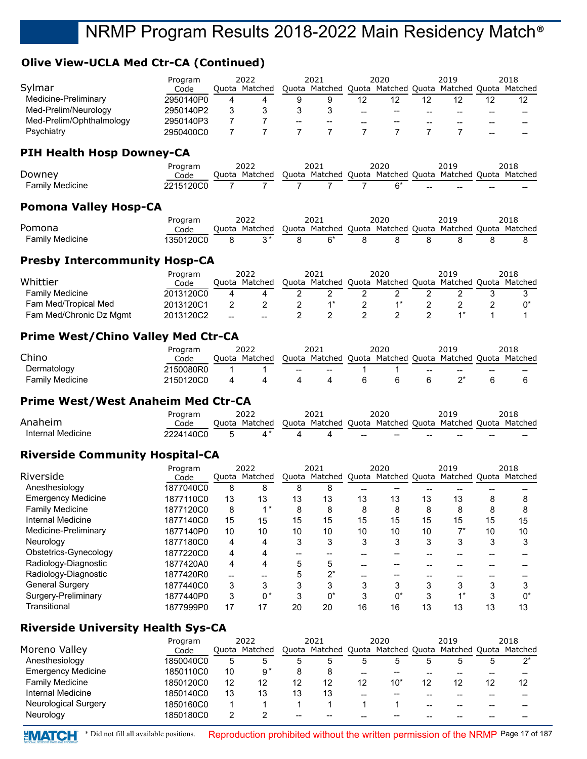## **Olive View-UCLA Med Ctr-CA (Continued)**

|                                      | Program   |   | 2022          |       | 2021    |    | 2020 |    | 2019                                                    |       | 2018    |
|--------------------------------------|-----------|---|---------------|-------|---------|----|------|----|---------------------------------------------------------|-------|---------|
| Sylmar                               | Code      |   | Quota Matched | Quota | Matched |    |      |    | Quota Matched Quota Matched                             | Quota | Matched |
| Medicine-Preliminary                 | 2950140P0 | 4 | 4             | 9     | 9       | 12 | 12   | 12 | 12                                                      | 12    | 12      |
| Med-Prelim/Neurology                 | 2950140P2 | 3 | 3             | 3     | 3       |    | --   |    |                                                         |       |         |
| Med-Prelim/Ophthalmology             | 2950140P3 | 7 |               | --    |         |    |      |    |                                                         |       |         |
| Psychiatry                           | 2950400C0 | 7 |               | 7     | 7       | 7  | 7    | 7  |                                                         |       |         |
| PIH Health Hosp Downey-CA            |           |   |               |       |         |    |      |    |                                                         |       |         |
|                                      | Program   |   | 2022          |       | 2021    |    | 2020 |    | 2019                                                    |       | 2018    |
| Downey                               | Code      |   | Quota Matched |       |         |    |      |    | Quota Matched Quota Matched Quota Matched Quota Matched |       |         |
| <b>Family Medicine</b>               | 2215120C0 |   |               |       | 7       |    | $6*$ |    |                                                         |       |         |
| <b>Pomona Valley Hosp-CA</b>         |           |   |               |       |         |    |      |    |                                                         |       |         |
|                                      | Program   |   | 2022          |       | 2021    |    | 2020 |    | 2019                                                    |       | 2018    |
| Pomona                               | Code      |   | Quota Matched |       |         |    |      |    | Quota Matched Quota Matched Quota Matched Quota         |       | Matched |
| <b>Family Medicine</b>               | 1350120C0 | 8 | $3^*$         | 8     | $6*$    | 8  | 8    | 8  | 8                                                       | 8     | 8       |
| <b>Presby Intercommunity Hosp-CA</b> |           |   |               |       |         |    |      |    |                                                         |       |         |
|                                      | Program   |   | 2022          |       | 2021    |    | 2020 |    | 2019                                                    |       | 2018    |
| Whittier                             | Code      |   | Quota Matched |       |         |    |      |    | Quota Matched Quota Matched Quota Matched Quota         |       | Matched |
| <b>Family Medicine</b>               | 2013120C0 | 4 |               | 2     | 2       | 2  | 2    | 2  | 2                                                       | 3     | 3       |

## **Prime West/Chino Valley Med Ctr-CA**

| Chino                  | Program<br>Code | 2022<br>Quota Matched |        | 2021<br>Quota Matched Quota Matched Quota Matched Quota Matched | 2020 |     | 2019 |    | 2018  |
|------------------------|-----------------|-----------------------|--------|-----------------------------------------------------------------|------|-----|------|----|-------|
| Dermatology            | 2150080R0       |                       | $\sim$ | $-$                                                             |      | $-$ | $-$  | -- | $- -$ |
| <b>Family Medicine</b> | 2150120C0       |                       |        |                                                                 |      |     |      |    |       |

Fam Med/Tropical Med 2013120C1 2 2 2 1\* 2 1\* 2 2 0\* Fam Med/Chronic Dz Mgmt 2013120C2 2 2 2 2 2 1 1 -- -- \* 1

#### **Prime West/West Anaheim Med Ctr-CA**

|                   | Program   |       |         |  |     | 2020              |    | 2019                                                    |       | 2018  |
|-------------------|-----------|-------|---------|--|-----|-------------------|----|---------------------------------------------------------|-------|-------|
| Anaheim           | Code      | Ouota | Matched |  |     |                   |    | Quota Matched Quota Matched Quota Matched Quota Matched |       |       |
| Internal Medicine | 2224140C0 |       |         |  | $-$ | $\hspace{0.05cm}$ | -- | --                                                      | $- -$ | $- -$ |

#### **Riverside Community Hospital-CA**

| Program                   |           | 2022 |               |    | 2021                                                    |    | 2020  |    | 2019            |    | 2018 |
|---------------------------|-----------|------|---------------|----|---------------------------------------------------------|----|-------|----|-----------------|----|------|
| Riverside                 | Code      |      | Quota Matched |    | Quota Matched Quota Matched Quota Matched Quota Matched |    |       |    |                 |    |      |
| Anesthesiology            | 1877040C0 | 8    | 8             | 8  | 8                                                       |    |       |    |                 |    |      |
| <b>Emergency Medicine</b> | 1877110C0 | 13   | 13            | 13 | 13                                                      | 13 | 13    | 13 | 13              | 8  |      |
| <b>Family Medicine</b>    | 1877120C0 | 8    | $4*$          | 8  | 8                                                       | 8  | 8     | 8  | 8               | 8  |      |
| Internal Medicine         | 1877140C0 | 15   | 15            | 15 | 15                                                      | 15 | 15    | 15 | 15              | 15 | 15   |
| Medicine-Preliminary      | 1877140P0 | 10   | 10            | 10 | 10                                                      | 10 | 10    | 10 | $\mathcal{F}^*$ | 10 | 10   |
| Neurology                 | 1877180C0 | 4    |               | 3  | 3                                                       | 3  | 3     | 3  | 3               | 3  |      |
| Obstetrics-Gynecology     | 1877220C0 | 4    |               | -- |                                                         |    |       |    |                 |    |      |
| Radiology-Diagnostic      | 1877420A0 | 4    | 4             | 5  | 5                                                       |    |       |    |                 |    |      |
| Radiology-Diagnostic      | 1877420R0 | $-$  |               |    | $2^*$                                                   |    |       |    |                 |    |      |
| <b>General Surgery</b>    | 1877440C0 | 3    |               |    | 3                                                       | 3  | 3     | 3  | 3               | ິ  |      |
| Surgery-Preliminary       | 1877440P0 | 3    | 0*            | ົ  | n*                                                      | 3  | $0^*$ | 3  |                 |    | n*   |
| Transitional              | 1877999P0 | 17   | 17            | 20 | 20                                                      | 16 | 16    | 13 | 13              | 13 | 13   |

## **Riverside University Health Sys-CA**

|                             | Program   | 2022 |               |    | 2021 |    | 2020   |    | 2019                                            |    | 2018    |
|-----------------------------|-----------|------|---------------|----|------|----|--------|----|-------------------------------------------------|----|---------|
| Moreno Valley               | Code      |      | Ouota Matched |    |      |    |        |    | Quota Matched Quota Matched Quota Matched Quota |    | Matched |
| Anesthesiology              | 1850040C0 | 5    |               | 5  |      | 5  |        |    |                                                 |    | ∽∗      |
| <b>Emergency Medicine</b>   | 1850110C0 | 10   | .9*           | 8  | 8    | -- |        |    |                                                 |    |         |
| <b>Family Medicine</b>      | 1850120C0 | 12   | 12            | 12 | 12   | 12 | $10^*$ | 12 |                                                 | 12 | 12      |
| Internal Medicine           | 1850140C0 | 13   | 13            | 13 | 13   | -- |        |    |                                                 |    |         |
| <b>Neurological Surgery</b> | 1850160C0 |      |               |    |      |    |        |    |                                                 |    |         |
| Neurology                   | 1850180C0 |      |               | -- | --   |    |        |    |                                                 |    |         |

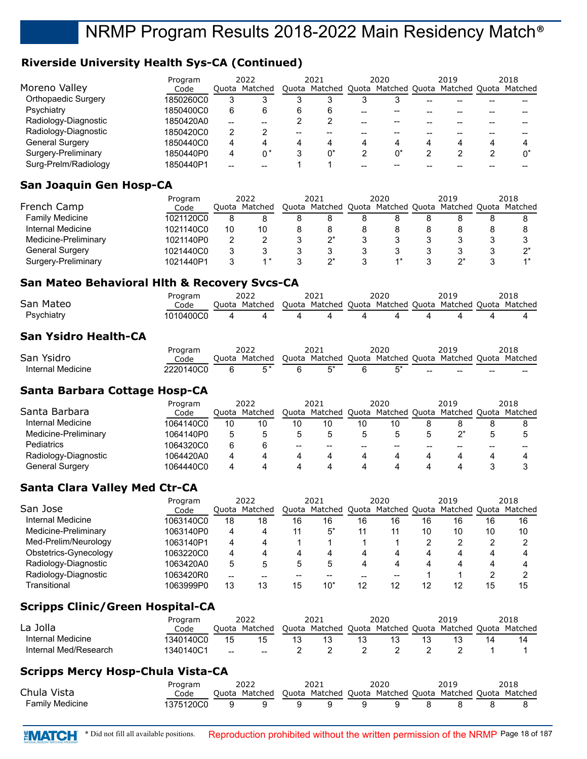## **Riverside University Health Sys-CA (Continued)**

|                      | Program   | 2022 |               | 2021 |   | 2020 |   | 2019 |                                                         |   | 2018 |
|----------------------|-----------|------|---------------|------|---|------|---|------|---------------------------------------------------------|---|------|
| Moreno Valley        | Code      |      | Ouota Matched |      |   |      |   |      | Quota Matched Quota Matched Quota Matched Quota Matched |   |      |
| Orthopaedic Surgery  | 1850260C0 | 3    |               |      |   |      |   |      |                                                         |   |      |
| Psychiatry           | 1850400C0 | 6    |               | 6    | 6 |      |   |      |                                                         |   |      |
| Radiology-Diagnostic | 1850420A0 | $-$  |               |      |   |      |   |      |                                                         |   |      |
| Radiology-Diagnostic | 1850420C0 | 2    |               | --   |   |      |   |      |                                                         |   |      |
| General Surgery      | 1850440C0 | 4    |               | 4    | Δ | 4    | 4 |      | 4                                                       | 4 |      |
| Surgery-Preliminary  | 1850440P0 | 4    |               |      |   |      |   |      |                                                         |   |      |
| Surg-Prelm/Radiology | 1850440P1 | --   |               |      |   |      |   |      |                                                         |   |      |

## **San Joaquin Gen Hosp-CA**

|                        | Program   | 2022  |         | 2021  |         | 2020 |                     | 2019 |               | 2018    |
|------------------------|-----------|-------|---------|-------|---------|------|---------------------|------|---------------|---------|
| French Camp            | Code      | Ouota | Matched | Ouota | Matched |      | Quota Matched Quota |      | Matched Quota | Matched |
| <b>Family Medicine</b> | 1021120C0 | 8     |         |       |         |      |                     |      |               |         |
| Internal Medicine      | 1021140C0 | 10    | 10      |       |         |      |                     |      |               |         |
| Medicine-Preliminary   | 1021140P0 | ◠     |         |       |         |      |                     |      |               |         |
| <b>General Surgery</b> | 1021440C0 |       |         |       |         |      |                     |      |               | n*      |
| Surgery-Preliminary    | 1021440P1 |       |         |       |         |      |                     |      |               |         |

## **San Mateo Behavioral Hlth & Recovery Svcs-CA**

|            | Program                       | 2022                                                                  | 2021 | 2020 | 2019 | 2018 |
|------------|-------------------------------|-----------------------------------------------------------------------|------|------|------|------|
| San Mateo  | Code                          | Quota Matched Quota Matched Quota Matched Quota Matched Quota Matched |      |      |      |      |
| Psychiatry | 1010400C0 4 4 4 4 4 4 4 4 4 4 |                                                                       |      |      |      |      |

## **San Ysidro Health-CA**

|                   | Program   |       | 2022    | 2021                                                    | 2020 | 2019 |     | 2018  |
|-------------------|-----------|-------|---------|---------------------------------------------------------|------|------|-----|-------|
| San Ysidro        | Code      | Ouota | Matched | Quota Matched Quota Matched Quota Matched Quota Matched |      |      |     |       |
| Internal Medicine | ?220140C0 |       |         |                                                         |      | $-$  | $-$ | $- -$ |

## **Santa Barbara Cottage Hosp-CA**

| Program                |           | 2022  |         | 2021  |                                   | 2020 |       | 2019 |               |    | 2018    |
|------------------------|-----------|-------|---------|-------|-----------------------------------|------|-------|------|---------------|----|---------|
| Santa Barbara          | Code      | Ouota | Matched |       | Quota Matched Quota Matched Quota |      |       |      | Matched Quota |    | Matched |
| Internal Medicine      | 1064140C0 | 10    |         | 10    | 10                                | 10   | 10    |      |               |    |         |
| Medicine-Preliminary   | 1064140P0 | 5     |         |       |                                   |      |       |      |               |    |         |
| <b>Pediatrics</b>      | 1064320C0 | 6     |         | $- -$ | $- -$                             | --   | $- -$ |      |               | -- |         |
| Radiology-Diagnostic   | 1064420A0 | 4     |         |       |                                   | 4    |       |      |               | 4  |         |
| <b>General Surgery</b> | 1064440C0 | 4     |         |       |                                   | 4    | 4     |      |               |    |         |

## **Santa Clara Valley Med Ctr-CA**

| Program   |    |    |                          |       |      |       |      | 2019 |    | 2018                                            |
|-----------|----|----|--------------------------|-------|------|-------|------|------|----|-------------------------------------------------|
| Code      |    |    |                          |       |      |       |      |      |    | Matched                                         |
| 1063140C0 | 18 | 18 | 16                       | 16    | 16   | 16    | 16   | 16   | 16 | 16                                              |
| 1063140P0 | 4  |    | 11                       | 5*    | 11   | 11    | 10   | 10   | 10 | 10                                              |
| 1063140P1 | 4  |    |                          |       |      |       |      |      |    |                                                 |
| 1063220C0 | 4  |    |                          | Δ     | 4    | 4     |      | 4    | 4  |                                                 |
| 1063420A0 | 5  |    | 5                        |       | 4    | 4     |      |      | 4  |                                                 |
| 1063420R0 | -- | -- | --                       |       |      | $- -$ |      |      |    |                                                 |
| 1063999P0 | 13 | 13 | 15                       | $10*$ | 12   | 12    | 12   | 12   | 15 | 15                                              |
|           |    |    | 2022<br>Matched<br>Ouota |       | 2021 |       | 2020 |      |    | Quota Matched Quota Matched Quota Matched Quota |

## **Scripps Clinic/Green Hospital-CA**

|                       | Program   |                          | 2022    |       | 2021                        | 2020 | 2019          | 2018    |
|-----------------------|-----------|--------------------------|---------|-------|-----------------------------|------|---------------|---------|
| La Jolla              | Code      | Ouota                    | Matched | Ouota | Matched Quota Matched Quota |      | Matched Quota | Matched |
| Internal Medicine     | 1340140C0 |                          |         |       |                             |      |               |         |
| Internal Med/Research | 1340140C1 | $\overline{\phantom{m}}$ | $- -$   |       |                             |      |               |         |

## **Scripps Mercy Hosp-Chula Vista-CA**

|                 | Program   |    | 2022                                                                  | 2021 | 2020 | 2019 | 2018 |
|-----------------|-----------|----|-----------------------------------------------------------------------|------|------|------|------|
| Chula Vista     | Code      |    | Quota Matched Quota Matched Quota Matched Quota Matched Quota Matched |      |      |      |      |
| Family Medicine | 1375120C0 | -9 |                                                                       |      |      |      |      |

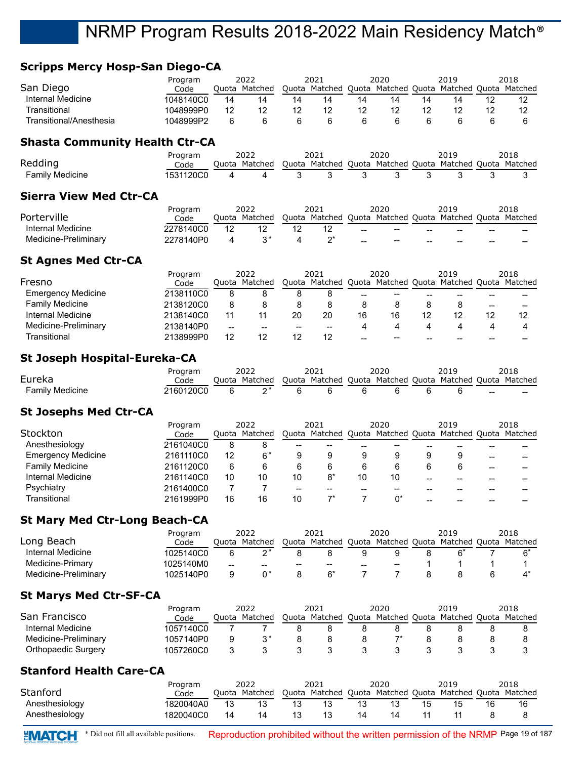## **Scripps Mercy Hosp-San Diego-CA**

| - ,                                   |                 |                   |                 |                   |                       |       |                                                         |    |      |       |                 |
|---------------------------------------|-----------------|-------------------|-----------------|-------------------|-----------------------|-------|---------------------------------------------------------|----|------|-------|-----------------|
| San Diego                             | Program<br>Code | Quota             | 2022<br>Matched |                   | 2021<br>Quota Matched |       | 2020<br>Quota Matched Quota Matched                     |    | 2019 | Quota | 2018<br>Matched |
| Internal Medicine                     | 1048140C0       | 14                | 14              | 14                | 14                    | 14    | 14                                                      | 14 | 14   |       |                 |
|                                       |                 |                   |                 |                   |                       |       |                                                         |    |      | 12    | 12              |
| Transitional                          | 1048999P0       | 12                | 12              | 12                | 12                    | 12    | 12                                                      | 12 | 12   | 12    | 12              |
| Transitional/Anesthesia               | 1048999P2       | 6                 | 6               | 6                 | 6                     | 6     | 6                                                       | 6  | 6    | 6     | 6               |
| <b>Shasta Community Health Ctr-CA</b> |                 |                   |                 |                   |                       |       |                                                         |    |      |       |                 |
|                                       | Program         |                   | 2022            |                   | 2021                  |       | 2020                                                    |    | 2019 |       | 2018            |
| Redding                               | Code            |                   | Quota Matched   |                   |                       |       | Quota Matched Quota Matched Quota Matched Quota Matched |    |      |       |                 |
| <b>Family Medicine</b>                | 1531120C0       | 4                 | 4               | 3                 | 3                     | 3     | 3                                                       | 3  | 3    | 3     | 3               |
| <b>Sierra View Med Ctr-CA</b>         |                 |                   |                 |                   |                       |       |                                                         |    |      |       |                 |
| Porterville                           | Program         |                   | 2022            |                   | 2021                  |       | 2020                                                    |    | 2019 |       | 2018            |
|                                       | Code            |                   | Quota Matched   |                   |                       |       | Quota Matched Quota Matched Quota Matched               |    |      |       | Quota Matched   |
| Internal Medicine                     | 2278140C0       | 12                | 12              | 12                | 12                    |       |                                                         |    |      |       |                 |
| Medicine-Preliminary                  | 2278140P0       | 4                 | $3*$            | 4                 | $2^*$                 |       |                                                         |    |      |       |                 |
| <b>St Agnes Med Ctr-CA</b>            |                 |                   |                 |                   |                       |       |                                                         |    |      |       |                 |
|                                       | Program         |                   | 2022            |                   | 2021                  |       | 2020                                                    |    | 2019 |       | 2018            |
| Fresno                                | Code            |                   | Quota Matched   |                   |                       |       | Quota Matched Quota Matched Quota Matched Quota Matched |    |      |       |                 |
| <b>Emergency Medicine</b>             | 2138110C0       | 8                 | 8               | 8                 | 8                     |       | $\overline{\phantom{a}}$                                |    |      |       |                 |
| <b>Family Medicine</b>                | 2138120C0       | 8                 | 8               | 8                 | 8                     | 8     | 8                                                       | 8  | 8    | --    |                 |
| <b>Internal Medicine</b>              | 2138140C0       | 11                | 11              | 20                | 20                    | 16    | 16                                                      | 12 | 12   | 12    | 12              |
| Medicine-Preliminary                  | 2138140P0       | $\qquad \qquad -$ | $-$             | $\hspace{0.05cm}$ | $- -$                 | 4     | 4                                                       | 4  | 4    | 4     | 4               |
| Transitional                          | 2138999P0       | 12                | 12              | 12                | 12                    | $- -$ |                                                         |    |      |       |                 |
| St Joseph Hospital-Eureka-CA          |                 |                   |                 |                   |                       |       |                                                         |    |      |       |                 |

|                        | Program   | 2022                                                                  | 2021 | 2020 | 2019 | 2018 |
|------------------------|-----------|-----------------------------------------------------------------------|------|------|------|------|
| Eureka                 | Code      | Quota Matched Quota Matched Quota Matched Quota Matched Quota Matched |      |      |      |      |
| <b>Family Medicine</b> | 2160120C0 |                                                                       |      |      |      | $-$  |

## **St Josephs Med Ctr-CA**

|                           | Program   |    | 2022          |    | 2021  |    | 2020 |    | 2019                                                    |    | 2018 |
|---------------------------|-----------|----|---------------|----|-------|----|------|----|---------------------------------------------------------|----|------|
| Stockton                  | Code      |    | Quota Matched |    |       |    |      |    | Quota Matched Quota Matched Quota Matched Quota Matched |    |      |
| Anesthesiology            | 2161040C0 | 8  |               | -- | $- -$ | -- |      |    |                                                         |    |      |
| <b>Emergency Medicine</b> | 2161110C0 | 12 | 6*            | 9  |       | 9  | 9    |    | 9                                                       | -- |      |
| <b>Family Medicine</b>    | 2161120C0 | 6  | 6             | 6  | 6     | 6  | 6    |    | 6                                                       | -- |      |
| Internal Medicine         | 2161140C0 | 10 | 10            | 10 |       | 10 | 10   | -- |                                                         |    |      |
| Psychiatry                | 2161400C0 |    |               | -- |       |    |      |    |                                                         |    |      |
| Transitional              | 2161999P0 | 16 | 16            | 10 |       |    |      |    |                                                         |    |      |

## **St Mary Med Ctr-Long Beach-CA**

|                      | Program   |                   | 2022    |                                                | 2021                |       | 2020              | 2019                  |   | 2018 |
|----------------------|-----------|-------------------|---------|------------------------------------------------|---------------------|-------|-------------------|-----------------------|---|------|
| Long Beach           | Code      | Ouota             | Matched |                                                | Quota Matched Quota |       | Matched Quota     | Matched Quota Matched |   |      |
| Internal Medicine    | 1025140C0 |                   |         |                                                |                     | u     |                   |                       |   |      |
| Medicine-Primary     | 1025140M0 | $\hspace{0.05cm}$ | $- -$   | $\hspace{0.1mm}-\hspace{0.1mm}-\hspace{0.1mm}$ | $- -$               | $- -$ | $\hspace{0.05cm}$ |                       |   |      |
| Medicine-Preliminary | 1025140P0 |                   |         |                                                |                     |       |                   |                       | h |      |

## **St Marys Med Ctr-SF-CA**

|                      | Program   |       | 2022    |       | 2021    |       | 2020          | 2019                  | 2018 |
|----------------------|-----------|-------|---------|-------|---------|-------|---------------|-----------------------|------|
| San Francisco        | Code      | Ouota | Matched | Quota | Matched | Quota | Matched Quota | Matched Quota Matched |      |
| Internal Medicine    | 1057140C0 |       |         |       |         |       |               |                       |      |
| Medicine-Preliminary | 1057140P0 |       |         |       |         |       |               |                       |      |
| Orthopaedic Surgery  | 1057260C0 |       |         |       |         |       |               |                       |      |

## **Stanford Health Care-CA**

| Stanford       | Program<br>Code |    | 2022<br>Ouota Matched | 2021<br>Quota Matched Quota Matched Quota Matched Quota Matched | 2020 |    | 2019 | 2018 |
|----------------|-----------------|----|-----------------------|-----------------------------------------------------------------|------|----|------|------|
| Anesthesiology | 1820040A0       |    |                       |                                                                 |      | 15 | 15   | 16   |
| Anesthesiology | 1820040C0       | 14 | 14                    | 13                                                              | 14   |    |      |      |

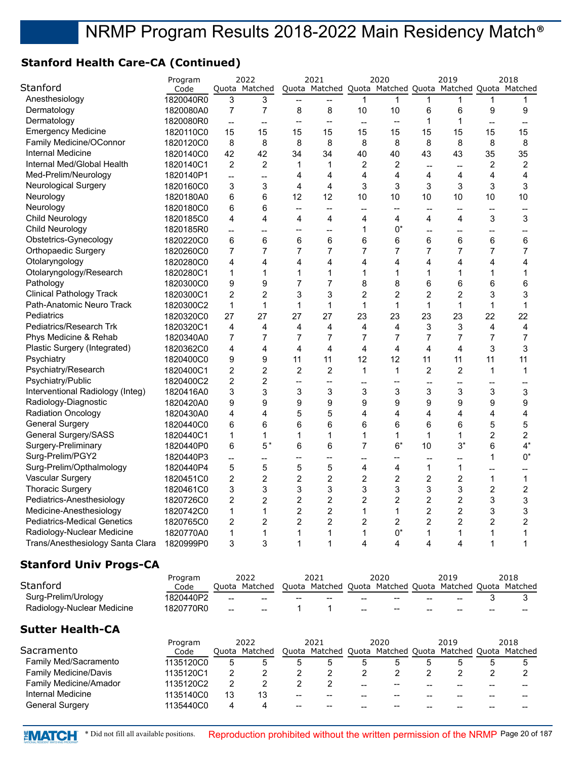## **Stanford Health Care-CA (Continued)**

|                                    | Program   |                          | 2022                     |                          | 2021           |                | 2020                                                    |                          | 2019                     |                          | 2018           |
|------------------------------------|-----------|--------------------------|--------------------------|--------------------------|----------------|----------------|---------------------------------------------------------|--------------------------|--------------------------|--------------------------|----------------|
| Stanford                           | Code      |                          | Quota Matched            |                          |                |                | Quota Matched Quota Matched Quota Matched Quota Matched |                          |                          |                          |                |
| Anesthesiology                     | 1820040R0 | 3                        | 3                        |                          | --             | $\mathbf{1}$   | 1                                                       | $\mathbf{1}$             | 1                        | 1                        | 1              |
| Dermatology                        | 1820080A0 | $\overline{7}$           | 7                        | 8                        | 8              | 10             | 10                                                      | 6                        | 6                        | 9                        | 9              |
| Dermatology                        | 1820080R0 | --                       | <u></u>                  | $\overline{\phantom{a}}$ | --             | $\overline{a}$ | $\overline{\phantom{a}}$                                | $\mathbf{1}$             | 1                        | $\overline{a}$           | $-$            |
| <b>Emergency Medicine</b>          | 1820110C0 | 15                       | 15                       | 15                       | 15             | 15             | 15                                                      | 15                       | 15                       | 15                       | 15             |
| Family Medicine/OConnor            | 1820120C0 | 8                        | 8                        | 8                        | 8              | 8              | 8                                                       | 8                        | 8                        | 8                        | 8              |
| Internal Medicine                  | 1820140C0 | 42                       | 42                       | 34                       | 34             | 40             | 40                                                      | 43                       | 43                       | 35                       | 35             |
| Internal Med/Global Health         | 1820140C1 | $\overline{2}$           | $\overline{2}$           | $\mathbf 1$              | $\mathbf{1}$   | $\overline{2}$ | $\overline{c}$                                          | $\overline{a}$           | $\overline{\phantom{a}}$ | $\overline{2}$           | $\overline{2}$ |
| Med-Prelim/Neurology               | 1820140P1 | $\overline{\phantom{a}}$ | $\overline{a}$           | 4                        | 4              | 4              | 4                                                       | 4                        | 4                        | $\overline{\mathbf{4}}$  | 4              |
| Neurological Surgery               | 1820160C0 | 3                        | 3                        | 4                        | 4              | 3              | 3                                                       | 3                        | 3                        | 3                        | 3              |
| Neurology                          | 1820180A0 | 6                        | 6                        | 12                       | 12             | 10             | 10                                                      | 10                       | 10                       | 10                       | 10             |
| Neurology                          | 1820180C0 | 6                        | 6                        | $\overline{\phantom{a}}$ | --             | --             | --                                                      |                          | --                       | --                       |                |
| <b>Child Neurology</b>             | 1820185C0 | 4                        | 4                        | 4                        | 4              | 4              | 4                                                       | 4                        | 4                        | 3                        | 3              |
| <b>Child Neurology</b>             | 1820185R0 | $\overline{a}$           | $\overline{\phantom{a}}$ | --                       | --             | $\mathbf 1$    | $0^*$                                                   | --                       | --                       | $\overline{\phantom{a}}$ | $-$            |
| Obstetrics-Gynecology              | 1820220C0 | $6\phantom{1}6$          | 6                        | 6                        | 6              | 6              | 6                                                       | 6                        | 6                        | 6                        | $\,6$          |
| <b>Orthopaedic Surgery</b>         | 1820260C0 | 7                        | 7                        | 7                        | $\overline{7}$ | 7              | 7                                                       | 7                        | 7                        | $\overline{7}$           | 7              |
| Otolaryngology                     | 1820280C0 | 4                        | 4                        | 4                        | 4              | 4              | 4                                                       | 4                        | 4                        | 4                        | 4              |
| Otolaryngology/Research            | 1820280C1 | 1                        | 1                        | $\mathbf{1}$             | $\mathbf{1}$   | $\mathbf{1}$   | $\mathbf{1}$                                            | $\mathbf{1}$             | 1                        | $\mathbf{1}$             | $\mathbf{1}$   |
| Pathology                          | 1820300C0 | 9                        | 9                        | 7                        | 7              | 8              | 8                                                       | 6                        | 6                        | 6                        | 6              |
| <b>Clinical Pathology Track</b>    | 1820300C1 | $\overline{2}$           | $\overline{2}$           | 3                        | 3              | $\overline{c}$ | $\overline{c}$                                          | $\overline{2}$           | $\overline{2}$           | 3                        | 3              |
| Path-Anatomic Neuro Track          | 1820300C2 | 1                        | 1                        | $\mathbf{1}$             | $\mathbf{1}$   | $\mathbf{1}$   | $\mathbf{1}$                                            | $\mathbf{1}$             | 1                        | $\mathbf{1}$             | $\mathbf{1}$   |
| Pediatrics                         | 1820320C0 | 27                       | 27                       | 27                       | 27             | 23             | 23                                                      | 23                       | 23                       | 22                       | 22             |
| Pediatrics/Research Trk            | 1820320C1 | 4                        | 4                        | 4                        | 4              | 4              | 4                                                       | 3                        | 3                        | 4                        | 4              |
| Phys Medicine & Rehab              | 1820340A0 | $\overline{7}$           | 7                        | 7                        | $\overline{7}$ | $\overline{7}$ | $\overline{7}$                                          | $\overline{7}$           | $\overline{7}$           | $\overline{7}$           | $\overline{7}$ |
| Plastic Surgery (Integrated)       | 1820362C0 | 4                        | 4                        | $\overline{4}$           | $\overline{4}$ | $\overline{4}$ | 4                                                       | 4                        | $\overline{4}$           | 3                        | 3              |
| Psychiatry                         | 1820400C0 | 9                        | 9                        | 11                       | 11             | 12             | 12                                                      | 11                       | 11                       | 11                       | 11             |
| Psychiatry/Research                | 1820400C1 | $\boldsymbol{2}$         | $\overline{c}$           | $\overline{c}$           | $\overline{c}$ | $\mathbf{1}$   | $\mathbf{1}$                                            | $\overline{2}$           | $\overline{2}$           | $\mathbf{1}$             | $\mathbf{1}$   |
| Psychiatry/Public                  | 1820400C2 | $\overline{2}$           | $\overline{2}$           | $\overline{\phantom{a}}$ | --             | --             | --                                                      | $\overline{\phantom{a}}$ | -−                       | $\overline{a}$           | $\overline{a}$ |
| Interventional Radiology (Integ)   | 1820416A0 | 3                        | 3                        | 3                        | 3              | 3              | 3                                                       | 3                        | 3                        | 3                        | 3              |
| Radiology-Diagnostic               | 1820420A0 | 9                        | 9                        | 9                        | 9              | 9              | 9                                                       | 9                        | 9                        | 9                        | 9              |
| <b>Radiation Oncology</b>          | 1820430A0 | 4                        | 4                        | 5                        | 5              | 4              | 4                                                       | 4                        | 4                        | 4                        | 4              |
| <b>General Surgery</b>             | 1820440C0 | 6                        | 6                        | 6                        | 6              | 6              | 6                                                       | 6                        | 6                        | 5                        | 5              |
| General Surgery/SASS               | 1820440C1 | 1                        | 1                        | 1                        | $\mathbf{1}$   | $\mathbf{1}$   | 1                                                       | $\mathbf{1}$             | 1                        | $\overline{c}$           | $\overline{c}$ |
| Surgery-Preliminary                | 1820440P0 | 6                        | $5*$                     | 6                        | 6              | $\overline{7}$ | $6*$                                                    | 10                       | $3^*$                    | 6                        | $4^*$          |
| Surg-Prelim/PGY2                   | 1820440P3 | $\overline{\phantom{a}}$ | $\overline{\phantom{a}}$ | $\overline{\phantom{a}}$ | --             | --             | --                                                      | $\overline{a}$           | $\overline{a}$           | 1                        | $0^*$          |
| Surg-Prelim/Opthalmology           | 1820440P4 | 5                        | 5                        | 5                        | 5              | 4              | 4                                                       | 1                        | 1                        | --                       |                |
| Vascular Surgery                   | 1820451C0 | $\overline{c}$           | $\overline{2}$           | 2                        | $\overline{c}$ | $\overline{2}$ | $\overline{c}$                                          | $\overline{2}$           | 2                        | $\mathbf{1}$             | $\mathbf{1}$   |
| <b>Thoracic Surgery</b>            | 1820461C0 | 3                        | 3                        | 3                        | 3              | 3              | 3                                                       | 3                        | 3                        | $\overline{c}$           | $\overline{c}$ |
| Pediatrics-Anesthesiology          | 1820726C0 | $\overline{c}$           | $\overline{c}$           | $\overline{c}$           | $\overline{c}$ | $\overline{c}$ | $\overline{c}$                                          | $\overline{c}$           | $\overline{c}$           | 3                        | 3              |
| Medicine-Anesthesiology            | 1820742C0 | 1                        | 1                        | 2                        | $\overline{c}$ | $\mathbf{1}$   | 1                                                       | $\overline{c}$           | $\overline{c}$           | 3                        | 3              |
| <b>Pediatrics-Medical Genetics</b> | 1820765C0 | $\overline{c}$           | $\overline{c}$           | $\overline{c}$           | $\overline{c}$ | $\overline{c}$ | $\overline{c}$                                          | $\overline{c}$           | $\overline{c}$           | $\overline{c}$           | $\overline{c}$ |
| Radiology-Nuclear Medicine         | 1820770A0 | $\mathbf 1$              | 1                        | 1                        | $\mathbf 1$    | $\mathbf{1}$   | $0^*$                                                   | $\mathbf 1$              | 1                        | 1                        | 1              |
| Trans/Anesthesiology Santa Clara   | 1820999P0 | 3                        | 3                        | 1                        | $\mathbf{1}$   | 4              | 4                                                       | 4                        | 4                        | 1                        | 1              |
|                                    |           |                          |                          |                          |                |                |                                                         |                          |                          |                          |                |

## **Stanford Univ Progs-CA**

| Stanford                     | Program<br>Code |     | 2022<br>Ouota Matched |   | 2021<br>Quota Matched Quota Matched Quota Matched Quota Matched |   | 2020                                              |   | 2019 |   | 2018 |
|------------------------------|-----------------|-----|-----------------------|---|-----------------------------------------------------------------|---|---------------------------------------------------|---|------|---|------|
| Surg-Prelim/Urology          | 1820440P2       |     |                       |   |                                                                 |   |                                                   |   |      | د |      |
| Radiology-Nuclear Medicine   | 1820770R0       | $-$ |                       |   |                                                                 |   | $\hspace{0.05cm}-\hspace{0.05cm}-\hspace{0.05cm}$ |   |      |   |      |
| <b>Sutter Health-CA</b>      |                 |     |                       |   |                                                                 |   |                                                   |   |      |   |      |
|                              | Program         |     | 2022                  |   | 2021                                                            |   | 2020                                              |   | 2019 |   | 2018 |
| Sacramento                   | Code            |     | Ouota Matched         |   | Quota Matched Quota Matched Quota Matched Quota Matched         |   |                                                   |   |      |   |      |
| <b>Family Med/Sacramento</b> |                 |     |                       |   |                                                                 |   |                                                   |   |      |   |      |
|                              | 1135120C0       | 5   | 5                     | 5 | 5                                                               | 5 |                                                   | 5 | 5    | 5 |      |
| <b>Family Medicine/Davis</b> | 1135120C1       | 2   |                       | 2 | 2                                                               | 2 | 2                                                 |   |      | 2 |      |

Internal Medicine 1135140C0 13 13 -- -- -- -- -- -- -- -- General Surgery 1135440C0 4 4 -- -- -- -- -- -- -- --

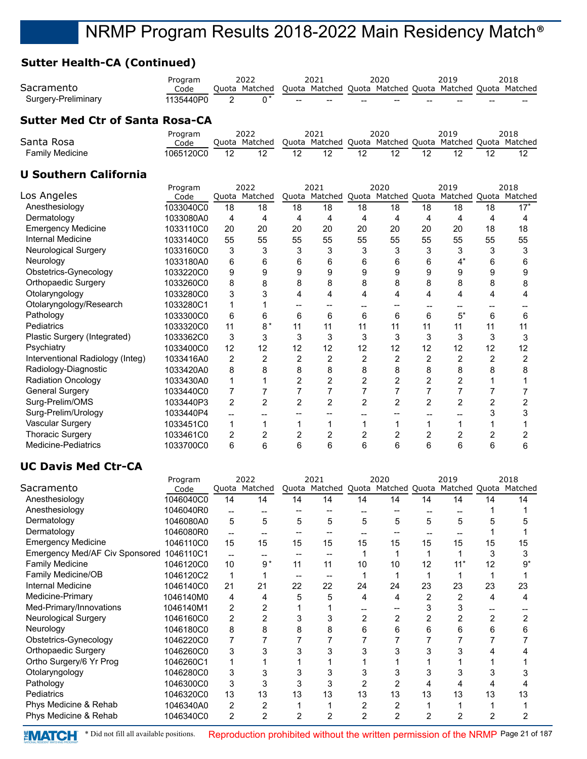## **Sutter Health-CA (Continued)**

| Sacramento<br>Surgery-Preliminary      | Program<br>Code<br>1135440P0 | $\overline{2}$ | 2022<br>Quota Matched<br>$0^*$ |                | 2021<br>Quota Matched Quota Matched Quota Matched Quota Matched |                          | 2020                                      |                | 2019                     |                | 2018           |
|----------------------------------------|------------------------------|----------------|--------------------------------|----------------|-----------------------------------------------------------------|--------------------------|-------------------------------------------|----------------|--------------------------|----------------|----------------|
| <b>Sutter Med Ctr of Santa Rosa-CA</b> |                              |                |                                |                |                                                                 |                          |                                           |                |                          |                |                |
|                                        | Program                      |                | 2022                           |                | 2021                                                            |                          | 2020                                      |                | 2019                     |                | 2018           |
| Santa Rosa                             | Code                         |                | Quota Matched                  |                | Quota Matched                                                   |                          | Quota Matched Quota Matched Quota Matched |                |                          |                |                |
| <b>Family Medicine</b>                 | 1065120C0                    | 12             | 12                             | 12             | 12                                                              | 12                       | 12                                        | 12             | 12                       | 12             | 12             |
| <b>U Southern California</b>           |                              |                |                                |                |                                                                 |                          |                                           |                |                          |                |                |
|                                        | Program                      |                | 2022                           |                | 2021                                                            |                          | 2020                                      |                | 2019                     |                | 2018           |
| Los Angeles                            | Code                         |                | Quota Matched                  |                | Quota Matched                                                   |                          | Quota Matched                             |                | Quota Matched Quota      |                | Matched        |
| Anesthesiology                         | 1033040C0                    | 18             | 18                             | 18             | 18                                                              | 18                       | 18                                        | 18             | 18                       | 18             | $17*$          |
| Dermatology                            | 1033080A0                    | 4              | 4                              | 4              | 4                                                               | 4                        | 4                                         | 4              | 4                        | 4              | 4              |
| <b>Emergency Medicine</b>              | 1033110C0                    | 20             | 20                             | 20             | 20                                                              | 20                       | 20                                        | 20             | 20                       | 18             | 18             |
| <b>Internal Medicine</b>               | 1033140C0                    | 55             | 55                             | 55             | 55                                                              | 55                       | 55                                        | 55             | 55                       | 55             | 55             |
| <b>Neurological Surgery</b>            | 1033160C0                    | 3              | 3                              | 3              | 3                                                               | 3                        | 3                                         | 3              | 3                        | 3              | 3              |
| Neurology                              | 1033180A0                    | 6              | 6                              | 6              | 6                                                               | 6                        | 6                                         | 6              | $4^*$                    | 6              | 6              |
| Obstetrics-Gynecology                  | 1033220C0                    | 9              | 9                              | 9              | 9                                                               | 9                        | 9                                         | 9              | 9                        | 9              | 9              |
| <b>Orthopaedic Surgery</b>             | 1033260C0                    | 8              | 8                              | 8              | 8                                                               | 8                        | 8                                         | 8              | 8                        | 8              | 8              |
| Otolaryngology                         | 1033280C0                    | 3              | 3                              | 4              | 4                                                               | 4                        | 4                                         | 4              | 4                        | 4              | 4              |
| Otolaryngology/Research                | 1033280C1                    | 1              |                                | --             | $- -$                                                           | $\overline{\phantom{m}}$ | --                                        | --             | $\overline{\phantom{a}}$ | --             |                |
| Pathology                              | 1033300C0                    | 6              | 6                              | 6              | 6                                                               | 6                        | 6                                         | 6              | $5^*$                    | 6              | 6              |
| Pediatrics                             | 1033320C0                    | 11             | $8*$                           | 11             | 11                                                              | 11                       | 11                                        | 11             | 11                       | 11             | 11             |
| Plastic Surgery (Integrated)           | 1033362C0                    | 3              | 3                              | 3              | 3                                                               | 3                        | 3                                         | 3              | 3                        | 3              | 3              |
| Psychiatry                             | 1033400C0                    | 12             | 12                             | 12             | 12                                                              | 12                       | 12                                        | 12             | 12                       | 12             | 12             |
| Interventional Radiology (Integ)       | 1033416A0                    | $\overline{c}$ | 2                              | $\overline{c}$ | 2                                                               | 2                        | $\overline{c}$                            | $\overline{2}$ | 2                        | 2              | 2              |
| Radiology-Diagnostic                   | 1033420A0                    | 8              | 8                              | 8              | 8                                                               | 8                        | 8                                         | 8              | 8                        | 8              | 8              |
| <b>Radiation Oncology</b>              | 1033430A0                    | $\mathbf 1$    | 1                              | $\overline{2}$ | 2                                                               | $\overline{2}$           | 2                                         | $\overline{c}$ | 2                        | $\mathbf{1}$   | 1              |
| <b>General Surgery</b>                 | 1033440C0                    | 7              | 7                              | 7              | 7                                                               | 7                        | 7                                         | 7              | 7                        | 7              | 7              |
| Surg-Prelim/OMS                        | 1033440P3                    | $\overline{2}$ | $\overline{2}$                 | $\overline{c}$ | $\overline{2}$                                                  | $\overline{c}$           | $\overline{2}$                            | $\overline{2}$ | $\overline{c}$           | $\overline{c}$ | $\overline{2}$ |
| Surg-Prelim/Urology                    | 1033440P4                    | --             | --                             | --             |                                                                 | --                       | --                                        | --             | --                       | 3              | 3              |
| <b>Vascular Surgery</b>                | 1033451C0                    | 1              | 1                              | 1              | 1                                                               | 1                        | 1                                         | 1              | 1                        | 1              | 1              |
| <b>Thoracic Surgery</b>                | 1033461C0                    | $\overline{2}$ | $\overline{2}$                 | $\overline{c}$ | 2                                                               | 2                        | 2                                         | $\overline{2}$ | $\overline{2}$           | $\overline{2}$ | $\overline{2}$ |
| <b>Medicine-Pediatrics</b>             | 1033700C0                    | 6              | 6                              | 6              | 6                                                               | 6                        | 6                                         | 6              | 6                        | 6              | 6              |

## **UC Davis Med Ctr-CA**

|                                | Program   |     | 2022          |    | 2021                                                    |    | 2020 |    | 2019  |    | 2018  |
|--------------------------------|-----------|-----|---------------|----|---------------------------------------------------------|----|------|----|-------|----|-------|
| Sacramento                     | Code      |     | Quota Matched |    | Quota Matched Quota Matched Quota Matched Quota Matched |    |      |    |       |    |       |
| Anesthesiology                 | 1046040C0 | 14  | 14            | 14 | 14                                                      | 14 | 14   | 14 | 14    | 14 | 14    |
| Anesthesiology                 | 1046040R0 |     |               |    |                                                         |    |      |    |       |    |       |
| Dermatology                    | 1046080A0 | 5   | 5             | 5  | 5                                                       | 5  | 5    | 5  | 5     |    |       |
| Dermatology                    | 1046080R0 | $-$ |               |    |                                                         |    |      |    |       |    |       |
| <b>Emergency Medicine</b>      | 1046110C0 | 15  | 15            | 15 | 15                                                      | 15 | 15   | 15 | 15    | 15 | 15    |
| Emergency Med/AF Civ Sponsored | 1046110C1 |     |               |    |                                                         |    |      |    |       | 3  |       |
| <b>Family Medicine</b>         | 1046120C0 | 10  | $9*$          | 11 | 11                                                      | 10 | 10   | 12 | $11*$ | 12 | $9^*$ |
| Family Medicine/OB             | 1046120C2 |     |               |    |                                                         |    |      |    |       |    |       |
| Internal Medicine              | 1046140C0 | 21  | 21            | 22 | 22                                                      | 24 | 24   | 23 | 23    | 23 | 23    |
| Medicine-Primary               | 1046140M0 | 4   | 4             |    | 5                                                       | 4  | 4    |    |       | 4  |       |
| Med-Primary/Innovations        | 1046140M1 | 2   | 2             |    |                                                         |    |      |    |       |    |       |
| <b>Neurological Surgery</b>    | 1046160C0 | 2   | 2             | 3  | 3                                                       |    |      | 2  |       | 2  |       |
| Neurology                      | 1046180C0 | 8   | 8             | 8  | 8                                                       | հ  | 6    | 6  | 6     | 6  |       |
| Obstetrics-Gynecology          | 1046220C0 |     |               |    |                                                         |    |      |    |       |    |       |
| Orthopaedic Surgery            | 1046260C0 | 3   | 3             |    |                                                         |    |      |    |       |    |       |
| Ortho Surgery/6 Yr Prog        | 1046260C1 |     |               |    |                                                         |    |      |    |       |    |       |
| Otolaryngology                 | 1046280C0 | 3   | 3             |    |                                                         |    |      |    |       |    |       |
| Pathology                      | 1046300C0 | 3   | 3             |    | 3                                                       |    |      |    |       |    |       |
| Pediatrics                     | 1046320C0 | 13  | 13            | 13 | 13                                                      | 13 | 13   | 13 | 13    | 13 | 13    |
| Phys Medicine & Rehab          | 1046340A0 | 2   | 2             |    |                                                         |    |      |    |       |    |       |
| Phys Medicine & Rehab          | 1046340C0 | 2   | 2             |    |                                                         | 2  |      |    |       |    |       |

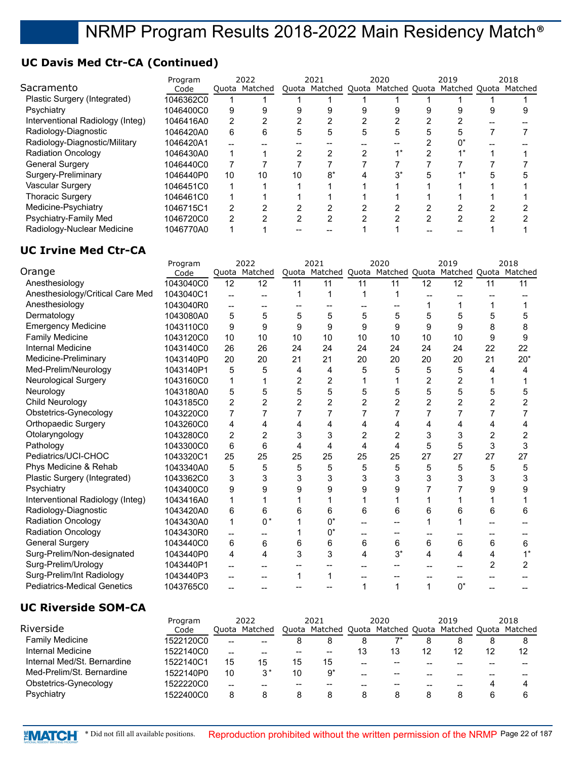## **UC Davis Med Ctr-CA (Continued)**

|                                  | Program   | 2022 |               | 2021 |      | 2020  |   | 2019                                                    | 2018 |
|----------------------------------|-----------|------|---------------|------|------|-------|---|---------------------------------------------------------|------|
| Sacramento                       | Code      |      | Quota Matched |      |      |       |   | Quota Matched Quota Matched Quota Matched Quota Matched |      |
| Plastic Surgery (Integrated)     | 1046362C0 |      |               |      |      |       |   |                                                         |      |
| Psychiatry                       | 1046400C0 | 9    |               |      |      |       |   |                                                         |      |
| Interventional Radiology (Integ) | 1046416A0 | 2    |               |      |      |       |   |                                                         |      |
| Radiology-Diagnostic             | 1046420A0 | 6    | 6             | 5    | 5    | 5     |   |                                                         |      |
| Radiology-Diagnostic/Military    | 1046420A1 |      |               |      |      |       |   | 0*                                                      |      |
| <b>Radiation Oncology</b>        | 1046430A0 |      |               |      | 2    | $4*$  |   |                                                         |      |
| <b>General Surgery</b>           | 1046440C0 |      |               |      |      |       |   |                                                         |      |
| Surgery-Preliminary              | 1046440P0 | 10   | 10            | 10   | $8*$ | $3^*$ |   |                                                         |      |
| Vascular Surgery                 | 1046451C0 |      |               |      |      |       |   |                                                         |      |
| <b>Thoracic Surgery</b>          | 1046461C0 |      |               |      |      |       |   |                                                         |      |
| Medicine-Psychiatry              | 1046715C1 | 2    |               |      |      |       |   |                                                         |      |
| Psychiatry-Family Med            | 1046720C0 | 2    |               |      | っ    |       | ົ | っ                                                       |      |
| Radiology-Nuclear Medicine       | 1046770A0 |      |               |      |      |       |   |                                                         |      |

## **UC Irvine Med Ctr-CA**

|                                    | Program   |    | 2022           |    | 2021           |                | 2020  |                | 2019                                                    |                | 2018  |
|------------------------------------|-----------|----|----------------|----|----------------|----------------|-------|----------------|---------------------------------------------------------|----------------|-------|
| Orange                             | Code      |    | Quota Matched  |    |                |                |       |                | Quota Matched Quota Matched Quota Matched Quota Matched |                |       |
| Anesthesiology                     | 1043040C0 | 12 | 12             | 11 | 11             | 11             | 11    | 12             | 12                                                      | 11             | 11    |
| Anesthesiology/Critical Care Med   | 1043040C1 |    |                |    |                |                |       |                |                                                         |                |       |
| Anesthesiology                     | 1043040R0 |    | --             |    |                |                |       |                |                                                         |                |       |
| Dermatology                        | 1043080A0 | 5  | 5              | 5  | 5              | 5              | 5     | 5              | 5                                                       | 5              | 5     |
| <b>Emergency Medicine</b>          | 1043110C0 | 9  | 9              | 9  | 9              | 9              | 9     | 9              | 9                                                       | 8              | 8     |
| <b>Family Medicine</b>             | 1043120C0 | 10 | 10             | 10 | 10             | 10             | 10    | 10             | 10                                                      | 9              | 9     |
| <b>Internal Medicine</b>           | 1043140C0 | 26 | 26             | 24 | 24             | 24             | 24    | 24             | 24                                                      | 22             | 22    |
| Medicine-Preliminary               | 1043140P0 | 20 | 20             | 21 | 21             | 20             | 20    | 20             | 20                                                      | 21             | $20*$ |
| Med-Prelim/Neurology               | 1043140P1 | 5  | 5              | 4  | 4              | 5              | 5     | 5              | 5                                                       | 4              | 4     |
| Neurological Surgery               | 1043160C0 | 1  |                | 2  | 2              |                |       | 2              | 2                                                       |                |       |
| Neurology                          | 1043180A0 | 5  | 5              | 5  | 5              | 5              | 5     | 5              | 5                                                       |                | 5     |
| Child Neurology                    | 1043185C0 | 2  | $\overline{2}$ | 2  | $\overline{2}$ | 2              | 2     | $\overline{2}$ | $\overline{2}$                                          | 2              | 2     |
| Obstetrics-Gynecology              | 1043220C0 | 7  |                |    |                |                |       |                |                                                         |                |       |
| Orthopaedic Surgery                | 1043260C0 | 4  | 4              | 4  | 4              |                | 4     | 4              |                                                         |                |       |
| Otolaryngology                     | 1043280C0 | 2  | $\overline{2}$ | 3  | 3              | $\overline{2}$ | 2     | 3              | 3                                                       | $\overline{2}$ | 2     |
| Pathology                          | 1043300C0 | 6  | 6              | 4  | 4              | 4              | 4     | 5              | 5                                                       | 3              | 3     |
| Pediatrics/UCI-CHOC                | 1043320C1 | 25 | 25             | 25 | 25             | 25             | 25    | 27             | 27                                                      | 27             | 27    |
| Phys Medicine & Rehab              | 1043340A0 | 5  | 5              | 5  | 5              | 5              | 5     | 5              | 5                                                       | 5              | 5     |
| Plastic Surgery (Integrated)       | 1043362C0 | 3  | 3              | 3  | 3              | 3              | 3     | 3              | 3                                                       | 3              | 3     |
| Psychiatry                         | 1043400C0 | 9  | 9              | g  | 9              | 9              | 9     |                |                                                         | 9              | 9     |
| Interventional Radiology (Integ)   | 1043416A0 |    |                |    |                |                |       |                |                                                         |                |       |
| Radiology-Diagnostic               | 1043420A0 | 6  | 6              | 6  | 6              | 6              | 6     | 6              | 6                                                       | 6              | 6     |
| <b>Radiation Oncology</b>          | 1043430A0 | 1  | $0^*$          |    | $0^*$          |                |       |                |                                                         |                |       |
| <b>Radiation Oncology</b>          | 1043430R0 | -- |                |    | $0^*$          |                |       |                |                                                         |                |       |
| <b>General Surgery</b>             | 1043440C0 | 6  | 6              | 6  | 6              | 6              | 6     | 6              | 6                                                       | 6              | 6     |
| Surg-Prelim/Non-designated         | 1043440P0 | 4  | 4              | 3  | 3              | 4              | $3^*$ | 4              | 4                                                       | 4              | $1^*$ |
| Surg-Prelim/Urology                | 1043440P1 |    |                |    |                |                |       |                |                                                         | 2              | 2     |
| Surg-Prelim/Int Radiology          | 1043440P3 |    |                |    |                |                |       |                |                                                         |                |       |
| <b>Pediatrics-Medical Genetics</b> | 1043765C0 |    |                |    |                | 1              | 1     | 1              | $0^*$                                                   |                |       |
|                                    |           |    |                |    |                |                |       |                |                                                         |                |       |

## **UC Riverside SOM-CA**

|                             | Program   |     | 2022          |    | 2021                                                    |    | 2020 |   | 2019 |    | 2018 |
|-----------------------------|-----------|-----|---------------|----|---------------------------------------------------------|----|------|---|------|----|------|
| Riverside                   | Code      |     | Ouota Matched |    | Quota Matched Quota Matched Quota Matched Quota Matched |    |      |   |      |    |      |
| <b>Family Medicine</b>      | 1522120C0 | --  |               |    | 8                                                       | 8  |      | 8 |      | 8  |      |
| Internal Medicine           | 1522140C0 | $-$ |               |    | --                                                      | 13 | 13   |   | 12   | 12 | 12   |
| Internal Med/St. Bernardine | 1522140C1 | 15  | 15            | 15 | 15                                                      | -- | --   |   |      |    |      |
| Med-Prelim/St. Bernardine   | 1522140P0 | 10  | $3^*$         | 10 | ʻ0*                                                     | -- | --   |   |      |    |      |
| Obstetrics-Gynecology       | 1522220C0 | --  | --            |    |                                                         |    | --   |   | --   | Δ  |      |
| Psychiatry                  | 1522400C0 | 8   |               | 8  |                                                         | 8  |      |   |      | 6  |      |

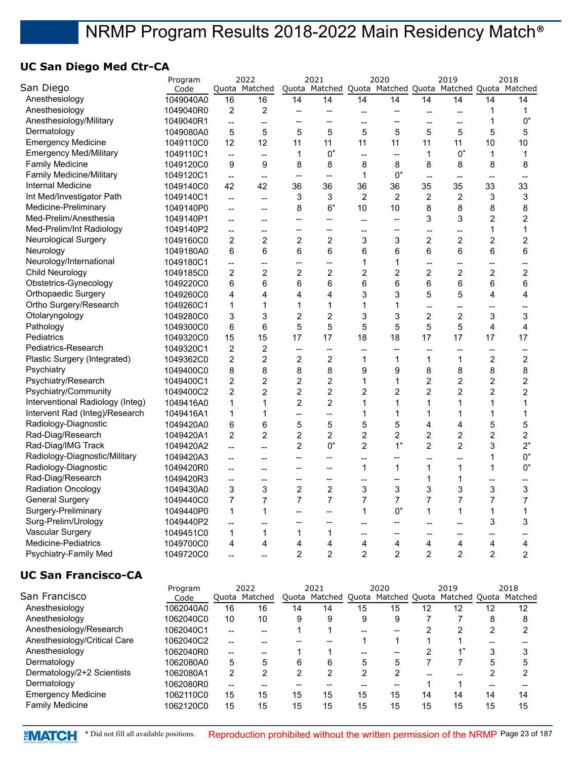## **UC San Diego Med Ctr-CA**

|                                  | Program   |                          | 2022                     |                          | 2021                     |                | 2020                     |                          | 2019                                                    |                | 2018           |
|----------------------------------|-----------|--------------------------|--------------------------|--------------------------|--------------------------|----------------|--------------------------|--------------------------|---------------------------------------------------------|----------------|----------------|
| San Diego                        | Code      |                          | Quota Matched            |                          |                          |                |                          |                          | Quota Matched Quota Matched Quota Matched Quota Matched |                |                |
| Anesthesiology                   | 1049040A0 | 16                       | 16                       | 14                       | 14                       | 14             | 14                       | 14                       | 14                                                      | 14             | 14             |
| Anesthesiology                   | 1049040R0 | $\overline{c}$           | $\overline{c}$           | --                       | --                       | $\overline{a}$ | --                       | --                       | $\overline{\phantom{a}}$                                | 1              | 1              |
| Anesthesiology/Military          | 1049040R1 | $\overline{\phantom{a}}$ | --                       | --                       | --                       | --             | --                       | --                       | --                                                      | 1              | $0^*$          |
| Dermatology                      | 1049080A0 | 5                        | 5                        | 5                        | 5                        | 5              | 5                        | 5                        | 5                                                       | 5              | 5              |
| <b>Emergency Medicine</b>        | 1049110C0 | 12                       | 12                       | 11                       | 11                       | 11             | 11                       | 11                       | 11                                                      | 10             | 10             |
| <b>Emergency Med/Military</b>    | 1049110C1 | $\overline{\phantom{a}}$ | -−                       | $\mathbf 1$              | $0^*$                    | --             | $\overline{\phantom{a}}$ | 1                        | $0^*$                                                   | 1              | 1              |
| <b>Family Medicine</b>           | 1049120C0 | 9                        | 9                        | 8                        | 8                        | 8              | 8                        | 8                        | 8                                                       | 8              | 8              |
| <b>Family Medicine/Military</b>  | 1049120C1 | $\overline{\phantom{a}}$ | $\overline{a}$           | $\overline{\phantom{a}}$ | --                       | $\mathbf{1}$   | $0^*$                    | $\overline{\phantom{a}}$ | $\overline{a}$                                          | --             | --             |
| Internal Medicine                | 1049140C0 | 42                       | 42                       | 36                       | 36                       | 36             | 36                       | 35                       | 35                                                      | 33             | 33             |
| Int Med/Investigator Path        | 1049140C1 | $\overline{\phantom{a}}$ | $\overline{\phantom{a}}$ | 3                        | 3                        | 2              | $\overline{c}$           | 2                        | $\overline{c}$                                          | 3              | 3              |
| Medicine-Preliminary             | 1049140P0 | $\overline{a}$           | $\overline{\phantom{0}}$ | 8                        | $6*$                     | 10             | 10                       | 8                        | 8                                                       | 8              | 8              |
| Med-Prelim/Anesthesia            | 1049140P1 | --                       | $\overline{a}$           | $\overline{a}$           | --                       | --             | $-$                      | 3                        | 3                                                       | $\overline{c}$ | $\overline{c}$ |
| Med-Prelim/Int Radiology         | 1049140P2 | --                       | $\overline{a}$           | --                       | --                       | --             | --                       | --                       | --                                                      | $\mathbf{1}$   | 1              |
| <b>Neurological Surgery</b>      | 1049160C0 | $\overline{c}$           | $\overline{c}$           | $\overline{\mathbf{c}}$  | $\overline{c}$           | 3              | 3                        | $\overline{c}$           | $\overline{c}$                                          | $\overline{c}$ | $\overline{c}$ |
| Neurology                        | 1049180A0 | 6                        | 6                        | 6                        | 6                        | 6              | 6                        | 6                        | 6                                                       | 6              | 6              |
| Neurology/International          | 1049180C1 | <u></u>                  | -−                       | -−                       | <u>.,</u>                | 1              | $\mathbf{1}$             | Ξ.                       | --                                                      | --             | --             |
| Child Neurology                  | 1049185C0 | $\overline{c}$           | $\overline{2}$           | $\overline{c}$           | $\overline{c}$           | $\overline{c}$ | $\overline{c}$           | $\overline{c}$           | $\overline{2}$                                          | $\overline{c}$ | $\overline{c}$ |
| Obstetrics-Gynecology            | 1049220C0 | 6                        | 6                        | 6                        | 6                        | 6              | 6                        | 6                        | 6                                                       | 6              | 6              |
| Orthopaedic Surgery              | 1049260C0 | 4                        | 4                        | 4                        | 4                        | 3              | 3                        | 5                        | 5                                                       | $\overline{4}$ | 4              |
| Ortho Surgery/Research           | 1049260C1 | 1                        | 1                        | 1                        | $\mathbf{1}$             | 1              | 1                        | --                       | --                                                      | --             | --             |
| Otolaryngology                   | 1049280C0 | 3                        | 3                        | $\overline{2}$           | $\overline{c}$           | 3              | 3                        | $\overline{2}$           | $\overline{2}$                                          | 3              | 3              |
| Pathology                        | 1049300C0 | 6                        | $6\phantom{a}$           | 5                        | 5                        | 5              | 5                        | 5                        | 5                                                       | $\overline{4}$ | 4              |
| Pediatrics                       | 1049320C0 | 15                       | 15                       | 17                       | 17                       | 18             | 18                       | 17                       | 17                                                      | 17             | 17             |
| Pediatrics-Research              | 1049320C1 | $\overline{c}$           | $\overline{c}$           | $\overline{a}$           | $\overline{\phantom{a}}$ | --             | --                       | --                       | $\overline{\phantom{a}}$                                | --             | --             |
| Plastic Surgery (Integrated)     | 1049362C0 | $\overline{c}$           | $\overline{c}$           | $\overline{c}$           | $\overline{c}$           | $\mathbf{1}$   | $\mathbf 1$              | 1                        | $\mathbf{1}$                                            | $\overline{c}$ | $\overline{c}$ |
| Psychiatry                       | 1049400C0 | 8                        | 8                        | 8                        | 8                        | 9              | 9                        | 8                        | 8                                                       | 8              | 8              |
| Psychiatry/Research              | 1049400C1 | $\overline{c}$           | $\overline{2}$           | $\overline{c}$           | $\overline{2}$           | 1              | 1                        | $\overline{c}$           | $\overline{c}$                                          | $\overline{c}$ | $\overline{c}$ |
| Psychiatry/Community             | 1049400C2 | $\overline{2}$           | $\overline{2}$           | $\overline{c}$           | $\overline{2}$           | $\overline{c}$ | $\overline{c}$           | $\overline{2}$           | $\overline{2}$                                          | $\overline{2}$ | $\overline{2}$ |
| Interventional Radiology (Integ) | 1049416A0 | 1                        | 1                        | $\overline{c}$           | $\overline{c}$           | $\mathbf{1}$   | 1                        | $\mathbf{1}$             | 1                                                       | 1              | 1              |
| Intervent Rad (Integ)/Research   | 1049416A1 | 1                        | 1                        | $\overline{a}$           | --                       | $\mathbf{1}$   | 1                        | 1                        | 1                                                       | 1              | 1              |
| Radiology-Diagnostic             | 1049420A0 | 6                        | 6                        | 5                        | 5                        | 5              | 5                        | 4                        | 4                                                       | 5              | 5              |
| Rad-Diag/Research                | 1049420A1 | $\overline{c}$           | $\overline{2}$           | 2                        | 2                        | $\overline{c}$ | 2                        | $\overline{c}$           | 2                                                       | 2              | $\overline{c}$ |
| Rad-Diag/IMG Track               | 1049420A2 | u.                       | --                       | 2                        | $0^*$                    | $\overline{c}$ | $1^*$                    | $\overline{2}$           | $\overline{2}$                                          | 3              | $2^*$          |
| Radiology-Diagnostic/Military    | 1049420A3 | --                       | --                       | --                       | --                       | --             | --                       | --                       | -−                                                      | $\mathbf{1}$   | $0^*$          |
| Radiology-Diagnostic             | 1049420R0 | $\overline{a}$           | --                       | --                       | --                       | $\mathbf{1}$   | $\mathbf{1}$             | 1                        | $\mathbf 1$                                             | $\mathbf{1}$   | $0^*$          |
| Rad-Diag/Research                | 1049420R3 | --                       | --                       | --                       | --                       | --             | --                       | 1                        | $\mathbf 1$                                             | --             | --             |
| <b>Radiation Oncology</b>        | 1049430A0 | 3                        | 3                        | $\overline{c}$           | $\overline{c}$           | 3              | 3                        | 3                        | 3                                                       | 3              | 3              |
| <b>General Surgery</b>           | 1049440C0 | 7                        | 7                        | $\overline{7}$           | 7                        | 7              | 7                        | 7                        | 7                                                       | $\overline{7}$ | 7              |
| Surgery-Preliminary              | 1049440P0 | 1                        | 1                        | --                       | --                       | $\mathbf{1}$   | $0^*$                    | 1                        | $\mathbf 1$                                             | 1              | 1              |
| Surg-Prelim/Urology              | 1049440P2 | $\overline{a}$           | --                       | --                       | --                       | $-$            | --                       | $\overline{a}$           | $-$                                                     | 3              | 3              |
| Vascular Surgery                 | 1049451C0 | $\mathbf{1}$             | $\mathbf 1$              | 1                        | $\mathbf{1}$             | --             | $-$                      | --                       | --                                                      | --             | --             |
| <b>Medicine-Pediatrics</b>       | 1049700C0 | 4                        | 4                        | 4                        | 4                        | 4              | 4                        | 4                        | 4                                                       | 4              | 4              |
| Psychiatry-Family Med            | 1049720C0 | $-$                      | --                       | $\overline{2}$           | $\overline{2}$           | $\overline{2}$ | $\overline{2}$           | $\overline{2}$           | $\overline{2}$                                          | $\overline{2}$ | $\overline{2}$ |
|                                  |           |                          |                          |                          |                          |                |                          |                          |                                                         |                |                |

## **UC San Francisco-CA**

| 2022          |    |    |      |    |      | 2019 |                                   | 2018          |
|---------------|----|----|------|----|------|------|-----------------------------------|---------------|
| Quota Matched |    |    |      |    |      |      |                                   | Matched       |
| 16            | 14 | 14 | 15   | 15 | 12   | 12   | 12                                | 12            |
| 10            | 9  | 9  | 9    | 9  |      |      | 8                                 |               |
|               |    |    |      |    |      | 2    | າ                                 |               |
|               |    |    |      |    |      |      |                                   |               |
|               |    |    |      | -- |      | $4*$ | 3                                 |               |
| 5             | 6  | 6  | 5    | 5  |      |      | 5                                 |               |
|               |    | っ  | 2    | っ  |      |      |                                   |               |
|               |    |    |      | -- |      |      |                                   |               |
| 15            | 15 | 15 | 15   | 15 | 14   | 14   | 14                                | 14            |
| 15            | 15 | 15 | 15   | 15 | 15   | 15   | 15                                | 15            |
|               |    |    | 2021 |    | 2020 |      | Quota Matched Quota Matched Quota | Matched Quota |

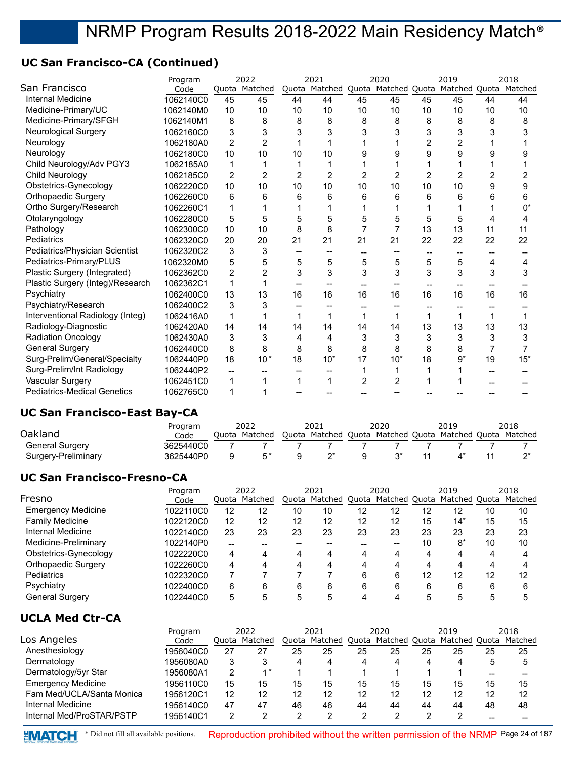## **UC San Francisco-CA (Continued)**

|                                    | Program   |                | 2022           |    | 2021           |                | 2020                |                | 2019                  |    | 2018  |
|------------------------------------|-----------|----------------|----------------|----|----------------|----------------|---------------------|----------------|-----------------------|----|-------|
| San Francisco                      | Code      |                | Quota Matched  |    | Quota Matched  |                | Quota Matched Quota |                | Matched Quota Matched |    |       |
| Internal Medicine                  | 1062140C0 | 45             | 45             | 44 | 44             | 45             | 45                  | 45             | 45                    | 44 | 44    |
| Medicine-Primary/UC                | 1062140M0 | 10             | 10             | 10 | 10             | 10             | 10                  | 10             | 10                    | 10 | 10    |
| Medicine-Primary/SFGH              | 1062140M1 | 8              | 8              | 8  | 8              | 8              | 8                   | 8              | 8                     | 8  | 8     |
| Neurological Surgery               | 1062160C0 | 3              | 3              |    | 3              | 3              | 3                   | 3              | 3                     |    | 3     |
| Neurology                          | 1062180A0 | 2              | $\overline{2}$ |    |                |                |                     | $\overline{2}$ | $\overline{c}$        |    |       |
| Neurology                          | 1062180C0 | 10             | 10             | 10 | 10             | 9              | 9                   | 9              | 9                     |    | 9     |
| Child Neurology/Adv PGY3           | 1062185A0 | 1              |                |    |                |                |                     |                |                       |    |       |
| Child Neurology                    | 1062185C0 | $\overline{2}$ | $\overline{2}$ | 2  | $\overline{2}$ | $\overline{2}$ | 2                   | $\overline{2}$ | $\overline{2}$        |    |       |
| Obstetrics-Gynecology              | 1062220C0 | 10             | 10             | 10 | 10             | 10             | 10                  | 10             | 10                    | 9  | 9     |
| Orthopaedic Surgery                | 1062260C0 | 6              | 6              | 6  | 6              | 6              | 6                   | 6              | 6                     | 6  | 6     |
| Ortho Surgery/Research             | 1062260C1 | 1              |                |    |                |                |                     |                |                       |    | $0^*$ |
| Otolaryngology                     | 1062280C0 | 5              | 5              | 5  | 5              | 5              | 5                   | 5              | 5                     | 4  | 4     |
| Pathology                          | 1062300C0 | 10             | 10             | 8  | 8              | 7              | 7                   | 13             | 13                    | 11 | 11    |
| Pediatrics                         | 1062320C0 | 20             | 20             | 21 | 21             | 21             | 21                  | 22             | 22                    | 22 | 22    |
| Pediatrics/Physician Scientist     | 1062320C2 | 3              | 3              |    |                |                |                     |                |                       |    |       |
| Pediatrics-Primary/PLUS            | 1062320M0 | 5              | 5              | 5  | 5              | 5              | 5                   | 5              | 5                     | 4  | 4     |
| Plastic Surgery (Integrated)       | 1062362C0 | 2              | $\overline{2}$ | 3  | 3              | 3              | 3                   | 3              | 3                     | 3  | 3     |
| Plastic Surgery (Integ)/Research   | 1062362C1 | 1              |                |    |                |                |                     |                |                       |    |       |
| Psychiatry                         | 1062400C0 | 13             | 13             | 16 | 16             | 16             | 16                  | 16             | 16                    | 16 | 16    |
| Psychiatry/Research                | 1062400C2 | 3              | 3              |    |                |                |                     |                |                       |    |       |
| Interventional Radiology (Integ)   | 1062416A0 | 1              |                | 1  | 1              |                |                     | 1              |                       |    |       |
| Radiology-Diagnostic               | 1062420A0 | 14             | 14             | 14 | 14             | 14             | 14                  | 13             | 13                    | 13 | 13    |
| <b>Radiation Oncology</b>          | 1062430A0 | 3              | 3              | 4  | 4              | 3              | 3                   | 3              | 3                     | 3  | 3     |
| <b>General Surgery</b>             | 1062440C0 | 8              | 8              | 8  | 8              | 8              | 8                   | 8              | 8                     |    | 7     |
| Surg-Prelim/General/Specialty      | 1062440P0 | 18             | $10*$          | 18 | $10*$          | 17             | $10*$               | 18             | $9^*$                 | 19 | $15*$ |
| Surg-Prelim/Int Radiology          | 1062440P2 | --             |                |    |                |                | 1                   |                |                       |    |       |
| Vascular Surgery                   | 1062451C0 | 1              |                | 1  | 1              | $\overline{2}$ | $\overline{2}$      |                |                       |    |       |
| <b>Pediatrics-Medical Genetics</b> | 1062765C0 | 1              |                |    |                |                |                     |                |                       |    |       |

## **UC San Francisco-East Bay-CA**

|                        | Program   | 2022 |               | 2021 |                                                         | 2020 |  | 2019 |  | 2018 |
|------------------------|-----------|------|---------------|------|---------------------------------------------------------|------|--|------|--|------|
| Oakland                | Code      |      | Ouota Matched |      | Quota Matched Quota Matched Quota Matched Quota Matched |      |  |      |  |      |
| <b>General Surgery</b> | 3625440C0 |      |               |      |                                                         |      |  |      |  |      |
| Surgery-Preliminary    | 3625440P0 |      |               |      |                                                         |      |  |      |  |      |

## **UC San Francisco-Fresno-CA**

|                           | Program   |       | 2022          |    | 2021 |    | 2020 |    | 2019                                            |    | 2018    |
|---------------------------|-----------|-------|---------------|----|------|----|------|----|-------------------------------------------------|----|---------|
| Fresno                    | Code      |       | Quota Matched |    |      |    |      |    | Quota Matched Quota Matched Quota Matched Quota |    | Matched |
| <b>Emergency Medicine</b> | 1022110C0 | 12    | 12            | 10 | 10   | 12 | 12   | 12 | 12                                              | 10 | 10      |
| <b>Family Medicine</b>    | 1022120C0 | 12    | 12            | 12 | 12   | 12 | 12   | 15 | $14*$                                           | 15 | 15      |
| Internal Medicine         | 1022140C0 | 23    | 23            | 23 | 23   | 23 | 23   | 23 | 23                                              | 23 | 23      |
| Medicine-Preliminary      | 1022140P0 | $- -$ |               |    |      |    |      | 10 | 8*                                              | 10 | 10      |
| Obstetrics-Gynecology     | 1022220C0 | 4     |               | 4  | 4    | Δ  | 4    |    |                                                 | 4  |         |
| Orthopaedic Surgery       | 1022260C0 | 4     |               |    | Δ    |    | 4    |    |                                                 |    |         |
| <b>Pediatrics</b>         | 1022320C0 |       |               |    |      | 6  | 6    | 12 | 12                                              | 12 | 12      |
| Psychiatry                | 1022400C0 | 6     |               | 6  | 6    | 6  | 6    |    | 6                                               | 6  |         |
| <b>General Surgery</b>    | 1022440C0 | 5     |               |    |      |    |      |    | 5                                               |    |         |

## **UCLA Med Ctr-CA**

|                           | Program   | 2022  |         | 2021 |                                                 |    | 2020 |    | 2019 |    | 2018    |
|---------------------------|-----------|-------|---------|------|-------------------------------------------------|----|------|----|------|----|---------|
| Los Angeles               | Code      | Ouota | Matched |      | Quota Matched Quota Matched Quota Matched Quota |    |      |    |      |    | Matched |
| Anesthesiology            | 1956040C0 | 27    | 27      | 25   | 25                                              | 25 | 25   | 25 | 25   | 25 | 25      |
| Dermatology               | 1956080A0 | 3     |         | 4    | 4                                               | 4  | 4    | Δ  |      | 5  | 5       |
| Dermatology/5yr Star      | 1956080A1 | 2     |         |      |                                                 |    |      |    |      | -- |         |
| <b>Emergency Medicine</b> | 1956110C0 | 15    | 15      | 15   | 15                                              | 15 | 15   | 15 | 15   | 15 | 15      |
| Fam Med/UCLA/Santa Monica | 1956120C1 | 12    | 12      | 12   | 12                                              | 12 | 12   | 12 | 12   | 12 | 12      |
| Internal Medicine         | 1956140C0 | 47    | 47      | 46   | 46                                              | 44 | 44   | 44 | 44   | 48 | 48      |
| Internal Med/ProSTAR/PSTP | 1956140C1 | っ     |         |      |                                                 |    |      |    |      |    |         |

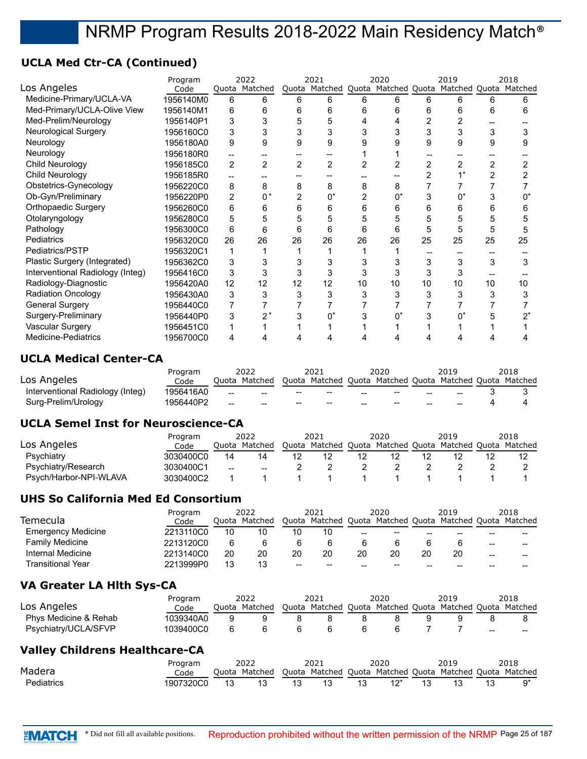## **UCLA Med Ctr-CA (Continued)**

|                                  | Program   |                | 2022           |                | 2021                                                    |                | 2020           |                | 2019           |                | 2018 |
|----------------------------------|-----------|----------------|----------------|----------------|---------------------------------------------------------|----------------|----------------|----------------|----------------|----------------|------|
| Los Angeles                      | Code      |                | Quota Matched  |                | Quota Matched Quota Matched Quota Matched Quota Matched |                |                |                |                |                |      |
| Medicine-Primary/UCLA-VA         | 1956140M0 | 6              | 6              | 6              | 6                                                       | 6              | 6              | 6              | 6              | 6              | 6    |
| Med-Primary/UCLA-Olive View      | 1956140M1 | 6              | 6              | 6              | 6                                                       | 6              | 6              | 6              | 6              | 6              | 6    |
| Med-Prelim/Neurology             | 1956140P1 | 3              | 3              | 5              | 5                                                       |                |                | 2              |                |                |      |
| Neurological Surgery             | 1956160C0 | 3              | 3              |                | 3                                                       |                | 3              | 3              | 3              | 3              | 3    |
| Neurology                        | 1956180A0 | 9              | 9              | 9              | 9                                                       |                | 9              | 9              | 9              | 9              | 9    |
| Neurology                        | 1956180R0 |                |                |                |                                                         |                |                |                |                |                |      |
| Child Neurology                  | 1956185C0 | $\overline{2}$ | $\overline{2}$ | $\overline{2}$ | $\overline{2}$                                          | $\overline{2}$ | $\overline{2}$ | $\overline{2}$ | $\overline{2}$ | $\overline{2}$ |      |
| Child Neurology                  | 1956185R0 |                |                |                |                                                         |                |                | 2              |                |                |      |
| Obstetrics-Gynecology            | 1956220C0 | 8              | 8              | 8              | 8                                                       | 8              | 8              |                |                |                |      |
| Ob-Gyn/Preliminary               | 1956220P0 | $\overline{2}$ | $0^*$          | 2              | $0^*$                                                   |                | $0^*$          | 3              | U <sub>*</sub> |                |      |
| Orthopaedic Surgery              | 1956260C0 | 6              | 6              | 6              | 6                                                       | 6              | 6              | 6              | 6              |                | 6    |
| Otolaryngology                   | 1956280C0 | 5              | 5              | 5              | 5                                                       |                | 5              | 5              |                |                | 5    |
| Pathology                        | 1956300C0 | 6              | 6              | 6              | 6                                                       | 6              | 6              | 5              | 5              | 5              | 5    |
| Pediatrics                       | 1956320C0 | 26             | 26             | 26             | 26                                                      | 26             | 26             | 25             | 25             | 25             | 25   |
| Pediatrics/PSTP                  | 1956320C1 | 1              |                |                |                                                         |                |                |                |                |                |      |
| Plastic Surgery (Integrated)     | 1956362C0 | 3              | 3              |                | 3                                                       |                | 3              | 3              |                | 3              | 3    |
| Interventional Radiology (Integ) | 1956416C0 | 3              | 3              | 3              | 3                                                       |                | 3              | 3              | 3              |                |      |
| Radiology-Diagnostic             | 1956420A0 | 12             | 12             | 12             | 12                                                      | 10             | 10             | 10             | 10             | 10             | 10   |
| <b>Radiation Oncology</b>        | 1956430A0 | 3              | 3              | 3              | 3                                                       | 3              | 3              | 3              | 3              |                | 3    |
| <b>General Surgery</b>           | 1956440C0 |                |                |                |                                                         |                |                |                |                |                |      |
| Surgery-Preliminary              | 1956440P0 | 3              | $2^*$          |                | $0^*$                                                   |                | $^{\circ}$     | 3              | 0*             |                | 2*   |
| Vascular Surgery                 | 1956451C0 |                |                |                |                                                         |                |                |                |                |                |      |
| Medicine-Pediatrics              | 1956700C0 | 4              | 4              | 4              |                                                         |                | 4              | 4              |                |                |      |

## **UCLA Medical Center-CA**

|                                  | Program   |                 | 2022          |       | 2021                                                    |                 | 2020                     |    | 2019 | 2018 |
|----------------------------------|-----------|-----------------|---------------|-------|---------------------------------------------------------|-----------------|--------------------------|----|------|------|
| Los Angeles                      | Code      |                 | Ouota Matched |       | Quota Matched Quota Matched Quota Matched Quota Matched |                 |                          |    |      |      |
| Interventional Radiology (Integ) | 1956416A0 | $-$             | $- -$         | $-$   | $-$                                                     | $- -$           | $\overline{\phantom{a}}$ | -- |      |      |
| Surg-Prelim/Urology              | 1956440P2 | $\qquad \qquad$ | $- -$         | $- -$ | $- -$                                                   | $\qquad \qquad$ | $\hspace{0.05cm}$        | -- |      |      |

## **UCLA Semel Inst for Neuroscience-CA**

|                        | Program   |       | 2022    |       | 2021    | 2020                | 2019                  | 2018 |
|------------------------|-----------|-------|---------|-------|---------|---------------------|-----------------------|------|
| Los Angeles            | Code      | Ouota | Matched | Ouota | Matched | Quota Matched Quota | Matched Quota Matched |      |
| Psychiatry             | 3030400C0 | 14    | 14      |       |         |                     |                       |      |
| Psychiatry/Research    | 3030400C1 | $-$   | --      |       |         |                     |                       |      |
| Psych/Harbor-NPI-WLAVA | 3030400C2 |       |         |       |         |                     |                       |      |

## **UHS So California Med Ed Consortium**

|                           | Program   |    | 2022          |       | 2021                |    | 2020                     |    | 2019                  |       | 2018  |
|---------------------------|-----------|----|---------------|-------|---------------------|----|--------------------------|----|-----------------------|-------|-------|
| Temecula                  | Code      |    | Ouota Matched |       | Quota Matched Quota |    | Matched Quota            |    | Matched Quota Matched |       |       |
| <b>Emergency Medicine</b> | 2213110C0 | 10 | 10            | 10    | 10                  | -- | $\overline{\phantom{m}}$ | -- | --                    | --    |       |
| <b>Family Medicine</b>    | 2213120C0 | 6  |               |       |                     |    |                          |    |                       | $- -$ | $- -$ |
| Internal Medicine         | 2213140C0 | 20 | 20            | 20    | 20                  | 20 | 20                       | 20 | 20                    | --    | $- -$ |
| Transitional Year         | 2213999P0 | 13 |               | $- -$ | $- -$               | -- | $- -$                    | -- | --                    | --    |       |

## **VA Greater LA Hlth Sys-CA**

|                       | Program   |       | 2022    | 2021                              | 2020 | 2019 |     | 2018                  |
|-----------------------|-----------|-------|---------|-----------------------------------|------|------|-----|-----------------------|
| Los Angeles           | Code      | Ouota | Matched | Quota Matched Quota Matched Quota |      |      |     | Matched Ouota Matched |
| Phys Medicine & Rehab | 1039340A0 |       |         |                                   |      |      |     |                       |
| Psychiatry/UCLA/SFVP  | 1039400C0 |       |         |                                   |      |      | $-$ | $- -$                 |

## **Valley Childrens Healthcare-CA**

|            | Program   |                 | 2022          |    | 2021                                                    | 2020 | 2019 | 2018 |
|------------|-----------|-----------------|---------------|----|---------------------------------------------------------|------|------|------|
| Madera     | Code      |                 | Ouota Matched |    | Quota Matched Quota Matched Quota Matched Quota Matched |      |      |      |
| Pediatrics | 1907320C0 | $\overline{13}$ |               | 13 |                                                         |      |      |      |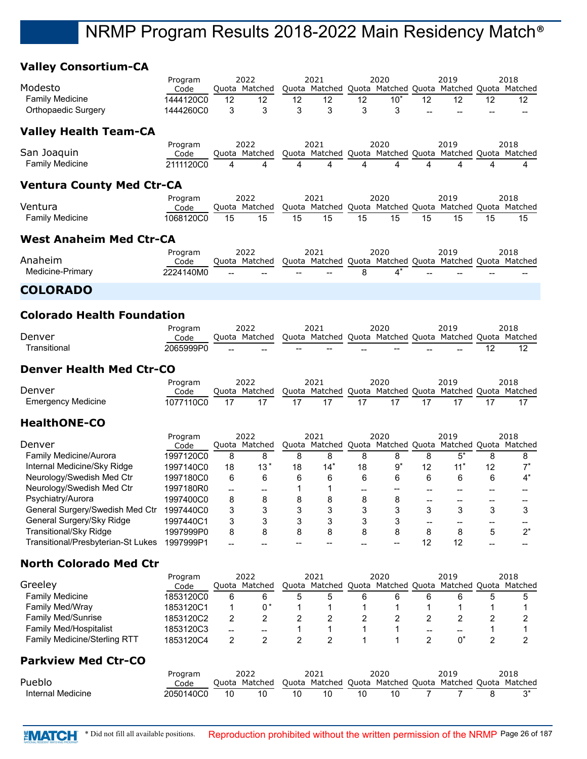## **Valley Consortium-CA**

|                                   | Program           |        | 2022               |                        | 2021                                                            |                     | 2020   |                        | 2019           |         | 2018  |
|-----------------------------------|-------------------|--------|--------------------|------------------------|-----------------------------------------------------------------|---------------------|--------|------------------------|----------------|---------|-------|
| Modesto                           | Code              |        | Quota Matched      |                        | Quota Matched Quota Matched Quota Matched Quota Matched         |                     |        |                        |                |         |       |
| <b>Family Medicine</b>            | 1444120C0         | 12     | 12                 | 12                     | 12                                                              | 12                  | $10*$  | 12                     | 12             | 12      | 12    |
| <b>Orthopaedic Surgery</b>        | 1444260C0         | 3      | 3                  | 3                      | 3                                                               | 3                   | 3      |                        |                |         |       |
| <b>Valley Health Team-CA</b>      |                   |        |                    |                        |                                                                 |                     |        |                        |                |         |       |
|                                   | Program           |        | 2022               |                        | 2021                                                            |                     | 2020   |                        | 2019           |         | 2018  |
| San Joaquin                       | Code              |        | Quota Matched      | <b>Quota</b>           | Matched Quota Matched Quota Matched Quota Matched               |                     |        |                        |                |         |       |
| <b>Family Medicine</b>            | 2111120C0         | 4      | 4                  | $\boldsymbol{\Lambda}$ | 4                                                               | 4                   | 4      | $\boldsymbol{\Lambda}$ | 4              | 4       | 4     |
| <b>Ventura County Med Ctr-CA</b>  |                   |        |                    |                        |                                                                 |                     |        |                        |                |         |       |
|                                   | Program           |        | 2022               |                        | 2021                                                            |                     | 2020   |                        | 2019           |         | 2018  |
| Ventura                           | Code              |        | Quota Matched      |                        | Quota Matched Quota Matched Quota Matched Quota Matched         |                     |        |                        |                |         |       |
| <b>Family Medicine</b>            | 1068120C0         | 15     | 15                 | 15                     | $\overline{15}$                                                 | 15                  | 15     | 15                     | 15             | 15      | 15    |
| <b>West Anaheim Med Ctr-CA</b>    |                   |        |                    |                        |                                                                 |                     |        |                        |                |         |       |
| Anaheim                           | Program           |        | 2022               |                        | 2021                                                            |                     | 2020   |                        | 2019           |         | 2018  |
|                                   | Code              |        | Quota Matched      |                        | Quota Matched Quota Matched Quota Matched Quota Matched         |                     |        |                        |                |         |       |
| Medicine-Primary                  | 2224140M0         |        |                    |                        |                                                                 | 8                   | 4*     |                        |                |         |       |
| <b>COLORADO</b>                   |                   |        |                    |                        |                                                                 |                     |        |                        |                |         |       |
| <b>Colorado Health Foundation</b> |                   |        |                    |                        |                                                                 |                     |        |                        |                |         |       |
|                                   | Program           |        | 2022               |                        | 2021                                                            |                     | 2020   |                        | 2019           |         | 2018  |
| Denver                            | Code              |        | Quota Matched      |                        | Quota Matched Quota Matched Quota Matched Quota Matched         |                     |        |                        |                |         |       |
| Transitional                      | 2065999P0         |        |                    |                        |                                                                 |                     |        |                        |                | 12      | 12    |
| <b>Denver Health Med Ctr-CO</b>   |                   |        |                    |                        |                                                                 |                     |        |                        |                |         |       |
|                                   | Program           |        | 2022               |                        | 2021                                                            |                     | 2020   |                        | 2019           |         | 2018  |
| Denver                            | Code              |        | Quota Matched      |                        | Quota Matched Quota Matched Quota Matched Quota Matched         |                     |        |                        |                |         |       |
| <b>Emergency Medicine</b>         | 1077110C0         | 17     | 17                 | 17                     | 17                                                              | 17                  | 17     | 17                     | 17             | 17      | 17    |
| <b>HealthONE-CO</b>               |                   |        |                    |                        |                                                                 |                     |        |                        |                |         |       |
| Denver                            | Program           |        | 2022               |                        | 2021<br>Quota Matched Quota Matched Quota Matched Quota Matched |                     | 2020   |                        | 2019           |         | 2018  |
| Family Medicine/Aurora            | Code<br>1997120C0 | 8      | Quota Matched<br>8 | 8                      | 8                                                               | 8                   | 8      | 8                      | $5^*$          | 8       | 8     |
| Internal Medicine/Sky Ridge       | 1997140C0         | 18     | $13*$              | 18                     | $14*$                                                           | 18                  | $9*$   | 12                     | $11*$          | 12      | $7^*$ |
| Neurology/Swedish Med Ctr         | 1997180C0         | 6      | 6                  | 6                      | 6                                                               | 6                   | 6      | 6                      | 6              | 6       | $4^*$ |
| Neurology/Swedish Med Ctr         | 1997180R0         |        |                    | 1                      | 1                                                               |                     |        |                        |                |         |       |
| Psychiatry/Aurora                 | 1997400C0         | --     | $-$<br>8           | 8                      | 8                                                               | $\overline{a}$<br>8 | --     |                        | $\overline{a}$ | --      |       |
| General Surgery/Swedish Med Ctr   | 1997440C0         | 8<br>3 | 3                  | 3                      | 3                                                               | 3                   | 8<br>3 | --<br>3                | $-$<br>3       | --<br>3 | 3     |
| General Surgery/Sky Ridge         | 1997440C1         | 3      | 3                  | 3                      | 3                                                               | 3                   | 3      | --                     | $-$            | $-$     |       |
|                                   |                   |        |                    |                        |                                                                 |                     |        |                        |                |         |       |

## **North Colorado Med Ctr**

|                                     | Program         | 2022 |                       | 2021 |      | 2020 |      | 2019  |                                                         |   | 2018            |
|-------------------------------------|-----------------|------|-----------------------|------|------|------|------|-------|---------------------------------------------------------|---|-----------------|
| Greeley                             | Code            |      | Ouota Matched         |      |      |      |      |       | Quota Matched Quota Matched Quota Matched Quota         |   | Matched         |
| <b>Family Medicine</b>              | 1853120C0       | 6    | 6                     | 5    | 5    | 6    | 6    | 6     | 6                                                       | 5 | 5               |
| <b>Family Med/Wray</b>              | 1853120C1       |      | $0^*$                 |      |      |      |      |       |                                                         |   |                 |
| <b>Family Med/Sunrise</b>           | 1853120C2       | 2    | 2                     | 2    | 2    | 2    | 2    |       | 2                                                       | 2 | 2               |
| <b>Family Med/Hospitalist</b>       | 1853120C3       | --   | --                    |      |      |      |      | $- -$ | --                                                      |   |                 |
| <b>Family Medicine/Sterling RTT</b> | 1853120C4       | 2    | 2                     | 2    | 2    |      |      | 2     | $0^*$                                                   | 2 | 2               |
| <b>Parkview Med Ctr-CO</b>          |                 |      |                       |      |      |      |      |       |                                                         |   |                 |
| Pueblo                              | Program<br>Code |      | 2022<br>Ouota Matched |      | 2021 |      | 2020 |       | 2019<br>Quota Matched Quota Matched Quota Matched Quota |   | 2018<br>Matched |
| Internal Medicine                   | 2050140C0       | 10   | 10                    | 10   | 10   | 10   | 10   |       |                                                         | 8 | $3^*$           |

Transitional/Sky Ridge 1997999P0 8 8 8 8 8 8 8 8 5 2\* Transitional/Presbyterian-St Lukes 1997999P1 -- - - - - - - - - - - - 12 12 -- -

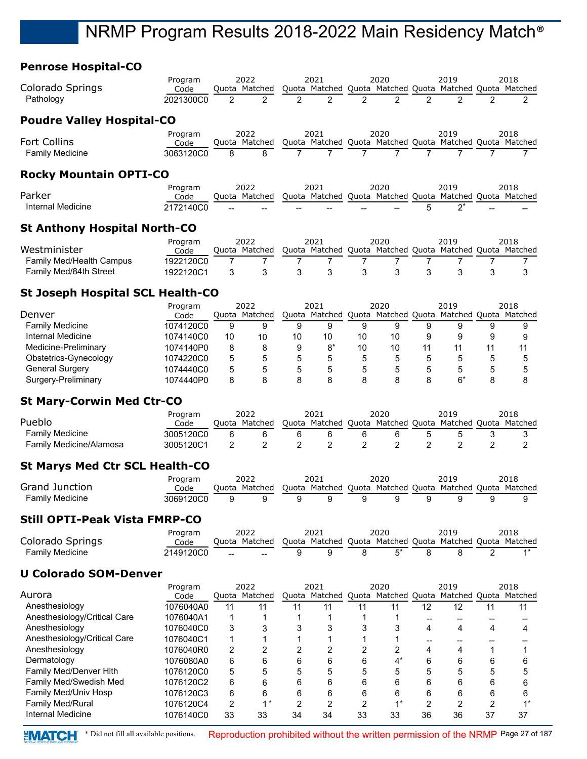## **Penrose Hospital-CO**

| Colorado Springs<br>Pathology                 | Program<br>Code<br>2021300C0 | 2 | 2022<br>Quota Matched<br>2 | $\mathcal{P}$ | 2021<br>2 | 2 | 2020<br>$\mathcal{P}$ | 2 | 2019<br>2     | 2 | 2018<br>Quota Matched Quota Matched Quota Matched Quota Matched<br>$\mathcal{P}$ |
|-----------------------------------------------|------------------------------|---|----------------------------|---------------|-----------|---|-----------------------|---|---------------|---|----------------------------------------------------------------------------------|
| <b>Poudre Valley Hospital-CO</b>              |                              |   |                            |               |           |   |                       |   |               |   |                                                                                  |
| <b>Fort Collins</b><br><b>Family Medicine</b> | Program<br>Code<br>3063120C0 | 8 | 2022<br>Ouota Matched<br>8 |               | 2021      |   | 2020                  |   | 2019          |   | 2018<br>Quota Matched Quota Matched Quota Matched Quota Matched                  |
| <b>Rocky Mountain OPTI-CO</b>                 |                              |   |                            |               |           |   |                       |   |               |   |                                                                                  |
| Parker<br>Internal Medicine                   | Program<br>Code<br>2172140C0 |   | 2022<br>Ouota Matched      |               | 2021      |   | 2020                  | 5 | 2019<br>$2^*$ |   | 2018<br>Quota Matched Quota Matched Quota Matched Quota Matched                  |
| <b>St Anthony Hospital North-CO</b>           |                              |   |                            |               |           |   |                       |   |               |   |                                                                                  |
| Westminister                                  | Program<br>Code              |   | 2022<br>Ouota Matched      |               | 2021      |   | 2020                  |   | 2019          |   | 2018<br>Quota Matched Quota Matched Quota Matched Quota Matched                  |

| Westminister             | Code                          | Quota Matched Quota Matched Quota Matched Quota Matched Quota Matched |  |  |  |  |
|--------------------------|-------------------------------|-----------------------------------------------------------------------|--|--|--|--|
| Family Med/Health Campus | 1922120C0 7 7 7 7 7 7 7 7     |                                                                       |  |  |  |  |
| Family Med/84th Street   | 1922120C1 3 3 3 3 3 3 3 3 3 3 |                                                                       |  |  |  |  |

## **St Joseph Hospital SCL Health-CO**

|                        | Program   | 2022  |         | 2021 |                                   | 2020 |    | 2019          |   | 2018    |
|------------------------|-----------|-------|---------|------|-----------------------------------|------|----|---------------|---|---------|
| Denver                 | Code      | Ouota | Matched |      | Quota Matched Quota Matched Quota |      |    | Matched Quota |   | Matched |
| <b>Family Medicine</b> | 1074120C0 | 9     |         | 9    | 9                                 | 9    | 9  |               |   |         |
| Internal Medicine      | 1074140C0 | 10    | 10      | 10   | 10                                | 10   | 10 |               | 9 |         |
| Medicine-Preliminary   | 1074140P0 | 8     |         | 9    | $8^*$                             | 10   | 10 |               |   | 11      |
| Obstetrics-Gynecology  | 1074220C0 | 5     |         | 5    |                                   | 5    |    |               | 5 |         |
| General Surgery        | 1074440C0 | 5     |         | 5    |                                   | 5    |    |               | 5 |         |
| Surgery-Preliminary    | 1074440P0 | 8     |         | 8    |                                   |      |    | ჩ*            |   |         |

## **St Mary-Corwin Med Ctr-CO**

|                                | Program   | 2022 |               | 2021 |                                                         | 2020 |  | 2019 |  | 2018 |
|--------------------------------|-----------|------|---------------|------|---------------------------------------------------------|------|--|------|--|------|
| Pueblo                         | Code      |      | Quota Matched |      | Quota Matched Quota Matched Quota Matched Quota Matched |      |  |      |  |      |
| Family Medicine                | 3005120C0 |      |               |      |                                                         |      |  |      |  |      |
| <b>Family Medicine/Alamosa</b> | 3005120C1 |      |               |      |                                                         |      |  |      |  |      |

## **St Marys Med Ctr SCL Health-CO**

|                 | Program    | 2022          | 2021                                                    | 2020 | 2019 | 2018 |
|-----------------|------------|---------------|---------------------------------------------------------|------|------|------|
| Grand Junction  | Code       | Ouota Matched | Quota Matched Quota Matched Quota Matched Quota Matched |      |      |      |
| Family Medicine | 3069120C0_ |               |                                                         |      |      |      |

## **Still OPTI-Peak Vista FMRP-CO**

|                        | Program   |       | 2022    |         | 2021    |       | 2020          | 2019          | 2018    |
|------------------------|-----------|-------|---------|---------|---------|-------|---------------|---------------|---------|
| Colorado Springs       | Code      | Juota | Matched | Duota i | Matched | Ouota | Matched Ouota | Matched Ouota | Matched |
| <b>Family Medicine</b> | 2149120C0 | $- -$ | $- -$   |         |         |       |               |               |         |

## **U Colorado SOM-Denver**

|                              | Program   | 2022 |               |    | 2021 |    | 2020         |    | 2019                                                    |    | 2018 |
|------------------------------|-----------|------|---------------|----|------|----|--------------|----|---------------------------------------------------------|----|------|
| Aurora                       | Code      |      | Ouota Matched |    |      |    |              |    | Quota Matched Quota Matched Quota Matched Quota Matched |    |      |
| Anesthesiology               | 1076040A0 | 11   |               | 11 | 11   |    |              | 12 | 12                                                      |    |      |
| Anesthesiology/Critical Care | 1076040A1 |      |               |    |      |    |              |    |                                                         |    |      |
| Anesthesiology               | 1076040C0 | 3    |               |    | 3    |    |              |    | Δ                                                       |    |      |
| Anesthesiology/Critical Care | 1076040C1 | и    |               |    |      |    |              |    |                                                         |    |      |
| Anesthesiology               | 1076040R0 | 2    |               | າ  | າ    | ⌒  | ົ            |    | 4                                                       |    |      |
| Dermatology                  | 1076080A0 | 6    | հ             | 6  | 6    | 6  | $4^{\prime}$ | 6  | 6                                                       | 6  |      |
| Family Med/Denver Hith       | 1076120C0 | 5    |               |    | 5    | 5  | 5            | 5  | 5                                                       |    |      |
| Family Med/Swedish Med       | 1076120C2 | 6    | հ             | 6  | 6    | 6  | 6            | 6  | 6                                                       | 6  |      |
| Family Med/Univ Hosp         | 1076120C3 | 6    | հ             | 6  | 6    | 6  | 6            | 6  | 6                                                       | 6  |      |
| <b>Family Med/Rural</b>      | 1076120C4 | 2    | *             |    | ົ    | ◠  |              |    | ◠                                                       |    |      |
| Internal Medicine            | 1076140C0 | 33   | 33            | 34 | 34   | 33 | 33           | 36 | 36                                                      | 37 | 37   |

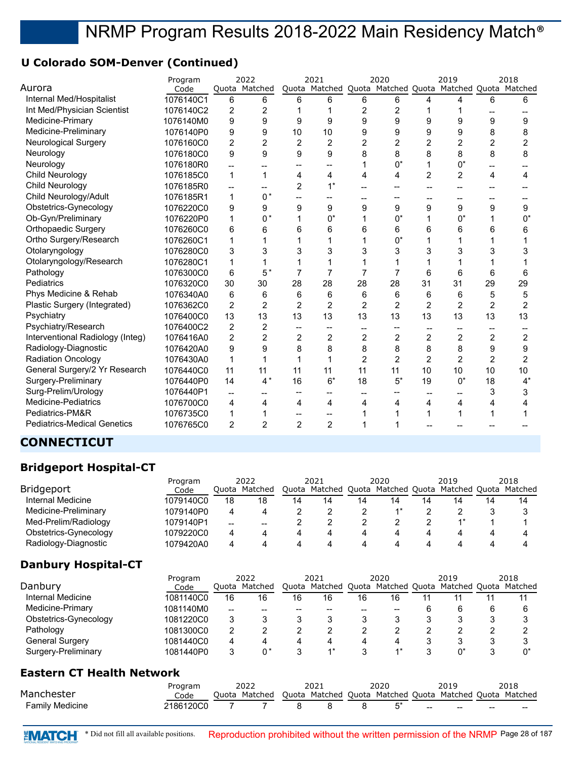## **U Colorado SOM-Denver (Continued)**

|                                    | Program   |                          | 2022           |                | 2021              |                | 2020                                                    |                | 2019           |                | 2018           |
|------------------------------------|-----------|--------------------------|----------------|----------------|-------------------|----------------|---------------------------------------------------------|----------------|----------------|----------------|----------------|
| Aurora                             | Code      |                          | Quota Matched  |                |                   |                | Quota Matched Quota Matched Quota Matched Quota Matched |                |                |                |                |
| Internal Med/Hospitalist           | 1076140C1 | 6                        | 6              | 6              | 6                 | 6              | 6                                                       | 4              | 4              | 6              | 6              |
| Int Med/Physician Scientist        | 1076140C2 | 2                        | 2              |                |                   | 2              | 2                                                       |                |                |                |                |
| Medicine-Primary                   | 1076140M0 | 9                        | 9              | 9              | 9                 | 9              | 9                                                       | 9              | 9              | 9              | 9              |
| Medicine-Preliminary               | 1076140P0 | 9                        | 9              | 10             | 10                | 9              | 9                                                       | 9              | 9              | 8              | 8              |
| <b>Neurological Surgery</b>        | 1076160C0 | 2                        | $\overline{2}$ | 2              | 2                 | $\overline{c}$ | 2                                                       | $\overline{2}$ | 2              | $\overline{2}$ | $\overline{2}$ |
| Neurology                          | 1076180C0 | 9                        | 9              | 9              | 9                 | 8              | 8                                                       | 8              | 8              | 8              | 8              |
| Neurology                          | 1076180R0 | --                       |                |                |                   | 1              | $0^*$                                                   | 1              | $0^*$          |                |                |
| <b>Child Neurology</b>             | 1076185C0 | 1                        | 1              | 4              | 4                 | 4              | 4                                                       | $\overline{2}$ | $\overline{2}$ | 4              | 4              |
| Child Neurology                    | 1076185R0 | $\overline{\phantom{a}}$ |                | $\overline{c}$ | $1^*$             |                |                                                         |                |                |                |                |
| Child Neurology/Adult              | 1076185R1 | 1                        | $0^{\,*}$      | --             |                   |                |                                                         |                |                |                |                |
| Obstetrics-Gynecology              | 1076220C0 | 9                        | 9              | 9              | 9                 | 9              | 9                                                       | 9              | 9              | 9              | 9              |
| Ob-Gyn/Preliminary                 | 1076220P0 | 1                        | $0*$           |                | $0^*$             |                | $0^*$                                                   | 1              | $0^*$          |                | $0^*$          |
| <b>Orthopaedic Surgery</b>         | 1076260C0 | 6                        | 6              | 6              | 6                 | 6              | 6                                                       | 6              | 6              | 6              | 6              |
| Ortho Surgery/Research             | 1076260C1 | 1                        | 1              |                | 1                 |                | $0^*$                                                   | 1              |                |                |                |
| Otolaryngology                     | 1076280C0 | 3                        | 3              | 3              | 3                 | 3              | 3                                                       | 3              | 3              | 3              | 3              |
| Otolaryngology/Research            | 1076280C1 | 1                        | 1              |                | 1                 |                |                                                         | 1              |                |                |                |
| Pathology                          | 1076300C0 | 6                        | $5*$           | $\overline{7}$ | $\overline{7}$    | 7              | 7                                                       | 6              | 6              | 6              | 6              |
| Pediatrics                         | 1076320C0 | 30                       | 30             | 28             | 28                | 28             | 28                                                      | 31             | 31             | 29             | 29             |
| Phys Medicine & Rehab              | 1076340A0 | 6                        | 6              | 6              | 6                 | 6              | 6                                                       | 6              | 6              | 5              | 5              |
| Plastic Surgery (Integrated)       | 1076362C0 | $\overline{2}$           | $\overline{2}$ | $\overline{2}$ | $\overline{2}$    | $\overline{2}$ | $\overline{2}$                                          | $\overline{2}$ | $\overline{2}$ | $\overline{2}$ | $\overline{2}$ |
| Psychiatry                         | 1076400C0 | 13                       | 13             | 13             | 13                | 13             | 13                                                      | 13             | 13             | 13             | 13             |
| Psychiatry/Research                | 1076400C2 | $\overline{2}$           | 2              | --             |                   |                |                                                         |                |                |                |                |
| Interventional Radiology (Integ)   | 1076416A0 | $\overline{2}$           | $\overline{2}$ | $\overline{2}$ | $\overline{2}$    | $\overline{2}$ | 2                                                       | $\overline{2}$ | 2              | $\overline{2}$ | $\overline{2}$ |
| Radiology-Diagnostic               | 1076420A0 | 9                        | 9              | 8              | 8                 | 8              | 8                                                       | 8              | 8              | 9              | 9              |
| <b>Radiation Oncology</b>          | 1076430A0 | 1                        | 1              | 1              | 1                 | $\overline{2}$ | $\overline{2}$                                          | $\overline{2}$ | $\overline{2}$ | $\overline{2}$ | $\overline{2}$ |
| General Surgery/2 Yr Research      | 1076440C0 | 11                       | 11             | 11             | 11                | 11             | 11                                                      | 10             | 10             | 10             | 10             |
| Surgery-Preliminary                | 1076440P0 | 14                       | $4^*$          | 16             | $6*$              | 18             | $5^*$                                                   | 19             | $0^*$          | 18             | $4^*$          |
| Surg-Prelim/Urology                | 1076440P1 | --                       | --             |                |                   |                |                                                         |                | --             | 3              | 3              |
| Medicine-Pediatrics                | 1076700C0 | 4                        | 4              | 4              | 4                 | 4              | 4                                                       | 4              | 4              | 4              | 4              |
| Pediatrics-PM&R                    | 1076735C0 | 1                        | 1              | --             | $\hspace{0.05cm}$ |                |                                                         | 1              | 1              |                |                |
| <b>Pediatrics-Medical Genetics</b> | 1076765C0 | $\overline{2}$           | $\overline{2}$ | $\overline{2}$ | $\overline{2}$    | 1              |                                                         |                |                |                |                |

## **CONNECTICUT**

## **Bridgeport Hospital-CT**

|                       | Program   |       | 2022    |    | 2021                              |    | 2020 |    | 2019          |    | 2018    |
|-----------------------|-----------|-------|---------|----|-----------------------------------|----|------|----|---------------|----|---------|
| Bridgeport            | Code      | Ouota | Matched |    | Quota Matched Quota Matched Quota |    |      |    | Matched Quota |    | Matched |
| Internal Medicine     | 1079140C0 | 18    | 18      | 14 | 14                                | 14 | 14   | 14 | 14            | 14 | 14      |
| Medicine-Preliminary  | 1079140P0 | 4     |         |    |                                   |    |      |    |               |    |         |
| Med-Prelim/Radiology  | 1079140P1 | --    | --      |    |                                   |    |      |    |               |    |         |
| Obstetrics-Gynecology | 1079220C0 | 4     |         | 4  |                                   |    | 4    |    |               |    |         |
| Radiology-Diagnostic  | 1079420A0 | 4     |         |    |                                   |    |      |    |               |    |         |

## **Danbury Hospital-CT**

|                        | Program   |        | 2022       |       | 2021                        |    | 2020 | 2019          |   | 2018    |
|------------------------|-----------|--------|------------|-------|-----------------------------|----|------|---------------|---|---------|
| Danbury                | Code      | Ouota  | Matched    | Ouota | Matched Quota Matched Quota |    |      | Matched Quota |   | Matched |
| Internal Medicine      | 1081140C0 | 16     | 16         | 16    | 16                          | 16 | 16   |               |   |         |
| Medicine-Primary       | 1081140M0 | --     | --         |       |                             |    | --   | 6             | 6 |         |
| Obstetrics-Gynecology  | 1081220C0 | 3      |            |       |                             |    |      |               |   |         |
| Pathology              | 1081300C0 | 2      |            |       |                             |    |      |               |   |         |
| <b>General Surgery</b> | 1081440C0 | 4      |            | 4     | 4                           | 4  | 4    |               | 3 |         |
| Surgery-Preliminary    | 1081440P0 | າ<br>ື | $^{\circ}$ | د     |                             |    |      |               |   | n*      |

## **Eastern CT Health Network**

|                 | Program   | 2022                                                                  | 2021 | 2020 | 2019 |                                 | 2018   |
|-----------------|-----------|-----------------------------------------------------------------------|------|------|------|---------------------------------|--------|
| Manchester      | Code      | Quota Matched Quota Matched Quota Matched Quota Matched Quota Matched |      |      |      |                                 |        |
| Family Medicine | 2186120C0 |                                                                       |      |      |      | <b>Service Contract Service</b> | $\sim$ |

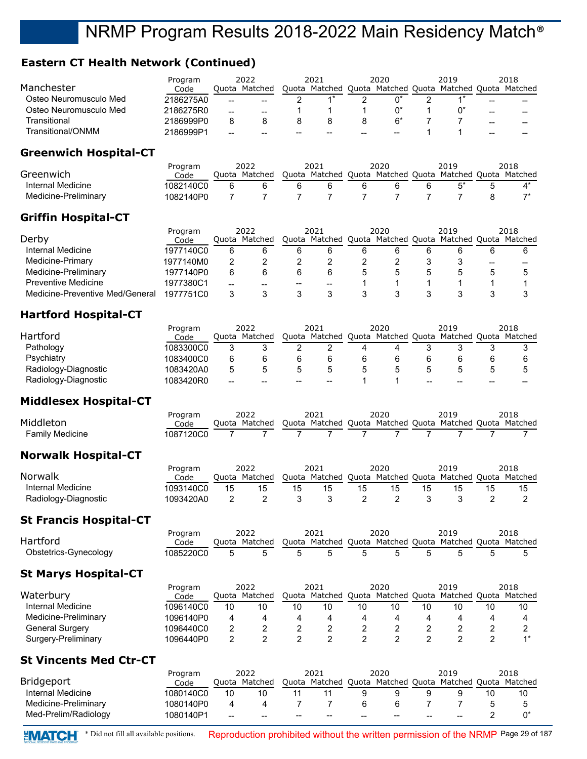## **Eastern CT Health Network (Continued)**

| $1^*$<br>$0^*$<br>$1^*$<br>Osteo Neuromusculo Med<br>$\overline{2}$<br>2<br>2186275A0<br>2<br>--<br>$0^*$<br>Osteo Neuromusculo Med<br>$0^*$<br>2186275R0<br>1<br>1<br>1<br>1<br>$-$<br>--<br>--<br>Transitional<br>8<br>8<br>$6*$<br>7<br>2186999P0<br>8<br>8<br>8<br>7<br>Transitional/ONMM<br>2186999P1<br>1<br>1<br>--<br>$-$<br>--<br>$\overline{a}$<br>--<br>$\overline{\phantom{a}}$<br><b>Greenwich Hospital-CT</b><br>2022<br>2021<br>2020<br>2019<br>2018<br>Program<br>Greenwich<br>Quota Matched<br>Quota Matched Quota Matched Quota Matched Quota Matched<br>Code<br>$5^*$<br>Internal Medicine<br>6<br>6<br>$4^*$<br>1082140C0<br>6<br>6<br>6<br>6<br>6<br>5<br>$7^*$<br>$\overline{7}$<br>$\overline{7}$<br>$\overline{7}$<br>$\overline{7}$<br>7<br>7<br>7<br>$\overline{7}$<br>8<br>Medicine-Preliminary<br>1082140P0<br><b>Griffin Hospital-CT</b><br>2022<br>2021<br>2020<br>2019<br>2018<br>Program<br>Derby<br>Quota Matched<br>Quota Matched Quota Matched Quota Matched Quota Matched<br>Code<br>Internal Medicine<br>6<br>1977140C0<br>6<br>6<br>6<br>6<br>6<br>6<br>6<br>6<br>6<br>3<br>Medicine-Primary<br>2<br>2<br>2<br>2<br>2<br>2<br>3<br>1977140M0<br>--<br>--<br>Medicine-Preliminary<br>6<br>6<br>6<br>5<br>5<br>5<br>5<br>1977140P0<br>6<br>5<br>5<br><b>Preventive Medicine</b><br>1<br>1977380C1<br>1<br>1<br>1<br>1<br>1<br>--<br>$\overline{\phantom{a}}$<br>--<br>--<br>3<br>3<br>3<br>3<br>3<br>3<br>3<br>3<br>Medicine-Preventive Med/General<br>3<br>3<br>1977751C0<br><b>Hartford Hospital-CT</b><br>2022<br>2021<br>2020<br>2019<br>2018<br>Program<br>Hartford<br>Quota Matched<br>Quota Matched Quota Matched Quota Matched Quota Matched<br>Code<br>Pathology<br>3<br>1083300C0<br>3<br>2<br>2<br>3<br>3<br>3<br>3<br>4<br>4<br>Psychiatry<br>6<br>6<br>6<br>6<br>6<br>6<br>6<br>6<br>1083400C0<br>6<br>6<br>5<br>Radiology-Diagnostic<br>5<br>5<br>5<br>5<br>5<br>5<br>5<br>5<br>1083420A0<br>5<br>Radiology-Diagnostic<br>1083420R0<br>1<br>1<br>$\overline{a}$<br><b>Middlesex Hospital-CT</b><br>2022<br>2021<br>2020<br>2019<br>2018<br>Program<br>Middleton<br>Quota Matched Quota Matched Quota Matched Quota Matched<br>Quota Matched<br>Code<br><b>Family Medicine</b><br>1087120C0<br>7<br>7<br>7<br>7<br>7<br>7<br>7<br>7<br>7<br><b>Norwalk Hospital-CT</b><br>2020<br>2019<br>2022<br>2021<br>2018<br>Program<br>Norwalk<br>Quota Matched<br>Quota Matched Quota Matched Quota Matched Quota Matched<br>Code<br>Internal Medicine<br>15<br>1093140C0<br>15<br>15<br>15<br>15<br>15<br>15<br>15<br>15<br>15<br>1093420A0<br>2<br>3<br>3<br>2<br>2<br>2<br>Radiology-Diagnostic<br>2<br>3<br>3<br>2<br><b>St Francis Hospital-CT</b><br>2022<br>2021<br>2020<br>2019<br>2018<br>Program<br>Hartford<br>Quota Matched<br>Quota Matched Quota Matched Quota Matched Quota Matched<br>Code<br>Obstetrics-Gynecology<br>5<br>1085220C0<br>5<br>5<br>5<br>5<br>5<br>5<br>5<br>5<br>5<br><b>St Marys Hospital-CT</b><br>2022<br>2021<br>2020<br>2019<br>2018<br>Program<br>Waterbury<br>Quota Matched<br>Quota Matched Quota Matched Quota Matched Quota Matched<br>Code<br><b>Internal Medicine</b><br>10<br>10<br>10<br>1096140C0<br>10<br>10<br>10<br>10<br>10<br>10<br>10<br>Medicine-Preliminary<br>1096140P0<br>4<br>4<br>4<br>4<br>4<br>4<br>4<br>4<br>4<br>4<br>$\overline{2}$<br><b>General Surgery</b><br>$\overline{c}$<br>2<br>2<br>$\overline{c}$<br>2<br>$\overline{c}$<br>$\overline{c}$<br>$\overline{c}$<br>2<br>1096440C0<br>$1^*$<br>Surgery-Preliminary<br>$\overline{2}$<br>$\overline{2}$<br>$\overline{2}$<br>$\overline{2}$<br>$\overline{2}$<br>$\overline{2}$<br>$\overline{2}$<br>$\overline{2}$<br>$\overline{2}$<br>1096440P0<br><b>St Vincents Med Ctr-CT</b><br>2022<br>2021<br>2020<br>2019<br>2018<br>Program<br>Bridgeport<br>Quota Matched<br>Quota Matched Quota Matched Quota Matched Quota Matched<br>Code<br>Internal Medicine<br>1080140C0<br>9<br>9<br>9<br>9<br>10<br>10<br>11<br>11<br>10<br>10<br>Medicine-Preliminary<br>7<br>7<br>7<br>7<br>5<br>5<br>1080140P0<br>4<br>4<br>6<br>6<br>$\overline{2}$<br>$0^*$ | Manchester           | Program<br>Code | 2022<br>Quota Matched | 2021<br>Quota Matched Quota Matched Quota Matched Quota Matched | 2020 | 2019 | 2018 |
|-------------------------------------------------------------------------------------------------------------------------------------------------------------------------------------------------------------------------------------------------------------------------------------------------------------------------------------------------------------------------------------------------------------------------------------------------------------------------------------------------------------------------------------------------------------------------------------------------------------------------------------------------------------------------------------------------------------------------------------------------------------------------------------------------------------------------------------------------------------------------------------------------------------------------------------------------------------------------------------------------------------------------------------------------------------------------------------------------------------------------------------------------------------------------------------------------------------------------------------------------------------------------------------------------------------------------------------------------------------------------------------------------------------------------------------------------------------------------------------------------------------------------------------------------------------------------------------------------------------------------------------------------------------------------------------------------------------------------------------------------------------------------------------------------------------------------------------------------------------------------------------------------------------------------------------------------------------------------------------------------------------------------------------------------------------------------------------------------------------------------------------------------------------------------------------------------------------------------------------------------------------------------------------------------------------------------------------------------------------------------------------------------------------------------------------------------------------------------------------------------------------------------------------------------------------------------------------------------------------------------------------------------------------------------------------------------------------------------------------------------------------------------------------------------------------------------------------------------------------------------------------------------------------------------------------------------------------------------------------------------------------------------------------------------------------------------------------------------------------------------------------------------------------------------------------------------------------------------------------------------------------------------------------------------------------------------------------------------------------------------------------------------------------------------------------------------------------------------------------------------------------------------------------------------------------------------------------------------------------------------------------------------------------------------------------------------------------------------------------------------------------------------------------------------------------------------------------------------------------------------------------------------------------------------------------------------------------------------------------------------------------------------------------------------------------------------------------------------------------------|----------------------|-----------------|-----------------------|-----------------------------------------------------------------|------|------|------|
|                                                                                                                                                                                                                                                                                                                                                                                                                                                                                                                                                                                                                                                                                                                                                                                                                                                                                                                                                                                                                                                                                                                                                                                                                                                                                                                                                                                                                                                                                                                                                                                                                                                                                                                                                                                                                                                                                                                                                                                                                                                                                                                                                                                                                                                                                                                                                                                                                                                                                                                                                                                                                                                                                                                                                                                                                                                                                                                                                                                                                                                                                                                                                                                                                                                                                                                                                                                                                                                                                                                                                                                                                                                                                                                                                                                                                                                                                                                                                                                                                                                                                                                   |                      |                 |                       |                                                                 |      |      |      |
|                                                                                                                                                                                                                                                                                                                                                                                                                                                                                                                                                                                                                                                                                                                                                                                                                                                                                                                                                                                                                                                                                                                                                                                                                                                                                                                                                                                                                                                                                                                                                                                                                                                                                                                                                                                                                                                                                                                                                                                                                                                                                                                                                                                                                                                                                                                                                                                                                                                                                                                                                                                                                                                                                                                                                                                                                                                                                                                                                                                                                                                                                                                                                                                                                                                                                                                                                                                                                                                                                                                                                                                                                                                                                                                                                                                                                                                                                                                                                                                                                                                                                                                   |                      |                 |                       |                                                                 |      |      |      |
|                                                                                                                                                                                                                                                                                                                                                                                                                                                                                                                                                                                                                                                                                                                                                                                                                                                                                                                                                                                                                                                                                                                                                                                                                                                                                                                                                                                                                                                                                                                                                                                                                                                                                                                                                                                                                                                                                                                                                                                                                                                                                                                                                                                                                                                                                                                                                                                                                                                                                                                                                                                                                                                                                                                                                                                                                                                                                                                                                                                                                                                                                                                                                                                                                                                                                                                                                                                                                                                                                                                                                                                                                                                                                                                                                                                                                                                                                                                                                                                                                                                                                                                   |                      |                 |                       |                                                                 |      |      |      |
|                                                                                                                                                                                                                                                                                                                                                                                                                                                                                                                                                                                                                                                                                                                                                                                                                                                                                                                                                                                                                                                                                                                                                                                                                                                                                                                                                                                                                                                                                                                                                                                                                                                                                                                                                                                                                                                                                                                                                                                                                                                                                                                                                                                                                                                                                                                                                                                                                                                                                                                                                                                                                                                                                                                                                                                                                                                                                                                                                                                                                                                                                                                                                                                                                                                                                                                                                                                                                                                                                                                                                                                                                                                                                                                                                                                                                                                                                                                                                                                                                                                                                                                   |                      |                 |                       |                                                                 |      |      |      |
|                                                                                                                                                                                                                                                                                                                                                                                                                                                                                                                                                                                                                                                                                                                                                                                                                                                                                                                                                                                                                                                                                                                                                                                                                                                                                                                                                                                                                                                                                                                                                                                                                                                                                                                                                                                                                                                                                                                                                                                                                                                                                                                                                                                                                                                                                                                                                                                                                                                                                                                                                                                                                                                                                                                                                                                                                                                                                                                                                                                                                                                                                                                                                                                                                                                                                                                                                                                                                                                                                                                                                                                                                                                                                                                                                                                                                                                                                                                                                                                                                                                                                                                   |                      |                 |                       |                                                                 |      |      |      |
|                                                                                                                                                                                                                                                                                                                                                                                                                                                                                                                                                                                                                                                                                                                                                                                                                                                                                                                                                                                                                                                                                                                                                                                                                                                                                                                                                                                                                                                                                                                                                                                                                                                                                                                                                                                                                                                                                                                                                                                                                                                                                                                                                                                                                                                                                                                                                                                                                                                                                                                                                                                                                                                                                                                                                                                                                                                                                                                                                                                                                                                                                                                                                                                                                                                                                                                                                                                                                                                                                                                                                                                                                                                                                                                                                                                                                                                                                                                                                                                                                                                                                                                   |                      |                 |                       |                                                                 |      |      |      |
|                                                                                                                                                                                                                                                                                                                                                                                                                                                                                                                                                                                                                                                                                                                                                                                                                                                                                                                                                                                                                                                                                                                                                                                                                                                                                                                                                                                                                                                                                                                                                                                                                                                                                                                                                                                                                                                                                                                                                                                                                                                                                                                                                                                                                                                                                                                                                                                                                                                                                                                                                                                                                                                                                                                                                                                                                                                                                                                                                                                                                                                                                                                                                                                                                                                                                                                                                                                                                                                                                                                                                                                                                                                                                                                                                                                                                                                                                                                                                                                                                                                                                                                   |                      |                 |                       |                                                                 |      |      |      |
|                                                                                                                                                                                                                                                                                                                                                                                                                                                                                                                                                                                                                                                                                                                                                                                                                                                                                                                                                                                                                                                                                                                                                                                                                                                                                                                                                                                                                                                                                                                                                                                                                                                                                                                                                                                                                                                                                                                                                                                                                                                                                                                                                                                                                                                                                                                                                                                                                                                                                                                                                                                                                                                                                                                                                                                                                                                                                                                                                                                                                                                                                                                                                                                                                                                                                                                                                                                                                                                                                                                                                                                                                                                                                                                                                                                                                                                                                                                                                                                                                                                                                                                   |                      |                 |                       |                                                                 |      |      |      |
|                                                                                                                                                                                                                                                                                                                                                                                                                                                                                                                                                                                                                                                                                                                                                                                                                                                                                                                                                                                                                                                                                                                                                                                                                                                                                                                                                                                                                                                                                                                                                                                                                                                                                                                                                                                                                                                                                                                                                                                                                                                                                                                                                                                                                                                                                                                                                                                                                                                                                                                                                                                                                                                                                                                                                                                                                                                                                                                                                                                                                                                                                                                                                                                                                                                                                                                                                                                                                                                                                                                                                                                                                                                                                                                                                                                                                                                                                                                                                                                                                                                                                                                   |                      |                 |                       |                                                                 |      |      |      |
|                                                                                                                                                                                                                                                                                                                                                                                                                                                                                                                                                                                                                                                                                                                                                                                                                                                                                                                                                                                                                                                                                                                                                                                                                                                                                                                                                                                                                                                                                                                                                                                                                                                                                                                                                                                                                                                                                                                                                                                                                                                                                                                                                                                                                                                                                                                                                                                                                                                                                                                                                                                                                                                                                                                                                                                                                                                                                                                                                                                                                                                                                                                                                                                                                                                                                                                                                                                                                                                                                                                                                                                                                                                                                                                                                                                                                                                                                                                                                                                                                                                                                                                   |                      |                 |                       |                                                                 |      |      |      |
|                                                                                                                                                                                                                                                                                                                                                                                                                                                                                                                                                                                                                                                                                                                                                                                                                                                                                                                                                                                                                                                                                                                                                                                                                                                                                                                                                                                                                                                                                                                                                                                                                                                                                                                                                                                                                                                                                                                                                                                                                                                                                                                                                                                                                                                                                                                                                                                                                                                                                                                                                                                                                                                                                                                                                                                                                                                                                                                                                                                                                                                                                                                                                                                                                                                                                                                                                                                                                                                                                                                                                                                                                                                                                                                                                                                                                                                                                                                                                                                                                                                                                                                   |                      |                 |                       |                                                                 |      |      |      |
|                                                                                                                                                                                                                                                                                                                                                                                                                                                                                                                                                                                                                                                                                                                                                                                                                                                                                                                                                                                                                                                                                                                                                                                                                                                                                                                                                                                                                                                                                                                                                                                                                                                                                                                                                                                                                                                                                                                                                                                                                                                                                                                                                                                                                                                                                                                                                                                                                                                                                                                                                                                                                                                                                                                                                                                                                                                                                                                                                                                                                                                                                                                                                                                                                                                                                                                                                                                                                                                                                                                                                                                                                                                                                                                                                                                                                                                                                                                                                                                                                                                                                                                   |                      |                 |                       |                                                                 |      |      |      |
|                                                                                                                                                                                                                                                                                                                                                                                                                                                                                                                                                                                                                                                                                                                                                                                                                                                                                                                                                                                                                                                                                                                                                                                                                                                                                                                                                                                                                                                                                                                                                                                                                                                                                                                                                                                                                                                                                                                                                                                                                                                                                                                                                                                                                                                                                                                                                                                                                                                                                                                                                                                                                                                                                                                                                                                                                                                                                                                                                                                                                                                                                                                                                                                                                                                                                                                                                                                                                                                                                                                                                                                                                                                                                                                                                                                                                                                                                                                                                                                                                                                                                                                   |                      |                 |                       |                                                                 |      |      |      |
|                                                                                                                                                                                                                                                                                                                                                                                                                                                                                                                                                                                                                                                                                                                                                                                                                                                                                                                                                                                                                                                                                                                                                                                                                                                                                                                                                                                                                                                                                                                                                                                                                                                                                                                                                                                                                                                                                                                                                                                                                                                                                                                                                                                                                                                                                                                                                                                                                                                                                                                                                                                                                                                                                                                                                                                                                                                                                                                                                                                                                                                                                                                                                                                                                                                                                                                                                                                                                                                                                                                                                                                                                                                                                                                                                                                                                                                                                                                                                                                                                                                                                                                   |                      |                 |                       |                                                                 |      |      |      |
|                                                                                                                                                                                                                                                                                                                                                                                                                                                                                                                                                                                                                                                                                                                                                                                                                                                                                                                                                                                                                                                                                                                                                                                                                                                                                                                                                                                                                                                                                                                                                                                                                                                                                                                                                                                                                                                                                                                                                                                                                                                                                                                                                                                                                                                                                                                                                                                                                                                                                                                                                                                                                                                                                                                                                                                                                                                                                                                                                                                                                                                                                                                                                                                                                                                                                                                                                                                                                                                                                                                                                                                                                                                                                                                                                                                                                                                                                                                                                                                                                                                                                                                   |                      |                 |                       |                                                                 |      |      |      |
|                                                                                                                                                                                                                                                                                                                                                                                                                                                                                                                                                                                                                                                                                                                                                                                                                                                                                                                                                                                                                                                                                                                                                                                                                                                                                                                                                                                                                                                                                                                                                                                                                                                                                                                                                                                                                                                                                                                                                                                                                                                                                                                                                                                                                                                                                                                                                                                                                                                                                                                                                                                                                                                                                                                                                                                                                                                                                                                                                                                                                                                                                                                                                                                                                                                                                                                                                                                                                                                                                                                                                                                                                                                                                                                                                                                                                                                                                                                                                                                                                                                                                                                   |                      |                 |                       |                                                                 |      |      |      |
|                                                                                                                                                                                                                                                                                                                                                                                                                                                                                                                                                                                                                                                                                                                                                                                                                                                                                                                                                                                                                                                                                                                                                                                                                                                                                                                                                                                                                                                                                                                                                                                                                                                                                                                                                                                                                                                                                                                                                                                                                                                                                                                                                                                                                                                                                                                                                                                                                                                                                                                                                                                                                                                                                                                                                                                                                                                                                                                                                                                                                                                                                                                                                                                                                                                                                                                                                                                                                                                                                                                                                                                                                                                                                                                                                                                                                                                                                                                                                                                                                                                                                                                   |                      |                 |                       |                                                                 |      |      |      |
|                                                                                                                                                                                                                                                                                                                                                                                                                                                                                                                                                                                                                                                                                                                                                                                                                                                                                                                                                                                                                                                                                                                                                                                                                                                                                                                                                                                                                                                                                                                                                                                                                                                                                                                                                                                                                                                                                                                                                                                                                                                                                                                                                                                                                                                                                                                                                                                                                                                                                                                                                                                                                                                                                                                                                                                                                                                                                                                                                                                                                                                                                                                                                                                                                                                                                                                                                                                                                                                                                                                                                                                                                                                                                                                                                                                                                                                                                                                                                                                                                                                                                                                   |                      |                 |                       |                                                                 |      |      |      |
|                                                                                                                                                                                                                                                                                                                                                                                                                                                                                                                                                                                                                                                                                                                                                                                                                                                                                                                                                                                                                                                                                                                                                                                                                                                                                                                                                                                                                                                                                                                                                                                                                                                                                                                                                                                                                                                                                                                                                                                                                                                                                                                                                                                                                                                                                                                                                                                                                                                                                                                                                                                                                                                                                                                                                                                                                                                                                                                                                                                                                                                                                                                                                                                                                                                                                                                                                                                                                                                                                                                                                                                                                                                                                                                                                                                                                                                                                                                                                                                                                                                                                                                   |                      |                 |                       |                                                                 |      |      |      |
|                                                                                                                                                                                                                                                                                                                                                                                                                                                                                                                                                                                                                                                                                                                                                                                                                                                                                                                                                                                                                                                                                                                                                                                                                                                                                                                                                                                                                                                                                                                                                                                                                                                                                                                                                                                                                                                                                                                                                                                                                                                                                                                                                                                                                                                                                                                                                                                                                                                                                                                                                                                                                                                                                                                                                                                                                                                                                                                                                                                                                                                                                                                                                                                                                                                                                                                                                                                                                                                                                                                                                                                                                                                                                                                                                                                                                                                                                                                                                                                                                                                                                                                   |                      |                 |                       |                                                                 |      |      |      |
|                                                                                                                                                                                                                                                                                                                                                                                                                                                                                                                                                                                                                                                                                                                                                                                                                                                                                                                                                                                                                                                                                                                                                                                                                                                                                                                                                                                                                                                                                                                                                                                                                                                                                                                                                                                                                                                                                                                                                                                                                                                                                                                                                                                                                                                                                                                                                                                                                                                                                                                                                                                                                                                                                                                                                                                                                                                                                                                                                                                                                                                                                                                                                                                                                                                                                                                                                                                                                                                                                                                                                                                                                                                                                                                                                                                                                                                                                                                                                                                                                                                                                                                   |                      |                 |                       |                                                                 |      |      |      |
|                                                                                                                                                                                                                                                                                                                                                                                                                                                                                                                                                                                                                                                                                                                                                                                                                                                                                                                                                                                                                                                                                                                                                                                                                                                                                                                                                                                                                                                                                                                                                                                                                                                                                                                                                                                                                                                                                                                                                                                                                                                                                                                                                                                                                                                                                                                                                                                                                                                                                                                                                                                                                                                                                                                                                                                                                                                                                                                                                                                                                                                                                                                                                                                                                                                                                                                                                                                                                                                                                                                                                                                                                                                                                                                                                                                                                                                                                                                                                                                                                                                                                                                   |                      |                 |                       |                                                                 |      |      |      |
|                                                                                                                                                                                                                                                                                                                                                                                                                                                                                                                                                                                                                                                                                                                                                                                                                                                                                                                                                                                                                                                                                                                                                                                                                                                                                                                                                                                                                                                                                                                                                                                                                                                                                                                                                                                                                                                                                                                                                                                                                                                                                                                                                                                                                                                                                                                                                                                                                                                                                                                                                                                                                                                                                                                                                                                                                                                                                                                                                                                                                                                                                                                                                                                                                                                                                                                                                                                                                                                                                                                                                                                                                                                                                                                                                                                                                                                                                                                                                                                                                                                                                                                   |                      |                 |                       |                                                                 |      |      |      |
|                                                                                                                                                                                                                                                                                                                                                                                                                                                                                                                                                                                                                                                                                                                                                                                                                                                                                                                                                                                                                                                                                                                                                                                                                                                                                                                                                                                                                                                                                                                                                                                                                                                                                                                                                                                                                                                                                                                                                                                                                                                                                                                                                                                                                                                                                                                                                                                                                                                                                                                                                                                                                                                                                                                                                                                                                                                                                                                                                                                                                                                                                                                                                                                                                                                                                                                                                                                                                                                                                                                                                                                                                                                                                                                                                                                                                                                                                                                                                                                                                                                                                                                   |                      |                 |                       |                                                                 |      |      |      |
|                                                                                                                                                                                                                                                                                                                                                                                                                                                                                                                                                                                                                                                                                                                                                                                                                                                                                                                                                                                                                                                                                                                                                                                                                                                                                                                                                                                                                                                                                                                                                                                                                                                                                                                                                                                                                                                                                                                                                                                                                                                                                                                                                                                                                                                                                                                                                                                                                                                                                                                                                                                                                                                                                                                                                                                                                                                                                                                                                                                                                                                                                                                                                                                                                                                                                                                                                                                                                                                                                                                                                                                                                                                                                                                                                                                                                                                                                                                                                                                                                                                                                                                   |                      |                 |                       |                                                                 |      |      |      |
|                                                                                                                                                                                                                                                                                                                                                                                                                                                                                                                                                                                                                                                                                                                                                                                                                                                                                                                                                                                                                                                                                                                                                                                                                                                                                                                                                                                                                                                                                                                                                                                                                                                                                                                                                                                                                                                                                                                                                                                                                                                                                                                                                                                                                                                                                                                                                                                                                                                                                                                                                                                                                                                                                                                                                                                                                                                                                                                                                                                                                                                                                                                                                                                                                                                                                                                                                                                                                                                                                                                                                                                                                                                                                                                                                                                                                                                                                                                                                                                                                                                                                                                   |                      |                 |                       |                                                                 |      |      |      |
|                                                                                                                                                                                                                                                                                                                                                                                                                                                                                                                                                                                                                                                                                                                                                                                                                                                                                                                                                                                                                                                                                                                                                                                                                                                                                                                                                                                                                                                                                                                                                                                                                                                                                                                                                                                                                                                                                                                                                                                                                                                                                                                                                                                                                                                                                                                                                                                                                                                                                                                                                                                                                                                                                                                                                                                                                                                                                                                                                                                                                                                                                                                                                                                                                                                                                                                                                                                                                                                                                                                                                                                                                                                                                                                                                                                                                                                                                                                                                                                                                                                                                                                   |                      |                 |                       |                                                                 |      |      |      |
|                                                                                                                                                                                                                                                                                                                                                                                                                                                                                                                                                                                                                                                                                                                                                                                                                                                                                                                                                                                                                                                                                                                                                                                                                                                                                                                                                                                                                                                                                                                                                                                                                                                                                                                                                                                                                                                                                                                                                                                                                                                                                                                                                                                                                                                                                                                                                                                                                                                                                                                                                                                                                                                                                                                                                                                                                                                                                                                                                                                                                                                                                                                                                                                                                                                                                                                                                                                                                                                                                                                                                                                                                                                                                                                                                                                                                                                                                                                                                                                                                                                                                                                   |                      |                 |                       |                                                                 |      |      |      |
|                                                                                                                                                                                                                                                                                                                                                                                                                                                                                                                                                                                                                                                                                                                                                                                                                                                                                                                                                                                                                                                                                                                                                                                                                                                                                                                                                                                                                                                                                                                                                                                                                                                                                                                                                                                                                                                                                                                                                                                                                                                                                                                                                                                                                                                                                                                                                                                                                                                                                                                                                                                                                                                                                                                                                                                                                                                                                                                                                                                                                                                                                                                                                                                                                                                                                                                                                                                                                                                                                                                                                                                                                                                                                                                                                                                                                                                                                                                                                                                                                                                                                                                   |                      |                 |                       |                                                                 |      |      |      |
|                                                                                                                                                                                                                                                                                                                                                                                                                                                                                                                                                                                                                                                                                                                                                                                                                                                                                                                                                                                                                                                                                                                                                                                                                                                                                                                                                                                                                                                                                                                                                                                                                                                                                                                                                                                                                                                                                                                                                                                                                                                                                                                                                                                                                                                                                                                                                                                                                                                                                                                                                                                                                                                                                                                                                                                                                                                                                                                                                                                                                                                                                                                                                                                                                                                                                                                                                                                                                                                                                                                                                                                                                                                                                                                                                                                                                                                                                                                                                                                                                                                                                                                   |                      |                 |                       |                                                                 |      |      |      |
|                                                                                                                                                                                                                                                                                                                                                                                                                                                                                                                                                                                                                                                                                                                                                                                                                                                                                                                                                                                                                                                                                                                                                                                                                                                                                                                                                                                                                                                                                                                                                                                                                                                                                                                                                                                                                                                                                                                                                                                                                                                                                                                                                                                                                                                                                                                                                                                                                                                                                                                                                                                                                                                                                                                                                                                                                                                                                                                                                                                                                                                                                                                                                                                                                                                                                                                                                                                                                                                                                                                                                                                                                                                                                                                                                                                                                                                                                                                                                                                                                                                                                                                   |                      |                 |                       |                                                                 |      |      |      |
|                                                                                                                                                                                                                                                                                                                                                                                                                                                                                                                                                                                                                                                                                                                                                                                                                                                                                                                                                                                                                                                                                                                                                                                                                                                                                                                                                                                                                                                                                                                                                                                                                                                                                                                                                                                                                                                                                                                                                                                                                                                                                                                                                                                                                                                                                                                                                                                                                                                                                                                                                                                                                                                                                                                                                                                                                                                                                                                                                                                                                                                                                                                                                                                                                                                                                                                                                                                                                                                                                                                                                                                                                                                                                                                                                                                                                                                                                                                                                                                                                                                                                                                   |                      |                 |                       |                                                                 |      |      |      |
|                                                                                                                                                                                                                                                                                                                                                                                                                                                                                                                                                                                                                                                                                                                                                                                                                                                                                                                                                                                                                                                                                                                                                                                                                                                                                                                                                                                                                                                                                                                                                                                                                                                                                                                                                                                                                                                                                                                                                                                                                                                                                                                                                                                                                                                                                                                                                                                                                                                                                                                                                                                                                                                                                                                                                                                                                                                                                                                                                                                                                                                                                                                                                                                                                                                                                                                                                                                                                                                                                                                                                                                                                                                                                                                                                                                                                                                                                                                                                                                                                                                                                                                   |                      |                 |                       |                                                                 |      |      |      |
|                                                                                                                                                                                                                                                                                                                                                                                                                                                                                                                                                                                                                                                                                                                                                                                                                                                                                                                                                                                                                                                                                                                                                                                                                                                                                                                                                                                                                                                                                                                                                                                                                                                                                                                                                                                                                                                                                                                                                                                                                                                                                                                                                                                                                                                                                                                                                                                                                                                                                                                                                                                                                                                                                                                                                                                                                                                                                                                                                                                                                                                                                                                                                                                                                                                                                                                                                                                                                                                                                                                                                                                                                                                                                                                                                                                                                                                                                                                                                                                                                                                                                                                   |                      |                 |                       |                                                                 |      |      |      |
|                                                                                                                                                                                                                                                                                                                                                                                                                                                                                                                                                                                                                                                                                                                                                                                                                                                                                                                                                                                                                                                                                                                                                                                                                                                                                                                                                                                                                                                                                                                                                                                                                                                                                                                                                                                                                                                                                                                                                                                                                                                                                                                                                                                                                                                                                                                                                                                                                                                                                                                                                                                                                                                                                                                                                                                                                                                                                                                                                                                                                                                                                                                                                                                                                                                                                                                                                                                                                                                                                                                                                                                                                                                                                                                                                                                                                                                                                                                                                                                                                                                                                                                   |                      |                 |                       |                                                                 |      |      |      |
|                                                                                                                                                                                                                                                                                                                                                                                                                                                                                                                                                                                                                                                                                                                                                                                                                                                                                                                                                                                                                                                                                                                                                                                                                                                                                                                                                                                                                                                                                                                                                                                                                                                                                                                                                                                                                                                                                                                                                                                                                                                                                                                                                                                                                                                                                                                                                                                                                                                                                                                                                                                                                                                                                                                                                                                                                                                                                                                                                                                                                                                                                                                                                                                                                                                                                                                                                                                                                                                                                                                                                                                                                                                                                                                                                                                                                                                                                                                                                                                                                                                                                                                   |                      |                 |                       |                                                                 |      |      |      |
|                                                                                                                                                                                                                                                                                                                                                                                                                                                                                                                                                                                                                                                                                                                                                                                                                                                                                                                                                                                                                                                                                                                                                                                                                                                                                                                                                                                                                                                                                                                                                                                                                                                                                                                                                                                                                                                                                                                                                                                                                                                                                                                                                                                                                                                                                                                                                                                                                                                                                                                                                                                                                                                                                                                                                                                                                                                                                                                                                                                                                                                                                                                                                                                                                                                                                                                                                                                                                                                                                                                                                                                                                                                                                                                                                                                                                                                                                                                                                                                                                                                                                                                   |                      |                 |                       |                                                                 |      |      |      |
|                                                                                                                                                                                                                                                                                                                                                                                                                                                                                                                                                                                                                                                                                                                                                                                                                                                                                                                                                                                                                                                                                                                                                                                                                                                                                                                                                                                                                                                                                                                                                                                                                                                                                                                                                                                                                                                                                                                                                                                                                                                                                                                                                                                                                                                                                                                                                                                                                                                                                                                                                                                                                                                                                                                                                                                                                                                                                                                                                                                                                                                                                                                                                                                                                                                                                                                                                                                                                                                                                                                                                                                                                                                                                                                                                                                                                                                                                                                                                                                                                                                                                                                   |                      |                 |                       |                                                                 |      |      |      |
|                                                                                                                                                                                                                                                                                                                                                                                                                                                                                                                                                                                                                                                                                                                                                                                                                                                                                                                                                                                                                                                                                                                                                                                                                                                                                                                                                                                                                                                                                                                                                                                                                                                                                                                                                                                                                                                                                                                                                                                                                                                                                                                                                                                                                                                                                                                                                                                                                                                                                                                                                                                                                                                                                                                                                                                                                                                                                                                                                                                                                                                                                                                                                                                                                                                                                                                                                                                                                                                                                                                                                                                                                                                                                                                                                                                                                                                                                                                                                                                                                                                                                                                   |                      |                 |                       |                                                                 |      |      |      |
|                                                                                                                                                                                                                                                                                                                                                                                                                                                                                                                                                                                                                                                                                                                                                                                                                                                                                                                                                                                                                                                                                                                                                                                                                                                                                                                                                                                                                                                                                                                                                                                                                                                                                                                                                                                                                                                                                                                                                                                                                                                                                                                                                                                                                                                                                                                                                                                                                                                                                                                                                                                                                                                                                                                                                                                                                                                                                                                                                                                                                                                                                                                                                                                                                                                                                                                                                                                                                                                                                                                                                                                                                                                                                                                                                                                                                                                                                                                                                                                                                                                                                                                   |                      |                 |                       |                                                                 |      |      |      |
|                                                                                                                                                                                                                                                                                                                                                                                                                                                                                                                                                                                                                                                                                                                                                                                                                                                                                                                                                                                                                                                                                                                                                                                                                                                                                                                                                                                                                                                                                                                                                                                                                                                                                                                                                                                                                                                                                                                                                                                                                                                                                                                                                                                                                                                                                                                                                                                                                                                                                                                                                                                                                                                                                                                                                                                                                                                                                                                                                                                                                                                                                                                                                                                                                                                                                                                                                                                                                                                                                                                                                                                                                                                                                                                                                                                                                                                                                                                                                                                                                                                                                                                   |                      |                 |                       |                                                                 |      |      |      |
|                                                                                                                                                                                                                                                                                                                                                                                                                                                                                                                                                                                                                                                                                                                                                                                                                                                                                                                                                                                                                                                                                                                                                                                                                                                                                                                                                                                                                                                                                                                                                                                                                                                                                                                                                                                                                                                                                                                                                                                                                                                                                                                                                                                                                                                                                                                                                                                                                                                                                                                                                                                                                                                                                                                                                                                                                                                                                                                                                                                                                                                                                                                                                                                                                                                                                                                                                                                                                                                                                                                                                                                                                                                                                                                                                                                                                                                                                                                                                                                                                                                                                                                   |                      |                 |                       |                                                                 |      |      |      |
|                                                                                                                                                                                                                                                                                                                                                                                                                                                                                                                                                                                                                                                                                                                                                                                                                                                                                                                                                                                                                                                                                                                                                                                                                                                                                                                                                                                                                                                                                                                                                                                                                                                                                                                                                                                                                                                                                                                                                                                                                                                                                                                                                                                                                                                                                                                                                                                                                                                                                                                                                                                                                                                                                                                                                                                                                                                                                                                                                                                                                                                                                                                                                                                                                                                                                                                                                                                                                                                                                                                                                                                                                                                                                                                                                                                                                                                                                                                                                                                                                                                                                                                   |                      |                 |                       |                                                                 |      |      |      |
|                                                                                                                                                                                                                                                                                                                                                                                                                                                                                                                                                                                                                                                                                                                                                                                                                                                                                                                                                                                                                                                                                                                                                                                                                                                                                                                                                                                                                                                                                                                                                                                                                                                                                                                                                                                                                                                                                                                                                                                                                                                                                                                                                                                                                                                                                                                                                                                                                                                                                                                                                                                                                                                                                                                                                                                                                                                                                                                                                                                                                                                                                                                                                                                                                                                                                                                                                                                                                                                                                                                                                                                                                                                                                                                                                                                                                                                                                                                                                                                                                                                                                                                   |                      |                 |                       |                                                                 |      |      |      |
|                                                                                                                                                                                                                                                                                                                                                                                                                                                                                                                                                                                                                                                                                                                                                                                                                                                                                                                                                                                                                                                                                                                                                                                                                                                                                                                                                                                                                                                                                                                                                                                                                                                                                                                                                                                                                                                                                                                                                                                                                                                                                                                                                                                                                                                                                                                                                                                                                                                                                                                                                                                                                                                                                                                                                                                                                                                                                                                                                                                                                                                                                                                                                                                                                                                                                                                                                                                                                                                                                                                                                                                                                                                                                                                                                                                                                                                                                                                                                                                                                                                                                                                   | Med-Prelim/Radiology | 1080140P1       |                       |                                                                 |      |      |      |

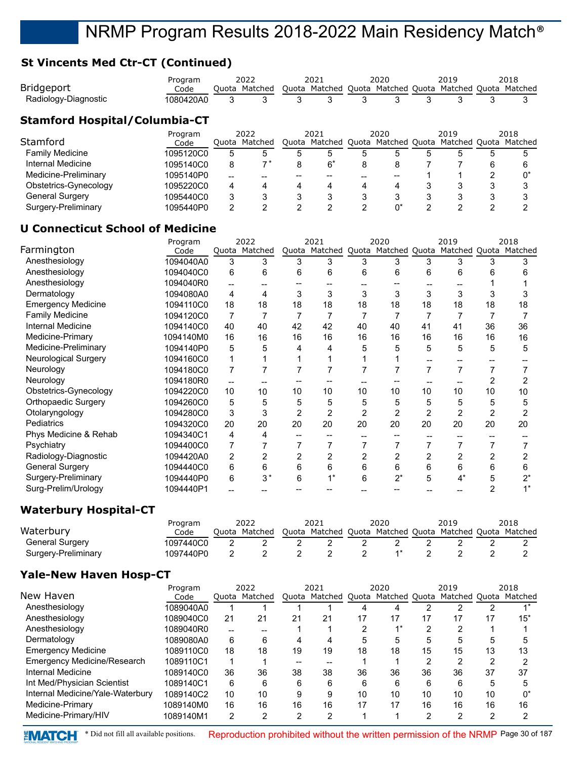## **St Vincents Med Ctr-CT (Continued)**

| <b>Bridgeport</b><br>Radiology-Diagnostic | Program<br>Code<br>1080420A0 | 3 | 2022<br>Ouota Matched |   | 2021<br>Quota Matched Quota Matched Quota Matched Quota Matched |   | 2020 |   | 2019           |    | 2018       |
|-------------------------------------------|------------------------------|---|-----------------------|---|-----------------------------------------------------------------|---|------|---|----------------|----|------------|
| <b>Stamford Hospital/Columbia-CT</b>      |                              |   |                       |   |                                                                 |   |      |   |                |    |            |
|                                           | Program                      |   | 2022                  |   | 2021                                                            |   | 2020 |   | 2019           |    | 2018       |
| Stamford                                  | Code                         |   | Ouota Matched         |   | Quota Matched Quota Matched Quota Matched Quota Matched         |   |      |   |                |    |            |
| <b>Family Medicine</b>                    | 1095120C0                    | 5 | 5                     | 5 | 5                                                               | 5 | 5    | 5 | 5              | 5  | 5          |
| Internal Medicine                         | 1095140C0                    | 8 | 7*                    | 8 | $6^*$                                                           | 8 | 8    |   |                | 6  | 6          |
| Modicino Droliminan                       | A                            |   |                       |   |                                                                 |   |      |   | $\overline{A}$ | C. | $^{\star}$ |

| Internal Medicine     | 1095140C0 |                 |    |    |       |       |    |  |  |
|-----------------------|-----------|-----------------|----|----|-------|-------|----|--|--|
| Medicine-Preliminary  | 1095140P0 | $\qquad \qquad$ | -- | -- | $- -$ | $- -$ | -- |  |  |
| Obstetrics-Gynecology | 1095220C0 |                 |    |    |       |       |    |  |  |
| General Surgery       | 1095440C0 |                 |    |    |       |       |    |  |  |
| Surgery-Preliminary   | 1095440P0 |                 |    |    |       |       |    |  |  |

## **U Connecticut School of Medicine**

|                           | Program   |    | 2022           |                | 2021                                                    |                | 2020           |                | 2019  |    | 2018 |
|---------------------------|-----------|----|----------------|----------------|---------------------------------------------------------|----------------|----------------|----------------|-------|----|------|
| Farmington                | Code      |    | Quota Matched  |                | Quota Matched Quota Matched Quota Matched Quota Matched |                |                |                |       |    |      |
| Anesthesiology            | 1094040A0 | 3  | 3              | 3              | 3                                                       | 3              | 3              | 3              | 3     | 3  |      |
| Anesthesiology            | 1094040C0 | 6  | 6              | 6              | 6                                                       | 6              | 6              | 6              | 6     | 6  |      |
| Anesthesiology            | 1094040R0 |    |                |                |                                                         |                |                |                |       |    |      |
| Dermatology               | 1094080A0 | 4  | 4              | 3              | 3                                                       |                | 3              | 3              | 3     |    |      |
| <b>Emergency Medicine</b> | 1094110C0 | 18 | 18             | 18             | 18                                                      | 18             | 18             | 18             | 18    | 18 | 18   |
| <b>Family Medicine</b>    | 1094120C0 | 7  |                |                | 7                                                       |                | 7              |                |       |    |      |
| <b>Internal Medicine</b>  | 1094140C0 | 40 | 40             | 42             | 42                                                      | 40             | 40             | 41             | 41    | 36 | 36   |
| Medicine-Primary          | 1094140M0 | 16 | 16             | 16             | 16                                                      | 16             | 16             | 16             | 16    | 16 | 16   |
| Medicine-Preliminary      | 1094140P0 | 5  | 5              | 4              | 4                                                       | 5              | 5              | 5              | 5     | 5  | 5    |
| Neurological Surgery      | 1094160C0 |    |                |                |                                                         |                |                |                |       |    |      |
| Neurology                 | 1094180C0 | 7  |                |                |                                                         |                |                | 7              | 7     |    |      |
| Neurology                 | 1094180R0 |    |                |                |                                                         |                |                |                |       |    |      |
| Obstetrics-Gynecology     | 1094220C0 | 10 | 10             | 10             | 10                                                      | 10             | 10             | 10             | 10    | 10 | 10   |
| Orthopaedic Surgery       | 1094260C0 | 5  | 5              | 5              | 5                                                       | 5              | 5              | 5              | 5     | 5  | 5    |
| Otolaryngology            | 1094280C0 | 3  | 3              | $\overline{2}$ | 2                                                       | $\overline{2}$ | 2              | $\overline{2}$ | 2     | 2  |      |
| Pediatrics                | 1094320C0 | 20 | 20             | 20             | 20                                                      | 20             | 20             | 20             | 20    | 20 | 20   |
| Phys Medicine & Rehab     | 1094340C1 | 4  | 4              |                |                                                         |                |                |                |       |    |      |
| Psychiatry                | 1094400C0 | 7  |                | 7              |                                                         |                | 7              |                |       |    |      |
| Radiology-Diagnostic      | 1094420A0 | 2  | $\overline{2}$ | 2              | $\overline{c}$                                          |                | $\overline{2}$ | $\overline{2}$ |       |    |      |
| <b>General Surgery</b>    | 1094440C0 | 6  | 6              | 6              | 6                                                       | 6              | 6              | 6              | 6     | 6  | 6    |
| Surgery-Preliminary       | 1094440P0 | 6  | $3^*$          | 6              |                                                         | 6              | $2^*$          | 5              | $4^*$ | 5  | 2*   |
| Surg-Prelim/Urology       | 1094440P1 |    |                |                |                                                         |                |                |                |       | 2  |      |

## **Waterbury Hospital-CT**

|                        | Program   |       | 2022    | 2021                                                    | 2020 | 2019 | 2018 |
|------------------------|-----------|-------|---------|---------------------------------------------------------|------|------|------|
| Waterbury              | Code      | Duota | Matched | Quota Matched Quota Matched Quota Matched Quota Matched |      |      |      |
| <b>General Surgery</b> | 1097440C0 |       |         |                                                         |      |      |      |
| Surgery-Preliminary    | 1097440P0 |       |         |                                                         |      |      |      |

## **Yale-New Haven Hosp-CT**

|                                  | Program   |    | 2022          |    | 2021                                                    |    | 2020 |    | 2019 |    | 2018  |
|----------------------------------|-----------|----|---------------|----|---------------------------------------------------------|----|------|----|------|----|-------|
| New Haven                        | Code      |    | Quota Matched |    | Quota Matched Quota Matched Quota Matched Quota Matched |    |      |    |      |    |       |
| Anesthesiology                   | 1089040A0 |    |               |    |                                                         |    |      |    |      |    |       |
| Anesthesiology                   | 1089040C0 | 21 | 21            | 21 | 21                                                      | 17 | 17   | 17 | 17   | 17 | $15*$ |
| Anesthesiology                   | 1089040R0 | -- |               |    |                                                         | ◠  |      | ⌒  |      |    |       |
| Dermatology                      | 1089080A0 | 6  | 6             |    | 4                                                       | 5  |      | 5  |      | 5  |       |
| <b>Emergency Medicine</b>        | 1089110C0 | 18 | 18            | 19 | 19                                                      | 18 | 18   | 15 | 15   | 13 | 13    |
| Emergency Medicine/Research      | 1089110C1 |    |               |    |                                                         |    |      | ⌒  |      | າ  |       |
| Internal Medicine                | 1089140C0 | 36 | 36            | 38 | 38                                                      | 36 | 36   | 36 | 36   | 37 | 37    |
| Int Med/Physician Scientist      | 1089140C1 | 6  | 6             | 6  | 6                                                       | 6  | 6    | 6  | 6    | 5  |       |
| Internal Medicine/Yale-Waterbury | 1089140C2 | 10 | 10            | 9  | 9                                                       | 10 | 10   | 10 | 10   | 10 |       |
| Medicine-Primary                 | 1089140M0 | 16 | 16            | 16 | 16                                                      | 17 | 17   | 16 | 16   | 16 | 16    |
| Medicine-Primary/HIV             | 1089140M1 | 2  | ◠             | ົ  | າ                                                       |    |      |    |      | ◠  |       |

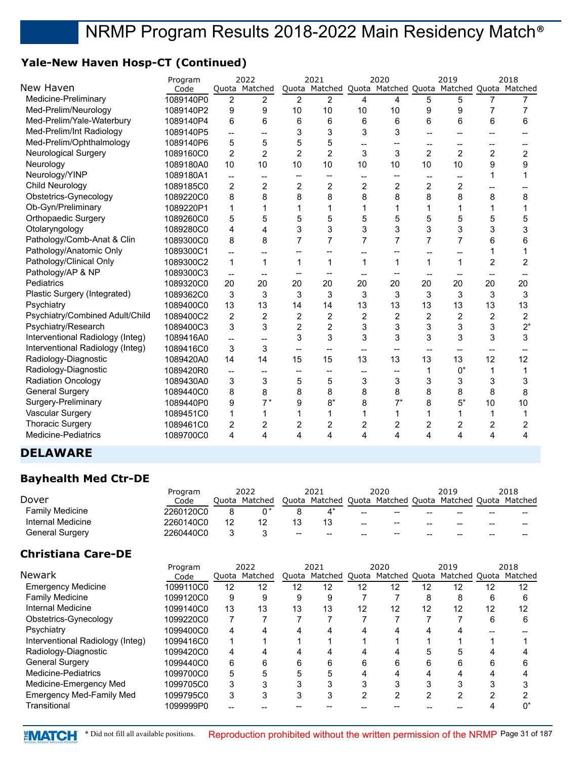## **Yale-New Haven Hosp-CT (Continued)**

|                                  | Program   |                          | 2022           |                | 2021           |                | 2020           |                | 2019                                                    |                | 2018           |
|----------------------------------|-----------|--------------------------|----------------|----------------|----------------|----------------|----------------|----------------|---------------------------------------------------------|----------------|----------------|
| New Haven                        | Code      |                          | Quota Matched  |                |                |                |                |                | Quota Matched Quota Matched Quota Matched Quota Matched |                |                |
| Medicine-Preliminary             | 1089140P0 | $\overline{2}$           | $\overline{2}$ | $\mathcal{P}$  | $\overline{2}$ | 4              | 4              | 5              | 5                                                       |                |                |
| Med-Prelim/Neurology             | 1089140P2 | 9                        | 9              | 10             | 10             | 10             | 10             | 9              | 9                                                       | 7              | 7              |
| Med-Prelim/Yale-Waterbury        | 1089140P4 | 6                        | 6              | 6              | 6              | 6              | 6              | 6              | 6                                                       | 6              | 6              |
| Med-Prelim/Int Radiology         | 1089140P5 | --                       | $\overline{a}$ | 3              | 3              | 3              | 3              |                |                                                         |                |                |
| Med-Prelim/Ophthalmology         | 1089140P6 | 5                        | 5              | 5              | 5              |                |                |                |                                                         |                |                |
| <b>Neurological Surgery</b>      | 1089160C0 | 2                        | $\overline{2}$ | $\overline{2}$ | $\overline{2}$ | 3              | 3              | $\overline{2}$ | $\overline{2}$                                          | $\overline{2}$ | $\overline{2}$ |
| Neurology                        | 1089180A0 | 10                       | 10             | 10             | 10             | 10             | 10             | 10             | 10                                                      | 9              | 9              |
| Neurology/YINP                   | 1089180A1 | --                       | --             | --             | --             | --             | --             | --             | --                                                      |                |                |
| Child Neurology                  | 1089185C0 | $\overline{c}$           | $\overline{2}$ | $\overline{c}$ | 2              | $\overline{2}$ | 2              | $\overline{2}$ | 2                                                       |                |                |
| Obstetrics-Gynecology            | 1089220C0 | 8                        | 8              | 8              | 8              | 8              | 8              | 8              | 8                                                       | 8              | 8              |
| Ob-Gyn/Preliminary               | 1089220P1 | 1                        | 1              | 1              | 1              |                |                | 1              |                                                         | 1              |                |
| Orthopaedic Surgery              | 1089260C0 | 5                        | 5              | 5              | 5              | 5              | 5              | 5              | 5                                                       | 5              | 5              |
| Otolaryngology                   | 1089280C0 | 4                        | 4              | 3              | 3              | 3              | 3              | 3              | 3                                                       | 3              | 3              |
| Pathology/Comb-Anat & Clin       | 1089300C0 | 8                        | 8              | $\overline{7}$ | $\overline{7}$ | $\overline{7}$ | 7              | 7              | $\overline{7}$                                          | 6              | 6              |
| Pathology/Anatomic Only          | 1089300C1 |                          |                |                |                |                |                |                |                                                         |                |                |
| Pathology/Clinical Only          | 1089300C2 | $\mathbf 1$              | 1              | 1              | 1              | 1              | 1              | 1              | 1                                                       | 2              | 2              |
| Pathology/AP & NP                | 1089300C3 | $\overline{a}$           |                |                |                |                |                |                |                                                         |                |                |
| Pediatrics                       | 1089320C0 | 20                       | 20             | 20             | 20             | 20             | 20             | 20             | 20                                                      | 20             | 20             |
| Plastic Surgery (Integrated)     | 1089362C0 | 3                        | 3              | 3              | 3              | 3              | 3              | 3              | 3                                                       | 3              | 3              |
| Psychiatry                       | 1089400C0 | 13                       | 13             | 14             | 14             | 13             | 13             | 13             | 13                                                      | 13             | 13             |
| Psychiatry/Combined Adult/Child  | 1089400C2 | $\boldsymbol{2}$         | $\overline{c}$ | 2              | $\overline{c}$ | $\overline{c}$ | $\overline{c}$ | $\overline{c}$ | $\overline{c}$                                          | 2              | 2              |
| Psychiatry/Research              | 1089400C3 | 3                        | 3              | $\overline{2}$ | $\overline{c}$ | 3              | 3              | 3              | 3                                                       | 3              | $2^*$          |
| Interventional Radiology (Integ) | 1089416A0 | $-$                      | --             | 3              | 3              | 3              | 3              | 3              | 3                                                       | 3              | 3              |
| Interventional Radiology (Integ) | 1089416C0 | 3                        | 3              | $-$            |                |                |                |                |                                                         |                |                |
| Radiology-Diagnostic             | 1089420A0 | 14                       | 14             | 15             | 15             | 13             | 13             | 13             | 13                                                      | 12             | 12             |
| Radiology-Diagnostic             | 1089420R0 | $\overline{\phantom{a}}$ | --             |                | --             |                | --             | 1              | $0^*$                                                   | 1              |                |
| <b>Radiation Oncology</b>        | 1089430A0 | 3                        | 3              | 5              | 5              | 3              | 3              | 3              | 3                                                       | 3              | 3              |
| <b>General Surgery</b>           | 1089440C0 | 8                        | 8              | 8              | 8              | 8              | 8              | 8              | 8                                                       | 8              | 8              |
| Surgery-Preliminary              | 1089440P0 | 9                        | $7*$           | 9              | $8*$           | 8              | $7^*$          | 8              | $5^*$                                                   | 10             | 10             |
| <b>Vascular Surgery</b>          | 1089451C0 | 1                        | 1              | 1              | 1              |                |                | 1              | 1                                                       | 1              |                |
| <b>Thoracic Surgery</b>          | 1089461C0 | 2                        | 2              | 2              | 2              | $\overline{c}$ | 2              | $\overline{c}$ | 2                                                       | $\overline{2}$ | 2              |
| Medicine-Pediatrics              | 1089700C0 | 4                        | 4              | 4              | 4              | 4              | 4              | 4              | 4                                                       | 4              | 4              |
|                                  |           |                          |                |                |                |                |                |                |                                                         |                |                |

## **DELAWARE**

## **Bayhealth Med Ctr-DE**

|                        | Program   |    | 2022          |                  | 2021                                                    |       | 2020                     |    | 2019 |    | 2018  |
|------------------------|-----------|----|---------------|------------------|---------------------------------------------------------|-------|--------------------------|----|------|----|-------|
| Dover                  | Code      |    | Quota Matched |                  | Quota Matched Quota Matched Quota Matched Quota Matched |       |                          |    |      |    |       |
| <b>Family Medicine</b> | 2260120C0 |    |               |                  |                                                         | $- -$ | $\overline{\phantom{m}}$ | -- | --   | -- | $- -$ |
| Internal Medicine      | 2260140C0 | 12 |               | 13               | 13                                                      | $- -$ | $\overline{\phantom{m}}$ | -- | --   | -- |       |
| <b>General Surgery</b> | 2260440C0 |    |               | $\hspace{0.5cm}$ | $\overline{\phantom{m}}$                                | --    | $- -$                    | -- | --   | -- |       |

## **Christiana Care-DE**

|                                  | Program   |    | 2022          |    | 2021 |    | 2020 |    | 2019                                                    |    | 2018 |
|----------------------------------|-----------|----|---------------|----|------|----|------|----|---------------------------------------------------------|----|------|
| <b>Newark</b>                    | Code      |    | Quota Matched |    |      |    |      |    | Quota Matched Quota Matched Quota Matched Quota Matched |    |      |
| <b>Emergency Medicine</b>        | 1099110C0 | 12 | 12            | 12 | 12   | 12 | 12   | 12 | 12                                                      | 12 | 12   |
| <b>Family Medicine</b>           | 1099120C0 | 9  |               | 9  | 9    |    |      | 8  | 8                                                       | 6  |      |
| Internal Medicine                | 1099140C0 | 13 | 13            | 13 | 13   | 12 | 12   | 12 | 12                                                      | 12 | 12   |
| Obstetrics-Gynecology            | 1099220C0 |    |               |    |      |    |      |    |                                                         | 6  | 6    |
| Psychiatry                       | 1099400C0 | 4  |               |    |      |    |      |    |                                                         |    |      |
| Interventional Radiology (Integ) | 1099416C0 |    |               |    |      |    |      |    |                                                         |    |      |
| Radiology-Diagnostic             | 1099420C0 | 4  |               |    |      |    |      | 5  | 5                                                       |    |      |
| General Surgery                  | 1099440C0 | 6  | 6             | 6  | 6    | 6  | 6    | 6  | 6                                                       | 6  |      |
| <b>Medicine-Pediatrics</b>       | 1099700C0 | 5  |               |    |      |    |      |    |                                                         |    |      |
| Medicine-Emergency Med           | 1099705C0 | 3  |               |    | 3    |    |      |    | 3                                                       |    |      |
| <b>Emergency Med-Family Med</b>  | 1099795C0 | 3  |               |    | 3    | ົ  |      | ◠  | າ                                                       |    |      |
| Transitional                     | 1099999P0 |    |               |    |      |    |      |    |                                                         |    |      |

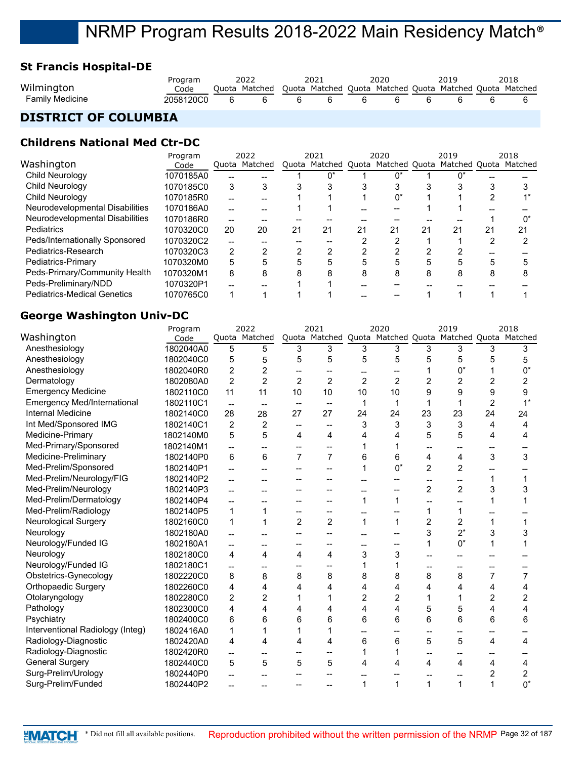## **St Francis Hospital-DE**

|                 | Program   |   | 2022                                                                  |     | 2021 | 2020 | 2019 | 2018 |
|-----------------|-----------|---|-----------------------------------------------------------------------|-----|------|------|------|------|
| Wilmington      | Code      |   | Quota Matched Quota Matched Quota Matched Quota Matched Quota Matched |     |      |      |      |      |
| Family Medicine | 2058120C0 | 6 |                                                                       | - 6 |      |      |      |      |

## **DISTRICT OF COLUMBIA**

#### **Childrens National Med Ctr-DC**

|                                    | Program   | 2022  |               |    | 2021 |    | 2020  |    | 2019                                                    |    | 2018 |
|------------------------------------|-----------|-------|---------------|----|------|----|-------|----|---------------------------------------------------------|----|------|
| Washington                         | Code      |       | Quota Matched |    |      |    |       |    | Quota Matched Quota Matched Quota Matched Quota Matched |    |      |
| Child Neurology                    | 1070185A0 |       |               |    |      |    |       |    | n*                                                      |    |      |
| Child Neurology                    | 1070185C0 | 3     | 3             |    |      |    | 3     |    |                                                         |    |      |
| Child Neurology                    | 1070185R0 | $-$   |               |    |      |    | $0^*$ |    |                                                         | ◠  |      |
| Neurodevelopmental Disabilities    | 1070186A0 |       |               |    |      |    |       |    |                                                         |    |      |
| Neurodevelopmental Disabilities    | 1070186R0 | $- -$ |               |    |      |    |       |    |                                                         |    |      |
| <b>Pediatrics</b>                  | 1070320C0 | 20    | 20            | 21 | 21   | 21 | 21    | 21 | 21                                                      | 21 | 21   |
| Peds/Internationally Sponsored     | 1070320C2 | $-$   |               |    |      |    | 2     |    |                                                         | 2  |      |
| Pediatrics-Research                | 1070320C3 | 2     |               |    |      |    |       |    |                                                         |    |      |
| Pediatrics-Primary                 | 1070320M0 | 5     |               |    |      |    |       |    |                                                         |    |      |
| Peds-Primary/Community Health      | 1070320M1 | 8     | 8             |    | 8    | 8  | 8     | 8  | 8                                                       | 8  |      |
| Peds-Preliminary/NDD               | 1070320P1 |       |               |    |      |    |       |    |                                                         |    |      |
| <b>Pediatrics-Medical Genetics</b> | 1070765C0 |       |               |    |      |    |       |    |                                                         |    |      |

## **George Washington Univ-DC**

|                                    | Program   |                          | 2022           |                | 2021                     |                | 2020           |                          | 2019                                                    |                | 2018           |
|------------------------------------|-----------|--------------------------|----------------|----------------|--------------------------|----------------|----------------|--------------------------|---------------------------------------------------------|----------------|----------------|
| Washington                         | Code      | Quota                    | Matched        |                |                          |                |                |                          | Quota Matched Quota Matched Quota Matched Quota Matched |                |                |
| Anesthesiology                     | 1802040A0 | 5                        | 5              | 3              | 3                        | 3              | 3              | 3                        | 3                                                       | 3              | 3              |
| Anesthesiology                     | 1802040C0 | 5                        | 5              | 5              | 5                        | 5              | 5              | 5                        | 5                                                       | 5              | 5              |
| Anesthesiology                     | 1802040R0 | 2                        | $\overline{2}$ |                |                          |                |                | 1                        | $0^*$                                                   |                | $0^*$          |
| Dermatology                        | 1802080A0 | $\overline{2}$           | $\mathfrak{p}$ | $\overline{2}$ | $\overline{2}$           | $\overline{2}$ | $\overline{2}$ | $\overline{2}$           | 2                                                       | 2              | 2              |
| <b>Emergency Medicine</b>          | 1802110C0 | 11                       | 11             | 10             | 10                       | 10             | 10             | 9                        | 9                                                       | 9              | 9              |
| <b>Emergency Med/International</b> | 1802110C1 | $\overline{a}$           | --             |                | $\overline{\phantom{a}}$ | 1              | 1              | 1                        | 1                                                       | $\overline{2}$ | $1^*$          |
| Internal Medicine                  | 1802140C0 | 28                       | 28             | 27             | 27                       | 24             | 24             | 23                       | 23                                                      | 24             | 24             |
| Int Med/Sponsored IMG              | 1802140C1 | 2                        | 2              | --             | --                       | 3              | 3              | 3                        | 3                                                       | 4              | 4              |
| Medicine-Primary                   | 1802140M0 | 5                        | 5              | 4              | 4                        |                | 4              | 5                        | 5                                                       | 4              | 4              |
| Med-Primary/Sponsored              | 1802140M1 | $\overline{\phantom{a}}$ | --             |                |                          |                |                |                          |                                                         |                |                |
| Medicine-Preliminary               | 1802140P0 | 6                        | 6              | 7              | $\overline{7}$           | 6              | 6              | 4                        | 4                                                       | 3              | 3              |
| Med-Prelim/Sponsored               | 1802140P1 | $\overline{a}$           |                |                |                          | 1              | $0^*$          | $\overline{2}$           | $\overline{2}$                                          |                |                |
| Med-Prelim/Neurology/FIG           | 1802140P2 |                          |                |                |                          |                |                | $\overline{\phantom{a}}$ | --                                                      | 1              |                |
| Med-Prelim/Neurology               | 1802140P3 |                          | --             |                |                          |                |                | $\overline{2}$           | $\overline{2}$                                          | 3              | 3              |
| Med-Prelim/Dermatology             | 1802140P4 | --                       |                | --             |                          | $\mathbf{1}$   | 1              |                          |                                                         |                |                |
| Med-Prelim/Radiology               | 1802140P5 | 1                        | $\mathbf{1}$   | --             | --                       | --             |                | 1                        | 1                                                       |                |                |
| <b>Neurological Surgery</b>        | 1802160C0 | $\mathbf 1$              | 1              | $\overline{c}$ | $\overline{2}$           | $\mathbf{1}$   | $\mathbf 1$    | $\overline{c}$           | $\overline{c}$                                          | $\mathbf{1}$   | 1              |
| Neurology                          | 1802180A0 | --                       |                |                |                          |                |                | 3                        | $2^*$                                                   | 3              | 3              |
| Neurology/Funded IG                | 1802180A1 | --                       | --             |                |                          |                |                | 1                        | $0^*$                                                   |                |                |
| Neurology                          | 1802180C0 | 4                        | 4              | 4              | 4                        | 3              | 3              |                          |                                                         |                |                |
| Neurology/Funded IG                | 1802180C1 | --                       |                |                |                          |                |                |                          |                                                         |                |                |
| Obstetrics-Gynecology              | 1802220C0 | 8                        | 8              | 8              | 8                        | 8              | 8              | 8                        | 8                                                       | $\overline{7}$ | 7              |
| Orthopaedic Surgery                | 1802260C0 | 4                        | 4              | 4              | 4                        | 4              | 4              | 4                        | 4                                                       | 4              | 4              |
| Otolaryngology                     | 1802280C0 | 2                        | $\overline{2}$ |                | 1                        | $\overline{2}$ | $\overline{2}$ | 1                        | 1                                                       | $\overline{2}$ | $\overline{2}$ |
| Pathology                          | 1802300C0 | 4                        | 4              | 4              | 4                        | 4              | 4              | 5                        | 5                                                       | 4              | 4              |
| Psychiatry                         | 1802400C0 | 6                        | 6              | 6              | 6                        | 6              | 6              | 6                        | 6                                                       | 6              | 6              |
| Interventional Radiology (Integ)   | 1802416A0 | 1                        | 1              |                | 1                        |                |                | $\overline{\phantom{a}}$ | --                                                      |                |                |
| Radiology-Diagnostic               | 1802420A0 | 4                        | 4              | 4              | 4                        | 6              | 6              | 5                        | 5                                                       | 4              | 4              |
| Radiology-Diagnostic               | 1802420R0 | --                       | --             |                |                          | 1              |                | --                       | --                                                      |                |                |
| <b>General Surgery</b>             | 1802440C0 | 5                        | 5              | 5              | 5                        | 4              | 4              | 4                        | 4                                                       | 4              | 4              |
| Surg-Prelim/Urology                | 1802440P0 | --                       |                |                |                          |                |                |                          |                                                         | $\overline{c}$ | 2              |
| Surg-Prelim/Funded                 | 1802440P2 |                          |                |                |                          | $\mathbf{1}$   | 1              | 1                        | 1                                                       | 1              | $0^*$          |
|                                    |           |                          |                |                |                          |                |                |                          |                                                         |                |                |

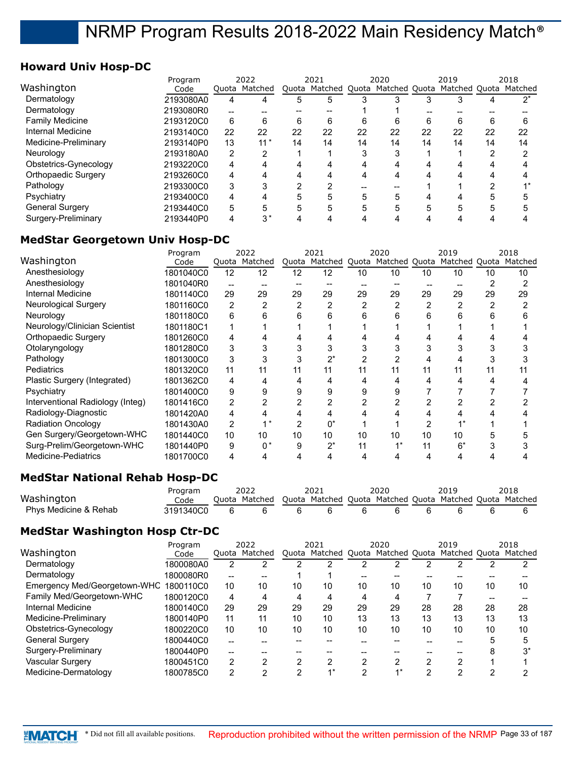## **Howard Univ Hosp-DC**

|                        | Program   |     | 2022          |    | 2021                                                    |    | 2020 |    | 2019 |    | 2018  |
|------------------------|-----------|-----|---------------|----|---------------------------------------------------------|----|------|----|------|----|-------|
| Washington             | Code      |     | Quota Matched |    | Quota Matched Quota Matched Quota Matched Quota Matched |    |      |    |      |    |       |
| Dermatology            | 2193080A0 | 4   |               | 5  | 5                                                       |    | 3    | 3  | 3    |    | $2^*$ |
| Dermatology            | 2193080R0 | $-$ |               |    |                                                         |    |      |    |      |    |       |
| <b>Family Medicine</b> | 2193120C0 | 6   | 6             | 6  | 6                                                       | 6  | 6    | 6  | 6    | 6  |       |
| Internal Medicine      | 2193140C0 | 22  | 22            | 22 | 22                                                      | 22 | 22   | 22 | 22   | 22 | 22    |
| Medicine-Preliminary   | 2193140P0 | 13  | $11*$         | 14 | 14                                                      | 14 | 14   | 14 | 14   | 14 | 14    |
| Neuroloav              | 2193180A0 | 2   | ◠             |    |                                                         | 3  | 3    |    |      | ◠  | ◠     |
| Obstetrics-Gynecology  | 2193220C0 | 4   |               | 4  | 4                                                       | Δ  | 4    |    | 4    |    |       |
| Orthopaedic Surgery    | 2193260C0 | 4   |               |    | 4                                                       | 4  | 4    |    | 4    |    |       |
| Pathology              | 2193300C0 | 3   |               | ົ  | 2                                                       |    |      |    |      | ◠  |       |
| Psychiatry             | 2193400C0 | 4   |               |    | 5                                                       | 5  | 5    |    |      |    |       |
| <b>General Surgery</b> | 2193440C0 | 5   |               |    | 5                                                       | 5  | 5    | 5  | 5    |    |       |
| Surgery-Preliminary    | 2193440P0 | 4   | י פ           |    |                                                         |    |      |    |      |    |       |

#### **MedStar Georgetown Univ Hosp-DC**

|                                  | Program   |    | 2022           |               | 2021          |    | 2020 |    | 2019                                      |    | 2018 |
|----------------------------------|-----------|----|----------------|---------------|---------------|----|------|----|-------------------------------------------|----|------|
| Washington                       | Code      |    | Quota Matched  |               | Quota Matched |    |      |    | Quota Matched Quota Matched Quota Matched |    |      |
| Anesthesiology                   | 1801040C0 | 12 | 12             | 12            | 12            | 10 | 10   | 10 | 10                                        | 10 | 10   |
| Anesthesiology                   | 1801040R0 |    |                |               |               |    |      |    |                                           |    |      |
| Internal Medicine                | 1801140C0 | 29 | 29             | 29            | 29            | 29 | 29   | 29 | 29                                        | 29 | 29   |
| Neurological Surgery             | 1801160C0 | 2  | $\overline{2}$ | $\mathcal{P}$ | 2             |    |      | 2  |                                           |    |      |
| Neurology                        | 1801180C0 | 6  | 6              | 6             | 6             | 6  |      | 6  | 6                                         |    |      |
| Neurology/Clinician Scientist    | 1801180C1 |    |                |               |               |    |      |    |                                           |    |      |
| Orthopaedic Surgery              | 1801260C0 | 4  |                |               |               |    |      |    |                                           |    |      |
| Otolaryngology                   | 1801280C0 | 3  | 3              | 3             | 3             |    |      | 3  | 3                                         |    |      |
| Pathology                        | 1801300C0 | 3  | 3              |               | $2^*$         |    |      |    |                                           |    |      |
| <b>Pediatrics</b>                | 1801320C0 | 11 | 11             | 11            | 11            |    | 11   | 11 |                                           | 11 |      |
| Plastic Surgery (Integrated)     | 1801362C0 | 4  | 4              |               | 4             |    |      |    |                                           |    |      |
| Psychiatry                       | 1801400C0 | 9  | 9              | 9             | 9             |    |      |    |                                           |    |      |
| Interventional Radiology (Integ) | 1801416C0 | 2  | 2              |               | 2             |    |      |    |                                           |    |      |
| Radiology-Diagnostic             | 1801420A0 | 4  |                |               |               |    |      |    |                                           |    |      |
| <b>Radiation Oncology</b>        | 1801430A0 | 2  |                |               | 0*            |    |      |    |                                           |    |      |
| Gen Surgery/Georgetown-WHC       | 1801440C0 | 10 | 10             | 10            | 10            | 10 | 10   | 10 | 10                                        |    |      |
| Surg-Prelim/Georgetown-WHC       | 1801440P0 | 9  | $^{\circ}$     | 9             | $2^*$         | 11 | $4*$ | 11 | $6*$                                      |    |      |
| Medicine-Pediatrics              | 1801700C0 | 4  |                |               |               |    |      |    |                                           |    |      |

## **MedStar National Rehab Hosp-DC**

|                       | Program     | 2022                                                                  |     | 2021 |    | 2020 | 2019 | 2018 |
|-----------------------|-------------|-----------------------------------------------------------------------|-----|------|----|------|------|------|
| Washington            | Code        | Quota Matched Quota Matched Quota Matched Quota Matched Quota Matched |     |      |    |      |      |      |
| Phys Medicine & Rehab | 3191340C0 6 |                                                                       | - 6 |      | ჩ. | - 6  |      |      |

## **MedStar Washington Hosp Ctr-DC**

|                              | Program   | 2022 |               |    | 2021                              |    | 2020 |    | 2019          |    | 2018    |
|------------------------------|-----------|------|---------------|----|-----------------------------------|----|------|----|---------------|----|---------|
| Washington                   | Code      |      | Ouota Matched |    | Quota Matched Quota Matched Quota |    |      |    | Matched Quota |    | Matched |
| Dermatology                  | 1800080A0 | 2    |               |    | ⌒                                 |    | っ    | ◠  | ⌒             |    | ∩       |
| Dermatology                  | 1800080R0 | --   |               |    |                                   |    |      |    |               |    |         |
| Emergency Med/Georgetown-WHC | 1800110C0 | 10   | 10            | 10 | 10                                | 10 | 10   | 10 | 10            | 10 | 10      |
| Family Med/Georgetown-WHC    | 1800120C0 | 4    | 4             | 4  | 4                                 | 4  | 4    |    |               |    |         |
| Internal Medicine            | 1800140C0 | 29   | 29            | 29 | 29                                | 29 | 29   | 28 | 28            | 28 | 28      |
| Medicine-Preliminary         | 1800140P0 | 11   | 11            | 10 | 10                                | 13 | 13   | 13 | 13            | 13 | 13      |
| Obstetrics-Gynecology        | 1800220C0 | 10   | 10            | 10 | 10                                | 10 | 10   | 10 | 10            | 10 | 10      |
| <b>General Surgery</b>       | 1800440C0 | --   |               |    |                                   |    |      |    |               |    | 5       |
| Surgery-Preliminary          | 1800440P0 | --   |               |    |                                   |    |      |    |               |    | 3*      |
| Vascular Surgery             | 1800451C0 | 2    |               |    | າ                                 |    | ົ    | ົ  | ⌒             |    |         |
| Medicine-Dermatology         | 1800785C0 | 2    |               |    |                                   | ◠  |      | ◠  | ⌒             |    |         |

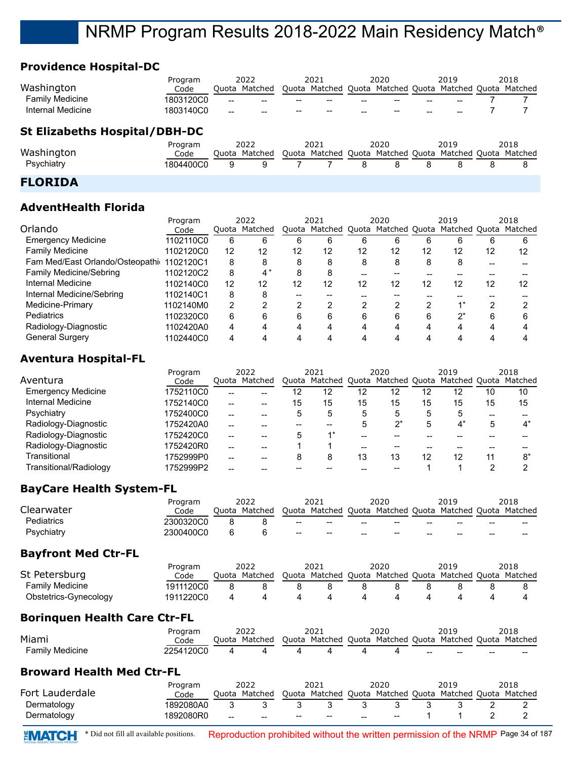## **Providence Hospital-DC**

|                        | Program   |       | 2022                                              |                  | 2021                                                    |                 | 2020  |    | 2019  | 2018 |
|------------------------|-----------|-------|---------------------------------------------------|------------------|---------------------------------------------------------|-----------------|-------|----|-------|------|
| Washington             | Code      |       | Ouota Matched                                     |                  | Quota Matched Quota Matched Quota Matched Quota Matched |                 |       |    |       |      |
| <b>Family Medicine</b> | 1803120C0 | $- -$ | $-$                                               | $\hspace{0.5cm}$ | $- -$                                                   | $- -$           | $- -$ | -- | $-$   |      |
| Internal Medicine      | 1803140C0 | $- -$ | $\hspace{0.05cm}-\hspace{0.05cm}-\hspace{0.05cm}$ | $- -$            | $- -$                                                   | $\qquad \qquad$ | $- -$ | -- | $- -$ |      |
|                        |           |       |                                                   |                  |                                                         |                 |       |    |       |      |

## **St Elizabeths Hospital/DBH-DC**

|            | Program   | 2022                                                                  | 2021 | 2020 | 2019 | 2018 |
|------------|-----------|-----------------------------------------------------------------------|------|------|------|------|
| Washington | Code      | Quota Matched Quota Matched Quota Matched Quota Matched Quota Matched |      |      |      |      |
| Psychiatry | 1804400C0 |                                                                       |      |      |      |      |
|            |           |                                                                       |      |      |      |      |

#### **FLORIDA**

## **AdventHealth Florida**

|                                 | Program   | 2022 |               | 2021 |                                   | 2020 |    | 2019 |                       |    | 2018 |
|---------------------------------|-----------|------|---------------|------|-----------------------------------|------|----|------|-----------------------|----|------|
| Orlando                         | Code      |      | Quota Matched |      | Quota Matched Quota Matched Quota |      |    |      | Matched Quota Matched |    |      |
| <b>Emergency Medicine</b>       | 1102110C0 | 6    | 6             | 6    | 6                                 | 6    | 6  | 6    | 6                     | 6  | 6    |
| <b>Family Medicine</b>          | 1102120C0 | 12   | 12            | 12   | 12                                | 12   | 12 | 12   | 12                    | 12 | 12   |
| Fam Med/East Orlando/Osteopathi | 1102120C1 | 8    | 8             | 8    | 8                                 | 8    | 8  | 8    | 8                     |    |      |
| <b>Family Medicine/Sebring</b>  | 1102120C2 | 8    | 4*            | 8    | 8                                 |      |    |      |                       |    |      |
| Internal Medicine               | 1102140C0 | 12   | 12            | 12   | 12                                | 12   | 12 | 12   | 12                    | 12 | 12   |
| Internal Medicine/Sebring       | 1102140C1 | 8    |               |      |                                   |      |    |      |                       |    |      |
| Medicine-Primary                | 1102140M0 | 2    |               |      |                                   |      |    | ◠    |                       | ົ  |      |
| Pediatrics                      | 1102320C0 | 6    | հ             | 6    | 6                                 | 6    | 6  | 6    | $2^{*}$               | 6  |      |
| Radiology-Diagnostic            | 1102420A0 | 4    |               | 4    | 4                                 | 4    | 4  | 4    | 4                     |    |      |
| <b>General Surgery</b>          | 1102440C0 | 4    |               |      | Δ                                 |      |    |      |                       |    |      |

## **Aventura Hospital-FL**

|                           | Program   |    | 2022          |    | 2021                              |    | 2020  |    | 2019          |    | 2018    |
|---------------------------|-----------|----|---------------|----|-----------------------------------|----|-------|----|---------------|----|---------|
| Aventura                  | Code      |    | Ouota Matched |    | Quota Matched Quota Matched Quota |    |       |    | Matched Quota |    | Matched |
| <b>Emergency Medicine</b> | 1752110C0 | -- | --            | 12 | 12                                | 12 | 12    | 12 | 12            | 10 | 10      |
| Internal Medicine         | 1752140C0 | -- | --            | 15 | 15                                | 15 | 15    | 15 | 15            | 15 | 15      |
| Psychiatry                | 1752400C0 | -- |               | 5  | 5                                 | 5  | 5     |    | 5             |    |         |
| Radiology-Diagnostic      | 1752420A0 | -- |               |    |                                   | 5  | $2^*$ | 5  | $4^*$         | 5  | 4*      |
| Radiology-Diagnostic      | 1752420C0 |    |               |    |                                   |    |       |    |               |    |         |
| Radiology-Diagnostic      | 1752420R0 | -- |               |    |                                   |    | --    |    |               |    |         |
| Transitional              | 1752999P0 | -- |               | 8  | 8                                 | 13 | 13    | 12 | 12            | 11 | $8^*$   |
| Transitional/Radiology    | 1752999P2 |    |               |    |                                   |    |       |    |               |    |         |

## **BayCare Health System-FL**

|                   | Program   | 2022          |                                                | 2021                                                    |                          | 2020                     |       | 2019  |       | 2018  |
|-------------------|-----------|---------------|------------------------------------------------|---------------------------------------------------------|--------------------------|--------------------------|-------|-------|-------|-------|
| Clearwater        | Code      | Ouota Matched |                                                | Quota Matched Quota Matched Quota Matched Quota Matched |                          |                          |       |       |       |       |
| <b>Pediatrics</b> | 2300320C0 |               | $\hspace{0.1mm}-\hspace{0.1mm}-\hspace{0.1mm}$ | $\sim$                                                  | $\overline{\phantom{m}}$ | $\overline{\phantom{a}}$ | $- -$ | $- -$ | $- -$ | $- -$ |
| Psychiatry        | 2300400C0 |               | $\hspace{0.1mm}-\hspace{0.1mm}-\hspace{0.1mm}$ | $\hspace{0.1mm}-\hspace{0.1mm}-\hspace{0.1mm}$          | $- -$                    | $\overline{\phantom{a}}$ | $- -$ | $- -$ | $- -$ | $- -$ |

#### **Bayfront Med Ctr-FL**

|                       | Program   | 2022 |               | 2021 |                                                         | 2020 |  | 2019 |  | 2018 |
|-----------------------|-----------|------|---------------|------|---------------------------------------------------------|------|--|------|--|------|
| St Petersburg         | Code      |      | Ouota Matched |      | Quota Matched Quota Matched Quota Matched Quota Matched |      |  |      |  |      |
| Family Medicine       | 1911120C0 |      |               |      |                                                         |      |  |      |  |      |
| Obstetrics-Gynecology | 1911220C0 |      |               |      |                                                         |      |  |      |  |      |

## **Borinquen Health Care Ctr-FL**

|                 | Program   |       | 2022    | 2021                                                    | 2020 |     | 2019 |     | 2018 |
|-----------------|-----------|-------|---------|---------------------------------------------------------|------|-----|------|-----|------|
| Miami           | Code      | Ouota | Matched | Quota Matched Quota Matched Quota Matched Quota Matched |      |     |      |     |      |
| Family Medicine | 2254120C0 |       |         |                                                         |      | $-$ | $-$  | $-$ | $-$  |

## **Broward Health Med Ctr-FL**

| Fort Lauderdale | Program<br>Code |    | 2022<br>Ouota Matched |                          | 2021<br>Quota Matched Quota Matched Quota Matched Quota Matched |     | 2020  | 2019 | 2018 |
|-----------------|-----------------|----|-----------------------|--------------------------|-----------------------------------------------------------------|-----|-------|------|------|
| Dermatology     | 1892080A0       |    |                       |                          |                                                                 |     |       |      |      |
| Dermatology     | 1892080R0       | -- | $-$                   | $\overline{\phantom{a}}$ | $\hspace{0.1mm}-\hspace{0.1mm}-\hspace{0.1mm}$                  | $-$ | $- -$ |      |      |

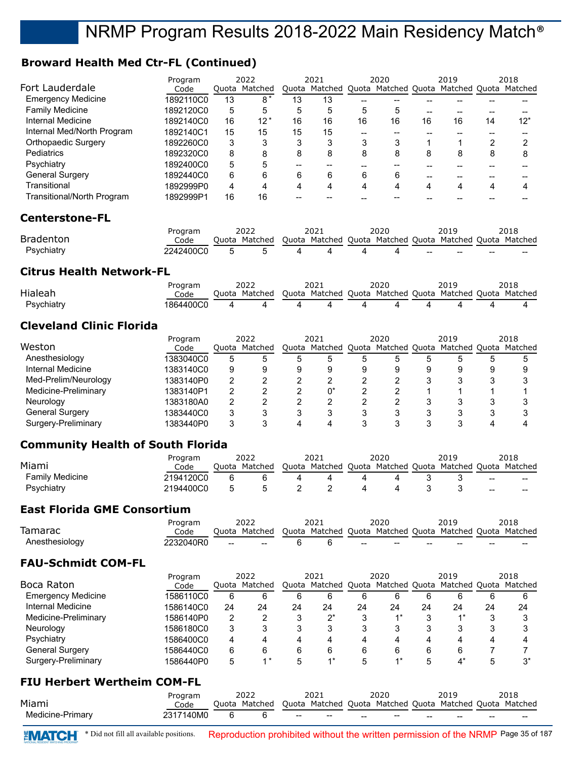## **Broward Health Med Ctr-FL (Continued)**

|                                   | 2022<br>Program |       |               | 2021 |                                                         |    | 2020 |    | 2019 |                | 2018                  |
|-----------------------------------|-----------------|-------|---------------|------|---------------------------------------------------------|----|------|----|------|----------------|-----------------------|
| Fort Lauderdale                   | Code            |       | Quota Matched |      | Quota Matched Quota Matched Quota Matched Quota Matched |    |      |    |      |                |                       |
| <b>Emergency Medicine</b>         | 1892110C0       | 13    | $8*$          | 13   | 13                                                      |    |      |    |      |                |                       |
| <b>Family Medicine</b>            | 1892120C0       | 5     | 5             | 5    | 5                                                       | 5  | 5    | -- |      |                |                       |
| Internal Medicine                 | 1892140C0       | 16    | $12*$         | 16   | 16                                                      | 16 | 16   | 16 | 16   | 14             | $12^*$                |
| Internal Med/North Program        | 1892140C1       | 15    | 15            | 15   | 15                                                      |    |      |    |      |                |                       |
| Orthopaedic Surgery               | 1892260C0       | 3     | 3             | 3    | 3                                                       | 3  | 3    |    |      | $\overline{2}$ | 2                     |
| <b>Pediatrics</b>                 | 1892320C0       | 8     | 8             | 8    | 8                                                       | 8  | 8    | 8  | 8    | 8              | 8                     |
| Psychiatry                        | 1892400C0       | 5     | 5             |      |                                                         |    |      |    |      |                |                       |
| <b>General Surgery</b>            | 1892440C0       | 6     | 6             | 6    | 6                                                       | 6  | 6    | -- |      | --             |                       |
| Transitional                      | 1892999P0       | 4     | 4             | 4    | 4                                                       | 4  | 4    | 4  | 4    | 4              | 4                     |
| <b>Transitional/North Program</b> | 1892999P1       | 16    | 16            | --   |                                                         |    |      |    |      |                |                       |
| <b>Centerstone-FL</b>             |                 |       |               |      |                                                         |    |      |    |      |                |                       |
|                                   | Program         |       | 2022          |      | 2021                                                    |    | 2020 |    | 2019 |                | 2018                  |
| <b>Bradenton</b>                  | Code            | Quota | Matched       |      | Quota Matched Quota Matched Quota                       |    |      |    |      |                | Matched Quota Matched |

| Psvo<br>cniatr               | 24000<br>. |  | $\overline{a}$ | Д | - | $- -$ | $- -$ | $\sim$ | $- -$ |
|------------------------------|------------|--|----------------|---|---|-------|-------|--------|-------|
| $ -$<br>- -<br>$ -$<br>- - - | $-$        |  |                |   |   |       |       |        |       |

#### **Citrus Health Network-FL**

|            | Program   | 2022          | 2021 | 2020 |                                                         | 2018 |
|------------|-----------|---------------|------|------|---------------------------------------------------------|------|
| Hialeah    | Code      | Ouota Matched |      |      | Quota Matched Quota Matched Quota Matched Quota Matched |      |
| Psychiatry | 1864400C0 |               |      |      |                                                         |      |

## **Cleveland Clinic Florida**

|                        | Program   |   | 2022          |   | 2021                                            | 2020 | 2019 | 2018    |
|------------------------|-----------|---|---------------|---|-------------------------------------------------|------|------|---------|
| Weston                 | Code      |   | Ouota Matched |   | Quota Matched Quota Matched Quota Matched Quota |      |      | Matched |
| Anesthesiology         | 1383040C0 | 5 |               |   |                                                 | 5    |      |         |
| Internal Medicine      | 1383140C0 | 9 |               | 9 |                                                 |      |      |         |
| Med-Prelim/Neurology   | 1383140P0 |   |               |   |                                                 |      |      |         |
| Medicine-Preliminary   | 1383140P1 |   |               |   |                                                 |      |      |         |
| Neurology              | 1383180A0 |   |               |   |                                                 |      |      |         |
| <b>General Surgery</b> | 1383440C0 | 3 |               |   |                                                 |      |      |         |
| Surgery-Preliminary    | 1383440P0 | າ |               |   |                                                 |      |      |         |

## **Community Health of South Florida**

|                        | Program   | 2022          | 2021                                                    | 2020 | 2019 |                          | 2018  |
|------------------------|-----------|---------------|---------------------------------------------------------|------|------|--------------------------|-------|
| Miami                  | Code      | Quota Matched | Quota Matched Quota Matched Quota Matched Quota Matched |      |      |                          |       |
| <b>Family Medicine</b> | 2194120C0 |               |                                                         |      |      | $\sim$                   | $- -$ |
| Psychiatry             | 2194400C0 |               |                                                         |      |      | $\overline{\phantom{a}}$ | $- -$ |

## **East Florida GME Consortium**

|                | Program   |       | 2022                                              |                                   |       | 2020              |    |                       |       | 2018  |
|----------------|-----------|-------|---------------------------------------------------|-----------------------------------|-------|-------------------|----|-----------------------|-------|-------|
| Tamarac        | Code      | Juota | Matched                                           | Ouota Matched Ouota Matched Ouota |       |                   |    | Matched Ouota Matched |       |       |
| Anesthesiology | 2232040R0 | $- -$ | $\hspace{0.05cm}-\hspace{0.05cm}-\hspace{0.05cm}$ |                                   | $- -$ | $\hspace{0.05cm}$ | -- | --                    | $- -$ | $- -$ |

## **FAU-Schmidt COM-FL**

| Program                   |           | 2022 |               | 2021 |                                                         | 2020 |                  |    | 2019 |    | 2018 |
|---------------------------|-----------|------|---------------|------|---------------------------------------------------------|------|------------------|----|------|----|------|
| Boca Raton                | Code      |      | Ouota Matched |      | Quota Matched Quota Matched Quota Matched Quota Matched |      |                  |    |      |    |      |
| <b>Emergency Medicine</b> | 1586110C0 | 6    |               | 6    | 6                                                       | 6    | b                | b  | 6    | b  |      |
| Internal Medicine         | 1586140C0 | 24   | 24            | 24   | 24                                                      | 24   | 24               | 24 | 24   | 24 | 24   |
| Medicine-Preliminary      | 1586140P0 | 2    |               | 3    | ′^                                                      |      |                  |    |      | 3  |      |
| Neurology                 | 1586180C0 | 3    |               |      |                                                         |      | 3                |    |      |    |      |
| Psychiatry                | 1586400C0 | 4    |               | 4    |                                                         | 4    | 4                |    |      | Δ  |      |
| <b>General Surgery</b>    | 1586440C0 | 6    |               | 6    | 6                                                       | 6    | 6                |    | 6    |    |      |
| Surgery-Preliminary       | 1586440P0 | 5    | $\star$       |      |                                                         |      | $\overline{A}$ * |    | Δ*   |    | י ∂  |

## **FIU Herbert Wertheim COM-FL**

|                  | Program   | 2022                                                                  |                          | 2021   |       | 2020                                           |    | 2019 |    | 2018  |
|------------------|-----------|-----------------------------------------------------------------------|--------------------------|--------|-------|------------------------------------------------|----|------|----|-------|
| Miami            | Code      | Quota Matched Quota Matched Quota Matched Quota Matched Quota Matched |                          |        |       |                                                |    |      |    |       |
| Medicine-Primary | 2317140M0 |                                                                       | $\overline{\phantom{a}}$ | $\sim$ | $- -$ | $\hspace{0.1mm}-\hspace{0.1mm}-\hspace{0.1mm}$ | -- | --   | -- | $- -$ |

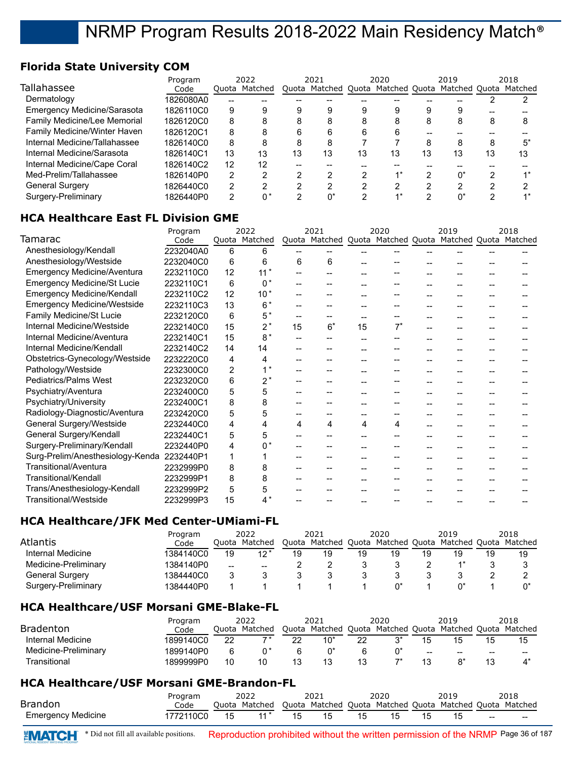## **Florida State University COM**

|                                    | Program   |    | 2022          |    | 2021                                                    |    | 2020 |    | 2019  |    | 2018 |
|------------------------------------|-----------|----|---------------|----|---------------------------------------------------------|----|------|----|-------|----|------|
| Tallahassee                        | Code      |    | Ouota Matched |    | Quota Matched Quota Matched Quota Matched Quota Matched |    |      |    |       |    |      |
| Dermatology                        | 1826080A0 |    |               |    |                                                         |    |      |    |       |    |      |
| <b>Emergency Medicine/Sarasota</b> | 1826110C0 | 9  |               | 9  | 9                                                       | 9  | 9    | 9  | 9     |    |      |
| Family Medicine/Lee Memorial       | 1826120C0 | 8  |               | 8  | 8                                                       | 8  | 8    | 8  | 8     | 8  |      |
| Family Medicine/Winter Haven       | 1826120C1 | 8  |               | 6  | 6                                                       | 6  | 6    |    |       |    |      |
| Internal Medicine/Tallahassee      | 1826140C0 | 8  |               | 8  | 8                                                       |    |      | 8  | 8     | 8  |      |
| Internal Medicine/Sarasota         | 1826140C1 | 13 | 13            | 13 | 13                                                      | 13 | 13   | 13 | 13    | 13 | 13   |
| Internal Medicine/Cape Coral       | 1826140C2 | 12 | 12            |    |                                                         |    |      |    |       |    |      |
| Med-Prelim/Tallahassee             | 1826140P0 | 2  |               | っ  |                                                         |    |      |    | $0^*$ |    |      |
| <b>General Surgery</b>             | 1826440C0 | 2  |               | າ  |                                                         |    | っ    | ◠  | ◠     |    |      |
| Surgery-Preliminary                | 1826440P0 | 2  |               | っ  |                                                         | ⌒  |      | ◠  | $0^*$ | ົ  |      |

## **HCA Healthcare East FL Division GME**

|                                    | Program   |                | 2022          |     | 2021                              |    | 2020  | 2019                  | 2018 |
|------------------------------------|-----------|----------------|---------------|-----|-----------------------------------|----|-------|-----------------------|------|
| Tamarac                            | Code      |                | Quota Matched |     | Quota Matched Quota Matched Quota |    |       | Matched Quota Matched |      |
| Anesthesiology/Kendall             | 2232040A0 | 6              | 6             |     |                                   |    |       |                       |      |
| Anesthesiology/Westside            | 2232040C0 | 6              | 6             | 6   | 6                                 |    |       |                       |      |
| Emergency Medicine/Aventura        | 2232110C0 | 12             | $11*$         | --  |                                   |    |       |                       |      |
| <b>Emergency Medicine/St Lucie</b> | 2232110C1 | 6              | $0^*$         | $-$ |                                   |    |       |                       |      |
| Emergency Medicine/Kendall         | 2232110C2 | 12             | $10*$         |     |                                   |    |       |                       |      |
| <b>Emergency Medicine/Westside</b> | 2232110C3 | 13             | $6*$          |     |                                   |    |       |                       |      |
| <b>Family Medicine/St Lucie</b>    | 2232120C0 | 6              | $5*$          |     |                                   |    |       |                       |      |
| Internal Medicine/Westside         | 2232140C0 | 15             | $2^*$         | 15  | $6*$                              | 15 | $7^*$ |                       |      |
| Internal Medicine/Aventura         | 2232140C1 | 15             | $8*$          |     |                                   |    |       |                       |      |
| Internal Medicine/Kendall          | 2232140C2 | 14             | 14            |     |                                   |    |       |                       |      |
| Obstetrics-Gynecology/Westside     | 2232220C0 | 4              | 4             |     |                                   |    |       |                       |      |
| Pathology/Westside                 | 2232300C0 | $\overline{2}$ |               |     |                                   |    |       |                       |      |
| Pediatrics/Palms West              | 2232320C0 | 6              | $2^*$         |     |                                   |    |       |                       |      |
| Psychiatry/Aventura                | 2232400C0 | 5              | 5             |     |                                   |    |       |                       |      |
| Psychiatry/University              | 2232400C1 | 8              | 8             |     |                                   |    |       |                       |      |
| Radiology-Diagnostic/Aventura      | 2232420C0 | 5              | 5             |     |                                   |    |       |                       |      |
| General Surgery/Westside           | 2232440C0 | 4              | 4             | 4   | 4                                 | 4  | 4     |                       |      |
| General Surgery/Kendall            | 2232440C1 | 5              | 5             |     |                                   |    |       |                       |      |
| Surgery-Preliminary/Kendall        | 2232440P0 | 4              | $0^*$         |     |                                   |    |       |                       |      |
| Surg-Prelim/Anesthesiology-Kenda   | 2232440P1 | 1              |               |     |                                   |    |       |                       |      |
| Transitional/Aventura              | 2232999P0 | 8              | 8             |     |                                   |    |       |                       |      |
| <b>Transitional/Kendall</b>        | 2232999P1 | 8              | 8             |     |                                   |    |       |                       |      |
| Trans/Anesthesiology-Kendall       | 2232999P2 | 5              | 5             |     |                                   |    |       |                       |      |
| Transitional/Westside              | 2232999P3 | 15             | $4^*$         |     |                                   |    |       |                       |      |
|                                    |           |                |               |     |                                   |    |       |                       |      |

## **HCA Healthcare/JFK Med Center-UMiami-FL**

|                      | Program   | 2022  |         | 2021  |         | 2020  |         | 2019  |               | 2018 |         |
|----------------------|-----------|-------|---------|-------|---------|-------|---------|-------|---------------|------|---------|
| Atlantis             | Code      | Ouota | Matched | Quota | Matched | Quota | Matched | Quota | Matched Quota |      | Matched |
| Internal Medicine    | 1384140C0 | 19    | $12*$   | 19    | 19      | 19    | 19      | 19    | 19            | 19   | 19      |
| Medicine-Preliminary | 1384140P0 | $- -$ | --      |       |         |       |         |       |               |      |         |
| General Surgery      | 1384440C0 |       |         |       |         |       |         |       |               |      |         |
| Surgery-Preliminary  | 1384440P0 |       |         |       |         |       |         |       |               |      |         |

## **HCA Healthcare/USF Morsani GME-Blake-FL**

|                      | Program   |       | 2022          |       | 2021    |       | 2020          |       | 2019          |       | 2018    |
|----------------------|-----------|-------|---------------|-------|---------|-------|---------------|-------|---------------|-------|---------|
| <b>Bradenton</b>     | Code      | Ouota | Matched       | Quota | Matched | Ouota | Matched Quota |       | Matched Quota |       | Matched |
| Internal Medicine    | 1899140C0 | 22    | $\rightarrow$ | 22    | 10*     | 22    | ^ يە          |       |               | 15    |         |
| Medicine-Preliminary | 1899140P0 |       |               |       |         |       |               | $- -$ | --            | $- -$ | $- -$   |
| Transitional         | 1899999P0 | 10    |               |       |         |       | ⇁             |       |               | 13    |         |

## **HCA Healthcare/USF Morsani GME-Brandon-FL**

|                    | Program      | 2022 |                                                                       | 2021 |       | 2020 |     | 2019 |  | 2018 |                                                |
|--------------------|--------------|------|-----------------------------------------------------------------------|------|-------|------|-----|------|--|------|------------------------------------------------|
| <b>Brandon</b>     | Code         |      | Quota Matched Quota Matched Quota Matched Quota Matched Quota Matched |      |       |      |     |      |  |      |                                                |
| Emergency Medicine | 1772110C0 15 |      | $11*$                                                                 |      | 15 15 | 15.  | 15. |      |  |      | $\hspace{0.1mm}-\hspace{0.1mm}-\hspace{0.1mm}$ |

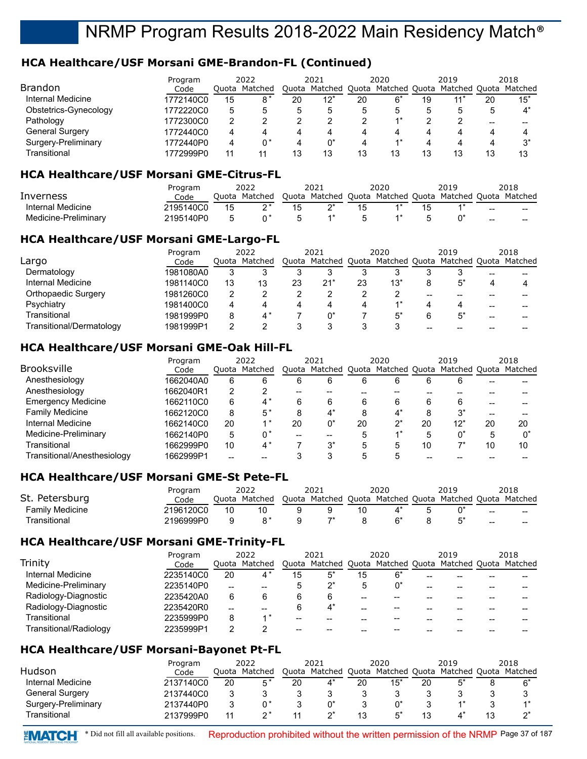## **HCA Healthcare/USF Morsani GME-Brandon-FL (Continued)**

| <b>Brandon</b>        | Program<br>Code |    | 2022<br>Ouota Matched | Ouota | 2021   |    | 2020 |    | 2019<br>Matched Quota Matched Quota Matched Quota Matched |    | 2018        |
|-----------------------|-----------------|----|-----------------------|-------|--------|----|------|----|-----------------------------------------------------------|----|-------------|
| Internal Medicine     | 1772140C0       | 15 | $8*$                  | 20    | $12^*$ | 20 | 6*   | 19 | 11*                                                       | 20 | $15*$       |
| Obstetrics-Gynecology | 1772220C0       | 5  |                       | 5     | 5      | 5  | 5    |    | 5                                                         | 5  | $\Lambda^*$ |
| Pathology             | 1772300C0       | 2  |                       |       |        |    |      |    |                                                           | -- |             |
| General Surgery       | 1772440C0       | 4  |                       | 4     | 4      | 4  | 4    |    |                                                           | 4  |             |
| Surgery-Preliminary   | 1772440P0       | 4  | n*                    | 4     |        | 4  | $4*$ |    |                                                           | 4  | $3^*$       |
| Transitional          | 1772999P0       | 11 |                       | 13    | 13     | 13 | 13   |    | 13                                                        | 13 | 13          |

#### **HCA Healthcare/USF Morsani GME-Citrus-FL**

|                      | Program   | 2022          |    | 2021                                                    |    | 2020 | 2019 |        | 2018 |
|----------------------|-----------|---------------|----|---------------------------------------------------------|----|------|------|--------|------|
| Inverness            | Code      | Ouota Matched |    | Quota Matched Quota Matched Quota Matched Quota Matched |    |      |      |        |      |
| Internal Medicine    | 2195140C0 | $^{\star}$    | 15 |                                                         | 15 |      |      | $\sim$ | $-$  |
| Medicine-Preliminary | 2195140P0 |               |    |                                                         |    |      |      | $\sim$ | $-$  |

### **HCA Healthcare/USF Morsani GME-Largo-FL**

|                          | Program   |    | 2022                |    | 2021   |    | 2020 | 2019                                                    |    | 2018 |
|--------------------------|-----------|----|---------------------|----|--------|----|------|---------------------------------------------------------|----|------|
| Largo                    | Code      |    | Quota Matched       |    |        |    |      | Quota Matched Quota Matched Quota Matched Quota Matched |    |      |
| Dermatology              | 1981080A0 | 3  |                     |    |        |    |      |                                                         | -- |      |
| Internal Medicine        | 1981140C0 | 13 | 13                  | 23 | $21^*$ | 23 | 13*  | $5^*$                                                   |    |      |
| Orthopaedic Surgery      | 1981260C0 | 2  |                     |    |        |    |      |                                                         |    |      |
| Psychiatry               | 1981400C0 | 4  |                     | 4  |        | 4  |      |                                                         | -- |      |
| Transitional             | 1981999P0 | 8  | $\mathbf{1}^{\ast}$ |    |        |    |      | 5*                                                      | -- |      |
| Transitional/Dermatology | 1981999P1 |    |                     |    |        |    |      |                                                         |    |      |

### **HCA Healthcare/USF Morsani GME-Oak Hill-FL**

| Program                     |           |    | 2022          |    | 2021                                                    |    | 2020    |    | 2019   |    | 2018 |
|-----------------------------|-----------|----|---------------|----|---------------------------------------------------------|----|---------|----|--------|----|------|
| <b>Brooksville</b>          | Code      |    | Ouota Matched |    | Quota Matched Quota Matched Quota Matched Quota Matched |    |         |    |        |    |      |
| Anesthesiology              | 1662040A0 | 6  |               | 6  | 6                                                       | 6  | 6       | 6  | 6      | -- |      |
| Anesthesiology              | 1662040R1 | 2  |               | -- |                                                         |    |         |    |        |    |      |
| <b>Emergency Medicine</b>   | 1662110C0 | 6  | $4^*$         | 6  | 6                                                       | 6  | 6       |    | 6      |    |      |
| <b>Family Medicine</b>      | 1662120C0 | 8  | $5*$          | 8  | $\mathbf{A}^*$                                          | 8  | $4^*$   |    | $3^*$  |    |      |
| Internal Medicine           | 1662140C0 | 20 | $\lambda$ *   | 20 |                                                         | 20 | $2^{*}$ | 20 | $12^*$ | 20 | 20   |
| Medicine-Preliminary        | 1662140P0 | 5  | በ*            | -- |                                                         | 5  | $4*$    |    | $0^*$  | 5  | n*   |
| Transitional                | 1662999P0 | 10 | 4*            |    | $3^*$                                                   | 5  | 5       | 10 | ⇁      | 10 | 10   |
| Transitional/Anesthesiology | 1662999P1 |    |               |    |                                                         |    |         |    |        |    |      |

#### **HCA Healthcare/USF Morsani GME-St Pete-FL**

|                     | Program   |       | 2022    | 2021                              |    | 2020 | 2019                  |       | 2018  |
|---------------------|-----------|-------|---------|-----------------------------------|----|------|-----------------------|-------|-------|
| St. Petersburg      | Code      | Ouota | Matched | Quota Matched Quota Matched Quota |    |      | Matched Quota Matched |       |       |
| Family Medicine     | 2196120C0 | 10    |         |                                   | 10 |      |                       | $- -$ | $- -$ |
| <b>Fransitional</b> | 2196999P0 |       |         |                                   |    |      |                       | $- -$ | --    |

#### **HCA Healthcare/USF Morsani GME-Trinity-FL**

|                        | Program   |    | 2022          |    | 2021                                                    |    | 2020 | 2019 | 2018 |
|------------------------|-----------|----|---------------|----|---------------------------------------------------------|----|------|------|------|
| Trinity                | Code      |    | Ouota Matched |    | Quota Matched Quota Matched Quota Matched Quota Matched |    |      |      |      |
| Internal Medicine      | 2235140C0 | 20 | $\Lambda^*$   | 15 | 5*                                                      | 15 | 6*   |      |      |
| Medicine-Preliminary   | 2235140P0 | -- | --            |    | י^                                                      |    |      |      |      |
| Radiology-Diagnostic   | 2235420A0 | 6  |               | 6  | 6                                                       |    | --   |      |      |
| Radiology-Diagnostic   | 2235420R0 | -- |               | 6  | $\mathbf{1}^*$                                          |    | --   |      |      |
| Transitional           | 2235999P0 | 8  |               |    |                                                         |    | --   |      |      |
| Transitional/Radiology | 2235999P1 | ◠  |               | -- |                                                         |    |      |      |      |

#### **HCA Healthcare/USF Morsani-Bayonet Pt-FL**

|                        | Program   |       | 2022    |       | 2021    |       | 2020          |    | 2019          |    | 2018    |
|------------------------|-----------|-------|---------|-------|---------|-------|---------------|----|---------------|----|---------|
| Hudson                 | Code      | Ouota | Matched | Ouota | Matched | Quota | Matched Quota |    | Matched Quota |    | Matched |
| Internal Medicine      | 2137140C0 | 20    |         | 20    | $4^*$   | 20    | $15*$         | 20 |               |    | $6*$    |
| <b>General Surgery</b> | 2137440C0 |       |         |       |         |       |               |    |               |    |         |
| Surgery-Preliminary    | 2137440P0 |       |         |       |         |       |               |    |               |    |         |
| Transitional           | 2137999P0 | 11    |         |       | ∩*      | 13    |               | 13 |               | 13 | ົ∩*     |

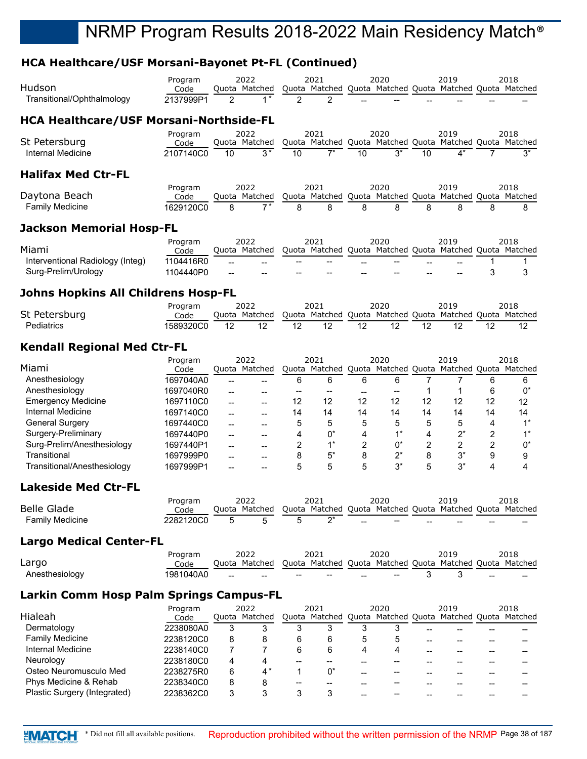## **HCA Healthcare/USF Morsani-Bayonet Pt-FL (Continued)**

|                                                | Program                |                | 2022                     |                         | 2021                                                            |                   | 2020                                              |        | 2019                     |                     | 2018            |
|------------------------------------------------|------------------------|----------------|--------------------------|-------------------------|-----------------------------------------------------------------|-------------------|---------------------------------------------------|--------|--------------------------|---------------------|-----------------|
| Hudson                                         | Code                   |                | Quota Matched            |                         | Quota Matched Quota Matched Quota Matched Quota Matched         |                   |                                                   |        |                          |                     |                 |
| Transitional/Ophthalmology                     | 2137999P1              | $\mathfrak{p}$ | $1^*$                    | $\overline{2}$          | $\overline{2}$                                                  |                   |                                                   |        |                          |                     |                 |
| <b>HCA Healthcare/USF Morsani-Northside-FL</b> |                        |                |                          |                         |                                                                 |                   |                                                   |        |                          |                     |                 |
|                                                | Program                |                | 2022                     |                         | 2021                                                            |                   | 2020                                              |        | 2019                     |                     | 2018            |
| St Petersburg                                  | Code                   |                | Quota Matched            |                         | Quota Matched Quota Matched Quota Matched Quota Matched         |                   |                                                   |        |                          |                     |                 |
| Internal Medicine                              | 2107140C0              | 10             | $3*$                     | 10                      | $7^*$                                                           | 10                | $3^*$                                             | 10     | 4*                       | 7                   | $3^*$           |
| <b>Halifax Med Ctr-FL</b>                      |                        |                |                          |                         |                                                                 |                   |                                                   |        |                          |                     |                 |
| Daytona Beach                                  | Program                |                | 2022                     |                         | 2021                                                            |                   | 2020                                              |        | 2019                     |                     | 2018            |
|                                                | Code                   |                | Quota Matched            |                         | Quota Matched Quota Matched Quota Matched Quota Matched         |                   |                                                   |        |                          |                     |                 |
| <b>Family Medicine</b>                         | 1629120C0              | 8              | $7*$                     | 8                       | 8                                                               | 8                 | 8                                                 | 8      | 8                        | 8                   | 8               |
| <b>Jackson Memorial Hosp-FL</b>                |                        |                |                          |                         |                                                                 |                   |                                                   |        |                          |                     |                 |
| Miami                                          | Program<br>Code        |                | 2022<br>Quota Matched    |                         | 2021<br>Quota Matched Quota Matched Quota Matched Quota Matched |                   | 2020                                              |        | 2019                     |                     | 2018            |
| Interventional Radiology (Integ)               | 1104416R0              |                |                          |                         |                                                                 |                   |                                                   |        |                          | 1                   |                 |
| Surg-Prelim/Urology                            | 1104440P0              |                |                          |                         |                                                                 |                   |                                                   |        |                          | 3                   | 3               |
|                                                |                        |                |                          |                         |                                                                 |                   |                                                   |        |                          |                     |                 |
| <b>Johns Hopkins All Childrens Hosp-FL</b>     |                        |                |                          |                         |                                                                 |                   |                                                   |        |                          |                     |                 |
| St Petersburg                                  | Program                |                | 2022                     |                         | 2021<br>Quota Matched Quota Matched Quota Matched Quota Matched |                   | 2020                                              |        | 2019                     |                     | 2018            |
| Pediatrics                                     | Code                   |                | Quota Matched            |                         |                                                                 |                   |                                                   |        |                          |                     |                 |
|                                                | 1589320C0              | 12             | 12                       | 12                      | 12                                                              | 12                | 12                                                | 12     | 12                       | 12                  | 12              |
| <b>Kendall Regional Med Ctr-FL</b>             |                        |                |                          |                         |                                                                 |                   |                                                   |        |                          |                     |                 |
| Miami                                          | Program<br>Code        |                | 2022<br>Quota Matched    |                         | 2021<br>Quota Matched                                           |                   | 2020<br>Quota Matched Quota Matched Quota Matched |        | 2019                     |                     | 2018            |
| Anesthesiology                                 | 1697040A0              |                | --                       | 6                       | 6                                                               | 6                 | 6                                                 | 7      | 7                        | 6                   | 6               |
| Anesthesiology                                 | 1697040R0              |                |                          | --                      | $-$                                                             |                   | --                                                | 1      | 1                        | 6                   | $0^*$           |
| <b>Emergency Medicine</b>                      | 1697110C0              |                | --                       | 12                      | 12                                                              | 12                | 12                                                | 12     | 12                       | 12                  | 12 <sup>2</sup> |
| Internal Medicine                              | 1697140C0              | $-$            | $\overline{a}$           | 14                      | 14                                                              | 14                | 14                                                | 14     | 14                       | 14                  | 14              |
| <b>General Surgery</b>                         |                        | $-$            | --                       |                         |                                                                 |                   |                                                   |        |                          |                     | $1^*$           |
| Surgery-Preliminary                            | 1697440C0              | $-$            | $-$                      | 5                       | 5<br>$0^*$                                                      | 5<br>4            | 5<br>$1^*$                                        | 5<br>4 | 5<br>$2^*$               | 4                   | $1^*$           |
| Surg-Prelim/Anesthesiology                     | 1697440P0              | $-$            | --                       | 4                       | $1^*$                                                           |                   | $0^*$                                             |        | $\overline{c}$           | 2<br>$\overline{c}$ | $0^*$           |
| Transitional                                   | 1697440P1              | $-$            | $\overline{\phantom{0}}$ | $\overline{\mathbf{c}}$ | $5^\star$                                                       | $\overline{c}$    | $2^*$                                             | 2      | $3^*$                    |                     |                 |
| Transitional/Anesthesiology                    | 1697999P0              | $-$            | --                       | 8                       | 5                                                               | 8                 | $3^*$                                             | 8<br>5 | $3^*$                    | 9                   | 9               |
|                                                | 1697999P1              | $\overline{a}$ | --                       | 5                       |                                                                 | 5                 |                                                   |        |                          | 4                   | 4               |
| <b>Lakeside Med Ctr-FL</b>                     |                        |                |                          |                         |                                                                 |                   |                                                   |        |                          |                     |                 |
| <b>Belle Glade</b>                             | Program<br>Code        |                | 2022<br>Quota Matched    |                         | 2021<br>Quota Matched Quota Matched Quota Matched Quota Matched |                   | 2020                                              |        | 2019                     |                     | 2018            |
| <b>Family Medicine</b>                         | 2282120C0              | 5              | 5                        | 5                       | $2^*$                                                           |                   |                                                   |        |                          |                     |                 |
|                                                |                        |                |                          |                         |                                                                 |                   |                                                   |        |                          |                     |                 |
| <b>Largo Medical Center-FL</b>                 |                        |                |                          |                         |                                                                 |                   |                                                   |        |                          |                     |                 |
| Largo                                          | Program<br>Code        |                | 2022<br>Quota Matched    |                         | 2021<br>Quota Matched Quota Matched Quota Matched Quota Matched |                   | 2020                                              |        | 2019                     |                     | 2018            |
| Anesthesiology                                 | 1981040A0              |                |                          |                         |                                                                 |                   |                                                   | 3      | 3                        |                     |                 |
|                                                |                        |                |                          |                         |                                                                 |                   |                                                   |        |                          |                     |                 |
| <b>Larkin Comm Hosp Palm Springs Campus-FL</b> |                        |                |                          |                         |                                                                 |                   |                                                   |        |                          |                     |                 |
| Hialeah                                        | Program                |                | 2022<br>Quota Matched    |                         | 2021<br>Quota Matched Quota Matched Quota Matched Quota Matched |                   | 2020                                              |        | 2019                     |                     | 2018            |
| Dermatology                                    | Code<br>2238080A0      | 3              | 3                        | 3                       | 3                                                               | 3                 | 3                                                 |        |                          |                     |                 |
| <b>Family Medicine</b>                         |                        |                |                          |                         |                                                                 |                   |                                                   |        |                          |                     |                 |
|                                                | 2238120C0              | 8              | 8<br>7                   | 6                       | 6                                                               | 5                 | 5                                                 |        |                          |                     |                 |
| Internal Medicine<br>Neurology                 | 2238140C0              | 7              |                          | 6                       | 6                                                               | 4                 | 4                                                 |        |                          |                     |                 |
| Osteo Neuromusculo Med                         | 2238180C0              | 4              | 4<br>$4*$                | --<br>1                 | --<br>$0^*$                                                     |                   |                                                   |        |                          |                     |                 |
| Phys Medicine & Rehab                          | 2238275R0<br>2238340C0 | 6<br>8         |                          |                         |                                                                 |                   |                                                   |        |                          |                     |                 |
| Plastic Surgery (Integrated)                   | 2238362C0              | 3              | 8<br>3                   | --<br>3                 | $\overline{\phantom{a}}$<br>3                                   |                   |                                                   |        | --                       |                     |                 |
|                                                |                        |                |                          |                         |                                                                 | $\qquad \qquad -$ |                                                   | --     | $\overline{\phantom{a}}$ |                     | --              |

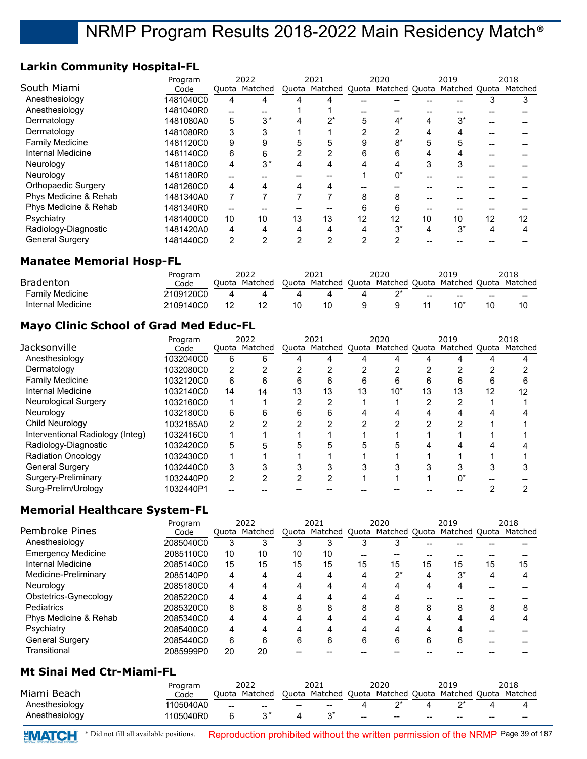## **Larkin Community Hospital-FL**

|                            | Program   | 2022  |               |    | 2021    |    | 2020           |    | 2019                                                    |    | 2018 |
|----------------------------|-----------|-------|---------------|----|---------|----|----------------|----|---------------------------------------------------------|----|------|
| South Miami                | Code      |       | Quota Matched |    |         |    |                |    | Quota Matched Quota Matched Quota Matched Quota Matched |    |      |
| Anesthesiology             | 1481040C0 | 4     |               |    |         |    |                |    |                                                         |    |      |
| Anesthesiology             | 1481040R0 | --    |               |    |         |    |                |    |                                                         |    |      |
| Dermatology                | 1481080A0 | 5     | $3^*$         |    | $2^{*}$ | 5  | $4^*$          |    | $3^*$                                                   |    |      |
| Dermatology                | 1481080R0 | 3     |               |    |         | ⌒  | $\overline{2}$ | 4  |                                                         |    |      |
| <b>Family Medicine</b>     | 1481120C0 | 9     | 9             |    | 5       | 9  | $8*$           | 5  | 5                                                       |    |      |
| Internal Medicine          | 1481140C0 | 6     | 6             |    | 2       | 6  | 6              | 4  |                                                         |    |      |
| Neurology                  | 1481180C0 | 4     | 3*            | 4  | 4       | Δ  | 4              | 3  | 3                                                       |    |      |
| Neurology                  | 1481180R0 | $- -$ |               |    |         |    | $0^*$          |    |                                                         |    |      |
| <b>Orthopaedic Surgery</b> | 1481260C0 | 4     |               | 4  | 4       |    |                |    |                                                         |    |      |
| Phys Medicine & Rehab      | 1481340A0 | 7     |               |    |         | 8  | 8              |    |                                                         |    |      |
| Phys Medicine & Rehab      | 1481340R0 |       |               |    |         | 6  | 6              |    |                                                         |    |      |
| Psychiatry                 | 1481400C0 | 10    | 10            | 13 | 13      | 12 | 12             | 10 | 10                                                      | 12 | 12   |
| Radiology-Diagnostic       | 1481420A0 | 4     | 4             | 4  | 4       | 4  | $3^*$          | 4  | $3^*$                                                   | 4  |      |
| <b>General Surgery</b>     | 1481440C0 | 2     | ◠             |    | 2       | 2  | 2              |    |                                                         |    |      |

## **Manatee Memorial Hosp-FL**

|                   | Program   |       | 2022    |       | 2021                        | 2020 |     | 2019                  |                 | 2018  |
|-------------------|-----------|-------|---------|-------|-----------------------------|------|-----|-----------------------|-----------------|-------|
| <b>Bradenton</b>  | Code      | Ouota | Matched | Quota | Matched Quota Matched Quota |      |     | Matched Quota Matched |                 |       |
| Family Medicine   | 2109120C0 |       |         |       |                             |      | $-$ | $- -$                 | $\qquad \qquad$ | $- -$ |
| Internal Medicine | 2109140C0 |       |         | 10    |                             |      |     |                       | 10              |       |

## **Mayo Clinic School of Grad Med Educ-FL**

|                                  | Program   |    | 2022          |    | 2021 |    | 2020  |    | 2019                                                    |    | 2018 |
|----------------------------------|-----------|----|---------------|----|------|----|-------|----|---------------------------------------------------------|----|------|
| Jacksonville                     | Code      |    | Ouota Matched |    |      |    |       |    | Quota Matched Quota Matched Quota Matched Quota Matched |    |      |
| Anesthesiology                   | 1032040C0 | 6  |               |    |      |    |       |    |                                                         |    |      |
| Dermatology                      | 1032080C0 | 2  |               |    |      |    |       |    |                                                         |    |      |
| <b>Family Medicine</b>           | 1032120C0 | 6  | 6             |    | 6    | 6  | 6     | 6  |                                                         |    |      |
| Internal Medicine                | 1032140C0 | 14 | 14            | 13 | 13   | 13 | $10*$ | 13 | 13                                                      | 12 | 12   |
| Neurological Surgery             | 1032160C0 |    |               |    | ົ    |    |       |    |                                                         |    |      |
| Neurology                        | 1032180C0 | 6  | հ             | ี  | 6    |    |       |    |                                                         |    |      |
| <b>Child Neurology</b>           | 1032185A0 | 2  |               |    |      |    |       |    |                                                         |    |      |
| Interventional Radiology (Integ) | 1032416C0 |    |               |    |      |    |       |    |                                                         |    |      |
| Radiology-Diagnostic             | 1032420C0 | 5  |               |    |      |    | 5     |    |                                                         |    |      |
| <b>Radiation Oncology</b>        | 1032430C0 |    |               |    |      |    |       |    |                                                         |    |      |
| <b>General Surgery</b>           | 1032440C0 | 3  |               |    |      |    |       |    |                                                         |    |      |
| Surgery-Preliminary              | 1032440P0 | 2  |               |    |      |    |       |    | 0*                                                      |    |      |
| Surg-Prelim/Urology              | 1032440P1 |    |               |    |      |    |       |    |                                                         |    |      |

## **Memorial Healthcare System-FL**

|                           | Program   | 2022 |               |    | 2021                                                    |    | 2020  |    | 2019  |    | 2018 |
|---------------------------|-----------|------|---------------|----|---------------------------------------------------------|----|-------|----|-------|----|------|
| Pembroke Pines            | Code      |      | Ouota Matched |    | Quota Matched Quota Matched Quota Matched Quota Matched |    |       |    |       |    |      |
| Anesthesiology            | 2085040C0 | 3    | ົ             |    |                                                         |    |       |    |       |    |      |
| <b>Emergency Medicine</b> | 2085110C0 | 10   | 10            | 10 | 10                                                      |    |       |    |       |    |      |
| Internal Medicine         | 2085140C0 | 15   | 15            | 15 | 15                                                      | 15 | 15    | 15 | 15    | 15 | 15   |
| Medicine-Preliminary      | 2085140P0 | 4    | Δ.            | 4  | 4                                                       | 4  | $2^*$ |    | $3^*$ | 4  |      |
| Neurology                 | 2085180C0 | 4    | Δ             | 4  | 4                                                       | 4  | 4     | 4  | 4     |    |      |
| Obstetrics-Gynecology     | 2085220C0 | 4    |               | 4  | 4                                                       |    |       |    |       |    |      |
| Pediatrics                | 2085320C0 | 8    | 8             | 8  | 8                                                       | 8  | 8     | 8  | 8     | 8  |      |
| Phys Medicine & Rehab     | 2085340C0 | 4    | Δ             | 4  | 4                                                       | 4  |       |    |       | 4  |      |
| Psychiatry                | 2085400C0 | 4    |               | 4  | 4                                                       | 4  |       |    |       |    |      |
| <b>General Surgery</b>    | 2085440C0 | 6    | 6             | 6  | 6                                                       | 6  | 6     | 6  | 6     |    |      |
| Transitional              | 2085999P0 | 20   | 20            |    |                                                         |    |       |    |       |    |      |

## **Mt Sinai Med Ctr-Miami-FL**

| Miami Beach    | Program<br>Code |       | 2022<br>Ouota Matched |     | 2021                     |     | 2020<br>Quota Matched Quota Matched Quota Matched Quota Matched |       | 2019  |    | 2018  |
|----------------|-----------------|-------|-----------------------|-----|--------------------------|-----|-----------------------------------------------------------------|-------|-------|----|-------|
| Anesthesiology | 1105040A0       | $- -$ | $- -$                 | $-$ | $\overline{\phantom{a}}$ |     |                                                                 |       |       |    |       |
| Anesthesiology | 1105040R0       |       |                       |     |                          | $-$ | $\hspace{0.05cm}$                                               | $- -$ | $- -$ | -- | $- -$ |

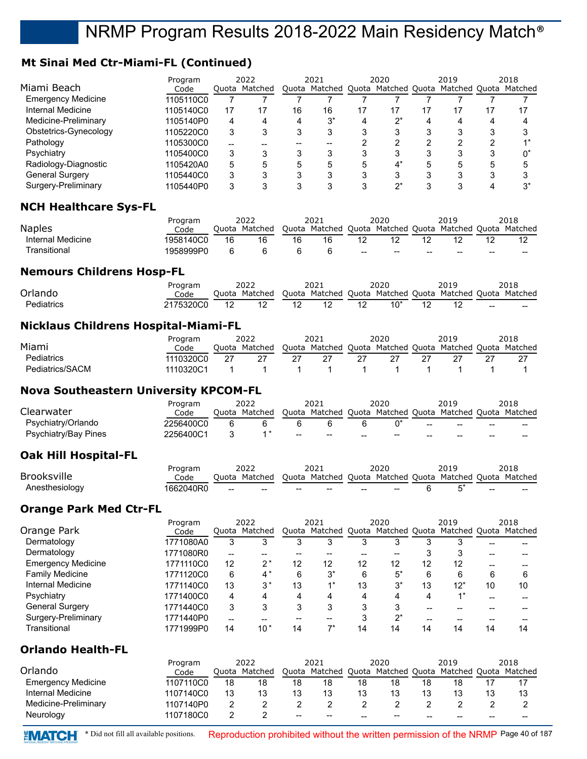## **Mt Sinai Med Ctr-Miami-FL (Continued)**

| Miami Beach               | Program<br>Code |    | 2022<br>Quota Matched |    | 2021<br>Quota Matched Quota Matched Quota Matched Quota Matched |    | 2020  |   | 2019 |    | 2018  |
|---------------------------|-----------------|----|-----------------------|----|-----------------------------------------------------------------|----|-------|---|------|----|-------|
| <b>Emergency Medicine</b> | 1105110C0       |    |                       |    |                                                                 |    |       |   |      |    |       |
| Internal Medicine         | 1105140C0       | 17 | 17                    | 16 | 16                                                              | 17 | 17    |   |      | 17 | 17    |
| Medicine-Preliminary      | 1105140P0       | 4  |                       | 4  | $3^*$                                                           | 4  | $2^*$ |   | 4    | 4  |       |
| Obstetrics-Gynecology     | 1105220C0       | 3  |                       | 3  |                                                                 |    |       |   |      |    |       |
| Pathology                 | 1105300C0       |    |                       |    |                                                                 |    | റ     | ◠ | ◠    | ◠  | $4*$  |
| Psychiatry                | 1105400C0       | 3  |                       |    |                                                                 |    | 3     |   | 3    | ◠  |       |
| Radiology-Diagnostic      | 1105420A0       | 5  |                       | 5  | 5                                                               | 5  | $4^*$ | h | 5    | 5  |       |
| <b>General Surgery</b>    | 1105440C0       | 3  |                       | 3  |                                                                 | 3  | 3     | ົ | 3    | 3  |       |
| Surgery-Preliminary       | 1105440P0       | 3  |                       |    |                                                                 |    | ∩∗    |   | Я    |    | $3^*$ |

#### **NCH Healthcare Sys-FL**

|                   | Program   |    | 2022          |    | 2021                                                    |                   | 2020  |    | 2019  |       | 2018  |
|-------------------|-----------|----|---------------|----|---------------------------------------------------------|-------------------|-------|----|-------|-------|-------|
| <b>Naples</b>     | Code      |    | Quota Matched |    | Quota Matched Quota Matched Quota Matched Quota Matched |                   |       |    |       |       |       |
| Internal Medicine | 1958140C0 | 16 |               | 16 | 16                                                      |                   |       |    |       |       |       |
| Transitional      | 1958999P0 |    |               |    |                                                         | $\hspace{0.05cm}$ | $- -$ | -- | $- -$ | $- -$ | $- -$ |

#### **Nemours Childrens Hosp-FL**

|            | Program   | 2022          | 2021                                                    |     | 2020  | 2019 |     | 2018 |
|------------|-----------|---------------|---------------------------------------------------------|-----|-------|------|-----|------|
| Orlando    | Code      | Ouota Matched | Quota Matched Quota Matched Quota Matched Quota Matched |     |       |      |     |      |
| Pediatrics | 2175320C0 |               |                                                         | -12 | $10*$ |      | $-$ | ---  |

#### **Nicklaus Childrens Hospital-Miami-FL**

|                   | Program   | 2022 |               | 2021 |                                                         | 2020 |  | 2019 |  | 2018 |
|-------------------|-----------|------|---------------|------|---------------------------------------------------------|------|--|------|--|------|
| Miami             | Code      |      | Ouota Matched |      | Quota Matched Quota Matched Quota Matched Quota Matched |      |  |      |  |      |
| <b>Pediatrics</b> | 1110320C0 |      |               | 27   |                                                         |      |  |      |  |      |
| Pediatrics/SACM   | 1110320C1 |      |               |      |                                                         |      |  |      |  |      |

#### **Nova Southeastern University KPCOM-FL**

|                             | Program   |       | 2022    |                                                | 2021                                                    |     | 2020                     |    | 2019  |    | 2018  |
|-----------------------------|-----------|-------|---------|------------------------------------------------|---------------------------------------------------------|-----|--------------------------|----|-------|----|-------|
| Clearwater                  | Code      | Ouota | Matched |                                                | Quota Matched Quota Matched Quota Matched Quota Matched |     |                          |    |       |    |       |
| Psychiatry/Orlando          | 2256400C0 |       |         |                                                |                                                         |     |                          |    | $-$   | -- | $- -$ |
| <b>Psychiatry/Bay Pines</b> | 2256400C1 |       |         | $\hspace{0.1mm}-\hspace{0.1mm}-\hspace{0.1mm}$ | $- -$                                                   | $-$ | $\overline{\phantom{m}}$ | -- | $- -$ | -- | $- -$ |

#### **Oak Hill Hospital-FL**

|                    | Program   |              | 2022    |                          |                                                         | 2020  | 2019 |       | 2018  |
|--------------------|-----------|--------------|---------|--------------------------|---------------------------------------------------------|-------|------|-------|-------|
| <b>Brooksville</b> | Code      | <b>Duota</b> | Matched |                          | Ouota Matched Ouota Matched Ouota Matched Ouota Matched |       |      |       |       |
| Anesthesiology     | 1662040R0 | $- -$        | --      | $\overline{\phantom{m}}$ | $- -$                                                   | $- -$ |      | $- -$ | $- -$ |

### **Orange Park Med Ctr-FL**

|                           | Program   |    | 2022          |    | 2021                                                    |    | 2020  |    | 2019  |    | 2018 |
|---------------------------|-----------|----|---------------|----|---------------------------------------------------------|----|-------|----|-------|----|------|
| Orange Park               | Code      |    | Quota Matched |    | Quota Matched Quota Matched Quota Matched Quota Matched |    |       |    |       |    |      |
| Dermatology               | 1771080A0 | 3  |               |    |                                                         |    | د     |    |       | -- |      |
| Dermatology               | 1771080R0 | -- |               |    |                                                         |    |       |    |       |    |      |
| <b>Emergency Medicine</b> | 1771110C0 | 12 |               | 12 | 12                                                      | 12 | 12    | 12 | 12    | -- |      |
| <b>Family Medicine</b>    | 1771120C0 | 6  | $4^*$         | 6  | $3^*$                                                   | 6  | 5*    |    | 6     | 6  |      |
| Internal Medicine         | 1771140C0 | 13 | 3*            | 13 |                                                         | 13 | $3^*$ | 13 | $12*$ | 10 | 10   |
| Psychiatry                | 1771400C0 | 4  |               | 4  | Δ                                                       | 4  | 4     |    | $4*$  |    |      |
| <b>General Surgery</b>    | 1771440C0 | 3  |               |    |                                                         |    |       |    |       |    |      |
| Surgery-Preliminary       | 1771440P0 |    |               |    |                                                         |    | $2^*$ |    |       |    |      |
| Transitional              | 1771999P0 | 14 | 10 *          | 14 |                                                         | 14 | 14    | 14 | 14    | 14 | 14   |

#### **Orlando Health-FL**

| Orlando                   | Program   | Ouota | 2022<br>Matched | Ouota                                             | 2021<br>Matched Quota Matched Quota |       | 2020  |    | 2019<br>Matched Quota Matched |    | 2018                                           |
|---------------------------|-----------|-------|-----------------|---------------------------------------------------|-------------------------------------|-------|-------|----|-------------------------------|----|------------------------------------------------|
|                           | Code      |       |                 |                                                   |                                     |       |       |    |                               |    |                                                |
| <b>Emergency Medicine</b> | 1107110C0 | 18    | 18              | 18                                                | 18                                  | 18    | 18    | 18 |                               |    |                                                |
| Internal Medicine         | 1107140C0 | 13    |                 | 13                                                | 13                                  |       | 13    |    |                               |    | 13                                             |
| Medicine-Preliminary      | 1107140P0 |       |                 |                                                   |                                     |       |       |    |                               |    |                                                |
| Neurology                 | 1107180C0 |       |                 | $\hspace{0.05cm}-\hspace{0.05cm}-\hspace{0.05cm}$ | $\qquad \qquad$                     | $- -$ | $- -$ | -- | --                            | -- | $\hspace{0.1mm}-\hspace{0.1mm}-\hspace{0.1mm}$ |

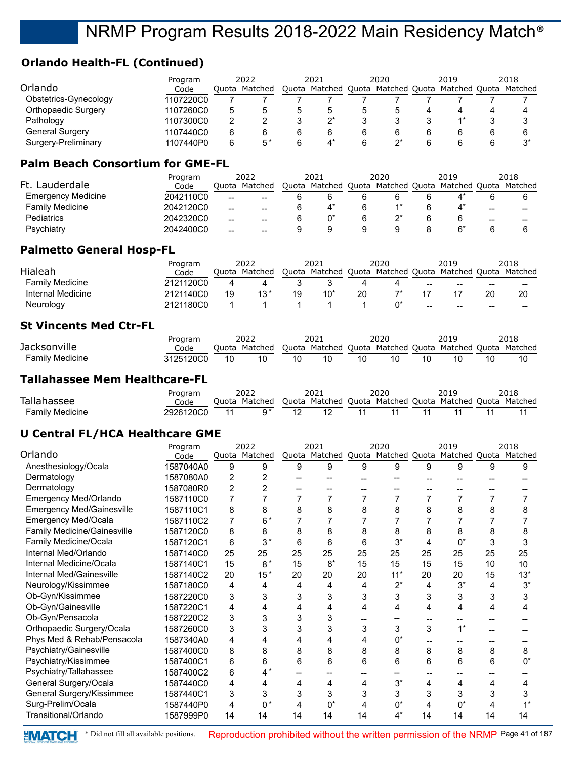## **Orlando Health-FL (Continued)**

| Program                |           | 2022 |               | 2021  |                             | 2020 |  | 2019          | 2018    |
|------------------------|-----------|------|---------------|-------|-----------------------------|------|--|---------------|---------|
| Orlando                | Code      |      | Ouota Matched | Ouota | Matched Quota Matched Quota |      |  | Matched Quota | Matched |
| Obstetrics-Gynecology  | 1107220C0 |      |               |       |                             |      |  |               |         |
| Orthopaedic Surgery    | 1107260C0 | 5    |               |       |                             |      |  |               |         |
| Pathology              | 1107300C0 |      |               |       |                             |      |  |               |         |
| <b>General Surgery</b> | 1107440C0 | 6    |               | h     |                             |      |  |               |         |
| Surgery-Preliminary    | 1107440P0 | 6    |               |       |                             |      |  |               | ∩*      |

### **Palm Beach Consortium for GME-FL**

|                           | Program   |                   | 2022    | 2021                              | 2020 | 2019                  |                 | 2018  |
|---------------------------|-----------|-------------------|---------|-----------------------------------|------|-----------------------|-----------------|-------|
| Ft. Lauderdale            | Code      | Ouota             | Matched | Quota Matched Quota Matched Quota |      | Matched Quota Matched |                 |       |
| <b>Emergency Medicine</b> | 2042110C0 | $- -$             | --      |                                   |      |                       |                 |       |
| <b>Family Medicine</b>    | 2042120C0 | $\hspace{0.05cm}$ | --      |                                   |      |                       | $\qquad \qquad$ | $- -$ |
| <b>Pediatrics</b>         | 2042320C0 | $- -$             | --      |                                   |      |                       | $- -$           | $- -$ |
| Psychiatry                | 2042400C0 | $\qquad \qquad$   | --      |                                   |      |                       |                 |       |

#### **Palmetto General Hosp-FL**

|                        | Program   |       | 2022    |       | 2021    |       | 2020          |    | 2019          |       | 2018    |
|------------------------|-----------|-------|---------|-------|---------|-------|---------------|----|---------------|-------|---------|
| Hialeah                | Code      | Ouota | Matched | Quota | Matched | Quota | Matched Quota |    | Matched Quota |       | Matched |
| <b>Family Medicine</b> | 2121120C0 |       |         |       |         |       |               | -- | $- -$         | $- -$ | $- -$   |
| Internal Medicine      | 2121140C0 | 19    | 13*     | 19    | $10^*$  | 20    | $\rightarrow$ |    |               | 20    | 20      |
| Neurology              | 2121180C0 |       |         |       |         |       |               | -- | --            | --    | $- -$   |

#### **St Vincents Med Ctr-FL**

|                        | Program   |       | 2022    |       | 2021    |    | 2020          |       | 2019      |       | 2018    |
|------------------------|-----------|-------|---------|-------|---------|----|---------------|-------|-----------|-------|---------|
| <b>Jacksonville</b>    | Code      | Ouota | Matched | Duota | Matched |    | Ouota Matched | Ouota | Matched ( | Ouota | Matched |
| <b>Family Medicine</b> | 3125120C0 |       |         |       | 10      | 10 |               |       |           |       |         |

#### **Tallahassee Mem Healthcare-FL**

|                 | Proaram   |       | 2022    | 2021 | 2020 | 2019                                                    | 2018 |
|-----------------|-----------|-------|---------|------|------|---------------------------------------------------------|------|
| Tallahassee     | Code      | Juota | Matched |      |      | Ouota Matched Ouota Matched Ouota Matched Ouota Matched |      |
| Family Medicine | 2926120C0 |       |         |      |      |                                                         |      |

#### **U Central FL/HCA Healthcare GME**

|                                    | Program   |                | 2022           |    | 2021                                                    |    | 2020  |    | 2019  |    | 2018  |
|------------------------------------|-----------|----------------|----------------|----|---------------------------------------------------------|----|-------|----|-------|----|-------|
| Orlando                            | Code      |                | Quota Matched  |    | Quota Matched Quota Matched Quota Matched Quota Matched |    |       |    |       |    |       |
| Anesthesiology/Ocala               | 1587040A0 | 9              | 9              | 9  | 9                                                       | 9  | 9     | 9  | 9     | 9  | 9     |
| Dermatology                        | 1587080A0 | 2              | 2              |    |                                                         |    |       |    |       |    |       |
| Dermatology                        | 1587080R0 | $\overline{2}$ | $\overline{2}$ |    |                                                         |    |       |    |       |    |       |
| Emergency Med/Orlando              | 1587110C0 | 7              |                |    |                                                         |    |       |    | 7     |    |       |
| <b>Emergency Med/Gainesville</b>   | 1587110C1 | 8              | 8              | 8  | 8                                                       | 8  | 8     | 8  | 8     | 8  | 8     |
| <b>Emergency Med/Ocala</b>         | 1587110C2 | 7              | $6*$           |    |                                                         |    |       |    |       |    |       |
| <b>Family Medicine/Gainesville</b> | 1587120C0 | 8              | 8              | 8  | 8                                                       | 8  | 8     | 8  | 8     | 8  | 8     |
| Family Medicine/Ocala              | 1587120C1 | 6              | $3*$           | 6  | 6                                                       | 6  | $3^*$ | 4  | $0^*$ | 3  | 3     |
| Internal Med/Orlando               | 1587140C0 | 25             | 25             | 25 | 25                                                      | 25 | 25    | 25 | 25    | 25 | 25    |
| Internal Medicine/Ocala            | 1587140C1 | 15             | $8*$           | 15 | $8*$                                                    | 15 | 15    | 15 | 15    | 10 | 10    |
| Internal Med/Gainesville           | 1587140C2 | 20             | $15*$          | 20 | 20                                                      | 20 | $11*$ | 20 | 20    | 15 | $13*$ |
| Neurology/Kissimmee                | 1587180C0 | 4              | 4              | 4  | 4                                                       | 4  | $2^*$ | 4  | $3^*$ | 4  | $3^*$ |
| Ob-Gyn/Kissimmee                   | 1587220C0 | 3              | 3              | 3  | 3                                                       | 3  | 3     | 3  | 3     | 3  | 3     |
| Ob-Gyn/Gainesville                 | 1587220C1 | 4              | 4              |    | 4                                                       |    |       | 4  | 4     |    |       |
| Ob-Gyn/Pensacola                   | 1587220C2 | 3              | 3              | 3  | 3                                                       |    |       |    |       |    |       |
| Orthopaedic Surgery/Ocala          | 1587260C0 | 3              | 3              | 3  | 3                                                       | 3  | 3     | 3  | $1^*$ |    |       |
| Phys Med & Rehab/Pensacola         | 1587340A0 | 4              | 4              |    | 4                                                       |    | 0*    |    |       |    |       |
| Psychiatry/Gainesville             | 1587400C0 | 8              | 8              | 8  | 8                                                       | 8  | 8     | 8  | 8     | 8  | 8     |
| Psychiatry/Kissimmee               | 1587400C1 | 6              | 6              | 6  | 6                                                       | 6  | 6     | 6  | 6     | 6  | $0^*$ |
| Psychiatry/Tallahassee             | 1587400C2 | 6              | $4^*$          |    |                                                         |    |       |    |       |    |       |
| General Surgery/Ocala              | 1587440C0 | 4              | 4              | 4  | 4                                                       | 4  | $3^*$ | 4  | 4     | 4  |       |
| General Surgery/Kissimmee          | 1587440C1 | 3              | 3              | 3  | 3                                                       | 3  | 3     | 3  | 3     | 3  | 3     |
| Surg-Prelim/Ocala                  | 1587440P0 | 4              | $0*$           | 4  | $0^*$                                                   | 4  | $0^*$ | 4  | $0^*$ | 4  |       |
| Transitional/Orlando               | 1587999P0 | 14             | 14             | 14 | 14                                                      | 14 | $4^*$ | 14 | 14    | 14 | 14    |

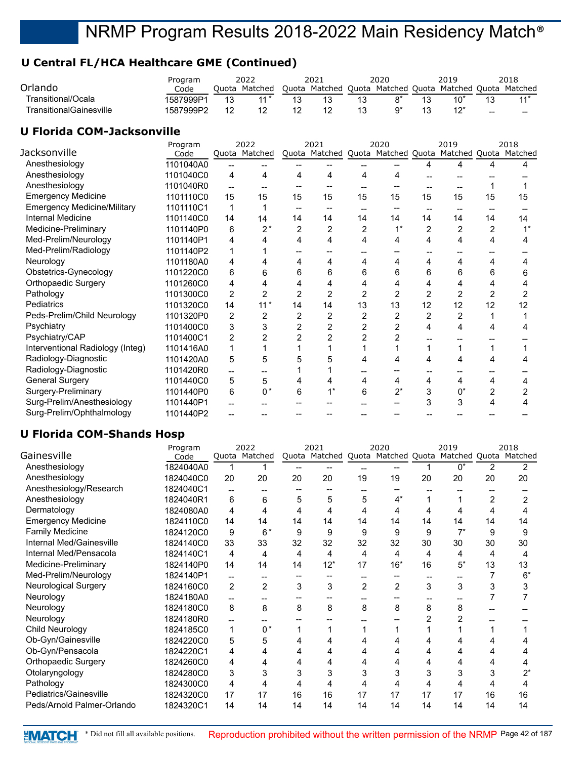## **U Central FL/HCA Healthcare GME (Continued)**

| Orlando                 | Program<br>Code | Duota | 2022<br>Matched | Ouota | 2021<br>Matched | Quota | 2020<br>Matched | Quota | 2019<br>Matched Quota |                        | 2018<br>Matched |
|-------------------------|-----------------|-------|-----------------|-------|-----------------|-------|-----------------|-------|-----------------------|------------------------|-----------------|
| Transitional/Ocala      | 1587999P1       |       | $44*$           |       |                 |       |                 |       |                       |                        |                 |
| TransitionalGainesville | 1587999P2       |       |                 |       | 17              |       |                 |       |                       | $\qquad \qquad \cdots$ | $- -$           |

## **U Florida COM-Jacksonville**

|                                    | Program   |    | 2022          |    | 2021           |    | 2020  |                | 2019                                                    |    | 2018 |
|------------------------------------|-----------|----|---------------|----|----------------|----|-------|----------------|---------------------------------------------------------|----|------|
| Jacksonville                       | Code      |    | Quota Matched |    |                |    |       |                | Quota Matched Quota Matched Quota Matched Quota Matched |    |      |
| Anesthesiology                     | 1101040A0 |    |               |    |                |    |       | 4              | 4                                                       | 4  | 4    |
| Anesthesiology                     | 1101040C0 | 4  | 4             | 4  | 4              |    | 4     |                |                                                         |    |      |
| Anesthesiology                     | 1101040R0 |    |               |    |                |    |       |                |                                                         |    |      |
| <b>Emergency Medicine</b>          | 1101110C0 | 15 | 15            | 15 | 15             | 15 | 15    | 15             | 15                                                      | 15 | 15   |
| <b>Emergency Medicine/Military</b> | 1101110C1 | 1  |               | -- | --             |    |       |                |                                                         |    |      |
| Internal Medicine                  | 1101140C0 | 14 | 14            | 14 | 14             | 14 | 14    | 14             | 14                                                      | 14 | 14   |
| Medicine-Preliminary               | 1101140P0 | 6  | $2^{\,*}$     | 2  | 2              | 2  | $1^*$ | $\overline{2}$ | 2                                                       | 2  |      |
| Med-Prelim/Neurology               | 1101140P1 | 4  |               | 4  | 4              | 4  | 4     | 4              |                                                         |    |      |
| Med-Prelim/Radiology               | 1101140P2 |    |               |    |                |    |       |                |                                                         |    |      |
| Neurology                          | 1101180A0 | 4  |               | 4  | 4              |    | 4     | 4              |                                                         |    |      |
| Obstetrics-Gynecology              | 1101220C0 | 6  | 6             | 6  | 6              | 6  | 6     | 6              | 6                                                       | 6  | 6    |
| <b>Orthopaedic Surgery</b>         | 1101260C0 | 4  |               |    | 4              |    |       | 4              |                                                         |    |      |
| Pathology                          | 1101300C0 | 2  | 2             | 2  | 2              | 2  | 2     | $\overline{2}$ | 2                                                       | 2  | 2    |
| Pediatrics                         | 1101320C0 | 14 | $11*$         | 14 | 14             | 13 | 13    | 12             | 12                                                      | 12 | 12   |
| Peds-Prelim/Child Neurology        | 1101320P0 | 2  | 2             | 2  | 2              | 2  | 2     | $\overline{2}$ | 2                                                       |    |      |
| Psychiatry                         | 1101400C0 | 3  | 3             | 2  | $\overline{2}$ |    | 2     | 4              | 4                                                       |    |      |
| Psychiatry/CAP                     | 1101400C1 | 2  |               |    | 2              |    |       |                |                                                         |    |      |
| Interventional Radiology (Integ)   | 1101416A0 | 1  |               |    |                |    |       |                |                                                         |    |      |
| Radiology-Diagnostic               | 1101420A0 | 5  | 5             |    |                |    |       |                |                                                         |    |      |
| Radiology-Diagnostic               | 1101420R0 |    |               |    |                |    |       |                |                                                         |    |      |
| <b>General Surgery</b>             | 1101440C0 | 5  | 5             |    |                |    | 4     | 4              | 4                                                       | 4  |      |
| Surgery-Preliminary                | 1101440P0 | 6  | 0 *           | 6  |                | 6  | $2^*$ | 3              | 0*                                                      | 2  |      |
| Surg-Prelim/Anesthesiology         | 1101440P1 |    |               |    |                |    |       | 3              | 3                                                       |    |      |
| Surg-Prelim/Ophthalmology          | 1101440P2 |    |               |    |                |    |       |                |                                                         |    |      |

## **U Florida COM-Shands Hosp**

|                             | Program   |                   | 2022           |    | 2021  |                | 2020  |    | 2019  |    | 2018                                                    |
|-----------------------------|-----------|-------------------|----------------|----|-------|----------------|-------|----|-------|----|---------------------------------------------------------|
| Gainesville                 | Code      |                   | Quota Matched  |    |       |                |       |    |       |    | Quota Matched Quota Matched Quota Matched Quota Matched |
| Anesthesiology              | 1824040A0 |                   |                |    | $- -$ |                |       |    | $0^*$ | 2  | 2                                                       |
| Anesthesiology              | 1824040C0 | 20                | 20             | 20 | 20    | 19             | 19    | 20 | 20    | 20 | 20                                                      |
| Anesthesiology/Research     | 1824040C1 | $-$               |                |    |       |                |       |    |       |    |                                                         |
| Anesthesiology              | 1824040R1 | 6                 | 6              | 5  | 5     | 5              | 4*    |    |       | 2  | 2                                                       |
| Dermatology                 | 1824080A0 | 4                 | 4              | 4  | 4     |                | 4     | 4  |       | 4  |                                                         |
| <b>Emergency Medicine</b>   | 1824110C0 | 14                | 14             | 14 | 14    | 14             | 14    | 14 | 14    | 14 | 14                                                      |
| <b>Family Medicine</b>      | 1824120C0 | 9                 | $6*$           | 9  | 9     | 9              | 9     | 9  | $7^*$ | 9  | 9                                                       |
| Internal Med/Gainesville    | 1824140C0 | 33                | 33             | 32 | 32    | 32             | 32    | 30 | 30    | 30 | 30                                                      |
| Internal Med/Pensacola      | 1824140C1 | 4                 | 4              | 4  | 4     | 4              | 4     | 4  | 4     | 4  | 4                                                       |
| Medicine-Preliminary        | 1824140P0 | 14                | 14             | 14 | $12*$ | 17             | $16*$ | 16 | $5^*$ | 13 | 13                                                      |
| Med-Prelim/Neurology        | 1824140P1 | $\qquad \qquad -$ |                |    |       | --             |       |    |       |    | $6*$                                                    |
| <b>Neurological Surgery</b> | 1824160C0 | $\overline{c}$    | $\overline{2}$ | 3  | 3     | $\overline{2}$ | 2     | 3  | 3     | 3  | 3                                                       |
| Neurology                   | 1824180A0 | $\qquad \qquad -$ |                |    |       |                |       |    |       |    |                                                         |
| Neurology                   | 1824180C0 | 8                 | 8              | 8  | 8     | 8              | 8     | 8  | 8     |    |                                                         |
| Neurology                   | 1824180R0 |                   |                |    |       |                |       |    |       |    |                                                         |
| <b>Child Neurology</b>      | 1824185C0 | $\mathbf{1}$      | $0*$           |    |       |                |       |    |       |    |                                                         |
| Ob-Gyn/Gainesville          | 1824220C0 | 5                 | 5              |    | 4     |                |       |    |       | 4  |                                                         |
| Ob-Gyn/Pensacola            | 1824220C1 | 4                 | 4              | 4  | 4     |                |       | 4  |       | 4  |                                                         |
| Orthopaedic Surgery         | 1824260C0 | 4                 |                |    | 4     |                |       | 4  |       | 4  |                                                         |
| Otolaryngology              | 1824280C0 | 3                 | 3              | 3  | 3     | 3              |       | 3  | 3     | 3  | $2^\star$                                               |
| Pathology                   | 1824300C0 | 4                 | 4              |    | 4     | 4              |       | 4  |       | 4  |                                                         |
| Pediatrics/Gainesville      | 1824320C0 | 17                | 17             | 16 | 16    | 17             | 17    | 17 | 17    | 16 | 16                                                      |
| Peds/Arnold Palmer-Orlando  | 1824320C1 | 14                | 14             | 14 | 14    | 14             | 14    | 14 | 14    | 14 | 14                                                      |

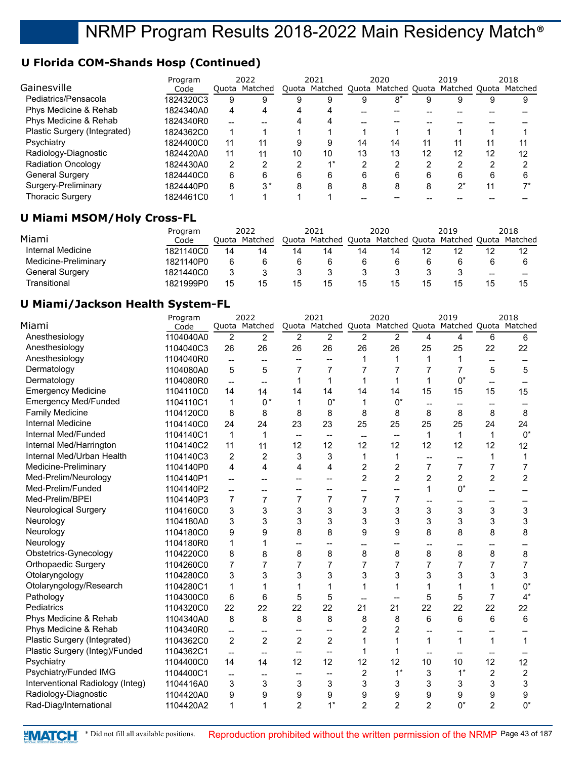## **U Florida COM-Shands Hosp (Continued)**

|                              | Program   |     | 2022          |       | 2021    |    | 2020                |    | 2019          |    | 2018    |
|------------------------------|-----------|-----|---------------|-------|---------|----|---------------------|----|---------------|----|---------|
| Gainesville                  | Code      |     | Ouota Matched | Ouota | Matched |    | Quota Matched Quota |    | Matched Quota |    | Matched |
| Pediatrics/Pensacola         | 1824320C3 | 9   |               | 9     | 9       | 9  | $8*$                |    | 9             | 9  | 9       |
| Phys Medicine & Rehab        | 1824340A0 | 4   | 4             | 4     | 4       |    |                     |    |               |    |         |
| Phys Medicine & Rehab        | 1824340R0 | $-$ |               |       | 4       |    |                     |    |               |    |         |
| Plastic Surgery (Integrated) | 1824362C0 | 1   |               |       |         |    |                     |    |               |    |         |
| Psychiatry                   | 1824400C0 | 11  | 11            | 9     | 9       | 14 | 14                  |    |               | 11 | 11      |
| Radiology-Diagnostic         | 1824420A0 | 11  | 11            | 10    | 10      | 13 | 13                  | 12 | 12            | 12 | 12      |
| <b>Radiation Oncology</b>    | 1824430A0 | 2   | ◠             | ົ     |         | ◠  | ົ                   | ◠  | ◠             | ⌒  | ⌒       |
| General Surgery              | 1824440C0 | 6   | 6             | 6     | 6       | 6  | 6                   | հ  | 6             | 6  |         |
| Surgery-Preliminary          | 1824440P0 | 8   | 3*            | 8     | 8       | 8  | 8                   | 8  | י^            | 11 |         |
| <b>Thoracic Surgery</b>      | 1824461C0 |     |               |       |         |    |                     |    |               |    |         |

## **U Miami MSOM/Holy Cross-FL**

|                      | Program   | 2022  |         | 2021 |                     | 2020 |               | 2019                  |    | 2018  |
|----------------------|-----------|-------|---------|------|---------------------|------|---------------|-----------------------|----|-------|
| Miami                | Code      | Ouota | Matched |      | Quota Matched Quota |      | Matched Quota | Matched Quota Matched |    |       |
| Internal Medicine    | 1821140C0 | 14    | 14      | 14   | 14                  | 14   | 14            |                       | 12 |       |
| Medicine-Preliminary | 1821140P0 |       |         |      |                     |      |               |                       |    |       |
| General Surgery      | 1821440C0 | າ     |         |      |                     |      |               |                       | -- | $- -$ |
| Transitional         | 1821999P0 | 15    |         | 15   | 15                  | 15   | 15            |                       | 15 |       |

## **U Miami/Jackson Health System-FL**

|                                  | Program   |                          | 2022                     |                                     | 2021                                  |                          | 2020                                |                | 2019                                                    |                        | 2018           |
|----------------------------------|-----------|--------------------------|--------------------------|-------------------------------------|---------------------------------------|--------------------------|-------------------------------------|----------------|---------------------------------------------------------|------------------------|----------------|
| Miami                            | Code      |                          | Quota Matched            |                                     |                                       |                          |                                     |                | Quota Matched Quota Matched Quota Matched Quota Matched |                        |                |
| Anesthesiology                   | 1104040A0 | $\overline{c}$           | $\overline{2}$           | $\overline{2}$                      | 2                                     | $\overline{2}$           | $\overline{2}$                      | 4              | 4                                                       | 6                      | 6              |
| Anesthesiology                   | 1104040C3 | 26                       | 26                       | 26                                  | 26                                    | 26                       | 26                                  | 25             | 25                                                      | 22                     | 22             |
| Anesthesiology                   | 1104040R0 | $\overline{\phantom{a}}$ | --                       | --                                  | $\overline{\phantom{a}}$              | 1                        | 1                                   | 1              | 1                                                       | $\qquad \qquad \cdots$ |                |
| Dermatology                      | 1104080A0 | 5                        | 5                        | 7                                   | 7                                     | 7                        | 7                                   | 7              | 7                                                       | 5                      | 5              |
| Dermatology                      | 1104080R0 | $\overline{a}$           | $-$                      | 1                                   | 1                                     | 1                        | 1                                   | 1              | $0^*$                                                   | $\overline{a}$         |                |
| <b>Emergency Medicine</b>        | 1104110C0 | 14                       | 14                       | 14                                  | 14                                    | 14                       | 14                                  | 15             | 15                                                      | 15                     | 15             |
| <b>Emergency Med/Funded</b>      | 1104110C1 | 1                        | $0*$                     | $\mathbf{1}$                        | $0^*$                                 | 1                        | $0^*$                               | --             |                                                         |                        |                |
| <b>Family Medicine</b>           | 1104120C0 | 8                        | 8                        | 8                                   | 8                                     | 8                        | 8                                   | 8              | 8                                                       | 8                      | 8              |
| <b>Internal Medicine</b>         | 1104140C0 | 24                       | 24                       | 23                                  | 23                                    | 25                       | 25                                  | 25             | 25                                                      | 24                     | 24             |
| Internal Med/Funded              | 1104140C1 | 1                        | 1                        | $\hspace{0.05cm}$ $\hspace{0.05cm}$ | $\overline{\phantom{m}}$              | $\overline{\phantom{a}}$ | $\hspace{0.05cm}$ $\hspace{0.05cm}$ | 1              | 1                                                       | 1                      | $0^*$          |
| Internal Med/Harrington          | 1104140C2 | 11                       | 11                       | 12                                  | 12                                    | 12                       | 12                                  | 12             | 12                                                      | 12                     | 12             |
| Internal Med/Urban Health        | 1104140C3 | 2                        | $\overline{2}$           | 3                                   | 3                                     | 1                        | 1                                   | --             | $-$                                                     | 1                      |                |
| Medicine-Preliminary             | 1104140P0 | 4                        | 4                        | 4                                   | 4                                     | $\overline{\mathbf{c}}$  | $\overline{c}$                      | $\overline{7}$ | 7                                                       | $\overline{7}$         | 7              |
| Med-Prelim/Neurology             | 1104140P1 | $\overline{a}$           | --                       | $-$                                 | $-$                                   | $\overline{2}$           | $\overline{2}$                      | $\overline{c}$ | $\overline{2}$                                          | $\overline{2}$         | $\overline{2}$ |
| Med-Prelim/Funded                | 1104140P2 | $\overline{a}$           | --                       | --                                  | $-$                                   | --                       | $\overline{\phantom{0}}$            | 1              | $0^*$                                                   | --                     |                |
| Med-Prelim/BPEI                  | 1104140P3 | 7                        | 7                        | 7                                   | $\overline{7}$                        | 7                        | 7                                   |                |                                                         | --                     |                |
| Neurological Surgery             | 1104160C0 | 3                        | 3                        | 3                                   | 3                                     | 3                        | 3                                   | 3              | 3                                                       | 3                      | 3              |
| Neurology                        | 1104180A0 | 3                        | 3                        | 3                                   | 3                                     | 3                        | 3                                   | 3              | 3                                                       | 3                      | 3              |
| Neurology                        | 1104180C0 | 9                        | 9                        | 8                                   | 8                                     | 9                        | 9                                   | 8              | 8                                                       | 8                      | 8              |
| Neurology                        | 1104180R0 | $\mathbf{1}$             | 1                        | --                                  |                                       | --                       |                                     |                | --                                                      | --                     |                |
| Obstetrics-Gynecology            | 1104220C0 | 8                        | 8                        | 8                                   | 8                                     | 8                        | 8                                   | 8              | 8                                                       | 8                      | 8              |
| Orthopaedic Surgery              | 1104260C0 | 7                        | 7                        | 7                                   | 7                                     | 7                        | 7                                   | 7              | 7                                                       | 7                      | 7              |
| Otolaryngology                   | 1104280C0 | 3                        | 3                        | 3                                   | 3                                     | 3                        | 3                                   | 3              | 3                                                       | 3                      | 3              |
| Otolaryngology/Research          | 1104280C1 | $\mathbf{1}$             | 1                        | $\mathbf{1}$                        | 1                                     | $\mathbf{1}$             | 1                                   | $\mathbf{1}$   | 1                                                       | 1                      | $0^*$          |
| Pathology                        | 1104300C0 | 6                        | 6                        | 5                                   | 5                                     | $\overline{a}$           | --                                  | 5              | 5                                                       | $\overline{7}$         | $4^*$          |
| Pediatrics                       | 1104320C0 | 22                       | 22                       | 22                                  | 22                                    | 21                       | 21                                  | 22             | 22                                                      | 22                     | 22             |
| Phys Medicine & Rehab            | 1104340A0 | 8                        | 8                        | 8                                   | 8                                     | 8                        | 8                                   | 6              | 6                                                       | 6                      | 6              |
| Phys Medicine & Rehab            | 1104340R0 | $\overline{\phantom{a}}$ | --                       | --                                  | $\overline{a}$                        | 2                        | 2                                   | --             |                                                         | --                     |                |
| Plastic Surgery (Integrated)     | 1104362C0 | $\overline{2}$           | $\overline{2}$           | $\overline{2}$                      | $\overline{2}$                        | 1                        | 1                                   | $\mathbf{1}$   | 1                                                       | $\mathbf 1$            | 1              |
| Plastic Surgery (Integ)/Funded   | 1104362C1 | $\overline{a}$           | $\overline{\phantom{0}}$ | $\overline{\phantom{a}}$            | $\overline{a}$                        | 1                        | 1                                   | $-$            |                                                         | --                     |                |
| Psychiatry                       | 1104400C0 | 14                       | 14                       | 12                                  | 12                                    | 12                       | 12                                  | 10             | 10                                                      | 12                     | 12             |
| Psychiatry/Funded IMG            | 1104400C1 | $\overline{\phantom{a}}$ | --                       | --                                  | $\hspace{0.05cm}$ – $\hspace{0.05cm}$ | $\overline{2}$           | $1^*$                               | 3              | $1^*$                                                   | $\overline{2}$         | $\overline{2}$ |
| Interventional Radiology (Integ) | 1104416A0 | 3                        | 3                        | 3                                   | 3                                     | 3                        | 3                                   | 3              | 3                                                       | 3                      | 3              |
| Radiology-Diagnostic             | 1104420A0 | 9                        | 9                        | 9                                   | 9                                     | 9                        | 9                                   | 9              | 9                                                       | 9                      | 9              |
| Rad-Diag/International           | 1104420A2 | 1                        | 1                        | $\overline{2}$                      | $1^*$                                 | $\overline{2}$           | $\overline{2}$                      | $\overline{2}$ | $0^*$                                                   | $\overline{2}$         | $0^*$          |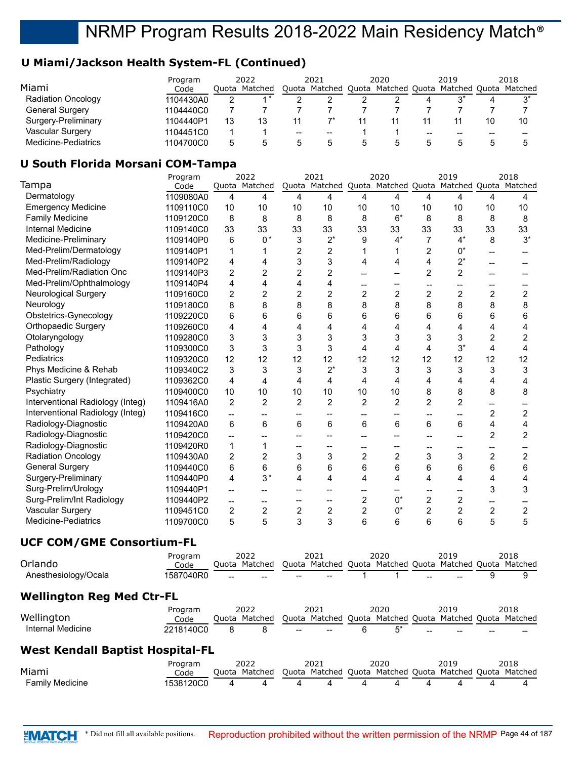## **U Miami/Jackson Health System-FL (Continued)**

|                           | Program   | 2022 |               | 2021  |                                   | 2020 |    | 2019                  |    | 2018 |
|---------------------------|-----------|------|---------------|-------|-----------------------------------|------|----|-----------------------|----|------|
| Miami                     | Code      |      | Ouota Matched |       | Quota Matched Quota Matched Quota |      |    | Matched Quota Matched |    |      |
| <b>Radiation Oncology</b> | 1104430A0 |      |               |       |                                   |      |    |                       |    |      |
| General Surgery           | 1104440C0 |      |               |       |                                   |      |    |                       |    |      |
| Surgery-Preliminary       | 1104440P1 | 13   | 13            |       |                                   |      |    |                       | 10 | 10   |
| Vascular Surgery          | 1104451C0 |      |               | $- -$ | $- -$                             |      | -- | --                    | -- |      |
| Medicine-Pediatrics       | 1104700C0 | :5   |               |       |                                   |      |    |                       |    |      |

## **U South Florida Morsani COM-Tampa**

|                                  | Program   |                | 2022           |                  | 2021  |                | 2020           |                | 2019                                                    |                | 2018           |
|----------------------------------|-----------|----------------|----------------|------------------|-------|----------------|----------------|----------------|---------------------------------------------------------|----------------|----------------|
| Tampa                            | Code      |                | Quota Matched  |                  |       |                |                |                | Quota Matched Quota Matched Quota Matched Quota Matched |                |                |
| Dermatology                      | 1109080A0 | 4              | 4              | 4                | 4     | 4              | 4              | 4              | 4                                                       | 4              |                |
| <b>Emergency Medicine</b>        | 1109110C0 | 10             | 10             | 10               | 10    | 10             | 10             | 10             | 10                                                      | 10             | 10             |
| <b>Family Medicine</b>           | 1109120C0 | 8              | 8              | 8                | 8     | 8              | $6*$           | 8              | 8                                                       | 8              | 8              |
| <b>Internal Medicine</b>         | 1109140C0 | 33             | 33             | 33               | 33    | 33             | 33             | 33             | 33                                                      | 33             | 33             |
| Medicine-Preliminary             | 1109140P0 | 6              | $0*$           | 3                | $2^*$ | 9              | $4^*$          | 7              | $4^*$                                                   | 8              | $3^*$          |
| Med-Prelim/Dermatology           | 1109140P1 | 1              | 1              | $\overline{2}$   | 2     | 1              |                | $\overline{c}$ | $0^*$                                                   | --             |                |
| Med-Prelim/Radiology             | 1109140P2 | 4              | 4              | 3                | 3     | 4              | 4              | 4              | $2^*$                                                   |                |                |
| Med-Prelim/Radiation Onc         | 1109140P3 | 2              | $\overline{2}$ | $\overline{2}$   | 2     |                |                | $\overline{2}$ | $\overline{2}$                                          |                |                |
| Med-Prelim/Ophthalmology         | 1109140P4 | 4              | 4              | 4                | 4     |                |                |                |                                                         |                |                |
| <b>Neurological Surgery</b>      | 1109160C0 | 2              | $\overline{2}$ | $\overline{2}$   | 2     | $\overline{c}$ | $\overline{c}$ | $\overline{c}$ | $\overline{2}$                                          | $\overline{c}$ | $\overline{c}$ |
| Neurology                        | 1109180C0 | 8              | 8              | 8                | 8     | 8              | 8              | 8              | 8                                                       | 8              | 8              |
| Obstetrics-Gynecology            | 1109220C0 | 6              | 6              | 6                | 6     | 6              | 6              | 6              | 6                                                       | 6              | 6              |
| Orthopaedic Surgery              | 1109260C0 | 4              | 4              | 4                | 4     | 4              | 4              | 4              | 4                                                       | 4              | 4              |
| Otolaryngology                   | 1109280C0 | 3              | 3              | 3                | 3     | 3              | 3              | 3              | 3                                                       | $\overline{c}$ | 2              |
| Pathology                        | 1109300C0 | 3              | 3              | 3                | 3     | 4              | 4              | 4              | $3^*$                                                   | 4              | 4              |
| Pediatrics                       | 1109320C0 | 12             | 12             | 12               | 12    | 12             | 12             | 12             | 12                                                      | 12             | 12             |
| Phys Medicine & Rehab            | 1109340C2 | 3              | 3              | 3                | $2^*$ | 3              | 3              | 3              | 3                                                       | 3              | 3              |
| Plastic Surgery (Integrated)     | 1109362C0 | 4              | 4              | 4                | 4     | 4              | 4              | 4              | 4                                                       | 4              | 4              |
| Psychiatry                       | 1109400C0 | 10             | 10             | 10               | 10    | 10             | 10             | 8              | 8                                                       | 8              | 8              |
| Interventional Radiology (Integ) | 1109416A0 | $\overline{2}$ | $\overline{2}$ | $\overline{2}$   | 2     | $\overline{2}$ | $\overline{2}$ | $\overline{2}$ | $\overline{2}$                                          |                |                |
| Interventional Radiology (Integ) | 1109416C0 | $\overline{a}$ | --             |                  |       | $-$            |                |                |                                                         | $\overline{c}$ | $\overline{c}$ |
| Radiology-Diagnostic             | 1109420A0 | 6              | 6              | 6                | 6     | 6              | 6              | 6              | 6                                                       | 4              | 4              |
| Radiology-Diagnostic             | 1109420C0 | --             | --             |                  |       |                |                |                |                                                         | 2              | 2              |
| Radiology-Diagnostic             | 1109420R0 | 1              | 1              | --               | --    |                |                |                |                                                         |                |                |
| <b>Radiation Oncology</b>        | 1109430A0 | 2              | $\overline{2}$ | 3                | 3     | 2              | $\overline{2}$ | 3              | 3                                                       | $\overline{c}$ | $\overline{c}$ |
| <b>General Surgery</b>           | 1109440C0 | 6              | 6              | 6                | 6     | 6              | 6              | 6              | 6                                                       | 6              | 6              |
| Surgery-Preliminary              | 1109440P0 | 4              | $3*$           | 4                | 4     | 4              | 4              | 4              | 4                                                       | 4              | 4              |
| Surg-Prelim/Urology              | 1109440P1 | $\overline{a}$ |                |                  |       |                |                |                |                                                         | 3              | 3              |
| Surg-Prelim/Int Radiology        | 1109440P2 | $- -$          | --             | --               | $-$   | $\overline{c}$ | $0^*$          | $\overline{c}$ | $\overline{c}$                                          | --             |                |
| Vascular Surgery                 | 1109451C0 | 2              | $\overline{2}$ | $\boldsymbol{2}$ | 2     | $\overline{c}$ | $0^*$          | $\overline{c}$ | $\overline{c}$                                          | $\overline{c}$ | 2              |
| Medicine-Pediatrics              | 1109700C0 | 5              | 5              | 3                | 3     | 6              | 6              | 6              | 6                                                       | 5              | 5              |

## **UCF COM/GME Consortium-FL**

| Orlando<br>Anesthesiology/Ocala         | Program<br>Code<br>1587040R0 |    | 2022<br>Ouota Matched      |   | 2021<br>Quota Matched Quota Matched Quota Matched Quota Matched |   | 2020          | 2019 | 9 | 2018<br>9 |
|-----------------------------------------|------------------------------|----|----------------------------|---|-----------------------------------------------------------------|---|---------------|------|---|-----------|
| <b>Wellington Reg Med Ctr-FL</b>        |                              | -- |                            |   |                                                                 |   |               |      |   |           |
| Wellington<br>Internal Medicine         | Program<br>Code<br>2218140C0 | 8  | 2022<br>Ouota Matched<br>8 |   | 2021<br>Quota Matched Quota Matched Quota Matched Quota Matched | 6 | 2020<br>$5^*$ | 2019 |   | 2018      |
| <b>West Kendall Baptist Hospital-FL</b> |                              |    |                            |   |                                                                 |   |               |      |   |           |
| Miami<br><b>Family Medicine</b>         | Program<br>Code<br>1538120C0 | 4  | 2022<br>Ouota Matched      | 4 | 2021<br>Quota Matched Quota Matched Quota Matched Quota Matched | 4 | 2020          | 2019 | 4 | 2018<br>4 |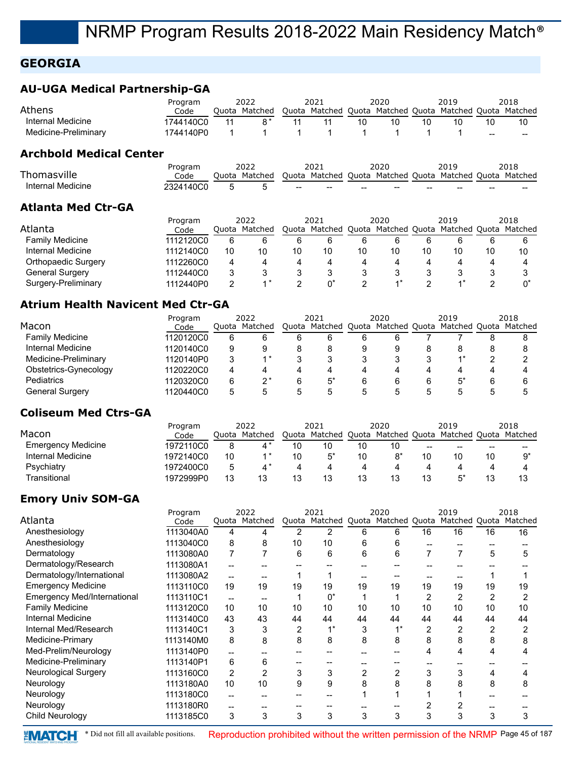## **GEORGIA**

#### **AU-UGA Medical Partnership-GA**

|                      | Program   | 2022          |    | 2021                                                    |                  | 2020 |  | 2019 |     | 2018 |
|----------------------|-----------|---------------|----|---------------------------------------------------------|------------------|------|--|------|-----|------|
| Athens               | Code      | Quota Matched |    | Quota Matched Quota Matched Quota Matched Quota Matched |                  |      |  |      |     |      |
| Internal Medicine    | 1744140C0 | R*            | 11 |                                                         | 10               | 10   |  | 10   | 10  |      |
| Medicine-Preliminary | 1744140P0 |               |    | $\sim$ 1                                                | $\blacksquare$ 1 |      |  |      | $-$ | $-$  |
|                      |           |               |    |                                                         |                  |      |  |      |     |      |

### **Archbold Medical Center**

|                   | Program   |       | ררחר    |                                                | 2021    |                          | 2020              |       | 2019          |       | 2018    |
|-------------------|-----------|-------|---------|------------------------------------------------|---------|--------------------------|-------------------|-------|---------------|-------|---------|
| Thomasville       | Code      | Juota | Matched | Ouota                                          | Matched | Ouota                    | Matched           | Ouota | Matched Ouota |       | Matched |
| Internal Medicine | 2324140C0 |       |         | $\hspace{0.1mm}-\hspace{0.1mm}-\hspace{0.1mm}$ | $\sim$  | $\overline{\phantom{m}}$ | $\hspace{0.04in}$ | --    | $- -$         | $- -$ | $- -$   |

#### **Atlanta Med Ctr-GA**

|                            | Program   | 2022  |         | 2021  |                             | 2020 |    | 2019          |    | 2018    |
|----------------------------|-----------|-------|---------|-------|-----------------------------|------|----|---------------|----|---------|
| Atlanta                    | Code      | Ouota | Matched | Ouota | Matched Quota Matched Quota |      |    | Matched Quota |    | Matched |
| <b>Family Medicine</b>     | 1112120C0 | 6     |         | 6     |                             |      |    |               |    |         |
| Internal Medicine          | 1112140C0 | 10    | 10      | 10    | 10                          | 10   | 10 |               | 10 | 10      |
| <b>Orthopaedic Surgery</b> | 1112260C0 | 4     |         | 4     |                             | 4    |    | Д.            |    |         |
| <b>General Surgery</b>     | 1112440C0 |       |         |       |                             |      |    |               |    |         |
| Surgery-Preliminary        | 1112440P0 | C     |         |       |                             |      |    |               |    |         |

#### **Atrium Health Navicent Med Ctr-GA**

|                        | Program   |   | 2022          |   | 2021 |   | 2020 | 2019                                                    |   | 2018 |
|------------------------|-----------|---|---------------|---|------|---|------|---------------------------------------------------------|---|------|
| Macon                  | Code      |   | Ouota Matched |   |      |   |      | Quota Matched Quota Matched Quota Matched Quota Matched |   |      |
| <b>Family Medicine</b> | 1120120C0 | 6 |               | 6 | 6    | 6 | 6    |                                                         |   |      |
| Internal Medicine      | 1120140C0 | 9 | g             |   |      | 9 | 9    |                                                         | 8 |      |
| Medicine-Preliminary   | 1120140P0 | 3 | $\star$       |   |      |   |      |                                                         |   |      |
| Obstetrics-Gynecology  | 1120220C0 | 4 |               | 4 | 4    | 4 | 4    | 4                                                       | 4 |      |
| Pediatrics             | 1120320C0 | 6 |               | 6 | 5*   | 6 | b    | $5*$                                                    | 6 |      |
| General Surgery        | 1120440C0 | 5 |               |   |      |   |      |                                                         |   |      |

#### **Coliseum Med Ctrs-GA**

|                           | Program   |    | 2022          |    | 2021                |    | 2020          |    | 2019                  |    | 2018 |
|---------------------------|-----------|----|---------------|----|---------------------|----|---------------|----|-----------------------|----|------|
| Macon                     | Code      |    | Ouota Matched |    | Quota Matched Quota |    | Matched Quota |    | Matched Quota Matched |    |      |
| <b>Emergency Medicine</b> | 1972110C0 |    |               | 10 | 10                  | 10 | 10            | -- | --                    | -- | --   |
| Internal Medicine         | 1972140C0 | 10 |               | 10 |                     | 10 |               |    | 10                    | 10 | a*   |
| Psychiatry                | 1972400C0 | 5  |               | 4  |                     |    |               |    |                       | 4  |      |
| Transitional              | 1972999P0 | 13 |               | 13 | 13                  | 13 |               |    |                       | 13 | 13   |

## **Emory Univ SOM-GA**

|                                    | Program   |       | 2022          |    | 2021                                                    |    | 2020 |    | 2019           |                | 2018 |
|------------------------------------|-----------|-------|---------------|----|---------------------------------------------------------|----|------|----|----------------|----------------|------|
| Atlanta                            | Code      |       | Quota Matched |    | Quota Matched Quota Matched Quota Matched Quota Matched |    |      |    |                |                |      |
| Anesthesiology                     | 1113040A0 | 4     |               | 2  | 2                                                       | 6  | 6    | 16 | 16             | 16             | 16   |
| Anesthesiology                     | 1113040C0 | 8     | 8             | 10 | 10                                                      | 6  | 6    |    |                |                |      |
| Dermatology                        | 1113080A0 |       |               | 6  | 6                                                       | 6  | 6    |    |                | 5              | 5    |
| Dermatology/Research               | 1113080A1 |       |               |    |                                                         |    |      |    |                |                |      |
| Dermatology/International          | 1113080A2 |       |               |    |                                                         |    |      |    |                |                |      |
| <b>Emergency Medicine</b>          | 1113110C0 | 19    | 19            | 19 | 19                                                      | 19 | 19   | 19 | 19             | 19             | 19   |
| <b>Emergency Med/International</b> | 1113110C1 | $- -$ |               |    | $0^*$                                                   |    |      | 2  | $\overline{2}$ | $\overline{2}$ | 2    |
| <b>Family Medicine</b>             | 1113120C0 | 10    | 10            | 10 | 10                                                      | 10 | 10   | 10 | 10             | 10             | 10   |
| Internal Medicine                  | 1113140C0 | 43    | 43            | 44 | 44                                                      | 44 | 44   | 44 | 44             | 44             | 44   |
| Internal Med/Research              | 1113140C1 | 3     | 3             |    | $4*$                                                    |    |      | 2  |                |                |      |
| Medicine-Primary                   | 1113140M0 | 8     | 8             | 8  | 8                                                       | 8  | 8    | 8  | 8              | 8              | 8    |
| Med-Prelim/Neurology               | 1113140P0 | --    |               |    |                                                         |    |      | 4  | 4              | 4              |      |
| Medicine-Preliminary               | 1113140P1 | 6     | 6             |    |                                                         |    |      |    |                |                |      |
| <b>Neurological Surgery</b>        | 1113160C0 | 2     |               |    | 3                                                       |    | 2    | 3  | 3              |                |      |
| Neurology                          | 1113180A0 | 10    | 10            | 9  | 9                                                       | 8  | 8    | 8  | 8              | 8              | 8    |
| Neurology                          | 1113180C0 |       |               |    |                                                         |    |      |    |                |                |      |
| Neurology                          | 1113180R0 |       |               |    |                                                         |    |      |    |                |                |      |
| Child Neurology                    | 1113185C0 | 3     | 3             | 3  | 3                                                       |    | 3    | 3  |                | 3              | 3    |

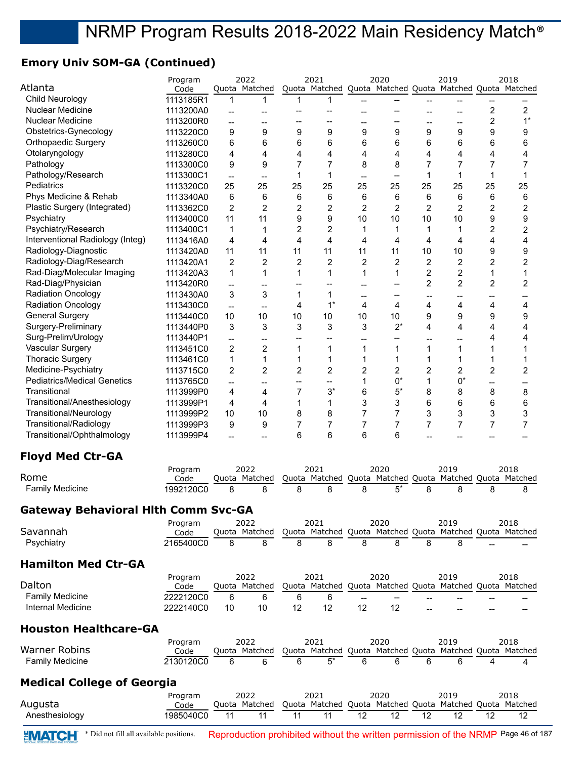## **Emory Univ SOM-GA (Continued)**

|                                             | Program                |                          | 2022                     |                          | 2021                                                    |                          | 2020                                  |                | 2019           |                          | 2018             |
|---------------------------------------------|------------------------|--------------------------|--------------------------|--------------------------|---------------------------------------------------------|--------------------------|---------------------------------------|----------------|----------------|--------------------------|------------------|
| Atlanta                                     | Code                   |                          | Quota Matched            |                          | Quota Matched Quota Matched Quota Matched Quota Matched |                          |                                       |                |                |                          |                  |
| Child Neurology                             | 1113185R1              | 1                        | 1                        | 1                        | 1                                                       |                          | --                                    |                |                |                          |                  |
| Nuclear Medicine                            | 1113200A0              | $\overline{\phantom{a}}$ |                          |                          |                                                         |                          |                                       |                | --             | $\overline{c}$           | $\overline{c}$   |
| Nuclear Medicine                            | 1113200R0              | $\overline{\phantom{a}}$ | $\overline{\phantom{a}}$ |                          |                                                         | --                       |                                       | --             | --             | $\overline{c}$           | $1^*$            |
| Obstetrics-Gynecology                       | 1113220C0              | 9                        | 9                        | 9                        | 9                                                       | 9                        | 9                                     | 9              | 9              | 9                        | 9                |
| Orthopaedic Surgery                         | 1113260C0              | 6                        | 6                        | 6                        | 6                                                       | 6                        | 6                                     | 6              | 6              | 6                        | 6                |
| Otolaryngology                              | 1113280C0              | 4                        | 4                        | 4                        | 4                                                       | 4                        | 4                                     | 4              | 4              | 4                        | 4                |
| Pathology                                   | 1113300C0              | 9                        | 9                        | 7                        | $\overline{7}$                                          | 8                        | 8                                     | $\overline{7}$ | 7              | $\overline{7}$           | 7                |
| Pathology/Research                          | 1113300C1              | $\overline{\phantom{a}}$ | $\overline{\phantom{a}}$ | 1                        | 1                                                       | $\overline{\phantom{a}}$ | $\hspace{0.05cm}$ – $\hspace{0.05cm}$ | 1              | 1              | $\mathbf{1}$             | 1                |
| Pediatrics                                  | 1113320C0              | 25                       | 25                       | 25                       | 25                                                      | 25                       | 25                                    | 25             | 25             | 25                       | 25               |
| Phys Medicine & Rehab                       | 1113340A0              | 6                        | 6                        | 6                        | 6                                                       | 6                        | 6                                     | 6              | 6              | 6                        | 6                |
| Plastic Surgery (Integrated)                | 1113362C0              | $\overline{c}$           | $\overline{c}$           | $\overline{\mathbf{c}}$  | $\boldsymbol{2}$                                        | $\overline{c}$           | $\overline{c}$                        | $\overline{c}$ | $\overline{2}$ | $\boldsymbol{2}$         | $\boldsymbol{2}$ |
| Psychiatry                                  | 1113400C0              | 11                       | 11                       | 9                        | $\boldsymbol{9}$                                        | 10                       | 10                                    | 10             | 10             | 9                        | 9                |
| Psychiatry/Research                         | 1113400C1              | $\mathbf 1$              | 1                        | 2                        | $\overline{c}$                                          | 1                        | 1                                     | 1              | 1              | $\overline{c}$           | $\overline{c}$   |
| Interventional Radiology (Integ)            | 1113416A0              | 4                        | 4                        | 4                        | 4                                                       | 4                        | 4                                     | $\overline{4}$ | 4              | $\overline{4}$           | 4                |
| Radiology-Diagnostic                        | 1113420A0              | 11                       | 11                       | 11                       | 11                                                      | 11                       | 11                                    | 10             | 10             | 9                        | 9                |
| Radiology-Diag/Research                     | 1113420A1              | 2                        | 2                        | $\overline{c}$           | $\overline{c}$                                          | $\overline{c}$           | $\overline{c}$                        | 2              | $\overline{c}$ | $\overline{c}$           | $\overline{c}$   |
| Rad-Diag/Molecular Imaging                  | 1113420A3              | 1                        | 1                        | 1                        | $\mathbf{1}$                                            | $\mathbf{1}$             | 1                                     | $\overline{c}$ | $\overline{c}$ | 1                        | 1                |
| Rad-Diag/Physician                          | 1113420R0              | --                       | $\overline{\phantom{a}}$ | --                       | --                                                      | --                       | --                                    | $\overline{2}$ | $\overline{2}$ | $\overline{c}$           | $\overline{c}$   |
| <b>Radiation Oncology</b>                   | 1113430A0              | 3                        | 3                        | 1                        | 1                                                       | --                       | --                                    | --             | --             | --                       | --               |
| <b>Radiation Oncology</b>                   | 1113430C0              | $\overline{\phantom{a}}$ | $\overline{\phantom{a}}$ | 4                        | $1^*$                                                   | 4                        | 4                                     | 4              | 4              | 4                        | 4                |
| <b>General Surgery</b>                      | 1113440C0              | 10                       | 10                       | 10                       | $10$                                                    | 10                       | 10                                    | 9              | 9              | 9                        | 9                |
| Surgery-Preliminary                         | 1113440P0              | 3                        | 3                        | 3                        | 3                                                       | 3                        | $2^*$                                 | 4              | 4              | 4                        | 4                |
| Surg-Prelim/Urology                         | 1113440P1              | --                       | $\overline{\phantom{a}}$ | $\overline{\phantom{a}}$ | $\overline{\phantom{a}}$                                | --                       | --                                    | --             | --             | 4                        | 4                |
| Vascular Surgery                            | 1113451C0              | 2                        | 2                        | 1                        | 1                                                       | 1                        | $\mathbf{1}$                          | 1              | 1              | 1                        | 1                |
| <b>Thoracic Surgery</b>                     | 1113461C0              | 1                        | 1                        | 1                        | 1                                                       | 1                        | 1                                     | 1              | 1              | 1                        | 1                |
| Medicine-Psychiatry                         | 1113715C0              | $\overline{c}$           | $\overline{c}$           | 2                        | $\overline{c}$                                          | $\overline{c}$           | 2                                     | $\overline{c}$ | $\overline{c}$ | $\overline{c}$           | $\overline{c}$   |
| <b>Pediatrics/Medical Genetics</b>          | 1113765C0              | $-$                      | $\overline{\phantom{a}}$ | $-\!$                    | $\qquad \qquad \textbf{---}$                            | $\mathbf{1}$             | $0^*$                                 | 1              | $0^*$          | $\overline{\phantom{a}}$ | --               |
| Transitional                                | 1113999P0              | 4                        | 4                        | $\overline{7}$           | $3^*$                                                   | 6                        | $5^*$                                 | 8              | 8              | 8                        | 8                |
| Transitional/Anesthesiology                 | 1113999P1              | 4                        | 4                        | 1                        | $\mathbf{1}$                                            | 3                        | 3                                     | 6              | 6              | 6                        | 6                |
| Transitional/Neurology                      | 1113999P2              | 10                       | 10                       | 8                        | 8                                                       | $\overline{7}$           | $\overline{7}$                        | 3              | 3              | 3                        | 3                |
| Transitional/Radiology                      | 1113999P3              | 9                        | 9                        | 7                        | $\overline{7}$                                          | $\overline{7}$           | $\overline{7}$                        | $\overline{7}$ | 7              | $\overline{7}$           | 7                |
| Transitional/Ophthalmology                  | 1113999P4              | $-$                      | $\overline{\phantom{a}}$ | 6                        | 6                                                       | 6                        | 6                                     | --             |                |                          |                  |
| <b>Floyd Med Ctr-GA</b>                     |                        |                          |                          |                          |                                                         |                          |                                       |                |                |                          |                  |
|                                             | Program                |                          | 2022                     |                          | 2021                                                    |                          | 2020                                  |                | 2019           |                          | 2018             |
| Rome                                        | Code                   |                          | Quota Matched            |                          | Quota Matched Quota Matched Quota Matched Quota Matched |                          |                                       |                |                |                          |                  |
| <b>Family Medicine</b>                      | 1992120C0              | 8                        | 8                        | 8                        | 8                                                       | 8                        | $5^*$                                 | 8              | 8              | 8                        | 8                |
| <b>Gateway Behavioral Hith Comm Svc-GA</b>  |                        |                          |                          |                          |                                                         |                          |                                       |                |                |                          |                  |
|                                             | Program                |                          | 2022                     |                          | 2021                                                    |                          | 2020                                  |                | 2019           |                          | 2018             |
| Savannah                                    | Code                   |                          | Quota Matched            |                          | Quota Matched Quota Matched Quota Matched Quota Matched |                          |                                       |                |                |                          |                  |
| Psychiatry                                  | 2165400C0              | 8                        | 8                        | 8                        | 8                                                       | 8                        | 8                                     | 8              | 8              |                          |                  |
| <b>Hamilton Med Ctr-GA</b>                  |                        |                          |                          |                          |                                                         |                          |                                       |                |                |                          |                  |
| Dalton                                      | Program                |                          | 2022                     |                          | 2021                                                    |                          | 2020                                  |                | 2019           |                          | 2018             |
|                                             | Code                   |                          | Quota Matched            |                          | Quota Matched Quota Matched Quota Matched Quota Matched |                          |                                       |                |                |                          |                  |
| <b>Family Medicine</b><br>Internal Medicine | 2222120C0<br>2222140C0 | 6<br>10                  | 6<br>10                  | 6<br>12                  | 6<br>12                                                 | 12                       | 12                                    |                |                |                          |                  |
|                                             |                        |                          |                          |                          |                                                         |                          |                                       |                |                |                          |                  |
| <b>Houston Healthcare-GA</b>                | Program                |                          | 2022                     |                          | 2021                                                    |                          | 2020                                  |                | 2019           |                          | 2018             |
| Warner Robins                               | Code                   |                          | Quota Matched            |                          | Quota Matched Quota Matched Quota Matched Quota Matched |                          |                                       |                |                |                          |                  |
| <b>Family Medicine</b>                      | 2130120C0              | 6                        | 6                        | 6                        | 5*                                                      | 6                        | 6                                     | 6              | 6              | 4                        | 4                |
| <b>Medical College of Georgia</b>           |                        |                          |                          |                          |                                                         |                          |                                       |                |                |                          |                  |
|                                             | Program                |                          | 2022                     |                          | 2021                                                    |                          | 2020                                  |                | 2019           |                          | 2018             |
| Augusta                                     | Code                   |                          | Quota Matched            |                          | Quota Matched Quota Matched Quota Matched Quota Matched |                          |                                       |                |                |                          |                  |
| Anesthesiology                              | 1985040C0              | 11                       | 11                       | 11                       | 11                                                      | 12                       | 12                                    | 12             | 12             | 12                       | 12               |

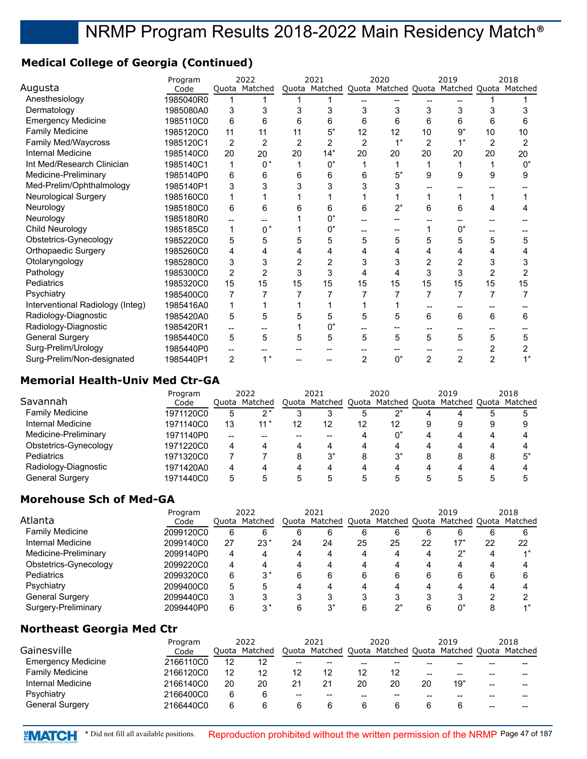## **Medical College of Georgia (Continued)**

|                                  | Program   |                | 2022           |    | 2021                                                    |                | 2020  |                | 2019           |    | 2018  |
|----------------------------------|-----------|----------------|----------------|----|---------------------------------------------------------|----------------|-------|----------------|----------------|----|-------|
| Augusta                          | Code      |                | Quota Matched  |    | Quota Matched Quota Matched Quota Matched Quota Matched |                |       |                |                |    |       |
| Anesthesiology                   | 1985040R0 |                |                |    |                                                         |                |       |                |                |    |       |
| Dermatology                      | 1985080A0 | 3              |                |    |                                                         |                | 3     | 3              |                |    |       |
| <b>Emergency Medicine</b>        | 1985110C0 | 6              | 6              | 6  | 6                                                       | 6              | 6     | 6              | 6              | 6  | 6     |
| <b>Family Medicine</b>           | 1985120C0 | 11             | 11             | 11 | $5^*$                                                   | 12             | 12    | 10             | $9^*$          | 10 | 10    |
| <b>Family Med/Waycross</b>       | 1985120C1 | 2              | $\overline{2}$ | 2  | 2                                                       | $\overline{2}$ | $1^*$ | $\overline{2}$ |                | 2  | 2     |
| Internal Medicine                | 1985140C0 | 20             | 20             | 20 | $14*$                                                   | 20             | 20    | 20             | 20             | 20 | 20    |
| Int Med/Research Clinician       | 1985140C1 | 1              | $0^*$          |    | $0^*$                                                   |                |       |                |                |    | $0^*$ |
| Medicine-Preliminary             | 1985140P0 | 6              | 6              |    | 6                                                       | 6              | 5*    | 9              | 9              | 9  | 9     |
| Med-Prelim/Ophthalmology         | 1985140P1 | 3              | 3              |    | 3                                                       |                | 3     |                |                |    |       |
| Neurological Surgery             | 1985160C0 |                |                |    |                                                         |                |       |                |                |    |       |
| Neurology                        | 1985180C0 | 6              | 6              |    | 6                                                       | 6              | $2^*$ | 6              | 6              |    |       |
| Neurology                        | 1985180R0 |                |                |    | n*                                                      |                |       |                |                |    |       |
| Child Neurology                  | 1985185C0 | 1              | $0^*$          |    | $0^*$                                                   |                |       |                | O              |    |       |
| Obstetrics-Gynecology            | 1985220C0 | 5              | 5              | 5  | 5                                                       | 5              | 5     | 5              | 5              | 5  | 5     |
| <b>Orthopaedic Surgery</b>       | 1985260C0 | 4              |                |    |                                                         |                |       | 4              |                |    |       |
| Otolaryngology                   | 1985280C0 | 3              | 3              |    | 2                                                       |                | 3     | 2              |                |    |       |
| Pathology                        | 1985300C0 | $\overline{2}$ | $\overline{2}$ | 3  | 3                                                       | 4              | 4     | 3              | 3              | 2  | 2     |
| <b>Pediatrics</b>                | 1985320C0 | 15             | 15             | 15 | 15                                                      | 15             | 15    | 15             | 15             | 15 | 15    |
| Psychiatry                       | 1985400C0 | 7              |                |    |                                                         |                |       | 7              | 7              |    |       |
| Interventional Radiology (Integ) | 1985416A0 | 1              |                |    |                                                         |                |       |                |                |    |       |
| Radiology-Diagnostic             | 1985420A0 | 5              | 5              |    | 5                                                       | 5              | 5     | 6              | 6              | 6  | 6     |
| Radiology-Diagnostic             | 1985420R1 |                |                |    | $0^*$                                                   |                |       |                |                |    |       |
| <b>General Surgery</b>           | 1985440C0 | 5              | 5              | 5  | 5                                                       | 5              | 5     | 5              | 5              | 5  | 5     |
| Surg-Prelim/Urology              | 1985440P0 |                |                |    |                                                         |                |       |                |                |    |       |
| Surg-Prelim/Non-designated       | 1985440P1 | 2              | $1*$           |    |                                                         | 2              | $0^*$ | $\overline{2}$ | $\overline{2}$ | 2  |       |

### **Memorial Health-Univ Med Ctr-GA**

|                        | Program   |    | 2022          |    | 2021                                                    |    | 2020  | 2019 |   | 2018 |
|------------------------|-----------|----|---------------|----|---------------------------------------------------------|----|-------|------|---|------|
| Savannah               | Code      |    | Ouota Matched |    | Quota Matched Quota Matched Quota Matched Quota Matched |    |       |      |   |      |
| <b>Family Medicine</b> | 1971120C0 | 5  | י ∩           |    |                                                         | 5  | י^    |      |   |      |
| Internal Medicine      | 1971140C0 | 13 | $11*$         | 12 | 12                                                      | 12 | 12    | 9    | 9 |      |
| Medicine-Preliminary   | 1971140P0 |    |               |    |                                                         |    |       |      | 4 |      |
| Obstetrics-Gynecology  | 1971220C0 | 4  |               | 4  | 4                                                       | 4  | 4     |      | 4 |      |
| Pediatrics             | 1971320C0 |    |               | 8  | $3^*$                                                   | 8  | $3^*$ |      | 8 |      |
| Radiology-Diagnostic   | 1971420A0 | 4  |               | Δ  |                                                         | Δ  |       |      |   |      |
| <b>General Surgery</b> | 1971440C0 | 5  |               |    |                                                         | 5. |       |      |   |      |

## **Morehouse Sch of Med-GA**

|                        | Program   |    | 2022          |    | 2021                              |    | 2020 |    | 2019                  |    | 2018             |
|------------------------|-----------|----|---------------|----|-----------------------------------|----|------|----|-----------------------|----|------------------|
| Atlanta                | Code      |    | Ouota Matched |    | Quota Matched Quota Matched Quota |    |      |    | Matched Quota Matched |    |                  |
| <b>Family Medicine</b> | 2099120C0 | 6  |               | 6  | b                                 | 6  | 6    | 6  | 6                     | 6  |                  |
| Internal Medicine      | 2099140C0 | 27 | $23*$         | 24 | 24                                | 25 | 25   | 22 | $17*$                 | 22 | 22               |
| Medicine-Preliminary   | 2099140P0 | 4  |               | 4  |                                   | Δ  | 4    |    | י ∩*                  |    | $\overline{A}$ * |
| Obstetrics-Gynecology  | 2099220C0 | 4  |               |    |                                   |    | Д    |    |                       |    |                  |
| Pediatrics             | 2099320C0 | 6  | $3^*$         | 6  | 6                                 | 6  | 6    |    | 6                     | 6  |                  |
| Psychiatry             | 2099400C0 | 5  |               |    |                                   |    |      |    |                       |    |                  |
| <b>General Surgery</b> | 2099440C0 | 3  |               |    |                                   |    |      |    |                       |    |                  |
| Surgery-Preliminary    | 2099440P0 | 6  | • ດ           |    | ົດ*                               | 6  | י∩∗  |    | n*                    |    |                  |

## **Northeast Georgia Med Ctr**

|                           | Program   | 2022 |               | 2021 |                                                         | 2020  |       | 2019 |     |       | 2018  |
|---------------------------|-----------|------|---------------|------|---------------------------------------------------------|-------|-------|------|-----|-------|-------|
| Gainesville               | Code      |      | Ouota Matched |      | Quota Matched Quota Matched Quota Matched Quota Matched |       |       |      |     |       |       |
| <b>Emergency Medicine</b> | 2166110C0 | 12   | 12            | --   | $- -$                                                   | $- -$ | $- -$ |      |     |       |       |
| <b>Family Medicine</b>    | 2166120C0 | 12   | 12            | 12   | 12                                                      |       | 12    |      | --  |       |       |
| Internal Medicine         | 2166140C0 | 20   | 20            |      | 21                                                      | 20    | 20    | 20   | 19* | --    | --    |
| Psychiatry                | 2166400C0 | 6    |               | --   | $- -$                                                   | $- -$ | $- -$ |      | --  |       |       |
| <b>General Surgery</b>    | 2166440C0 | 6    |               |      |                                                         |       |       |      |     | $- -$ | $- -$ |

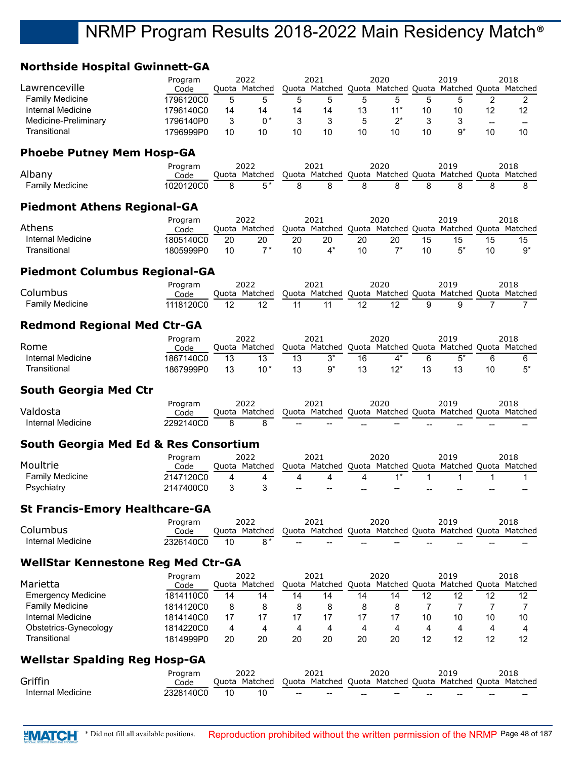#### **Northside Hospital Gwinnett-GA**

| Northside Hospital Gwinnett-GA        |                   |          |                       |          |                |    |       |    |                                                                  |                          |                          |
|---------------------------------------|-------------------|----------|-----------------------|----------|----------------|----|-------|----|------------------------------------------------------------------|--------------------------|--------------------------|
|                                       | Program           |          | 2022                  |          | 2021           |    | 2020  |    | 2019                                                             |                          | 2018                     |
| Lawrenceville                         | Code              |          | Quota Matched         |          |                |    |       |    | Quota Matched Quota Matched Quota Matched Quota Matched          |                          |                          |
| <b>Family Medicine</b>                | 1796120C0         | 5        | 5                     | 5        | 5              | 5  | 5     | 5  | 5                                                                | 2                        | $\overline{2}$           |
| Internal Medicine                     | 1796140C0         | 14       | 14                    | 14       | 14             | 13 | $11*$ | 10 | 10                                                               | 12                       | 12                       |
| Medicine-Preliminary                  | 1796140P0         | 3        | $0*$                  | 3        | 3              | 5  | $2^*$ | 3  | 3                                                                | $\overline{\phantom{a}}$ | $\overline{\phantom{a}}$ |
| Transitional                          | 1796999P0         | 10       | 10                    | 10       | 10             | 10 | 10    | 10 | $9*$                                                             | 10                       | 10                       |
| <b>Phoebe Putney Mem Hosp-GA</b>      |                   |          |                       |          |                |    |       |    |                                                                  |                          |                          |
|                                       | Program           |          | 2022                  |          | 2021           |    | 2020  |    | 2019                                                             |                          | 2018                     |
| Albany                                | Code              |          | Quota Matched         |          |                |    |       |    | Quota Matched Quota Matched Quota Matched Quota Matched          |                          |                          |
| <b>Family Medicine</b>                | 1020120C0         | 8        | $\overline{5}$        | 8        | $\overline{8}$ | 8  | 8     | 8  | 8                                                                | 8                        | 8                        |
| <b>Piedmont Athens Regional-GA</b>    |                   |          |                       |          |                |    |       |    |                                                                  |                          |                          |
|                                       | Program           |          | 2022                  |          | 2021           |    | 2020  |    | 2019                                                             |                          | 2018                     |
| Athens                                | Code              |          | Quota Matched         |          |                |    |       |    | Quota Matched Quota Matched Quota Matched Quota Matched          |                          |                          |
| Internal Medicine                     | 1805140C0         | 20       | 20                    | 20       | 20             | 20 | 20    | 15 | 15                                                               | 15                       | 15                       |
| Transitional                          | 1805999P0         | 10       | $7*$                  | 10       | $4^*$          | 10 | $7^*$ | 10 | $5^*$                                                            | 10                       | $9^*$                    |
| <b>Piedmont Columbus Regional-GA</b>  |                   |          |                       |          |                |    |       |    |                                                                  |                          |                          |
| Columbus                              | Program           |          | 2022                  |          | 2021           |    | 2020  |    | 2019                                                             |                          | 2018                     |
|                                       | Code              |          | Quota Matched         |          |                |    |       |    | Quota Matched Quota Matched Quota Matched Quota Matched          |                          |                          |
| <b>Family Medicine</b>                | 1118120C0         | 12       | $\overline{12}$       | 11       | 11             | 12 | 12    | 9  | 9                                                                | 7                        | 7                        |
| <b>Redmond Regional Med Ctr-GA</b>    |                   |          |                       |          |                |    |       |    |                                                                  |                          |                          |
| Rome                                  | Program           |          | 2022                  |          | 2021           |    | 2020  |    | 2019                                                             |                          | 2018                     |
| Internal Medicine                     | Code<br>1867140C0 |          | Quota Matched         |          | $3^*$          | 16 | $4^*$ | 6  | Quota Matched Quota Matched Quota Matched Quota Matched<br>$5^*$ | 6                        |                          |
| Transitional                          | 1867999P0         | 13<br>13 | 13<br>$10*$           | 13<br>13 | $9*$           | 13 | $12*$ | 13 | 13                                                               | 10                       | 6<br>$5^*$               |
|                                       |                   |          |                       |          |                |    |       |    |                                                                  |                          |                          |
| <b>South Georgia Med Ctr</b>          |                   |          |                       |          |                |    |       |    |                                                                  |                          |                          |
| Valdosta                              | Program           |          | 2022<br>Quota Matched |          | 2021           |    | 2020  |    | 2019<br>Quota Matched Quota Matched Quota Matched Quota Matched  |                          | 2018                     |
| Internal Medicine                     | Code              |          | 8                     |          |                |    |       |    |                                                                  |                          |                          |
|                                       | 2292140C0         | 8        |                       |          |                |    |       |    |                                                                  |                          |                          |
| South Georgia Med Ed & Res Consortium |                   |          |                       |          |                |    |       |    |                                                                  |                          |                          |
| Moultrie                              | Program           |          | 2022                  |          | 2021           |    | 2020  |    | 2019                                                             |                          | 2018                     |
|                                       | Code              |          | Quota Matched         |          |                |    |       |    | Quota Matched Quota Matched Quota Matched Quota Matched          |                          |                          |
| <b>Family Medicine</b>                | 2147120C0         | 4        | 4                     | 4        | 4              | 4  | $1^*$ | 1  |                                                                  | 1                        | 1                        |
| Psychiatry                            | 2147400C0         | 3        | 3                     |          |                |    |       |    |                                                                  |                          |                          |
| <b>St Francis-Emory Healthcare-GA</b> |                   |          |                       |          |                |    |       |    |                                                                  |                          |                          |
|                                       | Program           |          | 2022                  |          | 2021           |    | 2020  |    | 2019                                                             |                          | 2018                     |
| Columbus                              | Code              |          | Quota Matched         |          |                |    |       |    | Quota Matched Quota Matched Quota Matched Quota Matched          |                          |                          |
| Internal Medicine                     | 2326140C0         | 10       | $8*$                  |          |                |    |       |    |                                                                  |                          |                          |
|                                       |                   |          |                       |          |                |    |       |    |                                                                  |                          |                          |

#### **WellStar Kennestone Reg Med Ctr-GA**

|                                      | Program   |       | 2022          |    | 2021                                                    |    | 2020 |    | 2019                  |    | 2018 |
|--------------------------------------|-----------|-------|---------------|----|---------------------------------------------------------|----|------|----|-----------------------|----|------|
| Marietta                             | Code      | Ouota | Matched       |    | Quota Matched Quota Matched Quota                       |    |      |    | Matched Quota Matched |    |      |
| <b>Emergency Medicine</b>            | 1814110C0 | 14    | 14            | 14 | 14                                                      | 14 | 14   | 12 | 12                    | 12 | 12   |
| <b>Family Medicine</b>               | 1814120C0 | 8     | 8             | 8  | 8                                                       | 8  | 8    |    |                       |    |      |
| Internal Medicine                    | 1814140C0 | 17    | 17            | 17 | 17                                                      | 17 | 17   | 10 | 10                    | 10 | 10   |
| Obstetrics-Gynecology                | 1814220C0 | 4     | 4             | 4  | 4                                                       | 4  | 4    | 4  | 4                     | 4  | 4    |
| Transitional                         | 1814999P0 | 20    | 20            | 20 | 20                                                      | 20 | 20   | 12 | 12                    | 12 | 12   |
| <b>Wellstar Spalding Reg Hosp-GA</b> |           |       |               |    |                                                         |    |      |    |                       |    |      |
|                                      | Program   |       | 2022          |    | 2021                                                    |    | 2020 |    | 2019                  |    | 2018 |
| Griffin                              | Code      |       | Quota Matched |    | Quota Matched Quota Matched Quota Matched Quota Matched |    |      |    |                       |    |      |
| Internal Medicine                    | 2328140C0 | 10    | 10            |    |                                                         |    |      |    |                       |    |      |

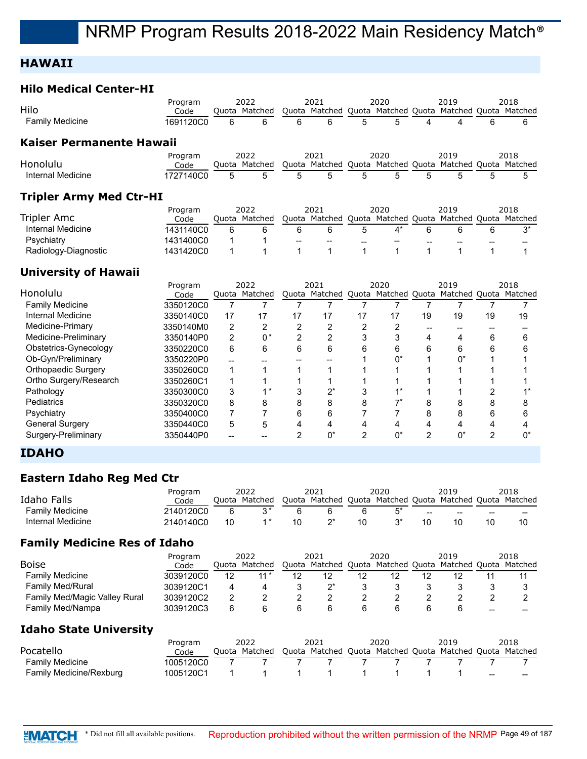## **HAWAII**

#### **Hilo Medical Center-HI**

| Hilo<br><b>Family Medicine</b> | Program<br>Code |   | 2022<br>Ouota Matched |    | 2021 |    | 2020 |   | 2019<br>Quota Matched Quota Matched Quota Matched Quota Matched |   | 2018  |
|--------------------------------|-----------------|---|-----------------------|----|------|----|------|---|-----------------------------------------------------------------|---|-------|
|                                | 1691120C0       | 6 | 6                     | 6  | 6    | 5. | 5    |   |                                                                 | 6 | 6     |
| Kaiser Permanente Hawaii       |                 |   |                       |    |      |    |      |   |                                                                 |   |       |
| Honolulu                       | Program<br>Code |   | 2022<br>Ouota Matched |    | 2021 |    | 2020 |   | 2019<br>Quota Matched Quota Matched Quota Matched Quota Matched |   | 2018  |
| Internal Medicine              | 1727140C0       | 5 | 5                     | 5  | 5    | 5  | 5    | 5 | 5                                                               | 5 | 5     |
| <b>Tripler Army Med Ctr-HI</b> |                 |   |                       |    |      |    |      |   |                                                                 |   |       |
|                                | Program         |   | 2022                  |    | 2021 |    | 2020 |   | 2019                                                            |   | 2018  |
| Tripler Amc                    | Code            |   | Ouota Matched         |    |      |    |      |   | Quota Matched Quota Matched Quota Matched Quota Matched         |   |       |
| Internal Medicine              | 1431140C0       | 6 | 6                     | 6  | 6    | 5  | 4*   | 6 | 6                                                               | 6 | $3^*$ |
| Psychiatry                     | 1431400C0       | 1 |                       | -- |      |    |      |   |                                                                 |   |       |

Radiology-Diagnostic 1431420C0 1 1 11 1 111 1 1

## **University of Hawaii**

|                            | Program   |    | 2022          |    | 2021    |    | 2020           |    | 2019                                                    |    | 2018 |
|----------------------------|-----------|----|---------------|----|---------|----|----------------|----|---------------------------------------------------------|----|------|
| Honolulu                   | Code      |    | Ouota Matched |    |         |    |                |    | Quota Matched Quota Matched Quota Matched Quota Matched |    |      |
| <b>Family Medicine</b>     | 3350120C0 |    |               |    |         |    |                |    |                                                         |    |      |
| Internal Medicine          | 3350140C0 | 17 | 17            | 17 | 17      | 17 | 17             | 19 | 19                                                      | 19 | 19   |
| Medicine-Primary           | 3350140M0 | 2  | າ             | 2  | 2       | 2  | 2              |    |                                                         |    |      |
| Medicine-Preliminary       | 3350140P0 | 2  | $0^*$         | 2  | 2       | 3  | 3              | 4  | 4                                                       | 6  | 6    |
| Obstetrics-Gynecology      | 3350220C0 | 6  | 6             | 6  | 6       | 6  | 6              | 6  | 6                                                       | 6  |      |
| Ob-Gyn/Preliminary         | 3350220P0 | -- |               |    |         |    | 0*             |    | 0*                                                      |    |      |
| <b>Orthopaedic Surgery</b> | 3350260C0 | 1  |               |    |         |    |                |    |                                                         |    |      |
| Ortho Surgery/Research     | 3350260C1 |    |               |    |         |    |                |    |                                                         |    |      |
| Pathology                  | 3350300C0 | 3  |               |    | $2^{*}$ |    |                |    |                                                         |    |      |
| Pediatrics                 | 3350320C0 | 8  | 8             | 8  | 8       | 8  |                | 8  | 8                                                       | 8  |      |
| Psychiatry                 | 3350400C0 | 7  |               | 6  | 6       |    |                | 8  | 8                                                       | 6  | n    |
| <b>General Surgery</b>     | 3350440C0 | 5  | 5             | 4  | 4       |    |                | 4  |                                                         |    |      |
| Surgery-Preliminary        | 3350440P0 |    |               | ⌒  | $0^*$   | 2  | U <sub>*</sub> | າ  | $0^*$                                                   | 2  |      |

### **IDAHO**

#### **Eastern Idaho Reg Med Ctr**

|                   | Program   |       | 2022    |       | 2021                                              | 2020 |       | 2019  |                 | 2018  |
|-------------------|-----------|-------|---------|-------|---------------------------------------------------|------|-------|-------|-----------------|-------|
| Idaho Falls       | Code      | Ouota | Matched | Ouota | Matched Quota Matched Quota Matched Quota Matched |      |       |       |                 |       |
| Family Medicine   | ?140120C0 |       | ົາ *    |       |                                                   |      | $- -$ | $- -$ | $\qquad \qquad$ | $- -$ |
| Internal Medicine | 2140140C0 |       |         |       |                                                   |      |       |       |                 |       |

## **Family Medicine Res of Idaho**

|                               | Program   |       | 2022    |    | 2021          | 2020                | 2019                  |                 | 2018  |
|-------------------------------|-----------|-------|---------|----|---------------|---------------------|-----------------------|-----------------|-------|
| <b>Boise</b>                  | Code      | Ouota | Matched |    | Quota Matched | Quota Matched Quota | Matched Quota Matched |                 |       |
| <b>Family Medicine</b>        | 3039120C0 | 12    |         | 12 | 12            |                     |                       |                 |       |
| <b>Family Med/Rural</b>       | 3039120C1 |       |         |    |               |                     |                       |                 |       |
| Family Med/Magic Valley Rural | 3039120C2 |       |         |    |               |                     |                       |                 |       |
| Family Med/Nampa              | 3039120C3 | 6     |         |    |               |                     |                       | $\qquad \qquad$ | $- -$ |

#### **Idaho State University**

**EMATCH** 

|                                | Program   | 2022          | 2021                                                    | 2020 | 2019 |     | 2018  |
|--------------------------------|-----------|---------------|---------------------------------------------------------|------|------|-----|-------|
| Pocatello                      | Code      | Ouota Matched | Quota Matched Quota Matched Quota Matched Quota Matched |      |      |     |       |
| Family Medicine                | 1005120C0 |               |                                                         |      |      |     |       |
| <b>Family Medicine/Rexburg</b> | 1005120C1 |               |                                                         |      |      | $-$ | $- -$ |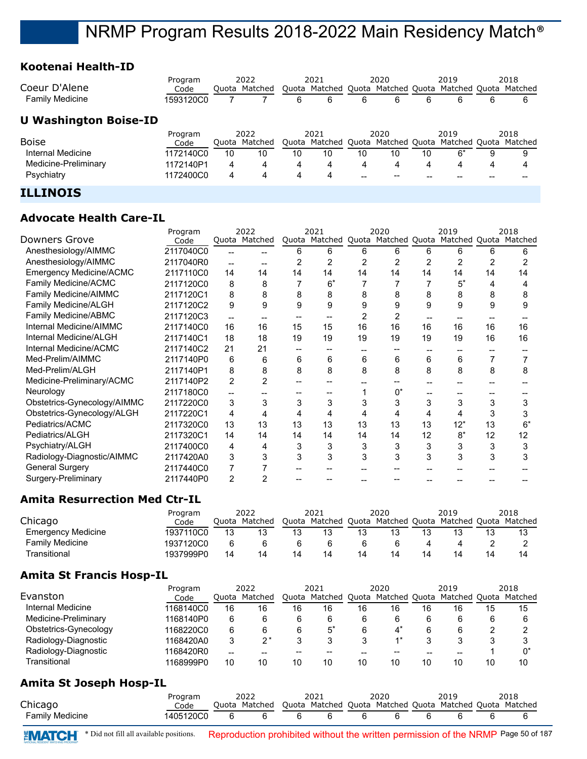### **Kootenai Health-ID**

| Coeur D'Alene<br><b>Family Medicine</b> | Program<br>Code<br>1593120C0 |    | 2022<br>Quota Matched | 6  | 2021<br>Quota Matched Quota Matched Quota Matched Quota Matched<br>6 | 6  | 2020<br>6 | 6  | 2019<br>6 | 6 | 2018<br>6             |
|-----------------------------------------|------------------------------|----|-----------------------|----|----------------------------------------------------------------------|----|-----------|----|-----------|---|-----------------------|
| <b>U Washington Boise-ID</b>            |                              |    |                       |    |                                                                      |    |           |    |           |   |                       |
|                                         | Program                      |    | 2022                  |    | 2021                                                                 |    | 2020      |    | 2019      |   | 2018                  |
| <b>Boise</b>                            | Code                         |    | Quota Matched         |    | Quota Matched Quota Matched Quota                                    |    |           |    |           |   | Matched Quota Matched |
| Internal Medicine                       | 1172140C0                    | 10 | 10                    | 10 | 10                                                                   | 10 | 10        | 10 | 6*        | 9 | 9                     |
| Medicine-Preliminary                    | 1172140P1                    | 4  | 4                     | 4  | 4                                                                    | 4  | 4         | 4  | 4         | 4 | 4                     |
| Psychiatry                              | 1172400C0                    | 4  | 4                     | 4  | 4                                                                    | -- | --        |    |           |   |                       |
| <b>ILLINOIS</b>                         |                              |    |                       |    |                                                                      |    |           |    |           |   |                       |

## **Advocate Health Care-IL**

|                                | Program   |                | 2022           |    | 2021                                                    |    | 2020 |    | 2019  |    | 2018 |
|--------------------------------|-----------|----------------|----------------|----|---------------------------------------------------------|----|------|----|-------|----|------|
| <b>Downers Grove</b>           | Code      |                | Quota Matched  |    | Quota Matched Quota Matched Quota Matched Quota Matched |    |      |    |       |    |      |
| Anesthesiology/AIMMC           | 2117040C0 |                |                | 6  | 6                                                       | 6  | 6    | 6  | 6     | 6  | 6    |
| Anesthesiology/AIMMC           | 2117040R0 |                | $-$            |    | 2                                                       |    |      | 2  |       |    |      |
| <b>Emergency Medicine/ACMC</b> | 2117110C0 | 14             | 14             | 14 | 14                                                      | 14 | 14   | 14 | 14    | 14 | 14   |
| Family Medicine/ACMC           | 2117120C0 | 8              | 8              |    | $6*$                                                    |    |      |    | 5*    | 4  |      |
| Family Medicine/AIMMC          | 2117120C1 | 8              | 8              | 8  | 8                                                       | 8  | 8    | 8  | 8     | 8  | 8    |
| Family Medicine/ALGH           | 2117120C2 | 9              | 9              | 9  | 9                                                       | 9  | 9    | 9  | 9     | 9  | 9    |
| Family Medicine/ABMC           | 2117120C3 |                |                |    |                                                         |    |      |    |       |    |      |
| Internal Medicine/AIMMC        | 2117140C0 | 16             | 16             | 15 | 15                                                      | 16 | 16   | 16 | 16    | 16 | 16   |
| Internal Medicine/ALGH         | 2117140C1 | 18             | 18             | 19 | 19                                                      | 19 | 19   | 19 | 19    | 16 | 16   |
| Internal Medicine/ACMC         | 2117140C2 | 21             | 21             |    |                                                         |    |      |    |       |    |      |
| Med-Prelim/AIMMC               | 2117140P0 | 6              | 6              | 6  | 6                                                       | 6  | 6    | 6  | 6     |    |      |
| Med-Prelim/ALGH                | 2117140P1 | 8              | 8              | 8  | 8                                                       | 8  | 8    | 8  | 8     | 8  | 8    |
| Medicine-Preliminary/ACMC      | 2117140P2 | $\overline{2}$ | $\overline{2}$ |    |                                                         |    |      |    |       |    |      |
| Neurology                      | 2117180C0 | --             |                |    |                                                         |    | n*   |    |       |    |      |
| Obstetrics-Gynecology/AIMMC    | 2117220C0 | 3              | 3              | 3  | 3                                                       |    | 3    | 3  | 3     | 3  | 3    |
| Obstetrics-Gynecology/ALGH     | 2117220C1 | 4              | 4              | 4  | 4                                                       |    | 4    | 4  |       | 3  | 3    |
| Pediatrics/ACMC                | 2117320C0 | 13             | 13             | 13 | 13                                                      | 13 | 13   | 13 | $12*$ | 13 | $6*$ |
| Pediatrics/ALGH                | 2117320C1 | 14             | 14             | 14 | 14                                                      | 14 | 14   | 12 | $8*$  | 12 | 12   |
| Psychiatry/ALGH                | 2117400C0 | 4              | 4              | 3  | 3                                                       | 3  | 3    | 3  | 3     | 3  | 3    |
| Radiology-Diagnostic/AIMMC     | 2117420A0 | 3              | 3              | 3  | 3                                                       | 3  | 3    | 3  | 3     | 3  | 3    |
| <b>General Surgery</b>         | 2117440C0 | 7              |                |    |                                                         |    |      |    |       |    |      |
| Surgery-Preliminary            | 2117440P0 | 2              | 2              |    |                                                         |    |      |    |       |    |      |

## **Amita Resurrection Med Ctr-IL**

| Program                |           | 2022  |         | 2021 |                     | 2020 |               |    | 2019                  |    | 2018 |
|------------------------|-----------|-------|---------|------|---------------------|------|---------------|----|-----------------------|----|------|
| Chicago                | Code      | Ouota | Matched |      | Quota Matched Quota |      | Matched Quota |    | Matched Quota Matched |    |      |
| Emergency Medicine     | 1937110C0 | 13    |         | 13   |                     |      | 13            |    |                       |    |      |
| <b>Family Medicine</b> | 1937120C0 |       |         |      |                     |      |               |    |                       |    |      |
| Transitional           | 1937999P0 | 14    |         | 14   | 14                  | 14   | 14            | 14 | 14                    | 14 |      |

#### **Amita St Francis Hosp-IL**

|                       | Program   | 2022  |         | 2021 |                                   | 2020 |       |    | 2019          |    | 2018    |
|-----------------------|-----------|-------|---------|------|-----------------------------------|------|-------|----|---------------|----|---------|
| Evanston              | Code      | Ouota | Matched |      | Quota Matched Quota Matched Quota |      |       |    | Matched Quota |    | Matched |
| Internal Medicine     | 1168140C0 | 16    | 16      | 16   | 16                                | 16   | 16    | 16 | 16            | 15 | 15      |
| Medicine-Preliminary  | 1168140P0 | 6     |         | 6    |                                   | 6    | 6     |    |               | 6  |         |
| Obstetrics-Gynecology | 1168220C0 | 6     |         | 6    | $5^*$                             | 6    | $4^*$ |    |               |    |         |
| Radiology-Diagnostic  | 1168420A0 | 3     | 2*      |      |                                   |      |       |    |               |    |         |
| Radiology-Diagnostic  | 1168420R0 | $- -$ | --      | --   |                                   |      | --    |    | --            |    |         |
| Transitional          | 1168999P0 | 10    | 10      | 10   | 10                                | 10   | 10    |    | 10            | 10 | 10      |

#### **Amita St Joseph Hosp-IL**

|                 | Program   | 2022                                                                  | 2021 | 2020 | 2019 | 2018 |
|-----------------|-----------|-----------------------------------------------------------------------|------|------|------|------|
| Chicago         | Code      | Quota Matched Quota Matched Quota Matched Quota Matched Quota Matched |      |      |      |      |
| Family Medicine | 1405120C0 |                                                                       |      |      |      |      |

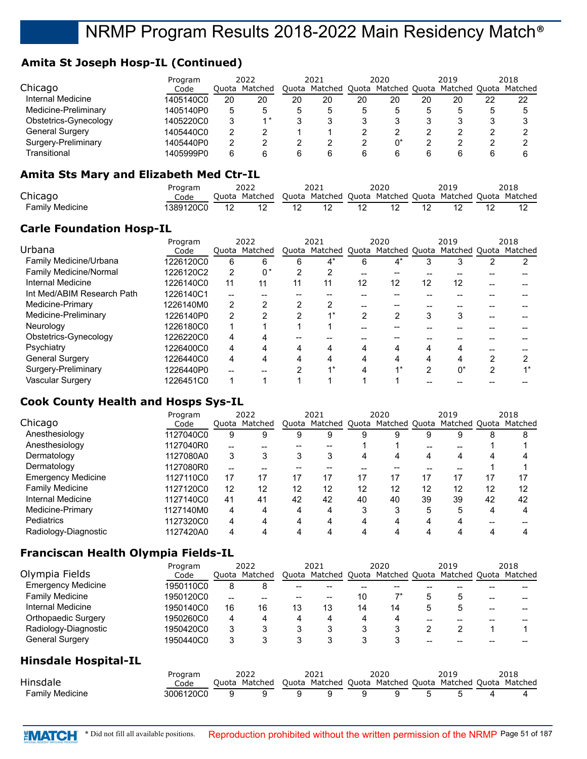## **Amita St Joseph Hosp-IL (Continued)**

|                       | Program   |       | 2022        |       | 2021          |             | 2020          |    | 2019                  |    | 2018 |
|-----------------------|-----------|-------|-------------|-------|---------------|-------------|---------------|----|-----------------------|----|------|
| Chicago               | Code      | Ouota | Matched     | Ouota | Matched Quota |             | Matched Quota |    | Matched Quota Matched |    |      |
| Internal Medicine     | 1405140C0 | 20    | 20          | 20    | 20            | 20          | 20            | 20 | 20                    | 22 | 22   |
| Medicine-Preliminary  | 1405140P0 | 5     |             | 5     |               | $\mathbf b$ |               |    |                       |    |      |
| Obstetrics-Gynecology | 1405220C0 | 3     | $\lambda$ * |       |               |             |               |    |                       |    |      |
| General Surgery       | 1405440C0 | າ     |             |       |               |             |               |    |                       |    |      |
| Surgery-Preliminary   | 1405440P0 | っ     |             |       |               |             |               |    |                       |    |      |
| Transitional          | 1405999P0 | 6     |             |       |               | h           |               |    |                       |    |      |

## **Amita Sts Mary and Elizabeth Med Ctr-IL**

|                        | Program    | 2022  |         |       |                                           | 2020 |  | 2019 |  | 2018    |
|------------------------|------------|-------|---------|-------|-------------------------------------------|------|--|------|--|---------|
| Chicago                | Code       | Ouota | Matched | Ouota | Matched Quota Matched Quota Matched Quota |      |  |      |  | Matched |
| <b>Family Medicine</b> | `389120C0_ |       |         |       |                                           |      |  |      |  |         |

## **Carle Foundation Hosp-IL**

|                               | Program   |    | 2022          |    | 2021                                                    |    | 2020           |    | 2019 |   | 2018 |
|-------------------------------|-----------|----|---------------|----|---------------------------------------------------------|----|----------------|----|------|---|------|
| Urbana                        | Code      |    | Quota Matched |    | Quota Matched Quota Matched Quota Matched Quota Matched |    |                |    |      |   |      |
| Family Medicine/Urbana        | 1226120C0 | 6  | 6             | 6  | 4*                                                      | 6  | $4^*$          | 3  | 3    |   |      |
| <b>Family Medicine/Normal</b> | 1226120C2 | 2  | $0*$          | ົ  | 2                                                       |    |                |    |      |   |      |
| Internal Medicine             | 1226140C0 | 11 | 11            | 11 | 11                                                      | 12 | 12             | 12 | 12   |   |      |
| Int Med/ABIM Research Path    | 1226140C1 | -- |               |    |                                                         |    |                |    |      |   |      |
| Medicine-Primary              | 1226140M0 | 2  |               | っ  |                                                         |    |                |    |      |   |      |
| Medicine-Preliminary          | 1226140P0 | 2  | ⌒             | C  |                                                         | 2  | $\overline{2}$ | 3  | 3    |   |      |
| Neurology                     | 1226180C0 | 1  |               |    |                                                         |    |                |    |      |   |      |
| Obstetrics-Gynecology         | 1226220C0 | 4  | 4             |    |                                                         |    |                |    |      |   |      |
| Psychiatry                    | 1226400C0 | 4  |               | 4  | Δ                                                       |    | 4              |    |      |   |      |
| General Surgery               | 1226440C0 | 4  | 4             | 4  | 4                                                       | 4  | 4              |    |      | າ |      |
| Surgery-Preliminary           | 1226440P0 |    |               |    |                                                         | Δ  | ⊿ *            | ◠  | 0*   | 2 |      |
| Vascular Surgery              | 1226451C0 |    |               |    |                                                         |    |                |    |      |   |      |
|                               |           |    |               |    |                                                         |    |                |    |      |   |      |

## **Cook County Health and Hosps Sys-IL**

|                           | Program   |       | 2022          |    | 2021                                                    |    | 2020 |    | 2019 |    | 2018 |
|---------------------------|-----------|-------|---------------|----|---------------------------------------------------------|----|------|----|------|----|------|
| Chicago                   | Code      |       | Quota Matched |    | Quota Matched Quota Matched Quota Matched Quota Matched |    |      |    |      |    |      |
| Anesthesiology            | 1127040C0 | 9     | 9             | 9  | 9                                                       | 9  | 9    | 9  | 9    | 8  | 8    |
| Anesthesiology            | 1127040R0 | $- -$ | --            |    |                                                         |    |      |    |      |    |      |
| Dermatology               | 1127080A0 | 3     | З             | 3  |                                                         | 4  | 4    | 4  | 4    | 4  |      |
| Dermatology               | 1127080R0 | --    |               |    |                                                         |    |      |    |      |    |      |
| <b>Emergency Medicine</b> | 1127110C0 | 17    | 17            | 17 | 17                                                      | 17 | 17   |    | 17   | 17 |      |
| <b>Family Medicine</b>    | 1127120C0 | 12    | 12            | 12 | 12                                                      | 12 | 12   | 12 | 12   | 12 | 12   |
| Internal Medicine         | 1127140C0 | 41    | 41            | 42 | 42                                                      | 40 | 40   | 39 | 39   | 42 | 42   |
| Medicine-Primary          | 1127140M0 | 4     | 4             | 4  | 4                                                       | 3  | 3    | 5  | 5    | 4  |      |
| <b>Pediatrics</b>         | 1127320C0 | 4     |               | 4  | Δ                                                       | Δ  | 4    |    |      |    |      |
| Radiology-Diagnostic      | 1127420A0 | 4     |               |    | Δ                                                       |    | 4    |    |      |    |      |

## **Franciscan Health Olympia Fields-IL**

|                             | Program   | 2022  |               | 2021 |                                                         | 2020 |       | 2019 |      |                          | 2018 |
|-----------------------------|-----------|-------|---------------|------|---------------------------------------------------------|------|-------|------|------|--------------------------|------|
| Olympia Fields              | Code      |       | Ouota Matched |      | Quota Matched Quota Matched Quota Matched Quota Matched |      |       |      |      |                          |      |
| <b>Emergency Medicine</b>   | 1950110C0 | 8     | 8             |      |                                                         |      |       |      |      |                          |      |
| <b>Family Medicine</b>      | 1950120C0 | $- -$ | --            |      | $- -$                                                   | 10   | $7^*$ | 5    | 5    | $\overline{\phantom{a}}$ |      |
| Internal Medicine           | 1950140C0 | 16    | 16            | 13   | 13                                                      | 14   | 14    | 5    | 5    | --                       |      |
| Orthopaedic Surgery         | 1950260C0 | 4     | 4             | 4    | 4                                                       | 4    | 4     | --   |      |                          |      |
| Radiology-Diagnostic        | 1950420C0 | 3     | 3             | 3    | 3                                                       | 3    | 3     | 2    | 2    | ٠                        |      |
| <b>General Surgery</b>      | 1950440C0 | 3     | 3             | 3    | 3                                                       | 3    | 3     |      |      |                          |      |
| <b>Hinsdale Hospital-IL</b> |           |       |               |      |                                                         |      |       |      |      |                          |      |
|                             | Program   |       | 2022          |      | 2021                                                    |      | 2020  |      | 2019 |                          | 2018 |
| Hinsdale                    | Code      |       | Ouota Matched |      | Quota Matched Quota Matched Quota Matched Quota Matched |      |       |      |      |                          |      |
| <b>Family Medicine</b>      | 3006120C0 | 9     | 9             | 9    | 9                                                       | 9    | 9     | 5    | 5    | 4                        | 4    |

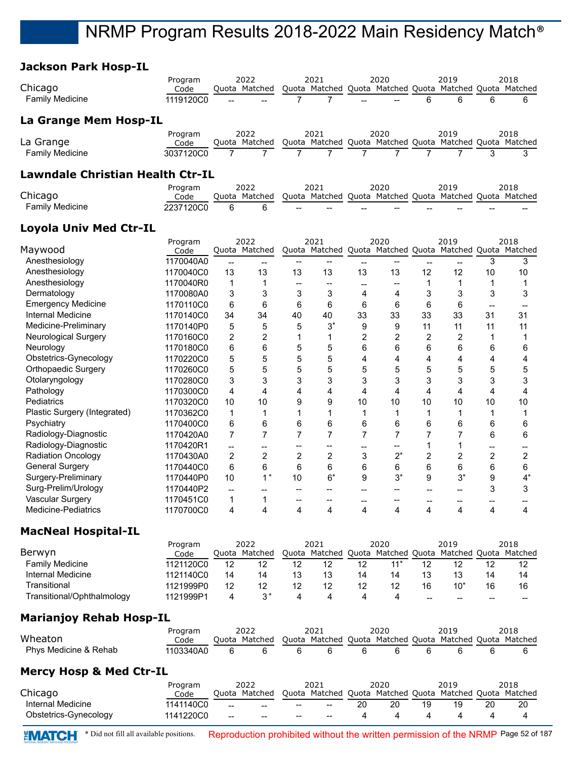#### **Jackson Park Hosp-IL**

| Chicago                                 | Program<br>Code        |                   | 2022<br>Quota Matched |                               | 2021<br>Quota Matched Quota Matched Quota Matched Quota         |                | 2020           |                | 2019                     |                          | 2018<br>Matched       |
|-----------------------------------------|------------------------|-------------------|-----------------------|-------------------------------|-----------------------------------------------------------------|----------------|----------------|----------------|--------------------------|--------------------------|-----------------------|
| <b>Family Medicine</b>                  | 1119120C0              |                   |                       |                               | 7                                                               |                |                | 6              | 6                        | 6                        | 6                     |
| La Grange Mem Hosp-IL                   |                        |                   | 2022                  |                               | 2021                                                            |                | 2020           |                | 2019                     |                          | 2018                  |
| La Grange                               | Program<br>Code        |                   | Quota Matched         |                               | Quota Matched Quota Matched Quota Matched Quota Matched         |                |                |                |                          |                          |                       |
| <b>Family Medicine</b>                  | 3037120C0              | 7                 | 7                     | 7                             | 7                                                               | $\overline{7}$ | $\overline{7}$ | 7              | 7                        | 3                        | 3                     |
| <b>Lawndale Christian Health Ctr-IL</b> |                        |                   |                       |                               |                                                                 |                |                |                |                          |                          |                       |
| Chicago                                 | Program<br>Code        |                   | 2022<br>Quota Matched |                               | 2021<br>Quota Matched Quota Matched Quota Matched Quota Matched |                | 2020           |                | 2019                     |                          | 2018                  |
| <b>Family Medicine</b>                  | 2237120C0              | 6                 | 6                     |                               |                                                                 |                |                |                |                          |                          |                       |
| <b>Loyola Univ Med Ctr-IL</b>           |                        |                   |                       |                               |                                                                 |                |                |                |                          |                          |                       |
|                                         | Program                |                   | 2022                  |                               | 2021                                                            |                | 2020           |                | 2019                     |                          | 2018                  |
| Maywood                                 | Code                   |                   | Quota Matched         |                               | Quota Matched Quota Matched Quota                               |                |                |                |                          |                          | Matched Quota Matched |
| Anesthesiology<br>Anesthesiology        | 1170040A0              | $-$               |                       |                               |                                                                 |                |                |                | --                       | 3                        | 3                     |
| Anesthesiology                          | 1170040C0<br>1170040R0 | 13<br>$\mathbf 1$ | 13<br>1               | 13                            | 13                                                              | 13             | 13             | 12<br>1        | 12<br>1                  | 10<br>1                  | 10<br>1               |
| Dermatology                             | 1170080A0              | 3                 | 3                     | $\overline{\phantom{a}}$<br>3 | $\overline{a}$<br>3                                             | --<br>4        | --<br>4        | 3              | 3                        | 3                        | 3                     |
| <b>Emergency Medicine</b>               | 1170110C0              | 6                 | 6                     | 6                             | 6                                                               | 6              | 6              | 6              | 6                        | $\overline{\phantom{a}}$ |                       |
| <b>Internal Medicine</b>                | 1170140C0              | 34                | 34                    | 40                            | 40                                                              | 33             | 33             | 33             | 33                       | 31                       | 31                    |
| Medicine-Preliminary                    | 1170140P0              | 5                 | 5                     | 5                             | $3^*$                                                           | 9              | 9              | 11             | 11                       | 11                       | 11                    |
| <b>Neurological Surgery</b>             | 1170160C0              | 2                 | $\overline{c}$        | 1                             | 1                                                               | $\overline{c}$ | 2              | 2              | 2                        | 1                        | 1                     |
| Neurology                               | 1170180C0              | 6                 | 6                     | 5                             | 5                                                               | 6              | 6              | 6              | 6                        | 6                        | 6                     |
| Obstetrics-Gynecology                   | 1170220C0              | 5                 | 5                     | 5                             | 5                                                               | 4              | 4              | 4              | 4                        | 4                        | 4                     |
| <b>Orthopaedic Surgery</b>              | 1170260C0              | 5                 | 5                     | 5                             | 5                                                               | 5              | 5              | 5              | 5                        | 5                        | 5                     |
| Otolaryngology                          | 1170280C0              | 3                 | 3                     | 3                             | 3                                                               | 3              | 3              | 3              | 3                        | 3                        | 3                     |
| Pathology                               | 1170300C0              | 4                 | 4                     | 4                             | 4                                                               | 4              | 4              | $\overline{4}$ | 4                        | 4                        | 4                     |
| Pediatrics                              | 1170320C0              | 10                | 10                    | 9                             | 9                                                               | 10             | 10             | 10             | 10                       | 10                       | 10                    |
| Plastic Surgery (Integrated)            | 1170362C0              | 1                 | 1                     | 1                             | 1                                                               | 1              | 1              | 1              | 1                        | 1                        | 1                     |
| Psychiatry                              | 1170400C0              | 6                 | 6                     | 6                             | 6                                                               | 6              | 6              | 6              | 6                        | 6                        | 6                     |
| Radiology-Diagnostic                    | 1170420A0              | $\overline{7}$    | 7                     | 7                             | $\overline{7}$                                                  | $\overline{7}$ | 7              | 7              | 7                        | 6                        | 6                     |
| Radiology-Diagnostic                    | 1170420R1              | --                | --                    | $\overline{\phantom{a}}$      | $\overline{a}$                                                  | $\overline{a}$ | --             | 1              | 1                        | --                       | --                    |
| <b>Radiation Oncology</b>               | 1170430A0              | 2                 | $\overline{2}$        | $\overline{c}$                | 2                                                               | 3              | $2^*$          | $\overline{2}$ | 2                        | $\overline{c}$           | $\overline{c}$        |
| <b>General Surgery</b>                  | 1170440C0              | 6                 | 6                     | 6                             | 6                                                               | 6              | 6              | 6              | 6                        | 6                        | 6                     |
| Surgery-Preliminary                     | 1170440P0              | 10                | $1^*$                 | 10                            | $6*$                                                            | 9              | $3^*$          | 9              | $3^*$                    | 9                        | $4^*$                 |
| Surg-Prelim/Urology<br>Vascular Surgery | 1170440P2<br>1170451C0 | --<br>1           | 1                     | $\overline{\phantom{a}}$      | --                                                              |                | --             |                | --                       | 3                        | 3                     |
| Medicine-Pediatrics                     | 1170700C0              | 4                 | 4                     | 4                             | 4                                                               | 4              | 4              | 4              | 4                        | 4                        | 4                     |
| <b>MacNeal Hospital-IL</b>              |                        |                   |                       |                               |                                                                 |                |                |                |                          |                          |                       |
|                                         | Program                |                   | 2022                  |                               | 2021                                                            |                | 2020           |                | 2019                     |                          | 2018                  |
| Berwyn                                  | Code                   |                   | Quota Matched         |                               | Quota Matched Quota Matched Quota Matched Quota Matched         |                |                |                |                          |                          |                       |
| <b>Family Medicine</b>                  | 1121120C0              | 12                | 12                    | 12                            | 12                                                              | 12             | $11*$          | 12             | 12                       | 12                       | 12                    |
| Internal Medicine                       | 1121140C0              | 14                | 14                    | 13                            | 13                                                              | 14             | 14             | 13             | 13                       | 14                       | 14                    |
| Transitional                            | 1121999P0              | 12                | 12                    | 12                            | 12                                                              | 12             | 12             | 16             | $10*$                    | 16                       | 16                    |
| Transitional/Ophthalmology              | 1121999P1              | 4                 | $3*$                  | 4                             | 4                                                               | 4              | 4              | $\overline{a}$ | $\overline{\phantom{a}}$ | $-$                      | $-$                   |
| <b>Marianjoy Rehab Hosp-IL</b>          |                        |                   |                       |                               |                                                                 |                |                |                |                          |                          |                       |
| Wheaton                                 | Program                |                   | 2022<br>Quota Matched |                               | 2021<br>Quota Matched Quota Matched Quota Matched Quota Matched |                | 2020           |                | 2019                     |                          | 2018                  |
| Phys Medicine & Rehab                   | Code<br>1103340A0      | 6                 | 6                     | 6                             | 6                                                               | 6              | 6              | 6              | 6                        | 6                        | 6                     |
| <b>Mercy Hosp &amp; Med Ctr-IL</b>      |                        |                   |                       |                               |                                                                 |                |                |                |                          |                          |                       |
|                                         | Program                |                   | 2022                  |                               | 2021                                                            |                | 2020           |                | 2019                     |                          | 2018                  |
| Chicago                                 | Code                   |                   | Quota Matched         |                               | Quota Matched Quota Matched Quota Matched Quota Matched         |                |                |                |                          |                          |                       |
| Internal Medicine                       | 1141140C0              |                   |                       |                               |                                                                 | 20             | 20             | 19             | 19                       | 20                       | 20                    |
| Obstetrics-Gynecology                   | 1141220C0              |                   |                       |                               |                                                                 | 4              | 4              | 4              | 4                        | 4                        | 4                     |



**\*MATCH** \* Did not fill all available positions. Reproduction prohibited without the written permission of the NRMP Page 52 of 187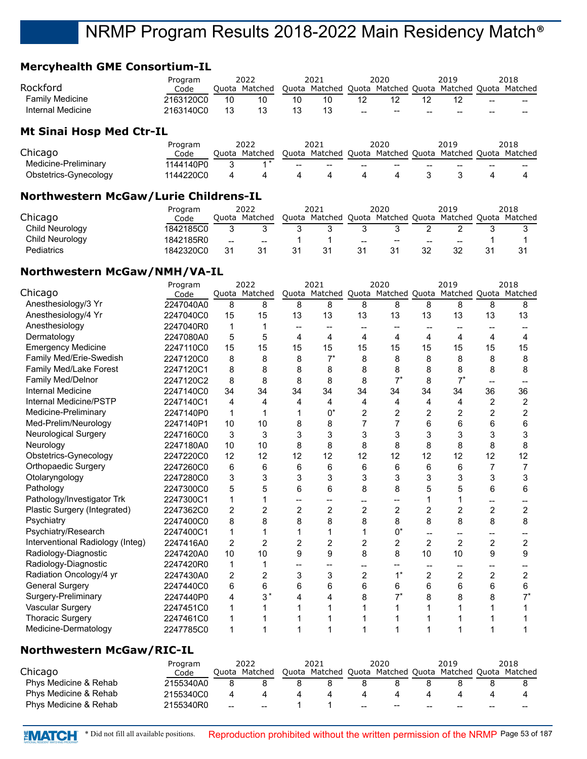#### **Mercyhealth GME Consortium-IL**

|                   | Program   |       | 2022    | 2021                                                    |        | 2020                     |    | 2019  |                 | 2018  |
|-------------------|-----------|-------|---------|---------------------------------------------------------|--------|--------------------------|----|-------|-----------------|-------|
| Rockford          | Code      | Ouota | Matched | Quota Matched Quota Matched Quota Matched Quota Matched |        |                          |    |       |                 |       |
| Family Medicine   | 2163120C0 | 10    | 10      | 10                                                      |        |                          |    |       | $\qquad \qquad$ | $- -$ |
| Internal Medicine | 2163140C0 |       |         |                                                         | $\sim$ | $\overline{\phantom{m}}$ | -- | $- -$ | $\qquad \qquad$ | $- -$ |

#### **Mt Sinai Hosp Med Ctr-IL**

|                       | Program   | 2022          |                          | 2021                                                    |     | 2020                     |       | 2019 |    | 2018  |
|-----------------------|-----------|---------------|--------------------------|---------------------------------------------------------|-----|--------------------------|-------|------|----|-------|
| Chicago               | Code      | Ouota Matched |                          | Ouota Matched Quota Matched Quota Matched Quota Matched |     |                          |       |      |    |       |
| Medicine-Preliminary  | 1144140P0 |               | $\overline{\phantom{a}}$ | $\sim$                                                  | $-$ | $\overline{\phantom{a}}$ | $- -$ | --   | -- | $- -$ |
| Obstetrics-Gynecology | 1144220C0 |               |                          |                                                         |     |                          |       |      |    |       |

#### **Northwestern McGaw/Lurie Childrens-IL**

|                        | Program   |                        | 2022          |    | 2021                                                    |                                                | 2020                     |       | 2019                                              | 2018 |
|------------------------|-----------|------------------------|---------------|----|---------------------------------------------------------|------------------------------------------------|--------------------------|-------|---------------------------------------------------|------|
| Chicago                | Code      |                        | Ouota Matched |    | Quota Matched Quota Matched Quota Matched Quota Matched |                                                |                          |       |                                                   |      |
| <b>Child Neurology</b> | 1842185C0 |                        |               |    |                                                         |                                                |                          |       |                                                   |      |
| Child Neurology        | 1842185R0 | $\qquad \qquad \cdots$ | $- -$         |    |                                                         | $\hspace{0.1mm}-\hspace{0.1mm}-\hspace{0.1mm}$ | $\overline{\phantom{m}}$ | $- -$ | $\hspace{0.05cm}-\hspace{0.05cm}-\hspace{0.05cm}$ |      |
| Pediatrics             | 1842320C0 | 31                     |               | 31 | 31                                                      |                                                | 31                       |       |                                                   |      |

#### **Northwestern McGaw/NMH/VA-IL**

|                                  | Program   |       | 2022           |                | 2021           |                | 2020  |                | 2019                                      |                | 2018           |
|----------------------------------|-----------|-------|----------------|----------------|----------------|----------------|-------|----------------|-------------------------------------------|----------------|----------------|
| Chicago                          | Code      | Quota | Matched        |                | Quota Matched  |                |       |                | Quota Matched Quota Matched Quota Matched |                |                |
| Anesthesiology/3 Yr              | 2247040A0 | 8     | 8              | 8              | 8              | 8              | 8     | 8              | 8                                         | 8              | 8              |
| Anesthesiology/4 Yr              | 2247040C0 | 15    | 15             | 13             | 13             | 13             | 13    | 13             | 13                                        | 13             | 13             |
| Anesthesiology                   | 2247040R0 | 1     |                |                |                |                |       |                |                                           |                |                |
| Dermatology                      | 2247080A0 | 5     | 5              | 4              | 4              | 4              | 4     | 4              | 4                                         | 4              | 4              |
| <b>Emergency Medicine</b>        | 2247110C0 | 15    | 15             | 15             | 15             | 15             | 15    | 15             | 15                                        | 15             | 15             |
| Family Med/Erie-Swedish          | 2247120C0 | 8     | 8              | 8              | $7^*$          | 8              | 8     | 8              | 8                                         | 8              | 8              |
| Family Med/Lake Forest           | 2247120C1 | 8     | 8              | 8              | 8              | 8              | 8     | 8              | 8                                         | 8              | 8              |
| Family Med/Delnor                | 2247120C2 | 8     | 8              | 8              | 8              | 8              | $7^*$ | 8              | $7^*$                                     |                |                |
| <b>Internal Medicine</b>         | 2247140C0 | 34    | 34             | 34             | 34             | 34             | 34    | 34             | 34                                        | 36             | 36             |
| Internal Medicine/PSTP           | 2247140C1 | 4     | 4              | 4              | 4              | 4              | 4     | 4              | 4                                         | 2              | 2              |
| Medicine-Preliminary             | 2247140P0 | 1     | 1              |                | $0^*$          | $\overline{2}$ | 2     | $\overline{c}$ | 2                                         | 2              | 2              |
| Med-Prelim/Neurology             | 2247140P1 | 10    | 10             | 8              | 8              | 7              |       | 6              | 6                                         | 6              | 6              |
| <b>Neurological Surgery</b>      | 2247160C0 | 3     | 3              | 3              | 3              | 3              | 3     | 3              | 3                                         | 3              | 3              |
| Neurology                        | 2247180A0 | 10    | 10             | 8              | 8              | 8              | 8     | 8              | 8                                         | 8              | 8              |
| Obstetrics-Gynecology            | 2247220C0 | 12    | 12             | 12             | 12             | 12             | 12    | 12             | 12                                        | 12             | 12             |
| Orthopaedic Surgery              | 2247260C0 | 6     | 6              | 6              | 6              | 6              | 6     | 6              | 6                                         | 7              | 7              |
| Otolaryngology                   | 2247280C0 | 3     | 3              | 3              | 3              | 3              | 3     | 3              | 3                                         | 3              | 3              |
| Pathology                        | 2247300C0 | 5     | 5              | 6              | 6              | 8              | 8     | 5              | 5                                         | 6              | 6              |
| Pathology/Investigator Trk       | 2247300C1 | 1     |                | --             | --             |                |       | 1              |                                           | --             |                |
| Plastic Surgery (Integrated)     | 2247362C0 | 2     | $\overline{2}$ | $\overline{2}$ | $\overline{2}$ | $\overline{2}$ | 2     | $\overline{2}$ | $\overline{2}$                            | $\overline{2}$ | $\overline{2}$ |
| Psychiatry                       | 2247400C0 | 8     | 8              | 8              | 8              | 8              | 8     | 8              | 8                                         | 8              | 8              |
| Psychiatry/Research              | 2247400C1 | 1     |                |                | 1              |                | $0^*$ |                |                                           |                |                |
| Interventional Radiology (Integ) | 2247416A0 | 2     | $\overline{2}$ | 2              | $\overline{c}$ | $\overline{2}$ | 2     | $\overline{2}$ | $\overline{2}$                            | $\overline{c}$ | $\overline{c}$ |
| Radiology-Diagnostic             | 2247420A0 | 10    | 10             | 9              | 9              | 8              | 8     | 10             | 10                                        | 9              | 9              |
| Radiology-Diagnostic             | 2247420R0 | 1     | 1              |                |                |                |       | --             |                                           | --             |                |
| Radiation Oncology/4 yr          | 2247430A0 | 2     | $\overline{2}$ | 3              | 3              | $\overline{2}$ | $1^*$ | $\overline{2}$ | $\overline{2}$                            | $\overline{2}$ | $\overline{2}$ |
| <b>General Surgery</b>           | 2247440C0 | 6     | 6              | 6              | 6              | 6              | 6     | 6              | 6                                         | 6              | 6              |
| Surgery-Preliminary              | 2247440P0 | 4     | $3*$           | 4              | 4              | 8              | $7^*$ | 8              | 8                                         | 8              |                |
| <b>Vascular Surgery</b>          | 2247451C0 |       |                |                |                |                |       |                |                                           |                |                |
| <b>Thoracic Surgery</b>          | 2247461C0 |       |                |                |                |                |       |                |                                           |                |                |
| Medicine-Dermatology             | 2247785C0 |       |                |                |                |                |       |                |                                           |                |                |

#### **Northwestern McGaw/RIC-IL**

|                       | Program   |       | 2022    |       | 2021                                              |       | 2020                                              |    | 2019 |       | 2018  |
|-----------------------|-----------|-------|---------|-------|---------------------------------------------------|-------|---------------------------------------------------|----|------|-------|-------|
| Chicago               | Code      | Quota | Matched | Ouota | Matched Quota Matched Quota Matched Quota Matched |       |                                                   |    |      |       |       |
| Phys Medicine & Rehab | 2155340A0 |       |         |       |                                                   |       |                                                   |    |      |       |       |
| Phys Medicine & Rehab | 2155340C0 | 4     |         |       |                                                   |       |                                                   |    |      |       |       |
| Phys Medicine & Rehab | 2155340R0 | $-$   |         |       |                                                   | $- -$ | $\hspace{0.05cm}-\hspace{0.05cm}-\hspace{0.05cm}$ | -- |      | $- -$ | $- -$ |

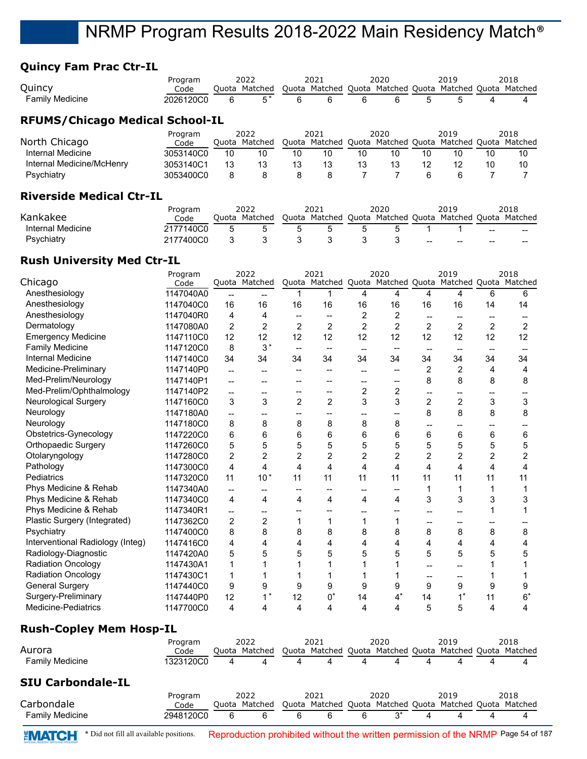## **Quincy Fam Prac Ctr-IL**

| Quincy                                 | Program<br>Code |    | 2022<br>Ouota Matched |    | 2021 |    | 2020 |    | 2019<br>Quota Matched Quota Matched Quota Matched Quota |    | 2018<br>Matched |
|----------------------------------------|-----------------|----|-----------------------|----|------|----|------|----|---------------------------------------------------------|----|-----------------|
| <b>Family Medicine</b>                 | 2026120C0       | 6  | $5*$                  | 6  | 6    | 6  | 6    |    |                                                         |    |                 |
| <b>RFUMS/Chicago Medical School-IL</b> |                 |    |                       |    |      |    |      |    |                                                         |    |                 |
|                                        | Program         |    | 2022                  |    | 2021 |    | 2020 |    | 2019                                                    |    | 2018            |
| North Chicago                          | Code            |    | Ouota Matched         |    |      |    |      |    | Quota Matched Quota Matched Quota Matched Quota         |    | Matched         |
| Internal Medicine                      | 3053140C0       | 10 | 10                    | 10 | 10   | 10 | 10   | 10 | 10                                                      | 10 | 10              |
| Internal Medicine/McHenry              | 3053140C1       | 13 | 13                    | 13 | 13   | 13 | 13   | 12 |                                                         | 10 | 10              |

## **Riverside Medical Ctr-IL**

|                   | Program   | 2022          | 2021                                                    |              | 2020 |       | 2019  |       | 2018  |
|-------------------|-----------|---------------|---------------------------------------------------------|--------------|------|-------|-------|-------|-------|
| Kankakee          | Code      | Ouota Matched | Quota Matched Quota Matched Quota Matched Quota Matched |              |      |       |       |       |       |
| Internal Medicine | 2177140C0 |               | 'n.                                                     | $\mathbf{h}$ |      |       |       | $-$   | $- -$ |
| Psychiatry        | 2177400C0 |               |                                                         |              |      | $- -$ | $- -$ | $- -$ | $- -$ |

Psychiatry 3053400C0 8 8 88 7 766 7 7

## **Rush University Med Ctr-IL**

|                                  | Program   |                          | 2022                     |                                       | 2021                     |                | 2020                                                    |                          | 2019                     |                          | 2018           |
|----------------------------------|-----------|--------------------------|--------------------------|---------------------------------------|--------------------------|----------------|---------------------------------------------------------|--------------------------|--------------------------|--------------------------|----------------|
| Chicago                          | Code      |                          | Quota Matched            |                                       |                          |                | Quota Matched Quota Matched Quota Matched Quota Matched |                          |                          |                          |                |
| Anesthesiology                   | 1147040A0 | $\overline{a}$           | --                       | $\mathbf 1$                           | 1                        | $\overline{4}$ | 4                                                       | 4                        | 4                        | 6                        | 6              |
| Anesthesiology                   | 1147040C0 | 16                       | 16                       | 16                                    | 16                       | 16             | 16                                                      | 16                       | 16                       | 14                       | 14             |
| Anesthesiology                   | 1147040R0 | 4                        | 4                        | $\overline{\phantom{a}}$              | $-$                      | $\overline{2}$ | 2                                                       | --                       | --                       | --                       |                |
| Dermatology                      | 1147080A0 | 2                        | $\overline{2}$           | $\overline{2}$                        | $\overline{c}$           | $\overline{2}$ | $\overline{2}$                                          | $\overline{2}$           | $\overline{2}$           | $\overline{2}$           | 2              |
| <b>Emergency Medicine</b>        | 1147110C0 | 12                       | 12                       | 12                                    | 12                       | 12             | 12                                                      | 12                       | 12                       | 12                       | 12             |
| <b>Family Medicine</b>           | 1147120C0 | 8                        | $3*$                     | $\overline{\phantom{a}}$              | $\overline{\phantom{a}}$ | $\overline{a}$ | $\hspace{0.05cm}$ $\hspace{0.05cm}$                     | $\overline{\phantom{a}}$ | $\overline{\phantom{a}}$ | $\overline{\phantom{a}}$ |                |
| <b>Internal Medicine</b>         | 1147140C0 | 34                       | 34                       | 34                                    | 34                       | 34             | 34                                                      | 34                       | 34                       | 34                       | 34             |
| Medicine-Preliminary             | 1147140P0 | $\overline{a}$           | $\overline{\phantom{0}}$ | --                                    | --                       | $\overline{a}$ | $\overline{\phantom{a}}$                                | $\overline{c}$           | 2                        | 4                        | 4              |
| Med-Prelim/Neurology             | 1147140P1 | $\overline{\phantom{a}}$ | --                       | $-$                                   | $\overline{\phantom{a}}$ | --             | $\overline{\phantom{a}}$                                | 8                        | 8                        | 8                        | 8              |
| Med-Prelim/Ophthalmology         | 1147140P2 | $\overline{a}$           | --                       | $-$                                   | $\overline{\phantom{a}}$ | $\overline{c}$ | $\overline{c}$                                          | $\overline{a}$           | $-$                      | --                       | $\overline{a}$ |
| <b>Neurological Surgery</b>      | 1147160C0 | 3                        | 3                        | $\overline{2}$                        | $\overline{c}$           | 3              | 3                                                       | $\overline{c}$           | $\overline{2}$           | 3                        | 3              |
| Neurology                        | 1147180A0 | $\overline{\phantom{a}}$ | --                       | --                                    | $-$                      | --             | $\overline{\phantom{a}}$                                | 8                        | 8                        | 8                        | 8              |
| Neurology                        | 1147180C0 | 8                        | 8                        | 8                                     | 8                        | 8              | 8                                                       | --                       | $-$                      | --                       |                |
| Obstetrics-Gynecology            | 1147220C0 | 6                        | 6                        | 6                                     | 6                        | 6              | 6                                                       | 6                        | 6                        | 6                        | 6              |
| Orthopaedic Surgery              | 1147260C0 | 5                        | 5                        | 5                                     | 5                        | 5              | 5                                                       | 5                        | 5                        | 5                        | 5              |
| Otolaryngology                   | 1147280C0 | 2                        | $\overline{2}$           | $\overline{2}$                        | $\overline{2}$           | 2              | $\overline{c}$                                          | $\overline{2}$           | $\overline{2}$           | $\overline{c}$           | $\overline{c}$ |
| Pathology                        | 1147300C0 | 4                        | 4                        | 4                                     | 4                        | 4              | 4                                                       | 4                        | 4                        | $\overline{4}$           | 4              |
| Pediatrics                       | 1147320C0 | 11                       | $10*$                    | 11                                    | 11                       | 11             | 11                                                      | 11                       | 11                       | 11                       | 11             |
| Phys Medicine & Rehab            | 1147340A0 | $\overline{\phantom{a}}$ | --                       | $\hspace{0.05cm}$ – $\hspace{0.05cm}$ | --                       | $\overline{a}$ | $\hspace{0.05cm}$ – $\hspace{0.05cm}$                   | 1                        | $\mathbf{1}$             | $\mathbf{1}$             | 1              |
| Phys Medicine & Rehab            | 1147340C0 | 4                        | 4                        | 4                                     | 4                        | 4              | 4                                                       | 3                        | 3                        | 3                        | 3              |
| Phys Medicine & Rehab            | 1147340R1 | $\overline{\phantom{a}}$ | --                       | $\overline{\phantom{a}}$              | --                       | --             | $\overline{\phantom{a}}$                                | --                       | --                       | $\mathbf{1}$             | 1              |
| Plastic Surgery (Integrated)     | 1147362C0 | 2                        | $\overline{2}$           | 1                                     | 1                        | 1              | 1                                                       | $\overline{a}$           | $\overline{a}$           | --                       |                |
| Psychiatry                       | 1147400C0 | 8                        | 8                        | 8                                     | 8                        | 8              | 8                                                       | 8                        | 8                        | 8                        | 8              |
| Interventional Radiology (Integ) | 1147416C0 | 4                        | 4                        | 4                                     | 4                        | 4              | 4                                                       | 4                        | 4                        | 4                        | 4              |
| Radiology-Diagnostic             | 1147420A0 | 5                        | 5                        | 5                                     | 5                        | 5              | 5                                                       | 5                        | 5                        | 5                        | 5              |
| <b>Radiation Oncology</b>        | 1147430A1 | 1                        | 1                        | $\mathbf{1}$                          | 1                        | 1              | 1                                                       | $\overline{\phantom{a}}$ | $-$                      | 1                        | 1              |
| <b>Radiation Oncology</b>        | 1147430C1 | 1                        | $\mathbf{1}$             | 1                                     | 1                        | 1              | 1                                                       | $-$                      | $-$                      | $\mathbf{1}$             | 1              |
| <b>General Surgery</b>           | 1147440C0 | 9                        | 9                        | 9                                     | 9                        | 9              | 9                                                       | 9                        | 9                        | 9                        | 9              |
| Surgery-Preliminary              | 1147440P0 | 12                       | $1^*$                    | 12                                    | $0^*$                    | 14             | $4^*$                                                   | 14                       | $1^*$                    | 11                       | $6*$           |
| <b>Medicine-Pediatrics</b>       | 1147700C0 | 4                        | 4                        | 4                                     | 4                        | 4              | 4                                                       | 5                        | 5                        | 4                        | 4              |
| <b>Rush-Copley Mem Hosp-IL</b>   |           |                          |                          |                                       |                          |                |                                                         |                          |                          |                          |                |
|                                  | Program   |                          | 2022                     |                                       | 2021                     |                | 2020                                                    |                          | 2019                     |                          | 2018           |
| Aurora                           | Code      |                          | Quota Matched            |                                       |                          |                | Quota Matched Quota Matched Quota Matched Quota Matched |                          |                          |                          |                |
| <b>Family Medicine</b>           | 1323120C0 | 4                        | 4                        | 4                                     | 4                        | 4              | 4                                                       | 4                        | 4                        | 4                        | 4              |
| <b>SIU Carbondale-IL</b>         |           |                          |                          |                                       |                          |                |                                                         |                          |                          |                          |                |
|                                  | Program   |                          | 2022                     |                                       | 2021                     |                | 2020                                                    |                          | 2019                     |                          | 2018           |

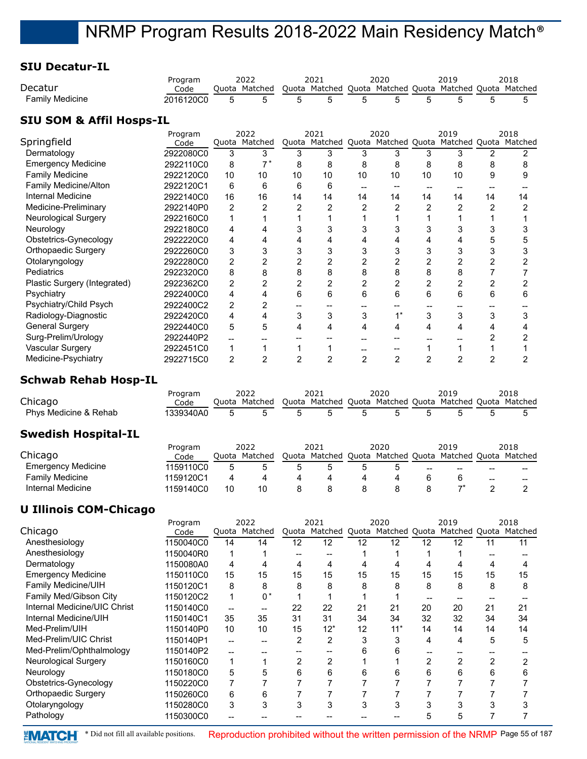### **SIU Decatur-IL**

|                                     | Program   |                | 2022          |       | 2021                                                    |                | 2020           |                | 2019          |                | 2018    |
|-------------------------------------|-----------|----------------|---------------|-------|---------------------------------------------------------|----------------|----------------|----------------|---------------|----------------|---------|
| Decatur                             | Code      |                | Quota Matched |       | Quota Matched Quota Matched Quota Matched Quota Matched |                |                |                |               |                |         |
| <b>Family Medicine</b>              | 2016120C0 | 5              | 5             | 5     | 5                                                       | 5              | 5              | 5              | 5             | 5              | 5       |
| <b>SIU SOM &amp; Affil Hosps-IL</b> |           |                |               |       |                                                         |                |                |                |               |                |         |
|                                     | Program   |                | 2022          |       | 2021                                                    |                | 2020           |                | 2019          |                | 2018    |
| Springfield                         | Code      | Ouota          | Matched       | Quota | Matched                                                 |                | Quota Matched  | Quota          | Matched Quota |                | Matched |
| Dermatology                         | 2922080C0 | 3              | 3             | 3     | 3                                                       | 3              | 3              | 3              | 3             | $\overline{2}$ | 2       |
| <b>Emergency Medicine</b>           | 2922110C0 | 8              | $7*$          | 8     | 8                                                       | 8              | 8              | 8              | 8             | 8              | 8       |
| <b>Family Medicine</b>              | 2922120C0 | 10             | 10            | 10    | 10                                                      | 10             | 10             | 10             | 10            | 9              | 9       |
| Family Medicine/Alton               | 2922120C1 | 6              | 6             | 6     | 6                                                       |                |                |                |               |                |         |
| Internal Medicine                   | 2922140C0 | 16             | 16            | 14    | 14                                                      | 14             | 14             | 14             | 14            | 14             | 14      |
| Medicine-Preliminary                | 2922140P0 | 2              | 2             | 2     | 2                                                       | 2              | 2              | 2              | 2             | $\overline{2}$ | 2       |
| <b>Neurological Surgery</b>         | 2922160C0 | 1              |               |       |                                                         |                |                |                |               |                |         |
| Neurology                           | 2922180C0 | 4              |               |       | 3                                                       |                | 3              | 3              |               | 3              | 3       |
| Obstetrics-Gynecology               | 2922220C0 | 4              | 4             |       | 4                                                       |                |                | 4              |               | 5              | 5       |
| Orthopaedic Surgery                 | 2922260C0 | 3              | 3             | 3     | 3                                                       | 3              | 3              | 3              | 3             | 3              | 3       |
| Otolaryngology                      | 2922280C0 | $\overline{2}$ | 2             | 2     | 2                                                       | $\overline{2}$ | 2              | 2              | 2             | 2              | 2       |
| Pediatrics                          | 2922320C0 | 8              | 8             | 8     | 8                                                       | 8              | 8              | 8              | 8             |                |         |
| Plastic Surgery (Integrated)        | 2922362C0 | $\overline{2}$ | 2             | 2     | 2                                                       | 2              | 2              | $\overline{c}$ | 2             | 2              | 2       |
| Psychiatry                          | 2922400C0 | 4              | 4             | 6     | 6                                                       | 6              | 6              | 6              | 6             | 6              | 6       |
| Psychiatry/Child Psych              | 2922400C2 | $\overline{2}$ | 2             |       |                                                         |                |                | --             | --            |                |         |
| Radiology-Diagnostic                | 2922420C0 | 4              | 4             | 3     | 3                                                       | 3              | $1^*$          | 3              | 3             | 3              | 3       |
| <b>General Surgery</b>              | 2922440C0 | 5              | 5             | 4     | 4                                                       | 4              | 4              | 4              | 4             | 4              |         |
| Surg-Prelim/Urology                 | 2922440P2 |                |               |       |                                                         |                |                |                |               |                |         |
| Vascular Surgery                    | 2922451C0 | 1              |               |       |                                                         |                |                |                |               |                |         |
| Medicine-Psychiatry                 | 2922715C0 | $\overline{2}$ | 2             | 2     | 2                                                       | 2              | $\overline{2}$ | 2              | 2             | 2              |         |

### **Schwab Rehab Hosp-IL**

| Chicago                    | Program<br>Code |   | 2022<br>Ouota Matched |   | 2021 |   | 2020 |    | 2019<br>Quota Matched Quota Matched Quota Matched Quota Matched |    | 2018 |
|----------------------------|-----------------|---|-----------------------|---|------|---|------|----|-----------------------------------------------------------------|----|------|
| Phys Medicine & Rehab      | 1339340A0       | 5 |                       | 5 | 5    | 5 | 5    |    | 5                                                               | 5  |      |
| <b>Swedish Hospital-IL</b> |                 |   |                       |   |      |   |      |    |                                                                 |    |      |
|                            |                 |   |                       |   |      |   |      |    |                                                                 |    |      |
|                            | Program         |   | 2022                  |   | 2021 |   | 2020 |    | 2019                                                            |    | 2018 |
| Chicago                    | Code            |   | Ouota Matched         |   |      |   |      |    | Quota Matched Quota Matched Quota Matched Quota Matched         |    |      |
| <b>Emergency Medicine</b>  | 1159110C0       | 5 |                       | 5 | 5    | 5 | 5    | -- |                                                                 |    |      |
| <b>Family Medicine</b>     | 1159120C1       | 4 | 4                     | 4 | 4    | 4 | 4    | 6  | 6                                                               | -- |      |

## **U Illinois COM-Chicago**

|                              | 2022<br>Program |       |               | 2021 |                                   |    | 2020  |    | 2019                  |    | 2018 |
|------------------------------|-----------------|-------|---------------|------|-----------------------------------|----|-------|----|-----------------------|----|------|
| Chicago                      | Code            |       | Quota Matched |      | Quota Matched Quota Matched Quota |    |       |    | Matched Quota Matched |    |      |
| Anesthesiology               | 1150040C0       | 14    | 14            | 12   | 12                                | 12 | 12    | 12 | 12                    | 11 | 11   |
| Anesthesiology               | 1150040R0       |       |               |      |                                   |    |       |    |                       |    |      |
| Dermatology                  | 1150080A0       | 4     |               | 4    | 4                                 |    |       |    |                       |    |      |
| <b>Emergency Medicine</b>    | 1150110C0       | 15    | 15            | 15   | 15                                | 15 | 15    | 15 | 15                    | 15 | 15   |
| Family Medicine/UIH          | 1150120C1       | 8     | 8             | 8    | 8                                 | 8  | 8     | 8  | 8                     | 8  | 8    |
| Family Med/Gibson City       | 1150120C2       | 1     | 0*            |      |                                   |    |       |    |                       |    |      |
| Internal Medicine/UIC Christ | 1150140C0       | $- -$ | --            | 22   | 22                                | 21 | 21    | 20 | 20                    | 21 | 21   |
| Internal Medicine/UIH        | 1150140C1       | 35    | 35            | 31   | 31                                | 34 | 34    | 32 | 32                    | 34 | 34   |
| Med-Prelim/UIH               | 1150140P0       | 10    | 10            | 15   | $12*$                             | 12 | $11*$ | 14 | 14                    | 14 | 14   |
| Med-Prelim/UIC Christ        | 1150140P1       |       |               | 2    | 2                                 |    | 3     | 4  | 4                     | 5  | 5    |
| Med-Prelim/Ophthalmology     | 1150140P2       |       |               |      |                                   |    | 6     |    |                       |    |      |
| Neurological Surgery         | 1150160C0       | 1     |               | 2    | 2                                 |    |       | 2  | 2                     |    |      |
| Neurology                    | 1150180C0       | 5     | 5             | 6    | 6                                 | 6  | 6     | 6  | 6                     | հ  | 6    |
| Obstetrics-Gynecology        | 1150220C0       |       |               |      |                                   |    |       |    |                       |    |      |
| <b>Orthopaedic Surgery</b>   | 1150260C0       | 6     | 6             |      |                                   |    |       |    |                       |    |      |
| Otolaryngology               | 1150280C0       | 3     |               |      | 3                                 |    | 3     |    |                       |    |      |
| Pathology                    | 1150300C0       |       |               |      |                                   |    |       | 5  | 5                     |    |      |

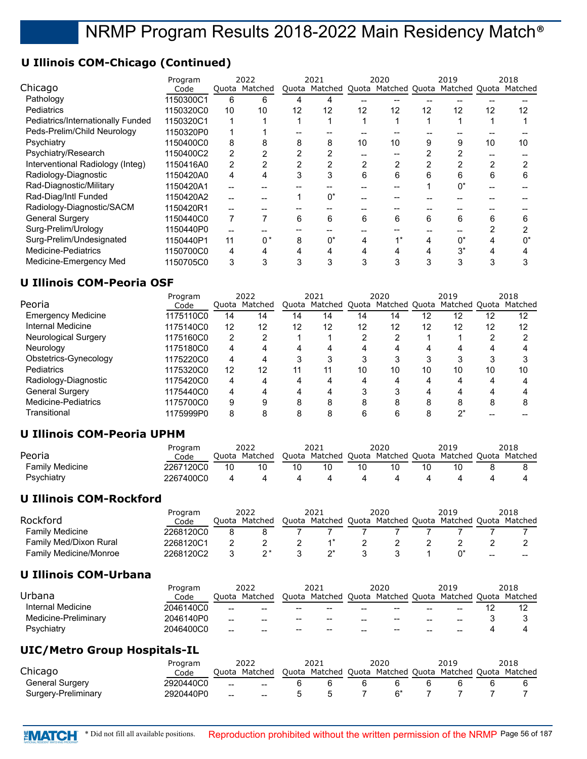## **U Illinois COM-Chicago (Continued)**

|                                   | Program   |                | 2022          |    | 2021                                                    |    | 2020 |    | 2019  |    | 2018 |
|-----------------------------------|-----------|----------------|---------------|----|---------------------------------------------------------|----|------|----|-------|----|------|
| Chicago                           | Code      |                | Quota Matched |    | Quota Matched Quota Matched Quota Matched Quota Matched |    |      |    |       |    |      |
| Pathology                         | 1150300C1 | 6              | 6             |    |                                                         |    |      |    |       |    |      |
| Pediatrics                        | 1150320C0 | 10             | 10            | 12 | 12                                                      | 12 | 12   | 12 | 12    | 12 | 12   |
| Pediatrics/Internationally Funded | 1150320C1 |                |               |    |                                                         |    |      |    |       |    |      |
| Peds-Prelim/Child Neurology       | 1150320P0 |                |               |    |                                                         |    |      |    |       |    |      |
| Psychiatry                        | 1150400C0 | 8              | 8             | 8  | 8                                                       | 10 | 10   | 9  | 9     | 10 | 10   |
| Psychiatry/Research               | 1150400C2 | 2              |               |    | 2                                                       |    |      |    |       |    |      |
| Interventional Radiology (Integ)  | 1150416A0 | $\overline{2}$ |               |    | 2                                                       |    | 2    | C  |       |    |      |
| Radiology-Diagnostic              | 1150420A0 | 4              |               | 3  | 3                                                       | 6  | 6    | 6  | 6     | 6  | 6    |
| Rad-Diagnostic/Military           | 1150420A1 |                |               |    |                                                         |    |      |    | 0*    |    |      |
| Rad-Diag/Intl Funded              | 1150420A2 |                |               |    | 0*                                                      |    |      |    |       |    |      |
| Radiology-Diagnostic/SACM         | 1150420R1 |                |               |    |                                                         |    |      |    |       |    |      |
| <b>General Surgery</b>            | 1150440C0 |                |               | 6  | 6                                                       | 6  | 6    | 6  | 6     | 6  | 6    |
| Surg-Prelim/Urology               | 1150440P0 |                |               |    |                                                         |    |      |    |       |    |      |
| Surg-Prelim/Undesignated          | 1150440P1 | 11             | $0*$          | 8  | $0^*$                                                   |    |      |    | 0*    |    |      |
| Medicine-Pediatrics               | 1150700C0 | 4              |               |    | 4                                                       |    |      |    | $3^*$ |    |      |
| Medicine-Emergency Med            | 1150705C0 | 3              |               |    |                                                         |    |      |    |       |    |      |

## **U Illinois COM-Peoria OSF**

|                             | Program   |    | 2022          |    | 2021          |    | 2020                |    | 2019                  |    | 2018   |
|-----------------------------|-----------|----|---------------|----|---------------|----|---------------------|----|-----------------------|----|--------|
| Peoria                      | Code      |    | Quota Matched |    | Quota Matched |    | Quota Matched Quota |    | Matched Quota Matched |    |        |
| <b>Emergency Medicine</b>   | 1175110C0 | 14 | 14            | 14 | 14            | 14 | 14                  | 12 | 12                    | 12 | 12     |
| Internal Medicine           | 1175140C0 | 12 | 12            | 12 | 12            | 12 | 12                  | 12 | 12                    | 12 | 12     |
| <b>Neurological Surgery</b> | 1175160C0 | 2  | ົ             |    |               | າ  | 2                   |    |                       | ◠  | ◠      |
| Neurology                   | 1175180C0 | 4  | 4             | 4  | 4             | 4  | 4                   |    | 4                     | 4  |        |
| Obstetrics-Gynecology       | 1175220C0 | 4  |               | 3  | 3             | 3  | 3                   | 3  | 3                     | 3  |        |
| Pediatrics                  | 1175320C0 | 12 | 12            | 11 | 11            | 10 | 10                  | 10 | 10                    | 10 | 10     |
| Radiology-Diagnostic        | 1175420C0 | 4  |               | 4  | 4             | 4  | 4                   | 4  | 4                     | 4  |        |
| <b>General Surgery</b>      | 1175440C0 | 4  | Δ             | 4  | 4             | 3  | 3                   | Δ  | 4                     | 4  |        |
| Medicine-Pediatrics         | 1175700C0 | 9  | 9             | 8  | 8             | 8  | 8                   | 8  | 8                     | 8  | o<br>ົ |
| Transitional                | 1175999P0 | 8  | ο             | 8  | 8             | 6  | 6                   | Ο  | י∩∗                   |    |        |

## **U Illinois COM-Peoria UPHM**

|                        | Program   | 2022  |         | 2021 |                                                         | 2020 |  | 2019 | 2018 |
|------------------------|-----------|-------|---------|------|---------------------------------------------------------|------|--|------|------|
| Peoria                 | Code      | Ouota | Matched |      | Quota Matched Quota Matched Quota Matched Quota Matched |      |  |      |      |
| <b>Family Medicine</b> | 2267120C0 | 10    |         | 10   | 10                                                      |      |  | 10   |      |
| Psychiatry             | 2267400C0 |       |         |      |                                                         |      |  |      |      |

## **U Illinois COM-Rockford**

|                               | Program   |       | 2022    |       | 2021    | 2020 | 2019                                      |       | 2018  |
|-------------------------------|-----------|-------|---------|-------|---------|------|-------------------------------------------|-------|-------|
| Rockford                      | Code      | Ouota | Matched | Ouota | Matched |      | Quota Matched Quota Matched Quota Matched |       |       |
| <b>Family Medicine</b>        | 2268120C0 |       |         |       |         |      |                                           |       |       |
| Family Med/Dixon Rural        | 2268120C1 |       |         |       |         |      |                                           |       |       |
| <b>Family Medicine/Monroe</b> | 2268120C2 |       |         |       |         |      |                                           | $- -$ | $- -$ |

## **U Illinois COM-Urbana**

|                      | Program   |                   | 2022    |                                                   | 2021                |       | 2020          |    | 2019                  | 2018 |
|----------------------|-----------|-------------------|---------|---------------------------------------------------|---------------------|-------|---------------|----|-----------------------|------|
| Urbana               | Code      | Duota             | Matched |                                                   | Quota Matched Quota |       | Matched Quota |    | Matched Quota Matched |      |
| Internal Medicine    | 2046140C0 | $\hspace{0.05cm}$ | $- -$   | $\hspace{0.5cm}-\hspace{0.5cm}-\hspace{0.5cm}$    | $- -$               | --    | $- -$         | -- | --                    |      |
| Medicine-Preliminary | 2046140P0 | $- -$             | $- -$   | $- -$                                             | $- -$               | --    | --            | -- | --                    |      |
| Psychiatry           | 2046400C0 | $- -$             | $- -$   | $\hspace{0.05cm}-\hspace{0.05cm}-\hspace{0.05cm}$ | $- -$               | $- -$ | $- -$         | -- | --                    |      |

## **UIC/Metro Group Hospitals-IL**

|                        | Program   |                                                | 2022          | 2021                                                    | 2020 | 2019 | 2018 |
|------------------------|-----------|------------------------------------------------|---------------|---------------------------------------------------------|------|------|------|
| Chicago                | Code      |                                                | Ouota Matched | Quota Matched Quota Matched Quota Matched Quota Matched |      |      |      |
| <b>General Surgery</b> | 2920440C0 | $\hspace{0.1mm}-\hspace{0.1mm}-\hspace{0.1mm}$ | --            |                                                         |      |      |      |
| Surgery-Preliminary    | 2920440P0 | $\hspace{0.1mm}-\hspace{0.1mm}-\hspace{0.1mm}$ | $-$           |                                                         |      |      |      |

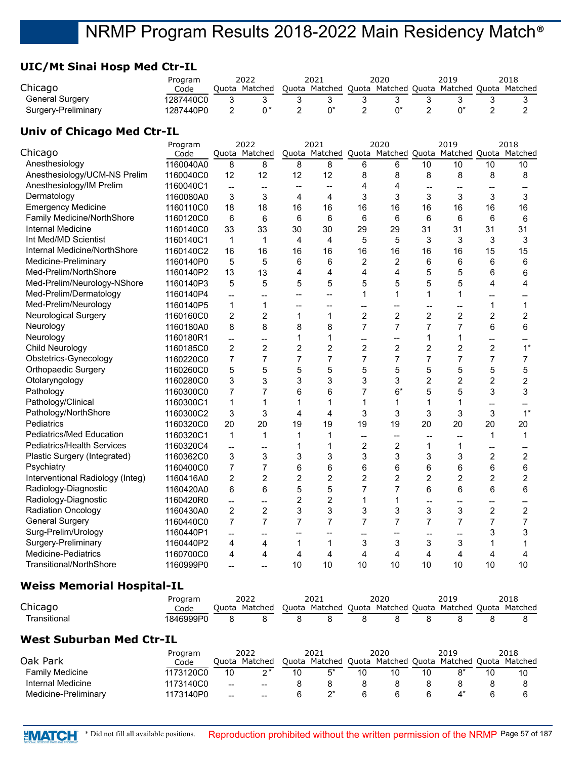## **UIC/Mt Sinai Hosp Med Ctr-IL**

|                     | Program   | 2022 |               | 2021 |                                                         | 2020 |  | 2019 |  | 2018 |
|---------------------|-----------|------|---------------|------|---------------------------------------------------------|------|--|------|--|------|
| Chicago             | Code      |      | Quota Matched |      | Quota Matched Quota Matched Quota Matched Quota Matched |      |  |      |  |      |
| General Surgery     | 1287440C0 |      |               |      |                                                         |      |  |      |  |      |
| Surgery-Preliminary | 1287440P0 |      |               |      |                                                         |      |  |      |  |      |

## **Univ of Chicago Med Ctr-IL**

|                                   | Program   |                | 2022           |                | 2021           |                | 2020           |                          | 2019                                                    |                | 2018                     |
|-----------------------------------|-----------|----------------|----------------|----------------|----------------|----------------|----------------|--------------------------|---------------------------------------------------------|----------------|--------------------------|
| Chicago                           | Code      |                | Quota Matched  |                |                |                |                |                          | Quota Matched Quota Matched Quota Matched Quota Matched |                |                          |
| Anesthesiology                    | 1160040A0 | 8              | 8              | 8              | 8              | 6              | 6              | 10                       | 10                                                      | 10             | 10                       |
| Anesthesiology/UCM-NS Prelim      | 1160040C0 | 12             | 12             | 12             | 12             | 8              | 8              | 8                        | 8                                                       | 8              | 8                        |
| Anesthesiology/IM Prelim          | 1160040C1 | $\overline{a}$ | --             | --             | --             | 4              | 4              | $\overline{\phantom{a}}$ | --                                                      | --             |                          |
| Dermatology                       | 1160080A0 | 3              | 3              | 4              | 4              | 3              | 3              | 3                        | 3                                                       | 3              | 3                        |
| <b>Emergency Medicine</b>         | 1160110C0 | 18             | 18             | 16             | 16             | 16             | 16             | 16                       | 16                                                      | 16             | 16                       |
| Family Medicine/NorthShore        | 1160120C0 | 6              | 6              | 6              | 6              | 6              | 6              | 6                        | 6                                                       | 6              | 6                        |
| Internal Medicine                 | 1160140C0 | 33             | 33             | 30             | 30             | 29             | 29             | 31                       | 31                                                      | 31             | 31                       |
| Int Med/MD Scientist              | 1160140C1 | $\mathbf{1}$   | 1              | 4              | 4              | 5              | 5              | 3                        | 3                                                       | 3              | 3                        |
| Internal Medicine/NorthShore      | 1160140C2 | 16             | 16             | 16             | 16             | 16             | 16             | 16                       | 16                                                      | 15             | 15                       |
| Medicine-Preliminary              | 1160140P0 | 5              | 5              | 6              | 6              | 2              | $\overline{c}$ | 6                        | 6                                                       | 6              | 6                        |
| Med-Prelim/NorthShore             | 1160140P2 | 13             | 13             | $\overline{4}$ | 4              | 4              | 4              | 5                        | 5                                                       | 6              | 6                        |
| Med-Prelim/Neurology-NShore       | 1160140P3 | 5              | 5              | 5              | 5              | 5              | 5              | 5                        | 5                                                       | 4              | 4                        |
| Med-Prelim/Dermatology            | 1160140P4 | --             | --             | --             |                | $\mathbf{1}$   | 1              | $\mathbf{1}$             | 1                                                       | --             |                          |
| Med-Prelim/Neurology              | 1160140P5 | 1              | 1              | $-$            | $-$            | --             | --             | --                       | --                                                      | 1              | 1                        |
| <b>Neurological Surgery</b>       | 1160160C0 | $\overline{2}$ | $\overline{2}$ | 1              | 1              | $\overline{2}$ | $\overline{2}$ | $\overline{2}$           | $\overline{2}$                                          | $\overline{2}$ | $\overline{c}$           |
| Neurology                         | 1160180A0 | 8              | 8              | 8              | 8              | $\overline{7}$ | $\overline{7}$ | $\overline{7}$           | $\overline{7}$                                          | 6              | 6                        |
| Neurology                         | 1160180R1 | --             | $\overline{a}$ | 1              | $\mathbf 1$    | --             | --             | $\mathbf{1}$             | 1                                                       | --             | $\overline{\phantom{a}}$ |
| Child Neurology                   | 1160185C0 | $\overline{c}$ | $\overline{2}$ | $\overline{c}$ | $\overline{c}$ | $\overline{2}$ | $\overline{c}$ | $\overline{c}$           | $\overline{c}$                                          | $\overline{c}$ | $1^*$                    |
| Obstetrics-Gynecology             | 1160220C0 | $\overline{7}$ | $\overline{7}$ | $\overline{7}$ | $\overline{7}$ | 7              | 7              | $\overline{7}$           | 7                                                       | $\overline{7}$ | $\overline{7}$           |
| <b>Orthopaedic Surgery</b>        | 1160260C0 | 5              | 5              | 5              | 5              | 5              | 5              | 5                        | 5                                                       | 5              | 5                        |
| Otolaryngology                    | 1160280C0 | 3              | 3              | 3              | 3              | 3              | 3              | $\overline{c}$           | 2                                                       | $\overline{2}$ | $\overline{c}$           |
| Pathology                         | 1160300C0 | $\overline{7}$ | $\overline{7}$ | 6              | 6              | $\overline{7}$ | $6*$           | 5                        | 5                                                       | 3              | 3                        |
| Pathology/Clinical                | 1160300C1 | 1              | 1              | 1              | 1              | 1              | 1              | 1                        | 1                                                       | --             |                          |
| Pathology/NorthShore              | 1160300C2 | 3              | 3              | $\overline{4}$ | 4              | 3              | 3              | 3                        | 3                                                       | 3              | $1^*$                    |
| Pediatrics                        | 1160320C0 | 20             | 20             | 19             | 19             | 19             | 19             | 20                       | 20                                                      | 20             | 20                       |
| <b>Pediatrics/Med Education</b>   | 1160320C1 | $\mathbf{1}$   | 1              | 1              | 1              | --             | --             |                          | --                                                      | 1              | 1                        |
| <b>Pediatrics/Health Services</b> | 1160320C4 | $\overline{a}$ | --             | 1              | 1              | $\overline{c}$ | $\overline{c}$ | 1                        | $\mathbf{1}$                                            | --             |                          |
| Plastic Surgery (Integrated)      | 1160362C0 | 3              | 3              | 3              | 3              | 3              | 3              | 3                        | 3                                                       | $\overline{c}$ | $\overline{c}$           |
| Psychiatry                        | 1160400C0 | $\overline{7}$ | $\overline{7}$ | 6              | 6              | 6              | 6              | 6                        | 6                                                       | 6              | 6                        |
| Interventional Radiology (Integ)  | 1160416A0 | $\overline{2}$ | $\overline{2}$ | $\overline{c}$ | $\overline{c}$ | $\overline{c}$ | $\overline{2}$ | $\overline{2}$           | $\overline{2}$                                          | $\overline{2}$ | $\overline{c}$           |
| Radiology-Diagnostic              | 1160420A0 | 6              | 6              | 5              | 5              | $\overline{7}$ | $\overline{7}$ | 6                        | 6                                                       | 6              | 6                        |
| Radiology-Diagnostic              | 1160420R0 | $\overline{a}$ | --             | $\overline{c}$ | $\overline{c}$ | $\mathbf{1}$   | 1              | --                       | --                                                      | --             | --                       |
| <b>Radiation Oncology</b>         | 1160430A0 | $\overline{c}$ | $\overline{c}$ | 3              | 3              | 3              | 3              | 3                        | 3                                                       | $\overline{c}$ | $\overline{c}$           |
| <b>General Surgery</b>            | 1160440C0 | $\overline{7}$ | $\overline{7}$ | $\overline{7}$ | $\overline{7}$ | $\overline{7}$ | $\overline{7}$ | $\overline{7}$           | $\overline{7}$                                          | $\overline{7}$ | 7                        |
| Surg-Prelim/Urology               | 1160440P1 | --             | --             | $\overline{a}$ | --             | --             | --             | --                       | $\overline{a}$                                          | 3              | 3                        |
| Surgery-Preliminary               | 1160440P2 | 4              | 4              | 1              | $\mathbf{1}$   | 3              | 3              | 3                        | 3                                                       | 1              | 1                        |
| Medicine-Pediatrics               | 1160700C0 | 4              | 4              | 4              | 4              | 4              | 4              | 4                        | 4                                                       | 4              | 4                        |
| Transitional/NorthShore           | 1160999P0 | --             | --             | 10             | 10             | 10             | 10             | 10                       | 10                                                      | 10             | 10                       |
|                                   |           |                |                |                |                |                |                |                          |                                                         |                |                          |

## **Weiss Memorial Hospital-IL**

|              | Program   |       | 2022    |       |                                                     | 2020 | 2019 | 2018 |
|--------------|-----------|-------|---------|-------|-----------------------------------------------------|------|------|------|
| Chicago      | Code      | Ouota | Matched | Ouota | I Matched Ouota Matched Ouota Matched Ouota Matched |      |      |      |
| Transitional | 1846999PC |       |         |       |                                                     |      |      |      |

## **West Suburban Med Ctr-IL**

|                        | Program   |       | 2022    |       | 2021          |    | 2020          |    | 2019    |       | 2018    |
|------------------------|-----------|-------|---------|-------|---------------|----|---------------|----|---------|-------|---------|
| Oak Park               | Code      | Ouota | Matched | Quota | Matched Quota |    | Matched Quota |    | Matched | Ouota | Matched |
| <b>Family Medicine</b> | 1173120C0 | 10    | ∩ *     | 10    |               | 10 | 10            | 10 |         |       | 10      |
| Internal Medicine      | 1173140C0 | $- -$ | --      |       |               |    |               |    |         |       |         |
| Medicine-Preliminary   | 1173140P0 | $- -$ | --      |       |               |    |               |    |         |       |         |

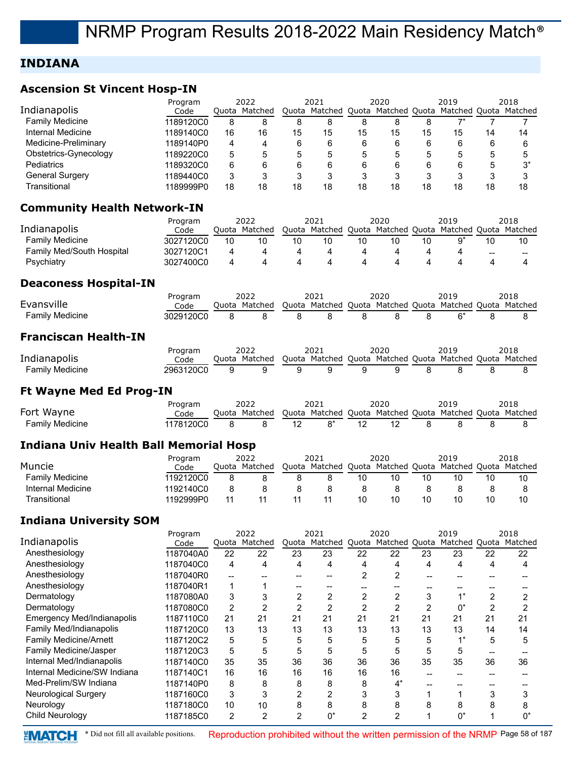## **INDIANA**

### **Ascension St Vincent Hosp-IN**

|                        | Program   |    | 2022          |    | 2021                                            |    | 2020 |    | 2019 |    | 2018    |
|------------------------|-----------|----|---------------|----|-------------------------------------------------|----|------|----|------|----|---------|
| Indianapolis           | Code      |    | Ouota Matched |    | Quota Matched Quota Matched Quota Matched Quota |    |      |    |      |    | Matched |
| <b>Family Medicine</b> | 1189120C0 | 8  |               |    | 8                                               |    | 8    |    |      |    |         |
| Internal Medicine      | 1189140C0 | 16 | 16            | 15 | 15                                              | 15 | 15   | 15 | 15   | 14 | 14      |
| Medicine-Preliminary   | 1189140P0 | 4  |               | 6  | 6                                               | 6  | 6    |    | 6    | 6  |         |
| Obstetrics-Gynecology  | 1189220C0 | 5  |               | 5  | 5                                               | 5  | 5    |    | 5    | 5  |         |
| <b>Pediatrics</b>      | 1189320C0 | 6  |               | 6  | 6                                               | 6  | 6    | h  | 6    | 5  | $3^*$   |
| <b>General Surgery</b> | 1189440C0 | 3  |               | 3  |                                                 |    | 2    |    | 3    | 2  |         |
| Transitional           | 1189999P0 | 18 | 18            | 18 | 18                                              | 18 | 18   | 18 | 18   | 18 | 18      |

#### **Community Health Network-IN**

|                                  | Program   |    | 2022          |    | 2021                              |    | 2020 | 2019                  |       | 2018  |
|----------------------------------|-----------|----|---------------|----|-----------------------------------|----|------|-----------------------|-------|-------|
| Indianapolis                     | Code      |    | Ouota Matched |    | Quota Matched Quota Matched Quota |    |      | Matched Quota Matched |       |       |
| <b>Family Medicine</b>           | 3027120C0 | 10 | 10            | 10 | 10                                | 10 | 10   |                       | 10    |       |
| <b>Family Med/South Hospital</b> | 3027120C1 |    |               |    |                                   |    |      |                       | $- -$ | $- -$ |
| Psychiatry                       | 3027400C0 |    |               |    |                                   |    |      |                       |       |       |

#### **Deaconess Hospital-IN**

|                 | Program   | 2022          | 2021                                                    | 2020 | 2019 | 2018 |
|-----------------|-----------|---------------|---------------------------------------------------------|------|------|------|
| Evansville      | Code      | Ouota Matched | Quota Matched Quota Matched Quota Matched Quota Matched |      |      |      |
| Family Medicine | 3029120C0 |               |                                                         |      |      |      |

#### **Franciscan Health-IN**

|                 | Program   |       | 2022    | 2021                                                    | 2020 | 2019 | 2018 |
|-----------------|-----------|-------|---------|---------------------------------------------------------|------|------|------|
| Indianapolis    | Code      | Ouota | Matched | Quota Matched Quota Matched Quota Matched Quota Matched |      |      |      |
| Family Medicine | 2963120C0 |       |         |                                                         |      |      |      |

#### **Ft Wayne Med Ed Prog-IN**

|                 | Program   | 2022          | 2021                                                    | 2020 | 2019 | 2018 |
|-----------------|-----------|---------------|---------------------------------------------------------|------|------|------|
| Fort Wayne      | Code      | Ouota Matched | Ouota Matched Ouota Matched Ouota Matched Ouota Matched |      |      |      |
| Family Medicine | 1178120C0 |               |                                                         |      |      |      |

#### **Indiana Univ Health Ball Memorial Hosp**

|                        | Program   |       | 2022    |       | 2021          |    | 2020 | 2019                                |    | 2018 |
|------------------------|-----------|-------|---------|-------|---------------|----|------|-------------------------------------|----|------|
| Muncie                 | Code      | Ouota | Matched | Quota | Matched Quota |    |      | Matched Quota Matched Quota Matched |    |      |
| <b>Family Medicine</b> | 1192120C0 |       |         |       |               | 10 | 10   | 10                                  | 10 |      |
| Internal Medicine      | 1192140C0 |       |         |       |               |    |      |                                     |    |      |
| Transitional           | 1192999P0 | 11    |         | 11    |               | 10 | 10   | 10                                  | 10 |      |

#### **Indiana University SOM**

|                               | Program   |       | 2022    |       | 2021    |    | 2020          |       | 2019          |    | 2018    |
|-------------------------------|-----------|-------|---------|-------|---------|----|---------------|-------|---------------|----|---------|
| Indianapolis                  | Code      | Quota | Matched | Quota | Matched |    | Quota Matched | Quota | Matched Quota |    | Matched |
| Anesthesiology                | 1187040A0 | 22    | 22      | 23    | 23      | 22 | 22            | 23    | 23            | 22 | 22      |
| Anesthesiology                | 1187040C0 | 4     | 4       | 4     | 4       | 4  | 4             | 4     | 4             | 4  | 4       |
| Anesthesiology                | 1187040R0 |       |         |       |         |    | 2             |       |               |    |         |
| Anesthesiology                | 1187040R1 |       |         |       |         |    |               |       |               |    |         |
| Dermatology                   | 1187080A0 | 3     |         |       | 2       |    |               | 3     |               |    |         |
| Dermatology                   | 1187080C0 | 2     |         |       | 2       |    |               | ◠     | $0^*$         |    |         |
| Emergency Med/Indianapolis    | 1187110C0 | 21    | 21      | 21    | 21      | 21 | 21            | 21    | 21            | 21 | 21      |
| Family Med/Indianapolis       | 1187120C0 | 13    | 13      | 13    | 13      | 13 | 13            | 13    | 13            | 14 | 14      |
| <b>Family Medicine/Arnett</b> | 1187120C2 | 5     | 5       | 5     | 5       | 5  | 5             | 5     | $4*$          | 5  | 5       |
| <b>Family Medicine/Jasper</b> | 1187120C3 | 5     | 5       | 5     | 5       | 5  | 5             | 5     | 5             |    |         |
| Internal Med/Indianapolis     | 1187140C0 | 35    | 35      | 36    | 36      | 36 | 36            | 35    | 35            | 36 | 36      |
| Internal Medicine/SW Indiana  | 1187140C1 | 16    | 16      | 16    | 16      | 16 | 16            |       |               |    |         |
| Med-Prelim/SW Indiana         | 1187140P0 | 8     | 8       | 8     | 8       | 8  | $4^*$         |       |               |    |         |
| Neurological Surgery          | 1187160C0 | 3     | 3       |       | 2       |    | 3             |       |               |    |         |
| Neurology                     | 1187180C0 | 10    | 10      | 8     | 8       | 8  | 8             | 8     | 8             | 8  | 8       |
| Child Neurology               | 1187185C0 | 2     | 2       |       | 0*      | 2  | 2             |       | 0*            |    |         |
|                               |           |       |         |       |         |    |               |       |               |    |         |

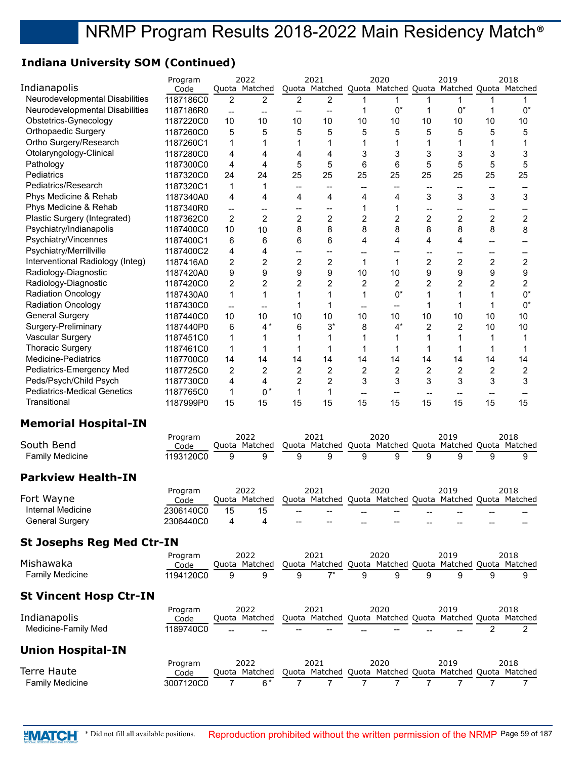## **Indiana University SOM (Continued)**

|                                    | Program                |                          | 2022                     |              | 2021                                                            |                          | 2020                     |                          | 2019           |                                                   | 2018                     |
|------------------------------------|------------------------|--------------------------|--------------------------|--------------|-----------------------------------------------------------------|--------------------------|--------------------------|--------------------------|----------------|---------------------------------------------------|--------------------------|
| Indianapolis                       | Code                   |                          | Quota Matched            |              | Quota Matched Quota Matched Quota Matched Quota Matched         |                          |                          |                          |                |                                                   |                          |
| Neurodevelopmental Disabilities    | 1187186C0              | $\overline{c}$           | $\overline{2}$           | 2            | 2                                                               | 1                        | 1                        | 1                        | 1              | 1                                                 | 1                        |
| Neurodevelopmental Disabilities    | 1187186R0              | $\overline{\phantom{a}}$ | $\overline{\phantom{a}}$ | $-$          | $\overline{\phantom{a}}$                                        | 1                        | $0^*$                    | 1                        | $0^*$          | 1                                                 | $0^*$                    |
| Obstetrics-Gynecology              | 1187220C0              | 10                       | 10                       | 10           | 10                                                              | 10                       | 10                       | 10                       | 10             | 10                                                | 10                       |
| Orthopaedic Surgery                | 1187260C0              | 5                        | 5                        | 5            | 5                                                               | 5                        | 5                        | 5                        | 5              | 5                                                 | 5                        |
| Ortho Surgery/Research             | 1187260C1              | 1                        | 1                        | 1            | 1                                                               | 1                        | 1                        | 1                        | 1              | 1                                                 | 1                        |
| Otolaryngology-Clinical            | 1187280C0              | 4                        | 4                        | 4            | 4                                                               | 3                        | 3                        | 3                        | 3              | 3                                                 | 3                        |
| Pathology                          | 1187300C0              | 4                        | 4                        | 5            | 5                                                               | 6                        | 6                        | 5                        | 5              | 5                                                 | 5                        |
| Pediatrics                         | 1187320C0              | 24                       | 24                       | 25           | 25                                                              | 25                       | 25                       | 25                       | 25             | 25                                                | 25                       |
| Pediatrics/Research                | 1187320C1              | 1                        | 1                        | $-\!$        | --                                                              | $\overline{\phantom{a}}$ | $\overline{\phantom{a}}$ | --                       | --             | --                                                | $\overline{\phantom{a}}$ |
| Phys Medicine & Rehab              | 1187340A0              | 4                        | 4                        | 4            | 4                                                               | 4                        | 4                        | 3                        | 3              | 3                                                 | 3                        |
| Phys Medicine & Rehab              | 1187340R0              | $\overline{\phantom{a}}$ | $\overline{\phantom{a}}$ | --           | --                                                              | 1                        | 1                        | --                       | --             | --                                                | --                       |
| Plastic Surgery (Integrated)       | 1187362C0              | 2                        | 2                        | 2            | $\overline{c}$                                                  | $\overline{c}$           | $\overline{c}$           | $\overline{c}$           | $\overline{c}$ | $\overline{c}$                                    | $\overline{c}$           |
| Psychiatry/Indianapolis            | 1187400C0              | $10$                     | 10                       | 8            | 8                                                               | 8                        | 8                        | 8                        | 8              | 8                                                 | 8                        |
| Psychiatry/Vincennes               | 1187400C1              | 6                        | 6                        | 6            | 6                                                               | 4                        | 4                        | 4                        | 4              |                                                   |                          |
| Psychiatry/Merrillville            | 1187400C2              | 4                        | 4                        | --           |                                                                 |                          |                          |                          |                | --                                                |                          |
| Interventional Radiology (Integ)   | 1187416A0              | 2                        | 2                        | 2            | $\overline{c}$                                                  | $-$<br>1                 | --<br>1                  | --<br>$\overline{c}$     | --<br>2        | $\qquad \qquad \cdots$<br>$\overline{\mathbf{c}}$ | --<br>$\overline{c}$     |
| Radiology-Diagnostic               |                        |                          | 9                        |              | 9                                                               |                          |                          | 9                        | 9              |                                                   | 9                        |
| Radiology-Diagnostic               | 1187420A0              | 9                        | 2                        | 9            |                                                                 | 10                       | 10<br>$\overline{c}$     | $\overline{2}$           | $\overline{c}$ | 9                                                 | $\overline{2}$           |
|                                    | 1187420C0              | 2                        |                          | 2            | 2                                                               | $\overline{c}$           | $0^*$                    |                          |                | 2                                                 | $0^*$                    |
| <b>Radiation Oncology</b>          | 1187430A0              | 1                        | 1                        | 1            | 1                                                               | 1                        |                          | 1                        | $\mathbf 1$    | 1                                                 |                          |
| <b>Radiation Oncology</b>          | 1187430C0              | $\overline{\phantom{a}}$ | $\overline{\phantom{a}}$ | 1            | 1                                                               | $\overline{\phantom{a}}$ | $\overline{\phantom{a}}$ | 1                        | 1              | 1                                                 | $0^*$                    |
| <b>General Surgery</b>             | 1187440C0              | 10                       | 10                       | 10           | 10                                                              | 10                       | 10                       | 10                       | 10             | 10                                                | 10                       |
| Surgery-Preliminary                | 1187440P0              | 6                        | $4*$                     | 6            | $3^*$                                                           | 8                        | $4^*$                    | $\overline{c}$           | $\overline{2}$ | 10                                                | 10                       |
| Vascular Surgery                   | 1187451C0              | 1                        | 1                        | 1            | 1                                                               | 1                        | 1                        | 1                        | $\mathbf 1$    | 1                                                 | 1                        |
| <b>Thoracic Surgery</b>            | 1187461C0              | 1                        | 1                        | 1            | 1                                                               | 1                        | 1                        | 1                        | 1              | 1                                                 | 1                        |
| Medicine-Pediatrics                | 1187700C0              | 14                       | 14                       | 14           | 14                                                              | 14                       | 14                       | 14                       | 14             | 14                                                | 14                       |
| Pediatrics-Emergency Med           | 1187725C0              | 2                        | 2                        | 2            | $\overline{c}$                                                  | $\overline{c}$           | 2                        | 2                        | 2              | 2                                                 | 2                        |
| Peds/Psych/Child Psych             | 1187730C0              | 4                        | 4                        | 2            | $\overline{c}$                                                  | 3                        | 3                        | 3                        | 3              | 3                                                 | 3                        |
| <b>Pediatrics-Medical Genetics</b> | 1187765C0              | 1                        | $0*$                     | $\mathbf{1}$ | $\mathbf{1}$                                                    | $\overline{\phantom{a}}$ | $\overline{\phantom{a}}$ | $\overline{\phantom{a}}$ | $-$            | $\overline{\phantom{a}}$                          |                          |
| Transitional                       | 1187999P0              | 15                       | 15                       | 15           | 15                                                              | 15                       | 15                       | 15                       | 15             | 15                                                | 15                       |
| <b>Memorial Hospital-IN</b>        |                        |                          |                          |              |                                                                 |                          |                          |                          |                |                                                   |                          |
| South Bend                         | Program                |                          | 2022                     |              | 2021                                                            |                          | 2020                     |                          | 2019           |                                                   | 2018                     |
|                                    | Code                   |                          | Quota Matched            |              | Quota Matched Quota Matched Quota Matched Quota Matched         |                          |                          |                          |                |                                                   |                          |
| <b>Family Medicine</b>             | 1193120C0              | 9                        | 9                        | 9            | 9                                                               | 9                        | 9                        | 9                        | 9              | 9                                                 | 9                        |
| <b>Parkview Health-IN</b>          |                        |                          |                          |              |                                                                 |                          |                          |                          |                |                                                   |                          |
| Fort Wayne                         | Program<br>Code        |                          | 2022<br>Quota Matched    |              | 2021<br>Quota Matched Quota Matched Quota Matched Quota Matched |                          | 2020                     |                          | 2019           |                                                   | 2018                     |
| Internal Medicine                  |                        |                          | 15                       |              |                                                                 |                          |                          |                          |                |                                                   |                          |
| <b>General Surgery</b>             | 2306140C0<br>2306440C0 | 15                       |                          |              |                                                                 |                          |                          |                          |                |                                                   |                          |
|                                    |                        | 4                        | 4                        |              |                                                                 |                          |                          |                          |                |                                                   |                          |
| <b>St Josephs Reg Med Ctr-IN</b>   |                        |                          |                          |              |                                                                 |                          |                          |                          |                |                                                   |                          |
| Mishawaka                          | Program                |                          | 2022                     |              | 2021<br>Quota Matched Quota Matched Quota Matched Quota Matched |                          | 2020                     |                          | 2019           |                                                   | 2018                     |
|                                    | Code                   |                          | Quota Matched            |              |                                                                 |                          |                          |                          |                |                                                   |                          |
| <b>Family Medicine</b>             | 1194120C0              | 9                        | 9                        | 9            | $7^*$                                                           | 9                        | 9                        | 9                        | 9              | 9                                                 | 9                        |
| <b>St Vincent Hosp Ctr-IN</b>      |                        |                          |                          |              |                                                                 |                          |                          |                          |                |                                                   |                          |
|                                    | Program                |                          | 2022                     |              | 2021                                                            |                          | 2020                     |                          | 2019           |                                                   | 2018                     |
| Indianapolis                       | Code                   |                          | Quota Matched            |              | Quota Matched Quota Matched Quota Matched Quota Matched         |                          |                          |                          |                |                                                   |                          |
| Medicine-Family Med                | 1189740C0              |                          |                          |              |                                                                 |                          |                          |                          |                | 2                                                 | $\overline{2}$           |
| <b>Union Hospital-IN</b>           |                        |                          |                          |              |                                                                 |                          |                          |                          |                |                                                   |                          |
| Terre Haute                        | Program<br>Code        |                          | 2022<br>Quota Matched    |              | 2021<br>Quota Matched Quota Matched Quota Matched Quota Matched |                          | 2020                     |                          | 2019           |                                                   | 2018                     |
| <b>Family Medicine</b>             | 3007120C0              | 7                        | 6*                       | 7            | 7                                                               | 7                        | 7                        | 7                        | 7              | 7                                                 | 7                        |
|                                    |                        |                          |                          |              |                                                                 |                          |                          |                          |                |                                                   |                          |

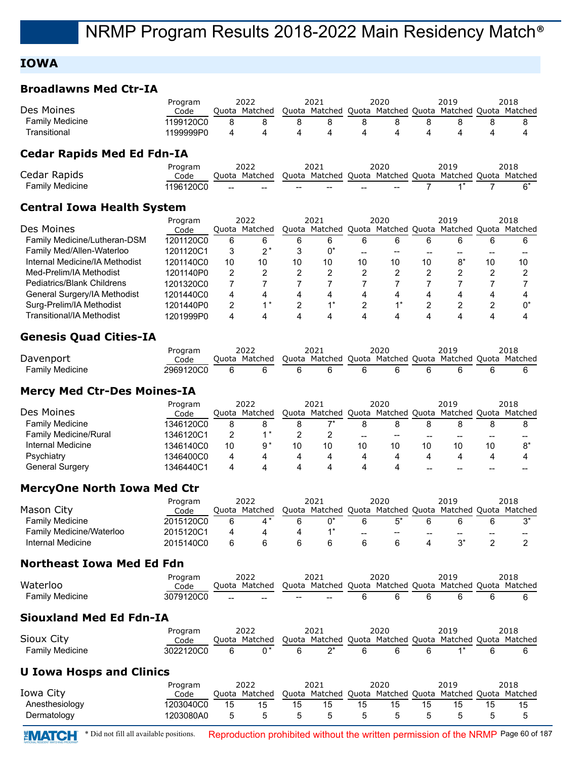## **IOWA**

#### **Broadlawns Med Ctr-IA**

| Des Moines                        | Program<br>Code |       | 2022<br>Quota Matched |    | 2021<br>Quota Matched Quota Matched Quota |                | 2020          |       | 2019<br>Matched Quota Matched |                | 2018    |
|-----------------------------------|-----------------|-------|-----------------------|----|-------------------------------------------|----------------|---------------|-------|-------------------------------|----------------|---------|
| <b>Family Medicine</b>            | 1199120C0       | 8     | 8                     | 8  | 8                                         | 8              | 8             | 8     | 8                             | 8              | 8       |
| Transitional                      | 1199999P0       | 4     | 4                     | 4  | 4                                         | 4              | 4             | 4     | 4                             | 4              | 4       |
| <b>Cedar Rapids Med Ed Fdn-IA</b> |                 |       |                       |    |                                           |                |               |       |                               |                |         |
|                                   | Program         |       | 2022                  |    | 2021                                      |                | 2020          |       | 2019                          |                | 2018    |
| Cedar Rapids                      | Code            |       | Quota Matched         |    | Quota Matched Quota Matched Quota         |                |               |       | Matched Quota                 |                | Matched |
| <b>Family Medicine</b>            | 1196120C0       |       |                       |    |                                           |                |               |       |                               |                | $6*$    |
| <b>Central Iowa Health System</b> |                 |       |                       |    |                                           |                |               |       |                               |                |         |
|                                   | Program         |       | 2022                  |    | 2021                                      |                | 2020          |       | 2019                          |                | 2018    |
| Des Moines                        | Code            | Quota | Matched               |    | Quota Matched                             |                | Quota Matched | Quota | Matched Quota                 |                | Matched |
| Family Medicine/Lutheran-DSM      | 1201120C0       | 6     | 6                     | 6  | 6                                         | 6              | 6             | 6     | 6                             | 6              | 6       |
| Family Med/Allen-Waterloo         | 1201120C1       | 3     | $2^*$                 | 3  | $0^*$                                     |                | --            |       |                               |                |         |
| Internal Medicine/IA Methodist    | 1201140C0       | 10    | 10                    | 10 | 10                                        | 10             | 10            | 10    | $8*$                          | 10             | 10      |
| Med-Prelim/IA Methodist           | 1201140P0       | 2     | 2                     | 2  | 2                                         | $\overline{2}$ | 2             | 2     | 2                             | $\overline{2}$ | 2       |
| <b>Pediatrics/Blank Childrens</b> | 1201320C0       |       |                       |    |                                           |                |               |       |                               |                |         |
| General Surgery/IA Methodist      | 1201440C0       | 4     | 4                     | 4  | 4                                         |                | 4             | 4     | 4                             |                |         |
| Surg-Prelim/IA Methodist          | 1201440P0       | 2     | $1*$                  | 2  | $4*$                                      | 2              | $1*$          | 2     | 2                             | 2              | 0*      |

### **Genesis Quad Cities-IA**

|                 |      |       |         |                                                         | 2020 |  |  |
|-----------------|------|-------|---------|---------------------------------------------------------|------|--|--|
| Davenport       | Code | Ouota | Matched | Ouota Matched Ouota Matched Ouota Matched Ouota Matched |      |  |  |
| Family Medicine |      |       |         |                                                         |      |  |  |

Transitional/IA Methodist 1201999P0 4 4 44 4 444 4 4

#### **Mercy Med Ctr-Des Moines-IA**

|                        | Program   |    | 2022          |    | 2021                                                    |       | 2020  |    | 2019 |    | 2018 |
|------------------------|-----------|----|---------------|----|---------------------------------------------------------|-------|-------|----|------|----|------|
| Des Moines             | Code      |    | Ouota Matched |    | Quota Matched Quota Matched Quota Matched Quota Matched |       |       |    |      |    |      |
| <b>Family Medicine</b> | 1346120C0 |    |               |    |                                                         |       |       |    |      |    |      |
| Family Medicine/Rural  | 1346120C1 |    |               |    |                                                         | $- -$ | $- -$ | -- |      | -- |      |
| Internal Medicine      | 1346140C0 | 10 |               | 10 | 10                                                      | 10    | 10    | 10 | 10   | 10 |      |
| Psychiatry             | 1346400C0 | 4  |               |    |                                                         | 4     |       |    |      |    |      |
| <b>General Surgery</b> | 1346440C1 | 4  |               |    |                                                         |       | 4     | -- | --   | -- |      |

#### **MercyOne North Iowa Med Ctr**

|                          | Program   |       | 2022    | 2021                              |     | 2020              |    | 2019          |    | 2018    |
|--------------------------|-----------|-------|---------|-----------------------------------|-----|-------------------|----|---------------|----|---------|
| Mason City               | Code      | Ouota | Matched | Quota Matched Quota Matched Quota |     |                   |    | Matched Quota |    | Matched |
| <b>Family Medicine</b>   | 2015120C0 |       |         |                                   |     |                   |    |               |    |         |
| Family Medicine/Waterloo | 2015120C1 |       |         |                                   | $-$ | $\hspace{0.05cm}$ | -- | --            | -- | --      |
| Internal Medicine        | 2015140C0 |       |         |                                   |     |                   |    |               |    |         |

#### **Northeast Iowa Med Ed Fdn**

|                        | Program   |        | 2022                     |        | 2021                     | 2020 | 2019                                                    | 2018 |
|------------------------|-----------|--------|--------------------------|--------|--------------------------|------|---------------------------------------------------------|------|
| Waterloo               | Code      |        | Ouota Matched            |        |                          |      | Ouota Matched Ouota Matched Ouota Matched Ouota Matched |      |
| <b>Family Medicine</b> | 3079120C0 | $\sim$ | <b>Contract Contract</b> | $\sim$ | $\overline{\phantom{a}}$ |      |                                                         |      |

#### **Siouxland Med Ed Fdn-IA**

|                 | Program   |       |         | 2021                                                    | 2020 | 2019 | 2018 |
|-----------------|-----------|-------|---------|---------------------------------------------------------|------|------|------|
| Sioux City      | Code      | Ouota | Matched | Ouota Matched Ouota Matched Ouota Matched Ouota Matched |      |      |      |
| Family Medicine | 3022120C0 |       |         |                                                         |      |      |      |

#### **U Iowa Hosps and Clinics**

| Iowa City      | Program<br>Code | 2022<br>Quota Matched |    | 2021<br>Quota Matched Quota Matched Quota Matched Quota Matched | 2020 |    | 2019 | 2018 |
|----------------|-----------------|-----------------------|----|-----------------------------------------------------------------|------|----|------|------|
| Anesthesiology | 1203040C0       | 15                    | 15 | 15                                                              | 15   | 15 |      | 15   |
| Dermatology    | 1203080A0       |                       | 5  |                                                                 | h.   |    |      |      |



**\*MATCH** \* Did not fill all available positions. Reproduction prohibited without the written permission of the NRMP Page 60 of 187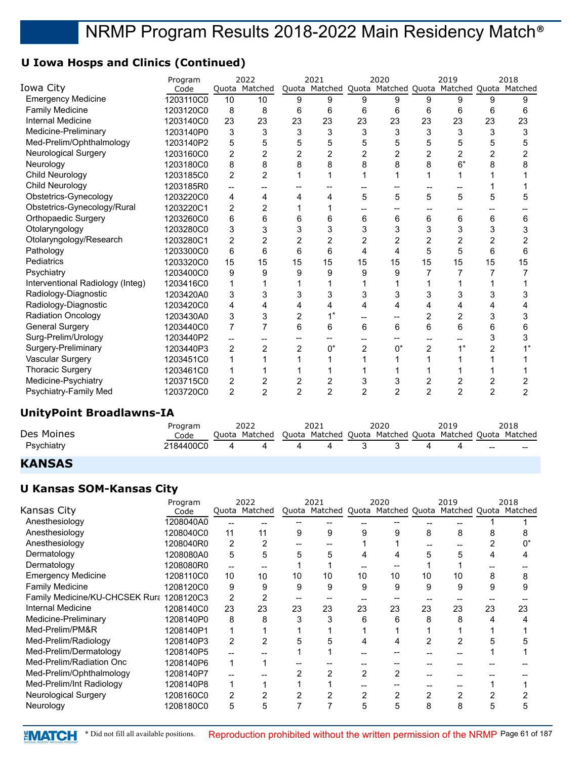## **U Iowa Hosps and Clinics (Continued)**

|                                  | Program   |                | 2022           |                   | 2021                    |                          | 2020                     |                | 2019                                                    |                | 2018           |
|----------------------------------|-----------|----------------|----------------|-------------------|-------------------------|--------------------------|--------------------------|----------------|---------------------------------------------------------|----------------|----------------|
| Iowa City                        | Code      |                | Quota Matched  |                   |                         |                          |                          |                | Quota Matched Quota Matched Quota Matched Quota Matched |                |                |
| <b>Emergency Medicine</b>        | 1203110C0 | 10             | 10             | 9                 | 9                       | 9                        | 9                        | 9              | 9                                                       | 9              | 9              |
| <b>Family Medicine</b>           | 1203120C0 | 8              | 8              | 6                 | 6                       | 6                        | 6                        | 6              | 6                                                       | 6              | 6              |
| <b>Internal Medicine</b>         | 1203140C0 | 23             | 23             | 23                | 23                      | 23                       | 23                       | 23             | 23                                                      | 23             | 23             |
| Medicine-Preliminary             | 1203140P0 | 3              | 3              | 3                 | 3                       | 3                        | 3                        | 3              | 3                                                       | 3              | 3              |
| Med-Prelim/Ophthalmology         | 1203140P2 | 5              | 5              | 5                 | 5                       | 5                        | 5                        | 5              | 5                                                       | 5              | 5              |
| <b>Neurological Surgery</b>      | 1203160C0 | $\overline{2}$ | $\overline{2}$ | $\overline{2}$    | $\overline{2}$          | $\overline{2}$           | 2                        | $\overline{2}$ | $\overline{2}$                                          | $\overline{2}$ | 2              |
| Neurology                        | 1203180C0 | 8              | 8              | 8                 | 8                       | 8                        | 8                        | 8              | $6*$                                                    | 8              | 8              |
| <b>Child Neurology</b>           | 1203185C0 | $\overline{c}$ | $\overline{2}$ | 1                 | 1                       | 1                        | 1                        | 1              | 1                                                       | 1              |                |
| <b>Child Neurology</b>           | 1203185R0 | $-$            | --             | --                | --                      | $-$                      | --                       | --             | --                                                      | 1              |                |
| Obstetrics-Gynecology            | 1203220C0 | 4              | 4              | 4                 | 4                       | 5                        | 5                        | 5              | 5                                                       | 5              | 5              |
| Obstetrics-Gynecology/Rural      | 1203220C1 | 2              | $\overline{2}$ | 1                 | 1                       |                          | $\overline{\phantom{a}}$ |                |                                                         |                |                |
| Orthopaedic Surgery              | 1203260C0 | 6              | 6              | 6                 | 6                       | 6                        | 6                        | 6              | 6                                                       | 6              | 6              |
| Otolaryngology                   | 1203280C0 | 3              | 3              | 3                 | 3                       | 3                        | 3                        | 3              | 3                                                       | 3              | 3              |
| Otolaryngology/Research          | 1203280C1 | $\overline{2}$ | $\overline{2}$ | $\overline{2}$    | $\overline{2}$          | $\overline{2}$           | $\overline{2}$           | $\overline{2}$ | $\overline{2}$                                          | $\overline{2}$ | 2              |
| Pathology                        | 1203300C0 | 6              | 6              | 6                 | 6                       | $\overline{\mathbf{A}}$  | 4                        | 5              | 5                                                       | 6              | 6              |
| Pediatrics                       | 1203320C0 | 15             | 15             | 15                | 15                      | 15                       | 15                       | 15             | 15                                                      | 15             | 15             |
| Psychiatry                       | 1203400C0 | 9              | 9              | 9                 | 9                       | 9                        | 9                        | 7              | 7                                                       | 7              | 7              |
| Interventional Radiology (Integ) | 1203416C0 | 1              | 1              | 1                 | 1                       | 1                        | 1                        | 1              |                                                         | 1              |                |
| Radiology-Diagnostic             | 1203420A0 | 3              | 3              | 3                 | 3                       | 3                        | 3                        | 3              | 3                                                       | 3              | 3              |
| Radiology-Diagnostic             | 1203420C0 | 4              | 4              | 4                 | 4                       | 4                        | 4                        | 4              | 4                                                       | 4              | 4              |
| <b>Radiation Oncology</b>        | 1203430A0 | 3              | 3              | $\overline{c}$    | $1^*$                   | $\overline{\phantom{a}}$ | $\overline{\phantom{a}}$ | $\overline{2}$ | $\overline{2}$                                          | 3              | 3              |
| <b>General Surgery</b>           | 1203440C0 | $\overline{7}$ | $\overline{7}$ | 6                 | 6                       | 6                        | 6                        | 6              | 6                                                       | 6              | 6              |
| Surg-Prelim/Urology              | 1203440P2 | --             | --             | $\hspace{0.05cm}$ | $- -$                   | --                       | $\hspace{0.05cm}$        | --             | --                                                      | 3              | 3              |
| Surgery-Preliminary              | 1203440P3 | $\overline{c}$ | $\overline{2}$ | $\overline{c}$    | $0^*$                   | $\overline{c}$           | $0^*$                    | $\overline{2}$ | $1^*$                                                   | 2              | $1^*$          |
| Vascular Surgery                 | 1203451C0 | 1              | 1              | 1                 | 1                       | 1                        | 1                        | 1              | 1                                                       | 1              |                |
| <b>Thoracic Surgery</b>          | 1203461C0 | 1              | 1              | 1                 | 1                       | 1                        | 1                        | 1              |                                                         | 1              |                |
| Medicine-Psychiatry              | 1203715C0 | 2              | $\overline{c}$ | $\overline{c}$    | $\overline{\mathbf{c}}$ | 3                        | 3                        | $\overline{c}$ | $\overline{\mathbf{c}}$                                 | $\overline{c}$ | 2              |
| Psychiatry-Family Med            | 1203720C0 | $\overline{c}$ | $\overline{2}$ | $\overline{2}$    | $\overline{2}$          | $\overline{2}$           | $\overline{2}$           | $\overline{2}$ | $\overline{2}$                                          | $\overline{2}$ | $\overline{2}$ |
| <b>UnityPoint Broadlawns-IA</b>  |           |                |                |                   |                         |                          |                          |                |                                                         |                |                |
|                                  | Program   |                | 2022           |                   | 2021                    |                          | 2020                     |                | 2019                                                    |                | 2018           |
| Des Moines                       | Code      |                | Quota Matched  |                   |                         |                          |                          |                | Quota Matched Quota Matched Quota Matched Quota Matched |                |                |
| Psychiatry                       | 2184400C0 | 4              | 4              | 4                 | 4                       | 3                        | 3                        | 4              | 4                                                       |                |                |

## **KANSAS**

#### **U Kansas SOM-Kansas City**

|                                          | Program   |                | 2022          |    | 2021                                                    |    | 2020 |    | 2019 |    | 2018 |
|------------------------------------------|-----------|----------------|---------------|----|---------------------------------------------------------|----|------|----|------|----|------|
| Kansas City                              | Code      |                | Quota Matched |    | Quota Matched Quota Matched Quota Matched Quota Matched |    |      |    |      |    |      |
| Anesthesiology                           | 1208040A0 |                |               |    |                                                         |    |      |    |      |    |      |
| Anesthesiology                           | 1208040C0 | 11             | 11            | 9  | 9                                                       | 9  | 9    | 8  | 8    | 8  |      |
| Anesthesiology                           | 1208040R0 | 2              |               |    |                                                         |    |      |    |      |    |      |
| Dermatology                              | 1208080A0 | 5              | 5             | 5  | 5                                                       |    | 4    | 5  | 5    |    |      |
| Dermatology                              | 1208080R0 | --             |               |    |                                                         |    |      |    |      |    |      |
| <b>Emergency Medicine</b>                | 1208110C0 | 10             | 10            | 10 | 10                                                      | 10 | 10   | 10 | 10   | 8  |      |
| <b>Family Medicine</b>                   | 1208120C0 | 9              | 9             | 9  | 9                                                       | 9  | 9    | 9  | 9    | 9  | 9    |
| Family Medicine/KU-CHCSEK Rura 1208120C3 |           | $\overline{2}$ | 2             |    |                                                         |    |      |    |      |    |      |
| Internal Medicine                        | 1208140C0 | 23             | 23            | 23 | 23                                                      | 23 | 23   | 23 | 23   | 23 | 23   |
| Medicine-Preliminary                     | 1208140P0 | 8              | 8             |    | 3                                                       | 6  | 6    | 8  | 8    |    |      |
| Med-Prelim/PM&R                          | 1208140P1 |                |               |    |                                                         |    |      |    |      |    |      |
| Med-Prelim/Radiology                     | 1208140P3 | 2              | 2             |    | 5                                                       |    |      | 2  |      |    |      |
| Med-Prelim/Dermatology                   | 1208140P5 |                |               |    |                                                         |    |      |    |      |    |      |
| Med-Prelim/Radiation Onc                 | 1208140P6 |                |               |    |                                                         |    |      |    |      |    |      |
| Med-Prelim/Ophthalmology                 | 1208140P7 |                |               |    | 2                                                       | 2  | 2    |    |      |    |      |
| Med-Prelim/Int Radiology                 | 1208140P8 | 1              |               |    |                                                         |    |      |    |      |    |      |
| <b>Neurological Surgery</b>              | 1208160C0 | 2              |               |    | 2                                                       | 2  | 2    | 2  |      |    |      |
| Neurology                                | 1208180C0 | 5              | :C            |    |                                                         | 5  | 5    | 8  | 8    | ກ  | h.   |
|                                          |           |                |               |    |                                                         |    |      |    |      |    |      |

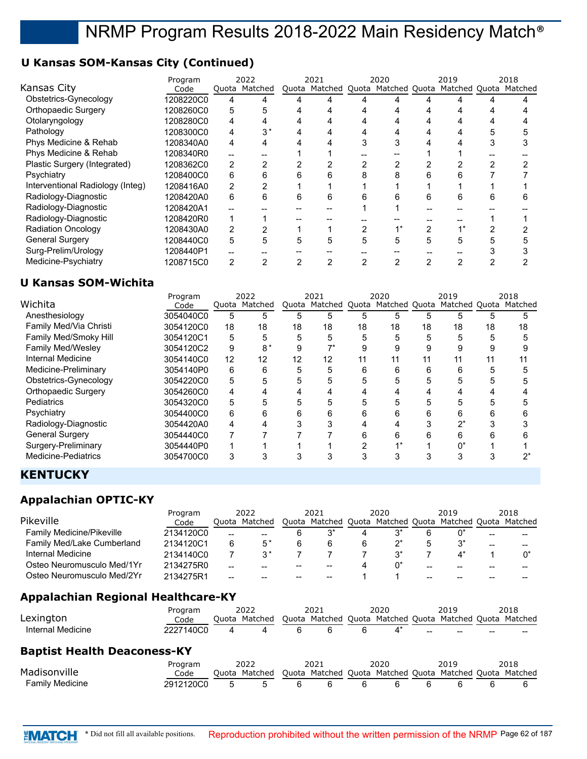## **U Kansas SOM-Kansas City (Continued)**

|                                  | Program   |   | 2022          |   | 2021                                                    |   | 2020 |   | 2019 |   | 2018 |
|----------------------------------|-----------|---|---------------|---|---------------------------------------------------------|---|------|---|------|---|------|
| Kansas City                      | Code      |   | Quota Matched |   | Quota Matched Quota Matched Quota Matched Quota Matched |   |      |   |      |   |      |
| Obstetrics-Gynecology            | 1208220C0 | 4 |               |   |                                                         |   |      |   |      |   |      |
| <b>Orthopaedic Surgery</b>       | 1208260C0 | 5 | n.            |   |                                                         |   | 4    |   |      |   |      |
| Otolaryngology                   | 1208280C0 | 4 |               |   | 4                                                       |   | 4    |   |      |   |      |
| Pathology                        | 1208300C0 | 4 | $3^*$         |   | 4                                                       |   | 4    |   |      |   |      |
| Phys Medicine & Rehab            | 1208340A0 | 4 |               |   |                                                         |   | 3    |   |      |   |      |
| Phys Medicine & Rehab            | 1208340R0 |   |               |   |                                                         |   |      |   |      |   |      |
| Plastic Surgery (Integrated)     | 1208362C0 | 2 |               |   |                                                         |   | ⌒    | ◠ |      |   |      |
| Psychiatry                       | 1208400C0 | 6 | հ             |   | 6                                                       |   | 8    | 6 |      |   |      |
| Interventional Radiology (Integ) | 1208416A0 | 2 |               |   |                                                         |   |      |   |      |   |      |
| Radiology-Diagnostic             | 1208420A0 | 6 | 6             | 6 | 6                                                       | 6 | n    | 6 | 6    | 6 |      |
| Radiology-Diagnostic             | 1208420A1 |   |               |   |                                                         |   |      |   |      |   |      |
| Radiology-Diagnostic             | 1208420R0 |   |               |   |                                                         |   |      |   |      |   |      |
| <b>Radiation Oncology</b>        | 1208430A0 | 2 |               |   |                                                         |   |      |   |      |   |      |
| <b>General Surgery</b>           | 1208440C0 | 5 |               |   | 5                                                       |   | 5    | 5 |      |   |      |
| Surg-Prelim/Urology              | 1208440P1 |   |               |   |                                                         |   |      |   |      |   |      |
| Medicine-Psychiatry              | 1208715C0 | 2 |               |   |                                                         |   |      |   |      |   |      |

## **U Kansas SOM-Wichita**

|                            | Program   |    | 2022          |    | 2021                                                    |    | 2020 |    | 2019 |    | 2018 |
|----------------------------|-----------|----|---------------|----|---------------------------------------------------------|----|------|----|------|----|------|
| Wichita                    | Code      |    | Quota Matched |    | Quota Matched Quota Matched Quota Matched Quota Matched |    |      |    |      |    |      |
| Anesthesiology             | 3054040C0 | 5  | 5             | 5  | 5                                                       | 5  | 5    | 5  | 5    | 5  |      |
| Family Med/Via Christi     | 3054120C0 | 18 | 18            | 18 | 18                                                      | 18 | 18   | 18 | 18   | 18 | 18   |
| Family Med/Smoky Hill      | 3054120C1 | 5  | 5             | 5  | 5                                                       | 5  | 5    | 5  | 5    |    | 5    |
| <b>Family Med/Wesley</b>   | 3054120C2 | 9  | $8*$          |    |                                                         |    |      | 9  | 9    |    |      |
| Internal Medicine          | 3054140C0 | 12 | 12            | 12 | 12                                                      | 11 | 11   |    | 11   | 11 |      |
| Medicine-Preliminary       | 3054140P0 | 6  | 6             |    | 5                                                       | 6  | 6    | 6  | 6    |    |      |
| Obstetrics-Gynecology      | 3054220C0 | 5  | 5             | 5  | 5                                                       | 5  | 5    | 5  | 5    | :C |      |
| <b>Orthopaedic Surgery</b> | 3054260C0 | 4  |               |    | 4                                                       |    |      |    |      |    |      |
| <b>Pediatrics</b>          | 3054320C0 | 5  | 5             |    | 5                                                       |    |      | 5  |      |    |      |
| Psychiatry                 | 3054400C0 | 6  | 6             | 6  | 6                                                       | 6  | 6    | 6  | 6    |    |      |
| Radiology-Diagnostic       | 3054420A0 | 4  |               |    |                                                         |    |      |    | ′^   |    |      |
| <b>General Surgery</b>     | 3054440C0 |    |               |    |                                                         |    | 6    | հ  | 6    |    |      |
| Surgery-Preliminary        | 3054440P0 |    |               |    |                                                         |    |      |    | 0*   |    |      |
| <b>Medicine-Pediatrics</b> | 3054700C0 | 3  |               |    | 3                                                       | 3  |      |    | 3    |    |      |

## **KENTUCKY**

## **Appalachian OPTIC-KY**

|                                  | Program   | 2022 |               | 2021 |                                   | 2020 |     | 2019 |                       |    | 2018 |
|----------------------------------|-----------|------|---------------|------|-----------------------------------|------|-----|------|-----------------------|----|------|
| Pikeville                        | Code      |      | Ouota Matched |      | Quota Matched Quota Matched Quota |      |     |      | Matched Quota Matched |    |      |
| <b>Family Medicine/Pikeville</b> | 2134120C0 | $-$  | --            |      |                                   |      | ير- |      |                       | -- |      |
| Family Med/Lake Cumberland       | 2134120C1 | 6    |               |      |                                   |      |     |      |                       | -- |      |
| Internal Medicine                | 2134140C0 |      | ?*            |      |                                   |      |     |      |                       |    |      |
| Osteo Neuromusculo Med/1Yr       | 2134275R0 | $-$  | --            | --   | --                                |      |     | --   | --                    |    |      |
| Osteo Neuromusculo Med/2Yr       | 2134275R1 | --   | --            | --   |                                   |      |     |      |                       |    |      |

## **Appalachian Regional Healthcare-KY**

|                   | Program   |       |         | 2021                                                    | 2020 | 2019  |       | 2018  |
|-------------------|-----------|-------|---------|---------------------------------------------------------|------|-------|-------|-------|
| Lexington         | Code      | Ouota | Matched | Quota Matched Quota Matched Quota Matched Quota Matched |      |       |       |       |
| Internal Medicine | 2227140C0 |       |         |                                                         |      | $- -$ | $- -$ | $- -$ |

#### **Baptist Health Deaconess-KY**

|                 | Program   |       |         |       | 2021 | 2020 |  | 2018                                              |
|-----------------|-----------|-------|---------|-------|------|------|--|---------------------------------------------------|
| Madisonville    | Code      | Ouota | Matched | Ouota |      |      |  | Matched Ouota Matched Ouota Matched Ouota Matched |
| Family Medicine | 2912120C0 |       |         |       |      |      |  |                                                   |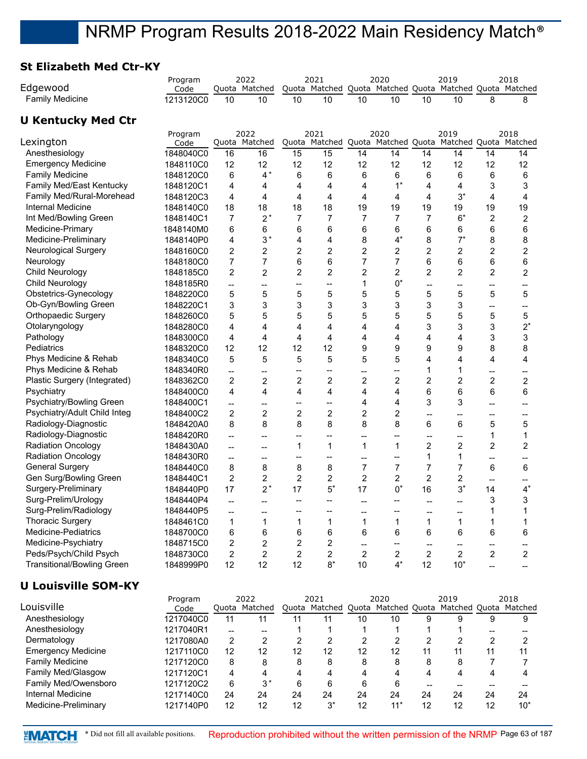## **St Elizabeth Med Ctr-KY**

|                                   | Program   |                                    | 2022                     |                                     | 2021                              |                               | 2020                 |                      | 2019                                                    |                          | 2018                    |
|-----------------------------------|-----------|------------------------------------|--------------------------|-------------------------------------|-----------------------------------|-------------------------------|----------------------|----------------------|---------------------------------------------------------|--------------------------|-------------------------|
| Edgewood                          | Code      |                                    | Quota Matched            |                                     |                                   |                               |                      |                      | Quota Matched Quota Matched Quota Matched Quota Matched |                          |                         |
| <b>Family Medicine</b>            | 1213120C0 | 10                                 | 10                       | 10                                  | 10                                | 10                            | 10                   | $\overline{10}$      | 10                                                      | 8                        | 8                       |
| <b>U Kentucky Med Ctr</b>         |           |                                    |                          |                                     |                                   |                               |                      |                      |                                                         |                          |                         |
|                                   | Program   |                                    | 2022                     |                                     | 2021                              |                               | 2020                 |                      | 2019                                                    |                          | 2018                    |
| Lexington                         | Code      |                                    | Quota Matched            |                                     | Quota Matched Quota Matched Quota |                               |                      |                      | Matched Quota                                           |                          | Matched                 |
| Anesthesiology                    | 1848040C0 | 16                                 | 16                       | 15                                  | 15                                | 14                            | 14                   | 14                   | 14                                                      | 14                       | 14                      |
| <b>Emergency Medicine</b>         | 1848110C0 | 12                                 | 12                       | 12                                  | 12                                | 12                            | 12                   | 12                   | 12                                                      | 12                       | 12                      |
| <b>Family Medicine</b>            | 1848120C0 | 6                                  | $4*$                     | 6                                   | 6                                 | 6                             | 6                    | 6                    | 6                                                       | 6                        | 6                       |
| <b>Family Med/East Kentucky</b>   | 1848120C1 | 4                                  | 4                        | 4                                   | 4                                 | 4                             | $1^*$                | 4                    | 4                                                       | 3                        | 3                       |
| Family Med/Rural-Morehead         | 1848120C3 | 4                                  | 4                        | 4                                   | $\overline{4}$                    | 4                             | 4                    | $\overline{4}$       | $3^*$                                                   | 4                        | 4                       |
| Internal Medicine                 | 1848140C0 | 18                                 | 18                       | 18                                  | 18                                | 19                            | 19                   | 19                   | 19                                                      | 19                       | 19                      |
| Int Med/Bowling Green             | 1848140C1 | $\overline{7}$                     | $2^*$                    | $\overline{7}$                      | $\overline{7}$                    | $\overline{7}$                | $\overline{7}$       | $\overline{7}$       | $6*$                                                    | $\overline{2}$           | 2                       |
| Medicine-Primary                  | 1848140M0 | 6                                  | 6                        | 6                                   | $6\phantom{1}6$                   | 6                             | 6                    | 6                    | 6                                                       | 6                        | 6                       |
| Medicine-Preliminary              | 1848140P0 | 4                                  | $3*$                     | 4                                   | 4                                 | 8                             | $4^*$                | 8                    | $7^*$                                                   | 8                        | 8                       |
| Neurological Surgery              | 1848160C0 | $\boldsymbol{2}$                   | $\overline{\mathbf{c}}$  | 2                                   | 2                                 | $\boldsymbol{2}$              | $\overline{c}$       | $\overline{c}$       | 2                                                       | $\overline{\mathbf{c}}$  | $\overline{\mathbf{c}}$ |
| Neurology                         | 1848180C0 | $\overline{7}$                     | $\overline{7}$           | 6                                   | $\,6$                             | $\overline{7}$                | $\overline{7}$       | 6                    | 6                                                       | 6                        | 6                       |
| Child Neurology                   | 1848185C0 | $\overline{2}$                     | $\overline{2}$           | $\overline{c}$                      | $\overline{c}$                    | $\overline{c}$                | $\overline{2}$       | $\overline{c}$       | $\overline{c}$                                          | $\overline{c}$           | $\overline{c}$          |
| Child Neurology                   | 1848185R0 | --                                 | --                       | $\overline{\phantom{a}}$            | $\overline{\phantom{a}}$          | $\mathbf 1$                   | 0*                   | --                   | $\overline{a}$                                          | --                       | --                      |
| Obstetrics-Gynecology             | 1848220C0 | 5                                  | 5                        | 5                                   | 5                                 | 5                             | 5                    | 5                    | 5                                                       | 5                        | 5                       |
| Ob-Gyn/Bowling Green              | 1848220C1 | 3                                  | 3                        | 3                                   | 3                                 | 3                             | 3                    | 3                    | 3                                                       | --                       | --                      |
| Orthopaedic Surgery               | 1848260C0 | 5                                  | 5                        | 5                                   | 5                                 | 5                             | 5                    | 5                    | 5                                                       | 5                        | 5                       |
| Otolaryngology                    | 1848280C0 | 4                                  | $\overline{4}$           | 4                                   | 4                                 | 4                             | 4                    | 3                    | 3                                                       | 3                        | $2^*$                   |
| Pathology                         | 1848300C0 | 4                                  | $\overline{4}$           | 4                                   | $\overline{4}$                    | 4                             | 4                    | 4                    | 4                                                       | 3                        | 3                       |
| Pediatrics                        | 1848320C0 | 12                                 | 12                       | 12                                  | 12                                | 9                             | 9                    | 9                    | 9                                                       | 8                        | 8                       |
| Phys Medicine & Rehab             | 1848340C0 | 5                                  | 5                        | 5                                   | 5                                 | 5                             | 5                    | $\overline{4}$       | 4                                                       | 4                        | 4                       |
| Phys Medicine & Rehab             | 1848340R0 | $-$                                | $\overline{a}$           | --                                  | $\overline{\phantom{a}}$          | --                            | $\overline{a}$       | 1                    | 1                                                       | --                       | --                      |
| Plastic Surgery (Integrated)      | 1848362C0 | $\overline{c}$                     | $\overline{c}$           | $\overline{c}$                      | $\overline{2}$                    | $\overline{c}$                | $\overline{c}$       | $\overline{2}$       | $\overline{2}$                                          | $\overline{c}$           | $\overline{c}$          |
| Psychiatry                        | 1848400C0 | $\overline{4}$                     | $\overline{\mathbf{4}}$  | 4                                   | 4                                 | 4                             | 4                    | 6                    | 6                                                       | 6                        | 6                       |
| Psychiatry/Bowling Green          | 1848400C1 | $\overline{\phantom{a}}$           | --                       | --                                  | $\overline{\phantom{a}}$          | 4                             | 4                    | 3                    | 3                                                       | --                       | --                      |
| Psychiatry/Adult Child Integ      | 1848400C2 | $\overline{c}$                     | $\overline{2}$           | $\overline{c}$                      | $\overline{c}$                    | $\overline{c}$                | $\overline{c}$       | --                   | --                                                      | --                       | $-$                     |
| Radiology-Diagnostic              | 1848420A0 | 8                                  | 8                        | 8                                   | 8                                 | 8                             | 8                    | 6                    | 6                                                       | 5                        | 5                       |
| Radiology-Diagnostic              | 1848420R0 | $\overline{a}$                     | $\overline{\phantom{0}}$ | --                                  |                                   | $\overline{\phantom{a}}$      | $\overline{a}$       | --                   | $\overline{\phantom{a}}$                                | 1                        | $\mathbf{1}$            |
| <b>Radiation Oncology</b>         | 1848430A0 | --                                 | --                       | $\mathbf{1}$                        | 1                                 | $\mathbf{1}$                  | $\mathbf{1}$         | $\overline{2}$       | $\overline{2}$                                          | $\overline{\mathbf{c}}$  | $\overline{\mathbf{c}}$ |
| <b>Radiation Oncology</b>         | 1848430R0 | --                                 | --                       | $-$                                 | $\overline{\phantom{a}}$          | --                            | --                   | 1                    | 1                                                       | --                       | --                      |
| <b>General Surgery</b>            | 1848440C0 | 8                                  | 8                        | 8                                   | 8                                 | $\overline{7}$                | $\overline{7}$       | $\overline{7}$       | 7                                                       | 6                        | 6                       |
| Gen Surg/Bowling Green            | 1848440C1 | $\overline{c}$                     | $\overline{c}$           | $\overline{c}$                      | $\overline{c}$                    | $\overline{c}$                | $\overline{2}$       | $\overline{c}$       | 2                                                       | $\overline{\phantom{a}}$ | --                      |
| Surgery-Preliminary               | 1848440P0 | 17                                 | $2^*$                    | 17                                  | $5^*$                             | 17                            | $0^*$                | 16                   | $3^*$                                                   | 14                       | $4^*$                   |
| Surg-Prelim/Urology               | 1848440P4 |                                    |                          | --                                  | --                                |                               | --                   |                      |                                                         | 3                        | 3                       |
| Surg-Prelim/Radiology             | 1848440P5 | $\overline{\phantom{a}}$           | $\overline{a}$<br>--     | $\hspace{0.05cm}$ $\hspace{0.05cm}$ | $\overline{\phantom{a}}$          | --                            | --                   | --                   | $\overline{\phantom{a}}$                                | $\mathbf{1}$             | 1                       |
| <b>Thoracic Surgery</b>           | 1848461C0 | --<br>$\mathbf 1$                  | 1                        | 1                                   | $\mathbf 1$                       | $\overline{a}$<br>$\mathbf 1$ | 1                    | --<br>1              | --<br>1                                                 | 1                        | 1                       |
| Medicine-Pediatrics               | 1848700C0 | $6\phantom{1}$                     | 6                        | 6                                   | 6                                 | 6                             | 6                    | 6                    | 6                                                       | 6                        | 6                       |
| Medicine-Psychiatry               |           |                                    |                          |                                     |                                   |                               |                      |                      |                                                         |                          |                         |
| Peds/Psych/Child Psych            | 1848715C0 | $\boldsymbol{2}$<br>$\overline{c}$ | 2<br>$\overline{2}$      | 2<br>$\overline{c}$                 | 2<br>$\overline{\mathbf{c}}$      | $-$<br>$\overline{c}$         | --<br>$\overline{c}$ | --<br>$\overline{c}$ | --<br>$\overline{c}$                                    | --<br>$\overline{2}$     | --<br>$\overline{c}$    |
| <b>Transitional/Bowling Green</b> | 1848730C0 | 12                                 | 12                       | 12                                  | 8*                                |                               | $4^*$                | 12                   | $10*$                                                   |                          |                         |
|                                   | 1848999P0 |                                    |                          |                                     |                                   | 10                            |                      |                      |                                                         | --                       | $\overline{a}$          |

## **U Louisville SOM-KY**

|                           | Program   | 2022 |               |    | 2021                                                    |    | 2020  |    | 2019 |    | 2018   |
|---------------------------|-----------|------|---------------|----|---------------------------------------------------------|----|-------|----|------|----|--------|
| Louisville                | Code      |      | Quota Matched |    | Quota Matched Quota Matched Quota Matched Quota Matched |    |       |    |      |    |        |
| Anesthesiology            | 1217040C0 | 11   | 11            |    | 11                                                      | 10 | 10    | 9  |      | 9  | 9      |
| Anesthesiology            | 1217040R1 | --   |               |    |                                                         |    |       |    |      |    |        |
| Dermatology               | 1217080A0 | 2    |               |    |                                                         |    |       |    |      | 2  |        |
| <b>Emergency Medicine</b> | 1217110C0 | 12   | 12            | 12 | 12                                                      | 12 | 12    | 11 |      | 11 | 11     |
| <b>Family Medicine</b>    | 1217120C0 | 8    |               | 8  | 8                                                       | 8  | 8     |    | 8    |    |        |
| <b>Family Med/Glasgow</b> | 1217120C1 | 4    | 4             | 4  |                                                         | 4  |       |    |      | 4  |        |
| Family Med/Owensboro      | 1217120C2 | 6    | $3^*$         | 6  | 6                                                       | 6  | 6     |    |      |    |        |
| Internal Medicine         | 1217140C0 | 24   | 24            | 24 | 24                                                      | 24 | 24    | 24 | 24   | 24 | 24     |
| Medicine-Preliminary      | 1217140P0 | 12   | 12            | 12 | $3^*$                                                   | 12 | $11*$ | 12 | 12   | 12 | $10^*$ |

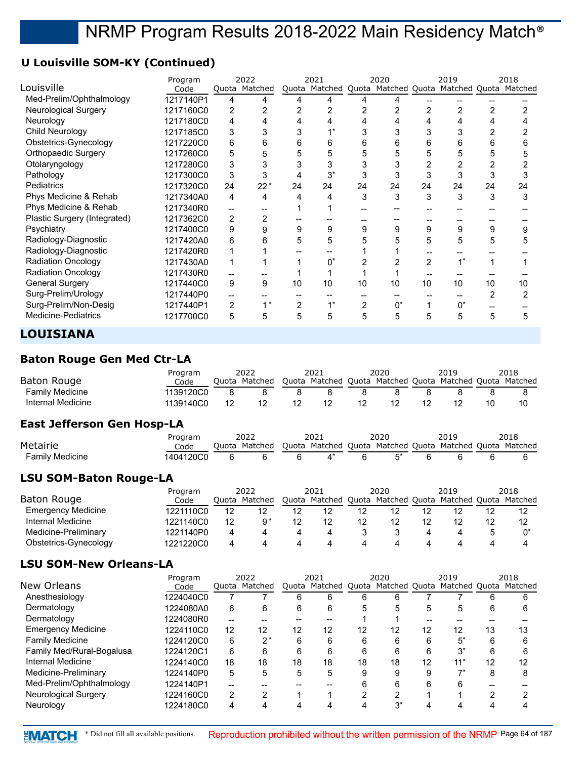## **U Louisville SOM-KY (Continued)**

| Program   |                |       |                       |       |                |               |                | 2019  |    | 2018                                      |
|-----------|----------------|-------|-----------------------|-------|----------------|---------------|----------------|-------|----|-------------------------------------------|
| Code      |                |       |                       |       |                |               |                |       |    |                                           |
| 1217140P1 | 4              | 4     | 4                     | 4     |                |               |                |       |    |                                           |
| 1217160C0 | 2              |       |                       |       |                |               | 2              |       |    |                                           |
| 1217180C0 | 4              | 4     |                       |       |                |               | 4              |       |    |                                           |
| 1217185C0 | 3              | 3     | 3                     |       |                | 3             | 3              |       |    |                                           |
| 1217220C0 | 6              | 6     | 6                     | 6     | 6              | 6             | 6              | 6     | 6  | 6                                         |
| 1217260C0 | 5              | 5     |                       | 5     |                | 5             | 5              | 5     |    |                                           |
| 1217280C0 | 3              | 3     |                       | 3     | 3              | 3             | 2              |       |    |                                           |
| 1217300C0 | 3              | 3     | 4                     | $3^*$ |                | 3             | 3              |       | 3  |                                           |
| 1217320C0 | 24             | $22*$ | 24                    | 24    | 24             | 24            | 24             | 24    | 24 | 24                                        |
| 1217340A0 | 4              | 4     | 4                     | 4     | 3              | 3             | 3              | 3     | 3  | 3                                         |
| 1217340R0 |                |       |                       |       |                |               |                |       |    |                                           |
| 1217362C0 | $\overline{2}$ | 2     |                       |       |                |               |                |       |    |                                           |
| 1217400C0 | 9              | 9     | 9                     | 9     | 9              | 9             | 9              | 9     | 9  | 9                                         |
| 1217420A0 | 6              | 6     | 5                     | 5     | 5              | 5             | 5              | 5     | 5  | 5                                         |
| 1217420R0 |                |       |                       |       |                |               |                |       |    |                                           |
| 1217430A0 |                |       |                       | n*    |                |               | $\overline{2}$ | $1^*$ |    |                                           |
| 1217430R0 |                |       |                       |       |                |               |                |       |    |                                           |
| 1217440C0 | 9              | 9     | 10                    | 10    | 10             | 10            | 10             | 10    | 10 | 10                                        |
| 1217440P0 |                |       |                       |       |                |               |                |       |    |                                           |
| 1217440P1 | $\overline{2}$ | $1*$  | 2                     | $1^*$ | $\overline{2}$ | $0^*$         |                | $0^*$ |    |                                           |
| 1217700C0 | 5              | 5     | 5                     | 5     | 5              | 5             | 5              | 5     | 5  | 5                                         |
|           |                |       | 2022<br>Quota Matched |       | 2021           | Quota Matched | 2020           |       |    | Quota Matched Quota Matched Quota Matched |

## **LOUISIANA**

### **Baton Rouge Gen Med Ctr-LA**

|                   | Program   | 2022          | 202:                                                    | 2020 | 2019 | 2018 |
|-------------------|-----------|---------------|---------------------------------------------------------|------|------|------|
| Baton Rouge       | Code      | Ouota Matched | Quota Matched Quota Matched Quota Matched Quota Matched |      |      |      |
| Family Medicine   | 1139120C0 |               |                                                         |      |      |      |
| Internal Medicine | 1139140C0 |               |                                                         |      |      |      |

#### **East Jefferson Gen Hosp-LA**

|                 | Program   |       | 2022    | 2021 | 2020 | 2019                                                    | 2018 |
|-----------------|-----------|-------|---------|------|------|---------------------------------------------------------|------|
| Metairie        | Code      | Ouota | Matched |      |      | Ouota Matched Ouota Matched Ouota Matched Ouota Matched |      |
| Family Medicine | 1404120C0 |       |         |      |      |                                                         |      |

#### **LSU SOM-Baton Rouge-LA**

|                           | Program   | 2022  |         | 2021 |                                   | 2020 |    | 2019 |               |    | 2018    |
|---------------------------|-----------|-------|---------|------|-----------------------------------|------|----|------|---------------|----|---------|
| Baton Rouge               | Code      | Ouota | Matched |      | Quota Matched Quota Matched Quota |      |    |      | Matched Quota |    | Matched |
| <b>Emergency Medicine</b> | 1221110C0 | 12    |         | 12   | 12                                | 12   |    |      |               | 12 |         |
| Internal Medicine         | 1221140C0 | 12    |         | 12   | 12                                | 12   | 12 |      |               | 12 | 12      |
| Medicine-Preliminary      | 1221140P0 | 4     |         |      |                                   |      |    |      |               |    |         |
| Obstetrics-Gynecology     | 1221220C0 | 4     |         |      |                                   |      |    |      |               |    |         |

#### **LSU SOM-New Orleans-LA**

|                             | Program   |       | 2022          |    | 2021                                            |    | 2020  |    | 2019  |    | 2018    |
|-----------------------------|-----------|-------|---------------|----|-------------------------------------------------|----|-------|----|-------|----|---------|
| New Orleans                 | Code      |       | Ouota Matched |    | Quota Matched Quota Matched Quota Matched Quota |    |       |    |       |    | Matched |
| Anesthesiology              | 1224040C0 |       |               | 6  | 6                                               | 6  | 6     |    |       | 6  |         |
| Dermatology                 | 1224080A0 | 6     | 6             | 6  | 6                                               | 5  | 5     | 5  | 5     | 6  | 6       |
| Dermatology                 | 1224080R0 | $- -$ |               |    |                                                 |    |       |    |       |    |         |
| <b>Emergency Medicine</b>   | 1224110C0 | 12    | 12            | 12 | 12                                              | 12 | 12    | 12 | 12    | 13 | 13      |
| <b>Family Medicine</b>      | 1224120C0 | 6     | $2^*$         | 6  | 6                                               | 6  | 6     | 6  | $5^*$ | 6  |         |
| Family Med/Rural-Bogalusa   | 1224120C1 | 6     | 6             | 6  | 6                                               | 6  | 6     | 6  | $3^*$ | 6  |         |
| Internal Medicine           | 1224140C0 | 18    | 18            | 18 | 18                                              | 18 | 18    | 12 | $11*$ | 12 | 12      |
| Medicine-Preliminary        | 1224140P0 | 5     | 5             | 5  | 5                                               | 9  | 9     | 9  | ⇁     | 8  | 8       |
| Med-Prelim/Ophthalmology    | 1224140P1 |       |               |    |                                                 | 6  | 6     | 6  | 6     |    |         |
| <b>Neurological Surgery</b> | 1224160C0 | 2     |               |    |                                                 |    | ົ     |    |       |    |         |
| Neurology                   | 1224180C0 | 4     |               |    | Δ                                               |    | $3^*$ |    |       |    |         |

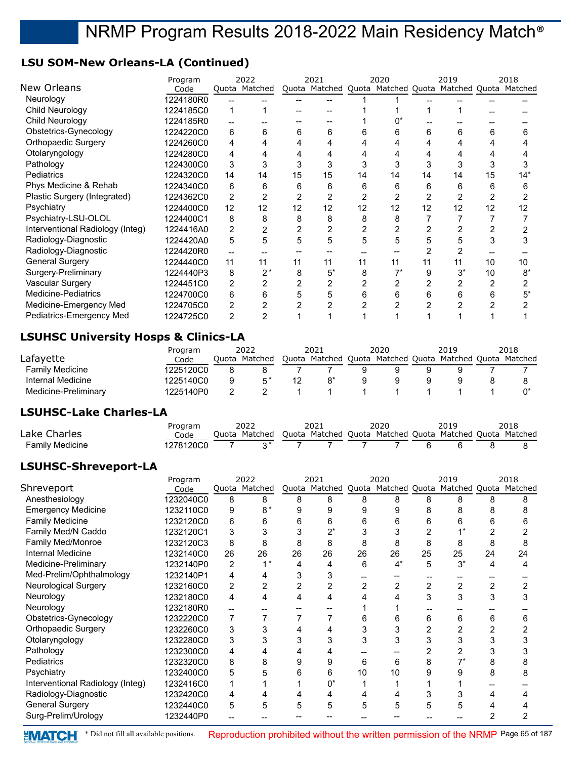## **LSU SOM-New Orleans-LA (Continued)**

|                                  | Program   |                | 2022          |    | 2021                                                    |    | 2020 |    | 2019  |    | 2018  |
|----------------------------------|-----------|----------------|---------------|----|---------------------------------------------------------|----|------|----|-------|----|-------|
| New Orleans                      | Code      |                | Quota Matched |    | Quota Matched Quota Matched Quota Matched Quota Matched |    |      |    |       |    |       |
| Neurology                        | 1224180R0 |                |               |    |                                                         |    |      |    |       |    |       |
| Child Neurology                  | 1224185C0 |                |               |    |                                                         |    |      |    |       |    |       |
| Child Neurology                  | 1224185R0 |                |               |    |                                                         |    |      |    |       |    |       |
| Obstetrics-Gynecology            | 1224220C0 | 6              | 6             | 6  | 6                                                       |    | 6    | 6  | 6     | 6  | 6     |
| Orthopaedic Surgery              | 1224260C0 | 4              |               |    | 4                                                       |    |      |    |       |    |       |
| Otolaryngology                   | 1224280C0 | 4              | 4             |    | 4                                                       |    |      | 4  |       |    |       |
| Pathology                        | 1224300C0 | 3              | 3             | 3  | 3                                                       |    | 3    | 3  |       | 3  |       |
| <b>Pediatrics</b>                | 1224320C0 | 14             | 14            | 15 | 15                                                      | 14 | 14   | 14 | 14    | 15 | $14*$ |
| Phys Medicine & Rehab            | 1224340C0 | 6              | 6             | 6  | 6                                                       | 6  | 6    | 6  | 6     | 6  | 6     |
| Plastic Surgery (Integrated)     | 1224362C0 | 2              | 2             |    | $\overline{2}$                                          |    | 2    | 2  |       |    |       |
| Psychiatry                       | 1224400C0 | 12             | 12            | 12 | 12                                                      | 12 | 12   | 12 | 12    | 12 | 12    |
| Psychiatry-LSU-OLOL              | 1224400C1 | 8              | 8             | 8  | 8                                                       | 8  | 8    |    |       |    |       |
| Interventional Radiology (Integ) | 1224416A0 | $\overline{2}$ | 2             |    | $\overline{2}$                                          |    | 2    |    |       |    |       |
| Radiology-Diagnostic             | 1224420A0 | 5              | 5             | 5  | 5                                                       | 5  | 5    | 5  |       |    | 3     |
| Radiology-Diagnostic             | 1224420R0 |                |               |    |                                                         |    |      |    |       |    |       |
| <b>General Surgery</b>           | 1224440C0 | 11             | 11            | 11 | 11                                                      | 11 | 11   | 11 | 11    | 10 | 10    |
| Surgery-Preliminary              | 1224440P3 | 8              | 2*            | 8  | $5^*$                                                   | 8  |      | 9  | $3^*$ | 10 | $8*$  |
| Vascular Surgery                 | 1224451C0 | 2              |               |    | 2                                                       |    |      | 2  |       |    |       |
| <b>Medicine-Pediatrics</b>       | 1224700C0 | 6              | 6             |    | 5                                                       | 6  | 6    | 6  | 6     | 6  |       |
| Medicine-Emergency Med           | 1224705C0 | $\overline{2}$ |               |    |                                                         |    |      | 2  |       |    |       |
| Pediatrics-Emergency Med         | 1224725C0 | $\overline{2}$ |               |    |                                                         |    |      |    |       |    |       |

### **LSUHSC University Hosps & Clinics-LA**

|                        | Program   |       | 2022    |       | 2021          |   | 2020          | 2019                  | 2018 |
|------------------------|-----------|-------|---------|-------|---------------|---|---------------|-----------------------|------|
| Lafayette              | Code      | Ouota | Matched | Quota | Matched Quota |   | Matched Quota | Matched Quota Matched |      |
| <b>Family Medicine</b> | 1225120C0 |       |         |       |               |   |               |                       |      |
| Internal Medicine      | 1225140C0 |       |         | 12    |               | a |               |                       |      |
| Medicine-Preliminary   | 1225140P0 |       |         |       |               |   |               |                       |      |

## **LSUHSC-Lake Charles-LA**

|                        | Proaram   |       | 2022    |  | 2020 |                                                         | 2018 |
|------------------------|-----------|-------|---------|--|------|---------------------------------------------------------|------|
| Lake Charles           | Code      | Ouota | Matched |  |      | Quota Matched Quota Matched Quota Matched Quota Matched |      |
| <b>Family Medicine</b> | 1278120C0 |       |         |  |      |                                                         |      |

## **LSUHSC-Shreveport-LA**

|                                  | Program   |    | 2022          |    | 2021  |    | 2020  |    | 2019                                                    |    | 2018 |
|----------------------------------|-----------|----|---------------|----|-------|----|-------|----|---------------------------------------------------------|----|------|
| Shreveport                       | Code      |    | Quota Matched |    |       |    |       |    | Quota Matched Quota Matched Quota Matched Quota Matched |    |      |
| Anesthesiology                   | 1232040C0 | 8  | 8             | 8  | 8     | 8  | 8     | 8  | 8                                                       | 8  | 8    |
| <b>Emergency Medicine</b>        | 1232110C0 | 9  | $8*$          | 9  | 9     | 9  | 9     | 8  |                                                         |    |      |
| <b>Family Medicine</b>           | 1232120C0 | 6  | 6             | 6  | 6     |    | 6     | 6  |                                                         |    |      |
| Family Med/N Caddo               | 1232120C1 | 3  | 3             |    | $2^*$ |    | 3     | 2  |                                                         |    |      |
| Family Med/Monroe                | 1232120C3 | 8  | 8             | 8  | 8     | 8  | 8     | 8  | 8                                                       | 8  | 8    |
| <b>Internal Medicine</b>         | 1232140C0 | 26 | 26            | 26 | 26    | 26 | 26    | 25 | 25                                                      | 24 | 24   |
| Medicine-Preliminary             | 1232140P0 | 2  |               |    | 4     | 6  | $4^*$ | 5  | $3^*$                                                   | 4  |      |
| Med-Prelim/Ophthalmology         | 1232140P1 | 4  | 4             |    | 3     |    |       |    |                                                         |    |      |
| Neurological Surgery             | 1232160C0 | 2  |               |    | 2     |    |       | 2  |                                                         |    |      |
| Neurology                        | 1232180C0 | 4  | 4             |    | 4     |    |       | 3  | 3                                                       | 3  | 3    |
| Neurology                        | 1232180R0 |    |               |    |       |    |       |    |                                                         |    |      |
| Obstetrics-Gynecology            | 1232220C0 |    |               |    |       | 6  | 6     | 6  | 6                                                       | 6  | 6    |
| Orthopaedic Surgery              | 1232260C0 | 3  |               |    | 4     |    | 3     |    |                                                         |    |      |
| Otolaryngology                   | 1232280C0 | 3  |               |    | 3     |    | 3     | 3  |                                                         |    |      |
| Pathology                        | 1232300C0 | 4  |               |    | 4     |    |       |    |                                                         |    |      |
| Pediatrics                       | 1232320C0 | 8  | 8             | 9  | 9     | 6  | 6     | 8  |                                                         | 8  |      |
| Psychiatry                       | 1232400C0 | 5  |               | 6  | 6     | 10 | 10    | 9  | 9                                                       | 8  |      |
| Interventional Radiology (Integ) | 1232416C0 | 1  |               |    | 0*    |    |       |    |                                                         |    |      |
| Radiology-Diagnostic             | 1232420C0 | 4  |               |    | 4     |    | 4     | 3  |                                                         |    |      |
| <b>General Surgery</b>           | 1232440C0 | 5  | 5             | 5  | 5     | 5  | 5     | 5  | 5                                                       |    |      |
| Surg-Prelim/Urology              | 1232440P0 |    |               |    |       |    |       |    |                                                         |    |      |
|                                  |           |    |               |    |       |    |       |    |                                                         |    |      |

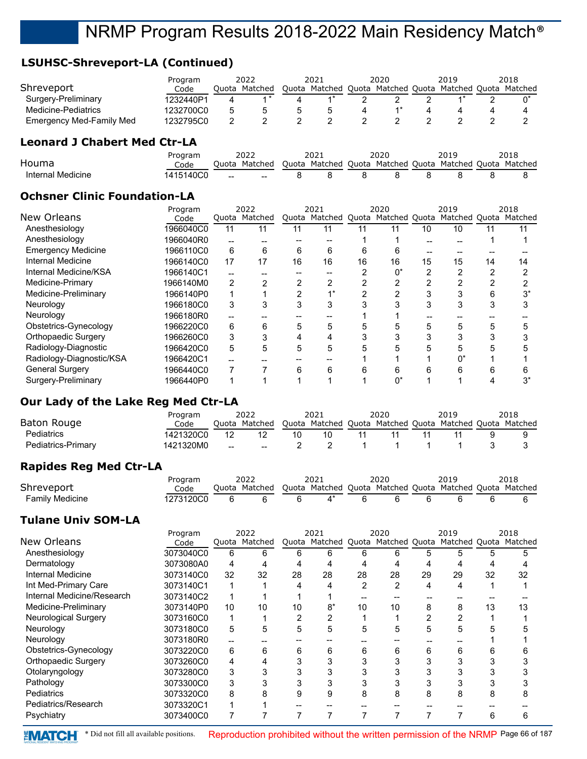## **LSUHSC-Shreveport-LA (Continued)**

|                          | Program   | 2022  |         | 2021  |         | 2020  |               | 2019 |                       | 2018 |
|--------------------------|-----------|-------|---------|-------|---------|-------|---------------|------|-----------------------|------|
| Shreveport               | Code      | Juota | Matched | Quota | Matched | Quota | Matched Quota |      | Matched Quota Matched |      |
| Surgery-Preliminary      | 1232440P1 |       |         |       |         |       |               |      |                       |      |
| Medicine-Pediatrics      | 1232700C0 |       |         |       |         |       |               |      |                       |      |
| Emergency Med-Family Med | 1232795C0 |       |         |       |         |       |               |      |                       |      |

### **Leonard J Chabert Med Ctr-LA**

|                   | Program   |       | 2022          | 2021                                                    | 2020 | 2019 | 2018 |
|-------------------|-----------|-------|---------------|---------------------------------------------------------|------|------|------|
| Houma             | Code      |       | Ouota Matched | Ouota Matched Ouota Matched Ouota Matched Ouota Matched |      |      |      |
| Internal Medicine | 1415140C0 | $- -$ | $- -$         |                                                         |      |      |      |

## **Ochsner Clinic Foundation-LA**

|                            | Program   |    | 2022          |    | 2021                              |    | 2020  |    | 2019                  |    | 2018  |
|----------------------------|-----------|----|---------------|----|-----------------------------------|----|-------|----|-----------------------|----|-------|
| New Orleans                | Code      |    | Quota Matched |    | Quota Matched Quota Matched Quota |    |       |    | Matched Quota Matched |    |       |
| Anesthesiology             | 1966040C0 | 11 | 11            | 11 | 11                                | 11 | 11    | 10 | 10                    | 11 | 11    |
| Anesthesiology             | 1966040R0 | -- |               |    |                                   |    |       |    |                       |    |       |
| <b>Emergency Medicine</b>  | 1966110C0 | 6  | 6             | 6  | 6                                 | 6  | 6     |    |                       |    |       |
| Internal Medicine          | 1966140C0 | 17 | 17            | 16 | 16                                | 16 | 16    | 15 | 15                    | 14 | 14    |
| Internal Medicine/KSA      | 1966140C1 |    |               |    |                                   |    | $0^*$ | 2  |                       |    |       |
| Medicine-Primary           | 1966140M0 | 2  |               |    |                                   |    | ⌒     | ⌒  |                       |    |       |
| Medicine-Preliminary       | 1966140P0 | 4  |               |    |                                   |    |       |    |                       | 6  | 3*    |
| Neurology                  | 1966180C0 | 3  |               |    | 3                                 |    |       | 3  | 3                     |    |       |
| Neurology                  | 1966180R0 |    |               |    |                                   |    |       |    |                       |    |       |
| Obstetrics-Gynecology      | 1966220C0 | 6  | 6             | 5  | 5                                 |    | 5     | 5  | 5                     | :C | 5     |
| <b>Orthopaedic Surgery</b> | 1966260C0 | 3  |               |    | 4                                 |    |       |    |                       |    |       |
| Radiology-Diagnostic       | 1966420C0 | 5  | 5             | 5  | 5                                 |    | 5     |    |                       |    |       |
| Radiology-Diagnostic/KSA   | 1966420C1 |    |               |    |                                   |    |       |    |                       |    |       |
| <b>General Surgery</b>     | 1966440C0 |    |               | 6  | 6                                 | 6  | 6     | h  | 6                     | 6  |       |
| Surgery-Preliminary        | 1966440P0 |    |               |    |                                   |    | 0*    |    |                       |    | $3^*$ |

## **Our Lady of the Lake Reg Med Ctr-LA**

|                    | Program   |    | 2022          |    | 2021                                                    |    | 2020 | 2019 | 2018 |
|--------------------|-----------|----|---------------|----|---------------------------------------------------------|----|------|------|------|
| Baton Rouge        | Code      |    | Quota Matched |    | Quota Matched Quota Matched Quota Matched Quota Matched |    |      |      |      |
| <b>Pediatrics</b>  | 1421320C0 | 12 |               | 10 | 10                                                      | 11 |      |      |      |
| Pediatrics-Primary | 1421320M0 |    |               |    |                                                         |    |      |      |      |

## **Rapides Reg Med Ctr-LA**

|                 | Program    |       | 2022    | 2021                                                    | 2020 | 2019 | 2018 |
|-----------------|------------|-------|---------|---------------------------------------------------------|------|------|------|
| Shreveport      | Code       | Ouota | Matched | Ouota Matched Ouota Matched Ouota Matched Ouota Matched |      |      |      |
| Family Medicine | 1273120C0. |       |         |                                                         |      |      |      |

#### **Tulane Univ SOM-LA**

| Program   |    |    |                       |      |      |    |      | 2019 |                                   | 2018                  |
|-----------|----|----|-----------------------|------|------|----|------|------|-----------------------------------|-----------------------|
| Code      |    |    |                       |      |      |    |      |      |                                   |                       |
| 3073040C0 | 6  | 6  | 6                     | 6    | 6    | 6  | 5    | 5    | 5                                 |                       |
| 3073080A0 | 4  | 4  |                       | 4    |      | 4  |      |      |                                   |                       |
| 3073140C0 | 32 | 32 | 28                    | 28   | 28   | 28 | 29   | 29   | 32                                | 32                    |
| 3073140C1 |    |    | 4                     |      | 2    | 2  | 4    | 4    |                                   |                       |
| 3073140C2 |    |    |                       |      |      |    |      |      |                                   |                       |
| 3073140P0 | 10 | 10 | 10                    | $8*$ | 10   | 10 | 8    | 8    | 13                                | 13                    |
| 3073160C0 |    |    |                       |      |      |    |      |      |                                   |                       |
| 3073180C0 | 5  | 5  | 5                     | 5    | 5    | 5  | 5    | 5    |                                   |                       |
| 3073180R0 |    |    |                       |      |      |    |      |      |                                   |                       |
| 3073220C0 | 6  | 6  | 6                     | 6    | 6    | 6  | 6    | 6    |                                   |                       |
| 3073260C0 | 4  |    |                       | 3    |      |    |      |      |                                   |                       |
| 3073280C0 | 3  |    |                       | 3    |      | 3  | 3    |      |                                   |                       |
| 3073300C0 | 3  |    |                       | 3    |      | 3  |      |      |                                   |                       |
| 3073320C0 | 8  |    | 9                     | 9    | 8    | 8  | 8    | 8    | 8                                 |                       |
| 3073320C1 |    |    |                       |      |      |    |      |      |                                   |                       |
| 3073400C0 |    |    |                       |      |      |    |      |      | 6                                 | 6                     |
|           |    |    | 2022<br>Quota Matched |      | 2021 |    | 2020 |      | Quota Matched Quota Matched Quota | Matched Quota Matched |

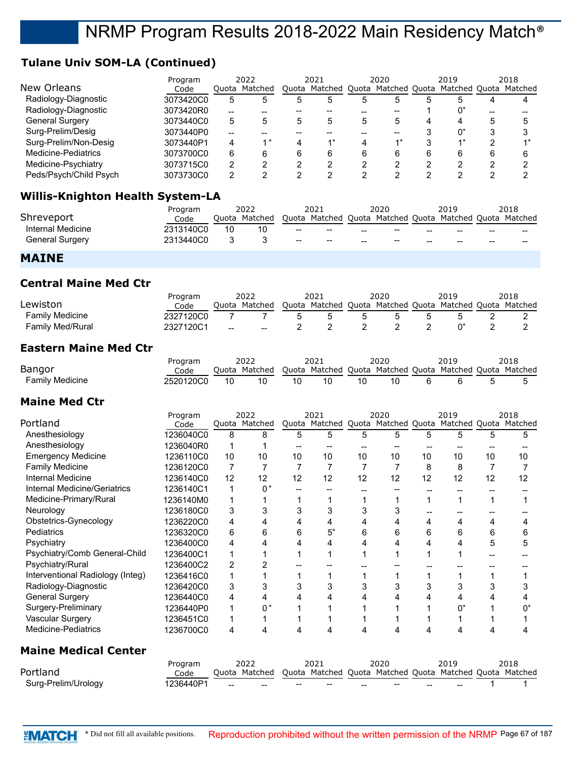## **Tulane Univ SOM-LA (Continued)**

|                        | Program   |       | 2022          |   | 2021 |             | 2020 |   | 2019                                                    |   | 2018 |
|------------------------|-----------|-------|---------------|---|------|-------------|------|---|---------------------------------------------------------|---|------|
| New Orleans            | Code      |       | Ouota Matched |   |      |             |      |   | Quota Matched Quota Matched Quota Matched Quota Matched |   |      |
| Radiology-Diagnostic   | 3073420C0 | 5     |               | b |      | $\mathbf b$ | 5    |   |                                                         |   |      |
| Radiology-Diagnostic   | 3073420R0 | $- -$ |               |   |      |             | --   |   | 0*                                                      |   |      |
| <b>General Surgery</b> | 3073440C0 | 5     |               | 5 |      | 5           | 5    |   |                                                         | 5 |      |
| Surg-Prelim/Desig      | 3073440P0 |       |               |   |      |             |      |   | $0^*$                                                   |   |      |
| Surg-Prelim/Non-Desig  | 3073440P1 | 4     | 4 *           | 4 |      | Δ           |      |   | $4*$                                                    | າ |      |
| Medicine-Pediatrics    | 3073700C0 | 6     |               | 6 | 6    | 6           | 6    | 6 | 6                                                       | 6 |      |
| Medicine-Psychiatry    | 3073715C0 | 2     |               |   |      |             |      |   |                                                         |   |      |
| Peds/Psych/Child Psych | 3073730C0 | っ     |               |   |      | ◠           | ◠    |   | ົ                                                       | ົ |      |

### **Willis-Knighton Health System-LA**

|                        | Program   |    | 2022          |                                                   | 2021                                                    |       | 2020                                           |       | 2019  |       | 2018  |
|------------------------|-----------|----|---------------|---------------------------------------------------|---------------------------------------------------------|-------|------------------------------------------------|-------|-------|-------|-------|
| Shreveport             | Code      |    | Quota Matched |                                                   | Quota Matched Quota Matched Quota Matched Quota Matched |       |                                                |       |       |       |       |
| Internal Medicine      | 2313140C0 | 10 | 10            | $\hspace{0.05cm}-\hspace{0.05cm}-\hspace{0.05cm}$ | $\overline{\phantom{a}}$                                | $- -$ | $\hspace{0.1mm}-\hspace{0.1mm}-\hspace{0.1mm}$ | $- -$ | $- -$ | $- -$ | $- -$ |
| <b>General Surgery</b> | 2313440C0 |    |               | $- -$                                             | $\overline{\phantom{a}}$                                | $- -$ | $- -$                                          | $- -$ | --    | $- -$ | $- -$ |

#### **MAINE**

### **Central Maine Med Ctr**

|                         | Program   |                   | 2022          |               | 2021                                                    |              | 2020 | 2019 | 2018 |
|-------------------------|-----------|-------------------|---------------|---------------|---------------------------------------------------------|--------------|------|------|------|
| Lewiston                | Code      |                   | Ouota Matched |               | Quota Matched Quota Matched Quota Matched Quota Matched |              |      |      |      |
| <b>Family Medicine</b>  | 2327120C0 |                   |               | $\mathcal{D}$ | ÷.                                                      | $\mathbf{L}$ |      |      |      |
| <b>Family Med/Rural</b> | 2327120C1 | $\hspace{0.05cm}$ |               |               |                                                         |              |      |      |      |
| - - -<br>-- - -         |           |                   |               |               |                                                         |              |      |      |      |

#### **Eastern Maine Med Ctr**

|                 | Program   |    | 2022          |    | 2021                                                    |    | 2020 | 2019 | 2018 |
|-----------------|-----------|----|---------------|----|---------------------------------------------------------|----|------|------|------|
| Bangor          | Code      |    | Ouota Matched |    | Ouota Matched Quota Matched Quota Matched Quota Matched |    |      |      |      |
| Family Medicine | 2520120C0 | 10 |               | 10 | 10                                                      | 10 | 10   |      |      |

## **Maine Med Ctr**

|                                  | Program   |    | 2022          |    | 2021  |    | 2020 |    | 2019                                                    |    | 2018 |
|----------------------------------|-----------|----|---------------|----|-------|----|------|----|---------------------------------------------------------|----|------|
| Portland                         | Code      |    | Quota Matched |    |       |    |      |    | Quota Matched Quota Matched Quota Matched Quota Matched |    |      |
| Anesthesiology                   | 1236040C0 | 8  | 8             | 5  | 5     | 5  | 5    | 5  | 5                                                       | 5  | 5    |
| Anesthesiology                   | 1236040R0 |    |               |    |       |    |      |    |                                                         |    |      |
| <b>Emergency Medicine</b>        | 1236110C0 | 10 | 10            | 10 | 10    | 10 | 10   | 10 | 10                                                      | 10 | 10   |
| <b>Family Medicine</b>           | 1236120C0 |    |               |    |       |    |      | 8  | 8                                                       |    |      |
| Internal Medicine                | 1236140C0 | 12 | 12            | 12 | 12    | 12 | 12   | 12 | 12                                                      | 12 | 12   |
| Internal Medicine/Geriatrics     | 1236140C1 | 1  | $^{\circ}$    |    |       |    |      |    |                                                         |    |      |
| Medicine-Primary/Rural           | 1236140M0 |    |               |    |       |    |      |    |                                                         |    |      |
| Neurology                        | 1236180C0 | 3  |               |    |       |    |      |    |                                                         |    |      |
| Obstetrics-Gynecology            | 1236220C0 | 4  |               |    |       |    |      | 4  |                                                         |    |      |
| <b>Pediatrics</b>                | 1236320C0 | 6  | 6             | 6  | $5^*$ | 6  | 6    | 6  | 6                                                       | 6  | 6    |
| Psychiatry                       | 1236400C0 | 4  |               |    |       |    |      |    |                                                         | 5  | 5    |
| Psychiatry/Comb General-Child    | 1236400C1 |    |               |    |       |    |      |    |                                                         |    |      |
| Psychiatry/Rural                 | 1236400C2 | 2  |               |    |       |    |      |    |                                                         |    |      |
| Interventional Radiology (Integ) | 1236416C0 |    |               |    |       |    |      |    |                                                         |    |      |
| Radiology-Diagnostic             | 1236420C0 | 3  |               |    | 3     |    |      | 3  |                                                         |    |      |
| <b>General Surgery</b>           | 1236440C0 | 4  |               |    |       |    |      |    |                                                         |    |      |
| Surgery-Preliminary              | 1236440P0 |    | 0,            |    |       |    |      |    |                                                         |    |      |
| Vascular Surgery                 | 1236451C0 |    |               |    |       |    |      |    |                                                         |    |      |
| <b>Medicine-Pediatrics</b>       | 1236700C0 | 4  | 4             |    | 4     |    |      |    | 4                                                       |    |      |
|                                  |           |    |               |    |       |    |      |    |                                                         |    |      |

#### **Maine Medical Center**

|                     | Program   |                          | 2022          |        | 2021                                                    |                          | 2020 |     | 2019 | 2018 |
|---------------------|-----------|--------------------------|---------------|--------|---------------------------------------------------------|--------------------------|------|-----|------|------|
| Portland            | Code      |                          | Ouota Matched |        | Ouota Matched Ouota Matched Ouota Matched Ouota Matched |                          |      |     |      |      |
| Surg-Prelim/Urology | 1236440P1 | $\overline{\phantom{a}}$ | $-$           | $\sim$ | $- -$                                                   | $\overline{\phantom{a}}$ | $-$  | $-$ | $-$  |      |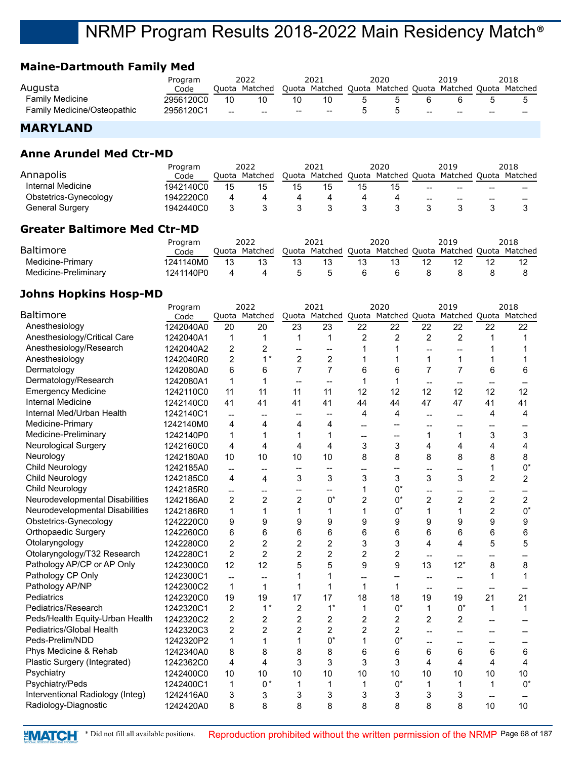## **Maine-Dartmouth Family Med**

|                                    | Program   |       | 2022          |    | 2021                                            | 2020 |       | 2019 |       | 2018    |
|------------------------------------|-----------|-------|---------------|----|-------------------------------------------------|------|-------|------|-------|---------|
| Augusta                            | Code      |       | Quota Matched |    | Quota Matched Quota Matched Quota Matched Quota |      |       |      |       | Matched |
| <b>Family Medicine</b>             | 2956120C0 | 10    |               | 10 |                                                 |      |       |      |       |         |
| <b>Family Medicine/Osteopathic</b> | 2956120C1 | $- -$ | $- -$         | -- | $- -$                                           |      | $- -$ | --   | $- -$ | $- -$   |

### **MARYLAND**

#### **Anne Arundel Med Ctr-MD**

|                       | Program   |       | 2022    |       | 2021                        |    | 2020 |       | 2019          |       | 2018    |
|-----------------------|-----------|-------|---------|-------|-----------------------------|----|------|-------|---------------|-------|---------|
| Annapolis             | Code      | Ouota | Matched | Ouota | Matched Quota Matched Quota |    |      |       | Matched Quota |       | Matched |
| Internal Medicine     | 1942140C0 | 15    |         | 15    | 15                          | 15 |      | --    | --            | $- -$ | $- -$   |
| Obstetrics-Gynecology | 1942220C0 |       |         |       |                             |    |      | $- -$ | --            | $- -$ | $- -$   |
| General Surgery       | 1942440C0 |       |         |       |                             |    |      |       |               |       |         |

## **Greater Baltimore Med Ctr-MD**

|                      | Program   | 2022          | 2021                                                    |    | 2020 | 2019 | 2018 |
|----------------------|-----------|---------------|---------------------------------------------------------|----|------|------|------|
| <b>Baltimore</b>     | Code      | Ouota Matched | Quota Matched Quota Matched Quota Matched Quota Matched |    |      |      |      |
| Medicine-Primary     | 1241140M0 |               |                                                         | 13 |      |      |      |
| Medicine-Preliminary | 1241140P0 |               |                                                         |    |      |      |      |

### **Johns Hopkins Hosp-MD**

|                                  | Program   |                          | 2022           |                          | 2021           |                 | 2020                                |                          | 2019                                                    |                | 2018           |
|----------------------------------|-----------|--------------------------|----------------|--------------------------|----------------|-----------------|-------------------------------------|--------------------------|---------------------------------------------------------|----------------|----------------|
| <b>Baltimore</b>                 | Code      |                          | Quota Matched  |                          |                |                 |                                     |                          | Quota Matched Quota Matched Quota Matched Quota Matched |                |                |
| Anesthesiology                   | 1242040A0 | 20                       | 20             | 23                       | 23             | $\overline{22}$ | 22                                  | $\overline{22}$          | 22                                                      | 22             | 22             |
| Anesthesiology/Critical Care     | 1242040A1 | 1                        | 1              | 1                        | 1              | 2               | 2                                   | $\overline{c}$           | $\overline{c}$                                          | 1              | 1              |
| Anesthesiology/Research          | 1242040A2 | 2                        | $\overline{c}$ | --                       | $-$            | 1               |                                     | --                       |                                                         | 1              | 1              |
| Anesthesiology                   | 1242040R0 | $\overline{c}$           | $1^*$          | $\overline{2}$           | $\overline{c}$ | 1               | 1                                   | 1                        | 1                                                       | 1              | 1              |
| Dermatology                      | 1242080A0 | 6                        | 6              | $\overline{7}$           | $\overline{7}$ | 6               | 6                                   | $\overline{7}$           | $\overline{7}$                                          | 6              | 6              |
| Dermatology/Research             | 1242080A1 | $\mathbf 1$              | $\mathbf 1$    | $\overline{\phantom{a}}$ | $\overline{a}$ | 1               | 1                                   | $\overline{\phantom{a}}$ |                                                         |                |                |
| <b>Emergency Medicine</b>        | 1242110C0 | 11                       | 11             | 11                       | 11             | 12              | 12                                  | 12                       | 12                                                      | 12             | 12             |
| <b>Internal Medicine</b>         | 1242140C0 | 41                       | 41             | 41                       | 41             | 44              | 44                                  | 47                       | 47                                                      | 41             | 41             |
| Internal Med/Urban Health        | 1242140C1 | $\overline{\phantom{a}}$ | --             |                          |                | 4               | 4                                   | --                       | --                                                      | 4              | 4              |
| Medicine-Primary                 | 1242140M0 | 4                        | 4              | 4                        | 4              | $\overline{a}$  |                                     | --                       |                                                         |                |                |
| Medicine-Preliminary             | 1242140P0 | 1                        | $\mathbf 1$    | 1                        | 1              | $\overline{a}$  | $\hspace{0.05cm}$ $\hspace{0.05cm}$ | 1                        | $\mathbf{1}$                                            | 3              | 3              |
| <b>Neurological Surgery</b>      | 1242160C0 | 4                        | 4              | 4                        | 4              | 3               | 3                                   | 4                        | 4                                                       | 4              | 4              |
| Neurology                        | 1242180A0 | 10                       | 10             | 10                       | 10             | 8               | 8                                   | 8                        | 8                                                       | 8              | 8              |
| Child Neurology                  | 1242185A0 | $\overline{\phantom{a}}$ | --             | --                       | --             | --              | $\overline{\phantom{a}}$            | --                       | --                                                      | 1              | $0^*$          |
| <b>Child Neurology</b>           | 1242185C0 | 4                        | 4              | 3                        | 3              | 3               | 3                                   | 3                        | 3                                                       | $\overline{c}$ | 2              |
| Child Neurology                  | 1242185R0 | $\overline{a}$           | --             | --                       | --             | 1               | $0^*$                               | --                       |                                                         | --             |                |
| Neurodevelopmental Disabilities  | 1242186A0 | $\overline{2}$           | $\overline{2}$ | $\overline{2}$           | $0^*$          | $\overline{2}$  | $0^*$                               | $\overline{2}$           | $\overline{2}$                                          | $\overline{2}$ | $\overline{c}$ |
| Neurodevelopmental Disabilities  | 1242186R0 | $\mathbf{1}$             | $\mathbf 1$    | 1                        | 1              | 1               | $0^*$                               | $\mathbf{1}$             | 1                                                       | $\overline{2}$ | $0^*$          |
| Obstetrics-Gynecology            | 1242220C0 | 9                        | 9              | 9                        | 9              | 9               | 9                                   | 9                        | 9                                                       | 9              | 9              |
| <b>Orthopaedic Surgery</b>       | 1242260C0 | 6                        | 6              | 6                        | 6              | 6               | 6                                   | 6                        | 6                                                       | 6              | 6              |
| Otolaryngology                   | 1242280C0 | $\overline{c}$           | $\overline{2}$ | $\overline{2}$           | 2              | 3               | 3                                   | 4                        | 4                                                       | 5              | 5              |
| Otolaryngology/T32 Research      | 1242280C1 | $\overline{2}$           | $\overline{2}$ | $\overline{2}$           | $\overline{c}$ | $\overline{2}$  | 2                                   |                          |                                                         |                |                |
| Pathology AP/CP or AP Only       | 1242300C0 | 12                       | 12             | 5                        | 5              | 9               | 9                                   | 13                       | $12*$                                                   | 8              | 8              |
| Pathology CP Only                | 1242300C1 | $\overline{\phantom{a}}$ | --             | 1                        | 1              | $-$             | $\hspace{0.05cm}$                   |                          | $\overline{a}$                                          | 1              | 1              |
| Pathology AP/NP                  | 1242300C2 | 1                        | 1              | 1                        | 1              | 1               | 1                                   | $\overline{\phantom{a}}$ | $\overline{a}$                                          |                |                |
| Pediatrics                       | 1242320C0 | 19                       | 19             | 17                       | 17             | 18              | 18                                  | 19                       | 19                                                      | 21             | 21             |
| Pediatrics/Research              | 1242320C1 | $\overline{2}$           | $1^*$          | $\overline{2}$           | $1^*$          | $\mathbf 1$     | $0^*$                               | 1                        | $0^*$                                                   | 1              | 1              |
| Peds/Health Equity-Urban Health  | 1242320C2 | 2                        | 2              | $\overline{c}$           | 2              | $\overline{c}$  | 2                                   | $\overline{2}$           | $\overline{c}$                                          |                |                |
| Pediatrics/Global Health         | 1242320C3 | $\overline{2}$           | $\overline{2}$ | $\overline{2}$           | $\overline{2}$ | $\overline{2}$  | 2                                   | $\overline{a}$           | --                                                      |                |                |
| Peds-Prelim/NDD                  | 1242320P2 | 1                        | $\mathbf 1$    | $\mathbf{1}$             | $0^*$          | 1               | $0^*$                               | --                       | --                                                      | --             |                |
| Phys Medicine & Rehab            | 1242340A0 | 8                        | 8              | 8                        | 8              | 6               | 6                                   | 6                        | 6                                                       | 6              | 6              |
| Plastic Surgery (Integrated)     | 1242362C0 | 4                        | 4              | 3                        | 3              | 3               | 3                                   | $\overline{4}$           | 4                                                       | 4              | 4              |
| Psychiatry                       | 1242400C0 | 10                       | 10             | 10                       | 10             | 10              | 10                                  | 10                       | 10                                                      | 10             | 10             |
| Psychiatry/Peds                  | 1242400C1 | 1                        | $0*$           | 1                        | 1              | 1               | $0^*$                               | 1                        | 1                                                       | 1              | $0^*$          |
| Interventional Radiology (Integ) | 1242416A0 | 3                        | 3              | 3                        | 3              | 3               | 3                                   | 3                        | 3                                                       | $-$            |                |
| Radiology-Diagnostic             | 1242420A0 | 8                        | 8              | 8                        | 8              | 8               | 8                                   | 8                        | 8                                                       | 10             | 10             |
|                                  |           |                          |                |                          |                |                 |                                     |                          |                                                         |                |                |

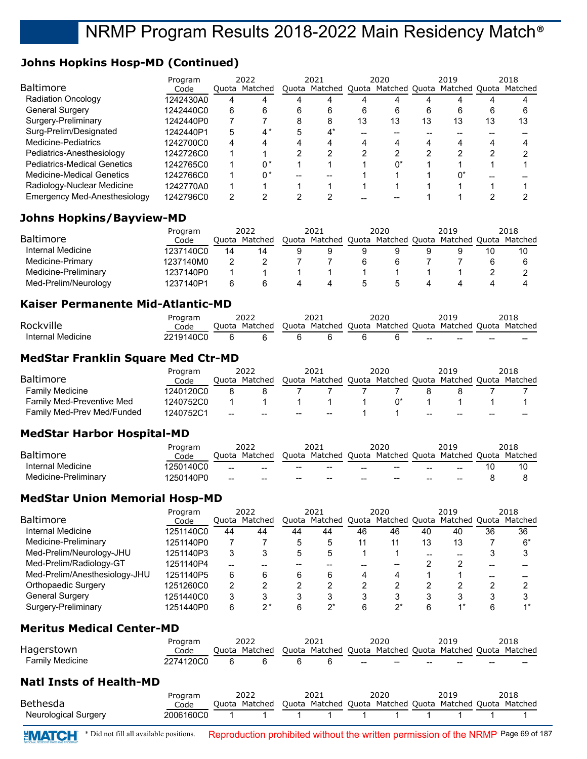## **Johns Hopkins Hosp-MD (Continued)**

|                                    | Program   |   | 2022          |   | 2021                                                    |    | 2020 |    | 2019 |    | 2018 |
|------------------------------------|-----------|---|---------------|---|---------------------------------------------------------|----|------|----|------|----|------|
| <b>Baltimore</b>                   | Code      |   | Ouota Matched |   | Quota Matched Quota Matched Quota Matched Quota Matched |    |      |    |      |    |      |
| <b>Radiation Oncology</b>          | 1242430A0 | 4 |               |   |                                                         |    |      |    |      |    |      |
| <b>General Surgery</b>             | 1242440C0 | 6 | 6             | 6 | 6                                                       | 6  | 6    |    | h    | 6  |      |
| Surgery-Preliminary                | 1242440P0 |   |               | 8 | 8                                                       | 13 | 13   | 13 | 13   | 13 | 13   |
| Surg-Prelim/Designated             | 1242440P1 | 5 | 4*            | 5 | $\Lambda^*$                                             |    |      |    |      |    |      |
| Medicine-Pediatrics                | 1242700C0 | 4 |               |   |                                                         |    |      |    |      |    |      |
| Pediatrics-Anesthesiology          | 1242726C0 |   |               |   | ົ                                                       |    |      |    |      |    |      |
| <b>Pediatrics-Medical Genetics</b> | 1242765C0 |   | በ*            |   |                                                         |    | n*   |    |      |    |      |
| Medicine-Medical Genetics          | 1242766C0 |   | ∩*            |   |                                                         |    |      |    |      |    |      |
| Radiology-Nuclear Medicine         | 1242770A0 |   |               |   |                                                         |    |      |    |      |    |      |
| Emergency Med-Anesthesiology       | 1242796C0 | 2 |               |   | ◠                                                       |    |      |    |      |    |      |

#### **Johns Hopkins/Bayview-MD**

|                      | Program   | 2022  |         | 2021 |               |         | 2020          | 2019          |    | 2018    |
|----------------------|-----------|-------|---------|------|---------------|---------|---------------|---------------|----|---------|
| <b>Baltimore</b>     | Code      | Ouota | Matched |      | Quota Matched | l Quota | Matched Quota | Matched Quota |    | Matched |
| Internal Medicine    | 1237140C0 | 14    |         |      |               |         |               |               | 10 |         |
| Medicine-Primary     | 1237140M0 |       |         |      |               |         |               |               |    |         |
| Medicine-Preliminary | 1237140P0 |       |         |      |               |         |               |               |    |         |
| Med-Prelim/Neurology | 1237140P1 |       |         |      | 4             |         |               |               |    |         |

#### **Kaiser Permanente Mid-Atlantic-MD**

|                   | Program   |       |         |       | ∠∪∠⊥    |       | 2020          |    | 2019          |       | 2018    |
|-------------------|-----------|-------|---------|-------|---------|-------|---------------|----|---------------|-------|---------|
| Rockville         | Code      | Duota | Matched | Juota | Matched | Ouota | Matched Ouota |    | Matched Ouota |       | Matched |
| Internal Medicine | 2219140CC |       |         |       |         |       |               | -- | $- -$         | $- -$ | $- -$   |

#### **MedStar Franklin Square Med Ctr-MD**

|                            | Program   |       | 2022          |       | 2021                                                    | 2020 |    | 2019 |    | 2018 |
|----------------------------|-----------|-------|---------------|-------|---------------------------------------------------------|------|----|------|----|------|
| <b>Baltimore</b>           | Code      |       | Ouota Matched |       | Quota Matched Quota Matched Quota Matched Quota Matched |      |    |      |    |      |
| <b>Family Medicine</b>     | 1240120C0 |       |               |       |                                                         |      |    |      |    |      |
| Family Med-Preventive Med  | 1240752C0 |       |               |       |                                                         |      |    |      |    |      |
| Family Med-Prev Med/Funded | 1240752C1 | $- -$ | --            | $- -$ | $- -$                                                   |      | -- | --   | -- | --   |

#### **MedStar Harbor Hospital-MD**

| <b>Baltimore</b>     | Program<br>Code |     | 2022<br>Ouota Matched |                                                | 2021<br>Quota Matched Quota Matched Quota Matched Quota Matched |       | 2020                     |     | 2019 | 2018 |
|----------------------|-----------------|-----|-----------------------|------------------------------------------------|-----------------------------------------------------------------|-------|--------------------------|-----|------|------|
| Internal Medicine    | 1250140C0       | $-$ | $-$                   | $\hspace{0.1mm}-\hspace{0.1mm}-\hspace{0.1mm}$ | $- -$                                                           | $-$   | $\overline{\phantom{m}}$ | $-$ | --   |      |
| Medicine-Preliminary | 1250140P0       | $-$ | --                    | --                                             | $- -$                                                           | $- -$ | $\overline{\phantom{a}}$ | --  | --   |      |

## **MedStar Union Memorial Hosp-MD**

|                               | Program   |       | 2022    |    | 2021                              |    | 2020 |    | 2019          |    | 2018    |
|-------------------------------|-----------|-------|---------|----|-----------------------------------|----|------|----|---------------|----|---------|
| <b>Baltimore</b>              | Code      | Ouota | Matched |    | Quota Matched Quota Matched Quota |    |      |    | Matched Quota |    | Matched |
| Internal Medicine             | 1251140C0 | 44    | 44      | 44 | 44                                | 46 | 46   | 40 | 40            | 36 | 36      |
| Medicine-Preliminary          | 1251140P0 |       |         | 5  |                                   | 11 | 11   | 13 | 13            |    | 6*      |
| Med-Prelim/Neurology-JHU      | 1251140P3 | 3     |         | 5  | 5                                 |    |      |    |               |    |         |
| Med-Prelim/Radiology-GT       | 1251140P4 |       |         |    |                                   |    |      |    |               |    |         |
| Med-Prelim/Anesthesiology-JHU | 1251140P5 | 6     |         | 6  | 6                                 | 4  | 4    |    |               |    |         |
| <b>Orthopaedic Surgery</b>    | 1251260C0 | 2     |         |    |                                   |    |      |    |               |    |         |
| <b>General Surgery</b>        | 1251440C0 | 3     |         | 3  |                                   |    | ິ    |    |               |    |         |
| Surgery-Preliminary           | 1251440P0 | 6     |         |    | ∩*                                | 6  | י∩∗  |    |               |    |         |

#### **Meritus Medical Center-MD**

|                 | Program   | 2022          | 2021                                                    | 2020                     | 2019  |       | 2018 |
|-----------------|-----------|---------------|---------------------------------------------------------|--------------------------|-------|-------|------|
| Hagerstown      | Code      | Ouota Matched | Ouota Matched Ouota Matched Ouota Matched Ouota Matched |                          |       |       |      |
| Family Medicine | 2274120C0 |               |                                                         | $\overline{\phantom{a}}$ | $- -$ | $- -$ | ---  |

#### **Natl Insts of Health-MD**

|                      | Program    | 2022          | 2021                                                    | 2020 | 2019 | 2018 |
|----------------------|------------|---------------|---------------------------------------------------------|------|------|------|
| Bethesda             | Code       | Ouota Matched | Quota Matched Quota Matched Quota Matched Quota Matched |      |      |      |
| Neurological Surgery | 2006160C0_ |               |                                                         |      |      |      |

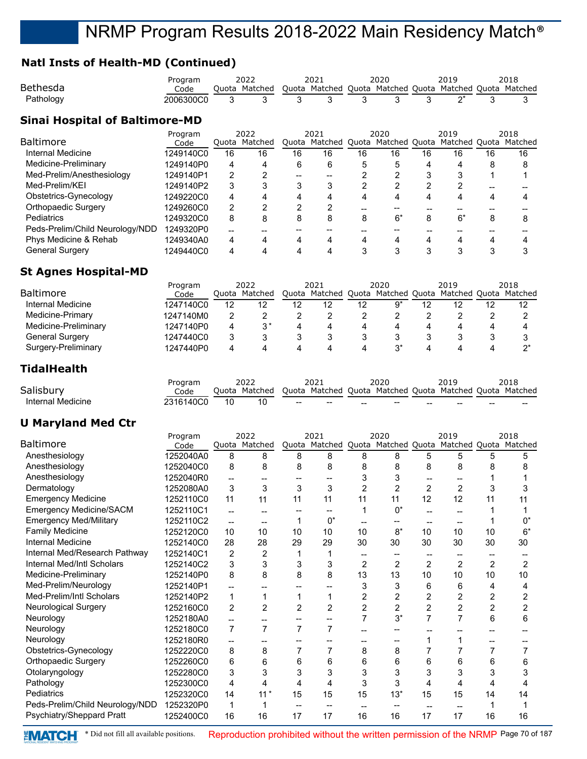## **Natl Insts of Health-MD (Continued)**

| Quota Matched Quota Matched Quota Matched Quota Matched<br>Quota Matched<br>Code<br>$2^*$<br>Pathology<br>3<br>3<br>3<br>3<br>3<br>3<br>3<br>2006300C0<br>3<br>3<br><b>Sinai Hospital of Baltimore-MD</b><br>2022<br>2021<br>2020<br>2019<br>2018<br>Program<br>Baltimore<br>Quota Matched<br>Quota Matched Quota Matched Quota Matched Quota Matched<br>Code<br>Internal Medicine<br>16<br>16<br>16<br>16<br>16<br>16<br>1249140C0<br>16<br>16<br>16<br>16<br>Medicine-Preliminary<br>6<br>5<br>1249140P0<br>4<br>4<br>6<br>5<br>4<br>4<br>8<br>8<br>Med-Prelim/Anesthesiology<br>$\overline{c}$<br>$\overline{2}$<br>$\overline{2}$<br>1249140P1<br>2<br>3<br>3<br>1<br>1<br>$\hspace{0.05cm}$ $\hspace{0.05cm}$<br>--<br>Med-Prelim/KEI<br>3<br>3<br>2<br>$\overline{c}$<br>2<br>3<br>3<br>2<br>1249140P2<br>--<br>4<br>$\overline{\mathbf{A}}$<br>Obstetrics-Gynecology<br>1249220C0<br>4<br>4<br>4<br>4<br>4<br>4<br>4<br>4<br>$\overline{c}$<br>Orthopaedic Surgery<br>2<br>2<br>1249260C0<br>2<br>--<br>$\overline{\phantom{a}}$<br>--<br>--<br>--<br>Pediatrics<br>8<br>8<br>8<br>$6*$<br>8<br>8<br>$6*$<br>1249320C0<br>8<br>8<br>8<br>Peds-Prelim/Child Neurology/NDD<br>1249320P0<br>--<br>$\hspace{0.05cm}$ $\hspace{0.05cm}$<br>--<br>--<br>$\overline{\phantom{a}}$<br>--<br>--<br>--<br>Phys Medicine & Rehab<br>1249340A0<br>4<br>4<br>4<br>4<br>4<br>4<br>4<br>4<br>4<br>4<br>3<br>3<br><b>General Surgery</b><br>3<br>3<br>3<br>3<br>1249440C0<br>4<br>4<br>4<br>4<br><b>St Agnes Hospital-MD</b><br>2022<br>2020<br>2019<br>2018<br>2021<br>Program<br><b>Baltimore</b><br>Quota Matched<br>Quota Matched Quota Matched Quota<br>Quota Matched<br>Matched<br>Code<br>Internal Medicine<br>$9*$<br>12<br>12<br>12<br>1247140C0<br>12<br>12<br>12<br>12<br>12<br>12<br>Medicine-Primary<br>2<br>2<br>$\overline{c}$<br>$\overline{\mathbf{c}}$<br>$\overline{c}$<br>$\overline{\mathbf{c}}$<br>$\overline{c}$<br>2<br>1247140M0<br>2<br>2<br>$3*$<br>4<br>$\overline{4}$<br>4<br>Medicine-Preliminary<br>1247140P0<br>4<br>4<br>4<br>4<br>4<br>4<br><b>General Surgery</b><br>3<br>3<br>3<br>3<br>3<br>3<br>3<br>1247440C0<br>3<br>3<br>3<br>$2^*$<br>Surgery-Preliminary<br>$3^*$<br>4<br>4<br>4<br>4<br>4<br>4<br>1247440P0<br>4<br>4<br><b>TidalHealth</b><br>2019<br>2022<br>2021<br>2020<br>2018<br>Program<br>Salisbury<br>Quota Matched Quota Matched Quota Matched Quota<br>Quota Matched<br>Matched<br>Code<br>Internal Medicine<br>2316140C0<br>10<br>10<br>2022<br>2021<br>2020<br>2019<br>2018<br>Program<br><b>Baltimore</b><br>Quota Matched<br>Quota Matched Quota Matched Quota Matched Quota Matched<br>Code<br>Anesthesiology<br>1252040A0<br>8<br>8<br>8<br>8<br>5<br>5<br>5<br>5<br>8<br>8<br>Anesthesiology<br>1252040C0<br>8<br>8<br>8<br>8<br>8<br>8<br>8<br>8<br>8<br>8<br>Anesthesiology<br>3<br>3<br>1252040R0<br>1<br>1<br>--<br>$\hspace{0.05cm}$ $\hspace{0.05cm}$<br>$\overline{\phantom{a}}$<br>$\overline{\phantom{a}}$<br>--<br>$\hspace{0.05cm}$ $\hspace{0.05cm}$<br>$\overline{2}$<br>$\overline{c}$<br>$\overline{2}$<br>$\overline{c}$<br>3<br>Dermatology<br>3<br>3<br>3<br>3<br>3<br>1252080A0<br>11<br>11<br>11<br>11<br>12<br>12<br>11<br><b>Emergency Medicine</b><br>1252110C0<br>11<br>11<br>11<br><b>Emergency Medicine/SACM</b><br>1252110C1<br>$0^*$<br>$\mathbf 1$<br>1<br>1<br>--<br>$-$<br>$\overline{\phantom{a}}$<br>--<br><b>Emergency Med/Military</b><br>1252110C2<br>$0^*$<br>1<br>$0^*$<br>1<br>--<br>$\overline{\phantom{a}}$<br>--<br>$\overline{\phantom{a}}$<br>$\overline{\phantom{a}}$<br>--<br><b>Family Medicine</b><br>10<br>$8*$<br>10<br>10<br>$6*$<br>1252120C0<br>10<br>10<br>10<br>10<br>10<br>Internal Medicine<br>28<br>28<br>29<br>29<br>30<br>30<br>30<br>30<br>1252140C0<br>30<br>30<br>Internal Med/Research Pathway<br>$\boldsymbol{2}$<br>1252140C1<br>2<br>1<br>1<br>$\overline{\phantom{a}}$<br>$\overline{\phantom{a}}$<br>--<br>$\overline{\phantom{a}}$<br>$\overline{\phantom{a}}$<br>$\hspace{0.05cm}$<br>Internal Med/Intl Scholars<br>$\overline{c}$<br>$\overline{c}$<br>$\overline{c}$<br>3<br>3<br>3<br>2<br>$\overline{\mathbf{c}}$<br>2<br>1252140C2<br>3<br>Medicine-Preliminary<br>8<br>8<br>8<br>8<br>13<br>13<br>10<br>10<br>10<br>1252140P0<br>10<br>Med-Prelim/Neurology<br>3<br>3<br>1252140P1<br>6<br>6<br>4<br>4<br>--<br>$\overline{\phantom{a}}$<br>$\overline{\phantom{a}}$<br>$\qquad \qquad \text{---}$<br>$\overline{\mathbf{c}}$<br>$\boldsymbol{2}$<br>$\overline{\mathbf{c}}$<br>$\overline{\mathbf{c}}$<br>Med-Prelim/Intl Scholars<br>$\mathbf 1$<br>$\overline{\mathbf{c}}$<br>2<br>1252140P2<br>1<br>1<br>1<br>Neurological Surgery<br>$\overline{c}$<br>$\boldsymbol{2}$<br>$\overline{c}$<br>$\overline{c}$<br>$\overline{c}$<br>$\overline{c}$<br>2<br>$\overline{\mathbf{c}}$<br>2<br>2<br>1252160C0<br>$\overline{7}$<br>$3^{\star}$<br>$\overline{7}$<br>$\overline{7}$<br>Neurology<br>6<br>6<br>1252180A0<br>--<br>$\qquad \qquad -$<br>$\overline{a}$<br>$\qquad \qquad -$<br>Neurology<br>$\overline{7}$<br>7<br>1252180C0<br>$\overline{7}$<br>7<br>--<br>--<br>--<br>--<br>--<br>Neurology<br>1252180R0<br>1<br>1<br>--<br>--<br>--<br>$\hspace{0.05cm}$ – $\hspace{0.05cm}$<br>$\hspace{0.05cm}$ –<br>--<br>--<br>$\hspace{0.05cm}$ $\hspace{0.05cm}$<br>Obstetrics-Gynecology<br>$\overline{7}$<br>7<br>7<br>8<br>7<br>8<br>8<br>$\overline{7}$<br>7<br>1252220C0<br>8<br>Orthopaedic Surgery<br>6<br>6<br>6<br>6<br>6<br>6<br>6<br>6<br>6<br>1252260C0<br>6<br>3<br>3<br>3<br>3<br>Otolaryngology<br>1252280C0<br>3<br>3<br>3<br>3<br>3<br>3<br>Pathology<br>3<br>3<br>$\overline{4}$<br>4<br>1252300C0<br>4<br>4<br>4<br>4<br>4<br>4<br>Pediatrics<br>$11*$<br>15<br>15<br>15<br>$13*$<br>15<br>1252320C0<br>15<br>14<br>14<br>14<br>Peds-Prelim/Child Neurology/NDD<br>1252320P0 | Bethesda                  | Program |   | 2022 |                   | 2021                                  |                          | 2020                                |                          | 2019                     |   | 2018 |
|----------------------------------------------------------------------------------------------------------------------------------------------------------------------------------------------------------------------------------------------------------------------------------------------------------------------------------------------------------------------------------------------------------------------------------------------------------------------------------------------------------------------------------------------------------------------------------------------------------------------------------------------------------------------------------------------------------------------------------------------------------------------------------------------------------------------------------------------------------------------------------------------------------------------------------------------------------------------------------------------------------------------------------------------------------------------------------------------------------------------------------------------------------------------------------------------------------------------------------------------------------------------------------------------------------------------------------------------------------------------------------------------------------------------------------------------------------------------------------------------------------------------------------------------------------------------------------------------------------------------------------------------------------------------------------------------------------------------------------------------------------------------------------------------------------------------------------------------------------------------------------------------------------------------------------------------------------------------------------------------------------------------------------------------------------------------------------------------------------------------------------------------------------------------------------------------------------------------------------------------------------------------------------------------------------------------------------------------------------------------------------------------------------------------------------------------------------------------------------------------------------------------------------------------------------------------------------------------------------------------------------------------------------------------------------------------------------------------------------------------------------------------------------------------------------------------------------------------------------------------------------------------------------------------------------------------------------------------------------------------------------------------------------------------------------------------------------------------------------------------------------------------------------------------------------------------------------------------------------------------------------------------------------------------------------------------------------------------------------------------------------------------------------------------------------------------------------------------------------------------------------------------------------------------------------------------------------------------------------------------------------------------------------------------------------------------------------------------------------------------------------------------------------------------------------------------------------------------------------------------------------------------------------------------------------------------------------------------------------------------------------------------------------------------------------------------------------------------------------------------------------------------------------------------------------------------------------------------------------------------------------------------------------------------------------------------------------------------------------------------------------------------------------------------------------------------------------------------------------------------------------------------------------------------------------------------------------------------------------------------------------------------------------------------------------------------------------------------------------------------------------------------------------------------------------------------------------------------------------------------------------------------------------------------------------------------------------------------------------------------------------------------------------------------------------------------------------------------------------------------------------------------------------------------------------------------------------------------------------------------------------------------------------------------------------------------------------------------------------------------------------------------------------------------------------------------------------------------------------------------------------------------------------------------------------------------------------------------------------------------------------------------------------------------------------------------------------------------------------------------------------------------------------------------------------------------------------------|---------------------------|---------|---|------|-------------------|---------------------------------------|--------------------------|-------------------------------------|--------------------------|--------------------------|---|------|
|                                                                                                                                                                                                                                                                                                                                                                                                                                                                                                                                                                                                                                                                                                                                                                                                                                                                                                                                                                                                                                                                                                                                                                                                                                                                                                                                                                                                                                                                                                                                                                                                                                                                                                                                                                                                                                                                                                                                                                                                                                                                                                                                                                                                                                                                                                                                                                                                                                                                                                                                                                                                                                                                                                                                                                                                                                                                                                                                                                                                                                                                                                                                                                                                                                                                                                                                                                                                                                                                                                                                                                                                                                                                                                                                                                                                                                                                                                                                                                                                                                                                                                                                                                                                                                                                                                                                                                                                                                                                                                                                                                                                                                                                                                                                                                                                                                                                                                                                                                                                                                                                                                                                                                                                                                                                                                                                                                                                                                                                                                                                                                                                                                                                                                                                                                                                                                        |                           |         |   |      |                   |                                       |                          |                                     |                          |                          |   |      |
|                                                                                                                                                                                                                                                                                                                                                                                                                                                                                                                                                                                                                                                                                                                                                                                                                                                                                                                                                                                                                                                                                                                                                                                                                                                                                                                                                                                                                                                                                                                                                                                                                                                                                                                                                                                                                                                                                                                                                                                                                                                                                                                                                                                                                                                                                                                                                                                                                                                                                                                                                                                                                                                                                                                                                                                                                                                                                                                                                                                                                                                                                                                                                                                                                                                                                                                                                                                                                                                                                                                                                                                                                                                                                                                                                                                                                                                                                                                                                                                                                                                                                                                                                                                                                                                                                                                                                                                                                                                                                                                                                                                                                                                                                                                                                                                                                                                                                                                                                                                                                                                                                                                                                                                                                                                                                                                                                                                                                                                                                                                                                                                                                                                                                                                                                                                                                                        |                           |         |   |      |                   |                                       |                          |                                     |                          |                          |   |      |
|                                                                                                                                                                                                                                                                                                                                                                                                                                                                                                                                                                                                                                                                                                                                                                                                                                                                                                                                                                                                                                                                                                                                                                                                                                                                                                                                                                                                                                                                                                                                                                                                                                                                                                                                                                                                                                                                                                                                                                                                                                                                                                                                                                                                                                                                                                                                                                                                                                                                                                                                                                                                                                                                                                                                                                                                                                                                                                                                                                                                                                                                                                                                                                                                                                                                                                                                                                                                                                                                                                                                                                                                                                                                                                                                                                                                                                                                                                                                                                                                                                                                                                                                                                                                                                                                                                                                                                                                                                                                                                                                                                                                                                                                                                                                                                                                                                                                                                                                                                                                                                                                                                                                                                                                                                                                                                                                                                                                                                                                                                                                                                                                                                                                                                                                                                                                                                        |                           |         |   |      |                   |                                       |                          |                                     |                          |                          |   |      |
|                                                                                                                                                                                                                                                                                                                                                                                                                                                                                                                                                                                                                                                                                                                                                                                                                                                                                                                                                                                                                                                                                                                                                                                                                                                                                                                                                                                                                                                                                                                                                                                                                                                                                                                                                                                                                                                                                                                                                                                                                                                                                                                                                                                                                                                                                                                                                                                                                                                                                                                                                                                                                                                                                                                                                                                                                                                                                                                                                                                                                                                                                                                                                                                                                                                                                                                                                                                                                                                                                                                                                                                                                                                                                                                                                                                                                                                                                                                                                                                                                                                                                                                                                                                                                                                                                                                                                                                                                                                                                                                                                                                                                                                                                                                                                                                                                                                                                                                                                                                                                                                                                                                                                                                                                                                                                                                                                                                                                                                                                                                                                                                                                                                                                                                                                                                                                                        |                           |         |   |      |                   |                                       |                          |                                     |                          |                          |   |      |
|                                                                                                                                                                                                                                                                                                                                                                                                                                                                                                                                                                                                                                                                                                                                                                                                                                                                                                                                                                                                                                                                                                                                                                                                                                                                                                                                                                                                                                                                                                                                                                                                                                                                                                                                                                                                                                                                                                                                                                                                                                                                                                                                                                                                                                                                                                                                                                                                                                                                                                                                                                                                                                                                                                                                                                                                                                                                                                                                                                                                                                                                                                                                                                                                                                                                                                                                                                                                                                                                                                                                                                                                                                                                                                                                                                                                                                                                                                                                                                                                                                                                                                                                                                                                                                                                                                                                                                                                                                                                                                                                                                                                                                                                                                                                                                                                                                                                                                                                                                                                                                                                                                                                                                                                                                                                                                                                                                                                                                                                                                                                                                                                                                                                                                                                                                                                                                        |                           |         |   |      |                   |                                       |                          |                                     |                          |                          |   |      |
|                                                                                                                                                                                                                                                                                                                                                                                                                                                                                                                                                                                                                                                                                                                                                                                                                                                                                                                                                                                                                                                                                                                                                                                                                                                                                                                                                                                                                                                                                                                                                                                                                                                                                                                                                                                                                                                                                                                                                                                                                                                                                                                                                                                                                                                                                                                                                                                                                                                                                                                                                                                                                                                                                                                                                                                                                                                                                                                                                                                                                                                                                                                                                                                                                                                                                                                                                                                                                                                                                                                                                                                                                                                                                                                                                                                                                                                                                                                                                                                                                                                                                                                                                                                                                                                                                                                                                                                                                                                                                                                                                                                                                                                                                                                                                                                                                                                                                                                                                                                                                                                                                                                                                                                                                                                                                                                                                                                                                                                                                                                                                                                                                                                                                                                                                                                                                                        |                           |         |   |      |                   |                                       |                          |                                     |                          |                          |   |      |
|                                                                                                                                                                                                                                                                                                                                                                                                                                                                                                                                                                                                                                                                                                                                                                                                                                                                                                                                                                                                                                                                                                                                                                                                                                                                                                                                                                                                                                                                                                                                                                                                                                                                                                                                                                                                                                                                                                                                                                                                                                                                                                                                                                                                                                                                                                                                                                                                                                                                                                                                                                                                                                                                                                                                                                                                                                                                                                                                                                                                                                                                                                                                                                                                                                                                                                                                                                                                                                                                                                                                                                                                                                                                                                                                                                                                                                                                                                                                                                                                                                                                                                                                                                                                                                                                                                                                                                                                                                                                                                                                                                                                                                                                                                                                                                                                                                                                                                                                                                                                                                                                                                                                                                                                                                                                                                                                                                                                                                                                                                                                                                                                                                                                                                                                                                                                                                        |                           |         |   |      |                   |                                       |                          |                                     |                          |                          |   |      |
|                                                                                                                                                                                                                                                                                                                                                                                                                                                                                                                                                                                                                                                                                                                                                                                                                                                                                                                                                                                                                                                                                                                                                                                                                                                                                                                                                                                                                                                                                                                                                                                                                                                                                                                                                                                                                                                                                                                                                                                                                                                                                                                                                                                                                                                                                                                                                                                                                                                                                                                                                                                                                                                                                                                                                                                                                                                                                                                                                                                                                                                                                                                                                                                                                                                                                                                                                                                                                                                                                                                                                                                                                                                                                                                                                                                                                                                                                                                                                                                                                                                                                                                                                                                                                                                                                                                                                                                                                                                                                                                                                                                                                                                                                                                                                                                                                                                                                                                                                                                                                                                                                                                                                                                                                                                                                                                                                                                                                                                                                                                                                                                                                                                                                                                                                                                                                                        |                           |         |   |      |                   |                                       |                          |                                     |                          |                          |   |      |
|                                                                                                                                                                                                                                                                                                                                                                                                                                                                                                                                                                                                                                                                                                                                                                                                                                                                                                                                                                                                                                                                                                                                                                                                                                                                                                                                                                                                                                                                                                                                                                                                                                                                                                                                                                                                                                                                                                                                                                                                                                                                                                                                                                                                                                                                                                                                                                                                                                                                                                                                                                                                                                                                                                                                                                                                                                                                                                                                                                                                                                                                                                                                                                                                                                                                                                                                                                                                                                                                                                                                                                                                                                                                                                                                                                                                                                                                                                                                                                                                                                                                                                                                                                                                                                                                                                                                                                                                                                                                                                                                                                                                                                                                                                                                                                                                                                                                                                                                                                                                                                                                                                                                                                                                                                                                                                                                                                                                                                                                                                                                                                                                                                                                                                                                                                                                                                        |                           |         |   |      |                   |                                       |                          |                                     |                          |                          |   |      |
|                                                                                                                                                                                                                                                                                                                                                                                                                                                                                                                                                                                                                                                                                                                                                                                                                                                                                                                                                                                                                                                                                                                                                                                                                                                                                                                                                                                                                                                                                                                                                                                                                                                                                                                                                                                                                                                                                                                                                                                                                                                                                                                                                                                                                                                                                                                                                                                                                                                                                                                                                                                                                                                                                                                                                                                                                                                                                                                                                                                                                                                                                                                                                                                                                                                                                                                                                                                                                                                                                                                                                                                                                                                                                                                                                                                                                                                                                                                                                                                                                                                                                                                                                                                                                                                                                                                                                                                                                                                                                                                                                                                                                                                                                                                                                                                                                                                                                                                                                                                                                                                                                                                                                                                                                                                                                                                                                                                                                                                                                                                                                                                                                                                                                                                                                                                                                                        |                           |         |   |      |                   |                                       |                          |                                     |                          |                          |   |      |
|                                                                                                                                                                                                                                                                                                                                                                                                                                                                                                                                                                                                                                                                                                                                                                                                                                                                                                                                                                                                                                                                                                                                                                                                                                                                                                                                                                                                                                                                                                                                                                                                                                                                                                                                                                                                                                                                                                                                                                                                                                                                                                                                                                                                                                                                                                                                                                                                                                                                                                                                                                                                                                                                                                                                                                                                                                                                                                                                                                                                                                                                                                                                                                                                                                                                                                                                                                                                                                                                                                                                                                                                                                                                                                                                                                                                                                                                                                                                                                                                                                                                                                                                                                                                                                                                                                                                                                                                                                                                                                                                                                                                                                                                                                                                                                                                                                                                                                                                                                                                                                                                                                                                                                                                                                                                                                                                                                                                                                                                                                                                                                                                                                                                                                                                                                                                                                        |                           |         |   |      |                   |                                       |                          |                                     |                          |                          |   |      |
|                                                                                                                                                                                                                                                                                                                                                                                                                                                                                                                                                                                                                                                                                                                                                                                                                                                                                                                                                                                                                                                                                                                                                                                                                                                                                                                                                                                                                                                                                                                                                                                                                                                                                                                                                                                                                                                                                                                                                                                                                                                                                                                                                                                                                                                                                                                                                                                                                                                                                                                                                                                                                                                                                                                                                                                                                                                                                                                                                                                                                                                                                                                                                                                                                                                                                                                                                                                                                                                                                                                                                                                                                                                                                                                                                                                                                                                                                                                                                                                                                                                                                                                                                                                                                                                                                                                                                                                                                                                                                                                                                                                                                                                                                                                                                                                                                                                                                                                                                                                                                                                                                                                                                                                                                                                                                                                                                                                                                                                                                                                                                                                                                                                                                                                                                                                                                                        |                           |         |   |      |                   |                                       |                          |                                     |                          |                          |   |      |
|                                                                                                                                                                                                                                                                                                                                                                                                                                                                                                                                                                                                                                                                                                                                                                                                                                                                                                                                                                                                                                                                                                                                                                                                                                                                                                                                                                                                                                                                                                                                                                                                                                                                                                                                                                                                                                                                                                                                                                                                                                                                                                                                                                                                                                                                                                                                                                                                                                                                                                                                                                                                                                                                                                                                                                                                                                                                                                                                                                                                                                                                                                                                                                                                                                                                                                                                                                                                                                                                                                                                                                                                                                                                                                                                                                                                                                                                                                                                                                                                                                                                                                                                                                                                                                                                                                                                                                                                                                                                                                                                                                                                                                                                                                                                                                                                                                                                                                                                                                                                                                                                                                                                                                                                                                                                                                                                                                                                                                                                                                                                                                                                                                                                                                                                                                                                                                        |                           |         |   |      |                   |                                       |                          |                                     |                          |                          |   |      |
|                                                                                                                                                                                                                                                                                                                                                                                                                                                                                                                                                                                                                                                                                                                                                                                                                                                                                                                                                                                                                                                                                                                                                                                                                                                                                                                                                                                                                                                                                                                                                                                                                                                                                                                                                                                                                                                                                                                                                                                                                                                                                                                                                                                                                                                                                                                                                                                                                                                                                                                                                                                                                                                                                                                                                                                                                                                                                                                                                                                                                                                                                                                                                                                                                                                                                                                                                                                                                                                                                                                                                                                                                                                                                                                                                                                                                                                                                                                                                                                                                                                                                                                                                                                                                                                                                                                                                                                                                                                                                                                                                                                                                                                                                                                                                                                                                                                                                                                                                                                                                                                                                                                                                                                                                                                                                                                                                                                                                                                                                                                                                                                                                                                                                                                                                                                                                                        |                           |         |   |      |                   |                                       |                          |                                     |                          |                          |   |      |
|                                                                                                                                                                                                                                                                                                                                                                                                                                                                                                                                                                                                                                                                                                                                                                                                                                                                                                                                                                                                                                                                                                                                                                                                                                                                                                                                                                                                                                                                                                                                                                                                                                                                                                                                                                                                                                                                                                                                                                                                                                                                                                                                                                                                                                                                                                                                                                                                                                                                                                                                                                                                                                                                                                                                                                                                                                                                                                                                                                                                                                                                                                                                                                                                                                                                                                                                                                                                                                                                                                                                                                                                                                                                                                                                                                                                                                                                                                                                                                                                                                                                                                                                                                                                                                                                                                                                                                                                                                                                                                                                                                                                                                                                                                                                                                                                                                                                                                                                                                                                                                                                                                                                                                                                                                                                                                                                                                                                                                                                                                                                                                                                                                                                                                                                                                                                                                        |                           |         |   |      |                   |                                       |                          |                                     |                          |                          |   |      |
|                                                                                                                                                                                                                                                                                                                                                                                                                                                                                                                                                                                                                                                                                                                                                                                                                                                                                                                                                                                                                                                                                                                                                                                                                                                                                                                                                                                                                                                                                                                                                                                                                                                                                                                                                                                                                                                                                                                                                                                                                                                                                                                                                                                                                                                                                                                                                                                                                                                                                                                                                                                                                                                                                                                                                                                                                                                                                                                                                                                                                                                                                                                                                                                                                                                                                                                                                                                                                                                                                                                                                                                                                                                                                                                                                                                                                                                                                                                                                                                                                                                                                                                                                                                                                                                                                                                                                                                                                                                                                                                                                                                                                                                                                                                                                                                                                                                                                                                                                                                                                                                                                                                                                                                                                                                                                                                                                                                                                                                                                                                                                                                                                                                                                                                                                                                                                                        |                           |         |   |      |                   |                                       |                          |                                     |                          |                          |   |      |
|                                                                                                                                                                                                                                                                                                                                                                                                                                                                                                                                                                                                                                                                                                                                                                                                                                                                                                                                                                                                                                                                                                                                                                                                                                                                                                                                                                                                                                                                                                                                                                                                                                                                                                                                                                                                                                                                                                                                                                                                                                                                                                                                                                                                                                                                                                                                                                                                                                                                                                                                                                                                                                                                                                                                                                                                                                                                                                                                                                                                                                                                                                                                                                                                                                                                                                                                                                                                                                                                                                                                                                                                                                                                                                                                                                                                                                                                                                                                                                                                                                                                                                                                                                                                                                                                                                                                                                                                                                                                                                                                                                                                                                                                                                                                                                                                                                                                                                                                                                                                                                                                                                                                                                                                                                                                                                                                                                                                                                                                                                                                                                                                                                                                                                                                                                                                                                        |                           |         |   |      |                   |                                       |                          |                                     |                          |                          |   |      |
|                                                                                                                                                                                                                                                                                                                                                                                                                                                                                                                                                                                                                                                                                                                                                                                                                                                                                                                                                                                                                                                                                                                                                                                                                                                                                                                                                                                                                                                                                                                                                                                                                                                                                                                                                                                                                                                                                                                                                                                                                                                                                                                                                                                                                                                                                                                                                                                                                                                                                                                                                                                                                                                                                                                                                                                                                                                                                                                                                                                                                                                                                                                                                                                                                                                                                                                                                                                                                                                                                                                                                                                                                                                                                                                                                                                                                                                                                                                                                                                                                                                                                                                                                                                                                                                                                                                                                                                                                                                                                                                                                                                                                                                                                                                                                                                                                                                                                                                                                                                                                                                                                                                                                                                                                                                                                                                                                                                                                                                                                                                                                                                                                                                                                                                                                                                                                                        |                           |         |   |      |                   |                                       |                          |                                     |                          |                          |   |      |
|                                                                                                                                                                                                                                                                                                                                                                                                                                                                                                                                                                                                                                                                                                                                                                                                                                                                                                                                                                                                                                                                                                                                                                                                                                                                                                                                                                                                                                                                                                                                                                                                                                                                                                                                                                                                                                                                                                                                                                                                                                                                                                                                                                                                                                                                                                                                                                                                                                                                                                                                                                                                                                                                                                                                                                                                                                                                                                                                                                                                                                                                                                                                                                                                                                                                                                                                                                                                                                                                                                                                                                                                                                                                                                                                                                                                                                                                                                                                                                                                                                                                                                                                                                                                                                                                                                                                                                                                                                                                                                                                                                                                                                                                                                                                                                                                                                                                                                                                                                                                                                                                                                                                                                                                                                                                                                                                                                                                                                                                                                                                                                                                                                                                                                                                                                                                                                        |                           |         |   |      |                   |                                       |                          |                                     |                          |                          |   |      |
|                                                                                                                                                                                                                                                                                                                                                                                                                                                                                                                                                                                                                                                                                                                                                                                                                                                                                                                                                                                                                                                                                                                                                                                                                                                                                                                                                                                                                                                                                                                                                                                                                                                                                                                                                                                                                                                                                                                                                                                                                                                                                                                                                                                                                                                                                                                                                                                                                                                                                                                                                                                                                                                                                                                                                                                                                                                                                                                                                                                                                                                                                                                                                                                                                                                                                                                                                                                                                                                                                                                                                                                                                                                                                                                                                                                                                                                                                                                                                                                                                                                                                                                                                                                                                                                                                                                                                                                                                                                                                                                                                                                                                                                                                                                                                                                                                                                                                                                                                                                                                                                                                                                                                                                                                                                                                                                                                                                                                                                                                                                                                                                                                                                                                                                                                                                                                                        |                           |         |   |      |                   |                                       |                          |                                     |                          |                          |   |      |
|                                                                                                                                                                                                                                                                                                                                                                                                                                                                                                                                                                                                                                                                                                                                                                                                                                                                                                                                                                                                                                                                                                                                                                                                                                                                                                                                                                                                                                                                                                                                                                                                                                                                                                                                                                                                                                                                                                                                                                                                                                                                                                                                                                                                                                                                                                                                                                                                                                                                                                                                                                                                                                                                                                                                                                                                                                                                                                                                                                                                                                                                                                                                                                                                                                                                                                                                                                                                                                                                                                                                                                                                                                                                                                                                                                                                                                                                                                                                                                                                                                                                                                                                                                                                                                                                                                                                                                                                                                                                                                                                                                                                                                                                                                                                                                                                                                                                                                                                                                                                                                                                                                                                                                                                                                                                                                                                                                                                                                                                                                                                                                                                                                                                                                                                                                                                                                        |                           |         |   |      |                   |                                       |                          |                                     |                          |                          |   |      |
|                                                                                                                                                                                                                                                                                                                                                                                                                                                                                                                                                                                                                                                                                                                                                                                                                                                                                                                                                                                                                                                                                                                                                                                                                                                                                                                                                                                                                                                                                                                                                                                                                                                                                                                                                                                                                                                                                                                                                                                                                                                                                                                                                                                                                                                                                                                                                                                                                                                                                                                                                                                                                                                                                                                                                                                                                                                                                                                                                                                                                                                                                                                                                                                                                                                                                                                                                                                                                                                                                                                                                                                                                                                                                                                                                                                                                                                                                                                                                                                                                                                                                                                                                                                                                                                                                                                                                                                                                                                                                                                                                                                                                                                                                                                                                                                                                                                                                                                                                                                                                                                                                                                                                                                                                                                                                                                                                                                                                                                                                                                                                                                                                                                                                                                                                                                                                                        |                           |         |   |      |                   |                                       |                          |                                     |                          |                          |   |      |
|                                                                                                                                                                                                                                                                                                                                                                                                                                                                                                                                                                                                                                                                                                                                                                                                                                                                                                                                                                                                                                                                                                                                                                                                                                                                                                                                                                                                                                                                                                                                                                                                                                                                                                                                                                                                                                                                                                                                                                                                                                                                                                                                                                                                                                                                                                                                                                                                                                                                                                                                                                                                                                                                                                                                                                                                                                                                                                                                                                                                                                                                                                                                                                                                                                                                                                                                                                                                                                                                                                                                                                                                                                                                                                                                                                                                                                                                                                                                                                                                                                                                                                                                                                                                                                                                                                                                                                                                                                                                                                                                                                                                                                                                                                                                                                                                                                                                                                                                                                                                                                                                                                                                                                                                                                                                                                                                                                                                                                                                                                                                                                                                                                                                                                                                                                                                                                        |                           |         |   |      |                   |                                       |                          |                                     |                          |                          |   |      |
|                                                                                                                                                                                                                                                                                                                                                                                                                                                                                                                                                                                                                                                                                                                                                                                                                                                                                                                                                                                                                                                                                                                                                                                                                                                                                                                                                                                                                                                                                                                                                                                                                                                                                                                                                                                                                                                                                                                                                                                                                                                                                                                                                                                                                                                                                                                                                                                                                                                                                                                                                                                                                                                                                                                                                                                                                                                                                                                                                                                                                                                                                                                                                                                                                                                                                                                                                                                                                                                                                                                                                                                                                                                                                                                                                                                                                                                                                                                                                                                                                                                                                                                                                                                                                                                                                                                                                                                                                                                                                                                                                                                                                                                                                                                                                                                                                                                                                                                                                                                                                                                                                                                                                                                                                                                                                                                                                                                                                                                                                                                                                                                                                                                                                                                                                                                                                                        |                           |         |   |      |                   |                                       |                          |                                     |                          |                          |   |      |
|                                                                                                                                                                                                                                                                                                                                                                                                                                                                                                                                                                                                                                                                                                                                                                                                                                                                                                                                                                                                                                                                                                                                                                                                                                                                                                                                                                                                                                                                                                                                                                                                                                                                                                                                                                                                                                                                                                                                                                                                                                                                                                                                                                                                                                                                                                                                                                                                                                                                                                                                                                                                                                                                                                                                                                                                                                                                                                                                                                                                                                                                                                                                                                                                                                                                                                                                                                                                                                                                                                                                                                                                                                                                                                                                                                                                                                                                                                                                                                                                                                                                                                                                                                                                                                                                                                                                                                                                                                                                                                                                                                                                                                                                                                                                                                                                                                                                                                                                                                                                                                                                                                                                                                                                                                                                                                                                                                                                                                                                                                                                                                                                                                                                                                                                                                                                                                        |                           |         |   |      |                   |                                       |                          |                                     |                          |                          |   |      |
|                                                                                                                                                                                                                                                                                                                                                                                                                                                                                                                                                                                                                                                                                                                                                                                                                                                                                                                                                                                                                                                                                                                                                                                                                                                                                                                                                                                                                                                                                                                                                                                                                                                                                                                                                                                                                                                                                                                                                                                                                                                                                                                                                                                                                                                                                                                                                                                                                                                                                                                                                                                                                                                                                                                                                                                                                                                                                                                                                                                                                                                                                                                                                                                                                                                                                                                                                                                                                                                                                                                                                                                                                                                                                                                                                                                                                                                                                                                                                                                                                                                                                                                                                                                                                                                                                                                                                                                                                                                                                                                                                                                                                                                                                                                                                                                                                                                                                                                                                                                                                                                                                                                                                                                                                                                                                                                                                                                                                                                                                                                                                                                                                                                                                                                                                                                                                                        |                           |         |   |      |                   |                                       |                          |                                     |                          |                          |   |      |
|                                                                                                                                                                                                                                                                                                                                                                                                                                                                                                                                                                                                                                                                                                                                                                                                                                                                                                                                                                                                                                                                                                                                                                                                                                                                                                                                                                                                                                                                                                                                                                                                                                                                                                                                                                                                                                                                                                                                                                                                                                                                                                                                                                                                                                                                                                                                                                                                                                                                                                                                                                                                                                                                                                                                                                                                                                                                                                                                                                                                                                                                                                                                                                                                                                                                                                                                                                                                                                                                                                                                                                                                                                                                                                                                                                                                                                                                                                                                                                                                                                                                                                                                                                                                                                                                                                                                                                                                                                                                                                                                                                                                                                                                                                                                                                                                                                                                                                                                                                                                                                                                                                                                                                                                                                                                                                                                                                                                                                                                                                                                                                                                                                                                                                                                                                                                                                        | <b>U Maryland Med Ctr</b> |         |   |      |                   |                                       |                          |                                     |                          |                          |   |      |
|                                                                                                                                                                                                                                                                                                                                                                                                                                                                                                                                                                                                                                                                                                                                                                                                                                                                                                                                                                                                                                                                                                                                                                                                                                                                                                                                                                                                                                                                                                                                                                                                                                                                                                                                                                                                                                                                                                                                                                                                                                                                                                                                                                                                                                                                                                                                                                                                                                                                                                                                                                                                                                                                                                                                                                                                                                                                                                                                                                                                                                                                                                                                                                                                                                                                                                                                                                                                                                                                                                                                                                                                                                                                                                                                                                                                                                                                                                                                                                                                                                                                                                                                                                                                                                                                                                                                                                                                                                                                                                                                                                                                                                                                                                                                                                                                                                                                                                                                                                                                                                                                                                                                                                                                                                                                                                                                                                                                                                                                                                                                                                                                                                                                                                                                                                                                                                        |                           |         |   |      |                   |                                       |                          |                                     |                          |                          |   |      |
|                                                                                                                                                                                                                                                                                                                                                                                                                                                                                                                                                                                                                                                                                                                                                                                                                                                                                                                                                                                                                                                                                                                                                                                                                                                                                                                                                                                                                                                                                                                                                                                                                                                                                                                                                                                                                                                                                                                                                                                                                                                                                                                                                                                                                                                                                                                                                                                                                                                                                                                                                                                                                                                                                                                                                                                                                                                                                                                                                                                                                                                                                                                                                                                                                                                                                                                                                                                                                                                                                                                                                                                                                                                                                                                                                                                                                                                                                                                                                                                                                                                                                                                                                                                                                                                                                                                                                                                                                                                                                                                                                                                                                                                                                                                                                                                                                                                                                                                                                                                                                                                                                                                                                                                                                                                                                                                                                                                                                                                                                                                                                                                                                                                                                                                                                                                                                                        |                           |         |   |      |                   |                                       |                          |                                     |                          |                          |   |      |
|                                                                                                                                                                                                                                                                                                                                                                                                                                                                                                                                                                                                                                                                                                                                                                                                                                                                                                                                                                                                                                                                                                                                                                                                                                                                                                                                                                                                                                                                                                                                                                                                                                                                                                                                                                                                                                                                                                                                                                                                                                                                                                                                                                                                                                                                                                                                                                                                                                                                                                                                                                                                                                                                                                                                                                                                                                                                                                                                                                                                                                                                                                                                                                                                                                                                                                                                                                                                                                                                                                                                                                                                                                                                                                                                                                                                                                                                                                                                                                                                                                                                                                                                                                                                                                                                                                                                                                                                                                                                                                                                                                                                                                                                                                                                                                                                                                                                                                                                                                                                                                                                                                                                                                                                                                                                                                                                                                                                                                                                                                                                                                                                                                                                                                                                                                                                                                        |                           |         |   |      |                   |                                       |                          |                                     |                          |                          |   |      |
|                                                                                                                                                                                                                                                                                                                                                                                                                                                                                                                                                                                                                                                                                                                                                                                                                                                                                                                                                                                                                                                                                                                                                                                                                                                                                                                                                                                                                                                                                                                                                                                                                                                                                                                                                                                                                                                                                                                                                                                                                                                                                                                                                                                                                                                                                                                                                                                                                                                                                                                                                                                                                                                                                                                                                                                                                                                                                                                                                                                                                                                                                                                                                                                                                                                                                                                                                                                                                                                                                                                                                                                                                                                                                                                                                                                                                                                                                                                                                                                                                                                                                                                                                                                                                                                                                                                                                                                                                                                                                                                                                                                                                                                                                                                                                                                                                                                                                                                                                                                                                                                                                                                                                                                                                                                                                                                                                                                                                                                                                                                                                                                                                                                                                                                                                                                                                                        |                           |         |   |      |                   |                                       |                          |                                     |                          |                          |   |      |
|                                                                                                                                                                                                                                                                                                                                                                                                                                                                                                                                                                                                                                                                                                                                                                                                                                                                                                                                                                                                                                                                                                                                                                                                                                                                                                                                                                                                                                                                                                                                                                                                                                                                                                                                                                                                                                                                                                                                                                                                                                                                                                                                                                                                                                                                                                                                                                                                                                                                                                                                                                                                                                                                                                                                                                                                                                                                                                                                                                                                                                                                                                                                                                                                                                                                                                                                                                                                                                                                                                                                                                                                                                                                                                                                                                                                                                                                                                                                                                                                                                                                                                                                                                                                                                                                                                                                                                                                                                                                                                                                                                                                                                                                                                                                                                                                                                                                                                                                                                                                                                                                                                                                                                                                                                                                                                                                                                                                                                                                                                                                                                                                                                                                                                                                                                                                                                        |                           |         |   |      |                   |                                       |                          |                                     |                          |                          |   |      |
|                                                                                                                                                                                                                                                                                                                                                                                                                                                                                                                                                                                                                                                                                                                                                                                                                                                                                                                                                                                                                                                                                                                                                                                                                                                                                                                                                                                                                                                                                                                                                                                                                                                                                                                                                                                                                                                                                                                                                                                                                                                                                                                                                                                                                                                                                                                                                                                                                                                                                                                                                                                                                                                                                                                                                                                                                                                                                                                                                                                                                                                                                                                                                                                                                                                                                                                                                                                                                                                                                                                                                                                                                                                                                                                                                                                                                                                                                                                                                                                                                                                                                                                                                                                                                                                                                                                                                                                                                                                                                                                                                                                                                                                                                                                                                                                                                                                                                                                                                                                                                                                                                                                                                                                                                                                                                                                                                                                                                                                                                                                                                                                                                                                                                                                                                                                                                                        |                           |         |   |      |                   |                                       |                          |                                     |                          |                          |   |      |
|                                                                                                                                                                                                                                                                                                                                                                                                                                                                                                                                                                                                                                                                                                                                                                                                                                                                                                                                                                                                                                                                                                                                                                                                                                                                                                                                                                                                                                                                                                                                                                                                                                                                                                                                                                                                                                                                                                                                                                                                                                                                                                                                                                                                                                                                                                                                                                                                                                                                                                                                                                                                                                                                                                                                                                                                                                                                                                                                                                                                                                                                                                                                                                                                                                                                                                                                                                                                                                                                                                                                                                                                                                                                                                                                                                                                                                                                                                                                                                                                                                                                                                                                                                                                                                                                                                                                                                                                                                                                                                                                                                                                                                                                                                                                                                                                                                                                                                                                                                                                                                                                                                                                                                                                                                                                                                                                                                                                                                                                                                                                                                                                                                                                                                                                                                                                                                        |                           |         |   |      |                   |                                       |                          |                                     |                          |                          |   |      |
|                                                                                                                                                                                                                                                                                                                                                                                                                                                                                                                                                                                                                                                                                                                                                                                                                                                                                                                                                                                                                                                                                                                                                                                                                                                                                                                                                                                                                                                                                                                                                                                                                                                                                                                                                                                                                                                                                                                                                                                                                                                                                                                                                                                                                                                                                                                                                                                                                                                                                                                                                                                                                                                                                                                                                                                                                                                                                                                                                                                                                                                                                                                                                                                                                                                                                                                                                                                                                                                                                                                                                                                                                                                                                                                                                                                                                                                                                                                                                                                                                                                                                                                                                                                                                                                                                                                                                                                                                                                                                                                                                                                                                                                                                                                                                                                                                                                                                                                                                                                                                                                                                                                                                                                                                                                                                                                                                                                                                                                                                                                                                                                                                                                                                                                                                                                                                                        |                           |         |   |      |                   |                                       |                          |                                     |                          |                          |   |      |
|                                                                                                                                                                                                                                                                                                                                                                                                                                                                                                                                                                                                                                                                                                                                                                                                                                                                                                                                                                                                                                                                                                                                                                                                                                                                                                                                                                                                                                                                                                                                                                                                                                                                                                                                                                                                                                                                                                                                                                                                                                                                                                                                                                                                                                                                                                                                                                                                                                                                                                                                                                                                                                                                                                                                                                                                                                                                                                                                                                                                                                                                                                                                                                                                                                                                                                                                                                                                                                                                                                                                                                                                                                                                                                                                                                                                                                                                                                                                                                                                                                                                                                                                                                                                                                                                                                                                                                                                                                                                                                                                                                                                                                                                                                                                                                                                                                                                                                                                                                                                                                                                                                                                                                                                                                                                                                                                                                                                                                                                                                                                                                                                                                                                                                                                                                                                                                        |                           |         |   |      |                   |                                       |                          |                                     |                          |                          |   |      |
|                                                                                                                                                                                                                                                                                                                                                                                                                                                                                                                                                                                                                                                                                                                                                                                                                                                                                                                                                                                                                                                                                                                                                                                                                                                                                                                                                                                                                                                                                                                                                                                                                                                                                                                                                                                                                                                                                                                                                                                                                                                                                                                                                                                                                                                                                                                                                                                                                                                                                                                                                                                                                                                                                                                                                                                                                                                                                                                                                                                                                                                                                                                                                                                                                                                                                                                                                                                                                                                                                                                                                                                                                                                                                                                                                                                                                                                                                                                                                                                                                                                                                                                                                                                                                                                                                                                                                                                                                                                                                                                                                                                                                                                                                                                                                                                                                                                                                                                                                                                                                                                                                                                                                                                                                                                                                                                                                                                                                                                                                                                                                                                                                                                                                                                                                                                                                                        |                           |         |   |      |                   |                                       |                          |                                     |                          |                          |   |      |
|                                                                                                                                                                                                                                                                                                                                                                                                                                                                                                                                                                                                                                                                                                                                                                                                                                                                                                                                                                                                                                                                                                                                                                                                                                                                                                                                                                                                                                                                                                                                                                                                                                                                                                                                                                                                                                                                                                                                                                                                                                                                                                                                                                                                                                                                                                                                                                                                                                                                                                                                                                                                                                                                                                                                                                                                                                                                                                                                                                                                                                                                                                                                                                                                                                                                                                                                                                                                                                                                                                                                                                                                                                                                                                                                                                                                                                                                                                                                                                                                                                                                                                                                                                                                                                                                                                                                                                                                                                                                                                                                                                                                                                                                                                                                                                                                                                                                                                                                                                                                                                                                                                                                                                                                                                                                                                                                                                                                                                                                                                                                                                                                                                                                                                                                                                                                                                        |                           |         |   |      |                   |                                       |                          |                                     |                          |                          |   |      |
|                                                                                                                                                                                                                                                                                                                                                                                                                                                                                                                                                                                                                                                                                                                                                                                                                                                                                                                                                                                                                                                                                                                                                                                                                                                                                                                                                                                                                                                                                                                                                                                                                                                                                                                                                                                                                                                                                                                                                                                                                                                                                                                                                                                                                                                                                                                                                                                                                                                                                                                                                                                                                                                                                                                                                                                                                                                                                                                                                                                                                                                                                                                                                                                                                                                                                                                                                                                                                                                                                                                                                                                                                                                                                                                                                                                                                                                                                                                                                                                                                                                                                                                                                                                                                                                                                                                                                                                                                                                                                                                                                                                                                                                                                                                                                                                                                                                                                                                                                                                                                                                                                                                                                                                                                                                                                                                                                                                                                                                                                                                                                                                                                                                                                                                                                                                                                                        |                           |         |   |      |                   |                                       |                          |                                     |                          |                          |   |      |
|                                                                                                                                                                                                                                                                                                                                                                                                                                                                                                                                                                                                                                                                                                                                                                                                                                                                                                                                                                                                                                                                                                                                                                                                                                                                                                                                                                                                                                                                                                                                                                                                                                                                                                                                                                                                                                                                                                                                                                                                                                                                                                                                                                                                                                                                                                                                                                                                                                                                                                                                                                                                                                                                                                                                                                                                                                                                                                                                                                                                                                                                                                                                                                                                                                                                                                                                                                                                                                                                                                                                                                                                                                                                                                                                                                                                                                                                                                                                                                                                                                                                                                                                                                                                                                                                                                                                                                                                                                                                                                                                                                                                                                                                                                                                                                                                                                                                                                                                                                                                                                                                                                                                                                                                                                                                                                                                                                                                                                                                                                                                                                                                                                                                                                                                                                                                                                        |                           |         |   |      |                   |                                       |                          |                                     |                          |                          |   |      |
|                                                                                                                                                                                                                                                                                                                                                                                                                                                                                                                                                                                                                                                                                                                                                                                                                                                                                                                                                                                                                                                                                                                                                                                                                                                                                                                                                                                                                                                                                                                                                                                                                                                                                                                                                                                                                                                                                                                                                                                                                                                                                                                                                                                                                                                                                                                                                                                                                                                                                                                                                                                                                                                                                                                                                                                                                                                                                                                                                                                                                                                                                                                                                                                                                                                                                                                                                                                                                                                                                                                                                                                                                                                                                                                                                                                                                                                                                                                                                                                                                                                                                                                                                                                                                                                                                                                                                                                                                                                                                                                                                                                                                                                                                                                                                                                                                                                                                                                                                                                                                                                                                                                                                                                                                                                                                                                                                                                                                                                                                                                                                                                                                                                                                                                                                                                                                                        |                           |         |   |      |                   |                                       |                          |                                     |                          |                          |   |      |
|                                                                                                                                                                                                                                                                                                                                                                                                                                                                                                                                                                                                                                                                                                                                                                                                                                                                                                                                                                                                                                                                                                                                                                                                                                                                                                                                                                                                                                                                                                                                                                                                                                                                                                                                                                                                                                                                                                                                                                                                                                                                                                                                                                                                                                                                                                                                                                                                                                                                                                                                                                                                                                                                                                                                                                                                                                                                                                                                                                                                                                                                                                                                                                                                                                                                                                                                                                                                                                                                                                                                                                                                                                                                                                                                                                                                                                                                                                                                                                                                                                                                                                                                                                                                                                                                                                                                                                                                                                                                                                                                                                                                                                                                                                                                                                                                                                                                                                                                                                                                                                                                                                                                                                                                                                                                                                                                                                                                                                                                                                                                                                                                                                                                                                                                                                                                                                        |                           |         |   |      |                   |                                       |                          |                                     |                          |                          |   |      |
|                                                                                                                                                                                                                                                                                                                                                                                                                                                                                                                                                                                                                                                                                                                                                                                                                                                                                                                                                                                                                                                                                                                                                                                                                                                                                                                                                                                                                                                                                                                                                                                                                                                                                                                                                                                                                                                                                                                                                                                                                                                                                                                                                                                                                                                                                                                                                                                                                                                                                                                                                                                                                                                                                                                                                                                                                                                                                                                                                                                                                                                                                                                                                                                                                                                                                                                                                                                                                                                                                                                                                                                                                                                                                                                                                                                                                                                                                                                                                                                                                                                                                                                                                                                                                                                                                                                                                                                                                                                                                                                                                                                                                                                                                                                                                                                                                                                                                                                                                                                                                                                                                                                                                                                                                                                                                                                                                                                                                                                                                                                                                                                                                                                                                                                                                                                                                                        |                           |         |   |      |                   |                                       |                          |                                     |                          |                          |   |      |
|                                                                                                                                                                                                                                                                                                                                                                                                                                                                                                                                                                                                                                                                                                                                                                                                                                                                                                                                                                                                                                                                                                                                                                                                                                                                                                                                                                                                                                                                                                                                                                                                                                                                                                                                                                                                                                                                                                                                                                                                                                                                                                                                                                                                                                                                                                                                                                                                                                                                                                                                                                                                                                                                                                                                                                                                                                                                                                                                                                                                                                                                                                                                                                                                                                                                                                                                                                                                                                                                                                                                                                                                                                                                                                                                                                                                                                                                                                                                                                                                                                                                                                                                                                                                                                                                                                                                                                                                                                                                                                                                                                                                                                                                                                                                                                                                                                                                                                                                                                                                                                                                                                                                                                                                                                                                                                                                                                                                                                                                                                                                                                                                                                                                                                                                                                                                                                        |                           |         |   |      |                   |                                       |                          |                                     |                          |                          |   |      |
|                                                                                                                                                                                                                                                                                                                                                                                                                                                                                                                                                                                                                                                                                                                                                                                                                                                                                                                                                                                                                                                                                                                                                                                                                                                                                                                                                                                                                                                                                                                                                                                                                                                                                                                                                                                                                                                                                                                                                                                                                                                                                                                                                                                                                                                                                                                                                                                                                                                                                                                                                                                                                                                                                                                                                                                                                                                                                                                                                                                                                                                                                                                                                                                                                                                                                                                                                                                                                                                                                                                                                                                                                                                                                                                                                                                                                                                                                                                                                                                                                                                                                                                                                                                                                                                                                                                                                                                                                                                                                                                                                                                                                                                                                                                                                                                                                                                                                                                                                                                                                                                                                                                                                                                                                                                                                                                                                                                                                                                                                                                                                                                                                                                                                                                                                                                                                                        |                           |         |   |      |                   |                                       |                          |                                     |                          |                          |   |      |
|                                                                                                                                                                                                                                                                                                                                                                                                                                                                                                                                                                                                                                                                                                                                                                                                                                                                                                                                                                                                                                                                                                                                                                                                                                                                                                                                                                                                                                                                                                                                                                                                                                                                                                                                                                                                                                                                                                                                                                                                                                                                                                                                                                                                                                                                                                                                                                                                                                                                                                                                                                                                                                                                                                                                                                                                                                                                                                                                                                                                                                                                                                                                                                                                                                                                                                                                                                                                                                                                                                                                                                                                                                                                                                                                                                                                                                                                                                                                                                                                                                                                                                                                                                                                                                                                                                                                                                                                                                                                                                                                                                                                                                                                                                                                                                                                                                                                                                                                                                                                                                                                                                                                                                                                                                                                                                                                                                                                                                                                                                                                                                                                                                                                                                                                                                                                                                        |                           |         |   |      |                   |                                       |                          |                                     |                          |                          |   |      |
|                                                                                                                                                                                                                                                                                                                                                                                                                                                                                                                                                                                                                                                                                                                                                                                                                                                                                                                                                                                                                                                                                                                                                                                                                                                                                                                                                                                                                                                                                                                                                                                                                                                                                                                                                                                                                                                                                                                                                                                                                                                                                                                                                                                                                                                                                                                                                                                                                                                                                                                                                                                                                                                                                                                                                                                                                                                                                                                                                                                                                                                                                                                                                                                                                                                                                                                                                                                                                                                                                                                                                                                                                                                                                                                                                                                                                                                                                                                                                                                                                                                                                                                                                                                                                                                                                                                                                                                                                                                                                                                                                                                                                                                                                                                                                                                                                                                                                                                                                                                                                                                                                                                                                                                                                                                                                                                                                                                                                                                                                                                                                                                                                                                                                                                                                                                                                                        |                           |         |   |      |                   |                                       |                          |                                     |                          |                          |   |      |
|                                                                                                                                                                                                                                                                                                                                                                                                                                                                                                                                                                                                                                                                                                                                                                                                                                                                                                                                                                                                                                                                                                                                                                                                                                                                                                                                                                                                                                                                                                                                                                                                                                                                                                                                                                                                                                                                                                                                                                                                                                                                                                                                                                                                                                                                                                                                                                                                                                                                                                                                                                                                                                                                                                                                                                                                                                                                                                                                                                                                                                                                                                                                                                                                                                                                                                                                                                                                                                                                                                                                                                                                                                                                                                                                                                                                                                                                                                                                                                                                                                                                                                                                                                                                                                                                                                                                                                                                                                                                                                                                                                                                                                                                                                                                                                                                                                                                                                                                                                                                                                                                                                                                                                                                                                                                                                                                                                                                                                                                                                                                                                                                                                                                                                                                                                                                                                        |                           |         |   |      |                   |                                       |                          |                                     |                          |                          |   |      |
|                                                                                                                                                                                                                                                                                                                                                                                                                                                                                                                                                                                                                                                                                                                                                                                                                                                                                                                                                                                                                                                                                                                                                                                                                                                                                                                                                                                                                                                                                                                                                                                                                                                                                                                                                                                                                                                                                                                                                                                                                                                                                                                                                                                                                                                                                                                                                                                                                                                                                                                                                                                                                                                                                                                                                                                                                                                                                                                                                                                                                                                                                                                                                                                                                                                                                                                                                                                                                                                                                                                                                                                                                                                                                                                                                                                                                                                                                                                                                                                                                                                                                                                                                                                                                                                                                                                                                                                                                                                                                                                                                                                                                                                                                                                                                                                                                                                                                                                                                                                                                                                                                                                                                                                                                                                                                                                                                                                                                                                                                                                                                                                                                                                                                                                                                                                                                                        |                           |         |   |      |                   |                                       |                          |                                     |                          |                          |   |      |
|                                                                                                                                                                                                                                                                                                                                                                                                                                                                                                                                                                                                                                                                                                                                                                                                                                                                                                                                                                                                                                                                                                                                                                                                                                                                                                                                                                                                                                                                                                                                                                                                                                                                                                                                                                                                                                                                                                                                                                                                                                                                                                                                                                                                                                                                                                                                                                                                                                                                                                                                                                                                                                                                                                                                                                                                                                                                                                                                                                                                                                                                                                                                                                                                                                                                                                                                                                                                                                                                                                                                                                                                                                                                                                                                                                                                                                                                                                                                                                                                                                                                                                                                                                                                                                                                                                                                                                                                                                                                                                                                                                                                                                                                                                                                                                                                                                                                                                                                                                                                                                                                                                                                                                                                                                                                                                                                                                                                                                                                                                                                                                                                                                                                                                                                                                                                                                        |                           |         |   |      |                   |                                       |                          |                                     |                          |                          |   |      |
|                                                                                                                                                                                                                                                                                                                                                                                                                                                                                                                                                                                                                                                                                                                                                                                                                                                                                                                                                                                                                                                                                                                                                                                                                                                                                                                                                                                                                                                                                                                                                                                                                                                                                                                                                                                                                                                                                                                                                                                                                                                                                                                                                                                                                                                                                                                                                                                                                                                                                                                                                                                                                                                                                                                                                                                                                                                                                                                                                                                                                                                                                                                                                                                                                                                                                                                                                                                                                                                                                                                                                                                                                                                                                                                                                                                                                                                                                                                                                                                                                                                                                                                                                                                                                                                                                                                                                                                                                                                                                                                                                                                                                                                                                                                                                                                                                                                                                                                                                                                                                                                                                                                                                                                                                                                                                                                                                                                                                                                                                                                                                                                                                                                                                                                                                                                                                                        |                           |         |   |      |                   |                                       |                          |                                     |                          |                          |   |      |
| Psychiatry/Sheppard Pratt<br>16<br>17<br>17<br>16<br>17<br>16<br>1252400C0<br>16<br>16<br>17<br>16                                                                                                                                                                                                                                                                                                                                                                                                                                                                                                                                                                                                                                                                                                                                                                                                                                                                                                                                                                                                                                                                                                                                                                                                                                                                                                                                                                                                                                                                                                                                                                                                                                                                                                                                                                                                                                                                                                                                                                                                                                                                                                                                                                                                                                                                                                                                                                                                                                                                                                                                                                                                                                                                                                                                                                                                                                                                                                                                                                                                                                                                                                                                                                                                                                                                                                                                                                                                                                                                                                                                                                                                                                                                                                                                                                                                                                                                                                                                                                                                                                                                                                                                                                                                                                                                                                                                                                                                                                                                                                                                                                                                                                                                                                                                                                                                                                                                                                                                                                                                                                                                                                                                                                                                                                                                                                                                                                                                                                                                                                                                                                                                                                                                                                                                     |                           |         | 1 | 1    | $\qquad \qquad -$ | $\hspace{0.05cm}$ – $\hspace{0.05cm}$ | $\overline{\phantom{a}}$ | $\hspace{0.05cm}$ $\hspace{0.05cm}$ | $\overline{\phantom{a}}$ | $\overline{\phantom{a}}$ | 1 | 1    |

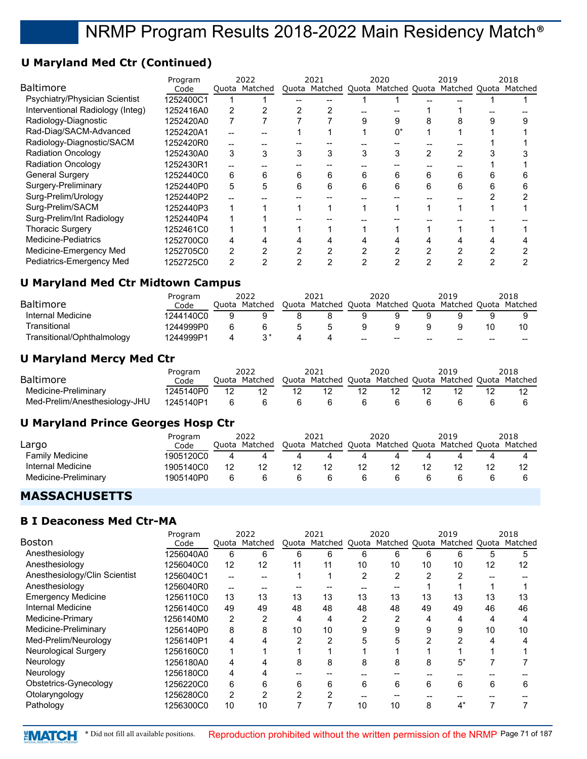## **U Maryland Med Ctr (Continued)**

|                                  | Program   | 2022 |               | 2021 |   |   | 2020 |   | 2019                                                    | 2018 |  |
|----------------------------------|-----------|------|---------------|------|---|---|------|---|---------------------------------------------------------|------|--|
| <b>Baltimore</b>                 | Code      |      | Quota Matched |      |   |   |      |   | Quota Matched Quota Matched Quota Matched Quota Matched |      |  |
| Psychiatry/Physician Scientist   | 1252400C1 |      |               |      |   |   |      |   |                                                         |      |  |
| Interventional Radiology (Integ) | 1252416A0 | 2    |               |      |   |   |      |   |                                                         |      |  |
| Radiology-Diagnostic             | 1252420A0 |      |               |      |   |   | 9    | 8 |                                                         |      |  |
| Rad-Diag/SACM-Advanced           | 1252420A1 |      |               |      |   |   | 0*   |   |                                                         |      |  |
| Radiology-Diagnostic/SACM        | 1252420R0 |      |               |      |   |   |      |   |                                                         |      |  |
| <b>Radiation Oncology</b>        | 1252430A0 | 3    |               | 3    | 3 |   | 3    | 2 | 2                                                       |      |  |
| <b>Radiation Oncology</b>        | 1252430R1 |      |               |      |   |   |      |   |                                                         |      |  |
| <b>General Surgery</b>           | 1252440C0 | 6    | 6             | 6    | 6 | h | 6    | 6 |                                                         |      |  |
| Surgery-Preliminary              | 1252440P0 | 5    | 5             | 6    | 6 | 6 | 6    | 6 | 6                                                       |      |  |
| Surg-Prelim/Urology              | 1252440P2 |      |               |      |   |   |      |   |                                                         |      |  |
| Surg-Prelim/SACM                 | 1252440P3 |      |               |      |   |   |      |   |                                                         |      |  |
| Surg-Prelim/Int Radiology        | 1252440P4 |      |               |      |   |   |      |   |                                                         |      |  |
| <b>Thoracic Surgery</b>          | 1252461C0 |      |               |      |   |   |      |   |                                                         |      |  |
| Medicine-Pediatrics              | 1252700C0 | 4    |               |      |   |   |      |   |                                                         |      |  |
| Medicine-Emergency Med           | 1252705C0 | 2    |               |      |   |   |      |   |                                                         |      |  |
| Pediatrics-Emergency Med         | 1252725C0 | 2    |               |      |   |   |      |   |                                                         |      |  |

### **U Maryland Med Ctr Midtown Campus**

|                            | Program   |       | 2022    |   | 2021          |     | 2020                |       | 2019          |       | 2018    |
|----------------------------|-----------|-------|---------|---|---------------|-----|---------------------|-------|---------------|-------|---------|
| <b>Baltimore</b>           | Code      | Ouota | Matched |   | Quota Matched |     | Quota Matched Quota |       | Matched Quota |       | Matched |
| Internal Medicine          | 1244140C0 | ч     |         |   |               |     |                     |       |               |       |         |
| Transitional               | 1244999P0 |       |         | 5 |               |     |                     |       |               | 10    |         |
| Transitional/Ophthalmology | 1244999P1 |       |         |   |               | $-$ | $\hspace{0.05cm}$   | $- -$ | --            | $- -$ | $- -$   |

### **U Maryland Mercy Med Ctr**

|                               | Program   | 2022          | 2021                                                    | 2020 | 2019 | 2018 |
|-------------------------------|-----------|---------------|---------------------------------------------------------|------|------|------|
| <b>Baltimore</b>              | Code      | Ouota Matched | Quota Matched Quota Matched Quota Matched Quota Matched |      |      |      |
| Medicine-Preliminary          | 1245140P0 |               |                                                         |      |      |      |
| Med-Prelim/Anesthesiology-JHU | 1245140P1 |               |                                                         |      |      |      |

#### **U Maryland Prince Georges Hosp Ctr**

|                        | Program   |       | 2022    |    | 2021                              | 2020 | 2019          | 2018    |
|------------------------|-----------|-------|---------|----|-----------------------------------|------|---------------|---------|
| Largo                  | Code      | Ouota | Matched |    | Quota Matched Quota Matched Quota |      | Matched Quota | Matched |
| <b>Family Medicine</b> | 1905120C0 |       |         |    |                                   |      |               |         |
| Internal Medicine      | 1905140C0 | 12    |         | 12 | 12                                |      |               |         |
| Medicine-Preliminary   | 1905140P0 |       |         | n  |                                   |      |               |         |

## **MASSACHUSETTS**

#### **B I Deaconess Med Ctr-MA**

|                               | Program   |       | 2022          |                | 2021          |    | 2020                |    | 2019          |    | 2018    |
|-------------------------------|-----------|-------|---------------|----------------|---------------|----|---------------------|----|---------------|----|---------|
| Boston                        | Code      |       | Quota Matched |                | Quota Matched |    | Quota Matched Quota |    | Matched Quota |    | Matched |
| Anesthesiology                | 1256040A0 | 6     | 6             | 6              | 6             | 6  | 6                   | 6  | 6             | 5  | 5       |
| Anesthesiology                | 1256040C0 | 12    | 12            | 11             | 11            | 10 | 10                  | 10 | 10            | 12 | 12      |
| Anesthesiology/Clin Scientist | 1256040C1 | --    |               |                |               | 2  | 2                   |    | 2             |    |         |
| Anesthesiology                | 1256040R0 | $- -$ |               |                |               |    |                     |    |               |    |         |
| <b>Emergency Medicine</b>     | 1256110C0 | 13    | 13            | 13             | 13            | 13 | 13                  | 13 | 13            | 13 | 13      |
| Internal Medicine             | 1256140C0 | 49    | 49            | 48             | 48            | 48 | 48                  | 49 | 49            | 46 | 46      |
| Medicine-Primary              | 1256140M0 | 2     | 2             | 4              | 4             | 2  | 2                   | 4  | 4             | 4  | 4       |
| Medicine-Preliminary          | 1256140P0 | 8     | 8             | 10             | 10            | 9  | 9                   | 9  | 9             | 10 | 10      |
| Med-Prelim/Neurology          | 1256140P1 | 4     |               | $\overline{2}$ | 2             | 5  | 5                   | 2  | 2             |    |         |
| Neurological Surgery          | 1256160C0 |       |               |                |               |    |                     |    |               |    |         |
| Neurology                     | 1256180A0 | 4     |               | 8              | 8             | 8  | 8                   | 8  | $5^*$         |    |         |
| Neurology                     | 1256180C0 | 4     | 4             |                |               |    |                     |    |               |    |         |
| Obstetrics-Gynecology         | 1256220C0 | 6     | 6             | 6              | 6             | 6  | 6                   | 6  | 6             | 6  | 6       |
| Otolaryngology                | 1256280C0 | 2     | 2             | 2              | 2             |    |                     |    |               |    |         |
| Pathology                     | 1256300C0 | 10    | 10            |                |               | 10 | 10                  | 8  | $4^*$         |    |         |

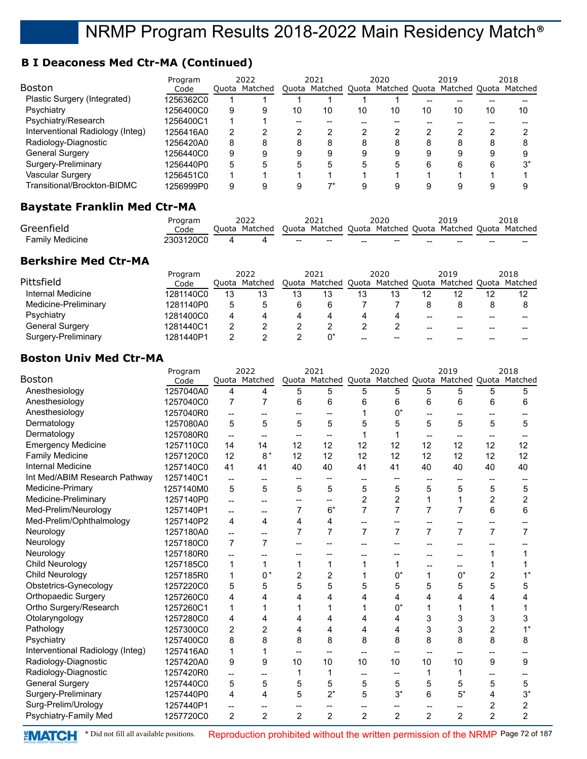## **B I Deaconess Med Ctr-MA (Continued)**

| <b>Boston</b>                    | Program<br>Code | Ouota | 2022<br>Matched |    | 2021 |    | 2020 |    | 2019<br>Quota Matched Quota Matched Quota Matched Quota Matched |    | 2018  |
|----------------------------------|-----------------|-------|-----------------|----|------|----|------|----|-----------------------------------------------------------------|----|-------|
| Plastic Surgery (Integrated)     | 1256362C0       |       |                 |    |      |    |      |    |                                                                 |    |       |
| Psychiatry                       | 1256400C0       | 9     |                 | 10 | 10   | 10 | 10   | 10 | 10                                                              | 10 | 10    |
| Psychiatry/Research              | 1256400C1       |       |                 |    |      |    |      |    |                                                                 |    |       |
| Interventional Radiology (Integ) | 1256416A0       | 2     |                 | າ  |      |    |      |    |                                                                 |    |       |
| Radiology-Diagnostic             | 1256420A0       | 8     |                 | 8  | 8    | 8  | 8    | 8  | 8                                                               | 8  |       |
| <b>General Surgery</b>           | 1256440C0       | 9     |                 | 9  | 9    | 9  | 9    | я  | 9                                                               | 9  |       |
| Surgery-Preliminary              | 1256440P0       | 5     |                 | 5  | 5    | 5  |      |    | 6                                                               | 6  | $3^*$ |
| Vascular Surgery                 | 1256451C0       |       |                 |    |      |    |      |    |                                                                 |    |       |
| Transitional/Brockton-BIDMC      | 1256999P0       | 9     |                 | 9  |      |    |      |    | 9                                                               | 9  |       |

### **Baystate Franklin Med Ctr-MA**

|                        | Program   | 2022 |                                                                       | 2021   |     | 2020            |                   | 2019  |                 | 2018  |
|------------------------|-----------|------|-----------------------------------------------------------------------|--------|-----|-----------------|-------------------|-------|-----------------|-------|
| Greenfield             | Code      |      | Quota Matched Quota Matched Quota Matched Quota Matched Quota Matched |        |     |                 |                   |       |                 |       |
| <b>Family Medicine</b> | 2303120C0 |      |                                                                       | $\sim$ | $-$ | $\qquad \qquad$ | $\hspace{0.04in}$ | $- -$ | $\qquad \qquad$ | $- -$ |

## **Berkshire Med Ctr-MA**

|                      | Program   |    | 2022          |    | 2021 |    | 2020  |    | 2019                                                    |    | 2018 |
|----------------------|-----------|----|---------------|----|------|----|-------|----|---------------------------------------------------------|----|------|
| Pittsfield           | Code      |    | Quota Matched |    |      |    |       |    | Quota Matched Quota Matched Quota Matched Quota Matched |    |      |
| Internal Medicine    | 1281140C0 | 13 | 13            | 13 | 13   | 13 | 13    |    |                                                         | 12 |      |
| Medicine-Preliminary | 1281140P0 | ۰. |               |    |      |    |       |    |                                                         |    |      |
| Psychiatry           | 1281400C0 | 4  |               |    |      |    | 4     | -- | --                                                      | -- |      |
| General Surgery      | 1281440C1 |    |               |    |      |    |       | -- | --                                                      |    |      |
| Surgery-Preliminary  | 1281440P1 |    |               |    |      | -- | $- -$ | -- | --                                                      |    |      |

## **Boston Univ Med Ctr-MA**

|                                  | Program   |                          | 2022           |                | 2021           |                | 2020           |                | 2019                                              |                | 2018           |
|----------------------------------|-----------|--------------------------|----------------|----------------|----------------|----------------|----------------|----------------|---------------------------------------------------|----------------|----------------|
| <b>Boston</b>                    | Code      | Quota                    | Matched        | Quota          |                |                |                |                | Matched Quota Matched Quota Matched Quota Matched |                |                |
| Anesthesiology                   | 1257040A0 | 4                        | 4              | 5              | 5              | 5              | 5              | 5              | 5                                                 | 5              | 5              |
| Anesthesiology                   | 1257040C0 | 7                        | 7              | 6              | 6              | 6              | 6              | 6              | 6                                                 | 6              | 6              |
| Anesthesiology                   | 1257040R0 | --                       |                |                |                |                | $0^*$          |                |                                                   |                |                |
| Dermatology                      | 1257080A0 | 5                        | 5              | 5              | 5              | 5              | 5              | 5              | 5                                                 | 5              | 5              |
| Dermatology                      | 1257080R0 | $\overline{a}$           | --             |                |                |                |                | --             |                                                   |                |                |
| <b>Emergency Medicine</b>        | 1257110C0 | 14                       | 14             | 12             | 12             | 12             | 12             | 12             | 12                                                | 12             | 12             |
| <b>Family Medicine</b>           | 1257120C0 | 12                       | $8*$           | 12             | 12             | 12             | 12             | 12             | 12                                                | 12             | 12             |
| <b>Internal Medicine</b>         | 1257140C0 | 41                       | 41             | 40             | 40             | 41             | 41             | 40             | 40                                                | 40             | 40             |
| Int Med/ABIM Research Pathway    | 1257140C1 | $\overline{\phantom{a}}$ | --             |                |                |                |                |                |                                                   |                |                |
| Medicine-Primary                 | 1257140M0 | 5                        | 5              | 5              | 5              | 5              | 5              | 5              | 5                                                 | 5              | 5              |
| Medicine-Preliminary             | 1257140P0 | $\overline{a}$           |                |                |                | $\overline{2}$ | $\overline{2}$ | 1              | 1                                                 | $\overline{2}$ | 2              |
| Med-Prelim/Neurology             | 1257140P1 | $\overline{a}$           | $-$            | 7              | $6*$           | $\overline{7}$ | 7              | 7              | $\overline{7}$                                    | 6              | 6              |
| Med-Prelim/Ophthalmology         | 1257140P2 | 4                        | 4              | 4              | 4              | --             |                | --             | --                                                | --             |                |
| Neurology                        | 1257180A0 | --                       | $\overline{a}$ | 7              | 7              | 7              | $\overline{7}$ | 7              | $\overline{7}$                                    | $\overline{7}$ | $\overline{7}$ |
| Neurology                        | 1257180C0 | $\overline{7}$           | 7              |                |                |                |                |                |                                                   |                |                |
| Neurology                        | 1257180R0 | --                       |                |                |                |                |                |                |                                                   | 1              |                |
| Child Neurology                  | 1257185C0 | 1                        | 1              | 1              | 1              |                | 1              |                |                                                   |                |                |
| Child Neurology                  | 1257185R0 | 1                        | $0*$           | 2              | 2              |                | $0^*$          | 1              | $0^*$                                             | 2              | $1^*$          |
| Obstetrics-Gynecology            | 1257220C0 | 5                        | 5              | 5              | 5              | 5              | 5              | 5              | 5                                                 | 5              | 5              |
| <b>Orthopaedic Surgery</b>       | 1257260C0 | 4                        | 4              | 4              | 4              | 4              | 4              | 4              | 4                                                 | 4              | 4              |
| Ortho Surgery/Research           | 1257260C1 | 1                        |                |                |                |                | $0^*$          | 1              |                                                   |                |                |
| Otolaryngology                   | 1257280C0 | 4                        | 4              | 4              | 4              | 4              | 4              | 3              | 3                                                 | 3              | 3              |
| Pathology                        | 1257300C0 | $\overline{2}$           | $\overline{2}$ | 4              | 4              | 4              | 4              | 3              | 3                                                 | $\overline{2}$ | $1^*$          |
| Psychiatry                       | 1257400C0 | 8                        | 8              | 8              | 8              | 8              | 8              | 8              | 8                                                 | 8              | 8              |
| Interventional Radiology (Integ) | 1257416A0 | 1                        |                |                |                |                |                |                |                                                   |                |                |
| Radiology-Diagnostic             | 1257420A0 | 9                        | 9              | 10             | 10             | 10             | 10             | 10             | 10                                                | 9              | 9              |
| Radiology-Diagnostic             | 1257420R0 | --                       | $\overline{a}$ | 1              | 1              | --             | --             | 1              |                                                   |                |                |
| <b>General Surgery</b>           | 1257440C0 | $\mathbf 5$              | 5              | 5              | 5              | 5              | $\sqrt{5}$     | 5              | 5                                                 | 5              | 5              |
| Surgery-Preliminary              | 1257440P0 | 4                        | 4              | 5              | $2^*$          | 5              | $3^*$          | 6              | $5^*$                                             | 4              | $3^*$          |
| Surg-Prelim/Urology              | 1257440P1 | --                       |                |                |                |                |                |                |                                                   | 2              | 2              |
| Psychiatry-Family Med            | 1257720C0 | $\overline{c}$           | $\overline{2}$ | $\overline{2}$ | $\overline{2}$ | $\overline{2}$ | $\overline{2}$ | $\overline{2}$ | $\overline{2}$                                    | $\overline{2}$ | 2              |
|                                  |           |                          |                |                |                |                |                |                |                                                   |                |                |

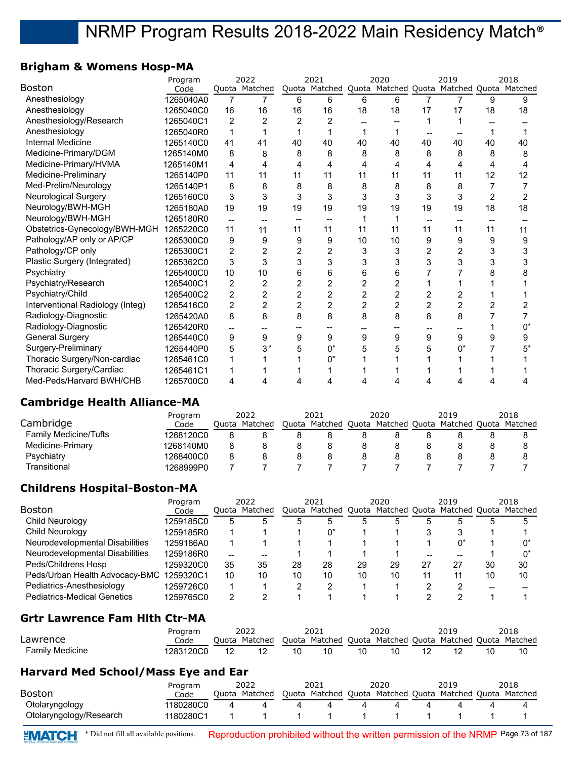## **Brigham & Womens Hosp-MA**

|                                  | Program   |                | 2022           |                | 2021           |                | 2020                              |                | 2019           |                | 2018    |
|----------------------------------|-----------|----------------|----------------|----------------|----------------|----------------|-----------------------------------|----------------|----------------|----------------|---------|
| <b>Boston</b>                    | Code      |                | Quota Matched  | Quota          | Matched        |                | Quota Matched Quota Matched Quota |                |                |                | Matched |
| Anesthesiology                   | 1265040A0 | 7              |                | 6              | 6              | 6              | 6                                 |                | 7              | 9              |         |
| Anesthesiology                   | 1265040C0 | 16             | 16             | 16             | 16             | 18             | 18                                | 17             | 17             | 18             | 18      |
| Anesthesiology/Research          | 1265040C1 | 2              | 2              | 2              | 2              |                |                                   |                |                |                |         |
| Anesthesiology                   | 1265040R0 |                |                |                |                |                |                                   |                |                |                |         |
| <b>Internal Medicine</b>         | 1265140C0 | 41             | 41             | 40             | 40             | 40             | 40                                | 40             | 40             | 40             | 40      |
| Medicine-Primary/DGM             | 1265140M0 | 8              | 8              | 8              | 8              | 8              | 8                                 | 8              | 8              | 8              | 8       |
| Medicine-Primary/HVMA            | 1265140M1 | 4              | 4              | 4              | 4              | 4              | 4                                 | 4              | 4              | 4              | 4       |
| Medicine-Preliminary             | 1265140P0 | 11             | 11             | 11             | 11             | 11             | 11                                | 11             | 11             | 12             | 12      |
| Med-Prelim/Neurology             | 1265140P1 | 8              | 8              | 8              | 8              | 8              | 8                                 | 8              | 8              |                |         |
| <b>Neurological Surgery</b>      | 1265160C0 | 3              | 3              | 3              | 3              | 3              | 3                                 | 3              | 3              | $\overline{2}$ | 2       |
| Neurology/BWH-MGH                | 1265180A0 | 19             | 19             | 19             | 19             | 19             | 19                                | 19             | 19             | 18             | 18      |
| Neurology/BWH-MGH                | 1265180R0 | --             |                |                |                |                |                                   |                |                |                |         |
| Obstetrics-Gynecology/BWH-MGH    | 1265220C0 | 11             | 11             | 11             | 11             | 11             | 11                                | 11             | 11             | 11             | 11      |
| Pathology/AP only or AP/CP       | 1265300C0 | 9              | 9              | 9              | 9              | 10             | 10                                | 9              | 9              | 9              | 9       |
| Pathology/CP only                | 1265300C1 | 2              | $\overline{2}$ | $\overline{2}$ | $\overline{c}$ | 3              | 3                                 | 2              |                | 3              | 3       |
| Plastic Surgery (Integrated)     | 1265362C0 | 3              | 3              | 3              | 3              | 3              | 3                                 | 3              | 3              | 3              | 3       |
| Psychiatry                       | 1265400C0 | 10             | 10             | 6              | 6              | 6              | 6                                 |                |                |                |         |
| Psychiatry/Research              | 1265400C1 | $\overline{2}$ | $\overline{2}$ | $\overline{2}$ | $\overline{2}$ | 2              | 2                                 |                |                |                |         |
| Psychiatry/Child                 | 1265400C2 | 2              | $\overline{2}$ | $\overline{2}$ | $\overline{2}$ | $\overline{2}$ | 2                                 | $\overline{2}$ | 2              |                |         |
| Interventional Radiology (Integ) | 1265416C0 | 2              | $\overline{2}$ | 2              | $\overline{2}$ | $\overline{2}$ | 2                                 | $\overline{2}$ | $\overline{2}$ |                | 2       |
| Radiology-Diagnostic             | 1265420A0 | 8              | 8              | 8              | 8              | 8              | 8                                 | 8              | 8              |                |         |
| Radiology-Diagnostic             | 1265420R0 | --             |                |                |                |                |                                   |                |                |                | $0^*$   |
| <b>General Surgery</b>           | 1265440C0 | 9              | 9              | 9              | 9              | 9              | 9                                 | 9              | 9              |                | 9       |
| Surgery-Preliminary              | 1265440P0 | 5              | $3*$           | 5              | $0^*$          | 5              | 5                                 | 5              | $0^*$          |                | $5^*$   |
| Thoracic Surgery/Non-cardiac     | 1265461C0 |                |                |                | በ*             |                |                                   |                |                |                |         |
| Thoracic Surgery/Cardiac         | 1265461C1 |                |                |                |                |                |                                   |                |                |                |         |
| Med-Peds/Harvard BWH/CHB         | 1265700C0 | 4              |                |                |                |                |                                   |                |                |                |         |

## **Cambridge Health Alliance-MA**

|                              | Program   | 2022          |       | 2021                                              | 2020 | 2019 | 2018 |
|------------------------------|-----------|---------------|-------|---------------------------------------------------|------|------|------|
| Cambridge                    | Code      | Ouota Matched | Quota | Matched Quota Matched Quota Matched Quota Matched |      |      |      |
| <b>Family Medicine/Tufts</b> | 1268120C0 |               |       |                                                   |      |      |      |
| Medicine-Primary             | 1268140M0 |               |       |                                                   |      |      |      |
| Psychiatry                   | 1268400C0 |               |       |                                                   |      |      |      |
| Transitional                 | 1268999P0 |               |       |                                                   |      |      |      |

## **Childrens Hospital-Boston-MA**

| Program                                     |     |    |                       |    |      |    |      | 2019 |    | 2018                                            |
|---------------------------------------------|-----|----|-----------------------|----|------|----|------|------|----|-------------------------------------------------|
| Code                                        |     |    |                       |    |      |    |      |      |    | Matched                                         |
| 1259185C0                                   | 5   |    |                       |    | 5    | 5  |      |      |    |                                                 |
| 1259185R0                                   |     |    |                       |    |      |    |      |      |    |                                                 |
| 1259186A0                                   |     |    |                       |    |      |    |      | U,   |    |                                                 |
| 1259186R0                                   | $-$ |    |                       |    |      |    |      |      |    | U,                                              |
| 1259320C0                                   | 35  | 35 | 28                    | 28 | 29   | 29 | 27   | 27   | 30 | 30                                              |
| Peds/Urban Health Advocacy-BMC<br>1259320C1 | 10  | 10 | 10                    | 10 | 10   | 10 | 11   |      | 10 | 10                                              |
| 1259726C0                                   |     |    |                       |    |      |    |      |      |    |                                                 |
| 1259765C0                                   | 2   |    |                       |    |      |    |      |      |    |                                                 |
|                                             |     |    | 2022<br>Ouota Matched |    | 2021 |    | 2020 |      |    | Quota Matched Quota Matched Quota Matched Quota |

## **Grtr Lawrence Fam Hlth Ctr-MA**

|                        | Program   | 2022  |         |       | 2021 | 2020 |  | 2019 |  | 2018                                              |
|------------------------|-----------|-------|---------|-------|------|------|--|------|--|---------------------------------------------------|
| Lawrence               | Code      | Ouota | Matched | Ouota |      |      |  |      |  | Matched Ouota Matched Ouota Matched Ouota Matched |
| <b>Family Medicine</b> | 1283120C0 |       |         |       |      |      |  |      |  |                                                   |

## **Harvard Med School/Mass Eye and Ear**

|                         | Program   | 2022 |               | 2021 |                                                         | 2020 |  | 2019 |  | 2018 |
|-------------------------|-----------|------|---------------|------|---------------------------------------------------------|------|--|------|--|------|
| Boston                  | Code      |      | Ouota Matched |      | Quota Matched Quota Matched Quota Matched Quota Matched |      |  |      |  |      |
| Otolaryngology          | 1180280C0 |      |               |      |                                                         |      |  |      |  |      |
| Otolaryngology/Research | 1180280C1 |      |               |      |                                                         |      |  |      |  |      |

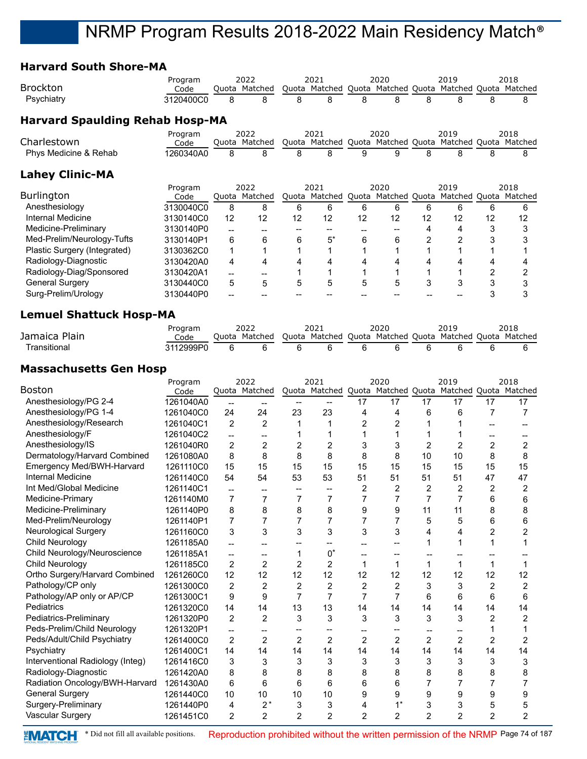#### **Harvard South Shore-MA**

| unui                                   |                 |                          |                                     |                          |                          |                          |                                                         |                |                |                          |                  |
|----------------------------------------|-----------------|--------------------------|-------------------------------------|--------------------------|--------------------------|--------------------------|---------------------------------------------------------|----------------|----------------|--------------------------|------------------|
|                                        | Program         |                          | 2022                                |                          | 2021                     |                          | 2020                                                    |                | 2019           |                          | 2018             |
| <b>Brockton</b>                        | Code            |                          | Quota Matched                       |                          |                          |                          | Quota Matched Quota Matched Quota Matched Quota Matched |                |                |                          |                  |
| Psychiatry                             | 3120400C0       | 8                        | 8                                   | 8                        | 8                        | 8                        | 8                                                       | 8              | 8              | 8                        | 8                |
| <b>Harvard Spaulding Rehab Hosp-MA</b> |                 |                          |                                     |                          |                          |                          |                                                         |                |                |                          |                  |
| Charlestown                            | Program         |                          | 2022                                |                          | 2021                     |                          | 2020                                                    |                | 2019           |                          | 2018             |
|                                        | Code            |                          | Quota Matched                       |                          |                          |                          | Quota Matched Quota Matched Quota Matched Quota Matched |                |                |                          |                  |
| Phys Medicine & Rehab                  | 1260340A0       | 8                        | 8                                   | 8                        | 8                        | 9                        | 9                                                       | 8              | 8              | 8                        | 8                |
| <b>Lahey Clinic-MA</b>                 |                 |                          |                                     |                          |                          |                          |                                                         |                |                |                          |                  |
| Burlington                             | Program<br>Code |                          | 2022<br>Quota Matched               |                          | 2021                     |                          | 2020<br>Quota Matched Quota Matched Quota Matched Quota |                | 2019           |                          | 2018<br>Matched  |
| Anesthesiology                         | 3130040C0       | 8                        | 8                                   | 6                        | 6                        | 6                        | 6                                                       | 6              | 6              | 6                        | 6                |
| Internal Medicine                      | 3130140C0       | 12                       | 12                                  | 12                       | 12                       | 12                       | 12                                                      | 12             | 12             | 12                       | 12               |
| Medicine-Preliminary                   | 3130140P0       | $\overline{\phantom{a}}$ | --                                  | $\overline{\phantom{a}}$ | $\overline{\phantom{a}}$ | $\overline{\phantom{a}}$ | $\overline{\phantom{a}}$                                | 4              | 4              | 3                        | 3                |
| Med-Prelim/Neurology-Tufts             | 3130140P1       | 6                        | 6                                   | 6                        | $5^*$                    | 6                        | 6                                                       | $\overline{c}$ | 2              | 3                        | 3                |
| Plastic Surgery (Integrated)           | 3130362C0       | 1                        | 1                                   | 1                        | 1                        | 1                        | 1                                                       | 1              | 1              | 1                        | 1                |
| Radiology-Diagnostic                   | 3130420A0       | 4                        | 4                                   | 4                        | 4                        | 4                        | 4                                                       | 4              | 4              | 4                        | 4                |
| Radiology-Diag/Sponsored               | 3130420A1       | $-$                      | $-$                                 | 1                        | 1                        | 1                        | 1                                                       | 1              | 1              | $\overline{c}$           | $\boldsymbol{2}$ |
| <b>General Surgery</b>                 | 3130440C0       | 5                        | 5                                   | 5                        | 5                        | 5                        | 5                                                       | 3              | 3              | 3                        | 3                |
| Surg-Prelim/Urology                    | 3130440P0       | $\overline{\phantom{a}}$ |                                     | --                       | $\overline{\phantom{a}}$ |                          | --                                                      |                |                | 3                        | 3                |
|                                        |                 |                          |                                     |                          |                          |                          |                                                         |                |                |                          |                  |
| <b>Lemuel Shattuck Hosp-MA</b>         |                 |                          |                                     |                          |                          |                          |                                                         |                |                |                          |                  |
| Jamaica Plain                          | Program         |                          | 2022                                |                          | 2021                     |                          | 2020                                                    |                | 2019           |                          | 2018             |
| Transitional                           | Code            |                          | Quota Matched                       |                          | 6                        |                          | Quota Matched Quota Matched Quota Matched Quota Matched |                |                |                          |                  |
|                                        | 3112999P0       | 6                        | 6                                   | 6                        |                          | 6                        | 6                                                       | 6              | 6              | 6                        | 6                |
| <b>Massachusetts Gen Hosp</b>          |                 |                          |                                     |                          |                          |                          |                                                         |                |                |                          |                  |
|                                        | Program         |                          | 2022                                |                          | 2021                     |                          | 2020                                                    |                | 2019           |                          | 2018             |
| <b>Boston</b>                          | Code            |                          | Quota Matched                       | Quota                    | Matched                  |                          | Quota Matched Quota Matched Quota                       |                |                |                          | Matched          |
| Anesthesiology/PG 2-4                  | 1261040A0       | $-$                      | $\overline{\phantom{a}}$            |                          | $\overline{\phantom{a}}$ | 17                       | 17                                                      | 17             | 17             | 17                       | 17               |
| Anesthesiology/PG 1-4                  | 1261040C0       | 24                       | 24                                  | 23                       | 23                       | 4                        | 4                                                       | 6              | 6              | 7                        | 7                |
| Anesthesiology/Research                | 1261040C1       | $\overline{c}$           | $\overline{2}$                      | 1                        | 1                        | $\overline{2}$           | 2                                                       | 1              | 1              | $\overline{\phantom{a}}$ |                  |
| Anesthesiology/F                       | 1261040C2       | --                       | --                                  | 1                        | 1                        | 1                        | 1                                                       | 1              | 1              | --                       | --               |
| Anesthesiology/IS                      | 1261040R0       | 2                        | 2                                   | 2                        | $\overline{c}$           | 3                        | 3                                                       | $\overline{2}$ | $\overline{2}$ | $\overline{c}$           | 2                |
| Dermatology/Harvard Combined           | 1261080A0       | 8                        | 8                                   | 8                        | 8                        | 8                        | 8                                                       | 10             | 10             | 8                        | 8                |
| Emergency Med/BWH-Harvard              | 1261110C0       | 15                       | 15                                  | 15                       | 15                       | 15                       | 15                                                      | 15             | 15             | 15                       | 15               |
| Internal Medicine                      | 1261140C0       | 54                       | 54                                  | 53                       | 53                       | 51                       | 51                                                      | 51             | 51             | 47                       | 47               |
| Int Med/Global Medicine                | 1261140C1       | $\overline{\phantom{a}}$ | $\overline{\phantom{a}}$            | $\overline{\phantom{a}}$ | $-$                      | $\overline{2}$           | $\overline{\mathbf{c}}$                                 | $\overline{c}$ | 2              | $\overline{c}$           | $\boldsymbol{2}$ |
| Medicine-Primary                       | 1261140M0       | 7                        | 7                                   | 7                        | 7                        | 7                        | $\overline{7}$                                          | $\overline{7}$ | 7              | 6                        | $\,6\,$          |
| Medicine-Preliminary                   | 1261140P0       | 8                        | 8                                   | 8                        | 8                        | 9                        | 9                                                       | 11             | 11             | 8                        | 8                |
| Med-Prelim/Neurology                   | 1261140P1       | 7                        | 7                                   | 7                        | 7                        | 7                        | 7                                                       | 5              | 5              | 6                        | 6                |
| <b>Neurological Surgery</b>            | 1261160C0       | 3                        | 3                                   | 3                        | 3                        | 3                        | 3                                                       | 4              | 4              | $\overline{\mathbf{c}}$  | 2                |
| <b>Child Neurology</b>                 | 1261185A0       |                          | --                                  | --                       |                          |                          |                                                         | 1              | 1              | $\mathbf{1}$             | 1                |
| Child Neurology/Neuroscience           | 1261185A1       | --                       | $\hspace{0.05cm}$ $\hspace{0.05cm}$ | 1                        | $0^*$                    | --                       | $\overline{\phantom{a}}$                                |                |                | --                       |                  |
| <b>Child Neurology</b>                 | 1261185C0       | 2                        | $\overline{c}$                      | $\overline{c}$           | $\overline{2}$           | 1                        | 1                                                       | $\mathbf{1}$   | $\mathbf{1}$   | $\mathbf{1}$             | $\mathbf{1}$     |
| Ortho Surgery/Harvard Combined         | 1261260C0       | 12                       | 12                                  | 12                       | 12                       | 12                       | 12                                                      | 12             | 12             | 12                       | 12               |
| Pathology/CP only                      | 1261300C0       | $\overline{c}$           | $\overline{\mathbf{c}}$             | $\overline{\mathbf{c}}$  | $\overline{c}$           | $\boldsymbol{2}$         | $\overline{\mathbf{c}}$                                 | 3              | 3              | $\overline{c}$           | $\sqrt{2}$       |
| Pathology/AP only or AP/CP             | 1261300C1       | $\boldsymbol{9}$         | 9                                   | $\overline{7}$           | $\overline{7}$           | $\overline{7}$           | $\overline{7}$                                          | 6              | 6              | 6                        | $\,6\,$          |
| Pediatrics                             | 1261320C0       | 14                       | 14                                  | 13                       | 13                       | 14                       | 14                                                      | 14             | 14             | 14                       | 14               |

Pediatrics-Preliminary 1261320P0 2 2 3 3 3 3 3 3 2 2 Peds-Prelim/Child Neurology 1261320P1 -- -- -- -- -- -- -- -- 1 1 Peds/Adult/Child Psychiatry 1261400C0 2 2 22 2 222 2 2 Psychiatry 1261400C1 14 14 14 14 14 14 14 14 14 14 Interventional Radiology (Integ) 1261416C0 3 3 3 3 3 3 3 3 3 3 3 Radiology-Diagnostic 1261420A0 8 8 8 8 8 8 8 8 8 8 Radiation Oncology/BWH-Harvard 1261430A0 6 6 6 6 6 6 6 6 7 7 7 7 General Surgery 1261440C0 10 10 10 10 9 9 9 9 9 9 Surgery-Preliminary 1261440P0 4 2 \* 33 4 133 5 \* 5 Vascular Surgery 1261451C0 2 2 22 2 222 2 2

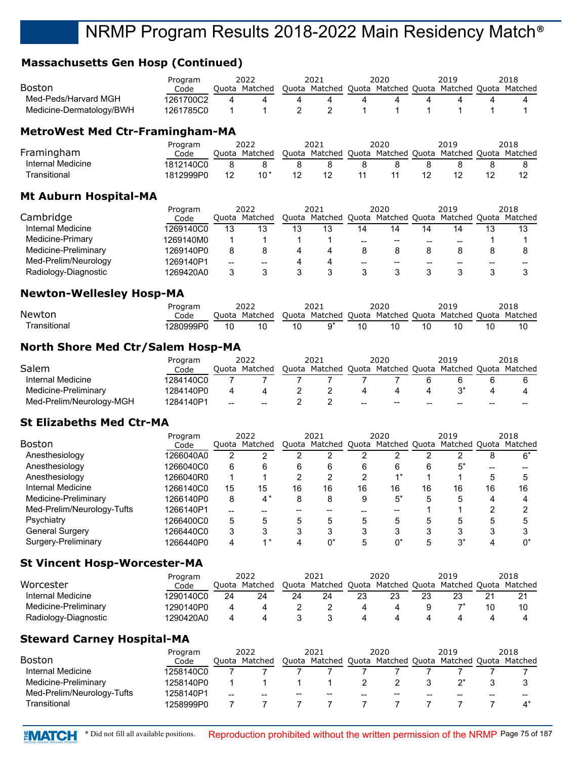## **Massachusetts Gen Hosp (Continued)**

|                          | Program   | 2022 |               | 2021                                                    | 2020 |  | 2019 |  | 2018 |
|--------------------------|-----------|------|---------------|---------------------------------------------------------|------|--|------|--|------|
| <b>Boston</b>            | Code      |      | Ouota Matched | Quota Matched Quota Matched Quota Matched Quota Matched |      |  |      |  |      |
| Med-Peds/Harvard MGH     | 1261700C2 |      |               |                                                         |      |  |      |  |      |
| Medicine-Dermatology/BWH | 1261785C0 |      |               |                                                         |      |  |      |  |      |

#### **MetroWest Med Ctr-Framingham-MA**

|                   | Program   | 2022          | 2021                                                    | 2020 | 2019 | 2018 |
|-------------------|-----------|---------------|---------------------------------------------------------|------|------|------|
| Framingham        | Code      | Ouota Matched | Quota Matched Quota Matched Quota Matched Quota Matched |      |      |      |
| Internal Medicine | 1812140C0 |               |                                                         |      |      |      |
| Transitional      | 1812999P0 |               |                                                         |      |      |      |

#### **Mt Auburn Hospital-MA**

|                      | Program   |       | 2022    |       | 2021    |       | 2020                                              |       | 2019          |    | 2018    |
|----------------------|-----------|-------|---------|-------|---------|-------|---------------------------------------------------|-------|---------------|----|---------|
| Cambridge            | Code      | Ouota | Matched | Ouota | Matched |       | Quota Matched                                     | Quota | Matched Quota |    | Matched |
| Internal Medicine    | 1269140C0 | 13    |         | 13    | 13      | 14    | 14                                                |       | 14            | 13 |         |
| Medicine-Primary     | 1269140M0 |       |         |       |         | $- -$ | $\hspace{0.05cm}-\hspace{0.05cm}-\hspace{0.05cm}$ | --    | --            |    |         |
| Medicine-Preliminary | 1269140P0 |       |         |       |         |       |                                                   |       |               |    |         |
| Med-Prelim/Neurology | 1269140P1 | --    | --      |       |         | $- -$ | $\overline{\phantom{m}}$                          | --    |               | -- |         |
| Radiology-Diagnostic | 1269420A0 |       |         |       |         |       |                                                   |       |               |    |         |

#### **Newton-Wellesley Hosp-MA**

|              | Program  |       | 2022    |       | רחר     |       | 2020          | 2019                  | 2018 |
|--------------|----------|-------|---------|-------|---------|-------|---------------|-----------------------|------|
| Newton       | Code     | วuota | Matched | Ouota | Matched | Ouota | Matched Ouota | Matched Quota Matched |      |
| Transitional | 280999P0 |       |         |       |         | 10    |               |                       |      |

#### **North Shore Med Ctr/Salem Hosp-MA**

|                          | Program   |       | 2022    | 2021                              |     | 2020              |    | 2019                  |    | 2018  |
|--------------------------|-----------|-------|---------|-----------------------------------|-----|-------------------|----|-----------------------|----|-------|
| Salem                    | Code      | Ouota | Matched | Quota Matched Quota Matched Quota |     |                   |    | Matched Quota Matched |    |       |
| Internal Medicine        | 1284140C0 |       |         |                                   |     |                   |    |                       |    |       |
| Medicine-Preliminary     | 1284140P0 |       |         |                                   |     |                   |    |                       |    |       |
| Med-Prelim/Neurology-MGH | 1284140P1 | $- -$ | --      |                                   | $-$ | $\hspace{0.05cm}$ | -- | --                    | -- | $- -$ |

#### **St Elizabeths Med Ctr-MA**

|                            | Program   | 2022 |               |    | 2021                                                    |    | 2020 |    | 2019 |    | 2018  |
|----------------------------|-----------|------|---------------|----|---------------------------------------------------------|----|------|----|------|----|-------|
| <b>Boston</b>              | Code      |      | Quota Matched |    | Quota Matched Quota Matched Quota Matched Quota Matched |    |      |    |      |    |       |
| Anesthesiology             | 1266040A0 | 2    |               |    |                                                         |    |      |    |      | 8  | $6^*$ |
| Anesthesiology             | 1266040C0 | 6    |               | 6  | 6                                                       | 6  | 6    |    | 5*   |    |       |
| Anesthesiology             | 1266040R0 |      |               | ◠  | າ                                                       | າ  |      |    |      |    |       |
| Internal Medicine          | 1266140C0 | 15   | 15            | 16 | 16                                                      | 16 | 16   | 16 | 16   | 16 | 16    |
| Medicine-Preliminary       | 1266140P0 | 8    | ⊿ *           | 8  | 8                                                       | 9  | 5*   | 5  | 5    |    |       |
| Med-Prelim/Neurology-Tufts | 1266140P1 | --   |               |    |                                                         |    |      |    |      |    |       |
| Psychiatry                 | 1266400C0 | 5    |               |    | 5                                                       | 5  | 5    | h  | h.   |    |       |
| <b>General Surgery</b>     | 1266440C0 | 3    |               |    |                                                         |    |      |    |      |    |       |
| Surgery-Preliminary        | 1266440P0 | 4    | ⊿ *           |    | U,                                                      | 5  | 0*   |    | n*   |    |       |

#### **St Vincent Hosp-Worcester-MA**

|                      | Program   |       | 2022    |       | 2021    |       | 2020          | 2019          |    | 2018    |
|----------------------|-----------|-------|---------|-------|---------|-------|---------------|---------------|----|---------|
| Worcester            | Code      | Ouota | Matched | Quota | Matched | Quota | Matched Quota | Matched Quota |    | Matched |
| Internal Medicine    | 1290140C0 | 24    | 24      | 24    | 24      | 23    | 23            |               |    |         |
| Medicine-Preliminary | 1290140P0 |       |         |       |         |       |               |               | 10 |         |
| Radiology-Diagnostic | 1290420A0 |       |         |       |         |       |               |               |    |         |

## **Steward Carney Hospital-MA**

|                            | Program   |       | 2022    |    | 2021                                            |    | 2020 |    | 2019 |    | 2018    |
|----------------------------|-----------|-------|---------|----|-------------------------------------------------|----|------|----|------|----|---------|
| <b>Boston</b>              | Code      | Ouota | Matched |    | Quota Matched Quota Matched Quota Matched Quota |    |      |    |      |    | Matched |
| Internal Medicine          | 1258140C0 |       |         |    |                                                 |    |      |    |      |    |         |
| Medicine-Preliminary       | 1258140P0 |       |         |    |                                                 |    |      |    |      |    |         |
| Med-Prelim/Neurology-Tufts | 1258140P1 | --    | --      | -- | $- -$                                           | -- | --   | -- | --   | -- | $- -$   |
| Transitional               | 1258999P0 |       |         |    |                                                 |    |      |    |      |    |         |

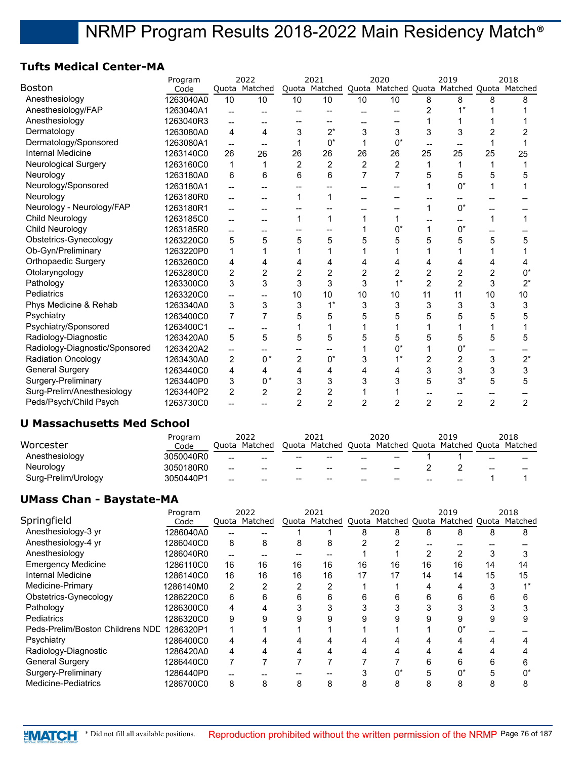#### **Tufts Medical Center-MA**

|                                | Program   |                          | 2022           |                | 2021           |                | 2020           |                | 2019                                                    |                | 2018  |
|--------------------------------|-----------|--------------------------|----------------|----------------|----------------|----------------|----------------|----------------|---------------------------------------------------------|----------------|-------|
| <b>Boston</b>                  | Code      |                          | Quota Matched  |                |                |                |                |                | Quota Matched Quota Matched Quota Matched Quota Matched |                |       |
| Anesthesiology                 | 1263040A0 | 10                       | 10             | 10             | 10             | 10             | 10             | 8              | 8                                                       | 8              | 8     |
| Anesthesiology/FAP             | 1263040A1 |                          |                |                |                |                |                | $\overline{2}$ |                                                         |                |       |
| Anesthesiology                 | 1263040R3 |                          |                |                |                |                |                |                |                                                         |                |       |
| Dermatology                    | 1263080A0 | 4                        | 4              | 3              | $2^*$          | 3              | 3              | 3              | 3                                                       |                |       |
| Dermatology/Sponsored          | 1263080A1 | $\overline{\phantom{a}}$ |                |                | $0^*$          |                | $0^*$          |                |                                                         |                |       |
| Internal Medicine              | 1263140C0 | 26                       | 26             | 26             | 26             | 26             | 26             | 25             | 25                                                      | 25             | 25    |
| Neurological Surgery           | 1263160C0 | 1                        |                | $\overline{2}$ | $\overline{2}$ | $\overline{2}$ | $\overline{2}$ |                |                                                         |                |       |
| Neurology                      | 1263180A0 | 6                        | 6              | 6              | 6              | 7              | 7              | 5              | 5                                                       | 5              | 5     |
| Neurology/Sponsored            | 1263180A1 |                          |                |                |                |                |                |                | $0^*$                                                   |                |       |
| Neurology                      | 1263180R0 |                          |                |                |                |                |                |                |                                                         |                |       |
| Neurology - Neurology/FAP      | 1263180R1 |                          |                |                |                |                |                |                | $0^*$                                                   |                |       |
| Child Neurology                | 1263185C0 |                          |                |                | 1              |                |                |                |                                                         |                |       |
| Child Neurology                | 1263185R0 | --                       |                |                |                |                | $0^*$          | 1              | $0^*$                                                   |                |       |
| Obstetrics-Gynecology          | 1263220C0 | 5                        | 5              | 5              | 5              | 5              | 5              | 5              | 5                                                       | 5              | 5     |
| Ob-Gyn/Preliminary             | 1263220P0 | 1                        |                |                |                |                |                |                |                                                         |                |       |
| Orthopaedic Surgery            | 1263260C0 | 4                        | 4              |                | 4              | 4              | 4              | 4              |                                                         |                | 4     |
| Otolaryngology                 | 1263280C0 | 2                        | $\overline{c}$ | 2              | $\overline{c}$ | $\overline{c}$ | 2              | $\overline{c}$ | $\overline{c}$                                          | 2              | $0^*$ |
| Pathology                      | 1263300C0 | 3                        | 3              | 3              | 3              | 3              | $1^*$          | $\overline{2}$ | $\overline{2}$                                          | 3              | $2^*$ |
| Pediatrics                     | 1263320C0 | --                       |                | 10             | 10             | 10             | 10             | 11             | 11                                                      | 10             | 10    |
| Phys Medicine & Rehab          | 1263340A0 | 3                        | 3              | 3              | $1*$           | 3              | 3              | 3              | 3                                                       | 3              | 3     |
| Psychiatry                     | 1263400C0 | 7                        | $\overline{7}$ |                | 5              | 5              | 5              | 5              | 5                                                       |                | 5     |
| Psychiatry/Sponsored           | 1263400C1 | --                       | --             |                |                |                |                |                |                                                         |                |       |
| Radiology-Diagnostic           | 1263420A0 | 5                        | 5              | 5              | 5              | 5              | 5              | 5              | 5                                                       | 5              | 5     |
| Radiology-Diagnostic/Sponsored | 1263420A2 | --                       |                |                |                |                | $0^*$          |                | 0*                                                      |                |       |
| <b>Radiation Oncology</b>      | 1263430A0 | $\overline{2}$           | $0^*$          | $\overline{c}$ | $0^*$          | 3              |                | $\overline{c}$ | $\overline{c}$                                          | 3              | $2^*$ |
| <b>General Surgery</b>         | 1263440C0 | 4                        | 4              | 4              | 4              | Δ              | 4              | 3              | 3                                                       | 3              | 3     |
| Surgery-Preliminary            | 1263440P0 | 3                        | $0*$           | 3              | 3              | 3              | 3              | 5              | $3^*$                                                   | 5              | 5     |
| Surg-Prelim/Anesthesiology     | 1263440P2 | 2                        | 2              | 2              | 2              |                |                |                |                                                         |                |       |
| Peds/Psych/Child Psych         | 1263730C0 |                          |                | $\overline{2}$ | $\overline{2}$ | $\overline{2}$ | 2              | $\overline{2}$ | 2                                                       | $\overline{2}$ | 2     |

#### **U Massachusetts Med School**

|                     | Program   |       | 2022    |       | 2021                        |                                                | 2020                                              |    | 2019          |       | 2018    |
|---------------------|-----------|-------|---------|-------|-----------------------------|------------------------------------------------|---------------------------------------------------|----|---------------|-------|---------|
| Worcester           | Code      | Ouota | Matched | Quota | Matched Quota Matched Quota |                                                |                                                   |    | Matched Quota |       | Matched |
| Anesthesiology      | 3050040R0 | $- -$ | $- -$   | --    | $- -$                       | $\hspace{0.1mm}-\hspace{0.1mm}-\hspace{0.1mm}$ | $\hspace{0.05cm}-\hspace{0.05cm}-\hspace{0.05cm}$ |    |               | $- -$ | $- -$   |
| Neurology           | 3050180R0 | $- -$ | --      | --    | $- -$                       | $\hspace{0.1mm}-\hspace{0.1mm}-\hspace{0.1mm}$ | $\hspace{0.05cm}-\hspace{0.05cm}-\hspace{0.05cm}$ |    |               | $- -$ | $- -$   |
| Surg-Prelim/Urology | 3050440P1 | $- -$ | $- -$   | --    | $- -$                       | $\overline{\phantom{m}}$                       | --                                                | -- | $- -$         |       |         |

#### **UMass Chan - Baystate-MA**

|                                  | Program   |    | 2022          |    | 2021                                                    |    | 2020 |    | 2019 |    | 2018 |
|----------------------------------|-----------|----|---------------|----|---------------------------------------------------------|----|------|----|------|----|------|
| Springfield                      | Code      |    | Quota Matched |    | Quota Matched Quota Matched Quota Matched Quota Matched |    |      |    |      |    |      |
| Anesthesiology-3 yr              | 1286040A0 |    |               |    |                                                         |    | 8    | 8  | 8    | 8  | 8    |
| Anesthesiology-4 yr              | 1286040C0 | 8  | 8             | 8  | 8                                                       |    |      |    |      |    |      |
| Anesthesiology                   | 1286040R0 | -- | --            |    |                                                         |    |      |    |      |    |      |
| <b>Emergency Medicine</b>        | 1286110C0 | 16 | 16            | 16 | 16                                                      | 16 | 16   | 16 | 16   | 14 | 14   |
| Internal Medicine                | 1286140C0 | 16 | 16            | 16 | 16                                                      | 17 | 17   | 14 | 14   | 15 | 15   |
| Medicine-Primary                 | 1286140M0 | 2  |               |    | 2                                                       |    |      |    |      |    |      |
| Obstetrics-Gynecology            | 1286220C0 | 6  | 6             | 6  | 6                                                       | 6  | 6    | 6  | 6    | 6  |      |
| Pathology                        | 1286300C0 | 4  |               |    | 3                                                       |    |      |    |      |    |      |
| Pediatrics                       | 1286320C0 | 9  |               |    | 9                                                       |    | 9    | 9  |      |    |      |
| Peds-Prelim/Boston Childrens NDC | 1286320P1 |    |               |    |                                                         |    |      |    |      |    |      |
| Psychiatry                       | 1286400C0 | 4  | 4             |    | 4                                                       |    | 4    |    |      |    |      |
| Radiology-Diagnostic             | 1286420A0 | 4  |               |    | 4                                                       |    |      |    |      |    |      |
| <b>General Surgery</b>           | 1286440C0 | 7  |               |    |                                                         |    |      | 6  | 6    |    |      |
| Surgery-Preliminary              | 1286440P0 |    |               |    |                                                         |    |      | 5  |      |    | U,   |
| <b>Medicine-Pediatrics</b>       | 1286700C0 | 8  | 8             | 8  | 8                                                       | 8  | 8    | 8  | 8    | റ  |      |
|                                  |           |    |               |    |                                                         |    |      |    |      |    |      |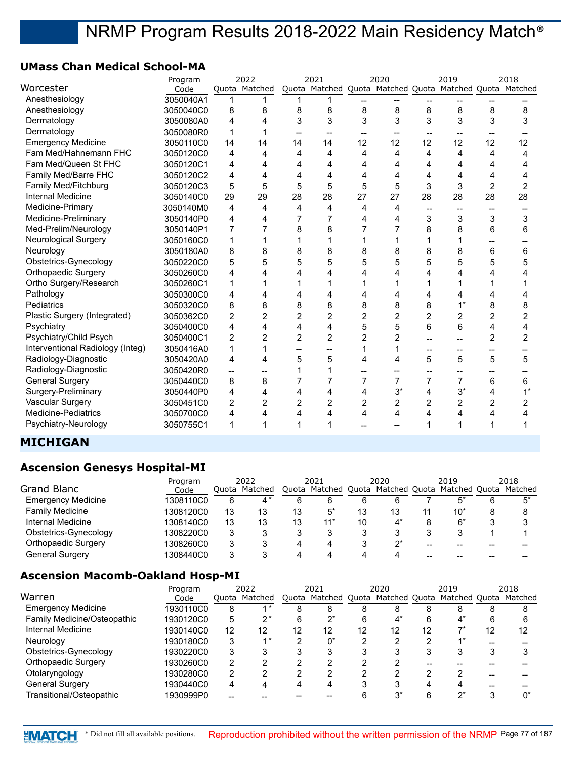#### **UMass Chan Medical School-MA**

|                                  | Program   |                | 2022           |                | 2021           |                | 2020           |                | 2019                                                    |                | 2018           |
|----------------------------------|-----------|----------------|----------------|----------------|----------------|----------------|----------------|----------------|---------------------------------------------------------|----------------|----------------|
| Worcester                        | Code      |                | Quota Matched  |                |                |                |                |                | Quota Matched Quota Matched Quota Matched Quota Matched |                |                |
| Anesthesiology                   | 3050040A1 | 1              |                |                |                |                |                |                |                                                         |                |                |
| Anesthesiology                   | 3050040C0 | 8              | 8              | 8              | 8              | 8              | 8              | 8              | 8                                                       | 8              | 8              |
| Dermatology                      | 3050080A0 | 4              | 4              | 3              | 3              | 3              | 3              | 3              | 3                                                       | 3              | 3              |
| Dermatology                      | 3050080R0 | 1              |                |                |                |                |                |                |                                                         |                |                |
| <b>Emergency Medicine</b>        | 3050110C0 | 14             | 14             | 14             | 14             | 12             | 12             | 12             | 12                                                      | 12             | 12             |
| Fam Med/Hahnemann FHC            | 3050120C0 | 4              | 4              | 4              | 4              | 4              | 4              | 4              | 4                                                       | 4              | 4              |
| Fam Med/Queen St FHC             | 3050120C1 | 4              | 4              | 4              | 4              | 4              | 4              | 4              | 4                                                       | 4              | 4              |
| Family Med/Barre FHC             | 3050120C2 | 4              | 4              | 4              | 4              | 4              | 4              | 4              | 4                                                       | 4              | 4              |
| Family Med/Fitchburg             | 3050120C3 | 5              | 5              | 5              | 5              | 5              | 5              | 3              | 3                                                       | $\overline{2}$ | 2              |
| <b>Internal Medicine</b>         | 3050140C0 | 29             | 29             | 28             | 28             | 27             | 27             | 28             | 28                                                      | 28             | 28             |
| Medicine-Primary                 | 3050140M0 | 4              | 4              | 4              | 4              | 4              | 4              |                |                                                         |                |                |
| Medicine-Preliminary             | 3050140P0 | 4              | 4              |                | 7              | 4              | 4              | 3              | 3                                                       | 3              | 3              |
| Med-Prelim/Neurology             | 3050140P1 | 7              | 7              | 8              | 8              | 7              | 7              | 8              | 8                                                       | 6              | 6              |
| <b>Neurological Surgery</b>      | 3050160C0 | 1              |                |                |                |                |                | 1              |                                                         |                |                |
| Neurology                        | 3050180A0 | 8              | 8              | 8              | 8              | 8              | 8              | 8              | 8                                                       | 6              | 6              |
| Obstetrics-Gynecology            | 3050220C0 | 5              | 5              | 5              | 5              | 5              | 5              | 5              | 5                                                       | 5              | 5              |
| Orthopaedic Surgery              | 3050260C0 | 4              | 4              | 4              | 4              | 4              | 4              | 4              | 4                                                       | 4              | 4              |
| Ortho Surgery/Research           | 3050260C1 | 1              |                |                | 1              |                |                | 1              |                                                         |                |                |
| Pathology                        | 3050300C0 | 4              | 4              | 4              | 4              | 4              | 4              | 4              | 4                                                       | 4              | 4              |
| Pediatrics                       | 3050320C0 | 8              | 8              | 8              | 8              | 8              | 8              | 8              | $1^*$                                                   | 8              | 8              |
| Plastic Surgery (Integrated)     | 3050362C0 | $\overline{c}$ | $\overline{2}$ | $\overline{2}$ | $\overline{2}$ | $\overline{2}$ | $\overline{2}$ | $\overline{c}$ | 2                                                       | $\overline{2}$ | $\overline{2}$ |
| Psychiatry                       | 3050400C0 | 4              | 4              | 4              | 4              | 5              | 5              | 6              | 6                                                       | 4              | 4              |
| Psychiatry/Child Psych           | 3050400C1 | 2              | $\overline{2}$ | $\overline{2}$ | 2              | $\overline{2}$ | 2              |                |                                                         | 2              | 2              |
| Interventional Radiology (Integ) | 3050416A0 | 1              | 1              |                |                | 1              | 1              | --             |                                                         |                |                |
| Radiology-Diagnostic             | 3050420A0 | 4              | 4              | 5              | 5              | 4              | 4              | 5              | 5                                                       | 5              | 5              |
| Radiology-Diagnostic             | 3050420R0 | --             | --             |                | 1              |                |                |                |                                                         |                |                |
| <b>General Surgery</b>           | 3050440C0 | 8              | 8              | 7              | 7              | 7              | 7              | 7              | 7                                                       | 6              | 6              |
| Surgery-Preliminary              | 3050440P0 | 4              | 4              | 4              | 4              | 4              | $3^*$          | 4              | $3^*$                                                   | 4              | $1^*$          |
| Vascular Surgery                 | 3050451C0 | 2              | $\overline{2}$ | $\overline{2}$ | $\overline{2}$ | $\overline{2}$ | 2              | $\overline{c}$ | 2                                                       | $\overline{2}$ | 2              |
| Medicine-Pediatrics              | 3050700C0 | 4              | 4              | 4              | 4              | 4              | 4              | 4              | 4                                                       | 4              | 4              |
| Psychiatry-Neurology             | 3050755C1 | 1              | 1              | 1              |                |                |                | 1              | 1                                                       |                |                |

#### **MICHIGAN**

## **Ascension Genesys Hospital-MI**

|                           | Program   | 2022  |         | 2021  |                             | 2020 |             | 2019          |   | 2018    |
|---------------------------|-----------|-------|---------|-------|-----------------------------|------|-------------|---------------|---|---------|
| Grand Blanc               | Code      | Ouota | Matched | Ouota | Matched Quota Matched Quota |      |             | Matched Quota |   | Matched |
| <b>Emergency Medicine</b> | 1308110C0 | 6     | $4^*$   | 6     | 6                           | 6    | 6           | $5^*$         | 6 |         |
| <b>Family Medicine</b>    | 1308120C0 | 13    | 13      | 13    | 5*                          | 13   | 13          | $10^*$        | 8 |         |
| Internal Medicine         | 1308140C0 | 13    | 13      | 13    | 11'                         | 10   | $\Lambda^*$ | $6*$          |   |         |
| Obstetrics-Gynecology     | 1308220C0 | 3     |         | 3     |                             |      |             |               |   |         |
| Orthopaedic Surgery       | 1308260C0 | 3     |         | 4     |                             |      | っ*          |               |   |         |
| General Surgery           | 1308440C0 | ຈ     |         |       |                             | Δ    |             |               |   |         |

## **Ascension Macomb-Oakland Hosp-MI**

| Warren                      | Program<br>Code |    | 2022<br>Ouota Matched |    | 2021<br>Quota Matched Quota Matched Quota Matched Quota Matched |    | 2020  |    | 2019  |    | 2018 |
|-----------------------------|-----------------|----|-----------------------|----|-----------------------------------------------------------------|----|-------|----|-------|----|------|
| <b>Emergency Medicine</b>   | 1930110C0       | 8  |                       | 8  | 8                                                               | 8  | 8     | 8  | 8     | 8  |      |
| Family Medicine/Osteopathic | 1930120C0       | 5  | י ∩                   | 6  | ົດ*                                                             | 6  | $4^*$ |    | $4^*$ | 6  |      |
| Internal Medicine           | 1930140C0       | 12 | 12                    | 12 | 12                                                              | 12 | 12    | 12 |       | 12 | 12   |
| Neurology                   | 1930180C0       | 3  | *                     | າ  | 0*                                                              | っ  | ◠     |    |       |    |      |
| Obstetrics-Gynecology       | 1930220C0       | 3  |                       | 3  | 2                                                               | 3  | 2     | ◠  | 3     |    |      |
| Orthopaedic Surgery         | 1930260C0       | 2  |                       |    |                                                                 |    |       |    |       |    |      |
| Otolaryngology              | 1930280C0       | 2  |                       | ◠  |                                                                 | ∩  |       |    | ≘     |    |      |
| <b>General Surgery</b>      | 1930440C0       | 4  |                       |    |                                                                 | 2  | 3     |    |       |    |      |
| Transitional/Osteopathic    | 1930999P0       |    |                       |    |                                                                 |    | ^2    |    | ^י    |    | n*   |

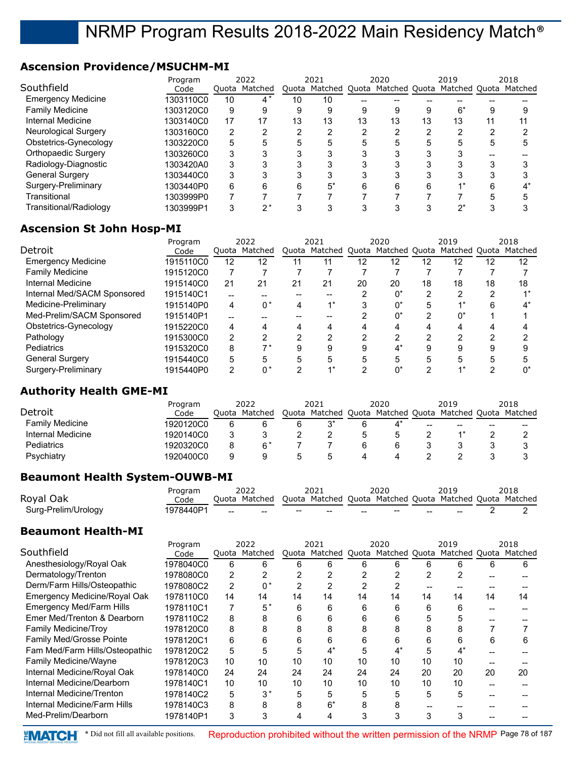## **Ascension Providence/MSUCHM-MI**

|                             | Program   | 2022 |               |    | 2021 |    | 2020 |    | 2019                                                    |    | 2018 |
|-----------------------------|-----------|------|---------------|----|------|----|------|----|---------------------------------------------------------|----|------|
| Southfield                  | Code      |      | Quota Matched |    |      |    |      |    | Quota Matched Quota Matched Quota Matched Quota Matched |    |      |
| <b>Emergency Medicine</b>   | 1303110C0 | 10   | 4*            | 10 | 10   |    |      |    |                                                         |    |      |
| <b>Family Medicine</b>      | 1303120C0 | 9    | 9             | 9  | 9    | 9  | 9    |    | 6*                                                      | 9  |      |
| Internal Medicine           | 1303140C0 | 17   | 17            | 13 | 13   | 13 | 13   | 13 | 13                                                      | 11 |      |
| <b>Neurological Surgery</b> | 1303160C0 | 2    | ◠             | റ  | ົ    | っ  | ◠    | ◠  | ົ                                                       | റ  |      |
| Obstetrics-Gynecology       | 1303220C0 | 5    |               |    | 5    | 5  | 5    | 5  | 5                                                       |    |      |
| Orthopaedic Surgery         | 1303260C0 | 3    |               |    |      |    | 3    |    |                                                         |    |      |
| Radiology-Diagnostic        | 1303420A0 | 3    |               |    | 3    |    | 3    |    |                                                         |    |      |
| <b>General Surgery</b>      | 1303440C0 | 3    |               |    |      |    |      |    |                                                         |    |      |
| Surgery-Preliminary         | 1303440P0 | 6    |               |    | 5*   | 6  | 6    | 6  |                                                         |    |      |
| Transitional                | 1303999P0 |      |               |    |      |    |      |    |                                                         |    |      |
| Transitional/Radiology      | 1303999P1 | 3    | ∩ *           |    |      |    | ⌒    |    | n*                                                      |    |      |

## **Ascension St John Hosp-MI**

|                             | Program   |    | 2022          |    | 2021                              |    | 2020  |    | 2019          |    | 2018           |
|-----------------------------|-----------|----|---------------|----|-----------------------------------|----|-------|----|---------------|----|----------------|
| Detroit                     | Code      |    | Ouota Matched |    | Quota Matched Quota Matched Quota |    |       |    | Matched Ouota |    | Matched        |
| <b>Emergency Medicine</b>   | 1915110C0 | 12 | 12            |    |                                   | 12 | 12    | 12 | 12            | 12 | 12             |
| <b>Family Medicine</b>      | 1915120C0 |    |               |    |                                   |    |       |    |               |    |                |
| Internal Medicine           | 1915140C0 | 21 | 21            | 21 | 21                                | 20 | 20    | 18 | 18            | 18 | 18             |
| Internal Med/SACM Sponsored | 1915140C1 | -- |               |    |                                   |    | 0*    | ◠  | ົ             | ◠  | $4*$           |
| Medicine-Preliminary        | 1915140P0 | 4  | 0*            | 4  |                                   |    | $0^*$ |    |               | 6  |                |
| Med-Prelim/SACM Sponsored   | 1915140P1 | -- |               |    |                                   |    | $0^*$ | ◠  | 0*            |    |                |
| Obstetrics-Gynecology       | 1915220C0 | 4  | 4             | 4  | 4                                 |    | 4     |    |               | Δ  |                |
| Pathology                   | 1915300C0 | 2  | ◠             | ◠  | ົ                                 |    | ∩     | ⌒  | ົ             |    |                |
| <b>Pediatrics</b>           | 1915320C0 | 8  |               | 9  | 9                                 | 9  | 4*    | я  | я             |    |                |
| <b>General Surgery</b>      | 1915440C0 | 5  |               |    | 5                                 | 5  | 5     | 5  | 5             |    |                |
| Surgery-Preliminary         | 1915440P0 | 2  | 0*            |    |                                   |    | 0*    |    |               |    | U <sub>*</sub> |

## **Authority Health GME-MI**

|                        | Program   | 2022  |         | 2021 |                                   | 2020 |  |    | 2019          |    | 2018    |
|------------------------|-----------|-------|---------|------|-----------------------------------|------|--|----|---------------|----|---------|
| Detroit                | Code      | Ouota | Matched |      | Quota Matched Quota Matched Quota |      |  |    | Matched Quota |    | Matched |
| <b>Family Medicine</b> | 1920120C0 | 6     |         |      | ?*                                |      |  | -- | --            | -- | --      |
| Internal Medicine      | 1920140C0 |       |         |      |                                   |      |  |    |               |    |         |
| <b>Pediatrics</b>      | 1920320C0 |       | $6*$    |      |                                   |      |  |    |               |    |         |
| Psychiatry             | 1920400C0 |       |         |      |                                   |      |  |    |               |    |         |

#### **Beaumont Health System-OUWB-MI**

|                     | Program   | 2022                                                                  |       | 2021  |     | 2020                   |     | 2019 | 2018 |
|---------------------|-----------|-----------------------------------------------------------------------|-------|-------|-----|------------------------|-----|------|------|
| Royal Oak           | Code      | Quota Matched Quota Matched Quota Matched Quota Matched Quota Matched |       |       |     |                        |     |      |      |
| Surg-Prelim/Urology | 1978440P1 | $-$                                                                   | $- -$ | $- -$ | $-$ | $\qquad \qquad \cdots$ | $-$ | $-$  |      |

## **Beaumont Health-MI**

|                                 | Program   |    | 2022          |    | 2021          |    | 2020 |    | 2019                                      |    | 2018 |
|---------------------------------|-----------|----|---------------|----|---------------|----|------|----|-------------------------------------------|----|------|
| Southfield                      | Code      |    | Quota Matched |    | Quota Matched |    |      |    | Quota Matched Quota Matched Quota Matched |    |      |
| Anesthesiology/Royal Oak        | 1978040C0 | 6  | 6             | 6  | 6             |    |      |    | հ                                         | 6  |      |
| Dermatology/Trenton             | 1978080C0 | 2  |               |    |               |    |      |    |                                           |    |      |
| Derm/Farm Hills/Osteopathic     | 1978080C2 | 2  | $0*$          |    |               |    |      |    |                                           |    |      |
| Emergency Medicine/Royal Oak    | 1978110C0 | 14 | 14            | 14 | 14            | 14 | 14   | 14 | 14                                        | 14 | 14   |
| Emergency Med/Farm Hills        | 1978110C1 |    | $5^*$         | 6  | 6             | 6  | 6    | 6  | 6                                         |    |      |
| Emer Med/Trenton & Dearborn     | 1978110C2 | 8  | 8             | 6  | 6             | 6  | 6    | 5  | 5                                         |    |      |
| <b>Family Medicine/Troy</b>     | 1978120C0 | 8  | 8             | 8  | 8             |    |      | 8  | 8                                         |    |      |
| <b>Family Med/Grosse Pointe</b> | 1978120C1 | 6  | 6             | 6  | 6             | 6  | 6    | 6  | 6                                         | 6  |      |
| Fam Med/Farm Hills/Osteopathic  | 1978120C2 | 5  |               |    |               |    |      | 5  | $4^*$                                     |    |      |
| <b>Family Medicine/Wayne</b>    | 1978120C3 | 10 | 10            | 10 | 10            | 10 | 10   | 10 | 10                                        |    |      |
| Internal Medicine/Royal Oak     | 1978140C0 | 24 | 24            | 24 | 24            | 24 | 24   | 20 | 20                                        | 20 | 20   |
| Internal Medicine/Dearborn      | 1978140C1 | 10 | 10            | 10 | 10            | 10 | 10   | 10 | 10                                        |    |      |
| Internal Medicine/Trenton       | 1978140C2 | 5  | $3^*$         |    | 5             | 5  |      | 5  | 5                                         |    |      |
| Internal Medicine/Farm Hills    | 1978140C3 | 8  | 8             | 8  | $6*$          | 8  |      |    |                                           |    |      |
| Med-Prelim/Dearborn             | 1978140P1 | 3  |               |    |               |    |      |    |                                           |    |      |
|                                 |           |    |               |    |               |    |      |    |                                           |    |      |

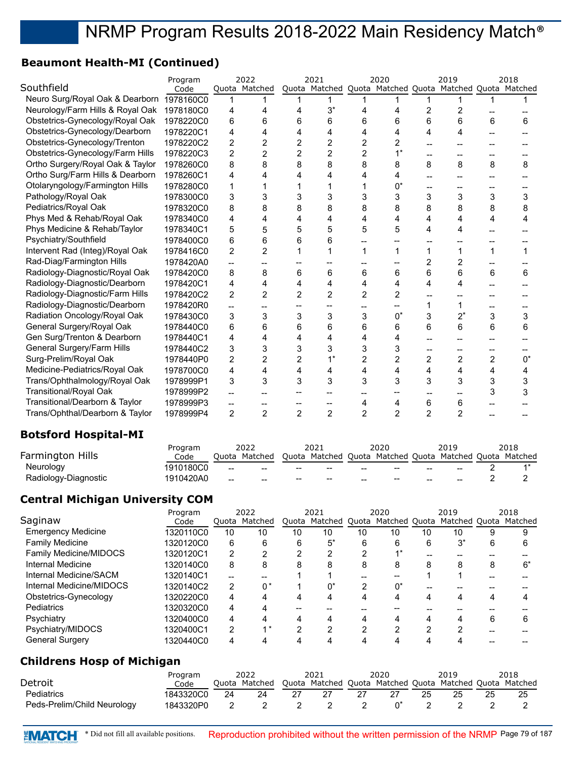## **Beaumont Health-MI (Continued)**

|                                  | Program   |                | 2022           |                | 2021           |                | 2020           |                | 2019                                                    |                | 2018       |
|----------------------------------|-----------|----------------|----------------|----------------|----------------|----------------|----------------|----------------|---------------------------------------------------------|----------------|------------|
| Southfield                       | Code      |                | Quota Matched  |                |                |                |                |                | Quota Matched Quota Matched Quota Matched Quota Matched |                |            |
| Neuro Surg/Royal Oak & Dearborn  | 1978160C0 | 1              |                |                |                |                |                |                |                                                         |                |            |
| Neurology/Farm Hills & Royal Oak | 1978180C0 | 4              | 4              | 4              | $3^*$          | 4              | 4              | 2              | 2                                                       |                |            |
| Obstetrics-Gynecology/Royal Oak  | 1978220C0 | 6              | 6              |                | 6              | 6              | 6              | 6              | 6                                                       | 6              | 6          |
| Obstetrics-Gynecology/Dearborn   | 1978220C1 | 4              | 4              |                | 4              |                |                | 4              | 4                                                       |                |            |
| Obstetrics-Gynecology/Trenton    | 1978220C2 | 2              | 2              | 2              | $\overline{2}$ | 2              | 2              |                |                                                         |                |            |
| Obstetrics-Gynecology/Farm Hills | 1978220C3 | $\overline{2}$ | $\overline{2}$ | 2              | $\overline{2}$ | 2              | $1^*$          |                |                                                         |                |            |
| Ortho Surgery/Royal Oak & Taylor | 1978260C0 | 8              | 8              | 8              | 8              | 8              | 8              | 8              | 8                                                       | 8              | 8          |
| Ortho Surg/Farm Hills & Dearborn | 1978260C1 | 4              | 4              |                |                |                |                |                |                                                         |                |            |
| Otolaryngology/Farmington Hills  | 1978280C0 | 1              |                |                |                |                | U,             |                |                                                         |                |            |
| Pathology/Royal Oak              | 1978300C0 | 3              | 3              |                | 3              |                | 3              | 3              | 3                                                       | 3              | 3          |
| Pediatrics/Royal Oak             | 1978320C0 | 8              | 8              |                | 8              | 8              | 8              | 8              | 8                                                       | 8              | 8          |
| Phys Med & Rehab/Royal Oak       | 1978340C0 | 4              | 4              |                | 4              | 4              | 4              | 4              | 4                                                       | 4              | 4          |
| Phys Medicine & Rehab/Taylor     | 1978340C1 | 5              | 5              |                | 5              | 5              | 5              | 4              |                                                         |                |            |
| Psychiatry/Southfield            | 1978400C0 | 6              | 6              | 6              | 6              |                |                |                |                                                         |                |            |
| Intervent Rad (Integ)/Royal Oak  | 1978416C0 | 2              | $\overline{2}$ |                |                | 1              | 1              | 1              | 1                                                       |                |            |
| Rad-Diag/Farmington Hills        | 1978420A0 |                |                |                |                |                |                | 2              |                                                         |                |            |
| Radiology-Diagnostic/Royal Oak   | 1978420C0 | 8              | 8              | 6              | 6              | 6              | 6              | 6              | 6                                                       | 6              | 6          |
| Radiology-Diagnostic/Dearborn    | 1978420C1 | 4              | 4              | 4              | 4              | 4              | 4              | 4              | 4                                                       |                |            |
| Radiology-Diagnostic/Farm Hills  | 1978420C2 | $\overline{2}$ | $\overline{c}$ | 2              | $\overline{2}$ | $\overline{2}$ | 2              |                |                                                         |                |            |
| Radiology-Diagnostic/Dearborn    | 1978420R0 |                |                |                |                |                |                | 1              |                                                         |                |            |
| Radiation Oncology/Royal Oak     | 1978430C0 | 3              | 3              | 3              | 3              | 3              | $0^*$          | 3              | $2^*$                                                   | 3              | 3          |
| General Surgery/Royal Oak        | 1978440C0 | 6              | 6              | 6              | 6              | 6              | 6              | 6              | 6                                                       | 6              | 6          |
| Gen Surg/Trenton & Dearborn      | 1978440C1 | 4              | 4              |                | 4              |                |                |                |                                                         |                |            |
| General Surgery/Farm Hills       | 1978440C2 | 3              | 3              | 3              | 3              | 3              | 3              |                |                                                         |                |            |
| Surg-Prelim/Royal Oak            | 1978440P0 | $\overline{2}$ | 2              | 2              | $1^*$          | $\overline{2}$ | 2              | $\overline{2}$ | $\overline{2}$                                          | $\overline{2}$ | $^{\circ}$ |
| Medicine-Pediatrics/Royal Oak    | 1978700C0 | 4              | 4              | 4              | 4              | 4              | 4              | 4              | 4                                                       | 4              | 4          |
| Trans/Ophthalmology/Royal Oak    | 1978999P1 | 3              | 3              | 3              | 3              | 3              | 3              | 3              | 3                                                       | 3              | 3          |
| <b>Transitional/Royal Oak</b>    | 1978999P2 |                |                |                |                |                |                |                |                                                         |                | 3          |
| Transitional/Dearborn & Taylor   | 1978999P3 | --             |                |                |                | 4              | 4              | 6              | 6                                                       |                |            |
| Trans/Ophthal/Dearborn & Taylor  | 1978999P4 | $\overline{2}$ | $\overline{2}$ | $\overline{2}$ | 2              | $\overline{2}$ | $\overline{2}$ | $\overline{2}$ | $\overline{2}$                                          |                |            |
|                                  |           |                |                |                |                |                |                |                |                                                         |                |            |

## **Botsford Hospital-MI**

|                         | Program   |       | 2022          |                                                | 2021                                                    |       | 2020                                              |     | 2019 | 2018 |
|-------------------------|-----------|-------|---------------|------------------------------------------------|---------------------------------------------------------|-------|---------------------------------------------------|-----|------|------|
| <b>Farmington Hills</b> | Code      |       | Quota Matched |                                                | Quota Matched Quota Matched Quota Matched Quota Matched |       |                                                   |     |      |      |
| Neurology               | 1910180C0 | --    | --            | $\hspace{0.1mm}-\hspace{0.1mm}-\hspace{0.1mm}$ | $- -$                                                   | $-$   | $\hspace{0.05cm}-\hspace{0.05cm}-\hspace{0.05cm}$ | $-$ |      |      |
| Radiology-Diagnostic    | 1910420A0 | $- -$ | --            | --                                             | $\qquad \qquad$                                         | $- -$ | $\sim$                                            |     |      |      |

## **Central Michigan University COM**

|                                   | Program   |                | 2022           |                | 2021           |       | 2020           |                | 2019           |    | 2018    |
|-----------------------------------|-----------|----------------|----------------|----------------|----------------|-------|----------------|----------------|----------------|----|---------|
| Saginaw                           | Code      | Quota          | Matched        | Quota          | Matched        | Quota | Matched        | Quota          | Matched Quota  |    | Matched |
| <b>Emergency Medicine</b>         | 1320110C0 | 10             | 10             | 10             | 10             | 10    | 10             | 10             | 10             | 9  | 9       |
| <b>Family Medicine</b>            | 1320120C0 | 6              | 6              | 6              | $5^*$          | 6     | 6              | 6              | $3^*$          | 6  | 6       |
| <b>Family Medicine/MIDOCS</b>     | 1320120C1 | 2              | $\overline{2}$ | 2              | 2              | 2     | $4*$           | --             |                |    |         |
| Internal Medicine                 | 1320140C0 | 8              | 8              | 8              | 8              | 8     | 8              | 8              | 8              | 8  | $6^*$   |
| Internal Medicine/SACM            | 1320140C1 |                |                |                |                |       | --             |                |                |    |         |
| Internal Medicine/MIDOCS          | 1320140C2 | 2              | $^{\circ}$     |                | 0*             | 2     | $0^*$          |                |                |    |         |
| Obstetrics-Gynecology             | 1320220C0 | 4              | 4              | 4              | 4              | 4     | 4              | 4              | 4              | 4  | 4       |
| <b>Pediatrics</b>                 | 1320320C0 | 4              | 4              | --             |                |       |                |                |                |    |         |
| Psychiatry                        | 1320400C0 | 4              | 4              | 4              | 4              | 4     | 4              | 4              | 4              | 6  | 6       |
| Psychiatry/MIDOCS                 | 1320400C1 | $\overline{2}$ | $\star$        | $\overline{2}$ | $\overline{2}$ | 2     | $\overline{2}$ | $\overline{2}$ | $\overline{2}$ | -- |         |
| <b>General Surgery</b>            | 1320440C0 | 4              | 4              | 4              | 4              | 4     | 4              |                | 4              |    |         |
| <b>Childrens Hosp of Michigan</b> |           |                |                |                |                |       |                |                |                |    |         |
|                                   | Program   |                | 2022           |                | 2021           |       | 2020           |                | 2019           |    | 2018    |
| Detroit                           | Code      | Quota          | Matched        | Quota          | Matched        |       | Quota Matched  | Quota          | Matched Quota  |    | Matched |
| Pediatrics                        | 1843320C0 | 24             | 24             | 27             | 27             | 27    | 27             | 25             | 25             | 25 | 25      |
| Peds-Prelim/Child Neurology       | 1843320P0 | 2              | 2              | 2              | 2              | 2     | $0^*$          | 2              | 2              | 2  | 2       |

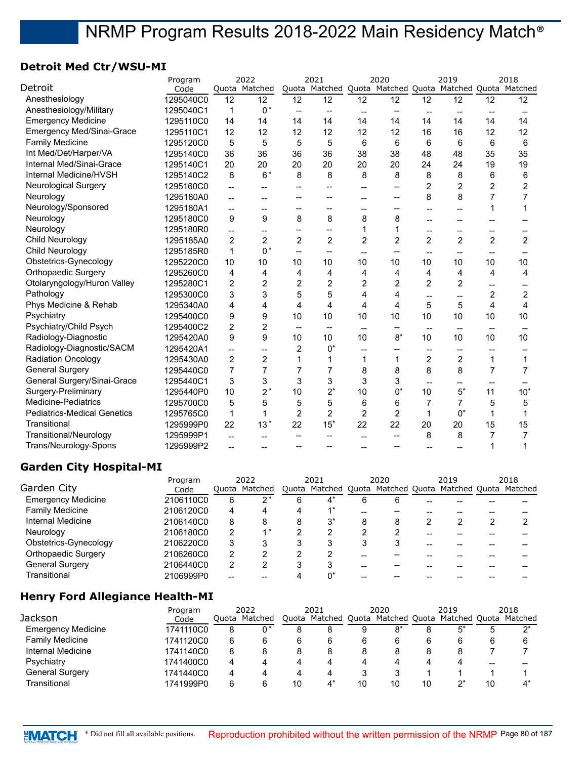## **Detroit Med Ctr/WSU-MI**

|                                    | Program   |                          | 2022           |                | 2021                     |                | 2020           |                        | 2019                                                    |                          | 2018           |
|------------------------------------|-----------|--------------------------|----------------|----------------|--------------------------|----------------|----------------|------------------------|---------------------------------------------------------|--------------------------|----------------|
| Detroit                            | Code      |                          | Quota Matched  |                |                          |                |                |                        | Quota Matched Quota Matched Quota Matched Quota Matched |                          |                |
| Anesthesiology                     | 1295040C0 | 12                       | 12             | 12             | 12                       | 12             | 12             | 12                     | 12                                                      | 12                       | 12             |
| Anesthesiology/Military            | 1295040C1 | 1                        | $0*$           | --             |                          |                |                |                        |                                                         |                          |                |
| <b>Emergency Medicine</b>          | 1295110C0 | 14                       | 14             | 14             | 14                       | 14             | 14             | 14                     | 14                                                      | 14                       | 14             |
| <b>Emergency Med/Sinai-Grace</b>   | 1295110C1 | 12                       | 12             | 12             | 12                       | 12             | 12             | 16                     | 16                                                      | 12                       | 12             |
| <b>Family Medicine</b>             | 1295120C0 | 5                        | 5              | 5              | 5                        | 6              | 6              | 6                      | 6                                                       | 6                        | 6              |
| Int Med/Det/Harper/VA              | 1295140C0 | 36                       | 36             | 36             | 36                       | 38             | 38             | 48                     | 48                                                      | 35                       | 35             |
| Internal Med/Sinai-Grace           | 1295140C1 | 20                       | 20             | 20             | 20                       | 20             | 20             | 24                     | 24                                                      | 19                       | 19             |
| Internal Medicine/HVSH             | 1295140C2 | 8                        | $6*$           | 8              | 8                        | 8              | 8              | 8                      | 8                                                       | 6                        | 6              |
| <b>Neurological Surgery</b>        | 1295160C0 | --                       |                |                |                          | --             | --             | $\overline{c}$         | $\overline{c}$                                          | 2                        | 2              |
| Neurology                          | 1295180A0 | $\overline{\phantom{a}}$ | $-$            |                |                          | --             | --             | 8                      | 8                                                       | 7                        | 7              |
| Neurology/Sponsored                | 1295180A1 | --                       | $-$            | --             | --                       | --             | --             | --                     |                                                         | 1                        | 1              |
| Neurology                          | 1295180C0 | 9                        | 9              | 8              | 8                        | 8              | 8              | --                     |                                                         |                          |                |
| Neurology                          | 1295180R0 | --                       | $\overline{a}$ | --             |                          | 1              | 1              | --                     | $-$                                                     | --                       |                |
| <b>Child Neurology</b>             | 1295185A0 | $\overline{2}$           | $\overline{2}$ | $\overline{2}$ | $\overline{2}$           | $\overline{2}$ | $\overline{c}$ | $\overline{2}$         | $\overline{2}$                                          | $\overline{2}$           | 2              |
| Child Neurology                    | 1295185R0 | 1                        | $0*$           | $-$            |                          |                | --             |                        |                                                         |                          |                |
| Obstetrics-Gynecology              | 1295220C0 | 10                       | 10             | 10             | 10                       | 10             | 10             | 10                     | 10                                                      | 10                       | 10             |
| <b>Orthopaedic Surgery</b>         | 1295260C0 | 4                        | 4              | 4              | 4                        | 4              | 4              | 4                      | 4                                                       | 4                        | 4              |
| Otolaryngology/Huron Valley        | 1295280C1 | $\overline{c}$           | $\overline{2}$ | $\overline{c}$ | $\overline{c}$           | $\overline{2}$ | 2              | $\overline{2}$         | $\overline{2}$                                          | --                       |                |
| Pathology                          | 1295300C0 | 3                        | 3              | 5              | 5                        | 4              | 4              |                        |                                                         | $\overline{c}$           | 2              |
| Phys Medicine & Rehab              | 1295340A0 | 4                        | 4              | 4              | $\overline{4}$           | 4              | 4              | 5                      | 5                                                       | 4                        | 4              |
| Psychiatry                         | 1295400C0 | 9                        | 9              | 10             | 10                       | 10             | 10             | 10                     | 10                                                      | 10                       | 10             |
| Psychiatry/Child Psych             | 1295400C2 | $\overline{c}$           | $\overline{2}$ | $\overline{a}$ | $\overline{\phantom{a}}$ | $-$            | --             | $\qquad \qquad \cdots$ | $\qquad \qquad \qquad -$                                | $\overline{\phantom{a}}$ |                |
| Radiology-Diagnostic               | 1295420A0 | 9                        | 9              | 10             | 10                       | 10             | $8*$           | 10                     | 10                                                      | 10                       | 10             |
| Radiology-Diagnostic/SACM          | 1295420A1 | --                       | --             | 2              | $0^*$                    |                |                | --                     | $-$                                                     | $-$                      |                |
| <b>Radiation Oncology</b>          | 1295430A0 | $\overline{c}$           | $\overline{2}$ |                | 1                        | $\mathbf{1}$   | 1              | $\overline{2}$         | $\overline{2}$                                          | $\mathbf{1}$             | 1              |
| <b>General Surgery</b>             | 1295440C0 | $\overline{7}$           | $\overline{7}$ | 7              | 7                        | 8              | 8              | 8                      | 8                                                       | $\overline{7}$           | $\overline{7}$ |
| General Surgery/Sinai-Grace        | 1295440C1 | 3                        | 3              | 3              | 3                        | 3              | 3              |                        |                                                         |                          |                |
| Surgery-Preliminary                | 1295440P0 | 10                       | $2^*$          | 10             | $2^*$                    | 10             | $0^*$          | 10                     | $5^*$                                                   | 11                       | $10*$          |
| Medicine-Pediatrics                | 1295700C0 | 5                        | 5              | 5              | 5                        | 6              | 6              | 7                      | 7                                                       | 5                        | 5              |
| <b>Pediatrics-Medical Genetics</b> | 1295765C0 | 1                        | 1              | $\overline{c}$ | $\overline{c}$           | $\overline{c}$ | $\overline{c}$ | $\mathbf{1}$           | $0^*$                                                   | 1                        | 1              |
| Transitional                       | 1295999P0 | 22                       | $13*$          | 22             | $15*$                    | 22             | 22             | 20                     | 20                                                      | 15                       | 15             |
| Transitional/Neurology             | 1295999P1 | --                       |                |                |                          |                |                | 8                      | 8                                                       | 7                        | 7              |
| Trans/Neurology-Spons              | 1295999P2 | --                       | --             | --             | --                       |                | $-$            |                        |                                                         | 1                        |                |
|                                    |           |                          |                |                |                          |                |                |                        |                                                         |                          |                |

#### **Garden City Hospital-MI**

|                            | Program   |   | 2022          |   | 2021                                                    |   | 2020 | 2019 | 2018 |
|----------------------------|-----------|---|---------------|---|---------------------------------------------------------|---|------|------|------|
| Garden City                | Code      |   | Quota Matched |   | Quota Matched Quota Matched Quota Matched Quota Matched |   |      |      |      |
| <b>Emergency Medicine</b>  | 2106110C0 | 6 | っ*            | 6 | $4^*$                                                   | 6 | 6    |      |      |
| <b>Family Medicine</b>     | 2106120C0 | 4 |               | 4 |                                                         |   |      |      |      |
| Internal Medicine          | 2106140C0 | 8 | 8             | 8 | 3*                                                      | 8 | 8    |      |      |
| Neurology                  | 2106180C0 | 2 |               | າ |                                                         |   | 2    |      |      |
| Obstetrics-Gynecology      | 2106220C0 | 3 |               | 3 | 3                                                       | 3 |      |      |      |
| <b>Orthopaedic Surgery</b> | 2106260C0 | 2 |               | າ | ◠                                                       |   |      |      |      |
| <b>General Surgery</b>     | 2106440C0 | 2 |               | 3 |                                                         |   |      |      |      |
| Transitional               | 2106999P0 |   |               |   | n*                                                      |   |      |      |      |

## **Henry Ford Allegiance Health-MI**

| Program                |           | 2022 |               | 2021 |                                                         | 2020 |       |    | 2019 |    | 2018 |
|------------------------|-----------|------|---------------|------|---------------------------------------------------------|------|-------|----|------|----|------|
| Jackson                | Code      |      | Ouota Matched |      | Quota Matched Quota Matched Quota Matched Quota Matched |      |       |    |      |    |      |
| Emergency Medicine     | 1741110C0 | 8    | በ*            | 8    | 8                                                       | 9    | $8^*$ |    | 5*   |    | י∩   |
| <b>Family Medicine</b> | 1741120C0 | 6    | 6             | 6    |                                                         | 6    | 6     |    | 6    | 6  |      |
| Internal Medicine      | 1741140C0 | 8    |               | 8    |                                                         | 8    |       |    |      |    |      |
| Psychiatry             | 1741400C0 | 4    |               | 4    | 4                                                       | 4    | 4     |    |      | -- |      |
| <b>General Surgery</b> | 1741440C0 | 4    |               | 4    | 4                                                       |      |       |    |      |    |      |
| Transitional           | 1741999P0 | 6    |               | 10   |                                                         | 10   | 10    | 10 | n*   | 10 |      |

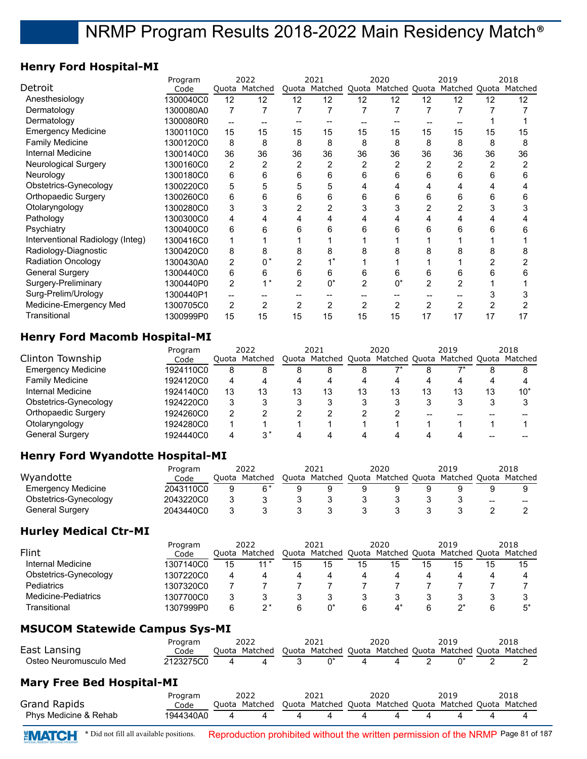## **Henry Ford Hospital-MI**

|                                  | Program   |                | 2022           |                | 2021           |                | 2020  |                | 2019                                      |    | 2018 |
|----------------------------------|-----------|----------------|----------------|----------------|----------------|----------------|-------|----------------|-------------------------------------------|----|------|
| Detroit                          | Code      |                | Quota Matched  |                | Quota Matched  |                |       |                | Quota Matched Quota Matched Quota Matched |    |      |
| Anesthesiology                   | 1300040C0 | 12             | 12             | 12             | 12             | 12             | 12    | 12             | 12                                        | 12 | 12   |
| Dermatology                      | 1300080A0 | 7              |                | 7              | 7              | 7              | 7     | 7              | 7                                         |    |      |
| Dermatology                      | 1300080R0 | --             |                |                |                |                |       |                |                                           |    |      |
| <b>Emergency Medicine</b>        | 1300110C0 | 15             | 15             | 15             | 15             | 15             | 15    | 15             | 15                                        | 15 | 15   |
| <b>Family Medicine</b>           | 1300120C0 | 8              | 8              | 8              | 8              | 8              | 8     | 8              | 8                                         | 8  | 8    |
| Internal Medicine                | 1300140C0 | 36             | 36             | 36             | 36             | 36             | 36    | 36             | 36                                        | 36 | 36   |
| <b>Neurological Surgery</b>      | 1300160C0 | $\overline{2}$ | $\overline{2}$ | 2              | $\overline{2}$ | 2              | 2     | 2              | 2                                         | 2  |      |
| Neurology                        | 1300180C0 | 6              | 6              | 6              | 6              | 6              | 6     | 6              | 6                                         | 6  | 6    |
| Obstetrics-Gynecology            | 1300220C0 | 5              | 5              | 5              | 5              |                |       | 4              |                                           |    |      |
| Orthopaedic Surgery              | 1300260C0 | 6              | 6              | 6              | 6              | 6              | 6     | 6              | 6                                         | 6  | 6    |
| Otolaryngology                   | 1300280C0 | 3              | 3              |                | 2              |                | 3     | 2              |                                           |    | 3    |
| Pathology                        | 1300300C0 | 4              | 4              |                |                |                |       | 4              |                                           |    |      |
| Psychiatry                       | 1300400C0 | 6              | 6              | 6              | 6              | 6              | 6     | 6              | 6                                         | 6  |      |
| Interventional Radiology (Integ) | 1300416C0 |                |                |                |                |                |       |                |                                           |    |      |
| Radiology-Diagnostic             | 1300420C0 | 8              | 8              | 8              | 8              | 8              | 8     | 8              | 8                                         | 8  | 8    |
| <b>Radiation Oncology</b>        | 1300430A0 | 2              | $0^*$          | 2              |                |                |       |                |                                           |    |      |
| <b>General Surgery</b>           | 1300440C0 | 6              | 6              | 6              | 6              | 6              | 6     | 6              | 6                                         | 6  | 6    |
| Surgery-Preliminary              | 1300440P0 | $\overline{2}$ | $4*$           | $\overline{2}$ | $0^*$          | $\overline{2}$ | $0^*$ | $\overline{2}$ | 2                                         |    |      |
| Surg-Prelim/Urology              | 1300440P1 | --             |                |                |                |                |       |                |                                           |    |      |
| Medicine-Emergency Med           | 1300705C0 | 2              | $\overline{2}$ | 2              | 2              | 2              | 2     | 2              | 2                                         |    |      |
| <b>Transitional</b>              | 1300999P0 | 15             | 15             | 15             | 15             | 15             | 15    | 17             | 17                                        | 17 | 17   |
|                                  |           |                |                |                |                |                |       |                |                                           |    |      |

#### **Henry Ford Macomb Hospital-MI**

| Program                   |           | 2022 |               | 2021 |    | 2020 |    |    | 2019                                            |    | 2018    |
|---------------------------|-----------|------|---------------|------|----|------|----|----|-------------------------------------------------|----|---------|
| Clinton Township          | Code      |      | Quota Matched |      |    |      |    |    | Quota Matched Quota Matched Quota Matched Quota |    | Matched |
| <b>Emergency Medicine</b> | 1924110C0 | 8    |               |      |    | 8    |    |    |                                                 |    |         |
| <b>Family Medicine</b>    | 1924120C0 | 4    |               | 4    | 4  | 4    | 4  |    |                                                 | 4  |         |
| Internal Medicine         | 1924140C0 | 13   | 13            | 13   | 13 | 13   | 13 | 13 | 13                                              | 13 | $10^*$  |
| Obstetrics-Gynecology     | 1924220C0 | 3    |               |      |    |      |    |    |                                                 | 3  |         |
| Orthopaedic Surgery       | 1924260C0 | 2    |               |      |    |      |    |    |                                                 |    |         |
| Otolaryngology            | 1924280C0 |      |               |      |    |      |    |    |                                                 |    |         |
| General Surgery           | 1924440C0 | 4    | ?*            |      |    |      |    |    |                                                 |    |         |

#### **Henry Ford Wyandotte Hospital-MI**

|                        | Program   | 2022           |       | 2021                        | 2020 | 2019                  |                        | 2018  |
|------------------------|-----------|----------------|-------|-----------------------------|------|-----------------------|------------------------|-------|
| Wyandotte              | Code      | Ouota Matched  | Quota | Matched Quota Matched Quota |      | Matched Quota Matched |                        |       |
| Emergency Medicine     | 2043110C0 | 6 <sup>*</sup> |       |                             |      |                       |                        |       |
| Obstetrics-Gynecology  | 2043220C0 |                |       |                             |      |                       | $\qquad \qquad \cdots$ | $- -$ |
| <b>General Surgery</b> | 2043440C0 |                |       |                             |      |                       |                        |       |

#### **Hurley Medical Ctr-MI**

|                       | Program   |    | 2022          |       | 2021                        |    | 2020 | 2019          |    | 2018    |
|-----------------------|-----------|----|---------------|-------|-----------------------------|----|------|---------------|----|---------|
| Flint                 | Code      |    | Ouota Matched | Ouota | Matched Quota Matched Quota |    |      | Matched Quota |    | Matched |
| Internal Medicine     | 1307140C0 | 15 |               | 15    | 15                          | 15 | 15   | 15            | 15 |         |
| Obstetrics-Gynecology | 1307220C0 | 4  |               | 4     |                             | 4  | 4    |               | 4  |         |
| Pediatrics            | 1307320C0 |    |               |       |                             |    |      |               |    |         |
| Medicine-Pediatrics   | 1307700C0 | 2  |               |       |                             |    |      |               |    |         |
| Transitional          | 1307999P0 | 6  | っ*            | 6     |                             | 6  |      |               | 6  |         |

## **MSUCOM Statewide Campus Sys-MI**

|                        | Program   | 2022          | 2021                                                    | 2020 | 2019 | 2018 |
|------------------------|-----------|---------------|---------------------------------------------------------|------|------|------|
| East Lansing           | Code      | Ouota Matched | Ouota Matched Ouota Matched Ouota Matched Ouota Matched |      |      |      |
| Osteo Neuromusculo Med | 2123275C0 |               |                                                         |      |      |      |

#### **Mary Free Bed Hospital-MI**

|                       | Program   | 2022                                                                  | 2021         | 2020 | 2019 | 2018 |
|-----------------------|-----------|-----------------------------------------------------------------------|--------------|------|------|------|
| <b>Grand Rapids</b>   | Code      | Quota Matched Quota Matched Quota Matched Quota Matched Quota Matched |              |      |      |      |
| Phys Medicine & Rehab | 1944340A0 |                                                                       | $\mathbf{A}$ |      |      |      |

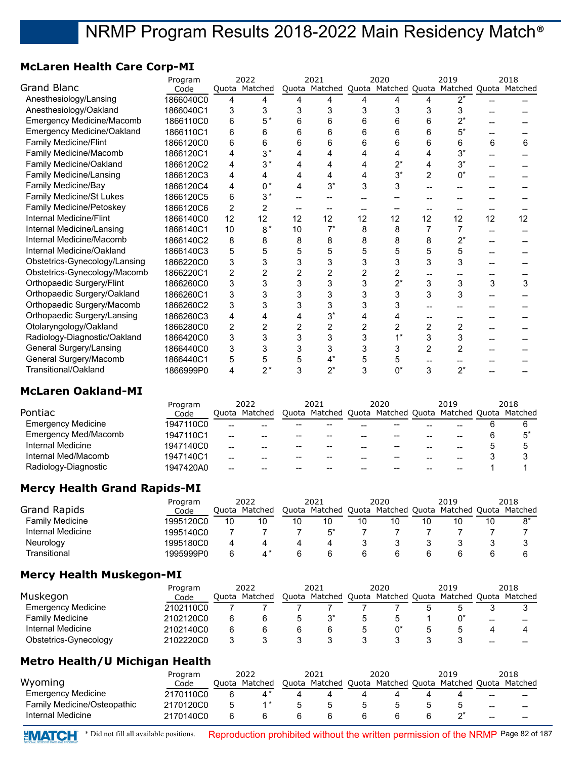#### **McLaren Health Care Corp-MI**

|                                   | Program   |    | 2022           |    | 2021                                                    |    | 2020  |                | 2019           |    | 2018 |
|-----------------------------------|-----------|----|----------------|----|---------------------------------------------------------|----|-------|----------------|----------------|----|------|
| <b>Grand Blanc</b>                | Code      |    | Quota Matched  |    | Quota Matched Quota Matched Quota Matched Quota Matched |    |       |                |                |    |      |
| Anesthesiology/Lansing            | 1866040C0 | 4  | 4              | 4  | 4                                                       | 4  | 4     | 4              | $2^{*}$        |    |      |
| Anesthesiology/Oakland            | 1866040C1 | 3  | 3              | 3  | 3                                                       | 3  | 3     | 3              | 3              |    |      |
| Emergency Medicine/Macomb         | 1866110C0 | 6  | $5*$           | 6  | 6                                                       |    | 6     | 6              | 2*             |    |      |
| <b>Emergency Medicine/Oakland</b> | 1866110C1 | 6  | 6              | 6  | 6                                                       | 6  | 6     | 6              | 5*             |    |      |
| <b>Family Medicine/Flint</b>      | 1866120C0 | 6  | 6              | 6  | 6                                                       | 6  | 6     | 6              | 6              | 6  | 6    |
| Family Medicine/Macomb            | 1866120C1 | 4  | $3*$           | 4  | 4                                                       | 4  | 4     | 4              | 3*             |    |      |
| Family Medicine/Oakland           | 1866120C2 | 4  | $3*$           | 4  | 4                                                       | 4  | 2*    | 4              | $3^*$          |    |      |
| Family Medicine/Lansing           | 1866120C3 | 4  | 4              |    | 4                                                       | 4  | $3^*$ | $\overline{2}$ | $0^*$          |    |      |
| Family Medicine/Bay               | 1866120C4 | 4  | $0^*$          |    | $3^*$                                                   | 3  | 3     |                |                |    |      |
| Family Medicine/St Lukes          | 1866120C5 | 6  | $3*$           |    |                                                         |    |       |                |                |    |      |
| Family Medicine/Petoskey          | 1866120C6 | 2  | 2              |    |                                                         |    |       |                |                |    |      |
| Internal Medicine/Flint           | 1866140C0 | 12 | 12             | 12 | 12                                                      | 12 | 12    | 12             | 12             | 12 | 12   |
| Internal Medicine/Lansing         | 1866140C1 | 10 | 8*             | 10 |                                                         | 8  | 8     |                |                |    |      |
| Internal Medicine/Macomb          | 1866140C2 | 8  | 8              | 8  | 8                                                       | 8  | 8     | 8              | 2*             |    |      |
| Internal Medicine/Oakland         | 1866140C3 | 5  | 5              | 5  | 5                                                       |    | 5     | 5              | 5              |    |      |
| Obstetrics-Gynecology/Lansing     | 1866220C0 | 3  | 3              |    | 3                                                       |    | 3     | 3              | 3              |    |      |
| Obstetrics-Gynecology/Macomb      | 1866220C1 | 2  |                |    | 2                                                       |    |       |                |                |    |      |
| Orthopaedic Surgery/Flint         | 1866260C0 | 3  | 3              |    | 3                                                       |    | $2^*$ | 3              | 3              | 3  | 3    |
| Orthopaedic Surgery/Oakland       | 1866260C1 | 3  | 3              |    | 3                                                       |    | 3     | 3              | 3              |    |      |
| Orthopaedic Surgery/Macomb        | 1866260C2 | 3  | 3              |    | 3                                                       |    | 3     |                |                |    |      |
| Orthopaedic Surgery/Lansing       | 1866260C3 | 4  | 4              |    | $3^*$                                                   |    |       |                |                |    |      |
| Otolaryngology/Oakland            | 1866280C0 | 2  | $\overline{2}$ |    | $\overline{2}$                                          | 2  | 2     | $\overline{2}$ | $\overline{2}$ |    |      |
| Radiology-Diagnostic/Oakland      | 1866420C0 | 3  | 3              |    | 3                                                       |    |       | 3              |                |    |      |
| General Surgery/Lansing           | 1866440C0 | 3  | 3              | 3  | 3                                                       | 3  | 3     | $\overline{2}$ | $\overline{2}$ |    |      |
| General Surgery/Macomb            | 1866440C1 | 5  | 5              | 5  | 4*                                                      | 5  | 5     |                |                |    |      |
| Transitional/Oakland              | 1866999P0 | 4  | $2^*$          | 3  | $2^*$                                                   | 3  | $0^*$ | 3              | $2^*$          |    |      |

#### **McLaren Oakland-MI**

|                           | Program   | 2022  |               | 2021 |                                   | 2020 |       | 2019                  | 2018 |
|---------------------------|-----------|-------|---------------|------|-----------------------------------|------|-------|-----------------------|------|
| Pontiac                   | Code      |       | Ouota Matched |      | Quota Matched Quota Matched Quota |      |       | Matched Quota Matched |      |
| <b>Emergency Medicine</b> | 1947110C0 | --    |               |      |                                   |      | $- -$ |                       |      |
| Emergency Med/Macomb      | 1947110C1 | --    |               | --   |                                   |      | $- -$ |                       |      |
| Internal Medicine         | 1947140C0 | --    |               | --   |                                   |      | --    |                       |      |
| Internal Med/Macomb       | 1947140C1 | $- -$ |               | --   |                                   |      | --    |                       |      |
| Radiology-Diagnostic      | 1947420A0 | --    |               |      |                                   |      | --    |                       |      |

#### **Mercy Health Grand Rapids-MI**

|                        | Program   | 2022  |         | 2021 |               | 2020 |                     | 2019          |    | 2018    |
|------------------------|-----------|-------|---------|------|---------------|------|---------------------|---------------|----|---------|
| Grand Rapids           | Code      | Ouota | Matched |      | Quota Matched |      | Quota Matched Quota | Matched Quota |    | Matched |
| <b>Family Medicine</b> | 1995120C0 | 10    |         |      | 10            | 10   | 10                  | 10            | 10 | R*      |
| Internal Medicine      | 1995140C0 |       |         |      |               |      |                     |               |    |         |
| Neurology              | 1995180C0 |       |         |      |               |      |                     |               |    |         |
| Transitional           | 1995999P0 |       |         |      |               |      |                     |               |    |         |

#### **Mercy Health Muskegon-MI**

|                           | Program   | 2022 |               | 2021 |                                   | 2020 |  | 2019          |       | 2018    |
|---------------------------|-----------|------|---------------|------|-----------------------------------|------|--|---------------|-------|---------|
| Muskegon                  | Code      |      | Ouota Matched |      | Quota Matched Quota Matched Quota |      |  | Matched Quota |       | Matched |
| <b>Emergency Medicine</b> | 2102110C0 |      |               |      |                                   |      |  |               |       |         |
| <b>Family Medicine</b>    | 2102120C0 |      |               |      |                                   |      |  |               | --    | --      |
| Internal Medicine         | 2102140C0 |      |               |      |                                   |      |  |               |       |         |
| Obstetrics-Gynecology     | 2102220C0 |      |               |      |                                   |      |  |               | $- -$ | $- -$   |

#### **Metro Health/U Michigan Health**

|                                    | Program   |       | 2022    |   | 2021                                                    | 2020 | 2019 |                 | 2018  |
|------------------------------------|-----------|-------|---------|---|---------------------------------------------------------|------|------|-----------------|-------|
| Wyoming                            | Code      | Ouota | Matched |   | Quota Matched Quota Matched Quota Matched Quota Matched |      |      |                 |       |
| <b>Emergency Medicine</b>          | 2170110C0 | რ     |         |   |                                                         |      |      | $-$             | $- -$ |
| <b>Family Medicine/Osteopathic</b> | 2170120C0 | 5     |         | h |                                                         |      |      | $\qquad \qquad$ | $- -$ |
| Internal Medicine                  | 2170140C0 | ี     |         |   | h                                                       |      |      | $- -$           | $- -$ |

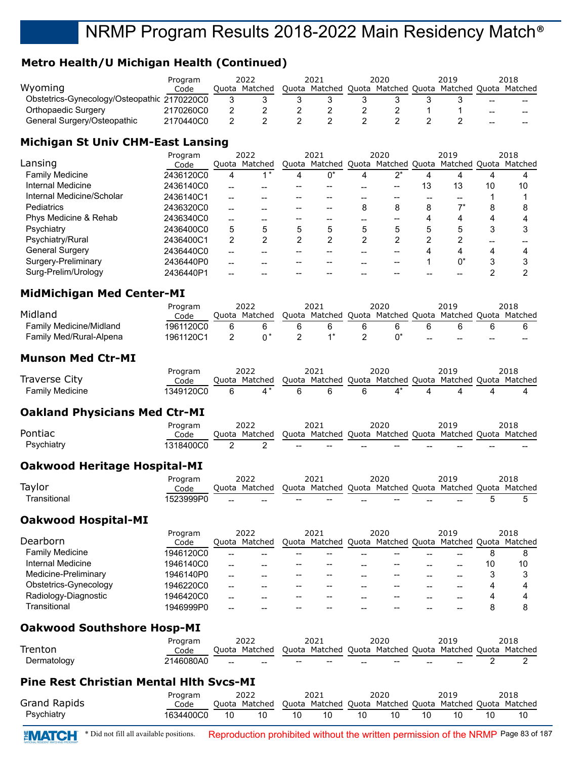## **Metro Health/U Michigan Health (Continued)**

|                                             | Program   | 2022          | 2021          | 2020 | 2019                                      |       | 2018  |
|---------------------------------------------|-----------|---------------|---------------|------|-------------------------------------------|-------|-------|
| Wyoming                                     | Code      | Ouota Matched | Quota Matched |      | Quota Matched Quota Matched Quota Matched |       |       |
| Obstetrics-Gynecology/Osteopathic 2170220C0 |           |               |               |      |                                           | $- -$ | $- -$ |
| Orthopaedic Surgery                         | 2170260C0 |               |               |      |                                           | $- -$ | $- -$ |
| General Surgery/Osteopathic                 | 2170440C0 |               |               |      |                                           | $- -$ | $- -$ |

#### **Michigan St Univ CHM-East Lansing**

|                           | Program   |     | 2022          |   | 2021                              |   | 2020 |    | 2019                  |    | 2018 |
|---------------------------|-----------|-----|---------------|---|-----------------------------------|---|------|----|-----------------------|----|------|
| Lansing                   | Code      |     | Quota Matched |   | Quota Matched Quota Matched Quota |   |      |    | Matched Quota Matched |    |      |
| <b>Family Medicine</b>    | 2436120C0 | 4   |               |   |                                   |   |      |    |                       |    |      |
| Internal Medicine         | 2436140C0 | --  |               |   |                                   |   |      | 13 | 13                    | 10 | 10   |
| Internal Medicine/Scholar | 2436140C1 |     |               |   |                                   |   |      |    |                       |    |      |
| Pediatrics                | 2436320C0 |     |               |   |                                   | 8 | 8    | 8  |                       | 8  |      |
| Phys Medicine & Rehab     | 2436340C0 | $-$ |               |   |                                   |   |      |    | 4                     |    |      |
| Psychiatry                | 2436400C0 | 5   | 5             | 5 | 5                                 | 5 | 5    | 5  | 5                     | 3  |      |
| Psychiatry/Rural          | 2436400C1 | 2   |               |   |                                   | 2 | າ    | ⌒  | っ                     |    |      |
| <b>General Surgery</b>    | 2436440C0 |     |               |   |                                   |   |      |    | 4                     |    |      |
| Surgery-Preliminary       | 2436440P0 |     |               |   |                                   |   |      |    | $0^*$                 | 3  |      |
| Surg-Prelim/Urology       | 2436440P1 |     |               |   |                                   |   |      |    |                       |    |      |

#### **MidMichigan Med Center-MI**

|                                | Program   |       | 2022    | 2021                                                    | 2020 |     | 2019 |       | 2018  |
|--------------------------------|-----------|-------|---------|---------------------------------------------------------|------|-----|------|-------|-------|
| Midland                        | Code      | Ouota | Matched | Quota Matched Quota Matched Quota Matched Quota Matched |      |     |      |       |       |
| <b>Family Medicine/Midland</b> | 1961120C0 |       |         |                                                         |      |     |      |       |       |
| Family Med/Rural-Alpena        | 1961120C1 |       |         |                                                         |      | $-$ | --   | $- -$ | $- -$ |

#### **Munson Med Ctr-MI**

|                 | Program   | 2022          |    | 2021                                                    |    | 2020 | 2019 | 2018 |
|-----------------|-----------|---------------|----|---------------------------------------------------------|----|------|------|------|
| Traverse City   | Code      | Quota Matched |    | Quota Matched Quota Matched Quota Matched Quota Matched |    |      |      |      |
| Family Medicine | 1349120C0 | $\Lambda^*$   | -6 |                                                         | -6 |      |      |      |
|                 |           |               |    |                                                         |    |      |      |      |

#### **Oakland Physicians Med Ctr-MI**

|            | Program   | 2022                                                                  |                                       | 2021  |       | 2020  |    | 2019  |       | 2018 |
|------------|-----------|-----------------------------------------------------------------------|---------------------------------------|-------|-------|-------|----|-------|-------|------|
| Pontiac    | Code      | Quota Matched Quota Matched Quota Matched Quota Matched Quota Matched |                                       |       |       |       |    |       |       |      |
| Psychiatry | 1318400C0 |                                                                       | $\hspace{0.05cm}$ – $\hspace{0.05cm}$ | $- -$ | $- -$ | $- -$ | -- | $- -$ | $- -$ | ---  |

#### **Oakwood Heritage Hospital-MI**

| Taylor       | Program<br>Code |     | 2022<br>Quota Matched Quota Matched Quota Matched Quota Matched Quota Matched |                   | 2021                                           |     | 2020                                           |     | 2019 | 2018 |
|--------------|-----------------|-----|-------------------------------------------------------------------------------|-------------------|------------------------------------------------|-----|------------------------------------------------|-----|------|------|
| Transitional | 1523999P0       | $-$ | $-$                                                                           | $\hspace{0.05cm}$ | $\hspace{0.1mm}-\hspace{0.1mm}-\hspace{0.1mm}$ | $-$ | $\hspace{0.1mm}-\hspace{0.1mm}-\hspace{0.1mm}$ | $-$ | $-$  |      |

#### **Oakwood Hospital-MI**

| Program                |           |    | 2022          | 2021                                                    | 2020 | 2019 |    | 2018 |
|------------------------|-----------|----|---------------|---------------------------------------------------------|------|------|----|------|
| Dearborn               | Code      |    | Ouota Matched | Quota Matched Quota Matched Quota Matched Quota Matched |      |      |    |      |
| <b>Family Medicine</b> | 1946120C0 | -- |               |                                                         | --   |      |    |      |
| Internal Medicine      | 1946140C0 |    |               |                                                         | --   |      | 10 | 10   |
| Medicine-Preliminary   | 1946140P0 | -- |               |                                                         | --   |      |    |      |
| Obstetrics-Gynecology  | 1946220C0 | -- |               |                                                         | --   |      |    |      |
| Radiology-Diagnostic   | 1946420C0 |    |               |                                                         | --   |      |    |      |
| Transitional           | 1946999P0 |    |               |                                                         | --   |      |    |      |

#### **Oakwood Southshore Hosp-MI**

|             | Program               |                                                | 2022          |       | 2021                                                    |     | 2020                     |     | 2019 | 2018 |
|-------------|-----------------------|------------------------------------------------|---------------|-------|---------------------------------------------------------|-----|--------------------------|-----|------|------|
| Trenton     | Code                  |                                                | Ouota Matched |       | Quota Matched Quota Matched Quota Matched Quota Matched |     |                          |     |      |      |
| Dermatology | <sup>2</sup> 146080A0 | $\hspace{0.1mm}-\hspace{0.1mm}-\hspace{0.1mm}$ | $- -$         | $- -$ | $\overline{\phantom{a}}$                                | $-$ | $\overline{\phantom{a}}$ | $-$ | --   |      |

#### **Pine Rest Christian Mental Hlth Svcs-MI**

|                     | Program   |    | 2022                                                                  |    | 2021 | 2020 |    | 2019 | 2018 |
|---------------------|-----------|----|-----------------------------------------------------------------------|----|------|------|----|------|------|
| <b>Grand Rapids</b> | Code      |    | Quota Matched Quota Matched Quota Matched Quota Matched Quota Matched |    |      |      |    |      |      |
| Psychiatry          | 1634400C0 | 10 |                                                                       | 10 | 10   | 10   | 10 |      | 10   |

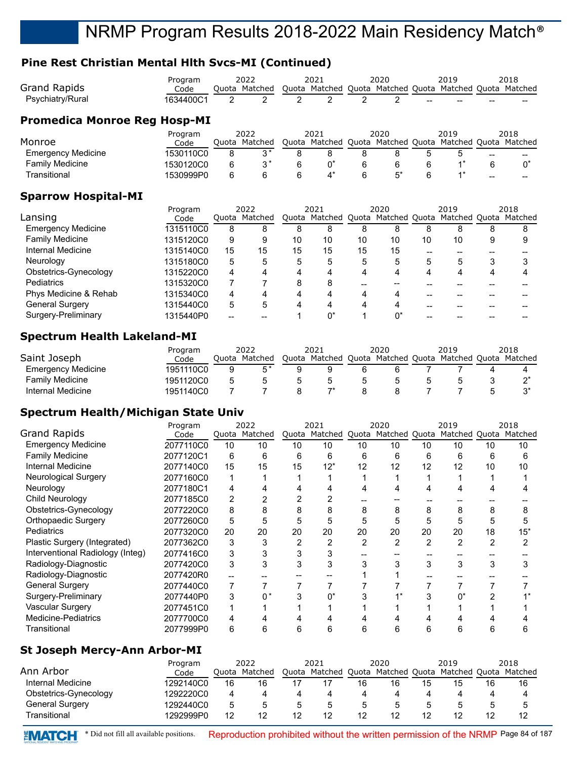## **Pine Rest Christian Mental Hlth Svcs-MI (Continued)**

| Grand Rapids                        | Program<br>Code | Ouota | 2022<br>Matched | 2021<br>Quota Matched Quota Matched Quota Matched Quota Matched |   | 2020 |    | 2019 |    | 2018  |
|-------------------------------------|-----------------|-------|-----------------|-----------------------------------------------------------------|---|------|----|------|----|-------|
| Psychiatry/Rural                    | 1634400C1       | 2     |                 |                                                                 |   |      | -- |      |    |       |
| <b>Promedica Monroe Reg Hosp-MI</b> |                 |       |                 |                                                                 |   |      |    |      |    |       |
|                                     | Program         |       | 2022            | 2021                                                            |   | 2020 |    | 2019 |    | 2018  |
| Monroe                              | Code            |       | Ouota Matched   | Quota Matched Quota Matched Quota Matched Quota Matched         |   |      |    |      |    |       |
| <b>Emergency Medicine</b>           | 1530110C0       | 8     | $3^*$           |                                                                 | 8 | 8    | h. |      | -- | $- -$ |

Family Medicine 1530120C0 6 3 \* 6 0\* 6 6 6 1\* 6 0\*  $\text{Translation} \qquad \qquad 1530999 \text{P0} \qquad 6 \qquad 6 \qquad 6 \qquad 4^* \qquad 6 \qquad 5^* \qquad 6 \qquad 1^* \qquad \text{---}$ 

#### **Sparrow Hospital-MI**

|                           | Program   |    | 2022          |    | 2021                                                    |    | 2020  |    | 2019 |   | 2018 |
|---------------------------|-----------|----|---------------|----|---------------------------------------------------------|----|-------|----|------|---|------|
| Lansing                   | Code      |    | Quota Matched |    | Quota Matched Quota Matched Quota Matched Quota Matched |    |       |    |      |   |      |
| <b>Emergency Medicine</b> | 1315110C0 | 8  |               | 8  | Õ                                                       | 8  | 8     |    | ŏ    |   |      |
| <b>Family Medicine</b>    | 1315120C0 | 9  | 9             | 10 | 10                                                      | 10 | 10    | 10 | 10   | 9 | 9    |
| Internal Medicine         | 1315140C0 | 15 | 15            | 15 | 15                                                      | 15 | 15    |    |      |   |      |
| Neurology                 | 1315180C0 | 5  |               | 5  | 5                                                       | 5  | 5     |    | 5    |   |      |
| Obstetrics-Gynecology     | 1315220C0 | 4  |               | 4  | Δ                                                       | Δ  | 4     |    | Λ    | Λ |      |
| <b>Pediatrics</b>         | 1315320C0 |    |               | 8  | 8                                                       |    |       |    |      |   |      |
| Phys Medicine & Rehab     | 1315340C0 | 4  |               | 4  | 4                                                       | 4  | 4     |    |      |   |      |
| <b>General Surgery</b>    | 1315440C0 | 5  | 5             |    |                                                         | 4  | 4     |    |      |   |      |
| Surgery-Preliminary       | 1315440P0 |    |               |    | n*                                                      |    | $0^*$ |    |      |   |      |

#### **Spectrum Health Lakeland-MI**

|                           | Program   |       | 2022    | 2021                              | 2020 | 2019                  | 2018 |
|---------------------------|-----------|-------|---------|-----------------------------------|------|-----------------------|------|
| Saint Joseph              | Code      | Ouota | Matched | Quota Matched Quota Matched Quota |      | Matched Quota Matched |      |
| <b>Emergency Medicine</b> | 1951110C0 |       |         |                                   |      |                       |      |
| <b>Family Medicine</b>    | 1951120C0 |       |         |                                   |      |                       |      |
| Internal Medicine         | 1951140C0 |       |         |                                   |      |                       |      |

#### **Spectrum Health/Michigan State Univ**

|                                  | Program   |    | 2022          |    | 2021          |    | 2020                |                | 2019           |                | 2018                  |
|----------------------------------|-----------|----|---------------|----|---------------|----|---------------------|----------------|----------------|----------------|-----------------------|
| <b>Grand Rapids</b>              | Code      |    | Quota Matched |    | Quota Matched |    | Quota Matched Quota |                |                |                | Matched Quota Matched |
| <b>Emergency Medicine</b>        | 2077110C0 | 10 | 10            | 10 | 10            | 10 | 10                  | 10             | 10             | 10             | 10                    |
| <b>Family Medicine</b>           | 2077120C1 | 6  | 6             | 6  | 6             | 6  | 6                   | 6              | 6              | 6              | 6                     |
| Internal Medicine                | 2077140C0 | 15 | 15            | 15 | $12*$         | 12 | 12                  | 12             | 12             | 10             | 10                    |
| Neurological Surgery             | 2077160C0 |    |               |    |               |    |                     |                |                |                |                       |
| Neurology                        | 2077180C1 | 4  |               |    |               |    |                     | 4              | 4              |                |                       |
| Child Neurology                  | 2077185C0 | 2  |               |    |               |    |                     |                |                |                |                       |
| Obstetrics-Gynecology            | 2077220C0 | 8  | 8             |    | 8             |    | 8                   | 8              | 8              |                |                       |
| <b>Orthopaedic Surgery</b>       | 2077260C0 | 5  | 5             |    | 5             |    | 5                   | 5              |                |                | 5                     |
| <b>Pediatrics</b>                | 2077320C0 | 20 | 20            | 20 | 20            | 20 | 20                  | 20             | 20             | 18             | $15*$                 |
| Plastic Surgery (Integrated)     | 2077362C0 | 3  | 3             | 2  | 2             | 2  | $\overline{2}$      | $\overline{2}$ | $\overline{2}$ | $\overline{2}$ | 2                     |
| Interventional Radiology (Integ) | 2077416C0 | 3  | 3             |    | 3             |    |                     |                |                |                |                       |
| Radiology-Diagnostic             | 2077420C0 | 3  | 3             |    | 3             |    | 3                   | 3              | 3              | 3              |                       |
| Radiology-Diagnostic             | 2077420R0 |    |               |    |               |    |                     |                |                |                |                       |
| <b>General Surgery</b>           | 2077440C0 |    |               |    |               |    |                     |                |                |                |                       |
| Surgery-Preliminary              | 2077440P0 | 3  | $^{\circ}$    |    | በ*            |    |                     | 3              | U <sub>*</sub> |                |                       |
| Vascular Surgery                 | 2077451C0 |    |               |    |               |    |                     |                |                |                |                       |
| Medicine-Pediatrics              | 2077700C0 | 4  |               |    |               |    |                     |                |                |                |                       |
| Transitional                     | 2077999P0 | 6  | հ             | 6  | 6             | n  | n                   | 6              | 6              | n              |                       |

#### **St Joseph Mercy-Ann Arbor-MI**

| Ann Arbor              | Program<br>Code | Ouota | 2022<br>Matched |    | 2021<br>Quota Matched | Quota | 2020<br>Matched Quota |    | 2019<br>Matched Quota |    | 2018<br>Matched |
|------------------------|-----------------|-------|-----------------|----|-----------------------|-------|-----------------------|----|-----------------------|----|-----------------|
| Internal Medicine      | 1292140C0       | 16    | 16              |    |                       | 16    | 16                    |    |                       | 16 | 16              |
| Obstetrics-Gynecology  | 1292220C0       | 4     |                 |    | 4                     |       |                       |    |                       |    | 4               |
| <b>General Surgery</b> | 1292440C0       | 5     |                 | b. |                       | 5     |                       |    |                       |    | 5               |
| Transitional           | 1292999P0       | 12    |                 |    | 12                    |       |                       | 12 |                       |    | 12              |

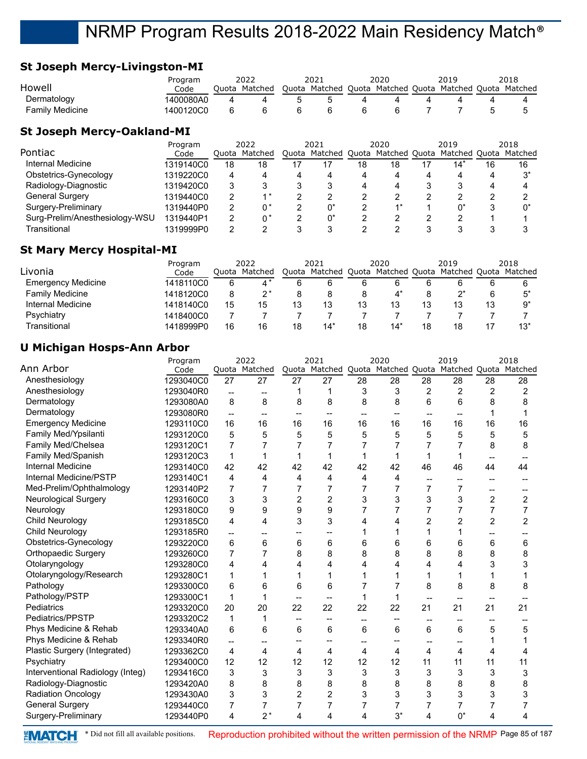#### **St Joseph Mercy-Livingston-MI**

|                 | Program   | 2022  |         | 2021 |                                                         | 2020 |  | 2019 |  | 2018 |
|-----------------|-----------|-------|---------|------|---------------------------------------------------------|------|--|------|--|------|
| Howell          | Code      | Ouota | Matched |      | Quota Matched Quota Matched Quota Matched Quota Matched |      |  |      |  |      |
| Dermatology     | 1400080A0 |       |         |      |                                                         |      |  |      |  |      |
| Family Medicine | 1400120C0 |       |         |      |                                                         |      |  |      |  |      |

#### **St Joseph Mercy-Oakland-MI**

|                                | Program   |    | 2022          | 2021                              |    | 2020 | 2019          |    | 2018    |
|--------------------------------|-----------|----|---------------|-----------------------------------|----|------|---------------|----|---------|
| <b>Pontiac</b>                 | Code      |    | Ouota Matched | Quota Matched Quota Matched Quota |    |      | Matched Quota |    | Matched |
| Internal Medicine              | 1319140C0 | 18 | 18            |                                   | 18 | 18   | $14*$         | 16 | 16      |
| Obstetrics-Gynecology          | 1319220C0 | 4  |               |                                   | 4  | 4    |               | 4  | $3^*$   |
| Radiology-Diagnostic           | 1319420C0 | 3  |               |                                   | 4  | 4    |               | 4  |         |
| General Surgery                | 1319440C0 |    | * *           |                                   |    |      |               |    |         |
| Surgery-Preliminary            | 1319440P0 | 2  | ሰ*            |                                   |    |      | n*            |    | U,      |
| Surg-Prelim/Anesthesiology-WSU | 1319440P1 | 2  |               |                                   |    |      |               |    |         |
| Transitional                   | 1319999P0 | ⌒  |               |                                   |    |      |               |    |         |

#### **St Mary Mercy Hospital-MI**

|                           | Program   | 2022  |         | 2021 |                                   | 2020 |       |    | 2019                  |    | 2018  |
|---------------------------|-----------|-------|---------|------|-----------------------------------|------|-------|----|-----------------------|----|-------|
| Livonia                   | Code      | Ouota | Matched |      | Quota Matched Quota Matched Quota |      |       |    | Matched Quota Matched |    |       |
| <b>Emergency Medicine</b> | 1418110C0 | 6     |         | 6    |                                   | 6    | 6     |    |                       | b  |       |
| <b>Family Medicine</b>    | 1418120C0 |       |         |      |                                   |      |       |    |                       | 6  |       |
| Internal Medicine         | 1418140C0 | 15    | 15      | 13   | 13                                | 13   | 13    |    | 13                    | 13 |       |
| Psychiatry                | 1418400C0 |       |         |      |                                   |      |       |    |                       |    |       |
| Transitional              | 1418999P0 | 16    | 16      | 18   | $14*$                             | 18   | $14*$ | 18 | 18                    |    | $13*$ |

#### **U Michigan Hosps-Ann Arbor**

|                                  | Program   |                          | 2022           |                | 2021            |    | 2020  |                | 2019                                                    |                | 2018           |
|----------------------------------|-----------|--------------------------|----------------|----------------|-----------------|----|-------|----------------|---------------------------------------------------------|----------------|----------------|
| Ann Arbor                        | Code      |                          | Quota Matched  |                |                 |    |       |                | Quota Matched Quota Matched Quota Matched Quota Matched |                |                |
| Anesthesiology                   | 1293040C0 | 27                       | 27             | 27             | $\overline{27}$ | 28 | 28    | 28             | 28                                                      | 28             | 28             |
| Anesthesiology                   | 1293040R0 | $\overline{\phantom{a}}$ |                | 1              | 1               | 3  | 3     | $\overline{c}$ | 2                                                       | 2              | $\overline{2}$ |
| Dermatology                      | 1293080A0 | 8                        | 8              | 8              | 8               | 8  | 8     | 6              | 6                                                       | 8              | 8              |
| Dermatology                      | 1293080R0 | $\overline{\phantom{a}}$ |                |                |                 |    |       |                |                                                         |                |                |
| <b>Emergency Medicine</b>        | 1293110C0 | 16                       | 16             | 16             | 16              | 16 | 16    | 16             | 16                                                      | 16             | 16             |
| Family Med/Ypsilanti             | 1293120C0 | 5                        | 5              | 5              | 5               | 5  | 5     | 5              | 5                                                       | 5              | 5              |
| Family Med/Chelsea               | 1293120C1 | 7                        | 7              |                | 7               |    |       | 7              | 7                                                       | 8              | 8              |
| Family Med/Spanish               | 1293120C3 | 1                        | 1              |                | 1               |    |       | 1              |                                                         | --             |                |
| Internal Medicine                | 1293140C0 | 42                       | 42             | 42             | 42              | 42 | 42    | 46             | 46                                                      | 44             | 44             |
| Internal Medicine/PSTP           | 1293140C1 | 4                        | 4              | 4              | 4               | 4  | 4     |                |                                                         |                |                |
| Med-Prelim/Ophthalmology         | 1293140P2 | 7                        | 7              |                | 7               | 7  | 7     | 7              | 7                                                       |                |                |
| <b>Neurological Surgery</b>      | 1293160C0 | 3                        | 3              | 2              | $\overline{2}$  | 3  | 3     | 3              | 3                                                       | $\overline{2}$ | $\overline{2}$ |
| Neurology                        | 1293180C0 | 9                        | 9              | 9              | 9               | 7  | 7     | 7              | 7                                                       | $\overline{7}$ | 7              |
| Child Neurology                  | 1293185C0 | 4                        | 4              | 3              | 3               | 4  | 4     | $\overline{2}$ | 2                                                       | $\overline{2}$ | $\overline{2}$ |
| Child Neurology                  | 1293185R0 |                          |                |                |                 |    |       | 1              |                                                         |                |                |
| Obstetrics-Gynecology            | 1293220C0 | 6                        | 6              | 6              | 6               | 6  | 6     | 6              | 6                                                       | 6              | 6              |
| Orthopaedic Surgery              | 1293260C0 | 7                        | 7              | 8              | 8               | 8  | 8     | 8              | 8                                                       | 8              | 8              |
| Otolaryngology                   | 1293280C0 | 4                        | 4              | 4              | 4               | 4  | 4     | 4              | 4                                                       | 3              | 3              |
| Otolaryngology/Research          | 1293280C1 | 1                        | 1              | 1              | 1               |    |       | 1              | 1                                                       |                |                |
| Pathology                        | 1293300C0 | 6                        | 6              | 6              | 6               | 7  | 7     | 8              | 8                                                       | 8              | 8              |
| Pathology/PSTP                   | 1293300C1 | 1                        | 1              |                |                 | 1  |       |                |                                                         |                |                |
| Pediatrics                       | 1293320C0 | 20                       | 20             | 22             | 22              | 22 | 22    | 21             | 21                                                      | 21             | 21             |
| Pediatrics/PPSTP                 | 1293320C2 | 1                        | 1              |                |                 |    |       |                |                                                         |                |                |
| Phys Medicine & Rehab            | 1293340A0 | 6                        | 6              | 6              | 6               | 6  | 6     | 6              | 6                                                       | 5              | 5              |
| Phys Medicine & Rehab            | 1293340R0 | --                       | --             |                |                 |    |       |                |                                                         |                |                |
| Plastic Surgery (Integrated)     | 1293362C0 | 4                        | 4              | 4              | 4               | 4  | 4     | 4              | 4                                                       | 4              | 4              |
| Psychiatry                       | 1293400C0 | 12                       | 12             | 12             | 12              | 12 | 12    | 11             | 11                                                      | 11             | 11             |
| Interventional Radiology (Integ) | 1293416C0 | 3                        | 3              | 3              | 3               | 3  | 3     | 3              | 3                                                       | 3              | 3              |
| Radiology-Diagnostic             | 1293420A0 | 8                        | 8              | 8              | 8               | 8  | 8     | 8              | 8                                                       | 8              | 8              |
| <b>Radiation Oncology</b>        | 1293430A0 | 3                        | 3              | $\overline{2}$ | $\overline{c}$  | 3  | 3     | 3              | 3                                                       | 3              | 3              |
| <b>General Surgery</b>           | 1293440C0 | 7                        | $\overline{7}$ | 7              | 7               | 7  | 7     | 7              | 7                                                       | 7              |                |
| Surgery-Preliminary              | 1293440P0 | 4                        | $2^*$          | 4              | 4               | 4  | $3^*$ | 4              | $0^*$                                                   | 4              | 4              |
|                                  |           |                          |                |                |                 |    |       |                |                                                         |                |                |

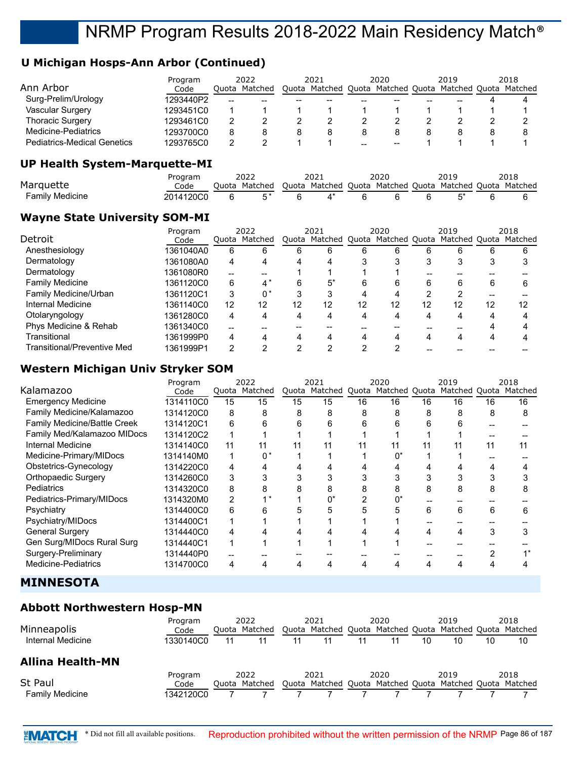## **U Michigan Hosps-Ann Arbor (Continued)**

|                                    | Program   | 2022  |         | 2021 |   |    | 2020 | 2019                                                    |   | 2018 |
|------------------------------------|-----------|-------|---------|------|---|----|------|---------------------------------------------------------|---|------|
| Ann Arbor                          | Code      | Ouota | Matched |      |   |    |      | Quota Matched Quota Matched Quota Matched Quota Matched |   |      |
| Surg-Prelim/Urology                | 1293440P2 | $- -$ | --      |      |   |    |      |                                                         |   |      |
| Vascular Surgery                   | 1293451C0 |       |         |      |   |    |      |                                                         |   |      |
| <b>Thoracic Surgery</b>            | 1293461C0 | 2     |         |      |   |    |      |                                                         |   |      |
| Medicine-Pediatrics                | 1293700C0 | 8     |         | 8    | 8 | 8  | 8    |                                                         | 8 |      |
| <b>Pediatrics-Medical Genetics</b> | 1293765C0 | 2     |         |      |   | -- | --   |                                                         |   |      |
|                                    |           |       |         |      |   |    |      |                                                         |   |      |

#### **UP Health System-Marquette-MI**

|                 | 'rogram   |       | יר∩ר    |       | 2021    |       | 2020    |       |         |       |         |
|-----------------|-----------|-------|---------|-------|---------|-------|---------|-------|---------|-------|---------|
| Marquette       | Code      | ിuota | Matched | Ouota | Matched | Duota | Matched | Ouota | Matched | Ouota | Matched |
| Family Medicine | 2014120CC |       |         |       |         |       |         |       |         |       |         |

#### **Wayne State University SOM-MI**

|                             | Program   |     | 2022          |    | 2021                                                    |    | 2020 |    | 2019 |    | 2018 |
|-----------------------------|-----------|-----|---------------|----|---------------------------------------------------------|----|------|----|------|----|------|
| Detroit                     | Code      |     | Quota Matched |    | Quota Matched Quota Matched Quota Matched Quota Matched |    |      |    |      |    |      |
| Anesthesiology              | 1361040A0 | 6   | 6             | 6  | 6                                                       | 6  | 6    | 6  | 6    | 6  | 6    |
| Dermatology                 | 1361080A0 | 4   | 4             | 4  | 4                                                       |    | 3    |    | 3    | 3  |      |
| Dermatology                 | 1361080R0 | $-$ |               |    |                                                         |    |      |    |      |    |      |
| <b>Family Medicine</b>      | 1361120C0 | 6   | $4^*$         | 6  | $5^*$                                                   | 6  | 6    | 6  | 6    | 6  |      |
| Family Medicine/Urban       | 1361120C1 | 3   | 0*            |    |                                                         | Δ  | 4    |    |      |    |      |
| Internal Medicine           | 1361140C0 | 12  | 12            | 12 | 12                                                      | 12 | 12   | 12 | 12   | 12 | 12   |
| Otolaryngology              | 1361280C0 | 4   |               | 4  | 4                                                       |    | 4    |    | 4    |    |      |
| Phys Medicine & Rehab       | 1361340C0 |     |               |    |                                                         |    |      |    |      |    |      |
| Transitional                | 1361999P0 | 4   |               |    | Δ                                                       |    |      |    |      |    |      |
| Transitional/Preventive Med | 1361999P1 | っ   |               |    |                                                         | ∩  |      |    |      |    |      |

#### **Western Michigan Univ Stryker SOM**

|                              | Program   |    | 2022          |    | 2021          |    | 2020 |    | 2019                                      |    | 2018 |
|------------------------------|-----------|----|---------------|----|---------------|----|------|----|-------------------------------------------|----|------|
| Kalamazoo                    | Code      |    | Quota Matched |    | Quota Matched |    |      |    | Quota Matched Quota Matched Quota Matched |    |      |
| <b>Emergency Medicine</b>    | 1314110C0 | 15 | 15            | 15 | 15            | 16 | 16   | 16 | 16                                        | 16 | 16   |
| Family Medicine/Kalamazoo    | 1314120C0 | 8  | 8             | 8  | 8             | 8  | 8    | 8  | 8                                         | 8  | 8    |
| Family Medicine/Battle Creek | 1314120C1 | 6  | 6             | 6  | 6             | 6  | 6    | 6  | 6                                         |    |      |
| Family Med/Kalamazoo MIDocs  | 1314120C2 |    |               |    |               |    |      |    |                                           |    |      |
| Internal Medicine            | 1314140C0 | 11 | 11            | 11 | 11            | 11 | 11   | 11 |                                           | 11 | 11   |
| Medicine-Primary/MIDocs      | 1314140M0 |    | $0^*$         |    |               |    | n*   |    |                                           |    |      |
| Obstetrics-Gynecology        | 1314220C0 | 4  | 4             |    |               |    |      |    |                                           |    |      |
| Orthopaedic Surgery          | 1314260C0 | 3  | 3             |    | 3             |    |      | 3  |                                           |    |      |
| <b>Pediatrics</b>            | 1314320C0 | 8  | 8             | 8  | 8             | 8  | 8    | 8  | 8                                         | 8  | 8    |
| Pediatrics-Primary/MIDocs    | 1314320M0 | 2  | $\star$       |    | $0^*$         |    |      |    |                                           |    |      |
| Psychiatry                   | 1314400C0 | 6  | 6             | 5  | 5             | 5  | 5    | 6  | 6                                         | 6  | 6    |
| Psychiatry/MIDocs            | 1314400C1 |    |               |    |               |    |      |    |                                           |    |      |
| <b>General Surgery</b>       | 1314440C0 | 4  | 4             |    |               |    |      | 4  | 4                                         | 3  |      |
| Gen Surg/MIDocs Rural Surg   | 1314440C1 | 1  |               |    |               |    |      |    |                                           |    |      |
| Surgery-Preliminary          | 1314440P0 |    |               |    |               |    |      |    |                                           |    |      |
| <b>Medicine-Pediatrics</b>   | 1314700C0 | 4  |               | 4  | 4             |    | 4    | 4  | 4                                         |    |      |

#### **MINNESOTA**

#### **Abbott Northwestern Hosp-MN**

| Minneapolis             | Program<br>Code |    | 2022<br>Ouota Matched |    | 2021 | 2020 |    | 2019<br>Quota Matched Quota Matched Quota Matched Quota Matched |    | 2018 |
|-------------------------|-----------------|----|-----------------------|----|------|------|----|-----------------------------------------------------------------|----|------|
| Internal Medicine       | 1330140C0       | 11 |                       | 11 | 11   | 11   | 10 | 10                                                              | 10 | 10   |
| <b>Allina Health-MN</b> |                 |    |                       |    |      |      |    |                                                                 |    |      |
| St Paul                 | Program<br>Code |    | 2022<br>Ouota Matched |    | 2021 | 2020 |    | 2019<br>Quota Matched Quota Matched Quota Matched Quota Matched |    | 2018 |
| <b>Family Medicine</b>  | 1342120C0       |    |                       |    |      |      |    |                                                                 |    |      |

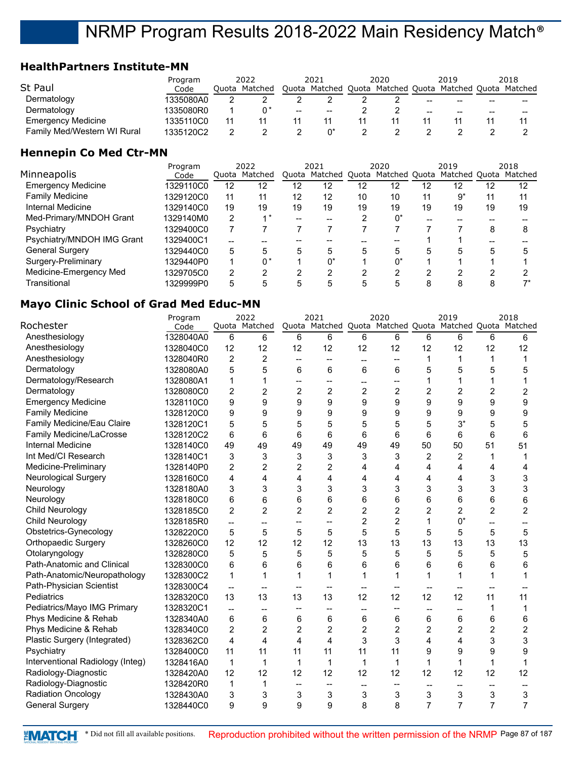#### **HealthPartners Institute-MN**

|                             | Program   |    | 2022          |                                                | 2021                              |  | 2020 |    | 2019                  |    | 2018 |
|-----------------------------|-----------|----|---------------|------------------------------------------------|-----------------------------------|--|------|----|-----------------------|----|------|
| St Paul                     | Code      |    | Quota Matched |                                                | Quota Matched Quota Matched Quota |  |      |    | Matched Quota Matched |    |      |
| Dermatology                 | 1335080A0 |    |               |                                                |                                   |  |      | -- | --                    | -- |      |
| Dermatology                 | 1335080R0 |    |               | $\hspace{0.1mm}-\hspace{0.1mm}-\hspace{0.1mm}$ | $\overline{\phantom{m}}$          |  |      | -- | $- -$                 | -- |      |
| <b>Emergency Medicine</b>   | 1335110C0 | 11 |               |                                                |                                   |  |      |    |                       |    |      |
| Family Med/Western WI Rural | 1335120C2 |    |               |                                                |                                   |  |      |    |                       |    |      |

#### **Hennepin Co Med Ctr-MN**

|                            | Program   |    | 2022          |    | 2021 |    | 2020<br>Quota Matched Quota Matched Quota |    | 2019                  |    | 2018 |
|----------------------------|-----------|----|---------------|----|------|----|-------------------------------------------|----|-----------------------|----|------|
| Minneapolis                | Code      |    | Quota Matched |    |      |    |                                           |    | Matched Quota Matched |    |      |
| <b>Emergency Medicine</b>  | 1329110C0 | 12 | 12            | 12 | 12   | 12 | 12                                        | 12 | 12                    | 12 | 12   |
| <b>Family Medicine</b>     | 1329120C0 | 11 | 11            | 12 | 12   | 10 | 10                                        | 11 | 9*                    | 11 | 11   |
| Internal Medicine          | 1329140C0 | 19 | 19            | 19 | 19   | 19 | 19                                        | 19 | 19                    | 19 | 19   |
| Med-Primary/MNDOH Grant    | 1329140M0 | 2  |               | -- |      | 2  | 0*                                        |    |                       |    |      |
| Psychiatry                 | 1329400C0 |    |               |    |      |    |                                           |    |                       | 8  | 8    |
| Psychiatry/MNDOH IMG Grant | 1329400C1 | -- |               |    |      |    |                                           |    |                       |    |      |
| <b>General Surgery</b>     | 1329440C0 | 5  |               | 5  | 5    | 5  | 5                                         | 5  | 5                     | 5  |      |
| Surgery-Preliminary        | 1329440P0 | и  | በ*            |    | 0*   |    | 0*                                        |    |                       |    |      |
| Medicine-Emergency Med     | 1329705C0 | 2  | ◠             | ◠  | າ    | ≘  | ≘                                         | ◠  | ◠                     | റ  |      |
| Transitional               | 1329999P0 | 5  |               |    | 5    | 5  | 5                                         | Ο  | 8                     | 8  |      |

#### **Mayo Clinic School of Grad Med Educ-MN**

|                                  | Program   |                | 2022           |                          | 2021           |                          | 2020           |                | 2019                                                    |                | 2018           |
|----------------------------------|-----------|----------------|----------------|--------------------------|----------------|--------------------------|----------------|----------------|---------------------------------------------------------|----------------|----------------|
| Rochester                        | Code      |                | Quota Matched  |                          |                |                          |                |                | Quota Matched Quota Matched Quota Matched Quota Matched |                |                |
| Anesthesiology                   | 1328040A0 | 6              | 6              | 6                        | 6              | 6                        | 6              | 6              | 6                                                       | 6              | 6              |
| Anesthesiology                   | 1328040C0 | 12             | 12             | 12                       | 12             | 12                       | 12             | 12             | 12                                                      | 12             | 12             |
| Anesthesiology                   | 1328040R0 | $\overline{c}$ | $\overline{c}$ | $\overline{\phantom{a}}$ | --             | $\overline{\phantom{a}}$ | $\overline{a}$ | 1              | 1                                                       | 1              |                |
| Dermatology                      | 1328080A0 | 5              | 5              | 6                        | 6              | 6                        | 6              | 5              | 5                                                       | 5              | 5              |
| Dermatology/Research             | 1328080A1 | 1              | 1              | $\overline{\phantom{a}}$ | --             | --                       | --             | 1              | 1                                                       | 1              |                |
| Dermatology                      | 1328080C0 | 2              | $\overline{c}$ | $\overline{c}$           | $\overline{c}$ | $\overline{c}$           | $\overline{c}$ | $\overline{c}$ | 2                                                       | $\overline{c}$ | $\overline{c}$ |
| <b>Emergency Medicine</b>        | 1328110C0 | 9              | 9              | 9                        | 9              | 9                        | 9              | 9              | 9                                                       | 9              | 9              |
| <b>Family Medicine</b>           | 1328120C0 | 9              | 9              | 9                        | 9              | 9                        | 9              | 9              | 9                                                       | 9              | 9              |
| Family Medicine/Eau Claire       | 1328120C1 | 5              | 5              | 5                        | 5              | 5                        | 5              | 5              | $3^*$                                                   | 5              | 5              |
| Family Medicine/LaCrosse         | 1328120C2 | 6              | 6              | 6                        | 6              | 6                        | 6              | 6              | 6                                                       | 6              | 6              |
| <b>Internal Medicine</b>         | 1328140C0 | 49             | 49             | 49                       | 49             | 49                       | 49             | 50             | 50                                                      | 51             | 51             |
| Int Med/CI Research              | 1328140C1 | 3              | 3              | 3                        | 3              | 3                        | 3              | $\overline{2}$ | 2                                                       | 1              | 1              |
| Medicine-Preliminary             | 1328140P0 | 2              | $\overline{2}$ | $\overline{2}$           | $\overline{c}$ | 4                        | 4              | 4              | 4                                                       | 4              | 4              |
| <b>Neurological Surgery</b>      | 1328160C0 | 4              | 4              | 4                        | 4              | 4                        | 4              | 4              | 4                                                       | 3              | 3              |
| Neurology                        | 1328180A0 | 3              | 3              | 3                        | 3              | 3                        | 3              | 3              | 3                                                       | 3              | 3              |
| Neurology                        | 1328180C0 | 6              | 6              | 6                        | 6              | 6                        | 6              | 6              | 6                                                       | 6              | 6              |
| <b>Child Neurology</b>           | 1328185C0 | $\overline{2}$ | $\overline{2}$ | $\overline{2}$           | $\overline{2}$ | 2                        | $\overline{2}$ | $\overline{2}$ | $\overline{c}$                                          | $\overline{2}$ | $\overline{2}$ |
| Child Neurology                  | 1328185R0 | $-$            | --             | $\overline{\phantom{a}}$ | --             | 2                        | $\overline{2}$ | 1              | $0^*$                                                   | --             |                |
| Obstetrics-Gynecology            | 1328220C0 | 5              | 5              | 5                        | 5              | 5                        | 5              | 5              | 5                                                       | 5              | 5              |
| Orthopaedic Surgery              | 1328260C0 | 12             | 12             | 12                       | 12             | 13                       | 13             | 13             | 13                                                      | 13             | 13             |
| Otolaryngology                   | 1328280C0 | 5              | 5              | 5                        | 5              | 5                        | 5              | 5              | 5                                                       | 5              | 5              |
| Path-Anatomic and Clinical       | 1328300C0 | 6              | 6              | 6                        | 6              | 6                        | 6              | 6              | 6                                                       | 6              | 6              |
| Path-Anatomic/Neuropathology     | 1328300C2 | $\mathbf{1}$   | 1              | 1                        | 1              | 1                        | 1              | 1              | 1                                                       | 1              | 1              |
| Path-Physician Scientist         | 1328300C4 | $\overline{a}$ | $\overline{a}$ |                          |                | $-$                      |                |                |                                                         |                |                |
| Pediatrics                       | 1328320C0 | 13             | 13             | 13                       | 13             | 12                       | 12             | 12             | 12                                                      | 11             | 11             |
| Pediatrics/Mayo IMG Primary      | 1328320C1 | $-$            | --             |                          |                | --                       |                |                | $\overline{\phantom{a}}$                                | 1              | $\mathbf 1$    |
| Phys Medicine & Rehab            | 1328340A0 | 6              | 6              | 6                        | 6              | 6                        | 6              | 6              | 6                                                       | 6              | 6              |
| Phys Medicine & Rehab            | 1328340C0 | $\overline{2}$ | 2              | $\overline{2}$           | $\overline{2}$ | $\overline{2}$           | $\overline{2}$ | $\overline{2}$ | $\overline{2}$                                          | $\overline{2}$ | $\overline{2}$ |
| Plastic Surgery (Integrated)     | 1328362C0 | 4              | $\overline{4}$ | 4                        | 4              | 3                        | 3              | 4              | 4                                                       | 3              | 3              |
| Psychiatry                       | 1328400C0 | 11             | 11             | 11                       | 11             | 11                       | 11             | 9              | 9                                                       | 9              | 9              |
| Interventional Radiology (Integ) | 1328416A0 | 1              | 1              | $\mathbf{1}$             | $\mathbf 1$    | $\mathbf 1$              | 1              | 1              | 1                                                       | 1              | 1              |
| Radiology-Diagnostic             | 1328420A0 | 12             | 12             | 12                       | 12             | 12                       | 12             | 12             | 12                                                      | 12             | 12             |
| Radiology-Diagnostic             | 1328420R0 | 1              | 1              | $\overline{\phantom{a}}$ | --             | $\overline{a}$           |                |                | $\overline{\phantom{a}}$                                | --             |                |
| <b>Radiation Oncology</b>        | 1328430A0 | 3              | 3              | 3                        | 3              | 3                        | 3              | 3              | 3                                                       | 3              | 3              |
| <b>General Surgery</b>           | 1328440C0 | 9              | 9              | 9                        | 9              | 8                        | 8              | $\overline{7}$ | $\overline{7}$                                          | $\overline{7}$ | $\overline{7}$ |
|                                  |           |                |                |                          |                |                          |                |                |                                                         |                |                |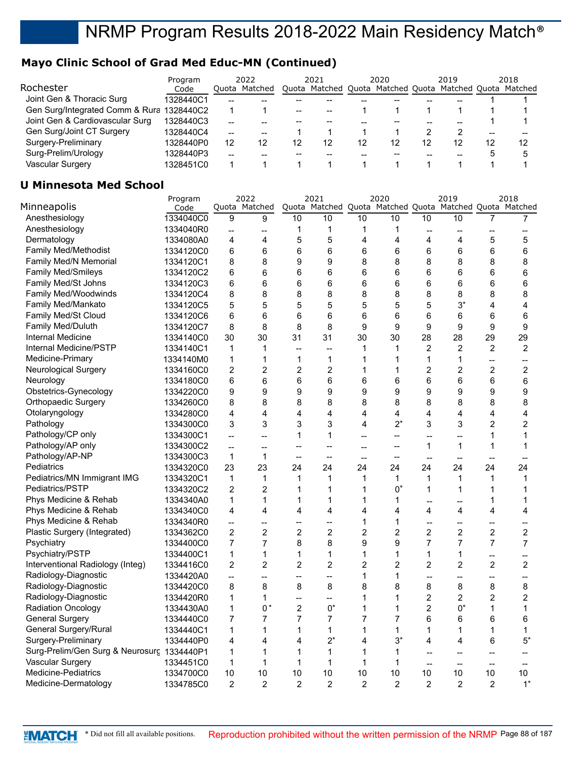## **Mayo Clinic School of Grad Med Educ-MN (Continued)**

|                                           | Program   | 2022  |         | 2021 |                                   | 2020 |    | 2019 |               |    | 2018    |
|-------------------------------------------|-----------|-------|---------|------|-----------------------------------|------|----|------|---------------|----|---------|
| Rochester                                 | Code      | Ouota | Matched |      | Quota Matched Quota Matched Quota |      |    |      | Matched Quota |    | Matched |
| Joint Gen & Thoracic Surg                 | 1328440C1 |       |         |      |                                   |      |    |      |               |    |         |
| Gen Surg/Integrated Comm & Rura 1328440C2 |           |       |         |      | --                                |      |    |      |               |    |         |
| Joint Gen & Cardiovascular Surg           | 1328440C3 |       |         |      |                                   |      |    |      |               |    |         |
| Gen Surg/Joint CT Surgery                 | 1328440C4 | --    |         |      |                                   |      |    |      |               |    |         |
| Surgery-Preliminary                       | 1328440P0 | 12    | 12      | 12   | 12                                | 12   | 12 | 12   | 12            | 12 | 12      |
| Surg-Prelim/Urology                       | 1328440P3 |       |         |      |                                   |      |    |      |               |    |         |
| Vascular Surgery                          | 1328451C0 |       |         |      |                                   |      |    |      |               |    |         |

#### **U Minnesota Med School**

|                                            | Program   |                | 2022           |                          | 2021                     |                | 2020           |                          | 2019                                                    |                          | 2018                     |
|--------------------------------------------|-----------|----------------|----------------|--------------------------|--------------------------|----------------|----------------|--------------------------|---------------------------------------------------------|--------------------------|--------------------------|
| Minneapolis                                | Code      |                | Quota Matched  |                          |                          |                |                |                          | Quota Matched Quota Matched Quota Matched Quota Matched |                          |                          |
| Anesthesiology                             | 1334040C0 | 9              | 9              | 10                       | 10                       | 10             | 10             | 10                       | 10                                                      | 7                        | 7                        |
| Anesthesiology                             | 1334040R0 | --             | --             | 1                        | 1                        | 1              | 1              | --                       | $\overline{\phantom{a}}$                                |                          | --                       |
| Dermatology                                | 1334080A0 | 4              | 4              | 5                        | 5                        | 4              | 4              | 4                        | 4                                                       | 5                        | 5                        |
| Family Med/Methodist                       | 1334120C0 | 6              | 6              | 6                        | 6                        | 6              | 6              | 6                        | 6                                                       | 6                        | 6                        |
| Family Med/N Memorial                      | 1334120C1 | 8              | 8              | 9                        | 9                        | 8              | 8              | 8                        | 8                                                       | 8                        | 8                        |
| <b>Family Med/Smileys</b>                  | 1334120C2 | 6              | 6              | 6                        | 6                        | 6              | 6              | 6                        | 6                                                       | 6                        | 6                        |
| <b>Family Med/St Johns</b>                 | 1334120C3 | 6              | 6              | 6                        | 6                        | 6              | 6              | 6                        | 6                                                       | 6                        | 6                        |
| <b>Family Med/Woodwinds</b>                | 1334120C4 | 8              | 8              | 8                        | 8                        | 8              | 8              | 8                        | 8                                                       | 8                        | 8                        |
| Family Med/Mankato                         | 1334120C5 | 5              | 5              | 5                        | 5                        | 5              | 5              | 5                        | 3*                                                      | 4                        | 4                        |
| Family Med/St Cloud                        | 1334120C6 | 6              | 6              | 6                        | 6                        | 6              | 6              | 6                        | 6                                                       | 6                        | 6                        |
| <b>Family Med/Duluth</b>                   | 1334120C7 | 8              | 8              | 8                        | 8                        | 9              | 9              | 9                        | 9                                                       | 9                        | 9                        |
| Internal Medicine                          | 1334140C0 | 30             | 30             | 31                       | 31                       | 30             | 30             | 28                       | 28                                                      | 29                       | 29                       |
| Internal Medicine/PSTP                     | 1334140C1 | 1              | 1              | $\overline{\phantom{0}}$ | $\overline{\phantom{a}}$ | $\mathbf 1$    | 1              | $\overline{c}$           | $\overline{2}$                                          | $\overline{c}$           | $\overline{c}$           |
| Medicine-Primary                           | 1334140M0 | $\mathbf 1$    | 1              | $\mathbf{1}$             | $\mathbf{1}$             | $\mathbf 1$    | 1              | $\mathbf{1}$             | 1                                                       | $\overline{a}$           | $\overline{a}$           |
| <b>Neurological Surgery</b>                | 1334160C0 | $\overline{c}$ | $\overline{c}$ | $\overline{c}$           | $\overline{c}$           | $\mathbf{1}$   | 1              | $\overline{c}$           | $\overline{c}$                                          | $\overline{c}$           | $\overline{c}$           |
| Neurology                                  | 1334180C0 | 6              | 6              | 6                        | 6                        | 6              | 6              | 6                        | 6                                                       | 6                        | 6                        |
| Obstetrics-Gynecology                      | 1334220C0 | 9              | 9              | 9                        | 9                        | 9              | 9              | 9                        | 9                                                       | 9                        | 9                        |
| Orthopaedic Surgery                        | 1334260C0 | 8              | 8              | 8                        | 8                        | 8              | 8              | 8                        | 8                                                       | 8                        | 8                        |
| Otolaryngology                             | 1334280C0 | 4              | 4              | 4                        | 4                        | 4              | 4              | 4                        | 4                                                       | 4                        | 4                        |
| Pathology                                  | 1334300C0 | 3              | 3              | 3                        | 3                        | 4              | $2^*$          | 3                        | 3                                                       | $\overline{c}$           | $\overline{c}$           |
| Pathology/CP only                          | 1334300C1 | --             | --             | 1                        | $\mathbf{1}$             | $\overline{a}$ | --             | --                       | --                                                      | 1                        | $\mathbf{1}$             |
| Pathology/AP only                          | 1334300C2 | $\overline{a}$ | --             | $\overline{a}$           | $-$                      | $-$            | $\overline{a}$ | $\mathbf{1}$             | 1                                                       | 1                        | 1                        |
| Pathology/AP-NP                            | 1334300C3 | $\mathbf{1}$   | $\mathbf{1}$   | $\overline{\phantom{a}}$ | $-$                      | $\overline{a}$ | --             | $\overline{\phantom{a}}$ | $\overline{a}$                                          | $\overline{a}$           | $-$                      |
| Pediatrics                                 | 1334320C0 | 23             | 23             | 24                       | 24                       | 24             | 24             | 24                       | 24                                                      | 24                       | 24                       |
| Pediatrics/MN Immigrant IMG                | 1334320C1 | $\mathbf 1$    | 1              | $\mathbf{1}$             | $\mathbf{1}$             | $\mathbf 1$    | $\mathbf 1$    | $\mathbf{1}$             | $\mathbf{1}$                                            | 1                        | 1                        |
| Pediatrics/PSTP                            | 1334320C2 | $\overline{2}$ | $\overline{2}$ | 1                        | 1                        | $\mathbf 1$    | $0^*$          | $\mathbf{1}$             | 1                                                       | 1                        | 1                        |
| Phys Medicine & Rehab                      | 1334340A0 | $\mathbf 1$    | $\mathbf{1}$   | $\mathbf{1}$             | $\mathbf{1}$             | $\mathbf 1$    | 1              | --                       | $\overline{\phantom{a}}$                                | 1                        | 1                        |
| Phys Medicine & Rehab                      | 1334340C0 | 4              | 4              | 4                        | 4                        | 4              | 4              | 4                        | $\overline{\mathbf{4}}$                                 | 4                        | 4                        |
| Phys Medicine & Rehab                      | 1334340R0 | --             | $\overline{a}$ | --                       | --                       | $\mathbf 1$    | 1              | $\overline{a}$           | --                                                      | $\overline{\phantom{a}}$ | $\overline{a}$           |
| Plastic Surgery (Integrated)               | 1334362C0 | 2              | $\overline{c}$ | $\overline{c}$           | $\overline{2}$           | $\overline{2}$ | $\overline{c}$ | $\overline{c}$           | $\overline{c}$                                          | $\overline{c}$           | $\overline{c}$           |
| Psychiatry                                 | 1334400C0 | $\overline{7}$ | $\overline{7}$ | 8                        | 8                        | 9              | 9              | $\overline{7}$           | 7                                                       | $\overline{7}$           | $\overline{7}$           |
| Psychiatry/PSTP                            | 1334400C1 | 1              | 1              | 1                        | $\mathbf 1$              | $\mathbf{1}$   | 1              | 1                        | 1                                                       | $\overline{\phantom{a}}$ | $\overline{\phantom{a}}$ |
| Interventional Radiology (Integ)           | 1334416C0 | $\overline{c}$ | $\overline{2}$ | $\overline{2}$           | $\overline{2}$           | $\overline{2}$ | $\overline{c}$ | $\overline{2}$           | $\overline{2}$                                          | $\overline{c}$           | $\overline{2}$           |
| Radiology-Diagnostic                       | 1334420A0 | $\overline{a}$ | $\overline{a}$ | --                       | Ш.                       | $\mathbf 1$    | 1              | $\overline{a}$           | --                                                      | --                       | --                       |
| Radiology-Diagnostic                       | 1334420C0 | 8              | 8              | 8                        | 8                        | 8              | 8              | 8                        | 8                                                       | 8                        | 8                        |
| Radiology-Diagnostic                       | 1334420R0 | 1              | 1              | --                       | --                       | $\mathbf{1}$   | 1              | $\overline{c}$           | $\overline{c}$                                          | $\overline{c}$           | $\overline{c}$           |
| <b>Radiation Oncology</b>                  | 1334430A0 | 1              | $0*$           | $\overline{c}$           | $0^*$                    | $\mathbf 1$    | 1              | $\overline{2}$           | 0*                                                      | 1                        | $\mathbf{1}$             |
| <b>General Surgery</b>                     | 1334440C0 | 7              | 7              | 7                        | $\overline{7}$           | $\overline{7}$ | $\overline{7}$ | 6                        | 6                                                       | 6                        | 6                        |
| General Surgery/Rural                      | 1334440C1 | 1              | 1              | 1                        | $\mathbf{1}$             | $\mathbf 1$    | 1              | 1                        | 1                                                       | 1                        | 1                        |
| Surgery-Preliminary                        | 1334440P0 | 4              | 4              | 4                        | $2^*$                    | 4              | $3^*$          | 4                        | 4                                                       | 6                        | $5^*$                    |
| Surg-Prelim/Gen Surg & Neurosurg 1334440P1 |           | 1              | 1              | 1                        | $\mathbf 1$              | $\mathbf{1}$   | 1              | --                       | --                                                      | --                       |                          |
| <b>Vascular Surgery</b>                    | 1334451C0 | 1              | 1              | 1                        | $\mathbf 1$              | $\mathbf 1$    | 1              | $\overline{a}$           | $\overline{a}$                                          | $\overline{a}$           | $-$                      |
| Medicine-Pediatrics                        | 1334700C0 | 10             | 10             | 10                       | 10                       | 10             | 10             | 10                       | 10                                                      | 10                       | 10                       |
| Medicine-Dermatology                       | 1334785C0 | $\overline{2}$ | $\overline{2}$ | $\overline{2}$           | $\overline{2}$           | $\overline{2}$ | $\overline{2}$ | $\overline{2}$           | $\overline{2}$                                          | $\overline{2}$           | $1^*$                    |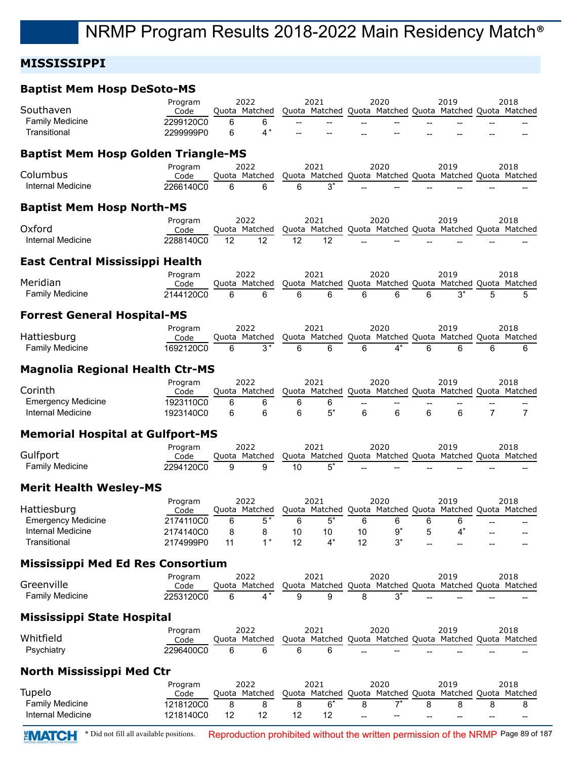## **MISSISSIPPI**

#### **Baptist Mem Hosp DeSoto-MS**

| Southaven                                  | Program         |    | 2022<br>Quota Matched                                                 |    | 2021  |    | 2020                                                    |   | 2019  |                | 2018           |
|--------------------------------------------|-----------------|----|-----------------------------------------------------------------------|----|-------|----|---------------------------------------------------------|---|-------|----------------|----------------|
|                                            | Code            |    |                                                                       |    |       |    | Quota Matched Quota Matched Quota Matched Quota Matched |   |       |                |                |
| <b>Family Medicine</b>                     | 2299120C0       | 6  | 6                                                                     |    |       |    |                                                         |   |       |                |                |
| Transitional                               | 2299999P0       | 6  | $4*$                                                                  |    |       |    |                                                         |   |       |                |                |
| <b>Baptist Mem Hosp Golden Triangle-MS</b> |                 |    |                                                                       |    |       |    |                                                         |   |       |                |                |
|                                            | Program         |    | 2022                                                                  |    | 2021  |    | 2020                                                    |   | 2019  |                | 2018           |
| Columbus                                   | Code            |    | Quota Matched                                                         |    |       |    | Quota Matched Quota Matched Quota Matched Quota Matched |   |       |                |                |
| Internal Medicine                          | 2266140C0       | 6  | 6                                                                     | 6  | $3^*$ |    |                                                         |   |       |                |                |
|                                            |                 |    |                                                                       |    |       |    |                                                         |   |       |                |                |
| <b>Baptist Mem Hosp North-MS</b>           | Program         |    | 2022                                                                  |    | 2021  |    | 2020                                                    |   | 2019  |                | 2018           |
| Oxford                                     | Code            |    | Quota Matched                                                         |    |       |    | Quota Matched Quota Matched Quota Matched Quota Matched |   |       |                |                |
| Internal Medicine                          | 2288140C0       | 12 | 12                                                                    | 12 | 12    |    |                                                         |   |       |                |                |
|                                            |                 |    |                                                                       |    |       |    |                                                         |   |       |                |                |
| <b>East Central Mississippi Health</b>     |                 |    | 2022                                                                  |    | 2021  |    | 2020                                                    |   | 2019  |                | 2018           |
| Meridian                                   | Program<br>Code |    | Quota Matched                                                         |    |       |    | Quota Matched Quota Matched Quota Matched Quota Matched |   |       |                |                |
| <b>Family Medicine</b>                     | 2144120C0       | 6  | 6                                                                     | 6  | 6     | 6  | 6                                                       | 6 | $3^*$ | 5              | 5              |
|                                            |                 |    |                                                                       |    |       |    |                                                         |   |       |                |                |
| <b>Forrest General Hospital-MS</b>         |                 |    |                                                                       |    |       |    |                                                         |   |       |                |                |
|                                            | Program         |    | 2022                                                                  |    | 2021  |    | 2020                                                    |   | 2019  |                | 2018           |
| Hattiesburg                                | Code            |    | Quota Matched                                                         |    |       |    | Quota Matched Quota Matched Quota Matched Quota Matched |   |       |                |                |
| <b>Family Medicine</b>                     | 1692120C0       | 6  | $3*$                                                                  | 6  | 6     | 6  | 4*                                                      | 6 | 6     | 6              | 6              |
| <b>Magnolia Regional Health Ctr-MS</b>     |                 |    |                                                                       |    |       |    |                                                         |   |       |                |                |
|                                            | Program         |    | 2022                                                                  |    | 2021  |    | 2020                                                    |   | 2019  |                | 2018           |
| Corinth                                    | Code            |    | Quota Matched                                                         |    |       |    | Quota Matched Quota Matched Quota Matched Quota Matched |   |       |                |                |
| <b>Emergency Medicine</b>                  | 1923110C0       | 6  | 6                                                                     | 6  | 6     |    |                                                         |   |       |                |                |
| Internal Medicine                          | 1923140C0       | 6  | 6                                                                     | 6  | $5^*$ | 6  | 6                                                       | 6 | 6     | $\overline{7}$ | $\overline{7}$ |
|                                            |                 |    |                                                                       |    |       |    |                                                         |   |       |                |                |
| <b>Memorial Hospital at Gulfport-MS</b>    |                 |    |                                                                       |    |       |    |                                                         |   |       |                |                |
|                                            | Program         |    | 2022                                                                  |    | 2021  |    | 2020                                                    |   | 2019  |                | 2018           |
| Gulfport                                   | Code            |    | Quota Matched                                                         |    |       |    | Quota Matched Quota Matched Quota Matched Quota Matched |   |       |                |                |
| <b>Family Medicine</b>                     | 2294120C0       | 9  | 9                                                                     | 10 | $5^*$ |    |                                                         |   |       |                |                |
| <b>Merit Health Wesley-MS</b>              |                 |    |                                                                       |    |       |    |                                                         |   |       |                |                |
|                                            | Program         |    | 2022                                                                  |    | 2021  |    | 2020                                                    |   | 2019  |                | 2018           |
| Hattiesburg                                | Code            |    | Quota Matched                                                         |    |       |    | Quota Matched Quota Matched Quota Matched Quota Matched |   |       |                |                |
| <b>Emergency Medicine</b>                  | 2174110C0       | 6  | $5*$                                                                  | 6  | $5^*$ | 6  | 6                                                       | 6 | 6     |                |                |
| Internal Medicine                          | 2174140C0       | 8  | 8                                                                     | 10 | 10    | 10 | $9^*$                                                   | 5 | 4*    |                |                |
| Transitional                               | 2174999P0       | 11 | $1^*$                                                                 | 12 | $4^*$ | 12 | $3^*$                                                   |   |       |                |                |
|                                            |                 |    |                                                                       |    |       |    |                                                         |   |       |                |                |
| <b>Mississippi Med Ed Res Consortium</b>   |                 |    |                                                                       |    |       |    |                                                         |   |       |                |                |
|                                            | Program         |    | 2022                                                                  |    | 2021  |    | 2020                                                    |   | 2019  |                | 2018           |
| Greenville                                 | Code            |    | Quota Matched Quota Matched Quota Matched Quota Matched Quota Matched |    |       |    |                                                         |   |       |                |                |
| <b>Family Medicine</b>                     | 2253120C0       | 6  | $4^*$                                                                 | 9  | 9     | 8  | $3^*$                                                   |   |       |                |                |
| <b>Mississippi State Hospital</b>          |                 |    |                                                                       |    |       |    |                                                         |   |       |                |                |
|                                            | Program         |    | 2022                                                                  |    | 2021  |    | 2020                                                    |   | 2019  |                | 2018           |
| Whitfield                                  | Code            |    | Quota Matched                                                         |    |       |    | Quota Matched Quota Matched Quota Matched Quota Matched |   |       |                |                |
| Psychiatry                                 | 2296400C0       | 6  | 6                                                                     | 6  | 6     |    |                                                         |   |       |                |                |
| <b>North Mississippi Med Ctr</b>           |                 |    |                                                                       |    |       |    |                                                         |   |       |                |                |
|                                            | Program         |    | 2022                                                                  |    | 2021  |    | 2020                                                    |   | 2019  |                | 2018           |
| Tupelo                                     | Code            |    | Quota Matched                                                         |    |       |    | Quota Matched Quota Matched Quota Matched Quota Matched |   |       |                |                |
| <b>Family Medicine</b>                     | 1218120C0       | 8  | 8                                                                     | 8  | $6^*$ | 8  | $7^*$                                                   | 8 | 8     | 8              | 8              |
| Internal Medicine                          | 1218140C0       | 12 | 12                                                                    | 12 | 12    | -- |                                                         |   |       |                |                |

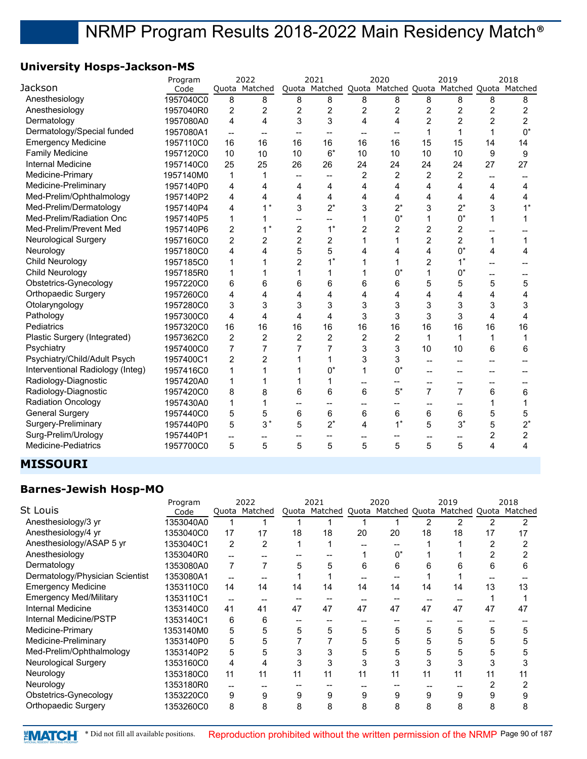## **University Hosps-Jackson-MS**

|                                  | Program   |                          | 2022           |                | 2021                                                    |                | 2020  |                | 2019  |    | 2018           |
|----------------------------------|-----------|--------------------------|----------------|----------------|---------------------------------------------------------|----------------|-------|----------------|-------|----|----------------|
| Jackson                          | Code      |                          | Quota Matched  |                | Quota Matched Quota Matched Quota Matched Quota Matched |                |       |                |       |    |                |
| Anesthesiology                   | 1957040C0 | 8                        | 8              | 8              | 8                                                       | 8              | 8     | 8              | 8     | 8  | 8              |
| Anesthesiology                   | 1957040R0 | 2                        | $\overline{c}$ | 2              | 2                                                       | 2              | 2     | 2              | 2     | 2  | 2              |
| Dermatology                      | 1957080A0 | 4                        | 4              | 3              | 3                                                       | 4              | 4     | $\overline{2}$ | 2     | 2  | $\overline{c}$ |
| Dermatology/Special funded       | 1957080A1 | $\overline{\phantom{a}}$ |                |                |                                                         |                |       | 1              | 1     | 1  | $0^*$          |
| <b>Emergency Medicine</b>        | 1957110C0 | 16                       | 16             | 16             | 16                                                      | 16             | 16    | 15             | 15    | 14 | 14             |
| <b>Family Medicine</b>           | 1957120C0 | 10                       | 10             | 10             | $6*$                                                    | 10             | 10    | 10             | 10    | 9  | 9              |
| <b>Internal Medicine</b>         | 1957140C0 | 25                       | 25             | 26             | 26                                                      | 24             | 24    | 24             | 24    | 27 | 27             |
| Medicine-Primary                 | 1957140M0 | 1                        | 1              |                |                                                         | $\overline{2}$ | 2     | 2              | 2     |    |                |
| Medicine-Preliminary             | 1957140P0 | 4                        | 4              | 4              | 4                                                       | 4              | 4     | 4              | 4     | 4  | 4              |
| Med-Prelim/Ophthalmology         | 1957140P2 | 4                        | 4              | 4              | 4                                                       | 4              | 4     | 4              | 4     | 4  | 4              |
| Med-Prelim/Dermatology           | 1957140P4 | 4                        | $\star$<br>1   | 3              | $2^*$                                                   | 3              | $2^*$ | 3              | $2^*$ | 3  | $1^*$          |
| Med-Prelim/Radiation Onc         | 1957140P5 | 1                        | 1              | --             | --                                                      | 1              | $0^*$ | 1              | $0^*$ | 1  | 1              |
| Med-Prelim/Prevent Med           | 1957140P6 | 2                        | $\star$<br>1   | $\overline{2}$ | $1^*$                                                   | $\overline{2}$ | 2     | $\overline{2}$ | 2     |    |                |
| Neurological Surgery             | 1957160C0 | 2                        | $\overline{2}$ | $\overline{2}$ | 2                                                       | 1              |       | $\overline{2}$ | 2     | 1  | 1              |
| Neurology                        | 1957180C0 | 4                        | 4              | 5              | 5                                                       | 4              | 4     | 4              | $0^*$ | 4  | 4              |
| Child Neurology                  | 1957185C0 |                          | 1              | 2              | $1^*$                                                   |                |       | $\overline{2}$ | $1^*$ |    |                |
| Child Neurology                  | 1957185R0 | 1                        |                | 1              | 1                                                       |                | $0^*$ | 1              | $0^*$ | -- |                |
| Obstetrics-Gynecology            | 1957220C0 | 6                        | 6              | 6              | 6                                                       | 6              | 6     | 5              | 5     | 5  | 5              |
| Orthopaedic Surgery              | 1957260C0 | 4                        | $\overline{4}$ | 4              | 4                                                       | 4              | 4     | 4              | 4     | 4  | 4              |
| Otolaryngology                   | 1957280C0 | 3                        | 3              | 3              | 3                                                       | 3              | 3     | 3              | 3     | 3  | 3              |
| Pathology                        | 1957300C0 | 4                        | 4              | 4              | 4                                                       | 3              | 3     | 3              | 3     | 4  | 4              |
| Pediatrics                       | 1957320C0 | 16                       | 16             | 16             | 16                                                      | 16             | 16    | 16             | 16    | 16 | 16             |
| Plastic Surgery (Integrated)     | 1957362C0 | 2                        | $\overline{c}$ | $\overline{c}$ | 2                                                       | 2              | 2     | 1              | 1     | 1  |                |
| Psychiatry                       | 1957400C0 | 7                        | $\overline{7}$ |                | 7                                                       | 3              | 3     | 10             | 10    | 6  | 6              |
| Psychiatry/Child/Adult Psych     | 1957400C1 | 2                        | $\overline{c}$ |                | 1                                                       | 3              | 3     |                |       |    |                |
| Interventional Radiology (Integ) | 1957416C0 |                          |                |                | $0^*$                                                   | 1              | $0^*$ | --             |       |    |                |
| Radiology-Diagnostic             | 1957420A0 |                          |                |                | 1                                                       |                |       |                | --    |    |                |
| Radiology-Diagnostic             | 1957420C0 | 8                        | 8              | 6              | 6                                                       | 6              | $5^*$ | $\overline{7}$ | 7     | 6  | 6              |
| <b>Radiation Oncology</b>        | 1957430A0 | 1                        | 1              |                |                                                         |                |       |                |       |    |                |
| <b>General Surgery</b>           | 1957440C0 | 5                        | 5              | 6              | 6                                                       | 6              | 6     | 6              | 6     | 5  | 5              |
| Surgery-Preliminary              | 1957440P0 | 5                        | $3*$           | 5              | $2^*$                                                   | 4              | $1^*$ | 5              | $3^*$ | 5  | $2^*$          |
| Surg-Prelim/Urology              | 1957440P1 | --                       |                |                |                                                         |                |       | --             | --    | 2  | $\overline{c}$ |
| Medicine-Pediatrics              | 1957700C0 | 5                        | 5              | 5              | 5                                                       | 5              | 5     | 5              | 5     | 4  | 4              |
|                                  |           |                          |                |                |                                                         |                |       |                |       |    |                |

## **MISSOURI**

#### **Barnes-Jewish Hosp-MO**

|                                 | Program   |       | 2022          |    | 2021          |     | 2020                |    | 2019          |    | 2018    |
|---------------------------------|-----------|-------|---------------|----|---------------|-----|---------------------|----|---------------|----|---------|
| St Louis                        | Code      |       | Quota Matched |    | Quota Matched |     | Quota Matched Quota |    | Matched Quota |    | Matched |
| Anesthesiology/3 yr             | 1353040A0 |       |               |    |               |     |                     | 2  | 2             | 2  |         |
| Anesthesiology/4 yr             | 1353040C0 | 17    | 17            | 18 | 18            | 20  | 20                  | 18 | 18            | 17 | 17      |
| Anesthesiology/ASAP 5 yr        | 1353040C1 | 2     | 2             |    |               |     |                     |    |               |    |         |
| Anesthesiology                  | 1353040R0 |       |               |    |               |     | 0*                  |    |               |    |         |
| Dermatology                     | 1353080A0 | 7     |               | 5  | 5             | 6   | 6                   | 6  | 6             | 6  | 6       |
| Dermatology/Physician Scientist | 1353080A1 |       |               |    |               |     |                     |    |               |    |         |
| <b>Emergency Medicine</b>       | 1353110C0 | 14    | 14            | 14 | 14            | 14  | 14                  | 14 | 14            | 13 | 13      |
| <b>Emergency Med/Military</b>   | 1353110C1 | $- -$ |               |    |               | $-$ |                     |    |               |    |         |
| <b>Internal Medicine</b>        | 1353140C0 | 41    | 41            | 47 | 47            | 47  | 47                  | 47 | 47            | 47 | 47      |
| Internal Medicine/PSTP          | 1353140C1 | 6     | 6             |    |               |     |                     |    |               |    |         |
| Medicine-Primary                | 1353140M0 | 5     | 5             | 5  | 5             | 5   | 5                   | 5  | 5             | 5  | 5       |
| Medicine-Preliminary            | 1353140P0 | 5     | 5             |    |               | 5   | 5                   | 5  | 5             |    |         |
| Med-Prelim/Ophthalmology        | 1353140P2 | 5     | 5             |    | 3             |     |                     | 5  | 5             | 5  | 5       |
| Neurological Surgery            | 1353160C0 | 4     | 4             | 3  | 3             | 3   |                     | 3  | 3             | 3  |         |
| Neurology                       | 1353180C0 | 11    | 11            | 11 | 11            | 11  | 11                  | 11 | 11            | 11 | 11      |
| Neurology                       | 1353180R0 | --    |               |    |               |     |                     |    |               |    |         |
| Obstetrics-Gynecology           | 1353220C0 | 9     | 9             | 9  | 9             | 9   | 9                   | 9  | 9             | 9  | 9       |
| Orthopaedic Surgery             | 1353260C0 | 8     | 8             | 8  | 8             | 8   | 8                   | 8  | 8             | 8  | 8       |
|                                 |           |       |               |    |               |     |                     |    |               |    |         |

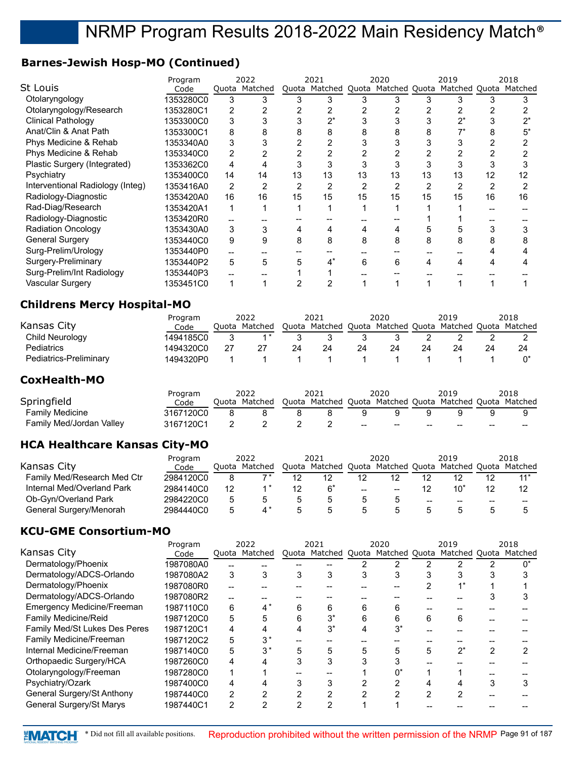## **Barnes-Jewish Hosp-MO (Continued)**

|                                  | Program   |                | 2022           |       | 2021           |    | 2020           |       | 2019                  |                | 2018 |
|----------------------------------|-----------|----------------|----------------|-------|----------------|----|----------------|-------|-----------------------|----------------|------|
| St Louis                         | Code      | Quota          | Matched        | Quota | Matched        |    | Quota Matched  | Quota | Matched Quota Matched |                |      |
| Otolaryngology                   | 1353280C0 | 3              | 3              |       | 3              | 3  | 3              | 3     |                       |                |      |
| Otolaryngology/Research          | 1353280C1 | 2              |                |       |                |    |                |       |                       |                |      |
| <b>Clinical Pathology</b>        | 1353300C0 | 3              |                |       | $2^*$          |    |                |       | ?                     |                | ∩∗   |
| Anat/Clin & Anat Path            | 1353300C1 | 8              | 8              | 8     | 8              | 8  | 8              | 8     |                       |                | 5*   |
| Phys Medicine & Rehab            | 1353340A0 | 3              | 3              |       | 2              |    |                | 3     |                       |                |      |
| Phys Medicine & Rehab            | 1353340C0 | 2              |                |       |                |    |                |       |                       |                |      |
| Plastic Surgery (Integrated)     | 1353362C0 | 4              |                |       | 3              |    |                | 3     |                       |                |      |
| Psychiatry                       | 1353400C0 | 14             | 14             | 13    | 13             | 13 | 13             | 13    | 13                    | 12             | 12   |
| Interventional Radiology (Integ) | 1353416A0 | $\overline{2}$ | $\overline{2}$ | 2     | $\overline{2}$ | 2  | $\overline{2}$ | 2     | $\overline{2}$        | $\overline{2}$ |      |
| Radiology-Diagnostic             | 1353420A0 | 16             | 16             | 15    | 15             | 15 | 15             | 15    | 15                    | 16             | 16   |
| Rad-Diag/Research                | 1353420A1 | 1              |                |       |                |    |                |       |                       |                |      |
| Radiology-Diagnostic             | 1353420R0 |                |                |       |                |    |                |       |                       |                |      |
| <b>Radiation Oncology</b>        | 1353430A0 | 3              |                | 4     | 4              |    | 4              | 5     |                       |                |      |
| <b>General Surgery</b>           | 1353440C0 | 9              | 9              | 8     | 8              | 8  | 8              | 8     | 8                     |                |      |
| Surg-Prelim/Urology              | 1353440P0 |                |                |       |                |    |                |       |                       |                |      |
| Surgery-Preliminary              | 1353440P2 | 5              | 5              |       | $4^*$          | 6  | 6              | 4     | 4                     |                |      |
| Surg-Prelim/Int Radiology        | 1353440P3 |                |                |       |                |    |                |       |                       |                |      |
| Vascular Surgery                 | 1353451C0 |                |                |       |                |    |                |       |                       |                |      |
|                                  |           |                |                |       |                |    |                |       |                       |                |      |

#### **Childrens Mercy Hospital-MO**

|                        | Program   |       | 2022    |    | 2021                              |    | 2020 |    | 2019                  |    | 2018 |
|------------------------|-----------|-------|---------|----|-----------------------------------|----|------|----|-----------------------|----|------|
| Kansas City            | Code      | Ouota | Matched |    | Quota Matched Quota Matched Quota |    |      |    | Matched Quota Matched |    |      |
| Child Neurology        | 1494185C0 |       |         |    |                                   |    |      |    |                       |    |      |
| Pediatrics             | 1494320C0 |       |         | 24 | 24                                | 24 | 24   | 24 |                       | 24 | 24   |
| Pediatrics-Preliminary | 1494320P0 |       |         |    |                                   |    |      |    |                       |    |      |

#### **CoxHealth-MO**

|                          | Program   | 2022          | 2021                                                    | 2020                                           |     | 2019 |    | 2018  |
|--------------------------|-----------|---------------|---------------------------------------------------------|------------------------------------------------|-----|------|----|-------|
| Springfield              | Code      | Ouota Matched | Quota Matched Quota Matched Quota Matched Quota Matched |                                                |     |      |    |       |
| Family Medicine          | 3167120C0 |               |                                                         |                                                |     |      |    |       |
| Family Med/Jordan Valley | 3167120C1 |               |                                                         | $\hspace{0.1mm}-\hspace{0.1mm}-\hspace{0.1mm}$ | $-$ |      | -- | $- -$ |

#### **HCA Healthcare Kansas City-MO**

|                             | Program   | 2022 |               | 2021 |                     | 2020 |               |    | 2019          |    | 2018    |
|-----------------------------|-----------|------|---------------|------|---------------------|------|---------------|----|---------------|----|---------|
| Kansas City                 | Code      |      | Ouota Matched |      | Quota Matched Quota |      | Matched Quota |    | Matched Quota |    | Matched |
| Family Med/Research Med Ctr | 2984120C0 |      |               |      | 12                  |      |               |    |               |    |         |
| Internal Med/Overland Park  | 2984140C0 | 12   |               |      |                     | --   | $- -$         |    |               |    |         |
| Ob-Gyn/Overland Park        | 2984220C0 | 5    |               |      |                     |      |               | -- | --            | -- |         |
| General Surgery/Menorah     | 2984440C0 | 5    |               |      |                     |      |               |    |               |    |         |

## **KCU-GME Consortium-MO**

|                                | Program   |   | 2022          |   | 2021          |   | 2020                |   | 2019                  | 2018 |
|--------------------------------|-----------|---|---------------|---|---------------|---|---------------------|---|-----------------------|------|
| Kansas City                    | Code      |   | Quota Matched |   | Quota Matched |   | Quota Matched Quota |   | Matched Quota Matched |      |
| Dermatology/Phoenix            | 1987080A0 |   |               |   |               |   |                     |   |                       |      |
| Dermatology/ADCS-Orlando       | 1987080A2 | 3 |               | 3 | 3             |   |                     |   |                       |      |
| Dermatology/Phoenix            | 1987080R0 |   |               |   |               |   |                     |   |                       |      |
| Dermatology/ADCS-Orlando       | 1987080R2 |   |               |   |               |   |                     |   |                       |      |
| Emergency Medicine/Freeman     | 1987110C0 | 6 |               | 6 | 6             | 6 |                     |   |                       |      |
| Family Medicine/Reid           | 1987120C0 | 5 | 5             | 6 | $3^*$         | 6 | 6                   | 6 | 6                     |      |
| Family Med/St Lukes Des Peres  | 1987120C1 | 4 |               |   | $3^*$         |   | $3^*$               |   |                       |      |
| <b>Family Medicine/Freeman</b> | 1987120C2 | 5 | י ר           |   |               |   |                     |   |                       |      |
| Internal Medicine/Freeman      | 1987140C0 | 5 | $3^*$         |   | 5             |   |                     | 5 | $2^*$                 |      |
| Orthopaedic Surgery/HCA        | 1987260C0 | 4 |               |   | 3             |   |                     |   |                       |      |
| Otolaryngology/Freeman         | 1987280C0 |   |               |   |               |   |                     |   |                       |      |
| Psychiatry/Ozark               | 1987400C0 | 4 |               |   |               |   |                     |   |                       |      |
| General Surgery/St Anthony     | 1987440C0 | 2 |               |   |               |   |                     |   | ⌒                     |      |
| General Surgery/St Marys       | 1987440C1 | 2 |               |   |               |   |                     |   |                       |      |
|                                |           |   |               |   |               |   |                     |   |                       |      |

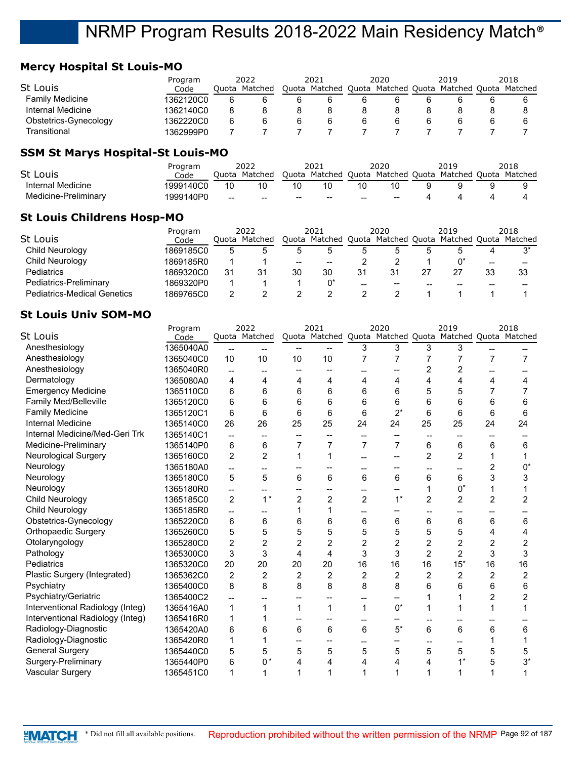## **Mercy Hospital St Louis-MO**

|                        | Program   | 2022  |         | 2021  |         | 2020 |                     | 2019          | 2018    |
|------------------------|-----------|-------|---------|-------|---------|------|---------------------|---------------|---------|
| St Louis               | Code      | Ouota | Matched | Ouota | Matched |      | Quota Matched Quota | Matched Quota | Matched |
| <b>Family Medicine</b> | 1362120C0 | 6     |         | b     |         |      |                     |               |         |
| Internal Medicine      | 1362140C0 |       |         |       |         |      |                     |               |         |
| Obstetrics-Gynecology  | 1362220C0 | 6     |         | h     |         |      |                     |               |         |
| Transitional           | 1362999P0 |       |         |       |         |      |                     |               |         |

#### **SSM St Marys Hospital-St Louis-MO**

|                      | Program   |       | 2022          |       | 2021                                                    |     | 2020 | 2019 | 2018 |
|----------------------|-----------|-------|---------------|-------|---------------------------------------------------------|-----|------|------|------|
| St Louis             | Code      |       | Ouota Matched |       | Quota Matched Quota Matched Quota Matched Quota Matched |     |      |      |      |
| Internal Medicine    | 1999140C0 | 10    |               | 10    |                                                         | 10  |      |      |      |
| Medicine-Preliminary | 1999140P0 | $- -$ | --            | $- -$ | $- -$                                                   | $-$ | --   |      |      |

#### **St Louis Childrens Hosp-MO**

| St Louis                           | Program<br>Code |    | 2022<br>Ouota Matched |       | 2021 |    | 2020<br>Quota Matched Quota Matched Quota Matched Quota Matched | 2019 |    | 2018 |
|------------------------------------|-----------------|----|-----------------------|-------|------|----|-----------------------------------------------------------------|------|----|------|
| Child Neurology                    | 1869185C0       | 5  |                       |       |      | 5  |                                                                 |      |    | י ∂  |
| Child Neurology                    | 1869185R0       |    |                       | $- -$ | --   |    |                                                                 |      | -- |      |
| <b>Pediatrics</b>                  | 1869320C0       | 31 |                       | 30    | 30   | 31 | 31                                                              |      | 33 | 33   |
| Pediatrics-Preliminary             | 1869320P0       |    |                       |       |      | -- | --                                                              |      |    |      |
| <b>Pediatrics-Medical Genetics</b> | 1869765C0       |    |                       |       |      |    |                                                                 |      |    |      |

#### **St Louis Univ SOM-MO**

|                                  | Program   |                | 2022           |                | 2021                                                    |                | 2020           |                | 2019           |                | 2018           |
|----------------------------------|-----------|----------------|----------------|----------------|---------------------------------------------------------|----------------|----------------|----------------|----------------|----------------|----------------|
| <b>St Louis</b>                  | Code      |                | Quota Matched  |                | Quota Matched Quota Matched Quota Matched Quota Matched |                |                |                |                |                |                |
| Anesthesiology                   | 1365040A0 | --             | --             |                |                                                         | 3              | 3              | 3              | 3              |                |                |
| Anesthesiology                   | 1365040C0 | 10             | 10             | 10             | 10                                                      | 7              | 7              | 7              | 7              | 7              | 7              |
| Anesthesiology                   | 1365040R0 | --             |                |                |                                                         |                |                | 2              | 2              |                |                |
| Dermatology                      | 1365080A0 | 4              | 4              | 4              | 4                                                       | 4              | 4              | 4              | 4              | 4              | 4              |
| <b>Emergency Medicine</b>        | 1365110C0 | 6              | 6              | 6              | 6                                                       | 6              | 6              | 5              | 5              |                |                |
| Family Med/Belleville            | 1365120C0 | 6              | 6              | 6              | 6                                                       | 6              | 6              | 6              | 6              | 6              | 6              |
| <b>Family Medicine</b>           | 1365120C1 | 6              | 6              | 6              | 6                                                       | 6              | $2^*$          | 6              | 6              | 6              | 6              |
| <b>Internal Medicine</b>         | 1365140C0 | 26             | 26             | 25             | 25                                                      | 24             | 24             | 25             | 25             | 24             | 24             |
| Internal Medicine/Med-Geri Trk   | 1365140C1 | $\overline{a}$ |                |                |                                                         |                | --             |                |                |                |                |
| Medicine-Preliminary             | 1365140P0 | 6              | 6              | 7              | 7                                                       | $\overline{7}$ | 7              | 6              | 6              | 6              | 6              |
| Neurological Surgery             | 1365160C0 | $\overline{c}$ | $\overline{c}$ | 1              | 1                                                       |                |                | $\overline{2}$ | 2              |                |                |
| Neurology                        | 1365180A0 | --             | --             |                |                                                         |                |                | --             |                | 2              | $0^*$          |
| Neurology                        | 1365180C0 | 5              | 5              | 6              | 6                                                       | 6              | 6              | 6              | 6              | 3              | 3              |
| Neurology                        | 1365180R0 | --             |                |                |                                                         |                |                | 1              | $0^*$          |                |                |
| Child Neurology                  | 1365185C0 | $\overline{c}$ | $1^*$          | $\overline{2}$ | $\overline{2}$                                          | $\overline{2}$ | $1^*$          | $\overline{2}$ | $\overline{2}$ | $\overline{2}$ | $\overline{2}$ |
| <b>Child Neurology</b>           | 1365185R0 | --             |                | 1              | 1                                                       |                |                |                |                |                |                |
| Obstetrics-Gynecology            | 1365220C0 | 6              | 6              | 6              | 6                                                       | 6              | 6              | 6              | 6              | 6              | 6              |
| Orthopaedic Surgery              | 1365260C0 | 5              | 5              | 5              | 5                                                       | 5              | 5              | 5              | 5              | 4              | 4              |
| Otolaryngology                   | 1365280C0 | 2              | $\overline{2}$ | $\overline{2}$ | $\overline{c}$                                          | $\overline{2}$ | $\overline{c}$ | $\overline{c}$ | 2              | $\overline{c}$ | 2              |
| Pathology                        | 1365300C0 | 3              | 3              | 4              | 4                                                       | 3              | 3              | $\overline{2}$ | $\overline{c}$ | 3              | 3              |
| Pediatrics                       | 1365320C0 | 20             | 20             | 20             | 20                                                      | 16             | 16             | 16             | $15*$          | 16             | 16             |
| Plastic Surgery (Integrated)     | 1365362C0 | $\overline{c}$ | $\overline{2}$ | $\overline{2}$ | $\overline{c}$                                          | $\overline{2}$ | 2              | $\overline{2}$ | 2              | $\overline{2}$ | $\overline{2}$ |
| Psychiatry                       | 1365400C0 | 8              | 8              | 8              | 8                                                       | 8              | 8              | 6              | 6              | 6              | 6              |
| Psychiatry/Geriatric             | 1365400C2 |                |                |                |                                                         |                |                |                |                | 2              | 2              |
| Interventional Radiology (Integ) | 1365416A0 | 1              | 1              | 1              | 1                                                       | 1              | $0^*$          |                | 1              |                |                |
| Interventional Radiology (Integ) | 1365416R0 | 1              |                | --             |                                                         | --             |                | --             |                |                |                |
| Radiology-Diagnostic             | 1365420A0 | 6              | 6              | 6              | 6                                                       | 6              | $5^{\star}$    | 6              | 6              | 6              | 6              |
| Radiology-Diagnostic             | 1365420R0 | 1              | 1              |                |                                                         |                |                |                |                |                |                |
| <b>General Surgery</b>           | 1365440C0 | 5              | $\sqrt{5}$     | 5              | 5                                                       | 5              | 5              | 5              | 5              | 5              | 5              |
| Surgery-Preliminary              | 1365440P0 | 6              | $0*$           | 4              | 4                                                       | 4              | 4              | 4              | $1^*$          | 5              | $3^*$          |
| Vascular Surgery                 | 1365451C0 | 1              |                |                | 1                                                       |                |                | 1              | 1              |                |                |
|                                  |           |                |                |                |                                                         |                |                |                |                |                |                |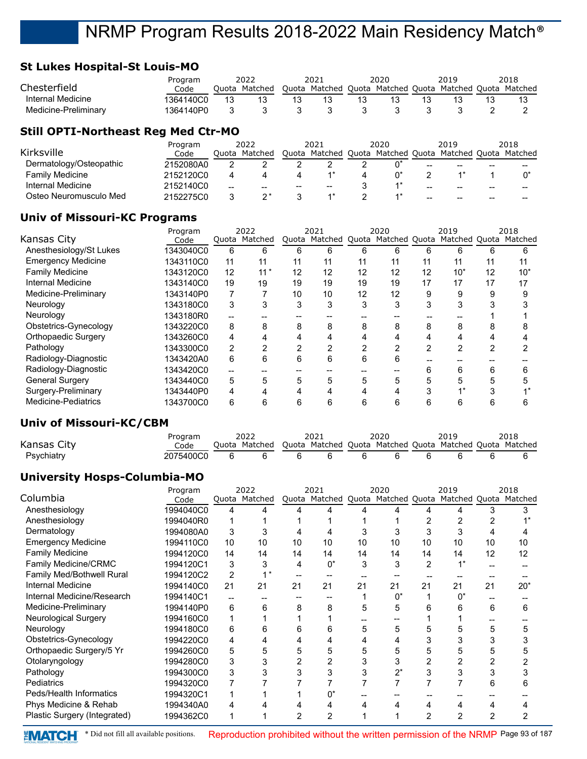#### **St Lukes Hospital-St Louis-MO**

|                      | Program   |       | 2022    | 2021                                                    | 2020 | 2019 | 2018 |
|----------------------|-----------|-------|---------|---------------------------------------------------------|------|------|------|
| Chesterfield         | Code      | Ouota | Matched | Quota Matched Quota Matched Quota Matched Quota Matched |      |      |      |
| Internal Medicine    | 1364140C0 |       |         |                                                         |      |      |      |
| Medicine-Preliminary | '364140P0 |       |         |                                                         |      |      |      |

## **Still OPTI-Northeast Reg Med Ctr-MO**

|                         | Program   |       | 2022    |                                                   | 2021                              | 2020 |    | 2019                                              |    | 2018 |
|-------------------------|-----------|-------|---------|---------------------------------------------------|-----------------------------------|------|----|---------------------------------------------------|----|------|
| Kirksville              | Code      | Ouota | Matched |                                                   | Quota Matched Quota Matched Quota |      |    | Matched Quota Matched                             |    |      |
| Dermatology/Osteopathic | 2152080A0 |       |         |                                                   |                                   |      | -- | $\hspace{0.05cm}-\hspace{0.05cm}-\hspace{0.05cm}$ | -- |      |
| <b>Family Medicine</b>  | 2152120C0 |       |         |                                                   |                                   |      |    |                                                   |    |      |
| Internal Medicine       | 2152140C0 | --    | --      | $\hspace{0.05cm}-\hspace{0.05cm}-\hspace{0.05cm}$ | $- -$                             |      | -- | --                                                | -- |      |
| Osteo Neuromusculo Med  | 2152275C0 |       |         |                                                   |                                   |      | -- | --                                                | -- |      |

## **Univ of Missouri-KC Programs**

|                            | Program   |    | 2022          |    | 2021                                                    |    | 2020 |    | 2019  |    | 2018  |
|----------------------------|-----------|----|---------------|----|---------------------------------------------------------|----|------|----|-------|----|-------|
| Kansas City                | Code      |    | Quota Matched |    | Quota Matched Quota Matched Quota Matched Quota Matched |    |      |    |       |    |       |
| Anesthesiology/St Lukes    | 1343040C0 | 6  | 6             | 6  | 6                                                       | 6  | 6    | 6  | 6     | 6  | 6     |
| <b>Emergency Medicine</b>  | 1343110C0 | 11 | 11            | 11 | 11                                                      | 11 | 11   | 11 | 11    | 11 | 11    |
| <b>Family Medicine</b>     | 1343120C0 | 12 | $11*$         | 12 | 12                                                      | 12 | 12   | 12 | $10*$ | 12 | $10*$ |
| Internal Medicine          | 1343140C0 | 19 | 19            | 19 | 19                                                      | 19 | 19   | 17 | 17    | 17 | 17    |
| Medicine-Preliminary       | 1343140P0 |    |               | 10 | 10                                                      | 12 | 12   | 9  | 9     | 9  |       |
| Neurology                  | 1343180C0 | 3  | 3             | 3  | 3                                                       | 3  | 3    | 3  | 3     |    |       |
| Neurology                  | 1343180R0 | -- |               |    |                                                         |    |      |    |       |    |       |
| Obstetrics-Gynecology      | 1343220C0 | 8  | 8             | 8  | 8                                                       | 8  | 8    | 8  | 8     |    |       |
| <b>Orthopaedic Surgery</b> | 1343260C0 | 4  | 4             |    | 4                                                       |    | 4    | 4  |       |    |       |
| Pathology                  | 1343300C0 | 2  |               |    | 2                                                       | 2  | っ    | 2  | 2     | 2  |       |
| Radiology-Diagnostic       | 1343420A0 | 6  | 6             | 6  | 6                                                       | 6  | 6    |    |       |    |       |
| Radiology-Diagnostic       | 1343420C0 |    |               |    |                                                         |    |      | 6  | 6     | հ  | 6     |
| <b>General Surgery</b>     | 1343440C0 | 5  | 5             | 5  | 5                                                       | 5  | 5    | 5  | 5     |    |       |
| Surgery-Preliminary        | 1343440P0 | 4  | 4             | 4  | 4                                                       |    | 4    |    |       |    |       |
| Medicine-Pediatrics        | 1343700C0 | 6  | 6             | 6  | 6                                                       | 6  | 6    | h  | 6     | 6  |       |

## **Univ of Missouri-KC/CBM**

|             | Proaram   |       |         | 2021 | 2020 | 2019                                                    | 2018 |
|-------------|-----------|-------|---------|------|------|---------------------------------------------------------|------|
| Kansas City | Code      | Juota | Matched |      |      | Ouota Matched Ouota Matched Ouota Matched Ouota Matched |      |
| Psychiatry  | 2075400C0 |       |         |      |      |                                                         |      |

## **University Hosps-Columbia-MO**

|                                | Program   |    | 2022          |    | 2021                                                    |    | 2020  |    | 2019  |    | 2018  |
|--------------------------------|-----------|----|---------------|----|---------------------------------------------------------|----|-------|----|-------|----|-------|
| Columbia                       | Code      |    | Quota Matched |    | Quota Matched Quota Matched Quota Matched Quota Matched |    |       |    |       |    |       |
| Anesthesiology                 | 1994040C0 | 4  |               |    |                                                         |    |       |    |       |    |       |
| Anesthesiology                 | 1994040R0 |    |               |    |                                                         |    |       |    |       |    |       |
| Dermatology                    | 1994080A0 | 3  |               |    |                                                         |    |       | 3  |       |    |       |
| <b>Emergency Medicine</b>      | 1994110C0 | 10 | 10            | 10 | 10                                                      | 10 | 10    | 10 | 10    | 10 | 10    |
| <b>Family Medicine</b>         | 1994120C0 | 14 | 14            | 14 | 14                                                      | 14 | 14    | 14 | 14    | 12 | 12    |
| <b>Family Medicine/CRMC</b>    | 1994120C1 | 3  | 3             | 4  | $0^*$                                                   | 3  | 3     | 2  | $1^*$ |    |       |
| Family Med/Bothwell Rural      | 1994120C2 | 2  |               |    |                                                         |    |       |    |       |    |       |
| Internal Medicine              | 1994140C0 | 21 | 21            | 21 | 21                                                      | 21 | 21    | 21 | 21    | 21 | $20*$ |
| Internal Medicine/Research     | 1994140C1 | -- |               |    |                                                         |    | $0^*$ |    | 0*    |    |       |
| Medicine-Preliminary           | 1994140P0 | 6  | 6             | 8  | 8                                                       | 5  | 5     | հ  | 6     | 6  | 6     |
| Neurological Surgery           | 1994160C0 |    |               |    |                                                         |    |       |    |       |    |       |
| Neurology                      | 1994180C0 | 6  | 6             | հ  | 6                                                       |    | 5     | 5  |       |    | 5     |
| Obstetrics-Gynecology          | 1994220C0 | 4  |               |    |                                                         |    |       | 3  |       |    |       |
| Orthopaedic Surgery/5 Yr       | 1994260C0 | 5  | 5             | 5  | 5                                                       | 5  | 5     | 5  | 5     |    | 5     |
| Otolaryngology                 | 1994280C0 | 3  |               |    |                                                         |    | 3     |    |       |    |       |
| Pathology                      | 1994300C0 | 3  |               |    | 3                                                       |    | $2^*$ | 3  |       |    |       |
| <b>Pediatrics</b>              | 1994320C0 |    |               |    |                                                         |    |       |    |       | 6  | 6     |
| <b>Peds/Health Informatics</b> | 1994320C1 |    |               |    | $0^*$                                                   |    |       |    |       |    |       |
| Phys Medicine & Rehab          | 1994340A0 | 4  |               |    | 4                                                       |    | 4     | 4  | 4     |    |       |
| Plastic Surgery (Integrated)   | 1994362C0 |    |               |    | 2                                                       |    |       | 2  | 2     | 2  |       |

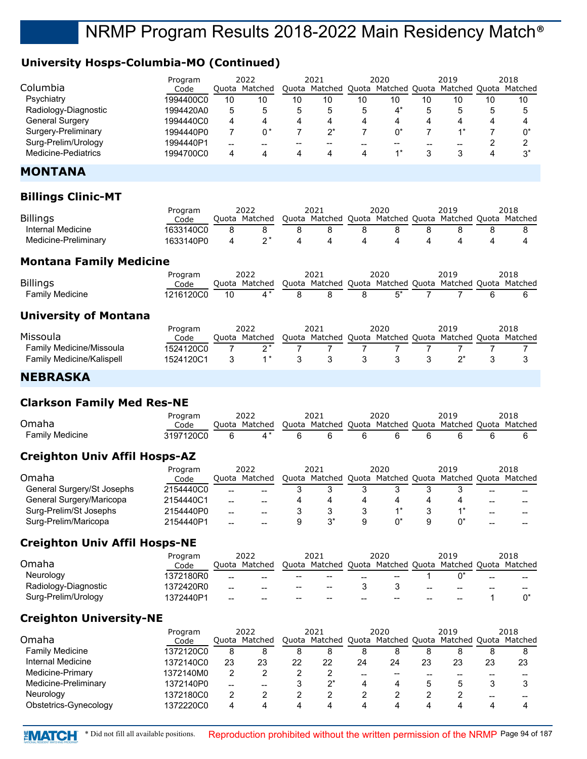## **University Hosps-Columbia-MO (Continued)**

|                        | Program   |       | 2022    |    | 2021                              |    | 2020                                              |    | 2019                  |    | 2018 |
|------------------------|-----------|-------|---------|----|-----------------------------------|----|---------------------------------------------------|----|-----------------------|----|------|
| Columbia               | Code      | Ouota | Matched |    | Quota Matched Quota Matched Quota |    |                                                   |    | Matched Quota Matched |    |      |
| Psychiatry             | 1994400C0 | 10    | 10      | 10 | 10                                | 10 | 10                                                | 10 | 10                    | 10 | 10   |
| Radiology-Diagnostic   | 1994420A0 | 5     |         |    |                                   |    | $\mathbf{\Lambda}^*$                              |    |                       | 5  |      |
| <b>General Surgery</b> | 1994440C0 | 4     |         | 4  |                                   |    |                                                   |    |                       | 4  |      |
| Surgery-Preliminary    | 1994440P0 |       | ∩*      |    |                                   |    |                                                   |    |                       |    | n*   |
| Surg-Prelim/Urology    | 1994440P1 | --    |         |    |                                   |    | $\hspace{0.05cm}-\hspace{0.05cm}-\hspace{0.05cm}$ |    | --                    |    |      |
| Medicine-Pediatrics    | 1994700C0 | 4     |         |    |                                   |    |                                                   |    |                       |    | n*   |

#### **MONTANA**

#### **Billings Clinic-MT**

|                      | Program   | 2022          | 2021                                                    | 2020 | 2019 | 2018 |
|----------------------|-----------|---------------|---------------------------------------------------------|------|------|------|
| <b>Billings</b>      | Code      | Ouota Matched | Quota Matched Quota Matched Quota Matched Quota Matched |      |      |      |
| Internal Medicine    | 1633140C0 |               |                                                         |      |      |      |
| Medicine-Preliminary | 1633140P0 |               |                                                         |      |      |      |

#### **Montana Family Medicine**

|                 | Program   |    | 2022                                                                  |              | 2021 |     | 2020  | 2019 | 2018 |
|-----------------|-----------|----|-----------------------------------------------------------------------|--------------|------|-----|-------|------|------|
| <b>Billings</b> | Code      |    | Quota Matched Quota Matched Quota Matched Quota Matched Quota Matched |              |      |     |       |      |      |
| Family Medicine | 1216120C0 | 10 | 4 *                                                                   | $\mathsf{R}$ |      | - 8 | $5^*$ |      |      |
|                 |           |    |                                                                       |              |      |     |       |      |      |

#### **University of Montana**

|                                  | Program   | 2022 |               | 2021 |                                                         | 2020 |  | 2019 |  | 2018 |
|----------------------------------|-----------|------|---------------|------|---------------------------------------------------------|------|--|------|--|------|
| Missoula                         | Code      |      | Quota Matched |      | Quota Matched Quota Matched Quota Matched Quota Matched |      |  |      |  |      |
| <b>Family Medicine/Missoula</b>  | 1524120C0 |      |               |      |                                                         |      |  |      |  |      |
| <b>Family Medicine/Kalispell</b> | 1524120C1 |      |               |      | $1^*$ 3 3 3 3                                           |      |  |      |  |      |

#### **NEBRASKA**

#### **Clarkson Family Med Res-NE**

|                 | Program   | 2022          | 2021 | 2020 | 2019                                                    | 2018 |
|-----------------|-----------|---------------|------|------|---------------------------------------------------------|------|
| Omaha           | Code      | Ouota Matched |      |      | Ouota Matched Ouota Matched Ouota Matched Ouota Matched |      |
| Family Medicine | 3197120C0 |               |      |      |                                                         |      |

#### **Creighton Univ Affil Hosps-AZ**

|                            | Program   | 2022  |         | 2021  |         | 2020  |               | 2019          |       | 2018    |
|----------------------------|-----------|-------|---------|-------|---------|-------|---------------|---------------|-------|---------|
| Omaha                      | Code      | Ouota | Matched | Ouota | Matched | Quota | Matched Quota | Matched Quota |       | Matched |
| General Surgery/St Josephs | 2154440C0 | $- -$ | --      |       |         |       |               |               | $- -$ |         |
| General Surgery/Maricopa   | 2154440C1 | $- -$ | --      |       |         |       |               |               | $- -$ |         |
| Surg-Prelim/St Josephs     | 2154440P0 | $-$   | --      |       |         |       |               |               | --    | $- -$   |
| Surg-Prelim/Maricopa       | 2154440P1 | $- -$ | --      |       |         |       |               |               | --    | $- -$   |

#### **Creighton Univ Affil Hosps-NE**

|                      | Program   |       | 2022    |       | 2021                                           |       | 2020          |    | 2019                  |    | 2018  |
|----------------------|-----------|-------|---------|-------|------------------------------------------------|-------|---------------|----|-----------------------|----|-------|
| Omaha                | Code      | Ouota | Matched | Ouota | Matched                                        | Quota | Matched Quota |    | Matched Quota Matched |    |       |
| Neurology            | 1372180R0 | $- -$ | $- -$   | $- -$ | $- -$                                          | $- -$ | --            |    |                       | -- | $- -$ |
| Radiology-Diagnostic | 1372420R0 | $- -$ | $- -$   | $- -$ | $\hspace{0.1mm}-\hspace{0.1mm}-\hspace{0.1mm}$ |       |               | -- | $- -$                 | -- | $- -$ |
| Surg-Prelim/Urology  | 1372440P1 | $- -$ | $- -$   | $- -$ | $- -$                                          | --    | --            | -- | $- -$                 |    |       |

#### **Creighton University-NE**

|                        | Program   | 2022 |               | 2021 |                                                         | 2020 |       | 2019 |    |    | 2018 |
|------------------------|-----------|------|---------------|------|---------------------------------------------------------|------|-------|------|----|----|------|
| Omaha                  | Code      |      | Ouota Matched |      | Quota Matched Quota Matched Quota Matched Quota Matched |      |       |      |    |    |      |
| <b>Family Medicine</b> | 1372120C0 | 8    |               | 8    |                                                         | 8    |       |      |    |    |      |
| Internal Medicine      | 1372140C0 | 23   | 23            | 22   | 22                                                      | 24   | 24    | 23   | 23 | 23 | 23   |
| Medicine-Primary       | 1372140M0 | 2    |               |      |                                                         | --   | $- -$ |      |    |    |      |
| Medicine-Preliminary   | 1372140P0 | $-$  |               |      | ′^                                                      |      | 4     |      |    |    |      |
| Neurology              | 1372180C0 |      |               |      |                                                         |      |       |      |    | -- |      |
| Obstetrics-Gynecology  | 1372220C0 | 4    |               | 4    |                                                         |      | 4     |      |    | 4  |      |

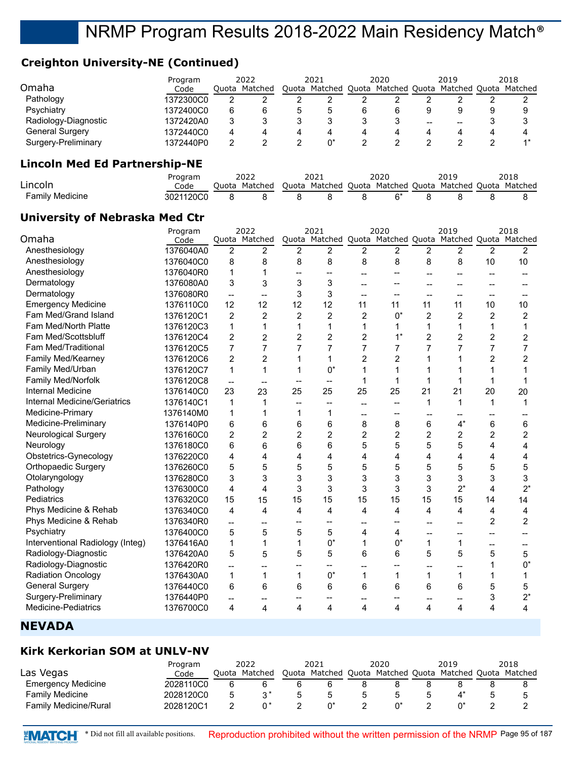## **Creighton University-NE (Continued)**

|                                       | Program   |                          | 2022                     |                                     | 2021                                                            |                          | 2020                     |                      | 2019                     |                          | 2018                     |
|---------------------------------------|-----------|--------------------------|--------------------------|-------------------------------------|-----------------------------------------------------------------|--------------------------|--------------------------|----------------------|--------------------------|--------------------------|--------------------------|
| Omaha                                 | Code      |                          | Quota Matched            |                                     | Quota Matched Quota Matched Quota Matched Quota Matched         |                          |                          |                      |                          |                          |                          |
| Pathology                             | 1372300C0 | $\overline{2}$           | $\overline{c}$           | $\overline{2}$                      | $\overline{c}$                                                  | 2                        | $\overline{c}$           | $\overline{2}$       | 2                        | $\overline{2}$           | 2                        |
| Psychiatry                            | 1372400C0 | 6                        | 6                        | 5                                   | 5                                                               | 6                        | 6                        | 9                    | 9                        | 9                        | 9                        |
| Radiology-Diagnostic                  | 1372420A0 | 3                        | 3                        | 3                                   | 3                                                               | 3                        | 3                        | --                   | --                       | 3                        | 3                        |
| <b>General Surgery</b>                | 1372440C0 | 4                        | 4                        | 4                                   | 4                                                               | 4                        | 4                        | 4                    | 4                        | 4                        | 4                        |
| Surgery-Preliminary                   | 1372440P0 | 2                        | $\overline{c}$           | $\overline{c}$                      | $0^*$                                                           | $\overline{2}$           | $\overline{c}$           | $\overline{2}$       | $\overline{2}$           | $\overline{c}$           | $1^*$                    |
|                                       |           |                          |                          |                                     |                                                                 |                          |                          |                      |                          |                          |                          |
| <b>Lincoln Med Ed Partnership-NE</b>  |           |                          |                          |                                     |                                                                 |                          |                          |                      |                          |                          |                          |
| Lincoln                               | Program   |                          | 2022<br>Quota Matched    |                                     | 2021<br>Quota Matched Quota Matched Quota Matched Quota Matched |                          | 2020                     |                      | 2019                     |                          | 2018                     |
| <b>Family Medicine</b>                | Code      | 8                        | 8                        | 8                                   | 8                                                               | 8                        | $6*$                     | 8                    | 8                        | 8                        | 8                        |
|                                       | 3021120C0 |                          |                          |                                     |                                                                 |                          |                          |                      |                          |                          |                          |
| <b>University of Nebraska Med Ctr</b> |           |                          |                          |                                     |                                                                 |                          |                          |                      |                          |                          |                          |
|                                       | Program   |                          | 2022                     |                                     | 2021                                                            |                          | 2020                     |                      | 2019                     |                          | 2018                     |
| Omaha                                 | Code      |                          | Quota Matched            |                                     | Quota Matched Quota Matched Quota Matched Quota Matched         |                          |                          |                      |                          |                          |                          |
| Anesthesiology                        | 1376040A0 | $\overline{2}$           | $\overline{2}$           | 2                                   | $\overline{c}$                                                  | 2                        | $\overline{2}$           | $\overline{2}$       | $\overline{2}$           | $\overline{2}$           | $\overline{2}$           |
| Anesthesiology                        | 1376040C0 | 8                        | 8                        | 8                                   | 8                                                               | 8                        | 8                        | 8                    | 8                        | 10                       | 10                       |
| Anesthesiology                        | 1376040R0 | 1                        | 1                        | $\hspace{0.05cm}$ $\hspace{0.05cm}$ |                                                                 | $-$                      | --                       | $\overline{a}$       | $\overline{\phantom{0}}$ | --                       |                          |
| Dermatology                           | 1376080A0 | 3                        | 3                        | 3                                   | 3                                                               |                          | --                       | --                   |                          |                          |                          |
| Dermatology                           | 1376080R0 | $\overline{\phantom{a}}$ | $\overline{\phantom{a}}$ | 3                                   | 3                                                               | $\overline{a}$           | --                       | $\overline{a}$       | $\overline{\phantom{0}}$ | $\qquad \qquad \cdots$   | --                       |
| <b>Emergency Medicine</b>             | 1376110C0 | 12                       | 12                       | 12                                  | 12                                                              | 11                       | 11                       | 11                   | 11                       | 10                       | 10                       |
| Fam Med/Grand Island                  | 1376120C1 | $\overline{2}$           | 2                        | 2                                   | $\overline{2}$                                                  | $\overline{2}$           | $0^*$                    | $\overline{2}$       | $\overline{2}$           | $\overline{c}$           | 2                        |
| Fam Med/North Platte                  | 1376120C3 | 1                        | 1                        | 1                                   | 1                                                               | 1                        | 1                        | 1                    | 1                        | 1                        | 1                        |
| Fam Med/Scottsbluff                   | 1376120C4 | $\overline{c}$           | $\overline{\mathbf{c}}$  | 2                                   | $\overline{c}$                                                  | $\overline{c}$           | $1^*$                    | $\overline{c}$       | 2                        | $\overline{\mathbf{c}}$  | $\overline{\mathbf{c}}$  |
| Fam Med/Traditional                   | 1376120C5 | 7                        | 7                        | 7                                   | $\overline{7}$                                                  | $\overline{7}$           | 7                        | 7                    | 7                        | 7                        | $\overline{7}$           |
| Family Med/Kearney                    | 1376120C6 | $\overline{c}$           | $\overline{c}$           | 1                                   | 1                                                               | $\overline{c}$           | 2                        | 1                    | 1                        | $\overline{c}$           | $\overline{c}$           |
| Family Med/Urban                      | 1376120C7 | 1                        | $\mathbf{1}$             | 1                                   | $0^*$                                                           | $\mathbf 1$              | 1                        | 1                    | 1                        | $\mathbf{1}$             | 1                        |
| Family Med/Norfolk                    | 1376120C8 | $\overline{\phantom{a}}$ | $\overline{\phantom{a}}$ | $\overline{\phantom{a}}$            | $-$                                                             | 1                        | 1                        | 1                    | 1                        | 1                        | 1                        |
| Internal Medicine                     | 1376140C0 | 23                       | 23                       | 25                                  | 25                                                              | 25                       | 25                       | 21                   | 21                       | 20                       | 20                       |
| Internal Medicine/Geriatrics          | 1376140C1 | 1                        | 1                        | $-\!$                               | --                                                              | $\overline{\phantom{a}}$ | $\overline{\phantom{a}}$ | 1                    | 1                        | 1                        | 1                        |
| Medicine-Primary                      | 1376140M0 | 1                        | 1                        | 1                                   | $\mathbf 1$                                                     | $\overline{\phantom{a}}$ | --                       | --                   | --                       | $\overline{\phantom{a}}$ | $\overline{\phantom{a}}$ |
| Medicine-Preliminary                  | 1376140P0 | 6                        | 6                        | 6                                   | 6                                                               | 8                        | 8                        | 6                    | $4^*$                    | 6                        | 6                        |
| <b>Neurological Surgery</b>           | 1376160C0 | $\overline{c}$           | $\overline{2}$           | 2                                   | $\overline{c}$                                                  | $\overline{c}$           | $\boldsymbol{2}$         | $\overline{c}$       | $\overline{c}$           | $\overline{c}$           | $\overline{c}$           |
| Neurology                             | 1376180C0 | 6                        | 6                        | 6                                   | 6                                                               | 5                        | 5                        | 5                    | 5                        | 4                        | 4                        |
| Obstetrics-Gynecology                 | 1376220C0 | 4                        | 4                        | 4                                   | 4                                                               | 4                        | 4                        | 4                    | 4                        | 4                        | 4                        |
| Orthopaedic Surgery                   | 1376260C0 | 5                        | 5                        | 5                                   | 5                                                               | 5                        | 5                        | 5                    | 5                        | 5                        | 5                        |
| Otolaryngology                        | 1376280C0 | 3                        | 3                        | 3                                   | 3                                                               | 3                        | 3                        | 3                    | 3                        | 3                        | 3                        |
| Pathology                             | 1376300C0 | 4                        | 4                        | 3                                   | 3                                                               | 3                        | 3                        | 3                    | $2^*$                    | 4                        | $2^*$                    |
| Pediatrics                            | 1376320C0 | 15                       | 15                       | 15                                  | 15                                                              | 15                       | 15                       | 15                   | 15                       | 14                       | 14                       |
| Phys Medicine & Rehab                 | 1376340C0 | 4                        | 4                        | 4                                   | 4                                                               | 4                        | 4                        | 4                    | 4                        | 4                        | 4                        |
| Phys Medicine & Rehab                 | 1376340R0 | --                       | --                       |                                     |                                                                 |                          |                          |                      | $-$                      | $\overline{c}$           | $\overline{\mathbf{c}}$  |
| Psychiatry                            | 1376400C0 | $\mathbf 5$              | 5                        | 5                                   | 5                                                               | 4                        | $\overline{\mathbf{4}}$  | --                   | $\overline{\phantom{a}}$ | --                       |                          |
| Interventional Radiology (Integ)      | 1376416A0 | 1                        | 1                        | 1                                   | $0^*$                                                           | $\mathbf 1$              | $0^*$                    | 1                    | 1                        |                          |                          |
| Radiology-Diagnostic                  | 1376420A0 | 5                        | 5                        | 5                                   | 5                                                               | 6                        | 6                        | 5                    | 5                        | --<br>5                  | 5                        |
| Radiology-Diagnostic                  | 1376420R0 |                          |                          |                                     | --                                                              |                          | --                       |                      |                          | 1                        | $0^\star$                |
| Radiation Oncology                    | 1376430A0 | --<br>1                  | --<br>1                  | $\mathbf{1}$                        | $0^*$                                                           | $\mathbf{1}$             | 1                        | --<br>1              | --<br>$\mathbf{1}$       | 1                        | 1                        |
| <b>General Surgery</b>                | 1376440C0 | 6                        | 6                        | 6                                   | 6                                                               | 6                        | 6                        | 6                    | 6                        | 5                        |                          |
| Surgery-Preliminary                   |           |                          |                          |                                     |                                                                 |                          |                          |                      |                          | 3                        | 5<br>$2^*$               |
| Medicine-Pediatrics                   | 1376440P0 | --                       | --<br>4                  | $\overline{\phantom{a}}$<br>4       | 4                                                               | --<br>4                  | --<br>$\overline{4}$     | --<br>$\overline{4}$ | --<br>4                  | 4                        | 4                        |
|                                       | 1376700C0 | 4                        |                          |                                     |                                                                 |                          |                          |                      |                          |                          |                          |

## **NEVADA**

#### **Kirk Kerkorian SOM at UNLV-NV**

|                              | Program   |       | 2022    |       | 2021    | 2020 | 2019                                      | 2018 |
|------------------------------|-----------|-------|---------|-------|---------|------|-------------------------------------------|------|
| Las Vegas                    | Code      | Ouota | Matched | Ouota | Matched |      | Quota Matched Quota Matched Quota Matched |      |
| <b>Emergency Medicine</b>    | 2028110C0 | 6     |         |       |         |      |                                           |      |
| <b>Family Medicine</b>       | 2028120C0 | 5     |         |       |         |      |                                           |      |
| <b>Family Medicine/Rural</b> | 2028120C1 |       |         |       |         |      |                                           |      |

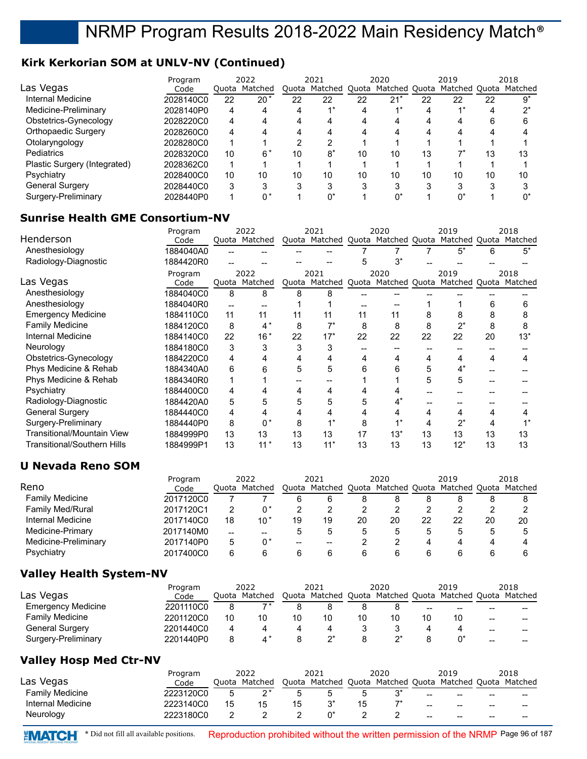## **Kirk Kerkorian SOM at UNLV-NV (Continued)**

|                              | Program   |    | 2022          |       | 2021          |    | 2020             |    | 2019 |    | 2018                  |
|------------------------------|-----------|----|---------------|-------|---------------|----|------------------|----|------|----|-----------------------|
| Las Vegas                    | Code      |    | Ouota Matched | Ouota | Matched Quota |    | Matched Quota    |    |      |    | Matched Quota Matched |
| Internal Medicine            | 2028140C0 | 22 | $20*$         | 22    | 22            | 22 | $21^*$           | 22 | 22   | 22 | $9^*$                 |
| Medicine-Preliminary         | 2028140P0 | 4  | 4             | 4     |               | Δ  | $\overline{A}$ * |    | $4*$ | 4  | י∩∗                   |
| Obstetrics-Gynecology        | 2028220C0 | 4  | 4             | 4     | 4             | Δ  | 4                | 4  | 4    | 6  |                       |
| Orthopaedic Surgery          | 2028260C0 | 4  | 4             | 4     | Δ             | Δ  | 4                |    | 4    | 4  |                       |
| Otolaryngology               | 2028280C0 |    |               | ົ     | າ             |    |                  |    |      |    |                       |
| Pediatrics                   | 2028320C0 | 10 | 6*            | 10    | $8*$          | 10 | 10               | 13 | "    | 13 | 13                    |
| Plastic Surgery (Integrated) | 2028362C0 |    |               |       |               |    |                  |    |      |    |                       |
| Psychiatry                   | 2028400C0 | 10 | 10            | 10    | 10            | 10 | 10               | 10 | 10   | 10 | 10                    |
| <b>General Surgery</b>       | 2028440C0 | 3  | ົ             | 3     | 3             | 3  | 3                | ົ  | 3    | 3  |                       |
| Surgery-Preliminary          | 2028440P0 |    | 0*            |       | $0^*$         |    | 0*               |    | 0*   |    |                       |

## **Sunrise Health GME Consortium-NV**

|                                    | Program   |    | 2022          |    | 2021                                                    |    | 2020  |    | 2019  |    | 2018  |
|------------------------------------|-----------|----|---------------|----|---------------------------------------------------------|----|-------|----|-------|----|-------|
| Henderson                          | Code      |    | Quota Matched |    | Quota Matched Quota Matched Quota Matched Quota Matched |    |       |    |       |    |       |
| Anesthesiology                     | 1884040A0 |    |               |    |                                                         |    |       |    | 5*    | 6  | $5^*$ |
| Radiology-Diagnostic               | 1884420R0 |    |               |    |                                                         |    | $3^*$ |    |       |    |       |
|                                    | Program   |    | 2022          |    | 2021                                                    |    | 2020  |    | 2019  |    | 2018  |
| Las Vegas                          | Code      |    | Quota Matched |    | Quota Matched Quota Matched Quota Matched Quota Matched |    |       |    |       |    |       |
| Anesthesiology                     | 1884040C0 | 8  | 8             | 8  |                                                         |    |       |    |       |    |       |
| Anesthesiology                     | 1884040R0 |    |               |    |                                                         |    |       |    |       | 6  | 6     |
| <b>Emergency Medicine</b>          | 1884110C0 | 11 | 11            | 11 | 11                                                      | 11 | 11    | 8  | 8     | 8  | 8     |
| <b>Family Medicine</b>             | 1884120C0 | 8  | $4^*$         | 8  | $7^*$                                                   | 8  | 8     | 8  | $2^*$ | 8  | 8     |
| <b>Internal Medicine</b>           | 1884140C0 | 22 | $16*$         | 22 | $17*$                                                   | 22 | 22    | 22 | 22    | 20 | $13*$ |
| Neurology                          | 1884180C0 | 3  | 3             |    | 3                                                       |    |       |    |       |    |       |
| Obstetrics-Gynecology              | 1884220C0 | 4  | 4             | 4  | 4                                                       |    | 4     | 4  | 4     | 4  | 4     |
| Phys Medicine & Rehab              | 1884340A0 | 6  | 6             | 5  | 5                                                       | 6  | 6     | 5  | 4*    |    |       |
| Phys Medicine & Rehab              | 1884340R0 |    |               |    |                                                         |    |       | 5  | 5     |    |       |
| Psychiatry                         | 1884400C0 | 4  |               | 4  | 4                                                       |    |       |    |       |    |       |
| Radiology-Diagnostic               | 1884420A0 | 5  | 5             | 5  | 5                                                       | 5  | $4^*$ |    |       |    |       |
| <b>General Surgery</b>             | 1884440C0 | 4  | 4             | 4  | 4                                                       |    | 4     | 4  | 4     | 4  |       |
| Surgery-Preliminary                | 1884440P0 | 8  | $0^*$         | 8  |                                                         | 8  |       | 4  | $2^*$ |    |       |
| <b>Transitional/Mountain View</b>  | 1884999P0 | 13 | 13            | 13 | 13                                                      | 17 | $13*$ | 13 | 13    | 13 | 13    |
| <b>Transitional/Southern Hills</b> | 1884999P1 | 13 | $11*$         | 13 | $11*$                                                   | 13 | 13    | 13 | $12*$ | 13 | 13    |

## **U Nevada Reno SOM**

|                         | Program   |    | 2022          |                                                   | 2021 |             | 2020 |    | 2019                                                    |    | 2018 |
|-------------------------|-----------|----|---------------|---------------------------------------------------|------|-------------|------|----|---------------------------------------------------------|----|------|
| Reno                    | Code      |    | Ouota Matched |                                                   |      |             |      |    | Quota Matched Quota Matched Quota Matched Quota Matched |    |      |
| <b>Family Medicine</b>  | 2017120C0 |    |               | 6                                                 | 6    | 8           | 8    |    |                                                         | 8  |      |
| <b>Family Med/Rural</b> | 2017120C1 | ⌒  | ∩*            |                                                   |      |             |      |    |                                                         |    |      |
| Internal Medicine       | 2017140C0 | 18 | 10 *          | 19                                                | 19   | 20          | 20   | 22 | 22                                                      | 20 | 20   |
| Medicine-Primary        | 2017140M0 | -- | --            |                                                   |      | $\mathbf b$ |      |    |                                                         | 5  |      |
| Medicine-Preliminary    | 2017140P0 | 5  |               | $\hspace{0.05cm}-\hspace{0.05cm}-\hspace{0.05cm}$ | --   |             |      |    |                                                         | 4  |      |
| Psychiatry              | 2017400C0 | 6  |               | 6                                                 |      | 6           |      |    |                                                         |    |      |

## **Valley Health System-NV**

|                           | Program   | 2022 |                 | 2021 |                                   | 2020 |    |    | 2019                  |                 | 2018  |
|---------------------------|-----------|------|-----------------|------|-----------------------------------|------|----|----|-----------------------|-----------------|-------|
| Las Vegas                 | Code      |      | Quota Matched   |      | Quota Matched Quota Matched Quota |      |    |    | Matched Quota Matched |                 |       |
| <b>Emergency Medicine</b> | 2201110C0 |      | $\rightarrow$ * |      |                                   |      |    | -- | --                    | --              |       |
| <b>Family Medicine</b>    | 2201120C0 | 10   | 10              | 10   | 10                                | 10   | 10 |    |                       | --              | $- -$ |
| General Surgery           | 2201440C0 | 4    |                 |      |                                   |      |    |    |                       | $- -$           | $- -$ |
| Surgery-Preliminary       | 2201440P0 |      |                 |      |                                   |      |    |    |                       | $\qquad \qquad$ | $- -$ |

## **Valley Hosp Med Ctr-NV**

|                        | Program   |       | 2022    |    | 2021                                                    |     | 2020 |                 | 2019  |       | 2018  |
|------------------------|-----------|-------|---------|----|---------------------------------------------------------|-----|------|-----------------|-------|-------|-------|
| Las Vegas              | Code      | Ouota | Matched |    | Quota Matched Quota Matched Quota Matched Quota Matched |     |      |                 |       |       |       |
| <b>Family Medicine</b> | 2223120C0 | 5     | n*      |    |                                                         |     | ⌒∗   | $\qquad \qquad$ | $- -$ | $- -$ | $- -$ |
| Internal Medicine      | 2223140C0 | 15    |         | 15 |                                                         | 6 ו |      | $-$             | $- -$ | $- -$ | $- -$ |
| Neurology              | 2223180C0 | ົ     |         |    |                                                         |     |      | --              | $- -$ | $- -$ | $- -$ |



**\*MATCH** \* Did not fill all available positions. Reproduction prohibited without the written permission of the NRMP Page 96 of 187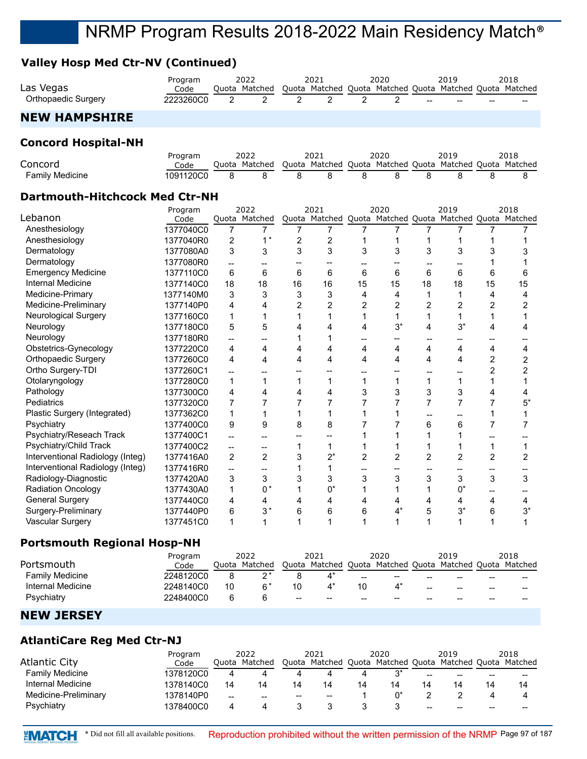## **Valley Hosp Med Ctr-NV (Continued)**

|                     | Program     | 2022                                                                  | 2021 | 2020 | 2019 | 2018 |
|---------------------|-------------|-----------------------------------------------------------------------|------|------|------|------|
| Las Vegas           | Code        | Quota Matched Quota Matched Quota Matched Quota Matched Quota Matched |      |      |      |      |
| Orthopaedic Surgery | 2223260C0 2 |                                                                       |      |      |      | $-$  |

## **NEW HAMPSHIRE**

#### **Concord Hospital-NH**

|                 | Program   | 2022                                                                  | 2021 | 2020 | 2019 | 2018 |
|-----------------|-----------|-----------------------------------------------------------------------|------|------|------|------|
| Concord         | Code      | Quota Matched Quota Matched Quota Matched Quota Matched Quota Matched |      |      |      |      |
| Family Medicine | 1091120C0 |                                                                       |      |      |      |      |

#### **Dartmouth-Hitchcock Med Ctr-NH**

|                                  | Program   |                | 2022           |                | 2021           |                | 2020                                      |                | 2019  |                | 2018  |
|----------------------------------|-----------|----------------|----------------|----------------|----------------|----------------|-------------------------------------------|----------------|-------|----------------|-------|
| Lebanon                          | Code      |                | Quota Matched  |                | Quota Matched  |                | Quota Matched Quota Matched Quota Matched |                |       |                |       |
| Anesthesiology                   | 1377040C0 | 7              | 7              |                | 7              |                | 7                                         |                |       |                |       |
| Anesthesiology                   | 1377040R0 | 2              | $\star$<br>1   | $\overline{2}$ | $\overline{2}$ |                |                                           |                |       |                |       |
| Dermatology                      | 1377080A0 | 3              | 3              | 3              | 3              | 3              | 3                                         | 3              | 3     |                |       |
| Dermatology                      | 1377080R0 | --             |                |                |                |                |                                           |                |       |                |       |
| <b>Emergency Medicine</b>        | 1377110C0 | 6              | 6              | 6              | 6              | 6              | 6                                         | 6              | 6     | 6              | 6     |
| <b>Internal Medicine</b>         | 1377140C0 | 18             | 18             | 16             | 16             | 15             | 15                                        | 18             | 18    | 15             | 15    |
| Medicine-Primary                 | 1377140M0 | 3              | 3              | 3              | 3              | 4              | 4                                         |                |       | 4              | 4     |
| Medicine-Preliminary             | 1377140P0 | 4              | 4              |                | $\overline{2}$ | 2              | 2                                         | $\overline{2}$ | 2     |                |       |
| <b>Neurological Surgery</b>      | 1377160C0 |                |                |                |                |                |                                           |                |       |                |       |
| Neurology                        | 1377180C0 | 5              | 5              |                |                |                | $3^*$                                     | 4              | $3^*$ |                | 4     |
| Neurology                        | 1377180R0 | --             |                |                |                |                |                                           |                |       |                |       |
| Obstetrics-Gynecology            | 1377220C0 | 4              | 4              | 4              | 4              | 4              | 4                                         | 4              | 4     | 4              | 4     |
| <b>Orthopaedic Surgery</b>       | 1377260C0 | 4              | 4              |                | 4              | 4              | 4                                         | 4              | 4     | $\overline{2}$ | 2     |
| Ortho Surgery-TDI                | 1377260C1 |                |                |                |                |                |                                           |                |       |                |       |
| Otolaryngology                   | 1377280C0 | 1              |                |                |                |                |                                           |                |       |                |       |
| Pathology                        | 1377300C0 | 4              | 4              |                |                |                | 3                                         | 3              | 3     |                |       |
| Pediatrics                       | 1377320C0 | 7              |                |                |                |                |                                           | 7              |       |                | 5*    |
| Plastic Surgery (Integrated)     | 1377362C0 | 1              |                |                |                |                |                                           |                |       |                |       |
| Psychiatry                       | 1377400C0 | 9              | 9              | 8              | 8              |                |                                           | 6              | 6     |                |       |
| Psychiatry/Reseach Track         | 1377400C1 |                |                |                |                |                |                                           |                |       |                |       |
| Psychiatry/Child Track           | 1377400C2 | --             | --             |                | 1              |                |                                           |                |       |                |       |
| Interventional Radiology (Integ) | 1377416A0 | $\overline{2}$ | $\overline{2}$ |                | $2^*$          | $\overline{2}$ | 2                                         | $\overline{2}$ | 2     | 2              | 2     |
| Interventional Radiology (Integ) | 1377416R0 | --             |                |                |                |                |                                           |                |       |                |       |
| Radiology-Diagnostic             | 1377420A0 | 3              | 3              |                | 3              | 3              | 3                                         | 3              | 3     | 3              | 3     |
| <b>Radiation Oncology</b>        | 1377430A0 |                | $0^*$          |                | $0^*$          |                |                                           |                | 0*    |                |       |
| <b>General Surgery</b>           | 1377440C0 | 4              | 4              |                |                |                |                                           | 4              | 4     | 4              | 4     |
| Surgery-Preliminary              | 1377440P0 | 6              | $3*$           | 6              | 6              | 6              |                                           | 5              | $3^*$ | 6              | $3^*$ |
| <b>Vascular Surgery</b>          | 1377451C0 |                |                |                |                |                |                                           |                |       |                |       |

## **Portsmouth Regional Hosp-NH**

|                        | Program   |       | 2022           |                          | 2021                        |                   | 2020  |       | 2019          |    | 2018    |
|------------------------|-----------|-------|----------------|--------------------------|-----------------------------|-------------------|-------|-------|---------------|----|---------|
| Portsmouth             | Code      | Ouota | Matched        | Quota                    | Matched Quota Matched Quota |                   |       |       | Matched Quota |    | Matched |
| <b>Family Medicine</b> | 2248120C0 |       | $\sim$ *       |                          |                             | $\hspace{0.05cm}$ | $- -$ | --    | --            | -- | $- -$   |
| Internal Medicine      | 2248140C0 | 10    | 6 <sup>*</sup> | 10                       |                             | 10                |       | $- -$ | --            | -- | $- -$   |
| Psychiatry             | 2248400C0 |       |                | $\overline{\phantom{a}}$ | $\hspace{0.05cm}$           | $- -$             | --    | --    | --            | -- | $- -$   |

## **NEW JERSEY**

## **AtlantiCare Reg Med Ctr-NJ**

|                        | Program   |       | 2022    |       | 2021                                              |    | 2020 |       | 2019                  |       | 2018                                           |
|------------------------|-----------|-------|---------|-------|---------------------------------------------------|----|------|-------|-----------------------|-------|------------------------------------------------|
| <b>Atlantic City</b>   | Code      | Ouota | Matched |       | Quota Matched Quota Matched Quota                 |    |      |       | Matched Quota Matched |       |                                                |
| <b>Family Medicine</b> | 1378120C0 | 4     |         |       | 4                                                 |    | 3*   | $- -$ | --                    | $- -$ | $\hspace{0.1mm}-\hspace{0.1mm}-\hspace{0.1mm}$ |
| Internal Medicine      | 1378140C0 | 14    | 14      | 14    | 14                                                | 14 | 14   | 14    |                       | 14    | 14                                             |
| Medicine-Preliminary   | 1378140P0 | $- -$ | --      | $- -$ | $\hspace{0.05cm}-\hspace{0.05cm}-\hspace{0.05cm}$ |    |      |       |                       |       | 4                                              |
| Psychiatry             | 1378400C0 | 4     |         |       |                                                   |    |      | --    | --                    | --    | $- -$                                          |

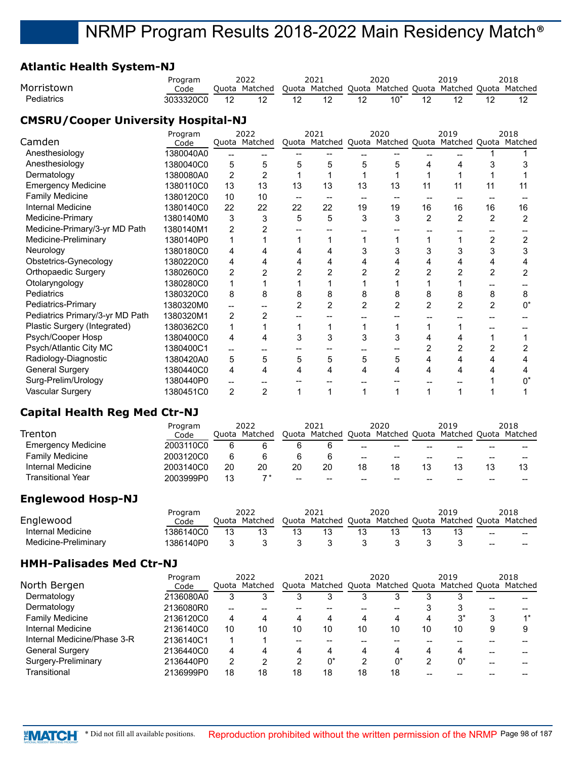## **Atlantic Health System-NJ**

| Morristown                                 | Program<br>Code |                | 2022<br>Quota Matched |                          | 2021<br>Quota Matched Quota Matched Quota Matched Quota Matched |                | 2020  |                | 2019           |                | 2018  |
|--------------------------------------------|-----------------|----------------|-----------------------|--------------------------|-----------------------------------------------------------------|----------------|-------|----------------|----------------|----------------|-------|
| Pediatrics                                 | 3033320C0       | 12             | 12                    | 12                       | 12                                                              | 12             | $10*$ | 12             | 12             | 12             | 12    |
| <b>CMSRU/Cooper University Hospital-NJ</b> |                 |                |                       |                          |                                                                 |                |       |                |                |                |       |
|                                            | Program         |                | 2022                  |                          | 2021                                                            |                | 2020  |                | 2019           |                | 2018  |
| Camden                                     | Code            |                | Quota Matched         |                          | Quota Matched Quota Matched Quota Matched Quota Matched         |                |       |                |                |                |       |
| Anesthesiology                             | 1380040A0       |                |                       |                          |                                                                 |                |       |                |                |                |       |
| Anesthesiology                             | 1380040C0       | 5              | 5                     | 5                        | 5                                                               | 5              | 5     | 4              | 4              |                | 3     |
| Dermatology                                | 1380080A0       | $\overline{2}$ | 2                     |                          |                                                                 |                |       |                |                |                |       |
| <b>Emergency Medicine</b>                  | 1380110C0       | 13             | 13                    | 13                       | 13                                                              | 13             | 13    | 11             | 11             | 11             | 11    |
| <b>Family Medicine</b>                     | 1380120C0       | 10             | 10                    | $\overline{\phantom{a}}$ | $\sim$                                                          |                | --    |                |                |                |       |
| Internal Medicine                          | 1380140C0       | 22             | 22                    | 22                       | 22                                                              | 19             | 19    | 16             | 16             | 16             | 16    |
| Medicine-Primary                           | 1380140M0       | 3              | 3                     | 5                        | 5                                                               | 3              | 3     | $\overline{2}$ | 2              | $\overline{2}$ | 2     |
| Medicine-Primary/3-yr MD Path              | 1380140M1       | $\overline{2}$ | 2                     |                          |                                                                 |                |       |                |                |                |       |
| Medicine-Preliminary                       | 1380140P0       | 1              |                       |                          |                                                                 |                |       |                |                | $\overline{c}$ | 2     |
| Neurology                                  | 1380180C0       | 4              | 4                     | 4                        | 4                                                               | 3              | 3     | 3              | 3              | 3              | 3     |
| Obstetrics-Gynecology                      | 1380220C0       | 4              | 4                     |                          | 4                                                               | 4              | 4     | 4              | 4              | 4              | 4     |
| Orthopaedic Surgery                        | 1380260C0       | $\overline{2}$ | 2                     | 2                        | 2                                                               | $\overline{2}$ | 2     | $\overline{2}$ | $\overline{2}$ | $\overline{2}$ | 2     |
| Otolaryngology                             | 1380280C0       | 1              |                       |                          |                                                                 |                |       |                |                |                |       |
| Pediatrics                                 | 1380320C0       | 8              | 8                     | 8                        | 8                                                               | 8              | 8     | 8              | 8              | 8              | 8     |
| Pediatrics-Primary                         | 1380320M0       |                |                       | 2                        | 2                                                               | $\overline{2}$ | 2     | $\overline{2}$ | 2              | $\overline{2}$ | $0^*$ |
| Pediatrics Primary/3-yr MD Path            | 1380320M1       | $\overline{2}$ | 2                     |                          |                                                                 |                |       |                |                |                |       |
| Plastic Surgery (Integrated)               | 1380362C0       | 1              |                       | 1                        |                                                                 | 1              | 1     |                |                |                |       |
| Psych/Cooper Hosp                          | 1380400C0       | 4              | 4                     | 3                        | 3                                                               | 3              | 3     | 4              | 4              | 1              |       |
| Psych/Atlantic City MC                     | 1380400C1       |                |                       |                          |                                                                 |                |       | 2              | 2              | 2              | 2     |
| Radiology-Diagnostic                       | 1380420A0       | 5              | 5                     | 5                        | 5                                                               | 5              | 5     | 4              | 4              | 4              | 4     |
| <b>General Surgery</b>                     | 1380440C0       | 4              | 4                     | 4                        | 4                                                               | 4              | 4     | 4              | 4              | Δ              | 4     |
| Surg-Prelim/Urology                        | 1380440P0       | --             |                       |                          |                                                                 |                |       |                |                |                | 0*    |
| Vascular Surgery                           | 1380451C0       | 2              | $\overline{2}$        | 1                        | 1                                                               | 1              | 1     | 1              | 1              |                |       |

#### **Capital Health Reg Med Ctr-NJ**

|                          | Program   | 2022 |                 | 2021 |                                                         | 2020  |                                                   | 2019 |    | 2018 |  |
|--------------------------|-----------|------|-----------------|------|---------------------------------------------------------|-------|---------------------------------------------------|------|----|------|--|
| Trenton                  | Code      |      | Ouota Matched   |      | Quota Matched Quota Matched Quota Matched Quota Matched |       |                                                   |      |    |      |  |
| Emergency Medicine       | 2003110C0 | 6    |                 |      |                                                         | $- -$ | $- -$                                             | --   | -- | --   |  |
| <b>Family Medicine</b>   | 2003120C0 | 6    |                 |      |                                                         | $- -$ | $\hspace{0.05cm}-\hspace{0.05cm}-\hspace{0.05cm}$ | --   | -- | --   |  |
| Internal Medicine        | 2003140C0 | 20   | 20              | 20   | 20                                                      | 18    | 18                                                |      |    | 13   |  |
| <b>Transitional Year</b> | 2003999P0 | 13   | $\rightarrow$ * | --   | $- -$                                                   | --    | $- -$                                             | --   |    | --   |  |

#### **Englewood Hosp-NJ**

|                      | Program   | 2022  |         | 2021 |                                                         | 2020 |  | 2019 |  |       | 2018  |
|----------------------|-----------|-------|---------|------|---------------------------------------------------------|------|--|------|--|-------|-------|
| Englewood            | Code      | Ouota | Matched |      | Quota Matched Quota Matched Quota Matched Quota Matched |      |  |      |  |       |       |
| Internal Medicine    | I386140C0 |       |         |      |                                                         |      |  |      |  | $- -$ | $- -$ |
| Medicine-Preliminary | 1386140P0 |       |         |      |                                                         |      |  |      |  | $- -$ | $- -$ |

## **HMH-Palisades Med Ctr-NJ**

|                             | Program   | 2022 |               | 2021 |                                                         |    | 2020 |    | 2019  |    | 2018 |
|-----------------------------|-----------|------|---------------|------|---------------------------------------------------------|----|------|----|-------|----|------|
| North Bergen                | Code      |      | Ouota Matched |      | Quota Matched Quota Matched Quota Matched Quota Matched |    |      |    |       |    |      |
| Dermatology                 | 2136080A0 | 3    |               |      | د                                                       | O  | دت   |    |       | -- |      |
| Dermatology                 | 2136080R0 |      |               |      |                                                         |    | --   |    |       |    |      |
| <b>Family Medicine</b>      | 2136120C0 | 4    | Δ             | 4    | 4                                                       | 4  | 4    |    | $3^*$ | 3  |      |
| Internal Medicine           | 2136140C0 | 10   | 10            | 10   | 10                                                      | 10 | 10   | 10 | 10    | 9  | 9    |
| Internal Medicine/Phase 3-R | 2136140C1 |      |               |      |                                                         |    |      |    |       |    |      |
| <b>General Surgery</b>      | 2136440C0 | 4    |               | 4    | 4                                                       | 4  | 4    |    |       |    |      |
| Surgery-Preliminary         | 2136440P0 | 2    |               |      | 0*                                                      | າ  | 0*   |    | 0*    |    |      |
| Transitional                | 2136999P0 | 18   | 18            | 18   | 18                                                      | 18 | 18   |    |       |    |      |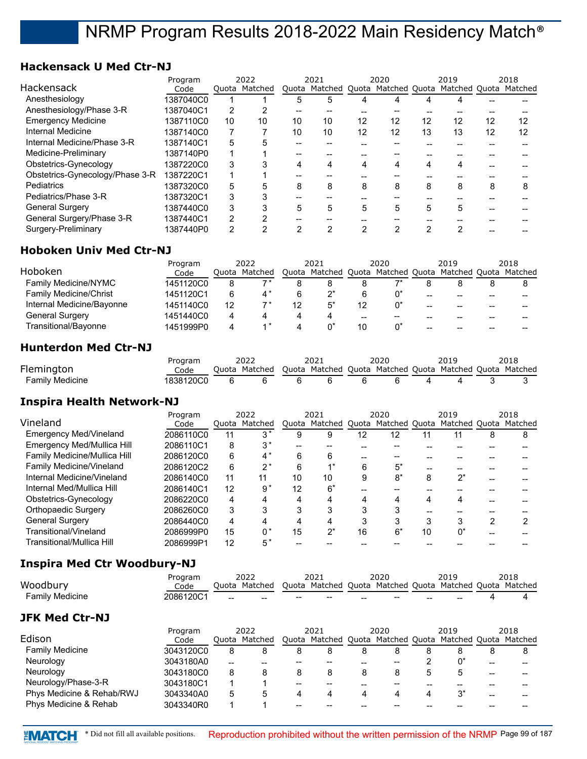## **Hackensack U Med Ctr-NJ**

|                                 | Program   | 2022 |               |    | 2021 |    | 2020 |    | 2019                                                    |    | 2018 |
|---------------------------------|-----------|------|---------------|----|------|----|------|----|---------------------------------------------------------|----|------|
| Hackensack                      | Code      |      | Quota Matched |    |      |    |      |    | Quota Matched Quota Matched Quota Matched Quota Matched |    |      |
| Anesthesiology                  | 1387040C0 |      |               | 5  | 5    |    | 4    |    |                                                         |    |      |
| Anesthesiology/Phase 3-R        | 1387040C1 | 2    |               |    |      |    |      |    |                                                         |    |      |
| <b>Emergency Medicine</b>       | 1387110C0 | 10   | 10            | 10 | 10   | 12 | 12   | 12 | 12                                                      | 12 | 12   |
| Internal Medicine               | 1387140C0 |      |               | 10 | 10   | 12 | 12   | 13 | 13                                                      | 12 | 12   |
| Internal Medicine/Phase 3-R     | 1387140C1 | 5    |               |    |      |    |      |    |                                                         |    |      |
| Medicine-Preliminary            | 1387140P0 | -1   |               |    |      |    |      |    |                                                         |    |      |
| Obstetrics-Gynecology           | 1387220C0 | 3    |               | 4  | 4    |    | 4    |    | 4                                                       |    |      |
| Obstetrics-Gynecology/Phase 3-R | 1387220C1 |      |               |    |      |    |      |    |                                                         |    |      |
| Pediatrics                      | 1387320C0 | 5    |               | 8  | 8    | 8  | 8    | 8  | 8                                                       | 8  | 8    |
| Pediatrics/Phase 3-R            | 1387320C1 | 3    |               |    |      |    |      |    |                                                         |    |      |
| <b>General Surgery</b>          | 1387440C0 | 3    |               | 5  | 5    | 5  | 5    | 5  | 5                                                       |    |      |
| General Surgery/Phase 3-R       | 1387440C1 | 2    |               |    |      |    |      |    |                                                         |    |      |
| Surgery-Preliminary             | 1387440P0 | 2    |               |    |      | າ  | 2    | ົ  | 2                                                       |    |      |

#### **Hoboken Univ Med Ctr-NJ**

|                               | Program   | 2022 |               | 2021 |  | 2020 |    | 2019 |                                                         | 2018 |  |
|-------------------------------|-----------|------|---------------|------|--|------|----|------|---------------------------------------------------------|------|--|
| Hoboken                       | Code      |      | Ouota Matched |      |  |      |    |      | Quota Matched Quota Matched Quota Matched Quota Matched |      |  |
| Family Medicine/NYMC          | 1451120C0 | 8    |               | 8    |  |      |    |      |                                                         |      |  |
| <b>Family Medicine/Christ</b> | 1451120C1 | 6    |               | 6    |  |      |    | --   | --                                                      | --   |  |
| Internal Medicine/Bayonne     | 1451140C0 | 12   |               | 12   |  | 12   |    | --   | --                                                      | --   |  |
| General Surgery               | 1451440C0 | 4    |               | 4    |  | --   | -- |      |                                                         |      |  |
| Transitional/Bayonne          | 1451999P0 | 4    |               |      |  | 10   |    | --   | --                                                      | --   |  |

#### **Hunterdon Med Ctr-NJ**

|                 | Program     | 2022                                                                  |     | 2021 |     | 2020 | 2019 | 2018 |
|-----------------|-------------|-----------------------------------------------------------------------|-----|------|-----|------|------|------|
| Flemington      | Code        | Quota Matched Quota Matched Quota Matched Quota Matched Quota Matched |     |      |     |      |      |      |
| Family Medicine | 1838120C0 6 |                                                                       | - 6 |      | - 6 |      |      |      |

#### **Inspira Health Network-NJ**

|                               | Program   | 2022 |               |    | 2021                                                    |    | 2020 |    | 2019 |   | 2018 |
|-------------------------------|-----------|------|---------------|----|---------------------------------------------------------|----|------|----|------|---|------|
| Vineland                      | Code      |      | Ouota Matched |    | Quota Matched Quota Matched Quota Matched Quota Matched |    |      |    |      |   |      |
| <b>Emergency Med/Vineland</b> | 2086110C0 | 11   | $3*$          | 9  |                                                         | 12 | 12   |    |      | 8 |      |
| Emergency Med/Mullica Hill    | 2086110C1 | 8    | 3*            |    |                                                         |    |      |    |      |   |      |
| Family Medicine/Mullica Hill  | 2086120C0 | 6    | $4^*$         | 6  | 6                                                       |    |      |    |      |   |      |
| Family Medicine/Vineland      | 2086120C2 | 6    | 2*            | 6  |                                                         | 6  | 5*   |    |      |   |      |
| Internal Medicine/Vineland    | 2086140C0 | 11   | 11            | 10 | 10                                                      | 9  | 8*   | 8  | ?    |   |      |
| Internal Med/Mullica Hill     | 2086140C1 | 12   | 9*            | 12 | 6*                                                      |    |      |    |      |   |      |
| Obstetrics-Gynecology         | 2086220C0 | 4    | 4             | 4  | Δ                                                       |    | Δ    |    |      |   |      |
| Orthopaedic Surgery           | 2086260C0 | 3    |               |    |                                                         |    |      |    |      |   |      |
| <b>General Surgery</b>        | 2086440C0 | 4    |               |    | Δ                                                       |    |      |    |      |   |      |
| Transitional/Vineland         | 2086999P0 | 15   | በ*            | 15 | $2^*$                                                   | 16 | 6*   | 10 | 0*   |   |      |
| Transitional/Mullica Hill     | 2086999P1 | 12   | 5*            |    |                                                         |    |      |    |      |   |      |

## **Inspira Med Ctr Woodbury-NJ**

|                           | Program   | 2022 |               |    | 2021                              |    | 2020 |   | 2019                                                    |    | 2018    |
|---------------------------|-----------|------|---------------|----|-----------------------------------|----|------|---|---------------------------------------------------------|----|---------|
| Woodbury                  | Code      |      | Ouota Matched |    |                                   |    |      |   | Quota Matched Quota Matched Quota Matched Quota Matched |    |         |
| <b>Family Medicine</b>    | 2086120C1 |      |               |    |                                   |    |      |   |                                                         |    |         |
| <b>JFK Med Ctr-NJ</b>     |           |      |               |    |                                   |    |      |   |                                                         |    |         |
|                           | Program   |      | 2022          |    | 2021                              |    | 2020 |   | 2019                                                    |    | 2018    |
| Edison                    | Code      |      | Ouota Matched |    | Quota Matched Quota Matched Quota |    |      |   | Matched Quota                                           |    | Matched |
| <b>Family Medicine</b>    | 3043120C0 | 8    | 8             | 8  | 8                                 | 8  | 8    | 8 | 8                                                       | 8  | 8       |
| Neurology                 | 3043180A0 | $-$  |               |    | --                                | -- |      | っ | $0^*$                                                   | -- | $-$     |
| Neurology                 | 3043180C0 | 8    | 8             | 8  | 8                                 | 8  | 8    | 5 | 5                                                       |    |         |
| Neurology/Phase-3-R       | 3043180C1 | 1    |               | -- | $- -$                             |    | --   |   |                                                         |    |         |
| Phys Medicine & Rehab/RWJ | 3043340A0 | 5    | 5             | 4  | 4                                 | 4  | 4    | 4 | $3^*$                                                   | -- |         |
| Phys Medicine & Rehab     | 3043340R0 |      |               |    |                                   |    |      |   |                                                         |    |         |

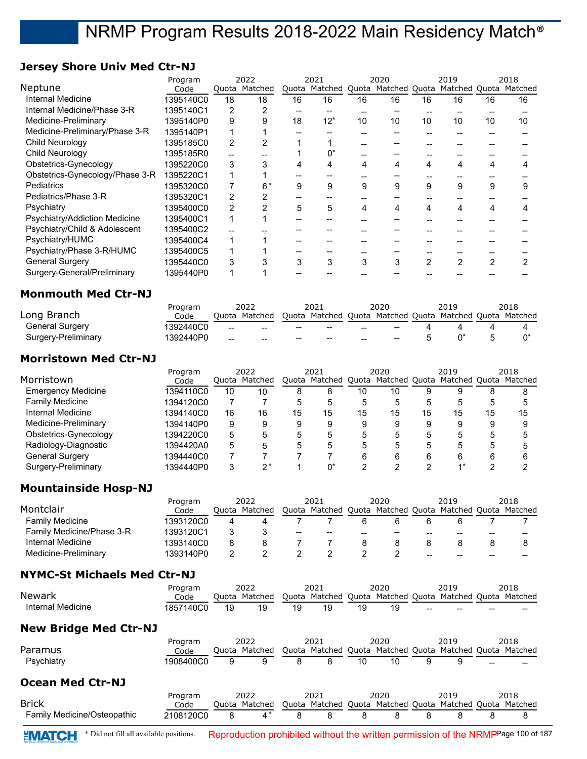### **Jersey Shore Univ Med Ctr-NJ**

| Program   | 2022 |      |               |       |      |               |               | 2019 |                     | 2018                  |
|-----------|------|------|---------------|-------|------|---------------|---------------|------|---------------------|-----------------------|
| Code      |      |      |               |       |      |               |               |      |                     |                       |
| 1395140C0 | 18   | 18   | 16            | 16    | 16   | 16            | 16            | 16   | 16                  | 16                    |
| 1395140C1 | 2    | 2    |               |       |      |               |               |      |                     |                       |
| 1395140P0 | 9    | 9    | 18            | $12*$ | 10   | 10            | 10            | 10   | 10                  | 10                    |
| 1395140P1 |      |      |               |       |      |               |               |      |                     |                       |
| 1395185C0 | 2    |      |               |       |      |               |               |      |                     |                       |
| 1395185R0 | --   |      |               | በ*    |      |               |               |      |                     |                       |
| 1395220C0 | 3    |      | 4             | 4     | 4    | 4             | 4             | 4    | 4                   |                       |
| 1395220C1 |      |      |               |       |      |               |               |      |                     |                       |
| 1395320C0 |      | $6*$ | 9             | 9     | 9    | 9             | 9             | 9    | 9                   | 9                     |
| 1395320C1 | 2    |      |               |       |      |               |               |      |                     |                       |
| 1395400C0 | 2    |      | 5             | 5     | 4    | 4             | 4             | 4    | 4                   |                       |
| 1395400C1 |      |      |               |       |      |               |               |      |                     |                       |
| 1395400C2 |      |      |               |       |      |               |               |      |                     |                       |
| 1395400C4 |      |      |               |       |      |               |               |      |                     |                       |
| 1395400C5 |      |      |               |       |      |               |               |      |                     |                       |
| 1395440C0 | 3    |      | 3             | 3     | 3    | 3             | $\mathcal{P}$ | 2    | $\mathcal{P}$       |                       |
| 1395440P0 |      |      |               |       |      |               |               |      |                     |                       |
|           |      |      | Quota Matched |       | 2021 | Quota Matched | 2020          |      | Quota Matched Quota | Matched Quota Matched |

#### **Monmouth Med Ctr-NJ**

|                        | Program   | 2022            |               | 2021                                              |                                                         | 2020  |                                                   | 2019 |  | 2018 |  |
|------------------------|-----------|-----------------|---------------|---------------------------------------------------|---------------------------------------------------------|-------|---------------------------------------------------|------|--|------|--|
| Long Branch            | Code      |                 | Ouota Matched |                                                   | Quota Matched Quota Matched Quota Matched Quota Matched |       |                                                   |      |  |      |  |
| <b>General Surgery</b> | 1392440C0 | $-$             | $- -$         | $\hspace{0.05cm}-\hspace{0.05cm}-\hspace{0.05cm}$ | $- -$                                                   | $-$   | $\hspace{0.05cm}$                                 |      |  |      |  |
| Surgery-Preliminary    | 1392440P0 | $\qquad \qquad$ | $- -$         | --                                                | $\hspace{0.1mm}-\hspace{0.1mm}-\hspace{0.1mm}$          | $- -$ | $\hspace{0.05cm}-\hspace{0.05cm}-\hspace{0.05cm}$ |      |  |      |  |

#### **Morristown Med Ctr-NJ**

| Program<br>Morristown |    |    |                       |    |      |    |      | 2019 |    | 2018                                            |
|-----------------------|----|----|-----------------------|----|------|----|------|------|----|-------------------------------------------------|
| Code                  |    |    |                       |    |      |    |      |      |    | Matched                                         |
| 1394110C0             | 10 | 10 | 8                     | 8  | 10   | 10 | 9    | 9    |    |                                                 |
| 1394120C0             |    |    | 5                     |    | 5    | 5  |      | 5    |    |                                                 |
| 1394140C0             | 16 | 16 | 15                    | 15 | 15   | 15 | 15   | 15   | 15 | 15                                              |
| 1394140P0             | 9  |    | 9                     |    | 9    | 9  |      | 9    | 9  |                                                 |
| 1394220C0             | 5  |    | 5                     | 5  | 5    | 5  |      | 5    |    |                                                 |
| 1394420A0             | 5  |    |                       |    | 5    | 5  |      | 5    |    |                                                 |
| 1394440C0             |    |    |                       |    | 6    | 6  |      | 6    | 6  |                                                 |
| 1394440P0             | 3  |    |                       |    |      |    |      |      |    |                                                 |
|                       |    |    | 2022<br>Ouota Matched |    | 2021 |    | 2020 |      |    | Quota Matched Quota Matched Quota Matched Quota |

## **Mountainside Hosp-NJ**

|                           | Program   | 2022 |               | 2021  |       | 2020 |       | 2019 |                                                         |    | 2018 |
|---------------------------|-----------|------|---------------|-------|-------|------|-------|------|---------------------------------------------------------|----|------|
| Montclair                 | Code      |      | Ouota Matched |       |       |      |       |      | Quota Matched Quota Matched Quota Matched Quota Matched |    |      |
| Family Medicine           | 1393120C0 | 4    |               |       |       |      |       |      |                                                         |    |      |
| Family Medicine/Phase 3-R | 1393120C1 |      |               | $- -$ | $- -$ | --   | $- -$ | --   |                                                         | -- |      |
| Internal Medicine         | 1393140C0 |      |               |       |       |      |       |      |                                                         |    |      |
| Medicine-Preliminary      | 1393140P0 |      |               |       |       |      |       | --   | --                                                      | -- |      |

## **NYMC-St Michaels Med Ctr-NJ**

| <b>Newark</b>                      | Program<br>Code |    | 2022<br>Quota Matched |    | 2021<br>Quota Matched Quota Matched Quota Matched Quota Matched |    | 2020 |   | 2019 |   | 2018 |
|------------------------------------|-----------------|----|-----------------------|----|-----------------------------------------------------------------|----|------|---|------|---|------|
| Internal Medicine                  | 1857140C0       | 19 | 19                    | 19 | 19                                                              | 19 | 19   |   |      |   |      |
| <b>New Bridge Med Ctr-NJ</b>       |                 |    |                       |    |                                                                 |    |      |   |      |   |      |
|                                    | Program         |    | 2022                  |    | 2021                                                            |    | 2020 |   | 2019 |   | 2018 |
| Paramus                            | Code            |    | Ouota Matched         |    | Quota Matched Quota Matched Quota Matched Quota Matched         |    |      |   |      |   |      |
| Psychiatry                         | 1908400C0       | 9  |                       | 8  | 8                                                               | 10 | 10   | 9 | 9    |   |      |
| <b>Ocean Med Ctr-NJ</b>            |                 |    |                       |    |                                                                 |    |      |   |      |   |      |
|                                    | Program         |    | 2022                  |    | 2021                                                            |    | 2020 |   | 2019 |   | 2018 |
| <b>Brick</b>                       | Code            |    | Ouota Matched         |    | Quota Matched Quota Matched Quota Matched Quota Matched         |    |      |   |      |   |      |
| <b>Family Medicine/Osteopathic</b> | 2108120C0       | 8  | $4^*$                 | 8  | 8                                                               | 8  | 8    | 8 | 8    | 8 | 8    |

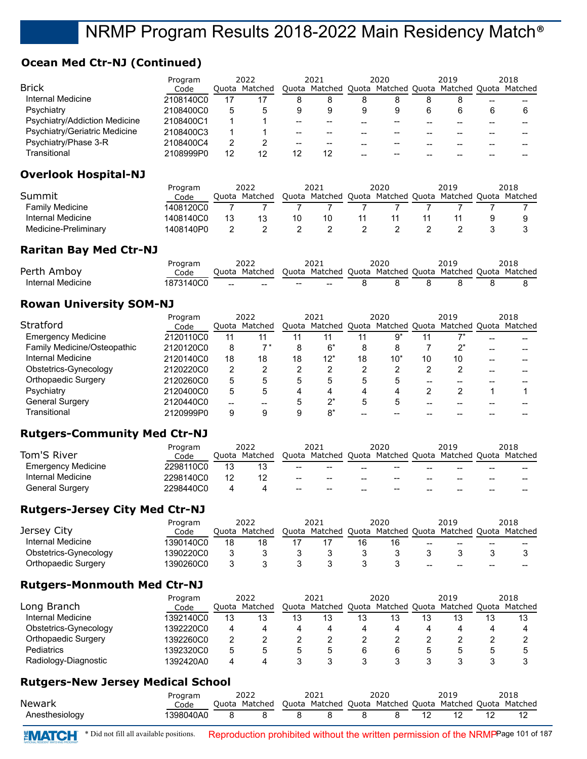## **Ocean Med Ctr-NJ (Continued)**

|                               | Program   | 2022 |               | 2021 |                                                         | 2020 |    | 2019 |    | 2018 |
|-------------------------------|-----------|------|---------------|------|---------------------------------------------------------|------|----|------|----|------|
| <b>Brick</b>                  | Code      |      | Ouota Matched |      | Quota Matched Quota Matched Quota Matched Quota Matched |      |    |      |    |      |
| Internal Medicine             | 2108140C0 |      |               | 8    |                                                         |      |    |      | -- |      |
| Psychiatry                    | 2108400C0 | 5    |               | 9    |                                                         | 9    |    | 6    | 6  |      |
| Psychiatry/Addiction Medicine | 2108400C1 |      |               | --   |                                                         |      |    |      |    |      |
| Psychiatry/Geriatric Medicine | 2108400C3 |      |               | --   | --                                                      |      | -- |      |    |      |
| Psychiatry/Phase 3-R          | 2108400C4 | 2    |               | --   | --                                                      |      |    |      |    |      |
| Transitional                  | 2108999P0 | 12   |               | 12   | 12                                                      |      | -- |      |    |      |

## **Overlook Hospital-NJ**

|                        | Program   |       | 2022    |       | 2021    | 2020                | 2019          | 2018    |
|------------------------|-----------|-------|---------|-------|---------|---------------------|---------------|---------|
| Summit                 | Code      | Ouota | Matched | Quota | Matched | Quota Matched Quota | Matched Quota | Matched |
| <b>Family Medicine</b> | 1408120C0 |       |         |       |         |                     |               |         |
| Internal Medicine      | 1408140C0 |       |         | 10    | 10      |                     |               |         |
| Medicine-Preliminary   | 1408140P0 |       |         |       |         |                     |               |         |

## **Raritan Bay Med Ctr-NJ**

|                   | Program   |                          |         |                          |     | 2020 |                                                         | 2018 |
|-------------------|-----------|--------------------------|---------|--------------------------|-----|------|---------------------------------------------------------|------|
| Perth Amboy       | Code      | Ouota                    | Matched |                          |     |      | Quota Matched Quota Matched Quota Matched Quota Matched |      |
| Internal Medicine | 1873140C0 | $\overline{\phantom{m}}$ | $\sim$  | $\overline{\phantom{a}}$ | $-$ |      |                                                         |      |

## **Rowan University SOM-NJ**

|                             | Program   | 2022 |               | 2021 |       |    | 2020  |    | 2019                                                    | 2018 |
|-----------------------------|-----------|------|---------------|------|-------|----|-------|----|---------------------------------------------------------|------|
| Stratford                   | Code      |      | Quota Matched |      |       |    |       |    | Quota Matched Quota Matched Quota Matched Quota Matched |      |
| <b>Emergency Medicine</b>   | 2120110C0 | 11   | 11            |      |       |    | 9*    |    |                                                         |      |
| Family Medicine/Osteopathic | 2120120C0 | 8    |               | 8    | 6*    | 8  | 8     |    | 2*                                                      |      |
| Internal Medicine           | 2120140C0 | 18   | 18            | 18   | 12*   | 18 | $10*$ | 10 | 10                                                      |      |
| Obstetrics-Gynecology       | 2120220C0 | 2    |               | 2    |       | າ  | າ     |    | ◠                                                       |      |
| <b>Orthopaedic Surgery</b>  | 2120260C0 | 5    |               | 5    | 5     | 5  | 5     |    |                                                         |      |
| Psychiatry                  | 2120400C0 | 5    |               | 4    | 4     | 4  | 4     |    | າ                                                       |      |
| <b>General Surgery</b>      | 2120440C0 |      |               | 5    | ヮ*    | 5  | 5     |    |                                                         |      |
| Transitional                | 2120999P0 | 9    |               | a    | $8^*$ |    |       |    |                                                         |      |

## **Rutgers-Community Med Ctr-NJ**

|                           | Program   |    | 2022          |                          | 2021                                                    |    | 2020  |    | 2019 |    | 2018 |
|---------------------------|-----------|----|---------------|--------------------------|---------------------------------------------------------|----|-------|----|------|----|------|
| Tom'S River               | Code      |    | Ouota Matched |                          | Quota Matched Quota Matched Quota Matched Quota Matched |    |       |    |      |    |      |
| <b>Emergency Medicine</b> | 2298110C0 | 13 |               | $- -$                    | $- -$                                                   | -- | $- -$ | -- | --   | -- |      |
| Internal Medicine         | 2298140C0 | 12 |               | $\overline{\phantom{a}}$ | $- -$                                                   | -- | $- -$ | -- | --   | -- |      |
| <b>General Surgery</b>    | 2298440C0 | 4  |               | $\sim$                   | $- -$                                                   | -- | $- -$ | -- | --   | -- | --   |

## **Rutgers-Jersey City Med Ctr-NJ**

|                       | Program   |       | 2022    |       | 2021    | 2020 |    | 2019                                      |       | 2018  |
|-----------------------|-----------|-------|---------|-------|---------|------|----|-------------------------------------------|-------|-------|
| Jersey City           | Code      | Ouota | Matched | Ouota | Matched |      |    | Quota Matched Quota Matched Quota Matched |       |       |
| Internal Medicine     | 1390140C0 | 18    |         |       |         | 16   | -- | $- -$                                     | $- -$ | $- -$ |
| Obstetrics-Gynecology | 1390220C0 |       |         |       |         |      |    |                                           |       |       |
| Orthopaedic Surgery   | 1390260C0 |       |         |       |         |      | -- | $- -$                                     | $- -$ | $- -$ |

## **Rutgers-Monmouth Med Ctr-NJ**

|                       | Program   | 2022  |         | 2021  |               | 2020 |               | 2019 |               |    | 2018    |
|-----------------------|-----------|-------|---------|-------|---------------|------|---------------|------|---------------|----|---------|
| Long Branch           | Code      | Ouota | Matched | Ouota | Matched Quota |      | Matched Quota |      | Matched Quota |    | Matched |
| Internal Medicine     | 1392140C0 | 13    | 13      | 13    | 13            | 13   | 13            |      |               | 13 |         |
| Obstetrics-Gynecology | 1392220C0 | 4     |         |       |               |      |               |      |               |    |         |
| Orthopaedic Surgery   | 1392260C0 |       |         |       |               |      |               |      |               |    |         |
| <b>Pediatrics</b>     | 1392320C0 | 5     |         |       |               |      |               |      |               |    |         |
| Radiology-Diagnostic  | 1392420A0 | 4     |         |       |               |      |               |      |               |    |         |

## **Rutgers-New Jersey Medical School**

|                | Program   | 2022                                                                  | 2021 | 2020 | 2019 | 2018 |
|----------------|-----------|-----------------------------------------------------------------------|------|------|------|------|
| <b>Newark</b>  | Code      | Quota Matched Quota Matched Quota Matched Quota Matched Quota Matched |      |      |      |      |
| Anesthesiology | 1398040A0 |                                                                       |      |      |      |      |

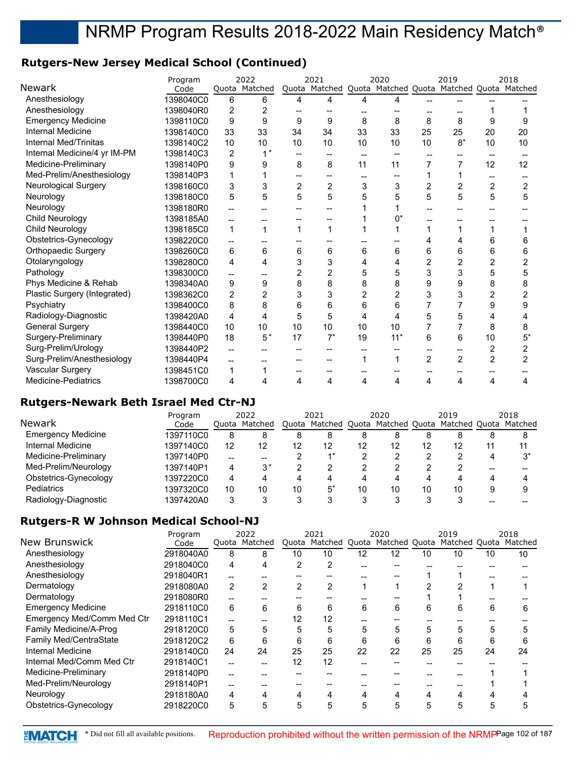## **Rutgers-New Jersey Medical School (Continued)**

| Newark                       | Program           |                          | 2022<br>Quota Matched |                | 2021<br>Quota Matched Quota Matched Quota Matched Quota Matched |    | 2020  |                | 2019           |                | 2018           |
|------------------------------|-------------------|--------------------------|-----------------------|----------------|-----------------------------------------------------------------|----|-------|----------------|----------------|----------------|----------------|
| Anesthesiology               | Code<br>1398040C0 |                          |                       |                |                                                                 |    |       |                |                |                |                |
|                              |                   | 6                        | 6                     | 4              | 4                                                               | 4  | 4     |                |                |                |                |
| Anesthesiology               | 1398040R0         | 2                        | 2                     |                |                                                                 |    |       |                |                |                |                |
| <b>Emergency Medicine</b>    | 1398110C0         | 9                        | 9                     | 9              | 9                                                               | 8  | 8     | 8              | 8              | 9              | 9              |
| <b>Internal Medicine</b>     | 1398140C0         | 33                       | 33                    | 34             | 34                                                              | 33 | 33    | 25             | 25             | 20             | 20             |
| <b>Internal Med/Trinitas</b> | 1398140C2         | 10                       | 10                    | 10             | 10                                                              | 10 | 10    | 10             | $8*$           | 10             | 10             |
| Internal Medicine/4 yr IM-PM | 1398140C3         | $\overline{2}$           |                       | --             |                                                                 |    |       |                |                |                |                |
| Medicine-Preliminary         | 1398140P0         | 9                        | 9                     | 8              | 8                                                               | 11 | 11    | 7              | 7              | 12             | 12             |
| Med-Prelim/Anesthesiology    | 1398140P3         | 1                        |                       |                |                                                                 |    |       |                |                |                |                |
| <b>Neurological Surgery</b>  | 1398160C0         | 3                        | 3                     | $\overline{c}$ | $\overline{2}$                                                  | 3  | 3     | $\overline{2}$ | 2              | $\overline{c}$ | 2              |
| Neurology                    | 1398180C0         | 5                        | 5                     | 5              | 5                                                               | 5  | 5     | 5              | 5              | 5              | 5              |
| Neurology                    | 1398180R0         |                          |                       |                |                                                                 |    |       |                |                |                |                |
| Child Neurology              | 1398185A0         |                          |                       |                |                                                                 |    | 0*    |                |                |                |                |
| Child Neurology              | 1398185C0         | 1                        | 1                     | 1              | 1                                                               |    |       |                |                |                |                |
| Obstetrics-Gynecology        | 1398220C0         | --                       |                       |                |                                                                 |    |       |                |                | 6              | 6              |
| Orthopaedic Surgery          | 1398260C0         | 6                        | 6                     | 6              | 6                                                               | 6  | 6     | 6              | 6              | 6              | 6              |
| Otolaryngology               | 1398280C0         | 4                        | 4                     | 3              | 3                                                               | 4  | 4     | 2              | 2              | 2              | 2              |
| Pathology                    | 1398300C0         | --                       |                       | 2              | 2                                                               | 5  | 5     | 3              | 3              | 5              | 5              |
| Phys Medicine & Rehab        | 1398340A0         | 9                        | 9                     | 8              | 8                                                               | 8  | 8     | 9              | 9              | 8              | 8              |
| Plastic Surgery (Integrated) | 1398362C0         | 2                        | 2                     | 3              | 3                                                               | 2  | 2     | 3              |                | 2              | 2              |
| Psychiatry                   | 1398400C0         | 8                        | 8                     | 6              | 6                                                               | 6  | 6     |                |                | 9              | 9              |
| Radiology-Diagnostic         | 1398420A0         | 4                        | 4                     | 5              | 5                                                               | 4  | 4     | 5              | 5              |                |                |
| <b>General Surgery</b>       | 1398440C0         | 10                       | 10                    | 10             | 10                                                              | 10 | 10    | 7              | 7              | 8              | 8              |
| Surgery-Preliminary          | 1398440P0         | 18                       | $5*$                  | 17             | $7^*$                                                           | 19 | $11*$ | 6              | 6              | 10             | 5*             |
| Surg-Prelim/Urology          | 1398440P2         | --                       |                       |                |                                                                 |    |       |                |                | 2              | 2              |
| Surg-Prelim/Anesthesiology   | 1398440P4         | $\overline{\phantom{a}}$ |                       |                |                                                                 | 1  | 1     | $\overline{2}$ | $\overline{2}$ | $\overline{2}$ | $\overline{2}$ |
| Vascular Surgery             | 1398451C0         | 1                        |                       |                |                                                                 |    |       |                |                |                |                |
| <b>Medicine-Pediatrics</b>   | 1398700C0         | 4                        | 4                     | 4              | 4                                                               | 4  | 4     | 4              | 4              | 4              | 4              |

## **Rutgers-Newark Beth Israel Med Ctr-NJ**

|                           | Program   |       | 2022          |    | 2021                                                    |    | 2020 |    | 2019 |   | 2018  |
|---------------------------|-----------|-------|---------------|----|---------------------------------------------------------|----|------|----|------|---|-------|
| <b>Newark</b>             | Code      |       | Ouota Matched |    | Quota Matched Quota Matched Quota Matched Quota Matched |    |      |    |      |   |       |
| <b>Emergency Medicine</b> | 1397110C0 | 8     |               | 8  | 8                                                       | 8  | 8    |    | 8    | 8 |       |
| Internal Medicine         | 1397140C0 | 12    | 12            | 12 | 12                                                      | 12 | 12   | 12 | 12   |   |       |
| Medicine-Preliminary      | 1397140P0 | $- -$ | --            |    |                                                         |    |      |    |      | 4 | $3^*$ |
| Med-Prelim/Neurology      | 1397140P1 | 4     | 3*            |    |                                                         |    |      |    |      |   |       |
| Obstetrics-Gynecology     | 1397220C0 | 4     |               | 4  |                                                         | Δ  | 4    |    |      | 4 |       |
| Pediatrics                | 1397320C0 | 10    | 10            | 10 | 5*                                                      | 10 | 10   | 10 | 10   | 9 |       |
| Radiology-Diagnostic      | 1397420A0 | 3     |               |    |                                                         | 3  | 3    |    | ≏    |   |       |

#### **Rutgers-R W Johnson Medical School-NJ**

|                               | Program   |       | 2022          |       | 2021    |    | 2020          |       | 2019          |    | 2018    |
|-------------------------------|-----------|-------|---------------|-------|---------|----|---------------|-------|---------------|----|---------|
| <b>New Brunswick</b>          | Code      |       | Quota Matched | Quota | Matched |    | Quota Matched | Quota | Matched Quota |    | Matched |
| Anesthesiology                | 2918040A0 | 8     | 8             | 10    | 10      | 12 | 12            | 10    | 10            | 10 | 10      |
| Anesthesiology                | 2918040C0 | 4     | 4             | 2     | 2       |    |               |       |               |    |         |
| Anesthesiology                | 2918040R1 |       |               |       |         |    |               |       |               |    |         |
| Dermatology                   | 2918080A0 | 2     | 2             | 2     | 2       |    |               |       |               |    |         |
| Dermatology                   | 2918080R0 |       |               |       |         |    |               |       |               |    |         |
| <b>Emergency Medicine</b>     | 2918110C0 | 6     | 6             | 6     | 6       | 6  | 6             | 6     | 6             | 6  | 6       |
| Emergency Med/Comm Med Ctr    | 2918110C1 | $- -$ |               | 12    | 12      |    |               |       |               |    |         |
| Family Medicine/A-Prog        | 2918120C0 | 5     | 5             | 5     | 5       | 5  | 5             | 5     | 5             | 5  | 5       |
| <b>Family Med/CentraState</b> | 2918120C2 | 6     | 6             | 6     | 6       | 6  | 6             | 6     | 6             | 6  | 6       |
| <b>Internal Medicine</b>      | 2918140C0 | 24    | 24            | 25    | 25      | 22 | 22            | 25    | 25            | 24 | 24      |
| Internal Med/Comm Med Ctr     | 2918140C1 |       |               | 12    | 12      |    |               |       |               |    |         |
| Medicine-Preliminary          | 2918140P0 | --    |               |       |         |    |               |       |               |    |         |
| Med-Prelim/Neurology          | 2918140P1 |       |               |       |         |    |               |       |               |    |         |
| Neurology                     | 2918180A0 | 4     |               | 4     | 4       | 4  | 4             |       | 4             |    |         |
| Obstetrics-Gynecology         | 2918220C0 | 5     |               |       | 5       | 5  | 5             |       | 5             |    | 5       |

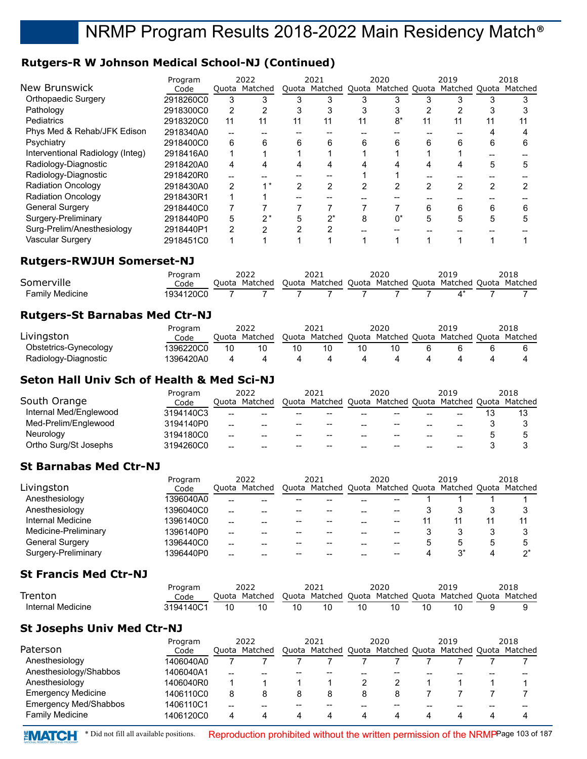## **Rutgers-R W Johnson Medical School-NJ (Continued)**

|                                  | Program   |    | 2022          |    | 2021  |    | 2020  |    | 2019                                                    |    | 2018 |
|----------------------------------|-----------|----|---------------|----|-------|----|-------|----|---------------------------------------------------------|----|------|
| New Brunswick                    | Code      |    | Ouota Matched |    |       |    |       |    | Quota Matched Quota Matched Quota Matched Quota Matched |    |      |
| Orthopaedic Surgery              | 2918260C0 | 3  |               |    |       |    |       |    |                                                         |    |      |
| Pathology                        | 2918300C0 | 2  |               |    | 3     |    | د     |    |                                                         |    |      |
| Pediatrics                       | 2918320C0 | 11 |               | 11 | 11    | 11 | $8*$  | 11 | 11                                                      | 11 |      |
| Phys Med & Rehab/JFK Edison      | 2918340A0 |    |               |    |       |    |       |    |                                                         |    |      |
| Psychiatry                       | 2918400C0 | 6  | 6             | 6  | 6     | 6  | 6     | 6  | 6                                                       | 6  | 6    |
| Interventional Radiology (Integ) | 2918416A0 | 1  |               |    |       |    |       |    |                                                         |    |      |
| Radiology-Diagnostic             | 2918420A0 | 4  |               |    |       |    |       |    |                                                         | 5  | 5    |
| Radiology-Diagnostic             | 2918420R0 |    |               |    |       |    |       |    |                                                         |    |      |
| <b>Radiation Oncology</b>        | 2918430A0 | 2  |               | 2  | 2     |    | 2     | ∩  | 2                                                       | 2  |      |
| <b>Radiation Oncology</b>        | 2918430R1 |    |               |    |       |    |       |    |                                                         |    |      |
| <b>General Surgery</b>           | 2918440C0 |    |               |    |       |    |       | 6  | 6                                                       | 6  |      |
| Surgery-Preliminary              | 2918440P0 | 5  | n*            |    | $2^*$ | 8  | $0^*$ | 5  | 5                                                       | 5  | 5    |
| Surg-Prelim/Anesthesiology       | 2918440P1 | 2  |               |    |       |    |       |    |                                                         |    |      |
| Vascular Surgery                 | 2918451C0 |    |               |    |       |    |       |    |                                                         |    |      |

## **Rutgers-RWJUH Somerset-NJ**

|                        | Program   |       | 2022    |       |  | 2020 | 2019                                                | 2018 |
|------------------------|-----------|-------|---------|-------|--|------|-----------------------------------------------------|------|
| Somerville             | Code      | Juota | Matched | Ouota |  |      | a Matched Ouota Matched Ouota Matched Ouota Matched |      |
| <b>Family Medicine</b> | 1934120CC |       |         |       |  |      |                                                     |      |

#### **Rutgers-St Barnabas Med Ctr-NJ**

|                       | Program   | 2022 |               | 2021 |                                                         | 2020 |  | 2019 |  | 2018 |
|-----------------------|-----------|------|---------------|------|---------------------------------------------------------|------|--|------|--|------|
| Livingston            | Code      |      | Ouota Matched |      | Quota Matched Quota Matched Quota Matched Quota Matched |      |  |      |  |      |
| Obstetrics-Gynecology | 1396220C0 |      |               | 10   |                                                         |      |  |      |  |      |
| Radiology-Diagnostic  | 1396420A0 |      |               |      |                                                         |      |  |      |  |      |

#### **Seton Hall Univ Sch of Health & Med Sci-NJ**

|                        | Program   |                 | 2022          |       | 2021                        |    | 2020  | 2019          | 2018    |
|------------------------|-----------|-----------------|---------------|-------|-----------------------------|----|-------|---------------|---------|
| South Orange           | Code      |                 | Ouota Matched | Quota | Matched Quota Matched Quota |    |       | Matched Quota | Matched |
| Internal Med/Englewood | 3194140C3 | $- -$           | --            | --    |                             |    | --    |               |         |
| Med-Prelim/Englewood   | 3194140P0 | $\qquad \qquad$ | --            | --    | --                          |    | --    | --            |         |
| Neurology              | 3194180C0 | $\qquad \qquad$ | --            | --    |                             |    | --    | --            |         |
| Ortho Surg/St Josephs  | 3194260C0 | $- -$           | --            | --    | --                          | -- | $- -$ | --            |         |

#### **St Barnabas Med Ctr-NJ**

|                      | Program   | 2022  |               | 2021 |                                                         | 2020 |    | 2019 |       |   | 2018 |
|----------------------|-----------|-------|---------------|------|---------------------------------------------------------|------|----|------|-------|---|------|
| Livingston           | Code      |       | Ouota Matched |      | Quota Matched Quota Matched Quota Matched Quota Matched |      |    |      |       |   |      |
| Anesthesiology       | 1396040A0 | $- -$ |               |      |                                                         |      | -- |      |       |   |      |
| Anesthesiology       | 1396040C0 | $- -$ |               | --   |                                                         |      | -- |      |       |   |      |
| Internal Medicine    | 1396140C0 | $-$   |               |      |                                                         |      | -- |      |       |   | 11   |
| Medicine-Preliminary | 1396140P0 | $- -$ |               |      |                                                         |      | -- |      |       |   |      |
| General Surgery      | 1396440C0 | $- -$ |               |      |                                                         |      | -- |      | 5     | b |      |
| Surgery-Preliminary  | 1396440P0 | $- -$ |               |      |                                                         |      |    |      | $3^*$ |   | ົາ∗  |

#### **St Francis Med Ctr-NJ**

|                   | Program   |       | 2022    |       | 2021    |       | 2020          | 2019          | 2018    |
|-------------------|-----------|-------|---------|-------|---------|-------|---------------|---------------|---------|
| Trenton           | Code      | Ouota | Matched | Ouota | Matched | Ouota | Matched Quota | Matched Ouota | Matched |
| Internal Medicine | 3194140C1 |       |         | 10    |         |       |               |               |         |

## **St Josephs Univ Med Ctr-NJ**

|                              | Program   | 2022 |               | 2021 |   | 2020 |   | 2019 |                                                 |   | 2018    |
|------------------------------|-----------|------|---------------|------|---|------|---|------|-------------------------------------------------|---|---------|
| Paterson                     | Code      |      | Ouota Matched |      |   |      |   |      | Quota Matched Quota Matched Quota Matched Quota |   | Matched |
| Anesthesiology               | 1406040A0 |      |               |      |   |      |   |      |                                                 |   |         |
| Anesthesiology/Shabbos       | 1406040A1 | --   |               |      |   |      |   |      |                                                 |   |         |
| Anesthesiology               | 1406040R0 |      |               |      |   |      |   |      |                                                 |   |         |
| <b>Emergency Medicine</b>    | 1406110C0 | 8    |               | 8    | 8 | 8    | 8 |      |                                                 |   |         |
| <b>Emergency Med/Shabbos</b> | 1406110C1 | --   |               |      |   |      |   |      |                                                 |   |         |
| <b>Family Medicine</b>       | 1406120C0 | 4    |               |      |   | 4    | 4 |      | 4                                               | 4 | 4       |



**\*MATCH** \* Did not fill all available positions. Reproduction prohibited without the written permission of the NRMPPage 103 of 187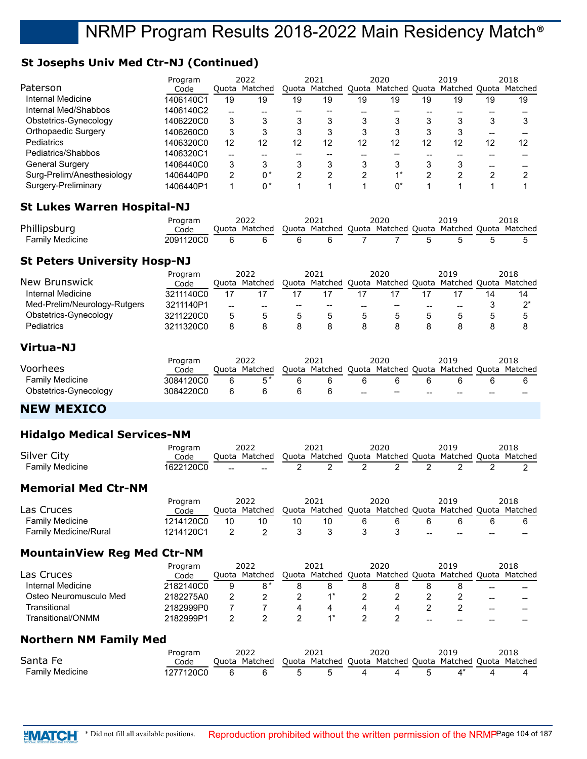## **St Josephs Univ Med Ctr-NJ (Continued)**

| Paterson                   | Program<br>Code | Ouota | 2022<br>Matched |    | 2021<br>Quota Matched |    | 2020<br>Quota Matched Quota |    | 2019<br>Matched Quota |    | 2018<br>Matched |
|----------------------------|-----------------|-------|-----------------|----|-----------------------|----|-----------------------------|----|-----------------------|----|-----------------|
| Internal Medicine          | 1406140C1       | 19    | 19              | 19 | 19                    | 19 | 19                          | 19 | 19                    | 19 | 19              |
| Internal Med/Shabbos       | 1406140C2       | --    |                 |    |                       |    |                             |    |                       |    |                 |
| Obstetrics-Gynecology      | 1406220C0       | 3     |                 | 3  | 3                     | 3  |                             |    | 3                     | 3  |                 |
| Orthopaedic Surgery        | 1406260C0       | 3     | ົ               | 3  | 3                     | 3  | 3                           |    | 3                     | -- |                 |
| Pediatrics                 | 1406320C0       | 12    | 12              | 12 | 12                    | 12 | 12                          | 12 | 12                    | 12 | 12              |
| Pediatrics/Shabbos         | 1406320C1       | --    |                 |    |                       |    |                             |    |                       |    |                 |
| <b>General Surgery</b>     | 1406440C0       | 3     |                 | 3  | 3                     |    | 3                           |    | 3                     | -- |                 |
| Surg-Prelim/Anesthesiology | 1406440P0       | 2     | 0*              | າ  | ົ                     | ⌒  | $\overline{A}$              | ◠  | ◠                     | ◠  |                 |
| Surgery-Preliminary        | 1406440P1       |       | $0^*$           |    |                       |    | 0*                          |    |                       |    |                 |

#### **St Lukes Warren Hospital-NJ**

|                 | Program   | 2022                                                                  | 2021 | 2020 | 2019 | 2018 |
|-----------------|-----------|-----------------------------------------------------------------------|------|------|------|------|
| Phillipsburg    | Code      | Quota Matched Quota Matched Quota Matched Quota Matched Quota Matched |      |      |      |      |
| Family Medicine | 2091120C0 |                                                                       |      |      |      |      |

## **St Peters University Hosp-NJ**

|                              | Program   | 2022  |         | 2021  |                                   | 2020  |    | 2019 |               |              | 2018    |
|------------------------------|-----------|-------|---------|-------|-----------------------------------|-------|----|------|---------------|--------------|---------|
| New Brunswick                | Code      | Ouota | Matched |       | Quota Matched Quota Matched Quota |       |    |      | Matched Quota |              | Matched |
| Internal Medicine            | 3211140C0 |       |         |       |                                   |       |    |      |               | 14           |         |
| Med-Prelim/Neurology-Rutgers | 3211140P1 | --    | --      | $- -$ | $- -$                             | $- -$ | -- | --   | --            |              | ∩*      |
| Obstetrics-Gynecology        | 3211220C0 | 5     |         |       |                                   |       |    |      |               | <sub>5</sub> |         |
| <b>Pediatrics</b>            | 3211320C0 | 8     |         |       |                                   |       |    |      |               |              |         |
|                              |           |       |         |       |                                   |       |    |      |               |              |         |

#### **Virtua-NJ**

|                       | Program   | 2022 |               | 2021 |                                                         | 2020  |                                                | 2019 |    |       | 2018  |
|-----------------------|-----------|------|---------------|------|---------------------------------------------------------|-------|------------------------------------------------|------|----|-------|-------|
| Voorhees              | Code      |      | Ouota Matched |      | Quota Matched Quota Matched Quota Matched Quota Matched |       |                                                |      |    |       |       |
| Family Medicine       | 3084120C0 |      | ς*            |      |                                                         |       |                                                |      |    |       |       |
| Obstetrics-Gynecology | 3084220C0 |      |               |      |                                                         | $- -$ | $\hspace{0.1mm}-\hspace{0.1mm}-\hspace{0.1mm}$ | --   | -- | $- -$ | $- -$ |

#### **NEW MEXICO**

## **Hidalgo Medical Services-NM**

|                                    | Program   |    | 2022           |                | 2021                                                    |                | 2020           |                | 2019 |                | 2018                  |
|------------------------------------|-----------|----|----------------|----------------|---------------------------------------------------------|----------------|----------------|----------------|------|----------------|-----------------------|
| <b>Silver City</b>                 | Code      |    | Quota Matched  |                | Quota Matched Quota Matched Quota Matched Quota Matched |                |                |                |      |                |                       |
| <b>Family Medicine</b>             | 1622120C0 |    |                | $\overline{2}$ | 2                                                       | 2              | $\overline{2}$ | 2              | 2    | $\overline{2}$ | 2                     |
| <b>Memorial Med Ctr-NM</b>         |           |    |                |                |                                                         |                |                |                |      |                |                       |
|                                    | Program   |    | 2022           |                | 2021                                                    |                | 2020           |                | 2019 |                | 2018                  |
| Las Cruces                         | Code      |    | Quota Matched  |                | Quota Matched Quota Matched Quota                       |                |                |                |      |                | Matched Quota Matched |
| <b>Family Medicine</b>             | 1214120C0 | 10 | 10             | 10             | 10                                                      | 6              | 6              | 6              | 6    | 6              | 6                     |
| <b>Family Medicine/Rural</b>       | 1214120C1 | 2  | $\overline{2}$ | 3              | 3                                                       | 3              | 3              |                |      |                |                       |
| <b>MountainView Reg Med Ctr-NM</b> |           |    |                |                |                                                         |                |                |                |      |                |                       |
|                                    | Program   |    | 2022           |                | 2021                                                    |                | 2020           |                | 2019 |                | 2018                  |
| Las Cruces                         | Code      |    | Quota Matched  |                | Quota Matched Quota Matched Quota                       |                |                |                |      |                | Matched Quota Matched |
| Internal Medicine                  | 2182140C0 | 9  | $8*$           | 8              | 8                                                       | 8              | 8              | 8              | 8    |                |                       |
| Osteo Neuromusculo Med             | 2182275A0 | 2  | 2              | 2              | $1^*$                                                   | 2              | 2              | 2              | 2    | --             |                       |
| Transitional                       | 2182999P0 | 7  |                | 4              | 4                                                       | 4              | 4              | $\overline{2}$ | 2    | --             |                       |
| Transitional/ONMM                  | 2182999P1 | 2  | $\overline{2}$ | $\overline{2}$ | $1^*$                                                   | $\overline{2}$ | $\overline{2}$ |                |      |                |                       |
| <b>Northern NM Family Med</b>      |           |    |                |                |                                                         |                |                |                |      |                |                       |
|                                    |           |    |                |                |                                                         |                |                |                |      |                |                       |

|                 | Program   |               |  | 2020 |                                                         | 2018 |
|-----------------|-----------|---------------|--|------|---------------------------------------------------------|------|
| Santa Fe        | Code      | Ouota Matched |  |      | Quota Matched Quota Matched Quota Matched Quota Matched |      |
| Family Medicine | 1277120C0 |               |  |      |                                                         |      |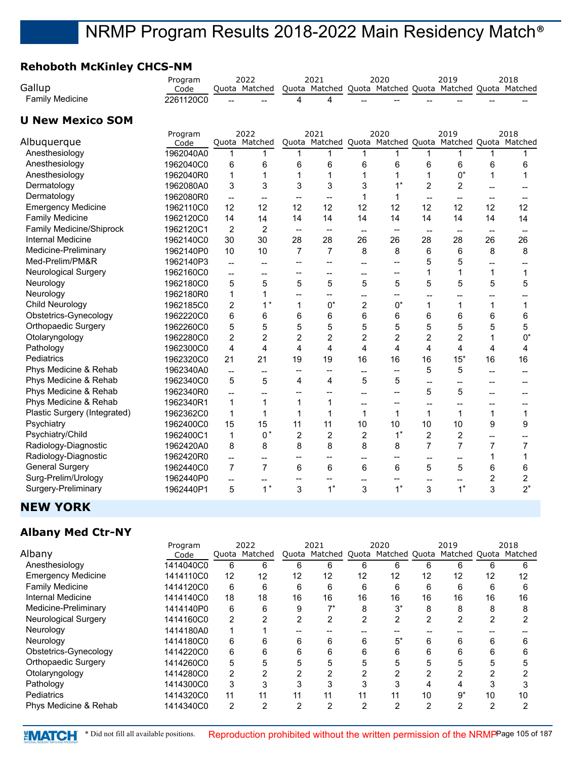## **Rehoboth McKinley CHCS-NM**

|                                 | Program   |                          | 2022                     |                          | 2021                     |                                       | 2020                                |                          | 2019                                                    |                          | 2018                    |
|---------------------------------|-----------|--------------------------|--------------------------|--------------------------|--------------------------|---------------------------------------|-------------------------------------|--------------------------|---------------------------------------------------------|--------------------------|-------------------------|
| Gallup                          | Code      |                          | Quota Matched            |                          |                          |                                       |                                     |                          | Quota Matched Quota Matched Quota Matched Quota Matched |                          |                         |
| <b>Family Medicine</b>          | 2261120C0 |                          |                          | 4                        | 4                        |                                       |                                     |                          |                                                         |                          |                         |
| <b>U New Mexico SOM</b>         |           |                          |                          |                          |                          |                                       |                                     |                          |                                                         |                          |                         |
|                                 | Program   |                          | 2022                     |                          | 2021                     |                                       | 2020                                |                          | 2019                                                    |                          | 2018                    |
| Albuquerque                     | Code      |                          | Quota Matched            |                          | Quota Matched            |                                       |                                     |                          | Quota Matched Quota Matched Quota Matched               |                          |                         |
| Anesthesiology                  | 1962040A0 | 1                        | 1                        | 1                        | 1                        | 1                                     | 1                                   | 1                        | 1                                                       | 1                        | 1                       |
| Anesthesiology                  | 1962040C0 | 6                        | 6                        | 6                        | 6                        | 6                                     | 6                                   | 6                        | 6                                                       | 6                        | 6                       |
| Anesthesiology                  | 1962040R0 | $\mathbf{1}$             | 1                        | 1                        | 1                        | 1                                     | 1                                   | 1                        | $0^*$                                                   | 1                        | 1                       |
| Dermatology                     | 1962080A0 | 3                        | 3                        | 3                        | 3                        | 3                                     | $1^*$                               | $\overline{c}$           | $\overline{2}$                                          | $\overline{\phantom{a}}$ |                         |
| Dermatology                     | 1962080R0 | $\overline{\phantom{a}}$ | $\overline{a}$           | $\overline{a}$           | $\overline{a}$           | 1                                     | 1                                   | $\overline{\phantom{a}}$ | $\overline{\phantom{a}}$                                | $\overline{\phantom{a}}$ | $-$                     |
| <b>Emergency Medicine</b>       | 1962110C0 | 12                       | 12                       | 12                       | 12                       | 12                                    | 12                                  | 12                       | 12                                                      | 12                       | 12                      |
| <b>Family Medicine</b>          | 1962120C0 | 14                       | 14                       | 14                       | 14                       | 14                                    | 14                                  | 14                       | 14                                                      | 14                       | 14                      |
| <b>Family Medicine/Shiprock</b> | 1962120C1 | $\overline{c}$           | $\overline{c}$           | $\overline{\phantom{a}}$ | $\overline{\phantom{a}}$ | $\overline{\phantom{a}}$              | $\overline{\phantom{a}}$            | $\overline{\phantom{a}}$ | $\overline{\phantom{a}}$                                | $\overline{\phantom{a}}$ |                         |
| Internal Medicine               | 1962140C0 | 30                       | 30                       | 28                       | 28                       | 26                                    | 26                                  | 28                       | 28                                                      | 26                       | 26                      |
| Medicine-Preliminary            | 1962140P0 | 10                       | 10                       | $\overline{7}$           | $\overline{7}$           | 8                                     | 8                                   | 6                        | 6                                                       | 8                        | 8                       |
| Med-Prelim/PM&R                 | 1962140P3 | $\overline{a}$           | $\overline{\phantom{0}}$ | --                       | --                       | $\overline{a}$                        | $\overline{\phantom{a}}$            | 5                        | 5                                                       | --                       |                         |
| <b>Neurological Surgery</b>     | 1962160C0 | $\overline{\phantom{a}}$ | --                       | --                       | --                       | $-$                                   | $\overline{\phantom{a}}$            | 1                        | $\mathbf{1}$                                            | 1                        | $\mathbf{1}$            |
| Neurology                       | 1962180C0 | 5                        | 5                        | 5                        | 5                        | 5                                     | 5                                   | 5                        | 5                                                       | 5                        | 5                       |
| Neurology                       | 1962180R0 | 1                        | 1                        | --                       | --                       | --                                    | $-$                                 | --                       |                                                         | --                       |                         |
| Child Neurology                 | 1962185C0 | 2                        | $1^*$                    | $\mathbf{1}$             | $0^*$                    | 2                                     | $0^*$                               | 1                        | $\mathbf{1}$                                            | 1                        | 1                       |
| Obstetrics-Gynecology           | 1962220C0 | 6                        | 6                        | 6                        | 6                        | 6                                     | 6                                   | 6                        | 6                                                       | 6                        | 6                       |
| Orthopaedic Surgery             | 1962260C0 | 5                        | 5                        | 5                        | 5                        | 5                                     | 5                                   | 5                        | 5                                                       | 5                        | 5                       |
| Otolaryngology                  | 1962280C0 | $\overline{c}$           | $\overline{2}$           | $\overline{2}$           | $\overline{c}$           | $\overline{2}$                        | $\overline{2}$                      | $\overline{2}$           | $\overline{2}$                                          | 1                        | $0^*$                   |
| Pathology                       | 1962300C0 | 4                        | $\overline{4}$           | 4                        | 4                        | 4                                     | 4                                   | 4                        | 4                                                       | 4                        | 4                       |
| Pediatrics                      | 1962320C0 | 21                       | 21                       | 19                       | 19                       | 16                                    | 16                                  | 16                       | $15*$                                                   | 16                       | 16                      |
| Phys Medicine & Rehab           | 1962340A0 | $\overline{a}$           | $\overline{a}$           | --                       | --                       | $\overline{a}$                        | $\overline{\phantom{a}}$            | 5                        | 5                                                       | $\overline{\phantom{a}}$ |                         |
| Phys Medicine & Rehab           | 1962340C0 | 5                        | 5                        | 4                        | 4                        | 5                                     | 5                                   | $\overline{a}$           | $\overline{a}$                                          | --                       |                         |
| Phys Medicine & Rehab           | 1962340R0 | $-$                      | $-$                      | --                       | --                       |                                       | $\overline{\phantom{a}}$            | 5                        | 5                                                       | --                       |                         |
| Phys Medicine & Rehab           | 1962340R1 | 1                        | 1                        | 1                        | 1                        | $\hspace{0.05cm}$ – $\hspace{0.05cm}$ | $\hspace{0.05cm}$ $\hspace{0.05cm}$ | --                       | --                                                      | $\qquad \qquad -$        | --                      |
| Plastic Surgery (Integrated)    | 1962362C0 | 1                        | 1                        | $\mathbf{1}$             | $\mathbf{1}$             | 1                                     | $\mathbf{1}$                        | $\mathbf{1}$             | $\mathbf{1}$                                            | 1                        | 1                       |
| Psychiatry                      | 1962400C0 | 15                       | 15                       | 11                       | 11                       | 10                                    | 10                                  | 10                       | 10                                                      | 9                        | 9                       |
| Psychiatry/Child                | 1962400C1 | $\mathbf{1}$             | $0*$                     | $\overline{c}$           | $\overline{c}$           | $\overline{c}$                        | $1^*$                               | $\overline{c}$           | $\overline{c}$                                          | --                       |                         |
| Radiology-Diagnostic            | 1962420A0 | 8                        | 8                        | 8                        | 8                        | 8                                     | 8                                   | $\overline{7}$           | $\overline{7}$                                          | $\overline{7}$           | $\overline{7}$          |
| Radiology-Diagnostic            | 1962420R0 | $\overline{\phantom{a}}$ | --                       | --                       | --                       | $\overline{\phantom{a}}$              | $\overline{\phantom{a}}$            |                          | --                                                      | 1                        | 1                       |
| <b>General Surgery</b>          | 1962440C0 | $\overline{7}$           | $\overline{7}$           | 6                        | 6                        | 6                                     | 6                                   | 5                        | 5                                                       | 6                        | 6                       |
| Surg-Prelim/Urology             | 1962440P0 | $\overline{\phantom{a}}$ | --                       | --                       | --                       | $\qquad \qquad \textbf{---}$          | --                                  | $\overline{\phantom{a}}$ | --                                                      | $\overline{c}$           | $\overline{\mathbf{c}}$ |
| Surgery-Preliminary             | 1962440P1 | 5                        | $1^*$                    | 3                        | $1^*$                    | 3                                     | $1^*$                               | 3                        | $1^*$                                                   | 3                        | $2^*$                   |
|                                 |           |                          |                          |                          |                          |                                       |                                     |                          |                                                         |                          |                         |

#### **NEW YORK**

#### **Albany Med Ctr-NY**

|                             | Program   |    | 2022          |    | 2021                              |    | 2020  |    | 2019                  |    | 2018 |
|-----------------------------|-----------|----|---------------|----|-----------------------------------|----|-------|----|-----------------------|----|------|
| Albany                      | Code      |    | Quota Matched |    | Quota Matched Quota Matched Quota |    |       |    | Matched Quota Matched |    |      |
| Anesthesiology              | 1414040C0 | 6  | 6             | 6  | 6                                 | 6  | 6     | 6  | 6                     | 6  | 6    |
| <b>Emergency Medicine</b>   | 1414110C0 | 12 | 12            | 12 | 12                                | 12 | 12    | 12 | 12                    | 12 | 12   |
| <b>Family Medicine</b>      | 1414120C0 | 6  | 6             | 6  | 6                                 | 6  | 6     | 6  | 6                     | 6  | 6    |
| Internal Medicine           | 1414140C0 | 18 | 18            | 16 | 16                                | 16 | 16    | 16 | 16                    | 16 | 16   |
| Medicine-Preliminary        | 1414140P0 | 6  | 6             | 9  | $\overline{ }$                    | 8  | $3^*$ | 8  | 8                     | 8  | 8    |
| <b>Neurological Surgery</b> | 1414160C0 | 2  |               | 2  | 2                                 | 2  | 2     | ◠  | 2                     | 2  |      |
| Neurology                   | 1414180A0 |    |               |    |                                   |    |       |    |                       |    |      |
| Neurology                   | 1414180C0 | 6  | 6             | 6  | 6                                 | 6  | $5^*$ | 6  | 6                     | 6  |      |
| Obstetrics-Gynecology       | 1414220C0 | 6  | 6             | 6  | 6                                 | 6  | 6     | 6  | 6                     | 6  | 6    |
| Orthopaedic Surgery         | 1414260C0 | 5  |               |    | 5                                 |    | 5     | 5  | 5                     |    |      |
| Otolaryngology              | 1414280C0 | 2  |               |    | 2                                 |    |       | ◠  |                       |    |      |
| Pathology                   | 1414300C0 | 3  | 3             |    | 3                                 |    | 3     | 4  | 4                     |    |      |
| Pediatrics                  | 1414320C0 | 11 | 11            | 11 | 11                                | 11 | 11    | 10 | $9^*$                 | 10 | 10   |
| Phys Medicine & Rehab       | 1414340C0 | 2  | 2             | 2  | 2                                 | 2  | 2     | ◠  | 2                     | 2  | ◠    |

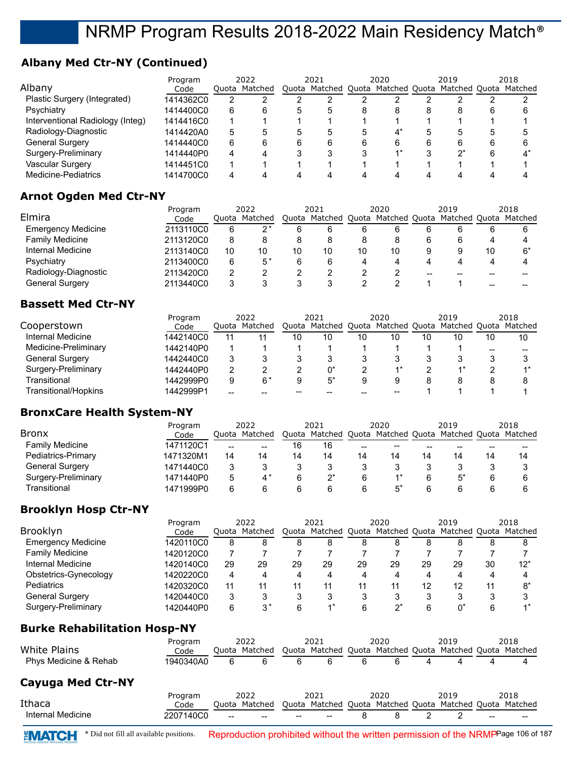## **Albany Med Ctr-NY (Continued)**

|                                  | Program   |   | 2022          |   | 2021 |   | 2020  |   | 2019                                                    |             | 2018 |
|----------------------------------|-----------|---|---------------|---|------|---|-------|---|---------------------------------------------------------|-------------|------|
| Albany                           | Code      |   | Ouota Matched |   |      |   |       |   | Quota Matched Quota Matched Quota Matched Quota Matched |             |      |
| Plastic Surgery (Integrated)     | 1414362C0 | 2 |               |   |      |   |       |   |                                                         |             |      |
| Psychiatry                       | 1414400C0 | 6 |               | 5 |      | 8 | 8     |   | 8                                                       | 6           |      |
| Interventional Radiology (Integ) | 1414416C0 |   |               |   |      |   |       |   |                                                         |             |      |
| Radiology-Diagnostic             | 1414420A0 | 5 |               | 5 | b    | 5 | $4^*$ |   | 5                                                       | $\mathbf b$ |      |
| <b>General Surgery</b>           | 1414440C0 | 6 |               | 6 | 6    | 6 | 6     | 6 | 6                                                       | 6           |      |
| Surgery-Preliminary              | 1414440P0 | 4 |               |   |      |   |       |   | n*                                                      | 6           |      |
| Vascular Surgery                 | 1414451C0 |   |               |   |      |   |       |   |                                                         |             |      |
| Medicine-Pediatrics              | 1414700C0 | 4 |               |   |      |   |       |   |                                                         |             |      |

## **Arnot Ogden Med Ctr-NY**

|                           | Program   | 2022 |               | 2021 |                                                 | 2020 |    | 2019 |    |    | 2018    |
|---------------------------|-----------|------|---------------|------|-------------------------------------------------|------|----|------|----|----|---------|
| Elmira                    | Code      |      | Ouota Matched |      | Quota Matched Quota Matched Quota Matched Quota |      |    |      |    |    | Matched |
| <b>Emergency Medicine</b> | 2113110C0 | 6    | າ*            | 6    | 6                                               | 6    | 6  |      | 6  | h  |         |
| <b>Family Medicine</b>    | 2113120C0 | 8    |               |      |                                                 |      | 8  |      |    | 4  |         |
| Internal Medicine         | 2113140C0 | 10   | 10            | 10   | 10                                              | 10   | 10 |      |    | 10 | 6*      |
| Psychiatry                | 2113400C0 | 6    | $5*$          | 6    |                                                 | 4    | 4  |      |    |    |         |
| Radiology-Diagnostic      | 2113420C0 | 2    |               |      |                                                 |      |    | --   | -- | -- |         |
| General Surgery           | 2113440C0 | 3    |               |      |                                                 |      |    |      |    | -- |         |

## **Bassett Med Ctr-NY**

|                      | Program   | 2022  |         | 2021 |                                   | 2020 |    | 2019 |               |    | 2018    |
|----------------------|-----------|-------|---------|------|-----------------------------------|------|----|------|---------------|----|---------|
| Cooperstown          | Code      | Ouota | Matched |      | Quota Matched Quota Matched Quota |      |    |      | Matched Quota |    | Matched |
| Internal Medicine    | 1442140C0 | 11    |         | 10   | 10                                | 10   | 10 |      | 10            | 10 | 10      |
| Medicine-Preliminary | 1442140P0 |       |         |      |                                   |      |    |      |               | -- |         |
| General Surgery      | 1442440C0 | 3     |         |      |                                   |      |    |      |               |    |         |
| Surgery-Preliminary  | 1442440P0 | 2     |         |      |                                   |      |    |      |               |    |         |
| Transitional         | 1442999P0 | 9     | 6*      |      |                                   | 9    | 9  |      |               |    |         |
| Transitional/Hopkins | 1442999P1 | --    |         | --   |                                   |      | -- |      |               |    |         |

## **BronxCare Health System-NY**

|                        | Program   |       | 2022    |       | 2021 |       | 2020                                              |    | 2019                                      |    | 2018    |
|------------------------|-----------|-------|---------|-------|------|-------|---------------------------------------------------|----|-------------------------------------------|----|---------|
| <b>Bronx</b>           | Code      | Ouota | Matched | Ouota |      |       |                                                   |    | Matched Quota Matched Quota Matched Quota |    | Matched |
| <b>Family Medicine</b> | 1471120C1 | $- -$ | --      | 16    | 16   | $- -$ | $\hspace{0.05cm}-\hspace{0.05cm}-\hspace{0.05cm}$ | -- | --                                        | -- |         |
| Pediatrics-Primary     | 1471320M1 | 14    | 14      | 14    | 14   | 14    | 14                                                | 14 | 14                                        | 14 | 14      |
| General Surgery        | 1471440C0 |       |         |       |      |       |                                                   |    |                                           |    |         |
| Surgery-Preliminary    | 1471440P0 | 5     |         | 6     |      | 6     |                                                   |    | $5^*$                                     |    |         |
| Transitional           | 1471999P0 | 6     |         |       |      |       |                                                   |    |                                           |    |         |

## **Brooklyn Hosp Ctr-NY**

|                           | Program   |    | 2022          |    | 2021                                                    |    | 2020 |    | 2019 |    | 2018  |
|---------------------------|-----------|----|---------------|----|---------------------------------------------------------|----|------|----|------|----|-------|
| <b>Brooklyn</b>           | Code      |    | Ouota Matched |    | Quota Matched Quota Matched Quota Matched Quota Matched |    |      |    |      |    |       |
| <b>Emergency Medicine</b> | 1420110C0 | 8  |               |    |                                                         | 8  | 8    |    |      |    |       |
| <b>Family Medicine</b>    | 1420120C0 |    |               |    |                                                         |    |      |    |      |    |       |
| Internal Medicine         | 1420140C0 | 29 | 29            | 29 | 29                                                      | 29 | 29   | 29 | 29   | 30 | $12*$ |
| Obstetrics-Gynecology     | 1420220C0 | 4  |               | 4  |                                                         | 4  | 4    |    | 4    | 4  |       |
| Pediatrics                | 1420320C0 | 11 |               | 11 | 11                                                      | 11 | 11   | 12 | 12   | 11 | 8*    |
| General Surgery           | 1420440C0 | 3  |               |    |                                                         |    |      |    |      |    |       |
| Surgery-Preliminary       | 1420440P0 | 6  | ?*            |    |                                                         | 6  | n*   |    |      | 6  |       |

## **Burke Rehabilitation Hosp-NY**

| White Plains             | Program<br>Code |    | 2022<br>Ouota Matched |   | 2021  |   | 2020 |   | 2019<br>Quota Matched Quota Matched Quota Matched Quota Matched |    | 2018  |
|--------------------------|-----------------|----|-----------------------|---|-------|---|------|---|-----------------------------------------------------------------|----|-------|
| Phys Medicine & Rehab    | 1940340A0       | 6  | 6                     | 6 | 6     | 6 | 6    | 4 |                                                                 | 4  |       |
| <b>Cayuga Med Ctr-NY</b> |                 |    |                       |   |       |   |      |   |                                                                 |    |       |
|                          | Program         |    | 2022                  |   | 2021  |   | 2020 |   | 2019                                                            |    | 2018  |
| Ithaca                   | Code            |    | Ouota Matched         |   |       |   |      |   | Quota Matched Quota Matched Quota Matched Quota Matched         |    |       |
| Internal Medicine        | 2207140C0       | -- |                       |   | $- -$ |   | 8    |   |                                                                 | -- | $- -$ |

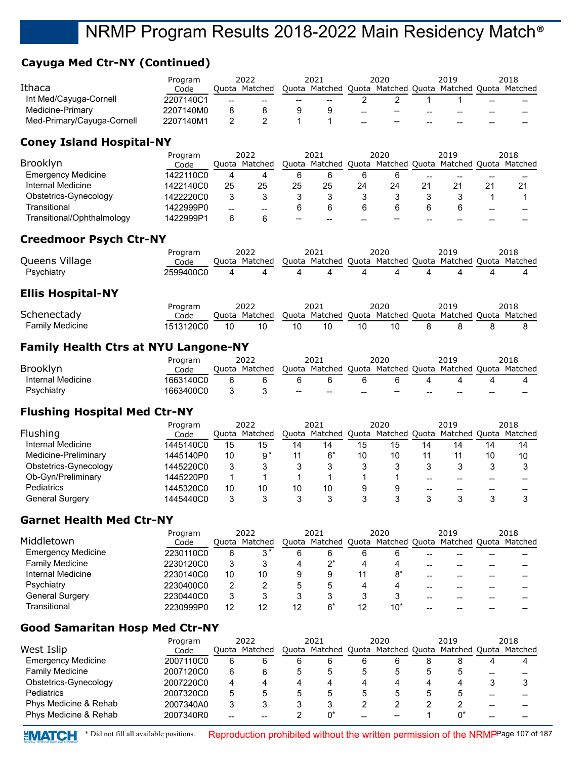## **Cayuga Med Ctr-NY (Continued)**

|                            | Program   | 2022                                           |               | 2021  |                     | 2020  |               | 2019 |                       |       | 2018  |
|----------------------------|-----------|------------------------------------------------|---------------|-------|---------------------|-------|---------------|------|-----------------------|-------|-------|
| Ithaca                     | Code      |                                                | Ouota Matched |       | Quota Matched Quota |       | Matched Quota |      | Matched Quota Matched |       |       |
| Int Med/Cayuga-Cornell     | 2207140C1 | $\hspace{0.1mm}-\hspace{0.1mm}-\hspace{0.1mm}$ | $- -$         | $- -$ | --                  |       |               |      |                       | $- -$ | $- -$ |
| Medicine-Primary           | 2207140M0 |                                                |               |       |                     | $- -$ | $- -$         | --   | --                    | --    |       |
| Med-Primary/Cayuga-Cornell | 2207140M1 |                                                |               |       |                     | $- -$ | $- -$         | --   | --                    | --    | --    |

### **Coney Island Hospital-NY**

|                            | Program   |     | 2022          |    | 2021                                                    |    | 2020 |    | 2019 |     | 2018  |
|----------------------------|-----------|-----|---------------|----|---------------------------------------------------------|----|------|----|------|-----|-------|
| Brooklyn                   | Code      |     | Ouota Matched |    | Quota Matched Quota Matched Quota Matched Quota Matched |    |      |    |      |     |       |
| <b>Emergency Medicine</b>  | 1422110C0 |     |               | 6  |                                                         |    |      | -- | --   | --  |       |
| Internal Medicine          | 1422140C0 | 25  | 25            | 25 | 25                                                      | 24 | 24   |    |      |     | 21    |
| Obstetrics-Gynecology      | 1422220C0 |     |               |    |                                                         |    |      |    |      |     |       |
| Transitional               | 1422999P0 | $-$ | --            |    |                                                         |    |      |    |      | $-$ | $- -$ |
| Transitional/Ophthalmology | 1422999P1 |     |               | -- | $- -$                                                   |    | --   |    |      |     |       |

## **Creedmoor Psych Ctr-NY**

| Queens Village           | Program<br>Code |    | 2022<br>Ouota Matched |    | 2021<br>Quota Matched Quota Matched Quota Matched Quota Matched |    | 2020 | 2019 |   | 2018 |
|--------------------------|-----------------|----|-----------------------|----|-----------------------------------------------------------------|----|------|------|---|------|
| Psychiatry               | 2599400C0       | 4  |                       |    | 4                                                               | 4  | 4    | 4    | 4 |      |
| <b>Ellis Hospital-NY</b> |                 |    |                       |    |                                                                 |    |      |      |   |      |
|                          | Program         |    | 2022                  |    | 2021                                                            |    | 2020 | 2019 |   | 2018 |
| Schenectady              | Code            |    | Ouota Matched         |    | Quota Matched Quota Matched Quota Matched Quota Matched         |    |      |      |   |      |
| <b>Family Medicine</b>   | 1513120C0       | 10 | 10                    | 10 | 10                                                              | 10 | 10   |      | 8 |      |

#### **Family Health Ctrs at NYU Langone-NY**

|                   | Program   | 2022          |     | 2021                                                    |                 | 2020                     |    | 2019                                              |       | 2018  |
|-------------------|-----------|---------------|-----|---------------------------------------------------------|-----------------|--------------------------|----|---------------------------------------------------|-------|-------|
| <b>Brooklyn</b>   | Code      | Ouota Matched |     | Quota Matched Quota Matched Quota Matched Quota Matched |                 |                          |    |                                                   |       |       |
| Internal Medicine | 1663140C0 |               |     |                                                         |                 |                          |    |                                                   |       |       |
| Psychiatry        | 1663400C0 |               | $-$ | $-$                                                     | $\qquad \qquad$ | $\overline{\phantom{a}}$ | -- | $\hspace{0.05cm}-\hspace{0.05cm}-\hspace{0.05cm}$ | $- -$ | $- -$ |

## **Flushing Hospital Med Ctr-NY**

|                        | Program   |       | 2022    |    | 2021                                            |    | 2020 |    | 2019 |    | 2018    |
|------------------------|-----------|-------|---------|----|-------------------------------------------------|----|------|----|------|----|---------|
| <b>Flushing</b>        | Code      | Ouota | Matched |    | Quota Matched Quota Matched Quota Matched Quota |    |      |    |      |    | Matched |
| Internal Medicine      | 1445140C0 | 15    | 15      | 14 | 14                                              | 15 | 15   | 14 | 14   | 14 | 14      |
| Medicine-Preliminary   | 1445140P0 | 10    | 9*      | 11 | 6*                                              | 10 | 10   |    |      | 10 | 10      |
| Obstetrics-Gynecology  | 1445220C0 | 3     |         |    |                                                 |    | 3    |    |      |    |         |
| Ob-Gyn/Preliminary     | 1445220P0 |       |         |    |                                                 |    |      |    |      |    |         |
| Pediatrics             | 1445320C0 | 10    | 10      | 10 | 10                                              | 9  | 9    | -- |      | -- |         |
| <b>General Surgery</b> | 1445440C0 | 3     |         |    |                                                 |    |      |    |      |    |         |

#### **Garnet Health Med Ctr-NY**

|                           | Program   |    | 2022          |    | 2021                                                    |    | 2020  |    | 2019 |    | 2018 |
|---------------------------|-----------|----|---------------|----|---------------------------------------------------------|----|-------|----|------|----|------|
| Middletown                | Code      |    | Ouota Matched |    | Quota Matched Quota Matched Quota Matched Quota Matched |    |       |    |      |    |      |
| <b>Emergency Medicine</b> | 2230110C0 | 6  | $3^*$         | 6  |                                                         | 6  | 6     | -- |      | -- |      |
| <b>Family Medicine</b>    | 2230120C0 | 3  |               |    |                                                         | 4  | 4     | -- |      |    |      |
| Internal Medicine         | 2230140C0 | 10 | 10            | 9  |                                                         | 11 |       | -- |      | -- |      |
| Psychiatry                | 2230400C0 | 2  |               |    |                                                         | 4  |       | -- |      | -- |      |
| <b>General Surgery</b>    | 2230440C0 | 3  |               |    |                                                         |    |       |    |      | -- |      |
| Transitional              | 2230999P0 | 12 |               | 12 | ና*                                                      | 12 | $10*$ |    |      |    |      |

## **Good Samaritan Hosp Med Ctr-NY**

|                           | Program   | 2022  |               | 2021 |   | 2020 |   | 2019 |                                                 | 2018 |         |
|---------------------------|-----------|-------|---------------|------|---|------|---|------|-------------------------------------------------|------|---------|
| West Islip                | Code      |       | Ouota Matched |      |   |      |   |      | Quota Matched Quota Matched Quota Matched Quota |      | Matched |
| <b>Emergency Medicine</b> | 2007110C0 | 6     |               |      | 6 | 6    | 6 |      |                                                 | 4    | 4       |
| <b>Family Medicine</b>    | 2007120C0 | 6     |               |      |   | 5    |   |      |                                                 | --   | --      |
| Obstetrics-Gynecology     | 2007220C0 | 4     |               |      |   |      |   |      |                                                 |      |         |
| Pediatrics                | 2007320C0 | 5     |               | ۰.   |   | 5    |   |      |                                                 | --   |         |
| Phys Medicine & Rehab     | 2007340A0 | 3     |               |      |   |      |   |      |                                                 | --   |         |
| Phys Medicine & Rehab     | 2007340R0 | $- -$ |               |      |   | --   |   |      |                                                 |      |         |

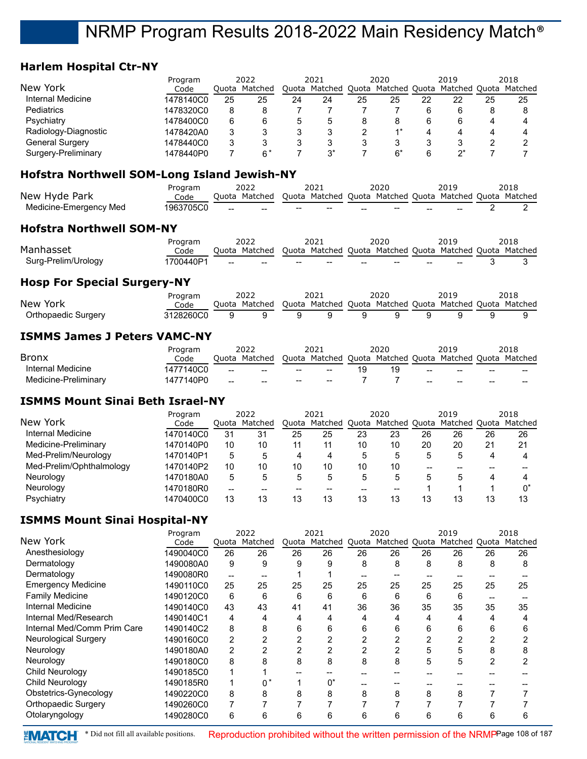### **Harlem Hospital Ctr-NY**

|                      | Program   |       | 2022    |    | 2021 |    | 2020 | 2019                                            |    | 2018    |
|----------------------|-----------|-------|---------|----|------|----|------|-------------------------------------------------|----|---------|
| New York             | Code      | Ouota | Matched |    |      |    |      | Quota Matched Quota Matched Quota Matched Quota |    | Matched |
| Internal Medicine    | 1478140C0 | 25    | 25      | 24 | 24   | 25 | 25   | 22                                              | 25 | 25      |
| Pediatrics           | 1478320C0 | 8     |         |    |      |    |      |                                                 | 8  |         |
| Psychiatry           | 1478400C0 | 6     |         | 5  |      | 8  | 8    |                                                 | 4  |         |
| Radiology-Diagnostic | 1478420A0 | 3     |         |    |      |    | $4*$ | 4                                               | 4  |         |
| General Surgery      | 1478440C0 | 3     |         |    |      |    |      |                                                 |    |         |
| Surgery-Preliminary  | 1478440P0 |       | հ*      |    |      |    | $6*$ |                                                 |    |         |

#### **Hofstra Northwell SOM-Long Island Jewish-NY**

|                        | Program   |      | 2022          |                                                   | 2021                                                      |     | 2020                                           |     | 2019 | 2018 |
|------------------------|-----------|------|---------------|---------------------------------------------------|-----------------------------------------------------------|-----|------------------------------------------------|-----|------|------|
| New Hyde Park          | Code      |      | Ouota Matched |                                                   | l Quota Matched Quota Matched Quota Matched Quota Matched |     |                                                |     |      |      |
| Medicine-Emergency Med | 1963705C0 | $ -$ | $-$           | $\hspace{0.05cm}-\hspace{0.05cm}-\hspace{0.05cm}$ | $- -$                                                     | $-$ | $\hspace{0.1mm}-\hspace{0.1mm}-\hspace{0.1mm}$ | $-$ | $-$  |      |

#### **Hofstra Northwell SOM-NY**

|                     | Program  | 2022                                                                  |                                                | 2021  |       | 2020                     |     | 2019 | 2018 |
|---------------------|----------|-----------------------------------------------------------------------|------------------------------------------------|-------|-------|--------------------------|-----|------|------|
| Manhasset           | Code     | Quota Matched Quota Matched Quota Matched Quota Matched Quota Matched |                                                |       |       |                          |     |      |      |
| Surg-Prelim/Urology | 700440P1 | $-$                                                                   | $\hspace{0.1mm}-\hspace{0.1mm}-\hspace{0.1mm}$ | $- -$ | $- -$ | $\overline{\phantom{m}}$ | $-$ |      |      |

#### **Hosp For Special Surgery-NY**

|                     | Program   | 2022                                                                  | 2021 |   | 2020 | 2019 | 2018 |
|---------------------|-----------|-----------------------------------------------------------------------|------|---|------|------|------|
| New York            | Code      | Quota Matched Quota Matched Quota Matched Quota Matched Quota Matched |      |   |      |      |      |
| Orthopaedic Surgery | 3128260C0 |                                                                       |      | Q |      |      |      |

#### **ISMMS James J Peters VAMC-NY**

|                      | Program   |       | 2022          |                                                   | 2021                                                    | 2020 |       | 2019  |    | 2018  |
|----------------------|-----------|-------|---------------|---------------------------------------------------|---------------------------------------------------------|------|-------|-------|----|-------|
| <b>Bronx</b>         | Code      |       | Ouota Matched |                                                   | Quota Matched Quota Matched Quota Matched Quota Matched |      |       |       |    |       |
| Internal Medicine    | 1477140C0 | $-$   | $-$           | $- -$                                             | $\hspace{0.05cm}$                                       |      |       | $-$   | -- | $- -$ |
| Medicine-Preliminary | 1477140P0 | $- -$ | --            | $\hspace{0.05cm}-\hspace{0.05cm}-\hspace{0.05cm}$ | $- -$                                                   |      | $- -$ | $- -$ | -- | $- -$ |

#### **ISMMS Mount Sinai Beth Israel-NY**

| Program                  |           |    | 2022          |    | 2021                                            |    | 2020 |    | 2019 |    | 2018    |
|--------------------------|-----------|----|---------------|----|-------------------------------------------------|----|------|----|------|----|---------|
| New York                 | Code      |    | Ouota Matched |    | Quota Matched Quota Matched Quota Matched Quota |    |      |    |      |    | Matched |
| Internal Medicine        | 1470140C0 | 31 | 31            | 25 | 25                                              | 23 | 23   | 26 | 26   | 26 | 26      |
| Medicine-Preliminary     | 1470140P0 | 10 | 10            | 11 | 11                                              | 10 | 10   | 20 | 20   | 21 | 21      |
| Med-Prelim/Neurology     | 1470140P1 | 5  | 5             | 4  | 4                                               | 5  | 5    |    | 5    | 4  |         |
| Med-Prelim/Ophthalmology | 1470140P2 | 10 | 10            | 10 | 10                                              | 10 | 10   |    |      |    |         |
| Neurology                | 1470180A0 | 5  |               | 5  | 5                                               | 5  | 5    | 5  | 5    | 4  |         |
| Neurology                | 1470180R0 | -- | --            |    |                                                 |    | --   |    |      |    | n*      |
| Psychiatry               | 1470400C0 | 13 | 13            | 13 | 13                                              | 13 | 13   | 13 | 13   | 13 | 13      |

#### **ISMMS Mount Sinai Hospital-NY**

|                             | Program   |                | 2022          | 2021  |         |    | 2020          |       | 2019          |    | 2018    |
|-----------------------------|-----------|----------------|---------------|-------|---------|----|---------------|-------|---------------|----|---------|
| New York                    | Code      |                | Quota Matched | Quota | Matched |    | Quota Matched | Quota | Matched Quota |    | Matched |
| Anesthesiology              | 1490040C0 | 26             | 26            | 26    | 26      | 26 | 26            | 26    | 26            | 26 | 26      |
| Dermatology                 | 1490080A0 | 9              | 9             | 9     | 9       | 8  | 8             | 8     | 8             | 8  | 8       |
| Dermatology                 | 1490080R0 |                |               |       |         |    |               |       |               |    |         |
| <b>Emergency Medicine</b>   | 1490110C0 | 25             | 25            | 25    | 25      | 25 | 25            | 25    | 25            | 25 | 25      |
| <b>Family Medicine</b>      | 1490120C0 | 6              | 6             | 6     | 6       | 6  | 6             | 6     | 6             |    |         |
| Internal Medicine           | 1490140C0 | 43             | 43            | 41    | 41      | 36 | 36            | 35    | 35            | 35 | 35      |
| Internal Med/Research       | 1490140C1 | 4              | 4             | 4     | 4       | 4  | 4             | 4     | 4             | 4  |         |
| Internal Med/Comm Prim Care | 1490140C2 | 8              | 8             | 6     | 6       | 6  | 6             | 6     | 6             | 6  |         |
| Neurological Surgery        | 1490160C0 | 2              |               |       | 2       |    | ⌒             |       |               |    |         |
| Neurology                   | 1490180A0 | $\overline{2}$ |               |       | 2       |    | ົ             | 5     | 5             | 8  |         |
| Neurology                   | 1490180C0 | 8              | 8             | 8     | 8       | 8  | 8             | 5     | 5             | ົ  |         |
| Child Neurology             | 1490185C0 |                |               |       |         |    |               |       |               |    |         |
| Child Neurology             | 1490185R0 |                |               |       | 0*      |    |               |       |               |    |         |
| Obstetrics-Gynecology       | 1490220C0 | 8              | 8             | 8     | 8       | 8  | 8             | 8     | 8             |    |         |
| Orthopaedic Surgery         | 1490260C0 |                |               |       |         |    |               |       |               |    |         |
| Otolaryngology              | 1490280C0 | 6              | 6             | 6     | 6       | 6  | 6             | հ     | 6             | 6  | n       |
|                             |           |                |               |       |         |    |               |       |               |    |         |

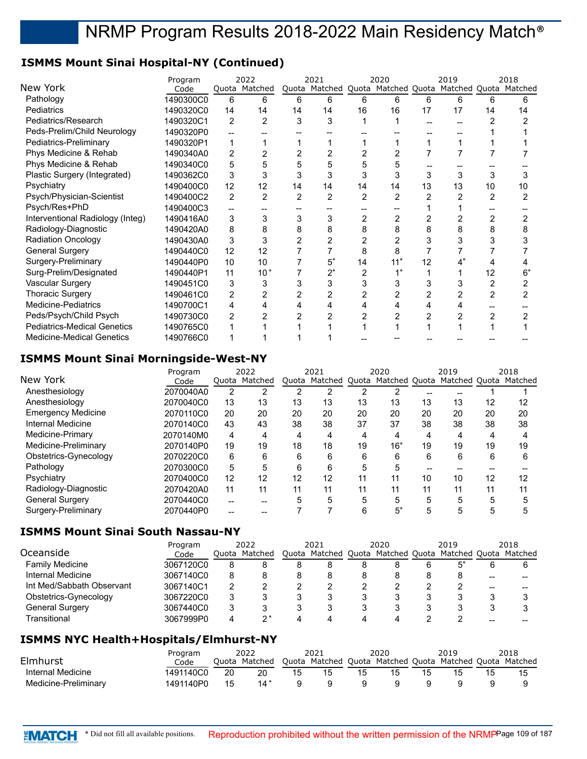# **ISMMS Mount Sinai Hospital-NY (Continued)**

| New York                           | Program<br>Code |                | 2022<br>Quota Matched |                | 2021<br>Quota Matched Quota Matched Quota Matched Quota Matched |    | 2020  |    | 2019 |    | 2018 |
|------------------------------------|-----------------|----------------|-----------------------|----------------|-----------------------------------------------------------------|----|-------|----|------|----|------|
| Pathology                          |                 |                |                       |                |                                                                 |    |       |    | 6    |    |      |
|                                    | 1490300C0       | 6              | 6                     | 6              | 6                                                               | 6  | 6     | 6  |      | 6  | 6    |
| Pediatrics                         | 1490320C0       | 14             | 14                    | 14             | 14                                                              | 16 | 16    | 17 | 17   | 14 | 14   |
| Pediatrics/Research                | 1490320C1       | $\overline{2}$ | $\overline{2}$        | 3              | 3                                                               |    |       |    |      |    |      |
| Peds-Prelim/Child Neurology        | 1490320P0       |                |                       |                |                                                                 |    |       |    |      |    |      |
| Pediatrics-Preliminary             | 1490320P1       |                |                       |                |                                                                 |    |       |    |      |    |      |
| Phys Medicine & Rehab              | 1490340A0       | 2              |                       |                | 2                                                               |    |       |    |      |    |      |
| Phys Medicine & Rehab              | 1490340C0       | 5              | 5                     | 5              | 5                                                               |    | 5     |    |      |    |      |
| Plastic Surgery (Integrated)       | 1490362C0       | 3              | 3                     |                | 3                                                               |    | 3     | 3  |      | 3  | 3    |
| Psychiatry                         | 1490400C0       | 12             | 12                    | 14             | 14                                                              | 14 | 14    | 13 | 13   | 10 | 10   |
| Psych/Physician-Scientist          | 1490400C2       | $\overline{2}$ | $\overline{2}$        | $\overline{2}$ | 2                                                               | 2  | 2     | 2  |      | 2  |      |
| Psych/Res+PhD                      | 1490400C3       |                |                       |                |                                                                 |    |       |    |      |    |      |
| Interventional Radiology (Integ)   | 1490416A0       | 3              | 3                     | 3              | 3                                                               |    |       |    |      |    |      |
| Radiology-Diagnostic               | 1490420A0       | 8              | 8                     |                | 8                                                               | 8  | 8     | 8  |      | 8  | 8    |
| <b>Radiation Oncology</b>          | 1490430A0       | 3              | 3                     |                |                                                                 |    |       | 3  |      |    |      |
| <b>General Surgery</b>             | 1490440C0       | 12             | 12                    |                |                                                                 | 8  | 8     |    |      |    |      |
| Surgery-Preliminary                | 1490440P0       | 10             | 10                    |                | $5^*$                                                           | 14 | $11*$ | 12 |      |    |      |
| Surg-Prelim/Designated             | 1490440P1       | 11             | $10*$                 |                | $2^*$                                                           |    |       |    |      | 12 |      |
| Vascular Surgery                   | 1490451C0       | 3              | 3                     |                | 3                                                               |    | 3     | 3  |      | 2  |      |
| <b>Thoracic Surgery</b>            | 1490461C0       | 2              | 2                     |                | 2                                                               |    |       | 2  |      |    |      |
| <b>Medicine-Pediatrics</b>         | 1490700C1       | 4              |                       |                | 4                                                               |    |       |    |      |    |      |
| Peds/Psych/Child Psych             | 1490730C0       | 2              |                       |                |                                                                 |    |       | 2  |      |    |      |
| <b>Pediatrics-Medical Genetics</b> | 1490765C0       |                |                       |                |                                                                 |    |       |    |      |    |      |
| <b>Medicine-Medical Genetics</b>   | 1490766C0       |                |                       |                |                                                                 |    |       |    |      |    |      |

## **ISMMS Mount Sinai Morningside-West-NY**

|                           | Program   |     | 2022          |    | 2021                              |    | 2020  |    | 2019                  |    | 2018 |
|---------------------------|-----------|-----|---------------|----|-----------------------------------|----|-------|----|-----------------------|----|------|
| New York                  | Code      |     | Ouota Matched |    | Quota Matched Quota Matched Quota |    |       |    | Matched Quota Matched |    |      |
| Anesthesiology            | 2070040A0 | 2   |               |    |                                   |    | 2     |    |                       |    |      |
| Anesthesiology            | 2070040C0 | 13  | 13            | 13 | 13                                | 13 | 13    | 13 | 13                    | 12 | 12   |
| <b>Emergency Medicine</b> | 2070110C0 | 20  | 20            | 20 | 20                                | 20 | 20    | 20 | 20                    | 20 | 20   |
| Internal Medicine         | 2070140C0 | 43  | 43            | 38 | 38                                | 37 | 37    | 38 | 38                    | 38 | 38   |
| Medicine-Primary          | 2070140M0 | 4   | 4             | 4  | 4                                 | 4  | 4     | 4  | 4                     | 4  |      |
| Medicine-Preliminary      | 2070140P0 | 19  | 19            | 18 | 18                                | 19 | $16*$ | 19 | 19                    | 19 | 19   |
| Obstetrics-Gynecology     | 2070220C0 | 6   | հ             | 6  | 6                                 | 6  | 6     | 6  | 6                     | 6  | 6    |
| Pathology                 | 2070300C0 | 5   | 5             | 6  | 6                                 | 5  | 5     |    |                       |    |      |
| Psychiatry                | 2070400C0 | 12  | 12            | 12 | 12                                | 11 | 11    | 10 | 10                    | 12 | 12   |
| Radiology-Diagnostic      | 2070420A0 | 11  | 11            | 11 | 11                                | 11 | 11    | 11 | 11                    | 11 | 11   |
| <b>General Surgery</b>    | 2070440C0 | $-$ |               |    | 5                                 | 5  | 5     | 5  | 5                     | 5  | 5    |
| Surgery-Preliminary       | 2070440P0 |     |               |    |                                   | 6  | $5^*$ | h  | 5                     | 5  |      |

### **ISMMS Mount Sinai South Nassau-NY**

|                           | Program   |   | 2022          |   | 2021 |   | 2020 | 2019                                                    |    | 2018 |
|---------------------------|-----------|---|---------------|---|------|---|------|---------------------------------------------------------|----|------|
| Oceanside                 | Code      |   | Ouota Matched |   |      |   |      | Quota Matched Quota Matched Quota Matched Quota Matched |    |      |
| <b>Family Medicine</b>    | 3067120C0 | 8 |               | 8 |      |   | 8    |                                                         | 6  |      |
| Internal Medicine         | 3067140C0 | 8 |               |   |      |   |      |                                                         | -- |      |
| Int Med/Sabbath Observant | 3067140C1 | 2 |               |   |      |   |      |                                                         |    |      |
| Obstetrics-Gynecology     | 3067220C0 |   |               |   |      |   |      |                                                         |    |      |
| General Surgery           | 3067440C0 | 3 |               |   |      |   |      |                                                         |    |      |
| Transitional              | 3067999P0 | 4 | າ*            |   |      | Δ |      |                                                         |    |      |

# **ISMMS NYC Health+Hospitals/Elmhurst-NY**

|                      | Program   |    | 2022          |    | 2021                                                    |    | 2020 | 2019 | 2018 |
|----------------------|-----------|----|---------------|----|---------------------------------------------------------|----|------|------|------|
| Elmhurst             | Code      |    | Ouota Matched |    | Quota Matched Quota Matched Quota Matched Quota Matched |    |      |      |      |
| Internal Medicine    | 1491140C0 | 20 |               | 15 |                                                         | 15 | 15   |      |      |
| Medicine-Preliminary | 1491140P0 | 15 | $14*$         |    |                                                         |    |      |      |      |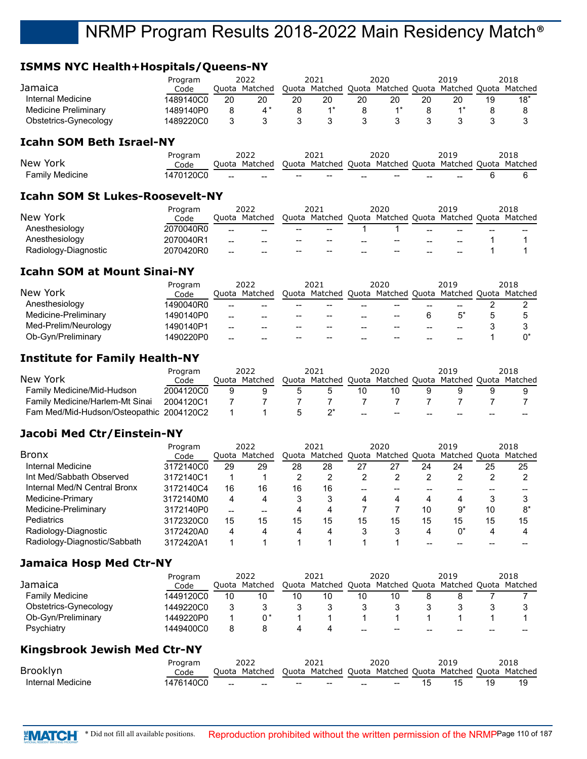### **ISMMS NYC Health+Hospitals/Queens-NY**

|                       | Program   | 2022  |         | 2021  |         | 2020  |               | 2019 |                       |    | 2018  |
|-----------------------|-----------|-------|---------|-------|---------|-------|---------------|------|-----------------------|----|-------|
| Jamaica               | Code      | Ouota | Matched | Ouota | Matched | Ouota | Matched Quota |      | Matched Quota Matched |    |       |
| Internal Medicine     | 1489140C0 | 20    | 20      | 20    | 20      | 20    | 20            | 20   | 20                    | 19 | $18*$ |
| Medicine Preliminary  | 1489140P0 |       |         |       |         |       |               |      |                       |    |       |
| Obstetrics-Gynecology | 1489220C0 |       |         |       |         |       |               |      |                       |    |       |

### **Icahn SOM Beth Israel-NY**

|                 | Program   |       | 2022              |                                                | 2021                                           |       | 2020                                           |    | 2019                                                    | 2018 |
|-----------------|-----------|-------|-------------------|------------------------------------------------|------------------------------------------------|-------|------------------------------------------------|----|---------------------------------------------------------|------|
| New York        | Code      |       | Ouota Matched     |                                                |                                                |       |                                                |    | Ouota Matched Ouota Matched Ouota Matched Ouota Matched |      |
| Familv Medicine | 1470120C0 | $- -$ | $\hspace{0.05cm}$ | $\hspace{0.1mm}-\hspace{0.1mm}-\hspace{0.1mm}$ | $\hspace{0.1mm}-\hspace{0.1mm}-\hspace{0.1mm}$ | $- -$ | $\hspace{0.1mm}-\hspace{0.1mm}-\hspace{0.1mm}$ | -- | $- -$                                                   |      |

### **Icahn SOM St Lukes-Roosevelt-NY**

|                      | Program   |       | 2022                                              |       | 2021                |       | 2020          |    | 2019                  |    | 2018 |
|----------------------|-----------|-------|---------------------------------------------------|-------|---------------------|-------|---------------|----|-----------------------|----|------|
| New York             | Code      | Ouota | Matched                                           |       | Quota Matched Quota |       | Matched Quota |    | Matched Quota Matched |    |      |
| Anesthesiology       | 2070040R0 | $- -$ | --                                                | $- -$ | $- -$               |       |               | -- | --                    | -- |      |
| Anesthesiology       | 2070040R1 | $- -$ | --                                                | $- -$ | $- -$               | $- -$ | $- -$         | -- | --                    |    |      |
| Radiology-Diagnostic | 2070420R0 | $- -$ | $\hspace{0.05cm}-\hspace{0.05cm}-\hspace{0.05cm}$ | $- -$ | $- -$               | $- -$ | $- -$         | -- | --                    |    |      |

### **Icahn SOM at Mount Sinai-NY**

|                      | Program   |       | 2022    |                                                   | 2021          |    | 2020                                              |    | 2019                              | 2018    |
|----------------------|-----------|-------|---------|---------------------------------------------------|---------------|----|---------------------------------------------------|----|-----------------------------------|---------|
| New York             | Code      | Ouota | Matched |                                                   | Quota Matched |    |                                                   |    | Quota Matched Quota Matched Quota | Matched |
| Anesthesiology       | 1490040R0 | --    | --      | $\hspace{0.05cm}-\hspace{0.05cm}-\hspace{0.05cm}$ | $- -$         | -- | --                                                | -- | --                                |         |
| Medicine-Preliminary | 1490140P0 | $- -$ | --      | --                                                | $- -$         | -- | $\hspace{0.05cm}-\hspace{0.05cm}-\hspace{0.05cm}$ |    |                                   |         |
| Med-Prelim/Neurology | 1490140P1 | $- -$ | --      | $- -$                                             | $- -$         | -- | $- -$                                             |    | --                                |         |
| Ob-Gyn/Preliminary   | 1490220P0 | --    | --      | $\hspace{0.05cm}-\hspace{0.05cm}-\hspace{0.05cm}$ | --            | -- | $- -$                                             |    | --                                |         |

#### **Institute for Family Health-NY**

|                                          | Program   |       | 2022    | 2021                                                    |       | 2020  |    | 2019 |       | 2018 |
|------------------------------------------|-----------|-------|---------|---------------------------------------------------------|-------|-------|----|------|-------|------|
| New York                                 | Code      | Ouota | Matched | Quota Matched Quota Matched Quota Matched Quota Matched |       |       |    |      |       |      |
| Family Medicine/Mid-Hudson               | 2004120C0 | a     |         |                                                         | 10    | 10    |    |      |       |      |
| Family Medicine/Harlem-Mt Sinai          | 2004120C1 |       |         |                                                         |       |       |    |      |       |      |
| Fam Med/Mid-Hudson/Osteopathic 2004120C2 |           |       |         |                                                         | $- -$ | $- -$ | -- | --   | $- -$ | --   |

### **Jacobi Med Ctr/Einstein-NY**

|                              | Program   |       | 2022    |    | 2021                              |    | 2020 |    | 2019                  |    | 2018 |
|------------------------------|-----------|-------|---------|----|-----------------------------------|----|------|----|-----------------------|----|------|
| <b>Bronx</b>                 | Code      | Quota | Matched |    | Quota Matched Quota Matched Quota |    |      |    | Matched Quota Matched |    |      |
| Internal Medicine            | 3172140C0 | 29    | 29      | 28 | 28                                | 27 |      | 24 | 24                    | 25 | 25   |
| Int Med/Sabbath Observed     | 3172140C1 |       |         | 2  | 2                                 | 2  | 2    |    | ົ                     |    |      |
| Internal Med/N Central Bronx | 3172140C4 | 16    | 16      | 16 | 16                                |    |      |    |                       |    |      |
| Medicine-Primary             | 3172140M0 | 4     |         | 3  | 3                                 | 4  | 4    | 4  | 4                     | 3  |      |
| Medicine-Preliminary         | 3172140P0 | --    |         |    | 4                                 |    |      | 10 | 9*                    | 10 | 8*   |
| <b>Pediatrics</b>            | 3172320C0 | 15    | 15      | 15 | 15                                | 15 | 15   | 15 | 15                    | 15 | 15   |
| Radiology-Diagnostic         | 3172420A0 | 4     |         | 4  | 4                                 | 3  | 3    |    | $0^*$                 | 4  |      |
| Radiology-Diagnostic/Sabbath | 3172420A1 |       |         |    |                                   |    |      |    |                       |    |      |

### **Jamaica Hosp Med Ctr-NY**

|                        | Program   |        | 2022          |       | 2021    |       | 2020                |    | 2019          |       | 2018    |
|------------------------|-----------|--------|---------------|-------|---------|-------|---------------------|----|---------------|-------|---------|
| Jamaica                | Code      |        | Ouota Matched | Ouota | Matched |       | Quota Matched Quota |    | Matched Quota |       | Matched |
| <b>Family Medicine</b> | 1449120C0 | 10     | 10            | 10    | 10      | 10    | 10                  |    |               |       |         |
| Obstetrics-Gynecology  | 1449220C0 | 2<br>ມ |               |       |         |       |                     |    |               |       |         |
| Ob-Gyn/Preliminary     | 1449220P0 |        | ∩*            |       |         |       |                     |    |               |       |         |
| Psychiatry             | 1449400C0 | 8      |               |       |         | $- -$ | $- -$               | -- | $- -$         | $- -$ | $- -$   |
|                        |           |        |               |       |         |       |                     |    |               |       |         |

#### **Kingsbrook Jewish Med Ctr-NY**

|                   | Program   |                                                | 2022          |                                                |                                                         |       | 2020 | 2019 | 2018 |
|-------------------|-----------|------------------------------------------------|---------------|------------------------------------------------|---------------------------------------------------------|-------|------|------|------|
| Brooklyn          | Code      |                                                | Ouota Matched |                                                | Ouota Matched Ouota Matched Ouota Matched Ouota Matched |       |      |      |      |
| Internal Medicine | 1476140C0 | $\hspace{0.1mm}-\hspace{0.1mm}-\hspace{0.1mm}$ | $-$           | $\hspace{0.1mm}-\hspace{0.1mm}-\hspace{0.1mm}$ | $- -$                                                   | $- -$ | $-$  |      |      |

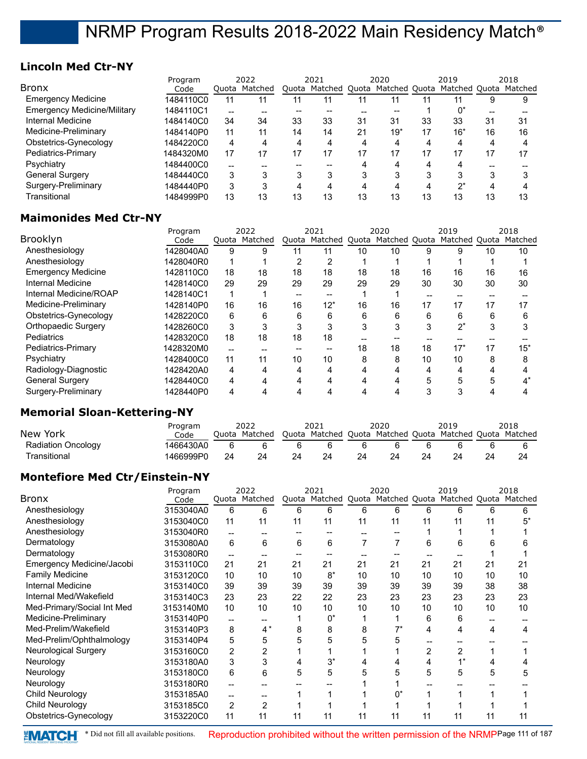## **Lincoln Med Ctr-NY**

|                                    | Program   |    | 2022          |    | 2021                              |    | 2020  |    | 2019                  |    | 2018 |
|------------------------------------|-----------|----|---------------|----|-----------------------------------|----|-------|----|-----------------------|----|------|
| <b>Bronx</b>                       | Code      |    | Quota Matched |    | Quota Matched Quota Matched Quota |    |       |    | Matched Quota Matched |    |      |
| <b>Emergency Medicine</b>          | 1484110C0 | 11 | 11            | 11 | 11                                | 11 | 11    |    |                       | 9  | 9    |
| <b>Emergency Medicine/Military</b> | 1484110C1 | -- |               |    |                                   |    | --    |    | 0*                    |    |      |
| Internal Medicine                  | 1484140C0 | 34 | 34            | 33 | 33                                | 31 | 31    | 33 | 33                    | 31 | 31   |
| Medicine-Preliminary               | 1484140P0 | 11 | 11            | 14 | 14                                | 21 | $19*$ | 17 | $16*$                 | 16 | 16   |
| Obstetrics-Gynecology              | 1484220C0 | 4  | 4             | 4  | 4                                 | 4  | 4     | 4  | 4                     | 4  |      |
| Pediatrics-Primary                 | 1484320M0 | 17 | 17            | 17 | 17                                | 17 | 17    | 17 | 17                    | 17 | 17   |
| Psychiatry                         | 1484400C0 | -- |               |    |                                   |    |       | Δ  |                       |    |      |
| <b>General Surgery</b>             | 1484440C0 | 3  | 3             | 3  | 3                                 | 3  | 3     | 3  | 3                     | 3  |      |
| Surgery-Preliminary                | 1484440P0 | 3  | 3             | 4  | 4                                 | 4  | 4     |    | ′?                    | 4  |      |
| Transitional                       | 1484999P0 | 13 | 13            | 13 | 13                                | 13 | 13    | 13 | 13                    | 13 | 13   |

## **Maimonides Med Ctr-NY**

|                           | Program   |    | 2022          |    | 2021                              |    | 2020 |    | 2019          |    | 2018    |
|---------------------------|-----------|----|---------------|----|-----------------------------------|----|------|----|---------------|----|---------|
| Brooklyn                  | Code      |    | Quota Matched |    | Quota Matched Quota Matched Quota |    |      |    | Matched Quota |    | Matched |
| Anesthesiology            | 1428040A0 | 9  | 9             | 11 | 11                                | 10 | 10   | 9  | 9             | 10 | 10      |
| Anesthesiology            | 1428040R0 |    |               | c  | 2                                 |    |      |    |               |    |         |
| <b>Emergency Medicine</b> | 1428110C0 | 18 | 18            | 18 | 18                                | 18 | 18   | 16 | 16            | 16 | 16      |
| Internal Medicine         | 1428140C0 | 29 | 29            | 29 | 29                                | 29 | 29   | 30 | 30            | 30 | 30      |
| Internal Medicine/ROAP    | 1428140C1 |    |               |    |                                   |    |      |    |               |    |         |
| Medicine-Preliminary      | 1428140P0 | 16 | 16            | 16 | $12*$                             | 16 | 16   | 17 | 17            | 17 | 17      |
| Obstetrics-Gynecology     | 1428220C0 | 6  | 6             | 6  | 6                                 | 6  | 6    | 6  | 6             | 6  | 6       |
| Orthopaedic Surgery       | 1428260C0 | 3  |               |    | 3                                 |    | 3    | 3  | $2^*$         |    |         |
| <b>Pediatrics</b>         | 1428320C0 | 18 | 18            | 18 | 18                                |    |      |    |               |    |         |
| Pediatrics-Primary        | 1428320M0 | -- |               |    |                                   | 18 | 18   | 18 | $17*$         | 17 | $15*$   |
| Psychiatry                | 1428400C0 | 11 | 11            | 10 | 10                                | 8  | 8    | 10 | 10            | 8  |         |
| Radiology-Diagnostic      | 1428420A0 | 4  |               | 4  | 4                                 |    | 4    |    |               |    |         |
| <b>General Surgery</b>    | 1428440C0 | 4  | Δ             | 4  | 4                                 | 4  | 4    | 5  | 5             |    |         |
| Surgery-Preliminary       | 1428440P0 | 4  |               |    |                                   |    | 4    |    |               |    |         |

## **Memorial Sloan-Kettering-NY**

| New York                  | Program<br>Code |    | 2022<br>Ouota Matched |    | 2021<br>Quota Matched Quota Matched Quota Matched Quota Matched |    | 2020 | 2019 |    | 2018 |
|---------------------------|-----------------|----|-----------------------|----|-----------------------------------------------------------------|----|------|------|----|------|
| <b>Radiation Oncology</b> | 1466430A0       |    |                       |    |                                                                 |    |      |      |    |      |
| Transitional              | I466999P0       | 24 |                       | 24 | 24                                                              | 24 | 24   |      | 24 |      |

## **Montefiore Med Ctr/Einstein-NY**

|                             | Program   |                | 2022          |    | 2021                                                    |    | 2020 |    | 2019 |    | 2018 |
|-----------------------------|-----------|----------------|---------------|----|---------------------------------------------------------|----|------|----|------|----|------|
| <b>Bronx</b>                | Code      |                | Quota Matched |    | Quota Matched Quota Matched Quota Matched Quota Matched |    |      |    |      |    |      |
| Anesthesiology              | 3153040A0 | 6              | 6             | 6  | 6                                                       | 6  | 6    | 6  | 6    | 6  |      |
| Anesthesiology              | 3153040C0 | 11             | 11            | 11 | 11                                                      | 11 | 11   | 11 | 11   | 11 | 5*   |
| Anesthesiology              | 3153040R0 | --             |               |    |                                                         |    |      |    |      |    |      |
| Dermatology                 | 3153080A0 | 6              | 6             | 6  | 6                                                       |    |      | 6  | 6    | 6  | 6    |
| Dermatology                 | 3153080R0 |                |               |    |                                                         |    |      |    |      |    |      |
| Emergency Medicine/Jacobi   | 3153110C0 | 21             | 21            | 21 | 21                                                      | 21 | 21   | 21 | 21   | 21 | 21   |
| <b>Family Medicine</b>      | 3153120C0 | 10             | 10            | 10 | $8*$                                                    | 10 | 10   | 10 | 10   | 10 | 10   |
| Internal Medicine           | 3153140C0 | 39             | 39            | 39 | 39                                                      | 39 | 39   | 39 | 39   | 38 | 38   |
| Internal Med/Wakefield      | 3153140C3 | 23             | 23            | 22 | 22                                                      | 23 | 23   | 23 | 23   | 23 | 23   |
| Med-Primary/Social Int Med  | 3153140M0 | 10             | 10            | 10 | 10                                                      | 10 | 10   | 10 | 10   | 10 | 10   |
| Medicine-Preliminary        | 3153140P0 | --             |               |    | $0^*$                                                   |    |      | 6  | 6    |    |      |
| Med-Prelim/Wakefield        | 3153140P3 | 8              | $4^*$         | 8  | 8                                                       | 8  |      | 4  | 4    | 4  | 4    |
| Med-Prelim/Ophthalmology    | 3153140P4 | 5              | 5             | 5  | 5                                                       | 5  | 5    |    |      |    |      |
| <b>Neurological Surgery</b> | 3153160C0 | $\overline{2}$ |               |    |                                                         |    |      | 2  | 2    |    |      |
| Neurology                   | 3153180A0 | 3              | 3             |    | $3^*$                                                   |    |      | 4  |      |    |      |
| Neurology                   | 3153180C0 | 6              | 6             | 5  | 5                                                       | 5  | 5    | 5  | 5    | 5  | 5    |
| Neurology                   | 3153180R0 |                |               |    |                                                         |    |      |    |      |    |      |
| Child Neurology             | 3153185A0 |                |               |    |                                                         |    |      |    |      |    |      |
| Child Neurology             | 3153185C0 | 2              | 2             |    |                                                         |    |      |    |      |    |      |
| Obstetrics-Gynecology       | 3153220C0 | 11             | 11            | 11 | 11                                                      | 11 | 11   | 11 | 11   | 11 | 11   |
|                             |           |                |               |    |                                                         |    |      |    |      |    |      |

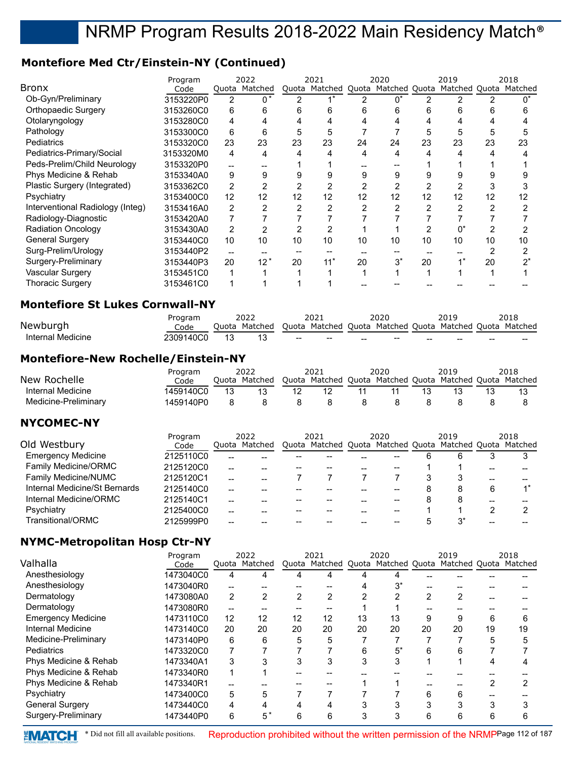# **Montefiore Med Ctr/Einstein-NY (Continued)**

|                                                       | Program         |                          | 2022                       |                                     | 2021                          |                          | 2020                                                            |                          | 2019                     |                | 2018           |
|-------------------------------------------------------|-----------------|--------------------------|----------------------------|-------------------------------------|-------------------------------|--------------------------|-----------------------------------------------------------------|--------------------------|--------------------------|----------------|----------------|
| <b>Bronx</b>                                          | Code            |                          | Quota Matched              | Quota                               | Matched Quota                 |                          | Matched Quota                                                   |                          | Matched Quota            |                | Matched        |
| Ob-Gyn/Preliminary                                    | 3153220P0       | $\overline{2}$           | $0^*$                      | 2                                   | $1^*$                         | $\overline{2}$           | $0^*$                                                           | $\overline{2}$           | $\overline{c}$           | $\overline{2}$ | $0^*$          |
| <b>Orthopaedic Surgery</b>                            | 3153260C0       | 6                        | 6                          | 6                                   | 6                             | 6                        | 6                                                               | 6                        | 6                        | 6              | 6              |
| Otolaryngology                                        | 3153280C0       | 4                        | 4                          | 4                                   | 4                             | 4                        | 4                                                               | 4                        | 4                        | 4              | 4              |
| Pathology                                             | 3153300C0       | 6                        | 6                          | 5                                   | 5                             | $\overline{7}$           | 7                                                               | 5                        | 5                        | 5              | 5              |
| Pediatrics                                            | 3153320C0       | 23                       | 23                         | 23                                  | 23                            | 24                       | 24                                                              | 23                       | 23                       | 23             | 23             |
| Pediatrics-Primary/Social                             | 3153320M0       | 4                        | 4                          | 4                                   | 4                             | 4                        | 4                                                               | 4                        | 4                        | 4              | 4              |
| Peds-Prelim/Child Neurology                           | 3153320P0       | $\overline{a}$           | --                         | 1                                   | 1                             | --                       | $-$                                                             | 1                        | 1                        | 1              | 1              |
| Phys Medicine & Rehab                                 | 3153340A0       | 9                        | 9                          | 9                                   | 9                             | 9                        | 9                                                               | 9                        | 9                        | 9              | 9              |
| Plastic Surgery (Integrated)                          | 3153362C0       | $\overline{c}$           | $\overline{c}$             | $\overline{c}$                      | $\overline{c}$                | $\overline{2}$           | $\overline{c}$                                                  | $\overline{c}$           | $\overline{c}$           | 3              | 3              |
| Psychiatry                                            | 3153400C0       | 12                       | 12                         | 12                                  | 12                            | 12                       | 12                                                              | 12                       | 12                       | 12             | 12             |
| Interventional Radiology (Integ)                      | 3153416A0       | $\overline{c}$           | $\overline{c}$             | 2                                   | $\overline{c}$                | 2                        | 2                                                               | $\overline{c}$           | $\overline{c}$           | 2              | 2              |
| Radiology-Diagnostic                                  | 3153420A0       | $\overline{7}$           | 7                          | 7                                   | $\overline{7}$                | $\overline{7}$           | 7                                                               | 7                        | 7                        | $\overline{7}$ | 7              |
| <b>Radiation Oncology</b>                             | 3153430A0       | $\overline{c}$           | $\overline{2}$             | $\overline{c}$                      | $\overline{2}$                | $\mathbf{1}$             | 1                                                               | $\overline{2}$           | $0^*$                    | 2              | $\overline{c}$ |
| <b>General Surgery</b>                                | 3153440C0       | 10                       | 10                         | 10                                  | 10                            | 10                       | 10                                                              | 10                       | 10                       | 10             | 10             |
| Surg-Prelim/Urology                                   | 3153440P2       | $\overline{\phantom{a}}$ | $\overline{\phantom{a}}$   | $\hspace{0.05cm}$ $\hspace{0.05cm}$ | --                            | $\overline{\phantom{a}}$ | --                                                              | $\overline{\phantom{a}}$ | $\overline{\phantom{a}}$ | $\overline{2}$ | 2              |
| Surgery-Preliminary                                   | 3153440P3       | 20                       | $12*$                      | 20                                  | $11*$                         | 20                       | $3^*$                                                           | 20                       | $1^*$                    | 20             | $2^*$          |
| Vascular Surgery                                      | 3153451C0       | 1                        | 1                          | 1                                   | 1                             | $\mathbf 1$              | 1                                                               | 1                        | $\mathbf{1}$             | 1              | 1              |
| <b>Thoracic Surgery</b>                               | 3153461C0       | 1                        | 1                          | 1                                   | $\mathbf{1}$                  |                          |                                                                 |                          |                          |                |                |
| <b>Montefiore St Lukes Cornwall-NY</b>                |                 |                          |                            |                                     |                               |                          |                                                                 |                          |                          |                |                |
|                                                       | Program         |                          | 2022                       |                                     | 2021                          |                          | 2020                                                            |                          | 2019                     |                | 2018           |
| Newburgh                                              | Code            |                          | Quota Matched              |                                     |                               |                          | Quota Matched Quota Matched Quota Matched Quota Matched         |                          |                          |                |                |
| Internal Medicine                                     | 2309140C0       | 13                       | 13                         |                                     |                               |                          |                                                                 |                          |                          |                |                |
| <b>Montefiore-New Rochelle/Einstein-NY</b>            |                 |                          |                            |                                     |                               |                          |                                                                 |                          |                          |                |                |
|                                                       | Program         |                          | 2022                       |                                     | 2021                          |                          | 2020                                                            |                          | 2019                     |                | 2018           |
| New Rochelle                                          | Code            |                          | Quota Matched              |                                     |                               |                          | Quota Matched Quota Matched Quota Matched Quota Matched         |                          |                          |                |                |
| Internal Medicine                                     | 1459140C0       | 13                       | 13                         | 12                                  | 12                            | 11                       | 11                                                              | 13                       | 13                       | 13             | 13             |
| Medicine-Preliminary                                  | 1459140P0       | 8                        | 8                          | 8                                   | 8                             | 8                        | 8                                                               | 8                        | 8                        | 8              | 8              |
| <b>NYCOMEC-NY</b>                                     |                 |                          |                            |                                     |                               |                          |                                                                 |                          |                          |                |                |
|                                                       | Program         |                          | 2022                       |                                     | 2021                          |                          | 2020                                                            |                          | 2019                     |                | 2018           |
| Old Westbury                                          | Code            |                          | Quota Matched              |                                     |                               |                          | Quota Matched Quota Matched Quota Matched Quota                 |                          |                          |                | Matched        |
| <b>Emergency Medicine</b>                             | 2125110C0       | --                       | --                         |                                     |                               |                          | --                                                              | 6                        | 6                        | 3              | 3              |
| Family Medicine/ORMC                                  | 2125120C0       | $-$                      | $\overline{\phantom{a}}$   | --                                  | $\qquad \qquad -$             | $-$                      | --                                                              | 1                        | 1                        | --             |                |
| <b>Family Medicine/NUMC</b>                           | 2125120C1       | --                       | $\qquad \qquad \text{---}$ | 7                                   | $\overline{7}$                | $\overline{7}$           | 7                                                               | 3                        | 3                        | --             |                |
| Internal Medicine/St Bernards                         | 2125140C0       | --                       | $-$                        |                                     |                               | $-$                      |                                                                 | 8                        | 8                        | 6              | $1^*$          |
| Internal Medicine/ORMC                                | 2125140C1       | --                       | $-$                        | $-$                                 | $-$                           | $-$                      | $-$                                                             | 8                        | 8                        | --             |                |
| Psychiatry                                            | 2125400C0       |                          |                            |                                     |                               |                          |                                                                 | 1                        | 1                        | 2              | 2              |
| Transitional/ORMC                                     | 2125999P0       |                          |                            |                                     |                               |                          |                                                                 | 5                        | $3^*$                    |                |                |
| <b>NYMC-Metropolitan Hosp Ctr-NY</b>                  |                 |                          |                            |                                     |                               |                          |                                                                 |                          |                          |                |                |
| Valhalla                                              | Program<br>Code |                          | 2022<br>Quota Matched      |                                     | 2021                          |                          | 2020<br>Quota Matched Quota Matched Quota Matched Quota Matched |                          | 2019                     |                | 2018           |
| Anesthesiology                                        | 1473040C0       | 4                        | 4                          | 4                                   | 4                             | 4                        |                                                                 |                          |                          |                |                |
| Anesthesiology                                        | 1473040R0       |                          |                            |                                     |                               | 4                        | 4<br>$3^*$                                                      | --                       |                          |                |                |
|                                                       |                 | --                       | $-$<br>2                   | --                                  | $\overline{\phantom{a}}$      |                          |                                                                 | --<br>$\overline{2}$     | --                       |                |                |
| Dermatology<br>Dermatology                            | 1473080A0       | 2                        |                            | 2                                   | 2                             | 2                        | $\overline{c}$                                                  |                          | 2                        |                |                |
|                                                       | 1473080R0       | $\overline{\phantom{a}}$ | $\overline{\phantom{a}}$   | $\overline{\phantom{a}}$            | $\qquad \qquad \qquad \qquad$ | 1                        | 1                                                               | --                       | --                       | --             | --             |
| <b>Emergency Medicine</b><br><b>Internal Medicine</b> | 1473110C0       | 12                       | 12                         | 12                                  | 12                            | 13                       | 13                                                              | 9                        | 9                        | 6              | 6              |
|                                                       | 1473140C0       | 20                       | 20                         | 20                                  | 20                            | 20                       | 20                                                              | 20                       | 20                       | 19             | 19             |
| Medicine-Preliminary                                  | 1473140P0       | 6                        | 6                          | 5                                   | 5                             | $\overline{7}$           | 7                                                               | $\overline{7}$           | 7                        | 5              | 5              |

Pediatrics 1473320C0 7 7 77 6 566 7 \* 7 Phys Medicine & Rehab 1473340A1 3 3 33 3 311 4 4 Phys Medicine & Rehab 1473340R0 1 1 -- -- -- -- -- --Phys Medicine & Rehab 1473340R1 1 1 2 -- -- -- -- -- -- 2 Psychiatry 1473400C0 5 5 77 7 766 -- -- General Surgery 1473440C0 4 4 4 3 3 3 3 3 Surgery-Preliminary 1473440P0 6 5\* 6 6 3 3 6 6 6 6

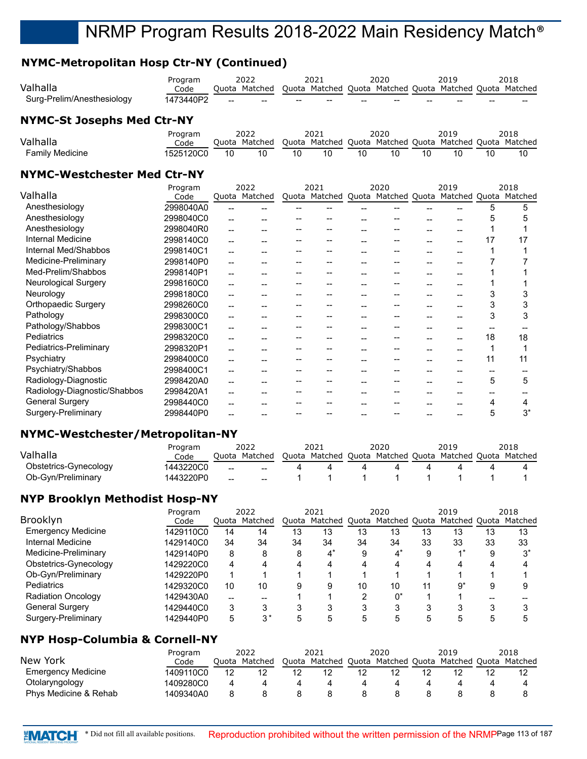# **NYMC-Metropolitan Hosp Ctr-NY (Continued)**

| Surg-Prelim/Anesthesiology<br><b>NYMC-St Josephs Med Ctr-NY</b> | 1473440P2       | $-$ | $- -$                 | $- -$ | $- -$                                                           | -- | $- -$ | -- | --   | -- | $- -$ |
|-----------------------------------------------------------------|-----------------|-----|-----------------------|-------|-----------------------------------------------------------------|----|-------|----|------|----|-------|
| Valhalla                                                        | Program<br>Code |     | 2022<br>Quota Matched |       | 2021<br>Quota Matched Quota Matched Quota Matched Quota Matched |    | 2020  |    | 2019 |    | 2018  |

|                        | Program   |    | 2022          |    | 2021 |    | 2020 | 2019                                                    | 2018 |
|------------------------|-----------|----|---------------|----|------|----|------|---------------------------------------------------------|------|
| Valhalla               | Code      |    | Quota Matched |    |      |    |      | Quota Matched Quota Matched Quota Matched Quota Matched |      |
| <b>Family Medicine</b> | 1525120C0 | 10 |               | 10 |      | 10 |      |                                                         |      |

#### **NYMC-Westchester Med Ctr-NY**

|                              | Program   |     | 2022          | 2021                                                    | 2020 | 2019 |    | 2018  |
|------------------------------|-----------|-----|---------------|---------------------------------------------------------|------|------|----|-------|
| Valhalla                     | Code      |     | Quota Matched | Quota Matched Quota Matched Quota Matched Quota Matched |      |      |    |       |
| Anesthesiology               | 2998040A0 |     |               |                                                         |      |      | 5  | 5.    |
| Anesthesiology               | 2998040C0 | --  |               |                                                         |      |      |    | 5     |
| Anesthesiology               | 2998040R0 | $-$ |               |                                                         |      |      |    |       |
| Internal Medicine            | 2998140C0 |     |               |                                                         |      |      | 17 | 17    |
| Internal Med/Shabbos         | 2998140C1 |     |               |                                                         |      |      |    |       |
| Medicine-Preliminary         | 2998140P0 |     |               |                                                         |      |      |    |       |
| Med-Prelim/Shabbos           | 2998140P1 | $-$ |               |                                                         |      |      |    |       |
| Neurological Surgery         | 2998160C0 |     |               |                                                         |      |      |    |       |
| Neurology                    | 2998180C0 | $-$ |               |                                                         |      |      |    | 3     |
| Orthopaedic Surgery          | 2998260C0 | --  |               |                                                         |      |      |    | 3     |
| Pathology                    | 2998300C0 | $-$ |               |                                                         |      |      | 3  | 3     |
| Pathology/Shabbos            | 2998300C1 |     |               |                                                         |      |      |    |       |
| <b>Pediatrics</b>            | 2998320C0 | --  |               |                                                         |      |      | 18 | 18    |
| Pediatrics-Preliminary       | 2998320P1 | --  |               |                                                         |      |      |    |       |
| Psychiatry                   | 2998400C0 | --  |               |                                                         |      |      | 11 | 11    |
| Psychiatry/Shabbos           | 2998400C1 |     |               |                                                         |      |      |    |       |
| Radiology-Diagnostic         | 2998420A0 | --  |               |                                                         |      |      | 5  | 5     |
| Radiology-Diagnostic/Shabbos | 2998420A1 | $-$ |               |                                                         |      |      |    |       |
| <b>General Surgery</b>       | 2998440C0 |     |               |                                                         |      |      |    |       |
| Surgery-Preliminary          | 2998440P0 |     |               |                                                         |      |      | 5  | $3^*$ |

#### **NYMC-Westchester/Metropolitan-NY**

|                       | Program   | 2022   |               | 2021 |                                                         | 2020 |  | 2019 |  | 2018 |
|-----------------------|-----------|--------|---------------|------|---------------------------------------------------------|------|--|------|--|------|
| Valhalla              | Code      |        | Ouota Matched |      | Quota Matched Quota Matched Quota Matched Quota Matched |      |  |      |  |      |
| Obstetrics-Gynecology | 1443220C0 | $- -$  |               |      |                                                         |      |  |      |  |      |
| Ob-Gyn/Preliminary    | 1443220P0 | $\sim$ |               |      |                                                         |      |  |      |  |      |

### **NYP Brooklyn Methodist Hosp-NY**

|                           | Program   |    | 2022          |    | 2021                              |    | 2020  |    | 2019                  |    | 2018  |
|---------------------------|-----------|----|---------------|----|-----------------------------------|----|-------|----|-----------------------|----|-------|
| <b>Brooklyn</b>           | Code      |    | Quota Matched |    | Quota Matched Quota Matched Quota |    |       |    | Matched Quota Matched |    |       |
| <b>Emergency Medicine</b> | 1429110C0 | 14 | 14            | 13 | 13                                | 13 | 13    | 13 | 13                    | 13 | 13    |
| Internal Medicine         | 1429140C0 | 34 | 34            | 34 | 34                                | 34 | 34    | 33 | 33                    | 33 | 33    |
| Medicine-Preliminary      | 1429140P0 | 8  |               | 8  | $4^*$                             | 9  | $4^*$ |    | $\lambda$ *           | 9  | $3^*$ |
| Obstetrics-Gynecology     | 1429220C0 | 4  |               |    |                                   | Δ  | 4     |    | 4                     |    |       |
| Ob-Gyn/Preliminary        | 1429220P0 |    |               |    |                                   |    |       |    |                       |    |       |
| Pediatrics                | 1429320C0 | 10 | 10            | 9  | 9                                 | 10 | 10    | 11 | 9*                    | 9  |       |
| <b>Radiation Oncology</b> | 1429430A0 | -- |               |    |                                   | າ  | $0^*$ |    |                       |    |       |
| General Surgery           | 1429440C0 | 3  |               |    |                                   | 3  | 3     |    | Ω                     | 3  |       |
| Surgery-Preliminary       | 1429440P0 | 5  | $3^*$         |    |                                   |    | 5     |    |                       |    |       |

### **NYP Hosp-Columbia & Cornell-NY**

|                                  | Program   | 2022  |         | 2021  |         | 2020  |               | 2019 |         |       | 2018    |
|----------------------------------|-----------|-------|---------|-------|---------|-------|---------------|------|---------|-------|---------|
| New York                         | Code      | Ouota | Matched | Quota | Matched | Quota | Matched Quota |      | Matched | Ouota | Matched |
| <b>Emergency Medicine</b>        | 1409110C0 | 12    |         |       |         |       |               |      |         |       |         |
| Otolaryngology                   | 1409280C0 |       |         |       |         |       |               |      |         |       |         |
| <b>Phys Medicine &amp; Rehab</b> | 1409340A0 |       |         |       |         |       |               |      |         |       |         |

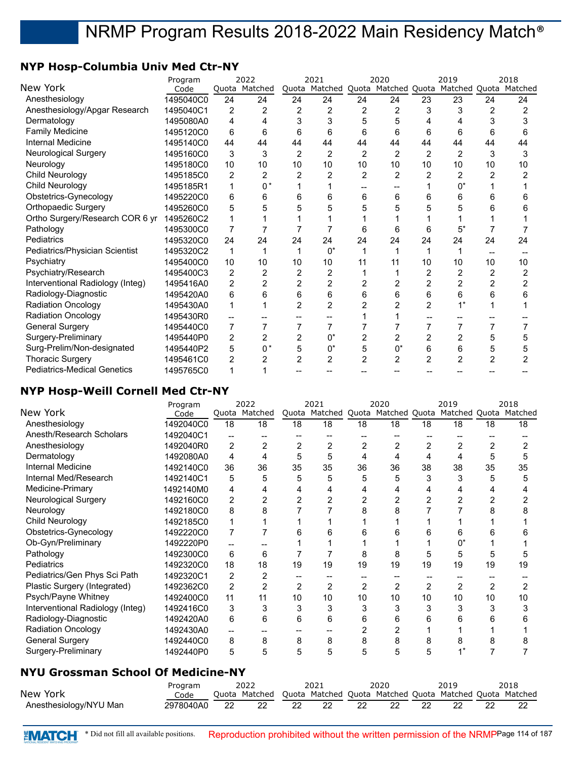## **NYP Hosp-Columbia Univ Med Ctr-NY**

|                                    | Program   |                | 2022           |                | 2021           |                | 2020           |                | 2019                                              |                | 2018 |
|------------------------------------|-----------|----------------|----------------|----------------|----------------|----------------|----------------|----------------|---------------------------------------------------|----------------|------|
| New York                           | Code      |                | Quota Matched  | Quota          |                |                |                |                | Matched Quota Matched Quota Matched Quota Matched |                |      |
| Anesthesiology                     | 1495040C0 | 24             | 24             | 24             | 24             | 24             | 24             | 23             | 23                                                | 24             | 24   |
| Anesthesiology/Apgar Research      | 1495040C1 | $\overline{2}$ | $\overline{2}$ | $\overline{2}$ | $\overline{2}$ | $\overline{2}$ | 2              | 3              | 3                                                 | 2              |      |
| Dermatology                        | 1495080A0 | 4              | 4              |                | 3              | 5              | 5              | 4              |                                                   |                |      |
| <b>Family Medicine</b>             | 1495120C0 | 6              | 6              | 6              | 6              | 6              | 6              | 6              | 6                                                 | 6              | 6    |
| <b>Internal Medicine</b>           | 1495140C0 | 44             | 44             | 44             | 44             | 44             | 44             | 44             | 44                                                | 44             | 44   |
| <b>Neurological Surgery</b>        | 1495160C0 | 3              | 3              | $\overline{2}$ | $\overline{c}$ | $\overline{2}$ | 2              | 2              | $\overline{2}$                                    | 3              | 3    |
| Neurology                          | 1495180C0 | 10             | 10             | 10             | 10             | 10             | 10             | 10             | 10                                                | 10             | 10   |
| Child Neurology                    | 1495185C0 | 2              | 2              |                | 2              | 2              | 2              | 2              | 2                                                 |                |      |
| Child Neurology                    | 1495185R1 | 1              | $0*$           |                |                |                |                |                | 0*                                                |                |      |
| Obstetrics-Gynecology              | 1495220C0 | 6              | 6              | 6              | 6              | 6              | 6              | 6              | 6                                                 |                |      |
| <b>Orthopaedic Surgery</b>         | 1495260C0 | 5              | 5              |                | 5              | 5              | 5              | 5              | 5                                                 |                |      |
| Ortho Surgery/Research COR 6 yr    | 1495260C2 | 1              |                |                |                |                |                |                |                                                   |                |      |
| Pathology                          | 1495300C0 | 7              |                |                |                | 6              | 6              | 6              | 5'                                                |                |      |
| Pediatrics                         | 1495320C0 | 24             | 24             | 24             | 24             | 24             | 24             | 24             | 24                                                | 24             | 24   |
| Pediatrics/Physician Scientist     | 1495320C2 | 1              |                |                | $0^*$          |                |                |                |                                                   |                |      |
| Psychiatry                         | 1495400C0 | 10             | 10             | 10             | 10             | 11             | 11             | 10             | 10                                                | 10             | 10   |
| Psychiatry/Research                | 1495400C3 | $\overline{2}$ | 2              | 2              | 2              |                |                | 2              |                                                   | 2              | 2    |
| Interventional Radiology (Integ)   | 1495416A0 | 2              | 2              | 2              | 2              |                | 2              | $\overline{c}$ | 2                                                 | 2              | 2    |
| Radiology-Diagnostic               | 1495420A0 | 6              | 6              | 6              | 6              | 6              | 6              | 6              | 6                                                 | 6              | 6    |
| <b>Radiation Oncology</b>          | 1495430A0 | 1              |                | 2              | $\overline{2}$ |                |                | $\overline{2}$ | $1*$                                              |                |      |
| <b>Radiation Oncology</b>          | 1495430R0 |                |                |                |                |                |                |                |                                                   |                |      |
| <b>General Surgery</b>             | 1495440C0 | 7              |                |                |                |                |                |                |                                                   |                |      |
| Surgery-Preliminary                | 1495440P0 | 2              | 2              | 2              | $0^*$          | $\overline{2}$ | 2              | $\overline{2}$ |                                                   | 5              | 5    |
| Surg-Prelim/Non-designated         | 1495440P2 | 5              | $0^*$          | 5              | $0^*$          | 5              | $0^*$          | 6              | 6                                                 | 5              | 5    |
| <b>Thoracic Surgery</b>            | 1495461C0 | 2              | 2              | 2              | $\overline{c}$ | $\overline{2}$ | $\overline{2}$ | $\overline{2}$ | $\overline{2}$                                    | $\overline{2}$ | 2    |
| <b>Pediatrics-Medical Genetics</b> | 1495765C0 | 1              |                |                |                |                |                |                |                                                   |                |      |

## **NYP Hosp-Weill Cornell Med Ctr-NY**

|                                           | Program   |                | 2022           |                | 2021           |                | 2020           |                | 2019                                                    |                | 2018           |
|-------------------------------------------|-----------|----------------|----------------|----------------|----------------|----------------|----------------|----------------|---------------------------------------------------------|----------------|----------------|
| New York                                  | Code      |                | Quota Matched  |                | Quota Matched  |                |                |                | Quota Matched Quota Matched Quota Matched               |                |                |
| Anesthesiology                            | 1492040C0 | 18             | 18             | 18             | 18             | 18             | 18             | 18             | 18                                                      | 18             | 18             |
| Anesth/Research Scholars                  | 1492040C1 | --             |                |                |                |                |                |                |                                                         |                |                |
| Anesthesiology                            | 1492040R0 | $\overline{2}$ | $\overline{2}$ | $\overline{2}$ | $\overline{2}$ | $\overline{2}$ | $\overline{2}$ | $\overline{2}$ | $\overline{2}$                                          | $\overline{2}$ | 2              |
| Dermatology                               | 1492080A0 | 4              | 4              | 5              | 5              | 4              | 4              | 4              | 4                                                       | 5              | 5              |
| Internal Medicine                         | 1492140C0 | 36             | 36             | 35             | 35             | 36             | 36             | 38             | 38                                                      | 35             | 35             |
| Internal Med/Research                     | 1492140C1 | 5              | 5              | 5              | 5              | 5              | 5              | 3              | 3                                                       | 5              | 5              |
| Medicine-Primary                          | 1492140M0 | 4              | 4              | 4              | 4              |                | 4              | 4              | 4                                                       | 4              | 4              |
| <b>Neurological Surgery</b>               | 1492160C0 | $\overline{c}$ | $\overline{c}$ | $\overline{2}$ | 2              | 2              | 2              | 2              | 2                                                       | 2              | 2              |
| Neurology                                 | 1492180C0 | 8              | 8              |                | 7              | 8              | 8              |                |                                                         | 8              | 8              |
| Child Neurology                           | 1492185C0 | 1              |                |                |                |                |                |                |                                                         |                |                |
| Obstetrics-Gynecology                     | 1492220C0 | 7              | 7              | 6              | 6              | 6              | 6              | 6              | 6                                                       | 6              | 6              |
| Ob-Gyn/Preliminary                        | 1492220P0 | --             |                |                |                |                |                |                | $0^*$                                                   |                |                |
| Pathology                                 | 1492300C0 | 6              | 6              |                | 7              | 8              | 8              | 5              | 5                                                       | 5              | 5              |
| Pediatrics                                | 1492320C0 | 18             | 18             | 19             | 19             | 19             | 19             | 19             | 19                                                      | 19             | 19             |
| Pediatrics/Gen Phys Sci Path              | 1492320C1 | 2              | 2              |                | --             | $- -$          |                |                |                                                         |                |                |
| Plastic Surgery (Integrated)              | 1492362C0 | $\overline{c}$ | $\overline{2}$ | $\overline{2}$ | $\overline{c}$ | 2              | $\overline{c}$ | $\overline{2}$ | $\overline{2}$                                          | $\overline{2}$ | $\overline{2}$ |
| Psych/Payne Whitney                       | 1492400C0 | 11             | 11             | 10             | 10             | 10             | 10             | 10             | 10                                                      | 10             | 10             |
| Interventional Radiology (Integ)          | 1492416C0 | 3              | 3              | 3              | 3              | 3              | 3              | 3              | 3                                                       | 3              | 3              |
| Radiology-Diagnostic                      | 1492420A0 | 6              | 6              | 6              | 6              | 6              | 6              | 6              | 6                                                       | 6              | 6              |
| <b>Radiation Oncology</b>                 | 1492430A0 | --             |                | --             | $- -$          | 2              | 2              |                |                                                         |                |                |
| <b>General Surgery</b>                    | 1492440C0 | 8              | 8              | 8              | 8              | 8              | 8              | 8              | 8                                                       | 8              | 8              |
| Surgery-Preliminary                       | 1492440P0 | 5              | 5              | 5              | 5              | 5              | 5              | 5              | $1^*$                                                   | 7              |                |
| <b>NYU Grossman School Of Medicine-NY</b> |           |                |                |                |                |                |                |                |                                                         |                |                |
|                                           | Program   |                | 2022           |                | 2021           |                | 2020           |                | 2019                                                    |                | 2018           |
| New York                                  | Code      |                | Quota Matched  |                |                |                |                |                | Quota Matched Quota Matched Quota Matched Quota Matched |                |                |

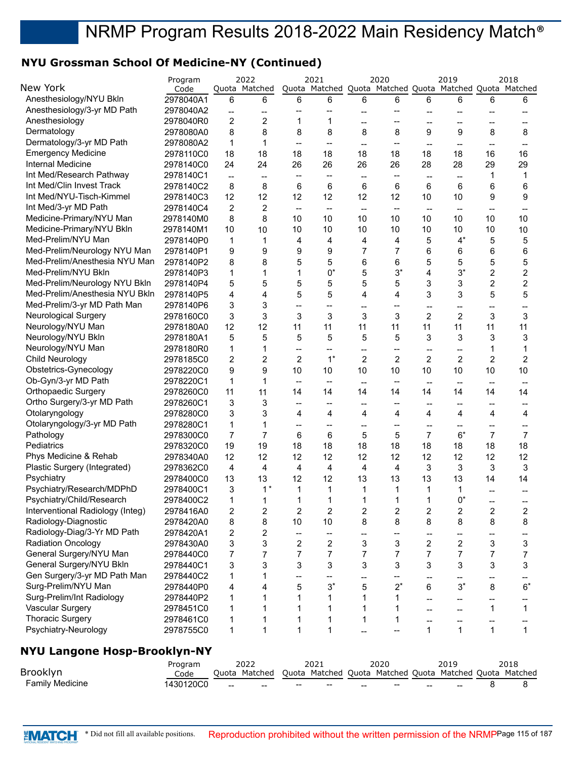## **NYU Grossman School Of Medicine-NY (Continued)**

|                                     | Program   |                         | 2022                                  |                                       | 2021                     |                          | 2020                     |                          | 2019                                                    |                          | 2018                    |
|-------------------------------------|-----------|-------------------------|---------------------------------------|---------------------------------------|--------------------------|--------------------------|--------------------------|--------------------------|---------------------------------------------------------|--------------------------|-------------------------|
| New York                            | Code      |                         | Quota Matched                         |                                       |                          |                          |                          |                          | Quota Matched Quota Matched Quota Matched Quota Matched |                          |                         |
| Anesthesiology/NYU Bkln             | 2978040A1 | 6                       | 6                                     | 6                                     | 6                        | 6                        | 6                        | 6                        | 6                                                       | 6                        | 6                       |
| Anesthesiology/3-yr MD Path         | 2978040A2 | --                      | $\hspace{0.05cm}$ – $\hspace{0.05cm}$ | --                                    |                          | $-$                      |                          | --                       | --                                                      |                          |                         |
| Anesthesiology                      | 2978040R0 | 2                       | $\overline{c}$                        | 1                                     | 1                        | --                       | --                       | --                       | --                                                      | --                       |                         |
| Dermatology                         | 2978080A0 | 8                       | 8                                     | 8                                     | 8                        | 8                        | 8                        | 9                        | 9                                                       | 8                        | 8                       |
| Dermatology/3-yr MD Path            | 2978080A2 | 1                       | 1                                     | $\hspace{0.05cm}$ – $\hspace{0.05cm}$ | $\qquad \qquad -$        |                          | --                       | $\overline{\phantom{a}}$ |                                                         |                          |                         |
| <b>Emergency Medicine</b>           | 2978110C0 | 18                      | 18                                    | 18                                    | 18                       | 18                       | 18                       | 18                       | 18                                                      | 16                       | 16                      |
| Internal Medicine                   | 2978140C0 | 24                      | 24                                    | 26                                    | 26                       | 26                       | 26                       | 28                       | 28                                                      | 29                       | 29                      |
| Int Med/Research Pathway            | 2978140C1 | --                      | $\overline{\phantom{a}}$              | $\overline{\phantom{a}}$              | $\overline{\phantom{a}}$ | $\overline{\phantom{a}}$ | --                       | --                       | --                                                      | 1                        | 1                       |
| Int Med/Clin Invest Track           | 2978140C2 | 8                       | 8                                     | 6                                     | 6                        | 6                        | 6                        | 6                        | 6                                                       | 6                        | 6                       |
| Int Med/NYU-Tisch-Kimmel            | 2978140C3 | 12                      | 12                                    | 12                                    | 12                       | 12                       | 12                       | 10                       | 10                                                      | 9                        | 9                       |
| Int Med/3-yr MD Path                | 2978140C4 | 2                       | $\overline{c}$                        | $\overline{\phantom{a}}$              | $\qquad \qquad -$        | $\overline{\phantom{a}}$ | $\overline{\phantom{a}}$ | $\overline{\phantom{a}}$ | --                                                      | $\overline{\phantom{a}}$ |                         |
| Medicine-Primary/NYU Man            | 2978140M0 | 8                       | 8                                     | 10                                    | 10                       | 10                       | 10                       | 10                       | 10                                                      | 10                       | 10                      |
| Medicine-Primary/NYU Bkln           | 2978140M1 | 10                      | 10                                    | 10                                    | $10$                     | 10                       | $10$                     | 10                       | 10                                                      | 10                       | 10                      |
| Med-Prelim/NYU Man                  | 2978140P0 | 1                       | 1                                     | 4                                     | 4                        | 4                        | 4                        | 5                        | $4^*$                                                   | 5                        | 5                       |
| Med-Prelim/Neurology NYU Man        | 2978140P1 | 9                       | 9                                     | 9                                     | 9                        | 7                        | $\overline{7}$           | $\,6$                    | 6                                                       | 6                        | 6                       |
| Med-Prelim/Anesthesia NYU Man       | 2978140P2 | 8                       | 8                                     | 5                                     | 5                        | 6                        | 6                        | 5                        | 5                                                       | 5                        | 5                       |
| Med-Prelim/NYU Bkln                 | 2978140P3 | 1                       | 1                                     | 1                                     | $0^*$                    | 5                        | $3^{\star}$              | 4                        | $3^*$                                                   | $\overline{c}$           | $\overline{\mathbf{c}}$ |
| Med-Prelim/Neurology NYU Bkln       | 2978140P4 | 5                       | 5                                     | 5                                     | 5                        | 5                        | 5                        | 3                        | 3                                                       | $\overline{c}$           | $\overline{c}$          |
| Med-Prelim/Anesthesia NYU Bkln      | 2978140P5 | 4                       | 4                                     | 5                                     | 5                        | 4                        | 4                        | 3                        | 3                                                       | 5                        | 5                       |
| Med-Prelim/3-yr MD Path Man         | 2978140P6 | 3                       | 3                                     | $\overline{\phantom{a}}$              | --                       | --                       | --                       | --                       | --                                                      | $\overline{\phantom{a}}$ |                         |
| <b>Neurological Surgery</b>         | 2978160C0 | 3                       | 3                                     | 3                                     | 3                        | 3                        | 3                        | $\overline{2}$           | $\overline{2}$                                          | 3                        | 3                       |
| Neurology/NYU Man                   | 2978180A0 | 12                      | 12                                    | 11                                    | 11                       | 11                       | 11                       | 11                       | 11                                                      | 11                       | 11                      |
| Neurology/NYU Bkln                  | 2978180A1 | 5                       | 5                                     | 5                                     | 5                        | 5                        | 5                        | 3                        | 3                                                       | 3                        | 3                       |
| Neurology/NYU Man                   | 2978180R0 | 1                       | 1                                     | $\overline{\phantom{a}}$              | --                       | --                       | --                       | --                       | --                                                      | 1                        | 1                       |
| Child Neurology                     | 2978185C0 | 2                       | $\overline{c}$                        | $\overline{c}$                        | $1^*$                    | $\overline{c}$           | 2                        | 2                        | $\overline{c}$                                          | $\overline{c}$           | $\overline{\mathbf{c}}$ |
| Obstetrics-Gynecology               | 2978220C0 | 9                       | 9                                     | 10                                    | 10 <sup>°</sup>          | 10                       | 10                       | 10                       | 10                                                      | 10                       | 10                      |
| Ob-Gyn/3-yr MD Path                 | 2978220C1 | 1                       | 1                                     | $\overline{\phantom{a}}$              | $\overline{\phantom{a}}$ | $\overline{\phantom{a}}$ | --                       |                          | --                                                      |                          |                         |
| Orthopaedic Surgery                 | 2978260C0 | 11                      | 11                                    | 14                                    | 14                       | 14                       | 14                       | 14                       | 14                                                      | 14                       | 14                      |
| Ortho Surgery/3-yr MD Path          | 2978260C1 | 3                       | 3                                     | $\overline{\phantom{a}}$              | --                       | $\overline{\phantom{a}}$ | --                       |                          | --                                                      | --                       |                         |
| Otolaryngology                      | 2978280C0 | 3                       | 3                                     | 4                                     | 4                        | 4                        | 4                        | 4                        | 4                                                       | 4                        | 4                       |
| Otolaryngology/3-yr MD Path         | 2978280C1 | 1                       | 1                                     | $\overline{\phantom{a}}$              | --                       | --                       | --                       | --                       | --                                                      | --                       |                         |
| Pathology                           | 2978300C0 | $\overline{7}$          | 7                                     | 6                                     | 6                        | 5                        | 5                        | $\overline{7}$           | $6*$                                                    | $\overline{7}$           | $\overline{7}$          |
| Pediatrics                          | 2978320C0 | 19                      | 19                                    | 18                                    | 18                       | 18                       | 18                       | 18                       | 18                                                      | 18                       | 18                      |
| Phys Medicine & Rehab               | 2978340A0 | 12                      | 12                                    | 12                                    | 12                       | 12                       | 12                       | 12                       | 12                                                      | 12                       | 12                      |
| Plastic Surgery (Integrated)        | 2978362C0 | 4                       | $\overline{4}$                        | 4                                     | 4                        | 4                        | 4                        | 3                        | 3                                                       | 3                        | 3                       |
| Psychiatry                          | 2978400C0 | 13                      | 13                                    | 12                                    | 12                       | 13                       | 13                       | 13                       | 13                                                      | 14                       | 14                      |
| Psychiatry/Research/MDPhD           | 2978400C1 | 3                       | $1^*$                                 | 1                                     | 1                        | 1                        | 1                        | 1                        | 1                                                       |                          |                         |
| Psychiatry/Child/Research           | 2978400C2 | 1                       | $\mathbf{1}$                          | $\mathbf 1$                           | 1                        | 1                        | 1                        | 1                        | $0^*$                                                   |                          |                         |
| Interventional Radiology (Integ)    | 2978416A0 | $\overline{\mathbf{c}}$ | 2                                     | $\overline{c}$                        | $\overline{c}$           | 2                        | $\overline{\mathbf{c}}$  | 2                        | $\boldsymbol{2}$                                        | $\overline{\mathbf{c}}$  | 2                       |
| Radiology-Diagnostic                | 2978420A0 | 8                       | 8                                     | 10                                    | 10                       | 8                        | 8                        | 8                        | 8                                                       | 8                        | 8                       |
| Radiology-Diag/3-Yr MD Path         | 2978420A1 | 2                       | 2                                     | $\qquad \qquad -$                     | --                       | $\overline{\phantom{a}}$ | --                       | --                       | --                                                      | --                       | --                      |
| <b>Radiation Oncology</b>           | 2978430A0 | 3                       | 3                                     | 2                                     | $\overline{\mathbf{c}}$  | 3                        | 3                        | 2                        | 2                                                       | 3                        | 3                       |
| General Surgery/NYU Man             | 2978440C0 | 7                       | 7                                     | 7                                     | $\overline{7}$           | 7                        | $\overline{7}$           | $\overline{7}$           | $\overline{7}$                                          | $\overline{7}$           | 7                       |
| General Surgery/NYU Bkln            | 2978440C1 | 3                       | 3                                     | 3                                     | 3                        | 3                        | 3                        | 3                        | 3                                                       | 3                        | 3                       |
| Gen Surgery/3-yr MD Path Man        | 2978440C2 | 1                       | 1                                     | $\overline{\phantom{a}}$              | --                       | --                       | --                       | --                       | $\qquad \qquad \qquad \blacksquare$                     | --                       | --                      |
| Surg-Prelim/NYU Man                 | 2978440P0 | 4                       | 4                                     | 5                                     | $3^*$                    | 5                        | $2^*$                    | 6                        | $3^*$                                                   | 8                        | $6*$                    |
| Surg-Prelim/Int Radiology           | 2978440P2 | 1                       | 1                                     | 1                                     | $\mathbf{1}$             | $\mathbf{1}$             | 1                        | $\overline{\phantom{a}}$ | --                                                      | --                       | --                      |
| Vascular Surgery                    | 2978451C0 | 1                       | 1                                     | 1                                     | $\mathbf 1$              | $\mathbf 1$              | 1                        | --                       | --                                                      | $\mathbf{1}$             | $\mathbf{1}$            |
| <b>Thoracic Surgery</b>             | 2978461C0 | 1                       | 1                                     | 1                                     | 1                        | $\mathbf 1$              | $\mathbf{1}$             | --                       | --                                                      | -−                       |                         |
| Psychiatry-Neurology                | 2978755C0 | 1                       | 1                                     | 1                                     | 1                        | --                       | --                       | $\mathbf{1}$             | $\mathbf{1}$                                            | $\mathbf{1}$             | $\mathbf{1}$            |
| <b>NYU Langone Hosp-Brooklyn-NY</b> |           |                         |                                       |                                       |                          |                          |                          |                          |                                                         |                          |                         |

#### Brooklyn Program Code Quota Matched Quota Matched Quota Matched Quota Matched Quota Matched Program 2022 2021 2020 2019 2018 Family Medicine 1430120C0 \_\_ \_\_ \_\_ \_\_ \_\_ \_\_ \_\_ \_\_ 8 8

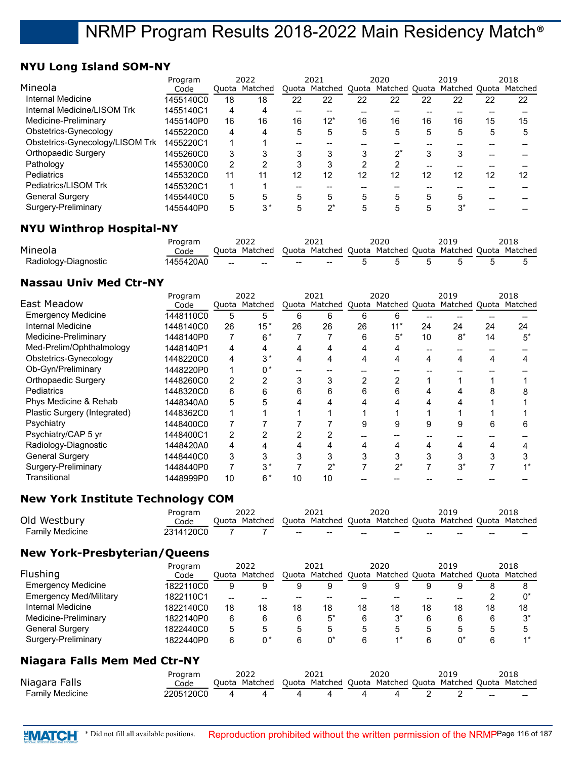## **NYU Long Island SOM-NY**

|                                 | Program   |    | 2022          |    | 2021                              |    | 2020    |    | 2019          |    | 2018    |
|---------------------------------|-----------|----|---------------|----|-----------------------------------|----|---------|----|---------------|----|---------|
| Mineola                         | Code      |    | Ouota Matched |    | Quota Matched Quota Matched Quota |    |         |    | Matched Ouota |    | Matched |
| Internal Medicine               | 1455140C0 | 18 | 18            | 22 | 22                                | 22 | 22      | 22 | 22            | 22 | 22      |
| Internal Medicine/LISOM Trk     | 1455140C1 | 4  | 4             |    |                                   |    |         |    |               |    |         |
| Medicine-Preliminary            | 1455140P0 | 16 | 16            | 16 | 12*                               | 16 | 16      | 16 | 16            | 15 | 15      |
| Obstetrics-Gynecology           | 1455220C0 | 4  | 4             | 5  | 5                                 | 5  | 5       | 5  | 5             | 5  | 5       |
| Obstetrics-Gynecology/LISOM Trk | 1455220C1 |    |               | -- |                                   |    |         |    |               |    |         |
| Orthopaedic Surgery             | 1455260C0 | 3  |               | 3  | 3                                 | 3  | $2^{*}$ | 3  | 3             |    |         |
| Pathology                       | 1455300C0 | 2  |               | 3  | 3                                 | 2  |         | -- |               |    |         |
| Pediatrics                      | 1455320C0 | 11 | 11            | 12 | 12                                | 12 | 12      | 12 | 12            | 12 | 12      |
| Pediatrics/LISOM Trk            | 1455320C1 |    |               | -- |                                   |    |         |    |               |    |         |
| <b>General Surgery</b>          | 1455440C0 | 5  | 5             | 5  | 5                                 | 5  | 5       | 5  | 5             |    |         |
| Surgery-Preliminary             | 1455440P0 | 5  | $3^*$         | 5  | י^                                | 5  | 5       |    | $3^*$         |    |         |

## **NYU Winthrop Hospital-NY**

|                      | Program  | 2022          |        | 2021                                                    | 2020 | 2019 | 2018 |
|----------------------|----------|---------------|--------|---------------------------------------------------------|------|------|------|
| Mineola              | Code     | Ouota Matched |        | Ouota Matched Ouota Matched Ouota Matched Ouota Matched |      |      |      |
| Radiology-Diagnostic | 455420A0 | $- -$         | $\sim$ | $ -$                                                    |      |      |      |

## **Nassau Univ Med Ctr-NY**

|                              | Program   | 2022 |               | 2021 |               | 2020 |       |    | 2019                                      |    | 2018  |
|------------------------------|-----------|------|---------------|------|---------------|------|-------|----|-------------------------------------------|----|-------|
| <b>East Meadow</b>           | Code      |      | Quota Matched |      | Quota Matched |      |       |    | Quota Matched Quota Matched Quota Matched |    |       |
| <b>Emergency Medicine</b>    | 1448110C0 | 5    | 5             | 6    | 6             | 6    | 6     |    |                                           |    |       |
| Internal Medicine            | 1448140C0 | 26   | $15*$         | 26   | 26            | 26   | $11*$ | 24 | 24                                        | 24 | 24    |
| Medicine-Preliminary         | 1448140P0 |      | $6*$          |      |               | 6    | $5^*$ | 10 | $8^*$                                     | 14 | $5^*$ |
| Med-Prelim/Ophthalmology     | 1448140P1 | 4    | 4             |      |               |      |       |    |                                           |    |       |
| Obstetrics-Gynecology        | 1448220C0 | 4    | $3^*$         | 4    | 4             |      | 4     | 4  | 4                                         | 4  |       |
| Ob-Gyn/Preliminary           | 1448220P0 |      | $0^*$         |      |               |      |       |    |                                           |    |       |
| <b>Orthopaedic Surgery</b>   | 1448260C0 | 2    |               |      | 3             |      |       |    |                                           |    |       |
| <b>Pediatrics</b>            | 1448320C0 | 6    | 6             | 6    | 6             | 6    | 6     |    |                                           |    |       |
| Phys Medicine & Rehab        | 1448340A0 | 5    | 5             |      |               |      |       |    |                                           |    |       |
| Plastic Surgery (Integrated) | 1448362C0 |      |               |      |               |      |       |    |                                           |    |       |
| Psychiatry                   | 1448400C0 |      |               |      |               |      | 9     | 9  | 9                                         | 6  |       |
| Psychiatry/CAP 5 yr          | 1448400C1 | 2    |               |      |               |      |       |    |                                           |    |       |
| Radiology-Diagnostic         | 1448420A0 | 4    |               |      |               |      | 4     | 4  | 4                                         |    |       |
| <b>General Surgery</b>       | 1448440C0 | 3    |               |      | 3             |      |       | 3  |                                           |    |       |
| Surgery-Preliminary          | 1448440P0 | 7    | $3^*$         |      | ク*            |      | $2^*$ |    | 3*                                        |    |       |
| Transitional                 | 1448999P0 | 10   | $6*$          | 10   | 10            |      |       |    |                                           |    |       |

## **New York Institute Technology COM**

|                 | Program   | 2022                                                                  |                                                | 2021  |     | 2020                     |    | 2019  |       | 2018 |
|-----------------|-----------|-----------------------------------------------------------------------|------------------------------------------------|-------|-----|--------------------------|----|-------|-------|------|
| Old Westbury    | Code      | Ouota Matched Ouota Matched Ouota Matched Ouota Matched Ouota Matched |                                                |       |     |                          |    |       |       |      |
| Family Medicine | 2314120C0 |                                                                       | $\hspace{0.1mm}-\hspace{0.1mm}-\hspace{0.1mm}$ | $- -$ | $-$ | $\overline{\phantom{m}}$ | -- | $- -$ | $- -$ | ---  |

### **New York-Presbyterian/Queens**

|                                     | Program   |       | 2022          |    | 2021                              |    | 2020        |    | 2019                  |    | 2018                  |
|-------------------------------------|-----------|-------|---------------|----|-----------------------------------|----|-------------|----|-----------------------|----|-----------------------|
| Flushing                            | Code      |       | Quota Matched |    | Quota Matched Quota Matched Quota |    |             |    |                       |    | Matched Quota Matched |
| <b>Emergency Medicine</b>           | 1822110C0 | 9     |               | 9  | 9                                 | 9  | 9           |    |                       | 8  |                       |
| <b>Emergency Med/Military</b>       | 1822110C1 | $- -$ | --            |    |                                   |    |             |    | --                    | 2  | $0^*$                 |
| Internal Medicine                   | 1822140C0 | 18    | 18            | 18 | 18                                | 18 | 18          | 18 | 18                    | 18 | 18                    |
| Medicine-Preliminary                | 1822140P0 | 6     | 6             | 6  | $5^*$                             | 6  | $3^*$       | 6  | 6                     | 6  | $3^*$                 |
| <b>General Surgery</b>              | 1822440C0 | 5     | 5             | 5  | 5                                 | 5  | 5           | 5  | 5                     | 5  | 5                     |
| Surgery-Preliminary                 | 1822440P0 | 6     | $0^*$         | 6  | 0*                                | 6  | $\lambda^*$ | 6  | 0*                    | 6  |                       |
| <b>Niagara Falls Mem Med Ctr-NY</b> |           |       |               |    |                                   |    |             |    |                       |    |                       |
|                                     | Program   |       | 2022          |    | 2021                              |    | 2020        |    | 2019                  |    | 2018                  |
| Niagara Falls                       | Code      |       | Ouota Matched |    | Quota Matched Quota Matched Quota |    |             |    | Matched Ouota Matched |    |                       |

Family Medicine 2205120C0 4 4 44 4 422 -- --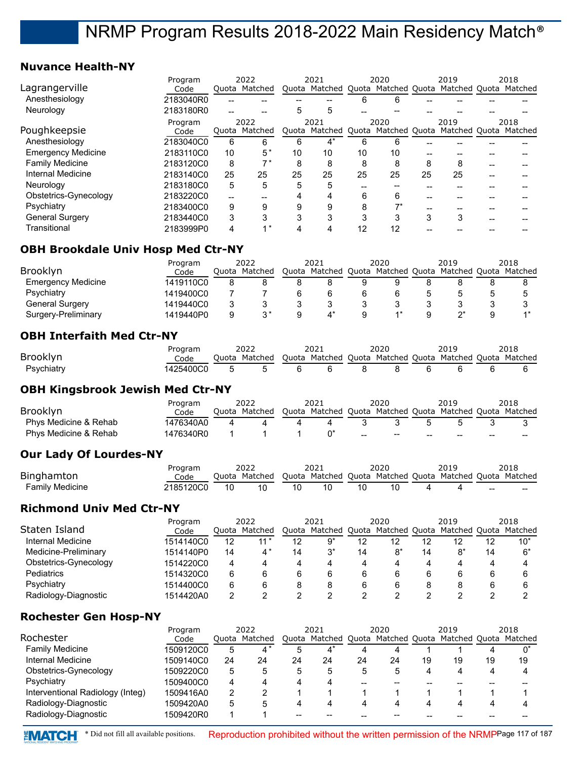### **Nuvance Health-NY**

|                           | Program   |       | 2022            |    | 2021                              |    | 2020           |    | 2019                                                    | 2018 |
|---------------------------|-----------|-------|-----------------|----|-----------------------------------|----|----------------|----|---------------------------------------------------------|------|
| Lagrangerville            | Code      |       | Quota Matched   |    |                                   |    |                |    | Quota Matched Quota Matched Quota Matched Quota Matched |      |
| Anesthesiology            | 2183040R0 |       |                 |    |                                   | 6  | 6              |    |                                                         |      |
| Neurology                 | 2183180R0 |       |                 | 5  | 5                                 |    |                |    |                                                         |      |
|                           | Program   |       | 2022            |    | 2021                              |    | 2020           |    | 2019                                                    | 2018 |
| Poughkeepsie              | Code      |       | Quota Matched   |    | Quota Matched Quota Matched Quota |    |                |    | Matched Quota Matched                                   |      |
| Anesthesiology            | 2183040C0 | 6     | 6               | 6  | $4^*$                             | 6  | 6              |    |                                                         |      |
| <b>Emergency Medicine</b> | 2183110C0 | 10    | 5*              | 10 | 10                                | 10 | 10             |    |                                                         |      |
| <b>Family Medicine</b>    | 2183120C0 | 8     | $\rightarrow$ * | 8  | 8                                 | 8  | 8              | 8  | 8                                                       |      |
| Internal Medicine         | 2183140C0 | 25    | 25              | 25 | 25                                | 25 | 25             | 25 | 25                                                      |      |
| Neurology                 | 2183180C0 | 5     | 5               | 5  | 5                                 |    |                |    |                                                         |      |
| Obstetrics-Gynecology     | 2183220C0 | $- -$ |                 | 4  | 4                                 | 6  | 6              |    |                                                         |      |
| Psychiatry                | 2183400C0 | 9     | 9               | 9  | 9                                 | 8  | $\overline{ }$ |    |                                                         |      |
| <b>General Surgery</b>    | 2183440C0 | 3     | 3               | 3  | 3                                 | 3  | 3              | 3  | 3                                                       |      |
| Transitional              | 2183999P0 | 4     | $4 *$           |    |                                   | 12 | 12             |    |                                                         |      |

## **OBH Brookdale Univ Hosp Med Ctr-NY**

|                           | Program   | 2022  |         | 2021 |                     | 2020 |               | 2019 |                       |   | 2018 |
|---------------------------|-----------|-------|---------|------|---------------------|------|---------------|------|-----------------------|---|------|
| Brooklyn                  | Code      | Ouota | Matched |      | Quota Matched Quota |      | Matched Quota |      | Matched Quota Matched |   |      |
| <b>Emergency Medicine</b> | 1419110C0 |       |         |      |                     | 9    |               |      |                       |   |      |
| Psychiatry                | 1419400C0 |       |         |      |                     |      |               |      |                       |   |      |
| General Surgery           | 1419440C0 |       |         |      |                     |      |               |      |                       |   |      |
| Surgery-Preliminary       | 1419440P0 |       |         |      |                     |      |               |      |                       | a |      |

### **OBH Interfaith Med Ctr-NY**

|                 | Program    | 2022                                                                  | 2021 | 2020 | 2019 | 2018 |
|-----------------|------------|-----------------------------------------------------------------------|------|------|------|------|
| <b>Brooklyn</b> | Code       | Quota Matched Quota Matched Quota Matched Quota Matched Quota Matched |      |      |      |      |
| Psychiatry      | 1425400C0_ |                                                                       |      |      |      |      |

#### **OBH Kingsbrook Jewish Med Ctr-NY**

|                                  | Program   | 2022          | 2021                                                    |      | 2020                                           |       | 2019 |    | 2018 |
|----------------------------------|-----------|---------------|---------------------------------------------------------|------|------------------------------------------------|-------|------|----|------|
| <b>Brooklyn</b>                  | Code      | Ouota Matched | Quota Matched Quota Matched Quota Matched Quota Matched |      |                                                |       |      |    |      |
| <b>Phys Medicine &amp; Rehab</b> | 1476340A0 |               |                                                         | - 3- |                                                |       |      |    |      |
| <b>Phys Medicine &amp; Rehab</b> | 1476340R0 |               |                                                         |      | $\hspace{0.1mm}-\hspace{0.1mm}-\hspace{0.1mm}$ | $- -$ | --   | -- | --   |

### **Our Lady Of Lourdes-NY**

|                 | Program               |       | 2022    | 2021                                            | 2020 | 2019 |        | 2018    |
|-----------------|-----------------------|-------|---------|-------------------------------------------------|------|------|--------|---------|
| Binghamton      | Code                  | วนota | Matched | Ouota Matched Ouota Matched Ouota Matched Ouota |      |      |        | Matched |
| Family Medicine | <sup>2</sup> 185120C0 | 10.   |         |                                                 |      |      | $\sim$ | $- -$   |

### **Richmond Univ Med Ctr-NY**

| Program               |           |       | 2022    |    | 2021                                            |    | 2020 |    | 2019 |    | 2018    |
|-----------------------|-----------|-------|---------|----|-------------------------------------------------|----|------|----|------|----|---------|
| Staten Island         | Code      | Ouota | Matched |    | Quota Matched Quota Matched Quota Matched Quota |    |      |    |      |    | Matched |
| Internal Medicine     | 1514140C0 | 12    | $11*$   | 12 | `9                                              | 12 | 12   | 12 | 12   | 12 | $10*$   |
| Medicine-Preliminary  | 1514140P0 | 14    | $4^*$   | 14 | $3^*$                                           | 14 |      | 14 | 8*   | 14 | հ*      |
| Obstetrics-Gynecology | 1514220C0 | 4     |         | 4  |                                                 | 4  | 4    |    | 4    | 4  |         |
| Pediatrics            | 1514320C0 | 6     |         | 6  |                                                 | 6  | 6    |    | 6    | 6  |         |
| Psychiatry            | 1514400C0 | 6     |         | 8  |                                                 | 6  | h    |    | 8    | 6  |         |
| Radiology-Diagnostic  | 1514420A0 |       |         |    |                                                 |    |      |    |      |    |         |

## **Rochester Gen Hosp-NY**

|                                  | Program   | 2022 |               | 2021  |                                           | 2020 |    | 2019 |    |    | 2018    |
|----------------------------------|-----------|------|---------------|-------|-------------------------------------------|------|----|------|----|----|---------|
| Rochester                        | Code      |      | Ouota Matched | Ouota | Matched Quota Matched Quota Matched Quota |      |    |      |    |    | Matched |
| <b>Family Medicine</b>           | 1509120C0 | 5    |               | 5     | $4^*$                                     | 4    |    |      |    |    | 0*      |
| Internal Medicine                | 1509140C0 | 24   | 24            | 24    | 24                                        | 24   | 24 | 19   | 19 | 19 | 19      |
| Obstetrics-Gynecology            | 1509220C0 | 5    |               | 5     | 5                                         | 5    | 5  |      |    | 4  | 4       |
| Psychiatry                       | 1509400C0 | 4    |               | 4     | 4                                         | --   |    |      |    |    |         |
| Interventional Radiology (Integ) | 1509416A0 | 2    |               |       |                                           |      |    |      |    |    |         |
| Radiology-Diagnostic             | 1509420A0 | 5    |               | 4     | 4                                         |      | 4  |      |    | 4  |         |
| Radiology-Diagnostic             | 1509420R0 |      |               |       |                                           |      |    |      |    |    |         |

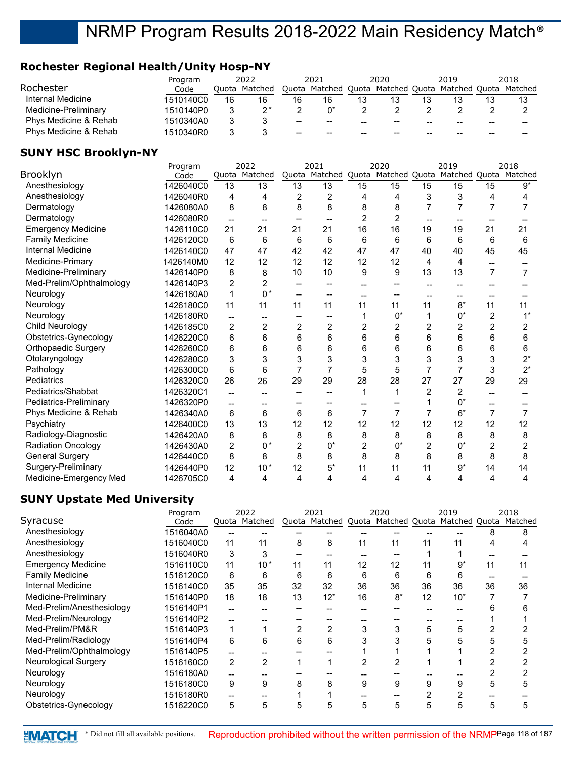## **Rochester Regional Health/Unity Hosp-NY**

|                       | Program   |    | 2022          |                                                | 2021                |       | 2020          |    | 2019          |    | 2018    |
|-----------------------|-----------|----|---------------|------------------------------------------------|---------------------|-------|---------------|----|---------------|----|---------|
| Rochester             | Code      |    | Ouota Matched |                                                | Quota Matched Quota |       | Matched Quota |    | Matched Quota |    | Matched |
| Internal Medicine     | 1510140C0 | 16 |               | 16                                             | 16                  | 13    |               |    |               | 13 |         |
| Medicine-Preliminary  | 1510140P0 | 2  |               |                                                |                     |       |               |    |               |    |         |
| Phys Medicine & Rehab | 1510340A0 | 2  |               | $\hspace{0.1mm}-\hspace{0.1mm}-\hspace{0.1mm}$ | $- -$               | $- -$ | $- -$         | -- | --            | -- |         |
| Phys Medicine & Rehab | 1510340R0 |    |               | $- -$                                          | $- -$               | --    | $- -$         | -- | --            | -- |         |

# **SUNY HSC Brooklyn-NY**

|                            | Program   |                | 2022           |                | 2021                                                    |                | 2020  |    | 2019  |                | 2018  |
|----------------------------|-----------|----------------|----------------|----------------|---------------------------------------------------------|----------------|-------|----|-------|----------------|-------|
| Brooklyn                   | Code      |                | Quota Matched  |                | Quota Matched Quota Matched Quota Matched Quota Matched |                |       |    |       |                |       |
| Anesthesiology             | 1426040C0 | 13             | 13             | 13             | 13                                                      | 15             | 15    | 15 | 15    | 15             | $9^*$ |
| Anesthesiology             | 1426040R0 | 4              | 4              | 2              | $\overline{c}$                                          | 4              | 4     | 3  | 3     | 4              | 4     |
| Dermatology                | 1426080A0 | 8              | 8              | 8              | 8                                                       | 8              | 8     |    |       |                |       |
| Dermatology                | 1426080R0 | --             |                |                |                                                         | $\overline{2}$ | 2     |    |       |                |       |
| <b>Emergency Medicine</b>  | 1426110C0 | 21             | 21             | 21             | 21                                                      | 16             | 16    | 19 | 19    | 21             | 21    |
| <b>Family Medicine</b>     | 1426120C0 | 6              | 6              | 6              | 6                                                       | 6              | 6     | 6  | 6     | 6              | 6     |
| <b>Internal Medicine</b>   | 1426140C0 | 47             | 47             | 42             | 42                                                      | 47             | 47    | 40 | 40    | 45             | 45    |
| Medicine-Primary           | 1426140M0 | 12             | 12             | 12             | 12                                                      | 12             | 12    | 4  | 4     |                |       |
| Medicine-Preliminary       | 1426140P0 | 8              | 8              | 10             | 10                                                      | 9              | 9     | 13 | 13    | 7              | 7     |
| Med-Prelim/Ophthalmology   | 1426140P3 | 2              | 2              |                |                                                         |                |       |    |       |                |       |
| Neurology                  | 1426180A0 | 1              | $0^*$          | --             |                                                         |                |       |    |       |                |       |
| Neurology                  | 1426180C0 | 11             | 11             | 11             | 11                                                      | 11             | 11    | 11 | $8*$  | 11             | 11    |
| Neurology                  | 1426180R0 | --             | --             |                |                                                         |                | $0^*$ | 1  | $0^*$ | $\overline{c}$ | $1^*$ |
| Child Neurology            | 1426185C0 | 2              | $\overline{2}$ | $\overline{2}$ | $\overline{2}$                                          | $\overline{2}$ | 2     | 2  | 2     | 2              | 2     |
| Obstetrics-Gynecology      | 1426220C0 | 6              | 6              | 6              | 6                                                       | 6              | 6     | 6  | 6     | 6              | 6     |
| <b>Orthopaedic Surgery</b> | 1426260C0 | 6              | 6              | 6              | 6                                                       | 6              | 6     | 6  | 6     | 6              | 6     |
| Otolaryngology             | 1426280C0 | 3              | 3              | 3              | 3                                                       | 3              | 3     | 3  | 3     | 3              | $2^*$ |
| Pathology                  | 1426300C0 | 6              | 6              | 7              | 7                                                       | 5              | 5     | 7  | 7     | 3              | $2^*$ |
| Pediatrics                 | 1426320C0 | 26             | 26             | 29             | 29                                                      | 28             | 28    | 27 | 27    | 29             | 29    |
| Pediatrics/Shabbat         | 1426320C1 | $-$            |                |                |                                                         |                | 1     | 2  | 2     |                |       |
| Pediatrics-Preliminary     | 1426320P0 | $\overline{a}$ | --             |                |                                                         |                |       |    | $0^*$ | --             |       |
| Phys Medicine & Rehab      | 1426340A0 | 6              | 6              | 6              | 6                                                       | 7              | 7     | 7  | $6*$  | 7              | 7     |
| Psychiatry                 | 1426400C0 | 13             | 13             | 12             | 12                                                      | 12             | 12    | 12 | 12    | 12             | 12    |
| Radiology-Diagnostic       | 1426420A0 | 8              | 8              | 8              | 8                                                       | 8              | 8     | 8  | 8     | 8              | 8     |
| <b>Radiation Oncology</b>  | 1426430A0 | $\overline{c}$ | $0^*$          | $\overline{2}$ | $0^*$                                                   | $\overline{2}$ | $0^*$ | 2  | $0^*$ | 2              | 2     |
| <b>General Surgery</b>     | 1426440C0 | 8              | 8              | 8              | 8                                                       | 8              | 8     | 8  | 8     | 8              | 8     |
| Surgery-Preliminary        | 1426440P0 | 12             | $10*$          | 12             | $5^*$                                                   | 11             | 11    | 11 | $9^*$ | 14             | 14    |
| Medicine-Emergency Med     | 1426705C0 | 4              | 4              | 4              | 4                                                       | 4              | 4     | 4  | 4     | 4              | 4     |

## **SUNY Upstate Med University**

|                             | Program   |    | 2022          |    | 2021                                                    |    | 2020  |    | 2019  |    | 2018 |
|-----------------------------|-----------|----|---------------|----|---------------------------------------------------------|----|-------|----|-------|----|------|
| Syracuse                    | Code      |    | Quota Matched |    | Quota Matched Quota Matched Quota Matched Quota Matched |    |       |    |       |    |      |
| Anesthesiology              | 1516040A0 |    |               |    |                                                         |    |       |    |       | 8  |      |
| Anesthesiology              | 1516040C0 | 11 | 11            | 8  | 8                                                       | 11 | 11    | 11 | 11    | 4  |      |
| Anesthesiology              | 1516040R0 | 3  | 3             |    |                                                         |    |       |    |       |    |      |
| <b>Emergency Medicine</b>   | 1516110C0 | 11 | $10*$         | 11 | 11                                                      | 12 | 12    | 11 | g*    | 11 | 11   |
| <b>Family Medicine</b>      | 1516120C0 | 6  | 6             | 6  | 6                                                       | 6  | 6     | 6  | 6     |    |      |
| Internal Medicine           | 1516140C0 | 35 | 35            | 32 | 32                                                      | 36 | 36    | 36 | 36    | 36 | 36   |
| Medicine-Preliminary        | 1516140P0 | 18 | 18            | 13 | $12*$                                                   | 16 | $8^*$ | 12 | $10*$ |    |      |
| Med-Prelim/Anesthesiology   | 1516140P1 | -- |               |    |                                                         |    |       |    |       |    |      |
| Med-Prelim/Neurology        | 1516140P2 |    |               |    |                                                         |    |       |    |       |    |      |
| Med-Prelim/PM&R             | 1516140P3 | 1  |               | 2  | 2                                                       |    | 3     | 5  | 5     |    |      |
| Med-Prelim/Radiology        | 1516140P4 | 6  | 6             | 6  | 6                                                       |    | 3     | 5  | 5     |    |      |
| Med-Prelim/Ophthalmology    | 1516140P5 | -- |               |    |                                                         |    |       |    |       |    |      |
| <b>Neurological Surgery</b> | 1516160C0 | 2  | 2             |    |                                                         | 2  | 2     |    |       |    |      |
| Neurology                   | 1516180A0 | -- |               |    |                                                         |    |       |    |       |    |      |
| Neurology                   | 1516180C0 | 9  | 9             | 8  | 8                                                       | 9  | 9     | 9  | 9     | 5  | 5    |
| Neurology                   | 1516180R0 | -- |               |    |                                                         |    |       |    |       |    |      |
| Obstetrics-Gynecology       | 1516220C0 | 5  | 5             | 5  | 5                                                       | 5  | 5     | 5  | 5     | 5  | 5    |

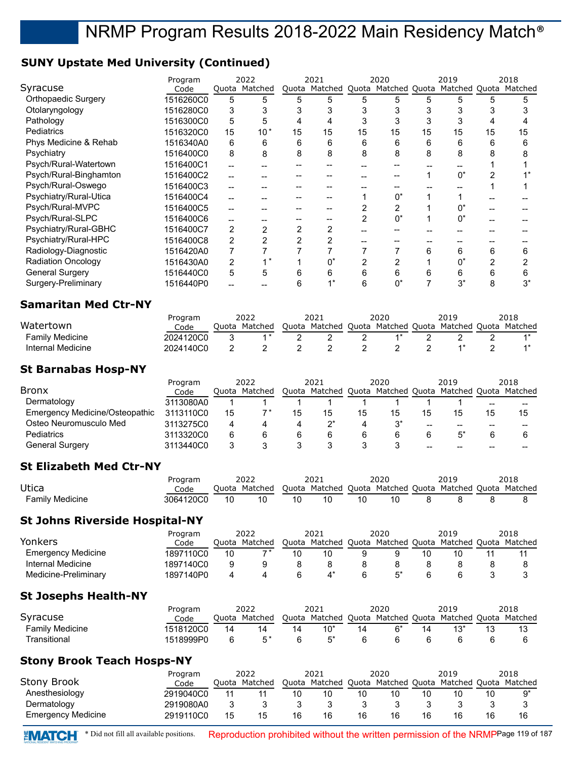# **SUNY Upstate Med University (Continued)**

|                            | Program   |                | 2022          |    | 2021                              |    | 2020  |    | 2019                  |    | 2018  |
|----------------------------|-----------|----------------|---------------|----|-----------------------------------|----|-------|----|-----------------------|----|-------|
| Syracuse                   | Code      |                | Quota Matched |    | Quota Matched Quota Matched Quota |    |       |    | Matched Quota Matched |    |       |
| <b>Orthopaedic Surgery</b> | 1516260C0 | 5              | 5             | 5  | 5                                 | 5  | 5     | 5  | 5                     | 5  |       |
| Otolaryngology             | 1516280C0 | 3              | 3             |    | 3                                 |    |       |    |                       |    |       |
| Pathology                  | 1516300C0 | 5              | 5             |    | 4                                 |    | 3     | 3  |                       |    |       |
| Pediatrics                 | 1516320C0 | 15             | $10*$         | 15 | 15                                | 15 | 15    | 15 | 15                    | 15 | 15    |
| Phys Medicine & Rehab      | 1516340A0 | 6              | 6             | 6  | 6                                 | 6  | 6     | 6  | 6                     | 6  | 6     |
| Psychiatry                 | 1516400C0 | 8              | 8             | 8  | 8                                 | 8  | 8     | 8  | 8                     | 8  |       |
| Psych/Rural-Watertown      | 1516400C1 |                |               |    |                                   |    |       |    |                       |    |       |
| Psych/Rural-Binghamton     | 1516400C2 | --             |               |    |                                   |    |       |    | $0^*$                 |    |       |
| Psych/Rural-Oswego         | 1516400C3 |                |               |    |                                   |    |       |    |                       |    |       |
| Psychiatry/Rural-Utica     | 1516400C4 |                |               |    |                                   |    | $0^*$ |    |                       |    |       |
| Psych/Rural-MVPC           | 1516400C5 |                |               |    |                                   |    | 2     |    | 0*                    |    |       |
| Psych/Rural-SLPC           | 1516400C6 |                |               |    |                                   |    | $0^*$ |    | 0*                    |    |       |
| Psychiatry/Rural-GBHC      | 1516400C7 | 2              | 2             |    | $\overline{2}$                    |    |       |    |                       |    |       |
| Psychiatry/Rural-HPC       | 1516400C8 | $\overline{2}$ |               |    | 2                                 |    |       |    |                       |    |       |
| Radiology-Diagnostic       | 1516420A0 | 7              |               |    |                                   |    |       | 6  | 6                     | 6  | 6     |
| <b>Radiation Oncology</b>  | 1516430A0 | 2              |               |    | $0^*$                             |    | 2     |    | 0*                    |    |       |
| <b>General Surgery</b>     | 1516440C0 | 5              | 5             | 6  | 6                                 | 6  | 6     | 6  | 6                     | 6  | 6     |
| Surgery-Preliminary        | 1516440P0 |                |               | 6  | $1*$                              | 6  | $0^*$ |    | $3^*$                 | 8  | $3^*$ |
|                            |           |                |               |    |                                   |    |       |    |                       |    |       |

#### **Samaritan Med Ctr-NY**

|                        | Program   |       | 2022    |       | 202.                        | 2020 | 2019                  | 2018 |
|------------------------|-----------|-------|---------|-------|-----------------------------|------|-----------------------|------|
| Watertown              | Code      | Ouota | Matched | Ouota | Matched Quota Matched Quota |      | Matched Quota Matched |      |
| <b>Family Medicine</b> | 2024120C0 |       |         |       |                             |      |                       |      |
| Internal Medicine      | 2024140C0 |       |         |       |                             |      |                       |      |

## **St Barnabas Hosp-NY**

|                                | Program   | 2022 |               | 2021 |                                                         | 2020 |    |    | 2019 |                 | 2018 |
|--------------------------------|-----------|------|---------------|------|---------------------------------------------------------|------|----|----|------|-----------------|------|
| <b>Bronx</b>                   | Code      |      | Ouota Matched |      | Quota Matched Quota Matched Quota Matched Quota Matched |      |    |    |      |                 |      |
| Dermatology                    | 3113080A0 |      |               |      |                                                         |      |    |    |      | $- -$           | --   |
| Emergency Medicine/Osteopathic | 3113110C0 | 15   |               | 15   | 15                                                      | 15   | 15 |    | 15   | 15              | 15   |
| Osteo Neuromusculo Med         | 3113275C0 |      |               |      |                                                         |      |    | -- | --   | --              |      |
| Pediatrics                     | 3113320C0 | 6    |               |      |                                                         |      |    |    |      |                 |      |
| General Surgery                | 3113440C0 |      |               |      |                                                         |      |    | -- | --   | $\qquad \qquad$ |      |

### **St Elizabeth Med Ctr-NY**

|                        |           |       | 2022    |       | 2021    |       | 2020          | 2019          | 2018    |
|------------------------|-----------|-------|---------|-------|---------|-------|---------------|---------------|---------|
| Utica                  | Code      | วนota | Matched | Ouota | Matched | Ouota | Matched Ouota | Matched Ouota | Matched |
| <b>Family Medicine</b> | 3064120C0 |       |         |       |         |       |               |               |         |

#### **St Johns Riverside Hospital-NY**

|                           | Program   |       | 2022          |    | 2021          |         | 2020          | 2019          | 2018    |
|---------------------------|-----------|-------|---------------|----|---------------|---------|---------------|---------------|---------|
| Yonkers                   | Code      | Ouota | Matched       |    | Quota Matched | ' Quota | Matched Quota | Matched Quota | Matched |
| <b>Emergency Medicine</b> | 1897110C0 | 10    | $\rightarrow$ | 10 | 10            |         |               |               |         |
| Internal Medicine         | 1897140C0 |       |               |    |               |         |               |               |         |
| Medicine-Preliminary      | 1897140P0 |       |               |    |               |         |               |               |         |

### **St Josephs Health-NY**

|                 | Program   |       | 2022    |    | 2021                                                    |    | 2020 | 2019 | 2018 |
|-----------------|-----------|-------|---------|----|---------------------------------------------------------|----|------|------|------|
| Syracuse        | Code      | Ouota | Matched |    | Quota Matched Quota Matched Quota Matched Quota Matched |    |      |      |      |
| Family Medicine | 1518120C0 | 14    | 11      | 14 | 10 $^*$                                                 | 11 |      |      |      |
| Transitional    | 1518999P0 |       |         |    |                                                         |    |      |      |      |

### **Stony Brook Teach Hosps-NY**

|                           | Program   |       | 2022    |    | 2021          |    | 2020 |    | 2019                                        |    | 2018 |
|---------------------------|-----------|-------|---------|----|---------------|----|------|----|---------------------------------------------|----|------|
| Stony Brook               | Code      | Ouota | Matched |    | Quota Matched |    |      |    | l Quota Matched Quota Matched Quota Matched |    |      |
| Anesthesiology            | 2919040C0 |       |         | 10 | 10            | 10 | 10   | 10 |                                             | 10 |      |
| Dermatology               | 2919080A0 |       |         |    |               |    |      |    |                                             |    |      |
| <b>Emergency Medicine</b> | 2919110C0 | 15    | 15      | 16 | 16            | 16 |      | 16 |                                             |    | 16   |

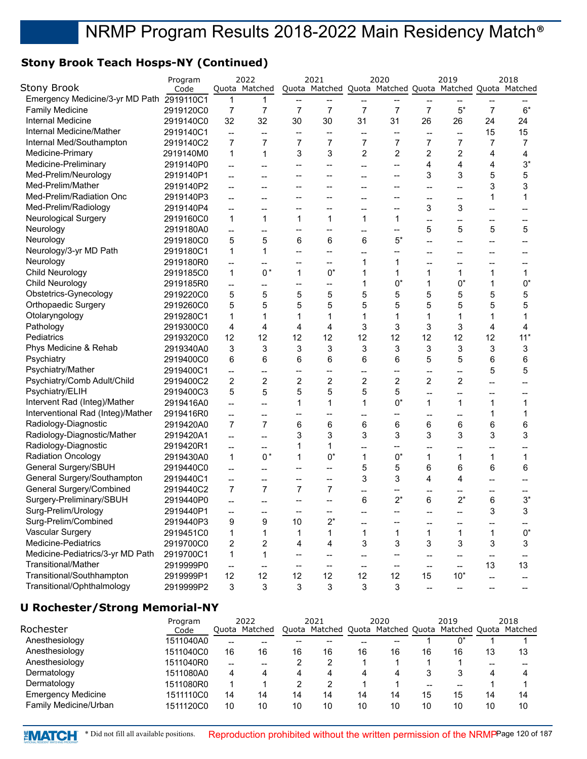# **Stony Brook Teach Hosps-NY (Continued)**

| Quota Matched Quota Matched Quota Matched Quota Matched<br>Quota Matched<br>Code<br>Emergency Medicine/3-yr MD Path<br>2919110C1<br>$\mathbf{1}$<br>$\mathbf{1}$<br>$\overline{\phantom{a}}$<br>--<br>--<br>$6*$<br><b>Family Medicine</b><br>$\overline{7}$<br>$\overline{7}$<br>7<br>$5^*$<br>$\overline{7}$<br>7<br>7<br>2919120C0<br>7<br>7<br>Internal Medicine<br>32<br>32<br>30<br>26<br>30<br>31<br>31<br>26<br>24<br>24<br>2919140C0<br>Internal Medicine/Mather<br>15<br>15<br>2919140C1<br>--<br>--<br>$\overline{\phantom{a}}$<br>$\overline{a}$<br>$\overline{\phantom{a}}$<br>$\overline{\phantom{a}}$<br>$\overline{\phantom{a}}$<br>--<br>$\overline{7}$<br>Internal Med/Southampton<br>$\overline{7}$<br>7<br>7<br>7<br>7<br>7<br>7<br>2919140C2<br>7<br>7<br>3<br>$\overline{c}$<br>$\overline{c}$<br>$\overline{c}$<br>1<br>3<br>$\overline{c}$<br>Medicine-Primary<br>1<br>4<br>2919140M0<br>4<br>$3^*$<br>Medicine-Preliminary<br>4<br>4<br>2919140P0<br>4<br>--<br>--<br>$\overline{a}$<br>$\overline{a}$<br>$\overline{a}$<br>Med-Prelim/Neurology<br>3<br>3<br>5<br>2919140P1<br>5<br>--<br>--<br>--<br>--<br>--<br>3<br>Med-Prelim/Mather<br>2919140P2<br>3<br>--<br>--<br>--<br>--<br>--<br>Med-Prelim/Radiation Onc<br>2919140P3<br>1<br>1<br>--<br>--<br>--<br>--<br>--<br>--<br>--<br>Med-Prelim/Radiology<br>3<br>3<br>2919140P4<br>--<br>--<br>$\overline{\phantom{a}}$<br>$\hspace{0.05cm}$ $\hspace{0.05cm}$<br>--<br>--<br>$\mathbf{1}$<br>Neurological Surgery<br>1<br>1<br>1<br>1<br>1<br>2919160C0<br>--<br>--<br>$\overline{\phantom{a}}$<br>$-$<br>5<br>Neurology<br>5<br>5<br>5<br>2919180A0<br>--<br>--<br>--<br>--<br>--<br>$5^*$<br>Neurology<br>5<br>5<br>6<br>6<br>6<br>2919180C0<br>--<br>--<br>--<br>Neurology/3-yr MD Path<br>1<br>2919180C1<br>1<br>$\overline{\phantom{a}}$<br>--<br>--<br>--<br>Neurology<br>1<br>2919180R0<br>1<br>--<br>--<br>--<br>$\overline{\phantom{a}}$<br>--<br>--<br><b>Child Neurology</b><br>$0*$<br>$0^*$<br>2919185C0<br>1<br>1<br>1<br>1<br>1<br>1<br>1<br>1<br>$0^*$<br>$0^*$<br>$0^*$<br>Child Neurology<br>1<br>2919185R0<br>1<br>1<br>--<br>$\overline{\phantom{a}}$<br>$\overline{\phantom{a}}$<br>--<br>5<br>Obstetrics-Gynecology<br>5<br>5<br>5<br>5<br>5<br>2919220C0<br>5<br>5<br>5<br>5<br>5<br>Orthopaedic Surgery<br>5<br>5<br>5<br>5<br>5<br>5<br>5<br>5<br>2919260C0<br>5<br>1<br>Otolaryngology<br>2919280C1<br>1<br>1<br>1<br>1<br>1<br>1<br>1<br>1<br>1<br>3<br>3<br>3<br>Pathology<br>4<br>4<br>4<br>3<br>4<br>2919300C0<br>4<br>4<br>$11*$<br>12<br>12<br>Pediatrics<br>12<br>12<br>12<br>12<br>12<br>12<br>12<br>2919320C0<br>Phys Medicine & Rehab<br>3<br>3<br>3<br>3<br>3<br>3<br>3<br>3<br>3<br>3<br>2919340A0<br>Psychiatry<br>6<br>6<br>5<br>5<br>2919400C0<br>6<br>6<br>6<br>6<br>6<br>6<br>Psychiatry/Mather<br>5<br>2919400C1<br>5<br>--<br>--<br>--<br>$\overline{\phantom{a}}$<br>--<br>--<br>$\overline{c}$<br>$\overline{c}$<br>$\overline{2}$<br>$\overline{c}$<br>Psychiatry/Comb Adult/Child<br>$\overline{c}$<br>2<br>2<br>2<br>2919400C2<br>Psychiatry/ELIH<br>5<br>5<br>5<br>5<br>5<br>2919400C3<br>5<br>--<br>--<br>--<br>Intervent Rad (Integ)/Mather<br>$0^*$<br>$\mathbf{1}$<br>$\mathbf{1}$<br>1<br>1<br>$\mathbf{1}$<br>1<br>1<br>2919416A0<br>$\overline{a}$<br>$-$<br>Interventional Rad (Integ)/Mather<br>2919416R0<br>1<br>1<br>--<br>$\overline{\phantom{a}}$<br>--<br>--<br>--<br>Radiology-Diagnostic<br>$\overline{7}$<br>7<br>6<br>6<br>6<br>6<br>6<br>6<br>6<br>6<br>2919420A0<br>3<br>3<br>3<br>3<br>3<br>Radiology-Diagnostic/Mather<br>3<br>3<br>3<br>2919420A1<br>--<br>$\overline{\phantom{a}}$<br>Radiology-Diagnostic<br>2919420R1<br>1<br>1<br>$\overline{\phantom{a}}$<br>$\overline{\phantom{a}}$<br>--<br><b>Radiation Oncology</b><br>$0*$<br>$0^*$<br>$0^*$<br>2919430A0<br>1<br>1<br>1<br>1<br>1<br>1<br>1<br>General Surgery/SBUH<br>5<br>5<br>6<br>6<br>6<br>2919440C0<br>6<br>$\overline{a}$<br>--<br>--<br>General Surgery/Southampton<br>3<br>3<br>4<br>4<br>2919440C1<br>$\overline{a}$<br>--<br>$\overline{\phantom{a}}$<br>--<br>$\overline{7}$<br>General Surgery/Combined<br>$\overline{7}$<br>7<br>7<br>2919440C2<br>--<br>--<br>$- -$<br>$2^*$<br>$2^*$<br>$3^*$<br>Surgery-Preliminary/SBUH<br>6<br>6<br>6<br>2919440P0<br>$\overline{\phantom{a}}$<br>--<br>Surg-Prelim/Urology<br>2919440P1<br>3<br>3<br>$\overline{\phantom{a}}$<br>Surg-Prelim/Combined<br>$2^*$<br>9<br>9<br>10<br>2919440P3<br>$0^*$<br>Vascular Surgery<br>1<br>$\mathbf{1}$<br>$\mathbf 1$<br>$\mathbf 1$<br>2919451C0<br>1<br>1<br>1<br>1<br>1<br>Medicine-Pediatrics<br>3<br>$\overline{\mathbf{c}}$<br>2<br>3<br>3<br>3<br>3<br>3<br>2919700C0<br>4<br>4<br>Medicine-Pediatrics/3-yr MD Path<br>2919700C1<br>1<br>1<br>--<br>--<br>--<br>--<br><b>Transitional/Mather</b><br>13<br>13<br>2919999P0<br>$\overline{a}$<br>$\hspace{0.05cm}$ $\hspace{0.05cm}$<br>--<br>--<br>$\overline{\phantom{a}}$<br>$-$<br>$\overline{\phantom{a}}$<br>$\overline{\phantom{a}}$<br>Transitional/Southhampton<br>$10*$<br>12<br>12<br>2919999P1<br>12<br>12<br>12<br>12<br>15<br>--<br>Transitional/Ophthalmology<br>$\ensuremath{\mathsf{3}}$<br>$\sqrt{3}$<br>3<br>3<br>$\mathfrak{S}$<br>$\ensuremath{\mathsf{3}}$<br>2919999P2<br>--<br>$\qquad \qquad \blacksquare$<br>۰.<br>$\overline{\phantom{a}}$ |                    | Program | 2022 | 2021 | 2020 | 2019 | 2018 |
|---------------------------------------------------------------------------------------------------------------------------------------------------------------------------------------------------------------------------------------------------------------------------------------------------------------------------------------------------------------------------------------------------------------------------------------------------------------------------------------------------------------------------------------------------------------------------------------------------------------------------------------------------------------------------------------------------------------------------------------------------------------------------------------------------------------------------------------------------------------------------------------------------------------------------------------------------------------------------------------------------------------------------------------------------------------------------------------------------------------------------------------------------------------------------------------------------------------------------------------------------------------------------------------------------------------------------------------------------------------------------------------------------------------------------------------------------------------------------------------------------------------------------------------------------------------------------------------------------------------------------------------------------------------------------------------------------------------------------------------------------------------------------------------------------------------------------------------------------------------------------------------------------------------------------------------------------------------------------------------------------------------------------------------------------------------------------------------------------------------------------------------------------------------------------------------------------------------------------------------------------------------------------------------------------------------------------------------------------------------------------------------------------------------------------------------------------------------------------------------------------------------------------------------------------------------------------------------------------------------------------------------------------------------------------------------------------------------------------------------------------------------------------------------------------------------------------------------------------------------------------------------------------------------------------------------------------------------------------------------------------------------------------------------------------------------------------------------------------------------------------------------------------------------------------------------------------------------------------------------------------------------------------------------------------------------------------------------------------------------------------------------------------------------------------------------------------------------------------------------------------------------------------------------------------------------------------------------------------------------------------------------------------------------------------------------------------------------------------------------------------------------------------------------------------------------------------------------------------------------------------------------------------------------------------------------------------------------------------------------------------------------------------------------------------------------------------------------------------------------------------------------------------------------------------------------------------------------------------------------------------------------------------------------------------------------------------------------------------------------------------------------------------------------------------------------------------------------------------------------------------------------------------------------------------------------------------------------------------------------------------------------------------------------------------------------------------------------------------------------------------------------------------------------------------------------------------------------------------------------------------------------------------------------------------------------------------------------------------------------------------------------------------------------------------------------------------------------------------------------------------------------------------------------------------------------------------------------------------------------------------------------------------------------------------------------------------------------------|--------------------|---------|------|------|------|------|------|
|                                                                                                                                                                                                                                                                                                                                                                                                                                                                                                                                                                                                                                                                                                                                                                                                                                                                                                                                                                                                                                                                                                                                                                                                                                                                                                                                                                                                                                                                                                                                                                                                                                                                                                                                                                                                                                                                                                                                                                                                                                                                                                                                                                                                                                                                                                                                                                                                                                                                                                                                                                                                                                                                                                                                                                                                                                                                                                                                                                                                                                                                                                                                                                                                                                                                                                                                                                                                                                                                                                                                                                                                                                                                                                                                                                                                                                                                                                                                                                                                                                                                                                                                                                                                                                                                                                                                                                                                                                                                                                                                                                                                                                                                                                                                                                                                                                                                                                                                                                                                                                                                                                                                                                                                                                                                                                                                             | <b>Stony Brook</b> |         |      |      |      |      |      |
|                                                                                                                                                                                                                                                                                                                                                                                                                                                                                                                                                                                                                                                                                                                                                                                                                                                                                                                                                                                                                                                                                                                                                                                                                                                                                                                                                                                                                                                                                                                                                                                                                                                                                                                                                                                                                                                                                                                                                                                                                                                                                                                                                                                                                                                                                                                                                                                                                                                                                                                                                                                                                                                                                                                                                                                                                                                                                                                                                                                                                                                                                                                                                                                                                                                                                                                                                                                                                                                                                                                                                                                                                                                                                                                                                                                                                                                                                                                                                                                                                                                                                                                                                                                                                                                                                                                                                                                                                                                                                                                                                                                                                                                                                                                                                                                                                                                                                                                                                                                                                                                                                                                                                                                                                                                                                                                                             |                    |         |      |      |      |      |      |
|                                                                                                                                                                                                                                                                                                                                                                                                                                                                                                                                                                                                                                                                                                                                                                                                                                                                                                                                                                                                                                                                                                                                                                                                                                                                                                                                                                                                                                                                                                                                                                                                                                                                                                                                                                                                                                                                                                                                                                                                                                                                                                                                                                                                                                                                                                                                                                                                                                                                                                                                                                                                                                                                                                                                                                                                                                                                                                                                                                                                                                                                                                                                                                                                                                                                                                                                                                                                                                                                                                                                                                                                                                                                                                                                                                                                                                                                                                                                                                                                                                                                                                                                                                                                                                                                                                                                                                                                                                                                                                                                                                                                                                                                                                                                                                                                                                                                                                                                                                                                                                                                                                                                                                                                                                                                                                                                             |                    |         |      |      |      |      |      |
|                                                                                                                                                                                                                                                                                                                                                                                                                                                                                                                                                                                                                                                                                                                                                                                                                                                                                                                                                                                                                                                                                                                                                                                                                                                                                                                                                                                                                                                                                                                                                                                                                                                                                                                                                                                                                                                                                                                                                                                                                                                                                                                                                                                                                                                                                                                                                                                                                                                                                                                                                                                                                                                                                                                                                                                                                                                                                                                                                                                                                                                                                                                                                                                                                                                                                                                                                                                                                                                                                                                                                                                                                                                                                                                                                                                                                                                                                                                                                                                                                                                                                                                                                                                                                                                                                                                                                                                                                                                                                                                                                                                                                                                                                                                                                                                                                                                                                                                                                                                                                                                                                                                                                                                                                                                                                                                                             |                    |         |      |      |      |      |      |
|                                                                                                                                                                                                                                                                                                                                                                                                                                                                                                                                                                                                                                                                                                                                                                                                                                                                                                                                                                                                                                                                                                                                                                                                                                                                                                                                                                                                                                                                                                                                                                                                                                                                                                                                                                                                                                                                                                                                                                                                                                                                                                                                                                                                                                                                                                                                                                                                                                                                                                                                                                                                                                                                                                                                                                                                                                                                                                                                                                                                                                                                                                                                                                                                                                                                                                                                                                                                                                                                                                                                                                                                                                                                                                                                                                                                                                                                                                                                                                                                                                                                                                                                                                                                                                                                                                                                                                                                                                                                                                                                                                                                                                                                                                                                                                                                                                                                                                                                                                                                                                                                                                                                                                                                                                                                                                                                             |                    |         |      |      |      |      |      |
|                                                                                                                                                                                                                                                                                                                                                                                                                                                                                                                                                                                                                                                                                                                                                                                                                                                                                                                                                                                                                                                                                                                                                                                                                                                                                                                                                                                                                                                                                                                                                                                                                                                                                                                                                                                                                                                                                                                                                                                                                                                                                                                                                                                                                                                                                                                                                                                                                                                                                                                                                                                                                                                                                                                                                                                                                                                                                                                                                                                                                                                                                                                                                                                                                                                                                                                                                                                                                                                                                                                                                                                                                                                                                                                                                                                                                                                                                                                                                                                                                                                                                                                                                                                                                                                                                                                                                                                                                                                                                                                                                                                                                                                                                                                                                                                                                                                                                                                                                                                                                                                                                                                                                                                                                                                                                                                                             |                    |         |      |      |      |      |      |
|                                                                                                                                                                                                                                                                                                                                                                                                                                                                                                                                                                                                                                                                                                                                                                                                                                                                                                                                                                                                                                                                                                                                                                                                                                                                                                                                                                                                                                                                                                                                                                                                                                                                                                                                                                                                                                                                                                                                                                                                                                                                                                                                                                                                                                                                                                                                                                                                                                                                                                                                                                                                                                                                                                                                                                                                                                                                                                                                                                                                                                                                                                                                                                                                                                                                                                                                                                                                                                                                                                                                                                                                                                                                                                                                                                                                                                                                                                                                                                                                                                                                                                                                                                                                                                                                                                                                                                                                                                                                                                                                                                                                                                                                                                                                                                                                                                                                                                                                                                                                                                                                                                                                                                                                                                                                                                                                             |                    |         |      |      |      |      |      |
|                                                                                                                                                                                                                                                                                                                                                                                                                                                                                                                                                                                                                                                                                                                                                                                                                                                                                                                                                                                                                                                                                                                                                                                                                                                                                                                                                                                                                                                                                                                                                                                                                                                                                                                                                                                                                                                                                                                                                                                                                                                                                                                                                                                                                                                                                                                                                                                                                                                                                                                                                                                                                                                                                                                                                                                                                                                                                                                                                                                                                                                                                                                                                                                                                                                                                                                                                                                                                                                                                                                                                                                                                                                                                                                                                                                                                                                                                                                                                                                                                                                                                                                                                                                                                                                                                                                                                                                                                                                                                                                                                                                                                                                                                                                                                                                                                                                                                                                                                                                                                                                                                                                                                                                                                                                                                                                                             |                    |         |      |      |      |      |      |
|                                                                                                                                                                                                                                                                                                                                                                                                                                                                                                                                                                                                                                                                                                                                                                                                                                                                                                                                                                                                                                                                                                                                                                                                                                                                                                                                                                                                                                                                                                                                                                                                                                                                                                                                                                                                                                                                                                                                                                                                                                                                                                                                                                                                                                                                                                                                                                                                                                                                                                                                                                                                                                                                                                                                                                                                                                                                                                                                                                                                                                                                                                                                                                                                                                                                                                                                                                                                                                                                                                                                                                                                                                                                                                                                                                                                                                                                                                                                                                                                                                                                                                                                                                                                                                                                                                                                                                                                                                                                                                                                                                                                                                                                                                                                                                                                                                                                                                                                                                                                                                                                                                                                                                                                                                                                                                                                             |                    |         |      |      |      |      |      |
|                                                                                                                                                                                                                                                                                                                                                                                                                                                                                                                                                                                                                                                                                                                                                                                                                                                                                                                                                                                                                                                                                                                                                                                                                                                                                                                                                                                                                                                                                                                                                                                                                                                                                                                                                                                                                                                                                                                                                                                                                                                                                                                                                                                                                                                                                                                                                                                                                                                                                                                                                                                                                                                                                                                                                                                                                                                                                                                                                                                                                                                                                                                                                                                                                                                                                                                                                                                                                                                                                                                                                                                                                                                                                                                                                                                                                                                                                                                                                                                                                                                                                                                                                                                                                                                                                                                                                                                                                                                                                                                                                                                                                                                                                                                                                                                                                                                                                                                                                                                                                                                                                                                                                                                                                                                                                                                                             |                    |         |      |      |      |      |      |
|                                                                                                                                                                                                                                                                                                                                                                                                                                                                                                                                                                                                                                                                                                                                                                                                                                                                                                                                                                                                                                                                                                                                                                                                                                                                                                                                                                                                                                                                                                                                                                                                                                                                                                                                                                                                                                                                                                                                                                                                                                                                                                                                                                                                                                                                                                                                                                                                                                                                                                                                                                                                                                                                                                                                                                                                                                                                                                                                                                                                                                                                                                                                                                                                                                                                                                                                                                                                                                                                                                                                                                                                                                                                                                                                                                                                                                                                                                                                                                                                                                                                                                                                                                                                                                                                                                                                                                                                                                                                                                                                                                                                                                                                                                                                                                                                                                                                                                                                                                                                                                                                                                                                                                                                                                                                                                                                             |                    |         |      |      |      |      |      |
|                                                                                                                                                                                                                                                                                                                                                                                                                                                                                                                                                                                                                                                                                                                                                                                                                                                                                                                                                                                                                                                                                                                                                                                                                                                                                                                                                                                                                                                                                                                                                                                                                                                                                                                                                                                                                                                                                                                                                                                                                                                                                                                                                                                                                                                                                                                                                                                                                                                                                                                                                                                                                                                                                                                                                                                                                                                                                                                                                                                                                                                                                                                                                                                                                                                                                                                                                                                                                                                                                                                                                                                                                                                                                                                                                                                                                                                                                                                                                                                                                                                                                                                                                                                                                                                                                                                                                                                                                                                                                                                                                                                                                                                                                                                                                                                                                                                                                                                                                                                                                                                                                                                                                                                                                                                                                                                                             |                    |         |      |      |      |      |      |
|                                                                                                                                                                                                                                                                                                                                                                                                                                                                                                                                                                                                                                                                                                                                                                                                                                                                                                                                                                                                                                                                                                                                                                                                                                                                                                                                                                                                                                                                                                                                                                                                                                                                                                                                                                                                                                                                                                                                                                                                                                                                                                                                                                                                                                                                                                                                                                                                                                                                                                                                                                                                                                                                                                                                                                                                                                                                                                                                                                                                                                                                                                                                                                                                                                                                                                                                                                                                                                                                                                                                                                                                                                                                                                                                                                                                                                                                                                                                                                                                                                                                                                                                                                                                                                                                                                                                                                                                                                                                                                                                                                                                                                                                                                                                                                                                                                                                                                                                                                                                                                                                                                                                                                                                                                                                                                                                             |                    |         |      |      |      |      |      |
|                                                                                                                                                                                                                                                                                                                                                                                                                                                                                                                                                                                                                                                                                                                                                                                                                                                                                                                                                                                                                                                                                                                                                                                                                                                                                                                                                                                                                                                                                                                                                                                                                                                                                                                                                                                                                                                                                                                                                                                                                                                                                                                                                                                                                                                                                                                                                                                                                                                                                                                                                                                                                                                                                                                                                                                                                                                                                                                                                                                                                                                                                                                                                                                                                                                                                                                                                                                                                                                                                                                                                                                                                                                                                                                                                                                                                                                                                                                                                                                                                                                                                                                                                                                                                                                                                                                                                                                                                                                                                                                                                                                                                                                                                                                                                                                                                                                                                                                                                                                                                                                                                                                                                                                                                                                                                                                                             |                    |         |      |      |      |      |      |
|                                                                                                                                                                                                                                                                                                                                                                                                                                                                                                                                                                                                                                                                                                                                                                                                                                                                                                                                                                                                                                                                                                                                                                                                                                                                                                                                                                                                                                                                                                                                                                                                                                                                                                                                                                                                                                                                                                                                                                                                                                                                                                                                                                                                                                                                                                                                                                                                                                                                                                                                                                                                                                                                                                                                                                                                                                                                                                                                                                                                                                                                                                                                                                                                                                                                                                                                                                                                                                                                                                                                                                                                                                                                                                                                                                                                                                                                                                                                                                                                                                                                                                                                                                                                                                                                                                                                                                                                                                                                                                                                                                                                                                                                                                                                                                                                                                                                                                                                                                                                                                                                                                                                                                                                                                                                                                                                             |                    |         |      |      |      |      |      |
|                                                                                                                                                                                                                                                                                                                                                                                                                                                                                                                                                                                                                                                                                                                                                                                                                                                                                                                                                                                                                                                                                                                                                                                                                                                                                                                                                                                                                                                                                                                                                                                                                                                                                                                                                                                                                                                                                                                                                                                                                                                                                                                                                                                                                                                                                                                                                                                                                                                                                                                                                                                                                                                                                                                                                                                                                                                                                                                                                                                                                                                                                                                                                                                                                                                                                                                                                                                                                                                                                                                                                                                                                                                                                                                                                                                                                                                                                                                                                                                                                                                                                                                                                                                                                                                                                                                                                                                                                                                                                                                                                                                                                                                                                                                                                                                                                                                                                                                                                                                                                                                                                                                                                                                                                                                                                                                                             |                    |         |      |      |      |      |      |
|                                                                                                                                                                                                                                                                                                                                                                                                                                                                                                                                                                                                                                                                                                                                                                                                                                                                                                                                                                                                                                                                                                                                                                                                                                                                                                                                                                                                                                                                                                                                                                                                                                                                                                                                                                                                                                                                                                                                                                                                                                                                                                                                                                                                                                                                                                                                                                                                                                                                                                                                                                                                                                                                                                                                                                                                                                                                                                                                                                                                                                                                                                                                                                                                                                                                                                                                                                                                                                                                                                                                                                                                                                                                                                                                                                                                                                                                                                                                                                                                                                                                                                                                                                                                                                                                                                                                                                                                                                                                                                                                                                                                                                                                                                                                                                                                                                                                                                                                                                                                                                                                                                                                                                                                                                                                                                                                             |                    |         |      |      |      |      |      |
|                                                                                                                                                                                                                                                                                                                                                                                                                                                                                                                                                                                                                                                                                                                                                                                                                                                                                                                                                                                                                                                                                                                                                                                                                                                                                                                                                                                                                                                                                                                                                                                                                                                                                                                                                                                                                                                                                                                                                                                                                                                                                                                                                                                                                                                                                                                                                                                                                                                                                                                                                                                                                                                                                                                                                                                                                                                                                                                                                                                                                                                                                                                                                                                                                                                                                                                                                                                                                                                                                                                                                                                                                                                                                                                                                                                                                                                                                                                                                                                                                                                                                                                                                                                                                                                                                                                                                                                                                                                                                                                                                                                                                                                                                                                                                                                                                                                                                                                                                                                                                                                                                                                                                                                                                                                                                                                                             |                    |         |      |      |      |      |      |
|                                                                                                                                                                                                                                                                                                                                                                                                                                                                                                                                                                                                                                                                                                                                                                                                                                                                                                                                                                                                                                                                                                                                                                                                                                                                                                                                                                                                                                                                                                                                                                                                                                                                                                                                                                                                                                                                                                                                                                                                                                                                                                                                                                                                                                                                                                                                                                                                                                                                                                                                                                                                                                                                                                                                                                                                                                                                                                                                                                                                                                                                                                                                                                                                                                                                                                                                                                                                                                                                                                                                                                                                                                                                                                                                                                                                                                                                                                                                                                                                                                                                                                                                                                                                                                                                                                                                                                                                                                                                                                                                                                                                                                                                                                                                                                                                                                                                                                                                                                                                                                                                                                                                                                                                                                                                                                                                             |                    |         |      |      |      |      |      |
|                                                                                                                                                                                                                                                                                                                                                                                                                                                                                                                                                                                                                                                                                                                                                                                                                                                                                                                                                                                                                                                                                                                                                                                                                                                                                                                                                                                                                                                                                                                                                                                                                                                                                                                                                                                                                                                                                                                                                                                                                                                                                                                                                                                                                                                                                                                                                                                                                                                                                                                                                                                                                                                                                                                                                                                                                                                                                                                                                                                                                                                                                                                                                                                                                                                                                                                                                                                                                                                                                                                                                                                                                                                                                                                                                                                                                                                                                                                                                                                                                                                                                                                                                                                                                                                                                                                                                                                                                                                                                                                                                                                                                                                                                                                                                                                                                                                                                                                                                                                                                                                                                                                                                                                                                                                                                                                                             |                    |         |      |      |      |      |      |
|                                                                                                                                                                                                                                                                                                                                                                                                                                                                                                                                                                                                                                                                                                                                                                                                                                                                                                                                                                                                                                                                                                                                                                                                                                                                                                                                                                                                                                                                                                                                                                                                                                                                                                                                                                                                                                                                                                                                                                                                                                                                                                                                                                                                                                                                                                                                                                                                                                                                                                                                                                                                                                                                                                                                                                                                                                                                                                                                                                                                                                                                                                                                                                                                                                                                                                                                                                                                                                                                                                                                                                                                                                                                                                                                                                                                                                                                                                                                                                                                                                                                                                                                                                                                                                                                                                                                                                                                                                                                                                                                                                                                                                                                                                                                                                                                                                                                                                                                                                                                                                                                                                                                                                                                                                                                                                                                             |                    |         |      |      |      |      |      |
|                                                                                                                                                                                                                                                                                                                                                                                                                                                                                                                                                                                                                                                                                                                                                                                                                                                                                                                                                                                                                                                                                                                                                                                                                                                                                                                                                                                                                                                                                                                                                                                                                                                                                                                                                                                                                                                                                                                                                                                                                                                                                                                                                                                                                                                                                                                                                                                                                                                                                                                                                                                                                                                                                                                                                                                                                                                                                                                                                                                                                                                                                                                                                                                                                                                                                                                                                                                                                                                                                                                                                                                                                                                                                                                                                                                                                                                                                                                                                                                                                                                                                                                                                                                                                                                                                                                                                                                                                                                                                                                                                                                                                                                                                                                                                                                                                                                                                                                                                                                                                                                                                                                                                                                                                                                                                                                                             |                    |         |      |      |      |      |      |
|                                                                                                                                                                                                                                                                                                                                                                                                                                                                                                                                                                                                                                                                                                                                                                                                                                                                                                                                                                                                                                                                                                                                                                                                                                                                                                                                                                                                                                                                                                                                                                                                                                                                                                                                                                                                                                                                                                                                                                                                                                                                                                                                                                                                                                                                                                                                                                                                                                                                                                                                                                                                                                                                                                                                                                                                                                                                                                                                                                                                                                                                                                                                                                                                                                                                                                                                                                                                                                                                                                                                                                                                                                                                                                                                                                                                                                                                                                                                                                                                                                                                                                                                                                                                                                                                                                                                                                                                                                                                                                                                                                                                                                                                                                                                                                                                                                                                                                                                                                                                                                                                                                                                                                                                                                                                                                                                             |                    |         |      |      |      |      |      |
|                                                                                                                                                                                                                                                                                                                                                                                                                                                                                                                                                                                                                                                                                                                                                                                                                                                                                                                                                                                                                                                                                                                                                                                                                                                                                                                                                                                                                                                                                                                                                                                                                                                                                                                                                                                                                                                                                                                                                                                                                                                                                                                                                                                                                                                                                                                                                                                                                                                                                                                                                                                                                                                                                                                                                                                                                                                                                                                                                                                                                                                                                                                                                                                                                                                                                                                                                                                                                                                                                                                                                                                                                                                                                                                                                                                                                                                                                                                                                                                                                                                                                                                                                                                                                                                                                                                                                                                                                                                                                                                                                                                                                                                                                                                                                                                                                                                                                                                                                                                                                                                                                                                                                                                                                                                                                                                                             |                    |         |      |      |      |      |      |
|                                                                                                                                                                                                                                                                                                                                                                                                                                                                                                                                                                                                                                                                                                                                                                                                                                                                                                                                                                                                                                                                                                                                                                                                                                                                                                                                                                                                                                                                                                                                                                                                                                                                                                                                                                                                                                                                                                                                                                                                                                                                                                                                                                                                                                                                                                                                                                                                                                                                                                                                                                                                                                                                                                                                                                                                                                                                                                                                                                                                                                                                                                                                                                                                                                                                                                                                                                                                                                                                                                                                                                                                                                                                                                                                                                                                                                                                                                                                                                                                                                                                                                                                                                                                                                                                                                                                                                                                                                                                                                                                                                                                                                                                                                                                                                                                                                                                                                                                                                                                                                                                                                                                                                                                                                                                                                                                             |                    |         |      |      |      |      |      |
|                                                                                                                                                                                                                                                                                                                                                                                                                                                                                                                                                                                                                                                                                                                                                                                                                                                                                                                                                                                                                                                                                                                                                                                                                                                                                                                                                                                                                                                                                                                                                                                                                                                                                                                                                                                                                                                                                                                                                                                                                                                                                                                                                                                                                                                                                                                                                                                                                                                                                                                                                                                                                                                                                                                                                                                                                                                                                                                                                                                                                                                                                                                                                                                                                                                                                                                                                                                                                                                                                                                                                                                                                                                                                                                                                                                                                                                                                                                                                                                                                                                                                                                                                                                                                                                                                                                                                                                                                                                                                                                                                                                                                                                                                                                                                                                                                                                                                                                                                                                                                                                                                                                                                                                                                                                                                                                                             |                    |         |      |      |      |      |      |
|                                                                                                                                                                                                                                                                                                                                                                                                                                                                                                                                                                                                                                                                                                                                                                                                                                                                                                                                                                                                                                                                                                                                                                                                                                                                                                                                                                                                                                                                                                                                                                                                                                                                                                                                                                                                                                                                                                                                                                                                                                                                                                                                                                                                                                                                                                                                                                                                                                                                                                                                                                                                                                                                                                                                                                                                                                                                                                                                                                                                                                                                                                                                                                                                                                                                                                                                                                                                                                                                                                                                                                                                                                                                                                                                                                                                                                                                                                                                                                                                                                                                                                                                                                                                                                                                                                                                                                                                                                                                                                                                                                                                                                                                                                                                                                                                                                                                                                                                                                                                                                                                                                                                                                                                                                                                                                                                             |                    |         |      |      |      |      |      |
|                                                                                                                                                                                                                                                                                                                                                                                                                                                                                                                                                                                                                                                                                                                                                                                                                                                                                                                                                                                                                                                                                                                                                                                                                                                                                                                                                                                                                                                                                                                                                                                                                                                                                                                                                                                                                                                                                                                                                                                                                                                                                                                                                                                                                                                                                                                                                                                                                                                                                                                                                                                                                                                                                                                                                                                                                                                                                                                                                                                                                                                                                                                                                                                                                                                                                                                                                                                                                                                                                                                                                                                                                                                                                                                                                                                                                                                                                                                                                                                                                                                                                                                                                                                                                                                                                                                                                                                                                                                                                                                                                                                                                                                                                                                                                                                                                                                                                                                                                                                                                                                                                                                                                                                                                                                                                                                                             |                    |         |      |      |      |      |      |
|                                                                                                                                                                                                                                                                                                                                                                                                                                                                                                                                                                                                                                                                                                                                                                                                                                                                                                                                                                                                                                                                                                                                                                                                                                                                                                                                                                                                                                                                                                                                                                                                                                                                                                                                                                                                                                                                                                                                                                                                                                                                                                                                                                                                                                                                                                                                                                                                                                                                                                                                                                                                                                                                                                                                                                                                                                                                                                                                                                                                                                                                                                                                                                                                                                                                                                                                                                                                                                                                                                                                                                                                                                                                                                                                                                                                                                                                                                                                                                                                                                                                                                                                                                                                                                                                                                                                                                                                                                                                                                                                                                                                                                                                                                                                                                                                                                                                                                                                                                                                                                                                                                                                                                                                                                                                                                                                             |                    |         |      |      |      |      |      |
|                                                                                                                                                                                                                                                                                                                                                                                                                                                                                                                                                                                                                                                                                                                                                                                                                                                                                                                                                                                                                                                                                                                                                                                                                                                                                                                                                                                                                                                                                                                                                                                                                                                                                                                                                                                                                                                                                                                                                                                                                                                                                                                                                                                                                                                                                                                                                                                                                                                                                                                                                                                                                                                                                                                                                                                                                                                                                                                                                                                                                                                                                                                                                                                                                                                                                                                                                                                                                                                                                                                                                                                                                                                                                                                                                                                                                                                                                                                                                                                                                                                                                                                                                                                                                                                                                                                                                                                                                                                                                                                                                                                                                                                                                                                                                                                                                                                                                                                                                                                                                                                                                                                                                                                                                                                                                                                                             |                    |         |      |      |      |      |      |
|                                                                                                                                                                                                                                                                                                                                                                                                                                                                                                                                                                                                                                                                                                                                                                                                                                                                                                                                                                                                                                                                                                                                                                                                                                                                                                                                                                                                                                                                                                                                                                                                                                                                                                                                                                                                                                                                                                                                                                                                                                                                                                                                                                                                                                                                                                                                                                                                                                                                                                                                                                                                                                                                                                                                                                                                                                                                                                                                                                                                                                                                                                                                                                                                                                                                                                                                                                                                                                                                                                                                                                                                                                                                                                                                                                                                                                                                                                                                                                                                                                                                                                                                                                                                                                                                                                                                                                                                                                                                                                                                                                                                                                                                                                                                                                                                                                                                                                                                                                                                                                                                                                                                                                                                                                                                                                                                             |                    |         |      |      |      |      |      |
|                                                                                                                                                                                                                                                                                                                                                                                                                                                                                                                                                                                                                                                                                                                                                                                                                                                                                                                                                                                                                                                                                                                                                                                                                                                                                                                                                                                                                                                                                                                                                                                                                                                                                                                                                                                                                                                                                                                                                                                                                                                                                                                                                                                                                                                                                                                                                                                                                                                                                                                                                                                                                                                                                                                                                                                                                                                                                                                                                                                                                                                                                                                                                                                                                                                                                                                                                                                                                                                                                                                                                                                                                                                                                                                                                                                                                                                                                                                                                                                                                                                                                                                                                                                                                                                                                                                                                                                                                                                                                                                                                                                                                                                                                                                                                                                                                                                                                                                                                                                                                                                                                                                                                                                                                                                                                                                                             |                    |         |      |      |      |      |      |
|                                                                                                                                                                                                                                                                                                                                                                                                                                                                                                                                                                                                                                                                                                                                                                                                                                                                                                                                                                                                                                                                                                                                                                                                                                                                                                                                                                                                                                                                                                                                                                                                                                                                                                                                                                                                                                                                                                                                                                                                                                                                                                                                                                                                                                                                                                                                                                                                                                                                                                                                                                                                                                                                                                                                                                                                                                                                                                                                                                                                                                                                                                                                                                                                                                                                                                                                                                                                                                                                                                                                                                                                                                                                                                                                                                                                                                                                                                                                                                                                                                                                                                                                                                                                                                                                                                                                                                                                                                                                                                                                                                                                                                                                                                                                                                                                                                                                                                                                                                                                                                                                                                                                                                                                                                                                                                                                             |                    |         |      |      |      |      |      |
|                                                                                                                                                                                                                                                                                                                                                                                                                                                                                                                                                                                                                                                                                                                                                                                                                                                                                                                                                                                                                                                                                                                                                                                                                                                                                                                                                                                                                                                                                                                                                                                                                                                                                                                                                                                                                                                                                                                                                                                                                                                                                                                                                                                                                                                                                                                                                                                                                                                                                                                                                                                                                                                                                                                                                                                                                                                                                                                                                                                                                                                                                                                                                                                                                                                                                                                                                                                                                                                                                                                                                                                                                                                                                                                                                                                                                                                                                                                                                                                                                                                                                                                                                                                                                                                                                                                                                                                                                                                                                                                                                                                                                                                                                                                                                                                                                                                                                                                                                                                                                                                                                                                                                                                                                                                                                                                                             |                    |         |      |      |      |      |      |
|                                                                                                                                                                                                                                                                                                                                                                                                                                                                                                                                                                                                                                                                                                                                                                                                                                                                                                                                                                                                                                                                                                                                                                                                                                                                                                                                                                                                                                                                                                                                                                                                                                                                                                                                                                                                                                                                                                                                                                                                                                                                                                                                                                                                                                                                                                                                                                                                                                                                                                                                                                                                                                                                                                                                                                                                                                                                                                                                                                                                                                                                                                                                                                                                                                                                                                                                                                                                                                                                                                                                                                                                                                                                                                                                                                                                                                                                                                                                                                                                                                                                                                                                                                                                                                                                                                                                                                                                                                                                                                                                                                                                                                                                                                                                                                                                                                                                                                                                                                                                                                                                                                                                                                                                                                                                                                                                             |                    |         |      |      |      |      |      |
|                                                                                                                                                                                                                                                                                                                                                                                                                                                                                                                                                                                                                                                                                                                                                                                                                                                                                                                                                                                                                                                                                                                                                                                                                                                                                                                                                                                                                                                                                                                                                                                                                                                                                                                                                                                                                                                                                                                                                                                                                                                                                                                                                                                                                                                                                                                                                                                                                                                                                                                                                                                                                                                                                                                                                                                                                                                                                                                                                                                                                                                                                                                                                                                                                                                                                                                                                                                                                                                                                                                                                                                                                                                                                                                                                                                                                                                                                                                                                                                                                                                                                                                                                                                                                                                                                                                                                                                                                                                                                                                                                                                                                                                                                                                                                                                                                                                                                                                                                                                                                                                                                                                                                                                                                                                                                                                                             |                    |         |      |      |      |      |      |
|                                                                                                                                                                                                                                                                                                                                                                                                                                                                                                                                                                                                                                                                                                                                                                                                                                                                                                                                                                                                                                                                                                                                                                                                                                                                                                                                                                                                                                                                                                                                                                                                                                                                                                                                                                                                                                                                                                                                                                                                                                                                                                                                                                                                                                                                                                                                                                                                                                                                                                                                                                                                                                                                                                                                                                                                                                                                                                                                                                                                                                                                                                                                                                                                                                                                                                                                                                                                                                                                                                                                                                                                                                                                                                                                                                                                                                                                                                                                                                                                                                                                                                                                                                                                                                                                                                                                                                                                                                                                                                                                                                                                                                                                                                                                                                                                                                                                                                                                                                                                                                                                                                                                                                                                                                                                                                                                             |                    |         |      |      |      |      |      |
|                                                                                                                                                                                                                                                                                                                                                                                                                                                                                                                                                                                                                                                                                                                                                                                                                                                                                                                                                                                                                                                                                                                                                                                                                                                                                                                                                                                                                                                                                                                                                                                                                                                                                                                                                                                                                                                                                                                                                                                                                                                                                                                                                                                                                                                                                                                                                                                                                                                                                                                                                                                                                                                                                                                                                                                                                                                                                                                                                                                                                                                                                                                                                                                                                                                                                                                                                                                                                                                                                                                                                                                                                                                                                                                                                                                                                                                                                                                                                                                                                                                                                                                                                                                                                                                                                                                                                                                                                                                                                                                                                                                                                                                                                                                                                                                                                                                                                                                                                                                                                                                                                                                                                                                                                                                                                                                                             |                    |         |      |      |      |      |      |
|                                                                                                                                                                                                                                                                                                                                                                                                                                                                                                                                                                                                                                                                                                                                                                                                                                                                                                                                                                                                                                                                                                                                                                                                                                                                                                                                                                                                                                                                                                                                                                                                                                                                                                                                                                                                                                                                                                                                                                                                                                                                                                                                                                                                                                                                                                                                                                                                                                                                                                                                                                                                                                                                                                                                                                                                                                                                                                                                                                                                                                                                                                                                                                                                                                                                                                                                                                                                                                                                                                                                                                                                                                                                                                                                                                                                                                                                                                                                                                                                                                                                                                                                                                                                                                                                                                                                                                                                                                                                                                                                                                                                                                                                                                                                                                                                                                                                                                                                                                                                                                                                                                                                                                                                                                                                                                                                             |                    |         |      |      |      |      |      |
|                                                                                                                                                                                                                                                                                                                                                                                                                                                                                                                                                                                                                                                                                                                                                                                                                                                                                                                                                                                                                                                                                                                                                                                                                                                                                                                                                                                                                                                                                                                                                                                                                                                                                                                                                                                                                                                                                                                                                                                                                                                                                                                                                                                                                                                                                                                                                                                                                                                                                                                                                                                                                                                                                                                                                                                                                                                                                                                                                                                                                                                                                                                                                                                                                                                                                                                                                                                                                                                                                                                                                                                                                                                                                                                                                                                                                                                                                                                                                                                                                                                                                                                                                                                                                                                                                                                                                                                                                                                                                                                                                                                                                                                                                                                                                                                                                                                                                                                                                                                                                                                                                                                                                                                                                                                                                                                                             |                    |         |      |      |      |      |      |
|                                                                                                                                                                                                                                                                                                                                                                                                                                                                                                                                                                                                                                                                                                                                                                                                                                                                                                                                                                                                                                                                                                                                                                                                                                                                                                                                                                                                                                                                                                                                                                                                                                                                                                                                                                                                                                                                                                                                                                                                                                                                                                                                                                                                                                                                                                                                                                                                                                                                                                                                                                                                                                                                                                                                                                                                                                                                                                                                                                                                                                                                                                                                                                                                                                                                                                                                                                                                                                                                                                                                                                                                                                                                                                                                                                                                                                                                                                                                                                                                                                                                                                                                                                                                                                                                                                                                                                                                                                                                                                                                                                                                                                                                                                                                                                                                                                                                                                                                                                                                                                                                                                                                                                                                                                                                                                                                             |                    |         |      |      |      |      |      |
|                                                                                                                                                                                                                                                                                                                                                                                                                                                                                                                                                                                                                                                                                                                                                                                                                                                                                                                                                                                                                                                                                                                                                                                                                                                                                                                                                                                                                                                                                                                                                                                                                                                                                                                                                                                                                                                                                                                                                                                                                                                                                                                                                                                                                                                                                                                                                                                                                                                                                                                                                                                                                                                                                                                                                                                                                                                                                                                                                                                                                                                                                                                                                                                                                                                                                                                                                                                                                                                                                                                                                                                                                                                                                                                                                                                                                                                                                                                                                                                                                                                                                                                                                                                                                                                                                                                                                                                                                                                                                                                                                                                                                                                                                                                                                                                                                                                                                                                                                                                                                                                                                                                                                                                                                                                                                                                                             |                    |         |      |      |      |      |      |
|                                                                                                                                                                                                                                                                                                                                                                                                                                                                                                                                                                                                                                                                                                                                                                                                                                                                                                                                                                                                                                                                                                                                                                                                                                                                                                                                                                                                                                                                                                                                                                                                                                                                                                                                                                                                                                                                                                                                                                                                                                                                                                                                                                                                                                                                                                                                                                                                                                                                                                                                                                                                                                                                                                                                                                                                                                                                                                                                                                                                                                                                                                                                                                                                                                                                                                                                                                                                                                                                                                                                                                                                                                                                                                                                                                                                                                                                                                                                                                                                                                                                                                                                                                                                                                                                                                                                                                                                                                                                                                                                                                                                                                                                                                                                                                                                                                                                                                                                                                                                                                                                                                                                                                                                                                                                                                                                             |                    |         |      |      |      |      |      |
|                                                                                                                                                                                                                                                                                                                                                                                                                                                                                                                                                                                                                                                                                                                                                                                                                                                                                                                                                                                                                                                                                                                                                                                                                                                                                                                                                                                                                                                                                                                                                                                                                                                                                                                                                                                                                                                                                                                                                                                                                                                                                                                                                                                                                                                                                                                                                                                                                                                                                                                                                                                                                                                                                                                                                                                                                                                                                                                                                                                                                                                                                                                                                                                                                                                                                                                                                                                                                                                                                                                                                                                                                                                                                                                                                                                                                                                                                                                                                                                                                                                                                                                                                                                                                                                                                                                                                                                                                                                                                                                                                                                                                                                                                                                                                                                                                                                                                                                                                                                                                                                                                                                                                                                                                                                                                                                                             |                    |         |      |      |      |      |      |
|                                                                                                                                                                                                                                                                                                                                                                                                                                                                                                                                                                                                                                                                                                                                                                                                                                                                                                                                                                                                                                                                                                                                                                                                                                                                                                                                                                                                                                                                                                                                                                                                                                                                                                                                                                                                                                                                                                                                                                                                                                                                                                                                                                                                                                                                                                                                                                                                                                                                                                                                                                                                                                                                                                                                                                                                                                                                                                                                                                                                                                                                                                                                                                                                                                                                                                                                                                                                                                                                                                                                                                                                                                                                                                                                                                                                                                                                                                                                                                                                                                                                                                                                                                                                                                                                                                                                                                                                                                                                                                                                                                                                                                                                                                                                                                                                                                                                                                                                                                                                                                                                                                                                                                                                                                                                                                                                             |                    |         |      |      |      |      |      |
|                                                                                                                                                                                                                                                                                                                                                                                                                                                                                                                                                                                                                                                                                                                                                                                                                                                                                                                                                                                                                                                                                                                                                                                                                                                                                                                                                                                                                                                                                                                                                                                                                                                                                                                                                                                                                                                                                                                                                                                                                                                                                                                                                                                                                                                                                                                                                                                                                                                                                                                                                                                                                                                                                                                                                                                                                                                                                                                                                                                                                                                                                                                                                                                                                                                                                                                                                                                                                                                                                                                                                                                                                                                                                                                                                                                                                                                                                                                                                                                                                                                                                                                                                                                                                                                                                                                                                                                                                                                                                                                                                                                                                                                                                                                                                                                                                                                                                                                                                                                                                                                                                                                                                                                                                                                                                                                                             |                    |         |      |      |      |      |      |
|                                                                                                                                                                                                                                                                                                                                                                                                                                                                                                                                                                                                                                                                                                                                                                                                                                                                                                                                                                                                                                                                                                                                                                                                                                                                                                                                                                                                                                                                                                                                                                                                                                                                                                                                                                                                                                                                                                                                                                                                                                                                                                                                                                                                                                                                                                                                                                                                                                                                                                                                                                                                                                                                                                                                                                                                                                                                                                                                                                                                                                                                                                                                                                                                                                                                                                                                                                                                                                                                                                                                                                                                                                                                                                                                                                                                                                                                                                                                                                                                                                                                                                                                                                                                                                                                                                                                                                                                                                                                                                                                                                                                                                                                                                                                                                                                                                                                                                                                                                                                                                                                                                                                                                                                                                                                                                                                             |                    |         |      |      |      |      |      |

# **U Rochester/Strong Memorial-NY**

|                           | Program   | 2022 |               | 2021 |                                                         | 2020 |       |    | 2019 |    | 2018 |
|---------------------------|-----------|------|---------------|------|---------------------------------------------------------|------|-------|----|------|----|------|
| Rochester                 | Code      |      | Quota Matched |      | Quota Matched Quota Matched Quota Matched Quota Matched |      |       |    |      |    |      |
| Anesthesiology            | 1511040A0 | --   |               |      | --                                                      | --   | $- -$ |    |      |    |      |
| Anesthesiology            | 1511040C0 | 16   | 16            | 16   | 16                                                      | 16   | 16    | 16 | 16   | 13 | 13   |
| Anesthesiology            | 1511040R0 | --   | --            |      | 2                                                       |      |       |    |      | -- | --   |
| Dermatology               | 1511080A0 | 4    |               | 4    | 4                                                       | 4    | 4     |    |      | 4  | Δ    |
| Dermatology               | 1511080R0 |      |               |      |                                                         |      |       |    |      |    |      |
| <b>Emergency Medicine</b> | 1511110C0 | 14   | 14            | 14   | 14                                                      | 14   | 14    | 15 | 15   | 14 | 14   |
| Family Medicine/Urban     | 1511120C0 | 10   | 10            | 10   | 10                                                      | 10   | 10    | 10 | 10   | 10 | 10   |

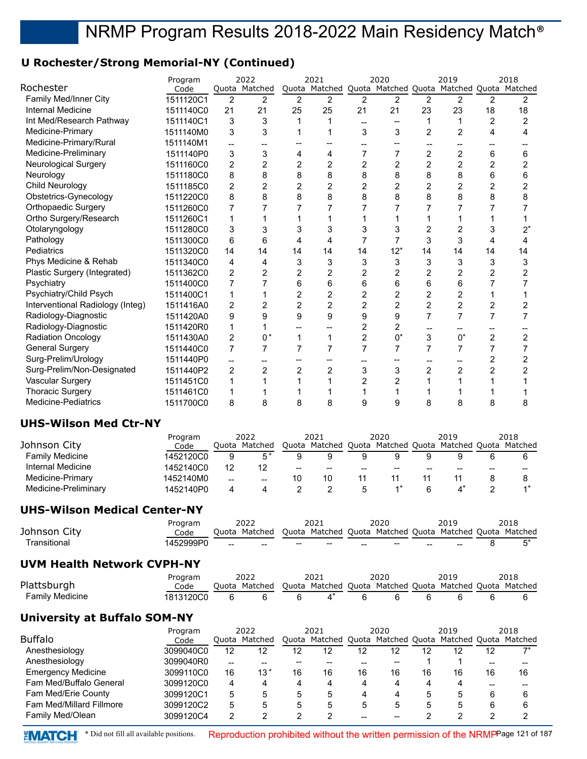# **U Rochester/Strong Memorial-NY (Continued)**

|                                  | Program   |                | 2022           |                | 2021                                                    |                | 2020  |                | 2019           |                | 2018     |
|----------------------------------|-----------|----------------|----------------|----------------|---------------------------------------------------------|----------------|-------|----------------|----------------|----------------|----------|
| Rochester                        | Code      |                | Quota Matched  |                | Quota Matched Quota Matched Quota Matched Quota Matched |                |       |                |                |                |          |
| Family Med/Inner City            | 1511120C1 | $\overline{2}$ | $\overline{2}$ | $\overline{2}$ | 2                                                       | 2              | 2     | $\overline{2}$ | 2              | $\overline{2}$ | 2        |
| Internal Medicine                | 1511140C0 | 21             | 21             | 25             | 25                                                      | 21             | 21    | 23             | 23             | 18             | 18       |
| Int Med/Research Pathway         | 1511140C1 | 3              | 3              |                |                                                         |                |       | 1              | 1              | $\overline{2}$ | 2        |
| Medicine-Primary                 | 1511140M0 | 3              | 3              |                |                                                         | 3              | 3     | $\overline{2}$ | $\overline{2}$ | 4              | 4        |
| Medicine-Primary/Rural           | 1511140M1 |                |                |                |                                                         |                |       |                |                |                |          |
| Medicine-Preliminary             | 1511140P0 | 3              | 3              | 4              | 4                                                       |                | 7     | $\overline{2}$ | 2              | 6              | 6        |
| <b>Neurological Surgery</b>      | 1511160C0 | 2              | $\overline{2}$ | 2              | $\overline{2}$                                          | $\overline{2}$ | 2     | $\overline{2}$ | $\overline{2}$ | 2              | 2        |
| Neurology                        | 1511180C0 | 8              | 8              | 8              | 8                                                       | 8              | 8     | 8              | 8              | 6              | 6        |
| Child Neurology                  | 1511185C0 | 2              | 2              | 2              | 2                                                       | 2              | 2     | 2              | 2              | 2              | 2        |
| Obstetrics-Gynecology            | 1511220C0 | 8              | 8              | 8              | 8                                                       | 8              | 8     | 8              | 8              |                | 8        |
| <b>Orthopaedic Surgery</b>       | 1511260C0 | 7              |                |                |                                                         |                |       |                |                |                |          |
| Ortho Surgery/Research           | 1511260C1 | 1              |                |                |                                                         |                |       |                |                |                |          |
| Otolaryngology                   | 1511280C0 | 3              | 3              |                | 3                                                       | 3              | 3     | $\overline{c}$ | 2              |                | $2^\ast$ |
| Pathology                        | 1511300C0 | 6              | 6              | 4              | 4                                                       |                |       | 3              | 3              | 4              | 4        |
| Pediatrics                       | 1511320C0 | 14             | 14             | 14             | 14                                                      | 14             | $12*$ | 14             | 14             | 14             | 14       |
| Phys Medicine & Rehab            | 1511340C0 | 4              | 4              | 3              | 3                                                       | 3              | 3     | 3              | 3              | 3              | 3        |
| Plastic Surgery (Integrated)     | 1511362C0 | 2              | $\overline{2}$ | 2              | $\overline{c}$                                          | $\overline{2}$ | 2     | 2              | $\overline{2}$ |                | 2        |
| Psychiatry                       | 1511400C0 | 7              |                | 6              | 6                                                       | 6              | 6     | 6              | 6              |                |          |
| Psychiatry/Child Psych           | 1511400C1 | 1              |                | 2              | $\overline{c}$                                          | $\overline{2}$ | 2     | 2              | $\overline{c}$ |                |          |
| Interventional Radiology (Integ) | 1511416A0 | 2              | 2              | 2              | $\overline{2}$                                          | $\overline{2}$ | 2     | $\overline{2}$ | $\overline{2}$ |                |          |
| Radiology-Diagnostic             | 1511420A0 | 9              | 9              | 9              | 9                                                       | 9              | 9     | 7              | 7              |                |          |
| Radiology-Diagnostic             | 1511420R0 | 1              |                |                |                                                         | 2              | 2     |                |                |                |          |
| <b>Radiation Oncology</b>        | 1511430A0 | 2              | $0*$           | 1              |                                                         | $\overline{c}$ | $0^*$ | 3              | $0^*$          | 2              | 2        |
| <b>General Surgery</b>           | 1511440C0 | 7              | 7              |                | 7                                                       | $\overline{7}$ | 7     | 7              | 7              |                |          |
| Surg-Prelim/Urology              | 1511440P0 |                |                |                |                                                         |                |       |                |                |                | 2        |
| Surg-Prelim/Non-Designated       | 1511440P2 | 2              | $\overline{2}$ | 2              | $\overline{c}$                                          | 3              | 3     | $\overline{2}$ | 2              | 2              | 2        |
| Vascular Surgery                 | 1511451C0 | 1              |                |                |                                                         |                | 2     |                |                |                |          |
| <b>Thoracic Surgery</b>          | 1511461C0 | 1              |                |                |                                                         |                |       |                |                |                |          |
| Medicine-Pediatrics              | 1511700C0 | 8              | 8              | 8              | 8                                                       | 9              | 9     | 8              | 8              | 8              | 8        |
|                                  |           |                |                |                |                                                         |                |       |                |                |                |          |

### **UHS-Wilson Med Ctr-NY**

|                        | Program   |       | 2022    |       | 2021                |    | 2020          | 2019                  |    | 2018 |
|------------------------|-----------|-------|---------|-------|---------------------|----|---------------|-----------------------|----|------|
| Johnson City           | Code      | Ouota | Matched |       | Quota Matched Quota |    | Matched Quota | Matched Quota Matched |    |      |
| <b>Family Medicine</b> | 1452120C0 | a     |         |       |                     |    |               |                       |    |      |
| Internal Medicine      | 1452140C0 | 12    |         | $- -$ | $-$                 | -- | $- -$         | --                    | -- |      |
| Medicine-Primary       | 1452140M0 | $-$   | --      | 10    | 10                  |    |               |                       |    |      |
| Medicine-Preliminary   | 1452140P0 |       |         |       |                     |    |               |                       |    |      |

## **UHS-Wilson Medical Center-NY**

|              | Program   |       | 2022                                                                  |       | 2021  |     | 2020                                           |     | 2019 | 2018 |
|--------------|-----------|-------|-----------------------------------------------------------------------|-------|-------|-----|------------------------------------------------|-----|------|------|
| Johnson City | Code      |       | Quota Matched Quota Matched Quota Matched Quota Matched Quota Matched |       |       |     |                                                |     |      |      |
| Transitional | 1452999P0 | $- -$ | $-$                                                                   | $- -$ | $- -$ | $-$ | $\hspace{0.1mm}-\hspace{0.1mm}-\hspace{0.1mm}$ | $-$ | $-$  |      |
|              |           |       |                                                                       |       |       |     |                                                |     |      |      |

## **UVM Health Network CVPH-NY**

|                 | Program   | 2022          | 2021 | 2020 | 2019                                                    | 2018 |
|-----------------|-----------|---------------|------|------|---------------------------------------------------------|------|
| Plattsburgh     | Code      | Ouota Matched |      |      | Quota Matched Quota Matched Quota Matched Quota Matched |      |
| Family Medicine | 1813120C0 |               |      |      |                                                         |      |

### **University at Buffalo SOM-NY**

|                           | Program   | 2022 |               |    | 2021                                            |    | 2020 |    | 2019 |    | 2018    |
|---------------------------|-----------|------|---------------|----|-------------------------------------------------|----|------|----|------|----|---------|
| <b>Buffalo</b>            | Code      |      | Ouota Matched |    | Quota Matched Quota Matched Quota Matched Quota |    |      |    |      |    | Matched |
| Anesthesiology            | 3099040C0 | 12   | 12            | 12 | 12                                              | 12 | 12   | 12 | 12   | 12 |         |
| Anesthesiology            | 3099040R0 | --   |               |    |                                                 |    |      |    |      |    | $- -$   |
| <b>Emergency Medicine</b> | 3099110C0 | 16   | 13*           | 16 | 16                                              | 16 | 16   | 16 | 16   | 16 | 16      |
| Fam Med/Buffalo General   | 3099120C0 | 4    |               | 4  | 4                                               |    |      |    |      |    | $- -$   |
| Fam Med/Erie County       | 3099120C1 | 5    |               | 5  | 5                                               |    |      |    |      | 6  | 6       |
| Fam Med/Millard Fillmore  | 3099120C2 | 5    |               | 5  | 5                                               | 5  | 5    |    |      | 6  | 6       |
| Family Med/Olean          | 3099120C4 |      |               |    |                                                 |    |      |    |      |    |         |

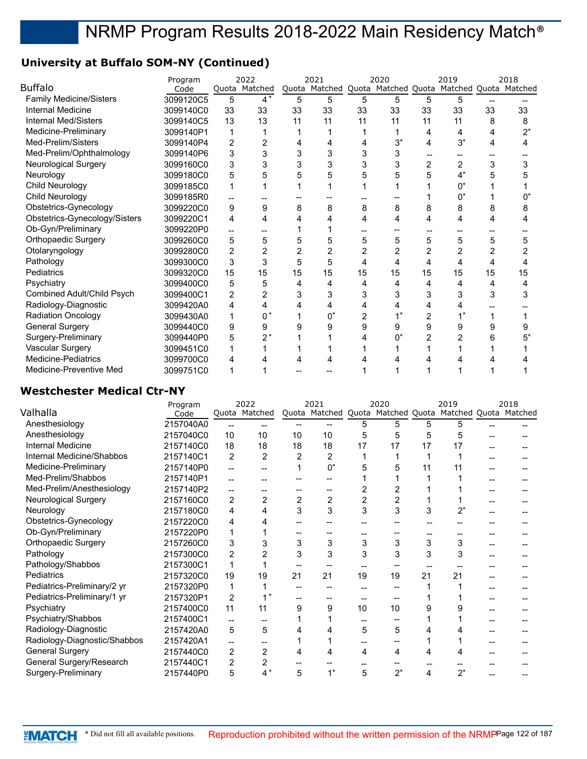# **University at Buffalo SOM-NY (Continued)**

|                                   | Program   |                | 2022           |       | 2021                                              |                | 2020 |                | 2019  |    | 2018  |
|-----------------------------------|-----------|----------------|----------------|-------|---------------------------------------------------|----------------|------|----------------|-------|----|-------|
| <b>Buffalo</b>                    | Code      | Quota          | Matched        | Quota | Matched Quota Matched Quota Matched Quota Matched |                |      |                |       |    |       |
| <b>Family Medicine/Sisters</b>    | 3099120C5 | 5              | $4*$           | 5     | 5                                                 | 5              | 5    | 5              | 5     |    |       |
| Internal Medicine                 | 3099140C0 | 33             | 33             | 33    | 33                                                | 33             | 33   | 33             | 33    | 33 | 33    |
| <b>Internal Med/Sisters</b>       | 3099140C5 | 13             | 13             | 11    | 11                                                | 11             | 11   | 11             | 11    | 8  | 8     |
| Medicine-Preliminary              | 3099140P1 | 1              |                |       |                                                   |                |      | 4              | 4     |    | $2^*$ |
| Med-Prelim/Sisters                | 3099140P4 | 2              | 2              |       | 4                                                 |                | 3*   | 4              | $3^*$ |    | 4     |
| Med-Prelim/Ophthalmology          | 3099140P6 | 3              | 3              |       | 3                                                 |                | 3    |                |       |    |       |
| <b>Neurological Surgery</b>       | 3099160C0 | 3              | 3              |       | 3                                                 |                | 3    | $\overline{2}$ | 2     | 3  | 3     |
| Neurology                         | 3099180C0 | 5              | 5              |       | 5                                                 | 5              | 5    | 5              | $4^*$ |    | 5     |
| <b>Child Neurology</b>            | 3099185C0 | 1              |                |       |                                                   |                |      |                | $0^*$ |    |       |
| Child Neurology                   | 3099185R0 |                |                |       |                                                   |                |      |                | 0*    |    |       |
| Obstetrics-Gynecology             | 3099220C0 | 9              | 9              | 8     | 8                                                 | 8              | 8    | 8              | 8     | 8  | 8     |
| Obstetrics-Gynecology/Sisters     | 3099220C1 | 4              | 4              |       | 4                                                 | 4              | 4    | 4              | 4     |    |       |
| Ob-Gyn/Preliminary                | 3099220P0 |                |                |       |                                                   |                |      |                |       |    |       |
| <b>Orthopaedic Surgery</b>        | 3099260C0 | 5              | 5              | 5     | 5                                                 | 5              | 5    | 5              | 5     | 5  | 5     |
| Otolaryngology                    | 3099280C0 | $\overline{c}$ | $\overline{2}$ |       | $\overline{2}$                                    | $\overline{2}$ | 2    | $\overline{2}$ |       | 2  |       |
| Pathology                         | 3099300C0 | 3              | 3              | 5     | 5                                                 | 4              | 4    | 4              | 4     | 4  |       |
| Pediatrics                        | 3099320C0 | 15             | 15             | 15    | 15                                                | 15             | 15   | 15             | 15    | 15 | 15    |
| Psychiatry                        | 3099400C0 | 5              | 5              | 4     | 4                                                 | 4              | 4    | 4              | 4     | 4  | 4     |
| <b>Combined Adult/Child Psych</b> | 3099400C1 | 2              | 2              |       | 3                                                 |                | 3    | 3              |       |    | 3     |
| Radiology-Diagnostic              | 3099420A0 | 4              | 4              |       | 4                                                 | 4              | 4    | 4              |       |    |       |
| <b>Radiation Oncology</b>         | 3099430A0 | 1              | $0^*$          |       | $0^*$                                             | 2              |      | 2              |       |    |       |
| <b>General Surgery</b>            | 3099440C0 | 9              | 9              | g     | 9                                                 | 9              | 9    | 9              | 9     | 9  |       |
| Surgery-Preliminary               | 3099440P0 | 5              | $2^*$          |       |                                                   |                | 0*   | 2              |       |    |       |
| Vascular Surgery                  | 3099451C0 | 1              |                |       |                                                   |                |      |                |       |    |       |
| <b>Medicine-Pediatrics</b>        | 3099700C0 | 4              |                |       |                                                   |                |      |                |       |    |       |
| Medicine-Preventive Med           | 3099751C0 | 1              |                |       |                                                   |                |      |                |       |    |       |

## **Westchester Medical Ctr-NY**

| Program   |     |                |                       |       |      |       |      | 2019  | 2018                                                    |
|-----------|-----|----------------|-----------------------|-------|------|-------|------|-------|---------------------------------------------------------|
| Code      |     |                |                       |       |      |       |      |       |                                                         |
| 2157040A0 |     | --             |                       |       | 5    | 5     | 5    | 5     |                                                         |
| 2157040C0 | 10  | 10             | 10                    | 10    | 5    | 5     | 5    | 5     |                                                         |
| 2157140C0 | 18  | 18             | 18                    | 18    | 17   | 17    | 17   | 17    |                                                         |
| 2157140C1 | 2   | $\overline{2}$ | $\overline{2}$        | 2     |      |       |      |       |                                                         |
| 2157140P0 |     |                |                       | $0^*$ | 5    |       | 11   | 11    |                                                         |
| 2157140P1 |     |                |                       |       |      |       |      |       |                                                         |
| 2157140P2 |     |                |                       |       |      |       |      |       |                                                         |
| 2157160C0 | 2   | $\overline{2}$ | 2                     | 2     | 2    | 2     |      |       |                                                         |
| 2157180C0 | 4   | 4              | 3                     | 3     | 3    | 3     | 3    | $2^*$ |                                                         |
| 2157220C0 | 4   |                |                       |       |      |       |      |       |                                                         |
| 2157220P0 |     |                |                       |       |      |       |      |       |                                                         |
| 2157260C0 | 3   | 3              | 3                     | 3     | 3    | 3     | 3    | 3     |                                                         |
| 2157300C0 | 2   | 2              | 3                     | 3     | 3    | 3     | 3    | 3     |                                                         |
| 2157300C1 |     |                |                       |       |      |       |      |       |                                                         |
| 2157320C0 | 19  | 19             | 21                    | 21    | 19   | 19    | 21   | 21    |                                                         |
| 2157320P0 |     |                |                       |       |      |       |      |       |                                                         |
| 2157320P1 | 2   |                |                       |       |      |       |      |       |                                                         |
| 2157400C0 | 11  | 11             | 9                     | 9     | 10   | 10    | 9    |       |                                                         |
| 2157400C1 | $-$ |                |                       |       |      |       |      |       |                                                         |
| 2157420A0 | 5   | 5              | 4                     |       | 5    | 5     |      |       |                                                         |
| 2157420A1 | --  |                |                       |       |      |       |      |       |                                                         |
| 2157440C0 | 2   | $\overline{2}$ | 4                     | 4     | 4    | 4     | 4    | 4     |                                                         |
| 2157440C1 | 2   | $\overline{2}$ |                       |       |      |       |      |       |                                                         |
| 2157440P0 | 5   | $4^*$          | 5                     | $1^*$ | 5    | $2^*$ | 4    | $2^*$ |                                                         |
|           |     |                | 2022<br>Quota Matched |       | 2021 |       | 2020 |       | Quota Matched Quota Matched Quota Matched Quota Matched |

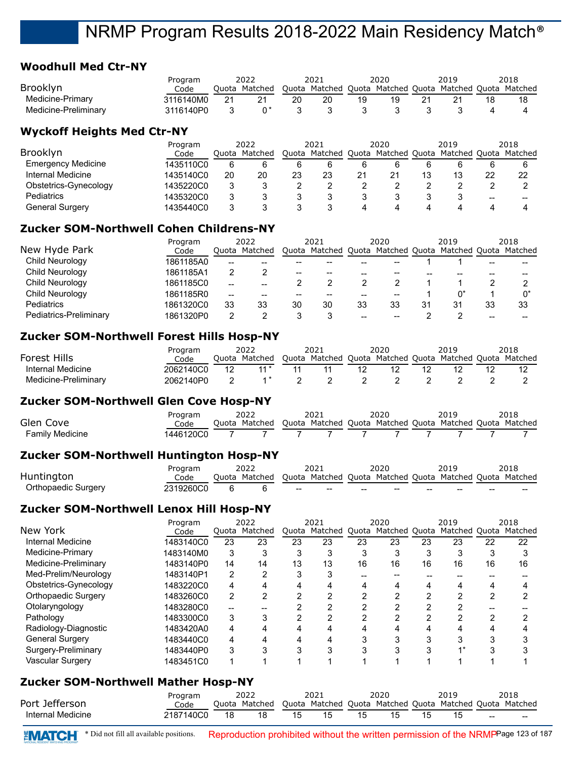## **Woodhull Med Ctr-NY**

|                      | Program   |       | 2022    |    | 2021                                                    |    | 2020 | 2019 | 2018 |
|----------------------|-----------|-------|---------|----|---------------------------------------------------------|----|------|------|------|
| <b>Brooklyn</b>      | Code      | Ouota | Matched |    | Quota Matched Quota Matched Quota Matched Quota Matched |    |      |      |      |
| Medicine-Primary     | 3116140M0 |       |         | 20 | 20                                                      | 19 |      |      |      |
| Medicine-Preliminary | 3116140P0 |       |         |    |                                                         |    |      |      |      |

## **Wyckoff Heights Med Ctr-NY**

| Program                   |           | 2022 |               | 2021 |    | 2020 |    | 2019                                                    |    | 2018 |
|---------------------------|-----------|------|---------------|------|----|------|----|---------------------------------------------------------|----|------|
| Brooklyn                  | Code      |      | Ouota Matched |      |    |      |    | Quota Matched Quota Matched Quota Matched Quota Matched |    |      |
| <b>Emergency Medicine</b> | 1435110C0 | 6    |               | 6    |    | 6    |    |                                                         |    |      |
| Internal Medicine         | 1435140C0 | 20   | 20            | 23   | 23 | 21   | 21 | 13                                                      | 22 | 22   |
| Obstetrics-Gynecology     | 1435220C0 | 2    |               |      |    |      |    |                                                         |    |      |
| <b>Pediatrics</b>         | 1435320C0 | 2    |               |      |    |      |    |                                                         | -- | --   |
| General Surgery           | 1435440C0 |      |               |      |    | 4    | Д. |                                                         | 4  |      |

## **Zucker SOM-Northwell Cohen Childrens-NY**

| Program                |           | 2022  |               | 2021  |                             | 2020 |    |    | 2019          |    | 2018    |
|------------------------|-----------|-------|---------------|-------|-----------------------------|------|----|----|---------------|----|---------|
| New Hyde Park          | Code      |       | Ouota Matched | Ouota | Matched Quota Matched Quota |      |    |    | Matched Quota |    | Matched |
| Child Neurology        | 1861185A0 | $- -$ |               |       |                             |      | -- |    |               | -- |         |
| Child Neurology        | 1861185A1 |       |               | --    | --                          |      | -- |    |               |    |         |
| Child Neurology        | 1861185C0 | $- -$ |               |       |                             |      |    |    |               |    |         |
| Child Neurology        | 1861185R0 | $-$   | --            | --    | $- -$                       | --   | -- |    |               |    |         |
| <b>Pediatrics</b>      | 1861320C0 | 33    | 33            | 30    | 30                          | 33   | 33 | 31 | 31            | 33 | 33      |
| Pediatrics-Preliminary | 1861320P0 | ົ     |               |       |                             |      | -- |    |               |    |         |

### **Zucker SOM-Northwell Forest Hills Hosp-NY**

|                      | Program   | 2022 |               | 2021 |                                                         | 2020 |  | 2019 |  | 2018 |
|----------------------|-----------|------|---------------|------|---------------------------------------------------------|------|--|------|--|------|
| <b>Forest Hills</b>  | Code      |      | Ouota Matched |      | Quota Matched Quota Matched Quota Matched Quota Matched |      |  |      |  |      |
| Internal Medicine    | 2062140C0 |      |               |      |                                                         |      |  |      |  |      |
| Medicine-Preliminary | 2062140P0 |      |               |      |                                                         |      |  |      |  |      |

#### **Zucker SOM-Northwell Glen Cove Hosp-NY**

|                 | Program   | 2022                                                                  | 2021 | 2020 | 2019 | 2018 |
|-----------------|-----------|-----------------------------------------------------------------------|------|------|------|------|
| Glen Cove       | Code      | Quota Matched Quota Matched Quota Matched Quota Matched Quota Matched |      |      |      |      |
| Family Medicine | 1446120C0 |                                                                       |      |      |      |      |

#### **Zucker SOM-Northwell Huntington Hosp-NY**

|                     | Program   | 2022          |                  | 2021 |       | 2020 |    | 2019                                                    |    | 2018 |
|---------------------|-----------|---------------|------------------|------|-------|------|----|---------------------------------------------------------|----|------|
| Huntington          | Code      | Ouota Matched |                  |      |       |      |    | Quota Matched Quota Matched Quota Matched Quota Matched |    |      |
| Orthopaedic Surgery | 2319260C0 |               | $\hspace{0.5cm}$ | $-$  | $- -$ | --   | -- | --                                                      | -- | ---  |

### **Zucker SOM-Northwell Lenox Hill Hosp-NY**

|                        | Program   |                | 2022          |    | 2021                              |    | 2020 |    | 2019          |    | 2018    |
|------------------------|-----------|----------------|---------------|----|-----------------------------------|----|------|----|---------------|----|---------|
| New York               | Code      |                | Ouota Matched |    | Quota Matched Quota Matched Quota |    |      |    | Matched Quota |    | Matched |
| Internal Medicine      | 1483140C0 | 23             | 23            | 23 | 23                                | 23 | 23   | 23 | 23            | 22 | 22      |
| Medicine-Primary       | 1483140M0 | 3              |               |    | 3                                 |    | 3    | 3  | 3             |    |         |
| Medicine-Preliminary   | 1483140P0 | 14             | 14            | 13 | 13                                | 16 | 16   | 16 | 16            | 16 | 16      |
| Med-Prelim/Neurology   | 1483140P1 | $\overline{2}$ | ◠             |    | 3                                 |    |      |    |               |    |         |
| Obstetrics-Gynecology  | 1483220C0 | 4              |               |    | 4                                 | Δ  | 4    | 4  |               |    |         |
| Orthopaedic Surgery    | 1483260C0 | 2              |               |    | ົ                                 |    | ⌒    | ⌒  |               |    |         |
| Otolaryngology         | 1483280C0 |                |               |    | ◠                                 | ◠  | ⌒    | ◠  | ⌒             |    |         |
| Pathology              | 1483300C0 | 3              |               |    | າ                                 |    | ⌒    | ◠  | າ             |    |         |
| Radiology-Diagnostic   | 1483420A0 | 4              |               | Δ  | 4                                 |    | 4    |    |               |    |         |
| <b>General Surgery</b> | 1483440C0 | 4              |               |    |                                   |    | ◠    | ົ  |               |    |         |
| Surgery-Preliminary    | 1483440P0 | 3              |               |    | 3                                 |    | ົ    | ົ  |               |    |         |
| Vascular Surgery       | 1483451C0 |                |               |    |                                   |    |      |    |               |    |         |

### **Zucker SOM-Northwell Mather Hosp-NY**

|                   | Program   | 2022                                                                  |    | 2021 | 2020 | 2019 |     | 2018 |
|-------------------|-----------|-----------------------------------------------------------------------|----|------|------|------|-----|------|
| Port Jefferson    | Code      | Quota Matched Quota Matched Quota Matched Quota Matched Quota Matched |    |      |      |      |     |      |
| Internal Medicine | 2187140C0 |                                                                       | 15 |      |      |      | $-$ | $-$  |

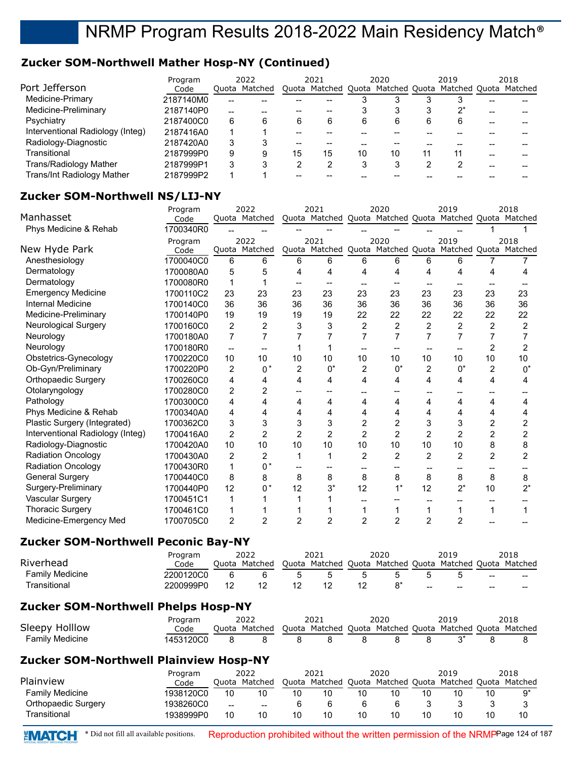# **Zucker SOM-Northwell Mather Hosp-NY (Continued)**

| Port Jefferson                    | Program   |    | 2022          |    | 2021                                                    |    | 2020 |   | 2019 | 2018 |
|-----------------------------------|-----------|----|---------------|----|---------------------------------------------------------|----|------|---|------|------|
|                                   | Code      |    | Quota Matched |    | Quota Matched Quota Matched Quota Matched Quota Matched |    |      |   |      |      |
| Medicine-Primary                  | 2187140M0 |    |               |    |                                                         |    |      |   |      |      |
| Medicine-Preliminary              | 2187140P0 | -- |               |    |                                                         |    | 3    |   | ′?   |      |
| Psychiatry                        | 2187400C0 | 6  |               | 6  | 6                                                       | 6  | 6    | 6 | 6    |      |
| Interventional Radiology (Integ)  | 2187416A0 |    |               |    |                                                         |    |      |   |      |      |
| Radiology-Diagnostic              | 2187420A0 | 3  |               | -- |                                                         |    |      |   |      |      |
| Transitional                      | 2187999P0 | 9  |               | 15 | 15                                                      | 10 | 10   |   |      |      |
| Trans/Radiology Mather            | 2187999P1 | 3  |               | 2  |                                                         | 3  | 3    |   | ⌒    |      |
| <b>Trans/Int Radiology Mather</b> | 2187999P2 |    |               |    |                                                         |    |      |   |      |      |

## **Zucker SOM-Northwell NS/LIJ-NY**

|                                  | Program   |                | 2022            |                | 2021                                                    |                | 2020           |                | 2019           |                | 2018  |
|----------------------------------|-----------|----------------|-----------------|----------------|---------------------------------------------------------|----------------|----------------|----------------|----------------|----------------|-------|
| Manhasset                        | Code      |                | Quota Matched   |                | Quota Matched Quota Matched Quota Matched Quota Matched |                |                |                |                |                |       |
| Phys Medicine & Rehab            | 1700340R0 |                |                 |                |                                                         |                |                |                |                |                |       |
|                                  | Program   |                | 2022            |                | 2021                                                    |                | 2020           |                | 2019           |                | 2018  |
| New Hyde Park                    | Code      | Quota          | Matched         |                | Quota Matched Quota Matched Quota Matched Quota Matched |                |                |                |                |                |       |
| Anesthesiology                   | 1700040C0 | 6              | 6               | 6              | 6                                                       | 6              | 6              | 6              | 6              |                |       |
| Dermatology                      | 1700080A0 | 5              | 5               | 4              | 4                                                       | 4              | 4              | 4              | 4              | 4              |       |
| Dermatology                      | 1700080R0 |                |                 |                |                                                         |                |                |                |                |                |       |
| <b>Emergency Medicine</b>        | 1700110C2 | 23             | 23              | 23             | 23                                                      | 23             | 23             | 23             | 23             | 23             | 23    |
| <b>Internal Medicine</b>         | 1700140C0 | 36             | 36              | 36             | 36                                                      | 36             | 36             | 36             | 36             | 36             | 36    |
| Medicine-Preliminary             | 1700140P0 | 19             | 19              | 19             | 19                                                      | 22             | 22             | 22             | 22             | 22             | 22    |
| Neurological Surgery             | 1700160C0 | 2              | $\overline{2}$  | 3              | 3                                                       | $\overline{2}$ | $\overline{2}$ | $\overline{c}$ | $\overline{2}$ | $\overline{c}$ | 2     |
| Neurology                        | 1700180A0 | $\overline{7}$ | $\overline{7}$  |                | 7                                                       | 7              | 7              | 7              | 7              | 7              |       |
| Neurology                        | 1700180R0 | --             |                 |                |                                                         |                |                |                |                | 2              | 2     |
| Obstetrics-Gynecology            | 1700220C0 | 10             | 10 <sup>1</sup> | 10             | 10                                                      | 10             | 10             | 10             | 10             | 10             | 10    |
| Ob-Gyn/Preliminary               | 1700220P0 | 2              | $0^*$           | $\overline{c}$ | $0^*$                                                   | $\overline{2}$ | $0^*$          | 2              | $0^*$          | $\overline{c}$ | $0^*$ |
| Orthopaedic Surgery              | 1700260C0 | 4              | 4               | 4              | 4                                                       | 4              | 4              | 4              | 4              | 4              |       |
| Otolaryngology                   | 1700280C0 | $\overline{2}$ | 2               |                |                                                         |                |                |                |                |                |       |
| Pathology                        | 1700300C0 | 4              | 4               | 4              | 4                                                       | 4              | 4              | 4              | 4              | 4              | 4     |
| Phys Medicine & Rehab            | 1700340A0 | 4              | 4               | 4              | 4                                                       | 4              | 4              | 4              | 4              | 4              | 4     |
| Plastic Surgery (Integrated)     | 1700362C0 | 3              | 3               | 3              | 3                                                       | 2              | 2              | 3              | 3              | 2              | 2     |
| Interventional Radiology (Integ) | 1700416A0 | $\overline{2}$ | $\overline{2}$  | $\overline{2}$ | 2                                                       | 2              | 2              | $\overline{2}$ | 2              | $\overline{c}$ | 2     |
| Radiology-Diagnostic             | 1700420A0 | 10             | 10              | 10             | 10                                                      | 10             | 10             | 10             | 10             | 8              | 8     |
| <b>Radiation Oncology</b>        | 1700430A0 | 2              | $\overline{2}$  |                |                                                         | $\overline{2}$ | 2              | 2              | 2              | 2              | 2     |
| <b>Radiation Oncology</b>        | 1700430R0 |                | $0^*$           |                |                                                         |                |                |                |                |                |       |
| <b>General Surgery</b>           | 1700440C0 | 8              | 8               | 8              | 8                                                       | 8              | 8              | 8              | 8              | 8              | 8     |
| Surgery-Preliminary              | 1700440P0 | 12             | $0*$            | 12             | $3^*$                                                   | 12             | $1^*$          | 12             | $2^*$          | 10             | $2^*$ |
| Vascular Surgery                 | 1700451C1 |                |                 |                |                                                         |                |                |                |                |                |       |
| <b>Thoracic Surgery</b>          | 1700461C0 |                |                 |                |                                                         |                |                |                | 1              | 1              |       |
| Medicine-Emergency Med           | 1700705C0 | 2              | $\overline{2}$  | $\overline{2}$ | 2                                                       | 2              | 2              | 2              | 2              |                |       |
|                                  |           |                |                 |                |                                                         |                |                |                |                |                |       |

### **Zucker SOM-Northwell Peconic Bay-NY**

|                        | Program   |       | 2022    | 2021 | 2020 |    | 2019  |        | 2018                                                    |
|------------------------|-----------|-------|---------|------|------|----|-------|--------|---------------------------------------------------------|
| Riverhead              | Code      | Ouota | Matched |      |      |    |       |        | Quota Matched Quota Matched Quota Matched Quota Matched |
| <b>Family Medicine</b> | 2200120C0 |       |         |      |      |    |       | $\sim$ | $-$                                                     |
| Transitional           | 2200999P0 |       |         |      |      | -- | $- -$ | $- -$  | $- -$                                                   |

### **Zucker SOM-Northwell Phelps Hosp-NY**

|                 | Program   |       | 2022    | 2021                                                    | 2020 | 2019 | 2018 |
|-----------------|-----------|-------|---------|---------------------------------------------------------|------|------|------|
| Sleepy Holllow  | Code      | Ouota | Matched | Quota Matched Quota Matched Quota Matched Quota Matched |      |      |      |
| Family Medicine | 1453120C0 |       |         |                                                         |      |      |      |

# **Zucker SOM-Northwell Plainview Hosp-NY**

|                        | Program   |       | 2022    |       | 2021    |    | 2020 |    | 2019                                      |    | 2018 |
|------------------------|-----------|-------|---------|-------|---------|----|------|----|-------------------------------------------|----|------|
| Plainview              | Code      | Ouota | Matched | Ouota | Matched |    |      |    | Quota Matched Quota Matched Quota Matched |    |      |
| <b>Family Medicine</b> | 1938120C0 | 10    | 10      | 10    | 10      | 10 | 10   | 10 |                                           | 10 |      |
| Orthopaedic Surgery    | 1938260C0 | $- -$ | --      |       | 6       |    |      |    |                                           |    |      |
| Transitional           | 1938999P0 | 10    | 10      | 10    | 10      | 10 |      | 10 |                                           |    | 10   |

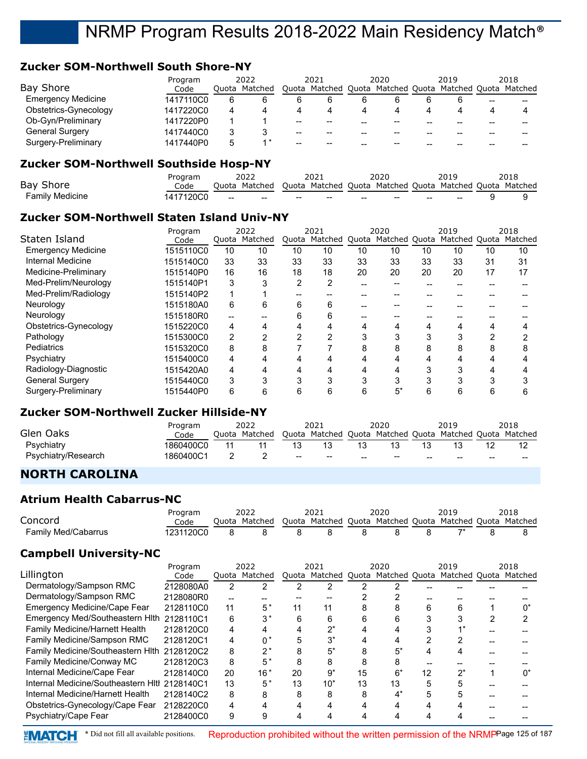## **Zucker SOM-Northwell South Shore-NY**

| Bay Shore                 | Program<br>Code |    | 2022<br>Ouota Matched |    | 2021<br>Quota Matched Quota Matched Quota Matched Quota |    | 2020                                              | 2019 |                 | 2018<br>Matched |
|---------------------------|-----------------|----|-----------------------|----|---------------------------------------------------------|----|---------------------------------------------------|------|-----------------|-----------------|
| <b>Emergency Medicine</b> | 1417110C0       | 6  |                       |    |                                                         |    |                                                   |      | $\qquad \qquad$ | $- -$           |
| Obstetrics-Gynecology     | 1417220C0       | 4  |                       | 4  |                                                         |    |                                                   |      | 4               | 4               |
| Ob-Gyn/Preliminary        | 1417220P0       |    |                       | -- | $- -$                                                   | -- | $- -$                                             | --   | --              | --              |
| General Surgery           | 1417440C0       | 2  |                       | -- | $- -$                                                   | -- | $\hspace{0.05cm}-\hspace{0.05cm}-\hspace{0.05cm}$ |      |                 | --              |
| Surgery-Preliminary       | 1417440P0       | ۰. |                       | -- | --                                                      | -- | $\hspace{0.05cm}-\hspace{0.05cm}-\hspace{0.05cm}$ |      |                 |                 |

## **Zucker SOM-Northwell Southside Hosp-NY**

|                  | Program   |       | 2022    |                                                   | 2021                                                    |    | 2020  |    | 2018 |
|------------------|-----------|-------|---------|---------------------------------------------------|---------------------------------------------------------|----|-------|----|------|
| <b>Bay Shore</b> | Code      | Ouota | Matched |                                                   | Ouota Matched Ouota Matched Ouota Matched Ouota Matched |    |       |    |      |
| Family Medicine  | 1417120C0 | $- -$ | --      | $\hspace{0.05cm}-\hspace{0.05cm}-\hspace{0.05cm}$ | $- -$                                                   | -- | $- -$ | -- |      |

## **Zucker SOM-Northwell Staten Island Univ-NY**

|                           | Program   |     | 2022          |    | 2021                              |    | 2020 |    | 2019                  |    | 2018 |
|---------------------------|-----------|-----|---------------|----|-----------------------------------|----|------|----|-----------------------|----|------|
| Staten Island             | Code      |     | Quota Matched |    | Quota Matched Quota Matched Quota |    |      |    | Matched Quota Matched |    |      |
| <b>Emergency Medicine</b> | 1515110C0 | 10  | 10            | 10 | 10                                | 10 | 10   | 10 | 10                    | 10 | 10   |
| Internal Medicine         | 1515140C0 | 33  | 33            | 33 | 33                                | 33 | 33   | 33 | 33                    | 31 | 31   |
| Medicine-Preliminary      | 1515140P0 | 16  | 16            | 18 | 18                                | 20 | 20   | 20 | 20                    | 17 | 17   |
| Med-Prelim/Neurology      | 1515140P1 | 3   |               | 2  | 2                                 |    |      |    |                       |    |      |
| Med-Prelim/Radiology      | 1515140P2 |     |               |    |                                   |    |      |    |                       |    |      |
| Neurology                 | 1515180A0 | 6   | 6             | 6  | 6                                 |    |      |    |                       |    |      |
| Neurology                 | 1515180R0 | $-$ |               | 6  | 6                                 |    |      |    |                       |    |      |
| Obstetrics-Gynecology     | 1515220C0 | 4   |               |    | 4                                 |    | 4    |    | 4                     |    |      |
| Pathology                 | 1515300C0 | 2   |               |    | っ                                 |    | 3    | ົ  |                       |    |      |
| Pediatrics                | 1515320C0 | 8   | 8             |    |                                   | 8  | 8    | 8  | 8                     | 8  | 8    |
| Psychiatry                | 1515400C0 | 4   |               |    |                                   |    | 4    |    |                       |    |      |
| Radiology-Diagnostic      | 1515420A0 | 4   |               |    | 4                                 |    |      | 3  |                       |    |      |
| <b>General Surgery</b>    | 1515440C0 | 3   |               |    | 3                                 |    | 3    |    |                       |    |      |
| Surgery-Preliminary       | 1515440P0 | 6   |               | 6  | 6                                 | h  | 5*   | հ  | h                     | 6  | n    |

### **Zucker SOM-Northwell Zucker Hillside-NY**

| Glen Oaks           | Program<br>Code | 2022<br>Ouota Matched |     | 2021<br>Quota Matched Quota Matched Quota Matched Quota Matched |                 | 2020  |    | 2019  |    | 2018  |
|---------------------|-----------------|-----------------------|-----|-----------------------------------------------------------------|-----------------|-------|----|-------|----|-------|
| Psychiatry          | 1860400C0       |                       |     | 13                                                              |                 |       |    |       |    |       |
| Psychiatry/Research | 1860400C1       |                       | $-$ | $- -$                                                           | $\qquad \qquad$ | $- -$ | -- | $- -$ | -- | $- -$ |

# **NORTH CAROLINA**

## **Atrium Health Cabarrus-NC**

|                                       | Program   |       | 2022          |    | 2021                              |    | 2020                |    | 2019                  |   | 2018                  |
|---------------------------------------|-----------|-------|---------------|----|-----------------------------------|----|---------------------|----|-----------------------|---|-----------------------|
| Concord                               | Code      |       | Quota Matched |    | Quota Matched Quota Matched Quota |    |                     |    | Matched Quota Matched |   |                       |
| <b>Family Med/Cabarrus</b>            | 1231120C0 | 8     | 8             | 8  | 8                                 | 8  | 8                   | 8  |                       | 8 | 8                     |
| <b>Campbell University-NC</b>         |           |       |               |    |                                   |    |                     |    |                       |   |                       |
|                                       | Program   |       | 2022          |    | 2021                              |    | 2020                |    | 2019                  |   | 2018                  |
| Lillington                            | Code      |       | Quota Matched |    | Quota Matched                     |    | Quota Matched Quota |    |                       |   | Matched Quota Matched |
| Dermatology/Sampson RMC               | 2128080A0 | 2     | 2             |    |                                   | 2  | 2                   |    |                       |   |                       |
| Dermatology/Sampson RMC               | 2128080R0 | $- -$ |               |    |                                   |    |                     |    |                       |   |                       |
| Emergency Medicine/Cape Fear          | 2128110C0 | 11    | $5*$          | 11 | 11                                | 8  | 8                   | 6  | 6                     |   |                       |
| Emergency Med/Southeastern Hith       | 2128110C1 | 6     | $3^*$         | 6  | 6                                 | 6  | 6                   | 3  | 3                     | 2 | 2                     |
| <b>Family Medicine/Harnett Health</b> | 2128120C0 | 4     | 4             | 4  | $2^*$                             |    | 4                   | 3  |                       |   |                       |
| <b>Family Medicine/Sampson RMC</b>    | 2128120C1 | 4     | $^{\circ}$    | 5  | $3^*$                             |    | 4                   | 2  |                       |   |                       |
| Family Medicine/Southeastern Hith     | 2128120C2 | 8     | $2^{\,*}$     | 8  | $5^*$                             | 8  | $5^*$               | 4  | 4                     |   |                       |
| <b>Family Medicine/Conway MC</b>      | 2128120C3 | 8     | $5*$          | 8  | 8                                 | 8  | 8                   |    |                       |   |                       |
| Internal Medicine/Cape Fear           | 2128140C0 | 20    | $16*$         | 20 | $9^*$                             | 15 | $6*$                | 12 | $2^*$                 |   | n*                    |
| Internal Medicine/Southeastern Hith   | 2128140C1 | 13    | 5*            | 13 | $10^*$                            | 13 | 13                  | 5  | 5                     |   |                       |
| Internal Medicine/Harnett Health      | 2128140C2 | 8     | 8             | 8  | 8                                 | 8  | $4^*$               | 5  | 5                     |   |                       |
| Obstetrics-Gynecology/Cape Fear       | 2128220C0 | 4     | 4             |    | 4                                 |    | 4                   | 4  |                       |   |                       |
| Psychiatry/Cape Fear                  | 2128400C0 | 9     | 9             |    | 4                                 |    | 4                   | 4  | 4                     |   |                       |

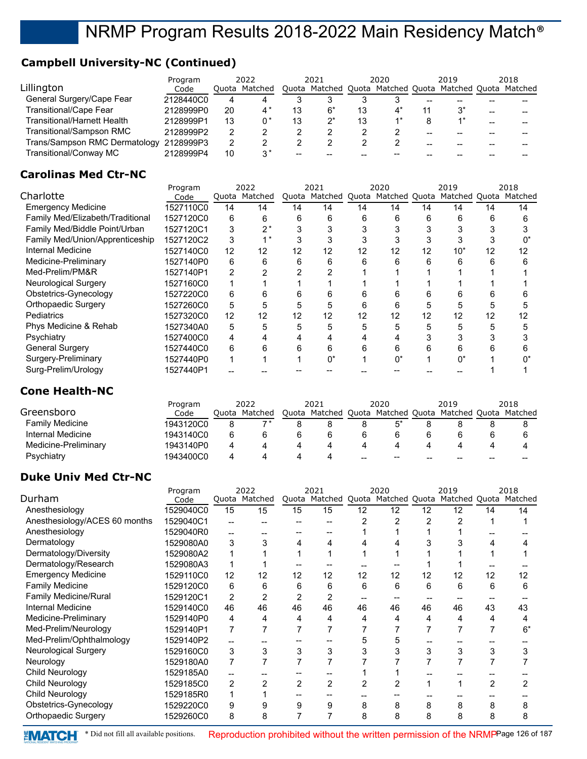# **Campbell University-NC (Continued)**

|                               | Program   |    | 2022                |    | 2021 |    | 2020 |    | 2019                                                    |    | 2018 |
|-------------------------------|-----------|----|---------------------|----|------|----|------|----|---------------------------------------------------------|----|------|
| Lillington                    | Code      |    | Ouota Matched       |    |      |    |      |    | Quota Matched Quota Matched Quota Matched Quota Matched |    |      |
| General Surgery/Cape Fear     | 2128440C0 | 4  |                     |    |      |    |      | -- |                                                         |    |      |
| Transitional/Cape Fear        | 2128999P0 | 20 | $\mathbf{1}^{\ast}$ | 13 |      | 13 |      |    |                                                         | -- |      |
| Transitional/Harnett Health   | 2128999P1 | 13 |                     | 13 |      | 13 |      |    |                                                         | -- |      |
| Transitional/Sampson RMC      | 2128999P2 |    |                     |    |      |    |      |    |                                                         |    |      |
| Trans/Sampson RMC Dermatology | 2128999P3 | 2  |                     |    |      |    |      |    |                                                         |    |      |
| Transitional/Conway MC        | 2128999P4 | 10 | * ج                 | -- |      |    |      |    |                                                         |    |      |

## **Carolinas Med Ctr-NC**

|                                  | Program   |    | 2022          |    | 2021                                                    |    | 2020 |    | 2019   |    | 2018 |
|----------------------------------|-----------|----|---------------|----|---------------------------------------------------------|----|------|----|--------|----|------|
| Charlotte                        | Code      |    | Quota Matched |    | Quota Matched Quota Matched Quota Matched Quota Matched |    |      |    |        |    |      |
| <b>Emergency Medicine</b>        | 1527110C0 | 14 | 14            | 14 | 14                                                      | 14 | 14   | 14 | 14     | 14 | 14   |
| Family Med/Elizabeth/Traditional | 1527120C0 | 6  | 6             | 6  | 6                                                       | 6  | 6    | 6  | 6      | հ  | 6    |
| Family Med/Biddle Point/Urban    | 1527120C1 | 3  |               |    |                                                         |    |      |    |        |    |      |
| Family Med/Union/Apprenticeship  | 1527120C2 | 3  |               |    | 3                                                       |    |      | 3  |        |    |      |
| Internal Medicine                | 1527140C0 | 12 | 12            | 12 | 12                                                      | 12 | 12   | 12 | $10^*$ | 12 | 12   |
| Medicine-Preliminary             | 1527140P0 | 6  | 6             | 6  | 6                                                       | 6  | 6    | 6  | 6      | 6  | 6    |
| Med-Prelim/PM&R                  | 1527140P1 | 2  |               |    |                                                         |    |      |    |        |    |      |
| Neurological Surgery             | 1527160C0 |    |               |    |                                                         |    |      |    |        |    |      |
| Obstetrics-Gynecology            | 1527220C0 | 6  | 6             |    | 6                                                       |    |      | 6  |        |    |      |
| <b>Orthopaedic Surgery</b>       | 1527260C0 | 5  |               |    | 5                                                       | 6  | 6    | 5  |        |    |      |
| <b>Pediatrics</b>                | 1527320C0 | 12 | 12            | 12 | 12                                                      | 12 | 12   | 12 | 12     | 12 | 12   |
| Phys Medicine & Rehab            | 1527340A0 | 5  | 5             | 5  | 5                                                       | 5  | 5    | 5  | 5      |    |      |
| Psychiatry                       | 1527400C0 | 4  |               |    |                                                         |    |      |    |        |    |      |
| <b>General Surgery</b>           | 1527440C0 | 6  | 6             | 6  | 6                                                       | ี  | 6    | 6  | 6      | ี  |      |
| Surgery-Preliminary              | 1527440P0 |    |               |    |                                                         |    | n*   |    | n*     |    |      |
| Surg-Prelim/Urology              | 1527440P1 |    |               |    |                                                         |    |      |    |        |    |      |

## **Cone Health-NC**

|                        | Program   | 2022 |               | 2021 |               | 2020  |       |    | 2019                              |       | 2018    |
|------------------------|-----------|------|---------------|------|---------------|-------|-------|----|-----------------------------------|-------|---------|
| Greensboro             | Code      |      | Ouota Matched |      | Quota Matched |       |       |    | Quota Matched Quota Matched Quota |       | Matched |
| <b>Family Medicine</b> | 1943120C0 |      |               |      |               |       |       |    |                                   |       |         |
| Internal Medicine      | 1943140C0 |      |               |      |               |       |       |    |                                   |       |         |
| Medicine-Preliminary   | 1943140P0 |      |               |      |               | 4     |       |    |                                   |       |         |
| Psychiatry             | 1943400C0 |      |               |      |               | $- -$ | $- -$ | -- | --                                | $- -$ | --      |

## **Duke Univ Med Ctr-NC**

|                               | Program   |    | 2022          |    | 2021           |    | 2020 |    | 2019                                                    |    | 2018 |
|-------------------------------|-----------|----|---------------|----|----------------|----|------|----|---------------------------------------------------------|----|------|
| Durham                        | Code      |    | Quota Matched |    |                |    |      |    | Quota Matched Quota Matched Quota Matched Quota Matched |    |      |
| Anesthesiology                | 1529040C0 | 15 | 15            | 15 | 15             | 12 | 12   | 12 | 12                                                      | 14 | 14   |
| Anesthesiology/ACES 60 months | 1529040C1 |    |               |    |                |    | 2    | 2  |                                                         |    |      |
| Anesthesiology                | 1529040R0 |    |               |    |                |    |      |    |                                                         |    |      |
| Dermatology                   | 1529080A0 | 3  |               | 4  | 4              |    |      | 3  |                                                         |    |      |
| Dermatology/Diversity         | 1529080A2 |    |               |    |                |    |      |    |                                                         |    |      |
| Dermatology/Research          | 1529080A3 |    |               |    |                |    |      |    |                                                         |    |      |
| <b>Emergency Medicine</b>     | 1529110C0 | 12 | 12            | 12 | 12             | 12 | 12   | 12 | 12                                                      | 12 | 12   |
| <b>Family Medicine</b>        | 1529120C0 | 6  | 6             | 6  | 6              | 6  | 6    | 6  | 6                                                       | 6  | 6    |
| Family Medicine/Rural         | 1529120C1 | 2  | 2             |    | 2              |    |      |    |                                                         |    |      |
| Internal Medicine             | 1529140C0 | 46 | 46            | 46 | 46             | 46 | 46   | 46 | 46                                                      | 43 | 43   |
| Medicine-Preliminary          | 1529140P0 | 4  | 4             | Δ  | 4              | Δ  | 4    | 4  | 4                                                       |    |      |
| Med-Prelim/Neurology          | 1529140P1 |    |               |    |                |    |      |    |                                                         |    | 6*   |
| Med-Prelim/Ophthalmology      | 1529140P2 |    |               |    |                |    | 5    |    |                                                         |    |      |
| <b>Neurological Surgery</b>   | 1529160C0 | 3  | 3             | 3  | 3              |    | 3    | 3  | 3                                                       |    | 3    |
| Neurology                     | 1529180A0 |    |               |    |                |    |      |    |                                                         |    |      |
| Child Neurology               | 1529185A0 |    |               |    |                |    |      |    |                                                         |    |      |
| Child Neurology               | 1529185C0 | 2  |               | 2  | $\overline{2}$ |    | 2    |    |                                                         | 2  |      |
| Child Neurology               | 1529185R0 |    |               |    |                |    |      |    |                                                         |    |      |
| Obstetrics-Gynecology         | 1529220C0 | 9  | 9             | 9  | 9              | 8  | 8    | 8  | 8                                                       | 8  | 8    |
| Orthopaedic Surgery           | 1529260C0 | 8  | 8             |    |                | 8  | 8    | 8  | 8                                                       | 8  | 8    |
|                               |           |    |               |    |                |    |      |    |                                                         |    |      |

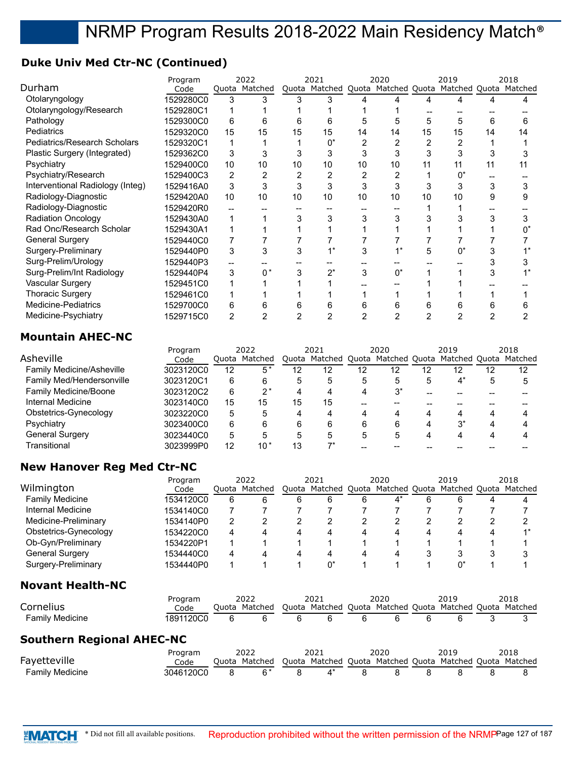# **Duke Univ Med Ctr-NC (Continued)**

|                                     | Program   |    | 2022          |    | 2021                                                    |    | 2020  |    | 2019 |    | 2018 |
|-------------------------------------|-----------|----|---------------|----|---------------------------------------------------------|----|-------|----|------|----|------|
| Durham                              | Code      |    | Quota Matched |    | Quota Matched Quota Matched Quota Matched Quota Matched |    |       |    |      |    |      |
| Otolaryngology                      | 1529280C0 | 3  | 3             | 3  |                                                         |    |       |    |      |    |      |
| Otolaryngology/Research             | 1529280C1 |    |               |    |                                                         |    |       |    |      |    |      |
| Pathology                           | 1529300C0 | 6  | 6             | 6  | 6                                                       |    | 5     | 5  | 5    | 6  | n    |
| <b>Pediatrics</b>                   | 1529320C0 | 15 | 15            | 15 | 15                                                      | 14 | 14    | 15 | 15   | 14 | 14   |
| <b>Pediatrics/Research Scholars</b> | 1529320C1 |    |               |    | 0*                                                      |    |       |    |      |    |      |
| Plastic Surgery (Integrated)        | 1529362C0 | 3  |               |    | 3                                                       |    |       | 3  |      |    |      |
| Psychiatry                          | 1529400C0 | 10 | 10            | 10 | 10                                                      | 10 | 10    | 11 | 11   | 11 | 11   |
| Psychiatry/Research                 | 1529400C3 | 2  |               |    | 2                                                       |    |       |    |      |    |      |
| Interventional Radiology (Integ)    | 1529416A0 | 3  | 3             |    | 3                                                       |    | 3     | 3  |      |    |      |
| Radiology-Diagnostic                | 1529420A0 | 10 | 10            | 10 | 10                                                      | 10 | 10    | 10 | 10   | 9  | 9    |
| Radiology-Diagnostic                | 1529420R0 |    |               |    |                                                         |    |       |    |      |    |      |
| <b>Radiation Oncology</b>           | 1529430A0 |    |               |    |                                                         |    |       |    |      |    |      |
| Rad Onc/Research Scholar            | 1529430A1 |    |               |    |                                                         |    |       |    |      |    |      |
| <b>General Surgery</b>              | 1529440C0 |    |               |    |                                                         |    |       |    |      |    |      |
| Surgery-Preliminary                 | 1529440P0 | 3  | 3             |    |                                                         |    |       | 5  |      |    |      |
| Surg-Prelim/Urology                 | 1529440P3 |    |               |    |                                                         |    |       |    |      |    |      |
| Surg-Prelim/Int Radiology           | 1529440P4 | 3  | $^{\circ}$    |    | $2^*$                                                   |    | $0^*$ |    |      |    |      |
| Vascular Surgery                    | 1529451C0 |    |               |    |                                                         |    |       |    |      |    |      |
| <b>Thoracic Surgery</b>             | 1529461C0 |    |               |    |                                                         |    |       |    |      |    |      |
| Medicine-Pediatrics                 | 1529700C0 | 6  | 6             | 6  | 6                                                       | 6  | 6     | 6  | 6    | 6  |      |
| Medicine-Psychiatry                 | 1529715C0 | 2  |               |    |                                                         |    |       | 2  |      |    |      |

## **Mountain AHEC-NC**

|                                  | Program   |    | 2022          |    | 2021 |    | 2020  |    | 2019                                                    |    | 2018 |
|----------------------------------|-----------|----|---------------|----|------|----|-------|----|---------------------------------------------------------|----|------|
| Asheville                        | Code      |    | Quota Matched |    |      |    |       |    | Quota Matched Quota Matched Quota Matched Quota Matched |    |      |
| <b>Family Medicine/Asheville</b> | 3023120C0 | 12 | 5*            | 12 | 12   | 12 | 12    | 12 | 12                                                      | 12 | 12   |
| Family Med/Hendersonville        | 3023120C1 | 6  | 6             | 5  | 5    | 5  | 5     |    | $4^*$                                                   | 5  |      |
| <b>Family Medicine/Boone</b>     | 3023120C2 | 6  | 2*            | 4  |      | 4  | $3^*$ |    |                                                         |    |      |
| Internal Medicine                | 3023140C0 | 15 | 15            | 15 | 15   |    |       |    |                                                         |    |      |
| Obstetrics-Gynecology            | 3023220C0 | 5  |               | 4  | Δ    | 4  | 4     |    | 4                                                       | 4  |      |
| Psychiatry                       | 3023400C0 | 6  | 6             | 6  | 6    | 6  | 6     |    | $3^*$                                                   | Δ  |      |
| <b>General Surgery</b>           | 3023440C0 | 5  |               | 5  | 5    | 5  | 5     |    | Δ                                                       |    |      |
| Transitional                     | 3023999P0 | 12 | 10 *          | 13 |      |    |       |    |                                                         |    |      |

## **New Hanover Reg Med Ctr-NC**

| Program                |           | 2022 |               | 2021 |                                                         | 2020 |   |   | 2019 |   | 2018 |
|------------------------|-----------|------|---------------|------|---------------------------------------------------------|------|---|---|------|---|------|
| Wilmington             | Code      |      | Ouota Matched |      | Quota Matched Quota Matched Quota Matched Quota Matched |      |   |   |      |   |      |
| <b>Family Medicine</b> | 1534120C0 | 6    | 6             | 6    | 6                                                       | 6    | 4 | 6 | 6    | 4 | 4    |
| Internal Medicine      | 1534140C0 |      |               |      |                                                         |      |   |   |      |   |      |
| Medicine-Preliminary   | 1534140P0 | 2    |               |      |                                                         | າ    | っ |   |      |   |      |
| Obstetrics-Gynecology  | 1534220C0 | 4    |               | 4    | 4                                                       | 4    | 4 |   | 4    | 4 | $4*$ |
| Ob-Gyn/Preliminary     | 1534220P1 |      |               |      |                                                         |      |   |   |      |   |      |
| <b>General Surgery</b> | 1534440C0 | 4    |               | 4    | 4                                                       | 4    | 4 |   | 3    | 3 |      |
| Surgery-Preliminary    | 1534440P0 |      |               |      |                                                         |      |   |   | 0*   |   |      |
|                        |           |      |               |      |                                                         |      |   |   |      |   |      |

#### **Novant Health-NC**

|                        | Program  |       |         |       |         |       | 2020          |               |         |
|------------------------|----------|-------|---------|-------|---------|-------|---------------|---------------|---------|
| ~<br>Cornelius         | Code     | Juota | Matched | Ouota | Matched | Ouota | Matched Ouota | Matched Ouota | Matched |
| <b>Family Medicine</b> | 891120C0 |       |         |       |         |       |               |               |         |

## **Southern Regional AHEC-NC**

|                 | Program   | 2022          | 2021 | 2020 | 2019                                                    | 2018 |
|-----------------|-----------|---------------|------|------|---------------------------------------------------------|------|
| Fayetteville    | Code      | Ouota Matched |      |      | Quota Matched Quota Matched Quota Matched Quota Matched |      |
| Family Medicine | 3046120C0 | $6*$          |      |      |                                                         |      |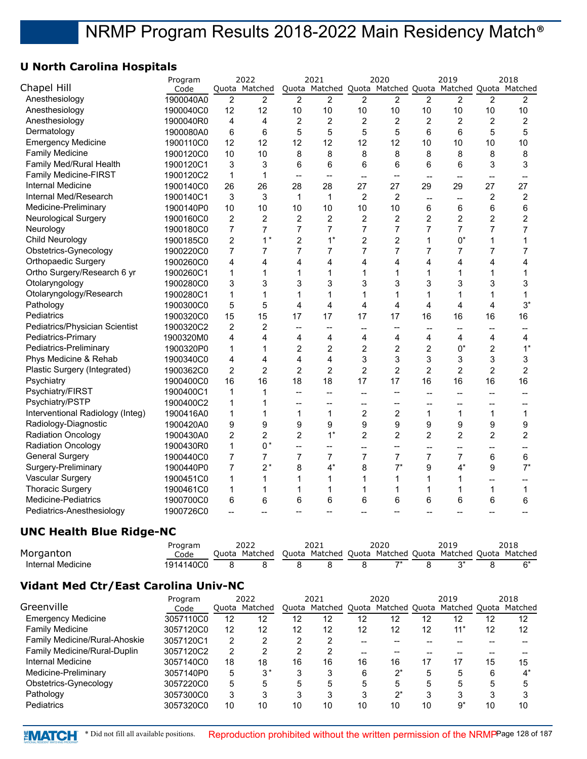## **U North Carolina Hospitals**

|                                  | Program   |                  | 2022           |                | 2021                                                    |                | 2020           |                | 2019                     |                | 2018           |
|----------------------------------|-----------|------------------|----------------|----------------|---------------------------------------------------------|----------------|----------------|----------------|--------------------------|----------------|----------------|
| Chapel Hill                      | Code      |                  | Quota Matched  |                | Quota Matched Quota Matched Quota Matched Quota Matched |                |                |                |                          |                |                |
| Anesthesiology                   | 1900040A0 | $\overline{2}$   | $\overline{2}$ | $\overline{2}$ | $\overline{2}$                                          | $\overline{2}$ | $\overline{2}$ | $\overline{2}$ | 2                        | $\overline{2}$ | $\overline{2}$ |
| Anesthesiology                   | 1900040C0 | 12               | 12             | 10             | 10                                                      | 10             | 10             | 10             | 10                       | 10             | 10             |
| Anesthesiology                   | 1900040R0 | 4                | 4              | 2              | $\overline{2}$                                          | $\overline{2}$ | 2              | $\overline{2}$ | 2                        | $\overline{c}$ | 2              |
| Dermatology                      | 1900080A0 | 6                | 6              | 5              | 5                                                       | 5              | 5              | 6              | 6                        | 5              | 5              |
| <b>Emergency Medicine</b>        | 1900110C0 | 12               | 12             | 12             | 12                                                      | 12             | 12             | 10             | 10                       | 10             | 10             |
| <b>Family Medicine</b>           | 1900120C0 | 10               | 10             | 8              | 8                                                       | 8              | 8              | 8              | 8                        | 8              | 8              |
| Family Med/Rural Health          | 1900120C1 | 3                | 3              | 6              | 6                                                       | 6              | 6              | 6              | 6                        | 3              | 3              |
| <b>Family Medicine-FIRST</b>     | 1900120C2 | $\mathbf{1}$     | $\mathbf 1$    | --             |                                                         | $-$            | --             | --             |                          |                |                |
| Internal Medicine                | 1900140C0 | 26               | 26             | 28             | 28                                                      | 27             | 27             | 29             | 29                       | 27             | 27             |
| Internal Med/Research            | 1900140C1 | 3                | 3              | 1              | $\mathbf 1$                                             | $\overline{2}$ | $\overline{2}$ | --             | $\overline{\phantom{a}}$ | $\overline{c}$ | $\overline{c}$ |
| Medicine-Preliminary             | 1900140P0 | 10               | 10             | 10             | 10                                                      | 10             | 10             | 6              | 6                        | 6              | 6              |
| <b>Neurological Surgery</b>      | 1900160C0 | $\overline{2}$   | $\overline{2}$ | $\overline{2}$ | $\overline{2}$                                          | $\overline{2}$ | $\overline{2}$ | $\overline{2}$ | $\overline{2}$           | $\overline{2}$ | $\overline{2}$ |
| Neurology                        | 1900180C0 | 7                | 7              | 7              | $\overline{7}$                                          | $\overline{7}$ | 7              | 7              | 7                        | 7              | 7              |
| <b>Child Neurology</b>           | 1900185C0 | $\overline{c}$   | $1^*$          | $\overline{c}$ | $1^*$                                                   | $\overline{c}$ | $\overline{c}$ | 1              | $0^*$                    | 1              | 1              |
| Obstetrics-Gynecology            | 1900220C0 | 7                | $\overline{7}$ | 7              | $\overline{7}$                                          | $\overline{7}$ | 7              | $\overline{7}$ | 7                        | $\overline{7}$ | 7              |
| <b>Orthopaedic Surgery</b>       | 1900260C0 | 4                | 4              | 4              | $\overline{4}$                                          | $\overline{4}$ | 4              | $\overline{4}$ | 4                        | 4              | 4              |
| Ortho Surgery/Research 6 yr      | 1900260C1 | 1                | 1              | 1              | 1                                                       | 1              | 1              | 1              | 1                        | 1              | 1              |
| Otolaryngology                   | 1900280C0 | 3                | 3              | 3              | 3                                                       | 3              | 3              | 3              | 3                        | 3              | 3              |
| Otolaryngology/Research          | 1900280C1 | 1                | 1              | 1              | $\mathbf 1$                                             | 1              | 1              | 1              | 1                        | 1              | 1              |
| Pathology                        | 1900300C0 | 5                | 5              | 4              | 4                                                       | 4              | 4              | $\overline{4}$ | 4                        | 4              | $3^*$          |
| Pediatrics                       | 1900320C0 | 15               | 15             | 17             | 17                                                      | 17             | 17             | 16             | 16                       | 16             | 16             |
| Pediatrics/Physician Scientist   | 1900320C2 | $\boldsymbol{2}$ | $\overline{c}$ | --             | --                                                      |                | --             |                |                          | --             |                |
| Pediatrics-Primary               | 1900320M0 | 4                | 4              | 4              | 4                                                       | 4              | 4              | 4              | 4                        | 4              | 4              |
| Pediatrics-Preliminary           | 1900320P0 | 1                | 1              | $\overline{c}$ | $\overline{\mathbf{c}}$                                 | $\overline{c}$ | 2              | $\overline{c}$ | $0^*$                    | $\overline{c}$ | $1^*$          |
| Phys Medicine & Rehab            | 1900340C0 | 4                | 4              | 4              | $\overline{4}$                                          | 3              | 3              | 3              | 3                        | 3              | 3              |
| Plastic Surgery (Integrated)     | 1900362C0 | $\overline{c}$   | $\overline{2}$ | $\overline{c}$ | $\overline{2}$                                          | $\overline{2}$ | $\overline{c}$ | $\overline{2}$ | $\overline{2}$           | $\overline{2}$ | $\overline{c}$ |
| Psychiatry                       | 1900400C0 | 16               | 16             | 18             | 18                                                      | 17             | 17             | 16             | 16                       | 16             | 16             |
| Psychiatry/FIRST                 | 1900400C1 | 1                | 1              | --             |                                                         | $\overline{a}$ | --             | --             | $-$                      | --             |                |
| Psychiatry/PSTP                  | 1900400C2 | 1                | 1              | $-$            | $\overline{a}$                                          | $\overline{a}$ | --             | --             | --                       | --             |                |
| Interventional Radiology (Integ) | 1900416A0 | 1                | 1              | 1              | 1                                                       | $\overline{2}$ | $\overline{2}$ | 1              | $\mathbf{1}$             | 1              | 1              |
| Radiology-Diagnostic             | 1900420A0 | 9                | 9              | 9              | 9                                                       | 9              | 9              | 9              | 9                        | 9              | 9              |
| <b>Radiation Oncology</b>        | 1900430A0 | 2                | $\overline{c}$ | $\overline{2}$ | $1^*$                                                   | $\overline{2}$ | $\overline{2}$ | $\overline{2}$ | $\overline{2}$           | $\overline{2}$ | $\overline{2}$ |
| <b>Radiation Oncology</b>        | 1900430R0 | 1                | $0*$           | --             | --                                                      | --             | --             | --             | --                       | --             |                |
| <b>General Surgery</b>           | 1900440C0 | 7                | $\overline{7}$ | $\overline{7}$ | $\overline{7}$                                          | $\overline{7}$ | 7              | $\overline{7}$ | 7                        | 6              | 6              |
| Surgery-Preliminary              | 1900440P0 | 7                | $2^*$          | 8              | $4^*$                                                   | 8              | $7^*$          | 9              | $4^*$                    | 9              | $7^*$          |
| Vascular Surgery                 | 1900451C0 | 1                | 1              | 1              | 1                                                       | 1              | 1              | 1              | 1                        | --             |                |
| <b>Thoracic Surgery</b>          | 1900461C0 | 1                | 1              | 1              | 1                                                       | 1              | 1              | 1              | 1                        | 1              | 1              |
| Medicine-Pediatrics              | 1900700C0 | 6                | 6              | 6              | 6                                                       | 6              | 6              | 6              | 6                        | 6              | 6              |
| Pediatrics-Anesthesiology        | 1900726C0 | $\overline{a}$   |                |                |                                                         |                |                |                |                          |                |                |

## **UNC Health Blue Ridge-NC**

|                   | Program   | 2022          | 2021 | 2020 | 2019                                                    | 2018 |
|-------------------|-----------|---------------|------|------|---------------------------------------------------------|------|
| Morganton         | Code      | Ouota Matched |      |      | Ouota Matched Ouota Matched Ouota Matched Ouota Matched |      |
| Internal Medicine | 1914140C0 |               |      |      |                                                         |      |

## **Vidant Med Ctr/East Carolina Univ-NC**

|                               | Program   |    | 2022          |    | 2021                              |    | 2020  |    | 2019                  |    | 2018           |
|-------------------------------|-----------|----|---------------|----|-----------------------------------|----|-------|----|-----------------------|----|----------------|
| Greenville                    | Code      |    | Ouota Matched |    | Quota Matched Quota Matched Quota |    |       |    | Matched Quota Matched |    |                |
| <b>Emergency Medicine</b>     | 3057110C0 | 12 | 12            | 12 | 12                                | 12 | 12    | 12 | 12                    | 12 | 12             |
| <b>Family Medicine</b>        | 3057120C0 | 12 | 12            | 12 | 12                                | 12 | 12    | 12 | $11*$                 | 12 | 12             |
| Family Medicine/Rural-Ahoskie | 3057120C1 | 2  | ົ             | 2  | າ                                 |    |       |    |                       |    |                |
| Family Medicine/Rural-Duplin  | 3057120C2 | 2  |               | 2  |                                   |    |       |    |                       |    |                |
| Internal Medicine             | 3057140C0 | 18 | 18            | 16 | 16                                | 16 | 16    | 17 | 17                    | 15 | 15             |
| Medicine-Preliminary          | 3057140P0 | 5  | $3^*$         | 3  | 3                                 | 6  | $2^*$ | 5  | 5                     | 6  | $\mathbf{1}^*$ |
| Obstetrics-Gynecology         | 3057220C0 | 5  |               | 5  | 5                                 | 5  | 5     | 5  | 5                     | 5  |                |
| Pathology                     | 3057300C0 | 3  |               | 2  | 3                                 | 3  | $2^*$ | ◠  | 2                     | 3  |                |
| Pediatrics                    | 3057320C0 | 10 | 10            | 10 | 10                                | 10 | 10    | 10 | 9*                    | 10 | 10             |

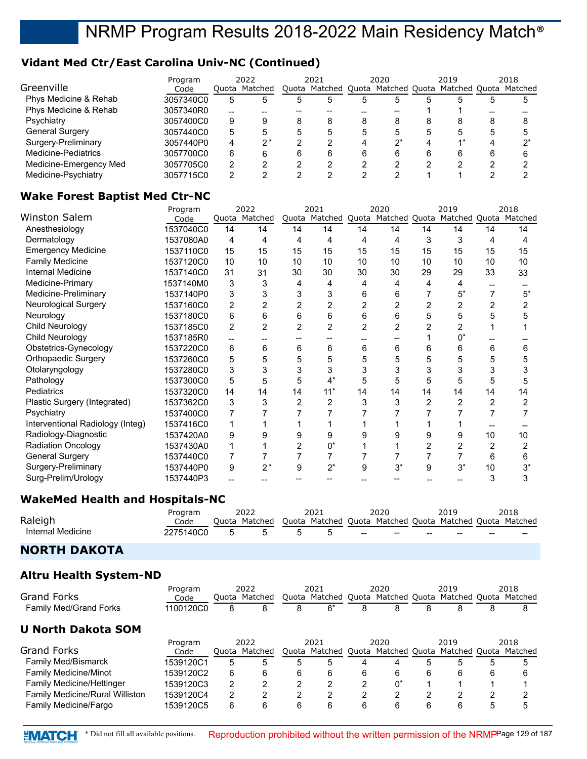# **Vidant Med Ctr/East Carolina Univ-NC (Continued)**

| Greenville             | Program   |       | 2022          |   | 2021                                                    |   | 2020 |   | 2019 |   | 2018 |
|------------------------|-----------|-------|---------------|---|---------------------------------------------------------|---|------|---|------|---|------|
|                        | Code      |       | Ouota Matched |   | Quota Matched Quota Matched Quota Matched Quota Matched |   |      |   |      |   |      |
| Phys Medicine & Rehab  | 3057340C0 | 5     |               | 5 |                                                         |   | 5    |   | 5    | 5 |      |
| Phys Medicine & Rehab  | 3057340R0 | $- -$ |               |   |                                                         |   |      |   |      |   |      |
| Psychiatry             | 3057400C0 | 9     |               | 8 | 8                                                       | 8 | 8    |   | 8    | 8 |      |
| <b>General Surgery</b> | 3057440C0 | 5     |               | 5 | $\mathbf{b}$                                            | 5 | 5    |   | 5    | b |      |
| Surgery-Preliminary    | 3057440P0 | 4     |               |   |                                                         | 4 | ヮ*   |   | $4*$ |   | ∗ר   |
| Medicine-Pediatrics    | 3057700C0 | 6     | 6             | 6 | 6                                                       | 6 | 6    | 6 | 6    | 6 |      |
| Medicine-Emergency Med | 3057705C0 | 2     |               |   |                                                         |   |      |   |      |   |      |
| Medicine-Psychiatry    | 3057715C0 | 2     |               |   |                                                         |   |      |   |      |   |      |

## **Wake Forest Baptist Med Ctr-NC**

|                                  | Program   |                | 2022           |                | 2021           |                | 2020           |                | 2019                                      |                | 2018           |
|----------------------------------|-----------|----------------|----------------|----------------|----------------|----------------|----------------|----------------|-------------------------------------------|----------------|----------------|
| Winston Salem                    | Code      |                | Quota Matched  |                | Quota Matched  |                |                |                | Quota Matched Quota Matched Quota Matched |                |                |
| Anesthesiology                   | 1537040C0 | 14             | 14             | 14             | 14             | 14             | 14             | 14             | 14                                        | 14             | 14             |
| Dermatology                      | 1537080A0 | 4              | 4              | 4              | 4              | 4              | 4              | 3              | 3                                         | 4              | 4              |
| <b>Emergency Medicine</b>        | 1537110C0 | 15             | 15             | 15             | 15             | 15             | 15             | 15             | 15                                        | 15             | 15             |
| <b>Family Medicine</b>           | 1537120C0 | 10             | 10             | 10             | 10             | 10             | 10             | 10             | 10                                        | 10             | 10             |
| Internal Medicine                | 1537140C0 | 31             | 31             | 30             | 30             | 30             | 30             | 29             | 29                                        | 33             | 33             |
| Medicine-Primary                 | 1537140M0 | 3              | 3              | 4              | 4              | 4              | 4              | 4              | 4                                         |                |                |
| Medicine-Preliminary             | 1537140P0 | 3              | 3              | 3              | 3              | 6              | 6              |                | $5^*$                                     |                | $5^*$          |
| <b>Neurological Surgery</b>      | 1537160C0 | $\overline{2}$ | $\overline{2}$ | $\overline{2}$ | 2              | $\overline{2}$ | 2              | $\overline{2}$ | 2                                         | 2              | 2              |
| Neurology                        | 1537180C0 | 6              | 6              | 6              | 6              | 6              | 6              | 5              | 5                                         | 5              | 5              |
| Child Neurology                  | 1537185C0 | 2              | $\overline{2}$ | $\overline{2}$ | $\overline{2}$ | $\overline{2}$ | $\overline{c}$ | 2              |                                           |                |                |
| Child Neurology                  | 1537185R0 | --             |                |                |                |                |                |                | $0^*$                                     |                |                |
| Obstetrics-Gynecology            | 1537220C0 | 6              | 6              | 6              | 6              | 6              | 6              | 6              | 6                                         | 6              | 6              |
| Orthopaedic Surgery              | 1537260C0 | 5              | 5              | 5              | 5              | 5              | 5              | 5              | 5                                         | 5              | 5              |
| Otolaryngology                   | 1537280C0 | 3              | 3              | 3              | 3              | 3              | 3              | 3              | 3                                         | 3              | 3              |
| Pathology                        | 1537300C0 | 5              | 5              | 5              | $4^*$          | 5              | 5              | 5              | 5                                         | 5              | 5              |
| Pediatrics                       | 1537320C0 | 14             | 14             | 14             | $11*$          | 14             | 14             | 14             | 14                                        | 14             | 14             |
| Plastic Surgery (Integrated)     | 1537362C0 | 3              | 3              | $\overline{2}$ | 2              | 3              | 3              | $\overline{2}$ | 2                                         | $\overline{c}$ | 2              |
| Psychiatry                       | 1537400C0 | 7              |                |                |                |                |                |                |                                           |                |                |
| Interventional Radiology (Integ) | 1537416C0 | 1              |                |                |                |                |                |                |                                           |                |                |
| Radiology-Diagnostic             | 1537420A0 | 9              | 9              | 9              | 9              | 9              | 9              | 9              | 9                                         | 10             | 10             |
| <b>Radiation Oncology</b>        | 1537430A0 | 1              |                | $\overline{2}$ | 0*             |                |                | $\overline{2}$ | 2                                         | 2              | $\overline{2}$ |
| <b>General Surgery</b>           | 1537440C0 | 7              |                | 7              | 7              | 7              | 7              | 7              | 7                                         | 6              | 6              |
| Surgery-Preliminary              | 1537440P0 | 9              | $2^*$          | 9              | $2^*$          | 9              | $3^*$          | 9              | $3^*$                                     | 10             | $3^*$          |
| Surg-Prelim/Urology              | 1537440P3 |                |                |                |                |                |                |                |                                           | 3              | 3              |
|                                  |           |                |                |                |                |                |                |                |                                           |                |                |

### **WakeMed Health and Hospitals-NC**

|                     | Program   | 2022          |               | 2021 |     | 2020                                           |       | 2019  |       | 2018                                                    |
|---------------------|-----------|---------------|---------------|------|-----|------------------------------------------------|-------|-------|-------|---------------------------------------------------------|
| Raleigh             | Code      | Quota Matched |               |      |     |                                                |       |       |       | Quota Matched Quota Matched Quota Matched Quota Matched |
| Internal Medicine   | 2275140C0 | h             | $\mathcal{L}$ |      | $-$ | $\hspace{0.1mm}-\hspace{0.1mm}-\hspace{0.1mm}$ | $- -$ | $- -$ | $- -$ | $- -$                                                   |
| <b>NORTH DAKOTA</b> |           |               |               |      |     |                                                |       |       |       |                                                         |

# **Altru Health System-ND**

| Grand Forks                            | Program<br>Code |                | 2022<br>Ouota Matched |   | 2021<br>Quota Matched Quota Matched Quota Matched Quota Matched |   | 2020  |   | 2019 |   | 2018    |
|----------------------------------------|-----------------|----------------|-----------------------|---|-----------------------------------------------------------------|---|-------|---|------|---|---------|
| <b>Family Med/Grand Forks</b>          | 1100120C0       | 8              | 8                     | 8 | 6*                                                              | 8 | 8     | 8 |      | 8 | 8       |
| <b>U North Dakota SOM</b>              |                 |                |                       |   |                                                                 |   |       |   |      |   |         |
|                                        | Program         |                | 2022                  |   | 2021                                                            |   | 2020  |   | 2019 |   | 2018    |
| Grand Forks                            | Code            |                | Ouota Matched         |   | Quota Matched Quota Matched Quota Matched Quota                 |   |       |   |      |   | Matched |
| <b>Family Med/Bismarck</b>             | 1539120C1       | 5              | 5                     | 5 | 5                                                               | 4 |       | 5 |      | 5 | 5       |
| <b>Family Medicine/Minot</b>           | 1539120C2       | 6              | 6                     | 6 | 6                                                               | 6 | 6     | 6 | 6    | 6 | 6       |
| <b>Family Medicine/Hettinger</b>       | 1539120C3       | 2              | 2                     | 2 | 2                                                               | 2 | $0^*$ |   |      |   |         |
| <b>Family Medicine/Rural Williston</b> | 1539120C4       | $\overline{2}$ | 2                     | 2 | 2                                                               | 2 | 2     | 2 | 2    | 2 | າ       |
| Family Medicine/Fargo                  | 1539120C5       | 6              | 6                     | 6 | 6                                                               | 6 | 6     | 6 | 6    | 5 | 5       |

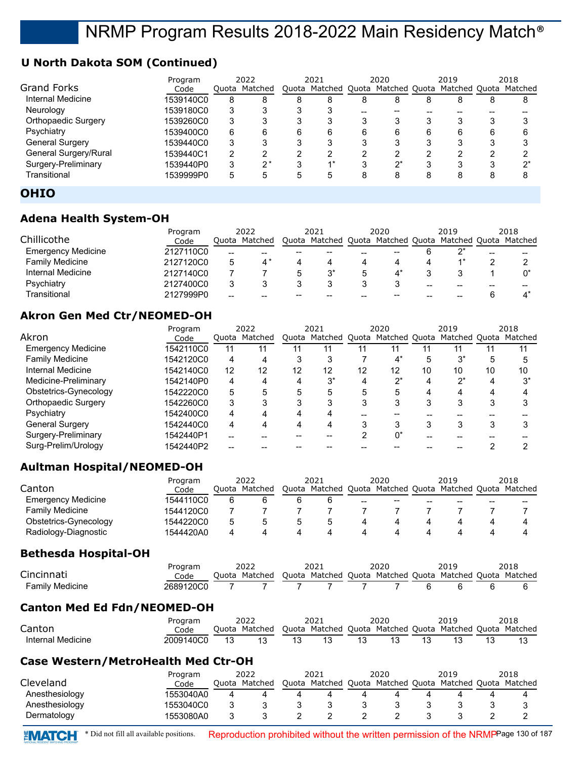# **U North Dakota SOM (Continued)**

|                            | Program   | 2022 |               | 2021 |                                   | 2020 |       | 2019 |   |   | 2018                  |
|----------------------------|-----------|------|---------------|------|-----------------------------------|------|-------|------|---|---|-----------------------|
| Grand Forks                | Code      |      | Quota Matched |      | Quota Matched Quota Matched Quota |      |       |      |   |   | Matched Quota Matched |
| Internal Medicine          | 1539140C0 | 8    | 8             | 8    | 8                                 | 8    | 8     | 8    | 8 | 8 | 8                     |
| Neurology                  | 1539180C0 | 3    |               | 3    | 3                                 |      |       |      |   |   |                       |
| <b>Orthopaedic Surgery</b> | 1539260C0 | 3    |               | 3    |                                   |      | 3     |      | 3 | 3 |                       |
| Psychiatry                 | 1539400C0 | 6    | 6             | 6    | 6                                 | 6    | 6     | 6    | 6 | 6 |                       |
| <b>General Surgery</b>     | 1539440C0 | 3    |               | 3    | 3                                 | 3    | 3     |      | 3 | 3 |                       |
| General Surgery/Rural      | 1539440C1 | 2    | ◠             | ົ    | ≘                                 | っ    | ົ     | ◠    | ◠ | ⌒ |                       |
| Surgery-Preliminary        | 1539440P0 | 3    | $2^*$         | 3    |                                   | 3    | $2^*$ |      | 3 | 3 | י∩∗                   |
| Transitional               | 1539999P0 | 5    | 5             | 5    | 5                                 | 8    | 8     | 8    | 8 | 8 |                       |
| $   -$                     |           |      |               |      |                                   |      |       |      |   |   |                       |

## **OHIO**

## **Adena Health System-OH**

| Chillicothe               | Program   |       | 2022<br>Ouota Matched |                                                   | 2021<br>Quota Matched Quota Matched Quota Matched Quota Matched |    | 2020 |    | 2019 |    | 2018 |
|---------------------------|-----------|-------|-----------------------|---------------------------------------------------|-----------------------------------------------------------------|----|------|----|------|----|------|
|                           | Code      |       |                       |                                                   |                                                                 |    |      |    |      |    |      |
| <b>Emergency Medicine</b> | 2127110C0 | $- -$ | --                    | $\hspace{0.05cm}-\hspace{0.05cm}-\hspace{0.05cm}$ | --                                                              | -- | --   |    |      | -- |      |
| <b>Family Medicine</b>    | 2127120C0 | 5     |                       |                                                   |                                                                 |    |      |    |      |    |      |
| Internal Medicine         | 2127140C0 |       |                       |                                                   |                                                                 |    |      |    |      |    |      |
| Psychiatry                | 2127400C0 |       |                       |                                                   |                                                                 |    |      | -- | --   | -- |      |
| Transitional              | 2127999P0 | $- -$ | --                    | --                                                | --                                                              |    | --   |    |      | h  |      |

## **Akron Gen Med Ctr/NEOMED-OH**

| Program   | 2022 |    | 2021          |       | 2020 |       |    |         |      | 2018                                                    |
|-----------|------|----|---------------|-------|------|-------|----|---------|------|---------------------------------------------------------|
| Code      |      |    |               |       |      |       |    |         |      |                                                         |
| 1542110C0 | 11   |    | 11            | 11    |      |       |    |         |      |                                                         |
| 1542120C0 | 4    |    |               |       |      | $4^*$ |    | $3^*$   |      |                                                         |
| 1542140C0 | 12   | 12 | 12            | 12    | 12   | 12    | 10 | 10      | 10   | 10                                                      |
| 1542140P0 | 4    |    | 4             | $3^*$ | 4    | י?    |    | $2^{*}$ | 4    | $3^*$                                                   |
| 1542220C0 | 5    |    | 5             | 5     | 5    | 5     |    | 4       |      |                                                         |
| 1542260C0 | 3    |    | 3             |       |      | 3     |    | 3       | ົ    |                                                         |
| 1542400C0 | 4    |    | 4             |       |      |       |    |         |      |                                                         |
| 1542440C0 | 4    |    |               | Δ     |      |       |    | 3       |      |                                                         |
| 1542440P1 |      |    |               |       |      | 0*    |    |         |      |                                                         |
| 1542440P2 |      |    |               |       |      |       |    |         |      |                                                         |
|           |      |    | Ouota Matched |       |      |       |    |         | 2019 | Quota Matched Quota Matched Quota Matched Quota Matched |

## **Aultman Hospital/NEOMED-OH**

|                           | Program   | 2022 |               | 2021 |               | 2020  |                       | 2019 |                       |    | 2018 |
|---------------------------|-----------|------|---------------|------|---------------|-------|-----------------------|------|-----------------------|----|------|
| Canton                    | Code      |      | Ouota Matched |      | Quota Matched |       | l Quota Matched Quota |      | Matched Quota Matched |    |      |
| <b>Emergency Medicine</b> | 1544110C0 |      |               |      |               | $- -$ | $- -$                 | --   | --                    | -- |      |
| <b>Family Medicine</b>    | 1544120C0 |      |               |      |               |       |                       |      |                       |    |      |
| Obstetrics-Gynecology     | 1544220C0 | 5    |               |      |               |       |                       |      |                       |    |      |
| Radiology-Diagnostic      | 1544420A0 |      |               |      |               |       |                       |      |                       |    |      |

### **Bethesda Hospital-OH**

|                        |           |       |         |       |         |       | 2020 |                                     | 2018 |
|------------------------|-----------|-------|---------|-------|---------|-------|------|-------------------------------------|------|
| Cincinnati             | Code      | วuota | Matched | Ouota | Matched | Ouota |      | Matched Ouota Matched Ouota Matched |      |
| <b>Family Medicine</b> | 2689120CC |       |         |       |         |       |      |                                     |      |

## **Canton Med Ed Fdn/NEOMED-OH**

|                   | Program   |       | 2022    |       | 2021          | 2020          |    | 2019          | 2018    |
|-------------------|-----------|-------|---------|-------|---------------|---------------|----|---------------|---------|
| Canton            | Code      | Ouota | Matched | Ouota | Matched Ouota | Matched Ouota |    | Matched Ouota | Matched |
| Internal Medicine | 2009140C0 |       |         |       |               |               | 41 |               |         |

### **Case Western/MetroHealth Med Ctr-OH**

|                | Program   |       | 2022    | 2021          | 2020                | 2019                  | 2018 |
|----------------|-----------|-------|---------|---------------|---------------------|-----------------------|------|
| Cleveland      | Code      | Ouota | Matched | Quota Matched | Quota Matched Quota | Matched Quota Matched |      |
| Anesthesiology | 1553040A0 | 4     |         |               |                     |                       | 4    |
| Anesthesiology | 1553040C0 |       |         |               |                     |                       |      |
| Dermatology    | 1553080A0 |       |         |               |                     |                       |      |

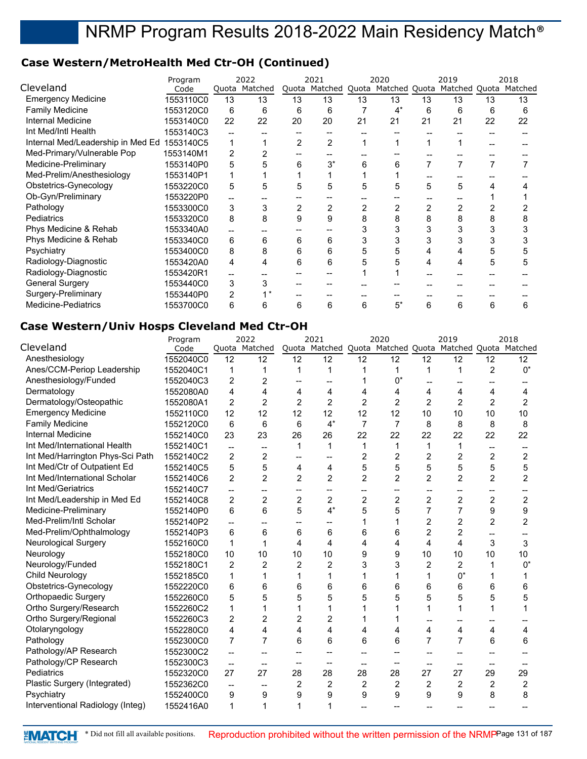## **Case Western/MetroHealth Med Ctr-OH (Continued)**

|                                   | Program   |                | 2022          |       | 2021    |    | 2020          |       | 2019                  |    | 2018 |
|-----------------------------------|-----------|----------------|---------------|-------|---------|----|---------------|-------|-----------------------|----|------|
| Cleveland                         | Code      |                | Quota Matched | Quota | Matched |    | Quota Matched | Quota | Matched Quota Matched |    |      |
| <b>Emergency Medicine</b>         | 1553110C0 | 13             | 13            | 13    | 13      | 13 | 13            | 13    | 13                    | 13 | 13   |
| <b>Family Medicine</b>            | 1553120C0 | 6              | 6             | 6     | 6       |    | $4^*$         | 6     | 6                     | 6  | 6    |
| Internal Medicine                 | 1553140C0 | 22             | 22            | 20    | 20      | 21 | 21            | 21    | 21                    | 22 | 22   |
| Int Med/Intl Health               | 1553140C3 | --             |               |       |         |    |               |       |                       |    |      |
| Internal Med/Leadership in Med Ed | 1553140C5 | 1              |               | 2     | 2       |    |               |       |                       |    |      |
| Med-Primary/Vulnerable Pop        | 1553140M1 | $\overline{2}$ |               |       |         |    |               |       |                       |    |      |
| Medicine-Preliminary              | 1553140P0 | 5              | 5             | 6     | $3^*$   | 6  | 6             | 7     |                       |    |      |
| Med-Prelim/Anesthesiology         | 1553140P1 |                |               |       |         |    |               |       |                       |    |      |
| Obstetrics-Gynecology             | 1553220C0 | 5              | 5             | 5     | 5       | 5  | 5             | 5     | 5                     |    |      |
| Ob-Gyn/Preliminary                | 1553220P0 | $-$            |               |       |         |    |               |       |                       |    |      |
| Pathology                         | 1553300C0 | 3              | 3             | 2     | 2       |    |               | 2     |                       |    |      |
| <b>Pediatrics</b>                 | 1553320C0 | 8              | 8             | 9     | 9       |    | 8             | 8     |                       |    |      |
| Phys Medicine & Rehab             | 1553340A0 | --             |               |       |         |    | 3             | 3     | 3                     |    |      |
| Phys Medicine & Rehab             | 1553340C0 | 6              | 6             | 6     | 6       |    | 3             |       |                       |    |      |
| Psychiatry                        | 1553400C0 | 8              | 8             | 6     | 6       |    | 5             | 4     |                       | 5  |      |
| Radiology-Diagnostic              | 1553420A0 | 4              | 4             | 6     | 6       |    | 5             | 4     | 4                     | 5  | 5    |
| Radiology-Diagnostic              | 1553420R1 | --             |               |       |         |    |               |       |                       |    |      |
| <b>General Surgery</b>            | 1553440C0 | 3              |               |       |         |    |               |       |                       |    |      |
| Surgery-Preliminary               | 1553440P0 | 2              |               |       |         |    |               |       |                       |    |      |
| Medicine-Pediatrics               | 1553700C0 | 6              | 6             | 6     | 6       | 6  | $5^*$         | 6     | 6                     | 6  | 6    |
|                                   |           |                |               |       |         |    |               |       |                       |    |      |

## **Case Western/Univ Hosps Cleveland Med Ctr-OH**

|                                  | Program   |                          | 2022                     |                                     | 2021           |                | 2020           |                | 2019                                                    |                               | 2018           |
|----------------------------------|-----------|--------------------------|--------------------------|-------------------------------------|----------------|----------------|----------------|----------------|---------------------------------------------------------|-------------------------------|----------------|
| Cleveland                        | Code      |                          | Quota Matched            |                                     |                |                |                |                | Quota Matched Quota Matched Quota Matched Quota Matched |                               |                |
| Anesthesiology                   | 1552040C0 | 12                       | 12                       | 12                                  | 12             | 12             | 12             | 12             | 12                                                      | 12                            | 12             |
| Anes/CCM-Periop Leadership       | 1552040C1 | 1                        | 1                        | 1                                   | 1              | 1              | 1              | 1              | 1                                                       | $\overline{2}$                | $0^*$          |
| Anesthesiology/Funded            | 1552040C3 | $\overline{c}$           | $\overline{c}$           |                                     |                | 1              | $0^*$          |                |                                                         |                               |                |
| Dermatology                      | 1552080A0 | 4                        | 4                        | 4                                   | 4              | 4              | 4              | 4              | 4                                                       | 4                             | 4              |
| Dermatology/Osteopathic          | 1552080A1 | $\overline{2}$           | $\overline{2}$           | $\overline{2}$                      | $\overline{2}$ | $\overline{2}$ | $\overline{2}$ | $\overline{2}$ | $\overline{2}$                                          | $\overline{2}$                | 2              |
| <b>Emergency Medicine</b>        | 1552110C0 | 12                       | 12                       | 12                                  | 12             | 12             | 12             | 10             | 10                                                      | 10                            | 10             |
| <b>Family Medicine</b>           | 1552120C0 | 6                        | 6                        | 6                                   | $4^*$          | $\overline{7}$ | 7              | 8              | 8                                                       | 8                             | 8              |
| <b>Internal Medicine</b>         | 1552140C0 | 23                       | 23                       | 26                                  | 26             | 22             | 22             | 22             | 22                                                      | 22                            | 22             |
| Int Med/International Health     | 1552140C1 | $\overline{\phantom{a}}$ | $\overline{\phantom{0}}$ | 1                                   | 1              | 1              | 1              | 1              | 1                                                       | --                            |                |
| Int Med/Harrington Phys-Sci Path | 1552140C2 | 2                        | $\overline{c}$           | --                                  | --             | $\overline{2}$ | 2              | 2              | 2                                                       | $\overline{2}$                | 2              |
| Int Med/Ctr of Outpatient Ed     | 1552140C5 | 5                        | 5                        | 4                                   | 4              | 5              | 5              | 5              | 5                                                       | 5                             | 5              |
| Int Med/International Scholar    | 1552140C6 | $\overline{c}$           | $\overline{2}$           | $\overline{2}$                      | $\overline{2}$ | $\overline{2}$ | $\overline{2}$ | $\overline{2}$ | $\overline{2}$                                          | $\overline{2}$                | $\overline{2}$ |
| Int Med/Geriatrics               | 1552140C7 | $-$                      | $\overline{a}$           | $\hspace{0.05cm}$ $\hspace{0.05cm}$ | --             |                |                |                | --                                                      | $\qquad \qquad \qquad \qquad$ |                |
| Int Med/Leadership in Med Ed     | 1552140C8 | $\overline{2}$           | $\overline{2}$           | $\overline{2}$                      | $\overline{2}$ | $\overline{2}$ | $\overline{2}$ | $\overline{2}$ | $\overline{2}$                                          | $\overline{2}$                | 2              |
| Medicine-Preliminary             | 1552140P0 | 6                        | 6                        | 5                                   | $4^*$          | 5              | 5              | $\overline{7}$ | $\overline{7}$                                          | 9                             | 9              |
| Med-Prelim/Intl Scholar          | 1552140P2 | $\overline{\phantom{a}}$ | --                       |                                     |                |                |                | $\overline{2}$ | $\overline{2}$                                          | 2                             | 2              |
| Med-Prelim/Ophthalmology         | 1552140P3 | 6                        | 6                        | 6                                   | 6              | 6              | 6              | $\overline{c}$ | $\overline{c}$                                          | --                            |                |
| <b>Neurological Surgery</b>      | 1552160C0 | 1                        | 1                        | 4                                   | 4              | 4              | 4              | $\overline{4}$ | 4                                                       | 3                             | 3              |
| Neurology                        | 1552180C0 | 10                       | 10                       | 10                                  | 10             | 9              | 9              | 10             | 10                                                      | 10                            | 10             |
| Neurology/Funded                 | 1552180C1 | $\overline{2}$           | $\overline{2}$           | $\overline{2}$                      | 2              | 3              | 3              | $\overline{2}$ | $\overline{2}$                                          | 1                             | $0^*$          |
| <b>Child Neurology</b>           | 1552185C0 | 1                        | 1                        | 1                                   | 1              |                |                | 1              | $0^*$                                                   | 1                             |                |
| Obstetrics-Gynecology            | 1552220C0 | 6                        | 6                        | 6                                   | 6              | 6              | 6              | 6              | 6                                                       | 6                             | 6              |
| Orthopaedic Surgery              | 1552260C0 | 5                        | 5                        | 5                                   | 5              | 5              | 5              | 5              | 5                                                       | 5                             | 5              |
| Ortho Surgery/Research           | 1552260C2 | 1                        | 1                        | 1                                   | 1              |                |                | 1              |                                                         | 1                             |                |
| Ortho Surgery/Regional           | 1552260C3 | 2                        | $\overline{2}$           | $\overline{2}$                      | $\overline{2}$ | 1              |                | --             | --                                                      | $\overline{\phantom{a}}$      |                |
| Otolaryngology                   | 1552280C0 | 4                        | 4                        | 4                                   | 4              | 4              | 4              | 4              | 4                                                       | 4                             | 4              |
| Pathology                        | 1552300C0 | 7                        | $\overline{7}$           | 6                                   | 6              | 6              | 6              | 7              | $\overline{7}$                                          | 6                             | 6              |
| Pathology/AP Research            | 1552300C2 | $\overline{\phantom{a}}$ | $\overline{a}$           | --                                  |                |                |                |                |                                                         |                               |                |
| Pathology/CP Research            | 1552300C3 | $\overline{a}$           | $\overline{\phantom{0}}$ |                                     | --             | $\overline{a}$ |                |                | $\overline{a}$                                          |                               |                |
| Pediatrics                       | 1552320C0 | 27                       | 27                       | 28                                  | 28             | 28             | 28             | 27             | 27                                                      | 29                            | 29             |
| Plastic Surgery (Integrated)     | 1552362C0 | $\overline{\phantom{a}}$ | --                       | 2                                   | $\overline{c}$ | $\overline{c}$ | $\overline{c}$ | $\overline{c}$ | $\overline{c}$                                          | $\overline{c}$                | $\overline{c}$ |
| Psychiatry                       | 1552400C0 | 9                        | 9                        | 9                                   | 9              | 9              | 9              | 9              | 9                                                       | 8                             | 8              |
| Interventional Radiology (Integ) | 1552416A0 | 1                        | 1                        | $\mathbf 1$                         | 1              |                |                |                |                                                         |                               |                |
|                                  |           |                          |                          |                                     |                |                |                |                |                                                         |                               |                |

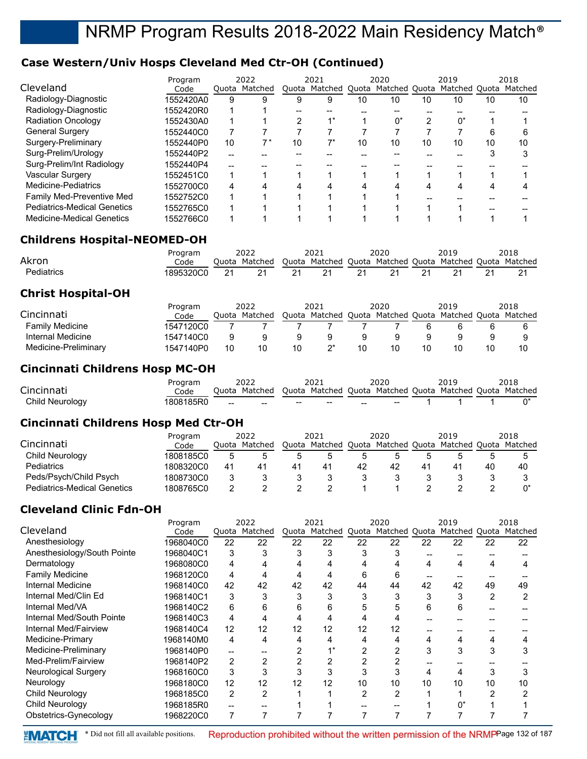# **Case Western/Univ Hosps Cleveland Med Ctr-OH (Continued)**

|                                    | Program   |       | 2022          |    | 2021          |    | 2020                |    | 2019 |    | 2018                  |
|------------------------------------|-----------|-------|---------------|----|---------------|----|---------------------|----|------|----|-----------------------|
| Cleveland                          | Code      |       | Ouota Matched |    | Ouota Matched |    | Quota Matched Quota |    |      |    | Matched Quota Matched |
| Radiology-Diagnostic               | 1552420A0 | 9     | 9             | 9  | 9             | 10 | 10                  | 10 | 10   | 10 | 10                    |
| Radiology-Diagnostic               | 1552420R0 |       |               |    |               |    |                     |    |      |    |                       |
| <b>Radiation Oncology</b>          | 1552430A0 |       |               |    |               |    | 0*                  | ≘  | 0*   |    |                       |
| <b>General Surgery</b>             | 1552440C0 |       |               |    |               |    |                     |    |      | 6  |                       |
| Surgery-Preliminary                | 1552440P0 | 10    |               | 10 |               | 10 | 10                  | 10 | 10   | 10 | 10                    |
| Surg-Prelim/Urology                | 1552440P2 | $- -$ |               |    |               |    |                     |    |      |    |                       |
| Surg-Prelim/Int Radiology          | 1552440P4 |       |               |    |               |    |                     |    |      |    |                       |
| Vascular Surgery                   | 1552451C0 | 1     |               |    |               |    |                     |    |      |    |                       |
| Medicine-Pediatrics                | 1552700C0 | 4     | 4             |    | 4             | Δ  |                     |    | 4    |    |                       |
| <b>Family Med-Preventive Med</b>   | 1552752C0 |       |               |    |               |    |                     |    |      |    |                       |
| <b>Pediatrics-Medical Genetics</b> | 1552765C0 |       |               |    |               |    |                     |    |      |    |                       |
| Medicine-Medical Genetics          | 1552766C0 |       |               |    |               |    |                     |    |      |    |                       |

## **Childrens Hospital-NEOMED-OH**

|                   | Program   | 2022          |    | 2021                                                    |    | 2020 | 2019 | 2018 |
|-------------------|-----------|---------------|----|---------------------------------------------------------|----|------|------|------|
| Akron             | Code      | Ouota Matched |    | Quota Matched Quota Matched Quota Matched Quota Matched |    |      |      |      |
| <b>Pediatrics</b> | 1895320C0 | 21            | 21 |                                                         | 21 | -21  |      |      |

## **Christ Hospital-OH**

|                        | Program   |       | 2022    | 2021                |    | 2020          | 2019                  |    | 2018 |
|------------------------|-----------|-------|---------|---------------------|----|---------------|-----------------------|----|------|
| Cincinnati             | Code      | Ouota | Matched | Quota Matched Quota |    | Matched Quota | Matched Quota Matched |    |      |
| <b>Family Medicine</b> | 1547120C0 |       |         |                     |    |               |                       |    |      |
| Internal Medicine      | 1547140C0 |       |         |                     |    |               |                       | a  |      |
| Medicine-Preliminary   | 1547140P0 | 10    |         |                     | 10 | 10            |                       | 10 | 10   |

## **Cincinnati Childrens Hosp MC-OH**

|                 | Program   | 2022                                                                  |                                   | 2021 | 2020 | 2019 | 2018 |
|-----------------|-----------|-----------------------------------------------------------------------|-----------------------------------|------|------|------|------|
| Cincinnati      | Code      | Quota Matched Quota Matched Quota Matched Quota Matched Quota Matched |                                   |      |      |      |      |
| Child Neurology | 1808185R0 | and the second contract of the second second                          | and the state of the state of the |      |      |      |      |

### **Cincinnati Childrens Hosp Med Ctr-OH**

|                                    | Program   |                | 2022    |    | 2021          |       | 2020          |           | 2019          |    | 2018    |
|------------------------------------|-----------|----------------|---------|----|---------------|-------|---------------|-----------|---------------|----|---------|
| Cincinnati                         | Code      | Ouota          | Matched |    | Quota Matched | Quota | Matched Quota |           | Matched Ouota |    | Matched |
| Child Neurology                    | 1808185C0 |                |         |    |               |       |               |           |               |    |         |
| <b>Pediatrics</b>                  | 1808320C0 | 4 <sup>1</sup> |         | 41 | 41            | 42    | 42            | $\Lambda$ |               | 40 | 40      |
| Peds/Psych/Child Psych             | 1808730C0 |                |         |    |               |       |               |           |               |    |         |
| <b>Pediatrics-Medical Genetics</b> | 1808765C0 |                |         |    |               |       |               |           |               |    |         |

# **Cleveland Clinic Fdn-OH**

|                             | Program   |    | 2022          |    | 2021          |    | 2020          |       | 2019                  |    | 2018 |
|-----------------------------|-----------|----|---------------|----|---------------|----|---------------|-------|-----------------------|----|------|
| Cleveland                   | Code      |    | Quota Matched |    | Quota Matched |    | Quota Matched | Quota | Matched Quota Matched |    |      |
| Anesthesiology              | 1968040C0 | 22 | 22            | 22 | 22            | 22 | 22            | 22    | 22                    | 22 | 22   |
| Anesthesiology/South Pointe | 1968040C1 | 3  | J.            |    | 3             |    |               |       |                       |    |      |
| Dermatology                 | 1968080C0 | 4  |               |    |               |    |               |       | 4                     |    |      |
| <b>Family Medicine</b>      | 1968120C0 | 4  | 4             |    | 4             | 6  | 6             |       |                       |    |      |
| Internal Medicine           | 1968140C0 | 42 | 42            | 42 | 42            | 44 | 44            | 42    | 42                    | 49 | 49   |
| Internal Med/Clin Ed        | 1968140C1 | 3  |               |    | 3             |    | 3             | 3     |                       | 2  |      |
| Internal Med/VA             | 1968140C2 | 6  | 6             | 6  | 6             | 5  | 5             | 6     | 6                     |    |      |
| Internal Med/South Pointe   | 1968140C3 | 4  | 4             |    | 4             |    |               |       |                       |    |      |
| Internal Med/Fairview       | 1968140C4 | 12 | 12            | 12 | 12            | 12 | 12            |       |                       |    |      |
| Medicine-Primary            | 1968140M0 | 4  | 4             |    | 4             |    | 4             | 4     | 4                     |    |      |
| Medicine-Preliminary        | 1968140P0 |    |               |    |               |    | 2             | 3     | 3                     |    |      |
| Med-Prelim/Fairview         | 1968140P2 | 2  |               |    |               |    |               |       |                       |    |      |
| Neurological Surgery        | 1968160C0 | 3  |               |    | 3             |    |               |       |                       |    |      |
| Neurology                   | 1968180C0 | 12 | 12            | 12 | 12            | 10 | 10            | 10    | 10                    | 10 | 10   |
| Child Neurology             | 1968185C0 | 2  | ◠             |    |               | 2  | 2             |       |                       |    |      |
| Child Neurology             | 1968185R0 |    |               |    |               |    |               |       |                       |    |      |
| Obstetrics-Gynecology       | 1968220C0 |    |               |    |               |    |               |       |                       |    |      |

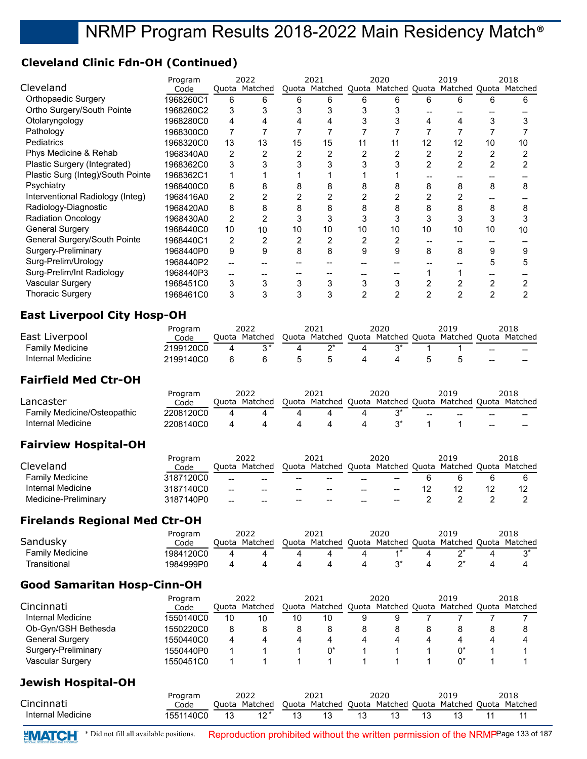# **Cleveland Clinic Fdn-OH (Continued)**

|                                   | Program   |    | 2022          |    | 2021                                                    |    | 2020 |    | 2019 |    | 2018 |
|-----------------------------------|-----------|----|---------------|----|---------------------------------------------------------|----|------|----|------|----|------|
| Cleveland                         | Code      |    | Quota Matched |    | Quota Matched Quota Matched Quota Matched Quota Matched |    |      |    |      |    |      |
| Orthopaedic Surgery               | 1968260C1 | 6  | 6             | 6  | 6                                                       | 6  | 6    | 6  | 6    | 6  | 6    |
| Ortho Surgery/South Pointe        | 1968260C2 | 3  |               |    |                                                         |    |      |    |      |    |      |
| Otolaryngology                    | 1968280C0 | 4  |               |    |                                                         |    |      |    |      |    |      |
| Pathology                         | 1968300C0 | 7  |               |    |                                                         |    |      |    |      |    |      |
| <b>Pediatrics</b>                 | 1968320C0 | 13 | 13            | 15 | 15                                                      | 11 | 11   | 12 | 12   | 10 | 10   |
| Phys Medicine & Rehab             | 1968340A0 | 2  |               |    | 2                                                       |    | 2    | 2  |      |    |      |
| Plastic Surgery (Integrated)      | 1968362C0 | 3  |               |    |                                                         |    |      | 2  |      |    |      |
| Plastic Surg (Integ)/South Pointe | 1968362C1 |    |               |    |                                                         |    |      |    |      |    |      |
| Psychiatry                        | 1968400C0 | 8  | 8             |    | 8                                                       |    |      | 8  | 8    | 8  | 8    |
| Interventional Radiology (Integ)  | 1968416A0 | 2  |               |    |                                                         |    |      |    |      |    |      |
| Radiology-Diagnostic              | 1968420A0 | 8  | 8             |    | 8                                                       |    | 8    | 8  |      | 8  |      |
| <b>Radiation Oncology</b>         | 1968430A0 | 2  |               |    | 3                                                       |    |      | 3  |      |    |      |
| <b>General Surgery</b>            | 1968440C0 | 10 | 10            | 10 | 10                                                      | 10 | 10   | 10 | 10   | 10 | 10   |
| General Surgery/South Pointe      | 1968440C1 | 2  | 2             |    | 2                                                       |    |      |    |      |    |      |
| Surgery-Preliminary               | 1968440P0 | 9  | 9             | 8  | 8                                                       | 9  | 9    | 8  | 8    | 9  |      |
| Surg-Prelim/Urology               | 1968440P2 |    |               |    |                                                         |    |      |    |      |    |      |
| Surg-Prelim/Int Radiology         | 1968440P3 |    |               |    |                                                         |    |      |    |      |    |      |
| Vascular Surgery                  | 1968451C0 | 3  | 3             | 3  | 3                                                       |    | 3    | 2  |      | 2  |      |
| <b>Thoracic Surgery</b>           | 1968461C0 | 3  |               |    |                                                         |    |      | 2  |      |    |      |

# **East Liverpool City Hosp-OH**

| East Liverpool              | Program<br>Code |   | 2022<br>Ouota Matched | 2021<br>Quota Matched Quota Matched Quota Matched Quota Matched | 2020  | 2019 |    | 2018 |
|-----------------------------|-----------------|---|-----------------------|-----------------------------------------------------------------|-------|------|----|------|
| <b>Family Medicine</b>      | 2199120C0       | 4 | $3^*$                 |                                                                 | $3^*$ |      | -- |      |
| Internal Medicine           | 2199140C0       | 6 |                       |                                                                 | 4     |      | -- |      |
| <b>Fairfield Med Ctr-OH</b> |                 |   |                       |                                                                 |       |      |    |      |
| Lancaster                   | Program<br>Code |   | 2022<br>Ouota Matched | 2021<br>Quota Matched Quota Matched Quota Matched Quota Matched | 2020  | 2019 |    | 2018 |

2022

| Lancaster                   | coue              |                | Ouvid Mallieu | Quota Mattheu Quota Mattheu Quota Mattheu Quota Mattheu |  |                                                                                                                                                                                                                                |       |
|-----------------------------|-------------------|----------------|---------------|---------------------------------------------------------|--|--------------------------------------------------------------------------------------------------------------------------------------------------------------------------------------------------------------------------------|-------|
| Family Medicine/Osteopathic | 2208120C0 4 4 4 4 |                |               |                                                         |  | and the contract of the contract of the contract of the contract of the contract of the contract of the contract of the contract of the contract of the contract of the contract of the contract of the contract of the contra | $-$   |
| Internal Medicine           | 2208140C0         | $\overline{a}$ |               | 44444                                                   |  |                                                                                                                                                                                                                                | $- -$ |
|                             |                   |                |               |                                                         |  |                                                                                                                                                                                                                                |       |

## **Fairview Hospital-OH**

|                        | Program   |       | 2022    |                  | 2021    |       | 2020                     | 2019          | 2018    |
|------------------------|-----------|-------|---------|------------------|---------|-------|--------------------------|---------------|---------|
| Cleveland              | Code      | Ouota | Matched | Ouota            | Matched |       | l Quota Matched Quota    | Matched Quota | Matched |
| <b>Family Medicine</b> | 3187120C0 | $- -$ | $- -$   | $\hspace{0.5cm}$ | $- -$   | $- -$ | $\overline{\phantom{m}}$ |               |         |
| Internal Medicine      | 3187140C0 | $- -$ | --      | $- -$            | $- -$   | $- -$ | $-$                      |               |         |
| Medicine-Preliminary   | 3187140P0 | $- -$ | $- -$   | $\hspace{0.5cm}$ | $- -$   | $-$   | $-$                      |               |         |

### **Firelands Regional Med Ctr-OH**

|                          | Program   | 2022  |         | 2021 |                                   | 2020 |  | 2019                  | 2018 |
|--------------------------|-----------|-------|---------|------|-----------------------------------|------|--|-----------------------|------|
| Sandusky                 | Code      | Ouota | Matched |      | Quota Matched Quota Matched Quota |      |  | Matched Quota Matched |      |
| <b>Family Medicine</b>   | 1984120C0 |       |         |      |                                   |      |  |                       |      |
| <sup>-</sup> ransitional | 1984999P0 |       |         |      |                                   |      |  |                       |      |

## **Good Samaritan Hosp-Cinn-OH**

| Program             |           | 2022 |               | 2021 |                                   | 2020 |   | 2019          |   | 2018    |
|---------------------|-----------|------|---------------|------|-----------------------------------|------|---|---------------|---|---------|
| Cincinnati          | Code      |      | Ouota Matched |      | Quota Matched Quota Matched Quota |      |   | Matched Quota |   | Matched |
| Internal Medicine   | 1550140C0 | 10   | 10            | 10   | 10                                | 9    | 9 |               |   |         |
| Ob-Gyn/GSH Bethesda | 1550220C0 | 8    |               |      |                                   | 8    |   |               | 8 |         |
| General Surgery     | 1550440C0 | 4    |               | 4    |                                   | 4    | 4 |               | 4 |         |
| Surgery-Preliminary | 1550440P0 |      |               |      |                                   |      |   |               |   |         |
| Vascular Surgery    | 1550451C0 |      |               |      |                                   |      |   |               |   |         |

### **Jewish Hospital-OH**

|                   | Program   | 2022  |          | 2021 |                                                         | 2020 |    | 2019 |  | 2018 |
|-------------------|-----------|-------|----------|------|---------------------------------------------------------|------|----|------|--|------|
| Cincinnati        | Code      | Ouota | Matched  |      | Quota Matched Quota Matched Quota Matched Quota Matched |      |    |      |  |      |
| Internal Medicine | 1551140C0 |       | $4 \cap$ | 12   |                                                         |      | 13 |      |  |      |

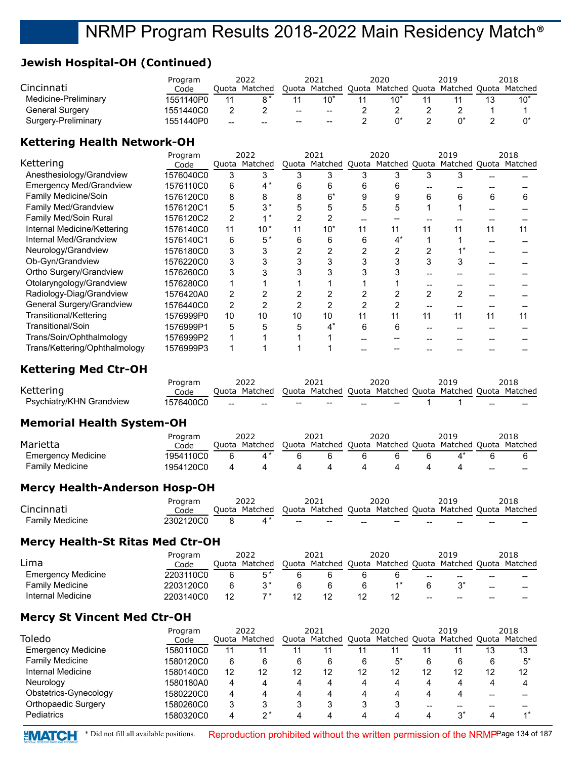# **Jewish Hospital-OH (Continued)**

|                        | Program   |       | 2022    |                                       | 2021          |         | 2020          | 2019                  | 2018   |
|------------------------|-----------|-------|---------|---------------------------------------|---------------|---------|---------------|-----------------------|--------|
| Cincinnati             | Code      | Ouota | Matched |                                       | Quota Matched | ' Quota | Matched Quota | Matched Quota Matched |        |
| Medicine-Preliminary   | 1551140P0 |       |         | 11                                    | 1በ*           |         | $10^*$        |                       | $10^*$ |
| <b>General Surgery</b> | 1551440C0 |       |         | $\hspace{0.05cm}$ – $\hspace{0.05cm}$ | $- -$         |         |               |                       |        |
| Surgery-Preliminary    | 1551440P0 | $- -$ | --      | $- -$                                 | $- -$         |         |               |                       |        |

## **Kettering Health Network-OH**

|                                | Program   |    | 2022          |    | 2021                              |    | 2020  |   | 2019 |    | 2018                  |
|--------------------------------|-----------|----|---------------|----|-----------------------------------|----|-------|---|------|----|-----------------------|
| Kettering                      | Code      |    | Quota Matched |    | Quota Matched Quota Matched Quota |    |       |   |      |    | Matched Quota Matched |
| Anesthesiology/Grandview       | 1576040C0 | 3  | 3             | 3  |                                   |    | 3     | 3 | 3    |    |                       |
| <b>Emergency Med/Grandview</b> | 1576110C0 | 6  |               | n  | 6                                 | h  |       |   |      |    |                       |
| Family Medicine/Soin           | 1576120C0 | 8  | 8             |    | $6*$                              |    | 9     | 6 | 6    | 6  | n                     |
| <b>Family Med/Grandview</b>    | 1576120C1 | 5  | $3^*$         |    | 5                                 | 5  | 5     |   |      |    |                       |
| Family Med/Soin Rural          | 1576120C2 | 2  |               |    |                                   |    |       |   |      |    |                       |
| Internal Medicine/Kettering    | 1576140C0 | 11 | $10*$         | 11 | $10*$                             | 11 | 11    |   | 11   | 11 |                       |
| Internal Med/Grandview         | 1576140C1 | 6  | 5*            | հ  | 6                                 | 6  | $4^*$ |   |      |    |                       |
| Neurology/Grandview            | 1576180C0 | 3  |               |    |                                   |    | 2     | 2 |      |    |                       |
| Ob-Gyn/Grandview               | 1576220C0 | 3  |               |    | 3                                 |    |       | 3 | 3    |    |                       |
| Ortho Surgery/Grandview        | 1576260C0 | 3  |               |    |                                   |    |       |   |      |    |                       |
| Otolaryngology/Grandview       | 1576280C0 |    |               |    |                                   |    |       |   |      |    |                       |
| Radiology-Diag/Grandview       | 1576420A0 | 2  |               |    |                                   |    |       | 2 | 2    |    |                       |
| General Surgery/Grandview      | 1576440C0 | 2  |               |    |                                   |    |       |   |      |    |                       |
| Transitional/Kettering         | 1576999P0 | 10 | 10            | 10 | 10                                | 11 | 11    |   | 11   | 11 |                       |
| <b>Transitional/Soin</b>       | 1576999P1 | 5  |               |    | $4^*$                             | 6  | 6     |   |      |    |                       |
| Trans/Soin/Ophthalmology       | 1576999P2 |    |               |    |                                   |    |       |   |      |    |                       |
| Trans/Kettering/Ophthalmology  | 1576999P3 |    |               |    |                                   |    |       |   |      |    |                       |

## **Kettering Med Ctr-OH**

|                          | Program   | 2022                                                                                                             | 2021 | 2020                                                                                                            | 2019 | 2018 |
|--------------------------|-----------|------------------------------------------------------------------------------------------------------------------|------|-----------------------------------------------------------------------------------------------------------------|------|------|
| Kettering                | Code      | Quota Matched Quota Matched Quota Matched Quota Matched Quota Matched                                            |      |                                                                                                                 |      |      |
| Psychiatry/KHN Grandview | 1576400C0 | and the company of the company of the company of the company of the company of the company of the company of the |      | and the same of the same of the same of the same of the same of the same of the same of the same of the same of |      | $-$  |

### **Memorial Health System-OH**

|                           | Program   | 2022  |         | 2021 |                                                         | 2020 |  | 2019 |  |       | 2018  |
|---------------------------|-----------|-------|---------|------|---------------------------------------------------------|------|--|------|--|-------|-------|
| Marietta                  | Code      | Ouota | Matched |      | Quota Matched Quota Matched Quota Matched Quota Matched |      |  |      |  |       |       |
| <b>Emergency Medicine</b> | 1954110C0 |       |         |      |                                                         |      |  |      |  |       |       |
| <b>Family Medicine</b>    | 1954120C0 |       |         |      |                                                         |      |  |      |  | $- -$ | $- -$ |

### **Mercy Health-Anderson Hosp-OH**

|                 | Program   | 2022                                                                  |                          | 2021  |     | 2020                     |    | 2019  |       | 2018  |
|-----------------|-----------|-----------------------------------------------------------------------|--------------------------|-------|-----|--------------------------|----|-------|-------|-------|
| Cincinnati      | Code      | Ouota Matched Ouota Matched Ouota Matched Ouota Matched Ouota Matched |                          |       |     |                          |    |       |       |       |
| Family Medicine | 2302120C0 |                                                                       | $\overline{\phantom{a}}$ | $- -$ | $-$ | $\overline{\phantom{a}}$ | -- | $- -$ | $- -$ | $- -$ |

### **Mercy Health-St Ritas Med Ctr-OH**

|                        | Program   |       | 2022    |       | 2021                        | 2020 |    | 2019                  |       | 2018  |
|------------------------|-----------|-------|---------|-------|-----------------------------|------|----|-----------------------|-------|-------|
| Lima                   | Code      | Juota | Matched | Quota | Matched Quota Matched Quota |      |    | Matched Quota Matched |       |       |
| Emergency Medicine     | 2203110C0 |       |         |       |                             |      | -- | --                    | --    | $- -$ |
| <b>Family Medicine</b> | 2203120C0 |       |         |       |                             |      |    |                       | $- -$ | $- -$ |
| Internal Medicine      | 2203140C0 | 12    |         |       |                             |      | -- | --                    | $- -$ | $- -$ |

## **Mercy St Vincent Med Ctr-OH**

|                           | Program   | 2022 |               | 2021 |                                                 | 2020 |    | 2019 |    |    | 2018    |
|---------------------------|-----------|------|---------------|------|-------------------------------------------------|------|----|------|----|----|---------|
| Toledo                    | Code      |      | Ouota Matched |      | Quota Matched Quota Matched Quota Matched Quota |      |    |      |    |    | Matched |
| <b>Emergency Medicine</b> | 1580110C0 | 11   |               |      |                                                 |      | 11 |      |    | 13 | 13      |
| <b>Family Medicine</b>    | 1580120C0 | 6    |               | 6    | 6                                               | 6    | 5* | 6    |    | 6  | $5^*$   |
| Internal Medicine         | 1580140C0 | 12   | 12            | 12   | 12                                              | 12   | 12 | 12   | 12 | 12 | 12      |
| Neurology                 | 1580180A0 | 4    |               |      | 4                                               | 4    | 4  | 4    |    | 4  |         |
| Obstetrics-Gynecology     | 1580220C0 | 4    |               |      | 4                                               | 4    | 4  |      |    |    |         |
| Orthopaedic Surgery       | 1580260C0 | 3    |               | 3    |                                                 | 3    | 3  |      |    |    |         |
| Pediatrics                | 1580320C0 | 4    | າ*            |      |                                                 | Δ    | 4  | 4    | ?* |    |         |

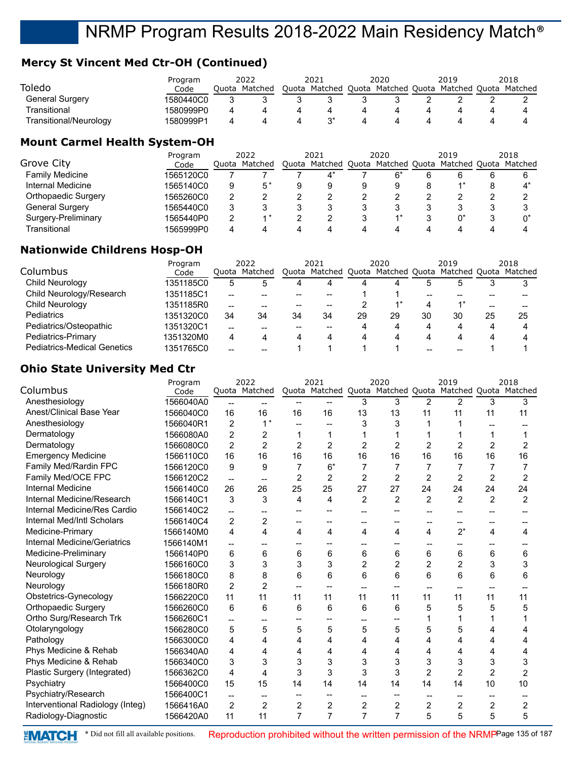# **Mercy St Vincent Med Ctr-OH (Continued)**

|                        | Program   |       | 2022    | 2021          |       | 2020          | 2019                  | 2018 |
|------------------------|-----------|-------|---------|---------------|-------|---------------|-----------------------|------|
| Toledo                 | Code      | Ouota | Matched | Quota Matched | Quota | Matched Quota | Matched Quota Matched |      |
| General Surgery        | 1580440C0 |       |         |               |       |               |                       |      |
| Transitional           | 1580999P0 |       |         |               |       |               |                       |      |
| Transitional/Neurology | 1580999P1 |       |         |               |       |               |                       |      |

### **Mount Carmel Health System-OH**

|                            | Program   | 2022  |         |   | 2021  |   | 2020  | 2019                                            |   | 2018    |
|----------------------------|-----------|-------|---------|---|-------|---|-------|-------------------------------------------------|---|---------|
| Grove City                 | Code      | Ouota | Matched |   |       |   |       | Quota Matched Quota Matched Quota Matched Quota |   | Matched |
| <b>Family Medicine</b>     | 1565120C0 |       |         |   | $4^*$ |   | $6^*$ | h                                               | 6 |         |
| Internal Medicine          | 1565140C0 | 9     | $5*$    | 9 |       | 9 | 9     |                                                 | 8 | Δ*      |
| <b>Orthopaedic Surgery</b> | 1565260C0 | 2     |         |   |       |   |       |                                                 |   |         |
| <b>General Surgery</b>     | 1565440C0 | 3     |         |   |       |   |       |                                                 |   |         |
| Surgery-Preliminary        | 1565440P0 | າ     | * *     |   |       |   |       |                                                 |   |         |
| Transitional               | 1565999P0 | 4     |         |   |       | Δ | 4     |                                                 |   |         |

# **Nationwide Childrens Hosp-OH**

|                                    | Program   | 2022 |               | 2021 |                                                         | 2020 |    |    | 2019 |    | 2018 |
|------------------------------------|-----------|------|---------------|------|---------------------------------------------------------|------|----|----|------|----|------|
| Columbus                           | Code      |      | Quota Matched |      | Quota Matched Quota Matched Quota Matched Quota Matched |      |    |    |      |    |      |
| Child Neurology                    | 1351185C0 | 5    |               | 4    | 4                                                       | 4    | 4  |    | 5    |    |      |
| Child Neurology/Research           | 1351185C1 | --   |               |      |                                                         |      |    | -- | --   |    |      |
| Child Neurology                    | 1351185R0 | $-$  | --            | --   | --                                                      |      |    |    |      |    |      |
| Pediatrics                         | 1351320C0 | 34   | 34            | 34   | 34                                                      | 29   | 29 | 30 | 30   | 25 | 25   |
| Pediatrics/Osteopathic             | 1351320C1 | --   |               |      |                                                         |      | 4  |    | 4    | 4  |      |
| Pediatrics-Primary                 | 1351320M0 | 4    |               | 4    | 4                                                       | 4    | 4  |    | 4    | 4  |      |
| <b>Pediatrics-Medical Genetics</b> | 1351765C0 | --   |               |      |                                                         |      |    |    |      |    |      |

## **Ohio State University Med Ctr**

|                                  | Program   |                          | 2022              |                | 2021           |                         | 2020           |                | 2019                                      |                | 2018           |
|----------------------------------|-----------|--------------------------|-------------------|----------------|----------------|-------------------------|----------------|----------------|-------------------------------------------|----------------|----------------|
| Columbus                         | Code      |                          | Quota Matched     |                | Quota Matched  |                         |                |                | Quota Matched Quota Matched Quota Matched |                |                |
| Anesthesiology                   | 1566040A0 |                          | --                |                |                | 3                       | 3              | $\overline{2}$ | $\overline{2}$                            | 3              | 3              |
| Anest/Clinical Base Year         | 1566040C0 | 16                       | 16                | 16             | 16             | 13                      | 13             | 11             | 11                                        | 11             | 11             |
| Anesthesiology                   | 1566040R1 | $\overline{c}$           | $1^*$             |                |                | 3                       | 3              |                |                                           |                |                |
| Dermatology                      | 1566080A0 | 2                        | $\overline{2}$    | 1              | 1              |                         |                |                |                                           | 1              |                |
| Dermatology                      | 1566080C0 | $\overline{2}$           | $\overline{2}$    | 2              | 2              | 2                       | 2              | 2              | 2                                         | 2              | 2              |
| <b>Emergency Medicine</b>        | 1566110C0 | 16                       | 16                | 16             | 16             | 16                      | 16             | 16             | 16                                        | 16             | 16             |
| Family Med/Rardin FPC            | 1566120C0 | 9                        | 9                 | 7              | $6*$           | 7                       | 7              |                |                                           | 7              |                |
| Family Med/OCE FPC               | 1566120C2 | $\overline{\phantom{a}}$ | --                | $\overline{2}$ | $\overline{2}$ | $\overline{2}$          | $\overline{2}$ | $\overline{2}$ | $\overline{2}$                            | $\overline{2}$ | $\overline{2}$ |
| <b>Internal Medicine</b>         | 1566140C0 | 26                       | 26                | 25             | 25             | 27                      | 27             | 24             | 24                                        | 24             | 24             |
| Internal Medicine/Research       | 1566140C1 | 3                        | 3                 | 4              | 4              | $\overline{2}$          | $\overline{2}$ | $\overline{2}$ | $\overline{2}$                            | $\overline{2}$ | $\overline{c}$ |
| Internal Medicine/Res Cardio     | 1566140C2 | $\overline{\phantom{a}}$ | --                |                |                |                         |                |                |                                           |                |                |
| Internal Med/Intl Scholars       | 1566140C4 | $\overline{c}$           | $\overline{2}$    |                |                | --                      |                |                |                                           |                |                |
| Medicine-Primary                 | 1566140M0 | 4                        | 4                 | 4              | 4              | 4                       | 4              | 4              | $2^*$                                     | 4              | 4              |
| Internal Medicine/Geriatrics     | 1566140M1 | $-$                      |                   |                |                |                         |                |                |                                           |                |                |
| Medicine-Preliminary             | 1566140P0 | 6                        | 6                 | 6              | 6              | 6                       | 6              | 6              | 6                                         | 6              | 6              |
| <b>Neurological Surgery</b>      | 1566160C0 | 3                        | 3                 | 3              | 3              | 2                       | $\overline{c}$ | $\overline{c}$ | $\overline{c}$                            | 3              | 3              |
| Neurology                        | 1566180C0 | 8                        | 8                 | 6              | 6              | 6                       | 6              | 6              | 6                                         | 6              | 6              |
| Neurology                        | 1566180R0 | $\overline{2}$           | $\overline{2}$    | $-$            | --             |                         |                |                |                                           |                |                |
| Obstetrics-Gynecology            | 1566220C0 | 11                       | 11                | 11             | 11             | 11                      | 11             | 11             | 11                                        | 11             | 11             |
| <b>Orthopaedic Surgery</b>       | 1566260C0 | 6                        | 6                 | 6              | 6              | 6                       | 6              | 5              | 5                                         | 5              | 5              |
| Ortho Surg/Research Trk          | 1566260C1 | $\overline{\phantom{a}}$ | $\qquad \qquad -$ |                | --             | --                      |                |                |                                           | 1              |                |
| Otolaryngology                   | 1566280C0 | 5                        | 5                 | 5              | 5              | 5                       | 5              | 5              | 5                                         | 4              | 4              |
| Pathology                        | 1566300C0 | 4                        | 4                 | 4              | 4              | 4                       | 4              | 4              | 4                                         | 4              |                |
| Phys Medicine & Rehab            | 1566340A0 | 4                        | 4                 | 4              | 4              | 4                       | 4              | 4              | 4                                         | 4              | 4              |
| Phys Medicine & Rehab            | 1566340C0 | 3                        | 3                 | 3              | 3              | 3                       | 3              | 3              | 3                                         | 3              | 3              |
| Plastic Surgery (Integrated)     | 1566362C0 | 4                        | 4                 | 3              | 3              | 3                       | 3              | $\overline{2}$ | $\overline{2}$                            | $\overline{c}$ | $\overline{2}$ |
| Psychiatry                       | 1566400C0 | 15                       | 15                | 14             | 14             | 14                      | 14             | 14             | 14                                        | 10             | 10             |
| Psychiatry/Research              | 1566400C1 | $\overline{\phantom{a}}$ | --                | $-$            | $\overline{a}$ | --                      |                |                |                                           |                |                |
| Interventional Radiology (Integ) | 1566416A0 | $\overline{c}$           | $\overline{2}$    | $\overline{c}$ | 2              | $\overline{\mathbf{c}}$ | $\overline{c}$ | $\overline{c}$ | $\overline{2}$                            | $\overline{c}$ | $\overline{c}$ |
| Radiology-Diagnostic             | 1566420A0 | 11                       | 11                | $\overline{7}$ | $\overline{7}$ | $\overline{7}$          | 7              | 5              | 5                                         | 5              | 5              |

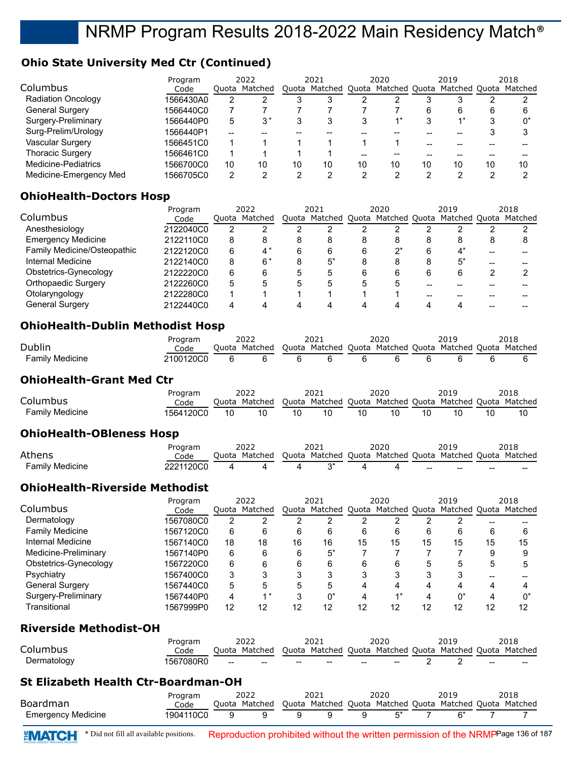# **Ohio State University Med Ctr (Continued)**

|                           | Program   |       | 2022          |    | 2021                              |    | 2020 |    | 2019          |    | 2018    |
|---------------------------|-----------|-------|---------------|----|-----------------------------------|----|------|----|---------------|----|---------|
| Columbus                  | Code      |       | Ouota Matched |    | Quota Matched Quota Matched Quota |    |      |    | Matched Quota |    | Matched |
| <b>Radiation Oncology</b> | 1566430A0 | 2     |               |    |                                   |    |      |    |               |    |         |
| <b>General Surgery</b>    | 1566440C0 |       |               |    |                                   |    |      |    | 6             | 6  |         |
| Surgery-Preliminary       | 1566440P0 | 5     | $3^*$         | 3  |                                   |    |      |    | $4*$          | 3  |         |
| Surg-Prelim/Urology       | 1566440P1 | $- -$ |               |    |                                   |    |      |    |               |    |         |
| Vascular Surgery          | 1566451C0 |       |               |    |                                   |    |      |    |               |    |         |
| <b>Thoracic Surgery</b>   | 1566461C0 |       |               |    |                                   |    |      |    |               |    |         |
| Medicine-Pediatrics       | 1566700C0 | 10    | 10            | 10 | 10                                | 10 | 10   | 10 | 10            | 10 | 10      |
| Medicine-Emergency Med    | 1566705C0 | 2     |               | ົ  |                                   | ∩  | ◠    |    |               | ົ  |         |

## **OhioHealth-Doctors Hosp**

|                             | Program   |   | 2022          |   | 2021                                                    |   | 2020  |   | 2019  |   | 2018 |
|-----------------------------|-----------|---|---------------|---|---------------------------------------------------------|---|-------|---|-------|---|------|
| Columbus                    | Code      |   | Quota Matched |   | Quota Matched Quota Matched Quota Matched Quota Matched |   |       |   |       |   |      |
| Anesthesiology              | 2122040C0 | 2 |               |   |                                                         |   |       |   |       |   |      |
| <b>Emergency Medicine</b>   | 2122110C0 | 8 |               |   |                                                         | 8 | 8     |   |       | 8 |      |
| Family Medicine/Osteopathic | 2122120C0 | 6 | 4*            | 6 | 6                                                       | 6 | $2^*$ |   | $4^*$ |   |      |
| Internal Medicine           | 2122140C0 | 8 | 6*            | 8 | 5*                                                      | 8 | 8     |   | $5^*$ |   |      |
| Obstetrics-Gynecology       | 2122220C0 | 6 |               | 5 | ۰.                                                      | 6 | 6     | 6 | 6     |   |      |
| Orthopaedic Surgery         | 2122260C0 | 5 |               |   |                                                         | 5 | 5     |   |       |   |      |
| Otolaryngology              | 2122280C0 |   |               |   |                                                         |   |       |   |       |   |      |
| <b>General Surgery</b>      | 2122440C0 | 4 |               |   |                                                         |   |       |   |       |   |      |

## **OhioHealth-Dublin Methodist Hosp**

|                 |           |       | ררחר    |       | 2021    |         | 2020    |       | 2019    |       | 2018    |
|-----------------|-----------|-------|---------|-------|---------|---------|---------|-------|---------|-------|---------|
| Dublin          | Code      | Juota | Matched | Juota | Matched | . Ouota | Matched | Ouota | Matched | Ouota | Matched |
| Family Medicine | 2100120C0 |       |         |       |         |         |         |       |         |       |         |

### **OhioHealth-Grant Med Ctr**

|                 | Program   |       | 2022    |  |    | 2020 | 2019                                                    | 2018 |
|-----------------|-----------|-------|---------|--|----|------|---------------------------------------------------------|------|
| Columbus        | Code      | Ouota | Matched |  |    |      | Ouota Matched Ouota Matched Ouota Matched Ouota Matched |      |
| Family Medicine | 1564120C0 |       |         |  | 10 | 10   |                                                         |      |

### **OhioHealth-OBleness Hosp**

|                 | Program   | 2022                                                                  | 2021 | 2020 | 2019 |        | 2018  |
|-----------------|-----------|-----------------------------------------------------------------------|------|------|------|--------|-------|
| Athens          | Code      | Quota Matched Quota Matched Quota Matched Quota Matched Quota Matched |      |      |      |        |       |
| Family Medicine | 2221120C0 |                                                                       |      |      |      | $\sim$ | $- -$ |

### **OhioHealth-Riverside Methodist**

|                        | Program   |    | 2022          |    | 2021                                            |    | 2020 |    | 2019 |    | 2018    |
|------------------------|-----------|----|---------------|----|-------------------------------------------------|----|------|----|------|----|---------|
| Columbus               | Code      |    | Ouota Matched |    | Quota Matched Quota Matched Quota Matched Quota |    |      |    |      |    | Matched |
| Dermatology            | 1567080C0 | 2  |               |    |                                                 |    |      |    |      |    |         |
| <b>Family Medicine</b> | 1567120C0 | 6  |               | 6  | 6                                               | 6  | 6    |    | 6    | 6  |         |
| Internal Medicine      | 1567140C0 | 18 | 18            | 16 | 16                                              | 15 | 15   | 15 | 15   | 15 | 15      |
| Medicine-Preliminary   | 1567140P0 | 6  |               | 6  | $5^*$                                           |    |      |    |      | 9  |         |
| Obstetrics-Gynecology  | 1567220C0 | 6  |               | 6  | 6                                               | 6  | 6    |    | 5    |    |         |
| Psychiatry             | 1567400C0 | 3  |               |    |                                                 |    | ິ    |    |      |    |         |
| <b>General Surgery</b> | 1567440C0 | 5  |               | 5  |                                                 | Δ  | 4    |    |      | Λ  |         |
| Surgery-Preliminary    | 1567440P0 | 4  | $\lambda$ *   | 3  | n*                                              | Δ  | 4*   |    | 0*   | Δ  | n*      |
| Transitional           | 1567999P0 | 12 | 12            | 12 | 12                                              | 12 | 12   | 12 | 12   | 12 | 12      |

### **Riverside Methodist-OH**

|             | Program   |                          | 2022          |                          | 2021   |     | 2020   | 2019 |     | 2018                                                    |
|-------------|-----------|--------------------------|---------------|--------------------------|--------|-----|--------|------|-----|---------------------------------------------------------|
| Columbus    | Code      |                          | Ouota Matched |                          |        |     |        |      |     | Quota Matched Quota Matched Quota Matched Quota Matched |
| Dermatology | 1567080R0 | $\overline{\phantom{a}}$ | $\sim$        | $\overline{\phantom{a}}$ | $\sim$ | $-$ | $\sim$ |      | $-$ | $-$                                                     |

### **St Elizabeth Health Ctr-Boardman-OH**

|                    | Program   | 2022                                                                  | 2021 | 2020 | 2019 | 2018 |
|--------------------|-----------|-----------------------------------------------------------------------|------|------|------|------|
| Boardman           | Code      | Quota Matched Quota Matched Quota Matched Quota Matched Quota Matched |      |      |      |      |
| Emergency Medicine | 1904110C0 |                                                                       |      |      |      |      |

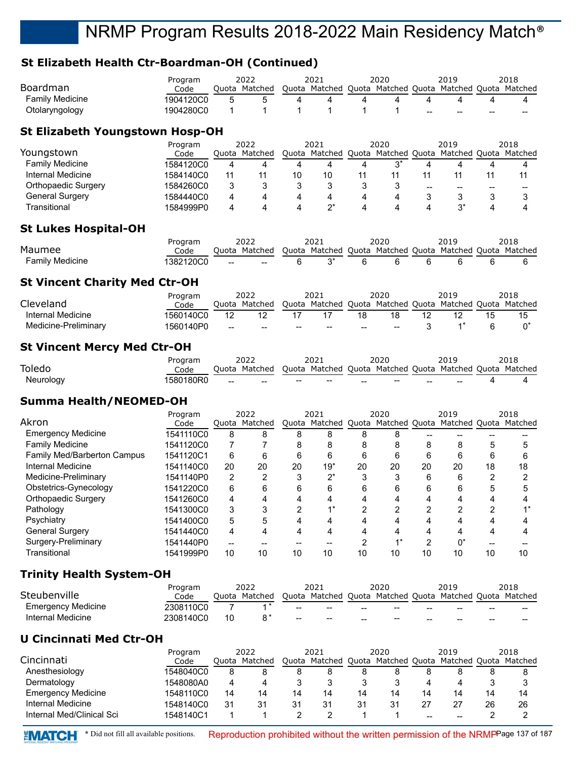# **St Elizabeth Health Ctr-Boardman-OH (Continued)**

| Boardman                                       | Program<br>Code   |       | 2022<br>Quota Matched |                          | 2021  |                | 2020<br>Quota Matched Quota Matched Quota Matched Quota Matched |                | 2019                          |    | 2018  |
|------------------------------------------------|-------------------|-------|-----------------------|--------------------------|-------|----------------|-----------------------------------------------------------------|----------------|-------------------------------|----|-------|
| <b>Family Medicine</b>                         | 1904120C0         | 5     | 5                     | 4                        | 4     | 4              | 4                                                               | 4              | 4                             | 4  | 4     |
| Otolaryngology                                 | 1904280C0         | 1     | 1                     | 1                        | 1     | 1              | 1                                                               |                |                               |    |       |
| <b>St Elizabeth Youngstown Hosp-OH</b>         |                   |       |                       |                          |       |                |                                                                 |                |                               |    |       |
| Youngstown                                     | Program<br>Code   | Quota | 2022<br>Matched       |                          | 2021  |                | 2020<br>Quota Matched Quota Matched Quota                       |                | 2019<br>Matched Quota Matched |    | 2018  |
| <b>Family Medicine</b>                         | 1584120C0         | 4     | 4                     | 4                        | 4     | 4              | $3^*$                                                           | 4              | 4                             | 4  | 4     |
| Internal Medicine                              | 1584140C0         | 11    | 11                    | 10                       | 10    | 11             | 11                                                              | 11             | 11                            | 11 | 11    |
| Orthopaedic Surgery                            | 1584260C0         | 3     | 3                     | 3                        | 3     | 3              | 3                                                               | --             | $\overline{\phantom{a}}$      | -- | --    |
| <b>General Surgery</b>                         | 1584440C0         | 4     | 4                     | 4                        | 4     | 4              | 4                                                               | 3              | 3                             | 3  | 3     |
| Transitional                                   | 1584999P0         | 4     | 4                     | 4                        | $2^*$ | 4              | 4                                                               | 4              | $3^*$                         | 4  | 4     |
| <b>St Lukes Hospital-OH</b>                    |                   |       |                       |                          |       |                |                                                                 |                |                               |    |       |
| Maumee                                         | Program           |       | 2022<br>Quota Matched |                          | 2021  |                | 2020<br>Quota Matched Quota Matched Quota Matched Quota Matched |                | 2019                          |    | 2018  |
| <b>Family Medicine</b>                         | Code<br>1382120C0 |       |                       | 6                        | $3^*$ | 6              | 6                                                               | 6              | 6                             | 6  | 6     |
| <b>St Vincent Charity Med Ctr-OH</b>           |                   |       |                       |                          |       |                |                                                                 |                |                               |    |       |
|                                                | Program           |       | 2022                  |                          | 2021  |                | 2020                                                            |                | 2019                          |    | 2018  |
| Cleveland                                      | Code              |       | Quota Matched         |                          |       |                | Quota Matched Quota Matched Quota Matched Quota Matched         |                |                               |    |       |
| Internal Medicine                              | 1560140C0         | 12    | 12                    | 17                       | 17    | 18             | 18                                                              | 12             | 12                            | 15 | 15    |
| Medicine-Preliminary                           | 1560140P0         | $-$   | --                    | $\overline{\phantom{a}}$ | $-$   |                | $\overline{\phantom{a}}$                                        | 3              | $1^*$                         | 6  | $0^*$ |
| <b>St Vincent Mercy Med Ctr-OH</b>             |                   |       |                       |                          |       |                |                                                                 |                |                               |    |       |
|                                                | Program           |       | 2022                  |                          | 2021  |                | 2020                                                            |                | 2019                          |    | 2018  |
| Toledo                                         | Code              |       | Quota Matched         |                          |       |                | Quota Matched Quota Matched Quota Matched Quota Matched         |                |                               |    |       |
| Neurology                                      | 1580180R0         |       |                       |                          |       |                |                                                                 |                |                               | 4  | 4     |
| <b>Summa Health/NEOMED-OH</b>                  |                   |       |                       |                          |       |                |                                                                 |                |                               |    |       |
| Akron                                          | Program<br>Code   |       | 2022<br>Quota Matched |                          | 2021  |                | 2020<br>Quota Matched Quota Matched Quota                       |                | 2019<br>Matched Quota Matched |    | 2018  |
| <b>Emergency Medicine</b>                      | 1541110C0         | 8     | 8                     | 8                        | 8     | 8              | 8                                                               |                | --                            |    |       |
| <b>Family Medicine</b>                         | 1541120C0         | 7     | 7                     | 8                        | 8     | 8              | 8                                                               | 8              | 8                             | 5  | 5     |
| <b>Family Med/Barberton Campus</b>             | 1541120C1         | 6     | 6                     | 6                        | 6     | 6              | 6                                                               | 6              | 6                             | 6  | 6     |
| <b>Internal Medicine</b>                       | 1541140C0         | 20    | 20                    | 20                       | $19*$ | 20             | 20                                                              | 20             | 20                            | 18 | 18    |
| Medicine-Preliminary                           | 1541140P0         | 2     | 2                     | 3                        | $2^*$ | 3              | 3                                                               | 6              | 6                             | 2  | 2     |
| Obstetrics-Gynecology                          | 1541220C0         | 6     | 6                     | 6                        | 6     | 6              | 6                                                               | 6              | 6                             | 5  | 5     |
| Orthopaedic Surgery                            | 1541260C0         | 4     | 4                     | 4                        | 4     | 4              | 4                                                               | 4              | 4                             | 4  | 4     |
| Pathology                                      | 1541300C0         | 3     | 3                     | 2                        | $1^*$ | 2              | 2                                                               | 2              | 2                             | 2  | $1^*$ |
| Psychiatry                                     | 1541400C0         | 5     | 5                     | 4                        | 4     | 4              | 4                                                               | 4              | 4                             | 4  | 4     |
| <b>General Surgery</b>                         | 1541440C0         | 4     | 4                     | 4                        | 4     | 4              | 4                                                               | 4              | 4                             | 4  | 4     |
| Surgery-Preliminary                            | 1541440P0         |       |                       |                          |       | $\overline{2}$ | $1^*$                                                           | $\overline{2}$ | $0^*$                         |    |       |
| Transitional                                   | 1541999P0         | 10    | 10                    | 10                       | 10    | 10             | 10                                                              | 10             | 10                            | 10 | 10    |
| <b>Trinity Health System-OH</b>                |                   |       |                       |                          |       |                |                                                                 |                |                               |    |       |
|                                                | Program           |       | 2022                  |                          | 2021  |                | 2020                                                            |                | 2019                          |    | 2018  |
| Steubenville                                   | Code              |       | Quota Matched         |                          |       |                | Quota Matched Quota Matched Quota Matched Quota Matched         |                |                               |    |       |
| <b>Emergency Medicine</b><br>Internal Medicine | 2308110C0         | 7     | $1^*$<br>$8*$         |                          |       |                |                                                                 |                |                               |    |       |
|                                                | 2308140C0         | 10    |                       |                          |       |                |                                                                 |                |                               |    |       |

### **U Cincinnati Med Ctr-OH**

|                           | Program   | 2022  |         | 2021  |                             | 2020 |    | 2019 |               |    | 2018    |
|---------------------------|-----------|-------|---------|-------|-----------------------------|------|----|------|---------------|----|---------|
| Cincinnati                | Code      | Ouota | Matched | Ouota | Matched Quota Matched Quota |      |    |      | Matched Quota |    | Matched |
| Anesthesiology            | 1548040C0 |       |         |       |                             |      |    |      |               |    |         |
| Dermatology               | 1548080A0 |       |         |       |                             |      |    |      |               |    |         |
| <b>Emergency Medicine</b> | 1548110C0 | 14    | 14      | 14    | 14                          | 14   | 14 | 14   |               | 14 | 14      |
| Internal Medicine         | 1548140C0 | 31    | 31      | 31    | 31                          | 31   | 31 | 27   |               | 26 | 26      |
| Internal Med/Clinical Sci | 1548140C1 |       |         |       |                             |      |    | --   |               |    |         |

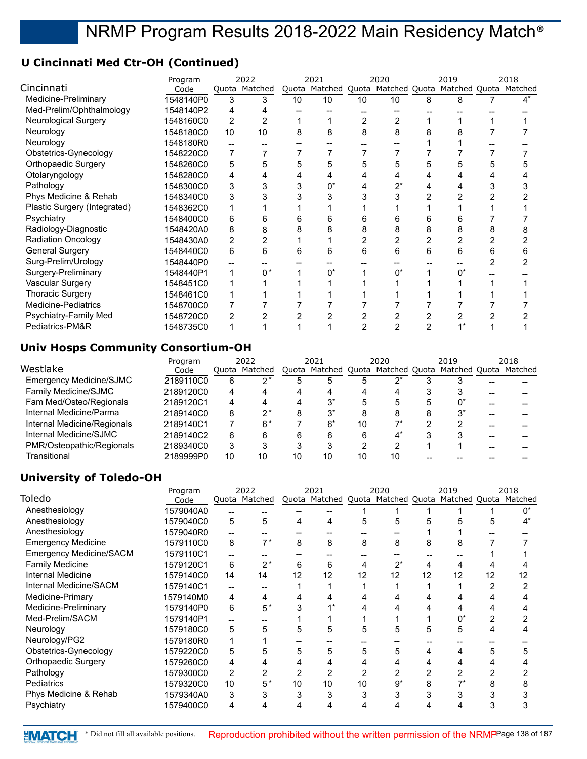# **U Cincinnati Med Ctr-OH (Continued)**

|                              | Program   |    | 2022          |    | 2021                                                    |    | 2020 |   | 2019 |   | 2018 |
|------------------------------|-----------|----|---------------|----|---------------------------------------------------------|----|------|---|------|---|------|
| Cincinnati                   | Code      |    | Quota Matched |    | Quota Matched Quota Matched Quota Matched Quota Matched |    |      |   |      |   |      |
| Medicine-Preliminary         | 1548140P0 | 3  | 3             | 10 | 10                                                      | 10 | 10   | 8 | 8    |   | 4*   |
| Med-Prelim/Ophthalmology     | 1548140P2 | 4  |               |    |                                                         |    |      |   |      |   |      |
| <b>Neurological Surgery</b>  | 1548160C0 | 2  | 2             |    |                                                         |    | 2    |   |      |   |      |
| Neurology                    | 1548180C0 | 10 | 10            | 8  | 8                                                       | 8  | 8    | 8 | 8    |   |      |
| Neurology                    | 1548180R0 | -- |               |    |                                                         |    |      |   |      |   |      |
| Obstetrics-Gynecology        | 1548220C0 | 7  |               |    |                                                         |    |      |   |      |   |      |
| <b>Orthopaedic Surgery</b>   | 1548260C0 | 5  | 5             |    | 5                                                       |    |      | 5 |      |   |      |
| Otolaryngology               | 1548280C0 | 4  |               |    |                                                         |    |      | 4 |      |   |      |
| Pathology                    | 1548300C0 | 3  |               |    | 0*                                                      |    |      |   |      |   |      |
| Phys Medicine & Rehab        | 1548340C0 | 3  |               |    |                                                         |    |      |   |      |   |      |
| Plastic Surgery (Integrated) | 1548362C0 |    |               |    |                                                         |    |      |   |      |   |      |
| Psychiatry                   | 1548400C0 | 6  | 6             |    | 6                                                       |    | 6    | 6 | 6    |   |      |
| Radiology-Diagnostic         | 1548420A0 | 8  | 8             |    | 8                                                       |    | 8    | 8 | 8    |   | 8    |
| <b>Radiation Oncology</b>    | 1548430A0 | 2  |               |    |                                                         |    | 2    |   |      |   |      |
| <b>General Surgery</b>       | 1548440C0 | 6  | 6             | 6  | 6                                                       | 6  | 6    | 6 | 6    | 6 | 6    |
| Surg-Prelim/Urology          | 1548440P0 |    |               |    |                                                         |    |      |   |      |   |      |
| Surgery-Preliminary          | 1548440P1 |    | $^{\circ}$    |    | n*                                                      |    |      |   | U,   |   |      |
| Vascular Surgery             | 1548451C0 |    |               |    |                                                         |    |      |   |      |   |      |
| <b>Thoracic Surgery</b>      | 1548461C0 |    |               |    |                                                         |    |      |   |      |   |      |
| <b>Medicine-Pediatrics</b>   | 1548700C0 |    |               |    |                                                         |    |      |   |      |   |      |
| Psychiatry-Family Med        | 1548720C0 | 2  |               |    |                                                         |    |      |   |      |   |      |
| Pediatrics-PM&R              | 1548735C0 |    |               |    |                                                         |    | 2    |   |      |   |      |

## **Univ Hosps Community Consortium-OH**

|                                | Program   | 2022  |         | 2021 |                                                         | 2020 |       | 2019 |       | 2018 |
|--------------------------------|-----------|-------|---------|------|---------------------------------------------------------|------|-------|------|-------|------|
| Westlake                       | Code      | Ouota | Matched |      | Quota Matched Quota Matched Quota Matched Quota Matched |      |       |      |       |      |
| <b>Emergency Medicine/SJMC</b> | 2189110C0 | 6     | ∩ *     |      |                                                         |      | n*    |      |       |      |
| Family Medicine/SJMC           | 2189120C0 | 4     |         |      | Δ                                                       | 4    | 4     |      |       |      |
| Fam Med/Osteo/Regionals        | 2189120C1 | 4     |         |      | $3^*$                                                   | 5    | 5     |      | 0*    |      |
| Internal Medicine/Parma        | 2189140C0 | 8     | 2*      | 8    | * 2                                                     | 8    | 8     |      | $3^*$ |      |
| Internal Medicine/Regionals    | 2189140C1 |       | 6*      |      | հ*                                                      | 10   |       |      |       |      |
| Internal Medicine/SJMC         | 2189140C2 | 6     | 6       | 6    | 6                                                       | 6    | $4^*$ |      | 3     |      |
| PMR/Osteopathic/Regionals      | 2189340C0 | 3     | 2       | 3    |                                                         |      |       |      |       |      |
| Transitional                   | 2189999P0 | 10    | 10      | 10   | 10                                                      | 10   | 10    |      |       |      |

## **University of Toledo-OH**

|                                | Program   |       | 2022          |    | 2021                                                    |    | 2020  |    | 2019 |    | 2018 |
|--------------------------------|-----------|-------|---------------|----|---------------------------------------------------------|----|-------|----|------|----|------|
| Toledo                         | Code      |       | Quota Matched |    | Quota Matched Quota Matched Quota Matched Quota Matched |    |       |    |      |    |      |
| Anesthesiology                 | 1579040A0 |       |               |    |                                                         |    |       |    |      |    |      |
| Anesthesiology                 | 1579040C0 | 5     | 5             | 4  | 4                                                       | 5  | 5     | 5  |      |    | 4*   |
| Anesthesiology                 | 1579040R0 | $- -$ |               |    |                                                         |    |       |    |      |    |      |
| <b>Emergency Medicine</b>      | 1579110C0 | 8     | $7*$          | 8  | 8                                                       | 8  | 8     | 8  | 8    |    |      |
| <b>Emergency Medicine/SACM</b> | 1579110C1 | --    |               |    |                                                         |    |       |    |      |    |      |
| <b>Family Medicine</b>         | 1579120C1 | 6     | $2^*$         | 6  | 6                                                       |    |       |    |      |    |      |
| Internal Medicine              | 1579140C0 | 14    | 14            | 12 | 12                                                      | 12 | 12    | 12 | 12   | 12 | 12   |
| Internal Medicine/SACM         | 1579140C1 | $- -$ |               |    |                                                         |    |       |    |      |    |      |
| Medicine-Primary               | 1579140M0 | 4     |               |    |                                                         |    |       |    |      |    |      |
| Medicine-Preliminary           | 1579140P0 | 6     | 5*            |    |                                                         |    |       | 4  |      |    |      |
| Med-Prelim/SACM                | 1579140P1 |       |               |    |                                                         |    |       |    |      |    |      |
| Neurology                      | 1579180C0 | 5     | 5             | 5  | 5                                                       | 5  | 5     | 5  | 5    |    |      |
| Neurology/PG2                  | 1579180R0 | 1     |               |    |                                                         |    |       |    |      |    |      |
| Obstetrics-Gynecology          | 1579220C0 | 5     | 5             | 5  | 5                                                       |    | 5     | 4  |      | h. |      |
| <b>Orthopaedic Surgery</b>     | 1579260C0 | 4     |               |    |                                                         |    |       | 4  |      |    |      |
| Pathology                      | 1579300C0 | 2     |               |    | 2                                                       |    |       | 2  |      |    |      |
| <b>Pediatrics</b>              | 1579320C0 | 10    | 5*            | 10 | 10                                                      | 10 | $9^*$ | 8  |      | 8  |      |
| Phys Medicine & Rehab          | 1579340A0 | 3     |               |    | 3                                                       |    | 3     | 3  |      |    |      |
| Psychiatry                     | 1579400C0 | 4     |               |    |                                                         |    |       |    |      |    |      |
|                                |           |       |               |    |                                                         |    |       |    |      |    |      |

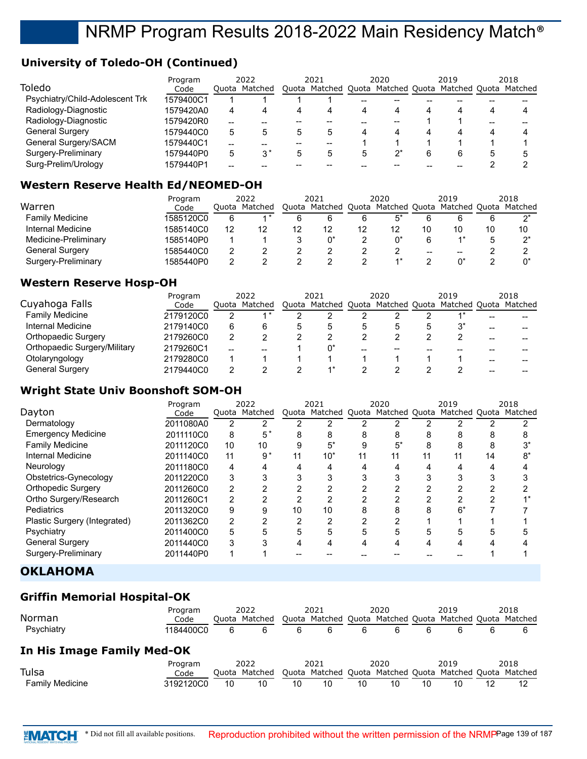# **University of Toledo-OH (Continued)**

|                                 | Program   | 2022 |               | 2021  |                             | 2020 |    | 2019 |                       |             | 2018 |
|---------------------------------|-----------|------|---------------|-------|-----------------------------|------|----|------|-----------------------|-------------|------|
| Toledo                          | Code      |      | Ouota Matched | Ouota | Matched Quota Matched Quota |      |    |      | Matched Quota Matched |             |      |
| Psychiatry/Child-Adolescent Trk | 1579400C1 |      |               |       |                             |      | -- |      |                       |             |      |
| Radiology-Diagnostic            | 1579420A0 | 4    |               | 4     | 4                           | 4    | 4  |      |                       | 4           |      |
| Radiology-Diagnostic            | 1579420R0 | --   |               |       |                             |      | -- |      |                       |             |      |
| General Surgery                 | 1579440C0 | 5    |               | 5     | .5                          | 4    | 4  |      | 4                     | 4           |      |
| General Surgery/SACM            | 1579440C1 | --   |               |       |                             |      |    |      |                       |             |      |
| Surgery-Preliminary             | 1579440P0 | 5    | $3^*$         |       |                             | 5    | っ  |      | 6                     | $\mathbf b$ |      |
| Surg-Prelim/Urology             | 1579440P1 |      |               |       |                             |      |    |      |                       |             |      |

# **Western Reserve Health Ed/NEOMED-OH**

|                        | Program   | 2022  |         | 2021 |                                   | 2020 |    |    | 2019                  |    | 2018 |
|------------------------|-----------|-------|---------|------|-----------------------------------|------|----|----|-----------------------|----|------|
| Warren                 | Code      | Ouota | Matched |      | Quota Matched Quota Matched Quota |      |    |    | Matched Quota Matched |    |      |
| <b>Family Medicine</b> | 1585120C0 | 6     |         |      |                                   | 6    |    |    |                       | b  | n*   |
| Internal Medicine      | 1585140C0 | 12    |         | 12   | 12                                | 12   | 12 |    | 10                    | 10 | 10   |
| Medicine-Preliminary   | 1585140P0 |       |         |      |                                   |      |    |    |                       |    |      |
| General Surgery        | 1585440C0 |       |         |      |                                   |      |    | -- | --                    |    |      |
| Surgery-Preliminary    | 1585440P0 |       |         |      |                                   |      |    |    |                       |    |      |

## **Western Reserve Hosp-OH**

|                              | Program   | 2022 |               | 2021 |    | 2020 | 2019                                                    |    | 2018 |
|------------------------------|-----------|------|---------------|------|----|------|---------------------------------------------------------|----|------|
| Cuyahoga Falls               | Code      |      | Ouota Matched |      |    |      | Quota Matched Quota Matched Quota Matched Quota Matched |    |      |
| <b>Family Medicine</b>       | 2179120C0 | 2    |               |      |    |      |                                                         | -- |      |
| Internal Medicine            | 2179140C0 | 6    |               |      |    |      |                                                         | -- |      |
| Orthopaedic Surgery          | 2179260C0 |      |               |      |    |      |                                                         | -- |      |
| Orthopaedic Surgery/Military | 2179260C1 | --   | --            |      | -- | --   |                                                         |    |      |
| Otolaryngology               | 2179280C0 |      |               |      |    |      |                                                         | -- |      |
| <b>General Surgery</b>       | 2179440C0 |      |               |      |    |      |                                                         | -- |      |

## **Wright State Univ Boonshoft SOM-OH**

|                              | Program   | 2022 |               | 2021 |                                                         |    | 2020 |    | 2019 |    | 2018 |
|------------------------------|-----------|------|---------------|------|---------------------------------------------------------|----|------|----|------|----|------|
| Dayton                       | Code      |      | Quota Matched |      | Quota Matched Quota Matched Quota Matched Quota Matched |    |      |    |      |    |      |
| Dermatology                  | 2011080A0 | 2    |               |      |                                                         |    |      |    |      |    |      |
| <b>Emergency Medicine</b>    | 2011110C0 | 8    | $5*$          |      | 8                                                       | 8  | 8    | 8  | ŏ    |    |      |
| <b>Family Medicine</b>       | 2011120C0 | 10   | 10            |      | $5^*$                                                   | 9  | 5*   | 8  | 8    | ሾ  |      |
| Internal Medicine            | 2011140C0 | 11   | 9*            | 11   | $10*$                                                   | 11 | 11   | 11 | 11   | 14 | ጸ*   |
| Neurology                    | 2011180C0 | 4    | 4             |      | 4                                                       |    | 4    |    | 4    |    |      |
| Obstetrics-Gynecology        | 2011220C0 | 3    |               |      | ◠                                                       |    |      |    |      |    |      |
| <b>Orthopedic Surgery</b>    | 2011260C0 | 2    |               |      |                                                         |    |      |    |      |    |      |
| Ortho Surgery/Research       | 2011260C1 | 2    |               |      | っ                                                       |    | ◠    | ◠  | ⌒    |    |      |
| <b>Pediatrics</b>            | 2011320C0 | 9    | 9             | 10   | 10                                                      | 8  | 8    | я  | 6*   |    |      |
| Plastic Surgery (Integrated) | 2011362C0 | 2    |               |      | ◠                                                       |    |      |    |      |    |      |
| Psychiatry                   | 2011400C0 | 5    |               |      | 5                                                       |    | 5    | h  |      |    |      |
| <b>General Surgery</b>       | 2011440C0 | 3    |               |      |                                                         |    | 4    |    |      |    |      |
| Surgery-Preliminary          | 2011440P0 |      |               |      |                                                         |    |      |    |      |    |      |

# **OKLAHOMA**

# **Griffin Memorial Hospital-OK**

|                            | Program   |      | 2022          |    | 2021         |    | 2020 |    | 2019                                                    |      | 2018 |
|----------------------------|-----------|------|---------------|----|--------------|----|------|----|---------------------------------------------------------|------|------|
| Norman                     | Code      |      | Ouota Matched |    |              |    |      |    | Quota Matched Quota Matched Quota Matched Quota Matched |      |      |
| Psychiatry                 | 1184400C0 | 6    |               | 6  | 6            |    | 6    |    |                                                         |      |      |
| In His Image Family Med-OK |           |      |               |    |              |    |      |    |                                                         |      |      |
|                            | Program   | 2022 |               |    | 2021<br>2020 |    |      |    | 2019                                                    | 2018 |      |
| Tulsa                      | Code      |      | Ouota Matched |    |              |    |      |    | Quota Matched Quota Matched Quota Matched Quota Matched |      |      |
| <b>Family Medicine</b>     | 3192120C0 | 10   | 10            | 10 | 10           | 10 | 10   | 10 | 10                                                      | 12   | 12   |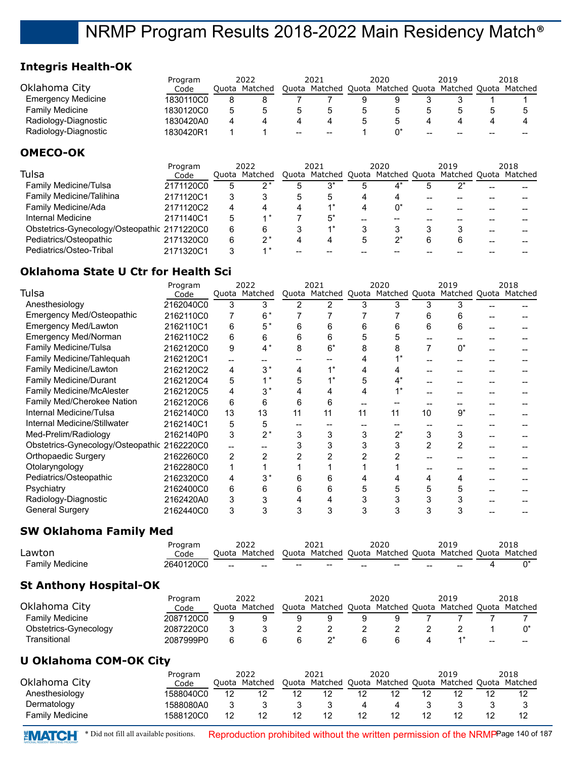## **Integris Health-OK**

|                              | Program          | 2022   |               | 2021 |                                   | 2020 |       | 2019 |                                                         |   | 2018                  |
|------------------------------|------------------|--------|---------------|------|-----------------------------------|------|-------|------|---------------------------------------------------------|---|-----------------------|
| Oklahoma City                | Code             |        | Quota Matched |      |                                   |      |       |      | Quota Matched Quota Matched Quota Matched Quota Matched |   |                       |
| <b>Emergency Medicine</b>    | 1830110C0        | 8      |               |      |                                   | 9    | 9     |      |                                                         |   |                       |
| <b>Family Medicine</b>       | 1830120C0        | 5      | 5             | 5    | 5                                 | 5    | 5     | 5    | 5                                                       | 5 | 5                     |
| Radiology-Diagnostic         | 1830420A0        | 4      |               | 4    | 4                                 | 5    | 5     | 4    | 4                                                       | 4 | 4                     |
| Radiology-Diagnostic         | 1830420R1        |        |               | --   |                                   |      | 0*    |      |                                                         |   |                       |
| <b>OMECO-OK</b>              |                  |        |               |      |                                   |      |       |      |                                                         |   |                       |
|                              | Program          |        | 2022          |      | 2021                              |      | 2020  |      | 2019                                                    |   | 2018                  |
| Tulsa                        | Code             |        | Quota Matched |      | Quota Matched Quota Matched Quota |      |       |      |                                                         |   | Matched Quota Matched |
| <b>Family Medicine/Tulsa</b> | 2171120C0        | 5      | י פ           | 5    |                                   | 5    | $4^*$ |      | 2*                                                      |   |                       |
|                              | . . <del>.</del> | $\sim$ | $\sim$        |      |                                   |      |       |      |                                                         |   |                       |

| alliily iviculuilic/ Tuisa                  | Z I LIZUUU | υ | IJ |     | -30 | 4                                                 |       |    | -- |    |
|---------------------------------------------|------------|---|----|-----|-----|---------------------------------------------------|-------|----|----|----|
| <b>Family Medicine/Talihina</b>             | 2171120C1  |   |    |     |     |                                                   | $- -$ | -- | -- |    |
| Family Medicine/Ada                         | 2171120C2  | 4 |    |     |     |                                                   | --    | -- | -- | -- |
| Internal Medicine                           | 2171140C1  |   |    |     | --  | $\hspace{0.05cm}-\hspace{0.05cm}-\hspace{0.05cm}$ | --    |    | -- |    |
| Obstetrics-Gynecology/Osteopathic 2171220C0 |            |   |    |     |     |                                                   |       |    | -- |    |
| Pediatrics/Osteopathic                      | 2171320C0  |   |    |     |     |                                                   |       |    | -- | -- |
| Pediatrics/Osteo-Tribal                     | 2171320C1  |   | -- | $-$ |     | $\hspace{0.05cm}-\hspace{0.05cm}-\hspace{0.05cm}$ | --    |    |    |    |

## **Oklahoma State U Ctr for Health Sci**

|                                   | Program   |    | 2022          |    | 2021                                                    |    | 2020  |    | 2019 | 2018 |
|-----------------------------------|-----------|----|---------------|----|---------------------------------------------------------|----|-------|----|------|------|
| Tulsa                             | Code      |    | Quota Matched |    | Quota Matched Quota Matched Quota Matched Quota Matched |    |       |    |      |      |
| Anesthesiology                    | 2162040C0 | 3  | 3             | 2  | 2                                                       | 3  | 3     | 3  |      |      |
| <b>Emergency Med/Osteopathic</b>  | 2162110C0 |    | 6*            |    |                                                         |    |       | 6  | 6    |      |
| <b>Emergency Med/Lawton</b>       | 2162110C1 | 6  | $5*$          |    | 6                                                       |    | 6     | հ  | 6    |      |
| Emergency Med/Norman              | 2162110C2 | 6  | 6             | 6  | 6                                                       |    | 5     |    |      |      |
| <b>Family Medicine/Tulsa</b>      | 2162120C0 | 9  | $4^*$         | 8  | $6*$                                                    |    | 8     |    | 0*   |      |
| Family Medicine/Tahlequah         | 2162120C1 | -- |               |    |                                                         |    |       |    |      |      |
| Family Medicine/Lawton            | 2162120C2 | 4  | $3*$          | 4  |                                                         |    |       |    |      |      |
| <b>Family Medicine/Durant</b>     | 2162120C4 | 5  |               |    |                                                         |    |       |    |      |      |
| <b>Family Medicine/McAlester</b>  | 2162120C5 | 4  |               |    |                                                         |    |       |    |      |      |
| Family Med/Cherokee Nation        | 2162120C6 | 6  | 6             | 6  | 6                                                       |    |       |    |      |      |
| Internal Medicine/Tulsa           | 2162140C0 | 13 | 13            | 11 | 11                                                      | 11 | 11    | 10 | 9*   |      |
| Internal Medicine/Stillwater      | 2162140C1 | 5  | 5             |    |                                                         |    |       |    |      |      |
| Med-Prelim/Radiology              | 2162140P0 | 3  | $2^*$         |    | 3                                                       | 3  | $2^*$ | 3  | 3    |      |
| Obstetrics-Gynecology/Osteopathic | 2162220C0 |    |               |    | 3                                                       |    |       | 2  |      |      |
| Orthopaedic Surgery               | 2162260C0 | 2  |               |    |                                                         |    |       |    |      |      |
| Otolaryngology                    | 2162280C0 |    |               |    |                                                         |    |       |    |      |      |
| Pediatrics/Osteopathic            | 2162320C0 | 4  |               | 6  | 6                                                       |    |       |    |      |      |
| Psychiatry                        | 2162400C0 | 6  | 6             | 6  | 6                                                       |    | 5     | 5  |      |      |
| Radiology-Diagnostic              | 2162420A0 | 3  |               |    |                                                         |    |       | 3  |      |      |
| <b>General Surgery</b>            | 2162440C0 | 3  | 3             |    |                                                         |    | 3     | 3  |      |      |
|                                   |           |    |               |    |                                                         |    |       |    |      |      |

# **SW Oklahoma Family Med**

|                 | Program   |       | 2022          |                                                | 2021                                                    |       | 2020              |    | 2019  | 2018 |
|-----------------|-----------|-------|---------------|------------------------------------------------|---------------------------------------------------------|-------|-------------------|----|-------|------|
| Lawton          | Code      |       | Ouota Matched |                                                | Quota Matched Quota Matched Quota Matched Quota Matched |       |                   |    |       |      |
| Family Medicine | 2640120C0 | $- -$ | $- -$         | $\hspace{0.1mm}-\hspace{0.1mm}-\hspace{0.1mm}$ | $- -$                                                   | $- -$ | $\hspace{0.05cm}$ | -- | $- -$ |      |

## **St Anthony Hospital-OK**

|                        | Program   |       | 2022    | 2021          | 2020                | 2019    |                                                | 2018    |
|------------------------|-----------|-------|---------|---------------|---------------------|---------|------------------------------------------------|---------|
| Oklahoma City          | Code      | Ouota | Matched | Quota Matched | Quota Matched Quota | Matched | Ouota                                          | Matched |
| <b>Family Medicine</b> | 2087120C0 |       |         |               |                     |         |                                                |         |
| Obstetrics-Gynecology  | 2087220C0 |       |         |               |                     |         |                                                |         |
| Transitional           | 2087999P0 |       |         |               |                     |         | $\hspace{0.1mm}-\hspace{0.1mm}-\hspace{0.1mm}$ | $-$     |

### **U Oklahoma COM-OK City**

|                        | Program   |       | 2022    | 2021          | 2020 | 2019 | 2018                                      |
|------------------------|-----------|-------|---------|---------------|------|------|-------------------------------------------|
| Oklahoma City          | Code      | Ouota | Matched | Quota Matched |      |      | Quota Matched Quota Matched Quota Matched |
| Anesthesiology         | 1588040C0 |       |         |               |      |      |                                           |
| Dermatology            | 1588080A0 |       |         |               |      |      |                                           |
| <b>Family Medicine</b> | 1588120C0 | 12    |         | 12            |      |      | 12                                        |

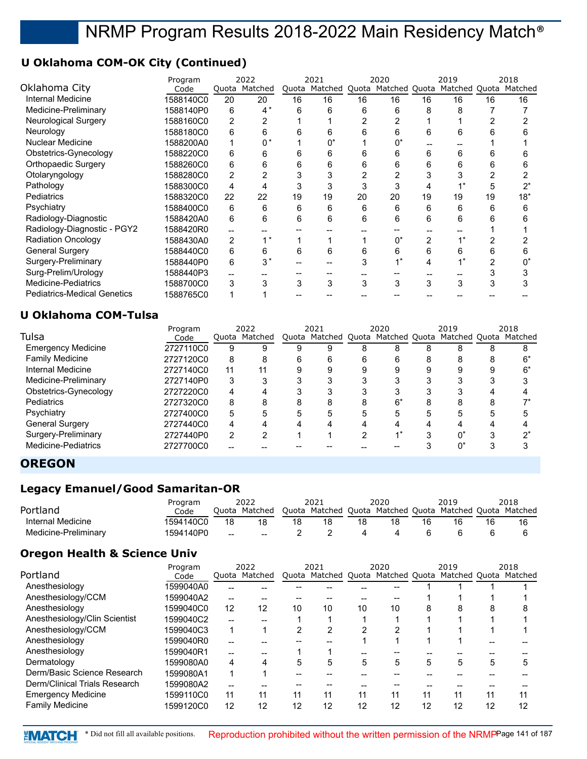# **U Oklahoma COM-OK City (Continued)**

|                                    | Program   |                | 2022          |     | 2021          |    | 2020          |       | 2019                  |    | 2018  |
|------------------------------------|-----------|----------------|---------------|-----|---------------|----|---------------|-------|-----------------------|----|-------|
| Oklahoma City                      | Code      |                | Quota Matched |     | Quota Matched |    | Quota Matched | Quota | Matched Quota Matched |    |       |
| Internal Medicine                  | 1588140C0 | 20             | 20            | 16  | 16            | 16 | 16            | 16    | 16                    | 16 | 16    |
| Medicine-Preliminary               | 1588140P0 | 6              | 4 *           | ี่ค | 6             | 6  | 6             | 8     | 8                     |    |       |
| Neurological Surgery               | 1588160C0 | 2              |               |     |               |    |               |       |                       |    |       |
| Neurology                          | 1588180C0 | 6              | 6             | 6   | 6             | 6  | 6             | 6     | 6                     | 6  |       |
| Nuclear Medicine                   | 1588200A0 |                | 0*            |     | 0*            |    | $0^*$         |       |                       |    |       |
| Obstetrics-Gynecology              | 1588220C0 | 6              | 6             | 6   | 6             | 6  | 6             | 6     | 6                     | h  |       |
| Orthopaedic Surgery                | 1588260C0 | 6              | 6             | 6   | 6             | 6  | 6             | 6     | 6                     | 6  |       |
| Otolaryngology                     | 1588280C0 | 2              |               |     | 3             |    |               |       |                       |    |       |
| Pathology                          | 1588300C0 | 4              | 4             |     | 3             |    | 3             | 4     |                       |    | ∗ר    |
| <b>Pediatrics</b>                  | 1588320C0 | 22             | 22            | 19  | 19            | 20 | 20            | 19    | 19                    | 19 | $18*$ |
| Psychiatry                         | 1588400C0 | 6              | 6             | 6   | 6             | 6  | 6             | 6     | 6                     | 6  | 6     |
| Radiology-Diagnostic               | 1588420A0 | 6              | 6             | 6   | 6             | 6  | 6             | 6     | 6                     | n  |       |
| Radiology-Diagnostic - PGY2        | 1588420R0 |                |               |     |               |    |               |       |                       |    |       |
| <b>Radiation Oncology</b>          | 1588430A0 | $\overline{2}$ |               |     |               |    | n*            | 2     |                       |    |       |
| <b>General Surgery</b>             | 1588440C0 | 6              | 6             | 6   | 6             | 6  | 6             | 6     | 6                     | 6  |       |
| Surgery-Preliminary                | 1588440P0 | 6              | $3^*$         |     |               |    |               |       |                       |    |       |
| Surg-Prelim/Urology                | 1588440P3 |                |               |     |               |    |               |       |                       |    |       |
| Medicine-Pediatrics                | 1588700C0 | 3              |               | 3   | 3             | 3  | 3             | 3     | 3                     |    |       |
| <b>Pediatrics-Medical Genetics</b> | 1588765C0 |                |               |     |               |    |               |       |                       |    |       |

## **U Oklahoma COM-Tulsa**

|                            | Program   |    | 2022          |   | 2021                                                    |   | 2020 |   | 2019 |   | 2018 |
|----------------------------|-----------|----|---------------|---|---------------------------------------------------------|---|------|---|------|---|------|
| Tulsa                      | Code      |    | Ouota Matched |   | Quota Matched Quota Matched Quota Matched Quota Matched |   |      |   |      |   |      |
| <b>Emergency Medicine</b>  | 2727110C0 | 9  | 9             |   | 9                                                       |   | 8    |   |      | 8 |      |
| <b>Family Medicine</b>     | 2727120C0 | 8  | Õ             | 6 | 6                                                       | 6 | 6    | 8 | 8    | 8 | 6*   |
| Internal Medicine          | 2727140C0 | 11 | 11            | 9 | 9                                                       | 9 | 9    | 9 | 9    | 9 | $6*$ |
| Medicine-Preliminary       | 2727140P0 | 3  |               |   | 3                                                       |   | 3    |   |      |   |      |
| Obstetrics-Gynecology      | 2727220C0 | 4  |               |   | 3                                                       |   |      |   |      |   |      |
| <b>Pediatrics</b>          | 2727320C0 | 8  |               |   | 8                                                       |   | $6*$ |   | 8    |   |      |
| Psychiatry                 | 2727400C0 | 5  |               |   | 5                                                       | 5 | 5    |   | h.   |   |      |
| <b>General Surgery</b>     | 2727440C0 | 4  |               |   | Δ                                                       |   |      |   |      |   |      |
| Surgery-Preliminary        | 2727440P0 | 2  |               |   |                                                         |   |      | ົ | 0*   |   | י^   |
| <b>Medicine-Pediatrics</b> | 2727700C0 |    |               |   |                                                         |   |      |   | 0*   | 3 |      |
|                            |           |    |               |   |                                                         |   |      |   |      |   |      |

## **OREGON**

## **Legacy Emanuel/Good Samaritan-OR**

|                      | Program   |       | 2022          |    | 2021                                                    |    | 2020 | 2019 |    | 2018 |
|----------------------|-----------|-------|---------------|----|---------------------------------------------------------|----|------|------|----|------|
| Portland             | Code      |       | Ouota Matched |    | Quota Matched Quota Matched Quota Matched Quota Matched |    |      |      |    |      |
| Internal Medicine    | 1594140C0 | 18    |               | 18 | 18                                                      | 18 |      | 16   | 16 |      |
| Medicine-Preliminary | 1594140P0 | $- -$ | $-$           |    |                                                         |    |      |      |    |      |

## **Oregon Health & Science Univ**

| Program   |      |    |                       |    |      |    |      |    |      | 2018                                                    |
|-----------|------|----|-----------------------|----|------|----|------|----|------|---------------------------------------------------------|
|           |      |    |                       |    |      |    |      |    |      |                                                         |
| 1599040A0 |      |    |                       |    |      |    |      |    |      |                                                         |
| 1599040A2 |      |    |                       |    |      |    |      |    |      |                                                         |
| 1599040C0 | 12   | 12 | 10                    | 10 | 10   | 10 | 8    | 8  | 8    |                                                         |
| 1599040C2 | $-$  |    |                       |    |      |    |      |    |      |                                                         |
| 1599040C3 |      |    |                       | 2  |      |    |      |    |      |                                                         |
| 1599040R0 |      |    |                       |    |      |    |      |    |      |                                                         |
| 1599040R1 | $-$  |    |                       |    |      |    |      |    |      |                                                         |
| 1599080A0 | 4    |    | 5                     | 5  | 5    | 5  | 5    | 5  | 5    | 5                                                       |
| 1599080A1 | 1    |    |                       |    |      |    |      |    |      |                                                         |
| 1599080A2 |      |    |                       |    |      |    |      |    |      |                                                         |
| 1599110C0 | 11   | 11 | 11                    | 11 | 11   | 11 | 11   | 11 | 11   | 11                                                      |
| 1599120C0 | 12   | 12 | 12                    | 12 | 12   | 12 | 12   | 12 | 12   | 12                                                      |
|           | Code |    | 2022<br>Quota Matched |    | 2021 |    | 2020 |    | 2019 | Quota Matched Quota Matched Quota Matched Quota Matched |

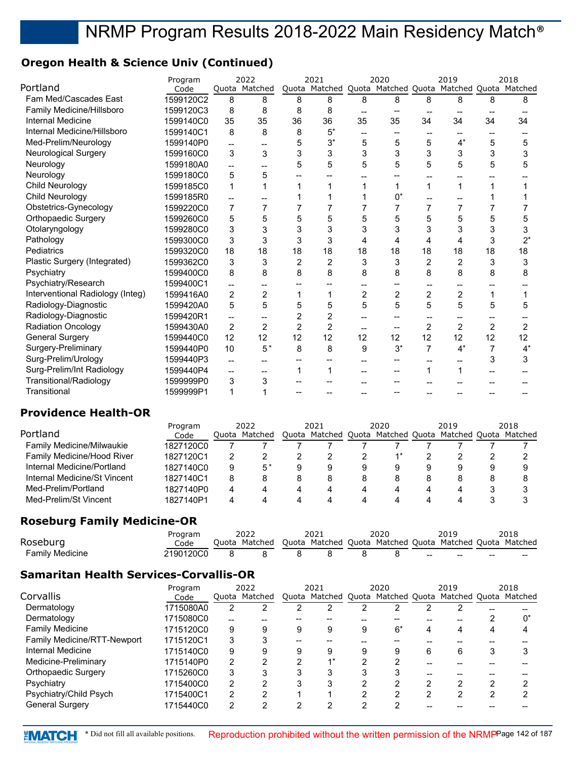# **Oregon Health & Science Univ (Continued)**

|                                  | Program   |                | 2022           |                | 2021                                                    |                | 2020           |                | 2019           |                | 2018           |
|----------------------------------|-----------|----------------|----------------|----------------|---------------------------------------------------------|----------------|----------------|----------------|----------------|----------------|----------------|
| Portland                         | Code      |                | Quota Matched  |                | Quota Matched Quota Matched Quota Matched Quota Matched |                |                |                |                |                |                |
| Fam Med/Cascades East            | 1599120C2 | 8              | 8              | 8              | 8                                                       | 8              | 8              | 8              | 8              | 8              | 8              |
| Family Medicine/Hillsboro        | 1599120C3 | 8              | 8              | 8              | 8                                                       |                |                |                |                |                |                |
| Internal Medicine                | 1599140C0 | 35             | 35             | 36             | 36                                                      | 35             | 35             | 34             | 34             | 34             | 34             |
| Internal Medicine/Hillsboro      | 1599140C1 | 8              | 8              | 8              | $5^*$                                                   |                |                |                |                |                |                |
| Med-Prelim/Neurology             | 1599140P0 | --             | --             | 5              | $3^*$                                                   | 5              | 5              | 5              | $4^*$          | 5              | 5              |
| <b>Neurological Surgery</b>      | 1599160C0 | 3              | 3              | 3              | 3                                                       | 3              | 3              | 3              | 3              | 3              | 3              |
| Neurology                        | 1599180A0 | --             |                | 5              | 5                                                       | 5              | 5              | 5              | 5              | 5              | 5              |
| Neurology                        | 1599180C0 | 5              | 5              |                |                                                         |                |                |                |                |                |                |
| <b>Child Neurology</b>           | 1599185C0 | 1              |                |                |                                                         |                |                | 1              | 1              |                |                |
| Child Neurology                  | 1599185R0 | --             |                |                |                                                         |                | $0^*$          |                |                |                |                |
| Obstetrics-Gynecology            | 1599220C0 | 7              | 7              |                | 7                                                       |                | 7              | 7              | 7              |                |                |
| <b>Orthopaedic Surgery</b>       | 1599260C0 | 5              | 5              | 5              | 5                                                       | 5              | 5              | 5              | 5              | 5              | 5              |
| Otolaryngology                   | 1599280C0 | 3              | 3              | 3              | 3                                                       | 3              | 3              | 3              | 3              | 3              | 3              |
| Pathology                        | 1599300C0 | 3              | 3              | 3              | 3                                                       | 4              | 4              | 4              | 4              | 3              | $2^*$          |
| Pediatrics                       | 1599320C0 | 18             | 18             | 18             | 18                                                      | 18             | 18             | 18             | 18             | 18             | 18             |
| Plastic Surgery (Integrated)     | 1599362C0 | 3              | 3              | $\overline{2}$ | 2                                                       | 3              | 3              | $\overline{2}$ | $\overline{2}$ | 3              | 3              |
| Psychiatry                       | 1599400C0 | 8              | 8              | 8              | 8                                                       | 8              | 8              | 8              | 8              | 8              | 8              |
| Psychiatry/Research              | 1599400C1 | --             |                |                |                                                         |                |                |                |                |                |                |
| Interventional Radiology (Integ) | 1599416A0 | 2              | $\overline{2}$ | 1              | 1                                                       | $\overline{2}$ | $\overline{2}$ | $\overline{c}$ | $\overline{2}$ | 1              |                |
| Radiology-Diagnostic             | 1599420A0 | 5              | 5              | 5              | 5                                                       | 5              | 5              | 5              | 5              | 5              | 5              |
| Radiology-Diagnostic             | 1599420R1 | --             | $-$            | $\overline{2}$ | $\overline{2}$                                          |                |                |                |                |                |                |
| <b>Radiation Oncology</b>        | 1599430A0 | $\overline{2}$ | $\overline{2}$ | $\overline{2}$ | $\overline{2}$                                          |                | --             | $\overline{2}$ | $\overline{2}$ | $\overline{2}$ | $\overline{2}$ |
| <b>General Surgery</b>           | 1599440C0 | 12             | 12             | 12             | 12                                                      | 12             | 12             | 12             | 12             | 12             | 12             |
| Surgery-Preliminary              | 1599440P0 | 10             | $5*$           | 8              | 8                                                       | 9              | $3^*$          | 7              | $4^*$          |                | $4^*$          |
| Surg-Prelim/Urology              | 1599440P3 | $-$            |                |                |                                                         |                |                |                |                | 3              | 3              |
| Surg-Prelim/Int Radiology        | 1599440P4 | $-$            |                | 1              | $\mathbf{1}$                                            |                |                | 1              | 1              |                |                |
| Transitional/Radiology           | 1599999P0 | 3              | 3              |                |                                                         |                |                |                |                |                |                |
| Transitional                     | 1599999P1 | 1              |                |                |                                                         |                |                |                |                |                |                |
|                                  |           |                |                |                |                                                         |                |                |                |                |                |                |

## **Providence Health-OR**

|                                  | Program   |   | 2022          |   | 2021 |   | 2020 | 2019                                            |   | 2018    |
|----------------------------------|-----------|---|---------------|---|------|---|------|-------------------------------------------------|---|---------|
| Portland                         | Code      |   | Ouota Matched |   |      |   |      | Quota Matched Quota Matched Quota Matched Quota |   | Matched |
| <b>Family Medicine/Milwaukie</b> | 1827120C0 |   |               |   |      |   |      |                                                 |   |         |
| Family Medicine/Hood River       | 1827120C1 |   |               |   |      |   |      |                                                 |   |         |
| Internal Medicine/Portland       | 1827140C0 | 9 | $5*$          | 9 | 9    | 9 | 9    |                                                 | 9 |         |
| Internal Medicine/St Vincent     | 1827140C1 | 8 |               | 8 |      | 8 | 8    |                                                 | 8 |         |
| Med-Prelim/Portland              | 1827140P0 | 4 |               | 4 |      | 4 | Д    |                                                 |   |         |
| Med-Prelim/St Vincent            | 1827140P1 | 4 |               |   |      | 4 | 4    |                                                 |   |         |

## **Roseburg Family Medicine-OR**

|                 | Proaram   | 2022          | 2021                                                    | 2020 |    |       | 2018  |
|-----------------|-----------|---------------|---------------------------------------------------------|------|----|-------|-------|
| Roseburg        | Code      | Ouota Matched | Quota Matched Quota Matched Quota Matched Quota Matched |      |    |       |       |
| Family Medicine | 2190120C0 |               |                                                         |      | -- | $- -$ | $- -$ |

## **Samaritan Health Services-Corvallis-OR**

|                             | Program   |    | 2022          |     | 2021                                                    |   | 2020  |   | 2019 |   | 2018 |
|-----------------------------|-----------|----|---------------|-----|---------------------------------------------------------|---|-------|---|------|---|------|
| Corvallis                   | Code      |    | Quota Matched |     | Quota Matched Quota Matched Quota Matched Quota Matched |   |       |   |      |   |      |
| Dermatology                 | 1715080A0 | 2  |               |     |                                                         |   |       |   | ⌒    |   |      |
| Dermatology                 | 1715080C0 | -- |               |     |                                                         |   |       |   |      |   |      |
| <b>Family Medicine</b>      | 1715120C0 | 9  |               | 9   | 9                                                       | 9 | $6^*$ | 4 | 4    | 4 |      |
| Family Medicine/RTT-Newport | 1715120C1 | 3  | ິ             | --  |                                                         |   |       |   |      |   |      |
| Internal Medicine           | 1715140C0 | 9  |               | 9   | 9                                                       | 9 | 9     | 6 | 6    | 3 |      |
| Medicine-Preliminary        | 1715140P0 | 2  |               | - 2 |                                                         | າ | ົ     |   |      |   |      |
| Orthopaedic Surgery         | 1715260C0 | 3  | ⌒             | 3   | 3                                                       | 3 | 3     |   |      |   |      |
| Psychiatry                  | 1715400C0 | 2  |               | 2   | 3                                                       | ≘ | ◠     |   | っ    |   |      |
| Psychiatry/Child Psych      | 1715400C1 | 2  |               |     |                                                         | ≘ | ◠     | ◠ | っ    | ົ |      |
| <b>General Surgery</b>      | 1715440C0 | 2  |               |     | າ                                                       | າ | າ     |   |      |   |      |

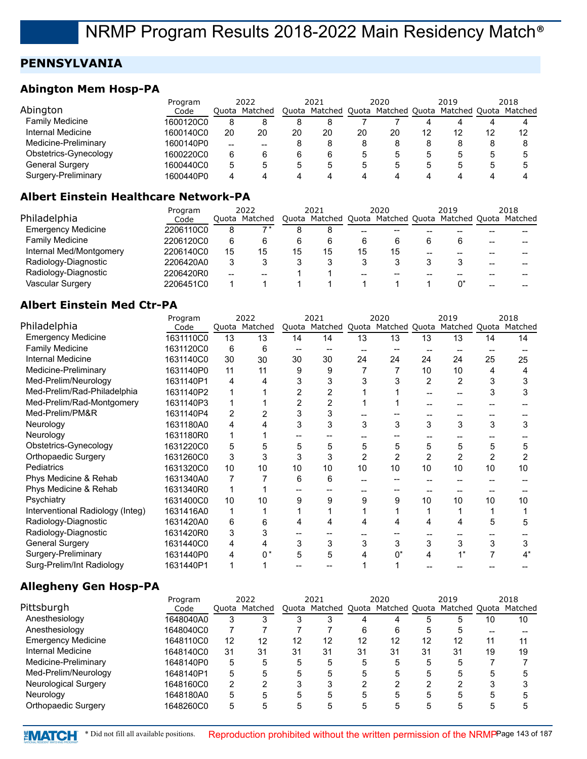# **PENNSYLVANIA**

## **Abington Mem Hosp-PA**

|                        | Program   |    | 2022          |    | 2021                                            |    | 2020 |    | 2019 |    | 2018    |
|------------------------|-----------|----|---------------|----|-------------------------------------------------|----|------|----|------|----|---------|
| Abington               | Code      |    | Ouota Matched |    | Quota Matched Quota Matched Quota Matched Quota |    |      |    |      |    | Matched |
| <b>Family Medicine</b> | 1600120C0 | 8  |               |    |                                                 |    |      |    |      |    |         |
| Internal Medicine      | 1600140C0 | 20 | 20            | 20 | 20                                              | 20 | 20   | 12 | 12   | 12 | 12      |
| Medicine-Preliminary   | 1600140P0 | -- | --            | 8  |                                                 |    |      |    |      |    |         |
| Obstetrics-Gynecology  | 1600220C0 | 6  |               | 6  |                                                 | 5  | đ    |    | 5    | 5  |         |
| General Surgery        | 1600440C0 | 5  |               |    |                                                 | 5  |      |    |      |    |         |
| Surgery-Preliminary    | 1600440P0 | 4  |               |    |                                                 | Δ  |      |    |      |    |         |

## **Albert Einstein Healthcare Network-PA**

|                           | Program   | 2022  |               | 2021 |    | 2020 |       | 2019 |                                                         | 2018 |  |
|---------------------------|-----------|-------|---------------|------|----|------|-------|------|---------------------------------------------------------|------|--|
| Philadelphia              | Code      |       | Ouota Matched |      |    |      |       |      | Quota Matched Quota Matched Quota Matched Quota Matched |      |  |
| <b>Emergency Medicine</b> | 2206110C0 | 8     |               | 8    |    |      |       |      |                                                         |      |  |
| <b>Family Medicine</b>    | 2206120C0 | 6     |               | 6    | 6  | 6    | 6     |      |                                                         | --   |  |
| Internal Med/Montgomery   | 2206140C0 | 15    | 15            | 15   | 15 | 15   | 15    | --   |                                                         |      |  |
| Radiology-Diagnostic      | 2206420A0 | 3     |               |      |    |      |       |      |                                                         | --   |  |
| Radiology-Diagnostic      | 2206420R0 | $- -$ | --            |      |    |      | $- -$ |      |                                                         |      |  |
| Vascular Surgery          | 2206451C0 |       |               |      |    |      |       |      |                                                         | --   |  |

## **Albert Einstein Med Ctr-PA**

|                                  | Program   |    | 2022          |    | 2021 |    | 2020  |                | 2019                                                    |    | 2018 |
|----------------------------------|-----------|----|---------------|----|------|----|-------|----------------|---------------------------------------------------------|----|------|
| Philadelphia                     | Code      |    | Quota Matched |    |      |    |       |                | Quota Matched Quota Matched Quota Matched Quota Matched |    |      |
| <b>Emergency Medicine</b>        | 1631110C0 | 13 | 13            | 14 | 14   | 13 | 13    | 13             | 13                                                      | 14 | 14   |
| <b>Family Medicine</b>           | 1631120C0 | 6  | 6             |    |      |    |       |                |                                                         |    |      |
| <b>Internal Medicine</b>         | 1631140C0 | 30 | 30            | 30 | 30   | 24 | 24    | 24             | 24                                                      | 25 | 25   |
| Medicine-Preliminary             | 1631140P0 | 11 | 11            | 9  | 9    |    |       | 10             | 10                                                      | 4  | 4    |
| Med-Prelim/Neurology             | 1631140P1 | 4  | 4             | 3  | 3    |    | 3     | $\overline{2}$ | 2                                                       | 3  | 3    |
| Med-Prelim/Rad-Philadelphia      | 1631140P2 |    |               |    |      |    |       |                |                                                         |    | 3    |
| Med-Prelim/Rad-Montgomery        | 1631140P3 |    |               | 2  | 2    |    |       |                |                                                         |    |      |
| Med-Prelim/PM&R                  | 1631140P4 | 2  | 2             | 3  | 3    |    |       |                |                                                         |    |      |
| Neurology                        | 1631180A0 | 4  |               | 3  | 3    | 3  | 3     | 3              | 3                                                       | 3  | 3    |
| Neurology                        | 1631180R0 |    |               |    |      |    |       |                |                                                         |    |      |
| Obstetrics-Gynecology            | 1631220C0 | 5  | 5             | 5  | 5    | 5  | 5     | 5              | 5                                                       | 5  | 5    |
| <b>Orthopaedic Surgery</b>       | 1631260C0 | 3  | 3             | 3  | 3    |    | 2     | 2              |                                                         | 2  |      |
| Pediatrics                       | 1631320C0 | 10 | 10            | 10 | 10   | 10 | 10    | 10             | 10                                                      | 10 | 10   |
| Phys Medicine & Rehab            | 1631340A0 | 7  |               | 6  | 6    |    |       |                |                                                         |    |      |
| Phys Medicine & Rehab            | 1631340R0 | 1  |               |    |      |    |       |                |                                                         |    |      |
| Psychiatry                       | 1631400C0 | 10 | 10            | 9  | 9    | 9  | 9     | 10             | 10                                                      | 10 | 10   |
| Interventional Radiology (Integ) | 1631416A0 |    |               |    |      |    |       |                |                                                         |    |      |
| Radiology-Diagnostic             | 1631420A0 | 6  | 6             |    | 4    |    |       | 4              | 4                                                       | 5  | 5    |
| Radiology-Diagnostic             | 1631420R0 | 3  | 3             |    |      |    |       |                |                                                         |    |      |
| <b>General Surgery</b>           | 1631440C0 | 4  | 4             | 3  | 3    | 3  | 3     | 3              | 3                                                       | 3  | 3    |
| Surgery-Preliminary              | 1631440P0 | 4  | $0*$          | 5  | 5    |    | $0^*$ | 4              | $1^*$                                                   |    | 4*   |
| Surg-Prelim/Int Radiology        | 1631440P1 |    |               |    |      |    |       |                |                                                         |    |      |
|                                  |           |    |               |    |      |    |       |                |                                                         |    |      |

## **Allegheny Gen Hosp-PA**

|                           | Program   |    | 2021<br>2022  |    | 2020                              |    | 2019 |    |    | 2018 |                       |
|---------------------------|-----------|----|---------------|----|-----------------------------------|----|------|----|----|------|-----------------------|
| Pittsburgh                | Code      |    | Ouota Matched |    | Quota Matched Quota Matched Quota |    |      |    |    |      | Matched Quota Matched |
| Anesthesiology            | 1648040A0 | 3  |               |    |                                   |    |      |    | 5  | 10   | 10                    |
| Anesthesiology            | 1648040C0 |    |               |    |                                   | 6  | 6    |    | 5  |      |                       |
| <b>Emergency Medicine</b> | 1648110C0 | 12 | 12            | 12 | 12                                | 12 | 12   | 12 | 12 | 11   |                       |
| Internal Medicine         | 1648140C0 | 31 | 31            | 31 | 31                                | 31 | 31   | 31 | 31 | 19   | 19                    |
| Medicine-Preliminary      | 1648140P0 | 5  |               | 5  | 5                                 | 5  | 5    | 5  | 5  |      |                       |
| Med-Prelim/Neurology      | 1648140P1 | 5  |               |    | 5                                 | 5  | 5    | 5  | 5  |      |                       |
| Neurological Surgery      | 1648160C0 | 2  |               |    |                                   |    |      |    |    |      |                       |
| Neurology                 | 1648180A0 | 5  |               | 5  | 5                                 | 5  | 5    | 5  | 5  |      |                       |
| Orthopaedic Surgery       | 1648260C0 | 5  |               |    | 5                                 | 5  | 5    | 5  | 5  |      |                       |

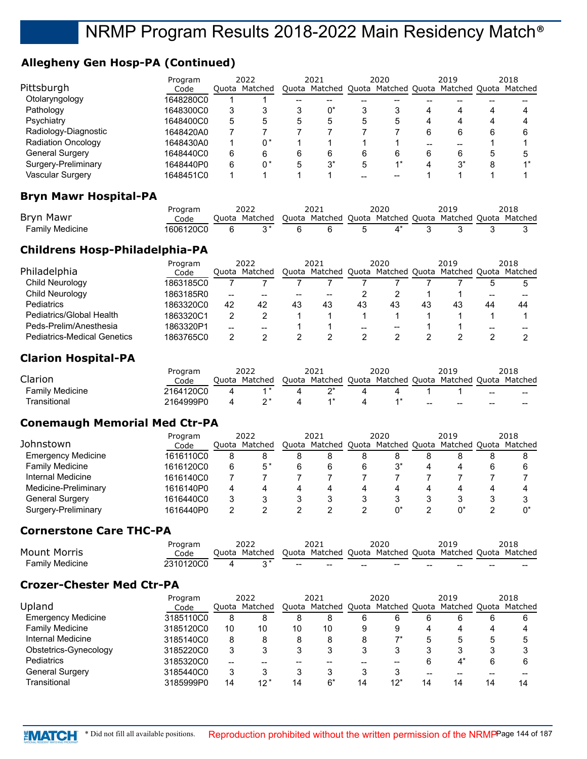# **Allegheny Gen Hosp-PA (Continued)**

|                           | Program   |   | 2022          |    | 2021                                                    |   | 2020 |   | 2019  |   | 2018 |
|---------------------------|-----------|---|---------------|----|---------------------------------------------------------|---|------|---|-------|---|------|
| Pittsburgh                | Code      |   | Quota Matched |    | Quota Matched Quota Matched Quota Matched Quota Matched |   |      |   |       |   |      |
| Otolaryngology            | 1648280C0 |   |               | -- |                                                         |   |      |   |       |   |      |
| Pathology                 | 1648300C0 | 3 |               |    |                                                         |   |      |   | 4     |   |      |
| Psychiatry                | 1648400C0 | 5 |               | 5  |                                                         | 5 | 5    |   | 4     |   |      |
| Radiology-Diagnostic      | 1648420A0 |   |               |    |                                                         |   |      |   | 6     | 6 |      |
| <b>Radiation Oncology</b> | 1648430A0 |   | ∩*            |    |                                                         |   |      |   |       |   |      |
| <b>General Surgery</b>    | 1648440C0 | 6 | 6             | 6  | 6                                                       | 6 | 6    | 6 | 6     | 5 |      |
| Surgery-Preliminary       | 1648440P0 | 6 | በ*            | 5  | $3^*$                                                   | 5 |      |   | $3^*$ | 8 |      |
| Vascular Surgery          | 1648451C0 |   |               |    |                                                         |   |      |   |       |   |      |

### **Bryn Mawr Hospital-PA**

|                  | Program   | 2022          |  | 2020 | 2019                                                    | 2018 |
|------------------|-----------|---------------|--|------|---------------------------------------------------------|------|
| <b>Bryn Mawr</b> | Code      | Ouota Matched |  |      | Quota Matched Quota Matched Quota Matched Quota Matched |      |
| Family Medicine  | 1606120C0 |               |  |      |                                                         |      |

## **Childrens Hosp-Philadelphia-PA**

|                                    | Program   | 2022  |         | 2021 |                                   | 2020 |       | 2019 |               | 2018 |         |
|------------------------------------|-----------|-------|---------|------|-----------------------------------|------|-------|------|---------------|------|---------|
| Philadelphia                       | Code      | Ouota | Matched |      | Quota Matched Quota Matched Quota |      |       |      | Matched Quota |      | Matched |
| Child Neurology                    | 1863185C0 |       |         |      |                                   |      |       |      |               |      |         |
| Child Neurology                    | 1863185R0 | $- -$ | --      | --   | --                                |      |       |      |               | --   |         |
| Pediatrics                         | 1863320C0 | 42    | 42      | 43   | 43                                | 43   | 43    | 43   | 43            | 44   | 44      |
| Pediatrics/Global Health           | 1863320C1 |       |         |      |                                   |      |       |      |               |      |         |
| Peds-Prelim/Anesthesia             | 1863320P1 | --    | --      |      |                                   | --   | $- -$ |      |               | --   |         |
| <b>Pediatrics-Medical Genetics</b> | 1863765C0 |       |         |      |                                   |      |       |      |               |      |         |

## **Clarion Hospital-PA**

|                        | Program   |              | 2022    | 2021                                                    | 2020 |       | 2019  |       | 2018  |
|------------------------|-----------|--------------|---------|---------------------------------------------------------|------|-------|-------|-------|-------|
| Clarion                | Code      | <b>Ouota</b> | Matched | Quota Matched Quota Matched Quota Matched Quota Matched |      |       |       |       |       |
| <b>Family Medicine</b> | 2164120C0 |              |         |                                                         |      |       |       | $- -$ | $- -$ |
| Transitional           | 2164999P0 |              |         |                                                         |      | $- -$ | $- -$ | $- -$ | $- -$ |

### **Conemaugh Memorial Med Ctr-PA**

|                           | Program   |   | 2022          |       | 2021                        |   | 2020  | 2019          |   | 2018    |
|---------------------------|-----------|---|---------------|-------|-----------------------------|---|-------|---------------|---|---------|
| Johnstown                 | Code      |   | Ouota Matched | Ouota | Matched Quota Matched Quota |   |       | Matched Ouota |   | Matched |
| <b>Emergency Medicine</b> | 1616110C0 | 8 |               |       | 8                           | 8 | 8     |               | 8 |         |
| <b>Family Medicine</b>    | 1616120C0 | 6 | $5*$          | 6     | 6                           | 6 | $3^*$ |               | 6 |         |
| Internal Medicine         | 1616140C0 |   |               |       |                             |   |       |               |   |         |
| Medicine-Preliminary      | 1616140P0 | 4 |               | 4     |                             | Δ | 4     |               |   |         |
| General Surgery           | 1616440C0 |   |               |       |                             |   |       |               |   |         |
| Surgery-Preliminary       | 1616440P0 |   |               |       |                             |   |       |               |   |         |

### **Cornerstone Care THC-PA**

|                        |           |       | 2022    |                          | 2021                                                    |       | 2020                                              |    | 2019  |       | 2018  |
|------------------------|-----------|-------|---------|--------------------------|---------------------------------------------------------|-------|---------------------------------------------------|----|-------|-------|-------|
| <b>Mount Morris</b>    | Code      | Ouota | Matched |                          | Ouota Matched Ouota Matched Ouota Matched Ouota Matched |       |                                                   |    |       |       |       |
| <b>Family Medicine</b> | 2310120C0 |       |         | $\overline{\phantom{a}}$ | $\hspace{0.1mm}-\hspace{0.1mm}-\hspace{0.1mm}$          | $- -$ | $\hspace{0.05cm}-\hspace{0.05cm}-\hspace{0.05cm}$ | -- | $- -$ | $- -$ | $- -$ |

## **Crozer-Chester Med Ctr-PA**

|                           | Program   | 2022 |               | 2021 |                                   | 2020 |     | 2019 |                       | 2018 |    |
|---------------------------|-----------|------|---------------|------|-----------------------------------|------|-----|------|-----------------------|------|----|
| Upland                    | Code      |      | Ouota Matched |      | Quota Matched Quota Matched Quota |      |     |      | Matched Quota Matched |      |    |
| <b>Emergency Medicine</b> | 3185110C0 | 8    |               | 8    | 8                                 | 6    | 6   |      | 6                     | 6    |    |
| <b>Family Medicine</b>    | 3185120C0 | 10   | 10            | 10   | 10                                | 9    | 9   |      | 4                     | 4    |    |
| Internal Medicine         | 3185140C0 | 8    |               | 8    | 8                                 | 8    |     |      | 5                     | 5    |    |
| Obstetrics-Gynecology     | 3185220C0 | 3    |               | 3    |                                   |      | 3   |      |                       | 3    |    |
| Pediatrics                | 3185320C0 | --   |               |      |                                   |      | --  |      | $4^*$                 | 6    |    |
| <b>General Surgery</b>    | 3185440C0 | 3    |               |      |                                   |      |     |      |                       |      |    |
| Transitional              | 3185999P0 | 14   | $12*$         | 14   | .6*                               | 14   | 12* | 14   | 14                    | 14   | 14 |

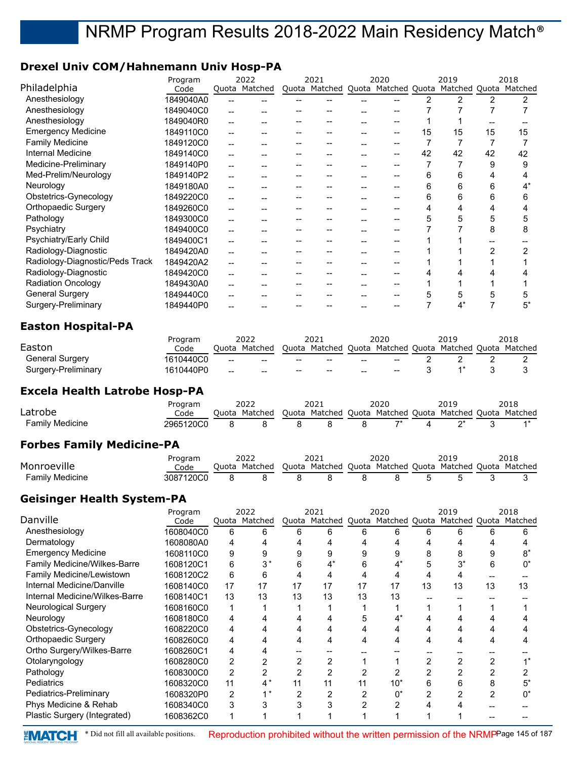## **Drexel Univ COM/Hahnemann Univ Hosp-PA**

|                                 | Program   |     | 2022          | 2021                              | 2020 |    | 2019                  |    | 2018 |
|---------------------------------|-----------|-----|---------------|-----------------------------------|------|----|-----------------------|----|------|
| Philadelphia                    | Code      |     | Quota Matched | Quota Matched Quota Matched Quota |      |    | Matched Quota Matched |    |      |
| Anesthesiology                  | 1849040A0 |     |               |                                   |      |    |                       |    |      |
| Anesthesiology                  | 1849040C0 | --  |               |                                   |      |    |                       |    |      |
| Anesthesiology                  | 1849040R0 | $-$ |               |                                   |      |    |                       |    |      |
| <b>Emergency Medicine</b>       | 1849110C0 |     |               |                                   |      | 15 | 15                    | 15 | 15   |
| <b>Family Medicine</b>          | 1849120C0 | $-$ |               |                                   |      |    |                       |    |      |
| Internal Medicine               | 1849140C0 | --  |               |                                   |      | 42 | 42                    | 42 | 42   |
| Medicine-Preliminary            | 1849140P0 | $-$ |               |                                   |      |    |                       | 9  | 9    |
| Med-Prelim/Neurology            | 1849140P2 |     |               |                                   |      | 6  | 6                     |    | 4    |
| Neurology                       | 1849180A0 |     |               |                                   |      | 6  | 6                     | 6  |      |
| Obstetrics-Gynecology           | 1849220C0 | $-$ |               |                                   |      | 6  | 6                     | 6  | 6    |
| Orthopaedic Surgery             | 1849260C0 |     |               |                                   |      |    |                       |    |      |
| Pathology                       | 1849300C0 | $-$ |               |                                   |      | 5  | 5                     | 5  | 5    |
| Psychiatry                      | 1849400C0 | $-$ |               |                                   |      |    |                       | 8  | 8    |
| Psychiatry/Early Child          | 1849400C1 |     |               |                                   |      |    |                       |    |      |
| Radiology-Diagnostic            | 1849420A0 | --  |               |                                   |      |    |                       |    |      |
| Radiology-Diagnostic/Peds Track | 1849420A2 |     |               |                                   |      |    |                       |    |      |
| Radiology-Diagnostic            | 1849420C0 |     |               |                                   |      |    |                       |    |      |
| <b>Radiation Oncology</b>       | 1849430A0 | --  |               |                                   |      |    |                       |    |      |
| <b>General Surgery</b>          | 1849440C0 |     |               |                                   |      | 5  | 5                     |    | 5    |
| Surgery-Preliminary             | 1849440P0 |     |               |                                   |      |    | 4*                    |    | 5*   |
|                                 |           |     |               |                                   |      |    |                       |    |      |

## **Easton Hospital-PA**

|                        | 2022<br>Program |       | 2021                                              |                                                | 2020                                                    |     | 2019                     |  | 2018 |  |
|------------------------|-----------------|-------|---------------------------------------------------|------------------------------------------------|---------------------------------------------------------|-----|--------------------------|--|------|--|
| Easton                 | Code            |       | Ouota Matched                                     |                                                | Quota Matched Quota Matched Quota Matched Quota Matched |     |                          |  |      |  |
| <b>General Surgery</b> | 1610440C0       | $-$   | $- -$                                             | $ -$                                           | $-$                                                     | $-$ | $-$                      |  |      |  |
| Surgery-Preliminary    | 1610440P0       | $- -$ | $\hspace{0.05cm}-\hspace{0.05cm}-\hspace{0.05cm}$ | $\hspace{0.1mm}-\hspace{0.1mm}-\hspace{0.1mm}$ | $-$                                                     | $-$ | $\overline{\phantom{a}}$ |  |      |  |

## **Excela Health Latrobe Hosp-PA**

|                 | Program   | 2022 |               | 2021 |  | 2020 |  | 2019 |                                                         | 2018 |
|-----------------|-----------|------|---------------|------|--|------|--|------|---------------------------------------------------------|------|
| Latrobe         | Code      |      | Ouota Matched |      |  |      |  |      | Quota Matched Quota Matched Quota Matched Quota Matched |      |
| Family Medicine | 2965120C0 |      |               |      |  |      |  |      |                                                         |      |

## **Forbes Family Medicine-PA**

|                        | Program   |       |         |  | 2020 |  | 2019 |                                                         | 2018 |
|------------------------|-----------|-------|---------|--|------|--|------|---------------------------------------------------------|------|
| Monroeville            | Code      | Ouota | Matched |  |      |  |      | Quota Matched Quota Matched Quota Matched Quota Matched |      |
| <b>Family Medicine</b> | 3087120C0 |       |         |  |      |  |      |                                                         |      |

## **Geisinger Health System-PA**

|                                     | Program   |    | 2022          |    | 2021          |    | 2020                                      |    | 2019 |    | 2018  |
|-------------------------------------|-----------|----|---------------|----|---------------|----|-------------------------------------------|----|------|----|-------|
| Danville                            | Code      |    | Quota Matched |    | Quota Matched |    | Quota Matched Quota Matched Quota Matched |    |      |    |       |
| Anesthesiology                      | 1608040C0 | 6  | 6             | 6  | 6             | 6  | 6                                         | հ  | 6    | 6  |       |
| Dermatology                         | 1608080A0 | 4  | 4             |    |               |    |                                           |    |      |    |       |
| <b>Emergency Medicine</b>           | 1608110C0 | 9  | 9             |    |               |    |                                           | 8  | 8    |    | $8^*$ |
| <b>Family Medicine/Wilkes-Barre</b> | 1608120C1 | 6  | 3*            |    |               |    |                                           | 5  |      | 6  | $0^*$ |
| <b>Family Medicine/Lewistown</b>    | 1608120C2 | 6  | 6             |    |               |    |                                           |    |      |    |       |
| Internal Medicine/Danville          | 1608140C0 | 17 | 17            | 17 | 17            | 17 | 17                                        | 13 | 13   | 13 | 13    |
| Internal Medicine/Wilkes-Barre      | 1608140C1 | 13 | 13            | 13 | 13            | 13 | 13                                        |    |      |    |       |
| Neurological Surgery                | 1608160C0 |    |               |    |               |    |                                           |    |      |    |       |
| Neurology                           | 1608180C0 | 4  |               |    |               |    |                                           |    |      |    |       |
| Obstetrics-Gynecology               | 1608220C0 | 4  |               |    |               |    |                                           |    |      |    |       |
| Orthopaedic Surgery                 | 1608260C0 | 4  |               |    | 4             |    |                                           | 4  | 4    |    |       |
| Ortho Surgery/Wilkes-Barre          | 1608260C1 | 4  |               |    |               |    |                                           |    |      |    |       |
| Otolaryngology                      | 1608280C0 | 2  |               |    |               |    |                                           |    |      |    |       |
| Pathology                           | 1608300C0 | 2  |               |    |               |    |                                           |    |      |    |       |
| Pediatrics                          | 1608320C0 | 11 | $4*$          | 11 | 11            | 11 | $10*$                                     | 6  | 6    |    | 5*    |
| Pediatrics-Preliminary              | 1608320P0 | 2  |               | 2  | 2             |    | $0^*$                                     | ◠  |      |    |       |
| Phys Medicine & Rehab               | 1608340C0 | 3  |               |    |               |    |                                           |    |      |    |       |
| Plastic Surgery (Integrated)        | 1608362C0 |    |               |    |               |    |                                           |    |      |    |       |
|                                     |           |    |               |    |               |    |                                           |    |      |    |       |

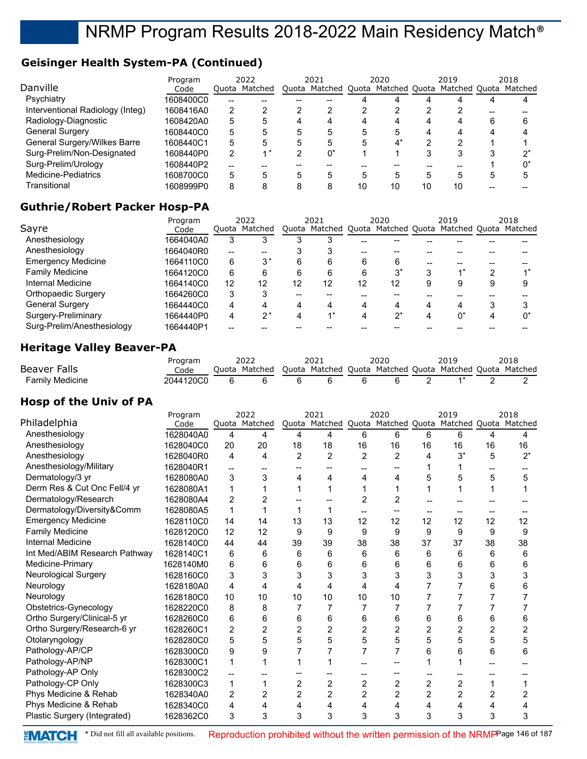## **Geisinger Health System-PA (Continued)**

| Danville                         | Program<br>Code |   | 2022<br>Quota Matched |   | 2021<br>Quota Matched Quota Matched Quota |    | 2020 |    | 2019<br>Matched Quota Matched |   | 2018 |
|----------------------------------|-----------------|---|-----------------------|---|-------------------------------------------|----|------|----|-------------------------------|---|------|
| Psychiatry                       | 1608400C0       |   |                       |   |                                           |    |      |    |                               |   |      |
| Interventional Radiology (Integ) | 1608416A0       | 2 |                       |   |                                           |    |      |    | ⌒                             |   |      |
| Radiology-Diagnostic             | 1608420A0       | 5 |                       | 4 | Δ                                         | 4  | 4    |    | 4                             | 6 |      |
| <b>General Surgery</b>           | 1608440C0       | 5 |                       | 5 | 5                                         | 5  | 5    |    |                               |   |      |
| General Surgery/Wilkes Barre     | 1608440C1       | 5 |                       | 5 | 5                                         | 5  | 4*   | ◠  | ◠                             |   |      |
| Surg-Prelim/Non-Designated       | 1608440P0       | 2 | $\star$               | っ |                                           |    |      |    | 3                             |   |      |
| Surg-Prelim/Urology              | 1608440P2       |   |                       |   |                                           |    |      |    |                               |   |      |
| Medicine-Pediatrics              | 1608700C0       | 5 |                       |   | 5                                         | 5  | 5    |    | 5                             |   |      |
| Transitional                     | 1608999P0       | 8 |                       |   |                                           | 10 | 10   | 10 | 10                            |   |      |

## **Guthrie/Robert Packer Hosp-PA**

|                            | 2022<br>Program |    |               | 2021 |                                                         | 2020 |       |   | 2019 |   | 2018 |
|----------------------------|-----------------|----|---------------|------|---------------------------------------------------------|------|-------|---|------|---|------|
| Sayre                      | Code            |    | Quota Matched |      | Quota Matched Quota Matched Quota Matched Quota Matched |      |       |   |      |   |      |
| Anesthesiology             | 1664040A0       | 3  |               |      |                                                         |      |       |   |      |   |      |
| Anesthesiology             | 1664040R0       | -- |               |      |                                                         |      |       |   |      |   |      |
| <b>Emergency Medicine</b>  | 1664110C0       | 6  | $3^*$         | 6    | 6                                                       | 6    | 6     |   |      |   |      |
| <b>Family Medicine</b>     | 1664120C0       | 6  | 6             | 6    | 6                                                       | 6    | $3^*$ |   |      | ◠ |      |
| Internal Medicine          | 1664140C0       | 12 | 12            | 12   | 12                                                      | 12   | 12    | 9 | 9    | 9 |      |
| Orthopaedic Surgery        | 1664260C0       | 3  |               | --   |                                                         |      |       |   |      |   |      |
| <b>General Surgery</b>     | 1664440C0       | 4  |               | 4    | Δ                                                       | Δ    | 4     |   | 4    | 3 |      |
| Surgery-Preliminary        | 1664440P0       | 4  | $2^*$         |      |                                                         | Δ    | ′^    |   | 0*   |   |      |
| Surg-Prelim/Anesthesiology | 1664440P1       |    |               |      |                                                         |      |       |   |      |   |      |

## **Heritage Valley Beaver-PA**

|                 | Program   |          | 2022                                                                  |       | 2021 |       | 2020 | 2019 | 2018 |
|-----------------|-----------|----------|-----------------------------------------------------------------------|-------|------|-------|------|------|------|
| Beaver Falls    | Code      |          | Quota Matched Quota Matched Quota Matched Quota Matched Quota Matched |       |      |       |      |      |      |
| Family Medicine | 2044120C0 | $\sim$ 6 |                                                                       | - 6 - |      | - 6 - |      |      |      |

## **Hosp of the Univ of PA**

|                               | Program   |                | 2022           |                | 2021          |                | 2020 |                | 2019                                      |                | 2018           |
|-------------------------------|-----------|----------------|----------------|----------------|---------------|----------------|------|----------------|-------------------------------------------|----------------|----------------|
| Philadelphia                  | Code      |                | Quota Matched  |                | Quota Matched |                |      |                | Quota Matched Quota Matched Quota Matched |                |                |
| Anesthesiology                | 1628040A0 | 4              | 4              | 4              | 4             | 6              | 6    | 6              | 6                                         |                |                |
| Anesthesiology                | 1628040C0 | 20             | 20             | 18             | 18            | 16             | 16   | 16             | 16                                        | 16             | 16             |
| Anesthesiology                | 1628040R0 | 4              | 4              | $\overline{2}$ | 2             | $\overline{2}$ | 2    | 4              | $3^*$                                     | 5              | $2^*$          |
| Anesthesiology/Military       | 1628040R1 | --             |                |                |               |                |      |                |                                           |                |                |
| Dermatology/3 yr              | 1628080A0 | 3              | 3              | 4              | 4             | 4              | 4    | 5              | 5                                         | 5              | 5              |
| Derm Res & Cut Onc Fell/4 yr  | 1628080A1 |                |                |                |               |                |      |                |                                           |                |                |
| Dermatology/Research          | 1628080A4 | 2              | $\overline{2}$ |                |               | 2              | 2    |                |                                           |                |                |
| Dermatology/Diversity&Comm    | 1628080A5 |                |                |                |               |                |      |                |                                           |                |                |
| <b>Emergency Medicine</b>     | 1628110C0 | 14             | 14             | 13             | 13            | 12             | 12   | 12             | 12                                        | 12             | 12             |
| <b>Family Medicine</b>        | 1628120C0 | 12             | 12             | 9              | 9             | 9              | 9    | 9              | 9                                         | 9              | 9              |
| <b>Internal Medicine</b>      | 1628140C0 | 44             | 44             | 39             | 39            | 38             | 38   | 37             | 37                                        | 38             | 38             |
| Int Med/ABIM Research Pathway | 1628140C1 | 6              | 6              | 6              | 6             | 6              | 6    | 6              | 6                                         | 6              | 6              |
| Medicine-Primary              | 1628140M0 | 6              | 6              | 6              | 6             | 6              | 6    | 6              | 6                                         | 6              | 6              |
| Neurological Surgery          | 1628160C0 | 3              | 3              | 3              | 3             | 3              | 3    | 3              | 3                                         | 3              | 3              |
| Neurology                     | 1628180A0 | 4              | 4              | 4              | 4             |                |      |                | 7                                         | 6              | 6              |
| Neurology                     | 1628180C0 | 10             | 10             | 10             | 10            | 10             | 10   |                |                                           |                |                |
| Obstetrics-Gynecology         | 1628220C0 | 8              | 8              |                | 7             |                |      |                | 7                                         |                |                |
| Ortho Surgery/Clinical-5 yr   | 1628260C0 | 6              | 6              | 6              | 6             | 6              | 6    | 6              | 6                                         | 6              | 6              |
| Ortho Surgery/Research-6 yr   | 1628260C1 | $\overline{2}$ | $\overline{2}$ | $\overline{2}$ | 2             | $\overline{2}$ | 2    | 2              | $\overline{2}$                            | $\overline{2}$ | $\overline{2}$ |
| Otolaryngology                | 1628280C0 | 5              | 5              | 5              | 5             | 5              | 5    | 5              | 5                                         | 5              | 5              |
| Pathology-AP/CP               | 1628300C0 | 9              | 9              |                |               | 7              |      | 6              | 6                                         | 6              | 6              |
| Pathology-AP/NP               | 1628300C1 |                |                |                |               |                |      |                |                                           |                |                |
| Pathology-AP Only             | 1628300C2 |                |                |                |               |                |      |                |                                           |                |                |
| Pathology-CP Only             | 1628300C3 | 1              |                | $\overline{2}$ | 2             | 2              | 2    | $\overline{c}$ | 2                                         |                |                |
| Phys Medicine & Rehab         | 1628340A0 | 2              | 2              | 2              | 2             | 2              | 2    | 2              | 2                                         |                | 2              |
| Phys Medicine & Rehab         | 1628340C0 | 4              | 4              | 4              | 4             | 4              | 4    | 4              | 4                                         | 4              | 4              |
| Plastic Surgery (Integrated)  | 1628362C0 | 3              | 3              | 3              | 3             | 3              | 3    | 3              | 3                                         | 3              | 3              |
|                               |           |                |                |                |               |                |      |                |                                           |                |                |

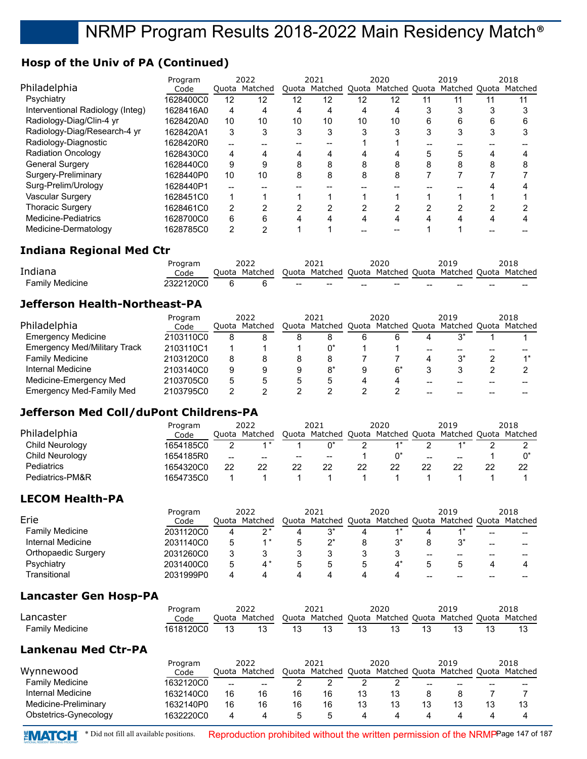## **Hosp of the Univ of PA (Continued)**

|                                  | Program   | 2022 |               | 2021 |                                   | 2020 |    | 2019 |                       |   | 2018 |
|----------------------------------|-----------|------|---------------|------|-----------------------------------|------|----|------|-----------------------|---|------|
| Philadelphia                     | Code      |      | Quota Matched |      | Quota Matched Quota Matched Quota |      |    |      | Matched Quota Matched |   |      |
| Psychiatry                       | 1628400C0 | 12   | 12            | 12   | 12                                | 12   | 12 |      |                       |   |      |
| Interventional Radiology (Integ) | 1628416A0 | 4    | 4             | 4    | 4                                 |      | 4  |      |                       |   |      |
| Radiology-Diag/Clin-4 yr         | 1628420A0 | 10   | 10            | 10   | 10                                | 10   | 10 | 6    | 6                     | 6 |      |
| Radiology-Diag/Research-4 yr     | 1628420A1 | 3    | 3             | 3    | 3                                 | 3    |    |      |                       |   |      |
| Radiology-Diagnostic             | 1628420R0 | $-$  |               |      |                                   |      |    |      |                       |   |      |
| <b>Radiation Oncology</b>        | 1628430C0 | 4    |               |      | 4                                 |      |    | 5    | 5                     |   |      |
| <b>General Surgery</b>           | 1628440C0 | 9    |               | 8    | 8                                 | 8    | 8  | 8    | 8                     | 8 |      |
| Surgery-Preliminary              | 1628440P0 | 10   | 10            | 8    | 8                                 | 8    | 8  |      |                       |   |      |
| Surg-Prelim/Urology              | 1628440P1 | --   |               |      |                                   |      |    |      |                       |   |      |
| Vascular Surgery                 | 1628451C0 | 1    |               |      |                                   |      |    |      |                       |   |      |
| <b>Thoracic Surgery</b>          | 1628461C0 | 2    |               |      | 2                                 |      |    |      |                       |   |      |
| <b>Medicine-Pediatrics</b>       | 1628700C0 | 6    |               |      |                                   |      | 4  |      |                       |   |      |
| Medicine-Dermatology             | 1628785C0 | 2    |               |      |                                   |      |    |      |                       |   |      |

## **Indiana Regional Med Ctr**

|                 | Program   |       | 2022    |                                                |                                                         |     | 2020              |    |    |       |       |
|-----------------|-----------|-------|---------|------------------------------------------------|---------------------------------------------------------|-----|-------------------|----|----|-------|-------|
| Indiana         | Code      | Juota | Matched |                                                | Quota Matched Quota Matched Quota Matched Quota Matched |     |                   |    |    |       |       |
| Family Medicine | 2322120C0 |       |         | $\hspace{0.1mm}-\hspace{0.1mm}-\hspace{0.1mm}$ | $\hspace{0.1mm}-\hspace{0.1mm}-\hspace{0.1mm}$          | $-$ | $\hspace{0.05cm}$ | -- | -- | $- -$ | $- -$ |

## **Jefferson Health-Northeast-PA**

|                                     | Program   | 2022 |               | 2021 |  | 2020 |    | 2019                                                    | 2018 |
|-------------------------------------|-----------|------|---------------|------|--|------|----|---------------------------------------------------------|------|
| Philadelphia                        | Code      |      | Ouota Matched |      |  |      |    | Quota Matched Quota Matched Quota Matched Quota Matched |      |
| <b>Emergency Medicine</b>           | 2103110C0 | 8    |               |      |  | 6    | 6  |                                                         |      |
| <b>Emergency Med/Military Track</b> | 2103110C1 |      |               |      |  |      |    |                                                         |      |
| <b>Family Medicine</b>              | 2103120C0 | 8    |               |      |  |      |    |                                                         |      |
| Internal Medicine                   | 2103140C0 | 9    |               |      |  | 9    | 6* |                                                         |      |
| Medicine-Emergency Med              | 2103705C0 | 5    |               |      |  | 4    |    |                                                         |      |
| <b>Emergency Med-Family Med</b>     | 2103795C0 |      |               |      |  |      |    |                                                         |      |

## **Jefferson Med Coll/duPont Childrens-PA**

|                   | Program   | 2022  |         | 2021             |                                   | 2020 |    |    | 2019          |    | 2018    |
|-------------------|-----------|-------|---------|------------------|-----------------------------------|------|----|----|---------------|----|---------|
| Philadelphia      | Code      | Ouota | Matched |                  | Quota Matched Quota Matched Quota |      |    |    | Matched Quota |    | Matched |
| Child Neurology   | 1654185C0 |       |         |                  |                                   |      |    |    |               |    |         |
| Child Neurology   | 1654185R0 | $- -$ | --      | $\hspace{0.5cm}$ | $- -$                             |      |    | -- | --            |    |         |
| <b>Pediatrics</b> | 1654320C0 | 22    | 22      | 22               | 22                                | 22   | 22 | 22 |               | 22 | 22      |
| Pediatrics-PM&R   | 1654735C0 |       |         |                  |                                   |      |    |    |               |    |         |

## **LECOM Health-PA**

|                        | Program   |   | 2022          |   | 2021                              | 2020 |    | 2019          |                 | 2018    |
|------------------------|-----------|---|---------------|---|-----------------------------------|------|----|---------------|-----------------|---------|
| Erie                   | Code      |   | Quota Matched |   | Quota Matched Quota Matched Quota |      |    | Matched Quota |                 | Matched |
| <b>Family Medicine</b> | 2031120C0 | 4 |               | 4 |                                   |      |    |               | $- -$           |         |
| Internal Medicine      | 2031140C0 | 5 |               |   |                                   |      |    |               | $- -$           | --      |
| Orthopaedic Surgery    | 2031260C0 |   |               |   |                                   |      | -- | --            | $\qquad \qquad$ |         |
| Psychiatry             | 2031400C0 | 5 |               |   |                                   |      |    |               |                 |         |
| Transitional           | 2031999P0 | 4 |               |   |                                   | д    |    |               | --              |         |

## **Lancaster Gen Hosp-PA**

|                 | Program   | 2022          | 2021                                                    | 2020 | 2019 | 2018 |
|-----------------|-----------|---------------|---------------------------------------------------------|------|------|------|
| Lancaster       | Code      | Ouota Matched | Ouota Matched Quota Matched Quota Matched Quota Matched |      |      |      |
| Family Medicine | 1618120C0 |               |                                                         |      |      |      |

## **Lankenau Med Ctr-PA**

|                        | Program   | 2022  |         | 2021  |         | 2020 |                     |    | 2019 |       | 2018                                           |
|------------------------|-----------|-------|---------|-------|---------|------|---------------------|----|------|-------|------------------------------------------------|
| Wynnewood              | Code      | Ouota | Matched | Ouota | Matched |      | Quota Matched Quota |    |      |       | Matched Quota Matched                          |
| <b>Family Medicine</b> | 1632120C0 | $- -$ | --      |       |         |      |                     | -- | --   | $- -$ | $\hspace{0.1mm}-\hspace{0.1mm}-\hspace{0.1mm}$ |
| Internal Medicine      | 1632140C0 | 16    | 16      | 16    | 16      |      |                     |    |      |       |                                                |
| Medicine-Preliminary   | 1632140P0 | 16    | 16      | 16    | 16      |      |                     |    |      |       | 13                                             |
| Obstetrics-Gynecology  | 1632220C0 |       |         |       |         |      |                     |    |      |       |                                                |



**\*MATCH** \* Did not fill all available positions. Reproduction prohibited without the written permission of the NRMPPage 147 of 187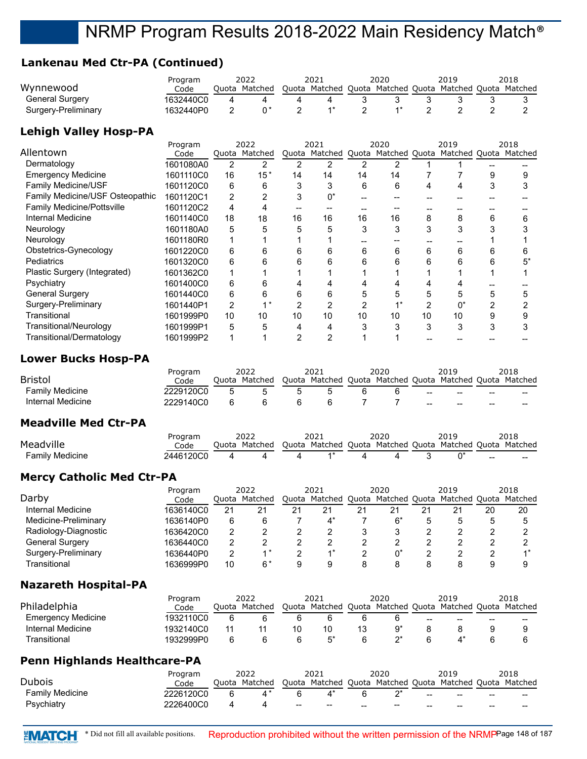## **Lankenau Med Ctr-PA (Continued)**

|                        | Program   | 2022          | 2021                                                    |  | 2020 |  | 2019 | 2018 |
|------------------------|-----------|---------------|---------------------------------------------------------|--|------|--|------|------|
| Wynnewood              | Code      | Quota Matched | Quota Matched Quota Matched Quota Matched Quota Matched |  |      |  |      |      |
| <b>General Surgery</b> | 1632440C0 |               |                                                         |  |      |  |      |      |
| Surgery-Preliminary    | 1632440P0 |               |                                                         |  |      |  |      |      |

## **Lehigh Valley Hosp-PA**

|                                   | Program   |    | 2022          |    | 2021                                                    |    | 2020 |    | 2019 |   | 2018 |
|-----------------------------------|-----------|----|---------------|----|---------------------------------------------------------|----|------|----|------|---|------|
| Allentown                         | Code      |    | Quota Matched |    | Quota Matched Quota Matched Quota Matched Quota Matched |    |      |    |      |   |      |
| Dermatology                       | 1601080A0 | 2  | 2             |    |                                                         | 2  |      |    |      |   |      |
| <b>Emergency Medicine</b>         | 1601110C0 | 16 | $15*$         | 14 | 14                                                      | 14 | 14   |    |      | 9 |      |
| <b>Family Medicine/USF</b>        | 1601120C0 | 6  | 6             |    | 3                                                       | 6  | 6    |    |      | 3 |      |
| Family Medicine/USF Osteopathic   | 1601120C1 | 2  |               |    | 0*                                                      |    |      |    |      |   |      |
| <b>Family Medicine/Pottsville</b> | 1601120C2 | 4  |               |    |                                                         |    |      |    |      |   |      |
| Internal Medicine                 | 1601140C0 | 18 | 18            | 16 | 16                                                      | 16 | 16   | 8  | 8    | 6 | 6    |
| Neurology                         | 1601180A0 | 5  |               |    | 5                                                       | 3  | 3    | 3  |      |   |      |
| Neurology                         | 1601180R0 |    |               |    |                                                         |    |      |    |      |   |      |
| Obstetrics-Gynecology             | 1601220C0 | 6  | 6             | 6  | 6                                                       | 6  | 6    | 6  | 6    | 6 |      |
| Pediatrics                        | 1601320C0 | 6  | հ             | հ  | 6                                                       | 6  | 6    | 6  | ค    |   |      |
| Plastic Surgery (Integrated)      | 1601362C0 |    |               |    |                                                         |    |      |    |      |   |      |
| Psychiatry                        | 1601400C0 | 6  | 6             |    |                                                         |    |      |    |      |   |      |
| <b>General Surgery</b>            | 1601440C0 | 6  | հ             | 6  | 6                                                       |    | 5    | 5  | 5    |   | 5    |
| Surgery-Preliminary               | 1601440P1 | 2  |               |    | 2                                                       |    |      | 2  | n*   |   |      |
| Transitional                      | 1601999P0 | 10 | 10            | 10 | 10                                                      | 10 | 10   | 10 | 10   | 9 |      |
| Transitional/Neurology            | 1601999P1 | 5  | 5             |    | 4                                                       |    | 3    | 3  | 3    |   |      |
| Transitional/Dermatology          | 1601999P2 |    |               |    |                                                         |    |      |    |      |   |      |

## **Lower Bucks Hosp-PA**

| Program                |           | 2022  |         | 2021  |                                                   | 2020 |  |    | 2019  |       | 2018  |
|------------------------|-----------|-------|---------|-------|---------------------------------------------------|------|--|----|-------|-------|-------|
| <b>Bristol</b>         | Code      | Ouota | Matched | Ouota | Matched Quota Matched Quota Matched Quota Matched |      |  |    |       |       |       |
| <b>Family Medicine</b> | 2229120C0 |       |         |       |                                                   |      |  | -- | $-$   | --    | $- -$ |
| Internal Medicine      | 2229140C0 |       |         |       |                                                   |      |  | -- | $- -$ | $- -$ | $- -$ |

## **Meadville Med Ctr-PA**

|                        |           |       |         |       |         |       | 2020    |       |           |                 | 2018    |
|------------------------|-----------|-------|---------|-------|---------|-------|---------|-------|-----------|-----------------|---------|
| Mean                   | Code      | วuota | Matched | Juota | Matched | Ouota | Matched | Ouota | Matched C | Ouota           | Matched |
| <b>Family Medicine</b> | 2446120C0 |       |         |       |         |       |         |       |           | $\qquad \qquad$ | $- -$   |

## **Mercy Catholic Med Ctr-PA**

|                      | 2022<br>Program |       |         | 2021 |                                                 | 2020 |    | 2019 |    | 2018 |         |
|----------------------|-----------------|-------|---------|------|-------------------------------------------------|------|----|------|----|------|---------|
| Darby                | Code            | Ouota | Matched |      | Quota Matched Quota Matched Quota Matched Quota |      |    |      |    |      | Matched |
| Internal Medicine    | 1636140C0       | 21    | 21      | 21   | 21                                              | 21   | 21 | 21   | 21 | 20   | 20      |
| Medicine-Preliminary | 1636140P0       | 6     |         |      |                                                 |      |    |      |    |      |         |
| Radiology-Diagnostic | 1636420C0       | 2     |         |      |                                                 |      |    |      |    |      |         |
| General Surgery      | 1636440C0       | 2     |         |      |                                                 |      |    |      |    |      |         |
| Surgery-Preliminary  | 1636440P0       | 2     |         |      |                                                 |      |    |      |    |      |         |
| Transitional         | 1636999P0       | 10    | $6*$    |      |                                                 |      |    |      |    |      |         |

## **Nazareth Hospital-PA**

|                    | Program   |       | 2022    |       | 2021    |       | 2020          |       | 2019                  |       | 2018  |
|--------------------|-----------|-------|---------|-------|---------|-------|---------------|-------|-----------------------|-------|-------|
| Philadelphia       | Code      | Ouota | Matched | Quota | Matched | Quota | Matched Quota |       | Matched Quota Matched |       |       |
| Emergency Medicine | 1932110C0 |       |         |       |         |       |               | $- -$ | $- -$                 | $- -$ | $- -$ |
| Internal Medicine  | 1932140C0 | 11    |         | 10    | 10      |       |               |       |                       |       |       |
| Transitional       | 1932999P0 |       |         |       |         |       |               |       |                       |       |       |

## **Penn Highlands Healthcare-PA**

|                        | Program   | 2022          |                                       | 2021                                                    |       | 2020  |       | 2019 |       | 2018  |
|------------------------|-----------|---------------|---------------------------------------|---------------------------------------------------------|-------|-------|-------|------|-------|-------|
| <b>Dubois</b>          | Code      | Ouota Matched |                                       | Quota Matched Quota Matched Quota Matched Quota Matched |       |       |       |      |       |       |
| <b>Family Medicine</b> | 2226120C0 |               |                                       |                                                         |       | ∩∗    | $- -$ | --   | $- -$ | $-$   |
| Psychiatry             | 2226400C0 |               | $\hspace{0.05cm}$ – $\hspace{0.05cm}$ | $\hspace{0.1mm}-\hspace{0.1mm}-\hspace{0.1mm}$          | $- -$ | $- -$ | $- -$ | --   | $- -$ | $- -$ |

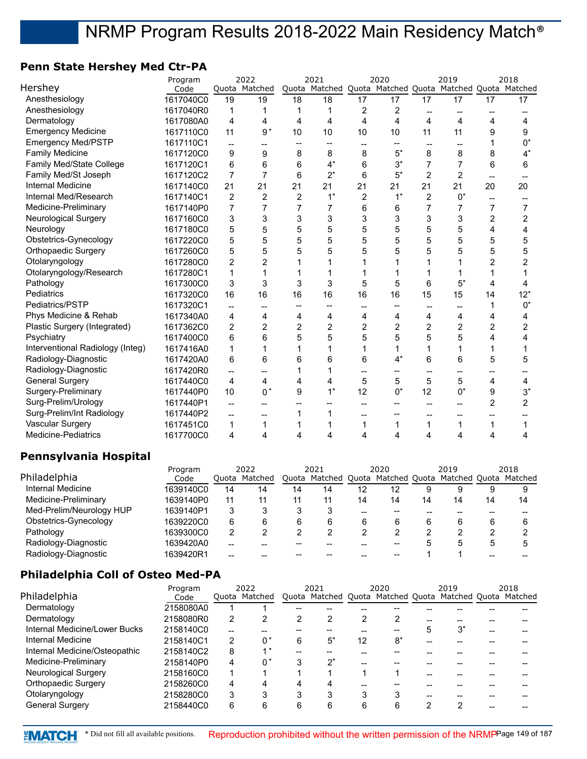## **Penn State Hershey Med Ctr-PA**

|                                  | Program   |                | 2022           |                | 2021           |                | 2020  |                          | 2019                                                    |                        | 2018           |
|----------------------------------|-----------|----------------|----------------|----------------|----------------|----------------|-------|--------------------------|---------------------------------------------------------|------------------------|----------------|
| Hershey                          | Code      |                | Quota Matched  |                |                |                |       |                          | Quota Matched Quota Matched Quota Matched Quota Matched |                        |                |
| Anesthesiology                   | 1617040C0 | 19             | 19             | 18             | 18             | 17             | 17    | 17                       | 17                                                      | 17                     | 17             |
| Anesthesiology                   | 1617040R0 | 1              | 1              | 1              | 1              | 2              | 2     | --                       |                                                         |                        |                |
| Dermatology                      | 1617080A0 | 4              | 4              | 4              | 4              | 4              | 4     | 4                        | 4                                                       | 4                      | 4              |
| <b>Emergency Medicine</b>        | 1617110C0 | 11             | $9*$           | 10             | 10             | 10             | 10    | 11                       | 11                                                      | 9                      | 9              |
| <b>Emergency Med/PSTP</b>        | 1617110C1 | --             |                |                |                |                |       |                          |                                                         |                        | $0^*$          |
| <b>Family Medicine</b>           | 1617120C0 | 9              | 9              | 8              | 8              | 8              | $5^*$ | 8                        | 8                                                       | 8                      | $4^*$          |
| Family Med/State College         | 1617120C1 | 6              | 6              | 6              | $4^*$          | 6              | $3^*$ | $\overline{7}$           | 7                                                       | 6                      | 6              |
| Family Med/St Joseph             | 1617120C2 | $\overline{7}$ | $\overline{7}$ | 6              | $2^*$          | 6              | $5^*$ | $\overline{2}$           | $\overline{2}$                                          | $\qquad \qquad \cdots$ |                |
| Internal Medicine                | 1617140C0 | 21             | 21             | 21             | 21             | 21             | 21    | 21                       | 21                                                      | 20                     | 20             |
| Internal Med/Research            | 1617140C1 | $\overline{c}$ | $\overline{c}$ | $\overline{c}$ | $1^*$          | $\overline{2}$ | $1^*$ | $\overline{2}$           | $0^*$                                                   | --                     |                |
| Medicine-Preliminary             | 1617140P0 | $\overline{7}$ | $\overline{7}$ |                | 7              | 6              | 6     | $\overline{7}$           | 7                                                       | 7                      | 7              |
| <b>Neurological Surgery</b>      | 1617160C0 | 3              | 3              | 3              | 3              | 3              | 3     | 3                        | 3                                                       | $\overline{2}$         | 2              |
| Neurology                        | 1617180C0 | 5              | 5              | 5              | 5              | 5              | 5     | 5                        | 5                                                       | 4                      | 4              |
| Obstetrics-Gynecology            | 1617220C0 | 5              | 5              | 5              | 5              | 5              | 5     | 5                        | 5                                                       | 5                      | 5              |
| Orthopaedic Surgery              | 1617260C0 | 5              | 5              | 5              | 5              | 5              | 5     | 5                        | 5                                                       | 5                      | 5              |
| Otolaryngology                   | 1617280C0 | $\overline{c}$ | $\overline{2}$ |                | 1              |                |       | 1                        | 1                                                       | 2                      | 2              |
| Otolaryngology/Research          | 1617280C1 | 1              | 1              |                |                |                |       | 1                        | 1                                                       |                        | 1              |
| Pathology                        | 1617300C0 | 3              | 3              | 3              | 3              | 5              | 5     | 6                        | $5^*$                                                   | 4                      | 4              |
| Pediatrics                       | 1617320C0 | 16             | 16             | 16             | 16             | 16             | 16    | 15                       | 15                                                      | 14                     | $12*$          |
| Pediatrics/PSTP                  | 1617320C1 | --             |                |                |                |                |       |                          |                                                         | 1                      | $0^*$          |
| Phys Medicine & Rehab            | 1617340A0 | 4              | 4              | 4              | 4              | 4              | 4     | 4                        | 4                                                       | 4                      | 4              |
| Plastic Surgery (Integrated)     | 1617362C0 | 2              | $\overline{2}$ | $\overline{c}$ | $\overline{c}$ | $\overline{2}$ | 2     | $\overline{c}$           | 2                                                       | 2                      | 2              |
| Psychiatry                       | 1617400C0 | 6              | 6              | 5              | 5              | 5              | 5     | 5                        | 5                                                       | 4                      | 4              |
| Interventional Radiology (Integ) | 1617416A0 | 1              | 1              |                | 1              | 1              | 1     | 1                        | 1                                                       | 1                      |                |
| Radiology-Diagnostic             | 1617420A0 | 6              | 6              | 6              | 6              | 6              | $4^*$ | 6                        | 6                                                       | 5                      | 5              |
| Radiology-Diagnostic             | 1617420R0 | --             | --             |                | 1              |                |       | $\overline{\phantom{a}}$ |                                                         |                        |                |
| <b>General Surgery</b>           | 1617440C0 | 4              | 4              | 4              | 4              | 5              | 5     | 5                        | 5                                                       | 4                      | 4              |
| Surgery-Preliminary              | 1617440P0 | 10             | $0^*$          | 9              | $1^*$          | 12             | $0^*$ | 12                       | $0^*$                                                   | 9                      | $3^*$          |
| Surg-Prelim/Urology              | 1617440P1 | --             | $-$            |                | --             |                |       |                          |                                                         | $\overline{2}$         | $\overline{2}$ |
| Surg-Prelim/Int Radiology        | 1617440P2 | --             | $\overline{a}$ | 1              | 1              |                |       |                          |                                                         |                        |                |
| Vascular Surgery                 | 1617451C0 | 1              | 1              | 1              | 1              | $\mathbf 1$    | 1     | 1                        | 1                                                       | 1                      | 1              |
| Medicine-Pediatrics              | 1617700C0 | 4              | 4              | 4              | 4              | 4              | 4     | 4                        | 4                                                       | 4                      | 4              |
|                                  |           |                |                |                |                |                |       |                          |                                                         |                        |                |

## **Pennsylvania Hospital**

|                          | Program   | 2022 |               | 2021  |                             | 2020 |    |    | 2019                  |              | 2018 |
|--------------------------|-----------|------|---------------|-------|-----------------------------|------|----|----|-----------------------|--------------|------|
| Philadelphia             | Code      |      | Quota Matched | Quota | Matched Quota Matched Quota |      |    |    | Matched Quota Matched |              |      |
| Internal Medicine        | 1639140C0 | 14   | 14            | 14    | 14                          | 12   | 12 | 9  |                       | 9            |      |
| Medicine-Preliminary     | 1639140P0 | 11   |               | 11    | 11                          | 14   | 14 | 14 | 14                    | 14           | 14   |
| Med-Prelim/Neurology HUP | 1639140P1 | 3    |               |       |                             |      |    |    |                       |              |      |
| Obstetrics-Gynecology    | 1639220C0 | 6    | 6             | 6     | 6                           | 6    | 6  |    | 6                     | 6            |      |
| Pathology                | 1639300C0 | 2    |               |       |                             |      |    |    |                       |              |      |
| Radiology-Diagnostic     | 1639420A0 | --   |               |       |                             |      | -- |    | ۰.                    | <sub>5</sub> |      |
| Radiology-Diagnostic     | 1639420R1 | --   |               |       |                             |      |    |    |                       |              |      |

## **Philadelphia Coll of Osteo Med-PA**

|                               | Program   | 2022           |               | 2021 |                                                         | 2020 |      |   | 2019  | 2018 |
|-------------------------------|-----------|----------------|---------------|------|---------------------------------------------------------|------|------|---|-------|------|
| Philadelphia                  | Code      |                | Quota Matched |      | Quota Matched Quota Matched Quota Matched Quota Matched |      |      |   |       |      |
| Dermatology                   | 2158080A0 |                |               |      |                                                         |      |      |   |       |      |
| Dermatology                   | 2158080R0 | 2              |               | 2    | 2                                                       | 2    | 2    |   |       |      |
| Internal Medicine/Lower Bucks | 2158140C0 | --             |               |      |                                                         |      |      |   | $3^*$ |      |
| Internal Medicine             | 2158140C1 | $\overline{2}$ | 0*            | 6    | $5^*$                                                   | 12   | $8*$ |   |       |      |
| Internal Medicine/Osteopathic | 2158140C2 | 8              | $4 *$         |      |                                                         |      |      |   |       |      |
| Medicine-Preliminary          | 2158140P0 | 4              | 0*            | 3    | 2*                                                      |      |      |   |       |      |
| <b>Neurological Surgery</b>   | 2158160C0 |                |               |      |                                                         |      |      |   |       |      |
| <b>Orthopaedic Surgery</b>    | 2158260C0 | 4              |               |      |                                                         |      |      |   |       |      |
| Otolaryngology                | 2158280C0 | 3              |               |      | 3                                                       |      |      |   |       |      |
| <b>General Surgery</b>        | 2158440C0 | 6              | 6             | 6    | 6                                                       | 6    | 6    | ົ | っ     |      |
|                               |           |                |               |      |                                                         |      |      |   |       |      |

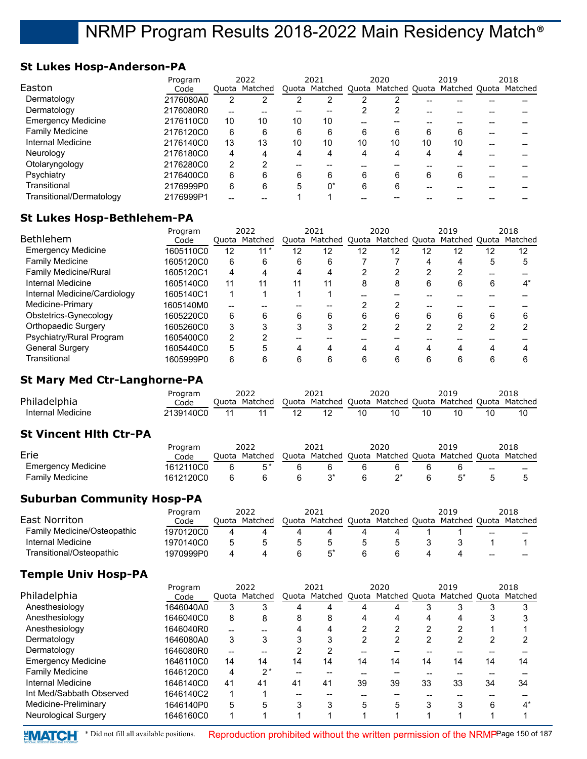## **St Lukes Hosp-Anderson-PA**

|                           | Program   |                | 2022          |    | 2021                                                    |    | 2020 |    | 2019 | 2018 |
|---------------------------|-----------|----------------|---------------|----|---------------------------------------------------------|----|------|----|------|------|
| Easton                    | Code      |                | Quota Matched |    | Quota Matched Quota Matched Quota Matched Quota Matched |    |      |    |      |      |
| Dermatology               | 2176080A0 | 2              |               |    |                                                         |    |      |    |      |      |
| Dermatology               | 2176080R0 | $- -$          |               |    |                                                         |    |      |    |      |      |
| <b>Emergency Medicine</b> | 2176110C0 | 10             | 10            | 10 | 10                                                      |    |      |    |      |      |
| <b>Family Medicine</b>    | 2176120C0 | 6              | 6             | 6  | 6                                                       | 6  | 6    | 6  | 6    |      |
| Internal Medicine         | 2176140C0 | 13             | 13            | 10 | 10                                                      | 10 | 10   | 10 | 10   |      |
| Neurology                 | 2176180C0 | 4              | Δ             | 4  | 4                                                       | 4  | 4    | 4  | 4    |      |
| Otolaryngology            | 2176280C0 | $\overline{2}$ | າ             |    |                                                         |    |      |    |      |      |
| Psychiatry                | 2176400C0 | 6              | 6             | 6  | 6                                                       | 6  | 6    | 6  | 6    |      |
| Transitional              | 2176999P0 | 6              | 6             | 5  | 0*                                                      | 6  | 6    |    |      |      |
| Transitional/Dermatology  | 2176999P1 |                |               |    |                                                         |    |      |    |      |      |
|                           |           |                |               |    |                                                         |    |      |    |      |      |

## **St Lukes Hosp-Bethlehem-PA**

|                              | Program   |    | 2022          |    | 2021                                            |    | 2020 |    | 2019 |    | 2018    |
|------------------------------|-----------|----|---------------|----|-------------------------------------------------|----|------|----|------|----|---------|
| <b>Bethlehem</b>             | Code      |    | Ouota Matched |    | Quota Matched Quota Matched Quota Matched Quota |    |      |    |      |    | Matched |
| <b>Emergency Medicine</b>    | 1605110C0 | 12 | $11*$         | 12 | 12                                              | 12 | 12   | 12 | 12   | 12 | 12      |
| <b>Family Medicine</b>       | 1605120C0 | 6  | 6             | 6  | 6                                               |    |      |    | 4    | 5  |         |
| <b>Family Medicine/Rural</b> | 1605120C1 | 4  |               | 4  | 4                                               |    | ⌒    |    | າ    |    |         |
| Internal Medicine            | 1605140C0 | 11 | 11            | 11 | 11                                              | 8  | 8    | 6  | 6    | 6  |         |
| Internal Medicine/Cardiology | 1605140C1 |    |               |    |                                                 |    |      |    |      |    |         |
| Medicine-Primary             | 1605140M0 | -- |               |    |                                                 |    | っ    |    |      |    |         |
| Obstetrics-Gynecology        | 1605220C0 | 6  | 6             | 6  | 6                                               | 6  | 6    | 6  | 6    | 6  |         |
| Orthopaedic Surgery          | 1605260C0 | 3  |               |    |                                                 | ◠  | ◠    |    | っ    |    |         |
| Psychiatry/Rural Program     | 1605400C0 | 2  |               |    |                                                 |    |      |    |      |    |         |
| <b>General Surgery</b>       | 1605440C0 | 5  |               | Λ  | Δ                                               |    | Δ    |    |      |    |         |
| Transitional                 | 1605999P0 | 6  |               | 6  |                                                 | 6  | 6    |    | n    |    |         |

## **St Mary Med Ctr-Langhorne-PA**

| Philadelphia                  | Program<br>Code |    | 2022<br>Quota Matched |    | 2021 |    | 2020 |    | 2019<br>Quota Matched Quota Matched Quota Matched Quota Matched |    | 2018 |
|-------------------------------|-----------------|----|-----------------------|----|------|----|------|----|-----------------------------------------------------------------|----|------|
| Internal Medicine             | 2139140C0       | 11 | 11                    | 12 | 12   | 10 | 10   | 10 | 10                                                              | 10 |      |
| <b>St Vincent Hith Ctr-PA</b> |                 |    |                       |    |      |    |      |    |                                                                 |    |      |

|                           | Program   | 2022          |   | 2021                                                    | 2020 | 2019 |     | 2018  |
|---------------------------|-----------|---------------|---|---------------------------------------------------------|------|------|-----|-------|
| Erie                      | Code      | Ouota Matched |   | Quota Matched Quota Matched Quota Matched Quota Matched |      |      |     |       |
| <b>Emergency Medicine</b> | 1612110C0 |               | ĥ |                                                         |      |      | $-$ | $- -$ |
| Family Medicine           | 1612120C0 |               |   |                                                         |      |      |     |       |

## **Suburban Community Hosp-PA**

|                                    | Program   |       | 2022    |       | 2021    |       | 2020          | 2019                  |       | 2018  |
|------------------------------------|-----------|-------|---------|-------|---------|-------|---------------|-----------------------|-------|-------|
| East Norriton                      | Code      | Ouota | Matched | Ouota | Matched | Quota | Matched Quota | Matched Quota Matched |       |       |
| <b>Family Medicine/Osteopathic</b> | 1970120C0 |       |         |       |         |       |               |                       | $- -$ | $- -$ |
| Internal Medicine                  | 1970140C0 |       |         |       |         |       |               |                       |       |       |
| Transitional/Osteopathic           | 1970999P0 |       |         |       |         |       |               |                       | $-$   | $- -$ |

## **Temple Univ Hosp-PA**

|                             |           | 2022<br>Program |               | 2021 |                                   | 2020 |    |    | 2019 |    | 2018                  |
|-----------------------------|-----------|-----------------|---------------|------|-----------------------------------|------|----|----|------|----|-----------------------|
| Philadelphia                | Code      |                 | Ouota Matched |      | Quota Matched Quota Matched Quota |      |    |    |      |    | Matched Quota Matched |
| Anesthesiology              | 1646040A0 | 3               |               |      |                                   |      |    |    |      |    |                       |
| Anesthesiology              | 1646040C0 | 8               | 8             | 8    | 8                                 | 4    | 4  | 4  | 4    | 3  |                       |
| Anesthesiology              | 1646040R0 | --              |               | Δ    | 4                                 | າ    | ≘  | ≘  | ົ    |    |                       |
| Dermatology                 | 1646080A0 | 3               |               |      | 3                                 | 2    | ົ  | ≘  | າ    | ົ  |                       |
| Dermatology                 | 1646080R0 | --              |               |      | າ                                 |      |    |    |      |    |                       |
| <b>Emergency Medicine</b>   | 1646110C0 | 14              | 14            | 14   | 14                                | 14   | 14 | 14 | 14   | 14 | 14                    |
| <b>Family Medicine</b>      | 1646120C0 | 4               | $2^*$         |      |                                   |      |    |    |      |    |                       |
| Internal Medicine           | 1646140C0 | 41              | 41            | 41   | 41                                | 39   | 39 | 33 | 33   | 34 | 34                    |
| Int Med/Sabbath Observed    | 1646140C2 | 1               |               |      |                                   |      |    |    |      |    |                       |
| Medicine-Preliminary        | 1646140P0 | 5               | 5             | 3    | 3                                 | 5    | 5  | ົ  | 3    | 6  | $\mathbf{1}^*$        |
| <b>Neurological Surgery</b> | 1646160C0 |                 |               |      |                                   |      |    |    |      |    |                       |

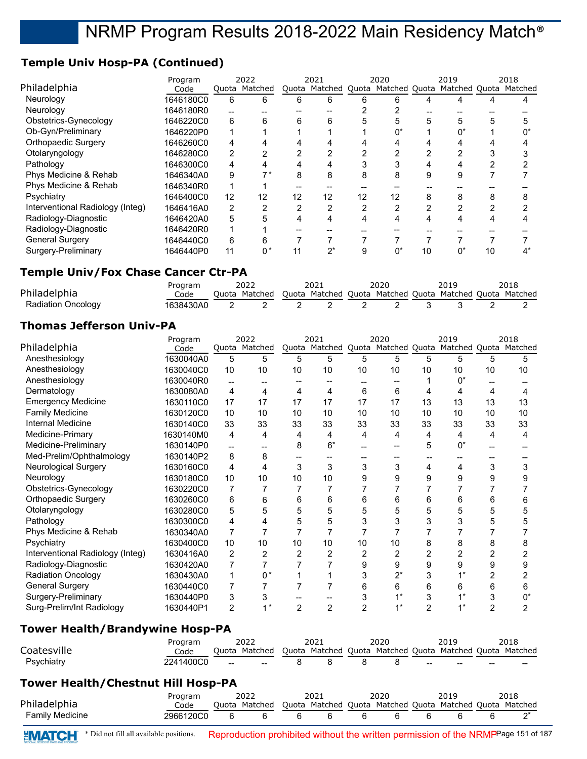## **Temple Univ Hosp-PA (Continued)**

|                                  | Program   |    | 2022          |    | 2021                                                    |    | 2020 |    | 2019 |    | 2018 |
|----------------------------------|-----------|----|---------------|----|---------------------------------------------------------|----|------|----|------|----|------|
| Philadelphia                     | Code      |    | Quota Matched |    | Quota Matched Quota Matched Quota Matched Quota Matched |    |      |    |      |    |      |
| Neurology                        | 1646180C0 | 6  | 6             | 6  | 6                                                       | 6  |      |    |      |    |      |
| Neurology                        | 1646180R0 | -- |               |    |                                                         |    |      |    |      |    |      |
| Obstetrics-Gynecology            | 1646220C0 | 6  | 6             | 6  | 6                                                       |    |      | 5  | 5    |    |      |
| Ob-Gyn/Preliminary               | 1646220P0 |    |               |    |                                                         |    |      |    |      |    |      |
| Orthopaedic Surgery              | 1646260C0 | 4  |               |    | 4                                                       |    |      |    | 4    |    |      |
| Otolaryngology                   | 1646280C0 | 2  |               |    | 2                                                       |    |      |    |      |    |      |
| Pathology                        | 1646300C0 | 4  |               |    | 4                                                       |    |      |    |      |    |      |
| Phys Medicine & Rehab            | 1646340A0 | 9  |               | 8  | 8                                                       | 8  | 8    | 9  | 9    |    |      |
| Phys Medicine & Rehab            | 1646340R0 |    |               |    |                                                         |    |      |    |      |    |      |
| Psychiatry                       | 1646400C0 | 12 | 12            | 12 | 12                                                      | 12 | 12   | 8  | 8    | 8  |      |
| Interventional Radiology (Integ) | 1646416A0 | 2  | ◠             | 2  | 2                                                       | 2  | っ    | ◠  | ◠    | ⌒  |      |
| Radiology-Diagnostic             | 1646420A0 | 5  |               |    | 4                                                       | 4  |      |    |      |    |      |
| Radiology-Diagnostic             | 1646420R0 |    |               |    |                                                         |    |      |    |      |    |      |
| <b>General Surgery</b>           | 1646440C0 | 6  | n             |    |                                                         |    |      |    |      |    |      |
| Surgery-Preliminary              | 1646440P0 | 11 | $0^*$         |    | $2^*$                                                   |    | 0*   | 10 | 0*   | 10 |      |

## **Temple Univ/Fox Chase Cancer Ctr-PA**

|                    | Program   | 2022                                                                  | 2021 | 2020 | 2019 | 2018 |
|--------------------|-----------|-----------------------------------------------------------------------|------|------|------|------|
| Philadelphia       | Code      | Quota Matched Quota Matched Quota Matched Quota Matched Quota Matched |      |      |      |      |
| Radiation Oncology | 1638430A0 |                                                                       |      |      |      |      |

## **Thomas Jefferson Univ-PA**

|                                  |                 |                | 2022           |                | 2021           |                | 2020  |                | 2019                                      |                | 2018           |
|----------------------------------|-----------------|----------------|----------------|----------------|----------------|----------------|-------|----------------|-------------------------------------------|----------------|----------------|
| Philadelphia                     | Program<br>Code |                | Quota Matched  |                | Quota Matched  |                |       |                | Quota Matched Quota Matched Quota Matched |                |                |
| Anesthesiology                   | 1630040A0       | 5              | 5              | 5              | 5              | 5              | 5     | 5              | 5                                         | 5              | 5              |
| Anesthesiology                   | 1630040C0       | 10             | 10             | 10             | 10             | 10             | 10    | 10             | 10                                        | 10             | 10             |
| Anesthesiology                   | 1630040R0       | $-$            | --             |                |                |                |       |                | n*                                        |                |                |
| Dermatology                      | 1630080A0       | 4              | 4              | 4              | 4              | 6              | 6     | 4              | 4                                         | 4              | 4              |
| <b>Emergency Medicine</b>        | 1630110C0       | 17             | 17             | 17             | 17             | 17             | 17    | 13             | 13                                        | 13             | 13             |
| <b>Family Medicine</b>           | 1630120C0       | 10             | 10             | 10             | 10             | 10             | 10    | 10             | 10                                        | 10             | 10             |
| <b>Internal Medicine</b>         | 1630140C0       | 33             | 33             | 33             | 33             | 33             | 33    | 33             | 33                                        | 33             | 33             |
| Medicine-Primary                 | 1630140M0       | 4              | 4              | 4              | 4              | 4              | 4     | 4              | 4                                         | 4              | 4              |
| Medicine-Preliminary             | 1630140P0       | --             |                | 8              | $6*$           |                |       | 5              | $0^*$                                     |                |                |
| Med-Prelim/Ophthalmology         | 1630140P2       | 8              | 8              |                |                |                |       |                |                                           |                |                |
| <b>Neurological Surgery</b>      | 1630160C0       | 4              | 4              | 3              | 3              | 3              | 3     | 4              | 4                                         | 3              | 3              |
| Neurology                        | 1630180C0       | 10             | 10             | 10             | 10             | 9              | 9     | 9              | 9                                         | 9              | 9              |
| Obstetrics-Gynecology            | 1630220C0       | 7              |                |                |                |                |       |                |                                           |                |                |
| Orthopaedic Surgery              | 1630260C0       | 6              | 6              | 6              | 6              | 6              | 6     | 6              | 6                                         | 6              | 6              |
| Otolaryngology                   | 1630280C0       | 5              | 5              | 5              | 5              | 5              | 5     | 5              | 5                                         | 5              | 5              |
| Pathology                        | 1630300C0       | 4              | 4              | 5              | 5              | 3              | 3     | 3              | 3                                         | 5              | 5              |
| Phys Medicine & Rehab            | 1630340A0       | 7              | 7              | 7              | 7              | 7              |       |                |                                           |                |                |
| Psychiatry                       | 1630400C0       | 10             | 10             | 10             | 10             | 10             | 10    | 8              | 8                                         | 8              | 8              |
| Interventional Radiology (Integ) | 1630416A0       | $\overline{2}$ | $\overline{2}$ | $\overline{2}$ | $\overline{2}$ | 2              | 2     | $\overline{2}$ |                                           | 2              |                |
| Radiology-Diagnostic             | 1630420A0       | 7              |                |                |                | 9              | 9     | 9              | 9                                         | 9              | 9              |
| <b>Radiation Oncology</b>        | 1630430A0       | 1              | $0*$           |                |                | 3              | $2^*$ | 3              |                                           | 2              |                |
| <b>General Surgery</b>           | 1630440C0       | 7              |                |                | 7              | 6              | 6     | 6              | 6                                         | 6              | 6              |
| Surgery-Preliminary              | 1630440P0       | 3              | 3              |                |                | 3              |       | 3              | $1^*$                                     | 3              | $0^*$          |
| Surg-Prelim/Int Radiology        | 1630440P1       | $\overline{2}$ | $1^*$          | $\overline{2}$ | $\overline{2}$ | $\overline{2}$ |       | $\overline{2}$ | $1^*$                                     | $\overline{2}$ | $\overline{2}$ |

## **Tower Health/Brandywine Hosp-PA**

|             | Program   |               | 2022          | 2021 | 2020 | 2019 |        | 2018                                                    |
|-------------|-----------|---------------|---------------|------|------|------|--------|---------------------------------------------------------|
| Coatesville | Code      |               | Quota Matched |      |      |      |        | Quota Matched Quota Matched Quota Matched Quota Matched |
| Psychiatry  | 2241400C0 | $\sim$ $\sim$ |               |      |      |      | $\sim$ | $\sim$                                                  |

## **Tower Health/Chestnut Hill Hosp-PA**

|                 | Program   | 2022                                                                  | 2021 | 2020 | 2019 | 2018 |
|-----------------|-----------|-----------------------------------------------------------------------|------|------|------|------|
| Philadelphia    | Code      | Quota Matched Quota Matched Quota Matched Quota Matched Quota Matched |      |      |      |      |
| Family Medicine | 2966120C0 |                                                                       |      |      |      |      |

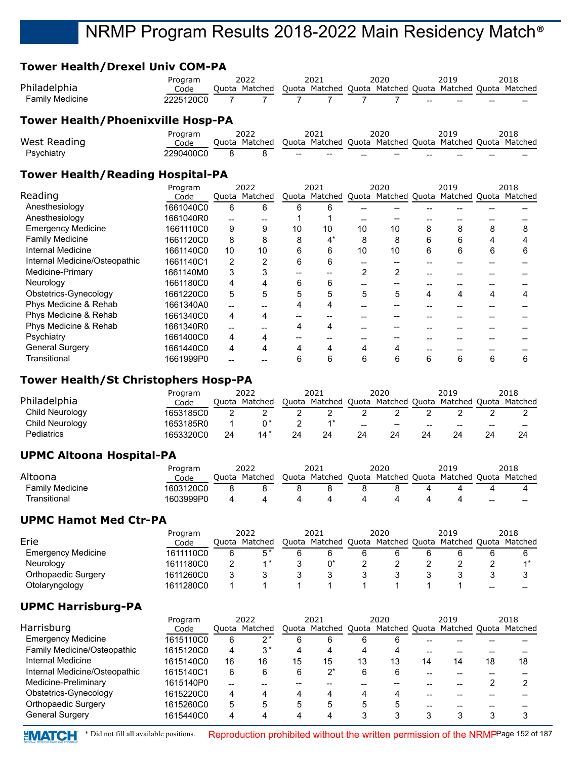## **Tower Health/Drexel Univ COM-PA**

| Philadelphia    | Program<br>Code | 2022<br>Quota Matched Quota Matched Quota Matched Quota Matched Quota Matched |                      | 2021 | 2020 | 2019                  |                 | 2018  |
|-----------------|-----------------|-------------------------------------------------------------------------------|----------------------|------|------|-----------------------|-----------------|-------|
| Family Medicine | 2225120C0       |                                                                               | $\sim$ $\sim$ $\sim$ |      |      | <u>______________</u> | $\qquad \qquad$ | $- -$ |

### **Tower Health/Phoenixville Hosp-PA**

|              | Program   | 2022                                                                  |        | 2021  |     | 2020                     |    | 2019 |    | 2018 |
|--------------|-----------|-----------------------------------------------------------------------|--------|-------|-----|--------------------------|----|------|----|------|
| West Reading | Code      | Quota Matched Quota Matched Quota Matched Quota Matched Quota Matched |        |       |     |                          |    |      |    |      |
| Psychiatry   | 2290400C0 |                                                                       | $\sim$ | $- -$ | $-$ | $\overline{\phantom{a}}$ | -- | --   | -- | ---  |

#### **Tower Health/Reading Hospital-PA**

|                               | Program   |       | 2022          |    | 2021                                                    |    | 2020 |   | 2019 |   | 2018 |
|-------------------------------|-----------|-------|---------------|----|---------------------------------------------------------|----|------|---|------|---|------|
| Reading                       | Code      |       | Quota Matched |    | Quota Matched Quota Matched Quota Matched Quota Matched |    |      |   |      |   |      |
| Anesthesiology                | 1661040C0 | 6     | 6             | 6  | ี                                                       |    |      |   |      |   |      |
| Anesthesiology                | 1661040R0 | $- -$ |               |    |                                                         |    |      |   |      |   |      |
| <b>Emergency Medicine</b>     | 1661110C0 | 9     | 9             | 10 | 10                                                      | 10 | 10   | 8 | 8    | 8 | 8    |
| <b>Family Medicine</b>        | 1661120C0 | 8     | 8             | 8  | $4^*$                                                   | 8  | 8    | 6 | 6    |   |      |
| Internal Medicine             | 1661140C0 | 10    | 10            | 6  | 6                                                       | 10 | 10   | 6 | 6    | 6 | 6    |
| Internal Medicine/Osteopathic | 1661140C1 | 2     |               | 6  | 6                                                       |    |      |   |      |   |      |
| Medicine-Primary              | 1661140M0 | 3     |               |    |                                                         |    | 2    |   |      |   |      |
| Neurology                     | 1661180C0 | 4     |               | 6  | 6                                                       |    |      |   |      |   |      |
| Obstetrics-Gynecology         | 1661220C0 | 5     | 5             | 5  | 5                                                       | 5  | 5    | 4 | 4    | 4 |      |
| Phys Medicine & Rehab         | 1661340A0 |       |               | 4  | 4                                                       |    |      |   |      |   |      |
| Phys Medicine & Rehab         | 1661340C0 | 4     |               |    |                                                         |    |      |   |      |   |      |
| Phys Medicine & Rehab         | 1661340R0 |       |               | 4  | 4                                                       |    |      |   |      |   |      |
| Psychiatry                    | 1661400C0 | 4     |               |    |                                                         |    |      |   |      |   |      |
| <b>General Surgery</b>        | 1661440C0 | 4     | 4             | 4  | 4                                                       | 4  | 4    |   |      |   |      |
| Transitional                  | 1661999P0 |       |               | b  | 6                                                       | 6  | 6    | 6 | 6    | 6 | 6    |

## **Tower Health/St Christophers Hosp-PA**

|                   | Program   |       | 2022    |    | 2021                |                                                | 2020          |    | 2019                  |    | 2018  |
|-------------------|-----------|-------|---------|----|---------------------|------------------------------------------------|---------------|----|-----------------------|----|-------|
| Philadelphia      | Code      | Ouota | Matched |    | Quota Matched Quota |                                                | Matched Quota |    | Matched Quota Matched |    |       |
| Child Neurology   | 1653185C0 |       |         |    |                     |                                                |               |    |                       |    |       |
| Child Neurology   | 1653185R0 |       |         |    |                     | $\hspace{0.1mm}-\hspace{0.1mm}-\hspace{0.1mm}$ | $- -$         | -- | --                    | -- | $- -$ |
| <b>Pediatrics</b> | 1653320C0 | 24    | $14*$   | 24 | 24                  | 24                                             | 24            | 24 |                       | 24 | 24    |

#### **UPMC Altoona Hospital-PA**

|                        | Program   | 2022          | 2021                                                    | 2020 | 2019 |     | 2018  |
|------------------------|-----------|---------------|---------------------------------------------------------|------|------|-----|-------|
| Altoona                | Code      | Quota Matched | Quota Matched Quota Matched Quota Matched Quota Matched |      |      |     |       |
| <b>Family Medicine</b> | 1603120C0 |               |                                                         |      |      |     |       |
| Transitional           | 1603999P0 |               |                                                         |      |      | $-$ | $- -$ |

## **UPMC Hamot Med Ctr-PA**

|                            | Program   | 2022  |         | 2021 |               | 2020 |               | 2019                  |       | 2018    |
|----------------------------|-----------|-------|---------|------|---------------|------|---------------|-----------------------|-------|---------|
| Erie                       | Code      | Ouota | Matched |      | Quota Matched |      | Quota Matched | l Quota Matched Quota |       | Matched |
| <b>Emergency Medicine</b>  | 1611110C0 |       |         |      |               |      |               |                       |       |         |
| Neurology                  | 1611180C0 |       |         |      |               |      |               |                       |       |         |
| <b>Orthopaedic Surgery</b> | 1611260C0 |       |         |      |               |      |               |                       |       |         |
| Otolaryngology             | 1611280C0 |       |         |      |               |      |               |                       | $- -$ | $- -$   |

## **UPMC Harrisburg-PA**

|                               | Program   | 2022 |               | 2021 |                                                         | 2020 |    | 2019 |    |    | 2018 |
|-------------------------------|-----------|------|---------------|------|---------------------------------------------------------|------|----|------|----|----|------|
| Harrisburg                    | Code      |      | Ouota Matched |      | Quota Matched Quota Matched Quota Matched Quota Matched |      |    |      |    |    |      |
| <b>Emergency Medicine</b>     | 1615110C0 | 6    | າ*            | 6    | 6                                                       | 6    | 6  |      |    |    |      |
| Family Medicine/Osteopathic   | 1615120C0 | 4    | $3^*$         | 4    | 4                                                       | 4    | 4  |      |    |    |      |
| Internal Medicine             | 1615140C0 | 16   | 16            | 15   | 15                                                      | 13   | 13 | 14   | 14 | 18 | 18   |
| Internal Medicine/Osteopathic | 1615140C1 | 6    | 6             | 6    | 2*                                                      | 6    | 6  |      |    |    |      |
| Medicine-Preliminary          | 1615140P0 | --   |               |      |                                                         |      |    |      |    |    |      |
| Obstetrics-Gynecology         | 1615220C0 | 4    |               | 4    | 4                                                       | 4    | 4  |      |    |    |      |
| <b>Orthopaedic Surgery</b>    | 1615260C0 | 5    |               | 5    | 5                                                       | 5    | 5  |      |    |    |      |
| <b>General Surgery</b>        | 1615440C0 | 4    |               |      | 4                                                       |      |    |      |    |    |      |

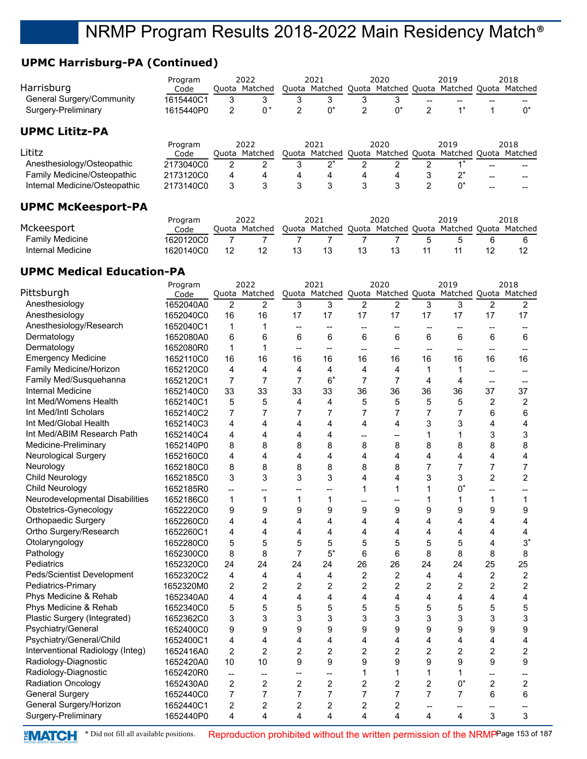## **UPMC Harrisburg-PA (Continued)**

|                               | Program   |   | 2022          |                | 2021                                                    |   | 2020 |                | 2019                  |    | 2018 |
|-------------------------------|-----------|---|---------------|----------------|---------------------------------------------------------|---|------|----------------|-----------------------|----|------|
| Harrisburg                    | Code      |   | Ouota Matched |                | Quota Matched Quota Matched Quota Matched Quota Matched |   |      |                |                       |    |      |
| General Surgery/Community     | 1615440C1 | 3 | 3             | 3              | 3                                                       | 3 | 3    | --             |                       |    |      |
| Surgery-Preliminary           | 1615440P0 | 2 | $0^*$         | $\overline{2}$ | 0*                                                      | 2 | 0*   | $\mathcal{P}$  | $1*$                  |    | 0*   |
| <b>UPMC Lititz-PA</b>         |           |   |               |                |                                                         |   |      |                |                       |    |      |
|                               | Program   |   | 2022          |                | 2021                                                    |   | 2020 |                | 2019                  |    | 2018 |
| Lititz                        | Code      |   | Quota Matched |                | Quota Matched Quota Matched Quota                       |   |      |                | Matched Ouota Matched |    |      |
| Anesthesiology/Osteopathic    | 2173040C0 | 2 |               | 3              | っ*                                                      |   | າ    |                | $4*$                  |    |      |
| Family Medicine/Osteopathic   | 2173120C0 | 4 | 4             | 4              | 4                                                       | 4 | 4    | 3              | $2^*$                 | -- |      |
| Internal Medicine/Osteopathic | 2173140C0 | 3 | 3             | 3              | 3                                                       | 3 | 3    | $\mathfrak{p}$ | 0*                    | -- |      |
| <b>UPMC McKeesport-PA</b>     |           |   |               |                |                                                         |   |      |                |                       |    |      |

|                   | Program   | 2022         |         |       | 2021          | 2020 |               | 2019 |                       | 2018 |
|-------------------|-----------|--------------|---------|-------|---------------|------|---------------|------|-----------------------|------|
| Mckeesport        | Code      | <b>Duota</b> | Matched | Ouota | Matched Quota |      | Matched Quota |      | Matched Quota Matched |      |
| Family Medicine   | 1620120C0 |              |         |       |               |      |               |      |                       |      |
| Internal Medicine | 1620140C0 | 12           |         |       |               | 13   |               |      |                       |      |

## **UPMC Medical Education-PA**

|                                  | Program   |                          | 2022                     |                          | 2021                     |                          | 2020           |                          | 2019                                                    |                | 2018                    |
|----------------------------------|-----------|--------------------------|--------------------------|--------------------------|--------------------------|--------------------------|----------------|--------------------------|---------------------------------------------------------|----------------|-------------------------|
| Pittsburgh                       | Code      |                          | Quota Matched            |                          |                          |                          |                |                          | Quota Matched Quota Matched Quota Matched Quota Matched |                |                         |
| Anesthesiology                   | 1652040A0 | 2                        | $\overline{2}$           | 3                        | 3                        | $\overline{2}$           | $\overline{2}$ | 3                        | 3                                                       | $\overline{2}$ | $\overline{2}$          |
| Anesthesiology                   | 1652040C0 | 16                       | 16                       | 17                       | 17                       | 17                       | 17             | 17                       | 17                                                      | 17             | 17                      |
| Anesthesiology/Research          | 1652040C1 | $\mathbf{1}$             | 1                        | $\overline{\phantom{a}}$ | $\overline{a}$           | $\overline{a}$           | --             |                          | $\overline{\phantom{a}}$                                |                |                         |
| Dermatology                      | 1652080A0 | 6                        | 6                        | 6                        | 6                        | 6                        | 6              | 6                        | 6                                                       | 6              | 6                       |
| Dermatology                      | 1652080R0 | 1                        | 1                        | $\overline{\phantom{a}}$ | $\overline{\phantom{a}}$ | --                       | --             | $\overline{\phantom{a}}$ | $\overline{\phantom{a}}$                                | --             |                         |
| <b>Emergency Medicine</b>        | 1652110C0 | 16                       | 16                       | 16                       | 16                       | 16                       | 16             | 16                       | 16                                                      | 16             | 16                      |
| Family Medicine/Horizon          | 1652120C0 | 4                        | 4                        | 4                        | 4                        | 4                        | 4              | 1                        | 1                                                       | --             |                         |
| Family Med/Susquehanna           | 1652120C1 | 7                        | $\overline{7}$           | 7                        | $6*$                     | $\overline{7}$           | $\overline{7}$ | $\overline{4}$           | 4                                                       | --             | $\overline{a}$          |
| <b>Internal Medicine</b>         | 1652140C0 | 33                       | 33                       | 33                       | 33                       | 36                       | 36             | 36                       | 36                                                      | 37             | 37                      |
| Int Med/Womens Health            | 1652140C1 | 5                        | 5                        | 4                        | 4                        | 5                        | 5              | 5                        | 5                                                       | $\overline{c}$ | $\overline{c}$          |
| Int Med/Intl Scholars            | 1652140C2 | 7                        | 7                        | 7                        | 7                        | 7                        | 7              | 7                        | 7                                                       | 6              | 6                       |
| Int Med/Global Health            | 1652140C3 | 4                        | $\overline{4}$           | 4                        | 4                        | 4                        | 4              | 3                        | 3                                                       | 4              | 4                       |
| Int Med/ABIM Research Path       | 1652140C4 | 4                        | 4                        | 4                        | 4                        | $\overline{\phantom{a}}$ | --             | 1                        | 1                                                       | 3              | 3                       |
| Medicine-Preliminary             | 1652140P0 | 8                        | 8                        | 8                        | 8                        | 8                        | 8              | 8                        | 8                                                       | 8              | 8                       |
| <b>Neurological Surgery</b>      | 1652160C0 | 4                        | 4                        | 4                        | 4                        | 4                        | 4              | 4                        | 4                                                       | 4              | 4                       |
| Neurology                        | 1652180C0 | 8                        | 8                        | 8                        | 8                        | 8                        | 8              | $\overline{7}$           | 7                                                       | 7              | 7                       |
| Child Neurology                  | 1652185C0 | 3                        | 3                        | 3                        | 3                        | 4                        | 4              | 3                        | 3                                                       | $\overline{2}$ | $\overline{2}$          |
| Child Neurology                  | 1652185R0 | --                       | --                       | $\overline{\phantom{a}}$ | $\overline{a}$           | 1                        | 1              | 1                        | $0^*$                                                   | --             |                         |
| Neurodevelopmental Disabilities  | 1652186C0 | $\mathbf{1}$             | 1                        | 1                        | $\mathbf{1}$             | --                       | --             | 1                        | 1                                                       | $\mathbf{1}$   | $\mathbf{1}$            |
| Obstetrics-Gynecology            | 1652220C0 | 9                        | 9                        | 9                        | 9                        | 9                        | 9              | 9                        | 9                                                       | 9              | 9                       |
| Orthopaedic Surgery              | 1652260C0 | 4                        | 4                        | 4                        | 4                        | 4                        | 4              | 4                        | 4                                                       | 4              | 4                       |
| Ortho Surgery/Research           | 1652260C1 | 4                        | $\overline{4}$           | 4                        | 4                        | 4                        | 4              | 4                        | 4                                                       | 4              | 4                       |
| Otolaryngology                   | 1652280C0 | 5                        | 5                        | 5                        | 5                        | 5                        | 5              | 5                        | 5                                                       | 4              | $3^*$                   |
| Pathology                        | 1652300C0 | 8                        | 8                        | $\overline{7}$           | $5^*$                    | 6                        | 6              | 8                        | 8                                                       | 8              | 8                       |
| Pediatrics                       | 1652320C0 | 24                       | 24                       | 24                       | 24                       | 26                       | 26             | 24                       | 24                                                      | 25             | 25                      |
| Peds/Scientist Development       | 1652320C2 | 4                        | 4                        | 4                        | 4                        | $\overline{c}$           | $\overline{c}$ | $\overline{4}$           | 4                                                       | $\overline{c}$ | $\overline{c}$          |
| Pediatrics-Primary               | 1652320M0 | $\overline{2}$           | $\overline{2}$           | $\overline{2}$           | $\overline{2}$           | $\overline{2}$           | $\overline{2}$ | $\overline{2}$           | $\overline{2}$                                          | $\overline{2}$ | $\overline{2}$          |
| Phys Medicine & Rehab            | 1652340A0 | 4                        | $\overline{\mathbf{4}}$  | 4                        | 4                        | 4                        | 4              | 4                        | 4                                                       | 4              | 4                       |
| Phys Medicine & Rehab            | 1652340C0 | 5                        | 5                        | 5                        | 5                        | 5                        | 5              | 5                        | 5                                                       | 5              | 5                       |
| Plastic Surgery (Integrated)     | 1652362C0 | 3                        | 3                        | 3                        | 3                        | 3                        | 3              | 3                        | 3                                                       | 3              | 3                       |
| Psychiatry/General               | 1652400C0 | 9                        | 9                        | 9                        | 9                        | 9                        | 9              | 9                        | 9                                                       | 9              | 9                       |
| Psychiatry/General/Child         | 1652400C1 | 4                        | 4                        | 4                        | 4                        | 4                        | 4              | 4                        | 4                                                       | 4              | 4                       |
| Interventional Radiology (Integ) | 1652416A0 | 2                        | $\overline{c}$           | 2                        | $\overline{\mathbf{c}}$  | $\overline{c}$           | $\overline{c}$ | 2                        | 2                                                       | $\overline{c}$ | $\overline{\mathbf{c}}$ |
| Radiology-Diagnostic             | 1652420A0 | 10                       | 10                       | 9                        | 9                        | 9                        | 9              | 9                        | 9                                                       | 9              | 9                       |
| Radiology-Diagnostic             | 1652420R0 | $\overline{\phantom{a}}$ | $\overline{\phantom{a}}$ | $\overline{\phantom{a}}$ | $\overline{a}$           | 1                        | 1              | $\mathbf{1}$             | 1                                                       | --             | $-$                     |
| Radiation Oncology               | 1652430A0 | 2                        | $\overline{2}$           | $\overline{c}$           | $\overline{c}$           | $\overline{c}$           | $\overline{c}$ | 2                        | $0^*$                                                   | $\overline{c}$ | $\boldsymbol{2}$        |
| <b>General Surgery</b>           | 1652440C0 | 7                        | 7                        | 7                        | $\overline{7}$           | $\overline{7}$           | 7              | $\overline{7}$           | 7                                                       | 6              | 6                       |
| General Surgery/Horizon          | 1652440C1 | $\overline{c}$           | $\overline{2}$           | $\overline{c}$           | $\overline{c}$           | $\overline{c}$           | $\overline{c}$ | --                       | $-$                                                     | --             |                         |
| Surgery-Preliminary              | 1652440P0 | 4                        | $\overline{4}$           | 4                        | 4                        | 4                        | 4              | 4                        | 4                                                       | 3              | 3                       |

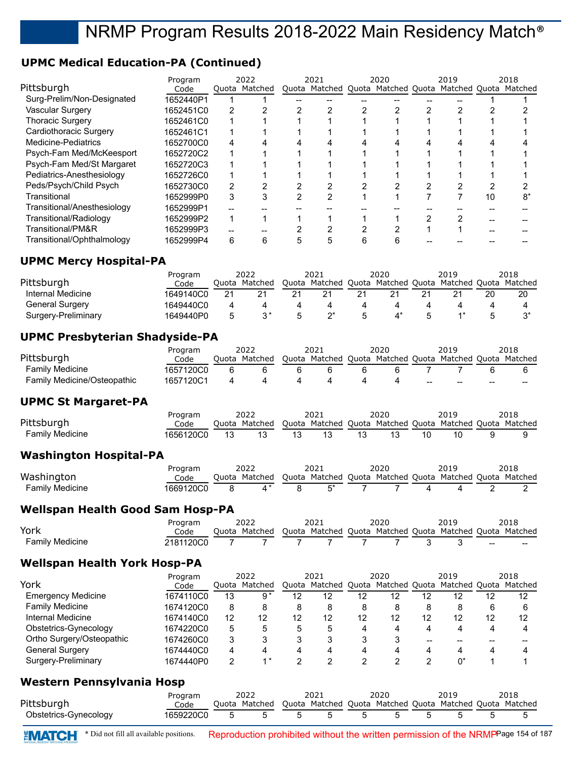## **UPMC Medical Education-PA (Continued)**

|                             | Program   |   | 2022          | 2021 | 2020 | 2019                                                    |    | 2018 |
|-----------------------------|-----------|---|---------------|------|------|---------------------------------------------------------|----|------|
| Pittsburgh                  | Code      |   | Quota Matched |      |      | Quota Matched Quota Matched Quota Matched Quota Matched |    |      |
| Surg-Prelim/Non-Designated  | 1652440P1 |   |               |      |      |                                                         |    |      |
| <b>Vascular Surgery</b>     | 1652451C0 | 2 |               |      |      |                                                         |    |      |
| <b>Thoracic Surgery</b>     | 1652461C0 |   |               |      |      |                                                         |    |      |
| Cardiothoracic Surgery      | 1652461C1 |   |               |      |      |                                                         |    |      |
| Medicine-Pediatrics         | 1652700C0 | 4 |               |      |      |                                                         |    |      |
| Psych-Fam Med/McKeesport    | 1652720C2 |   |               |      |      |                                                         |    |      |
| Psych-Fam Med/St Margaret   | 1652720C3 |   |               |      |      |                                                         |    |      |
| Pediatrics-Anesthesiology   | 1652726C0 |   |               |      |      |                                                         |    |      |
| Peds/Psych/Child Psych      | 1652730C0 | 2 |               |      |      |                                                         |    |      |
| Transitional                | 1652999P0 | 3 | C.            |      |      |                                                         | 10 | $8*$ |
| Transitional/Anesthesiology | 1652999P1 |   |               |      |      |                                                         |    |      |
| Transitional/Radiology      | 1652999P2 | 1 |               |      |      |                                                         |    |      |
| Transitional/PM&R           | 1652999P3 |   |               |      |      |                                                         |    |      |
| Transitional/Ophthalmology  | 1652999P4 | 6 | 6             |      |      |                                                         |    |      |

## **UPMC Mercy Hospital-PA**

|                        | Program   |       | 2022    |       | 2021    |       | 2020          | 2019          |    | 2018    |
|------------------------|-----------|-------|---------|-------|---------|-------|---------------|---------------|----|---------|
| Pittsburgh             | Code      | Ouota | Matched | Quota | Matched | Quota | Matched Quota | Matched Quota |    | Matched |
| Internal Medicine      | 1649140C0 | 21    |         | 21    |         |       | 21            |               | 20 | 20      |
| <b>General Surgery</b> | 1649440C0 |       |         |       |         |       |               |               |    |         |
| Surgery-Preliminary    | 1649440P0 | :5    | * ?     |       |         | h     |               |               | h  | ∩*      |

## **UPMC Presbyterian Shadyside-PA**

|                                    | Program   | 2022          | 2021                                                    | 2020 |     | 2019 |       | 2018  |
|------------------------------------|-----------|---------------|---------------------------------------------------------|------|-----|------|-------|-------|
| Pittsburgh                         | Code      | Ouota Matched | Quota Matched Quota Matched Quota Matched Quota Matched |      |     |      |       |       |
| Family Medicine                    | 1657120C0 |               |                                                         |      |     |      |       |       |
| <b>Family Medicine/Osteopathic</b> | 1657120C1 |               |                                                         |      | $-$ | $-$  | $- -$ | $- -$ |

## **UPMC St Margaret-PA**

|                 | Program   | 2022          | 2021                                                    | 2020 | 2019 | 2018 |
|-----------------|-----------|---------------|---------------------------------------------------------|------|------|------|
| Pittsburgh      | Code      | Ouota Matched | Quota Matched Quota Matched Quota Matched Quota Matched |      |      |      |
| Family Medicine | 1656120C0 |               |                                                         |      |      |      |

## **Washington Hospital-PA**

|                 | Program   |       |         | 2021                                                    | 2020 | 2019 | 2018 |
|-----------------|-----------|-------|---------|---------------------------------------------------------|------|------|------|
| Washington      | Code      | Juota | Matched | Ouota Matched Ouota Matched Ouota Matched Ouota Matched |      |      |      |
| Family Medicine | 1669120C0 |       |         |                                                         |      |      |      |

## **Wellspan Health Good Sam Hosp-PA**

|                 | Program   |               |  | 2020 | 2019                                                    |                                                | 2018  |
|-----------------|-----------|---------------|--|------|---------------------------------------------------------|------------------------------------------------|-------|
| York            | Code      | Ouota Matched |  |      | Ouota Matched Ouota Matched Ouota Matched Ouota Matched |                                                |       |
| Family Medicine | 2181120C0 |               |  |      |                                                         | $\hspace{0.1mm}-\hspace{0.1mm}-\hspace{0.1mm}$ | $- -$ |

## **Wellspan Health York Hosp-PA**

|                           | Program   | 2022 |               |       | 2021                        |    | 2020 |    | 2019                  |    | 2018 |
|---------------------------|-----------|------|---------------|-------|-----------------------------|----|------|----|-----------------------|----|------|
| York                      | Code      |      | Ouota Matched | Ouota | Matched Quota Matched Quota |    |      |    | Matched Quota Matched |    |      |
| <b>Emergency Medicine</b> | 1674110C0 | 13   | 9*            | 12    | 12                          | 12 | 12   |    | 12                    | 12 | 12   |
| <b>Family Medicine</b>    | 1674120C0 | 8    |               | 8     | 8                           | 8  | 8    |    |                       | 6  |      |
| Internal Medicine         | 1674140C0 | 12   | 12            | 12    | 12                          | 12 | 12   | 12 | 12                    | 12 | 12   |
| Obstetrics-Gynecology     | 1674220C0 | 5    |               | 5     |                             | 4  |      |    |                       |    |      |
| Ortho Surgery/Osteopathic | 1674260C0 | 3    |               | 3     |                             |    | 3    |    |                       |    |      |
| <b>General Surgery</b>    | 1674440C0 | 4    |               | 4     | 4                           | Δ  | 4    |    | Δ                     | 4  |      |
| Surgery-Preliminary       | 1674440P0 | っ    | $\star$       |       |                             |    |      |    | n*                    |    |      |

## **Western Pennsylvania Hosp**

|                       | Program   |                | 2022                                                                  | 2021  | 2020  | 2019 | 2018 |
|-----------------------|-----------|----------------|-----------------------------------------------------------------------|-------|-------|------|------|
| Pittsburgh            | Code      |                | Quota Matched Quota Matched Quota Matched Quota Matched Quota Matched |       |       |      |      |
| Obstetrics-Gynecology | 1659220C0 | 5 <sub>1</sub> |                                                                       | 5 5 5 | 5 5 5 |      |      |

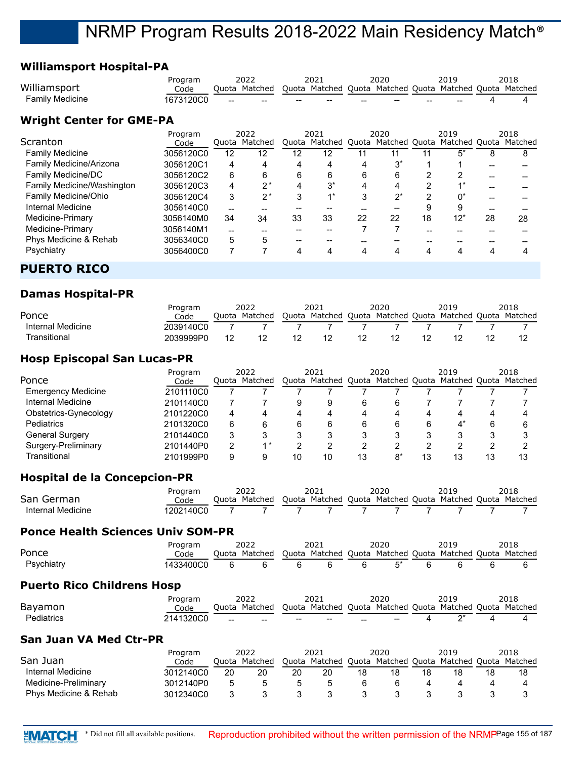## **Williamsport Hospital-PA**

|                        | Program   |       | 2022                                              |       | 2021                                                    |       | 2020  |    |    | 2018 |
|------------------------|-----------|-------|---------------------------------------------------|-------|---------------------------------------------------------|-------|-------|----|----|------|
| Williamsport           | Code      | วuota | Matched                                           |       | Ouota Matched Ouota Matched Ouota Matched Ouota Matched |       |       |    |    |      |
| <b>Family Medicine</b> | 1673120C0 | $- -$ | $\hspace{0.05cm}-\hspace{0.05cm}-\hspace{0.05cm}$ | $- -$ | $- -$                                                   | $- -$ | $- -$ | -- | -- |      |

## **Wright Center for GME-PA**

|                            | 2022<br>Program |    | 2021          |    | 2020                              |    | 2019  |    |                       | 2018 |    |
|----------------------------|-----------------|----|---------------|----|-----------------------------------|----|-------|----|-----------------------|------|----|
| Scranton                   | Code            |    | Quota Matched |    | Quota Matched Quota Matched Quota |    |       |    | Matched Quota Matched |      |    |
| <b>Family Medicine</b>     | 3056120C0       | 12 | 12            | 12 | 12                                | 11 | 11    | 11 | 5*                    | 8    | 8  |
| Family Medicine/Arizona    | 3056120C1       | 4  |               | 4  | 4                                 | 4  | $3^*$ |    |                       |      |    |
| Family Medicine/DC         | 3056120C2       | 6  | 6             | 6  | 6                                 | 6  | 6     | ⌒  | っ                     |      |    |
| Family Medicine/Washington | 3056120C3       | 4  | $2^*$         | 4  | $3^*$                             | 4  | 4     | ◠  | $4*$                  |      |    |
| Family Medicine/Ohio       | 3056120C4       | 3  | $2^*$         | 3  |                                   | 3  | $2^*$ | ◠  | 0*                    |      |    |
| Internal Medicine          | 3056140C0       |    |               |    |                                   |    |       | 9  | 9                     |      |    |
| Medicine-Primary           | 3056140M0       | 34 | 34            | 33 | 33                                | 22 | 22    | 18 | $12*$                 | 28   | 28 |
| Medicine-Primary           | 3056140M1       | -- |               |    |                                   |    |       |    |                       |      |    |
| Phys Medicine & Rehab      | 3056340C0       | 5  | 5             | -- |                                   |    |       |    |                       |      |    |
| Psychiatry                 | 3056400C0       |    |               |    | Δ                                 | Δ  | 4     |    | 4                     |      |    |

#### **PUERTO RICO**

## **Damas Hospital-PR**

|                   | Program   |       | 2022    | 2021                                                    | 2020 | 2019 | 2018 |
|-------------------|-----------|-------|---------|---------------------------------------------------------|------|------|------|
| Ponce             | Code      | Ouota | Matched | Quota Matched Quota Matched Quota Matched Quota Matched |      |      |      |
| Internal Medicine | 2039140C0 |       |         |                                                         |      |      |      |
| Transitional      | 2039999P0 |       |         |                                                         |      |      |      |

#### **Hosp Episcopal San Lucas-PR**

|                           | Program   | 2022  |         | 2021 |                                                 | 2020 |       |    | 2019        |    | 2018    |
|---------------------------|-----------|-------|---------|------|-------------------------------------------------|------|-------|----|-------------|----|---------|
| Ponce                     | Code      | Ouota | Matched |      | Quota Matched Quota Matched Quota Matched Quota |      |       |    |             |    | Matched |
| <b>Emergency Medicine</b> | 2101110C0 |       |         |      |                                                 |      |       |    |             |    |         |
| Internal Medicine         | 2101140C0 |       |         | 9    |                                                 | 6    | 6     |    |             |    |         |
| Obstetrics-Gynecology     | 2101220C0 | 4     |         | 4    |                                                 | 4    | 4     |    | 4           | 4  |         |
| Pediatrics                | 2101320C0 | 6     |         | 6    |                                                 | 6    | h     |    | $\Lambda^*$ | 6  |         |
| General Surgery           | 2101440C0 | 3     |         | 3    |                                                 |      | 3     |    |             |    |         |
| Surgery-Preliminary       | 2101440P0 | 2     | *       |      |                                                 |      |       |    |             |    |         |
| Transitional              | 2101999P0 | 9     |         | 10   | 10                                              | 13   | $8^*$ | 13 | 13          | 13 | 13      |

### **Hospital de la Concepcion-PR**

|                   |           |       |         |       |         |       | 2020          | 2019          |         |
|-------------------|-----------|-------|---------|-------|---------|-------|---------------|---------------|---------|
| San German        | Code      | Duota | Matched | Ouota | Matched | Ouota | Matched Ouota | Matched Quota | Matched |
| Internal Medicine | 1202140C0 |       |         |       |         |       |               |               |         |

#### **Ponce Health Sciences Univ SOM-PR**

|            | Program     | 2022                                                                  | 2021 |                 | 2020    | 2019            | 2018 |
|------------|-------------|-----------------------------------------------------------------------|------|-----------------|---------|-----------------|------|
| Ponce      | Code        | Quota Matched Quota Matched Quota Matched Quota Matched Quota Matched |      |                 |         |                 |      |
| Psychiatry | 1433400C0 6 |                                                                       | 6666 | $6\overline{6}$ | $5^*$ 6 | $6\overline{6}$ |      |

#### **Puerto Rico Childrens Hosp**

|            | Program   |                          | 2022          |       | 2021                                                    |                                                | 2020                                           | 2019 | 2018 |
|------------|-----------|--------------------------|---------------|-------|---------------------------------------------------------|------------------------------------------------|------------------------------------------------|------|------|
| Bayamon    | Code      |                          | Ouota Matched |       | Ouota Matched Ouota Matched Ouota Matched Ouota Matched |                                                |                                                |      |      |
| Pediatrics | 2141320C0 | $\overline{\phantom{a}}$ | $\sim$        | $- -$ | $-$                                                     | $\hspace{0.1mm}-\hspace{0.1mm}-\hspace{0.1mm}$ | $\hspace{0.1mm}-\hspace{0.1mm}-\hspace{0.1mm}$ |      |      |

## **San Juan VA Med Ctr-PR**

|                                  | Program   | 2022  |         | 2021  |                             | 2020 |    | 2019 |         |       | 2018    |
|----------------------------------|-----------|-------|---------|-------|-----------------------------|------|----|------|---------|-------|---------|
| San Juan                         | Code      | Ouota | Matched | Quota | Matched Quota Matched Quota |      |    |      | Matched | Quota | Matched |
| Internal Medicine                | 3012140C0 | 20    | 20      | 20    | 20                          | 18   | 18 |      |         | 18    |         |
| Medicine-Preliminary             | 3012140P0 | h     |         |       |                             |      |    |      |         |       |         |
| <b>Phys Medicine &amp; Rehab</b> | 3012340C0 |       |         |       |                             |      |    |      |         |       |         |

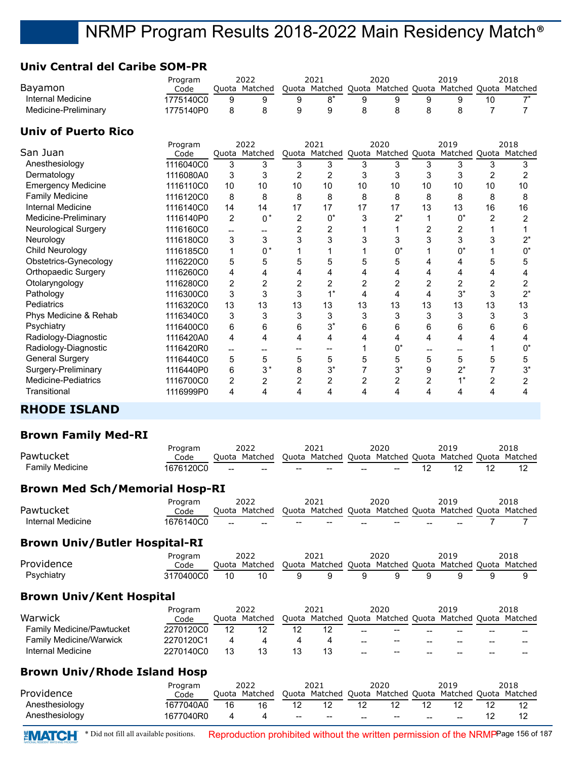## **Univ Central del Caribe SOM-PR**

|                                       | Program         |                          | 2022                  |                | 2021                                                    |                | 2020                                      |                | 2019           |                         | 2018                          |
|---------------------------------------|-----------------|--------------------------|-----------------------|----------------|---------------------------------------------------------|----------------|-------------------------------------------|----------------|----------------|-------------------------|-------------------------------|
| Bayamon                               | Code            | Quota                    | Matched               |                | Quota Matched                                           |                | Quota Matched Quota Matched Quota Matched |                |                |                         |                               |
| <b>Internal Medicine</b>              | 1775140C0       | 9                        | 9                     | 9              | $8*$                                                    | 9              | 9                                         | 9              | 9              | 10                      | $7^*$                         |
| Medicine-Preliminary                  | 1775140P0       | 8                        | 8                     | 9              | 9                                                       | 8              | 8                                         | 8              | 8              | 7                       | 7                             |
| <b>Univ of Puerto Rico</b>            |                 |                          |                       |                |                                                         |                |                                           |                |                |                         |                               |
| San Juan                              | Program<br>Code |                          | 2022<br>Quota Matched |                | 2021<br>Quota Matched Quota Matched Quota               |                | 2020                                      |                | 2019           |                         | 2018<br>Matched Quota Matched |
| Anesthesiology                        | 1116040C0       | 3                        | 3                     | 3              | 3                                                       | 3              | 3                                         | 3              | 3              | 3                       | 3                             |
| Dermatology                           | 1116080A0       | 3                        | 3                     | $\overline{c}$ | $\overline{c}$                                          | 3              | 3                                         | 3              | 3              | 2                       | $\overline{c}$                |
| <b>Emergency Medicine</b>             | 1116110C0       | 10                       | 10                    | 10             | 10                                                      | 10             | 10                                        | 10             | 10             | 10                      | $10$                          |
| <b>Family Medicine</b>                | 1116120C0       | 8                        | 8                     | 8              | 8                                                       | 8              | 8                                         | 8              | 8              | 8                       |                               |
| Internal Medicine                     |                 |                          |                       |                |                                                         |                |                                           |                |                |                         | 8                             |
|                                       | 1116140C0       | 14                       | 14                    | 17             | 17<br>$0^*$                                             | 17             | 17                                        | 13             | 13             | 16                      | 16                            |
| Medicine-Preliminary                  | 1116140P0       | $\overline{c}$           | $0^*$                 | 2              |                                                         | 3              | $2^*$                                     | 1              | $0^*$          | 2                       | $\boldsymbol{2}$              |
| <b>Neurological Surgery</b>           | 1116160C0       | $-$                      | $-$                   | 2              | 2                                                       | 1              | 1                                         | 2              | 2              | 1                       | 1                             |
| Neurology                             | 1116180C0       | 3                        | 3                     | 3              | 3                                                       | 3              | 3                                         | 3              | 3              | 3                       | $2^*$                         |
| Child Neurology                       | 1116185C0       | 1                        | $0^*$                 | 1              | 1                                                       | 1              | $0^*$                                     | 1              | $0^*$          | 1                       | $0^*$                         |
| Obstetrics-Gynecology                 | 1116220C0       | 5                        | 5                     | 5              | 5                                                       | 5              | 5                                         | 4              | 4              | 5                       | 5                             |
| Orthopaedic Surgery                   | 1116260C0       | 4                        | 4                     | 4              | 4                                                       | 4              | 4                                         | 4              | 4              | 4                       | 4                             |
| Otolaryngology                        | 1116280C0       | 2                        | $\overline{c}$        | 2              | 2                                                       | 2              | 2                                         | $\overline{c}$ | $\overline{c}$ | $\overline{\mathbf{c}}$ | $\overline{c}$                |
| Pathology                             | 1116300C0       | 3                        | 3                     | 3              | $1^*$                                                   | 4              | $\overline{4}$                            | 4              | $3^*$          | 3                       | $2^*$                         |
| Pediatrics                            | 1116320C0       | 13                       | 13                    | 13             | 13                                                      | 13             | 13                                        | 13             | 13             | 13                      | 13                            |
| Phys Medicine & Rehab                 | 1116340C0       | 3                        | 3                     | 3              | 3                                                       | 3              | 3                                         | 3              | 3              | 3                       | 3                             |
| Psychiatry                            | 1116400C0       | 6                        | 6                     | 6              | $3^*$                                                   | 6              | 6                                         | 6              | 6              | 6                       | 6                             |
| Radiology-Diagnostic                  | 1116420A0       | 4                        | 4                     | 4              | 4                                                       | 4              | 4                                         | 4              | 4              | 4                       | 4                             |
| Radiology-Diagnostic                  | 1116420R0       | $\overline{\phantom{a}}$ | --                    | --             | $\hspace{0.05cm}$ $\hspace{0.05cm}$                     | 1              | $0^*$                                     | --             | --             | 1                       | $0^*$                         |
| <b>General Surgery</b>                | 1116440C0       | 5                        | 5                     | 5              | 5                                                       | 5              | 5                                         | 5              | 5              | 5                       | 5                             |
| Surgery-Preliminary                   | 1116440P0       | 6                        | $3*$                  | 8              | $3^*$                                                   | $\overline{7}$ | $3^*$                                     | 9              | $2^*$          | 7                       | $3^*$                         |
| Medicine-Pediatrics                   | 1116700C0       | 2                        | 2                     | 2              | 2                                                       | 2              | $\overline{\mathbf{c}}$                   | $\overline{c}$ | $1^*$          | $\overline{\mathbf{c}}$ | $\overline{c}$                |
| Transitional                          | 1116999P0       | 4                        | 4                     | 4              | 4                                                       | 4              | 4                                         | 4              | 4              | 4                       | 4                             |
| <b>RHODE ISLAND</b>                   |                 |                          |                       |                |                                                         |                |                                           |                |                |                         |                               |
| <b>Brown Family Med-RI</b>            |                 |                          |                       |                |                                                         |                |                                           |                |                |                         |                               |
|                                       | Program         |                          | 2022                  |                | 2021                                                    |                | 2020                                      |                | 2019           |                         | 2018                          |
| Pawtucket                             | Code            |                          | Quota Matched         |                | Quota Matched Quota Matched Quota Matched Quota Matched |                |                                           |                |                |                         |                               |
| <b>Family Medicine</b>                | 1676120C0       |                          |                       |                |                                                         |                |                                           | 12             | 12             | 12                      | 12                            |
| <b>Brown Med Sch/Memorial Hosp-RI</b> |                 |                          |                       |                |                                                         |                |                                           |                |                |                         |                               |
|                                       | Program         |                          | 2022                  |                | 2021                                                    |                | 2020                                      |                | 2019           |                         | 2018                          |
| Pawtucket                             | Code            |                          | Quota Matched         |                | Quota Matched Quota Matched Quota Matched Quota Matched |                |                                           |                |                |                         |                               |
| Internal Medicine                     | 1676140C0       |                          |                       |                |                                                         |                |                                           |                |                | 7                       | 7                             |
| <b>Brown Univ/Butler Hospital-RI</b>  |                 |                          |                       |                |                                                         |                |                                           |                |                |                         |                               |
|                                       | Program         |                          | 2022                  |                | 2021                                                    |                | 2020                                      |                | 2019           |                         | 2018                          |
| Providence                            | Code            |                          | Quota Matched         |                | Quota Matched Quota Matched Quota Matched Quota Matched |                |                                           |                |                |                         |                               |
| Psychiatry                            | 3170400C0       | 10                       | 10                    | 9              | 9                                                       | 9              | 9                                         | 9              | 9              | 9                       | 9                             |
| <b>Brown Univ/Kent Hospital</b>       |                 |                          |                       |                |                                                         |                |                                           |                |                |                         |                               |
|                                       | Program         |                          | 2022                  |                | 2021                                                    |                | 2020                                      |                | 2019           |                         | 2018                          |
| Warwick                               | Code            |                          | Quota Matched         |                | Quota Matched Quota Matched Quota Matched Quota Matched |                |                                           |                |                |                         |                               |
| Family Medicine/Pawtucket             | 2270120C0       | 12                       | 12                    | 12             | 12                                                      |                |                                           |                |                |                         |                               |
| Family Medicine/Warwick               | 2270120C1       | 4                        | 4                     | 4              | 4                                                       |                |                                           |                |                |                         |                               |
| Internal Medicine                     | 2270140C0       | 13                       | 13                    | 13             | 13                                                      |                |                                           |                |                |                         |                               |
| <b>Brown Univ/Rhode Island Hosp</b>   |                 |                          |                       |                |                                                         |                |                                           |                |                |                         |                               |
|                                       | Program         |                          | 2022                  |                | 2021                                                    |                | 2020                                      |                | 2019           |                         | 2018                          |
| Providence                            | Code            |                          | Quota Matched         |                | Quota Matched Quota Matched Quota Matched Quota Matched |                |                                           |                |                |                         |                               |
| Anesthesiology                        | 1677040A0       | 16                       | 16                    | 12             | 12                                                      | 12             | 12                                        | 12             | 12             | 12                      | 12                            |

Anesthesiology 1677040R0 4 4 - - - - - - - 12 12



**\*MATCH** \* Did not fill all available positions. Reproduction prohibited without the written permission of the NRMPPage 156 of 187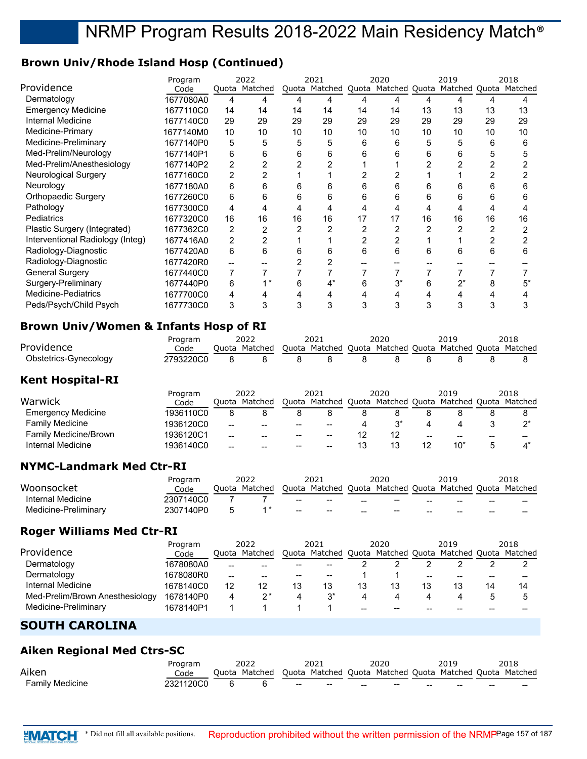## **Brown Univ/Rhode Island Hosp (Continued)**

|                                  | Program   |                | 2022          |    | 2021          |    | 2020 |    | 2019                                      |    | 2018 |
|----------------------------------|-----------|----------------|---------------|----|---------------|----|------|----|-------------------------------------------|----|------|
| Providence                       | Code      |                | Quota Matched |    | Quota Matched |    |      |    | Quota Matched Quota Matched Quota Matched |    |      |
| Dermatology                      | 1677080A0 | 4              | 4             | Δ  |               |    |      | Δ  |                                           |    |      |
| <b>Emergency Medicine</b>        | 1677110C0 | 14             | 14            | 14 | 14            | 14 | 14   | 13 | 13                                        | 13 | 13   |
| <b>Internal Medicine</b>         | 1677140C0 | 29             | 29            | 29 | 29            | 29 | 29   | 29 | 29                                        | 29 | 29   |
| Medicine-Primary                 | 1677140M0 | 10             | 10            | 10 | 10            | 10 | 10   | 10 | 10                                        | 10 | 10   |
| Medicine-Preliminary             | 1677140P0 | 5              | 5             | 5  | 5             | 6  | 6    | 5  | 5                                         | 6  | 6    |
| Med-Prelim/Neurology             | 1677140P1 | 6              | 6             | 6  | 6             | 6  | 6    | 6  | 6                                         |    | 5    |
| Med-Prelim/Anesthesiology        | 1677140P2 | $\overline{2}$ |               |    |               |    |      | 2  |                                           |    |      |
| Neurological Surgery             | 1677160C0 | 2              |               |    |               |    |      |    |                                           |    |      |
| Neurology                        | 1677180A0 | 6              | 6             | 6  | 6             | 6  | 6    | 6  | 6                                         | 6  | ĥ    |
| Orthopaedic Surgery              | 1677260C0 | 6              | 6             | 6  | 6             | 6  | 6    | 6  | 6                                         | 6  | 6    |
| Pathology                        | 1677300C0 | 4              |               |    | 4             |    |      |    |                                           |    |      |
| Pediatrics                       | 1677320C0 | 16             | 16            | 16 | 16            | 17 | 17   | 16 | 16                                        | 16 | 16   |
| Plastic Surgery (Integrated)     | 1677362C0 | 2              | 2             |    | 2             |    | 2    | 2  |                                           |    |      |
| Interventional Radiology (Integ) | 1677416A0 | 2              | 2             |    |               |    | 2    |    |                                           |    |      |
| Radiology-Diagnostic             | 1677420A0 | 6              | 6             | 6  | 6             | 6  | 6    | 6  | 6                                         | 6  | 6    |
| Radiology-Diagnostic             | 1677420R0 | --             |               |    | 2             |    |      |    |                                           |    |      |
| <b>General Surgery</b>           | 1677440C0 | 7              |               |    |               |    |      |    |                                           |    |      |
| Surgery-Preliminary              | 1677440P0 | 6              |               | 6  | $4^*$         | 6  | 3*   | 6  | 2*                                        |    | 5*   |
| <b>Medicine-Pediatrics</b>       | 1677700C0 | 4              | 4             |    | 4             |    | 4    | 4  |                                           |    |      |
| Peds/Psych/Child Psych           | 1677730C0 | 3              | 3             | 3  | 3             | 3  | 3    | 3  | 3                                         |    | 3    |

## **Brown Univ/Women & Infants Hosp of RI**

| Providence                | Program<br>Code |     | 2022<br>Ouota Matched |   | 2021<br>Quota Matched Quota Matched Quota Matched Quota Matched |   | 2020  |   | 2019 |   | 2018 |
|---------------------------|-----------------|-----|-----------------------|---|-----------------------------------------------------------------|---|-------|---|------|---|------|
| Obstetrics-Gynecology     | 2793220C0       | 8   | 8                     | 8 | 8                                                               | 8 | 8     | 8 |      | 8 | 8    |
| <b>Kent Hospital-RI</b>   |                 |     |                       |   |                                                                 |   |       |   |      |   |      |
|                           | Program         |     | 2022                  |   | 2021                                                            |   | 2020  |   | 2019 |   | 2018 |
|                           |                 |     |                       |   |                                                                 |   |       |   |      |   |      |
| Warwick                   | Code            |     | Ouota Matched         |   | Quota Matched Quota Matched Quota Matched Quota Matched         |   |       |   |      |   |      |
| <b>Emergency Medicine</b> | 1936110C0       | 8   | 8                     | 8 | 8                                                               | 8 | 8     | 8 |      | 8 | 8    |
| <b>Family Medicine</b>    | 1936120C0       | $-$ |                       |   | $- -$                                                           | 4 | $3^*$ | 4 | 4    | 3 | ′^   |

## **NYMC-Landmark Med Ctr-RI**

|                      | Program   |       | 2022    |                                                | 2021                                                    |                 | 2020                     |    | 2019  |    | 2018  |
|----------------------|-----------|-------|---------|------------------------------------------------|---------------------------------------------------------|-----------------|--------------------------|----|-------|----|-------|
| Woonsocket           | Code      | Ouota | Matched |                                                | Quota Matched Quota Matched Quota Matched Quota Matched |                 |                          |    |       |    |       |
| Internal Medicine    | 2307140C0 |       |         | $\hspace{0.05cm}$                              | $- -$                                                   | $\qquad \qquad$ | --                       | -- | $- -$ | -- | $- -$ |
| Medicine-Preliminary | 2307140P0 |       |         | $\hspace{0.1mm}-\hspace{0.1mm}-\hspace{0.1mm}$ | $- -$                                                   | $- -$           | $\overline{\phantom{m}}$ | -- | $- -$ | -- | $- -$ |

Internal Medicine 1936140C0 -- -- -- 13 13 12 10\* 5 4\*

## **Roger Williams Med Ctr-RI**

|                                 | Program   | 2022 |               | 2021  |                             | 2020 |    | 2019 |                       |    | 2018 |
|---------------------------------|-----------|------|---------------|-------|-----------------------------|------|----|------|-----------------------|----|------|
| Providence                      | Code      |      | Ouota Matched | Ouota | Matched Quota Matched Quota |      |    |      | Matched Quota Matched |    |      |
| Dermatology                     | 1678080A0 | --   |               | $- -$ | --                          |      |    |      |                       |    |      |
| Dermatology                     | 1678080R0 | $-$  | --            | $- -$ | $- -$                       |      |    | --   | --                    | -- |      |
| Internal Medicine               | 1678140C0 | 12   |               | 13    | 13                          | 13   | 13 |      |                       | 14 | 14   |
| Med-Prelim/Brown Anesthesiology | 1678140P0 | 4    |               | 4     |                             |      |    |      |                       |    |      |
| Medicine-Preliminary            | 1678140P1 |      |               |       |                             | --   | -- |      |                       |    |      |

## **SOUTH CAROLINA**

## **Aiken Regional Med Ctrs-SC**

|                 | 'roaram   | 2022  |         | 2021                                           |                                                |                 | 2020              |    | 2019                  |                 | 2018  |
|-----------------|-----------|-------|---------|------------------------------------------------|------------------------------------------------|-----------------|-------------------|----|-----------------------|-----------------|-------|
| Aiken           | Code      | Ouota | Matched |                                                | Ouota Matched Ouota Matched Ouota              |                 |                   |    | Matched Ouota Matched |                 |       |
| Family Medicine | 2321120C0 |       |         | $\hspace{0.1mm}-\hspace{0.1mm}-\hspace{0.1mm}$ | $\hspace{0.1mm}-\hspace{0.1mm}-\hspace{0.1mm}$ | $\qquad \qquad$ | $\hspace{0.04in}$ | -- | --                    | $\qquad \qquad$ | $- -$ |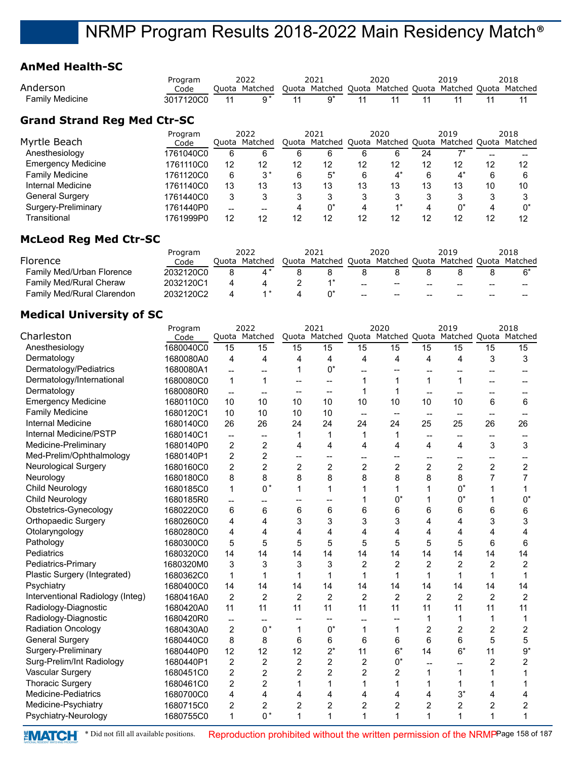## **AnMed Health-SC**

| Anderson                           | Program<br>Code |       | 2022<br>Ouota Matched |    | 2021<br>Quota Matched Quota Matched Quota |    | 2020  |    | 2019  |    | 2018<br>Matched Quota Matched |
|------------------------------------|-----------------|-------|-----------------------|----|-------------------------------------------|----|-------|----|-------|----|-------------------------------|
| <b>Family Medicine</b>             | 3017120C0       | 11    | $9*$                  | 11 | ġ*                                        | 11 | 11    |    |       | 11 | 11                            |
| <b>Grand Strand Reg Med Ctr-SC</b> |                 |       |                       |    |                                           |    |       |    |       |    |                               |
|                                    | Program         |       | 2022                  |    | 2021                                      |    | 2020  |    | 2019  |    | 2018                          |
| Myrtle Beach                       | Code            |       | Ouota Matched         |    | Quota Matched Quota Matched Quota         |    |       |    |       |    | Matched Quota Matched         |
| Anesthesiology                     | 1761040C0       | 6     | 6                     | 6  | 6                                         | 6  | 6     | 24 | "     |    |                               |
| <b>Emergency Medicine</b>          | 1761110C0       | 12    | 12                    | 12 | 12                                        | 12 | 12    | 12 | 12    | 12 | 12                            |
| <b>Family Medicine</b>             | 1761120C0       | 6     | $3^*$                 | 6  | $5^*$                                     | 6  | $4^*$ | 6  | $4^*$ | 6  | 6                             |
| Internal Medicine                  | 1761140C0       | 13    | 13                    | 13 | 13                                        | 13 | 13    | 13 | 13    | 10 | 10                            |
| <b>General Surgery</b>             | 1761440C0       | 3     | 3                     | 3  | 3                                         | 3  | 3     | 3  | 3     | 3  | 3                             |
| Surgery-Preliminary                | 1761440P0       | $- -$ | --                    | 4  | $0^*$                                     | 4  | $4*$  | 4  | $0^*$ | 4  | $0^*$                         |
| Transitional                       | 1761999P0       | 12    | 12                    | 12 | 12                                        | 12 | 12    | 12 | 12    | 12 | 12                            |

## **McLeod Reg Med Ctr-SC**

|                                | Program   | 2022          | 2021                                                    |     | 2020              |    | 2019 |    | 2018 |
|--------------------------------|-----------|---------------|---------------------------------------------------------|-----|-------------------|----|------|----|------|
| Florence                       | Code      | Ouota Matched | Quota Matched Quota Matched Quota Matched Quota Matched |     |                   |    |      |    |      |
| Family Med/Urban Florence      | 2032120C0 |               |                                                         |     |                   |    |      |    |      |
| <b>Family Med/Rural Cheraw</b> | 2032120C1 |               |                                                         | $-$ | $- -$             | -- | --   | -- |      |
| Family Med/Rural Clarendon     | 2032120C2 |               |                                                         | $-$ | $\hspace{0.05cm}$ | -- | --   | -- |      |

## **Medical University of SC**

|                                  | Program   |                          | 2022            |                | 2021           |                          | 2020                                |                          | 2019                                                    |                          | 2018           |
|----------------------------------|-----------|--------------------------|-----------------|----------------|----------------|--------------------------|-------------------------------------|--------------------------|---------------------------------------------------------|--------------------------|----------------|
| Charleston                       | Code      |                          | Quota Matched   |                |                |                          |                                     |                          | Quota Matched Quota Matched Quota Matched Quota Matched |                          |                |
| Anesthesiology                   | 1680040C0 | $\overline{15}$          | $\overline{15}$ | 15             | 15             | $\overline{15}$          | $\overline{15}$                     | $\overline{15}$          | 15                                                      | 15                       | 15             |
| Dermatology                      | 1680080A0 | 4                        | 4               | 4              | 4              | 4                        | 4                                   | 4                        | 4                                                       | 3                        | 3              |
| Dermatology/Pediatrics           | 1680080A1 | $\overline{\phantom{a}}$ | --              | 1              | $0^*$          | --                       |                                     | --                       | --                                                      | --                       |                |
| Dermatology/International        | 1680080C0 | $\mathbf{1}$             | $\mathbf{1}$    | --             | $-$            | 1                        |                                     | $\mathbf{1}$             | $\mathbf{1}$                                            | --                       |                |
| Dermatology                      | 1680080R0 | $\overline{\phantom{a}}$ | $\overline{a}$  | $-$            | $-$            | 1                        |                                     | $\overline{a}$           | --                                                      | --                       |                |
| <b>Emergency Medicine</b>        | 1680110C0 | 10                       | 10              | 10             | 10             | 10                       | 10                                  | 10                       | 10                                                      | 6                        | 6              |
| <b>Family Medicine</b>           | 1680120C1 | 10                       | 10              | 10             | 10             | $\overline{\phantom{a}}$ | $\hspace{0.05cm}$ $\hspace{0.05cm}$ | $\overline{\phantom{a}}$ | $\overline{\phantom{a}}$                                | $\overline{\phantom{a}}$ |                |
| <b>Internal Medicine</b>         | 1680140C0 | 26                       | 26              | 24             | 24             | 24                       | 24                                  | 25                       | 25                                                      | 26                       | 26             |
| Internal Medicine/PSTP           | 1680140C1 | $\overline{\phantom{a}}$ | --              | 1              | 1              | 1                        | 1                                   | $\overline{\phantom{a}}$ | --                                                      | --                       |                |
| Medicine-Preliminary             | 1680140P0 | $\overline{c}$           | $\overline{2}$  | 4              | 4              | 4                        | 4                                   | 4                        | 4                                                       | 3                        | 3              |
| Med-Prelim/Ophthalmology         | 1680140P1 | 2                        | $\overline{2}$  | $\overline{a}$ | $\overline{a}$ | --                       |                                     | --                       | --                                                      | --                       |                |
| <b>Neurological Surgery</b>      | 1680160C0 | 2                        | $\overline{2}$  | $\overline{2}$ | $\overline{c}$ | 2                        | $\overline{2}$                      | 2                        | $\overline{2}$                                          | $\overline{c}$           | $\overline{c}$ |
| Neurology                        | 1680180C0 | 8                        | 8               | 8              | 8              | 8                        | 8                                   | 8                        | 8                                                       | $\overline{7}$           | 7              |
| Child Neurology                  | 1680185C0 | 1                        | $0*$            | 1              | 1              | 1                        | 1                                   | 1                        | $0^*$                                                   | 1                        | 1              |
| Child Neurology                  | 1680185R0 | $\overline{\phantom{a}}$ |                 | --             | --             | 1                        | $0^*$                               | 1                        | $0^*$                                                   | 1                        | $0^*$          |
| Obstetrics-Gynecology            | 1680220C0 | 6                        | 6               | 6              | 6              | 6                        | 6                                   | 6                        | 6                                                       | 6                        | 6              |
| <b>Orthopaedic Surgery</b>       | 1680260C0 | 4                        | 4               | 3              | 3              | 3                        | 3                                   | 4                        | 4                                                       | 3                        | 3              |
| Otolaryngology                   | 1680280C0 | 4                        | 4               | 4              | 4              | 4                        | 4                                   | 4                        | 4                                                       | 4                        | 4              |
| Pathology                        | 1680300C0 | 5                        | 5               | 5              | 5              | 5                        | 5                                   | 5                        | 5                                                       | 6                        | 6              |
| Pediatrics                       | 1680320C0 | 14                       | 14              | 14             | 14             | 14                       | 14                                  | 14                       | 14                                                      | 14                       | 14             |
| Pediatrics-Primary               | 1680320M0 | 3                        | 3               | 3              | 3              | 2                        | $\overline{c}$                      | $\overline{c}$           | 2                                                       | $\overline{c}$           | $\overline{c}$ |
| Plastic Surgery (Integrated)     | 1680362C0 | 1                        | $\mathbf 1$     | $\mathbf 1$    | 1              | 1                        | 1                                   | 1                        | 1                                                       | 1                        |                |
| Psychiatry                       | 1680400C0 | 14                       | 14              | 14             | 14             | 14                       | 14                                  | 14                       | 14                                                      | 14                       | 14             |
| Interventional Radiology (Integ) | 1680416A0 | 2                        | $\overline{2}$  | $\overline{c}$ | $\overline{c}$ | $\overline{c}$           | $\overline{2}$                      | $\overline{2}$           | $\overline{2}$                                          | $\overline{c}$           | $\overline{c}$ |
| Radiology-Diagnostic             | 1680420A0 | 11                       | 11              | 11             | 11             | 11                       | 11                                  | 11                       | 11                                                      | 11                       | 11             |
| Radiology-Diagnostic             | 1680420R0 | $\overline{\phantom{a}}$ |                 |                |                |                          |                                     | 1                        | 1                                                       | 1                        |                |
| <b>Radiation Oncology</b>        | 1680430A0 | 2                        | $0*$            | 1              | $0^*$          | 1                        | 1                                   | $\overline{c}$           | $\overline{c}$                                          | $\overline{c}$           | 2              |
| <b>General Surgery</b>           | 1680440C0 | 8                        | 8               | 6              | 6              | 6                        | 6                                   | 6                        | 6                                                       | 5                        | 5              |
| Surgery-Preliminary              | 1680440P0 | 12                       | 12              | 12             | $2^*$          | 11                       | $6*$                                | 14                       | $6*$                                                    | 11                       | $9*$           |
| Surg-Prelim/Int Radiology        | 1680440P1 | $\overline{c}$           | $\overline{2}$  | $\overline{2}$ | 2              | $\overline{2}$           | $0^*$                               |                          | --                                                      | $\overline{2}$           | 2              |
| <b>Vascular Surgery</b>          | 1680451C0 | 2                        | $\overline{2}$  | $\overline{2}$ | $\overline{c}$ | 2                        | 2                                   | 1                        | 1                                                       | 1                        |                |
| <b>Thoracic Surgery</b>          | 1680461C0 | 2                        | $\overline{2}$  | $\mathbf{1}$   | $\mathbf{1}$   | 1                        | 1                                   | 1                        | 1                                                       | $\mathbf{1}$             |                |
| Medicine-Pediatrics              | 1680700C0 | 4                        | 4               | 4              | 4              | 4                        | 4                                   | 4                        | $3^*$                                                   | 4                        | 4              |
| Medicine-Psychiatry              | 1680715C0 | 2                        | $\overline{c}$  | 2              | 2              | $\overline{c}$           | 2                                   | $\overline{c}$           | $\overline{c}$                                          | 2                        | 2              |
| Psychiatry-Neurology             | 1680755C0 | 1                        | $0*$            | $\mathbf{1}$   | 1              | $\mathbf{1}$             | 1                                   | $\mathbf{1}$             | 1                                                       | 1                        | 1              |
|                                  |           |                          |                 |                |                |                          |                                     |                          |                                                         |                          |                |

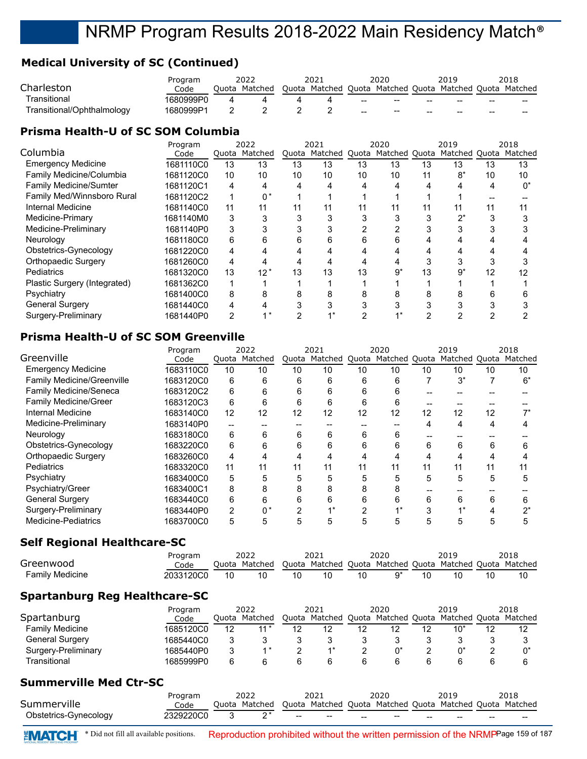## **Medical University of SC (Continued)**

|                            | Program   | 2022          | 2021 |     | 2020                     |       | 2019                                                    |    | 2018  |
|----------------------------|-----------|---------------|------|-----|--------------------------|-------|---------------------------------------------------------|----|-------|
| Charleston                 | Code      | Ouota Matched |      |     |                          |       | Quota Matched Quota Matched Quota Matched Quota Matched |    |       |
| Transitional               | 1680999P0 |               |      | $-$ | $-$                      | $- -$ | --                                                      | -- | $- -$ |
| Transitional/Ophthalmology | 1680999P1 |               |      | $-$ | $\overline{\phantom{m}}$ | --    | --                                                      | -- | $- -$ |

## **Prisma Health-U of SC SOM Columbia**

|                               | Program   |    | 2022          |    | 2021          |    | 2020          |       | 2019                  |    | 2018 |
|-------------------------------|-----------|----|---------------|----|---------------|----|---------------|-------|-----------------------|----|------|
| Columbia                      | Code      |    | Quota Matched |    | Quota Matched |    | Quota Matched | Quota | Matched Quota Matched |    |      |
| <b>Emergency Medicine</b>     | 1681110C0 | 13 | 13            | 13 | 13            | 13 | 13            | 13    | 13                    | 13 | 13   |
| Family Medicine/Columbia      | 1681120C0 | 10 | 10            | 10 | 10            | 10 | 10            | 11    | $8*$                  | 10 | 10   |
| <b>Family Medicine/Sumter</b> | 1681120C1 | 4  | 4             | 4  | 4             | 4  | 4             |       |                       | 4  | በ*   |
| Family Med/Winnsboro Rural    | 1681120C2 | 1  | 0*            |    |               |    |               |       |                       |    |      |
| Internal Medicine             | 1681140C0 | 11 | 11            | 11 | 11            | 11 | 11            |       | 11                    | 11 |      |
| Medicine-Primary              | 1681140M0 | 3  |               |    |               |    | 3             |       | $2^*$                 |    |      |
| Medicine-Preliminary          | 1681140P0 | 3  |               |    | 3             |    |               |       |                       |    |      |
| Neurology                     | 1681180C0 | 6  | հ             | 6  | 6             | 6  | 6             |       |                       |    |      |
| Obstetrics-Gynecology         | 1681220C0 | 4  |               |    |               |    |               |       |                       |    |      |
| Orthopaedic Surgery           | 1681260C0 | 4  |               |    | 4             |    | 4             | 3     |                       |    |      |
| Pediatrics                    | 1681320C0 | 13 | $12*$         | 13 | 13            | 13 | $9^*$         | 13    | $9^*$                 | 12 | 12   |
| Plastic Surgery (Integrated)  | 1681362C0 | 1  |               |    |               |    |               |       |                       |    |      |
| Psychiatry                    | 1681400C0 | 8  | 8             |    | 8             |    | 8             | 8     | 8                     |    |      |
| <b>General Surgery</b>        | 1681440C0 | 4  |               |    | 3             |    | 3             | 3     |                       |    |      |
| Surgery-Preliminary           | 1681440P0 | 2  |               |    |               | ◠  |               |       | 2                     |    |      |

## **Prisma Health-U of SC SOM Greenville**

|                                   | Program   | 2022           |               | 2021 |               | 2020 |                     |    | 2019                  |    | 2018 |
|-----------------------------------|-----------|----------------|---------------|------|---------------|------|---------------------|----|-----------------------|----|------|
| Greenville                        | Code      |                | Quota Matched |      | Quota Matched |      | Quota Matched Quota |    | Matched Quota Matched |    |      |
| <b>Emergency Medicine</b>         | 1683110C0 | 10             | 10            | 10   | 10            | 10   | 10                  | 10 | 10                    | 10 | 10   |
| <b>Family Medicine/Greenville</b> | 1683120C0 | 6              | 6             | 6    | 6             | 6    | 6                   |    | $3^*$                 |    | 6*   |
| Family Medicine/Seneca            | 1683120C2 | 6              | 6             | 6    | 6             | 6    | 6                   |    |                       |    |      |
| <b>Family Medicine/Greer</b>      | 1683120C3 | 6              | 6             | 6    | 6             | 6    | 6                   |    |                       |    |      |
| Internal Medicine                 | 1683140C0 | 12             | 12            | 12   | 12            | 12   | 12                  | 12 | 12                    | 12 |      |
| Medicine-Preliminary              | 1683140P0 | --             |               |      |               |      |                     |    | 4                     | 4  |      |
| Neurology                         | 1683180C0 | 6              | 6             | 6    | 6             | 6    | 6                   |    |                       |    |      |
| Obstetrics-Gynecology             | 1683220C0 | 6              | 6             | 6    | 6             | 6    | 6                   | 6  | 6                     | հ  |      |
| Orthopaedic Surgery               | 1683260C0 | 4              | 4             |      |               |      |                     |    | 4                     |    |      |
| <b>Pediatrics</b>                 | 1683320C0 | 11             | 11            | 11   | 11            | 11   | 11                  | 11 | 11                    | 11 |      |
| Psychiatry                        | 1683400C0 | 5              | 5             | 5    | 5             | 5    | 5                   | 5  | 5                     | 5  | 5    |
| Psychiatry/Greer                  | 1683400C1 | 8              | 8             | 8    | 8             |      |                     |    |                       |    |      |
| <b>General Surgery</b>            | 1683440C0 | 6              | 6             | 6    | 6             | 6    | 6                   | 6  | 6                     | 6  | h    |
| Surgery-Preliminary               | 1683440P0 | $\overline{2}$ | 0*            | ົ    |               |      |                     | ◠  |                       |    | י∩∗  |
| <b>Medicine-Pediatrics</b>        | 1683700C0 | 5              | 5             |      |               |      | 5                   | 5  |                       |    |      |

## **Self Regional Healthcare-SC**

|                 | Program   |    | 2022          |    | 2021 |    | 2020 | 2019                                                    | 2018 |
|-----------------|-----------|----|---------------|----|------|----|------|---------------------------------------------------------|------|
| Greenwood       | Code      |    | Ouota Matched |    |      |    |      | Quota Matched Quota Matched Quota Matched Quota Matched |      |
| Family Medicine | 2033120C0 | 10 |               | 10 |      | 10 |      |                                                         |      |

## **Spartanburg Reg Healthcare-SC**

|                        | Program   | 2022  |         | 2021 |                     | 2020 |               | 2019          | 2018    |
|------------------------|-----------|-------|---------|------|---------------------|------|---------------|---------------|---------|
| Spartanburg            | Code      | Ouota | Matched |      | Quota Matched Quota |      | Matched Quota | Matched Quota | Matched |
| <b>Family Medicine</b> | 1685120C0 | 12    |         | 12   |                     |      |               |               |         |
| General Surgery        | 1685440C0 |       |         |      |                     |      |               |               |         |
| Surgery-Preliminary    | 1685440P0 |       |         |      |                     |      |               |               |         |
| Transitional           | 1685999P0 | r     |         |      |                     |      |               |               |         |

## **Summerville Med Ctr-SC**

|                       | Program   | 2022                                                                  |     | 2021 |     | 2020                                           |     | 2019  |                 | 2018  |
|-----------------------|-----------|-----------------------------------------------------------------------|-----|------|-----|------------------------------------------------|-----|-------|-----------------|-------|
| Summerville           | Code      | Quota Matched Quota Matched Quota Matched Quota Matched Quota Matched |     |      |     |                                                |     |       |                 |       |
| Obstetrics-Gynecology | 2329220C0 |                                                                       | $-$ | $-$  | $-$ | $\hspace{0.1mm}-\hspace{0.1mm}-\hspace{0.1mm}$ | $-$ | $- -$ | $\qquad \qquad$ | $- -$ |

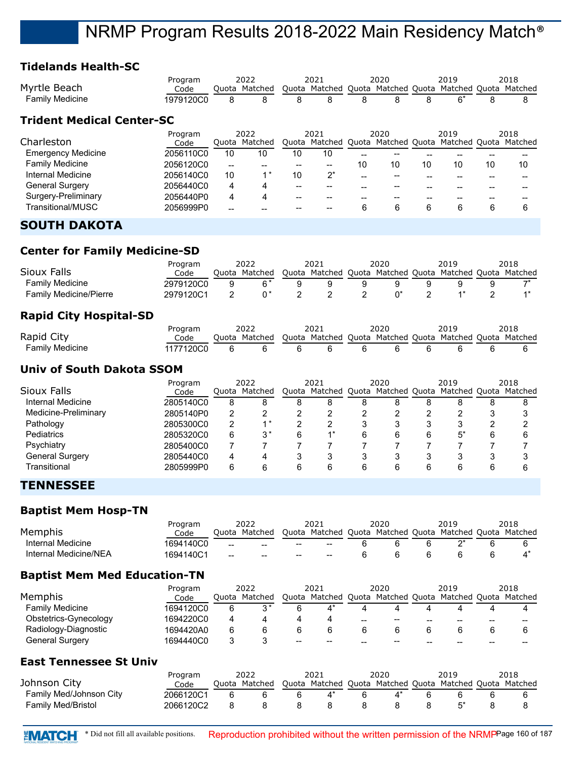## **Tidelands Health-SC**

| Myrtle Beach                     | Program<br>Code |       | 2022<br>Quota Matched |    | 2021<br>Quota Matched Quota Matched Quota |    | 2020 |    | 2019<br>Matched Ouota Matched |    | 2018 |
|----------------------------------|-----------------|-------|-----------------------|----|-------------------------------------------|----|------|----|-------------------------------|----|------|
| <b>Family Medicine</b>           | 1979120C0       | 8     | 8                     | 8  | 8                                         | 8  | 8    | 8  | $6*$                          | 8  | 8    |
| <b>Trident Medical Center-SC</b> |                 |       |                       |    |                                           |    |      |    |                               |    |      |
|                                  | Program         |       | 2022                  |    | 2021                                      |    | 2020 |    | 2019                          |    | 2018 |
| Charleston                       | Code            |       | Ouota Matched         |    | Quota Matched Quota Matched Quota         |    |      |    | Matched Quota Matched         |    |      |
| <b>Emergency Medicine</b>        | 2056110C0       | 10    | 10                    | 10 | 10                                        | -- |      |    |                               |    |      |
| <b>Family Medicine</b>           | 2056120C0       | $- -$ | --                    | -- | $\qquad \qquad$                           | 10 | 10   | 10 | 10                            | 10 | 10   |
| Internal Medicine                | 2056140C0       | 10    | $1^*$                 | 10 | $2^*$                                     | -- | --   |    |                               |    |      |
| <b>General Surgery</b>           | 2056440C0       | 4     | 4                     | -- |                                           | -- |      |    |                               |    |      |
| Surgery-Preliminary              | 2056440P0       | 4     | 4                     | -- | $- -$                                     |    | --   |    |                               |    |      |
| Transitional/MUSC                | 2056999P0       |       |                       |    |                                           | 6  | 6    | 6  | 6                             | 6  | 6    |

## **SOUTH DAKOTA**

## **Center for Family Medicine-SD**

|                        | 2022<br>Program |       |         | 2021  |               | 2020 |               | 2019 |                       | 2018 |
|------------------------|-----------------|-------|---------|-------|---------------|------|---------------|------|-----------------------|------|
| Sioux Falls            | Code            | Ouota | Matched | Ouota | Matched Quota |      | Matched Quota |      | Matched Quota Matched |      |
| Family Medicine        | 2979120C0       |       |         |       |               |      |               |      |                       |      |
| Family Medicine/Pierre | 2979120C1       |       |         |       |               |      |               |      |                       |      |

## **Rapid City Hospital-SD**

|                 | Program   |   | 2022                                                                  |   | 2021 |   | 2020 | 2019 | 2018 |
|-----------------|-----------|---|-----------------------------------------------------------------------|---|------|---|------|------|------|
| Rapid City      | Code      |   | Quota Matched Quota Matched Quota Matched Quota Matched Quota Matched |   |      |   |      |      |      |
| Family Medicine | 1177120C0 | 6 |                                                                       | 6 |      | 6 |      |      |      |

## **Univ of South Dakota SSOM**

|                        | Program   | 2022 |               | 2021 |                                                         | 2020 |   | 2019 |   | 2018 |
|------------------------|-----------|------|---------------|------|---------------------------------------------------------|------|---|------|---|------|
| Sioux Falls            | Code      |      | Quota Matched |      | Quota Matched Quota Matched Quota Matched Quota Matched |      |   |      |   |      |
| Internal Medicine      | 2805140C0 | 8    |               | 8    | 8                                                       | 8    | 8 | 8    | 8 |      |
| Medicine-Preliminary   | 2805140P0 | 2    |               |      |                                                         |      |   |      |   |      |
| Pathology              | 2805300C0 | 2    | $\lambda$ *   |      |                                                         |      |   |      |   |      |
| Pediatrics             | 2805320C0 | 6    | $3^*$         | 6    |                                                         | 6    | 6 | 5*   | 6 |      |
| Psychiatry             | 2805400C0 |      |               |      |                                                         |      |   |      |   |      |
| <b>General Surgery</b> | 2805440C0 | 4    |               |      |                                                         |      |   |      |   |      |
| Transitional           | 2805999P0 | 6    |               | 6    | 6                                                       | 6    | 6 | 6    | 6 |      |

## **TENNESSEE**

## **Baptist Mem Hosp-TN**

|                       | Program   |                          | 2022              |       | 2021                        | 2020 | 2019                  | 2018 |
|-----------------------|-----------|--------------------------|-------------------|-------|-----------------------------|------|-----------------------|------|
| Memphis               | Code      | Duota                    | Matched           | Ouota | Matched Quota Matched Quota |      | Matched Ouota Matched |      |
| Internal Medicine     | 1694140C0 | $-$                      | $- -$             | --    | $-$                         |      |                       |      |
| Internal Medicine/NEA | 1694140C1 | $\overline{\phantom{m}}$ | $\hspace{0.05cm}$ | --    | $- -$                       |      |                       |      |

## **Baptist Mem Med Education-TN**

| Memphis                       | Program<br>Code |   | 2022<br>Ouota Matched |    | 2021<br>Quota Matched Quota Matched Quota Matched Quota Matched |     | 2020  |   | 2019  |    | 2018 |
|-------------------------------|-----------------|---|-----------------------|----|-----------------------------------------------------------------|-----|-------|---|-------|----|------|
| <b>Family Medicine</b>        | 1694120C0       | 6 | $3^*$                 | 6  | 4*                                                              | 4   |       |   |       | 4  | 4    |
| Obstetrics-Gynecology         | 1694220C0       | 4 | 4                     | 4  | 4                                                               | $-$ | --    |   | --    | -- |      |
| Radiology-Diagnostic          | 1694420A0       | 6 | 6                     | 6  | 6                                                               | 6   | 6     | 6 | 6     | 6  | 6    |
| <b>General Surgery</b>        | 1694440C0       | 3 | 3                     | -- | --                                                              |     |       |   |       |    |      |
| <b>East Tennessee St Univ</b> |                 |   |                       |    |                                                                 |     |       |   |       |    |      |
|                               | Program         |   | 2022                  |    | 2021                                                            |     | 2020  |   | 2019  |    | 2018 |
| Johnson City                  | Code            |   | Ouota Matched         |    | Quota Matched Quota Matched Quota Matched Quota Matched         |     |       |   |       |    |      |
| Family Med/Johnson City       | 2066120C1       | 6 | 6                     | 6  | 4*                                                              | 6   | $4^*$ | 6 | 6     | 6  | 6    |
| <b>Family Med/Bristol</b>     | 2066120C2       | 8 | 8                     | 8  | 8                                                               | 8   | 8     | 8 | $5^*$ | 8  | 8    |

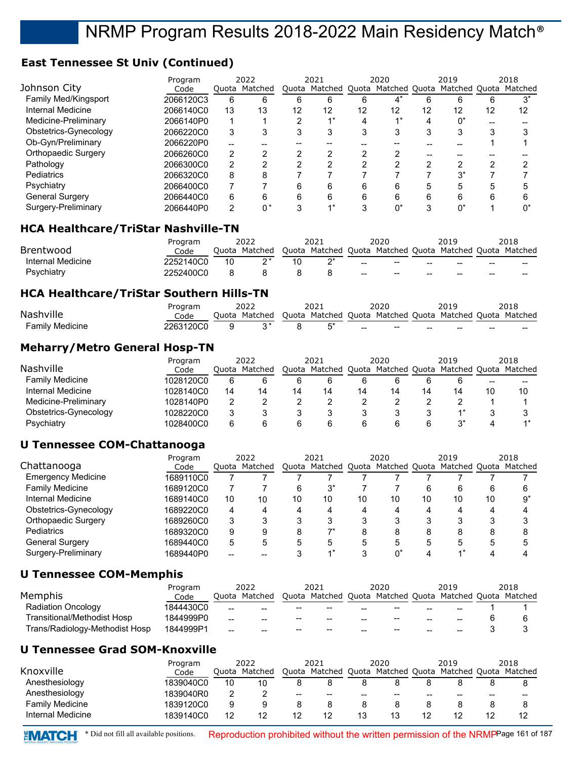## **East Tennessee St Univ (Continued)**

|                             | Program   | 2022 |               |    | 2021                              |    | 2020 |    | 2019                  |    | 2018 |
|-----------------------------|-----------|------|---------------|----|-----------------------------------|----|------|----|-----------------------|----|------|
| Johnson City                | Code      |      | Quota Matched |    | Quota Matched Quota Matched Quota |    |      |    | Matched Quota Matched |    |      |
| <b>Family Med/Kingsport</b> | 2066120C3 | 6    | 6             | 6  | 6                                 | 6  |      | 6  | 6                     | 6  | י ∂  |
| Internal Medicine           | 2066140C0 | 13   | 13            | 12 | 12                                | 12 | 12   | 12 | 12                    | 12 | 12   |
| Medicine-Preliminary        | 2066140P0 |      |               | ົ  |                                   | Δ  |      | Δ  | 0*                    |    |      |
| Obstetrics-Gynecology       | 2066220C0 | 3    |               |    | 3                                 |    |      |    |                       |    |      |
| Ob-Gyn/Preliminary          | 2066220P0 |      |               |    |                                   |    |      |    |                       |    |      |
| Orthopaedic Surgery         | 2066260C0 | 2    |               |    |                                   |    |      |    |                       |    |      |
| Pathology                   | 2066300C0 | 2    |               |    | ົ                                 | ົ  |      |    | ⌒                     |    |      |
| Pediatrics                  | 2066320C0 | 8    | Õ             |    |                                   |    |      |    | $3^*$                 |    |      |
| Psychiatry                  | 2066400C0 |      |               | 6  | 6                                 | 6  | 6    |    | 5                     |    |      |
| <b>General Surgery</b>      | 2066440C0 | 6    | 6             | 6  | 6                                 | 6  | 6    | 6  | 6                     | 6  |      |
| Surgery-Preliminary         | 2066440P0 | 2    | ∩ *           |    |                                   | ົ  | n*   | ົ  | 0*                    |    |      |

## **HCA Healthcare/TriStar Nashville-TN**

|                   | Program   |       | 2022              |    | 2021                                                    |                                       | 2020                     |    | 2019  |                 | 2018  |
|-------------------|-----------|-------|-------------------|----|---------------------------------------------------------|---------------------------------------|--------------------------|----|-------|-----------------|-------|
| Brentwood         | Code      | Ouota | Matched           |    | Quota Matched Quota Matched Quota Matched Quota Matched |                                       |                          |    |       |                 |       |
| Internal Medicine | 2252140C0 | 10    | $\sim$ $^{\star}$ | 10 | $^{\star}$                                              | $\hspace{0.05cm}$ – $\hspace{0.05cm}$ | $\overline{\phantom{a}}$ | -- | $- -$ | $\qquad \qquad$ | $- -$ |
| Psychiatry        | 2252400C0 |       |                   |    |                                                         | $-$                                   | $\overline{\phantom{a}}$ | -- | $- -$ | $\qquad \qquad$ | $- -$ |

## **HCA Healthcare/TriStar Southern Hills-TN**

|                        | Program   |       |         |       | 2021                     |       | 2020        |       | 2019    |       | 2018    |
|------------------------|-----------|-------|---------|-------|--------------------------|-------|-------------|-------|---------|-------|---------|
| Nashville              | Code      | Juota | Matched | Juota | $\sim$ $\sim$<br>Matched | Duota | . Matched ' | Ouota | Matched | Ouota | Matched |
| <b>Family Medicine</b> | 2263120C0 |       |         |       | $\overline{\phantom{a}}$ | $- -$ | $- -$       | --    | --      | $- -$ | $- -$   |

## **Meharry/Metro General Hosp-TN**

|                        | Program   | 2022  |         | 2021 |    | 2020 |    |    | 2019                                            |    | 2018    |
|------------------------|-----------|-------|---------|------|----|------|----|----|-------------------------------------------------|----|---------|
| <b>Nashville</b>       | Code      | Ouota | Matched |      |    |      |    |    | Quota Matched Quota Matched Quota Matched Quota |    | Matched |
| <b>Family Medicine</b> | 1028120C0 | 6     |         | b    |    |      | 6  |    |                                                 | -- | --      |
| Internal Medicine      | 1028140C0 | 14    | 14      | 14   | 14 | 14   | 14 | 14 | 14                                              | 10 | 10      |
| Medicine-Preliminary   | 1028140P0 |       |         |      |    |      |    |    |                                                 |    |         |
| Obstetrics-Gynecology  | 1028220C0 |       |         |      |    |      |    |    |                                                 |    |         |
| Psychiatry             | 1028400C0 |       |         |      |    |      |    |    |                                                 |    |         |

## **U Tennessee COM-Chattanooga**

|                           | Program   |    | 2022          |    | 2021                                            |    | 2020 |    | 2019 |    | 2018    |
|---------------------------|-----------|----|---------------|----|-------------------------------------------------|----|------|----|------|----|---------|
| Chattanooga               | Code      |    | Ouota Matched |    | Quota Matched Quota Matched Quota Matched Quota |    |      |    |      |    | Matched |
| <b>Emergency Medicine</b> | 1689110C0 |    |               |    |                                                 |    |      |    |      |    |         |
| <b>Family Medicine</b>    | 1689120C0 |    |               | 6  | $3^*$                                           |    |      |    | 6    | 6  |         |
| Internal Medicine         | 1689140C0 | 10 | 10            | 10 | 10                                              | 10 | 10   | 10 | 10   | 10 | 9*      |
| Obstetrics-Gynecology     | 1689220C0 | 4  |               |    | Δ                                               | 4  | 4    |    |      | Δ  |         |
| Orthopaedic Surgery       | 1689260C0 | 3  |               |    |                                                 |    |      |    |      |    |         |
| Pediatrics                | 1689320C0 | 9  |               | 8  |                                                 | 8  | 8    |    | 8    |    |         |
| <b>General Surgery</b>    | 1689440C0 | 5  | 5             | 5  | ۰.                                              | 5  | 5    |    | 5    |    |         |
| Surgery-Preliminary       | 1689440P0 |    |               |    |                                                 |    | n*   |    |      |    |         |

## **U Tennessee COM-Memphis**

|                                | Program   |     | 2022                                              |       | 2021                                                    |       | 2020  |    | 2019 | 2018 |
|--------------------------------|-----------|-----|---------------------------------------------------|-------|---------------------------------------------------------|-------|-------|----|------|------|
| Memphis                        | Code      |     | Quota Matched                                     |       | Quota Matched Quota Matched Quota Matched Quota Matched |       |       |    |      |      |
| <b>Radiation Oncology</b>      | 1844430C0 | $-$ | --                                                | --    | $- -$                                                   | $- -$ | --    | -- |      |      |
| Transitional/Methodist Hosp    | 1844999P0 | $-$ | $\hspace{0.05cm}-\hspace{0.05cm}-\hspace{0.05cm}$ | --    | $- -$                                                   | $- -$ | $- -$ | -- |      |      |
| Trans/Radiology-Methodist Hosp | 1844999P1 | --  | --                                                | $- -$ | $- -$                                                   | --    | $- -$ | -- | --   |      |

## **U Tennessee Grad SOM-Knoxville**

|                        | Program   |       | 2022    |                                                   | 2021                        |    | 2020  |    | 2019                  |       | 2018                     |
|------------------------|-----------|-------|---------|---------------------------------------------------|-----------------------------|----|-------|----|-----------------------|-------|--------------------------|
| Knoxville              | Code      | Ouota | Matched | Quota                                             | Matched Quota Matched Quota |    |       |    | Matched Quota Matched |       |                          |
| Anesthesiology         | 1839040C0 | 10    | 10      |                                                   |                             |    |       |    |                       |       |                          |
| Anesthesiology         | 1839040R0 |       |         | $\hspace{0.05cm}-\hspace{0.05cm}-\hspace{0.05cm}$ | $\qquad \qquad$             | -- | $- -$ | -- | --                    | $- -$ | $\overline{\phantom{m}}$ |
| <b>Family Medicine</b> | 1839120C0 | 9     |         |                                                   |                             |    |       |    |                       |       |                          |
| Internal Medicine      | 1839140C0 | 12    | 12      |                                                   | 12                          |    | 13    |    |                       |       | 12                       |

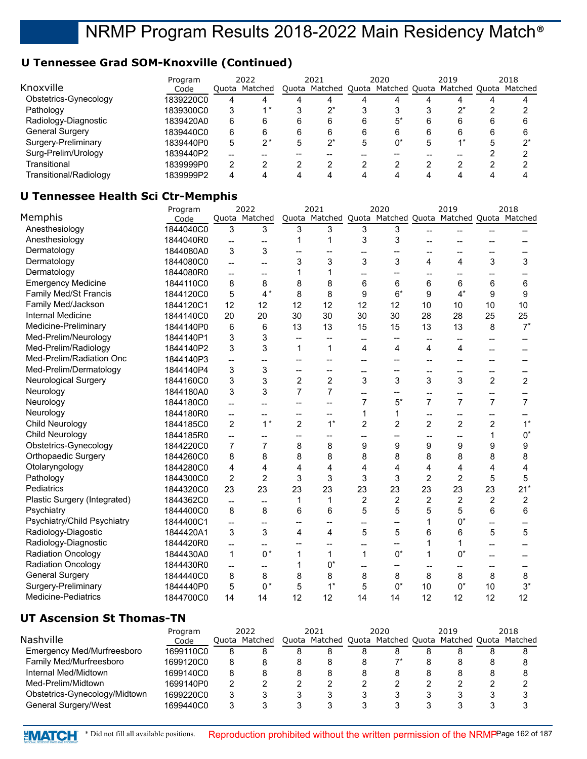## **U Tennessee Grad SOM-Knoxville (Continued)**

| Knoxville              | Program   |       | 2022          |   | 2021 |   | 2020 |   | 2019                                                    |   | 2018 |
|------------------------|-----------|-------|---------------|---|------|---|------|---|---------------------------------------------------------|---|------|
|                        | Code      |       | Quota Matched |   |      |   |      |   | Quota Matched Quota Matched Quota Matched Quota Matched |   |      |
| Obstetrics-Gynecology  | 1839220C0 | 4     |               |   |      |   | 4    |   |                                                         |   |      |
| Pathology              | 1839300C0 | 3     | 4 *           |   | っ*   | 3 | 3    |   | ′^                                                      |   |      |
| Radiology-Diagnostic   | 1839420A0 | 6     |               | 6 | 6    | 6 | 5*   |   | 6                                                       | 6 |      |
| <b>General Surgery</b> | 1839440C0 | 6     |               | 6 | 6    | 6 | 6    | 6 | 6                                                       | 6 |      |
| Surgery-Preliminary    | 1839440P0 | 5     | 2*            | 5 | •ገ*  | 5 | 0*   | 5 | $4*$                                                    | 5 | י^   |
| Surg-Prelim/Urology    | 1839440P2 | $- -$ |               |   |      |   |      |   |                                                         |   |      |
| Transitional           | 1839999P0 | 2     |               |   |      |   |      |   |                                                         |   |      |
| Transitional/Radiology | 1839999P2 | 4     |               |   |      |   |      |   |                                                         |   |      |

## **U Tennessee Health Sci Ctr-Memphis**

|                              | Program   |                          | 2022           |                | 2021           |                | 2020           |                          | 2019                                                    |                | 2018           |
|------------------------------|-----------|--------------------------|----------------|----------------|----------------|----------------|----------------|--------------------------|---------------------------------------------------------|----------------|----------------|
| Memphis                      | Code      |                          | Quota Matched  |                |                |                |                |                          | Quota Matched Quota Matched Quota Matched Quota Matched |                |                |
| Anesthesiology               | 1844040C0 | 3                        | 3              | 3              | 3              | 3              | 3              |                          |                                                         |                |                |
| Anesthesiology               | 1844040R0 | $\overline{a}$           | --             | 1              | 1              | 3              | 3              |                          |                                                         |                |                |
| Dermatology                  | 1844080A0 | 3                        | 3              | --             |                | --             | --             |                          | --                                                      | --             |                |
| Dermatology                  | 1844080C0 | $\overline{a}$           | --             | 3              | 3              | 3              | 3              | 4                        | 4                                                       | 3              | 3              |
| Dermatology                  | 1844080R0 | $-$                      | --             | 1              | $\mathbf 1$    |                |                |                          |                                                         | --             |                |
| <b>Emergency Medicine</b>    | 1844110C0 | 8                        | 8              | 8              | 8              | 6              | 6              | 6                        | 6                                                       | 6              | 6              |
| <b>Family Med/St Francis</b> | 1844120C0 | 5                        | $4*$           | 8              | 8              | 9              | $6*$           | 9                        | $4^*$                                                   | 9              | 9              |
| Family Med/Jackson           | 1844120C1 | 12                       | 12             | 12             | 12             | 12             | 12             | 10                       | 10                                                      | 10             | 10             |
| Internal Medicine            | 1844140C0 | 20                       | 20             | 30             | 30             | 30             | 30             | 28                       | 28                                                      | 25             | 25             |
| Medicine-Preliminary         | 1844140P0 | 6                        | 6              | 13             | 13             | 15             | 15             | 13                       | 13                                                      | 8              | $7^*$          |
| Med-Prelim/Neurology         | 1844140P1 | 3                        | 3              |                |                | --             |                |                          |                                                         |                |                |
| Med-Prelim/Radiology         | 1844140P2 | 3                        | 3              | 1              | $\mathbf{1}$   | 4              | 4              | 4                        | 4                                                       |                |                |
| Med-Prelim/Radiation Onc     | 1844140P3 | $\overline{a}$           |                |                |                |                | --             |                          |                                                         |                |                |
| Med-Prelim/Dermatology       | 1844140P4 | 3                        | 3              | --             | --             | --             | --             | --                       | --                                                      | --             |                |
| <b>Neurological Surgery</b>  | 1844160C0 | 3                        | 3              | $\overline{c}$ | $\overline{2}$ | 3              | 3              | 3                        | 3                                                       | $\overline{2}$ | $\overline{2}$ |
| Neurology                    | 1844180A0 | 3                        | 3              | $\overline{7}$ | $\overline{7}$ | $\overline{a}$ | --             | --                       | --                                                      | --             |                |
| Neurology                    | 1844180C0 | $\overline{a}$           | --             | --             | --             | $\overline{7}$ | $5^*$          | $\overline{7}$           | $\overline{7}$                                          | $\overline{7}$ | $\overline{7}$ |
| Neurology                    | 1844180R0 | $\overline{\phantom{a}}$ | --             | --             | --             | $\mathbf{1}$   | 1              | $\overline{\phantom{a}}$ | --                                                      | --             |                |
| Child Neurology              | 1844185C0 | $\overline{2}$           | $1^*$          | $\overline{c}$ | $1^*$          | $\overline{2}$ | $\overline{2}$ | $\overline{2}$           | $\overline{2}$                                          | $\overline{2}$ | $1^*$          |
| <b>Child Neurology</b>       | 1844185R0 | --                       |                | --             | --             |                | --             |                          |                                                         | 1              | $0^*$          |
| Obstetrics-Gynecology        | 1844220C0 | $\overline{7}$           | $\overline{7}$ | 8              | 8              | 9              | 9              | 9                        | 9                                                       | 9              | 9              |
| Orthopaedic Surgery          | 1844260C0 | 8                        | 8              | 8              | 8              | 8              | 8              | 8                        | 8                                                       | 8              | 8              |
| Otolaryngology               | 1844280C0 | 4                        | 4              | 4              | 4              | 4              | 4              | 4                        | 4                                                       | 4              | 4              |
| Pathology                    | 1844300C0 | $\overline{c}$           | $\overline{2}$ | 3              | 3              | 3              | 3              | $\overline{2}$           | $\overline{2}$                                          | 5              | 5              |
| Pediatrics                   | 1844320C0 | 23                       | 23             | 23             | 23             | 23             | 23             | 23                       | 23                                                      | 23             | $21*$          |
| Plastic Surgery (Integrated) | 1844362C0 | $\overline{a}$           | --             | 1              | 1              | $\overline{c}$ | $\overline{c}$ | $\overline{2}$           | $\overline{c}$                                          | $\overline{c}$ | 2              |
| Psychiatry                   | 1844400C0 | 8                        | 8              | 6              | 6              | 5              | 5              | 5                        | 5                                                       | 6              | 6              |
| Psychiatry/Child Psychiatry  | 1844400C1 | --                       | --             | --             | --             | $-$            | $\overline{a}$ | 1                        | $0^*$                                                   | --             |                |
| Radiology-Diagostic          | 1844420A1 | 3                        | 3              | 4              | 4              | 5              | 5              | 6                        | 6                                                       | 5              | 5              |
| Radiology-Diagnostic         | 1844420R0 | --                       | --             |                |                | --             | --             | 1                        | 1                                                       | --             |                |
| <b>Radiation Oncology</b>    | 1844430A0 | $\mathbf{1}$             | $0*$           | 1              | $\mathbf{1}$   | $\mathbf 1$    | $0^*$          | 1                        | $0^*$                                                   | --             |                |
| <b>Radiation Oncology</b>    | 1844430R0 | $\overline{\phantom{a}}$ | --             | 1              | $0^*$          | --             | --             |                          | --                                                      | --             |                |
| <b>General Surgery</b>       | 1844440C0 | 8                        | 8              | 8              | 8              | 8              | 8              | 8                        | 8                                                       | 8              | 8              |
| Surgery-Preliminary          | 1844440P0 | 5                        | $0*$           | 5              | $1^*$          | 5              | $0^*$          | 10                       | $0^*$                                                   | 10             | $3^*$          |
| Medicine-Pediatrics          | 1844700C0 | 14                       | 14             | 12             | 12             | 14             | 14             | 12                       | 12                                                      | 12             | 12             |

## **UT Ascension St Thomas-TN**

|                               | Program   | 2022  |         | 2021  |                             | 2020 |   | 2019 |               | 2018    |
|-------------------------------|-----------|-------|---------|-------|-----------------------------|------|---|------|---------------|---------|
| <b>Nashville</b>              | Code      | Ouota | Matched | Ouota | Matched Quota Matched Quota |      |   |      | Matched Ouota | Matched |
| Emergency Med/Murfreesboro    | 1699110C0 | 8     |         |       | 8                           | 8    | 8 |      |               |         |
| Family Med/Murfreesboro       | 1699120C0 | 8     |         |       |                             |      |   |      |               |         |
| Internal Med/Midtown          | 1699140C0 | 8     |         |       |                             |      | 8 |      |               |         |
| Med-Prelim/Midtown            | 1699140P0 | 2     |         |       |                             |      |   |      |               |         |
| Obstetrics-Gynecology/Midtown | 1699220C0 | 3     |         |       |                             |      |   |      |               |         |
| General Surgery/West          | 1699440C0 | 3     |         |       |                             |      |   |      |               |         |

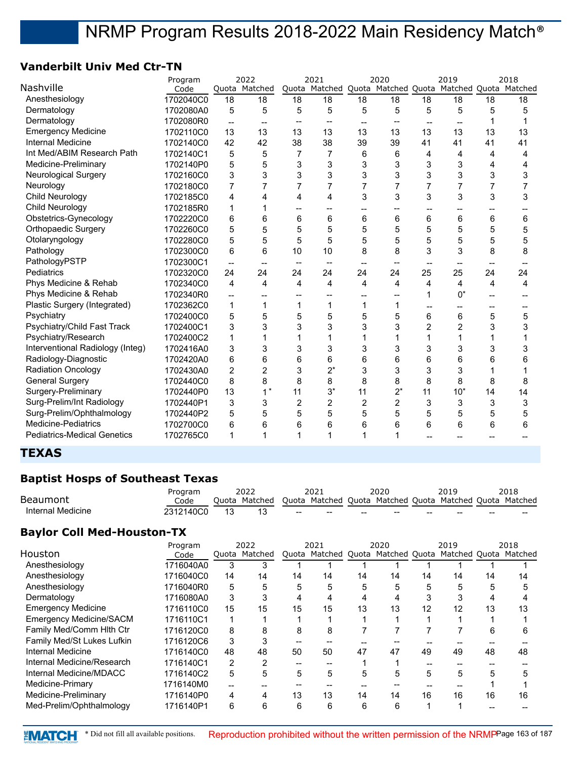## **Vanderbilt Univ Med Ctr-TN**

|                                    | Program   |                          | 2022           |                | 2021                                                    |                | 2020  |                | 2019  |    | 2018 |
|------------------------------------|-----------|--------------------------|----------------|----------------|---------------------------------------------------------|----------------|-------|----------------|-------|----|------|
| Nashville                          | Code      |                          | Quota Matched  |                | Quota Matched Quota Matched Quota Matched Quota Matched |                |       |                |       |    |      |
| Anesthesiology                     | 1702040C0 | 18                       | 18             | 18             | 18                                                      | 18             | 18    | 18             | 18    | 18 | 18   |
| Dermatology                        | 1702080A0 | 5                        | 5              | 5              | 5                                                       | 5              | 5     | 5              | 5     | 5  | 5    |
| Dermatology                        | 1702080R0 | $\overline{\phantom{a}}$ |                |                |                                                         |                |       |                |       |    |      |
| <b>Emergency Medicine</b>          | 1702110C0 | 13                       | 13             | 13             | 13                                                      | 13             | 13    | 13             | 13    | 13 | 13   |
| <b>Internal Medicine</b>           | 1702140C0 | 42                       | 42             | 38             | 38                                                      | 39             | 39    | 41             | 41    | 41 | 41   |
| Int Med/ABIM Research Path         | 1702140C1 | 5                        | 5              | 7              | 7                                                       | 6              | 6     | 4              | 4     | 4  | 4    |
| Medicine-Preliminary               | 1702140P0 | 5                        | 5              | 3              | 3                                                       | 3              | 3     | 3              | 3     | 4  | 4    |
| <b>Neurological Surgery</b>        | 1702160C0 | 3                        | 3              | 3              | 3                                                       | 3              | 3     | 3              | 3     | 3  | 3    |
| Neurology                          | 1702180C0 | 7                        | $\overline{7}$ | 7              | 7                                                       | 7              | 7     | $\overline{7}$ | 7     | 7  | 7    |
| Child Neurology                    | 1702185C0 | 4                        | 4              | 4              | 4                                                       | 3              | 3     | 3              | 3     | 3  | 3    |
| <b>Child Neurology</b>             | 1702185R0 | 1                        | 1              |                |                                                         |                |       |                |       |    |      |
| Obstetrics-Gynecology              | 1702220C0 | 6                        | 6              | 6              | 6                                                       | 6              | 6     | 6              | 6     | 6  | 6    |
| Orthopaedic Surgery                | 1702260C0 | 5                        | 5              | 5              | 5                                                       | 5              | 5     | 5              | 5     | 5  | 5    |
| Otolaryngology                     | 1702280C0 | 5                        | 5              | 5              | 5                                                       | 5              | 5     | 5              | 5     | 5  | 5    |
| Pathology                          | 1702300C0 | 6                        | 6              | 10             | 10                                                      | 8              | 8     | 3              | 3     | 8  | 8    |
| PathologyPSTP                      | 1702300C1 | $\overline{\phantom{a}}$ | --             |                |                                                         |                |       |                |       |    |      |
| Pediatrics                         | 1702320C0 | 24                       | 24             | 24             | 24                                                      | 24             | 24    | 25             | 25    | 24 | 24   |
| Phys Medicine & Rehab              | 1702340C0 | 4                        | 4              | 4              | 4                                                       | 4              | 4     | 4              | 4     | 4  | 4    |
| Phys Medicine & Rehab              | 1702340R0 | --                       | --             |                |                                                         |                |       | 1              | $0^*$ |    |      |
| Plastic Surgery (Integrated)       | 1702362C0 | 1                        | 1              | 1              | 1                                                       | 1              |       |                |       |    |      |
| Psychiatry                         | 1702400C0 | 5                        | 5              | 5              | 5                                                       | 5              | 5     | 6              | 6     | 5  | 5    |
| Psychiatry/Child Fast Track        | 1702400C1 | 3                        | 3              | 3              | 3                                                       | 3              | 3     | $\overline{2}$ | 2     | 3  | 3    |
| Psychiatry/Research                | 1702400C2 | 1                        | 1              |                | 1                                                       |                |       | 1              |       |    |      |
| Interventional Radiology (Integ)   | 1702416A0 | 3                        | 3              | 3              | 3                                                       | 3              | 3     | 3              | 3     | 3  | 3    |
| Radiology-Diagnostic               | 1702420A0 | 6                        | 6              | 6              | 6                                                       | 6              | 6     | 6              | 6     | 6  | 6    |
| <b>Radiation Oncology</b>          | 1702430A0 | 2                        | $\overline{2}$ | 3              | $2^*$                                                   | 3              | 3     | 3              | 3     |    |      |
| <b>General Surgery</b>             | 1702440C0 | 8                        | 8              | 8              | 8                                                       | 8              | 8     | 8              | 8     | 8  | 8    |
| Surgery-Preliminary                | 1702440P0 | 13                       | $1^*$          | 11             | $3^*$                                                   | 11             | $2^*$ | 11             | $10*$ | 14 | 14   |
| Surg-Prelim/Int Radiology          | 1702440P1 | 3                        | 3              | $\overline{c}$ | $\overline{c}$                                          | $\overline{2}$ | 2     | 3              | 3     | 3  | 3    |
| Surg-Prelim/Ophthalmology          | 1702440P2 | 5                        | 5              | 5              | 5                                                       | 5              | 5     | 5              | 5     | 5  | 5    |
| <b>Medicine-Pediatrics</b>         | 1702700C0 | 6                        | 6              | 6              | 6                                                       | 6              | 6     | 6              | 6     | 6  | 6    |
| <b>Pediatrics-Medical Genetics</b> | 1702765C0 | 1                        | 1              |                | 1                                                       | 1              |       |                |       |    |      |
|                                    |           |                          |                |                |                                                         |                |       |                |       |    |      |

## **TEXAS**

#### **Baptist Hosps of Southeast Texas**

|                   | Program   | 2022          |                                                | 2021                                                    |                          | 2020                     |    | 2019  |       | 2018  |
|-------------------|-----------|---------------|------------------------------------------------|---------------------------------------------------------|--------------------------|--------------------------|----|-------|-------|-------|
| Beaumont          | Code      | Ouota Matched |                                                | Ouota Matched Ouota Matched Ouota Matched Ouota Matched |                          |                          |    |       |       |       |
| Internal Medicine | 2312140C0 |               | $\hspace{0.1mm}-\hspace{0.1mm}-\hspace{0.1mm}$ | $- -$                                                   | $\overline{\phantom{m}}$ | $\overline{\phantom{m}}$ | -- | $- -$ | $- -$ | $- -$ |

## **Baylor Coll Med-Houston-TX**

|                            | Program   |    | 2022          |    | 2021 |    | 2020 |    | 2019                                                    |    | 2018 |
|----------------------------|-----------|----|---------------|----|------|----|------|----|---------------------------------------------------------|----|------|
| Houston                    | Code      |    | Ouota Matched |    |      |    |      |    | Quota Matched Quota Matched Quota Matched Quota Matched |    |      |
| Anesthesiology             | 1716040A0 | 3  | 3             |    |      |    |      |    |                                                         |    |      |
| Anesthesiology             | 1716040C0 | 14 | 14            | 14 | 14   | 14 | 14   | 14 | 14                                                      | 14 | 14   |
| Anesthesiology             | 1716040R0 | 5  | 5             | 5  | 5    | 5  | 5    | 5  | 5                                                       | 5  |      |
| Dermatology                | 1716080A0 | 3  | 3             |    | 4    |    |      | 3  |                                                         |    |      |
| <b>Emergency Medicine</b>  | 1716110C0 | 15 | 15            | 15 | 15   | 13 | 13   | 12 | 12                                                      | 13 | 13   |
| Emergency Medicine/SACM    | 1716110C1 |    |               |    |      |    |      |    |                                                         |    |      |
| Family Med/Comm Hith Ctr   | 1716120C0 | 8  | 8             | 8  | 8    |    |      |    |                                                         | 6  |      |
| Family Med/St Lukes Lufkin | 1716120C6 | 3  | 3             |    |      |    |      |    |                                                         |    |      |
| Internal Medicine          | 1716140C0 | 48 | 48            | 50 | 50   | 47 | 47   | 49 | 49                                                      | 48 | 48   |
| Internal Medicine/Research | 1716140C1 | 2  | 2             |    |      |    |      |    |                                                         |    |      |
| Internal Medicine/MDACC    | 1716140C2 | 5  | 5             | 5  | 5    | 5  | 5    | 5  | 5                                                       | 5  | 5    |
| Medicine-Primary           | 1716140M0 |    |               |    |      |    |      |    |                                                         |    |      |
| Medicine-Preliminary       | 1716140P0 | 4  | 4             | 13 | 13   | 14 | 14   | 16 | 16                                                      | 16 | 16   |
| Med-Prelim/Ophthalmology   | 1716140P1 | 6  | 6             | 6  | 6    | 6  | 6    |    |                                                         |    |      |

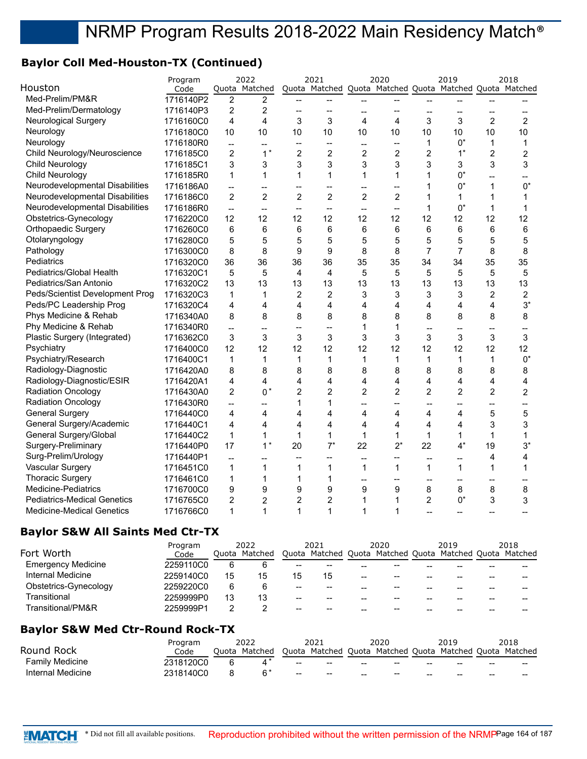## **Baylor Coll Med-Houston-TX (Continued)**

|                                    | Program   |                          | 2022                     |                | 2021                                                    |                | 2020           |                         | 2019           |                | 2018           |
|------------------------------------|-----------|--------------------------|--------------------------|----------------|---------------------------------------------------------|----------------|----------------|-------------------------|----------------|----------------|----------------|
| Houston                            | Code      |                          | Quota Matched            |                | Quota Matched Quota Matched Quota Matched Quota Matched |                |                |                         |                |                |                |
| Med-Prelim/PM&R                    | 1716140P2 | $\overline{c}$           | $\overline{\mathbf{c}}$  |                |                                                         |                |                |                         |                |                |                |
| Med-Prelim/Dermatology             | 1716140P3 | $\overline{\mathbf{c}}$  | $\boldsymbol{2}$         |                |                                                         |                | --             | --                      | --             |                |                |
| <b>Neurological Surgery</b>        | 1716160C0 | $\overline{4}$           | $\overline{4}$           | 3              | 3                                                       | 4              | 4              | 3                       | 3              | $\overline{2}$ | $\overline{2}$ |
| Neurology                          | 1716180C0 | 10                       | 10                       | 10             | 10                                                      | 10             | 10             | 10                      | 10             | 10             | 10             |
| Neurology                          | 1716180R0 | $\overline{\phantom{a}}$ | --                       | --             | --                                                      | --             | --             | $\mathbf{1}$            | $0^*$          | $\mathbf{1}$   | 1              |
| Child Neurology/Neuroscience       | 1716185C0 | $\overline{c}$           | $1^*$                    | $\overline{c}$ | $\overline{c}$                                          | $\overline{c}$ | 2              | $\overline{c}$          | $1^*$          | $\overline{c}$ | $\overline{c}$ |
| Child Neurology                    | 1716185C1 | 3                        | 3                        | 3              | 3                                                       | 3              | 3              | 3                       | 3              | 3              | 3              |
| Child Neurology                    | 1716185R0 | $\mathbf{1}$             | 1                        | 1              | $\mathbf{1}$                                            | $\mathbf{1}$   | 1              | 1                       | $0^*$          | --             |                |
| Neurodevelopmental Disabilities    | 1716186A0 | $\overline{a}$           |                          | --             | --                                                      | --             | --             | 1                       | $0^*$          | $\mathbf{1}$   | $0^*$          |
| Neurodevelopmental Disabilities    | 1716186C0 | $\overline{2}$           | $\overline{2}$           | $\overline{c}$ | $\overline{2}$                                          | $\overline{2}$ | $\overline{2}$ | 1                       | 1              | $\mathbf{1}$   | 1              |
| Neurodevelopmental Disabilities    | 1716186R0 | <u></u>                  | --                       | --             | --                                                      | --             | $\overline{a}$ | 1                       | $0^*$          | $\mathbf{1}$   | 1              |
| Obstetrics-Gynecology              | 1716220C0 | 12                       | 12                       | 12             | 12                                                      | 12             | 12             | 12                      | 12             | 12             | 12             |
| <b>Orthopaedic Surgery</b>         | 1716260C0 | 6                        | 6                        | 6              | 6                                                       | 6              | 6              | 6                       | 6              | 6              | 6              |
| Otolaryngology                     | 1716280C0 | 5                        | 5                        | 5              | 5                                                       | 5              | 5              | 5                       | 5              | 5              | 5              |
| Pathology                          | 1716300C0 | 8                        | 8                        | 9              | 9                                                       | 8              | 8              | $\overline{7}$          | $\overline{7}$ | 8              | 8              |
| Pediatrics                         | 1716320C0 | 36                       | 36                       | 36             | 36                                                      | 35             | 35             | 34                      | 34             | 35             | 35             |
| Pediatrics/Global Health           | 1716320C1 | 5                        | 5                        | 4              | 4                                                       | 5              | 5              | 5                       | 5              | 5              | 5              |
| Pediatrics/San Antonio             | 1716320C2 | 13                       | 13                       | 13             | 13                                                      | 13             | 13             | 13                      | 13             | 13             | 13             |
| Peds/Scientist Development Prog    | 1716320C3 | $\mathbf 1$              | 1                        | $\overline{c}$ | $\overline{c}$                                          | 3              | 3              | 3                       | 3              | $\overline{2}$ | $\overline{2}$ |
| Peds/PC Leadership Prog            | 1716320C4 | 4                        | 4                        | 4              | 4                                                       | 4              | 4              | $\overline{\mathbf{4}}$ | 4              | $\overline{4}$ | $3^*$          |
| Phys Medicine & Rehab              | 1716340A0 | 8                        | 8                        | 8              | 8                                                       | 8              | 8              | 8                       | 8              | 8              | 8              |
| Phy Medicine & Rehab               | 1716340R0 | --                       | $\overline{\phantom{a}}$ | --             | --                                                      | 1              | $\mathbf{1}$   | --                      | --             | --             |                |
| Plastic Surgery (Integrated)       | 1716362C0 | 3                        | 3                        | 3              | 3                                                       | 3              | 3              | 3                       | 3              | 3              | 3              |
| Psychiatry                         | 1716400C0 | 12                       | 12                       | 12             | 12                                                      | 12             | 12             | 12                      | 12             | 12             | 12             |
| Psychiatry/Research                | 1716400C1 | $\mathbf 1$              | 1                        | 1              | 1                                                       | 1              | 1              | 1                       | 1              | 1              | $0^*$          |
| Radiology-Diagnostic               | 1716420A0 | 8                        | 8                        | 8              | 8                                                       | 8              | 8              | 8                       | 8              | 8              | 8              |
| Radiology-Diagnostic/ESIR          | 1716420A1 | 4                        | 4                        | 4              | 4                                                       | 4              | 4              | 4                       | 4              | 4              | 4              |
| <b>Radiation Oncology</b>          | 1716430A0 | $\overline{2}$           | $0*$                     | $\overline{2}$ | $\overline{2}$                                          | $\overline{2}$ | $\overline{2}$ | $\overline{2}$          | $\overline{2}$ | $\overline{2}$ | $\overline{2}$ |
| <b>Radiation Oncology</b>          | 1716430R0 | $\overline{a}$           | --                       | 1              | 1                                                       |                | --             |                         |                | --             |                |
| <b>General Surgery</b>             | 1716440C0 | 4                        | 4                        | 4              | 4                                                       | 4              | 4              | 4                       | 4              | 5              | 5              |
| General Surgery/Academic           | 1716440C1 | 4                        | $\overline{4}$           | $\overline{4}$ | 4                                                       | 4              | 4              | 4                       | 4              | 3              | 3              |
| General Surgery/Global             | 1716440C2 | $\mathbf{1}$             | 1                        | $\mathbf{1}$   | $\mathbf{1}$                                            | $\mathbf{1}$   | 1              | $\mathbf{1}$            | 1              | $\mathbf{1}$   | 1              |
| Surgery-Preliminary                | 1716440P0 | 17                       | $1^*$                    | 20             | $7^*$                                                   | 22             | $2^*$          | 22                      | $4^*$          | 19             | $3^*$          |
| Surg-Prelim/Urology                | 1716440P1 | $\overline{\phantom{a}}$ |                          | --             | --                                                      | $-$            | --             |                         | --             | $\overline{4}$ | 4              |
| Vascular Surgery                   | 1716451C0 | 1                        | 1                        | 1              | 1                                                       | 1              | 1              | 1                       | 1              | 1              | 1              |
| <b>Thoracic Surgery</b>            | 1716461C0 | $\mathbf{1}$             | 1                        | 1              | $\mathbf{1}$                                            |                | $-$            | --                      | --             | --             |                |
| Medicine-Pediatrics                | 1716700C0 | 9                        | 9                        | 9              | 9                                                       | 9              | 9              | 8                       | 8              | 8              | 8              |
| <b>Pediatrics-Medical Genetics</b> | 1716765C0 | $\overline{c}$           | $\overline{2}$           | 2              | $\overline{c}$                                          | $\mathbf{1}$   | 1              | $\overline{2}$          | $0^*$          | 3              | 3              |
| <b>Medicine-Medical Genetics</b>   | 1716766C0 | 1                        | 1                        | 1              | $\mathbf{1}$                                            | 1              | 1              |                         |                |                |                |

## **Baylor S&W All Saints Med Ctr-TX**

|                           | Program   | 2022 |               | 2021 |                                                         | 2020  |       | 2019 |    | 2018 |    |
|---------------------------|-----------|------|---------------|------|---------------------------------------------------------|-------|-------|------|----|------|----|
| Fort Worth                | Code      |      | Ouota Matched |      | Quota Matched Quota Matched Quota Matched Quota Matched |       |       |      |    |      |    |
| <b>Emergency Medicine</b> | 2259110C0 | 6    |               | --   | $- -$                                                   | --    | $- -$ |      |    |      |    |
| Internal Medicine         | 2259140C0 | 15   | 15            | 15   | 15                                                      | --    | $- -$ |      | -- | --   |    |
| Obstetrics-Gynecology     | 2259220C0 | 6    |               | --   | $- -$                                                   | $- -$ | $- -$ |      |    | --   | -- |
| Transitional              | 2259999P0 | 13   |               | --   | $- -$                                                   | --    | $- -$ |      |    |      |    |
| Transitional/PM&R         | 2259999P1 |      |               | --   | $- -$                                                   | --    | $- -$ |      |    |      |    |

## **Baylor S&W Med Ctr-Round Rock-TX**

|                   | Program   | 2022           |                          | 2021                                                    |       | 2020  |    | 2019 |       | 2018  |
|-------------------|-----------|----------------|--------------------------|---------------------------------------------------------|-------|-------|----|------|-------|-------|
| Round Rock        | Code      | Ouota Matched  |                          | Quota Matched Quota Matched Quota Matched Quota Matched |       |       |    |      |       |       |
| Family Medicine   | 2318120C0 |                | $\overline{\phantom{a}}$ | $-$                                                     | $- -$ | $- -$ | -- | --   | $- -$ | $- -$ |
| Internal Medicine | 2318140C0 | R <sup>*</sup> | $\sim$                   | $-$                                                     | $- -$ | $- -$ | -- | --   | $- -$ | $- -$ |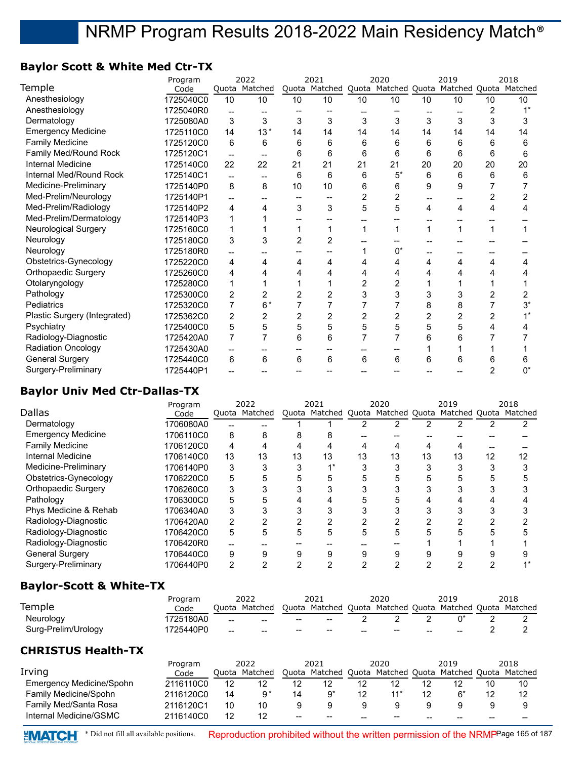## **Baylor Scott & White Med Ctr-TX**

| 10<br>2 | Quota Matched Quota Matched Quota Matched Quota Matched<br>10 |
|---------|---------------------------------------------------------------|
|         |                                                               |
|         |                                                               |
|         |                                                               |
|         |                                                               |
| 14      | 14                                                            |
| 6       | 6                                                             |
| 6       | 6                                                             |
| 20      | 20                                                            |
| 6       | 6                                                             |
|         |                                                               |
|         |                                                               |
| 4       | 4                                                             |
|         |                                                               |
|         |                                                               |
|         |                                                               |
|         |                                                               |
| 4       | 4                                                             |
|         |                                                               |
|         |                                                               |
|         |                                                               |
|         | $3^*$                                                         |
|         |                                                               |
|         |                                                               |
|         |                                                               |
|         |                                                               |
| 6       | 6                                                             |
| 2       | $0^*$                                                         |
|         |                                                               |

## **Baylor Univ Med Ctr-Dallas-TX**

| Quota Matched Quota Matched Quota Matched Quota Matched |
|---------------------------------------------------------|
|                                                         |
|                                                         |
|                                                         |
| 12                                                      |
|                                                         |
|                                                         |
|                                                         |
|                                                         |
|                                                         |
|                                                         |
|                                                         |
|                                                         |
|                                                         |
|                                                         |
|                                                         |

## **Baylor-Scott & White-TX**

|                     | Program   |                   | 2022          |     | 2021                                                    |                                                | 2020              |    | 2019  | 2018 |
|---------------------|-----------|-------------------|---------------|-----|---------------------------------------------------------|------------------------------------------------|-------------------|----|-------|------|
| Temple              | Code      |                   | Ouota Matched |     | Quota Matched Quota Matched Quota Matched Quota Matched |                                                |                   |    |       |      |
| Neurology           | I725180A0 | $\hspace{0.05cm}$ | $-$           | $-$ | $- -$                                                   |                                                |                   |    |       |      |
| Surg-Prelim/Urology | 725440P0  | $- -$             | $- -$         | --  | $\hspace{0.1mm}-\hspace{0.1mm}-\hspace{0.1mm}$          | $\hspace{0.1mm}-\hspace{0.1mm}-\hspace{0.1mm}$ | $\hspace{0.05cm}$ | -- | $- -$ |      |

## **CHRISTUS Health-TX**

|                          | Program   |       | 2022    |       | 2021                        |    | 2020  |    | 2019                  |    | 2018            |
|--------------------------|-----------|-------|---------|-------|-----------------------------|----|-------|----|-----------------------|----|-----------------|
| Irving                   | Code      | Ouota | Matched | Quota | Matched Quota Matched Quota |    |       |    | Matched Quota Matched |    |                 |
| Emergency Medicine/Spohn | 2116110C0 | 12    | 12      |       | 12                          |    |       |    |                       | 10 | 10              |
| Family Medicine/Spohn    | 2116120C0 | 14    | 0*      | 14    | a,                          |    |       | 12 |                       |    | 12              |
| Family Med/Santa Rosa    | 2116120C1 | 10    |         |       |                             |    |       |    |                       |    |                 |
| Internal Medicine/GSMC   | 2116140C0 | 12    |         | $- -$ | $\qquad \qquad$             | -- | $- -$ | -- |                       | -- | $\qquad \qquad$ |

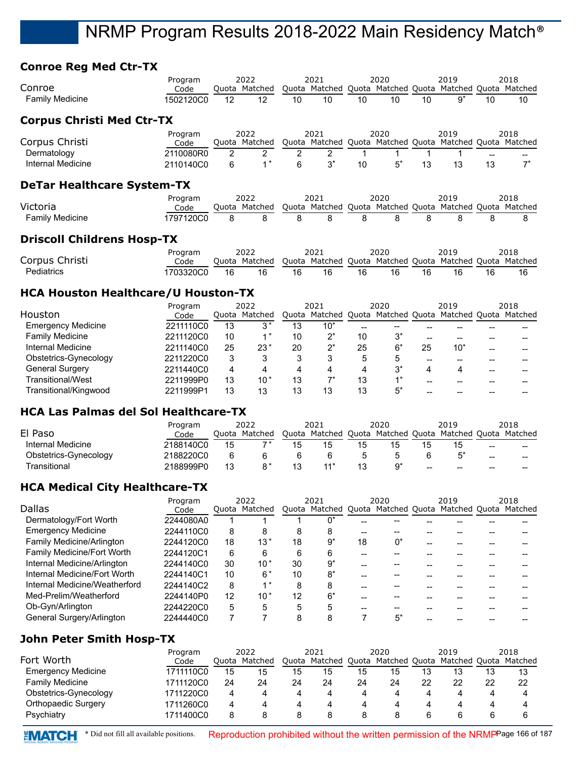## **Conroe Reg Med Ctr-TX**

| Conroe<br><b>Family Medicine</b>           | Program<br>Code<br>1502120C0 | 12 | 2022<br>Quota Matched<br>12 | 10 | 2021<br>Quota Matched Quota Matched Quota Matched Quota Matched<br>10 | 10 | 2020<br>10 | 10 | 2019<br>$9^*$ | 10 | 2018<br>10 |
|--------------------------------------------|------------------------------|----|-----------------------------|----|-----------------------------------------------------------------------|----|------------|----|---------------|----|------------|
| <b>Corpus Christi Med Ctr-TX</b>           |                              |    |                             |    |                                                                       |    |            |    |               |    |            |
|                                            | Program                      |    | 2022                        |    | 2021                                                                  |    | 2020       |    | 2019          |    | 2018       |
| Corpus Christi                             | Code                         |    | Quota Matched               |    | Quota Matched Quota Matched Quota Matched Quota Matched               |    |            |    |               |    |            |
| Dermatology                                | 2110080R0                    | 2  | $\overline{2}$              | 2  | 2                                                                     |    |            |    |               | -- | $- -$      |
| Internal Medicine                          | 2110140C0                    | 6  | $1^*$                       | 6  | $3^*$                                                                 | 10 | $5^*$      | 13 | 13            | 13 | $7^*$      |
|                                            |                              |    |                             |    |                                                                       |    |            |    |               |    |            |
| <b>DeTar Healthcare System-TX</b>          |                              |    |                             |    |                                                                       |    |            |    |               |    |            |
|                                            | Program                      |    | 2022                        |    | 2021                                                                  |    | 2020       |    | 2019          |    | 2018       |
| Victoria                                   | Code                         |    | Ouota Matched               |    | Quota Matched Quota Matched Quota Matched Quota Matched               |    |            |    |               |    |            |
| <b>Family Medicine</b>                     | 1797120C0                    | 8  | 8                           | 8  | 8                                                                     | 8  | 8          | 8  | 8             | 8  | 8          |
| <b>Driscoll Childrens Hosp-TX</b>          |                              |    |                             |    |                                                                       |    |            |    |               |    |            |
|                                            | Program                      |    | 2022                        |    | 2021                                                                  |    | 2020       |    | 2019          |    | 2018       |
| Corpus Christi                             | Code                         |    | Quota Matched               |    | Quota Matched Quota Matched Quota Matched Quota Matched               |    |            |    |               |    |            |
| Pediatrics                                 | 1703320C0                    | 16 | 16                          | 16 | 16                                                                    | 16 | 16         | 16 | 16            | 16 | 16         |
| <b>HCA Houston Healthcare/U Houston-TX</b> |                              |    |                             |    |                                                                       |    |            |    |               |    |            |
|                                            | Program                      |    | 2022                        |    | 2021                                                                  |    | 2020       |    | 2019          |    | 2018       |
| Houston                                    | Code                         |    | Quota Matched               |    | Quota Matched Quota Matched Quota Matched Quota Matched               |    |            |    |               |    |            |
| <b>Emergency Medicine</b>                  | 2211110C0                    | 13 | $3^*$                       | 13 | $10^*$                                                                | -- |            |    |               |    |            |
| <b>Family Medicine</b>                     | 2211120C0                    | 10 | $1^*$                       | 10 | $2^*$                                                                 | 10 | $3^*$      |    |               |    |            |

Internal Medicine 2211140C0 25 23 20 2 25 6 25 10 -- -- \* \* \* \* Obstetrics-Gynecology 2211220C0 3 3 3 3 5 5 -- -- -- --<br>General Surgery 2211440C0 4 4 4 4 4 3<sup>\*</sup> 4 4 -- -General Surgery 2211440C0 4 4 44 4 344 -- -- \* Transitional/West 2211999P0 13 10<sup>\*</sup> 13 7<sup>\*</sup> 13 1<sup>\*</sup> -- -- -- --Transitional/Kingwood 2211999P1 13 13 13 13 5<sup>\*</sup> -- - - -

Internal Medicine 2188140C0 15 7<sup>\*</sup> 15 15 15 15 15 -- --Obstetrics-Gynecology 2188220C0 6 6 66 5 565 -- -- \* Transitional 2188999P0 13 8 13 11 13 9 -- -- -- -- \* \* \*

Quota Matched 2022

## **HCA Medical City Healthcare-TX**

El Paso **Program** Program Program

**HCA Las Palmas del Sol Healthcare-TX**

| Dallas                        | Program<br>Code |    | 2022<br>Ouota Matched |    | 2021<br>Quota Matched Quota Matched Quota Matched Quota Matched |    | 2020  | 2019 | 2018 |
|-------------------------------|-----------------|----|-----------------------|----|-----------------------------------------------------------------|----|-------|------|------|
| Dermatology/Fort Worth        | 2244080A0       |    |                       |    |                                                                 |    |       |      |      |
| <b>Emergency Medicine</b>     | 2244110C0       | 8  | 8                     | 8  | 8                                                               |    |       |      |      |
| Family Medicine/Arlington     | 2244120C0       | 18 | $13*$                 | 18 | 9*                                                              | 18 | $0^*$ |      |      |
| Family Medicine/Fort Worth    | 2244120C1       | 6  | 6                     | 6  | 6                                                               |    |       |      |      |
| Internal Medicine/Arlington   | 2244140C0       | 30 | $10*$                 | 30 | ʻ0*                                                             |    |       |      |      |
| Internal Medicine/Fort Worth  | 2244140C1       | 10 | 6*                    | 10 | $8^*$                                                           |    |       |      |      |
| Internal Medicine/Weatherford | 2244140C2       | 8  | $4*$                  | 8  | 8                                                               |    |       |      |      |
| Med-Prelim/Weatherford        | 2244140P0       | 12 | $10*$                 | 12 | $6*$                                                            |    |       |      |      |
| Ob-Gyn/Arlington              | 2244220C0       | 5  |                       | 5  | 5                                                               |    |       |      |      |
| General Surgery/Arlington     | 2244440C0       |    |                       |    |                                                                 |    | 5*    |      |      |

## **John Peter Smith Hosp-TX**

| Fort Worth                 | Program<br>Code | Ouota | 2022<br>Matched | Ouota | 2021<br>Matched Quota Matched Quota Matched Quota |    | 2020 |    | 2019 |    | 2018<br>Matched |
|----------------------------|-----------------|-------|-----------------|-------|---------------------------------------------------|----|------|----|------|----|-----------------|
| <b>Emergency Medicine</b>  | 1711110C0       | 15    | 15              | 15    | 15                                                | 15 | 15   | 13 | 13   | 13 | 13              |
| <b>Family Medicine</b>     | 1711120C0       | 24    | 24              | 24    | 24                                                | 24 | 24   | 22 |      | 22 | 22              |
| Obstetrics-Gynecology      | 1711220C0       | 4     |                 |       | 4                                                 | 4  | 4    |    |      | 4  | 4               |
| <b>Orthopaedic Surgery</b> | 1711260C0       | 4     |                 | 4     | 4                                                 | 4  | 4    | Δ  |      | 4  | 4               |
| Psychiatry                 | 1711400C0       | 8     |                 | ŏ     | 8                                                 |    | 8    |    |      |    | h               |



Quota Matched Quota Matched Quota Matched Quota Matched 2021 2020 2019 2018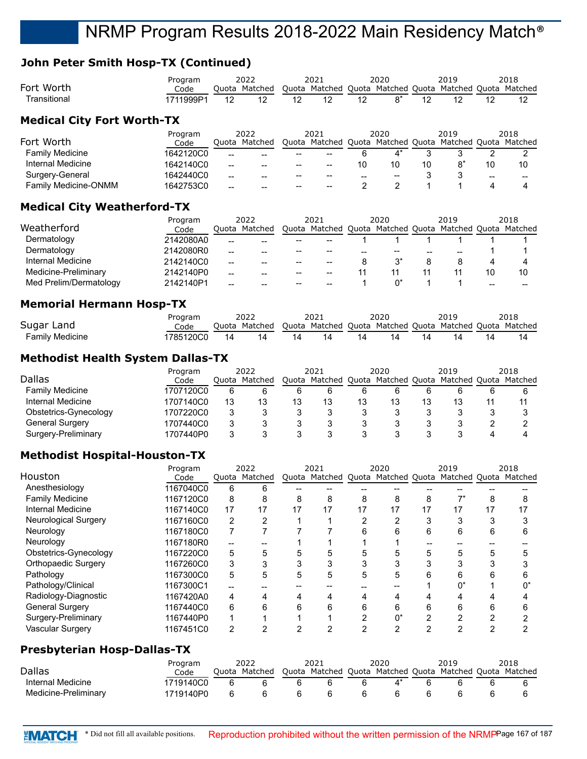## **John Peter Smith Hosp-TX (Continued)**

| Fort Worth                        | Program<br>Code |     | 2022<br>Quota Matched |    | 2021<br>Quota Matched Quota Matched Quota Matched Quota Matched |    | 2020                                              |    | 2019  |    | 2018 |
|-----------------------------------|-----------------|-----|-----------------------|----|-----------------------------------------------------------------|----|---------------------------------------------------|----|-------|----|------|
| Transitional                      | 1711999P1       | 12  | 12                    | 12 | 12                                                              | 12 | 8*                                                | 12 | 12    | 12 | 12   |
| <b>Medical City Fort Worth-TX</b> |                 |     |                       |    |                                                                 |    |                                                   |    |       |    |      |
| Fort Worth                        | Program         |     | 2022<br>Ouota Matched |    | 2021<br>Quota Matched Quota Matched Quota Matched Quota Matched |    | 2020                                              |    | 2019  |    | 2018 |
|                                   | Code            |     |                       |    |                                                                 |    |                                                   |    |       |    |      |
| <b>Family Medicine</b>            | 1642120C0       | $-$ |                       |    |                                                                 | 6  | $4^*$                                             |    |       |    |      |
| Internal Medicine                 | 1642140C0       | $-$ |                       |    | $\qquad \qquad$                                                 | 10 | 10                                                | 10 | $8^*$ | 10 | 10   |
| Surgery-General                   | 1642440C0       | $-$ |                       |    | $- -$                                                           | -- | $\hspace{0.05cm}-\hspace{0.05cm}-\hspace{0.05cm}$ | 3  | 3     | -- |      |
| <b>Family Medicine-ONMM</b>       | 1642753C0       | --  |                       |    |                                                                 | 2  | 2                                                 |    |       | 4  | 4    |

## **Medical City Weatherford-TX**

|                        | Program   |       | 2022    |                                                   | 2021                | 2020                     | 2019                  |    | 2018 |
|------------------------|-----------|-------|---------|---------------------------------------------------|---------------------|--------------------------|-----------------------|----|------|
| Weatherford            | Code      | Ouota | Matched |                                                   | Quota Matched Quota | Matched Quota            | Matched Quota Matched |    |      |
| Dermatology            | 2142080A0 | $- -$ | --      | $- -$                                             | $- -$               |                          |                       |    |      |
| Dermatology            | 2142080R0 | $-$   | --      | $\hspace{0.05cm}-\hspace{0.05cm}-\hspace{0.05cm}$ | --                  | $\overline{\phantom{m}}$ | --                    |    |      |
| Internal Medicine      | 2142140C0 | $-$   | --      | $\hspace{0.05cm}-\hspace{0.05cm}-\hspace{0.05cm}$ |                     |                          |                       |    |      |
| Medicine-Preliminary   | 2142140P0 | $-$   | --      | $- -$                                             | $- -$               |                          |                       | 10 | 10   |
| Med Prelim/Dermatology | 2142140P1 | $- -$ | --      | $- -$                                             | --                  |                          |                       | -- |      |

## **Memorial Hermann Hosp-TX**

|                        | Program  | วกวา  |         |       | 2021    | 2020 |                     | 2019 |               | 2018    |
|------------------------|----------|-------|---------|-------|---------|------|---------------------|------|---------------|---------|
| Sugar Land             | Code     | Juota | Matched | Ouota | Matched |      | Ouota Matched Ouota |      | Matched Quota | Matched |
| <b>Family Medicine</b> | 785120CC | 14    |         | 14    | . Д     |      |                     |      |               |         |

## **Methodist Health System Dallas-TX**

|                        | Program   |       | 2022    |       | 2021                        |    | 2020 |    | 2019          |    | 2018    |
|------------------------|-----------|-------|---------|-------|-----------------------------|----|------|----|---------------|----|---------|
| Dallas                 | Code      | Ouota | Matched | Ouota | Matched Quota Matched Quota |    |      |    | Matched Quota |    | Matched |
| <b>Family Medicine</b> | 1707120C0 | 6     |         | 6     |                             |    |      |    |               |    |         |
| Internal Medicine      | 1707140C0 | 13    |         | 13    | 13                          | 13 | 13   | 13 | 13            | 11 | 44      |
| Obstetrics-Gynecology  | 1707220C0 | 2     |         |       |                             |    |      |    |               |    |         |
| <b>General Surgery</b> | 1707440C0 |       |         |       |                             |    |      |    |               |    |         |
| Surgery-Preliminary    | 1707440P0 | ຈ     |         |       |                             |    |      |    |               |    |         |

#### **Methodist Hospital-Houston-TX**

|                        | Program   |    | 2022          |    | 2021                                                    |    | 2020 |    | 2019 |    | 2018 |
|------------------------|-----------|----|---------------|----|---------------------------------------------------------|----|------|----|------|----|------|
| Houston                | Code      |    | Quota Matched |    | Quota Matched Quota Matched Quota Matched Quota Matched |    |      |    |      |    |      |
| Anesthesiology         | 1167040C0 | 6  |               |    |                                                         |    |      |    |      |    |      |
| <b>Family Medicine</b> | 1167120C0 | 8  | 8             | 8  | 8                                                       | 8  | 8    | 8  |      |    |      |
| Internal Medicine      | 1167140C0 | 17 | 17            | 17 | 17                                                      | 17 | 17   | 17 | 17   | 17 |      |
| Neurological Surgery   | 1167160C0 | 2  |               |    |                                                         |    | າ    |    |      |    |      |
| Neurology              | 1167180C0 |    |               |    |                                                         |    | 6    | 6  | 6    | 6  |      |
| Neurology              | 1167180R0 |    |               |    |                                                         |    |      |    |      |    |      |
| Obstetrics-Gynecology  | 1167220C0 | 5  |               |    |                                                         |    |      |    |      |    |      |
| Orthopaedic Surgery    | 1167260C0 | 3  |               |    |                                                         |    |      |    |      |    |      |
| Pathology              | 1167300C0 | 5  | 5             | 5  | 5                                                       |    | 5    | 6  |      |    |      |
| Pathology/Clinical     | 1167300C1 |    |               |    |                                                         |    |      |    |      |    | በ*   |
| Radiology-Diagnostic   | 1167420A0 | 4  |               | 4  |                                                         |    | 4    |    |      |    |      |
| <b>General Surgery</b> | 1167440C0 | 6  |               |    | 6                                                       |    | 6    | n  |      |    |      |
| Surgery-Preliminary    | 1167440P0 |    |               |    |                                                         |    | n*   | ◠  |      |    |      |
| Vascular Surgery       | 1167451C0 | 2  |               |    |                                                         |    |      |    |      |    |      |

## **Presbyterian Hosp-Dallas-TX**

|                      | Program   |       | 2022    | 2021                                                    | 2020 | 2019 | 2018 |
|----------------------|-----------|-------|---------|---------------------------------------------------------|------|------|------|
| Dallas               | Code      | Ouota | Matched | Quota Matched Quota Matched Quota Matched Quota Matched |      |      |      |
| Internal Medicine    | 1719140C0 | ൳     |         |                                                         |      |      |      |
| Medicine-Preliminary | 1719140P0 | ĥ     |         |                                                         |      |      |      |

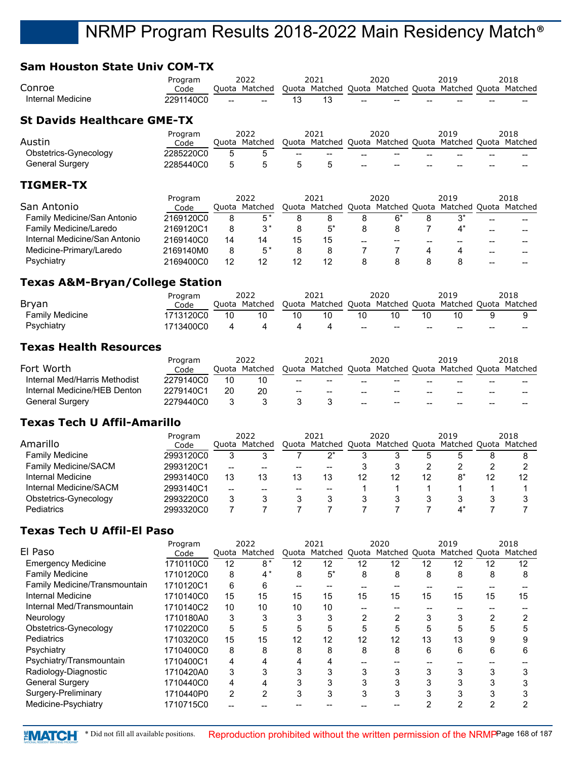## **Sam Houston State Univ COM-TX**

| Conroe                                     | Program<br>Code |    | 2022<br>Quota Matched |    | 2021<br>Quota Matched Quota Matched Quota Matched Quota Matched |   | 2020 |   | 2019          |    | 2018    |
|--------------------------------------------|-----------------|----|-----------------------|----|-----------------------------------------------------------------|---|------|---|---------------|----|---------|
| Internal Medicine                          | 2291140C0       |    |                       | 13 | 13                                                              |   |      |   |               |    |         |
| <b>St Davids Healthcare GME-TX</b>         |                 |    |                       |    |                                                                 |   |      |   |               |    |         |
| Austin                                     | Program<br>Code |    | 2022<br>Quota Matched |    | 2021<br>Quota Matched Quota Matched Quota Matched Quota Matched |   | 2020 |   | 2019          |    | 2018    |
| Obstetrics-Gynecology                      | 2285220C0       | 5  | 5                     | -- |                                                                 |   |      |   |               |    |         |
| <b>General Surgery</b>                     | 2285440C0       | 5  | 5                     | 5  | 5                                                               |   |      |   |               |    |         |
| <b>TIGMER-TX</b>                           |                 |    |                       |    |                                                                 |   |      |   |               |    |         |
|                                            | Program         |    | 2022                  |    | 2021                                                            |   | 2020 |   | 2019          |    | 2018    |
| San Antonio                                | Code            |    | Quota Matched         |    | Quota Matched Quota Matched Quota                               |   |      |   | Matched Quota |    | Matched |
|                                            |                 |    |                       |    |                                                                 |   |      |   |               |    |         |
| Family Medicine/San Antonio                | 2169120C0       | 8  | $5*$                  | 8  | 8                                                               | 8 | $6*$ | 8 | $3^*$         |    |         |
| Family Medicine/Laredo                     | 2169120C1       | 8  | $3*$                  | 8  | $5^*$                                                           | 8 | 8    |   | $4^*$         |    |         |
| Internal Medicine/San Antonio              | 2169140C0       | 14 | 14                    | 15 | 15                                                              |   |      |   | --            |    |         |
| Medicine-Primary/Laredo                    | 2169140M0       | 8  | $5*$                  | 8  | 8                                                               |   | 7    | 4 | 4             | -- |         |
| Psychiatry                                 | 2169400C0       | 12 | 12                    | 12 | 12                                                              | 8 | 8    | 8 | 8             |    |         |
| <b>Texas A&amp;M-Bryan/College Station</b> |                 |    |                       |    |                                                                 |   |      |   |               |    |         |

## Psychiatry 1713400C0 4 4 4 4 -- -- -- -- -- -- **Texas Health Resources**

|                               | Program   |    | 2022          |                  | 2021                                                    |                          | 2020                                           |    | 2019 |    | 2018  |
|-------------------------------|-----------|----|---------------|------------------|---------------------------------------------------------|--------------------------|------------------------------------------------|----|------|----|-------|
| Fort Worth                    | Code      |    | Ouota Matched |                  | Quota Matched Quota Matched Quota Matched Quota Matched |                          |                                                |    |      |    |       |
| Internal Med/Harris Methodist | 2279140C0 | 10 |               | $\hspace{0.5cm}$ | $- -$                                                   | $- -$                    | $- -$                                          | -- | --   | -- |       |
| Internal Medicine/HEB Denton  | 2279140C1 | 20 | 20            | $\hspace{0.5cm}$ | $- -$                                                   | $\qquad \qquad$          | $\hspace{0.1mm}-\hspace{0.1mm}-\hspace{0.1mm}$ | -- | --   | -- | $- -$ |
| <b>General Surgery</b>        | 2279440C0 |    |               |                  |                                                         | $\overline{\phantom{a}}$ | $\hspace{0.5cm}$                               | -- | --   | -- | --    |

Family Medicine 1713120C0 10 10 10 10 10 10 10 10 9 9

## **Texas Tech U Affil-Amarillo**

|                        | Program   | 2022  |               | 2021 |                                                 | 2020 |    | 2019 |       |    | 2018    |
|------------------------|-----------|-------|---------------|------|-------------------------------------------------|------|----|------|-------|----|---------|
| Amarillo               | Code      |       | Ouota Matched |      | Quota Matched Quota Matched Quota Matched Quota |      |    |      |       |    | Matched |
| <b>Family Medicine</b> | 2993120C0 |       |               |      |                                                 |      |    |      |       | 8  |         |
| Family Medicine/SACM   | 2993120C1 | --    | --            |      |                                                 |      |    |      |       |    |         |
| Internal Medicine      | 2993140C0 | 13    | 13            | 13   | 13                                              | 12   | 12 |      | $8^*$ | 12 | 12      |
| Internal Medicine/SACM | 2993140C1 | $- -$ |               |      |                                                 |      |    |      |       |    |         |
| Obstetrics-Gynecology  | 2993220C0 |       |               | 3    |                                                 |      |    |      |       |    |         |
| Pediatrics             | 2993320C0 |       |               |      |                                                 |      |    |      |       |    |         |

## **Texas Tech U Affil-El Paso**

|                               | Program   |    | 2022          |    | 2021                              |    | 2020 |    | 2019                  |    | 2018 |
|-------------------------------|-----------|----|---------------|----|-----------------------------------|----|------|----|-----------------------|----|------|
| El Paso                       | Code      |    | Quota Matched |    | Quota Matched Quota Matched Quota |    |      |    | Matched Quota Matched |    |      |
| <b>Emergency Medicine</b>     | 1710110C0 | 12 | 8*            | 12 | 12                                | 12 | 12   | 12 | 12                    | 12 | 12   |
| <b>Family Medicine</b>        | 1710120C0 | 8  | 4 *           | 8  | $5^*$                             | 8  | 8    | 8  | 8                     | 8  |      |
| Family Medicine/Transmountain | 1710120C1 | 6  | 6             |    |                                   |    |      |    |                       |    |      |
| Internal Medicine             | 1710140C0 | 15 | 15            | 15 | 15                                | 15 | 15   | 15 | 15                    | 15 | 15   |
| Internal Med/Transmountain    | 1710140C2 | 10 | 10            | 10 | 10                                |    |      |    |                       |    |      |
| Neurology                     | 1710180A0 | 3  |               |    | 3                                 |    | 2    |    |                       |    |      |
| Obstetrics-Gynecology         | 1710220C0 | 5  | 5             | 5  | 5                                 | 5  | 5    | 5  | 5                     |    |      |
| Pediatrics                    | 1710320C0 | 15 | 15            | 12 | 12                                | 12 | 12   | 13 | 13                    |    |      |
| Psychiatry                    | 1710400C0 | 8  | 8             | 8  | 8                                 | 8  | 8    | 6  | 6                     | 6  | n    |
| Psychiatry/Transmountain      | 1710400C1 | 4  | 4             |    | 4                                 |    |      |    |                       |    |      |
| Radiology-Diagnostic          | 1710420A0 | 3  |               |    | 3                                 |    | 3    | 3  |                       |    |      |
| <b>General Surgery</b>        | 1710440C0 | 4  |               |    | 3                                 |    |      |    |                       |    |      |
| Surgery-Preliminary           | 1710440P0 | 2  | 2             |    | 3                                 | 3  | 3    | З  | 3                     |    |      |
| Medicine-Psychiatry           | 1710715C0 |    |               |    |                                   |    |      |    | ⌒                     |    |      |
|                               |           |    |               |    |                                   |    |      |    |                       |    |      |

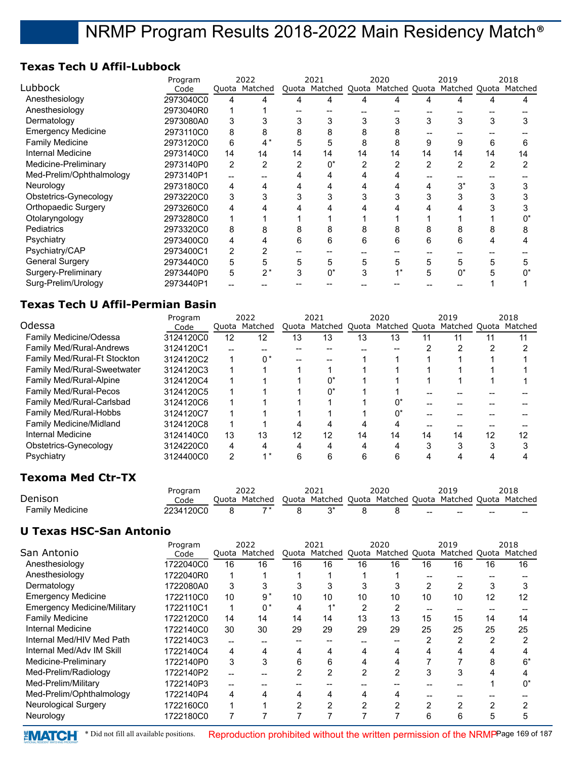## **Texas Tech U Affil-Lubbock**

|                           | Program   |    | 2022          |    | 2021                                                    |    | 2020 |                | 2019  |    | 2018 |
|---------------------------|-----------|----|---------------|----|---------------------------------------------------------|----|------|----------------|-------|----|------|
| Lubbock                   | Code      |    | Quota Matched |    | Quota Matched Quota Matched Quota Matched Quota Matched |    |      |                |       |    |      |
| Anesthesiology            | 2973040C0 | 4  |               | 4  | 4                                                       | 4  | 4    | 4              |       | 4  |      |
| Anesthesiology            | 2973040R0 |    |               |    |                                                         |    |      |                |       |    |      |
| Dermatology               | 2973080A0 | 3  |               |    | 3                                                       |    | 3    | 3              | 3     | 3  |      |
| <b>Emergency Medicine</b> | 2973110C0 | 8  | 8             | 8  | 8                                                       | 8  | 8    |                |       |    |      |
| <b>Family Medicine</b>    | 2973120C0 | 6  | $4^*$         |    | 5                                                       | 8  | 8    | 9              | 9     | 6  | 6    |
| Internal Medicine         | 2973140C0 | 14 | 14            | 14 | 14                                                      | 14 | 14   | 14             | 14    | 14 | 14   |
| Medicine-Preliminary      | 2973140P0 | 2  | 2             | 2  | $0^*$                                                   | 2  | 2    | $\overline{2}$ | 2     | 2  | 2    |
| Med-Prelim/Ophthalmology  | 2973140P1 | -- |               |    | 4                                                       |    |      |                |       |    |      |
| Neurology                 | 2973180C0 | 4  |               |    | 4                                                       |    |      |                | $3^*$ |    |      |
| Obstetrics-Gynecology     | 2973220C0 | 3  |               |    | 3                                                       |    |      |                |       |    |      |
| Orthopaedic Surgery       | 2973260C0 | 4  |               |    | 4                                                       |    |      |                |       |    |      |
| Otolaryngology            | 2973280C0 |    |               |    |                                                         |    |      |                |       |    |      |
| <b>Pediatrics</b>         | 2973320C0 | 8  | 8             | 8  | 8                                                       | 8  | 8    | 8              | 8     | 8  | 8    |
| Psychiatry                | 2973400C0 | 4  |               | 6  | 6                                                       | 6  | 6    | 6              | 6     |    |      |
| Psychiatry/CAP            | 2973400C1 | 2  |               |    |                                                         |    |      |                |       |    |      |
| <b>General Surgery</b>    | 2973440C0 | 5  | 5             | 5  | 5                                                       | 5  | 5    | 5              | 5     |    | 5    |
| Surgery-Preliminary       | 2973440P0 | 5  | $2^*$         |    | $0^*$                                                   | 3  |      | 5              | $0^*$ |    |      |
| Surg-Prelim/Urology       | 2973440P1 |    |               |    |                                                         |    |      |                |       |    |      |

## **Texas Tech U Affil-Permian Basin**

|                                 | Program   |    | 2022          |     | 2021                              |    | 2020 |    | 2019                  |    | 2018 |
|---------------------------------|-----------|----|---------------|-----|-----------------------------------|----|------|----|-----------------------|----|------|
| Odessa                          | Code      |    | Ouota Matched |     | Quota Matched Quota Matched Quota |    |      |    | Matched Ouota Matched |    |      |
| <b>Family Medicine/Odessa</b>   | 3124120C0 | 12 | 12            | 13  | 13                                | 13 | 13   |    |                       |    |      |
| <b>Family Med/Rural-Andrews</b> | 3124120C1 | -- |               |     |                                   |    |      |    |                       |    |      |
| Family Med/Rural-Ft Stockton    | 3124120C2 | 1  | ሰ*            |     |                                   |    |      |    |                       |    |      |
| Family Med/Rural-Sweetwater     | 3124120C3 |    |               |     |                                   |    |      |    |                       |    |      |
| Family Med/Rural-Alpine         | 3124120C4 |    |               |     | 0,                                |    |      |    |                       |    |      |
| Family Med/Rural-Pecos          | 3124120C5 |    |               |     | U,                                |    |      |    |                       |    |      |
| Family Med/Rural-Carlsbad       | 3124120C6 |    |               |     |                                   |    |      |    |                       |    |      |
| Family Med/Rural-Hobbs          | 3124120C7 |    |               |     |                                   |    |      |    |                       |    |      |
| <b>Family Medicine/Midland</b>  | 3124120C8 | 1  |               |     | Δ                                 |    |      |    |                       |    |      |
| Internal Medicine               | 3124140C0 | 13 | 13            | 12  | 12                                | 14 | 14   | 14 | 14                    | 12 | 12   |
| Obstetrics-Gynecology           | 3124220C0 | 4  |               | 4   | 4                                 | 4  |      | 3  | 3                     | 3  |      |
| Psychiatry                      | 3124400C0 | 2  | *             | ี่ค | 6                                 | ี  | հ    |    |                       |    |      |

## **Texoma Med Ctr-TX**

|                 | Program   | 2022                                                                  | 2021 | 2020 | 2019 |     | 2018  |
|-----------------|-----------|-----------------------------------------------------------------------|------|------|------|-----|-------|
| Denison         | Code      | Quota Matched Quota Matched Quota Matched Quota Matched Quota Matched |      |      |      |     |       |
| Family Medicine | 2234120C0 | $7*$                                                                  |      |      | $-$  | $-$ | $- -$ |

## **U Texas HSC-San Antonio**

|                                    | Program   |    | 2022          |    | 2021          |    | 2020                |    | 2019                  |    | 2018 |
|------------------------------------|-----------|----|---------------|----|---------------|----|---------------------|----|-----------------------|----|------|
| San Antonio                        | Code      |    | Quota Matched |    | Quota Matched |    | Quota Matched Quota |    | Matched Quota Matched |    |      |
| Anesthesiology                     | 1722040C0 | 16 | 16            | 16 | 16            | 16 | 16                  | 16 | 16                    | 16 | 16   |
| Anesthesiology                     | 1722040R0 |    |               |    |               |    |                     |    |                       |    |      |
| Dermatology                        | 1722080A0 | 3  | 3             |    | 3             |    |                     | 2  | 2                     | 3  |      |
| <b>Emergency Medicine</b>          | 1722110C0 | 10 | $9*$          | 10 | 10            | 10 | 10                  | 10 | 10                    | 12 | 12   |
| <b>Emergency Medicine/Military</b> | 1722110C1 |    | $0^*$         | 4  |               | 2  |                     |    |                       |    |      |
| <b>Family Medicine</b>             | 1722120C0 | 14 | 14            | 14 | 14            | 13 | 13                  | 15 | 15                    | 14 | 14   |
| Internal Medicine                  | 1722140C0 | 30 | 30            | 29 | 29            | 29 | 29                  | 25 | 25                    | 25 | 25   |
| Internal Med/HIV Med Path          | 1722140C3 |    |               |    |               |    |                     |    | 2                     | 2  |      |
| Internal Med/Adv IM Skill          | 1722140C4 | 4  | 4             | 4  | 4             |    | 4                   | 4  | 4                     |    |      |
| Medicine-Preliminary               | 1722140P0 | 3  | 3             | 6  | 6             |    |                     |    |                       | 8  | 6*   |
| Med-Prelim/Radiology               | 1722140P2 | -- |               | 2  | 2             | 2  | 2                   | 3  | 3                     |    |      |
| Med-Prelim/Military                | 1722140P3 |    |               |    |               |    |                     |    |                       |    | 0*   |
| Med-Prelim/Ophthalmology           | 1722140P4 | 4  | 4             | 4  | 4             |    |                     |    |                       |    |      |
| Neurological Surgery               | 1722160C0 |    |               | っ  | 2             | っ  | っ                   | ≘  | っ                     | າ  |      |
| Neurology                          | 1722180C0 |    |               |    |               |    |                     | h  | 6                     | 5  |      |

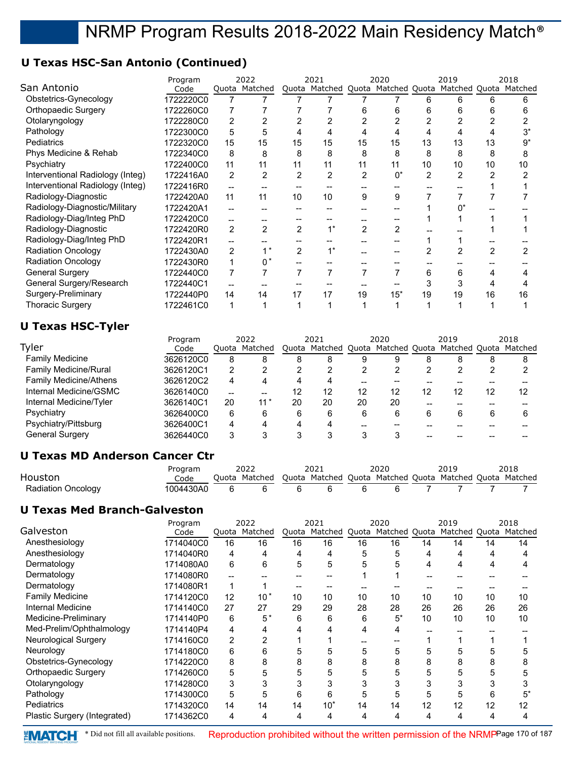## **U Texas HSC-San Antonio (Continued)**

| Program   |    |       |                       |    |                |       |      | 2019 |    | 2018                                                    |
|-----------|----|-------|-----------------------|----|----------------|-------|------|------|----|---------------------------------------------------------|
| Code      |    |       |                       |    |                |       |      |      |    |                                                         |
| 1722220C0 |    |       |                       |    |                |       | 6    | 6    | 6  |                                                         |
| 1722260C0 |    |       |                       |    |                | հ     | 6    |      |    |                                                         |
| 1722280C0 | 2  |       |                       |    |                |       |      |      |    |                                                         |
| 1722300C0 | 5  | 5     |                       |    |                |       |      |      |    | 3*                                                      |
| 1722320C0 | 15 | 15    | 15                    | 15 | 15             | 15    | 13   | 13   | 13 | ġ*                                                      |
| 1722340C0 | 8  | 8     | 8                     | 8  | 8              | 8     | 8    | 8    | 8  | 8                                                       |
| 1722400C0 | 11 | 11    | 11                    | 11 | 11             | 11    | 10   | 10   | 10 | 10                                                      |
| 1722416A0 | 2  | 2     | 2                     | 2  | 2              | $0^*$ | 2    | 2    |    |                                                         |
| 1722416R0 |    |       |                       |    |                |       |      |      |    |                                                         |
| 1722420A0 | 11 | 11    | 10                    | 10 | 9              | 9     |      |      |    |                                                         |
| 1722420A1 | -- |       |                       |    |                |       |      |      |    |                                                         |
| 1722420C0 |    |       |                       |    |                |       |      |      |    |                                                         |
| 1722420R0 | 2  | 2     | 2                     |    | $\overline{2}$ | 2     |      |      |    |                                                         |
| 1722420R1 | -- |       |                       |    |                |       |      |      |    |                                                         |
| 1722430A0 | 2  | $4 *$ | 2                     |    |                |       |      |      |    |                                                         |
| 1722430R0 | 1  | 0*    |                       |    |                |       |      |      |    |                                                         |
| 1722440C0 |    |       |                       |    |                |       | 6    | 6    |    |                                                         |
| 1722440C1 |    |       |                       |    |                |       | 3    |      |    |                                                         |
| 1722440P0 | 14 | 14    | 17                    | 17 | 19             | $15*$ | 19   | 19   | 16 | 16                                                      |
| 1722461C0 | 1  |       |                       |    |                |       |      |      |    |                                                         |
|           |    |       | 2022<br>Quota Matched |    | 2021           |       | 2020 |      |    | Quota Matched Quota Matched Quota Matched Quota Matched |

## **U Texas HSC-Tyler**

|                              | Program   |    | 2022          |    | 2021                                                    |    | 2020 |    | 2019 |    | 2018 |
|------------------------------|-----------|----|---------------|----|---------------------------------------------------------|----|------|----|------|----|------|
| Tyler                        | Code      |    | Ouota Matched |    | Quota Matched Quota Matched Quota Matched Quota Matched |    |      |    |      |    |      |
| <b>Family Medicine</b>       | 3626120C0 | 8  | 8             | 8  | 8                                                       | 9  | 9    | 8  | 8    | 8  |      |
| <b>Family Medicine/Rural</b> | 3626120C1 | 2  |               |    |                                                         |    | っ    |    |      |    |      |
| Family Medicine/Athens       | 3626120C2 | 4  |               | 4  |                                                         |    |      |    |      |    |      |
| Internal Medicine/GSMC       | 3626140C0 | -- |               | 12 | 12                                                      | 12 | 12   | 12 | 12   | 12 | 12   |
| Internal Medicine/Tyler      | 3626140C1 | 20 | 11 *          | 20 | 20                                                      | 20 | 20   |    |      |    |      |
| Psychiatry                   | 3626400C0 | 6  | 6             | 6  | 6                                                       | 6  | 6    | 6  | 6    | 6  |      |
| Psychiatry/Pittsburg         | 3626400C1 | 4  |               | 4  | Δ                                                       |    |      |    |      |    |      |
| <b>General Surgery</b>       | 3626440C0 | 3  |               |    |                                                         |    |      |    |      |    |      |

## **U Texas MD Anderson Cancer Ctr**

|                           | Program   | 2022                                                                  | 2021 | 2020 | 2019 | 2018 |
|---------------------------|-----------|-----------------------------------------------------------------------|------|------|------|------|
| Houston                   | Code      | Quota Matched Quota Matched Quota Matched Quota Matched Quota Matched |      |      |      |      |
| <b>Radiation Oncology</b> | 1004430A0 |                                                                       |      |      |      |      |

## **U Texas Med Branch-Galveston**

|                              | Program   |       | 2022    |       | 2021    |       | 2020    |       | 2019          |    | 2018    |
|------------------------------|-----------|-------|---------|-------|---------|-------|---------|-------|---------------|----|---------|
| Galveston                    | Code      | Quota | Matched | Quota | Matched | Quota | Matched | Quota | Matched Quota |    | Matched |
| Anesthesiology               | 1714040C0 | 16    | 16      | 16    | 16      | 16    | 16      | 14    | 14            | 14 | 14      |
| Anesthesiology               | 1714040R0 | 4     | 4       | 4     | 4       | 5     | 5       | 4     | 4             | 4  |         |
| Dermatology                  | 1714080A0 | 6     | 6       | 5     | 5       |       | 5       | 4     | 4             | 4  | 4       |
| Dermatology                  | 1714080R0 |       |         |       |         |       |         |       |               |    |         |
| Dermatology                  | 1714080R1 |       |         |       |         |       |         |       |               |    |         |
| <b>Family Medicine</b>       | 1714120C0 | 12    | $10*$   | 10    | 10      | 10    | 10      | 10    | 10            | 10 | 10      |
| Internal Medicine            | 1714140C0 | 27    | 27      | 29    | 29      | 28    | 28      | 26    | 26            | 26 | 26      |
| Medicine-Preliminary         | 1714140P0 | 6     | $5*$    | 6     | 6       | 6     | $5^*$   | 10    | 10            | 10 | 10      |
| Med-Prelim/Ophthalmology     | 1714140P4 | 4     | 4       | 4     | 4       | 4     | 4       |       |               |    |         |
| Neurological Surgery         | 1714160C0 | 2     | 2       |       |         |       |         |       |               |    |         |
| Neurology                    | 1714180C0 | 6     | 6       |       | 5       |       | 5       | 5     |               |    | 5       |
| Obstetrics-Gynecology        | 1714220C0 | 8     | 8       | 8     | 8       | 8     | 8       | 8     | 8             | 8  | 8       |
| <b>Orthopaedic Surgery</b>   | 1714260C0 | 5     | 5       |       | 5       |       | 5       | 5     |               |    | 5       |
| Otolaryngology               | 1714280C0 | 3     |         |       | 3       |       | 3       | 3     |               |    |         |
| Pathology                    | 1714300C0 | 5     | 5       | 6     | 6       | 5     | 5       | 5     |               | 6  | 5*      |
| Pediatrics                   | 1714320C0 | 14    | 14      | 14    | $10^*$  | 14    | 14      | 12    | 12            | 12 | 12      |
| Plastic Surgery (Integrated) | 1714362C0 | 4     | 4       | 4     | 4       | 4     | 4       | 4     | 4             | 4  |         |

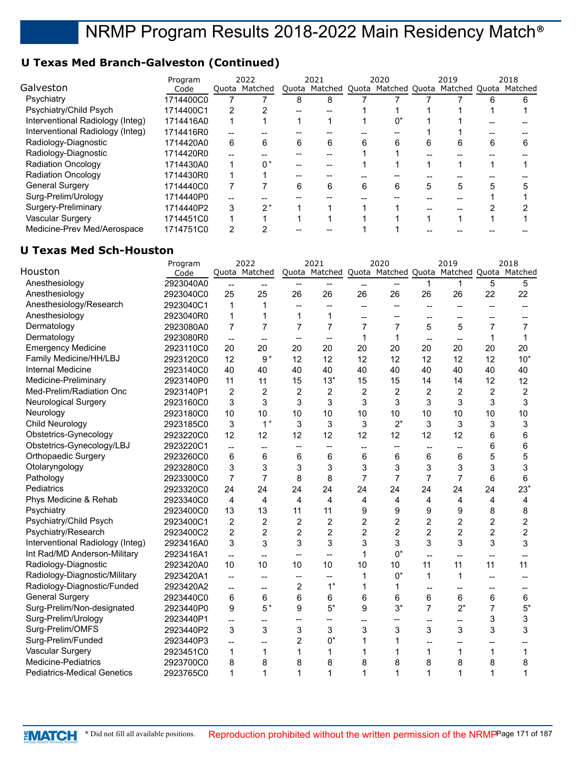## **U Texas Med Branch-Galveston (Continued)**

|                                  | Program   |   | 2022          |   | 2021                              |   | 2020 |   | 2019                  |   | 2018 |
|----------------------------------|-----------|---|---------------|---|-----------------------------------|---|------|---|-----------------------|---|------|
| Galveston                        | Code      |   | Quota Matched |   | Quota Matched Quota Matched Quota |   |      |   | Matched Quota Matched |   |      |
| Psychiatry                       | 1714400C0 |   |               | 8 | 8                                 |   |      |   |                       | 6 |      |
| Psychiatry/Child Psych           | 1714400C1 | 2 |               |   |                                   |   |      |   |                       |   |      |
| Interventional Radiology (Integ) | 1714416A0 |   |               |   |                                   |   |      |   |                       |   |      |
| Interventional Radiology (Integ) | 1714416R0 |   |               |   |                                   |   |      |   |                       |   |      |
| Radiology-Diagnostic             | 1714420A0 | 6 | 6             | 6 | 6                                 | 6 | 6    | 6 | 6                     | 6 | 6    |
| Radiology-Diagnostic             | 1714420R0 |   |               |   |                                   |   |      |   |                       |   |      |
| <b>Radiation Oncology</b>        | 1714430A0 |   | $^{\circ}$    |   |                                   |   |      |   |                       |   |      |
| <b>Radiation Oncology</b>        | 1714430R0 |   |               |   |                                   |   |      |   |                       |   |      |
| <b>General Surgery</b>           | 1714440C0 |   |               | 6 | 6                                 | 6 | 6    | 5 | 5                     | 5 |      |
| Surg-Prelim/Urology              | 1714440P0 |   |               |   |                                   |   |      |   |                       |   |      |
| Surgery-Preliminary              | 1714440P2 | 3 | 2*            |   |                                   |   |      |   |                       |   |      |
| Vascular Surgery                 | 1714451C0 |   |               |   |                                   |   |      |   |                       |   |      |
| Medicine-Prev Med/Aerospace      | 1714751C0 | 2 |               |   |                                   |   |      |   |                       |   |      |

## **U Texas Med Sch-Houston**

|                                    | Program   |                          | 2022                     |                | 2021                     |                | 2020           |                          | 2019                                                    |                | 2018           |
|------------------------------------|-----------|--------------------------|--------------------------|----------------|--------------------------|----------------|----------------|--------------------------|---------------------------------------------------------|----------------|----------------|
| Houston                            | Code      |                          | Quota Matched            |                |                          |                |                |                          | Quota Matched Quota Matched Quota Matched Quota Matched |                |                |
| Anesthesiology                     | 2923040A0 | --                       | --                       |                |                          | $\overline{a}$ |                | 1                        | 1                                                       | 5              | 5              |
| Anesthesiology                     | 2923040C0 | 25                       | 25                       | 26             | 26                       | 26             | 26             | 26                       | 26                                                      | 22             | 22             |
| Anesthesiology/Research            | 2923040C1 | 1                        | 1                        | --             | --                       | $\overline{a}$ | --             | --                       | $\overline{a}$                                          | --             |                |
| Anesthesiology                     | 2923040R0 | $\mathbf{1}$             | 1                        | 1              | $\mathbf{1}$             | --             | --             | --                       | --                                                      |                |                |
| Dermatology                        | 2923080A0 | 7                        | $\overline{7}$           | 7              | $\overline{7}$           | $\overline{7}$ | 7              | 5                        | 5                                                       | $\overline{7}$ | 7              |
| Dermatology                        | 2923080R0 | $\overline{a}$           | $\overline{a}$           | --             | $\overline{\phantom{0}}$ | $\mathbf 1$    | 1              | $\overline{a}$           | $-$                                                     | 1              | $\mathbf{1}$   |
| <b>Emergency Medicine</b>          | 2923110C0 | 20                       | 20                       | 20             | 20                       | 20             | 20             | 20                       | 20                                                      | 20             | 20             |
| Family Medicine/HH/LBJ             | 2923120C0 | 12                       | $9*$                     | 12             | 12                       | 12             | 12             | 12                       | 12                                                      | 12             | $10*$          |
| Internal Medicine                  | 2923140C0 | 40                       | 40                       | 40             | 40                       | 40             | 40             | 40                       | 40                                                      | 40             | 40             |
| Medicine-Preliminary               | 2923140P0 | 11                       | 11                       | 15             | $13*$                    | 15             | 15             | 14                       | 14                                                      | 12             | 12             |
| Med-Prelim/Radiation Onc           | 2923140P1 | $\overline{c}$           | $\overline{2}$           | $\overline{c}$ | $\overline{2}$           | $\overline{2}$ | 2              | 2                        | $\overline{2}$                                          | $\overline{2}$ | 2              |
| Neurological Surgery               | 2923160C0 | 3                        | 3                        | 3              | 3                        | 3              | 3              | 3                        | 3                                                       | 3              | 3              |
| Neurology                          | 2923180C0 | 10                       | 10                       | 10             | 10                       | 10             | 10             | 10                       | 10                                                      | 10             | 10             |
| <b>Child Neurology</b>             | 2923185C0 | 3                        | $1^*$                    | 3              | 3                        | 3              | $2^*$          | 3                        | 3                                                       | 3              | 3              |
| Obstetrics-Gynecology              | 2923220C0 | 12                       | 12                       | 12             | 12                       | 12             | 12             | 12                       | 12                                                      | 6              | 6              |
| Obstetrics-Gynecology/LBJ          | 2923220C1 | $\overline{\phantom{a}}$ | $\overline{a}$           | --             | --                       | $\overline{a}$ | --             | $\overline{a}$           | $\overline{a}$                                          | 6              | 6              |
| <b>Orthopaedic Surgery</b>         | 2923260C0 | 6                        | 6                        | 6              | 6                        | 6              | 6              | 6                        | 6                                                       | 5              | 5              |
| Otolaryngology                     | 2923280C0 | 3                        | 3                        | 3              | 3                        | 3              | 3              | 3                        | 3                                                       | 3              | 3              |
| Pathology                          | 2923300C0 | 7                        | $\overline{7}$           | 8              | 8                        | $\overline{7}$ | $\overline{7}$ | $\overline{7}$           | $\overline{7}$                                          | 6              | 6              |
| Pediatrics                         | 2923320C0 | 24                       | 24                       | 24             | 24                       | 24             | 24             | 24                       | 24                                                      | 24             | $23*$          |
| Phys Medicine & Rehab              | 2923340C0 | 4                        | $\overline{4}$           | $\overline{4}$ | $\overline{4}$           | 4              | 4              | 4                        | 4                                                       | $\overline{4}$ | 4              |
| Psychiatry                         | 2923400C0 | 13                       | 13                       | 11             | 11                       | 9              | 9              | 9                        | 9                                                       | 8              | 8              |
| Psychiatry/Child Psych             | 2923400C1 | $\overline{c}$           | $\overline{2}$           | $\overline{2}$ | $\overline{2}$           | $\overline{2}$ | $\overline{c}$ | $\overline{2}$           | 2                                                       | $\overline{2}$ | 2              |
| Psychiatry/Research                | 2923400C2 | $\overline{c}$           | $\overline{2}$           | $\overline{c}$ | $\overline{c}$           | $\overline{2}$ | $\overline{c}$ | $\overline{2}$           | $\overline{c}$                                          | $\overline{c}$ | $\overline{c}$ |
| Interventional Radiology (Integ)   | 2923416A0 | 3                        | 3                        | 3              | 3                        | 3              | 3              | 3                        | 3                                                       | 3              | 3              |
| Int Rad/MD Anderson-Military       | 2923416A1 | $\overline{a}$           | $\overline{a}$           | --             | $\overline{\phantom{a}}$ | 1              | $0^*$          | $\overline{\phantom{a}}$ | $\overline{a}$                                          | $\overline{a}$ |                |
| Radiology-Diagnostic               | 2923420A0 | 10                       | 10                       | 10             | 10                       | 10             | 10             | 11                       | 11                                                      | 11             | 11             |
| Radiology-Diagnostic/Military      | 2923420A1 | $\overline{\phantom{a}}$ | --                       | --             | $-$                      | $\mathbf 1$    | $0^*$          | 1                        | $\mathbf{1}$                                            | $-$            |                |
| Radiology-Diagnostic/Funded        | 2923420A2 | $\overline{\phantom{a}}$ | $\overline{\phantom{0}}$ | $\overline{c}$ | $1^*$                    | $\mathbf 1$    | 1              | $\overline{a}$           | $-$                                                     | $-$            | $-$            |
| <b>General Surgery</b>             | 2923440C0 | 6                        | 6                        | 6              | 6                        | 6              | 6              | 6                        | 6                                                       | 6              | 6              |
| Surg-Prelim/Non-designated         | 2923440P0 | 9                        | $5*$                     | 9              | $5*$                     | 9              | $3^*$          | $\overline{7}$           | $2^*$                                                   | $\overline{7}$ | $5^*$          |
| Surg-Prelim/Urology                | 2923440P1 | --                       | --                       | --             |                          | --             | --             | $\overline{\phantom{a}}$ | --                                                      | 3              | 3              |
| Surg-Prelim/OMFS                   | 2923440P2 | 3                        | 3                        | 3              | 3                        | 3              | 3              | 3                        | 3                                                       | 3              | 3              |
| Surg-Prelim/Funded                 | 2923440P3 | --                       | --                       | $\overline{c}$ | $0^*$                    | 1              | 1              | --                       | --                                                      | --             |                |
| Vascular Surgery                   | 2923451C0 | 1                        | 1                        | 1              | $\mathbf 1$              | 1              | 1              | $\mathbf{1}$             | 1                                                       | 1              | 1              |
| <b>Medicine-Pediatrics</b>         | 2923700C0 | 8                        | 8                        | 8              | 8                        | 8              | 8              | 8                        | 8                                                       | 8              | 8              |
| <b>Pediatrics-Medical Genetics</b> | 2923765C0 | 1                        | 1                        | 1              | 1                        | 1              | 1              | 1                        | 1                                                       | 1              | 1              |
|                                    |           |                          |                          |                |                          |                |                |                          |                                                         |                |                |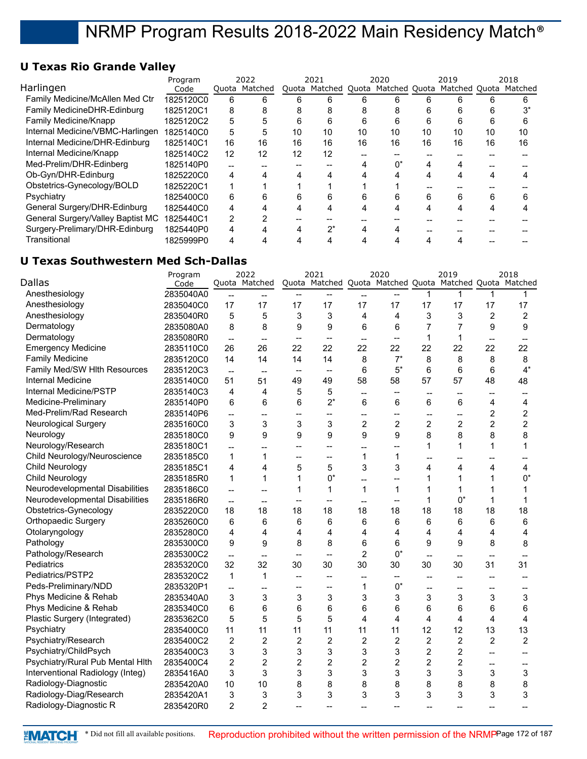## **U Texas Rio Grande Valley**

|                                   | Program   |    | 2022          |    | 2021                                                    |    | 2020 |    | 2019 |    | 2018 |
|-----------------------------------|-----------|----|---------------|----|---------------------------------------------------------|----|------|----|------|----|------|
| Harlingen                         | Code      |    | Ouota Matched |    | Quota Matched Quota Matched Quota Matched Quota Matched |    |      |    |      |    |      |
| Family Medicine/McAllen Med Ctr   | 1825120C0 | 6  | 6             | 6  | 6                                                       |    |      |    |      |    |      |
| Family MedicineDHR-Edinburg       | 1825120C1 | 8  |               |    | 8                                                       |    |      | n  |      |    |      |
| Family Medicine/Knapp             | 1825120C2 | 5  |               | n  | 6                                                       | 6  | 6    | 6  | 6    | n  |      |
| Internal Medicine/VBMC-Harlingen  | 1825140C0 | 5  | 5             | 10 | 10                                                      | 10 | 10   | 10 | 10   | 10 | 10   |
| Internal Medicine/DHR-Edinburg    | 1825140C1 | 16 | 16            | 16 | 16                                                      | 16 | 16   | 16 | 16   | 16 | 16   |
| Internal Medicine/Knapp           | 1825140C2 | 12 | 12            | 12 | 12                                                      |    |      |    |      |    |      |
| Med-Prelim/DHR-Edinberg           | 1825140P0 |    |               |    |                                                         |    | n*   |    |      |    |      |
| Ob-Gyn/DHR-Edinburg               | 1825220C0 | 4  |               |    |                                                         |    |      |    |      |    |      |
| Obstetrics-Gynecology/BOLD        | 1825220C1 |    |               |    |                                                         |    |      |    |      |    |      |
| Psychiatry                        | 1825400C0 | 6  |               |    | 6                                                       |    |      | 6  | 6    |    |      |
| General Surgery/DHR-Edinburg      | 1825440C0 | 4  |               |    |                                                         |    | 4    |    |      |    |      |
| General Surgery/Valley Baptist MC | 1825440C1 | 2  |               |    |                                                         |    |      |    |      |    |      |
| Surgery-Prelimary/DHR-Edinburg    | 1825440P0 | 4  |               |    | $2^*$                                                   |    |      |    |      |    |      |
| Transitional                      | 1825999P0 | 4  |               |    |                                                         |    |      |    |      |    |      |

## **U Texas Southwestern Med Sch-Dallas**

|                                  | Program   |                          | 2022                     |                          | 2021                     |                          | 2020           |                          | 2019                                                    |                | 2018             |
|----------------------------------|-----------|--------------------------|--------------------------|--------------------------|--------------------------|--------------------------|----------------|--------------------------|---------------------------------------------------------|----------------|------------------|
| Dallas                           | Code      |                          | Quota Matched            |                          |                          |                          |                |                          | Quota Matched Quota Matched Quota Matched Quota Matched |                |                  |
| Anesthesiology                   | 2835040A0 | $-$                      | --                       |                          |                          | --                       |                | 1                        | 1                                                       | 1              | 1                |
| Anesthesiology                   | 2835040C0 | 17                       | 17                       | 17                       | 17                       | 17                       | 17             | 17                       | 17                                                      | 17             | 17               |
| Anesthesiology                   | 2835040R0 | 5                        | 5                        | 3                        | 3                        | 4                        | 4              | 3                        | 3                                                       | $\overline{c}$ | $\boldsymbol{2}$ |
| Dermatology                      | 2835080A0 | 8                        | 8                        | 9                        | 9                        | 6                        | 6              | $\overline{7}$           | 7                                                       | 9              | 9                |
| Dermatology                      | 2835080R0 | $\overline{\phantom{a}}$ | $\overline{a}$           | $\overline{\phantom{a}}$ | $\overline{\phantom{a}}$ | $\overline{a}$           | $-$            | $\mathbf{1}$             | 1                                                       | --             |                  |
| <b>Emergency Medicine</b>        | 2835110C0 | 26                       | 26                       | 22                       | 22                       | 22                       | 22             | 22                       | 22                                                      | 22             | 22               |
| <b>Family Medicine</b>           | 2835120C0 | 14                       | 14                       | 14                       | 14                       | 8                        | $7^*$          | 8                        | 8                                                       | 8              | 8                |
| Family Med/SW HIth Resources     | 2835120C3 | $\overline{\phantom{a}}$ | $\overline{\phantom{a}}$ | $\overline{\phantom{a}}$ | $\overline{\phantom{a}}$ | $6\phantom{1}6$          | $5^*$          | 6                        | 6                                                       | 6              | $4^*$            |
| Internal Medicine                | 2835140C0 | 51                       | 51                       | 49                       | 49                       | 58                       | 58             | 57                       | 57                                                      | 48             | 48               |
| Internal Medicine/PSTP           | 2835140C3 | 4                        | 4                        | 5                        | 5                        | --                       | --             | $\overline{a}$           | $\overline{\phantom{a}}$                                | --             |                  |
| Medicine-Preliminary             | 2835140P0 | 6                        | 6                        | 6                        | $2^*$                    | 6                        | 6              | 6                        | 6                                                       | 4              | 4                |
| Med-Prelim/Rad Research          | 2835140P6 | $-$                      | --                       | $\overline{\phantom{a}}$ | --                       | $\overline{\phantom{a}}$ | --             | $\overline{\phantom{a}}$ | $\overline{\phantom{a}}$                                | $\overline{c}$ | $\overline{c}$   |
| <b>Neurological Surgery</b>      | 2835160C0 | 3                        | 3                        | 3                        | 3                        | $\overline{2}$           | $\overline{c}$ | $\overline{2}$           | $\overline{2}$                                          | $\overline{2}$ | $\overline{c}$   |
| Neurology                        | 2835180C0 | 9                        | 9                        | 9                        | 9                        | 9                        | 9              | 8                        | 8                                                       | 8              | 8                |
| Neurology/Research               | 2835180C1 | $\overline{a}$           | --                       | $-$                      | --                       | --                       | $\overline{a}$ | 1                        | 1                                                       | 1              | 1                |
| Child Neurology/Neuroscience     | 2835185C0 | 1                        | 1                        | $\overline{\phantom{a}}$ | $\overline{\phantom{a}}$ | 1                        | 1              |                          |                                                         |                |                  |
| Child Neurology                  | 2835185C1 | 4                        | $\overline{4}$           | 5                        | 5                        | 3                        | 3              | 4                        | 4                                                       | 4              | 4                |
| <b>Child Neurology</b>           | 2835185R0 | 1                        | 1                        | 1                        | $0^*$                    | --                       | --             | 1                        | 1                                                       | 1              | $0^*$            |
| Neurodevelopmental Disabilities  | 2835186C0 | $-$                      | $\overline{a}$           | 1                        | 1                        | $\mathbf{1}$             | $\mathbf{1}$   | 1                        | 1                                                       | 1              | 1                |
| Neurodevelopmental Disabilities  | 2835186R0 | $\overline{\phantom{a}}$ | $-$                      |                          | --                       | $\overline{\phantom{a}}$ | --             | 1                        | $0^*$                                                   | 1              | 1                |
| Obstetrics-Gynecology            | 2835220C0 | 18                       | 18                       | 18                       | 18                       | 18                       | 18             | 18                       | 18                                                      | 18             | 18               |
| <b>Orthopaedic Surgery</b>       | 2835260C0 | 6                        | 6                        | 6                        | 6                        | 6                        | 6              | 6                        | 6                                                       | 6              | 6                |
| Otolaryngology                   | 2835280C0 | 4                        | 4                        | 4                        | 4                        | 4                        | 4              | 4                        | 4                                                       | 4              | 4                |
| Pathology                        | 2835300C0 | 9                        | 9                        | 8                        | 8                        | 6                        | 6              | 9                        | 9                                                       | 8              | 8                |
| Pathology/Research               | 2835300C2 | $\overline{\phantom{a}}$ | $\overline{\phantom{a}}$ | $\overline{a}$           | $\overline{a}$           | $\overline{2}$           | $0^*$          | --                       | $\overline{a}$                                          | --             |                  |
| Pediatrics                       | 2835320C0 | 32                       | 32                       | 30                       | 30                       | 30                       | 30             | 30                       | 30                                                      | 31             | 31               |
| Pediatrics/PSTP2                 | 2835320C2 | $\mathbf{1}$             | 1                        | $\overline{\phantom{a}}$ | $\overline{\phantom{a}}$ | $\overline{a}$           | --             | --                       | $\overline{\phantom{a}}$                                | --             |                  |
| Peds-Preliminary/NDD             | 2835320P1 | $-$                      | --                       | $\overline{\phantom{a}}$ | --                       | 1                        | $0^*$          | --                       | $\overline{\phantom{a}}$                                | --             |                  |
| Phys Medicine & Rehab            | 2835340A0 | 3                        | 3                        | 3                        | 3                        | 3                        | 3              | 3                        | 3                                                       | 3              | 3                |
| Phys Medicine & Rehab            | 2835340C0 | 6                        | 6                        | 6                        | 6                        | 6                        | 6              | 6                        | 6                                                       | 6              | 6                |
| Plastic Surgery (Integrated)     | 2835362C0 | 5                        | 5                        | 5                        | 5                        | 4                        | 4              | 4                        | 4                                                       | 4              | 4                |
| Psychiatry                       | 2835400C0 | 11                       | 11                       | 11                       | 11                       | 11                       | 11             | 12                       | 12                                                      | 13             | 13               |
| Psychiatry/Research              | 2835400C2 | 2                        | $\overline{2}$           | $\overline{2}$           | $\overline{c}$           | $\overline{2}$           | $\overline{c}$ | $\overline{2}$           | $\overline{2}$                                          | $\overline{2}$ | $\overline{2}$   |
| Psychiatry/ChildPsych            | 2835400C3 | 3                        | 3                        | 3                        | 3                        | 3                        | 3              | $\overline{c}$           | 2                                                       | --             |                  |
| Psychiatry/Rural Pub Mental Hith | 2835400C4 | 2                        | $\overline{2}$           | $\overline{2}$           | $\overline{c}$           | $\overline{c}$           | $\overline{c}$ | $\overline{2}$           | 2                                                       | --             | $\overline{a}$   |
| Interventional Radiology (Integ) | 2835416A0 | 3                        | 3                        | 3                        | 3                        | 3                        | 3              | 3                        | 3                                                       | 3              | 3                |
| Radiology-Diagnostic             | 2835420A0 | 10                       | 10                       | 8                        | 8                        | 8                        | 8              | 8                        | 8                                                       | 8              | 8                |
| Radiology-Diag/Research          | 2835420A1 | 3                        | 3                        | 3                        | 3                        | 3                        | 3              | 3                        | 3                                                       | 3              | 3                |
| Radiology-Diagnostic R           | 2835420R0 | 2                        | $\overline{2}$           | $\overline{\phantom{a}}$ | --                       | --                       | --             |                          | $-$                                                     |                |                  |
|                                  |           |                          |                          |                          |                          |                          |                |                          |                                                         |                |                  |

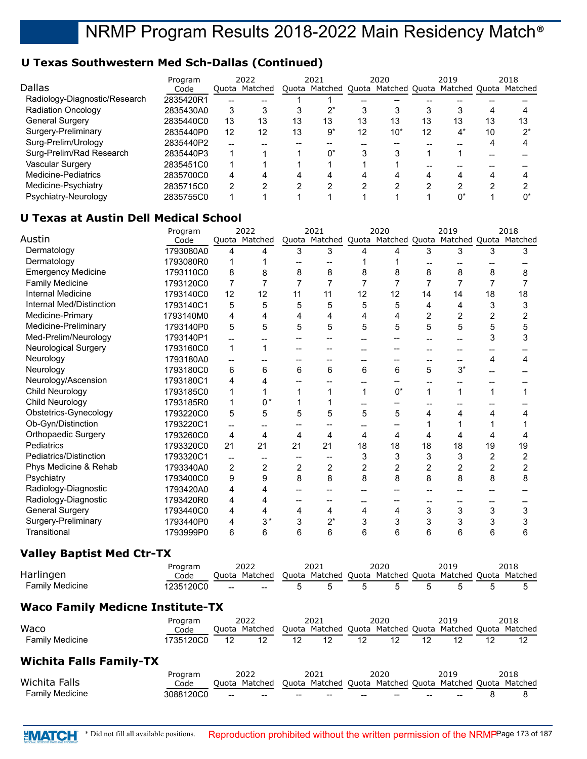## **U Texas Southwestern Med Sch-Dallas (Continued)**

| <b>Dallas</b>                 | Program<br>Code |     | 2022<br>Quota Matched |    | 2021<br>Quota Matched Quota Matched Quota |    | 2020  |    | 2019<br>Matched Quota Matched |    | 2018 |
|-------------------------------|-----------------|-----|-----------------------|----|-------------------------------------------|----|-------|----|-------------------------------|----|------|
| Radiology-Diagnostic/Research | 2835420R1       | --  |                       |    |                                           |    |       |    |                               |    |      |
| <b>Radiation Oncology</b>     | 2835430A0       | 3   |                       |    | $2^*$                                     |    | 3     |    |                               |    |      |
| <b>General Surgery</b>        | 2835440C0       | 13  | 13                    | 13 | 13                                        | 13 | 13    | 13 | 13                            | 13 | 13   |
| Surgery-Preliminary           | 2835440P0       | 12  | 12                    | 13 | 9*                                        | 12 | $10*$ | 12 | $4^*$                         | 10 | י∩∗  |
| Surg-Prelim/Urology           | 2835440P2       | $-$ |                       |    |                                           |    |       |    |                               |    |      |
| Surg-Prelim/Rad Research      | 2835440P3       |     |                       |    | 0*                                        |    | 3     |    |                               |    |      |
| Vascular Surgery              | 2835451C0       |     |                       |    |                                           |    |       |    |                               |    |      |
| Medicine-Pediatrics           | 2835700C0       | 4   |                       |    | Δ                                         |    | 4     | 4  |                               |    |      |
| Medicine-Psychiatry           | 2835715C0       | 2   |                       |    |                                           |    |       |    | ◠                             |    |      |
| Psychiatry-Neurology          | 2835755C0       |     |                       |    |                                           |    |       |    | n*                            |    |      |

## **U Texas at Austin Dell Medical School**

|                            | Program   |    | 2022           |                | 2021                                                    |                | 2020  |                | 2019  |    | 2018 |
|----------------------------|-----------|----|----------------|----------------|---------------------------------------------------------|----------------|-------|----------------|-------|----|------|
| Austin                     | Code      |    | Quota Matched  |                | Quota Matched Quota Matched Quota Matched Quota Matched |                |       |                |       |    |      |
| Dermatology                | 1793080A0 | 4  | 4              | 3              | 3                                                       | Δ              | 4     | 3              | 3     | 3  | 3    |
| Dermatology                | 1793080R0 | 1  |                |                |                                                         |                |       |                |       |    |      |
| <b>Emergency Medicine</b>  | 1793110C0 | 8  | 8              | 8              | 8                                                       | 8              | 8     | 8              | 8     | 8  | 8    |
| <b>Family Medicine</b>     | 1793120C0 | 7  | 7              |                | 7                                                       |                | 7     | 7              | 7     |    |      |
| <b>Internal Medicine</b>   | 1793140C0 | 12 | 12             | 11             | 11                                                      | 12             | 12    | 14             | 14    | 18 | 18   |
| Internal Med/Distinction   | 1793140C1 | 5  | 5              | 5              | 5                                                       | 5              | 5     | 4              | 4     | 3  | 3    |
| Medicine-Primary           | 1793140M0 | 4  | 4              | 4              | 4                                                       | 4              | 4     | $\overline{2}$ | 2     | 2  | 2    |
| Medicine-Preliminary       | 1793140P0 | 5  | 5              | 5              | 5                                                       | 5              | 5     | 5              | 5     | 5  | 5    |
| Med-Prelim/Neurology       | 1793140P1 |    |                |                |                                                         |                |       |                |       | 3  | 3    |
| Neurological Surgery       | 1793160C0 | 1  | 1              |                |                                                         |                |       |                |       |    |      |
| Neurology                  | 1793180A0 |    |                |                |                                                         |                |       |                |       | 4  | 4    |
| Neurology                  | 1793180C0 | 6  | 6              | 6              | 6                                                       | 6              | 6     | 5              | $3^*$ |    |      |
| Neurology/Ascension        | 1793180C1 | 4  | 4              |                |                                                         |                |       |                |       |    |      |
| Child Neurology            | 1793185C0 | 1  |                |                |                                                         | 1              | $0^*$ | 1              | 1     | 1  |      |
| <b>Child Neurology</b>     | 1793185R0 | 1  | $0*$           |                |                                                         |                |       |                |       |    |      |
| Obstetrics-Gynecology      | 1793220C0 | 5  | 5              | 5              | 5                                                       | 5              | 5     | 4              | 4     | 4  | 4    |
| Ob-Gyn/Distinction         | 1793220C1 | -- |                |                |                                                         |                |       |                |       |    |      |
| <b>Orthopaedic Surgery</b> | 1793260C0 | 4  | 4              | 4              | 4                                                       | 4              | 4     | 4              | 4     | 4  | 4    |
| Pediatrics                 | 1793320C0 | 21 | 21             | 21             | 21                                                      | 18             | 18    | 18             | 18    | 19 | 19   |
| Pediatrics/Distinction     | 1793320C1 | -- | --             |                |                                                         | 3              | 3     | 3              | 3     | 2  | 2    |
| Phys Medicine & Rehab      | 1793340A0 | 2  | $\overline{2}$ | $\overline{2}$ | $\overline{2}$                                          | $\overline{2}$ | 2     | 2              | 2     | 2  | 2    |
| Psychiatry                 | 1793400C0 | 9  | 9              | 8              | 8                                                       | 8              | 8     | 8              | 8     | 8  | 8    |
| Radiology-Diagnostic       | 1793420A0 | 4  | 4              |                |                                                         |                |       |                |       |    |      |
| Radiology-Diagnostic       | 1793420R0 | 4  | 4              | --             |                                                         |                |       |                |       |    |      |
| <b>General Surgery</b>     | 1793440C0 | 4  | 4              | 4              | 4                                                       | 4              | 4     | 3              | 3     | 3  | 3    |
| Surgery-Preliminary        | 1793440P0 | 4  | $3*$           | 3              | $2^*$                                                   | 3              | 3     | 3              | 3     | 3  | 3    |
| Transitional               | 1793999P0 | 6  | 6              | 6              | 6                                                       | 6              | 6     | 6              | 6     | 6  | 6    |

## **Valley Baptist Med Ctr-TX**

| Harlingen                               | Program<br>Code |    | 2022<br>Ouota Matched |       | 2021<br>Quota Matched Quota Matched Quota Matched Quota Matched |    | 2020 |    | 2019                                              |    | 2018            |
|-----------------------------------------|-----------------|----|-----------------------|-------|-----------------------------------------------------------------|----|------|----|---------------------------------------------------|----|-----------------|
| <b>Family Medicine</b>                  | 1235120C0       | -- |                       | 5     | 5                                                               | 5  | 5    | 5  | 5                                                 | 5  | 5               |
| <b>Waco Family Medicne Institute-TX</b> |                 |    |                       |       |                                                                 |    |      |    |                                                   |    |                 |
| Waco                                    | Program<br>Code |    | 2022<br>Ouota Matched | Ouota | 2021                                                            |    | 2020 |    | 2019<br>Matched Quota Matched Quota Matched Quota |    | 2018<br>Matched |
| <b>Family Medicine</b>                  | 1735120C0       | 12 | 12                    | 12    | 12                                                              | 12 | 12   | 12 | 12                                                | 12 | 12              |
| <b>Wichita Falls Family-TX</b>          |                 |    |                       |       |                                                                 |    |      |    |                                                   |    |                 |
| Wichita Falls                           | Program<br>Code |    | 2022<br>Ouota Matched |       | 2021<br>Quota Matched Quota Matched Quota Matched Quota Matched |    | 2020 |    | 2019                                              |    | 2018            |
| <b>Family Medicine</b>                  | 3088120C0       |    |                       |       |                                                                 |    |      |    |                                                   | 8  | 8               |

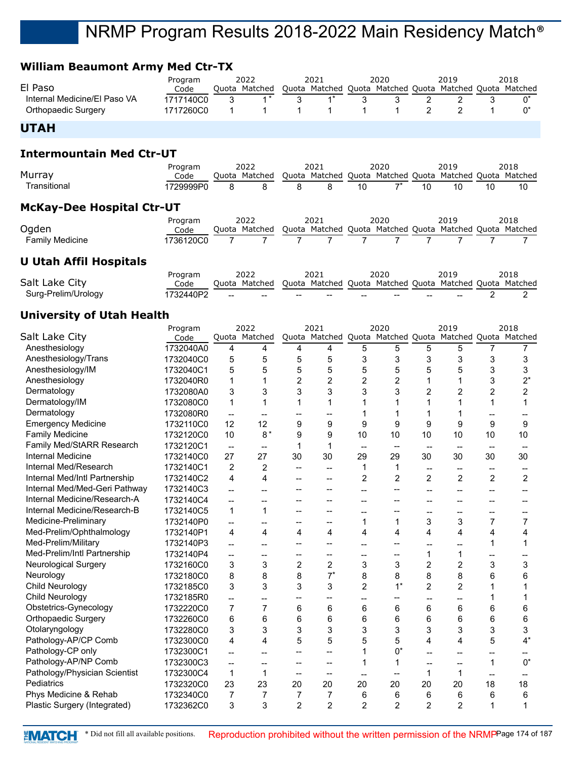## **William Beaumont Army Med Ctr-TX**

|                              | Program   | 2022          | 2021 | 2020 | 2019 | 2018                                                    |
|------------------------------|-----------|---------------|------|------|------|---------------------------------------------------------|
| El Paso                      | Code      | Ouota Matched |      |      |      | Quota Matched Quota Matched Quota Matched Quota Matched |
| Internal Medicine/El Paso VA | 1717140C0 |               |      |      |      |                                                         |
| Orthopaedic Surgery          | 1717260C0 |               |      |      |      |                                                         |

## **UTAH**

### **Intermountain Med Ctr-UT**

|              | Program   | 2022                                                                  |     | 2021 |    | 2020 |    | 2019 |    | 2018 |
|--------------|-----------|-----------------------------------------------------------------------|-----|------|----|------|----|------|----|------|
| Murray       | Code      | Quota Matched Quota Matched Quota Matched Quota Matched Quota Matched |     |      |    |      |    |      |    |      |
| Transitional | '729999P0 |                                                                       | - 8 | 8    | 10 |      | 10 | 10   | 10 |      |

#### **McKay-Dee Hospital Ctr-UT**

|                 | Program   | 2022                                                                  | 2021 | 2020 | 2019 | 2018 |
|-----------------|-----------|-----------------------------------------------------------------------|------|------|------|------|
| Ogden           | Code      | Quota Matched Quota Matched Quota Matched Quota Matched Quota Matched |      |      |      |      |
| Family Medicine | '736120C0 | 7777                                                                  |      |      |      |      |

## **U Utah Affil Hospitals**

|                     | Program   | 2022                                                                  |                          | 2021   |     | 2020   |     | 2019   | 2018 |
|---------------------|-----------|-----------------------------------------------------------------------|--------------------------|--------|-----|--------|-----|--------|------|
| Salt Lake City      | Code      | Quota Matched Quota Matched Quota Matched Quota Matched Quota Matched |                          |        |     |        |     |        |      |
| Surg-Prelim/Urology | 1732440P2 | $-$                                                                   | $\overline{\phantom{a}}$ | $\sim$ | $-$ | $\sim$ | $-$ | $\sim$ |      |

## **University of Utah Health**

|                               | Program   |                          | 2022           |                | 2021                                                    |                | 2020           |                          | 2019           |                | 2018           |
|-------------------------------|-----------|--------------------------|----------------|----------------|---------------------------------------------------------|----------------|----------------|--------------------------|----------------|----------------|----------------|
| Salt Lake City                | Code      |                          | Quota Matched  |                | Quota Matched Quota Matched Quota Matched Quota Matched |                |                |                          |                |                |                |
| Anesthesiology                | 1732040A0 | 4                        | 4              | 4              | 4                                                       | 5              | 5              | 5                        | 5              | 7              |                |
| Anesthesiology/Trans          | 1732040C0 | 5                        | 5              | 5              | 5                                                       | 3              | 3              | 3                        | 3              | 3              | 3              |
| Anesthesiology/IM             | 1732040C1 | 5                        | 5              | 5              | 5                                                       | 5              | 5              | 5                        | 5              | 3              | 3              |
| Anesthesiology                | 1732040R0 | 1                        | 1              | $\overline{2}$ | $\overline{2}$                                          | $\overline{2}$ | 2              | 1                        | 1              | 3              | $2^*$          |
| Dermatology                   | 1732080A0 | 3                        | 3              | 3              | 3                                                       | 3              | 3              | $\overline{2}$           | 2              | $\overline{2}$ | $\overline{2}$ |
| Dermatology/IM                | 1732080C0 | 1                        | 1              | 1              | $\mathbf 1$                                             |                |                | 1                        | 1              | 1              | 1              |
| Dermatology                   | 1732080R0 | $\overline{\phantom{a}}$ |                |                |                                                         | 1              |                | 1                        | 1              |                |                |
| <b>Emergency Medicine</b>     | 1732110C0 | 12                       | 12             | 9              | 9                                                       | 9              | 9              | 9                        | 9              | 9              | 9              |
| <b>Family Medicine</b>        | 1732120C0 | 10                       | $8*$           | 9              | 9                                                       | 10             | 10             | 10                       | 10             | 10             | 10             |
| Family Med/StARR Research     | 1732120C1 | $\overline{\phantom{a}}$ | --             | 1              | 1                                                       | $\overline{a}$ | --             |                          |                |                |                |
| <b>Internal Medicine</b>      | 1732140C0 | 27                       | 27             | 30             | 30                                                      | 29             | 29             | 30                       | 30             | 30             | 30             |
| Internal Med/Research         | 1732140C1 | 2                        | $\overline{2}$ | $\overline{a}$ | $\overline{\phantom{a}}$                                | 1              | 1              | $\overline{\phantom{a}}$ | --             | --             |                |
| Internal Med/Intl Partnership | 1732140C2 | 4                        | 4              | --             | --                                                      | $\overline{2}$ | $\overline{2}$ | $\overline{2}$           | $\overline{2}$ | $\overline{2}$ | $\overline{2}$ |
| Internal Med/Med-Geri Pathway | 1732140C3 | --                       | $-$            |                |                                                         | $\overline{a}$ | --             | --                       |                | --             |                |
| Internal Medicine/Research-A  | 1732140C4 | $\overline{a}$           | --             |                |                                                         |                |                |                          |                |                |                |
| Internal Medicine/Research-B  | 1732140C5 | $\mathbf{1}$             | 1              |                | --                                                      |                |                | --                       | --             | --             |                |
| Medicine-Preliminary          | 1732140P0 | --                       | --             |                | --                                                      | 1              | 1              | 3                        | 3              | $\overline{7}$ | 7              |
| Med-Prelim/Ophthalmology      | 1732140P1 | 4                        | 4              | 4              | 4                                                       | 4              | 4              | 4                        | 4              | 4              | 4              |
| Med-Prelim/Military           | 1732140P3 | $\overline{a}$           | --             |                |                                                         |                |                | --                       |                |                |                |
| Med-Prelim/Intl Partnership   | 1732140P4 | $\overline{a}$           | --             |                | --                                                      | --             | --             | 1                        | 1              |                |                |
| <b>Neurological Surgery</b>   | 1732160C0 | 3                        | 3              | $\overline{c}$ | $\overline{c}$                                          | 3              | 3              | $\overline{c}$           | $\overline{c}$ | 3              | 3              |
| Neurology                     | 1732180C0 | 8                        | 8              | 8              | $7^*$                                                   | 8              | 8              | 8                        | 8              | 6              | 6              |
| Child Neurology               | 1732185C0 | 3                        | 3              | 3              | 3                                                       | $\overline{2}$ | $1^*$          | $\overline{2}$           | $\overline{2}$ |                |                |
| Child Neurology               | 1732185R0 | $\overline{a}$           | --             |                | --                                                      | --             | --             | $\overline{\phantom{a}}$ | --             |                |                |
| Obstetrics-Gynecology         | 1732220C0 | $\overline{7}$           | $\overline{7}$ | 6              | 6                                                       | 6              | 6              | 6                        | 6              | 6              | 6              |
| Orthopaedic Surgery           | 1732260C0 | 6                        | 6              | 6              | 6                                                       | 6              | 6              | 6                        | 6              | 6              | 6              |
| Otolaryngology                | 1732280C0 | 3                        | 3              | 3              | 3                                                       | 3              | 3              | 3                        | 3              | 3              | 3              |
| Pathology-AP/CP Comb          | 1732300C0 | 4                        | 4              | 5              | 5                                                       | 5              | 5              | 4                        | 4              | 5              | $4^*$          |
| Pathology-CP only             | 1732300C1 | --                       | --             |                |                                                         | 1              | $0^*$          | --                       | --             |                |                |
| Pathology-AP/NP Comb          | 1732300C3 | $\overline{\phantom{a}}$ | --             |                |                                                         | 1              | 1              |                          |                | 1              | $0^*$          |
| Pathology/Physician Scientist | 1732300C4 | 1                        | $\mathbf{1}$   | --             | $\overline{a}$                                          |                |                | 1                        | $\mathbf{1}$   |                |                |
| Pediatrics                    | 1732320C0 | 23                       | 23             | 20             | 20                                                      | 20             | 20             | 20                       | 20             | 18             | 18             |
| Phys Medicine & Rehab         | 1732340C0 | 7                        | 7              | 7              | 7                                                       | 6              | 6              | 6                        | 6              | 6              | 6              |
| Plastic Surgery (Integrated)  | 1732362C0 | 3                        | 3              | $\overline{2}$ | $\overline{2}$                                          | $\overline{2}$ | $\overline{2}$ | $\overline{2}$           | $\overline{2}$ | 1              | 1              |
|                               |           |                          |                |                |                                                         |                |                |                          |                |                |                |

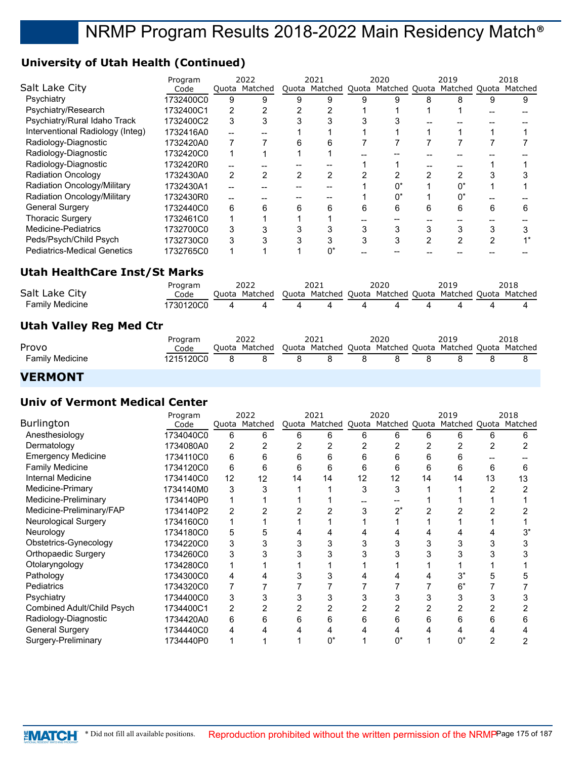## **University of Utah Health (Continued)**

|                                      | Program   |   | 2022          |   | 2021          |   | 2020  |                | 2019                                      |                | 2018 |
|--------------------------------------|-----------|---|---------------|---|---------------|---|-------|----------------|-------------------------------------------|----------------|------|
| Salt Lake City                       | Code      |   | Quota Matched |   | Quota Matched |   |       |                | Quota Matched Quota Matched Quota Matched |                |      |
| Psychiatry                           | 1732400C0 | 9 | 9             | 9 | 9             | 9 | 9     | 8              | 8                                         | 9              | 9    |
| Psychiatry/Research                  | 1732400C1 | 2 |               |   |               |   |       |                |                                           |                |      |
| Psychiatry/Rural Idaho Track         | 1732400C2 | 3 | 3             |   | 3             |   |       |                |                                           |                |      |
| Interventional Radiology (Integ)     | 1732416A0 |   |               |   |               |   |       |                |                                           |                |      |
| Radiology-Diagnostic                 | 1732420A0 |   |               | 6 | 6             |   |       |                |                                           |                |      |
| Radiology-Diagnostic                 | 1732420C0 |   |               |   |               |   |       |                |                                           |                |      |
| Radiology-Diagnostic                 | 1732420R0 |   |               |   |               |   |       |                |                                           |                |      |
| <b>Radiation Oncology</b>            | 1732430A0 | 2 | 2             | 2 | 2             | 2 | 2     | $\mathcal{P}$  | 2                                         |                |      |
| Radiation Oncology/Military          | 1732430A1 |   |               |   |               |   | $0^*$ |                | $0^*$                                     |                |      |
| Radiation Oncology/Military          | 1732430R0 |   |               |   |               |   | $0^*$ |                | $0^*$                                     |                |      |
| <b>General Surgery</b>               | 1732440C0 | 6 | 6             | 6 | 6             | 6 | 6     | 6              | 6                                         | 6              | 6    |
| <b>Thoracic Surgery</b>              | 1732461C0 |   |               |   |               |   |       |                |                                           |                |      |
| <b>Medicine-Pediatrics</b>           | 1732700C0 | 3 | 3             | 3 | 3             | 3 | 3     | 3              | 3                                         | 3              |      |
| Peds/Psych/Child Psych               | 1732730C0 | 3 | 3             | 3 | 3             | 3 | 3     | $\overline{2}$ | 2                                         | $\overline{2}$ |      |
| <b>Pediatrics-Medical Genetics</b>   | 1732765C0 |   |               |   | $0^*$         |   |       |                |                                           |                |      |
|                                      |           |   |               |   |               |   |       |                |                                           |                |      |
| <b>Utah HealthCare Inst/St Marks</b> |           |   |               |   |               |   |       |                |                                           |                |      |

|                 | Program                     | 2022                                                                  | 2021 | 2020 |                | 2019 | 2018 |
|-----------------|-----------------------------|-----------------------------------------------------------------------|------|------|----------------|------|------|
| Salt Lake City  | Code                        | Quota Matched Quota Matched Quota Matched Quota Matched Quota Matched |      |      |                |      |      |
| Family Medicine | 1730120C0  4  4  4  4  4  4 |                                                                       |      |      | $\overline{4}$ |      |      |

## **Utah Valley Reg Med Ctr**

|                 | Program   | 2022                                                                  |    | 2021 |     | 2020 | 2019 | 2018 |
|-----------------|-----------|-----------------------------------------------------------------------|----|------|-----|------|------|------|
| Provo           | Code      | Quota Matched Quota Matched Quota Matched Quota Matched Quota Matched |    |      |     |      |      |      |
| Family Medicine | 1215120C0 |                                                                       | -8 |      | - 8 | 8    |      |      |
| ----------      |           |                                                                       |    |      |     |      |      |      |

## **VERMONT**

## **Univ of Vermont Medical Center**

|                            | Program   |    | 2022          |    | 2021                                                    |    | 2020 |    | 2019 |    | 2018 |
|----------------------------|-----------|----|---------------|----|---------------------------------------------------------|----|------|----|------|----|------|
| <b>Burlington</b>          | Code      |    | Quota Matched |    | Quota Matched Quota Matched Quota Matched Quota Matched |    |      |    |      |    |      |
| Anesthesiology             | 1734040C0 | 6  | 6             | 6  | 6                                                       | 6  | հ    | 6  | 6    |    |      |
| Dermatology                | 1734080A0 | 2  |               |    |                                                         |    |      |    |      |    |      |
| <b>Emergency Medicine</b>  | 1734110C0 | 6  | 6             |    | h                                                       |    |      |    |      |    |      |
| <b>Family Medicine</b>     | 1734120C0 | 6  | 6             | 6  | 6                                                       | 6  | 6    | 6  | 6    | 6  |      |
| Internal Medicine          | 1734140C0 | 12 | 12            | 14 | 14                                                      | 12 | 12   | 14 | 14   | 13 | 13   |
| Medicine-Primary           | 1734140M0 | 3  | 3             |    |                                                         | 3  |      |    |      |    |      |
| Medicine-Preliminary       | 1734140P0 |    |               |    |                                                         |    |      |    |      |    |      |
| Medicine-Preliminary/FAP   | 1734140P2 | 2  |               |    |                                                         |    |      |    |      |    |      |
| Neurological Surgery       | 1734160C0 |    |               |    |                                                         |    |      |    |      |    |      |
| Neurology                  | 1734180C0 | 5  | 5             |    |                                                         |    |      |    |      |    |      |
| Obstetrics-Gynecology      | 1734220C0 | 3  | 3             |    |                                                         |    |      |    |      |    |      |
| Orthopaedic Surgery        | 1734260C0 | 3  |               |    |                                                         |    |      |    |      |    |      |
| Otolaryngology             | 1734280C0 |    |               |    |                                                         |    |      |    |      |    |      |
| Pathology                  | 1734300C0 | 4  |               |    |                                                         |    |      |    |      |    |      |
| Pediatrics                 | 1734320C0 |    |               |    |                                                         |    |      |    | 6*   |    |      |
| Psychiatry                 | 1734400C0 | 3  |               |    |                                                         |    |      |    |      |    |      |
| Combined Adult/Child Psych | 1734400C1 | 2  |               |    |                                                         |    |      |    |      |    |      |
| Radiology-Diagnostic       | 1734420A0 | 6  | 6             | 6  | 6                                                       |    |      |    |      |    |      |
| <b>General Surgery</b>     | 1734440C0 | 4  |               |    |                                                         |    |      |    |      |    |      |
| Surgery-Preliminary        | 1734440P0 |    |               |    |                                                         |    |      |    |      |    |      |

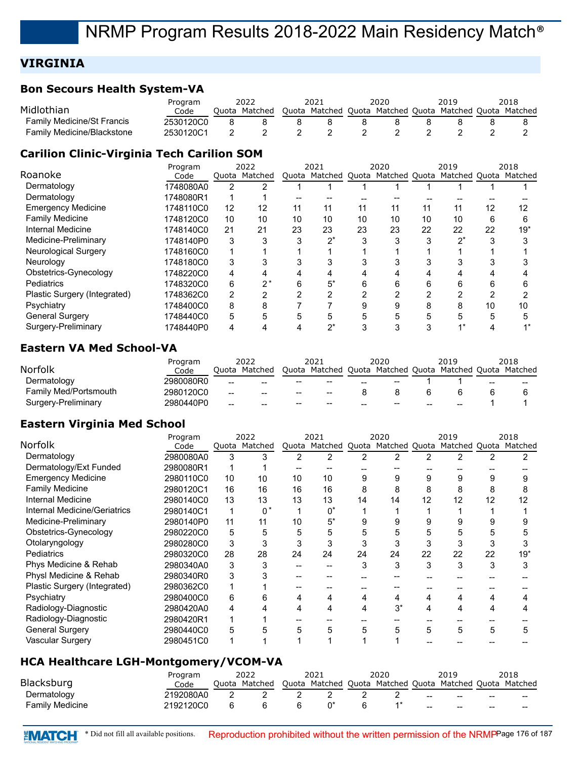## **VIRGINIA**

#### **Bon Secours Health System-VA**

|                                   | Program   | 2022 |               | 2021 |                                                         | 2020 |  | 2019 |  | 2018 |
|-----------------------------------|-----------|------|---------------|------|---------------------------------------------------------|------|--|------|--|------|
| Midlothian                        | Code      |      | Ouota Matched |      | Quota Matched Quota Matched Quota Matched Quota Matched |      |  |      |  |      |
| <b>Family Medicine/St Francis</b> | 2530120C0 |      |               |      |                                                         |      |  |      |  |      |
| <b>Family Medicine/Blackstone</b> | 2530120C1 |      |               |      |                                                         |      |  |      |  |      |

## **Carilion Clinic-Virginia Tech Carilion SOM**

|                              | Program   |    | 2022          | 2021 |                                                         | 2020 |    |    | 2019 |     | 2018  |
|------------------------------|-----------|----|---------------|------|---------------------------------------------------------|------|----|----|------|-----|-------|
| Roanoke                      | Code      |    | Ouota Matched |      | Quota Matched Quota Matched Quota Matched Quota Matched |      |    |    |      |     |       |
| Dermatology                  | 1748080A0 | 2  |               |      |                                                         |      |    |    |      |     |       |
| Dermatology                  | 1748080R1 |    |               |      |                                                         |      |    |    |      |     |       |
| <b>Emergency Medicine</b>    | 1748110C0 | 12 | 12            | 11   | 11                                                      | 11   | 11 | 11 | 11   | 12  | 12    |
| <b>Family Medicine</b>       | 1748120C0 | 10 | 10            | 10   | 10                                                      | 10   | 10 | 10 | 10   | 6   | 6     |
| Internal Medicine            | 1748140C0 | 21 | 21            | 23   | 23                                                      | 23   | 23 | 22 | 22   | 22  | $19*$ |
| Medicine-Preliminary         | 1748140P0 | 3  |               |      | $2^*$                                                   | 3    | 3  | 3  | י∩∗  | 3   |       |
| Neurological Surgery         | 1748160C0 |    |               |      |                                                         |      |    |    |      |     |       |
| Neurology                    | 1748180C0 | 3  |               |      | 3                                                       |      |    |    |      |     |       |
| Obstetrics-Gynecology        | 1748220C0 | 4  |               |      |                                                         |      |    | 4  | 4    |     |       |
| Pediatrics                   | 1748320C0 | 6  | 2*            | 6    | 5*                                                      | 6    | 6  | հ  | 6    | ี่ค |       |
| Plastic Surgery (Integrated) | 1748362C0 | 2  |               |      | 2                                                       | ົ    | ◠  | ົ  | ⌒    | ◠   |       |
| Psychiatry                   | 1748400C0 | 8  | 8             |      |                                                         |      | 9  | 8  | 8    | 10  | 10    |
| <b>General Surgery</b>       | 1748440C0 | 5  |               |      | 5                                                       |      | 5  |    | 5    | 5   |       |
| Surgery-Preliminary          | 1748440P0 | 4  |               |      | י?                                                      |      | 3  |    |      |     |       |

## **Eastern VA Med School-VA**

|                              | Program   |                   | 2022    |                  | 2021                                           |                 | 2020  |    | 2019          |       | 2018    |
|------------------------------|-----------|-------------------|---------|------------------|------------------------------------------------|-----------------|-------|----|---------------|-------|---------|
| Norfolk                      | Code      | Ouota             | Matched |                  | Quota Matched Quota Matched Quota              |                 |       |    | Matched Quota |       | Matched |
| Dermatology                  | 2980080R0 | $\hspace{0.05cm}$ | $- -$   | $- -$            | $- -$                                          | $- -$           | --    |    |               | $- -$ | $- -$   |
| <b>Family Med/Portsmouth</b> | 2980120C0 | $\hspace{0.05cm}$ | --      | $\hspace{0.5cm}$ | $\hspace{0.1mm}-\hspace{0.1mm}-\hspace{0.1mm}$ |                 |       |    |               |       |         |
| Surgery-Preliminary          | 2980440P0 | $\qquad \qquad$   | $- -$   | $- -$            | $- -$                                          | $\qquad \qquad$ | $- -$ | -- | --            |       |         |

## **Eastern Virginia Med School**

|                              | Program   |    | 2022          |    | 2021                              |    | 2020  |    | 2019                  |    | 2018  |
|------------------------------|-----------|----|---------------|----|-----------------------------------|----|-------|----|-----------------------|----|-------|
| <b>Norfolk</b>               | Code      |    | Quota Matched |    | Quota Matched Quota Matched Quota |    |       |    | Matched Quota Matched |    |       |
| Dermatology                  | 2980080A0 | 3  | 3             | 2  | 2                                 | 2  | 2     | 2  | 2                     | 2  | 2     |
| Dermatology/Ext Funded       | 2980080R1 |    |               |    |                                   |    |       |    |                       |    |       |
| <b>Emergency Medicine</b>    | 2980110C0 | 10 | 10            | 10 | 10                                | 9  | 9     | 9  | 9                     | 9  | 9     |
| <b>Family Medicine</b>       | 2980120C1 | 16 | 16            | 16 | 16                                | 8  | 8     | 8  | 8                     | 8  | 8     |
| Internal Medicine            | 2980140C0 | 13 | 13            | 13 | 13                                | 14 | 14    | 12 | 12                    | 12 | 12    |
| Internal Medicine/Geriatrics | 2980140C1 | 1  | $0^*$         |    | $0^*$                             |    |       |    |                       |    |       |
| Medicine-Preliminary         | 2980140P0 | 11 | 11            | 10 | $5^*$                             | 9  | 9     | 9  |                       | 9  |       |
| Obstetrics-Gynecology        | 2980220C0 | 5  | 5             | 5  | 5                                 |    | 5     | 5  | 5                     |    | 5     |
| Otolaryngology               | 2980280C0 | 3  | 3             | 3  | 3                                 | 3  | 3     | 3  | 3                     | 3  | 3     |
| <b>Pediatrics</b>            | 2980320C0 | 28 | 28            | 24 | 24                                | 24 | 24    | 22 | 22                    | 22 | $19*$ |
| Phys Medicine & Rehab        | 2980340A0 | 3  | 3             |    |                                   | 3  | 3     | 3  | 3                     | 3  | 3     |
| Physl Medicine & Rehab       | 2980340R0 | 3  |               |    |                                   |    |       |    |                       |    |       |
| Plastic Surgery (Integrated) | 2980362C0 |    |               |    |                                   |    |       |    |                       |    |       |
| Psychiatry                   | 2980400C0 | 6  | 6             | 4  | 4                                 | 4  | 4     | 4  |                       |    |       |
| Radiology-Diagnostic         | 2980420A0 | 4  |               | 4  | 4                                 |    | $3^*$ | 4  | 4                     | 4  |       |
| Radiology-Diagnostic         | 2980420R1 | 1  |               |    |                                   |    |       |    |                       |    |       |
| <b>General Surgery</b>       | 2980440C0 | 5  |               | 5  | 5                                 | 5  | 5     | 5  | 5                     | 5  | 5     |
| Vascular Surgery             | 2980451C0 | 1  |               |    |                                   |    |       |    |                       |    |       |
|                              |           |    |               |    |                                   |    |       |    |                       |    |       |

## **HCA Healthcare LGH-Montgomery/VCOM-VA**

|                        | Program   | 2022          | 2021                                                    | 2020 | 2019  |     | 2018 |
|------------------------|-----------|---------------|---------------------------------------------------------|------|-------|-----|------|
| Blacksburg             | Code      | Ouota Matched | Quota Matched Quota Matched Quota Matched Quota Matched |      |       |     |      |
| Dermatology            | 2192080A0 |               |                                                         |      | $-$   | $-$ | $-$  |
| <b>Family Medicine</b> | 2192120C0 |               |                                                         |      | $- -$ | $-$ | $-$  |

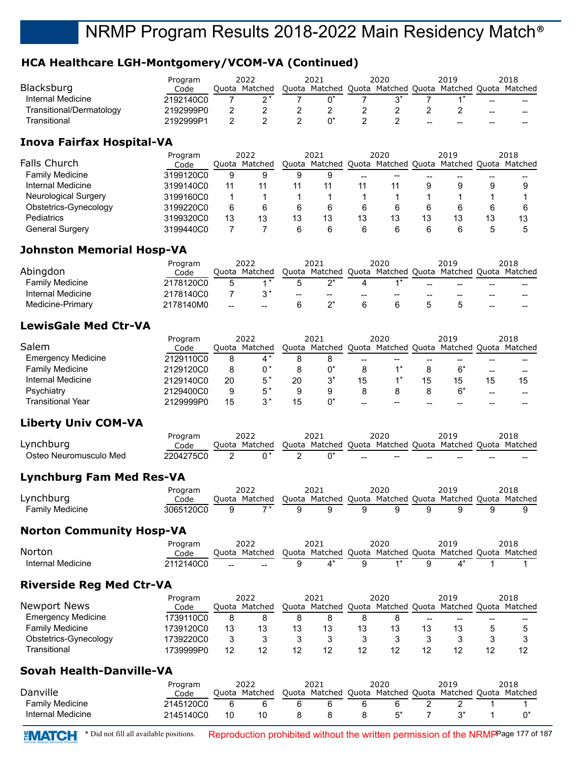## **HCA Healthcare LGH-Montgomery/VCOM-VA (Continued)**

|                          | Program   | 2022 |               | 2021                                                    | 2020 |  | 2019 |       |    | 2018  |
|--------------------------|-----------|------|---------------|---------------------------------------------------------|------|--|------|-------|----|-------|
| Blacksburg               | Code      |      | Ouota Matched | Quota Matched Quota Matched Quota Matched Quota Matched |      |  |      |       |    |       |
| Internal Medicine        | 2192140C0 |      |               |                                                         |      |  |      |       | -- | $- -$ |
| Transitional/Dermatology | 2192999P0 |      |               |                                                         |      |  |      |       | -- | $- -$ |
| Transitional             | 2192999P1 |      |               |                                                         |      |  | --   | $- -$ | -- | --    |

## **Inova Fairfax Hospital-VA**

|                             | Program   | 2022  |         | 2021 |    | 2020  |    |    | 2019                                            |    | 2018    |
|-----------------------------|-----------|-------|---------|------|----|-------|----|----|-------------------------------------------------|----|---------|
| Falls Church                | Code      | Ouota | Matched |      |    |       |    |    | Quota Matched Quota Matched Quota Matched Quota |    | Matched |
| <b>Family Medicine</b>      | 3199120C0 | 9     |         | 9    |    | $- -$ | -- |    |                                                 |    |         |
| Internal Medicine           | 3199140C0 | 11    |         | 11   | 11 | 11    |    |    | 9                                               | 9  |         |
| <b>Neurological Surgery</b> | 3199160C0 |       |         |      |    |       |    |    |                                                 |    |         |
| Obstetrics-Gynecology       | 3199220C0 | 6     |         | 6    |    | 6     | 6  |    |                                                 | 6  |         |
| Pediatrics                  | 3199320C0 | 13    | 13      | 13   | 13 | 13    | 13 | 13 | 13                                              | 13 | 13      |
| <b>General Surgery</b>      | 3199440C0 |       |         | b    |    | 6     | 6  |    |                                                 |    |         |

## **Johnston Memorial Hosp-VA**

|                        | Program   |       | 2022    |                                                | 2021                |    | 2020                     |    | 2019                  |       | 2018  |
|------------------------|-----------|-------|---------|------------------------------------------------|---------------------|----|--------------------------|----|-----------------------|-------|-------|
| Abingdon               | Code      | Ouota | Matched |                                                | Quota Matched Quota |    | Matched Quota            |    | Matched Quota Matched |       |       |
| <b>Family Medicine</b> | 2178120C0 |       |         |                                                |                     |    |                          | -- | $- -$                 | --    |       |
| Internal Medicine      | 2178140C0 |       |         | $\hspace{0.5cm}-\hspace{0.5cm}-\hspace{0.5cm}$ | $- -$               | -- | $\overline{\phantom{m}}$ | -- | --                    | --    | --    |
| Medicine-Primary       | 2178140M0 | $- -$ | --      |                                                |                     |    |                          |    |                       | $- -$ | $- -$ |

## **LewisGale Med Ctr-VA**

|                           | Program   | 2022 |               | 2021  |                                                   | 2020 |       |    | 2019 |    | 2018 |
|---------------------------|-----------|------|---------------|-------|---------------------------------------------------|------|-------|----|------|----|------|
| Salem                     | Code      |      | Ouota Matched | Ouota | Matched Quota Matched Quota Matched Quota Matched |      |       |    |      |    |      |
| <b>Emergency Medicine</b> | 2129110C0 | 8    |               |       |                                                   | --   | --    | -- | --   | -- |      |
| <b>Family Medicine</b>    | 2129120C0 |      |               |       |                                                   |      |       |    |      | -- |      |
| Internal Medicine         | 2129140C0 | 20   | 5*            | 20    | •ว*                                               | 15   |       |    |      | 15 | 15   |
| Psychiatry                | 2129400C0 | 9    | $5*$          |       |                                                   |      |       |    |      | -- |      |
| Transitional Year         | 2129999P0 | 15   |               | 15    |                                                   | --   | $- -$ |    |      |    |      |

## **Liberty Univ COM-VA**

|                        | Program   | 2022          | 2021                                                    |        | 2020                                           | 2019 |       | 2018  |
|------------------------|-----------|---------------|---------------------------------------------------------|--------|------------------------------------------------|------|-------|-------|
| Lynchburg              | Code      | Ouota Matched | Quota Matched Quota Matched Quota Matched Quota Matched |        |                                                |      |       |       |
| Osteo Neuromusculo Med | 2204275C0 |               |                                                         | $\sim$ | $\hspace{0.1mm}-\hspace{0.1mm}-\hspace{0.1mm}$ | --   | $- -$ | $- -$ |

## **Lynchburg Fam Med Res-VA**

|                 | Program   | 2022            | 2021 | 2020                                                    | 2019 | 2018 |
|-----------------|-----------|-----------------|------|---------------------------------------------------------|------|------|
| Lynchburg       | Code      | Ouota Matched   |      | Quota Matched Quota Matched Quota Matched Quota Matched |      |      |
| Family Medicine | 3065120C0 | $\rightarrow$ * |      |                                                         |      |      |

## **Norton Community Hosp-VA**

|                   | Program   |                   | 2022    | 2021                                                    | 2020 | 2019 | 2018 |
|-------------------|-----------|-------------------|---------|---------------------------------------------------------|------|------|------|
| Norton            | Code      | Ouota             | Matched | Quota Matched Quota Matched Quota Matched Quota Matched |      |      |      |
| Internal Medicine | 2112140C0 | $\hspace{0.05cm}$ | $-$     |                                                         |      |      |      |

## **Riverside Reg Med Ctr-VA**

|                           | Program   | 2022 |               | 2021  |                             | 2020 |    |    | 2019  |    | 2018                  |
|---------------------------|-----------|------|---------------|-------|-----------------------------|------|----|----|-------|----|-----------------------|
| Newport News              | Code      |      | Ouota Matched | Quota | Matched Quota Matched Quota |      |    |    |       |    | Matched Quota Matched |
| <b>Emergency Medicine</b> | 1739110C0 |      |               |       |                             |      |    | -- | $- -$ | -- |                       |
| <b>Family Medicine</b>    | 1739120C0 | 13   |               | 13    | 13                          |      | 13 |    |       |    |                       |
| Obstetrics-Gynecology     | 1739220C0 |      |               |       |                             |      |    |    |       |    |                       |
| Transitional              | 1739999P0 | 12   |               |       | 12                          |      | 12 |    |       |    | 12                    |

## **Sovah Health-Danville-VA**

| Danville               | Program<br>Code | .<br>Juota | 2022<br>Matched | 202:<br>Quota Matched | 2020 | 2019<br>Quota Matched Quota Matched Quota Matched | 2018 |
|------------------------|-----------------|------------|-----------------|-----------------------|------|---------------------------------------------------|------|
| <b>Family Medicine</b> | 2145120C0       |            |                 |                       |      |                                                   |      |
| Internal Medicine      | 2145140C0       |            | 10              |                       |      |                                                   |      |

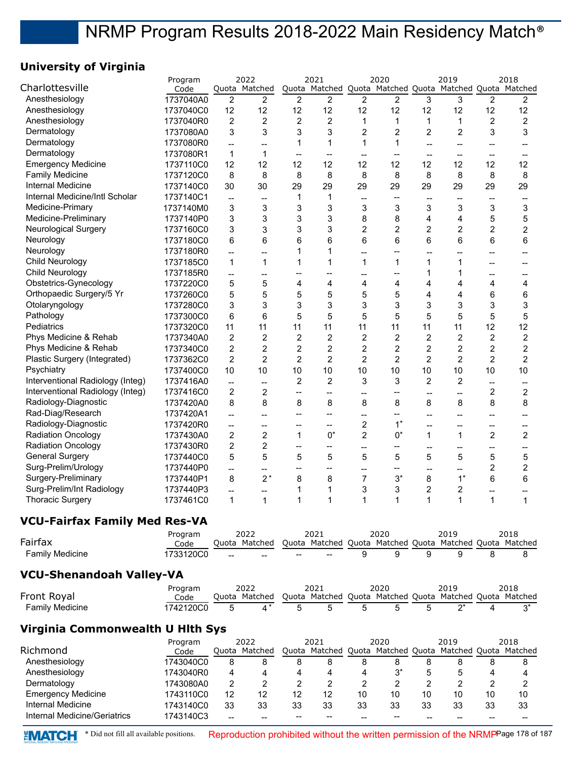## **University of Virginia**

|                                      | Program   |                          | 2022                     |                          | 2021                     |                | 2020                    |                          | 2019                                                            |                | 2018             |
|--------------------------------------|-----------|--------------------------|--------------------------|--------------------------|--------------------------|----------------|-------------------------|--------------------------|-----------------------------------------------------------------|----------------|------------------|
| Charlottesville                      | Code      |                          | Quota Matched            |                          |                          |                |                         |                          | Quota Matched Quota Matched Quota Matched Quota Matched         |                |                  |
| Anesthesiology                       | 1737040A0 | $\overline{2}$           | 2                        | $\overline{2}$           | $\overline{2}$           | $\overline{2}$ | $\overline{2}$          | 3                        | 3                                                               | $\overline{2}$ | $\overline{2}$   |
| Anesthesiology                       | 1737040C0 | 12                       | 12                       | 12                       | 12                       | 12             | 12                      | 12                       | 12                                                              | 12             | 12               |
| Anesthesiology                       | 1737040R0 | $\overline{c}$           | $\overline{2}$           | $\overline{c}$           | $\overline{2}$           | $\mathbf{1}$   | $\mathbf{1}$            | $\mathbf{1}$             | $\mathbf{1}$                                                    | $\overline{c}$ | $\overline{c}$   |
| Dermatology                          | 1737080A0 | 3                        | 3                        | 3                        | 3                        | $\overline{c}$ | $\overline{c}$          | $\overline{c}$           | $\overline{c}$                                                  | 3              | 3                |
| Dermatology                          | 1737080R0 | u.                       | Ξ.                       | 1                        | $\mathbf 1$              | $\mathbf 1$    | 1                       | $\overline{\phantom{a}}$ | $\overline{a}$                                                  | $\overline{a}$ |                  |
| Dermatology                          | 1737080R1 | $\mathbf{1}$             | $\mathbf{1}$             | $\overline{\phantom{a}}$ | $\overline{\phantom{a}}$ | $-$            | --                      | $\overline{\phantom{a}}$ | $\overline{\phantom{a}}$                                        | --             | $\overline{a}$   |
| <b>Emergency Medicine</b>            | 1737110C0 | 12                       | 12                       | 12                       | 12                       | 12             | 12                      | 12                       | 12                                                              | 12             | 12               |
| <b>Family Medicine</b>               | 1737120C0 | 8                        | 8                        | 8                        | 8                        | 8              | 8                       | 8                        | 8                                                               | 8              | 8                |
| Internal Medicine                    | 1737140C0 | 30                       | 30                       | 29                       | 29                       | 29             | 29                      | 29                       | 29                                                              | 29             | 29               |
| Internal Medicine/Intl Scholar       | 1737140C1 | $\overline{\phantom{a}}$ | $\overline{a}$           | 1                        | 1                        | $\overline{a}$ | --                      |                          | --                                                              | --             |                  |
| Medicine-Primary                     | 1737140M0 | 3                        | 3                        | 3                        | 3                        | 3              | 3                       | 3                        | 3                                                               | 3              | 3                |
| Medicine-Preliminary                 | 1737140P0 | 3                        | 3                        | 3                        | 3                        | 8              | 8                       | 4                        | 4                                                               | 5              | 5                |
| <b>Neurological Surgery</b>          | 1737160C0 | 3                        | 3                        | 3                        | 3                        | $\overline{c}$ | $\overline{c}$          | $\overline{c}$           | $\overline{c}$                                                  | $\overline{c}$ | $\overline{c}$   |
| Neurology                            | 1737180C0 | 6                        | 6                        | 6                        | 6                        | 6              | 6                       | $6\phantom{1}6$          | 6                                                               | 6              | 6                |
| Neurology                            | 1737180R0 | --                       | $\overline{a}$           | 1                        | $\mathbf 1$              | --             | --                      | --                       | --                                                              | --             | $-$              |
| Child Neurology                      | 1737185C0 | $\mathbf{1}$             | $\mathbf{1}$             | $\mathbf 1$              | $\mathbf 1$              | $\mathbf 1$    | $\mathbf{1}$            | 1                        | 1                                                               | --             | --               |
| Child Neurology                      | 1737185R0 | $\overline{\phantom{a}}$ | --                       | $\overline{\phantom{0}}$ | --                       | --             | --                      | 1                        | 1                                                               | --             | --               |
| Obstetrics-Gynecology                | 1737220C0 | 5                        | 5                        | $\overline{4}$           | 4                        | 4              | 4                       | 4                        | 4                                                               | 4              | 4                |
| Orthopaedic Surgery/5 Yr             | 1737260C0 | 5                        | 5                        | 5                        | 5                        | 5              | 5                       | 4                        | 4                                                               | 6              | 6                |
| Otolaryngology                       | 1737280C0 | 3                        | 3                        | 3                        | 3                        | 3              | 3                       | 3                        | 3                                                               | 3              | 3                |
| Pathology                            | 1737300C0 | 6                        | 6                        | 5                        | 5                        | 5              | 5                       | 5                        | 5                                                               | 5              | 5                |
| Pediatrics                           | 1737320C0 | 11                       | 11                       | 11                       | 11                       | 11             | 11                      | 11                       | 11                                                              | 12             | 12               |
| Phys Medicine & Rehab                | 1737340A0 | $\overline{c}$           | $\overline{2}$           | $\overline{c}$           | $\overline{c}$           | $\overline{c}$ | $\overline{c}$          | $\overline{c}$           | $\overline{c}$                                                  | $\overline{c}$ | $\overline{c}$   |
| Phys Medicine & Rehab                | 1737340C0 | $\overline{\mathbf{c}}$  | $\overline{c}$           | $\boldsymbol{2}$         | $\overline{c}$           | $\overline{c}$ | $\overline{\mathbf{c}}$ | $\overline{\mathbf{c}}$  | $\overline{c}$                                                  | $\overline{c}$ | $\boldsymbol{2}$ |
| Plastic Surgery (Integrated)         | 1737362C0 | $\overline{2}$           | $\overline{2}$           | $\overline{c}$           | $\overline{2}$           | $\overline{c}$ | $\overline{2}$          | $\overline{2}$           | $\overline{2}$                                                  | $\overline{2}$ | $\overline{2}$   |
| Psychiatry                           | 1737400C0 | 10                       | 10                       | 10                       | 10                       | 10             | 10                      | 10                       | 10                                                              | 10             | 10               |
| Interventional Radiology (Integ)     | 1737416A0 | $\overline{\phantom{a}}$ | $\overline{\phantom{a}}$ | $\overline{c}$           | $\overline{2}$           | 3              | 3                       | $\overline{2}$           | $\overline{2}$                                                  | $\overline{a}$ | $-$              |
| Interventional Radiology (Integ)     | 1737416C0 | $\overline{c}$           | $\overline{c}$           | --                       | --                       | --             | --                      | --                       | $\overline{\phantom{a}}$                                        | $\overline{c}$ | $\overline{c}$   |
| Radiology-Diagnostic                 | 1737420A0 | 8                        | 8                        | 8                        | 8                        | 8              | 8                       | 8                        | 8                                                               | 8              | 8                |
| Rad-Diag/Research                    | 1737420A1 | u.                       | Ξ.                       | --                       | --                       | --             | $-$                     | $\overline{\phantom{a}}$ | $\overline{a}$                                                  | $\overline{a}$ | --               |
| Radiology-Diagnostic                 | 1737420R0 | --                       | --                       | --                       | --                       | $\overline{2}$ | $1^*$                   | --                       | $\overline{\phantom{a}}$                                        | --             | --               |
| <b>Radiation Oncology</b>            | 1737430A0 | $\overline{c}$           | $\overline{2}$           | $\mathbf 1$              | $0^*$                    | $\overline{2}$ | $0^*$                   | $\mathbf{1}$             | $\mathbf 1$                                                     | $\overline{2}$ | $\overline{2}$   |
| <b>Radiation Oncology</b>            | 1737430R0 | $\overline{c}$           | $\overline{2}$           | --                       | --                       | --             | --                      | --                       | --                                                              | --             | --               |
| <b>General Surgery</b>               | 1737440C0 | 5                        | 5                        | 5                        | 5                        | 5              | 5                       | 5                        | 5                                                               | 5              | 5                |
| Surg-Prelim/Urology                  | 1737440P0 | --                       | --                       | --                       | --                       | --             | $-$                     | $\overline{\phantom{a}}$ | --                                                              | $\overline{c}$ | $\overline{c}$   |
| Surgery-Preliminary                  | 1737440P1 | 8                        | $2^*$                    | 8                        | 8                        | $\overline{7}$ | $3^{\star}$             | 8                        | $1^*$                                                           | 6              | 6                |
| Surg-Prelim/Int Radiology            | 1737440P3 | $\overline{a}$           | --                       | $\mathbf{1}$             | 1                        | 3              | 3                       | $\overline{c}$           | 2                                                               | --             | --               |
| <b>Thoracic Surgery</b>              | 1737461C0 | $\mathbf{1}$             | $\mathbf{1}$             | 1                        | $\mathbf{1}$             | $\mathbf 1$    | $\mathbf{1}$            | $\mathbf{1}$             | $\mathbf{1}$                                                    | $\mathbf{1}$   | $\mathbf{1}$     |
| <b>VCU-Fairfax Family Med Res-VA</b> |           |                          |                          |                          |                          |                |                         |                          |                                                                 |                |                  |
| Fairfax                              | Program   |                          | 2022<br>Quota Matched    |                          | 2021                     |                | 2020                    |                          | 2019<br>Quota Matched Quota Matched Quota Matched Quota Matched |                | 2018             |
|                                      | Code      |                          |                          |                          |                          |                |                         |                          |                                                                 |                |                  |

## **VCU-Shenandoah Valley-VA**

|                    | Program   |       |         |                                                         | 2020 | 2019 | 2018 |
|--------------------|-----------|-------|---------|---------------------------------------------------------|------|------|------|
| <b>Front Royal</b> | Code      | Juota | Matched | Ouota Matched Ouota Matched Ouota Matched Ouota Matched |      |      |      |
| Family Medicine    | `742120C0 |       |         |                                                         |      |      |      |

Family Medicine 1733120C0 -- -- -- 9 9 9 9 8 8

## **Virginia Commonwealth U Hlth Sys**

|                              | Program   | 2022  |         | 2021  |                             | 2020 |       | 2019 |               | 2018 |         |
|------------------------------|-----------|-------|---------|-------|-----------------------------|------|-------|------|---------------|------|---------|
| Richmond                     | Code      | Ouota | Matched | Ouota | Matched Quota Matched Quota |      |       |      | Matched Quota |      | Matched |
| Anesthesiology               | 1743040C0 | 8     |         |       | 8                           | 8    | 8     |      |               |      |         |
| Anesthesiology               | 1743040R0 | 4     |         |       | 4                           | 4    | $3^*$ |      |               |      |         |
| Dermatology                  | 1743080A0 | 2     |         |       |                             |      |       |      |               |      |         |
| <b>Emergency Medicine</b>    | 1743110C0 | 12    | 12      | 12    | 12                          | 10   | 10    | 10   | 10            | 10   | 10      |
| Internal Medicine            | 1743140C0 | 33    | 33      | 33    | 33                          | 33   | 33    | 33   | 33            | 33   | 33      |
| Internal Medicine/Geriatrics | 1743140C3 | --    |         |       |                             |      |       |      |               |      |         |

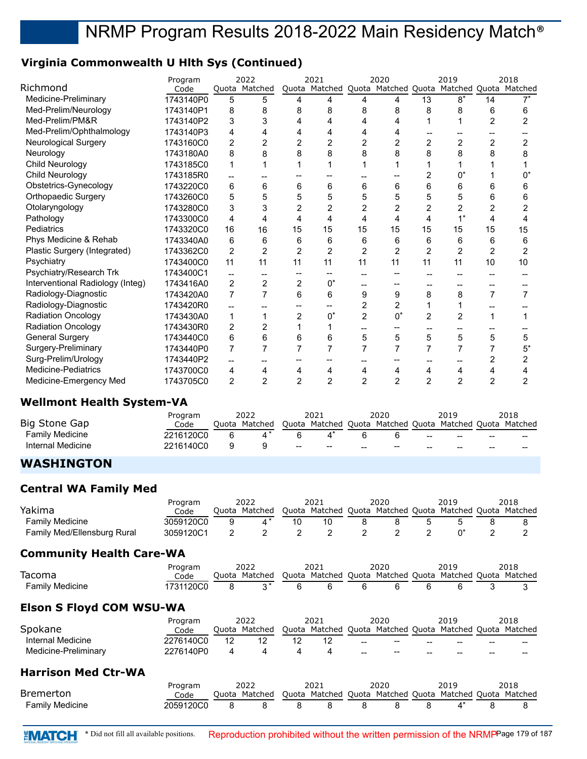## **Virginia Commonwealth U Hlth Sys (Continued)**

|                                  | Program   |                | 2022           |                | 2021                              |                | 2020  |                | 2019                  |                | 2018           |
|----------------------------------|-----------|----------------|----------------|----------------|-----------------------------------|----------------|-------|----------------|-----------------------|----------------|----------------|
| Richmond                         | Code      |                | Quota Matched  |                | Quota Matched Quota Matched Quota |                |       |                | Matched Quota Matched |                |                |
| Medicine-Preliminary             | 1743140P0 | 5              | 5              | 4              | 4                                 | 4              | 4     | 13             | $8*$                  | 14             |                |
| Med-Prelim/Neurology             | 1743140P1 | 8              | 8              | 8              | 8                                 | 8              | 8     | 8              | 8                     | 6              | 6              |
| Med-Prelim/PM&R                  | 1743140P2 | 3              | 3              | 4              | 4                                 |                | 4     |                |                       | $\overline{2}$ | 2              |
| Med-Prelim/Ophthalmology         | 1743140P3 | 4              | 4              | 4              | 4                                 |                |       |                |                       |                |                |
| <b>Neurological Surgery</b>      | 1743160C0 | $\overline{2}$ | $\overline{2}$ | 2              | 2                                 | 2              | 2     | $\overline{2}$ | $\overline{2}$        | $\overline{2}$ | 2              |
| Neurology                        | 1743180A0 | 8              | 8              | 8              | 8                                 | 8              | 8     | 8              | 8                     | 8              | 8              |
| Child Neurology                  | 1743185C0 | 1              |                |                |                                   |                |       |                |                       |                |                |
| Child Neurology                  | 1743185R0 |                |                |                |                                   |                |       |                | $0^*$                 |                | $^{\circ}$     |
| Obstetrics-Gynecology            | 1743220C0 | 6              | 6              | 6              | 6                                 | 6              | 6     | 6              | 6                     | 6              | 6              |
| Orthopaedic Surgery              | 1743260C0 | 5              | 5              | 5              | 5                                 | 5              | 5     | 5              | 5                     | 6              | 6              |
| Otolaryngology                   | 1743280C0 | 3              | 3              | 2              | 2                                 | 2              | 2     | $\overline{2}$ | 2                     | 2              | 2              |
| Pathology                        | 1743300C0 | 4              | 4              | 4              | 4                                 | 4              | 4     | 4              | $1^*$                 | 4              | 4              |
| Pediatrics                       | 1743320C0 | 16             | 16             | 15             | 15                                | 15             | 15    | 15             | 15                    | 15             | 15             |
| Phys Medicine & Rehab            | 1743340A0 | 6              | 6              | 6              | 6                                 | 6              | 6     | 6              | 6                     | 6              | 6              |
| Plastic Surgery (Integrated)     | 1743362C0 | $\overline{2}$ | $\overline{2}$ | $\overline{2}$ | $\overline{2}$                    | $\overline{2}$ | 2     | $\overline{2}$ | 2                     | $\overline{2}$ | $\overline{2}$ |
| Psychiatry                       | 1743400C0 | 11             | 11             | 11             | 11                                | 11             | 11    | 11             | 11                    | 10             | 10             |
| Psychiatry/Research Trk          | 1743400C1 | --             |                |                |                                   |                |       |                |                       |                |                |
| Interventional Radiology (Integ) | 1743416A0 | $\overline{2}$ | $\overline{2}$ | $\overline{2}$ | $0^*$                             |                |       |                |                       |                |                |
| Radiology-Diagnostic             | 1743420A0 | 7              | $\overline{7}$ | 6              | 6                                 | 9              | 9     | 8              | 8                     | 7              |                |
| Radiology-Diagnostic             | 1743420R0 |                |                |                |                                   | $\overline{2}$ | 2     |                |                       |                |                |
| <b>Radiation Oncology</b>        | 1743430A0 | 1              | 1              | 2              | $0^*$                             | $\overline{2}$ | $0^*$ | $\overline{2}$ | $\overline{2}$        |                |                |
| <b>Radiation Oncology</b>        | 1743430R0 | $\overline{2}$ | $\overline{2}$ |                |                                   |                |       |                |                       |                |                |
| <b>General Surgery</b>           | 1743440C0 | 6              | 6              | 6              | 6                                 | 5              | 5     | 5              | 5                     | 5              | 5              |
| Surgery-Preliminary              | 1743440P0 | 7              | 7              |                | 7                                 | 7              | 7     | 7              | 7                     |                | $5^*$          |
| Surg-Prelim/Urology              | 1743440P2 | --             |                |                |                                   |                |       |                |                       |                | 2              |
| <b>Medicine-Pediatrics</b>       | 1743700C0 | 4              | 4              | 4              | 4                                 | 4              | 4     | 4              | 4                     |                |                |
| Medicine-Emergency Med           | 1743705C0 | 2              | $\overline{2}$ | $\overline{2}$ | 2                                 | $\overline{2}$ | 2     | $\overline{2}$ | 2                     | $\overline{2}$ | 2              |

## **Wellmont Health System-VA**

|                        | Program   | 2022          |                   | 2021  |                          | 2020  |       | 2019  |       | 2018                                                    |
|------------------------|-----------|---------------|-------------------|-------|--------------------------|-------|-------|-------|-------|---------------------------------------------------------|
| Big Stone Gap          | Code      | Ouota Matched |                   |       |                          |       |       |       |       | Quota Matched Quota Matched Quota Matched Quota Matched |
| <b>Family Medicine</b> | 2216120C0 |               |                   |       |                          |       | --    | --    | $- -$ | $- -$                                                   |
| Internal Medicine      | 2216140C0 |               | $\hspace{0.05cm}$ | $- -$ | $\overline{\phantom{m}}$ | $- -$ | $- -$ | $- -$ | $- -$ | $- -$                                                   |

## **WASHINGTON**

## **Central WA Family Med**

|                             | Program   | 2022          |    | 2021                                                    | 2020 | 2019 | 2018 |
|-----------------------------|-----------|---------------|----|---------------------------------------------------------|------|------|------|
| Yakima                      | Code      | Quota Matched |    | Quota Matched Quota Matched Quota Matched Quota Matched |      |      |      |
| Family Medicine             | 3059120C0 |               | 10 |                                                         |      |      |      |
| Family Med/Ellensburg Rural | 3059120C1 |               |    |                                                         |      |      |      |

## **Community Health Care-WA**

|                        | Program    | 2022 |               | 2021 |  | 2020 |  | 2019 |                                                         | 2018 |
|------------------------|------------|------|---------------|------|--|------|--|------|---------------------------------------------------------|------|
| Tacoma                 | Code       |      | Ouota Matched |      |  |      |  |      | Quota Matched Quota Matched Quota Matched Quota Matched |      |
| <b>Family Medicine</b> | I731120C0- |      |               | 6    |  |      |  |      |                                                         |      |

## **Elson S Floyd COM WSU-WA**

| Spokane                    | Program<br>Code |      | 2022<br>Ouota Matched |    | 2021 |                | 2020 | 2019<br>Quota Matched Quota Matched Quota Matched Quota Matched | 2018 |
|----------------------------|-----------------|------|-----------------------|----|------|----------------|------|-----------------------------------------------------------------|------|
| Internal Medicine          | 2276140C0       | 12   | 12                    | 12 | 12   | --             |      |                                                                 |      |
| Medicine-Preliminary       | 2276140P0       | 4    |                       |    | 4    | $\overline{a}$ |      |                                                                 |      |
| <b>Harrison Med Ctr-WA</b> |                 |      |                       |    |      |                |      |                                                                 |      |
|                            | Program         | 2022 |                       |    | 2021 |                | 2020 | 2019                                                            | 2018 |
| <b>Bremerton</b>           | Code            |      | Ouota Matched         |    |      |                |      | Quota Matched Quota Matched Quota Matched Quota Matched         |      |
| <b>Family Medicine</b>     | 2059120C0       | 8    | 8                     | 8  | 8    | 8              | 8    | $\mathbf{A}^*$                                                  | 8    |

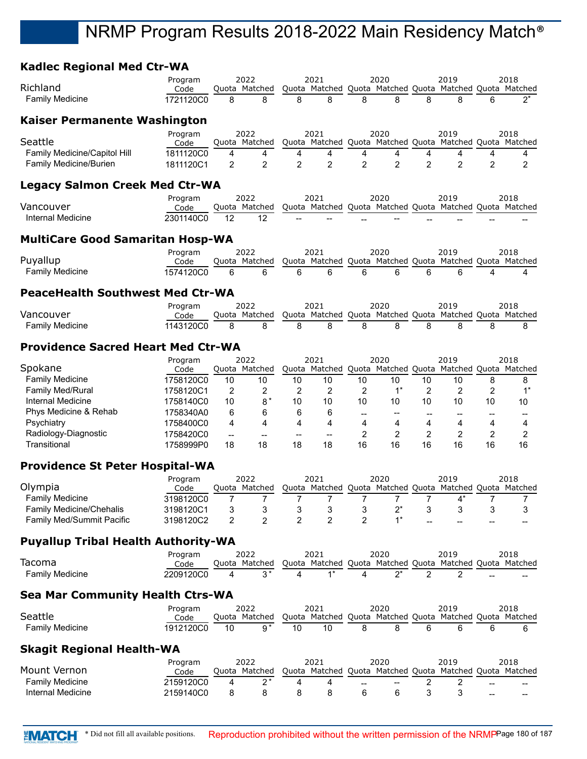## **Kadlec Regional Med Ctr-WA**

| Richland                                    | Program<br>Code        |                | 2022<br>Quota Matched    |                          | 2021<br>Quota Matched Quota Matched Quota Matched Quota Matched |                          | 2020           |                | 2019           |    | 2018                  |
|---------------------------------------------|------------------------|----------------|--------------------------|--------------------------|-----------------------------------------------------------------|--------------------------|----------------|----------------|----------------|----|-----------------------|
| <b>Family Medicine</b>                      | 1721120C0              | 8              | 8                        | 8                        | 8                                                               | 8                        | 8              | 8              | 8              | 6  | $2^*$                 |
| Kaiser Permanente Washington                |                        |                |                          |                          |                                                                 |                          |                |                |                |    |                       |
| Seattle                                     | Program<br>Code        |                | 2022<br>Quota Matched    |                          | 2021<br>Quota Matched Quota Matched Quota Matched Quota Matched |                          | 2020           |                | 2019           |    | 2018                  |
| Family Medicine/Capitol Hill                | 1811120C0              | 4              | 4                        | 4                        | 4                                                               | 4                        | 4              | 4              | 4              | 4  | 4                     |
| Family Medicine/Burien                      | 1811120C1              | $\overline{2}$ | $\overline{2}$           | $\overline{2}$           | $\overline{2}$                                                  | $\overline{2}$           | $\overline{2}$ | $\overline{c}$ | $\overline{2}$ | 2  | $\overline{2}$        |
| <b>Legacy Salmon Creek Med Ctr-WA</b>       |                        |                |                          |                          |                                                                 |                          |                |                |                |    |                       |
|                                             | Program                |                | 2022                     |                          | 2021                                                            |                          | 2020           |                | 2019           |    | 2018                  |
| Vancouver<br>Internal Medicine              | Code<br>2301140C0      | 12             | Quota Matched<br>12      |                          | Quota Matched Quota Matched Quota Matched Quota Matched         |                          |                |                |                |    |                       |
|                                             |                        |                |                          |                          |                                                                 |                          |                |                |                |    |                       |
| <b>MultiCare Good Samaritan Hosp-WA</b>     |                        |                | 2022                     |                          | 2021                                                            |                          | 2020           |                | 2019           |    | 2018                  |
| Puyallup                                    | Program<br>Code        |                | Quota Matched            |                          | Quota Matched Quota Matched Quota Matched Quota Matched         |                          |                |                |                |    |                       |
| <b>Family Medicine</b>                      | 1574120C0              | 6              | 6                        | 6                        | 6                                                               | 6                        | 6              | 6              | 6              | 4  | 4                     |
| <b>PeaceHealth Southwest Med Ctr-WA</b>     |                        |                |                          |                          |                                                                 |                          |                |                |                |    |                       |
|                                             | Program                |                | 2022                     |                          | 2021                                                            |                          | 2020           |                | 2019           |    | 2018                  |
| Vancouver<br><b>Family Medicine</b>         | Code<br>1143120C0      | 8              | Quota Matched<br>8       | 8                        | Quota Matched Quota Matched Quota Matched Quota Matched<br>8    | 8                        | 8              | 8              | 8              | 8  | 8                     |
|                                             |                        |                |                          |                          |                                                                 |                          |                |                |                |    |                       |
| <b>Providence Sacred Heart Med Ctr-WA</b>   |                        |                | 2022                     |                          | 2021                                                            |                          | 2020           |                | 2019           |    | 2018                  |
| Spokane                                     | Program<br>Code        |                | Quota Matched            |                          | Quota Matched Quota Matched Quota                               |                          |                |                |                |    | Matched Quota Matched |
| <b>Family Medicine</b>                      | 1758120C0              | 10             | 10                       | 10                       | 10                                                              | 10                       | 10             | 10             | 10             | 8  | 8                     |
| <b>Family Med/Rural</b>                     | 1758120C1              | 2              | 2                        | 2                        | 2                                                               | $\overline{2}$           | $1^*$          | 2              | 2              | 2  | $1^*$                 |
| Internal Medicine                           | 1758140C0              | 10             | $8*$                     | 10                       | 10                                                              | 10                       | 10             | 10             | 10             | 10 | 10                    |
| Phys Medicine & Rehab                       | 1758340A0              | 6              | 6                        | 6                        | 6                                                               | $\overline{\phantom{a}}$ | --             |                |                |    |                       |
| Psychiatry                                  | 1758400C0              | 4              | 4                        | 4                        | 4                                                               | 4                        | 4              | 4              | 4              | 4  | 4                     |
| Radiology-Diagnostic                        | 1758420C0              | $-$            | $\overline{\phantom{a}}$ | $\overline{\phantom{a}}$ | $\overline{a}$                                                  | $\overline{2}$           | $\overline{2}$ | $\overline{2}$ | $\overline{2}$ | 2  | $\overline{2}$        |
| Transitional                                | 1758999P0              | 18             | 18                       | 18                       | 18                                                              | 16                       | 16             | 16             | 16             | 16 | 16                    |
| <b>Providence St Peter Hospital-WA</b>      |                        |                |                          |                          |                                                                 |                          |                |                |                |    |                       |
| Olympia                                     | Program                |                | 2022<br>Quota Matched    |                          | 2021<br>Quota Matched Quota Matched Quota Matched Quota Matched |                          | 2020           |                | 2019           |    | 2018                  |
| <b>Family Medicine</b>                      | Code<br>3198120C0      | 7              | 7                        | 7                        | 7                                                               | 7                        | 7              | 7              | $4^*$          | 7  | 7                     |
| <b>Family Medicine/Chehalis</b>             | 3198120C1              | 3              | 3                        | 3                        | 3                                                               | 3                        | $2^*$          | 3              | 3              | 3  | 3                     |
| Family Med/Summit Pacific                   | 3198120C2              | 2              | $\overline{2}$           | $\overline{2}$           | $\overline{2}$                                                  | $\overline{2}$           | $1^*$          |                |                |    |                       |
| <b>Puyallup Tribal Health Authority-WA</b>  |                        |                |                          |                          |                                                                 |                          |                |                |                |    |                       |
|                                             | Program                |                | 2022                     |                          | 2021                                                            |                          | 2020           |                | 2019           |    | 2018                  |
| Tacoma                                      | Code                   |                | Quota Matched            |                          | Quota Matched Quota Matched Quota Matched Quota Matched         |                          |                |                |                |    |                       |
| <b>Family Medicine</b>                      | 2209120C0              | 4              | $3^*$                    | 4                        | $1^*$                                                           | 4                        | $2^*$          | $\mathfrak{p}$ | 2              |    |                       |
| <b>Sea Mar Community Health Ctrs-WA</b>     |                        |                |                          |                          |                                                                 |                          |                |                |                |    |                       |
| Seattle                                     | Program<br>Code        |                | 2022<br>Quota Matched    |                          | 2021<br>Quota Matched Quota Matched Quota Matched Quota Matched |                          | 2020           |                | 2019           |    | 2018                  |
| <b>Family Medicine</b>                      | 1912120C0              | 10             | $9*$                     | 10                       | 10                                                              | 8                        | 8              | 6              | 6              | 6  | 6                     |
| <b>Skagit Regional Health-WA</b>            |                        |                |                          |                          |                                                                 |                          |                |                |                |    |                       |
|                                             | Program                |                | 2022                     |                          | 2021                                                            |                          | 2020           |                | 2019           |    | 2018                  |
| Mount Vernon                                | Code                   |                | Quota Matched            |                          | Quota Matched Quota Matched Quota Matched Quota Matched         |                          |                |                |                |    |                       |
| <b>Family Medicine</b><br>Internal Medicine | 2159120C0<br>2159140C0 | 4<br>8         | $2^*$<br>8               | 4<br>8                   | 4<br>8                                                          | 6                        | 6              | 2<br>3         | 2<br>3         |    |                       |
|                                             |                        |                |                          |                          |                                                                 |                          |                |                |                |    |                       |

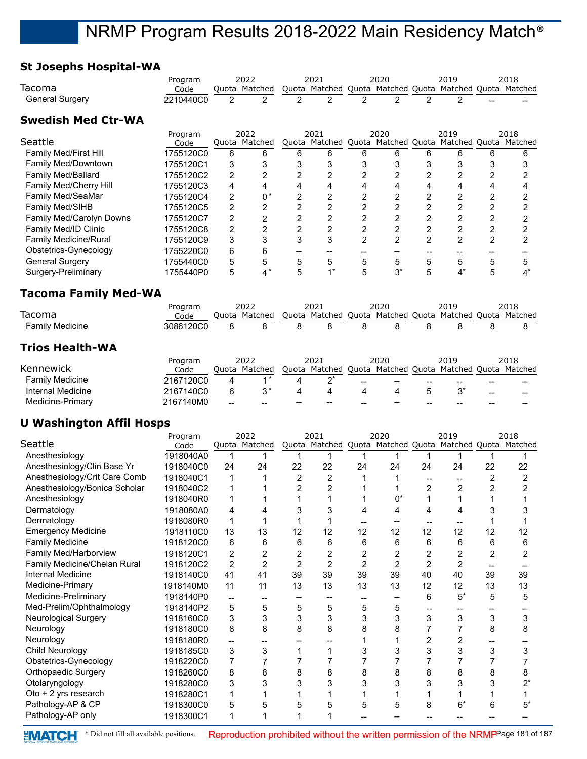### **St Josephs Hospital-WA**

| St Josepns Hospitai-WA          |           |                |                |                |                |                          |                |                |                                                         |                          |                |
|---------------------------------|-----------|----------------|----------------|----------------|----------------|--------------------------|----------------|----------------|---------------------------------------------------------|--------------------------|----------------|
|                                 | Program   |                | 2022           |                | 2021           |                          | 2020           |                | 2019                                                    |                          | 2018           |
| Tacoma                          | Code      |                | Quota Matched  |                |                |                          |                |                | Quota Matched Quota Matched Quota Matched Quota Matched |                          |                |
| <b>General Surgery</b>          | 2210440C0 | $\overline{2}$ | $\overline{2}$ | $\overline{2}$ | $\overline{2}$ | $\mathcal{P}$            | $\overline{2}$ | $\overline{2}$ | $\overline{2}$                                          |                          |                |
| <b>Swedish Med Ctr-WA</b>       |           |                |                |                |                |                          |                |                |                                                         |                          |                |
|                                 | Program   |                | 2022           |                | 2021           |                          | 2020           |                | 2019                                                    |                          | 2018           |
| Seattle                         | Code      |                | Quota Matched  |                | Quota Matched  |                          |                |                | Quota Matched Quota Matched Quota                       |                          | Matched        |
| <b>Family Med/First Hill</b>    | 1755120C0 | 6              | 6              | 6              | 6              | 6                        | 6              | 6              | 6                                                       | 6                        | 6              |
| Family Med/Downtown             | 1755120C1 | 3              | 3              | 3              | 3              | 3                        | 3              | 3              | 3                                                       | 3                        | 3              |
| Family Med/Ballard              | 1755120C2 | $\overline{2}$ | $\overline{2}$ | 2              | $\overline{c}$ | $\overline{c}$           | $\overline{2}$ | $\overline{2}$ | $\overline{2}$                                          | $\overline{2}$           | 2              |
| Family Med/Cherry Hill          | 1755120C3 | 4              | 4              | 4              | 4              | 4                        | 4              | 4              | 4                                                       | 4                        | 4              |
| Family Med/SeaMar               | 1755120C4 | $\overline{2}$ | $0*$           | 2              | $\overline{2}$ | $\overline{c}$           | $\overline{c}$ | $\overline{2}$ | $\overline{2}$                                          | $\overline{2}$           | 2              |
| Family Med/SIHB                 | 1755120C5 | $\overline{2}$ | $\overline{2}$ | $\overline{c}$ | $\overline{2}$ | $\overline{2}$           | $\overline{2}$ | $\overline{2}$ | $\overline{2}$                                          | $\overline{2}$           | 2              |
| Family Med/Carolyn Downs        | 1755120C7 | $\overline{2}$ | 2              | $\overline{c}$ | $\overline{2}$ | $\overline{c}$           | $\overline{c}$ | $\overline{c}$ | $\overline{c}$                                          | $\overline{c}$           | 2              |
| Family Med/ID Clinic            | 1755120C8 | $\overline{2}$ | $\overline{2}$ | $\overline{c}$ | $\overline{2}$ | $\overline{2}$           | $\overline{c}$ | $\overline{2}$ | $\overline{2}$                                          | $\overline{2}$           | $\overline{c}$ |
| <b>Family Medicine/Rural</b>    | 1755120C9 | 3              | 3              | 3              | 3              | $\overline{2}$           | $\overline{2}$ | $\overline{2}$ | $\overline{2}$                                          | $\overline{2}$           | $\overline{2}$ |
| Obstetrics-Gynecology           | 1755220C0 | 6              | 6              | $\overline{a}$ | $-$            | $\overline{\phantom{a}}$ | --             | --             | --                                                      | $\overline{\phantom{m}}$ | $- -$          |
| <b>General Surgery</b>          | 1755440C0 | 5              | 5              | 5              | 5              | 5                        | 5              | 5              | 5                                                       | 5                        | 5              |
| Surgery-Preliminary             | 1755440P0 | 5              | $4^*$          | 5              | $1^*$          | 5                        | $3^*$          | 5              | $4^*$                                                   | 5                        | $4^*$          |
| Tacoma Family Med-WA            |           |                |                |                |                |                          |                |                |                                                         |                          |                |
|                                 | Program   |                | 2022           |                | 2021           |                          | 2020           |                | 2019                                                    |                          | 2018           |
| Tacoma                          | Code      |                | Quota Matched  |                |                |                          |                |                | Quota Matched Quota Matched Quota Matched Quota Matched |                          |                |
| <b>Family Medicine</b>          | 3086120C0 | 8              | 8              | 8              | 8              | 8                        | 8              | 8              | 8                                                       | 8                        | 8              |
| <b>Trios Health-WA</b>          |           |                |                |                |                |                          |                |                |                                                         |                          |                |
|                                 | Program   |                | 2022           |                | 2021           |                          | 2020           |                | 2019                                                    |                          | 2018           |
| Kennewick                       | Code      |                | Quota Matched  |                |                |                          |                |                | Quota Matched Quota Matched Quota Matched Quota Matched |                          |                |
| <b>Family Medicine</b>          | 2167120C0 | 4              | $1^*$          | $\overline{4}$ | $2^*$          |                          | $\overline{a}$ | --             | --                                                      | $-$                      |                |
| Internal Medicine               | 2167140C0 | 6              | $3^*$          | 4              | 4              | 4                        | 4              | 5              | $3^*$                                                   | $\overline{a}$           |                |
| Medicine-Primary                | 2167140M0 |                |                |                |                |                          |                |                |                                                         |                          |                |
| <b>U Washington Affil Hosps</b> |           |                |                |                |                |                          |                |                |                                                         |                          |                |
|                                 | Program   |                | 2022           |                | 2021           |                          | 2020           |                | 2019                                                    |                          | 2018           |
| Seattle                         | Code      |                | Quota Matched  |                |                |                          |                |                | Quota Matched Quota Matched Quota Matched Quota Matched |                          |                |
| Anesthesiology                  | 1918040A0 | 1              | 1              | 1              | 1              | 1                        | 1              | 1              | 1                                                       | 1                        | 1              |

|                               | 11091a111 |    | ZUZZ           |                |                |    |                |    |                                                         |    |    |
|-------------------------------|-----------|----|----------------|----------------|----------------|----|----------------|----|---------------------------------------------------------|----|----|
| Seattle                       | Code      |    | Quota Matched  |                |                |    |                |    | Quota Matched Quota Matched Quota Matched Quota Matched |    |    |
| Anesthesiology                | 1918040A0 |    |                |                |                |    |                |    |                                                         |    |    |
| Anesthesiology/Clin Base Yr   | 1918040C0 | 24 | 24             | 22             | 22             | 24 | 24             | 24 | 24                                                      | 22 | 22 |
| Anesthesiology/Crit Care Comb | 1918040C1 |    |                | 2              | $\overline{c}$ |    |                |    |                                                         |    |    |
| Anesthesiology/Bonica Scholar | 1918040C2 |    |                |                |                |    |                |    |                                                         | 2  |    |
| Anesthesiology                | 1918040R0 |    |                |                |                |    | U <sub>*</sub> |    |                                                         |    |    |
| Dermatology                   | 1918080A0 |    |                | 3              | 3              |    |                | 4  |                                                         | 3  |    |
| Dermatology                   | 1918080R0 |    |                |                |                |    |                |    |                                                         |    |    |
| <b>Emergency Medicine</b>     | 1918110C0 | 13 | 13             | 12             | 12             | 12 | 12             | 12 | 12                                                      | 12 | 12 |
| <b>Family Medicine</b>        | 1918120C0 | 6  | 6              | 6              | 6              | 6  | 6              | 6  | 6                                                       | 6  | 6  |
| Family Med/Harborview         | 1918120C1 | 2  | 2              |                |                |    |                |    |                                                         |    |    |
| Family Medicine/Chelan Rural  | 1918120C2 | 2  | $\overline{2}$ | $\overline{2}$ | $\overline{2}$ |    | 2              | 2  | 2                                                       |    |    |
| Internal Medicine             | 1918140C0 | 41 | 41             | 39             | 39             | 39 | 39             | 40 | 40                                                      | 39 | 39 |
| Medicine-Primary              | 1918140M0 | 11 | 11             | 13             | 13             | 13 | 13             | 12 | 12                                                      | 13 | 13 |
| Medicine-Preliminary          | 1918140P0 |    |                |                |                |    |                | 6  | $5^*$                                                   | 5  | 5  |
| Med-Prelim/Ophthalmology      | 1918140P2 | 5  | 5              | 5              | 5              | 5  | 5              |    |                                                         |    |    |
| Neurological Surgery          | 1918160C0 | 3  | 3              | 3              | 3              |    |                | 3  | 3                                                       | 3  | 3  |
| Neurology                     | 1918180C0 | 8  | 8              | 8              | 8              |    |                |    |                                                         | 8  | 8  |
| Neurology                     | 1918180R0 |    |                |                |                |    |                | 2  |                                                         |    |    |
| <b>Child Neurology</b>        | 1918185C0 | 3  | 3              |                |                |    |                | 3  |                                                         | 3  | 3  |
| Obstetrics-Gynecology         | 1918220C0 |    |                |                |                |    |                |    |                                                         |    |    |
| Orthopaedic Surgery           | 1918260C0 | 8  | 8              | 8              | 8              | 8  |                | 8  | 8                                                       | 8  | 8  |
| Otolaryngology                | 1918280C0 | 3  | 3              |                | 3              |    |                |    |                                                         |    |    |
| Oto + 2 yrs research          | 1918280C1 |    |                |                |                |    |                |    |                                                         |    |    |
| Pathology-AP & CP             | 1918300C0 | 5  | 5              |                | 5              | 5  | 5              | 8  | $6*$                                                    | 6  | 5* |
| Pathology-AP only             | 1918300C1 |    |                |                |                |    |                |    |                                                         |    |    |
|                               |           |    |                |                |                |    |                |    |                                                         |    |    |

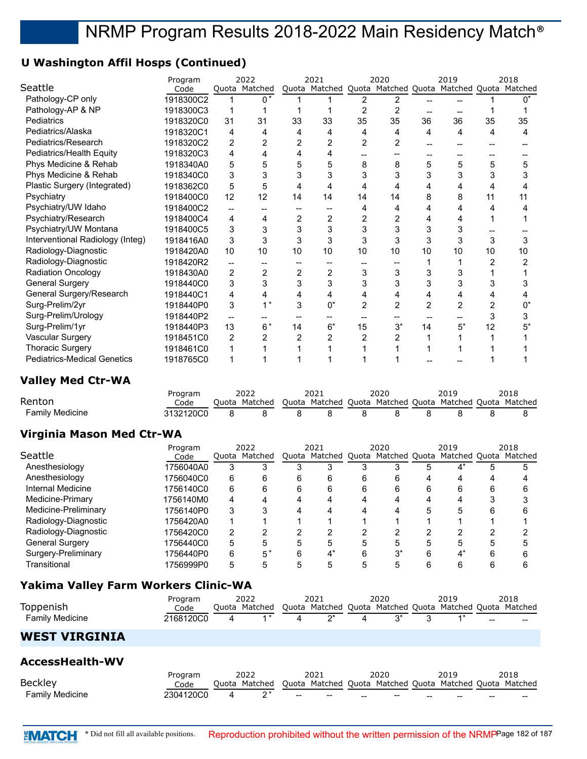# **U Washington Affil Hosps (Continued)**

|                                    | Program   |                | 2022           |                | 2021                                                    |                | 2020  |                | 2019  |    | 2018           |
|------------------------------------|-----------|----------------|----------------|----------------|---------------------------------------------------------|----------------|-------|----------------|-------|----|----------------|
| Seattle                            | Code      |                | Quota Matched  |                | Quota Matched Quota Matched Quota Matched Quota Matched |                |       |                |       |    |                |
| Pathology-CP only                  | 1918300C2 |                | $0^*$          |                |                                                         | 2              | 2     |                |       |    | U <sub>*</sub> |
| Pathology-AP & NP                  | 1918300C3 |                |                |                |                                                         |                |       |                |       |    |                |
| Pediatrics                         | 1918320C0 | 31             | 31             | 33             | 33                                                      | 35             | 35    | 36             | 36    | 35 | 35             |
| Pediatrics/Alaska                  | 1918320C1 | 4              | 4              | 4              | 4                                                       | 4              | 4     | 4              | 4     | 4  | 4              |
| Pediatrics/Research                | 1918320C2 | 2              | 2              | 2              | 2                                                       | $\overline{2}$ | 2     |                |       |    |                |
| Pediatrics/Health Equity           | 1918320C3 | 4              | 4              |                | 4                                                       |                |       |                |       |    |                |
| Phys Medicine & Rehab              | 1918340A0 | 5              | 5              | 5              | 5                                                       | 8              | 8     | 5              | 5     | 5  | 5              |
| Phys Medicine & Rehab              | 1918340C0 | 3              | 3              |                | 3                                                       |                | 3     | 3              |       |    |                |
| Plastic Surgery (Integrated)       | 1918362C0 | 5              | 5              |                | 4                                                       | 4              | 4     |                |       |    |                |
| Psychiatry                         | 1918400C0 | 12             | 12             | 14             | 14                                                      | 14             | 14    | 8              | 8     | 11 | 11             |
| Psychiatry/UW Idaho                | 1918400C2 | --             |                |                |                                                         | 4              | 4     |                |       |    |                |
| Psychiatry/Research                | 1918400C4 | 4              | 4              | 2              | $\overline{2}$                                          | 2              | 2     | 4              |       |    |                |
| Psychiatry/UW Montana              | 1918400C5 | 3              | 3              | 3              | 3                                                       | 3              | 3     | 3              |       |    |                |
| Interventional Radiology (Integ)   | 1918416A0 | 3              | 3              | 3              | 3                                                       | 3              | 3     | 3              | 3     | 3  | 3              |
| Radiology-Diagnostic               | 1918420A0 | 10             | 10             | 10             | 10                                                      | 10             | 10    | 10             | 10    | 10 | 10             |
| Radiology-Diagnostic               | 1918420R2 | --             |                |                |                                                         |                |       |                |       |    |                |
| <b>Radiation Oncology</b>          | 1918430A0 | 2              | $\overline{2}$ | $\overline{2}$ | 2                                                       | 3              | 3     | 3              |       |    |                |
| <b>General Surgery</b>             | 1918440C0 | 3              | 3              | 3              | 3                                                       | 3              | 3     | 3              |       |    |                |
| General Surgery/Research           | 1918440C1 | 4              |                |                | 4                                                       | 4              | 4     | 4              |       |    |                |
| Surg-Prelim/2yr                    | 1918440P0 | 3              | $1*$           | 3              | $0^*$                                                   | $\overline{2}$ | 2     | $\overline{2}$ | 2     |    | በ*             |
| Surg-Prelim/Urology                | 1918440P2 |                |                |                |                                                         |                |       |                |       |    | 3              |
| Surg-Prelim/1yr                    | 1918440P3 | 13             | $6*$           | 14             | $6*$                                                    | 15             | $3^*$ | 14             | $5^*$ | 12 |                |
| Vascular Surgery                   | 1918451C0 | $\overline{2}$ | 2              | 2              | 2                                                       |                | 2     |                |       |    |                |
| <b>Thoracic Surgery</b>            | 1918461C0 | 1              |                |                |                                                         |                |       |                |       |    |                |
| <b>Pediatrics-Medical Genetics</b> | 1918765C0 | 1              |                |                |                                                         |                |       |                |       |    |                |

#### **Valley Med Ctr-WA**

|                        | Program   | 2022          | 2021                                                    | 2020 | 2019 | 2018 |
|------------------------|-----------|---------------|---------------------------------------------------------|------|------|------|
| Renton                 | Code      | Ouota Matched | Quota Matched Quota Matched Quota Matched Quota Matched |      |      |      |
| <b>Family Medicine</b> | 3132120C0 |               |                                                         |      |      |      |

#### **Virginia Mason Med Ctr-WA**

|                        | Program   |   | 2022          |   | 2021                                                    |   | 2020 |   | 2019  |   | 2018 |
|------------------------|-----------|---|---------------|---|---------------------------------------------------------|---|------|---|-------|---|------|
| Seattle                | Code      |   | Ouota Matched |   | Quota Matched Quota Matched Quota Matched Quota Matched |   |      |   |       |   |      |
| Anesthesiology         | 1756040A0 | 3 |               |   |                                                         |   |      |   |       |   |      |
| Anesthesiology         | 1756040C0 | 6 | 6             | 6 | 6                                                       | 6 |      | 4 | 4     |   |      |
| Internal Medicine      | 1756140C0 | 6 | 6             | 6 | 6                                                       | 6 | 6    | 6 | 6     | 6 |      |
| Medicine-Primary       | 1756140M0 | 4 |               | 4 |                                                         |   |      |   | 4     |   |      |
| Medicine-Preliminary   | 1756140P0 | 3 |               |   |                                                         |   |      |   |       | h |      |
| Radiology-Diagnostic   | 1756420A0 |   |               |   |                                                         |   |      |   |       |   |      |
| Radiology-Diagnostic   | 1756420C0 | 2 |               | ົ | ◠                                                       | ◠ | ◠    |   | n     |   |      |
| <b>General Surgery</b> | 1756440C0 | 5 |               |   | 5                                                       |   | 5    | 5 | 5     |   |      |
| Surgery-Preliminary    | 1756440P0 | 6 |               | 6 | 4                                                       | ี | ^2   |   | $4^*$ |   |      |
| Transitional           | 1756999P0 | 5 |               |   |                                                         |   |      |   |       |   |      |

#### **Yakima Valley Farm Workers Clinic-WA**

|                 | Program               | 2022          | 2021 | 2020 | 2019 |        | 2018                                                    |
|-----------------|-----------------------|---------------|------|------|------|--------|---------------------------------------------------------|
| Toppenish       | Code                  | Ouota Matched |      |      |      |        | Quota Matched Quota Matched Quota Matched Quota Matched |
| Family Medicine | <sup>2</sup> 168120C0 |               |      |      |      | $\sim$ | $\overline{\phantom{a}}$                                |

#### **WEST VIRGINIA**

#### **AccessHealth-WV**

|                 | Program   | 2022                                                                  |                          | 2021                     |     | 2020                                           |    | 2019 |    | 2018  |
|-----------------|-----------|-----------------------------------------------------------------------|--------------------------|--------------------------|-----|------------------------------------------------|----|------|----|-------|
| <b>Beckley</b>  | Code      | Quota Matched Quota Matched Quota Matched Quota Matched Quota Matched |                          |                          |     |                                                |    |      |    |       |
| Family Medicine | 2304120C0 |                                                                       | $\overline{\phantom{a}}$ | $\overline{\phantom{a}}$ | $-$ | $\hspace{0.1mm}-\hspace{0.1mm}-\hspace{0.1mm}$ | -- | --   | -- | $- -$ |

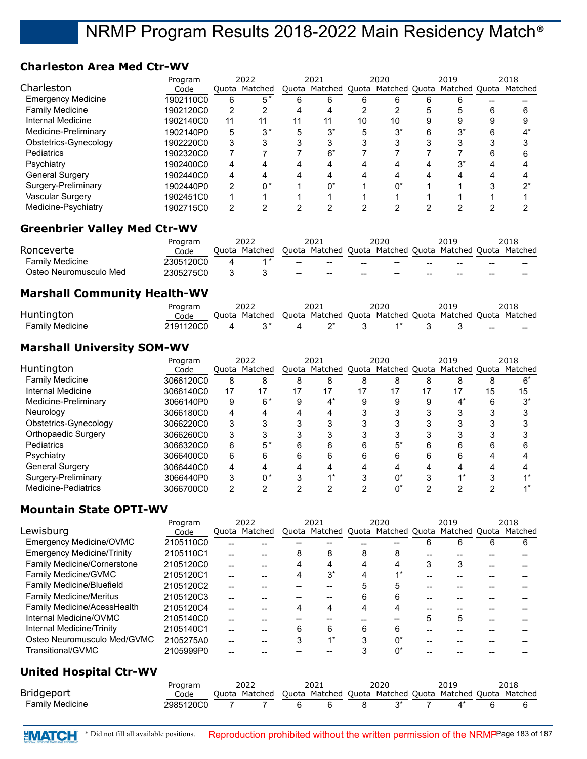### **Charleston Area Med Ctr-WV**

|                           | Program   | 2022 |               |    | 2021                                                    |    | 2020  |   | 2019  |   | 2018 |
|---------------------------|-----------|------|---------------|----|---------------------------------------------------------|----|-------|---|-------|---|------|
| Charleston                | Code      |      | Quota Matched |    | Quota Matched Quota Matched Quota Matched Quota Matched |    |       |   |       |   |      |
| <b>Emergency Medicine</b> | 1902110C0 | 6    | $5*$          | 6  | 6                                                       |    |       |   |       |   |      |
| <b>Family Medicine</b>    | 1902120C0 | 2    |               |    | 4                                                       | າ  |       |   |       | 6 |      |
| Internal Medicine         | 1902140C0 | 11   |               | 11 | 11                                                      | 10 | 10    | 9 | 9     |   |      |
| Medicine-Preliminary      | 1902140P0 | 5    | $3^*$         | 5  | 3'                                                      | 5  | $3^*$ | 6 | $3^*$ |   |      |
| Obstetrics-Gynecology     | 1902220C0 | 3    |               |    |                                                         |    |       |   | ◠     |   |      |
| <b>Pediatrics</b>         | 1902320C0 |      |               |    | $6*$                                                    |    |       |   |       |   |      |
| Psychiatry                | 1902400C0 | 4    |               |    | Δ                                                       |    |       |   | $3^*$ |   |      |
| <b>General Surgery</b>    | 1902440C0 | 4    |               |    | Δ                                                       |    |       | Δ | Δ     |   |      |
| Surgery-Preliminary       | 1902440P0 | 2    | ∩*            |    | U,                                                      |    | U,    |   |       |   |      |
| Vascular Surgery          | 1902451C0 |      |               |    |                                                         |    |       |   |       |   |      |
| Medicine-Psychiatry       | 1902715C0 | 2    |               |    |                                                         |    |       |   |       |   |      |

#### **Greenbrier Valley Med Ctr-WV**

|                        | Program   | 2022          |                                                | 2021                                                    |       | 2020                     |    | 2019  |       | 2018  |
|------------------------|-----------|---------------|------------------------------------------------|---------------------------------------------------------|-------|--------------------------|----|-------|-------|-------|
| Ronceverte             | Code      | Ouota Matched |                                                | Quota Matched Quota Matched Quota Matched Quota Matched |       |                          |    |       |       |       |
| Family Medicine        | 2305120C0 |               | $\overline{\phantom{a}}$                       | $-$                                                     | $- -$ | $\overline{\phantom{a}}$ | -- | --    | --    | $- -$ |
| Osteo Neuromusculo Med | 2305275C0 |               | $\hspace{0.1mm}-\hspace{0.1mm}-\hspace{0.1mm}$ | $-$                                                     | $- -$ | $\overline{\phantom{a}}$ | -- | $- -$ | $- -$ | $- -$ |

#### **Marshall Community Health-WV**

|                        | Program   | 2022          | 2021                                                    | 2020 | 2019 |       | 2018  |
|------------------------|-----------|---------------|---------------------------------------------------------|------|------|-------|-------|
| Huntington             | Code      | Ouota Matched | Ouota Matched Ouota Matched Ouota Matched Ouota Matched |      |      |       |       |
| <b>Family Medicine</b> | 2191120C0 |               |                                                         |      |      | $- -$ | $- -$ |

#### **Marshall University SOM-WV**

| Program                |           | 2022 |               | 2021 |                                                         | 2020 |    |   | 2019  |    | 2018 |
|------------------------|-----------|------|---------------|------|---------------------------------------------------------|------|----|---|-------|----|------|
| Huntington             | Code      |      | Ouota Matched |      | Quota Matched Quota Matched Quota Matched Quota Matched |      |    |   |       |    |      |
| <b>Family Medicine</b> | 3066120C0 | 8    |               |      |                                                         |      | 8  |   |       |    |      |
| Internal Medicine      | 3066140C0 | 17   |               | 17   | 17                                                      | 17   | 17 |   | 17    | 15 | 15   |
| Medicine-Preliminary   | 3066140P0 | 9    | 6*            | 9    | $4^*$                                                   | 9    | 9  |   | $4^*$ | 6  | ∽∗   |
| Neurology              | 3066180C0 | 4    |               | 4    | Δ                                                       |      |    |   |       |    |      |
| Obstetrics-Gynecology  | 3066220C0 | 3    |               |      |                                                         |      |    |   |       |    |      |
| Orthopaedic Surgery    | 3066260C0 | 3    |               |      |                                                         |      |    |   |       |    |      |
| <b>Pediatrics</b>      | 3066320C0 | 6    |               | 6    | 6                                                       | 6    | 5* | ี | 6     | 6  |      |
| Psychiatry             | 3066400C0 | 6    | 6             | 6    | 6                                                       | 6    | 6  | 6 | 6     |    |      |
| <b>General Surgery</b> | 3066440C0 | 4    |               | Δ    | Δ                                                       |      | 4  |   |       |    |      |
| Surgery-Preliminary    | 3066440P0 | 3    |               |      |                                                         |      | 0* | ົ |       |    |      |
| Medicine-Pediatrics    | 3066700C0 | 2    |               |      |                                                         |      |    |   |       |    |      |

#### **Mountain State OPTI-WV**

|                                    | Program   |       | 2022          |   | 2021                              |   | 2020  |   | 2019 |   | 2018                  |
|------------------------------------|-----------|-------|---------------|---|-----------------------------------|---|-------|---|------|---|-----------------------|
| Lewisburg                          | Code      |       | Quota Matched |   | Quota Matched Quota Matched Quota |   |       |   |      |   | Matched Ouota Matched |
| Emergency Medicine/OVMC            | 2105110C0 |       |               |   |                                   |   |       | 6 | 6    | 6 | 6                     |
| <b>Emergency Medicine/Trinity</b>  | 2105110C1 | $- -$ |               | 8 | 8                                 | 8 | 8     |   |      |   |                       |
| <b>Family Medicine/Cornerstone</b> | 2105120C0 | $- -$ |               | 4 | 4                                 | 4 | 4     | 3 | 3    |   |                       |
| <b>Family Medicine/GVMC</b>        | 2105120C1 | $- -$ |               | 4 | $3^*$                             | 4 | $1*$  |   |      |   |                       |
| <b>Family Medicine/Bluefield</b>   | 2105120C2 | $-$   |               |   |                                   | 5 | 5     |   |      |   |                       |
| <b>Family Medicine/Meritus</b>     | 2105120C3 |       |               |   |                                   | 6 | 6     |   |      |   |                       |
| Family Medicine/AcessHealth        | 2105120C4 |       |               | 4 | 4                                 | 4 | 4     |   |      |   |                       |
| Internal Medicine/OVMC             | 2105140C0 |       |               |   |                                   |   |       | 5 | 5    |   |                       |
| Internal Medicine/Trinity          | 2105140C1 | $-$   |               | 6 | 6                                 | 6 | 6     |   |      |   |                       |
| Osteo Neuromusculo Med/GVMC        | 2105275A0 | --    |               | 3 | $1^*$                             | 3 | $0^*$ |   |      |   |                       |
| Transitional/GVMC                  | 2105999P0 |       |               |   |                                   | 3 | n*    |   |      |   |                       |
|                                    |           |       |               |   |                                   |   |       |   |      |   |                       |
| <b>United Hospital Ctr-WV</b>      |           |       |               |   |                                   |   |       |   |      |   |                       |

|                   | Program   | 2022          | 2021                                                    | 2020 | 2019 | 2018 |
|-------------------|-----------|---------------|---------------------------------------------------------|------|------|------|
| <b>Bridgeport</b> | Code      | Ouota Matched | Ouota Matched Ouota Matched Ouota Matched Ouota Matched |      |      |      |
| Family Medicine   | 2985120C0 |               |                                                         |      |      |      |

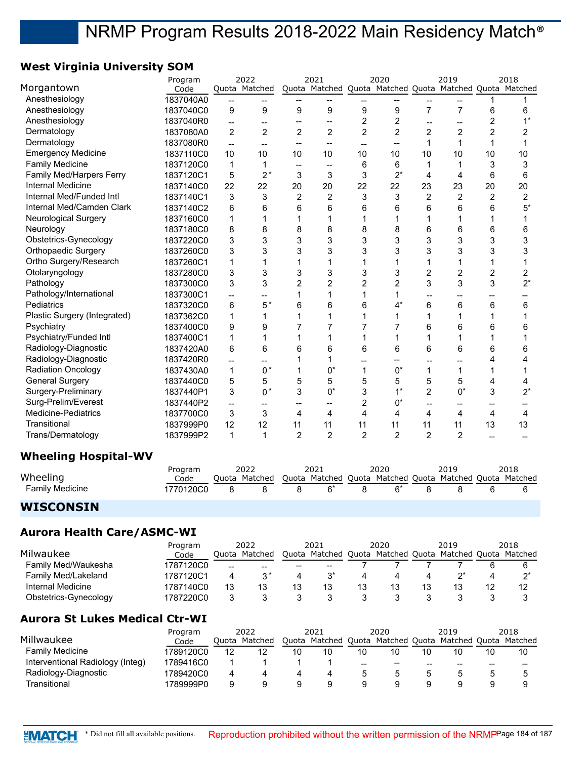### **West Virginia University SOM**

|                                 | Program   |                | 2022           |                          | 2021                                                    |                | 2020                     |                          | 2019           |                          | 2018           |
|---------------------------------|-----------|----------------|----------------|--------------------------|---------------------------------------------------------|----------------|--------------------------|--------------------------|----------------|--------------------------|----------------|
| Morgantown                      | Code      |                | Quota Matched  |                          | Quota Matched Quota Matched Quota Matched Quota Matched |                |                          |                          |                |                          |                |
| Anesthesiology                  | 1837040A0 | --             | --             |                          |                                                         | --             |                          |                          | --             | 1                        |                |
| Anesthesiology                  | 1837040C0 | 9              | 9              | 9                        | 9                                                       | 9              | 9                        | $\overline{7}$           | $\overline{7}$ | 6                        | 6              |
| Anesthesiology                  | 1837040R0 | $\overline{a}$ | --             | --                       | $\overline{\phantom{a}}$                                | $\overline{c}$ | $\overline{c}$           | $\overline{\phantom{a}}$ | $\overline{a}$ | $\overline{c}$           | $1^*$          |
| Dermatology                     | 1837080A0 | $\overline{c}$ | $\overline{2}$ | $\overline{c}$           | $\overline{c}$                                          | $\overline{2}$ | $\overline{c}$           | $\overline{c}$           | $\overline{c}$ | $\overline{c}$           | $\overline{c}$ |
| Dermatology                     | 1837080R0 | $\overline{a}$ | $\overline{a}$ | $\overline{\phantom{a}}$ | $\overline{\phantom{a}}$                                | $\overline{a}$ | $\overline{\phantom{a}}$ | $\mathbf{1}$             | 1              | $\mathbf{1}$             | 1              |
| <b>Emergency Medicine</b>       | 1837110C0 | 10             | 10             | 10                       | 10                                                      | 10             | 10                       | 10                       | 10             | 10                       | 10             |
| <b>Family Medicine</b>          | 1837120C0 | 1              | 1              | --                       | --                                                      | 6              | 6                        | 1                        | 1              | 3                        | 3              |
| <b>Family Med/Harpers Ferry</b> | 1837120C1 | 5              | $2^*$          | 3                        | 3                                                       | 3              | $2^*$                    | 4                        | $\overline{4}$ | 6                        | 6              |
| <b>Internal Medicine</b>        | 1837140C0 | 22             | 22             | 20                       | 20                                                      | 22             | 22                       | 23                       | 23             | 20                       | 20             |
| Internal Med/Funded Intl        | 1837140C1 | 3              | 3              | 2                        | 2                                                       | 3              | 3                        | $\overline{2}$           | $\overline{2}$ | 2                        | 2              |
| Internal Med/Camden Clark       | 1837140C2 | 6              | 6              | 6                        | 6                                                       | 6              | 6                        | 6                        | 6              | 6                        | $5^*$          |
| <b>Neurological Surgery</b>     | 1837160C0 | $\mathbf{1}$   | 1              | $\mathbf{1}$             | $\mathbf{1}$                                            | 1              | 1                        | $\mathbf{1}$             | 1              | $\mathbf{1}$             | 1              |
| Neurology                       | 1837180C0 | 8              | 8              | 8                        | 8                                                       | 8              | 8                        | 6                        | 6              | 6                        | 6              |
| Obstetrics-Gynecology           | 1837220C0 | 3              | 3              | 3                        | 3                                                       | 3              | 3                        | 3                        | 3              | 3                        | 3              |
| Orthopaedic Surgery             | 1837260C0 | 3              | 3              | 3                        | 3                                                       | 3              | 3                        | 3                        | 3              | 3                        | 3              |
| Ortho Surgery/Research          | 1837260C1 | $\mathbf 1$    | $\mathbf{1}$   | $\mathbf{1}$             | 1                                                       | 1              | 1                        | $\mathbf{1}$             | 1              | 1                        | 1              |
| Otolaryngology                  | 1837280C0 | 3              | 3              | 3                        | 3                                                       | 3              | 3                        | $\overline{c}$           | $\overline{c}$ | $\overline{c}$           | $\overline{c}$ |
| Pathology                       | 1837300C0 | 3              | 3              | $\overline{2}$           | $\overline{c}$                                          | $\overline{2}$ | $\overline{c}$           | 3                        | 3              | 3                        | $2^*$          |
| Pathology/International         | 1837300C1 | $-$            | --             | 1                        | 1                                                       | 1              | 1                        | $\overline{\phantom{a}}$ | --             | --                       |                |
| Pediatrics                      | 1837320C0 | 6              | $5*$           | 6                        | 6                                                       | 6              | $4^*$                    | 6                        | 6              | 6                        | 6              |
| Plastic Surgery (Integrated)    | 1837362C0 | 1              | $\mathbf 1$    | 1                        | 1                                                       | 1              | 1                        | 1                        | 1              | $\mathbf{1}$             | 1              |
| Psychiatry                      | 1837400C0 | 9              | 9              | $\overline{7}$           | 7                                                       | 7              | 7                        | 6                        | 6              | 6                        | 6              |
| Psychiatry/Funded Intl          | 1837400C1 | $\mathbf{1}$   | 1              | $\mathbf{1}$             | 1                                                       | 1              | 1                        | 1                        | 1              | $\mathbf{1}$             | 1              |
| Radiology-Diagnostic            | 1837420A0 | 6              | 6              | 6                        | 6                                                       | 6              | 6                        | 6                        | 6              | 6                        | 6              |
| Radiology-Diagnostic            | 1837420R0 | $-$            | --             | 1                        | 1                                                       | --             | --                       | $\overline{\phantom{a}}$ | --             | 4                        | 4              |
| <b>Radiation Oncology</b>       | 1837430A0 | $\mathbf{1}$   | $0*$           | 1                        | $0^*$                                                   | 1              | $0^*$                    | 1                        | 1              | $\mathbf{1}$             | 1              |
| <b>General Surgery</b>          | 1837440C0 | 5              | 5              | 5                        | 5                                                       | 5              | 5                        | 5                        | 5              | 4                        | 4              |
| Surgery-Preliminary             | 1837440P1 | 3              | $0*$           | 3                        | $0^*$                                                   | 3              | $1^*$                    | $\overline{c}$           | $0^*$          | 3                        | $2^*$          |
| Surg-Prelim/Everest             | 1837440P2 | --             | --             | $\overline{a}$           | $- -$                                                   | 2              | $0^*$                    | $\overline{\phantom{a}}$ | --             | $\overline{\phantom{a}}$ | --             |
| Medicine-Pediatrics             | 1837700C0 | 3              | 3              | 4                        | 4                                                       | 4              | 4                        | 4                        | 4              | 4                        | 4              |
| Transitional                    | 1837999P0 | 12             | 12             | 11                       | 11                                                      | 11             | 11                       | 11                       | 11             | 13                       | 13             |
| Trans/Dermatology               | 1837999P2 | $\mathbf{1}$   | $\mathbf{1}$   | $\overline{2}$           | $\overline{2}$                                          | $\overline{2}$ | $\overline{2}$           | $\overline{2}$           | $\overline{2}$ | $\overline{\phantom{a}}$ |                |
| <b>Wheeling Hospital-WV</b>     |           |                |                |                          |                                                         |                |                          |                          |                |                          |                |
|                                 | Program   |                | 2022           |                          | 2021                                                    |                | 2020                     |                          | 2019           |                          | 2018           |
| Wheeling                        | Code      |                | Quota Matched  |                          | Quota Matched Quota Matched Quota Matched Quota Matched |                |                          |                          |                |                          |                |
| <b>Family Medicine</b>          | 1770120C0 | 8              | 8              | 8                        | $6*$                                                    | 8              | $6*$                     | 8                        | 8              | 6                        | 6              |

**WISCONSIN**

#### **Aurora Health Care/ASMC-WI**

|                       | Program   | 2022  |         | 2021                                              |               | 2020  |               | 2019 |                       | 2018 |
|-----------------------|-----------|-------|---------|---------------------------------------------------|---------------|-------|---------------|------|-----------------------|------|
| Milwaukee             | Code      | Ouota | Matched |                                                   | Quota Matched | Quota | Matched Quota |      | Matched Quota Matched |      |
| Family Med/Waukesha   | 1787120C0 | $-$   | --      | $\hspace{0.05cm}-\hspace{0.05cm}-\hspace{0.05cm}$ | $- -$         |       |               |      |                       |      |
| Family Med/Lakeland   | 1787120C1 |       |         |                                                   |               |       |               |      |                       |      |
| Internal Medicine     | 1787140C0 | 13    |         | 13                                                |               | 13    | 13            |      |                       |      |
| Obstetrics-Gynecology | 1787220C0 |       |         |                                                   |               |       |               |      |                       |      |

#### **Aurora St Lukes Medical Ctr-WI**

|                                  | Program   | 2022 |               | 2021  |         | 2020  |                     | 2019  |               |       | 2018    |
|----------------------------------|-----------|------|---------------|-------|---------|-------|---------------------|-------|---------------|-------|---------|
| Millwaukee                       | Code      |      | Ouota Matched | Quota | Matched |       | Quota Matched Quota |       | Matched Quota |       | Matched |
| <b>Family Medicine</b>           | 1789120C0 | 12   | 12            | 10    | 10      | 10    | 10                  |       |               | 10    |         |
| Interventional Radiology (Integ) | 1789416C0 |      |               |       |         | $- -$ | $- -$               | $- -$ | --            | $- -$ | $- -$   |
| Radiology-Diagnostic             | 1789420C0 | 4    |               |       |         |       |                     |       |               |       |         |
| Transitional                     | I789999P0 | a    |               |       |         |       |                     |       |               |       |         |

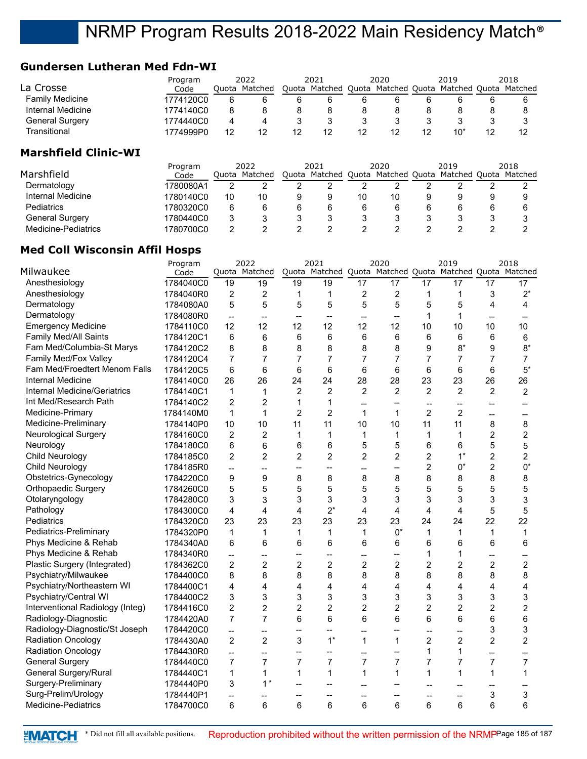#### **Gundersen Lutheran Med Fdn-WI**

|                        | Program   |    | 2022          |    | 2021          |    | 2020 | 2019                                      |    | 2018 |
|------------------------|-----------|----|---------------|----|---------------|----|------|-------------------------------------------|----|------|
| La Crosse              | Code      |    | Quota Matched |    | Quota Matched |    |      | Quota Matched Quota Matched Quota Matched |    |      |
| <b>Family Medicine</b> | 1774120C0 | 6  |               | 6  |               |    |      |                                           |    |      |
| Internal Medicine      | 1774140C0 | 8  |               | 8  |               | 8  |      |                                           | 8  |      |
| <b>General Surgery</b> | 1774440C0 | 4  |               | 3  |               |    |      |                                           |    |      |
| Transitional           | 1774999P0 | 12 |               | 12 | 12            | 12 | 12   | 10*                                       | 12 | 12   |
|                        |           |    |               |    |               |    |      |                                           |    |      |

#### **Marshfield Clinic-WI**

|                     | Program   | 2022  |         | 2021                              |    | 2020 | 2019          | 2018    |
|---------------------|-----------|-------|---------|-----------------------------------|----|------|---------------|---------|
| Marshfield          | Code      | Ouota | Matched | Quota Matched Quota Matched Quota |    |      | Matched Quota | Matched |
| Dermatology         | 1780080A1 |       |         |                                   |    |      |               |         |
| Internal Medicine   | 1780140C0 | 10    |         |                                   | 10 | 10   |               |         |
| <b>Pediatrics</b>   | 1780320C0 | 6     |         |                                   |    |      |               |         |
| General Surgery     | 1780440C0 |       |         |                                   |    |      |               |         |
| Medicine-Pediatrics | 1780700C0 |       |         |                                   |    |      |               |         |

# **Med Coll Wisconsin Affil Hosps**

|                                  | Program   |                          | 2022           |                | 2021           |                | 2020           |                          | 2019                                                    |                | 2018                     |
|----------------------------------|-----------|--------------------------|----------------|----------------|----------------|----------------|----------------|--------------------------|---------------------------------------------------------|----------------|--------------------------|
| Milwaukee                        | Code      |                          | Quota Matched  |                |                |                |                |                          | Quota Matched Quota Matched Quota Matched Quota Matched |                |                          |
| Anesthesiology                   | 1784040C0 | 19                       | 19             | 19             | 19             | 17             | 17             | 17                       | 17                                                      | 17             | 17                       |
| Anesthesiology                   | 1784040R0 | 2                        | $\overline{c}$ | 1              | 1              | $\overline{c}$ | 2              | 1                        | 1                                                       | 3              | $2^*$                    |
| Dermatology                      | 1784080A0 | 5                        | 5              | 5              | 5              | 5              | 5              | 5                        | 5                                                       | 4              | 4                        |
| Dermatology                      | 1784080R0 | $\overline{a}$           |                | $-$            | $-$            |                | $-$            | $\mathbf{1}$             | 1                                                       |                |                          |
| <b>Emergency Medicine</b>        | 1784110C0 | 12                       | 12             | 12             | 12             | 12             | 12             | 10                       | 10                                                      | 10             | 10                       |
| <b>Family Med/All Saints</b>     | 1784120C1 | 6                        | 6              | 6              | 6              | 6              | 6              | 6                        | 6                                                       | 6              | 6                        |
| Fam Med/Columbia-St Marys        | 1784120C2 | 8                        | 8              | 8              | 8              | 8              | 8              | 9                        | $8*$                                                    | 9              | $8*$                     |
| Family Med/Fox Valley            | 1784120C4 | $\overline{7}$           | $\overline{7}$ | $\overline{7}$ | $\overline{7}$ | $\overline{7}$ | $\overline{7}$ | $\overline{7}$           | 7                                                       | $\overline{7}$ | $\overline{7}$           |
| Fam Med/Froedtert Menom Falls    | 1784120C5 | 6                        | 6              | 6              | 6              | 6              | 6              | 6                        | 6                                                       | 6              | $5^*$                    |
| Internal Medicine                | 1784140C0 | 26                       | 26             | 24             | 24             | 28             | 28             | 23                       | 23                                                      | 26             | 26                       |
| Internal Medicine/Geriatrics     | 1784140C1 | 1                        | $\mathbf{1}$   | $\overline{c}$ | $\overline{c}$ | $\overline{2}$ | $\overline{c}$ | $\overline{2}$           | $\overline{2}$                                          | $\overline{c}$ | $\overline{c}$           |
| Int Med/Research Path            | 1784140C2 | $\overline{2}$           | $\overline{2}$ | 1              | $\mathbf 1$    | --             | --             | --                       | --                                                      |                |                          |
| Medicine-Primary                 | 1784140M0 | 1                        | $\mathbf{1}$   | $\overline{c}$ | $\overline{2}$ | $\mathbf 1$    | 1              | $\overline{2}$           | 2                                                       | --             | $\overline{\phantom{a}}$ |
| Medicine-Preliminary             | 1784140P0 | 10                       | 10             | 11             | 11             | 10             | 10             | 11                       | 11                                                      | 8              | 8                        |
| Neurological Surgery             | 1784160C0 | 2                        | $\overline{2}$ | $\mathbf{1}$   | $\mathbf 1$    | $\mathbf{1}$   | 1              | 1                        | $\mathbf{1}$                                            | $\overline{c}$ | $\overline{c}$           |
| Neurology                        | 1784180C0 | 6                        | 6              | 6              | 6              | 5              | 5              | 6                        | 6                                                       | 5              | 5                        |
| <b>Child Neurology</b>           | 1784185C0 | $\overline{2}$           | $\overline{2}$ | $\overline{2}$ | $\overline{2}$ | $\overline{2}$ | $\overline{2}$ | $\overline{2}$           | $1^*$                                                   | $\overline{c}$ | $\overline{c}$           |
| Child Neurology                  | 1784185R0 | $\overline{\phantom{a}}$ | $\overline{a}$ | --             | --             | $\overline{a}$ | $\overline{a}$ | $\overline{2}$           | $0^*$                                                   | $\overline{c}$ | $0^*$                    |
| Obstetrics-Gynecology            | 1784220C0 | 9                        | 9              | 8              | 8              | 8              | 8              | 8                        | 8                                                       | 8              | 8                        |
| Orthopaedic Surgery              | 1784260C0 | 5                        | 5              | 5              | 5              | 5              | 5              | 5                        | 5                                                       | 5              | 5                        |
| Otolaryngology                   | 1784280C0 | 3                        | 3              | 3              | 3              | 3              | 3              | 3                        | 3                                                       | 3              | 3                        |
| Pathology                        | 1784300C0 | 4                        | 4              | 4              | $2^*$          | 4              | 4              | 4                        | 4                                                       | 5              | 5                        |
| Pediatrics                       | 1784320C0 | 23                       | 23             | 23             | 23             | 23             | 23             | 24                       | 24                                                      | 22             | 22                       |
| Pediatrics-Preliminary           | 1784320P0 | $\mathbf 1$              | $\mathbf{1}$   | $\mathbf{1}$   | $\mathbf 1$    | $\mathbf{1}$   | $0^*$          | $\mathbf{1}$             | $\mathbf{1}$                                            | $\mathbf{1}$   | $\mathbf{1}$             |
| Phys Medicine & Rehab            | 1784340A0 | 6                        | 6              | 6              | 6              | 6              | 6              | 6                        | 6                                                       | 6              | 6                        |
| Phys Medicine & Rehab            | 1784340R0 | $\overline{\phantom{a}}$ | --             | --             | --             | --             | --             | 1                        | 1                                                       | --             | --                       |
| Plastic Surgery (Integrated)     | 1784362C0 | 2                        | $\overline{2}$ | $\overline{c}$ | $\overline{c}$ | $\overline{c}$ | 2              | $\overline{c}$           | $\overline{c}$                                          | $\overline{c}$ | $\overline{c}$           |
| Psychiatry/Milwaukee             | 1784400C0 | 8                        | 8              | 8              | 8              | 8              | 8              | 8                        | 8                                                       | 8              | 8                        |
| Psychiatry/Northeastern WI       | 1784400C1 | 4                        | $\overline{4}$ | 4              | 4              | 4              | 4              | $\overline{4}$           | 4                                                       | 4              | 4                        |
| Psychiatry/Central WI            | 1784400C2 | 3                        | 3              | 3              | 3              | 3              | 3              | 3                        | 3                                                       | 3              | 3                        |
| Interventional Radiology (Integ) | 1784416C0 | $\overline{c}$           | $\overline{2}$ | $\overline{c}$ | $\overline{c}$ | $\overline{2}$ | 2              | $\overline{c}$           | $\overline{c}$                                          | $\overline{c}$ | $\overline{c}$           |
| Radiology-Diagnostic             | 1784420A0 | $\overline{7}$           | $\overline{7}$ | 6              | 6              | 6              | 6              | 6                        | 6                                                       | 6              | $6\phantom{1}6$          |
| Radiology-Diagnostic/St Joseph   | 1784420C0 | $\overline{\phantom{a}}$ | --             | --             | --             | --             | --             | $\overline{\phantom{a}}$ | --                                                      | 3              | 3                        |
| <b>Radiation Oncology</b>        | 1784430A0 | $\overline{c}$           | $\overline{2}$ | 3              | $1^*$          | $\mathbf 1$    | 1              | $\overline{2}$           | $\overline{c}$                                          | 2              | $\overline{2}$           |
| <b>Radiation Oncology</b>        | 1784430R0 | $\overline{\phantom{a}}$ | --             | --             | $\overline{a}$ | --             | $\overline{a}$ | 1                        | 1                                                       | --             | --                       |
| <b>General Surgery</b>           | 1784440C0 | 7                        | $\overline{7}$ | $\overline{7}$ | 7              | $\overline{7}$ | 7              | $\overline{7}$           | 7                                                       | 7              | $\overline{7}$           |
| <b>General Surgery/Rural</b>     | 1784440C1 | $\mathbf{1}$             | $\mathbf{1}$   | $\mathbf{1}$   | $\mathbf{1}$   | $\mathbf{1}$   | $\mathbf{1}$   | $\mathbf{1}$             | 1                                                       | $\mathbf{1}$   | $\mathbf{1}$             |
| Surgery-Preliminary              | 1784440P0 | 3                        | $1^*$          | --             | $-$            |                |                |                          | --                                                      | --             |                          |
| Surg-Prelim/Urology              | 1784440P1 | --                       | --             | --             | --             | $-$            | --             | $\overline{\phantom{a}}$ | $\overline{a}$                                          | 3              | 3                        |
| Medicine-Pediatrics              | 1784700C0 | 6                        | 6              | 6              | 6              | 6              | 6              | 6                        | 6                                                       | 6              | 6                        |
|                                  |           |                          |                |                |                |                |                |                          |                                                         |                |                          |

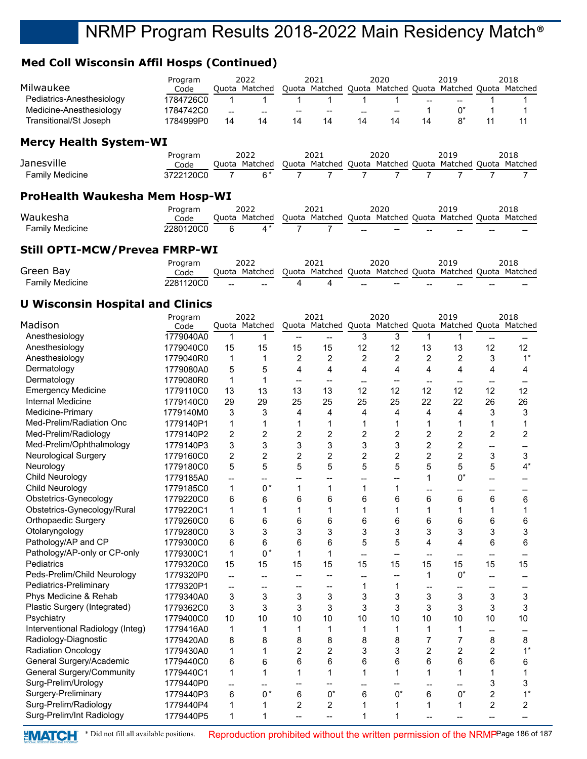# **Med Coll Wisconsin Affil Hosps (Continued)**

| Milwaukee                      | Program<br>Code | Ouota | 2022<br>Matched  |    | 2021<br>Quota Matched Quota Matched Quota Matched Quota |       | 2020 |    | 2019  |    | 2018<br>Matched |
|--------------------------------|-----------------|-------|------------------|----|---------------------------------------------------------|-------|------|----|-------|----|-----------------|
| Pediatrics-Anesthesiology      | 1784726C0       |       |                  |    |                                                         |       |      |    |       |    |                 |
| Medicine-Anesthesiology        | 1784742C0       | --    |                  | -- |                                                         | $- -$ | --   |    | $0^*$ |    |                 |
| Transitional/St Joseph         | 1784999P0       | 14    | 14               | 14 | 14                                                      | 14    | 14   | 14 | $8*$  | 11 | 11              |
| <b>Mercy Health System-WI</b>  |                 |       |                  |    |                                                         |       |      |    |       |    |                 |
|                                | Program         |       | 2022             |    | 2021                                                    |       | 2020 |    | 2019  |    | 2018            |
| <b>Janesville</b>              | Code            |       | Ouota Matched    |    | Quota Matched Quota Matched Quota Matched Quota         |       |      |    |       |    | Matched         |
| <b>Family Medicine</b>         | 3722120C0       |       | $6*$             |    |                                                         |       |      |    |       |    |                 |
| ProHealth Waukesha Mem Hosp-WI |                 |       |                  |    |                                                         |       |      |    |       |    |                 |
|                                | Program         |       | 2022             |    | 2021                                                    |       | 2020 |    | 2019  |    | 2018            |
| Waukesha                       | Code            |       | Ouota Matched    |    | Quota Matched Quota Matched Quota Matched Quota         |       |      |    |       |    | Matched         |
| <b>Family Medicine</b>         | 2280120C0       | 6     | $\overline{4}$ * |    |                                                         |       |      |    |       |    |                 |

#### **Still OPTI-MCW/Prevea FMRP-WI**

| Green Bay       | Program<br>Code |                                                | 2022<br>Ouota Matched |  | 2020                                           |    | 2019<br>Quota Matched Quota Matched Quota Matched Quota Matched |       | 2018 |
|-----------------|-----------------|------------------------------------------------|-----------------------|--|------------------------------------------------|----|-----------------------------------------------------------------|-------|------|
| Family Medicine | 2281120C0       | $\hspace{0.1mm}-\hspace{0.1mm}-\hspace{0.1mm}$ | $- -$                 |  | $\hspace{0.1mm}-\hspace{0.1mm}-\hspace{0.1mm}$ | -- | $- -$                                                           | $- -$ | --   |

### **U Wisconsin Hospital and Clinics**

|                                  | Program   |                          | 2022                     |                          | 2021                     |                          | 2020           |                          | 2019                                                    |                | 2018                     |
|----------------------------------|-----------|--------------------------|--------------------------|--------------------------|--------------------------|--------------------------|----------------|--------------------------|---------------------------------------------------------|----------------|--------------------------|
| Madison                          | Code      |                          | Quota Matched            |                          |                          |                          |                |                          | Quota Matched Quota Matched Quota Matched Quota Matched |                |                          |
| Anesthesiology                   | 1779040A0 | 1                        | 1                        | --                       |                          | 3                        | 3              | $\mathbf{1}$             | $\mathbf{1}$                                            |                |                          |
| Anesthesiology                   | 1779040C0 | 15                       | 15                       | 15                       | 15                       | 12                       | 12             | 13                       | 13                                                      | 12             | 12                       |
| Anesthesiology                   | 1779040R0 | 1                        | 1                        | $\overline{2}$           | $\overline{2}$           | $\overline{2}$           | 2              | $\overline{2}$           | $\overline{2}$                                          | 3              | $1^*$                    |
| Dermatology                      | 1779080A0 | 5                        | 5                        | 4                        | 4                        | 4                        | 4              | 4                        | 4                                                       | 4              | 4                        |
| Dermatology                      | 1779080R0 | 1                        | 1                        | --                       | --                       | $-$                      | --             | $\overline{\phantom{a}}$ | $\overline{\phantom{a}}$                                |                |                          |
| <b>Emergency Medicine</b>        | 1779110C0 | 13                       | 13                       | 13                       | 13                       | 12                       | 12             | 12                       | 12                                                      | 12             | 12                       |
| <b>Internal Medicine</b>         | 1779140C0 | 29                       | 29                       | 25                       | 25                       | 25                       | 25             | 22                       | 22                                                      | 26             | 26                       |
| Medicine-Primary                 | 1779140M0 | 3                        | 3                        | 4                        | 4                        | 4                        | 4              | 4                        | 4                                                       | 3              | 3                        |
| Med-Prelim/Radiation Onc         | 1779140P1 | 1                        | $\mathbf{1}$             | 1                        | 1                        | 1                        | 1              | 1                        | 1                                                       | $\mathbf{1}$   | 1                        |
| Med-Prelim/Radiology             | 1779140P2 | 2                        | $\overline{2}$           | $\overline{2}$           | $\overline{c}$           | $\overline{c}$           | $\overline{2}$ | $\overline{2}$           | $\overline{2}$                                          | $\overline{2}$ | $\overline{c}$           |
| Med-Prelim/Ophthalmology         | 1779140P3 | 3                        | 3                        | 3                        | 3                        | 3                        | 3              | $\overline{c}$           | $\overline{c}$                                          | $\overline{a}$ | $\overline{\phantom{a}}$ |
| <b>Neurological Surgery</b>      | 1779160C0 | $\overline{c}$           | $\overline{2}$           | $\overline{c}$           | $\overline{c}$           | $\overline{2}$           | $\overline{2}$ | $\overline{2}$           | $\overline{2}$                                          | 3              | 3                        |
| Neurology                        | 1779180C0 | 5                        | 5                        | 5                        | 5                        | 5                        | 5              | 5                        | 5                                                       | 5              | $4^*$                    |
| Child Neurology                  | 1779185A0 | --                       |                          | --                       | --                       | --                       |                | $\mathbf{1}$             | $0^*$                                                   | --             |                          |
| Child Neurology                  | 1779185C0 | $\mathbf{1}$             | $0*$                     | 1                        | 1                        | $\mathbf{1}$             | 1              |                          |                                                         | --             |                          |
| Obstetrics-Gynecology            | 1779220C0 | 6                        | 6                        | 6                        | 6                        | 6                        | 6              | 6                        | 6                                                       | 6              | 6                        |
| Obstetrics-Gynecology/Rural      | 1779220C1 | 1                        | 1                        | 1                        | 1                        | 1                        | 1              | $\mathbf{1}$             | 1                                                       | $\mathbf{1}$   | 1                        |
| <b>Orthopaedic Surgery</b>       | 1779260C0 | 6                        | 6                        | 6                        | 6                        | 6                        | 6              | 6                        | 6                                                       | 6              | 6                        |
| Otolaryngology                   | 1779280C0 | 3                        | 3                        | 3                        | 3                        | 3                        | 3              | 3                        | 3                                                       | 3              | 3                        |
| Pathology/AP and CP              | 1779300C0 | 6                        | 6                        | 6                        | 6                        | 5                        | 5              | 4                        | $\overline{4}$                                          | 6              | 6                        |
| Pathology/AP-only or CP-only     | 1779300C1 | 1                        | $0*$                     | 1                        | 1                        | $\overline{\phantom{a}}$ | --             |                          |                                                         |                |                          |
| Pediatrics                       | 1779320C0 | 15                       | 15                       | 15                       | 15                       | 15                       | 15             | 15                       | 15                                                      | 15             | 15                       |
| Peds-Prelim/Child Neurology      | 1779320P0 | $\overline{a}$           | $\overline{a}$           | --                       | --                       | $\overline{\phantom{a}}$ | --             | 1                        | $0^*$                                                   | --             |                          |
| Pediatrics-Preliminary           | 1779320P1 | $\overline{\phantom{m}}$ | --                       | --                       | --                       | $\mathbf{1}$             | 1              |                          |                                                         |                |                          |
| Phys Medicine & Rehab            | 1779340A0 | 3                        | 3                        | 3                        | 3                        | 3                        | 3              | 3                        | 3                                                       | 3              | 3                        |
| Plastic Surgery (Integrated)     | 1779362C0 | 3                        | 3                        | 3                        | 3                        | 3                        | 3              | 3                        | 3                                                       | 3              | 3                        |
| Psychiatry                       | 1779400C0 | 10                       | 10                       | 10                       | 10                       | 10                       | 10             | 10                       | 10                                                      | 10             | 10                       |
| Interventional Radiology (Integ) | 1779416A0 | 1                        | 1                        | 1                        | 1                        | 1                        | 1              | 1                        | 1                                                       |                | --                       |
| Radiology-Diagnostic             | 1779420A0 | 8                        | 8                        | 8                        | 8                        | 8                        | 8              | 7                        | $\overline{7}$                                          | 8              | 8                        |
| <b>Radiation Oncology</b>        | 1779430A0 | 1                        | 1                        | $\overline{c}$           | 2                        | 3                        | 3              | $\overline{2}$           | $\overline{2}$                                          | $\overline{c}$ | $1^*$                    |
| General Surgery/Academic         | 1779440C0 | 6                        | 6                        | 6                        | 6                        | 6                        | 6              | 6                        | 6                                                       | 6              | 6                        |
| <b>General Surgery/Community</b> | 1779440C1 | 1                        | 1                        | 1                        | 1                        | 1                        | $\mathbf{1}$   | 1                        | 1                                                       | $\mathbf{1}$   | 1                        |
| Surg-Prelim/Urology              | 1779440P0 | --                       | $\overline{\phantom{a}}$ | --                       | --                       | --                       | --             | $\overline{\phantom{a}}$ |                                                         | 3              | 3                        |
| Surgery-Preliminary              | 1779440P3 | 6                        | $0*$                     | 6                        | $0^*$                    | 6                        | 0*             | 6                        | $0^*$                                                   | $\overline{c}$ | $1^*$                    |
| Surg-Prelim/Radiology            | 1779440P4 | 1                        | 1                        | $\overline{c}$           | $\overline{c}$           | 1                        | $\mathbf{1}$   | 1                        | 1                                                       | $\overline{c}$ | 2                        |
| Surg-Prelim/Int Radiology        | 1779440P5 | 1                        | 1                        | $\overline{\phantom{0}}$ | $\overline{\phantom{0}}$ | 1                        | 1              |                          |                                                         |                |                          |
|                                  |           |                          |                          |                          |                          |                          |                |                          |                                                         |                |                          |